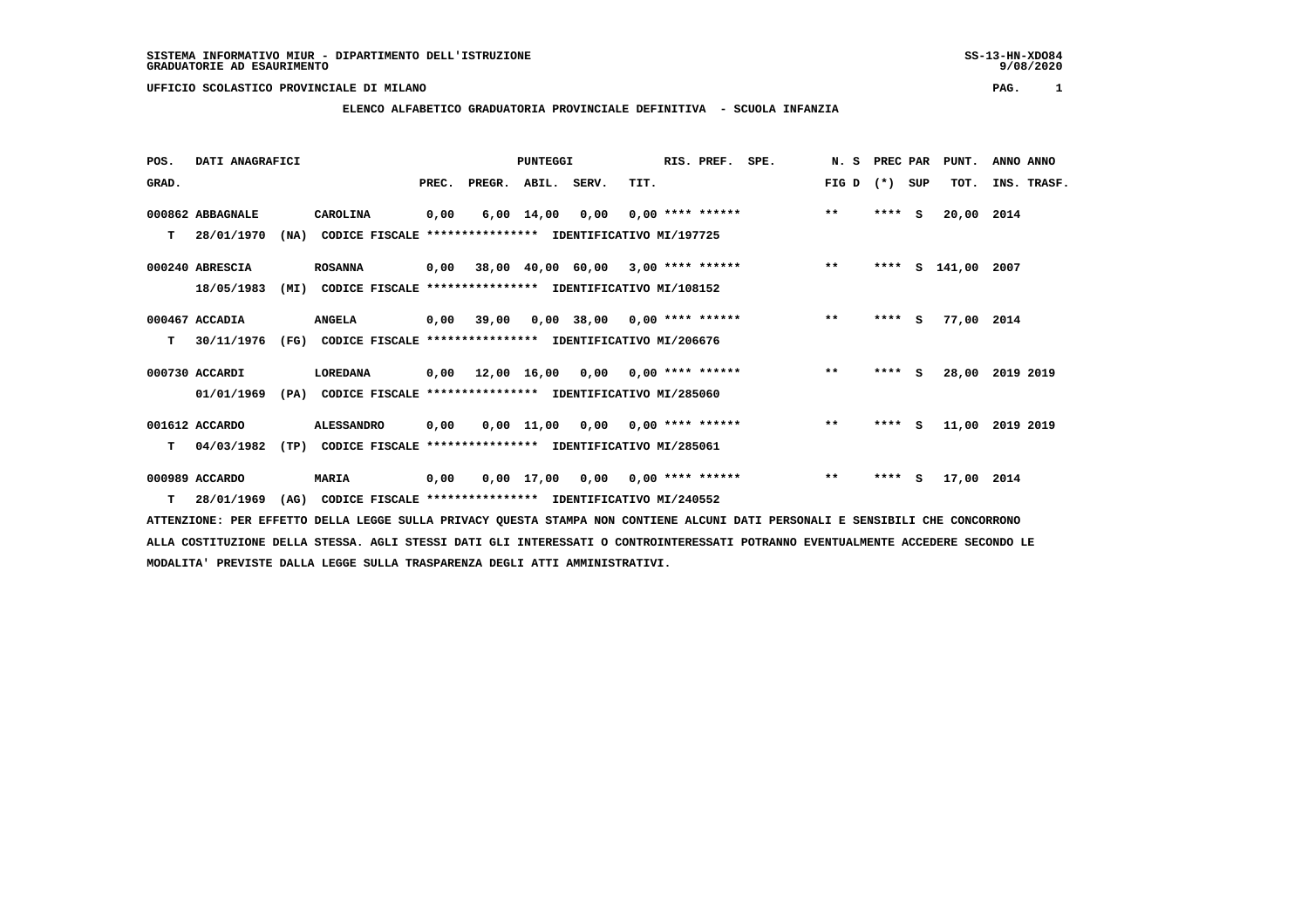9/08/2020

 **UFFICIO SCOLASTICO PROVINCIALE DI MILANO PAG. 1**

# **ELENCO ALFABETICO GRADUATORIA PROVINCIALE DEFINITIVA - SCUOLA INFANZIA**

| POS.  | DATI ANAGRAFICI  |      |                                                          |       |        | PUNTEGGI           |       |                                           | RIS. PREF. | SPE. | N. S  | PREC PAR |     | PUNT.      | ANNO ANNO   |
|-------|------------------|------|----------------------------------------------------------|-------|--------|--------------------|-------|-------------------------------------------|------------|------|-------|----------|-----|------------|-------------|
| GRAD. |                  |      |                                                          | PREC. | PREGR. | ABIL.              | SERV. | TIT.                                      |            |      | FIG D | $(*)$    | SUP | TOT.       | INS. TRASF. |
|       | 000862 ABBAGNALE |      | CAROLINA                                                 | 0,00  |        | $6,00 \quad 14,00$ | 0,00  | $0,00$ **** ******                        |            |      | $**$  | $***$ S  |     | 20,00      | 2014        |
| т     | 28/01/1970       | (NA) | CODICE FISCALE **************** IDENTIFICATIVO MI/197725 |       |        |                    |       |                                           |            |      |       |          |     |            |             |
|       | 000240 ABRESCIA  |      | <b>ROSANNA</b>                                           | 0,00  |        |                    |       | 38,00 40,00 60,00 3,00 **** ******        |            |      | $***$ | ****     | s   | 141,00     | 2007        |
|       | 18/05/1983       | (MI) | CODICE FISCALE **************** IDENTIFICATIVO MI/108152 |       |        |                    |       |                                           |            |      |       |          |     |            |             |
|       | 000467 ACCADIA   |      | <b>ANGELA</b>                                            | 0,00  | 39,00  |                    |       | $0,00$ 38,00 0,00 **** ******             |            |      | $**$  | $***$ S  |     | 77,00 2014 |             |
| т     | 30/11/1976       | (FG) | CODICE FISCALE **************** IDENTIFICATIVO MI/206676 |       |        |                    |       |                                           |            |      |       |          |     |            |             |
|       | 000730 ACCARDI   |      | LOREDANA                                                 | 0,00  |        | 12,00 16,00        | 0,00  | 0,00 **** ******                          |            |      | $***$ | $***5$   |     | 28,00      | 2019 2019   |
|       | 01/01/1969       | (PA) | CODICE FISCALE **************** IDENTIFICATIVO MI/285060 |       |        |                    |       |                                           |            |      |       |          |     |            |             |
|       | 001612 ACCARDO   |      | <b>ALESSANDRO</b>                                        | 0,00  |        |                    |       | $0,00$ 11,00 0,00 0,00 **** ******        |            |      | $**$  | $***$ S  |     | 11,00      | 2019 2019   |
| т     | 04/03/1982       | (TP) | CODICE FISCALE                                           |       |        |                    |       | **************** IDENTIFICATIVO MI/285061 |            |      |       |          |     |            |             |
|       | 000989 ACCARDO   |      | <b>MARIA</b>                                             | 0,00  |        | $0,00$ 17,00       | 0,00  | $0,00$ **** ******                        |            |      | $* *$ | ****     | s   | 17,00 2014 |             |
| T.    | 28/01/1969       | (AG) | CODICE FISCALE **************** IDENTIFICATIVO MI/240552 |       |        |                    |       |                                           |            |      |       |          |     |            |             |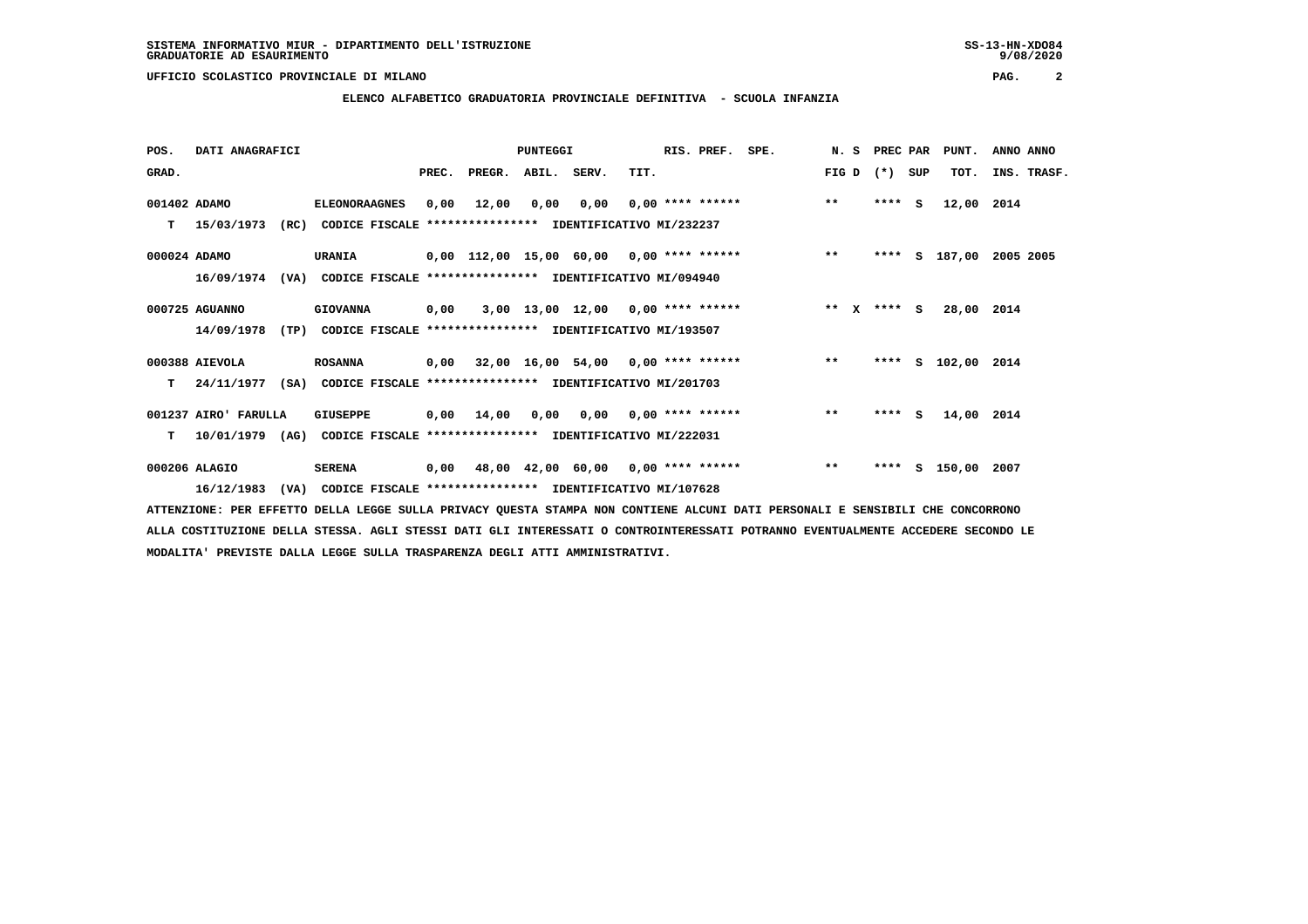**POS. DATI ANAGRAFICI PUNTEGGI RIS. PREF. SPE. N. S PREC PAR PUNT. ANNO ANNO**GRAD. **BRAD. PREC. PREGR. ABIL. SERV.** TIT. THE REGREATER FIG D (\*) SUP TOT. INS. TRASF.  **001402 ADAMO ELEONORAAGNES 0,00 12,00 0,00 0,00 0,00 \*\*\*\* \*\*\*\*\*\* \*\* \*\*\*\* S 12,00 2014 T 15/03/1973 (RC) CODICE FISCALE \*\*\*\*\*\*\*\*\*\*\*\*\*\*\*\* IDENTIFICATIVO MI/232237 000024 ADAMO URANIA 0,00 112,00 15,00 60,00 0,00 \*\*\*\* \*\*\*\*\*\* \*\* \*\*\*\* S 187,00 2005 2005 16/09/1974 (VA) CODICE FISCALE \*\*\*\*\*\*\*\*\*\*\*\*\*\*\*\* IDENTIFICATIVO MI/094940 000725 AGUANNO GIOVANNA 0,00 3,00 13,00 12,00 0,00 \*\*\*\* \*\*\*\*\*\* \*\* X \*\*\*\* S 28,00 2014 14/09/1978 (TP) CODICE FISCALE \*\*\*\*\*\*\*\*\*\*\*\*\*\*\*\* IDENTIFICATIVO MI/193507 000388 AIEVOLA ROSANNA 0,00 32,00 16,00 54,00 0,00 \*\*\*\* \*\*\*\*\*\* \*\* \*\*\*\* S 102,00 2014 T 24/11/1977 (SA) CODICE FISCALE \*\*\*\*\*\*\*\*\*\*\*\*\*\*\*\* IDENTIFICATIVO MI/201703 001237 AIRO' FARULLA GIUSEPPE 0,00 14,00 0,00 0,00 0,00 \*\*\*\* \*\*\*\*\*\* \*\* \*\*\*\* S 14,00 2014 T 10/01/1979 (AG) CODICE FISCALE \*\*\*\*\*\*\*\*\*\*\*\*\*\*\*\* IDENTIFICATIVO MI/222031 000206 ALAGIO SERENA 0,00 48,00 42,00 60,00 0,00 \*\*\*\* \*\*\*\*\*\* \*\* \*\*\*\* S 150,00 2007 16/12/1983 (VA) CODICE FISCALE \*\*\*\*\*\*\*\*\*\*\*\*\*\*\*\* IDENTIFICATIVO MI/107628**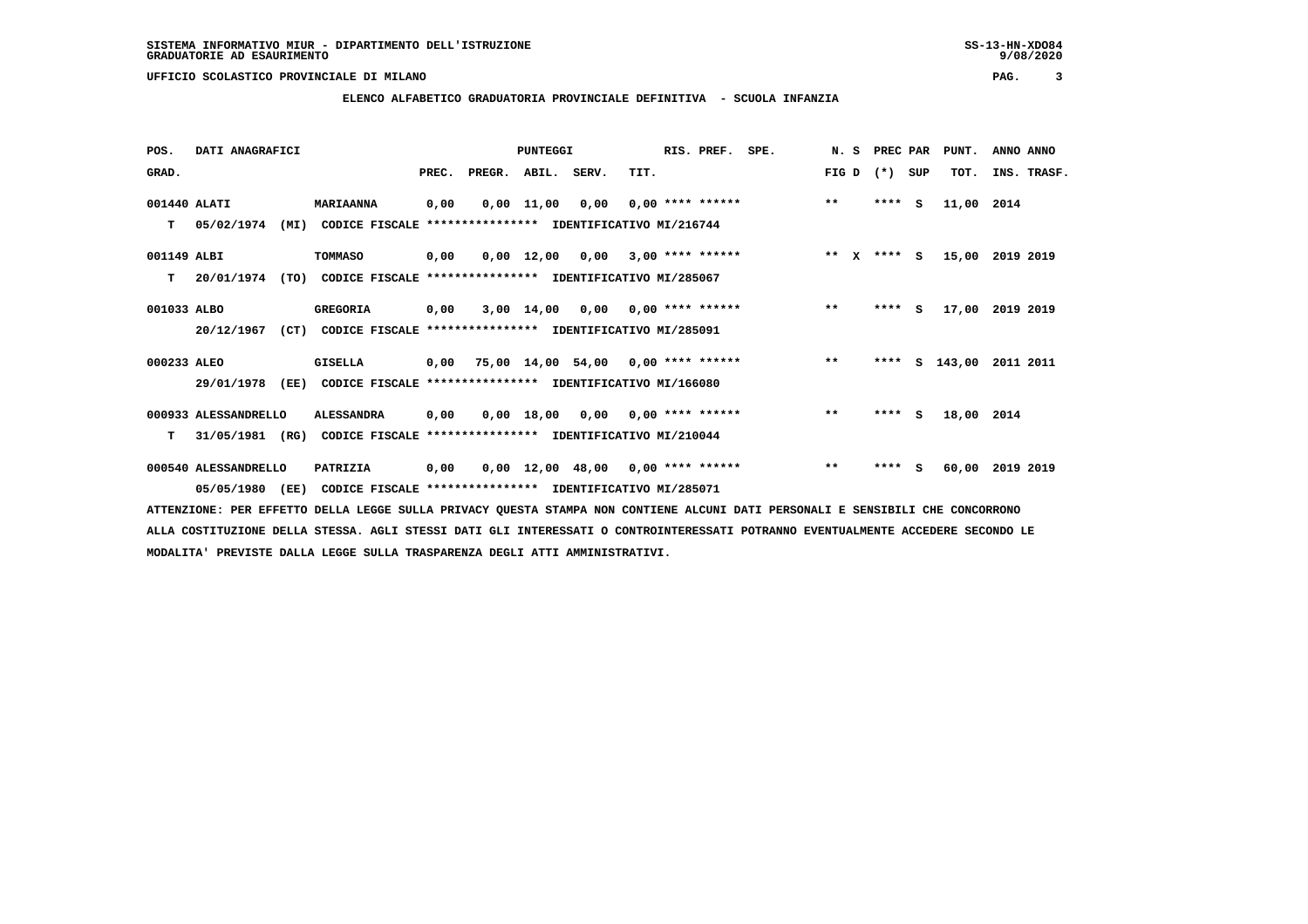### **ELENCO ALFABETICO GRADUATORIA PROVINCIALE DEFINITIVA - SCUOLA INFANZIA**

| POS.         | DATI ANAGRAFICI      |                                                          |       |                                           | <b>PUNTEGGI</b> |                                     |      | RIS. PREF.                | SPE. |         |         |     | N. S PREC PAR PUNT. | ANNO ANNO |             |
|--------------|----------------------|----------------------------------------------------------|-------|-------------------------------------------|-----------------|-------------------------------------|------|---------------------------|------|---------|---------|-----|---------------------|-----------|-------------|
| GRAD.        |                      |                                                          | PREC. | PREGR. ABIL. SERV.                        |                 |                                     | TIT. |                           |      | FIG D   | $(*)$   | SUP | TOT.                |           | INS. TRASF. |
| 001440 ALATI |                      | <b>MARIAANNA</b>                                         | 0,00  |                                           | $0.00$ 11.00    | 0,00                                |      | 0,00 **** ******          |      | $***$   | $***$ S |     | 11,00               | 2014      |             |
| т            | 05/02/1974<br>(MI)   | CODICE FISCALE                                           |       | **************** IDENTIFICATIVO MI/216744 |                 |                                     |      |                           |      |         |         |     |                     |           |             |
| 001149 ALBI  |                      | TOMMASO                                                  | 0,00  |                                           |                 | 0,00 12,00 0,00                     |      | $3,00$ **** ******        |      | $***$ X | $***$ S |     | 15,00               | 2019 2019 |             |
| т            | 20/01/1974<br>(TO)   | CODICE FISCALE **************** IDENTIFICATIVO MI/285067 |       |                                           |                 |                                     |      |                           |      |         |         |     |                     |           |             |
| 001033 ALBO  |                      | <b>GREGORIA</b>                                          | 0,00  |                                           | $3,00$ 14,00    |                                     |      | $0,00$ $0,00$ **** ****** |      | $***$   | $***$ S |     | 17,00               | 2019 2019 |             |
|              | 20/12/1967<br>(CT)   | CODICE FISCALE **************** IDENTIFICATIVO MI/285091 |       |                                           |                 |                                     |      |                           |      |         |         |     |                     |           |             |
| 000233 ALEO  |                      | <b>GISELLA</b>                                           | 0,00  | 75,00 14,00 54,00 0,00 **** ******        |                 |                                     |      |                           |      | $***$   | ****    |     | s 143,00            | 2011 2011 |             |
|              | 29/01/1978<br>(EE)   | CODICE FISCALE **************** IDENTIFICATIVO MI/166080 |       |                                           |                 |                                     |      |                           |      |         |         |     |                     |           |             |
|              | 000933 ALESSANDRELLO | <b>ALESSANDRA</b>                                        | 0,00  |                                           |                 | $0,00$ 18,00 0,00 0,00 **** ******  |      |                           |      | $* *$   | $***$ S |     | 18,00 2014          |           |             |
| T.           | 31/05/1981<br>(RG)   | CODICE FISCALE **************** IDENTIFICATIVO MI/210044 |       |                                           |                 |                                     |      |                           |      |         |         |     |                     |           |             |
|              | 000540 ALESSANDRELLO | PATRIZIA                                                 | 0,00  |                                           |                 | $0,00$ 12,00 48,00 0,00 **** ****** |      |                           |      | $***$   | $***$ S |     | 60,00               | 2019 2019 |             |
|              | 05/05/1980 (EE)      | CODICE FISCALE **************** IDENTIFICATIVO MI/285071 |       |                                           |                 |                                     |      |                           |      |         |         |     |                     |           |             |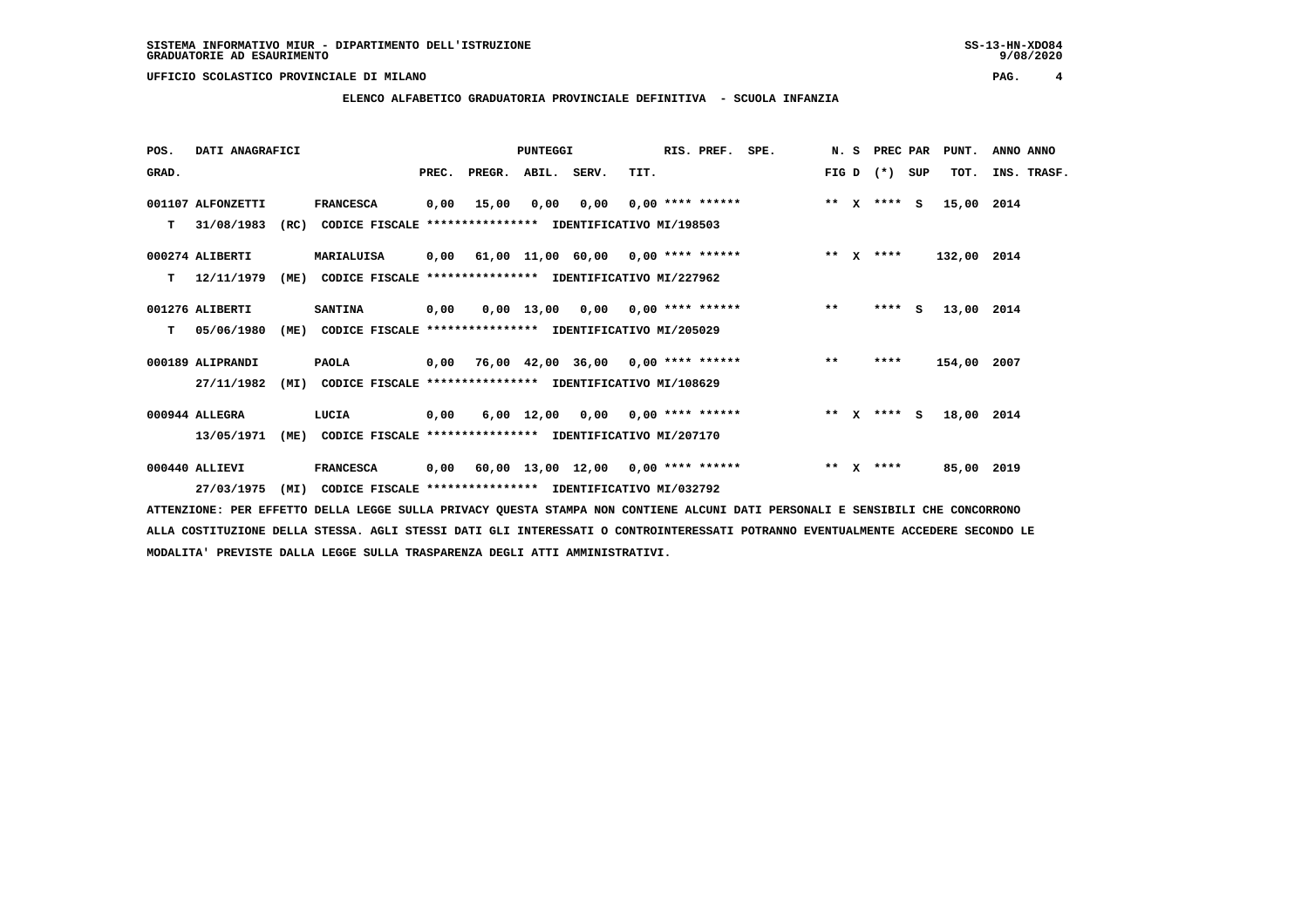**POS. DATI ANAGRAFICI PUNTEGGI RIS. PREF. SPE. N. S PREC PAR PUNT. ANNO ANNO**GRAD. **PREGRADE SERVEGER. ABIL. SERV. TIT.** FIG D (\*) SUP TOT. INS. TRASF.  **001107 ALFONZETTI FRANCESCA 0,00 15,00 0,00 0,00 0,00 \*\*\*\* \*\*\*\*\*\* \*\* X \*\*\*\* S 15,00 2014 T 31/08/1983 (RC) CODICE FISCALE \*\*\*\*\*\*\*\*\*\*\*\*\*\*\*\* IDENTIFICATIVO MI/198503 000274 ALIBERTI MARIALUISA 0,00 61,00 11,00 60,00 0,00 \*\*\*\* \*\*\*\*\*\* \*\* X \*\*\*\* 132,00 2014 T 12/11/1979 (ME) CODICE FISCALE \*\*\*\*\*\*\*\*\*\*\*\*\*\*\*\* IDENTIFICATIVO MI/227962 001276 ALIBERTI SANTINA 0,00 0,00 13,00 0,00 0,00 \*\*\*\* \*\*\*\*\*\* \*\* \*\*\*\* S 13,00 2014 T 05/06/1980 (ME) CODICE FISCALE \*\*\*\*\*\*\*\*\*\*\*\*\*\*\*\* IDENTIFICATIVO MI/205029 000189 ALIPRANDI PAOLA 0,00 76,00 42,00 36,00 0,00 \*\*\*\* \*\*\*\*\*\* \*\* \*\*\*\* 154,00 2007 27/11/1982 (MI) CODICE FISCALE \*\*\*\*\*\*\*\*\*\*\*\*\*\*\*\* IDENTIFICATIVO MI/108629 000944 ALLEGRA LUCIA 0,00 6,00 12,00 0,00 0,00 \*\*\*\* \*\*\*\*\*\* \*\* X \*\*\*\* S 18,00 2014 13/05/1971 (ME) CODICE FISCALE \*\*\*\*\*\*\*\*\*\*\*\*\*\*\*\* IDENTIFICATIVO MI/207170 000440 ALLIEVI FRANCESCA 0,00 60,00 13,00 12,00 0,00 \*\*\*\* \*\*\*\*\*\* \*\* X \*\*\*\* 85,00 2019 27/03/1975 (MI) CODICE FISCALE \*\*\*\*\*\*\*\*\*\*\*\*\*\*\*\* IDENTIFICATIVO MI/032792**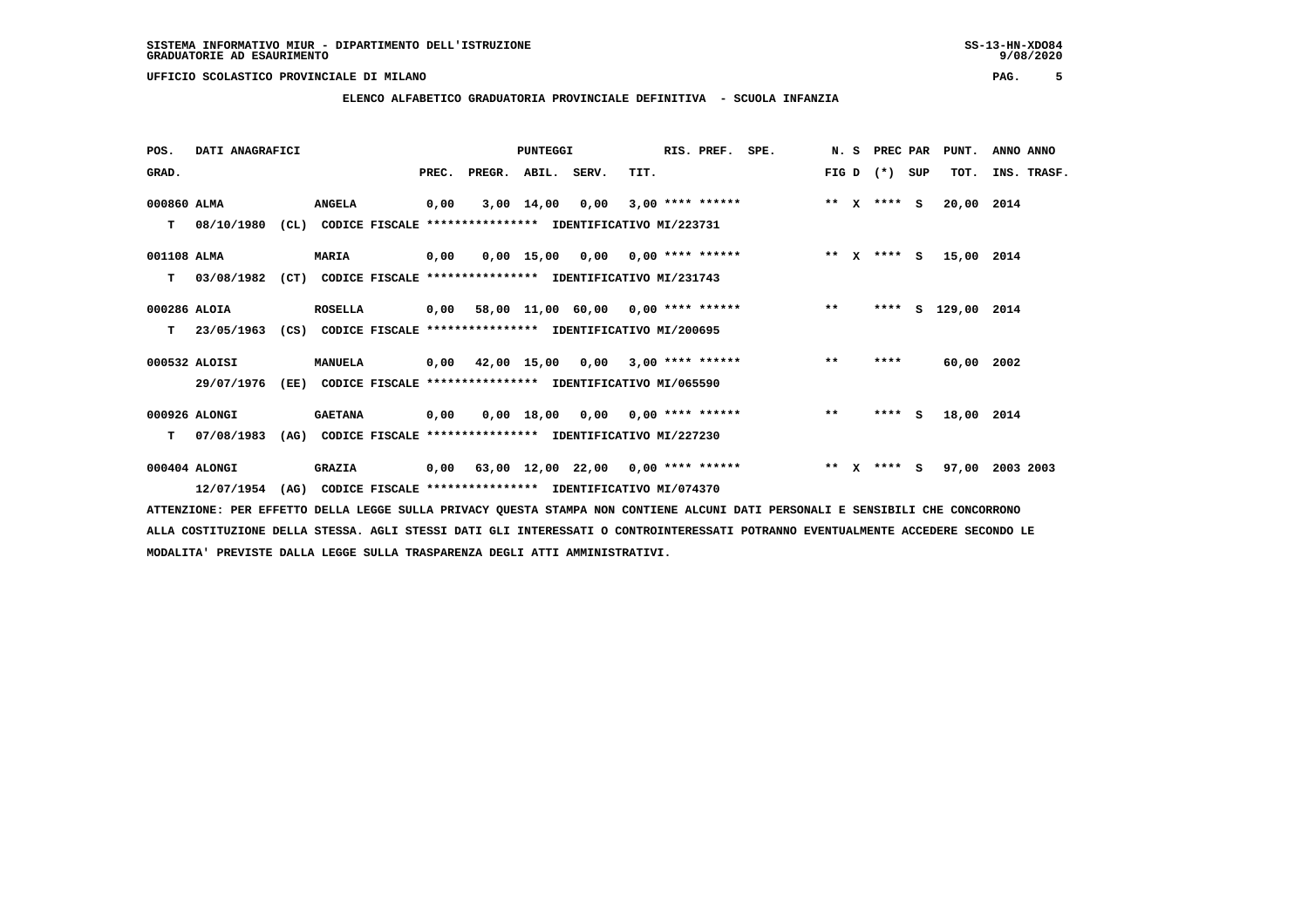**POS. DATI ANAGRAFICI PUNTEGGI RIS. PREF. SPE. N. S PREC PAR PUNT. ANNO ANNO**GRAD. **PREGRADE SERVEGER. ABIL. SERV. TIT.** FIG D (\*) SUP TOT. INS. TRASF.  **000860 ALMA ANGELA 0,00 3,00 14,00 0,00 3,00 \*\*\*\* \*\*\*\*\*\* \*\* X \*\*\*\* S 20,00 2014 T 08/10/1980 (CL) CODICE FISCALE \*\*\*\*\*\*\*\*\*\*\*\*\*\*\*\* IDENTIFICATIVO MI/223731 001108 ALMA MARIA 0,00 0,00 15,00 0,00 0,00 \*\*\*\* \*\*\*\*\*\* \*\* X \*\*\*\* S 15,00 2014 T 03/08/1982 (CT) CODICE FISCALE \*\*\*\*\*\*\*\*\*\*\*\*\*\*\*\* IDENTIFICATIVO MI/231743 000286 ALOIA ROSELLA 0,00 58,00 11,00 60,00 0,00 \*\*\*\* \*\*\*\*\*\* \*\* \*\*\*\* S 129,00 2014 T 23/05/1963 (CS) CODICE FISCALE \*\*\*\*\*\*\*\*\*\*\*\*\*\*\*\* IDENTIFICATIVO MI/200695 000532 ALOISI MANUELA 0,00 42,00 15,00 0,00 3,00 \*\*\*\* \*\*\*\*\*\* \*\* \*\*\*\* 60,00 2002 29/07/1976 (EE) CODICE FISCALE \*\*\*\*\*\*\*\*\*\*\*\*\*\*\*\* IDENTIFICATIVO MI/065590**

 **000926 ALONGI GAETANA 0,00 0,00 18,00 0,00 0,00 \*\*\*\* \*\*\*\*\*\* \*\* \*\*\*\* S 18,00 2014 T 07/08/1983 (AG) CODICE FISCALE \*\*\*\*\*\*\*\*\*\*\*\*\*\*\*\* IDENTIFICATIVO MI/227230**

 **000404 ALONGI GRAZIA 0,00 63,00 12,00 22,00 0,00 \*\*\*\* \*\*\*\*\*\* \*\* X \*\*\*\* S 97,00 2003 2003 12/07/1954 (AG) CODICE FISCALE \*\*\*\*\*\*\*\*\*\*\*\*\*\*\*\* IDENTIFICATIVO MI/074370**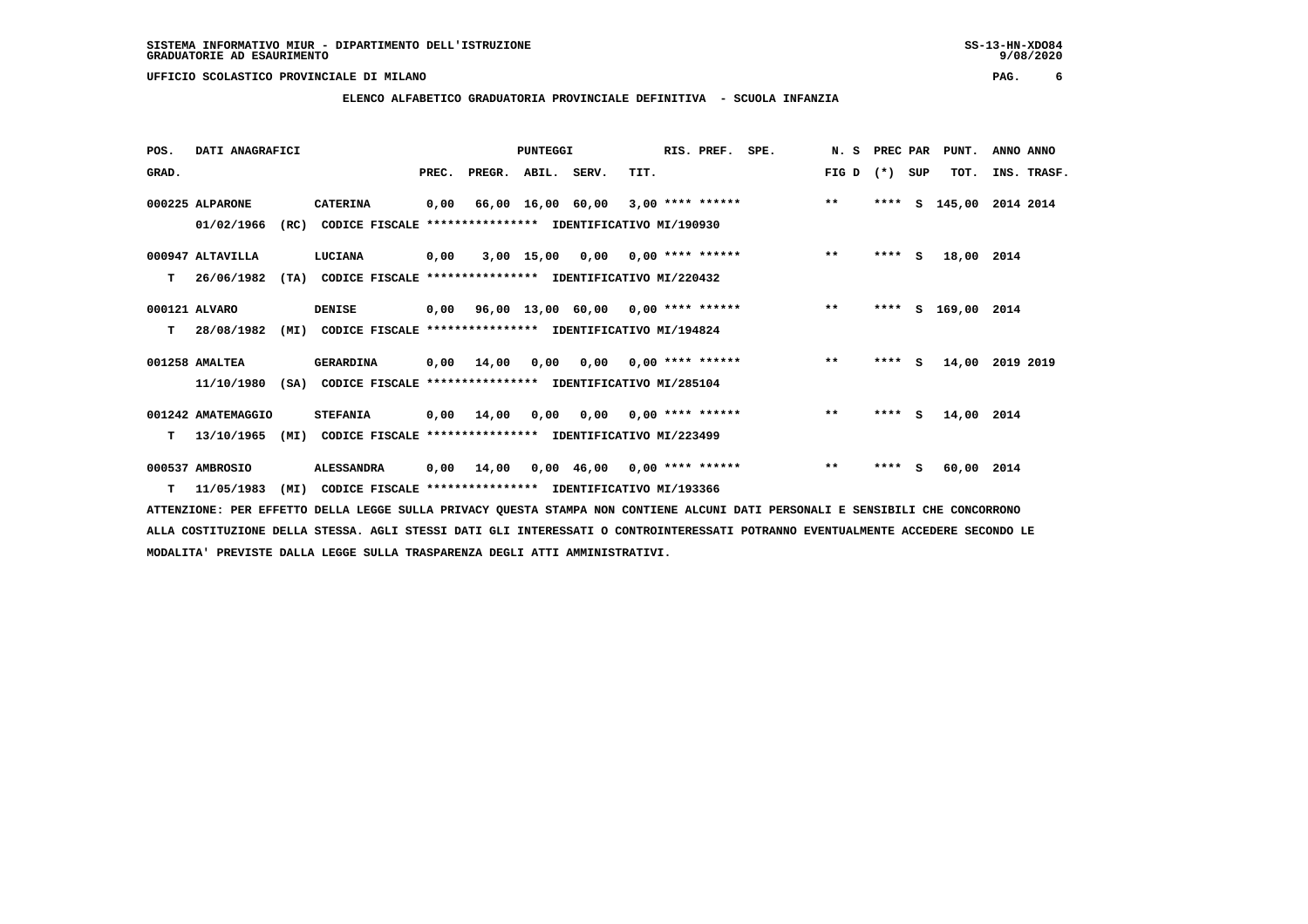| POS.  | DATI ANAGRAFICI    |      |                                                          |       |                    | <b>PUNTEGGI</b> |                                         |      | RIS. PREF. | SPE.                                      | N. S  | PREC PAR |     | PUNT.         | ANNO ANNO   |  |
|-------|--------------------|------|----------------------------------------------------------|-------|--------------------|-----------------|-----------------------------------------|------|------------|-------------------------------------------|-------|----------|-----|---------------|-------------|--|
| GRAD. |                    |      |                                                          | PREC. | PREGR. ABIL. SERV. |                 |                                         | TIT. |            |                                           | FIG D | $(*)$    | SUP | TOT.          | INS. TRASF. |  |
|       | 000225 ALPARONE    |      | <b>CATERINA</b>                                          | 0,00  |                    |                 |                                         |      |            | 66,00 16,00 60,00 3,00 **** ****** *** ** |       | ****     | S   | 145,00        | 2014 2014   |  |
|       | 01/02/1966         | (RC) | CODICE FISCALE **************** IDENTIFICATIVO MI/190930 |       |                    |                 |                                         |      |            |                                           |       |          |     |               |             |  |
|       | 000947 ALTAVILLA   |      | LUCIANA                                                  | 0,00  |                    |                 | $3,00$ 15,00 0,00 0,00 **** ******      |      |            |                                           | $***$ | $***$ S  |     | 18,00 2014    |             |  |
| т     | 26/06/1982         | (TA) | CODICE FISCALE **************** IDENTIFICATIVO MI/220432 |       |                    |                 |                                         |      |            |                                           |       |          |     |               |             |  |
|       | 000121 ALVARO      |      | <b>DENISE</b>                                            |       |                    |                 | 0,00 96,00 13,00 60,00 0,00 **** ****** |      |            |                                           | $***$ | ****     |     | S 169,00 2014 |             |  |
| т     | 28/08/1982         | (MI) | CODICE FISCALE **************** IDENTIFICATIVO MI/194824 |       |                    |                 |                                         |      |            |                                           |       |          |     |               |             |  |
|       | 001258 AMALTEA     |      | <b>GERARDINA</b>                                         | 0,00  | 14,00              |                 | $0,00$ $0,00$ $0,00$ $***$ **** ******  |      |            |                                           | $***$ | $***$ S  |     | 14,00         | 2019 2019   |  |
|       | 11/10/1980         | (SA) | CODICE FISCALE **************** IDENTIFICATIVO MI/285104 |       |                    |                 |                                         |      |            |                                           |       |          |     |               |             |  |
|       | 001242 AMATEMAGGIO |      | <b>STEFANIA</b>                                          |       | $0,00$ 14,00       |                 | $0,00$ $0,00$ $0,00$ $***$ **** ******  |      |            |                                           | $***$ | $***$ S  |     | 14,00 2014    |             |  |
| т     | 13/10/1965         | (MI) | CODICE FISCALE **************** IDENTIFICATIVO MI/223499 |       |                    |                 |                                         |      |            |                                           |       |          |     |               |             |  |
|       | 000537 AMBROSIO    |      | <b>ALESSANDRA</b>                                        | 0,00  | 14,00              |                 | $0,00$ 46,00 0,00 **** ******           |      |            |                                           | $***$ | $***5$   |     | 60,00 2014    |             |  |
|       | $T = 11/05/1983$   | (MI) | CODICE FISCALE **************** IDENTIFICATIVO MI/193366 |       |                    |                 |                                         |      |            |                                           |       |          |     |               |             |  |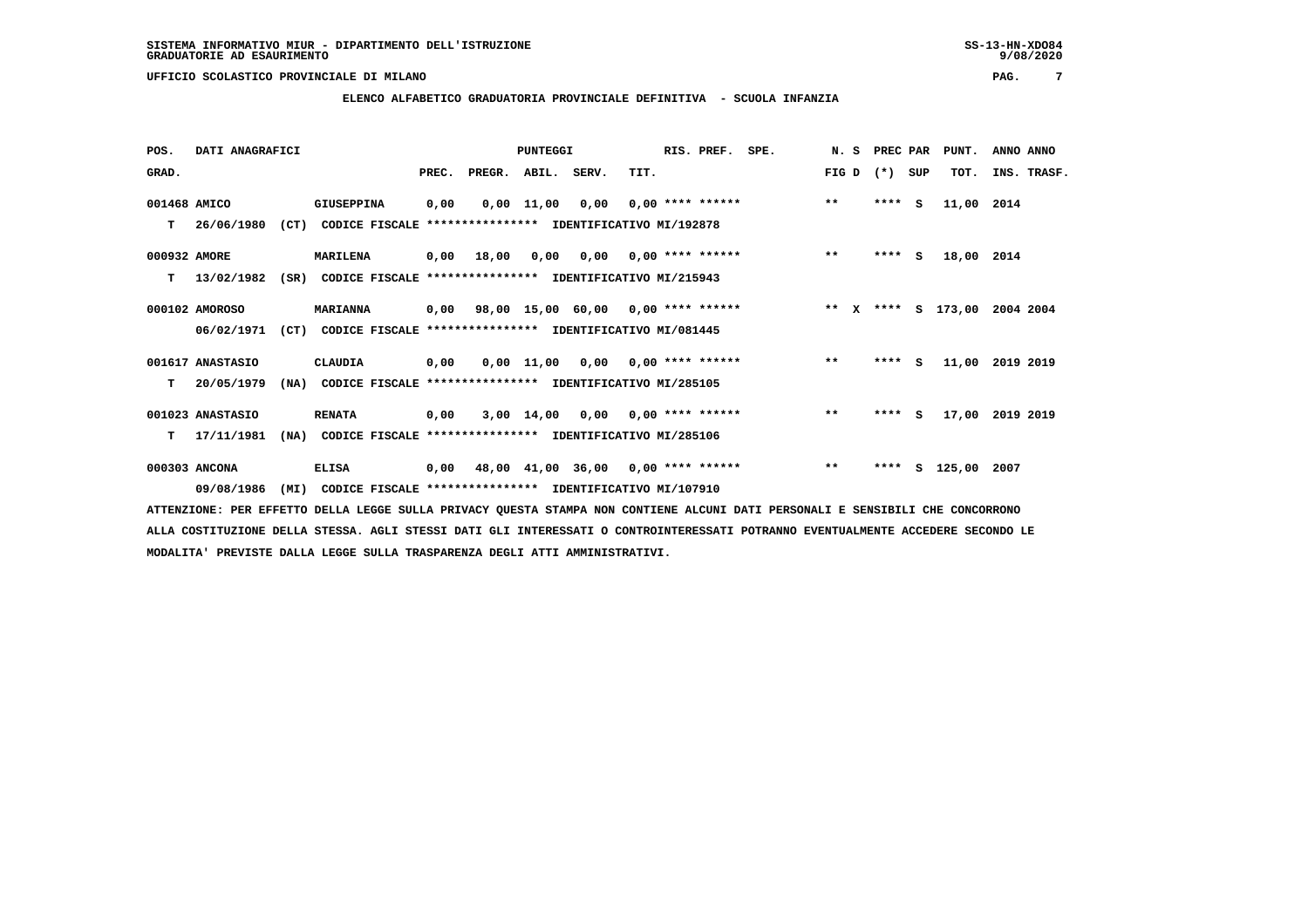**POS. DATI ANAGRAFICI PUNTEGGI RIS. PREF. SPE. N. S PREC PAR PUNT. ANNO ANNO**GRAD. **BRAD. PREC. PREGR. ABIL. SERV.** TIT. THE REGREATER FIG D (\*) SUP TOT. INS. TRASF.  **001468 AMICO GIUSEPPINA 0,00 0,00 11,00 0,00 0,00 \*\*\*\* \*\*\*\*\*\* \*\* \*\*\*\* S 11,00 2014 T 26/06/1980 (CT) CODICE FISCALE \*\*\*\*\*\*\*\*\*\*\*\*\*\*\*\* IDENTIFICATIVO MI/192878 000932 AMORE MARILENA 0,00 18,00 0,00 0,00 0,00 \*\*\*\* \*\*\*\*\*\* \*\* \*\*\*\* S 18,00 2014 T 13/02/1982 (SR) CODICE FISCALE \*\*\*\*\*\*\*\*\*\*\*\*\*\*\*\* IDENTIFICATIVO MI/215943 000102 AMOROSO MARIANNA 0,00 98,00 15,00 60,00 0,00 \*\*\*\* \*\*\*\*\*\* \*\* X \*\*\*\* S 173,00 2004 2004 06/02/1971 (CT) CODICE FISCALE \*\*\*\*\*\*\*\*\*\*\*\*\*\*\*\* IDENTIFICATIVO MI/081445 001617 ANASTASIO CLAUDIA 0,00 0,00 11,00 0,00 0,00 \*\*\*\* \*\*\*\*\*\* \*\* \*\*\*\* S 11,00 2019 2019 T 20/05/1979 (NA) CODICE FISCALE \*\*\*\*\*\*\*\*\*\*\*\*\*\*\*\* IDENTIFICATIVO MI/285105 001023 ANASTASIO RENATA 0,00 3,00 14,00 0,00 0,00 \*\*\*\* \*\*\*\*\*\* \*\* \*\*\*\* S 17,00 2019 2019 T 17/11/1981 (NA) CODICE FISCALE \*\*\*\*\*\*\*\*\*\*\*\*\*\*\*\* IDENTIFICATIVO MI/285106**

 **000303 ANCONA ELISA 0,00 48,00 41,00 36,00 0,00 \*\*\*\* \*\*\*\*\*\* \*\* \*\*\*\* S 125,00 2007 09/08/1986 (MI) CODICE FISCALE \*\*\*\*\*\*\*\*\*\*\*\*\*\*\*\* IDENTIFICATIVO MI/107910**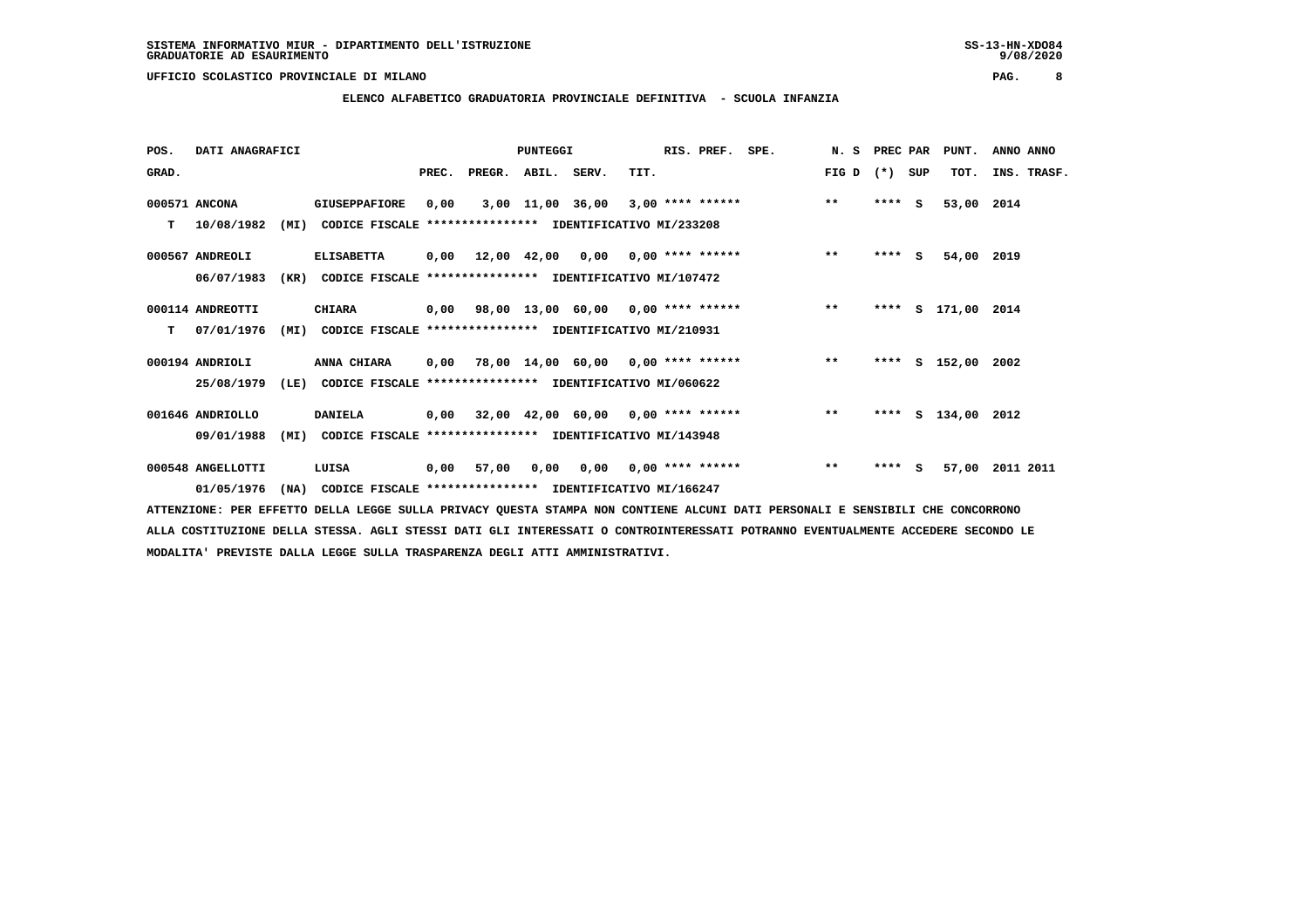**POS. DATI ANAGRAFICI PUNTEGGI RIS. PREF. SPE. N. S PREC PAR PUNT. ANNO ANNO**GRAD. **BRAD. PREC. PREGR. ABIL. SERV.** TIT. THE REGREATER FIG D (\*) SUP TOT. INS. TRASF.  **000571 ANCONA GIUSEPPAFIORE 0,00 3,00 11,00 36,00 3,00 \*\*\*\* \*\*\*\*\*\* \*\* \*\*\*\* S 53,00 2014 T 10/08/1982 (MI) CODICE FISCALE \*\*\*\*\*\*\*\*\*\*\*\*\*\*\*\* IDENTIFICATIVO MI/233208 000567 ANDREOLI ELISABETTA 0,00 12,00 42,00 0,00 0,00 \*\*\*\* \*\*\*\*\*\* \*\* \*\*\*\* S 54,00 2019 06/07/1983 (KR) CODICE FISCALE \*\*\*\*\*\*\*\*\*\*\*\*\*\*\*\* IDENTIFICATIVO MI/107472 000114 ANDREOTTI CHIARA 0,00 98,00 13,00 60,00 0,00 \*\*\*\* \*\*\*\*\*\* \*\* \*\*\*\* S 171,00 2014 T 07/01/1976 (MI) CODICE FISCALE \*\*\*\*\*\*\*\*\*\*\*\*\*\*\*\* IDENTIFICATIVO MI/210931 000194 ANDRIOLI ANNA CHIARA 0,00 78,00 14,00 60,00 0,00 \*\*\*\* \*\*\*\*\*\* \*\* \*\*\*\* S 152,00 2002 25/08/1979 (LE) CODICE FISCALE \*\*\*\*\*\*\*\*\*\*\*\*\*\*\*\* IDENTIFICATIVO MI/060622 001646 ANDRIOLLO DANIELA 0,00 32,00 42,00 60,00 0,00 \*\*\*\* \*\*\*\*\*\* \*\* \*\*\*\* S 134,00 2012 09/01/1988 (MI) CODICE FISCALE \*\*\*\*\*\*\*\*\*\*\*\*\*\*\*\* IDENTIFICATIVO MI/143948 000548 ANGELLOTTI LUISA 0,00 57,00 0,00 0,00 0,00 \*\*\*\* \*\*\*\*\*\* \*\* \*\*\*\* S 57,00 2011 2011 01/05/1976 (NA) CODICE FISCALE \*\*\*\*\*\*\*\*\*\*\*\*\*\*\*\* IDENTIFICATIVO MI/166247**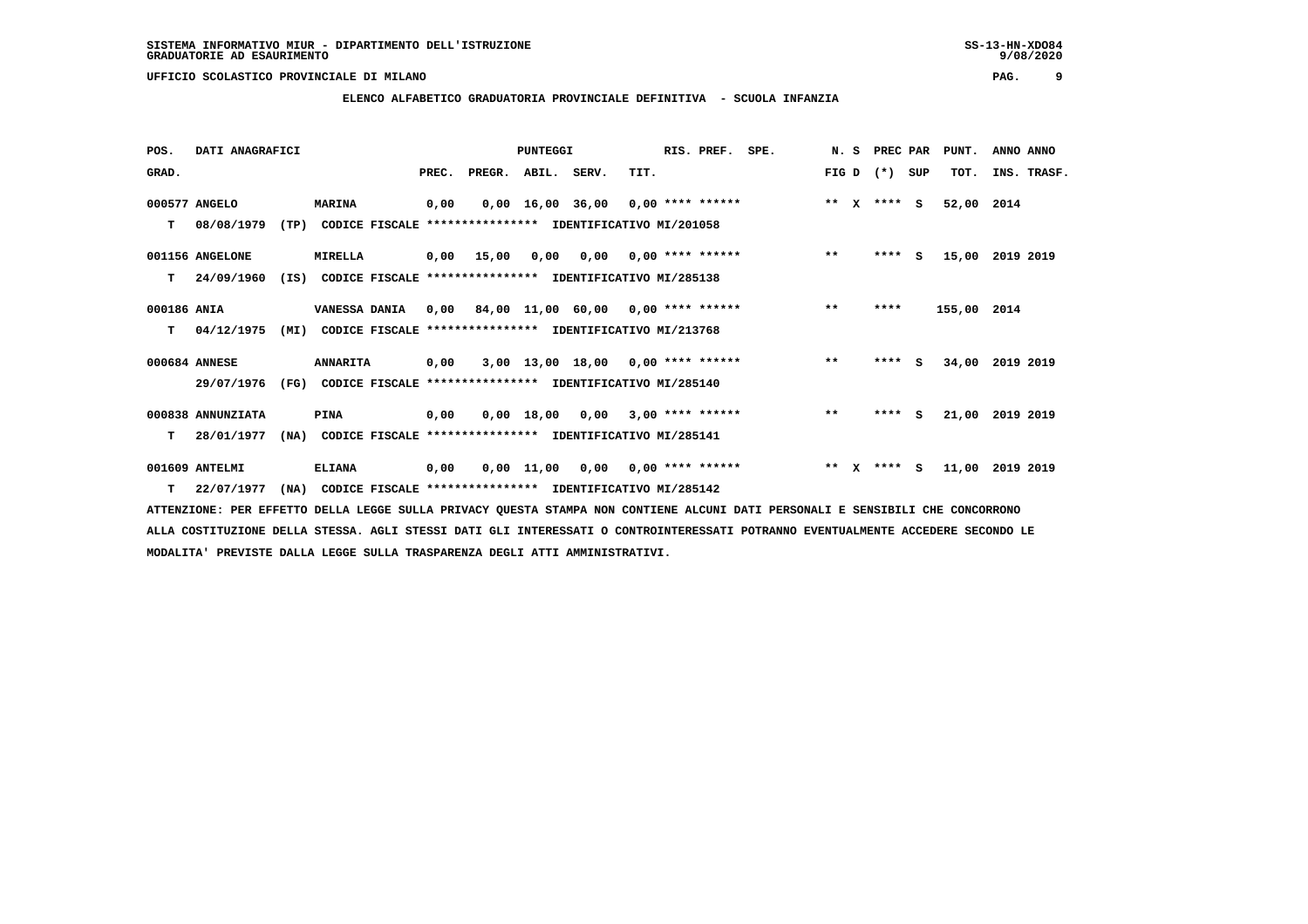**POS. DATI ANAGRAFICI PUNTEGGI RIS. PREF. SPE. N. S PREC PAR PUNT. ANNO ANNO**GRAD. **BRAD. PREC. PREGR. ABIL. SERV.** TIT. THE REGREATER FIG D (\*) SUP TOT. INS. TRASF.  **000577 ANGELO MARINA 0,00 0,00 16,00 36,00 0,00 \*\*\*\* \*\*\*\*\*\* \*\* X \*\*\*\* S 52,00 2014 T 08/08/1979 (TP) CODICE FISCALE \*\*\*\*\*\*\*\*\*\*\*\*\*\*\*\* IDENTIFICATIVO MI/201058 001156 ANGELONE MIRELLA 0,00 15,00 0,00 0,00 0,00 \*\*\*\* \*\*\*\*\*\* \*\* \*\*\*\* S 15,00 2019 2019 T 24/09/1960 (IS) CODICE FISCALE \*\*\*\*\*\*\*\*\*\*\*\*\*\*\*\* IDENTIFICATIVO MI/285138 000186 ANIA VANESSA DANIA 0,00 84,00 11,00 60,00 0,00 \*\*\*\* \*\*\*\*\*\* \*\* \*\*\*\* 155,00 2014 T 04/12/1975 (MI) CODICE FISCALE \*\*\*\*\*\*\*\*\*\*\*\*\*\*\*\* IDENTIFICATIVO MI/213768 000684 ANNESE ANNARITA 0,00 3,00 13,00 18,00 0,00 \*\*\*\* \*\*\*\*\*\* \*\* \*\*\*\* S 34,00 2019 2019 29/07/1976 (FG) CODICE FISCALE \*\*\*\*\*\*\*\*\*\*\*\*\*\*\*\* IDENTIFICATIVO MI/285140 000838 ANNUNZIATA PINA 0,00 0,00 18,00 0,00 3,00 \*\*\*\* \*\*\*\*\*\* \*\* \*\*\*\* S 21,00 2019 2019 T 28/01/1977 (NA) CODICE FISCALE \*\*\*\*\*\*\*\*\*\*\*\*\*\*\*\* IDENTIFICATIVO MI/285141 001609 ANTELMI ELIANA 0,00 0,00 11,00 0,00 0,00 \*\*\*\* \*\*\*\*\*\* \*\* X \*\*\*\* S 11,00 2019 2019**

 **T 22/07/1977 (NA) CODICE FISCALE \*\*\*\*\*\*\*\*\*\*\*\*\*\*\*\* IDENTIFICATIVO MI/285142**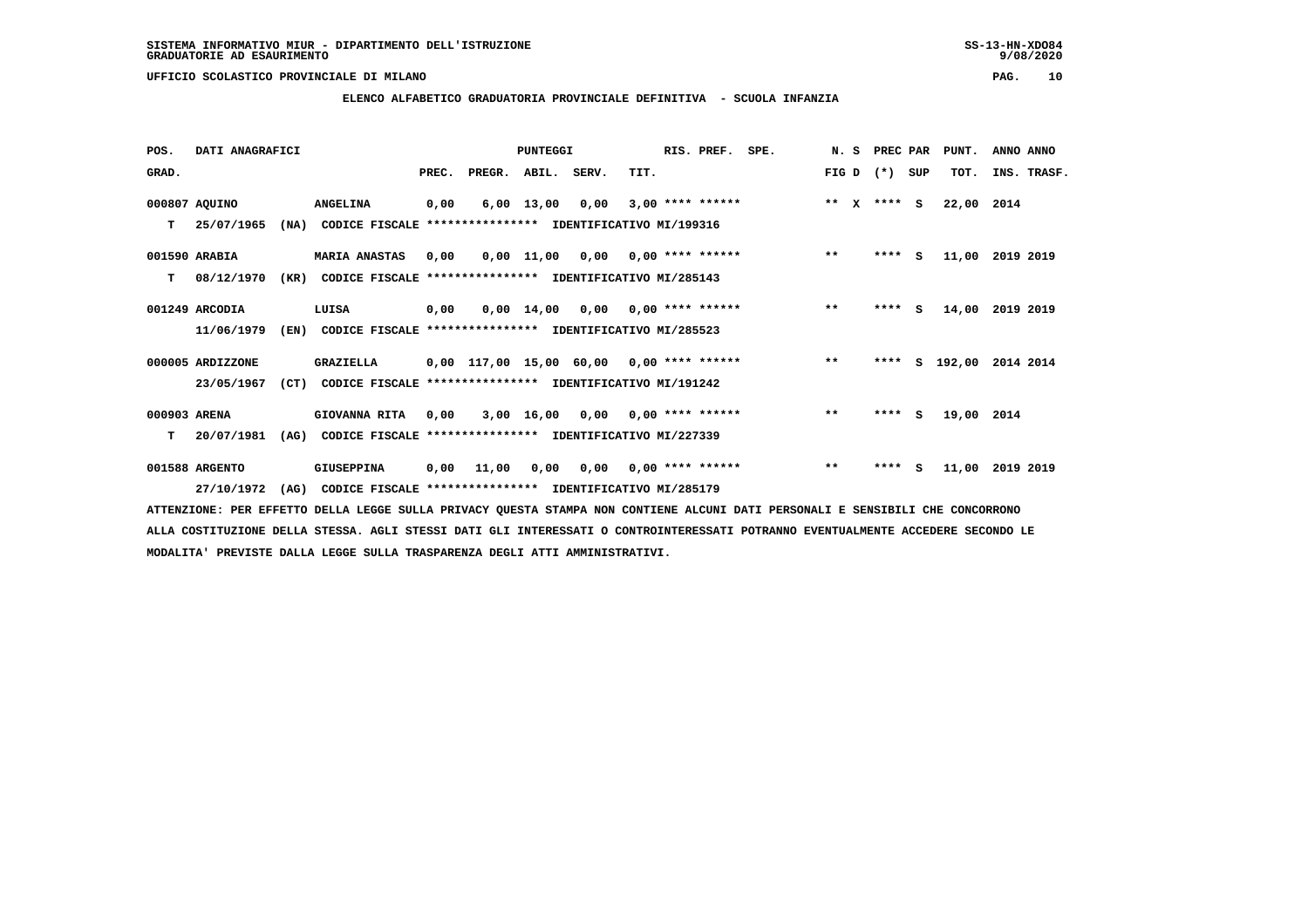**ELENCO ALFABETICO GRADUATORIA PROVINCIALE DEFINITIVA - SCUOLA INFANZIA**

 **POS. DATI ANAGRAFICI PUNTEGGI RIS. PREF. SPE. N. S PREC PAR PUNT. ANNO ANNO**GRAD. **BRAD. PREC. PREGR. ABIL. SERV.** TIT. THE REGREATER FIG D (\*) SUP TOT. INS. TRASF.  **000807 AQUINO ANGELINA 0,00 6,00 13,00 0,00 3,00 \*\*\*\* \*\*\*\*\*\* \*\* X \*\*\*\* S 22,00 2014 T 25/07/1965 (NA) CODICE FISCALE \*\*\*\*\*\*\*\*\*\*\*\*\*\*\*\* IDENTIFICATIVO MI/199316 001590 ARABIA MARIA ANASTAS 0,00 0,00 11,00 0,00 0,00 \*\*\*\* \*\*\*\*\*\* \*\* \*\*\*\* S 11,00 2019 2019 T 08/12/1970 (KR) CODICE FISCALE \*\*\*\*\*\*\*\*\*\*\*\*\*\*\*\* IDENTIFICATIVO MI/285143 001249 ARCODIA LUISA 0,00 0,00 14,00 0,00 0,00 \*\*\*\* \*\*\*\*\*\* \*\* \*\*\*\* S 14,00 2019 2019 11/06/1979 (EN) CODICE FISCALE \*\*\*\*\*\*\*\*\*\*\*\*\*\*\*\* IDENTIFICATIVO MI/285523 000005 ARDIZZONE GRAZIELLA 0,00 117,00 15,00 60,00 0,00 \*\*\*\* \*\*\*\*\*\* \*\* \*\*\*\* S 192,00 2014 2014 23/05/1967 (CT) CODICE FISCALE \*\*\*\*\*\*\*\*\*\*\*\*\*\*\*\* IDENTIFICATIVO MI/191242 000903 ARENA GIOVANNA RITA 0,00 3,00 16,00 0,00 0,00 \*\*\*\* \*\*\*\*\*\* \*\* \*\*\*\* S 19,00 2014 T 20/07/1981 (AG) CODICE FISCALE \*\*\*\*\*\*\*\*\*\*\*\*\*\*\*\* IDENTIFICATIVO MI/227339**

 **001588 ARGENTO GIUSEPPINA 0,00 11,00 0,00 0,00 0,00 \*\*\*\* \*\*\*\*\*\* \*\* \*\*\*\* S 11,00 2019 2019 27/10/1972 (AG) CODICE FISCALE \*\*\*\*\*\*\*\*\*\*\*\*\*\*\*\* IDENTIFICATIVO MI/285179**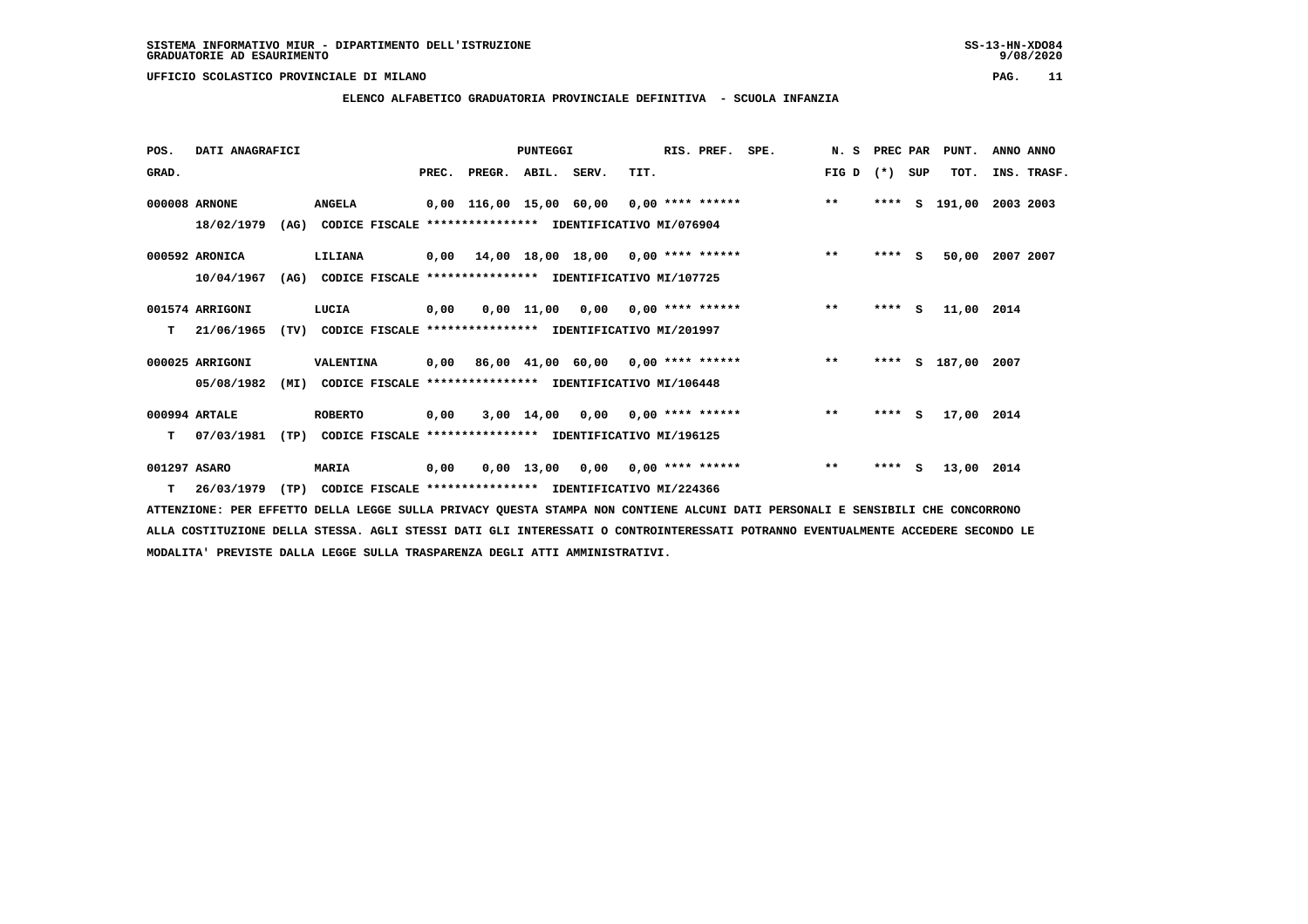**ELENCO ALFABETICO GRADUATORIA PROVINCIALE DEFINITIVA - SCUOLA INFANZIA**

| POS.         | DATI ANAGRAFICI  |      |                                                          |       |                                    | <b>PUNTEGGI</b> |                                    |                    | RIS. PREF. | SPE.               | N. S PREC PAR |         |     | PUNT.         | ANNO ANNO   |  |
|--------------|------------------|------|----------------------------------------------------------|-------|------------------------------------|-----------------|------------------------------------|--------------------|------------|--------------------|---------------|---------|-----|---------------|-------------|--|
| GRAD.        |                  |      |                                                          | PREC. | PREGR.                             | ABIL.           | SERV.                              | TIT.               |            |                    | FIG D         | $(* )$  | SUP | TOT.          | INS. TRASF. |  |
|              | 000008 ARNONE    |      | <b>ANGELA</b>                                            |       | 0,00 116,00 15,00 60,00            |                 |                                    |                    |            | $0.00$ **** ****** | $***$         | ****    | s   | 191,00        | 2003 2003   |  |
|              | 18/02/1979       | (AG) | CODICE FISCALE **************** IDENTIFICATIVO MI/076904 |       |                                    |                 |                                    |                    |            |                    |               |         |     |               |             |  |
|              | 000592 ARONICA   |      | LILIANA                                                  | 0,00  | 14,00 18,00 18,00 0,00 **** ****** |                 |                                    |                    |            |                    | $***$         | $***$ S |     | 50,00         | 2007 2007   |  |
|              | 10/04/1967       | (AG) | CODICE FISCALE **************** IDENTIFICATIVO MI/107725 |       |                                    |                 |                                    |                    |            |                    |               |         |     |               |             |  |
|              | 001574 ARRIGONI  |      | LUCIA                                                    | 0,00  |                                    |                 | $0,00$ 11,00 0,00 0,00 **** ****** |                    |            |                    | $***$         | $***$ S |     | 11,00 2014    |             |  |
| т            | 21/06/1965       | (TV) | CODICE FISCALE **************** IDENTIFICATIVO MI/201997 |       |                                    |                 |                                    |                    |            |                    |               |         |     |               |             |  |
|              | 000025 ARRIGONI  |      | VALENTINA                                                | 0,00  |                                    |                 | 86,00 41,00 60,00 0,00 **** ****** |                    |            |                    | $**$          | ****    |     | S 187,00 2007 |             |  |
|              | 05/08/1982       | (MI) | CODICE FISCALE **************** IDENTIFICATIVO MI/106448 |       |                                    |                 |                                    |                    |            |                    |               |         |     |               |             |  |
|              | 000994 ARTALE    |      | <b>ROBERTO</b>                                           | 0,00  |                                    |                 | $3,00$ 14,00 0,00 0,00 **** ****** |                    |            |                    | $\star\star$  | $***$ S |     | 17,00 2014    |             |  |
| т            | 07/03/1981       | (TP) | CODICE FISCALE **************** IDENTIFICATIVO MI/196125 |       |                                    |                 |                                    |                    |            |                    |               |         |     |               |             |  |
| 001297 ASARO |                  |      | <b>MARIA</b>                                             | 0,00  |                                    | $0,00$ 13,00    | 0,00                               | $0.00$ **** ****** |            |                    | $***$         | $***$ S |     | 13,00 2014    |             |  |
|              | $T = 26/03/1979$ | (TP) | CODICE FISCALE **************** IDENTIFICATIVO MI/224366 |       |                                    |                 |                                    |                    |            |                    |               |         |     |               |             |  |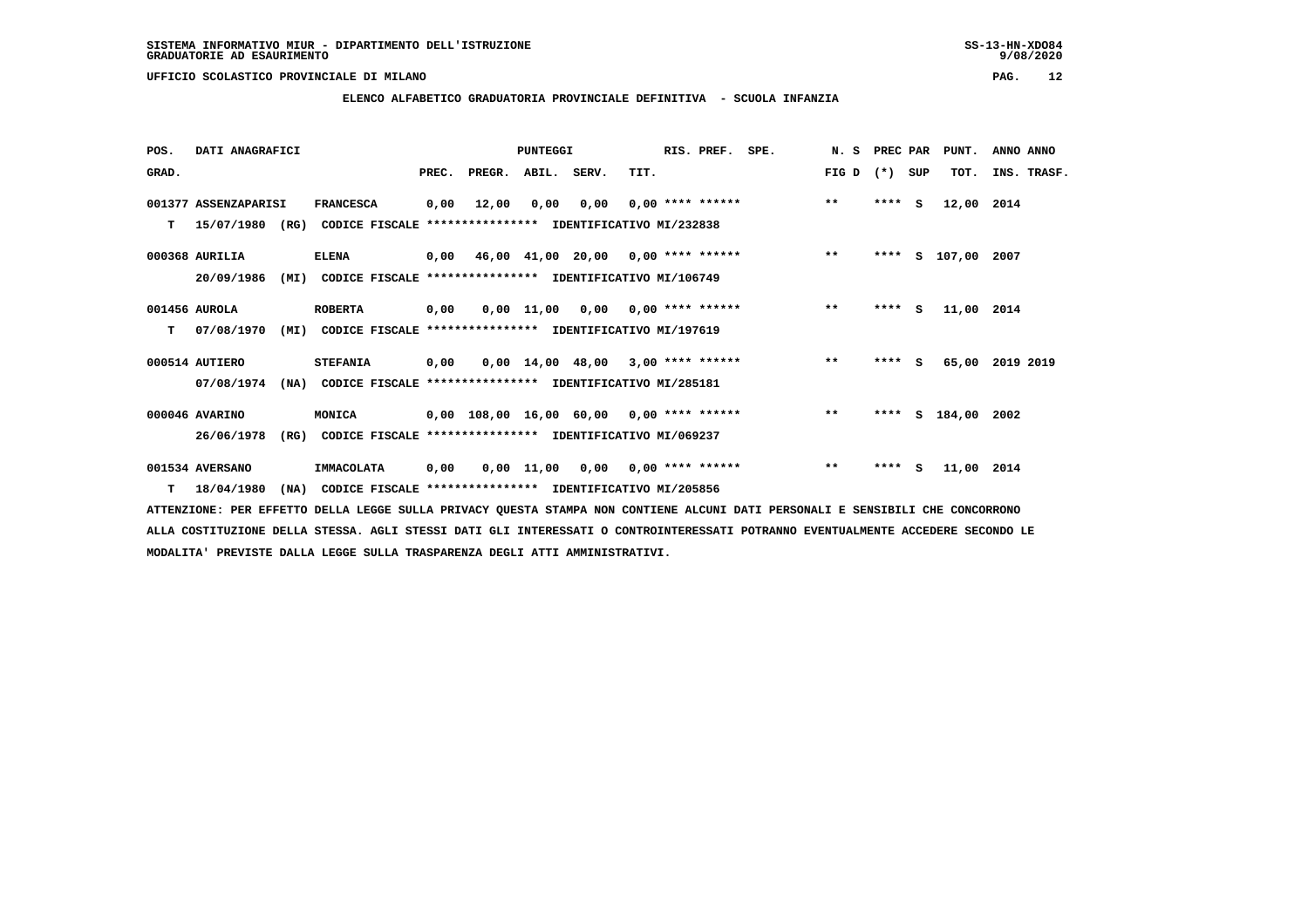### **ELENCO ALFABETICO GRADUATORIA PROVINCIALE DEFINITIVA - SCUOLA INFANZIA**

| POS.  | DATI ANAGRAFICI      |                                                                  |       |                                           | <b>PUNTEGGI</b> |                                     |                           | RIS. PREF. | SPE.               | N.S   | PREC PAR |     | PUNT.         | ANNO ANNO   |  |
|-------|----------------------|------------------------------------------------------------------|-------|-------------------------------------------|-----------------|-------------------------------------|---------------------------|------------|--------------------|-------|----------|-----|---------------|-------------|--|
| GRAD. |                      |                                                                  | PREC. | PREGR. ABIL. SERV.                        |                 |                                     | TIT.                      |            |                    | FIG D | $(*)$    | SUP | TOT.          | INS. TRASF. |  |
|       | 001377 ASSENZAPARISI | <b>FRANCESCA</b>                                                 | 0,00  | 12,00                                     | 0,00            | 0,00                                |                           |            | $0,00$ **** ****** | $***$ | $***$ S  |     | 12,00         | 2014        |  |
| т     | 15/07/1980 (RG)      | CODICE FISCALE **************** IDENTIFICATIVO MI/232838         |       |                                           |                 |                                     |                           |            |                    |       |          |     |               |             |  |
|       | 000368 AURILIA       | <b>ELENA</b>                                                     |       | $0,00$ 46,00 41,00 20,00 0,00 **** ****** |                 |                                     |                           |            |                    | $***$ | ****     |     | S 107,00 2007 |             |  |
|       | 20/09/1986           | (MI)<br>CODICE FISCALE **************** IDENTIFICATIVO MI/106749 |       |                                           |                 |                                     |                           |            |                    |       |          |     |               |             |  |
|       | 001456 AUROLA        | <b>ROBERTA</b>                                                   | 0,00  |                                           |                 | $0,00$ 11,00 0,00 0,00 **** ******  |                           |            |                    | $***$ | $***$ S  |     | 11,00 2014    |             |  |
| т     | 07/08/1970           | CODICE FISCALE **************** IDENTIFICATIVO MI/197619<br>(MI) |       |                                           |                 |                                     |                           |            |                    |       |          |     |               |             |  |
|       | 000514 AUTIERO       | <b>STEFANIA</b>                                                  | 0,00  |                                           |                 | $0.00$ 14.00 48.00 3.00 **** ****** |                           |            |                    | $***$ | $***$ S  |     | 65,00         | 2019 2019   |  |
|       | 07/08/1974           | (NA) CODICE FISCALE **************** IDENTIFICATIVO MI/285181    |       |                                           |                 |                                     |                           |            |                    |       |          |     |               |             |  |
|       | 000046 AVARINO       | MONICA                                                           |       | 0,00 108,00 16,00 60,00 0,00 **** ******  |                 |                                     |                           |            |                    | $***$ | ****     |     | S 184,00 2002 |             |  |
|       | 26/06/1978           | CODICE FISCALE **************** IDENTIFICATIVO MI/069237<br>(RG) |       |                                           |                 |                                     |                           |            |                    |       |          |     |               |             |  |
|       | 001534 AVERSANO      | <b>IMMACOLATA</b>                                                | 0,00  |                                           | 0,00 11,00      |                                     | $0,00$ $0,00$ **** ****** |            |                    | $***$ | $***$ S  |     | 11,00 2014    |             |  |
|       | $T = 18/04/1980$     | (NA)<br>CODICE FISCALE **************** IDENTIFICATIVO MI/205856 |       |                                           |                 |                                     |                           |            |                    |       |          |     |               |             |  |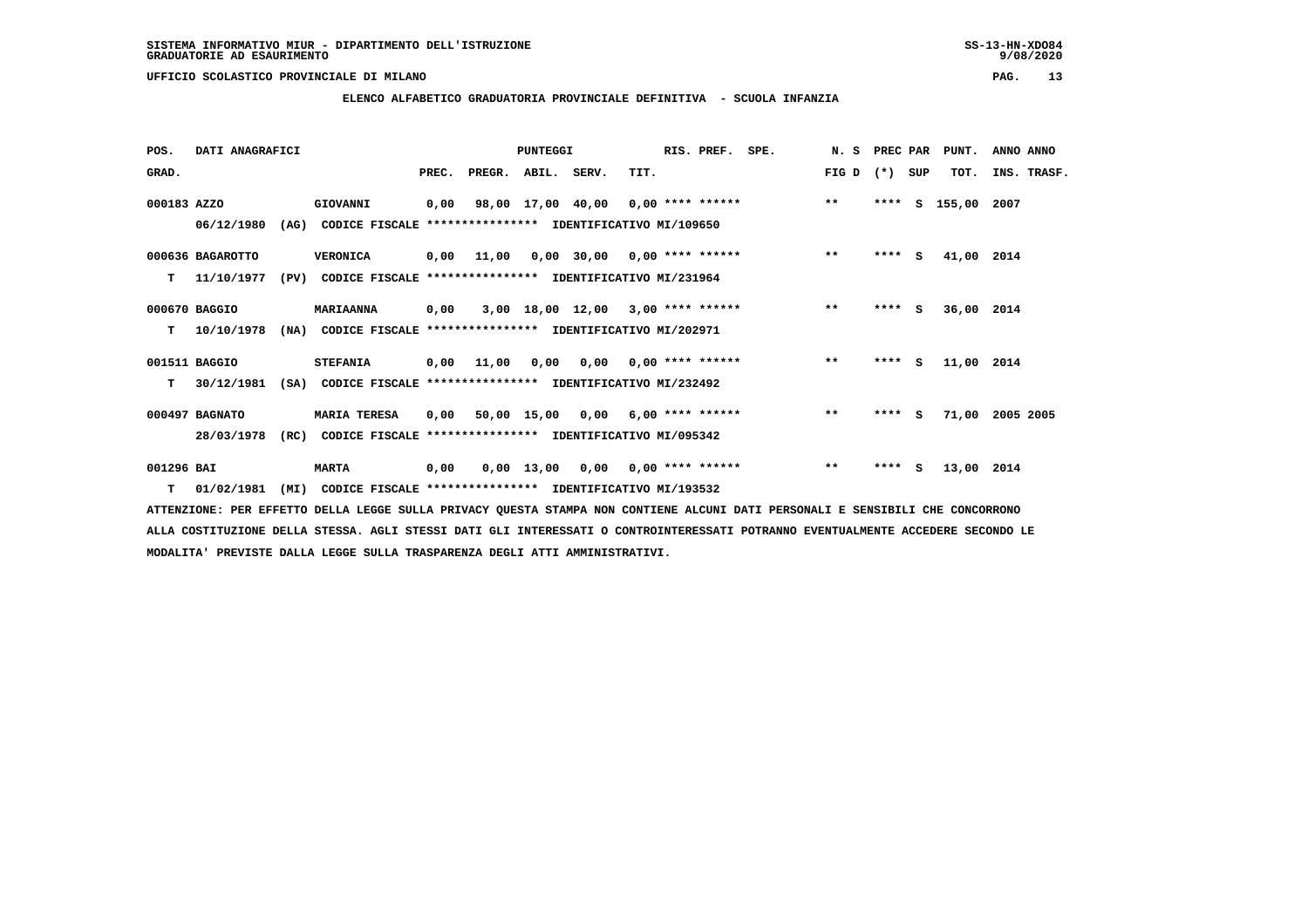## **ELENCO ALFABETICO GRADUATORIA PROVINCIALE DEFINITIVA - SCUOLA INFANZIA**

| POS.        | DATI ANAGRAFICI  |      |                                                               |       |                    | PUNTEGGI |                                          |      | RIS. PREF. | SPE.                               | N. S  | PREC PAR |     | PUNT.       | ANNO ANNO   |
|-------------|------------------|------|---------------------------------------------------------------|-------|--------------------|----------|------------------------------------------|------|------------|------------------------------------|-------|----------|-----|-------------|-------------|
| GRAD.       |                  |      |                                                               | PREC. | PREGR. ABIL. SERV. |          |                                          | TIT. |            |                                    | FIG D | $(*)$    | SUP | TOT.        | INS. TRASF. |
| 000183 AZZO |                  |      | GIOVANNI                                                      | 0,00  |                    |          |                                          |      |            | 98,00 17,00 40,00 0,00 **** ****** | $* *$ | ****     | s   | 155,00 2007 |             |
|             | 06/12/1980       | (AG) | CODICE FISCALE **************** IDENTIFICATIVO MI/109650      |       |                    |          |                                          |      |            |                                    |       |          |     |             |             |
|             | 000636 BAGAROTTO |      | <b>VERONICA</b>                                               |       | 0,00 11,00         |          | $0,00$ 30,00 0,00 **** ******            |      |            |                                    | $***$ | $***$ S  |     | 41,00 2014  |             |
| т           | 11/10/1977       | (PV) | CODICE FISCALE **************** IDENTIFICATIVO MI/231964      |       |                    |          |                                          |      |            |                                    |       |          |     |             |             |
|             | 000670 BAGGIO    |      | <b>MARIAANNA</b>                                              | 0,00  |                    |          | $3,00$ 18,00 12,00 3,00 **** ******      |      |            |                                    | $***$ | $***$ S  |     | 36,00 2014  |             |
| т           | 10/10/1978       |      | (NA) CODICE FISCALE **************** IDENTIFICATIVO MI/202971 |       |                    |          |                                          |      |            |                                    |       |          |     |             |             |
|             | 001511 BAGGIO    |      | <b>STEFANIA</b>                                               |       |                    |          | $0,00$ 11,00 0,00 0,00 0,00 **** ******  |      |            |                                    | $***$ | $***5$   |     | 11,00 2014  |             |
| т           | 30/12/1981       |      | (SA) CODICE FISCALE **************** IDENTIFICATIVO MI/232492 |       |                    |          |                                          |      |            |                                    |       |          |     |             |             |
|             | 000497 BAGNATO   |      | <b>MARIA TERESA</b>                                           |       |                    |          | $0,00$ 50,00 15,00 0,00 6,00 **** ****** |      |            |                                    | $***$ | $***$ S  |     | 71,00       | 2005 2005   |
|             | 28/03/1978       | (RC) | CODICE FISCALE **************** IDENTIFICATIVO MI/095342      |       |                    |          |                                          |      |            |                                    |       |          |     |             |             |
| 001296 BAI  |                  |      | <b>MARTA</b>                                                  | 0,00  |                    |          |                                          |      |            | $0.00$ 13.00 0.00 0.00 **** ****** | $***$ | ****     | S.  | 13,00 2014  |             |
| т           | 01/02/1981       | (MI) | CODICE FISCALE **************** IDENTIFICATIVO MI/193532      |       |                    |          |                                          |      |            |                                    |       |          |     |             |             |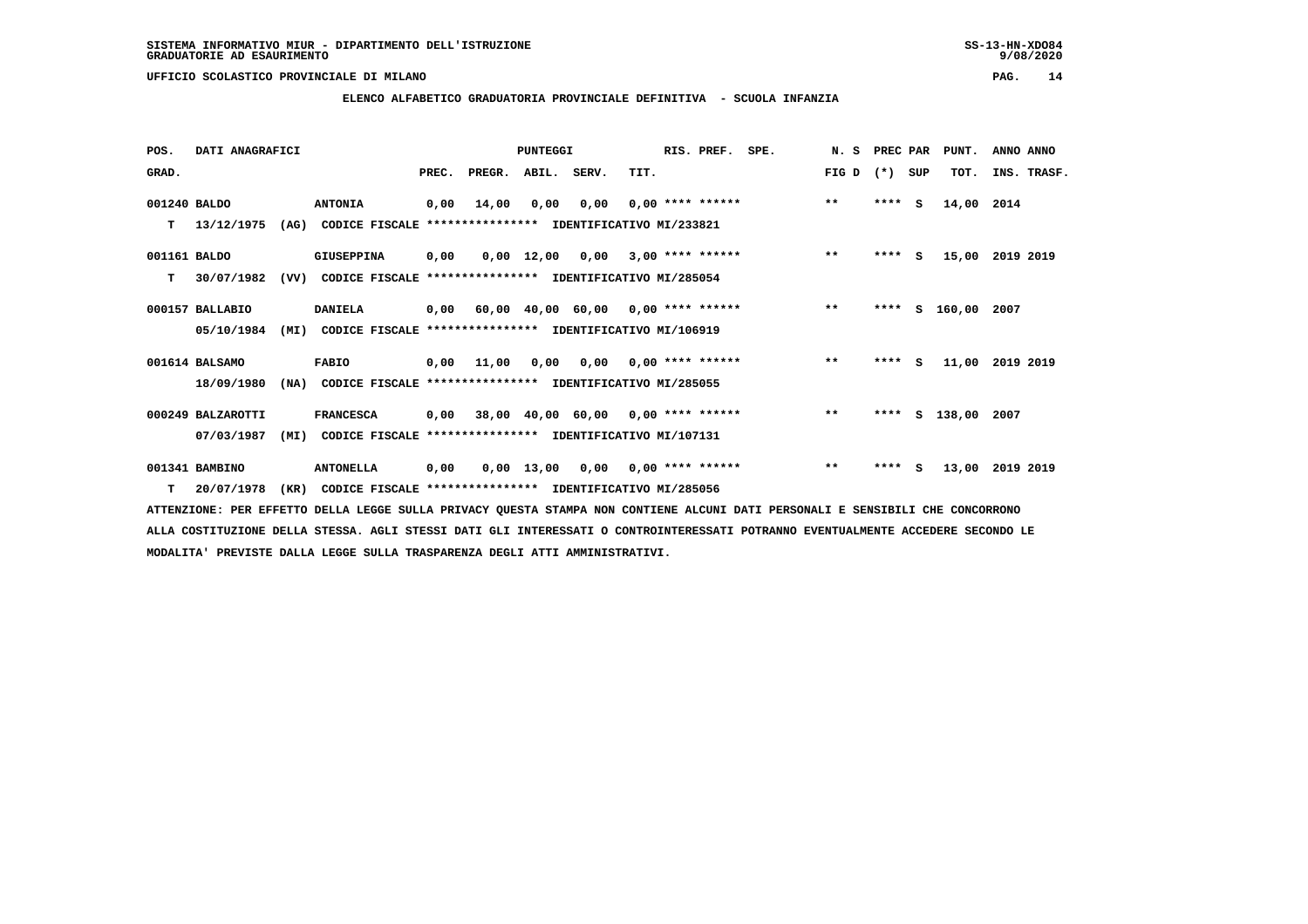**ELENCO ALFABETICO GRADUATORIA PROVINCIALE DEFINITIVA - SCUOLA INFANZIA**

| POS.         | DATI ANAGRAFICI   |      |                                                          |       |                                         | PUNTEGGI |                                        |      | RIS. PREF. SPE.    | N. S PREC PAR |         |     | PUNT.              | ANNO ANNO   |
|--------------|-------------------|------|----------------------------------------------------------|-------|-----------------------------------------|----------|----------------------------------------|------|--------------------|---------------|---------|-----|--------------------|-------------|
| GRAD.        |                   |      |                                                          | PREC. | PREGR. ABIL. SERV.                      |          |                                        | TIT. |                    | FIG D         | $(* )$  | SUP | TOT.               | INS. TRASF. |
| 001240 BALDO |                   |      | <b>ANTONIA</b>                                           | 0,00  | 14,00                                   | 0,00     | 0,00                                   |      | $0.00$ **** ****** | $***$         | $***$ S |     | 14,00              | 2014        |
| т            | 13/12/1975        | (AG) | CODICE FISCALE **************** IDENTIFICATIVO MI/233821 |       |                                         |          |                                        |      |                    |               |         |     |                    |             |
| 001161 BALDO |                   |      | <b>GIUSEPPINA</b>                                        | 0,00  |                                         |          | $0,00$ 12,00 0,00 3,00 **** ******     |      |                    | $***$         | $***$ S |     | 15,00              | 2019 2019   |
| т            | 30/07/1982        | (VV) | CODICE FISCALE **************** IDENTIFICATIVO MI/285054 |       |                                         |          |                                        |      |                    |               |         |     |                    |             |
|              | 000157 BALLABIO   |      | <b>DANIELA</b>                                           |       | 0,00 60,00 40,00 60,00 0,00 **** ****** |          |                                        |      |                    | $**$          | ****    |     | S 160,00 2007      |             |
|              | 05/10/1984        | (MI) | CODICE FISCALE **************** IDENTIFICATIVO MI/106919 |       |                                         |          |                                        |      |                    |               |         |     |                    |             |
|              | 001614 BALSAMO    |      | <b>FABIO</b>                                             | 0,00  | 11,00                                   |          | $0.00$ $0.00$ $0.00$ $***$ **** ****** |      |                    | $***$         | **** S  |     | 11,00              | 2019 2019   |
|              | 18/09/1980        | (NA) | CODICE FISCALE **************** IDENTIFICATIVO MI/285055 |       |                                         |          |                                        |      |                    |               |         |     |                    |             |
|              | 000249 BALZAROTTI |      | <b>FRANCESCA</b>                                         |       | 0,00 38,00 40,00 60,00 0,00 **** ****** |          |                                        |      |                    | $\star\star$  |         |     | **** S 138,00 2007 |             |
|              | 07/03/1987        | (MI) | CODICE FISCALE **************** IDENTIFICATIVO MI/107131 |       |                                         |          |                                        |      |                    |               |         |     |                    |             |
|              | 001341 BAMBINO    |      | <b>ANTONELLA</b>                                         | 0,00  |                                         |          | $0,00$ 13,00 0,00 0,00 **** ******     |      |                    | $***$         | $***$ S |     | 13,00              | 2019 2019   |
|              | $T = 20/07/1978$  | (KR) | CODICE FISCALE **************** IDENTIFICATIVO MI/285056 |       |                                         |          |                                        |      |                    |               |         |     |                    |             |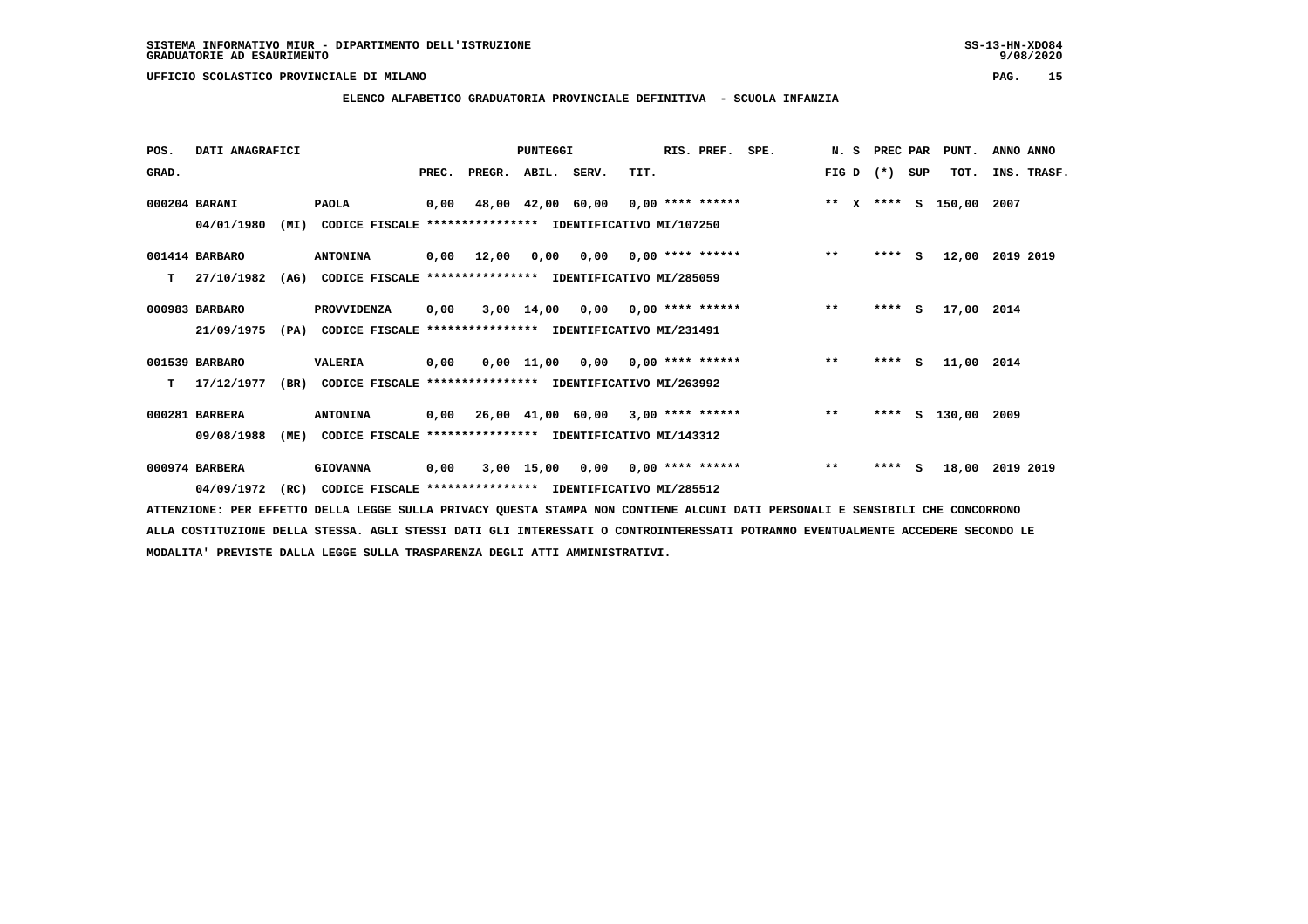### **ELENCO ALFABETICO GRADUATORIA PROVINCIALE DEFINITIVA - SCUOLA INFANZIA**

| POS.  | DATI ANAGRAFICI |      |                                                               |       |                    | PUNTEGGI |                                            |      | RIS. PREF. | SPE.                                                              | N.S   | PREC PAR |          | PUNT.       | ANNO ANNO   |
|-------|-----------------|------|---------------------------------------------------------------|-------|--------------------|----------|--------------------------------------------|------|------------|-------------------------------------------------------------------|-------|----------|----------|-------------|-------------|
| GRAD. |                 |      |                                                               | PREC. | PREGR. ABIL. SERV. |          |                                            | TIT. |            |                                                                   | FIG D | $(* )$   | SUP      | TOT.        | INS. TRASF. |
|       | 000204 BARANI   |      | <b>PAOLA</b>                                                  | 0,00  |                    |          |                                            |      |            | 48,00 42,00 60,00 0,00 **** ****** **** *** ** **** S 150,00 2007 |       |          |          |             |             |
|       | 04/01/1980      | (MI) | CODICE FISCALE **************** IDENTIFICATIVO MI/107250      |       |                    |          |                                            |      |            |                                                                   |       |          |          |             |             |
|       | 001414 BARBARO  |      | <b>ANTONINA</b>                                               |       | 0,00 12,00         |          | $0,00$ $0,00$ $0,00$ $***$ $***$ $***$ $*$ |      |            |                                                                   | $***$ | $***$ S  |          | 12,00       | 2019 2019   |
| т     | 27/10/1982      | (AG) | CODICE FISCALE **************** IDENTIFICATIVO MI/285059      |       |                    |          |                                            |      |            |                                                                   |       |          |          |             |             |
|       | 000983 BARBARO  |      | PROVVIDENZA                                                   | 0,00  |                    |          | 3,00 14,00 0,00 0,00 **** ******           |      |            |                                                                   | $***$ | ****     | <b>S</b> | 17,00 2014  |             |
|       | 21/09/1975      |      | (PA) CODICE FISCALE **************** IDENTIFICATIVO MI/231491 |       |                    |          |                                            |      |            |                                                                   |       |          |          |             |             |
|       | 001539 BARBARO  |      | VALERIA                                                       | 0,00  |                    |          | $0,00$ 11,00 0,00 0,00 **** ******         |      |            |                                                                   | $***$ | $***$ S  |          | 11,00 2014  |             |
| т     | 17/12/1977      | (BR) | CODICE FISCALE **************** IDENTIFICATIVO MI/263992      |       |                    |          |                                            |      |            |                                                                   |       |          |          |             |             |
|       | 000281 BARBERA  |      | <b>ANTONINA</b>                                               |       |                    |          | 0,00 26,00 41,00 60,00 3,00 **** ******    |      |            |                                                                   | $***$ | ****     | s        | 130,00 2009 |             |
|       | 09/08/1988      | (ME) | CODICE FISCALE **************** IDENTIFICATIVO MI/143312      |       |                    |          |                                            |      |            |                                                                   |       |          |          |             |             |
|       | 000974 BARBERA  |      | <b>GIOVANNA</b>                                               | 0,00  |                    |          | 3,00 15,00 0,00 0,00 **** ******           |      |            |                                                                   | $***$ | ****     | <b>S</b> | 18,00       | 2019 2019   |
|       | 04/09/1972      | (RC) | CODICE FISCALE **************** IDENTIFICATIVO MI/285512      |       |                    |          |                                            |      |            |                                                                   |       |          |          |             |             |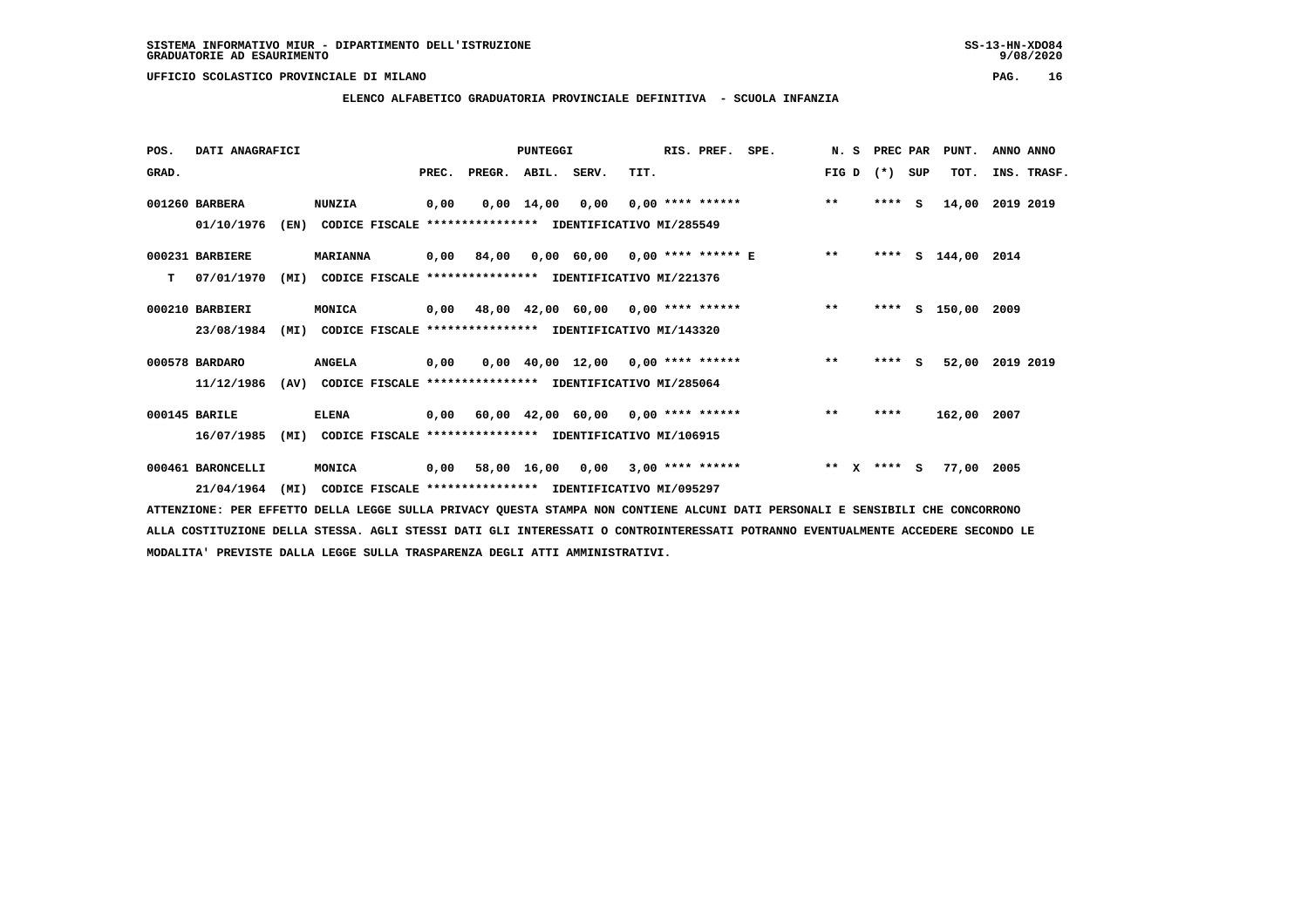**ELENCO ALFABETICO GRADUATORIA PROVINCIALE DEFINITIVA - SCUOLA INFANZIA**

| POS.  | DATI ANAGRAFICI   |      |                                                          |       |                                           | <b>PUNTEGGI</b>    |                                     |      | RIS. PREF. SPE.    |                                    | N. S                  | PREC PAR |          | PUNT.           | ANNO ANNO   |
|-------|-------------------|------|----------------------------------------------------------|-------|-------------------------------------------|--------------------|-------------------------------------|------|--------------------|------------------------------------|-----------------------|----------|----------|-----------------|-------------|
| GRAD. |                   |      |                                                          | PREC. | PREGR.                                    | ABIL. SERV.        |                                     | TIT. |                    |                                    | FIG D                 | $(* )$   | SUP      | TOT.            | INS. TRASF. |
|       | 001260 BARBERA    |      | <b>NUNZIA</b>                                            | 0,00  |                                           | $0,00 \quad 14,00$ | 0,00                                |      | $0,00$ **** ****** |                                    | $***$                 | ****     | <b>S</b> | 14,00           | 2019 2019   |
|       | 01/10/1976        | (EN) | CODICE FISCALE **************** IDENTIFICATIVO MI/285549 |       |                                           |                    |                                     |      |                    |                                    |                       |          |          |                 |             |
|       | 000231 BARBIERE   |      | <b>MARIANNA</b>                                          | 0,00  | 84,00                                     |                    |                                     |      |                    | $0,00$ 60,00 0,00 **** ****** E ** |                       |          |          | **** $S$ 144,00 | 2014        |
| т     | 07/01/1970        | (MI) | CODICE FISCALE **************** IDENTIFICATIVO MI/221376 |       |                                           |                    |                                     |      |                    |                                    |                       |          |          |                 |             |
|       | 000210 BARBIERI   |      | MONICA                                                   |       | $0,00$ 48,00 42,00 60,00 0,00 **** ****** |                    |                                     |      |                    |                                    | $**$                  | ****     |          | S 150,00 2009   |             |
|       | 23/08/1984        | (MI) | CODICE FISCALE **************** IDENTIFICATIVO MI/143320 |       |                                           |                    |                                     |      |                    |                                    |                       |          |          |                 |             |
|       | 000578 BARDARO    |      | <b>ANGELA</b>                                            | 0,00  |                                           |                    | $0,00$ 40,00 12,00 0,00 **** ****** |      |                    |                                    | $***$                 | $***$ S  |          | 52,00           | 2019 2019   |
|       | 11/12/1986        | (AV) | CODICE FISCALE **************** IDENTIFICATIVO MI/285064 |       |                                           |                    |                                     |      |                    |                                    |                       |          |          |                 |             |
|       | 000145 BARILE     |      | <b>ELENA</b>                                             |       | $0,00$ 60,00 42,00 60,00 0,00 **** ****** |                    |                                     |      |                    |                                    | $**$                  | ****     |          | 162,00 2007     |             |
|       | 16/07/1985        | (MI) | CODICE FISCALE **************** IDENTIFICATIVO MI/106915 |       |                                           |                    |                                     |      |                    |                                    |                       |          |          |                 |             |
|       | 000461 BARONCELLI |      | MONICA                                                   | 0,00  |                                           | 58,00 16,00 0,00   |                                     |      | $3,00$ **** ****** |                                    | $* *$<br>$\mathbf{x}$ | **** S   |          | 77,00 2005      |             |
|       | 21/04/1964        | (MI) | CODICE FISCALE **************** IDENTIFICATIVO MI/095297 |       |                                           |                    |                                     |      |                    |                                    |                       |          |          |                 |             |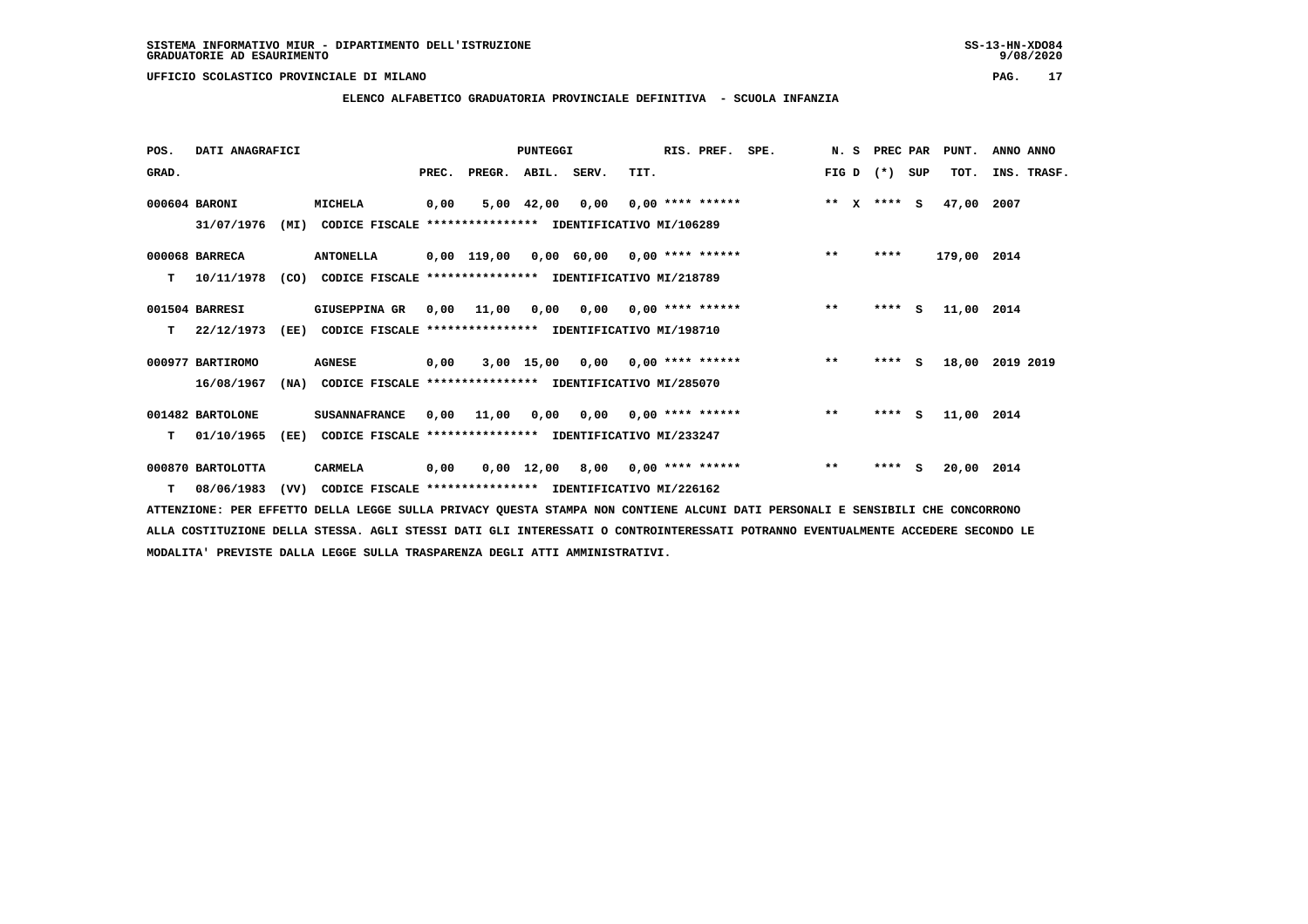### **ELENCO ALFABETICO GRADUATORIA PROVINCIALE DEFINITIVA - SCUOLA INFANZIA**

| POS.  | DATI ANAGRAFICI   |      |                                                          |       |                                           | <b>PUNTEGGI</b> |                                       |      | RIS. PREF.                | SPE. | N.S     | PREC PAR |     | PUNT.       | ANNO ANNO   |  |
|-------|-------------------|------|----------------------------------------------------------|-------|-------------------------------------------|-----------------|---------------------------------------|------|---------------------------|------|---------|----------|-----|-------------|-------------|--|
| GRAD. |                   |      |                                                          | PREC. | PREGR. ABIL. SERV.                        |                 |                                       | TIT. |                           |      | FIG D   | $(*)$    | SUP | TOT.        | INS. TRASF. |  |
|       | 000604 BARONI     |      | MICHELA                                                  | 0,00  |                                           | 5,00 42,00      | 0,00                                  |      | $0.00$ **** ******        |      | $***$ X | $***$ S  |     | 47,00       | 2007        |  |
|       | 31/07/1976        | (MI) | CODICE FISCALE **************** IDENTIFICATIVO MI/106289 |       |                                           |                 |                                       |      |                           |      |         |          |     |             |             |  |
|       | 000068 BARRECA    |      | <b>ANTONELLA</b>                                         |       | $0,00$ 119,00 0,00 60,00 0,00 **** ****** |                 |                                       |      |                           |      | $***$   | ****     |     | 179,00 2014 |             |  |
| т     | 10/11/1978        | (CO) | CODICE FISCALE **************** IDENTIFICATIVO MI/218789 |       |                                           |                 |                                       |      |                           |      |         |          |     |             |             |  |
|       | 001504 BARRESI    |      | GIUSEPPINA GR                                            |       | $0,00$ $11,00$                            | 0,00            |                                       |      | $0,00$ $0,00$ **** ****** |      | $***$   | ****     | S.  | 11,00 2014  |             |  |
| т     | 22/12/1973        | (EE) | CODICE FISCALE **************** IDENTIFICATIVO MI/198710 |       |                                           |                 |                                       |      |                           |      |         |          |     |             |             |  |
|       | 000977 BARTIROMO  |      | <b>AGNESE</b>                                            | 0,00  |                                           |                 | $3,00$ 15,00 0,00 0,00 **** ******    |      |                           |      | $***$   | ****     | S.  | 18,00       | 2019 2019   |  |
|       | 16/08/1967        | (NA) | CODICE FISCALE **************** IDENTIFICATIVO MI/285070 |       |                                           |                 |                                       |      |                           |      |         |          |     |             |             |  |
|       | 001482 BARTOLONE  |      | <b>SUSANNAFRANCE</b>                                     | 0,00  | 11,00                                     |                 | $0,00$ $0,00$ $0,00$ $***$ **** ***** |      |                           |      | $***$   | $***$ S  |     | 11,00 2014  |             |  |
| т     | 01/10/1965        | (EE) | CODICE FISCALE **************** IDENTIFICATIVO MI/233247 |       |                                           |                 |                                       |      |                           |      |         |          |     |             |             |  |
|       | 000870 BARTOLOTTA |      | CARMELA                                                  | 0,00  |                                           |                 | $0,00$ 12,00 8,00 0,00 **** ******    |      |                           |      | $***$   | $***$ S  |     | 20,00 2014  |             |  |
| т     | 08/06/1983        | (VV) | CODICE FISCALE **************** IDENTIFICATIVO MI/226162 |       |                                           |                 |                                       |      |                           |      |         |          |     |             |             |  |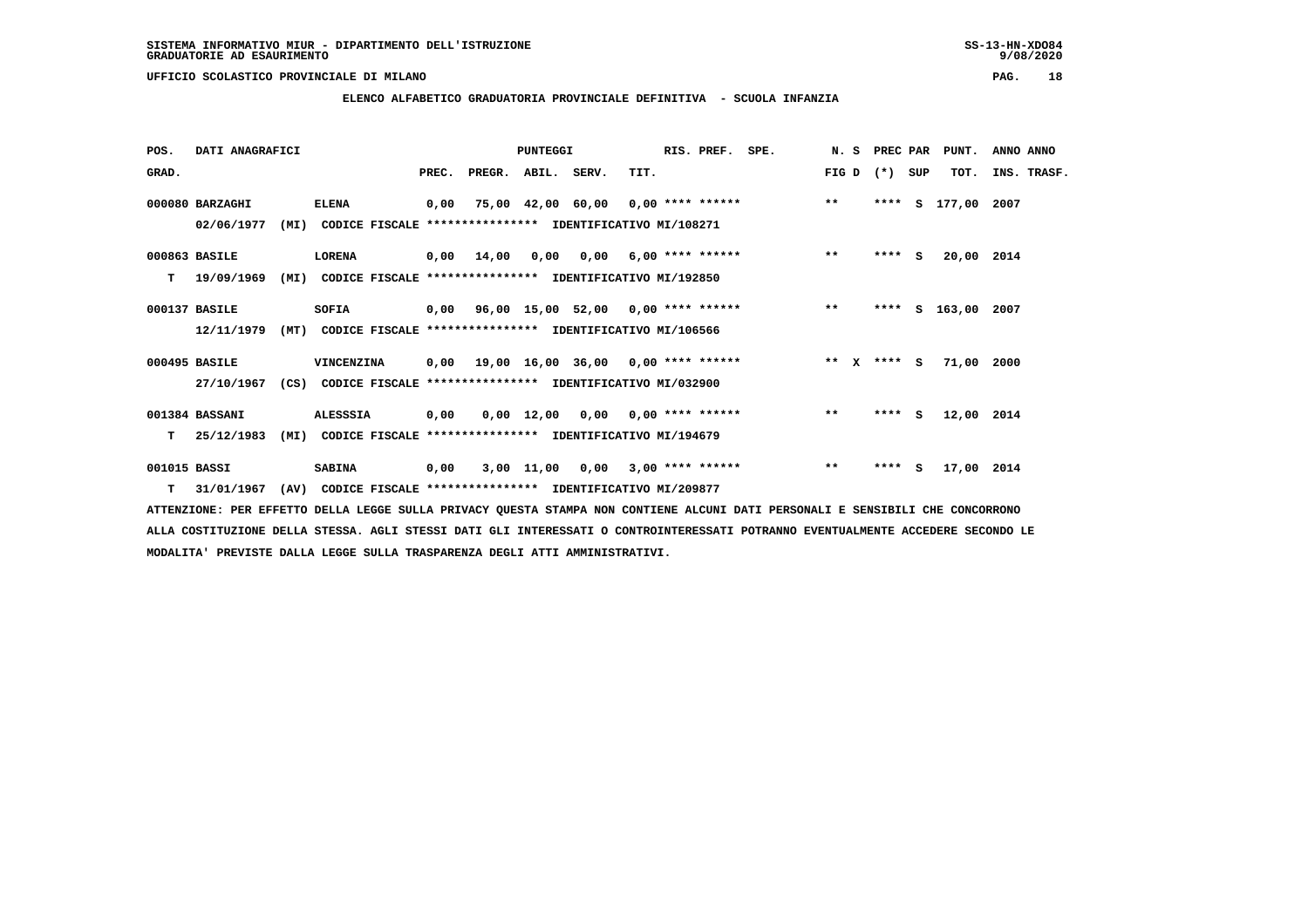### **ELENCO ALFABETICO GRADUATORIA PROVINCIALE DEFINITIVA - SCUOLA INFANZIA**

| POS.         | DATI ANAGRAFICI  |      |                                                               |       |                                                         | PUNTEGGI |                                    |      | RIS. PREF.         | SPE.                               | N. S         | PREC PAR  |   | PUNT.              | ANNO ANNO |             |
|--------------|------------------|------|---------------------------------------------------------------|-------|---------------------------------------------------------|----------|------------------------------------|------|--------------------|------------------------------------|--------------|-----------|---|--------------------|-----------|-------------|
| GRAD.        |                  |      |                                                               | PREC. | PREGR. ABIL. SERV.                                      |          |                                    | TIT. |                    |                                    | FIG D        | $(*)$ SUP |   | TOT.               |           | INS. TRASF. |
|              | 000080 BARZAGHI  |      | <b>ELENA</b>                                                  | 0,00  |                                                         |          |                                    |      |                    | 75,00 42,00 60,00 0,00 **** ****** | $***$        |           |   | **** S 177,00 2007 |           |             |
|              | 02/06/1977       | (MI) | CODICE FISCALE **************** IDENTIFICATIVO MI/108271      |       |                                                         |          |                                    |      |                    |                                    |              |           |   |                    |           |             |
|              | 000863 BASILE    |      | <b>LORENA</b>                                                 |       | 0,00 14,00                                              | 0,00     | 0,00                               |      | $6,00$ **** ****** |                                    | $\star\star$ | $***$ S   |   | 20,00 2014         |           |             |
| т            | 19/09/1969       | (MI) | CODICE FISCALE **************** IDENTIFICATIVO MI/192850      |       |                                                         |          |                                    |      |                    |                                    |              |           |   |                    |           |             |
|              | 000137 BASILE    |      | SOFIA                                                         |       | $0,00$ $96,00$ $15,00$ $52,00$ $0,00$ $***$ **** ****** |          |                                    |      |                    |                                    | $**$         | ****      | s | 163,00 2007        |           |             |
|              | 12/11/1979       | (MT) | CODICE FISCALE **************** IDENTIFICATIVO MI/106566      |       |                                                         |          |                                    |      |                    |                                    |              |           |   |                    |           |             |
|              | 000495 BASILE    |      | VINCENZINA                                                    | 0,00  | 19,00 16,00 36,00 0,00 **** ******                      |          |                                    |      |                    | $*** x*** s$                       |              |           |   | 71,00 2000         |           |             |
|              | 27/10/1967       |      | (CS) CODICE FISCALE **************** IDENTIFICATIVO MI/032900 |       |                                                         |          |                                    |      |                    |                                    |              |           |   |                    |           |             |
|              | 001384 BASSANI   |      | ALESSSIA                                                      | 0,00  |                                                         |          | $0,00$ 12,00 0,00 0,00 **** ****** |      |                    |                                    | $\star\star$ | **** S    |   | 12,00 2014         |           |             |
| т            | 25/12/1983       | (MI) | CODICE FISCALE **************** IDENTIFICATIVO MI/194679      |       |                                                         |          |                                    |      |                    |                                    |              |           |   |                    |           |             |
| 001015 BASSI |                  |      | <b>SABINA</b>                                                 | 0,00  |                                                         |          | 3,00 11,00 0,00                    |      | $3,00$ **** ****** |                                    | $\star\star$ | **** S    |   | 17,00 2014         |           |             |
|              | $T = 31/01/1967$ |      | (AV) CODICE FISCALE **************** IDENTIFICATIVO MI/209877 |       |                                                         |          |                                    |      |                    |                                    |              |           |   |                    |           |             |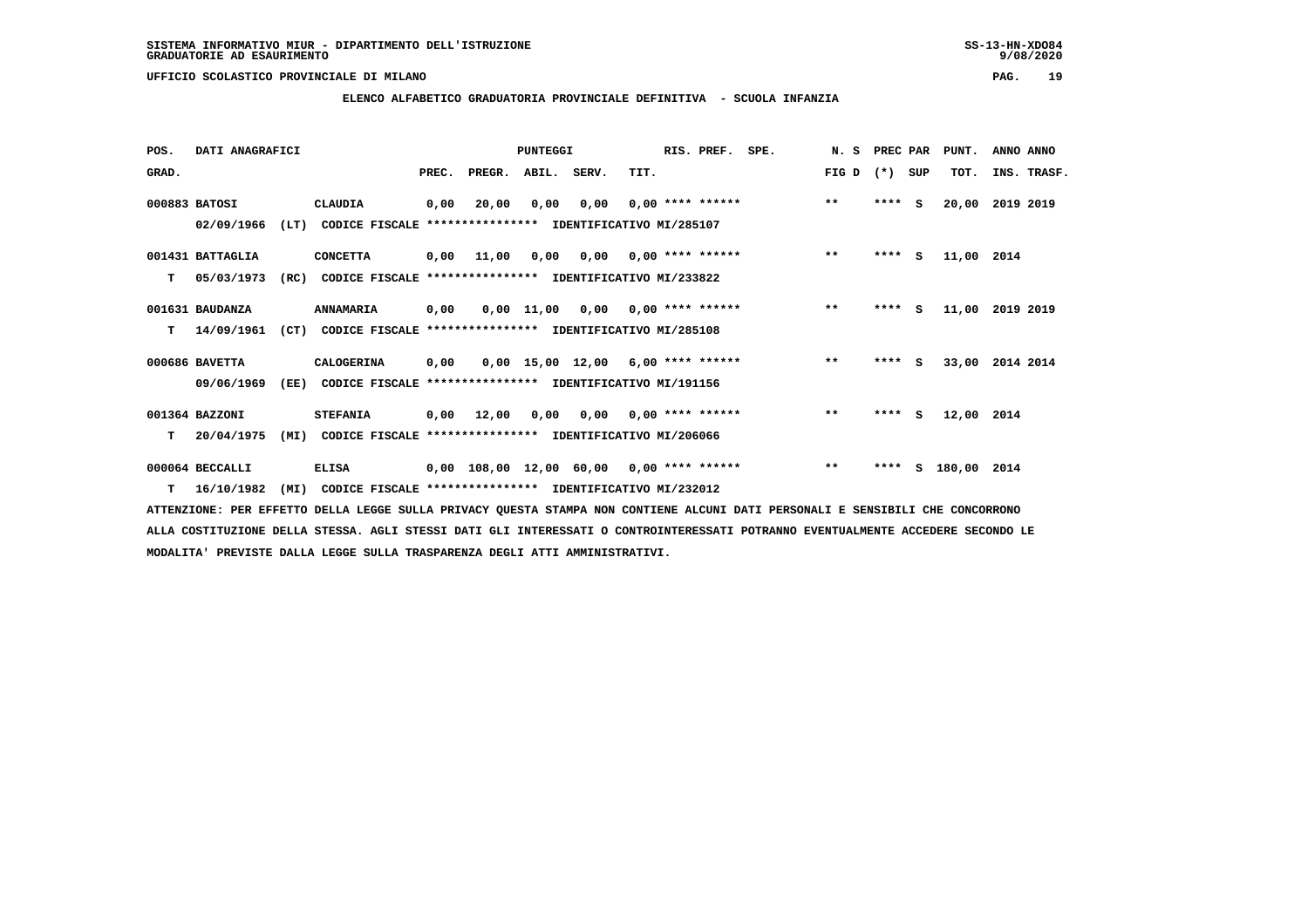**ELENCO ALFABETICO GRADUATORIA PROVINCIALE DEFINITIVA - SCUOLA INFANZIA**

 **POS. DATI ANAGRAFICI PUNTEGGI RIS. PREF. SPE. N. S PREC PAR PUNT. ANNO ANNO**GRAD. **BRAD. PREC. PREGR. ABIL. SERV.** TIT. THE REGREATER FIG D (\*) SUP TOT. INS. TRASF.  **000883 BATOSI CLAUDIA 0,00 20,00 0,00 0,00 0,00 \*\*\*\* \*\*\*\*\*\* \*\* \*\*\*\* S 20,00 2019 2019 02/09/1966 (LT) CODICE FISCALE \*\*\*\*\*\*\*\*\*\*\*\*\*\*\*\* IDENTIFICATIVO MI/285107 001431 BATTAGLIA CONCETTA 0,00 11,00 0,00 0,00 0,00 \*\*\*\* \*\*\*\*\*\* \*\* \*\*\*\* S 11,00 2014 T 05/03/1973 (RC) CODICE FISCALE \*\*\*\*\*\*\*\*\*\*\*\*\*\*\*\* IDENTIFICATIVO MI/233822 001631 BAUDANZA ANNAMARIA 0,00 0,00 11,00 0,00 0,00 \*\*\*\* \*\*\*\*\*\* \*\* \*\*\*\* S 11,00 2019 2019 T 14/09/1961 (CT) CODICE FISCALE \*\*\*\*\*\*\*\*\*\*\*\*\*\*\*\* IDENTIFICATIVO MI/285108 000686 BAVETTA CALOGERINA 0,00 0,00 15,00 12,00 6,00 \*\*\*\* \*\*\*\*\*\* \*\* \*\*\*\* S 33,00 2014 2014 09/06/1969 (EE) CODICE FISCALE \*\*\*\*\*\*\*\*\*\*\*\*\*\*\*\* IDENTIFICATIVO MI/191156 001364 BAZZONI STEFANIA 0,00 12,00 0,00 0,00 0,00 \*\*\*\* \*\*\*\*\*\* \*\* \*\*\*\* S 12,00 2014 T 20/04/1975 (MI) CODICE FISCALE \*\*\*\*\*\*\*\*\*\*\*\*\*\*\*\* IDENTIFICATIVO MI/206066 000064 BECCALLI ELISA 0,00 108,00 12,00 60,00 0,00 \*\*\*\* \*\*\*\*\*\* \*\* \*\*\*\* S 180,00 2014**

 **T 16/10/1982 (MI) CODICE FISCALE \*\*\*\*\*\*\*\*\*\*\*\*\*\*\*\* IDENTIFICATIVO MI/232012**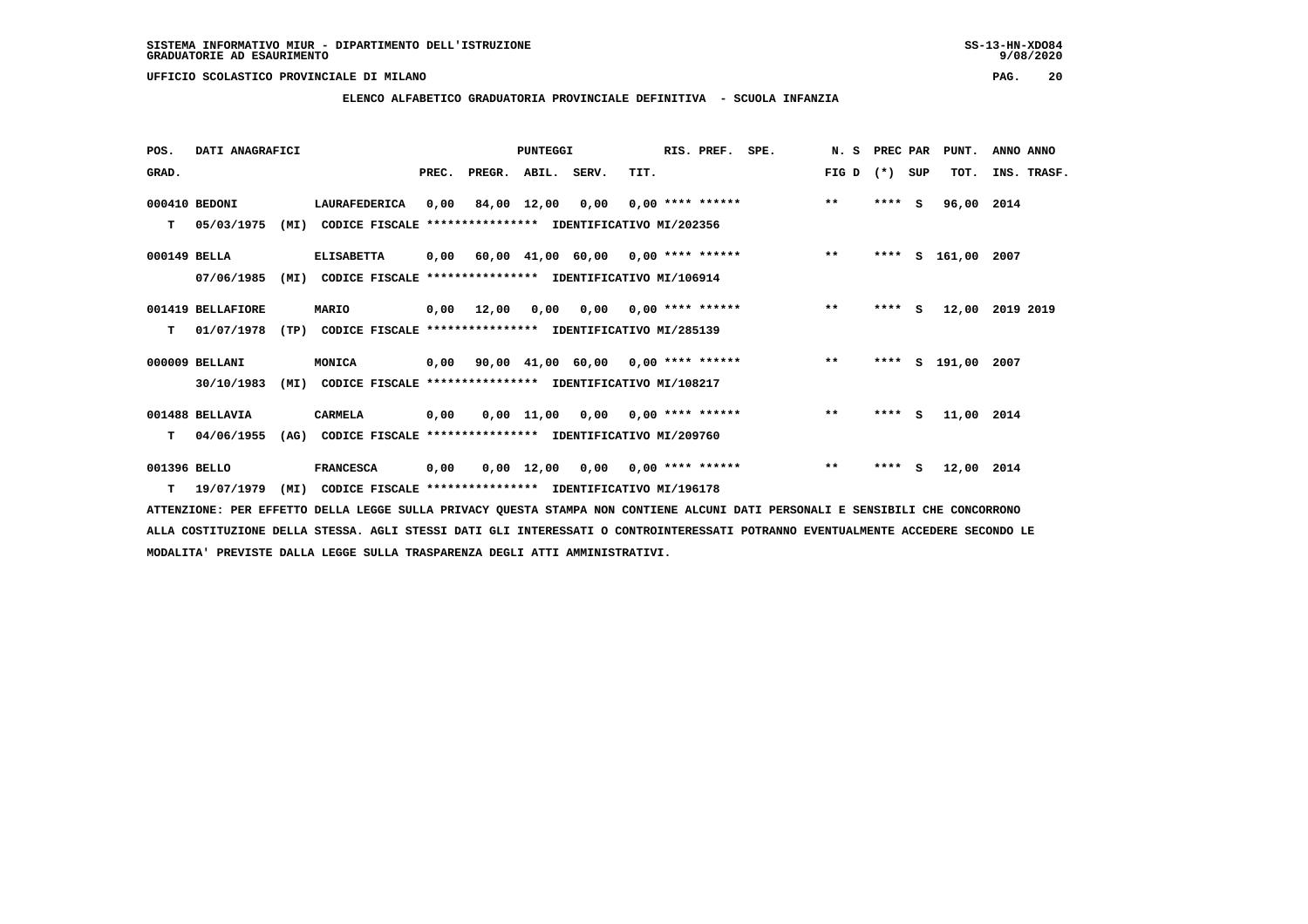### **ELENCO ALFABETICO GRADUATORIA PROVINCIALE DEFINITIVA - SCUOLA INFANZIA**

 **POS. DATI ANAGRAFICI PUNTEGGI RIS. PREF. SPE. N. S PREC PAR PUNT. ANNO ANNO**GRAD. **BRAD. PREC. PREGR. ABIL. SERV.** TIT. THE REGREATER FIG D (\*) SUP TOT. INS. TRASF.  **000410 BEDONI LAURAFEDERICA 0,00 84,00 12,00 0,00 0,00 \*\*\*\* \*\*\*\*\*\* \*\* \*\*\*\* S 96,00 2014 T 05/03/1975 (MI) CODICE FISCALE \*\*\*\*\*\*\*\*\*\*\*\*\*\*\*\* IDENTIFICATIVO MI/202356 000149 BELLA ELISABETTA 0,00 60,00 41,00 60,00 0,00 \*\*\*\* \*\*\*\*\*\* \*\* \*\*\*\* S 161,00 2007 07/06/1985 (MI) CODICE FISCALE \*\*\*\*\*\*\*\*\*\*\*\*\*\*\*\* IDENTIFICATIVO MI/106914 001419 BELLAFIORE MARIO 0,00 12,00 0,00 0,00 0,00 \*\*\*\* \*\*\*\*\*\* \*\* \*\*\*\* S 12,00 2019 2019 T 01/07/1978 (TP) CODICE FISCALE \*\*\*\*\*\*\*\*\*\*\*\*\*\*\*\* IDENTIFICATIVO MI/285139 000009 BELLANI MONICA 0,00 90,00 41,00 60,00 0,00 \*\*\*\* \*\*\*\*\*\* \*\* \*\*\*\* S 191,00 2007 30/10/1983 (MI) CODICE FISCALE \*\*\*\*\*\*\*\*\*\*\*\*\*\*\*\* IDENTIFICATIVO MI/108217 001488 BELLAVIA CARMELA 0,00 0,00 11,00 0,00 0,00 \*\*\*\* \*\*\*\*\*\* \*\* \*\*\*\* S 11,00 2014 T 04/06/1955 (AG) CODICE FISCALE \*\*\*\*\*\*\*\*\*\*\*\*\*\*\*\* IDENTIFICATIVO MI/209760**

 **001396 BELLO FRANCESCA 0,00 0,00 12,00 0,00 0,00 \*\*\*\* \*\*\*\*\*\* \*\* \*\*\*\* S 12,00 2014 T 19/07/1979 (MI) CODICE FISCALE \*\*\*\*\*\*\*\*\*\*\*\*\*\*\*\* IDENTIFICATIVO MI/196178**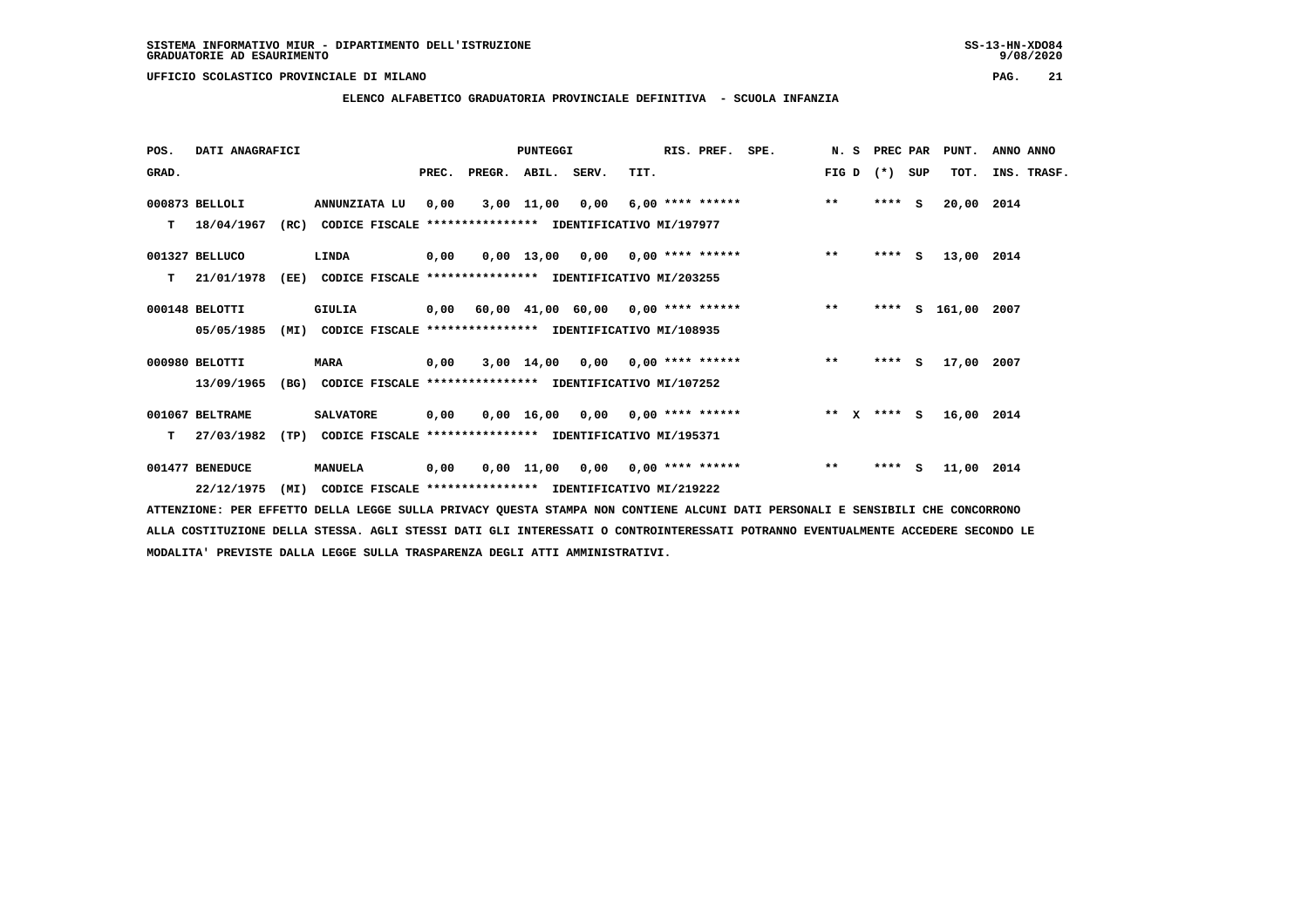**ELENCO ALFABETICO GRADUATORIA PROVINCIALE DEFINITIVA - SCUOLA INFANZIA**

| POS.  | DATI ANAGRAFICI |      |                                                               |       |                                           | PUNTEGGI   |                 |      | RIS. PREF.         | SPE. |              | N. S PREC PAR |     | PUNT.       | ANNO ANNO   |
|-------|-----------------|------|---------------------------------------------------------------|-------|-------------------------------------------|------------|-----------------|------|--------------------|------|--------------|---------------|-----|-------------|-------------|
| GRAD. |                 |      |                                                               | PREC. | PREGR.                                    | ABIL.      | SERV.           | TIT. |                    |      | FIG D        | $(* )$        | SUP | TOT.        | INS. TRASF. |
|       | 000873 BELLOLI  |      | ANNUNZIATA LU                                                 | 0.00  |                                           | 3,00 11,00 | 0.00            |      | 6,00 **** ******   |      | $***$        | $***$ S       |     | 20,00 2014  |             |
| T.    | 18/04/1967      |      | (RC) CODICE FISCALE                                           |       | **************** IDENTIFICATIVO MI/197977 |            |                 |      |                    |      |              |               |     |             |             |
|       | 001327 BELLUCO  |      | LINDA                                                         | 0,00  |                                           |            | 0,00 13,00 0,00 |      | $0.00$ **** ****** |      | $\star\star$ | $***$ S       |     | 13,00 2014  |             |
| т     | 21/01/1978      | (EE) | CODICE FISCALE **************** IDENTIFICATIVO MI/203255      |       |                                           |            |                 |      |                    |      |              |               |     |             |             |
|       | 000148 BELOTTI  |      | GIULIA                                                        |       | $0,00$ 60,00 41,00 60,00 0,00 **** ****** |            |                 |      |                    |      | $***$        | ****          | s   | 161,00 2007 |             |
|       | 05/05/1985      |      | (MI) CODICE FISCALE **************** IDENTIFICATIVO MI/108935 |       |                                           |            |                 |      |                    |      |              |               |     |             |             |
|       | 000980 BELOTTI  |      | <b>MARA</b>                                                   | 0,00  |                                           |            | 3,00 14,00 0,00 |      | $0.00$ **** ****** |      | $***$        | $***$ S       |     | 17,00 2007  |             |
|       | 13/09/1965      | (BG) | CODICE FISCALE **************** IDENTIFICATIVO MI/107252      |       |                                           |            |                 |      |                    |      |              |               |     |             |             |
|       | 001067 BELTRAME |      | <b>SALVATORE</b>                                              | 0,00  |                                           |            | 0,00 16,00 0,00 |      | $0.00$ **** ****** |      |              | ** x **** S   |     | 16,00 2014  |             |
| T.    | 27/03/1982      |      | (TP) CODICE FISCALE **************** IDENTIFICATIVO MI/195371 |       |                                           |            |                 |      |                    |      |              |               |     |             |             |
|       | 001477 BENEDUCE |      | <b>MANUELA</b>                                                | 0,00  |                                           |            | 0,00 11,00 0,00 |      | $0.00$ **** ****** |      | $***$        | $***$ S       |     | 11,00 2014  |             |
|       | 22/12/1975      | (MI) | CODICE FISCALE **************** IDENTIFICATIVO MI/219222      |       |                                           |            |                 |      |                    |      |              |               |     |             |             |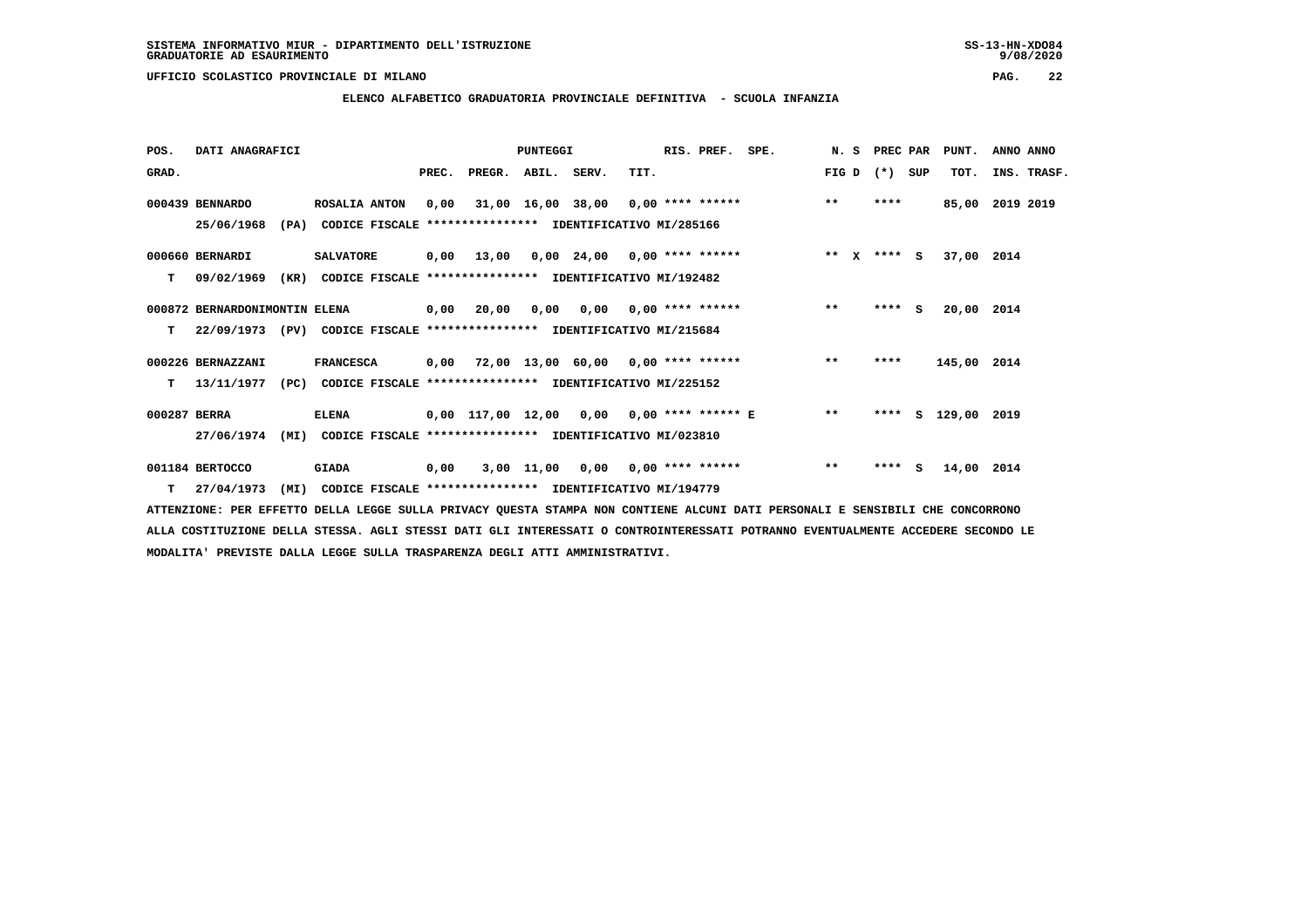### **ELENCO ALFABETICO GRADUATORIA PROVINCIALE DEFINITIVA - SCUOLA INFANZIA**

| POS.         | DATI ANAGRAFICI               |                                                                          |      |                          | <b>PUNTEGGI</b> |                                    |      | RIS. PREF. | SPE.                                                        | N.S   | <b>PREC PAR</b> | PUNT.         | ANNO ANNO       |  |
|--------------|-------------------------------|--------------------------------------------------------------------------|------|--------------------------|-----------------|------------------------------------|------|------------|-------------------------------------------------------------|-------|-----------------|---------------|-----------------|--|
| GRAD.        |                               |                                                                          |      | PREC. PREGR. ABIL. SERV. |                 |                                    | TIT. |            |                                                             |       | FIG D $(*)$ SUP | TOT.          | INS. TRASF.     |  |
|              | 000439 BENNARDO               | <b>ROSALIA ANTON</b>                                                     |      |                          |                 |                                    |      |            | $0,00$ 31,00 16,00 38,00 0,00 **** ****** *** **            |       | ****            |               | 85,00 2019 2019 |  |
|              | 25/06/1968                    | (PA) CODICE FISCALE **************** IDENTIFICATIVO MI/285166            |      |                          |                 |                                    |      |            |                                                             |       |                 |               |                 |  |
|              | 000660 BERNARDI               | <b>SALVATORE</b>                                                         |      |                          |                 |                                    |      |            | $0,00$ 13,00 0,00 24,00 0,00 **** ****** *** ** ** X **** S |       |                 | 37,00 2014    |                 |  |
| т            | 09/02/1969                    | CODICE FISCALE **************** IDENTIFICATIVO MI/192482<br>(KR)         |      |                          |                 |                                    |      |            |                                                             |       |                 |               |                 |  |
|              | 000872 BERNARDONIMONTIN ELENA |                                                                          |      | 0,00 20,00               |                 |                                    |      |            | $0,00$ $0,00$ $0,00$ $***$ $***$ $***$                      | $***$ | $***$ S         | 20,00 2014    |                 |  |
| т            |                               | 22/09/1973 (PV) CODICE FISCALE **************** IDENTIFICATIVO MI/215684 |      |                          |                 |                                    |      |            |                                                             |       |                 |               |                 |  |
|              | 000226 BERNAZZANI             | <b>FRANCESCA</b>                                                         |      |                          |                 |                                    |      |            | 0,00 72,00 13,00 60,00 0,00 **** ****** *** **              |       | ****            | 145,00 2014   |                 |  |
| T.           |                               | 13/11/1977 (PC) CODICE FISCALE **************** IDENTIFICATIVO MI/225152 |      |                          |                 |                                    |      |            |                                                             |       |                 |               |                 |  |
| 000287 BERRA |                               | <b>ELENA</b>                                                             |      |                          |                 |                                    |      |            | 0,00 117,00 12,00 0,00 0,00 **** ****** E **                |       | ****            | S 129,00 2019 |                 |  |
|              | 27/06/1974                    | (MI)<br>CODICE FISCALE **************** IDENTIFICATIVO MI/023810         |      |                          |                 |                                    |      |            |                                                             |       |                 |               |                 |  |
|              | 001184 BERTOCCO               | <b>GIADA</b>                                                             | 0,00 |                          |                 | $3,00$ 11,00 0,00 0,00 **** ****** |      |            |                                                             | $***$ | $***$ S         | 14,00 2014    |                 |  |
|              | $T = 27/04/1973$              | (MI) CODICE FISCALE **************** IDENTIFICATIVO MI/194779            |      |                          |                 |                                    |      |            |                                                             |       |                 |               |                 |  |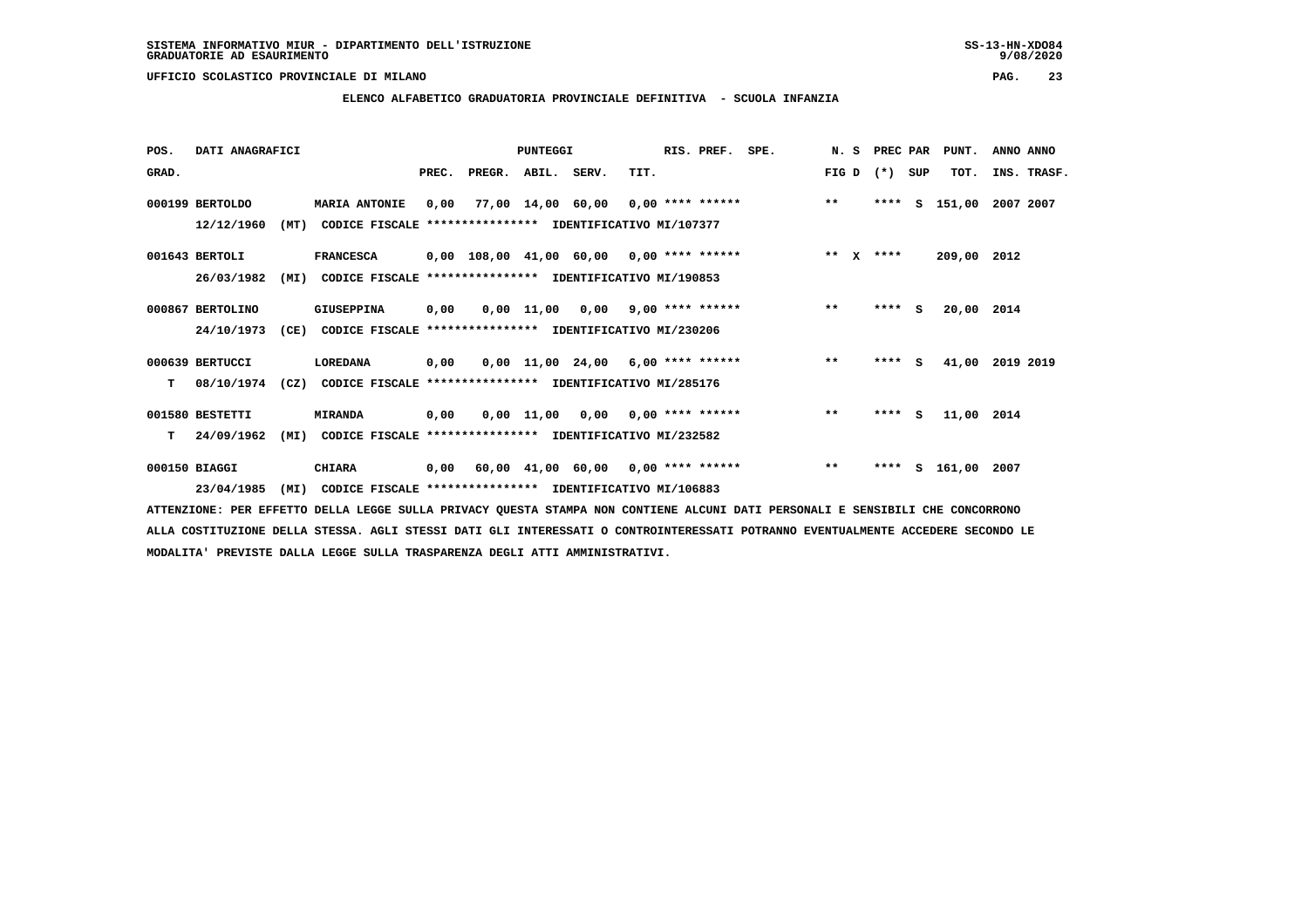**ELENCO ALFABETICO GRADUATORIA PROVINCIALE DEFINITIVA - SCUOLA INFANZIA**

| POS.  | DATI ANAGRAFICI  |      |                                                          |       |        | PUNTEGGI          |                                            |      | RIS. PREF. | SPE.               | N.S    | PREC PAR |     | PUNT.       | ANNO ANNO   |
|-------|------------------|------|----------------------------------------------------------|-------|--------|-------------------|--------------------------------------------|------|------------|--------------------|--------|----------|-----|-------------|-------------|
| GRAD. |                  |      |                                                          | PREC. | PREGR. | ABIL. SERV.       |                                            | TIT. |            |                    | FIG D  | $(* )$   | SUP | TOT.        | INS. TRASF. |
|       | 000199 BERTOLDO  |      | <b>MARIA ANTONIE</b>                                     | 0,00  |        | 77,00 14,00 60,00 |                                            |      |            | $0,00$ **** ****** | $**$   | ****     | s   | 151,00      | 2007 2007   |
|       | 12/12/1960       | (MT) | CODICE FISCALE **************** IDENTIFICATIVO MI/107377 |       |        |                   |                                            |      |            |                    |        |          |     |             |             |
|       | 001643 BERTOLI   |      | <b>FRANCESCA</b>                                         |       |        |                   | $0,00$ 108,00 41,00 60,00 0,00 **** ****** |      |            |                    | ** $X$ | ****     |     | 209,00 2012 |             |
|       | 26/03/1982       | (MI) | CODICE FISCALE                                           |       |        |                   | **************** IDENTIFICATIVO MI/190853  |      |            |                    |        |          |     |             |             |
|       | 000867 BERTOLINO |      | <b>GIUSEPPINA</b>                                        | 0,00  |        |                   | $0,00$ 11,00 0,00 9,00 **** ******         |      |            |                    | $* *$  | ****     | - S | 20,00 2014  |             |
|       | 24/10/1973       | (CE) | CODICE FISCALE **************** IDENTIFICATIVO MI/230206 |       |        |                   |                                            |      |            |                    |        |          |     |             |             |
|       | 000639 BERTUCCI  |      | LOREDANA                                                 | 0,00  |        |                   | $0.00$ 11.00 24.00 6.00 **** ******        |      |            |                    | $***$  | $***$ S  |     | 41,00       | 2019 2019   |
| т     | 08/10/1974       | (CZ) | CODICE FISCALE **************** IDENTIFICATIVO MI/285176 |       |        |                   |                                            |      |            |                    |        |          |     |             |             |
|       | 001580 BESTETTI  |      | <b>MIRANDA</b>                                           | 0,00  |        |                   | $0,00$ 11,00 0,00 0,00 **** ******         |      |            |                    | $**$   | $***$ S  |     | 11,00 2014  |             |
| т     | 24/09/1962       | (MI) | CODICE FISCALE **************** IDENTIFICATIVO MI/232582 |       |        |                   |                                            |      |            |                    |        |          |     |             |             |
|       | 000150 BIAGGI    |      | <b>CHIARA</b>                                            | 0,00  |        |                   | 60,00 41,00 60,00 0,00 **** ******         |      |            |                    | $***$  | ****     | s   | 161,00      | 2007        |
|       | 23/04/1985       | (MI) | CODICE FISCALE **************** IDENTIFICATIVO MI/106883 |       |        |                   |                                            |      |            |                    |        |          |     |             |             |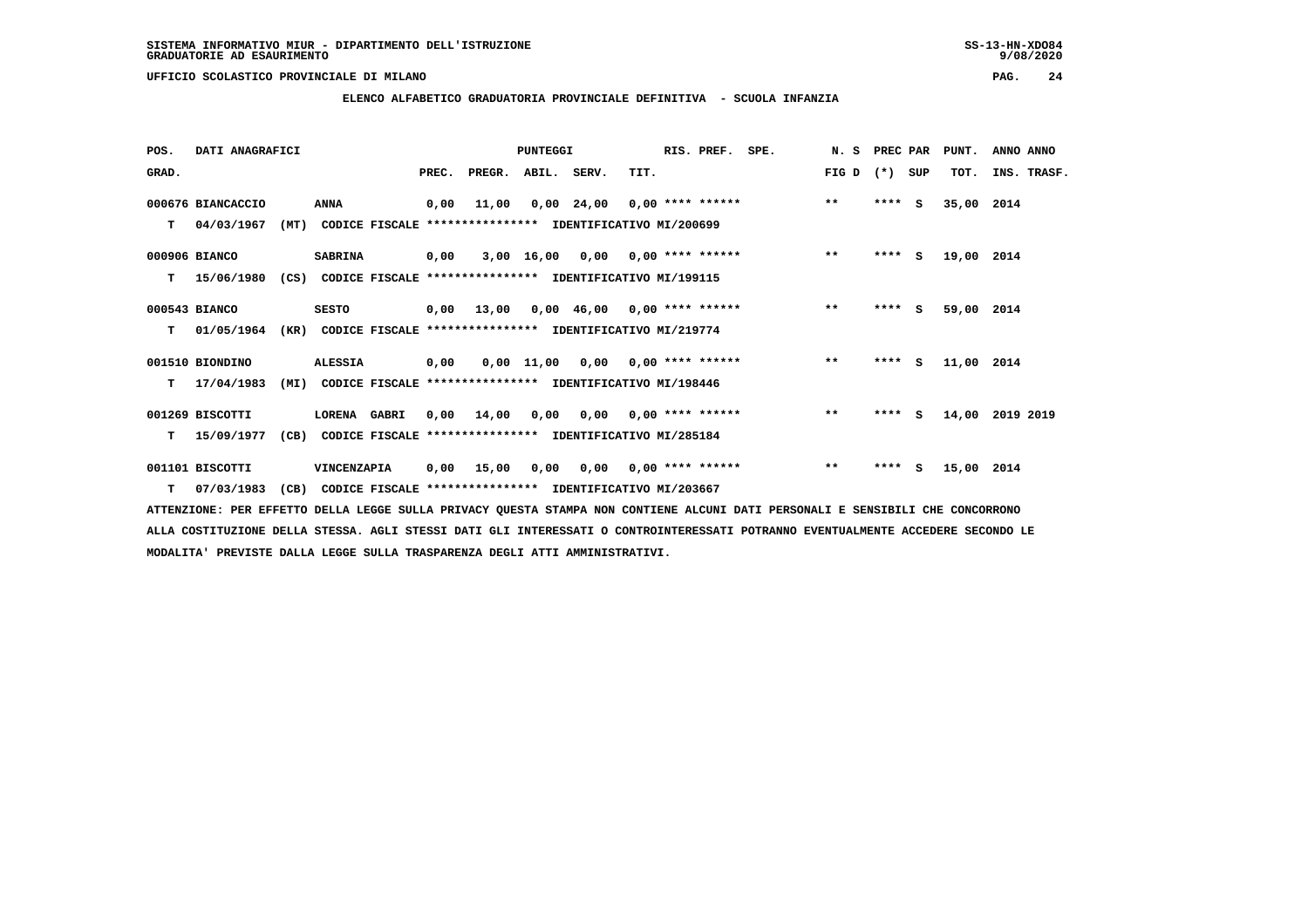**ELENCO ALFABETICO GRADUATORIA PROVINCIALE DEFINITIVA - SCUOLA INFANZIA**

| POS.  | DATI ANAGRAFICI   |      |                                                               |       |                                                          | <b>PUNTEGGI</b> |                                        |      | RIS. PREF.                | SPE.                          | N.S   | PREC PAR |        | PUNT.      | ANNO ANNO       |
|-------|-------------------|------|---------------------------------------------------------------|-------|----------------------------------------------------------|-----------------|----------------------------------------|------|---------------------------|-------------------------------|-------|----------|--------|------------|-----------------|
| GRAD. |                   |      |                                                               | PREC. | PREGR. ABIL. SERV.                                       |                 |                                        | TIT. |                           |                               | FIG D | $(*)$    | SUP    | TOT.       | INS. TRASF.     |
|       | 000676 BIANCACCIO |      | <b>ANNA</b>                                                   | 0,00  | 11,00                                                    |                 |                                        |      |                           | $0,00$ 24,00 0,00 **** ****** | $***$ | $***$ S  |        | 35,00 2014 |                 |
| т     | 04/03/1967        |      | (MT) CODICE FISCALE **************** IDENTIFICATIVO MI/200699 |       |                                                          |                 |                                        |      |                           |                               |       |          |        |            |                 |
|       | 000906 BIANCO     |      | <b>SABRINA</b>                                                | 0,00  |                                                          |                 | 3,00 16,00 0,00 0,00 **** ******       |      |                           |                               | $***$ | ****     | S.     | 19,00 2014 |                 |
| т     | 15/06/1980        | (CS) |                                                               |       | CODICE FISCALE **************** IDENTIFICATIVO MI/199115 |                 |                                        |      |                           |                               |       |          |        |            |                 |
|       | 000543 BIANCO     |      | <b>SESTO</b>                                                  |       | $0,00$ 13,00 0,00 46,00 0,00 **** ******                 |                 |                                        |      |                           |                               | $***$ | $***$ S  |        | 59,00 2014 |                 |
| т     | 01/05/1964        | (KR) |                                                               |       | CODICE FISCALE **************** IDENTIFICATIVO MI/219774 |                 |                                        |      |                           |                               |       |          |        |            |                 |
|       | 001510 BIONDINO   |      | <b>ALESSIA</b>                                                | 0,00  |                                                          |                 | $0.00$ 11.00 0.00 0.00 **** ******     |      |                           |                               | $***$ |          | **** S | 11,00 2014 |                 |
| т     | 17/04/1983        | (MI) |                                                               |       | CODICE FISCALE **************** IDENTIFICATIVO MI/198446 |                 |                                        |      |                           |                               |       |          |        |            |                 |
|       | 001269 BISCOTTI   |      | LORENA GABRI                                                  |       | 0,00 14,00                                               |                 | $0,00$ $0,00$ $0,00$ $***$ **** ****** |      |                           |                               | $***$ | $***$ S  |        |            | 14,00 2019 2019 |
| т     | 15/09/1977        | (CB) |                                                               |       | CODICE FISCALE **************** IDENTIFICATIVO MI/285184 |                 |                                        |      |                           |                               |       |          |        |            |                 |
|       | 001101 BISCOTTI   |      | VINCENZAPIA                                                   | 0,00  | 15,00                                                    | 0,00            |                                        |      | $0,00$ $0,00$ **** ****** |                               | $***$ | $***$ S  |        | 15,00 2014 |                 |
|       | T 07/03/1983      | (CB) |                                                               |       | CODICE FISCALE **************** IDENTIFICATIVO MI/203667 |                 |                                        |      |                           |                               |       |          |        |            |                 |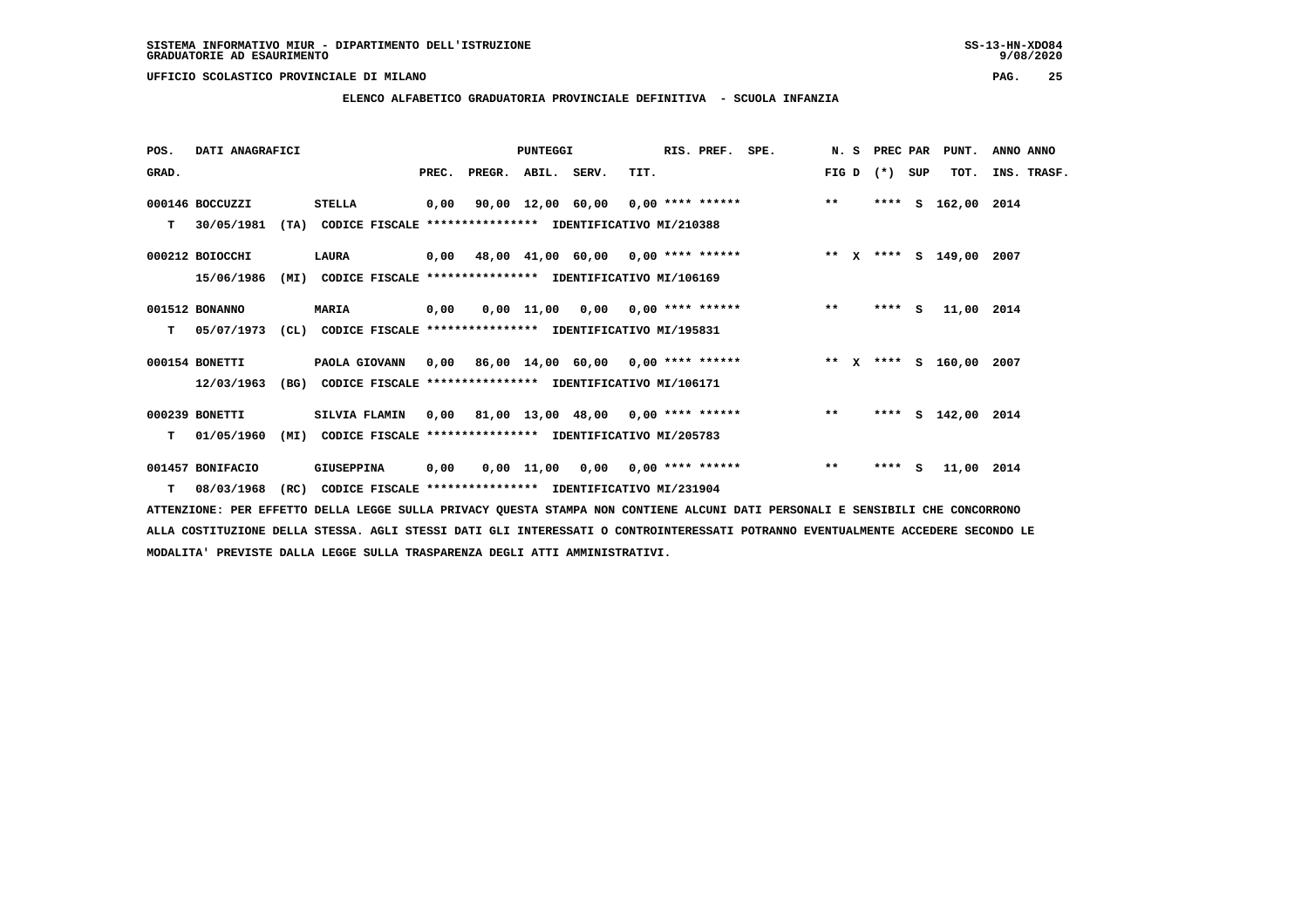### **ELENCO ALFABETICO GRADUATORIA PROVINCIALE DEFINITIVA - SCUOLA INFANZIA**

| POS.  | DATI ANAGRAFICI  |                                                                  |      |                          | <b>PUNTEGGI</b> |                                           | RIS. PREF. | SPE.                                                                    |       | N. S PREC PAR   | PUNT.              | ANNO ANNO   |
|-------|------------------|------------------------------------------------------------------|------|--------------------------|-----------------|-------------------------------------------|------------|-------------------------------------------------------------------------|-------|-----------------|--------------------|-------------|
| GRAD. |                  |                                                                  |      | PREC. PREGR. ABIL. SERV. |                 | TIT.                                      |            |                                                                         |       | $FIG D (*) SUB$ | TOT.               | INS. TRASF. |
|       | 000146 BOCCUZZI  | <b>STELLA</b>                                                    | 0,00 |                          |                 | 90,00 12,00 60,00 0,00 **** ******        |            |                                                                         | $* *$ |                 | **** S 162,00 2014 |             |
| т     | 30/05/1981       | (TA)<br>CODICE FISCALE **************** IDENTIFICATIVO MI/210388 |      |                          |                 |                                           |            |                                                                         |       |                 |                    |             |
|       | 000212 BOIOCCHI  | LAURA                                                            |      |                          |                 | $0,00$ 48,00 41,00 60,00 0,00 **** ****** |            | ** x **** s 149,00 2007                                                 |       |                 |                    |             |
|       | 15/06/1986       | (MI) CODICE FISCALE **************** IDENTIFICATIVO MI/106169    |      |                          |                 |                                           |            |                                                                         |       |                 |                    |             |
|       | 001512 BONANNO   | <b>MARIA</b>                                                     | 0,00 |                          |                 | $0,00$ 11,00 0,00 0,00 **** ******        |            |                                                                         | $* *$ | $***$ S         | 11,00 2014         |             |
| т     | 05/07/1973       | (CL) CODICE FISCALE **************** IDENTIFICATIVO MI/195831    |      |                          |                 |                                           |            |                                                                         |       |                 |                    |             |
|       | 000154 BONETTI   | PAOLA GIOVANN                                                    |      |                          |                 |                                           |            | 0,00 86,00 14,00 60,00 0,00 **** ****** **** *** ** **** \$ 160,00 2007 |       |                 |                    |             |
|       | 12/03/1963       | (BG) CODICE FISCALE **************** IDENTIFICATIVO MI/106171    |      |                          |                 |                                           |            |                                                                         |       |                 |                    |             |
|       | 000239 BONETTI   | SILVIA FLAMIN                                                    |      |                          |                 | $0,00$ 81,00 13,00 48,00 0,00 **** ****** |            |                                                                         | $* *$ |                 | **** S 142,00 2014 |             |
| T.    | 01/05/1960       | CODICE FISCALE **************** IDENTIFICATIVO MI/205783<br>(MI) |      |                          |                 |                                           |            |                                                                         |       |                 |                    |             |
|       | 001457 BONIFACIO | GIUSEPPINA                                                       | 0,00 |                          |                 | $0,00$ 11,00 0,00 0,00 **** ******        |            |                                                                         | $***$ | $***$ S         | 11,00 2014         |             |
|       | $T = 08/03/1968$ | CODICE FISCALE **************** IDENTIFICATIVO MI/231904<br>(RC) |      |                          |                 |                                           |            |                                                                         |       |                 |                    |             |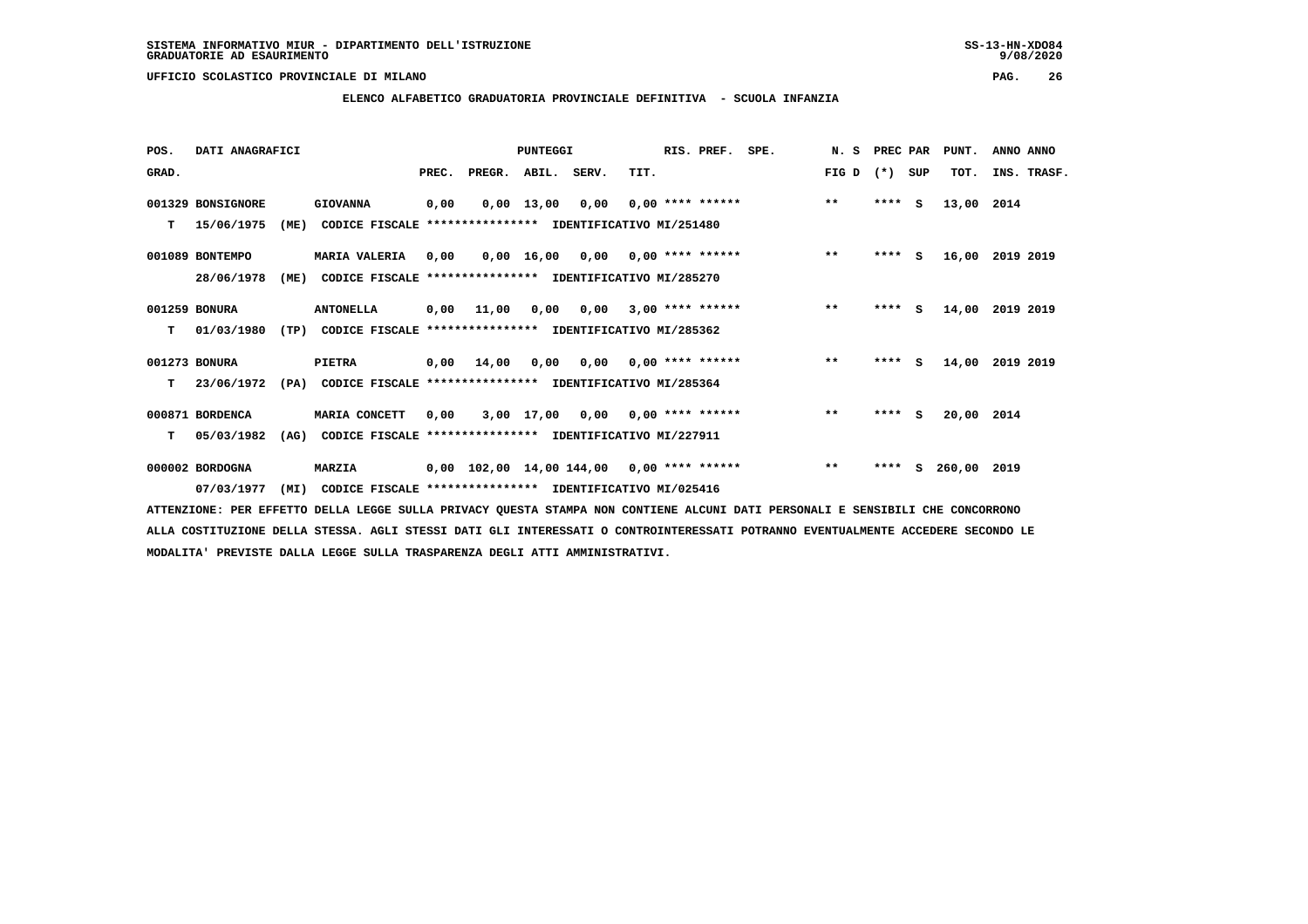**POS. DATI ANAGRAFICI PUNTEGGI RIS. PREF. SPE. N. S PREC PAR PUNT. ANNO ANNO**GRAD. **BRAD. PREC. PREGR. ABIL. SERV.** TIT. THE REGREATER FIG D (\*) SUP TOT. INS. TRASF.  **001329 BONSIGNORE GIOVANNA 0,00 0,00 13,00 0,00 0,00 \*\*\*\* \*\*\*\*\*\* \*\* \*\*\*\* S 13,00 2014 T 15/06/1975 (ME) CODICE FISCALE \*\*\*\*\*\*\*\*\*\*\*\*\*\*\*\* IDENTIFICATIVO MI/251480 001089 BONTEMPO MARIA VALERIA 0,00 0,00 16,00 0,00 0,00 \*\*\*\* \*\*\*\*\*\* \*\* \*\*\*\* S 16,00 2019 2019 28/06/1978 (ME) CODICE FISCALE \*\*\*\*\*\*\*\*\*\*\*\*\*\*\*\* IDENTIFICATIVO MI/285270 001259 BONURA ANTONELLA 0,00 11,00 0,00 0,00 3,00 \*\*\*\* \*\*\*\*\*\* \*\* \*\*\*\* S 14,00 2019 2019 T 01/03/1980 (TP) CODICE FISCALE \*\*\*\*\*\*\*\*\*\*\*\*\*\*\*\* IDENTIFICATIVO MI/285362 001273 BONURA PIETRA 0,00 14,00 0,00 0,00 0,00 \*\*\*\* \*\*\*\*\*\* \*\* \*\*\*\* S 14,00 2019 2019 T 23/06/1972 (PA) CODICE FISCALE \*\*\*\*\*\*\*\*\*\*\*\*\*\*\*\* IDENTIFICATIVO MI/285364 000871 BORDENCA MARIA CONCETT 0,00 3,00 17,00 0,00 0,00 \*\*\*\* \*\*\*\*\*\* \*\* \*\*\*\* S 20,00 2014 T 05/03/1982 (AG) CODICE FISCALE \*\*\*\*\*\*\*\*\*\*\*\*\*\*\*\* IDENTIFICATIVO MI/227911 000002 BORDOGNA MARZIA 0,00 102,00 14,00 144,00 0,00 \*\*\*\* \*\*\*\*\*\* \*\* \*\*\*\* S 260,00 2019**

 **07/03/1977 (MI) CODICE FISCALE \*\*\*\*\*\*\*\*\*\*\*\*\*\*\*\* IDENTIFICATIVO MI/025416**

 **ATTENZIONE: PER EFFETTO DELLA LEGGE SULLA PRIVACY QUESTA STAMPA NON CONTIENE ALCUNI DATI PERSONALI E SENSIBILI CHE CONCORRONO ALLA COSTITUZIONE DELLA STESSA. AGLI STESSI DATI GLI INTERESSATI O CONTROINTERESSATI POTRANNO EVENTUALMENTE ACCEDERE SECONDO LE MODALITA' PREVISTE DALLA LEGGE SULLA TRASPARENZA DEGLI ATTI AMMINISTRATIVI.**

# **ELENCO ALFABETICO GRADUATORIA PROVINCIALE DEFINITIVA - SCUOLA INFANZIA**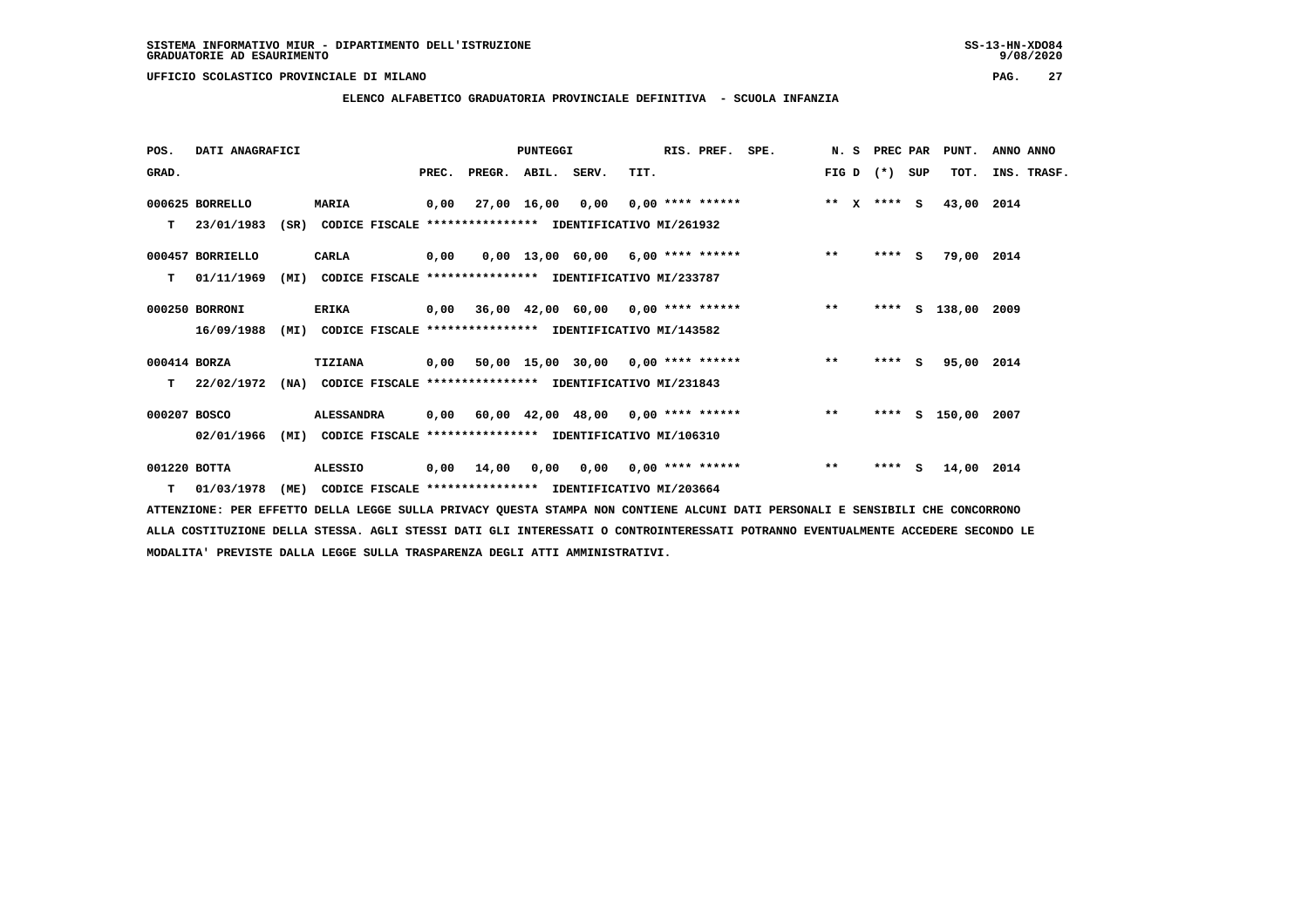## **ELENCO ALFABETICO GRADUATORIA PROVINCIALE DEFINITIVA - SCUOLA INFANZIA**

| POS.         | DATI ANAGRAFICI  |      |                                                               |       |                                         | <b>PUNTEGGI</b> |                                     |      | RIS. PREF. SPE.                 |                                                |       | N. S PREC PAR   | PUNT.              | ANNO ANNO |             |
|--------------|------------------|------|---------------------------------------------------------------|-------|-----------------------------------------|-----------------|-------------------------------------|------|---------------------------------|------------------------------------------------|-------|-----------------|--------------------|-----------|-------------|
| GRAD.        |                  |      |                                                               | PREC. | PREGR. ABIL. SERV.                      |                 |                                     | TIT. |                                 |                                                |       | FIG D $(*)$ SUP | TOT.               |           | INS. TRASF. |
|              | 000625 BORRELLO  |      | <b>MARIA</b>                                                  | 0,00  |                                         |                 | $27,00$ 16,00 0,00 0,00 **** ****** |      |                                 | $***$ $X$ $***$ $S$                            |       |                 | 43,00 2014         |           |             |
|              | $T = 23/01/1983$ |      | (SR) CODICE FISCALE **************** IDENTIFICATIVO MI/261932 |       |                                         |                 |                                     |      |                                 |                                                |       |                 |                    |           |             |
|              | 000457 BORRIELLO |      | CARLA                                                         | 0,00  |                                         |                 |                                     |      |                                 | $0,00$ 13,00 60,00 6,00 **** ******            | $***$ | $***$ S         | 79,00 2014         |           |             |
| т            | 01/11/1969       | (MI) | CODICE FISCALE **************** IDENTIFICATIVO MI/233787      |       |                                         |                 |                                     |      |                                 |                                                |       |                 |                    |           |             |
|              | 000250 BORRONI   |      | <b>ERIKA</b>                                                  |       |                                         |                 |                                     |      |                                 | 0,00 36,00 42,00 60,00 0,00 **** ****** *** ** |       |                 | **** S 138,00 2009 |           |             |
|              | 16/09/1988       |      | (MI) CODICE FISCALE **************** IDENTIFICATIVO MI/143582 |       |                                         |                 |                                     |      |                                 |                                                |       |                 |                    |           |             |
| 000414 BORZA |                  |      | <b>TIZIANA</b>                                                |       |                                         |                 |                                     |      |                                 | 0,00 50,00 15,00 30,00 0,00 **** ******        | $***$ | $***$ S         | 95,00 2014         |           |             |
| т            | 22/02/1972       | (NA) | CODICE FISCALE **************** IDENTIFICATIVO MI/231843      |       |                                         |                 |                                     |      |                                 |                                                |       |                 |                    |           |             |
| 000207 BOSCO |                  |      | <b>ALESSANDRA</b>                                             |       | 0,00 60,00 42,00 48,00 0,00 **** ****** |                 |                                     |      |                                 |                                                | $***$ |                 | **** S 150,00 2007 |           |             |
|              | 02/01/1966       | (MI) | CODICE FISCALE **************** IDENTIFICATIVO MI/106310      |       |                                         |                 |                                     |      |                                 |                                                |       |                 |                    |           |             |
| 001220 BOTTA |                  |      | <b>ALESSIO</b>                                                | 0,00  | 14,00                                   | 0.00            |                                     |      | $0.00$ $0.00$ $***$ **** ****** |                                                | $***$ | $***5$          | 14,00 2014         |           |             |
|              | T 01/03/1978     |      | (ME) CODICE FISCALE **************** IDENTIFICATIVO MI/203664 |       |                                         |                 |                                     |      |                                 |                                                |       |                 |                    |           |             |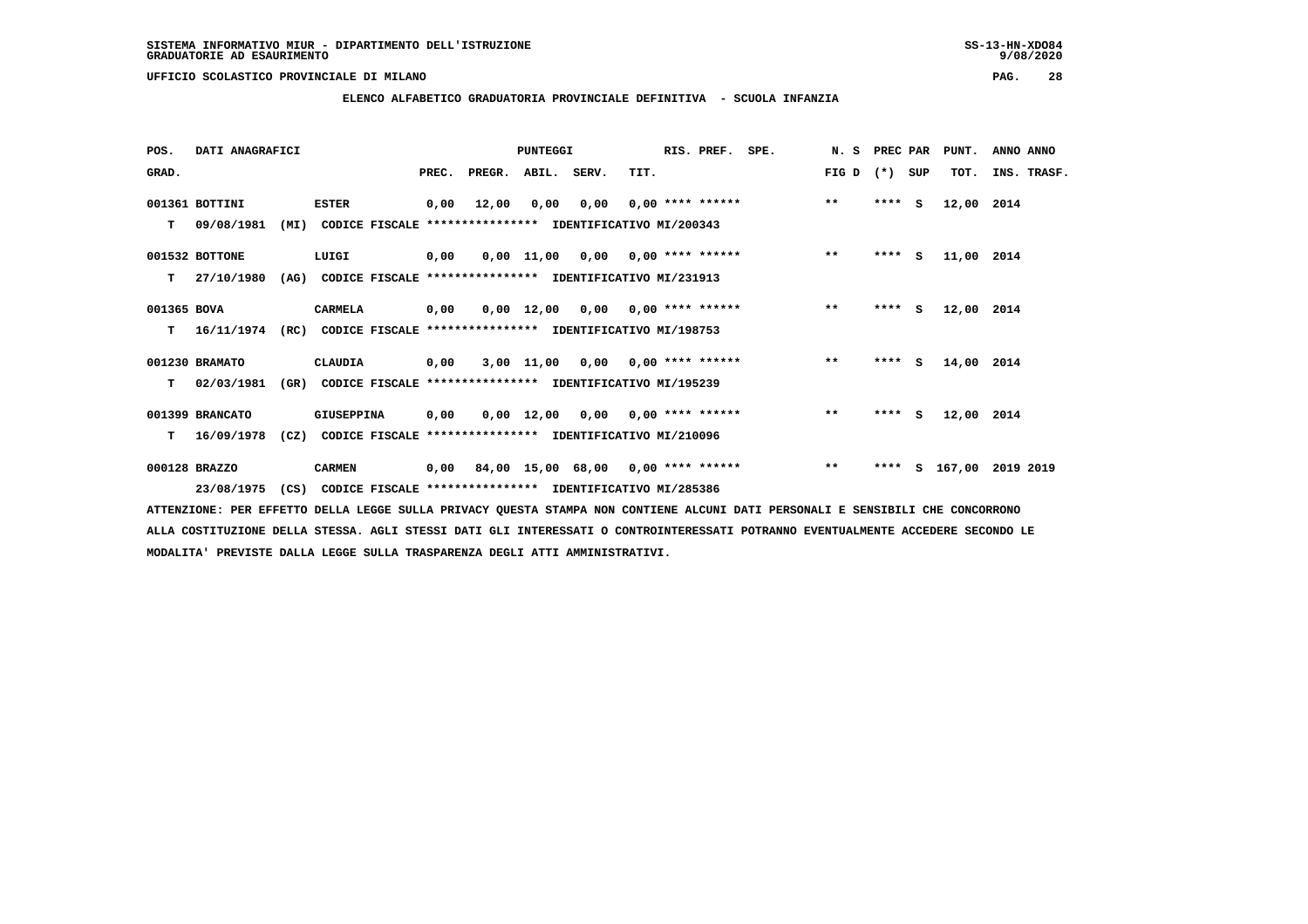**ELENCO ALFABETICO GRADUATORIA PROVINCIALE DEFINITIVA - SCUOLA INFANZIA**

 **POS. DATI ANAGRAFICI PUNTEGGI RIS. PREF. SPE. N. S PREC PAR PUNT. ANNO ANNO**GRAD. **BRAD. PREC. PREGR. ABIL. SERV.** TIT. THE REGREATER FIG D (\*) SUP TOT. INS. TRASF.  **001361 BOTTINI ESTER 0,00 12,00 0,00 0,00 0,00 \*\*\*\* \*\*\*\*\*\* \*\* \*\*\*\* S 12,00 2014 T 09/08/1981 (MI) CODICE FISCALE \*\*\*\*\*\*\*\*\*\*\*\*\*\*\*\* IDENTIFICATIVO MI/200343 001532 BOTTONE LUIGI 0,00 0,00 11,00 0,00 0,00 \*\*\*\* \*\*\*\*\*\* \*\* \*\*\*\* S 11,00 2014 T 27/10/1980 (AG) CODICE FISCALE \*\*\*\*\*\*\*\*\*\*\*\*\*\*\*\* IDENTIFICATIVO MI/231913 001365 BOVA CARMELA 0,00 0,00 12,00 0,00 0,00 \*\*\*\* \*\*\*\*\*\* \*\* \*\*\*\* S 12,00 2014 T 16/11/1974 (RC) CODICE FISCALE \*\*\*\*\*\*\*\*\*\*\*\*\*\*\*\* IDENTIFICATIVO MI/198753 001230 BRAMATO CLAUDIA 0,00 3,00 11,00 0,00 0,00 \*\*\*\* \*\*\*\*\*\* \*\* \*\*\*\* S 14,00 2014**

 **001399 BRANCATO GIUSEPPINA 0,00 0,00 12,00 0,00 0,00 \*\*\*\* \*\*\*\*\*\* \*\* \*\*\*\* S 12,00 2014 T 16/09/1978 (CZ) CODICE FISCALE \*\*\*\*\*\*\*\*\*\*\*\*\*\*\*\* IDENTIFICATIVO MI/210096**

 **T 02/03/1981 (GR) CODICE FISCALE \*\*\*\*\*\*\*\*\*\*\*\*\*\*\*\* IDENTIFICATIVO MI/195239**

 **000128 BRAZZO CARMEN 0,00 84,00 15,00 68,00 0,00 \*\*\*\* \*\*\*\*\*\* \*\* \*\*\*\* S 167,00 2019 2019 23/08/1975 (CS) CODICE FISCALE \*\*\*\*\*\*\*\*\*\*\*\*\*\*\*\* IDENTIFICATIVO MI/285386**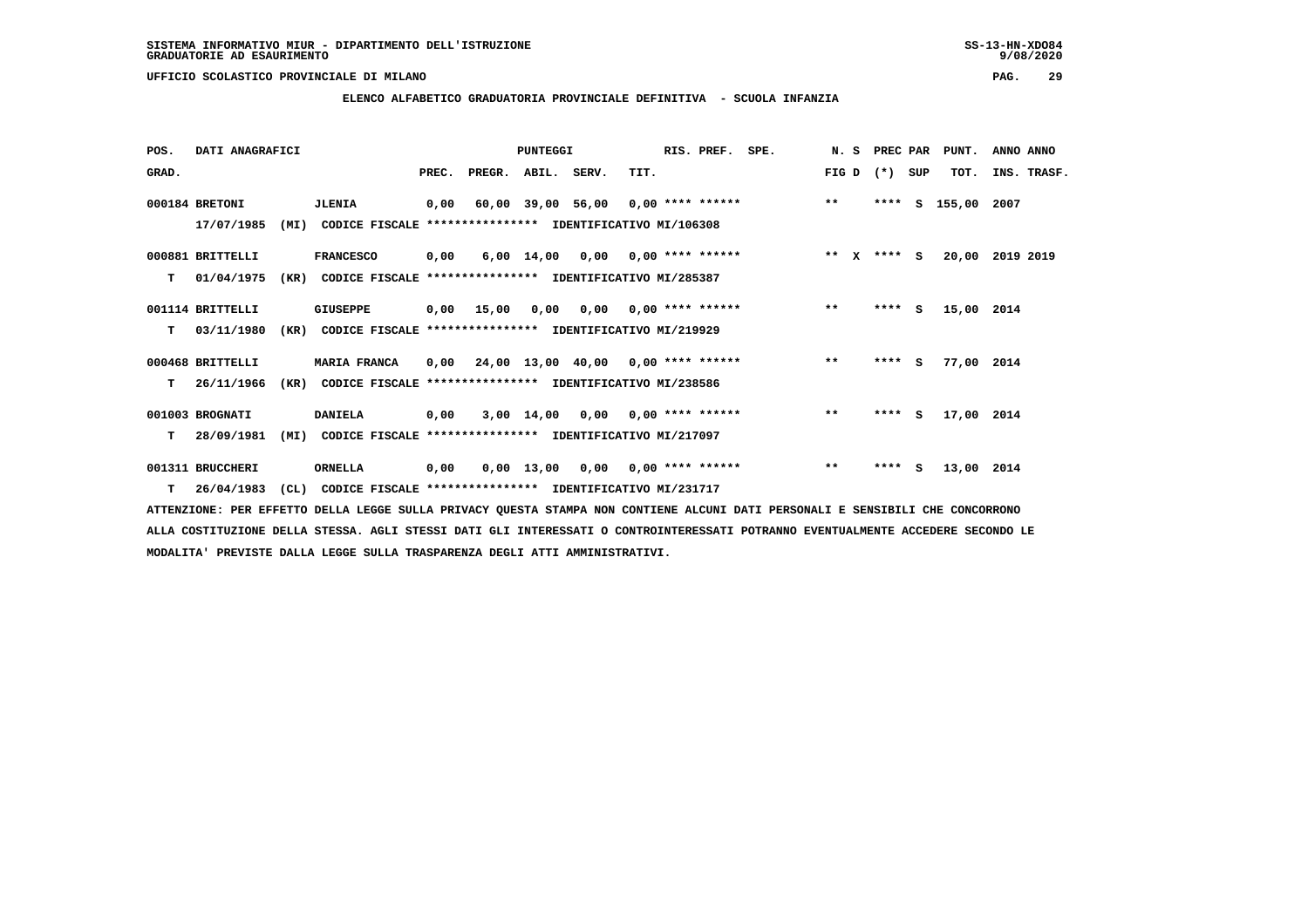**ELENCO ALFABETICO GRADUATORIA PROVINCIALE DEFINITIVA - SCUOLA INFANZIA**

| POS.  | DATI ANAGRAFICI  |      |                                                               |       |                                           | <b>PUNTEGGI</b> |                            |      | RIS. PREF.         | SPE.                     |       | N. S PREC PAR |     | PUNT.           | ANNO ANNO |             |
|-------|------------------|------|---------------------------------------------------------------|-------|-------------------------------------------|-----------------|----------------------------|------|--------------------|--------------------------|-------|---------------|-----|-----------------|-----------|-------------|
| GRAD. |                  |      |                                                               | PREC. | PREGR. ABIL. SERV.                        |                 |                            | TIT. |                    |                          | FIG D | $(*)$         | SUP | TOT.            |           | INS. TRASF. |
|       | 000184 BRETONI   |      | <b>JLENIA</b>                                                 |       | 0,00 60,00 39,00 56,00                    |                 |                            |      |                    | $0,00$ **** ****** ** ** |       | ****          | s   | 155,00 2007     |           |             |
|       | 17/07/1985       | (MI) | CODICE FISCALE **************** IDENTIFICATIVO MI/106308      |       |                                           |                 |                            |      |                    |                          |       |               |     |                 |           |             |
|       | 000881 BRITTELLI |      | <b>FRANCESCO</b>                                              | 0,00  |                                           |                 | $6,00$ $14,00$ $0,00$      |      | $0.00$ **** ****** |                          |       | ** x **** S   |     | 20,00 2019 2019 |           |             |
|       | T 01/04/1975     |      | (KR) CODICE FISCALE **************** IDENTIFICATIVO MI/285387 |       |                                           |                 |                            |      |                    |                          |       |               |     |                 |           |             |
|       | 001114 BRITTELLI |      | GIUSEPPE                                                      |       | $0,00$ 15,00                              |                 | 0,00 0,00 0,00 **** ****** |      |                    |                          | $***$ | $***5$        |     | 15,00 2014      |           |             |
| т     | 03/11/1980       | (KR) | CODICE FISCALE                                                |       | **************** IDENTIFICATIVO MI/219929 |                 |                            |      |                    |                          |       |               |     |                 |           |             |
|       | 000468 BRITTELLI |      | <b>MARIA FRANCA</b>                                           |       | $0,00$ 24,00 13,00 40,00 0,00 **** ****** |                 |                            |      |                    |                          | $***$ | $***$ S       |     | 77,00 2014      |           |             |
| т     | 26/11/1966       | (KR) | CODICE FISCALE                                                |       | **************** IDENTIFICATIVO MI/238586 |                 |                            |      |                    |                          |       |               |     |                 |           |             |
|       | 001003 BROGNATI  |      | <b>DANIELA</b>                                                | 0,00  |                                           |                 | 3,00 14,00 0,00            |      | $0,00$ **** ****** |                          | $***$ | $***$ S       |     | 17,00 2014      |           |             |
| т     | 28/09/1981       | (MI) | CODICE FISCALE **************** IDENTIFICATIVO MI/217097      |       |                                           |                 |                            |      |                    |                          |       |               |     |                 |           |             |
|       | 001311 BRUCCHERI |      | ORNELLA                                                       | 0,00  | 0.00                                      | 13,00           | 0,00                       |      | $0.00$ **** ****** |                          | $***$ | ****          | S.  | 13,00 2014      |           |             |
|       |                  |      |                                                               |       |                                           |                 |                            |      |                    |                          |       |               |     |                 |           |             |

 **T 26/04/1983 (CL) CODICE FISCALE \*\*\*\*\*\*\*\*\*\*\*\*\*\*\*\* IDENTIFICATIVO MI/231717**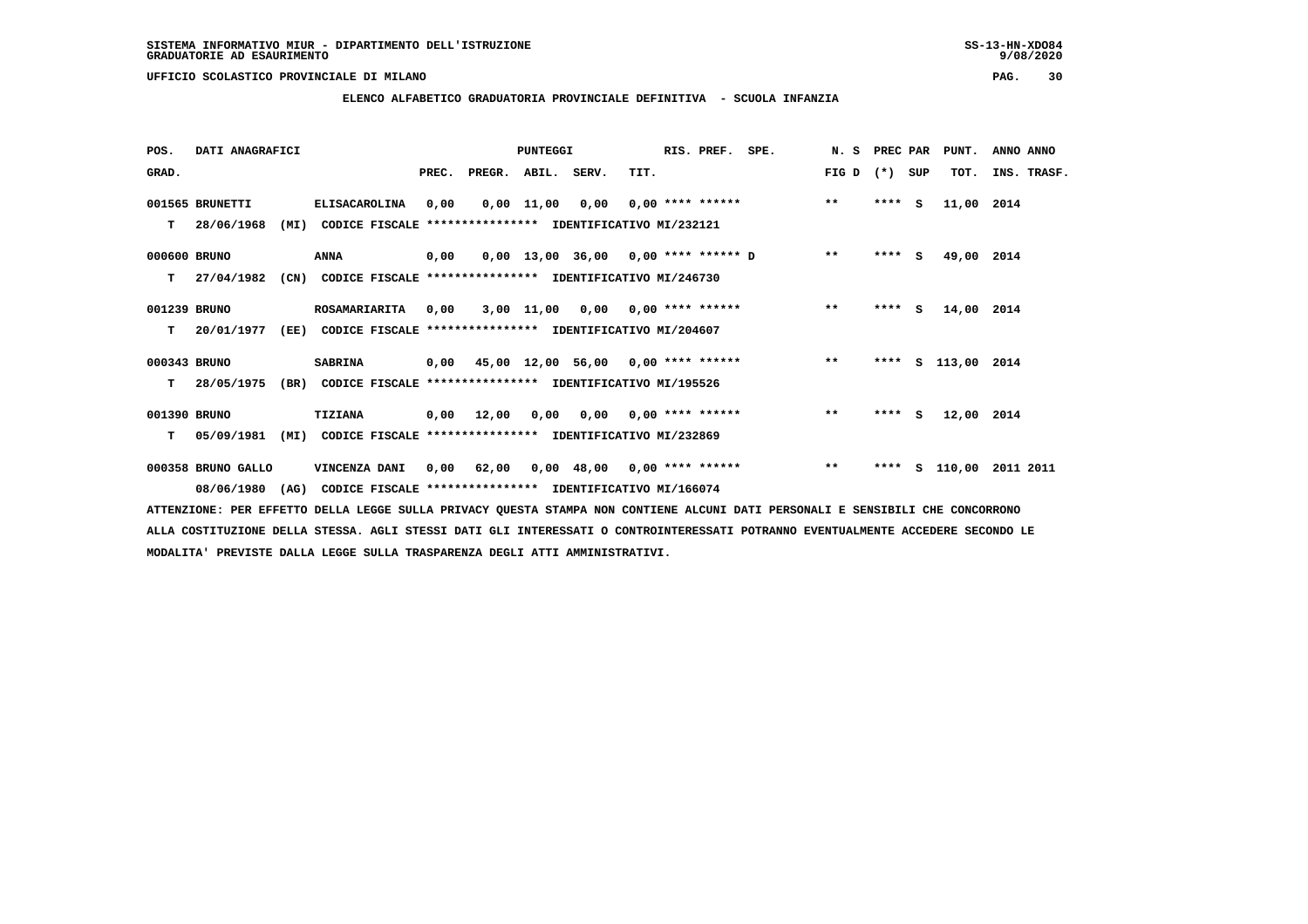**ELENCO ALFABETICO GRADUATORIA PROVINCIALE DEFINITIVA - SCUOLA INFANZIA**

| POS.         | DATI ANAGRAFICI    |      |                                                               |      |                          | PUNTEGGI |      | RIS. PREF. SPE. |                                                | N. S PREC PAR |          | PUNT.              | ANNO ANNO   |
|--------------|--------------------|------|---------------------------------------------------------------|------|--------------------------|----------|------|-----------------|------------------------------------------------|---------------|----------|--------------------|-------------|
| GRAD.        |                    |      |                                                               |      | PREC. PREGR. ABIL. SERV. |          | TIT. |                 |                                                | FIG D         | (*) SUP  | TOT.               | INS. TRASF. |
|              | 001565 BRUNETTI    |      | <b>ELISACAROLINA</b>                                          | 0,00 |                          |          |      |                 | $0,00$ 11,00 0,00 0,00 **** ****** *** **      |               | $***$ S  | 11,00 2014         |             |
| т            | 28/06/1968         |      | (MI) CODICE FISCALE **************** IDENTIFICATIVO MI/232121 |      |                          |          |      |                 |                                                |               |          |                    |             |
| 000600 BRUNO |                    |      | ANNA                                                          | 0,00 |                          |          |      |                 | $0,00$ 13,00 36,00 0,00 **** ****** D **       |               | $***$ S  | 49,00 2014         |             |
| т            | 27/04/1982         |      | (CN) CODICE FISCALE **************** IDENTIFICATIVO MI/246730 |      |                          |          |      |                 |                                                |               |          |                    |             |
| 001239 BRUNO |                    |      | <b>ROSAMARIARITA</b>                                          | 0.00 |                          |          |      |                 | 3,00 11,00 0,00 0,00 **** ******               | $***$         | **** $S$ | 14,00 2014         |             |
| T.           | 20/01/1977         | (EE) | CODICE FISCALE **************** IDENTIFICATIVO MI/204607      |      |                          |          |      |                 |                                                |               |          |                    |             |
| 000343 BRUNO |                    |      | <b>SABRINA</b>                                                |      |                          |          |      |                 | 0,00 45,00 12,00 56,00 0,00 **** ****** *** ** |               |          | **** S 113,00 2014 |             |
|              | T 28/05/1975       |      | (BR) CODICE FISCALE **************** IDENTIFICATIVO MI/195526 |      |                          |          |      |                 |                                                |               |          |                    |             |
| 001390 BRUNO |                    |      | <b>TIZIANA</b>                                                |      | 0,00 12,00               |          |      |                 | $0,00$ $0,00$ $0,00$ **** ******               | $***$         | $***$ S  | 12,00 2014         |             |
| т            | 05/09/1981         | (MI) | CODICE FISCALE **************** IDENTIFICATIVO MI/232869      |      |                          |          |      |                 |                                                |               |          |                    |             |
|              | 000358 BRUNO GALLO |      | VINCENZA DANI                                                 | 0,00 |                          |          |      |                 | 62,00  0,00  48,00  0,00  ****  ******         | $***$         | ****     | s 110,00           | 2011 2011   |
|              | 08/06/1980 (AG)    |      | CODICE FISCALE **************** IDENTIFICATIVO MI/166074      |      |                          |          |      |                 |                                                |               |          |                    |             |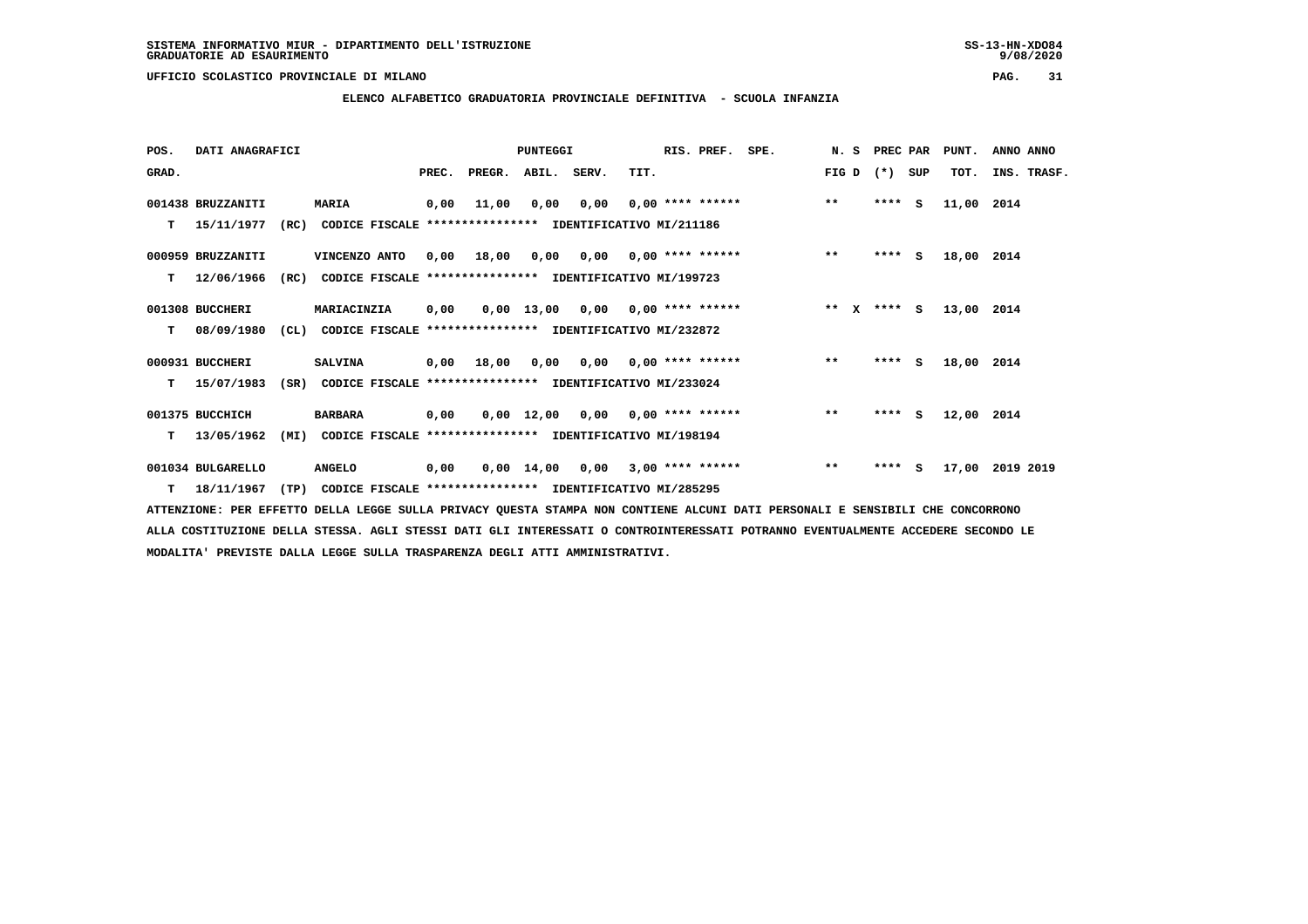### **ELENCO ALFABETICO GRADUATORIA PROVINCIALE DEFINITIVA - SCUOLA INFANZIA**

 **POS. DATI ANAGRAFICI PUNTEGGI RIS. PREF. SPE. N. S PREC PAR PUNT. ANNO ANNO**GRAD. **PREGRADE SERVEGER. ABIL. SERV. TIT.** FIG D (\*) SUP TOT. INS. TRASF.  **001438 BRUZZANITI MARIA 0,00 11,00 0,00 0,00 0,00 \*\*\*\* \*\*\*\*\*\* \*\* \*\*\*\* S 11,00 2014 T 15/11/1977 (RC) CODICE FISCALE \*\*\*\*\*\*\*\*\*\*\*\*\*\*\*\* IDENTIFICATIVO MI/211186 000959 BRUZZANITI VINCENZO ANTO 0,00 18,00 0,00 0,00 0,00 \*\*\*\* \*\*\*\*\*\* \*\* \*\*\*\* S 18,00 2014 T 12/06/1966 (RC) CODICE FISCALE \*\*\*\*\*\*\*\*\*\*\*\*\*\*\*\* IDENTIFICATIVO MI/199723 001308 BUCCHERI MARIACINZIA 0,00 0,00 13,00 0,00 0,00 \*\*\*\* \*\*\*\*\*\* \*\* X \*\*\*\* S 13,00 2014 T 08/09/1980 (CL) CODICE FISCALE \*\*\*\*\*\*\*\*\*\*\*\*\*\*\*\* IDENTIFICATIVO MI/232872 000931 BUCCHERI SALVINA 0,00 18,00 0,00 0,00 0,00 \*\*\*\* \*\*\*\*\*\* \*\* \*\*\*\* S 18,00 2014 T 15/07/1983 (SR) CODICE FISCALE \*\*\*\*\*\*\*\*\*\*\*\*\*\*\*\* IDENTIFICATIVO MI/233024 001375 BUCCHICH BARBARA 0,00 0,00 12,00 0,00 0,00 \*\*\*\* \*\*\*\*\*\* \*\* \*\*\*\* S 12,00 2014 T 13/05/1962 (MI) CODICE FISCALE \*\*\*\*\*\*\*\*\*\*\*\*\*\*\*\* IDENTIFICATIVO MI/198194 001034 BULGARELLO ANGELO 0,00 0,00 14,00 0,00 3,00 \*\*\*\* \*\*\*\*\*\* \*\* \*\*\*\* S 17,00 2019 2019**

 **T 18/11/1967 (TP) CODICE FISCALE \*\*\*\*\*\*\*\*\*\*\*\*\*\*\*\* IDENTIFICATIVO MI/285295**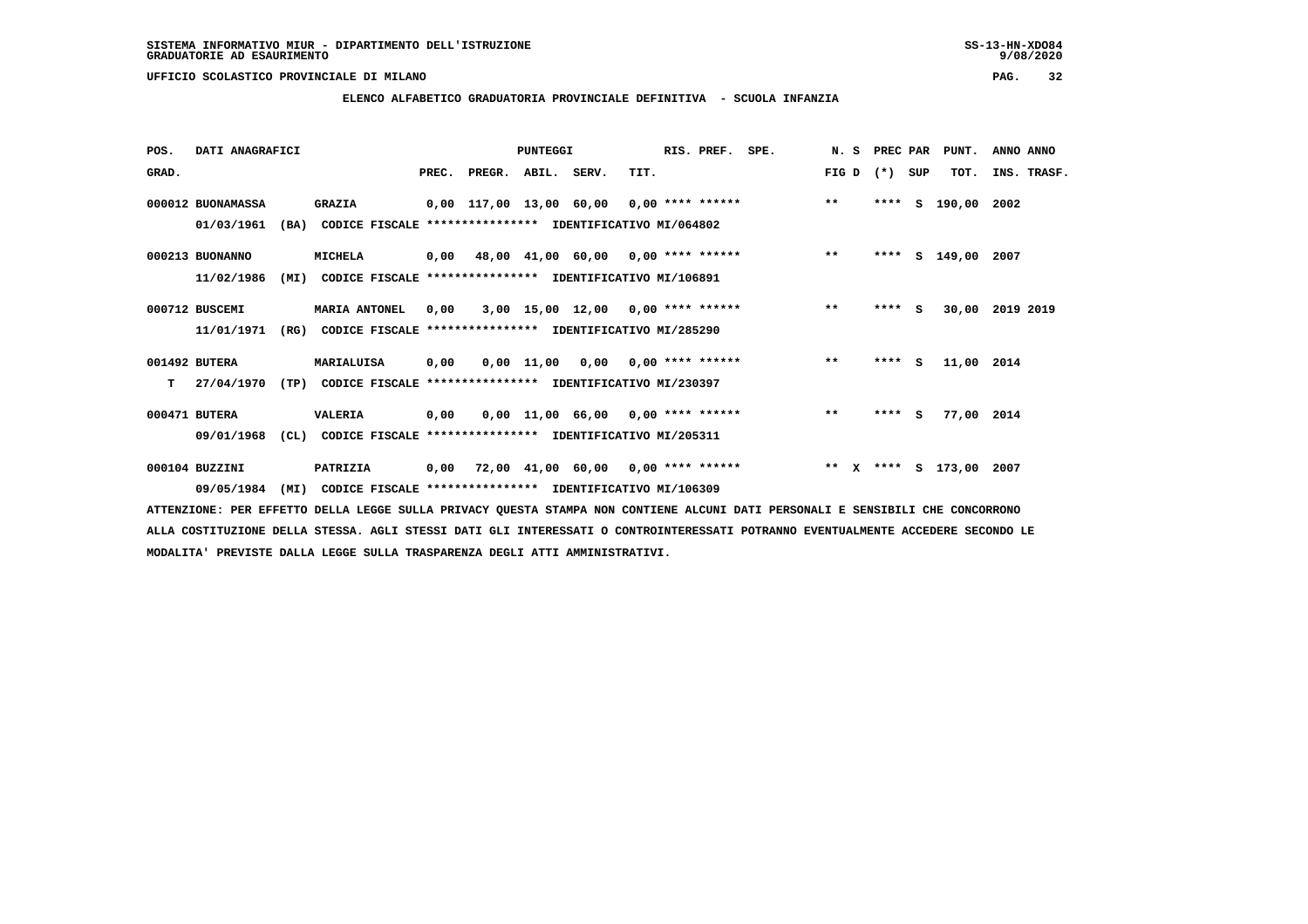# **ELENCO ALFABETICO GRADUATORIA PROVINCIALE DEFINITIVA - SCUOLA INFANZIA**

| POS.  | DATI ANAGRAFICI   |      |                                                               |      |                          | PUNTEGGI |                                          |      | RIS. PREF. | SPE.                                    | N. S  | <b>PREC PAR</b> |     | PUNT.                   | ANNO ANNO |             |
|-------|-------------------|------|---------------------------------------------------------------|------|--------------------------|----------|------------------------------------------|------|------------|-----------------------------------------|-------|-----------------|-----|-------------------------|-----------|-------------|
| GRAD. |                   |      |                                                               |      | PREC. PREGR. ABIL. SERV. |          |                                          | TIT. |            |                                         | FIG D | $(*)$           | SUP | TOT.                    |           | INS. TRASF. |
|       | 000012 BUONAMASSA |      | <b>GRAZIA</b>                                                 |      |                          |          | 0,00 117,00 13,00 60,00 0,00 **** ****** |      |            |                                         | $***$ | ****            | S.  | 190,00 2002             |           |             |
|       | 01/03/1961        |      | (BA) CODICE FISCALE **************** IDENTIFICATIVO MI/064802 |      |                          |          |                                          |      |            |                                         |       |                 |     |                         |           |             |
|       | 000213 BUONANNO   |      | MICHELA                                                       |      |                          |          |                                          |      |            | 0,00 48,00 41,00 60,00 0,00 **** ****** | $***$ |                 |     | **** S 149,00 2007      |           |             |
|       | 11/02/1986        | (MI) | CODICE FISCALE **************** IDENTIFICATIVO MI/106891      |      |                          |          |                                          |      |            |                                         |       |                 |     |                         |           |             |
|       | 000712 BUSCEMI    |      | <b>MARIA ANTONEL</b>                                          | 0,00 |                          |          |                                          |      |            | 3,00 15,00 12,00 0,00 **** ******       | $**$  | $***$ S         |     | 30,00                   | 2019 2019 |             |
|       | 11/01/1971        | (RG) | CODICE FISCALE **************** IDENTIFICATIVO MI/285290      |      |                          |          |                                          |      |            |                                         |       |                 |     |                         |           |             |
|       | 001492 BUTERA     |      | MARIALUISA                                                    | 0,00 |                          |          | $0.00$ 11.00 0.00 0.00 **** ******       |      |            |                                         | $***$ | $***$ S         |     | 11,00 2014              |           |             |
| т     | 27/04/1970        | (TP) | CODICE FISCALE **************** IDENTIFICATIVO MI/230397      |      |                          |          |                                          |      |            |                                         |       |                 |     |                         |           |             |
|       | 000471 BUTERA     |      | VALERIA                                                       | 0,00 |                          |          | $0,00$ 11,00 66,00 0,00 **** ******      |      |            |                                         | $***$ | $***$ S         |     | 77,00 2014              |           |             |
|       | 09/01/1968        |      | (CL) CODICE FISCALE **************** IDENTIFICATIVO MI/205311 |      |                          |          |                                          |      |            |                                         |       |                 |     |                         |           |             |
|       | 000104 BUZZINI    |      | PATRIZIA                                                      | 0,00 |                          |          |                                          |      |            | 72,00 41,00 60,00 0,00 **** ******      |       |                 |     | ** X **** S 173,00 2007 |           |             |
|       | 09/05/1984        | (MI) | CODICE FISCALE **************** IDENTIFICATIVO MI/106309      |      |                          |          |                                          |      |            |                                         |       |                 |     |                         |           |             |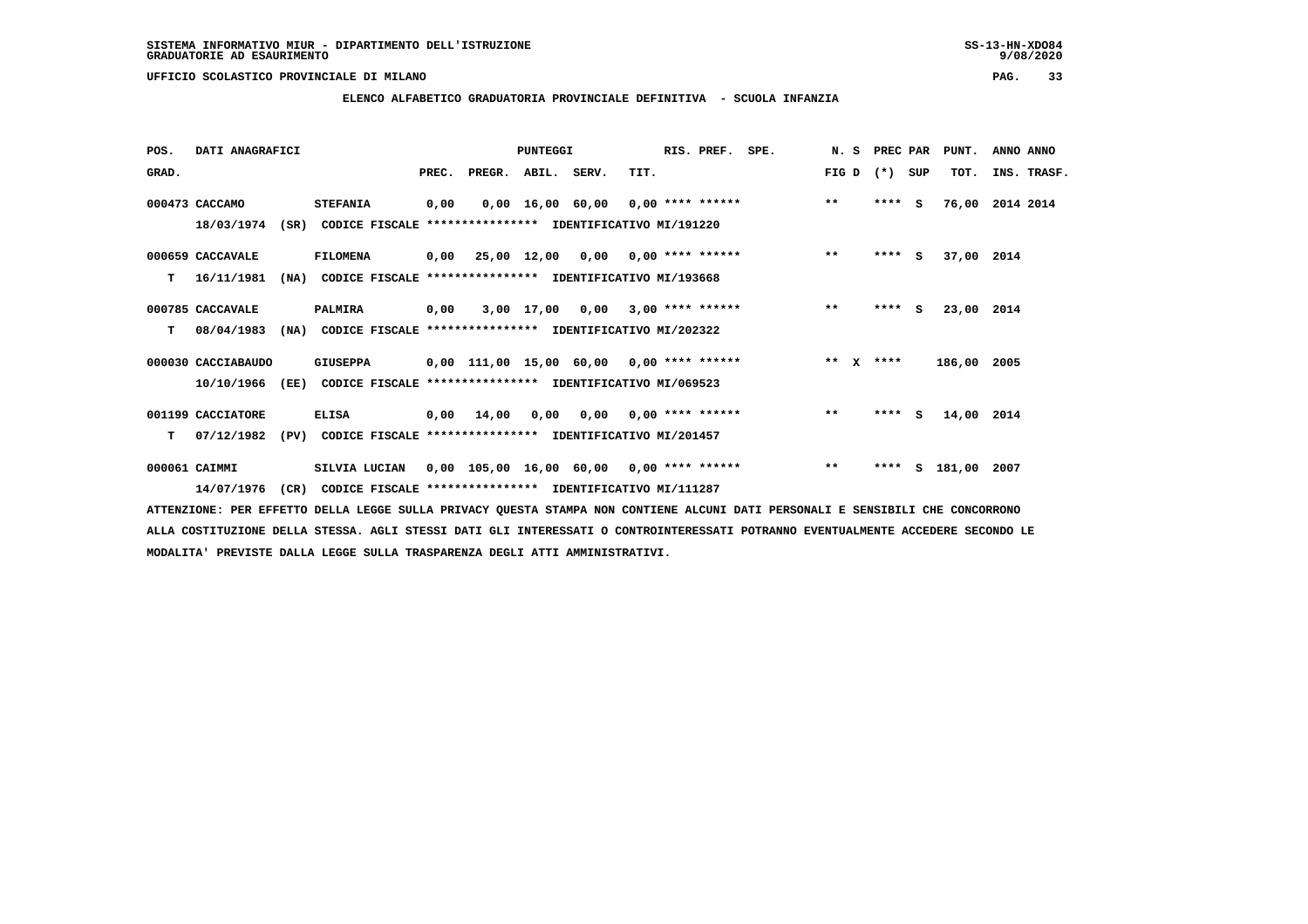**ELENCO ALFABETICO GRADUATORIA PROVINCIALE DEFINITIVA - SCUOLA INFANZIA**

| POS.  | DATI ANAGRAFICI    |      |                                                               |       |                                            | PUNTEGGI |                                   |      | RIS. PREF.         | SPE.            | N. S PREC PAR |         |   | PUNT.       | ANNO ANNO   |  |
|-------|--------------------|------|---------------------------------------------------------------|-------|--------------------------------------------|----------|-----------------------------------|------|--------------------|-----------------|---------------|---------|---|-------------|-------------|--|
| GRAD. |                    |      |                                                               | PREC. | PREGR. ABIL. SERV.                         |          |                                   | TIT. |                    |                 | FIG D         | (*) SUP |   | TOT.        | INS. TRASF. |  |
|       | 000473 CACCAMO     |      | <b>STEFANIA</b>                                               | 0,00  |                                            |          | 0,00 16,00 60,00 0,00 **** ****** |      |                    |                 | $***$         | $***$ S |   | 76,00       | 2014 2014   |  |
|       | 18/03/1974         |      | (SR) CODICE FISCALE **************** IDENTIFICATIVO MI/191220 |       |                                            |          |                                   |      |                    |                 |               |         |   |             |             |  |
|       | 000659 CACCAVALE   |      | <b>FILOMENA</b>                                               |       | $0,00$ 25,00 12,00 0,00 0,00 **** ******   |          |                                   |      |                    |                 | $***$         | $***$ S |   | 37,00 2014  |             |  |
| т     | 16/11/1981         | (NA) | CODICE FISCALE **************** IDENTIFICATIVO MI/193668      |       |                                            |          |                                   |      |                    |                 |               |         |   |             |             |  |
|       | 000785 CACCAVALE   |      | PALMIRA                                                       | 0,00  |                                            |          | 3,00 17,00 0,00                   |      | $3,00$ **** ****** |                 | $***$         | $***$ S |   | 23,00 2014  |             |  |
| т     | 08/04/1983         | (NA) | CODICE FISCALE **************** IDENTIFICATIVO MI/202322      |       |                                            |          |                                   |      |                    |                 |               |         |   |             |             |  |
|       | 000030 CACCIABAUDO |      | GIUSEPPA                                                      |       | $0.00$ 111.00 15.00 60.00 0.00 **** ****** |          |                                   |      |                    | $\star \star$ x |               | ****    |   | 186,00 2005 |             |  |
|       | 10/10/1966         |      | (EE) CODICE FISCALE **************** IDENTIFICATIVO MI/069523 |       |                                            |          |                                   |      |                    |                 |               |         |   |             |             |  |
|       | 001199 CACCIATORE  |      | <b>ELISA</b>                                                  |       | $0,00$ 14,00                               |          | 0,00 0,00 0,00 **** ******        |      |                    |                 | $\star\star$  | $***$ S |   | 14,00 2014  |             |  |
| т     | 07/12/1982         | (PV) | CODICE FISCALE **************** IDENTIFICATIVO MI/201457      |       |                                            |          |                                   |      |                    |                 |               |         |   |             |             |  |
|       | 000061 CAIMMI      |      | SILVIA LUCIAN                                                 |       | $0,00$ 105,00 16,00 60,00 0,00 **** ****** |          |                                   |      |                    |                 | $***$         | ****    | s | 181,00      | 2007        |  |
|       | 14/07/1976         |      | (CR) CODICE FISCALE **************** IDENTIFICATIVO MI/111287 |       |                                            |          |                                   |      |                    |                 |               |         |   |             |             |  |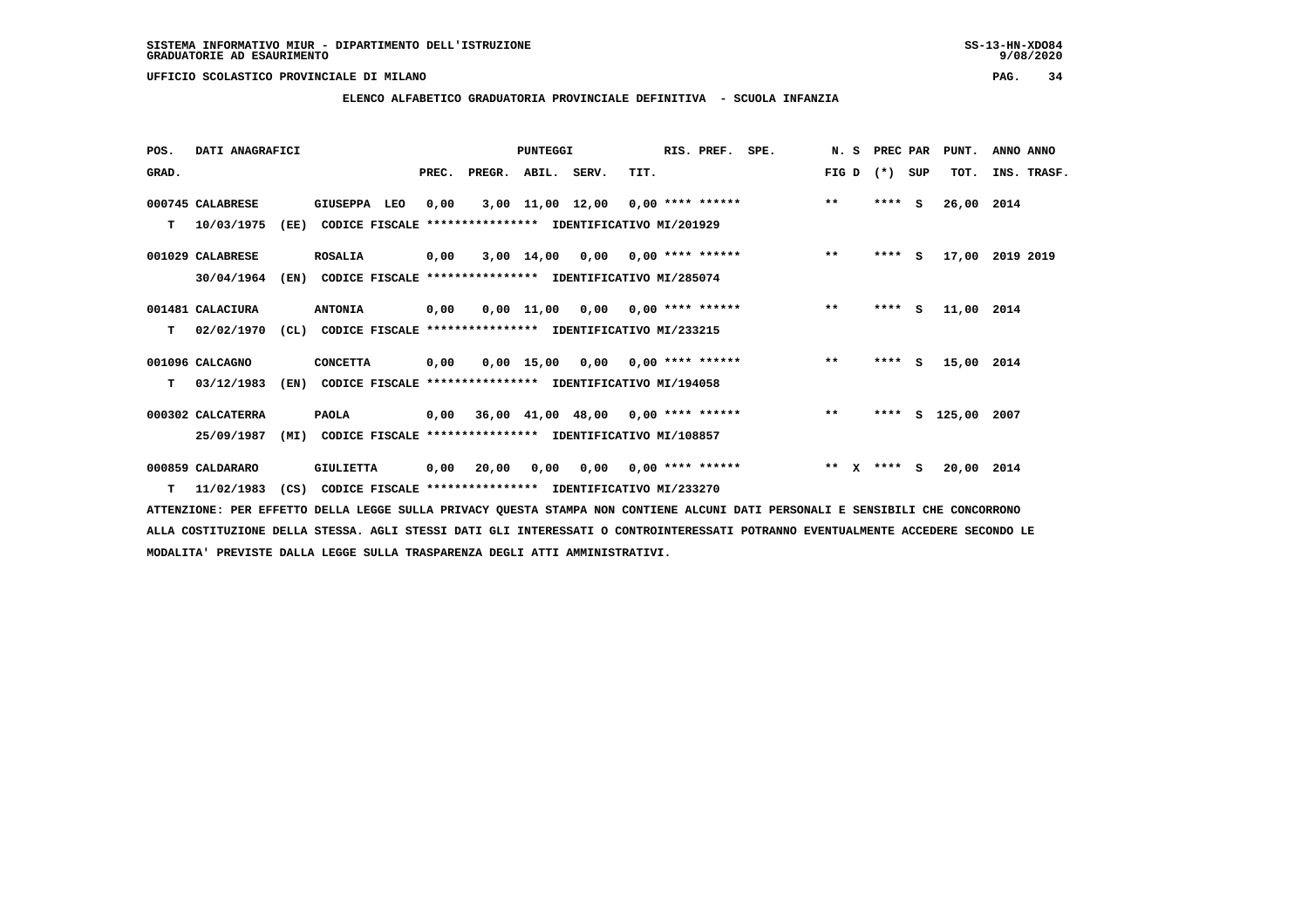**ELENCO ALFABETICO GRADUATORIA PROVINCIALE DEFINITIVA - SCUOLA INFANZIA**

| POS.  | DATI ANAGRAFICI   |      |                                                               |       |                                           | <b>PUNTEGGI</b> |                                     |      | RIS. PREF.                | SPE. | N. S    | PREC PAR |     | PUNT.              | ANNO ANNO   |
|-------|-------------------|------|---------------------------------------------------------------|-------|-------------------------------------------|-----------------|-------------------------------------|------|---------------------------|------|---------|----------|-----|--------------------|-------------|
| GRAD. |                   |      |                                                               | PREC. | PREGR. ABIL. SERV.                        |                 |                                     | TIT. |                           |      | FIG D   | $(* )$   | SUP | TOT.               | INS. TRASF. |
|       | 000745 CALABRESE  |      | <b>GIUSEPPA</b><br>LEO                                        | 0,00  |                                           |                 | $3,00$ 11,00 12,00 0,00 **** ****** |      |                           |      | $***$   | $***$ S  |     | 26,00 2014         |             |
| т     | 10/03/1975        | (EE) | CODICE FISCALE **************** IDENTIFICATIVO MI/201929      |       |                                           |                 |                                     |      |                           |      |         |          |     |                    |             |
|       | 001029 CALABRESE  |      | <b>ROSALIA</b>                                                | 0,00  |                                           |                 | $3,00$ 14,00 0,00 0,00 **** ******  |      |                           |      | $***$   | $***$ S  |     | 17,00              | 2019 2019   |
|       | 30/04/1964        | (EN) | CODICE FISCALE **************** IDENTIFICATIVO MI/285074      |       |                                           |                 |                                     |      |                           |      |         |          |     |                    |             |
|       | 001481 CALACIURA  |      | <b>ANTONIA</b>                                                | 0,00  |                                           | 0,00 11,00      |                                     |      | $0,00$ $0,00$ **** ****** |      | $***$   | $***$ S  |     | 11,00 2014         |             |
| т     | 02/02/1970        |      | (CL) CODICE FISCALE **************** IDENTIFICATIVO MI/233215 |       |                                           |                 |                                     |      |                           |      |         |          |     |                    |             |
|       | 001096 CALCAGNO   |      | <b>CONCETTA</b>                                               | 0,00  |                                           |                 | $0,00$ 15,00 0,00 0,00 **** ******  |      |                           |      | $***$   | **** S   |     | 15,00              | 2014        |
| т     | 03/12/1983        | (EN) | CODICE FISCALE **************** IDENTIFICATIVO MI/194058      |       |                                           |                 |                                     |      |                           |      |         |          |     |                    |             |
|       | 000302 CALCATERRA |      | <b>PAOLA</b>                                                  |       | $0,00$ 36,00 41,00 48,00 0,00 **** ****** |                 |                                     |      |                           |      | $* *$   |          |     | **** S 125,00 2007 |             |
|       | 25/09/1987        | (MI) | CODICE FISCALE **************** IDENTIFICATIVO MI/108857      |       |                                           |                 |                                     |      |                           |      |         |          |     |                    |             |
|       | 000859 CALDARARO  |      | <b>GIULIETTA</b>                                              | 0,00  | 20,00                                     | 0,00            | 0,00                                |      | 0,00 **** ******          |      | $***$ X | **** S   |     | 20,00 2014         |             |
|       | $T = 11/02/1983$  | (CS) | CODICE FISCALE **************** IDENTIFICATIVO MI/233270      |       |                                           |                 |                                     |      |                           |      |         |          |     |                    |             |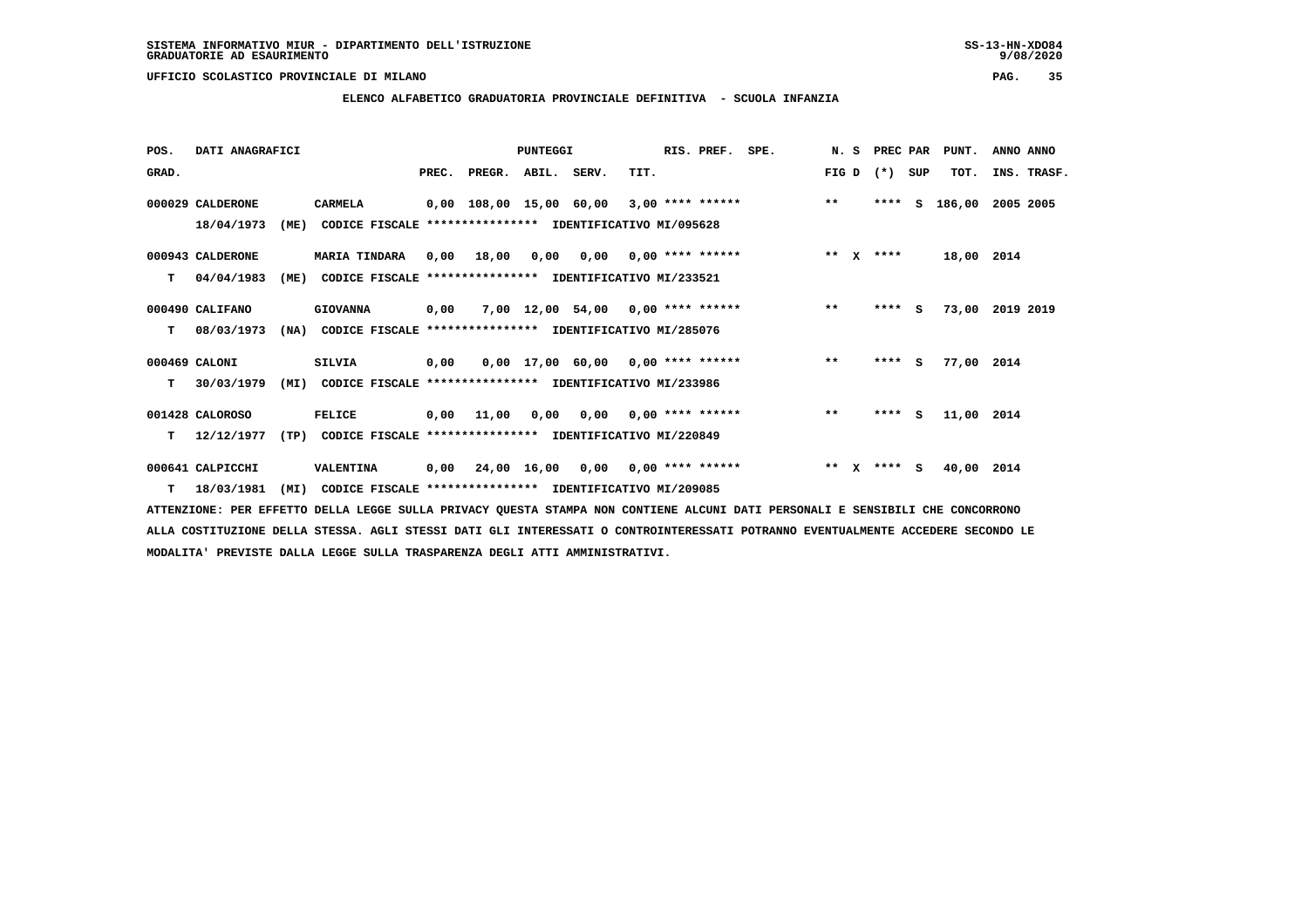**ELENCO ALFABETICO GRADUATORIA PROVINCIALE DEFINITIVA - SCUOLA INFANZIA**

| POS.  | DATI ANAGRAFICI  |      |                                                               |       |                                           | PUNTEGGI |                                        |                           | RIS. PREF.         | SPE.               |              |              | N. S PREC PAR |     | PUNT.           | ANNO ANNO |             |
|-------|------------------|------|---------------------------------------------------------------|-------|-------------------------------------------|----------|----------------------------------------|---------------------------|--------------------|--------------------|--------------|--------------|---------------|-----|-----------------|-----------|-------------|
| GRAD. |                  |      |                                                               | PREC. | PREGR. ABIL. SERV.                        |          |                                        | TIT.                      |                    |                    | FIG D        |              | $(*)$         | SUP | TOT.            |           | INS. TRASF. |
|       | 000029 CALDERONE |      | CARMELA                                                       |       | 0,00 108,00 15,00 60,00                   |          |                                        |                           |                    | $3,00$ **** ****** | $***$        |              | ****          | s   | 186,00          | 2005 2005 |             |
|       | 18/04/1973       | (ME) | CODICE FISCALE **************** IDENTIFICATIVO MI/095628      |       |                                           |          |                                        |                           |                    |                    |              |              |               |     |                 |           |             |
|       | 000943 CALDERONE |      | <b>MARIA TINDARA</b>                                          | 0,00  | 18,00                                     | 0,00     |                                        | $0.00$ $0.00$ **** ****** |                    |                    | ** $X$       |              | ****          |     | 18,00 2014      |           |             |
| т     | 04/04/1983       | (ME) | CODICE FISCALE                                                |       | **************** IDENTIFICATIVO MI/233521 |          |                                        |                           |                    |                    |              |              |               |     |                 |           |             |
|       | 000490 CALIFANO  |      | <b>GIOVANNA</b>                                               | 0,00  |                                           |          | 7,00 12,00 54,00 0,00 **** ******      |                           |                    |                    | $\star\star$ |              | $***$ S       |     | 73,00 2019 2019 |           |             |
| т     | 08/03/1973       | (NA) | CODICE FISCALE **************** IDENTIFICATIVO MI/285076      |       |                                           |          |                                        |                           |                    |                    |              |              |               |     |                 |           |             |
|       | 000469 CALONI    |      | <b>SILVIA</b>                                                 | 0,00  |                                           |          | $0,00$ 17,00 60,00 0,00 **** ******    |                           |                    |                    | $**$         |              | $***$ S       |     | 77,00 2014      |           |             |
| т     | 30/03/1979       |      | (MI) CODICE FISCALE **************** IDENTIFICATIVO MI/233986 |       |                                           |          |                                        |                           |                    |                    |              |              |               |     |                 |           |             |
|       | 001428 CALOROSO  |      | <b>FELICE</b>                                                 |       | 0,00 11,00                                |          | $0,00$ $0,00$ $0,00$ $***$ **** ****** |                           |                    |                    | $**$         |              | $***$ S       |     | 11,00 2014      |           |             |
| т     | 12/12/1977       | (TP) | CODICE FISCALE **************** IDENTIFICATIVO MI/220849      |       |                                           |          |                                        |                           |                    |                    |              |              |               |     |                 |           |             |
|       | 000641 CALPICCHI |      | VALENTINA                                                     | 0,00  | 24,00 16,00 0,00                          |          |                                        |                           | $0,00$ **** ****** |                    | $***$        | $\mathbf{x}$ | **** S        |     | 40,00 2014      |           |             |
|       | $T = 18/03/1981$ | (MI) | CODICE FISCALE **************** IDENTIFICATIVO MI/209085      |       |                                           |          |                                        |                           |                    |                    |              |              |               |     |                 |           |             |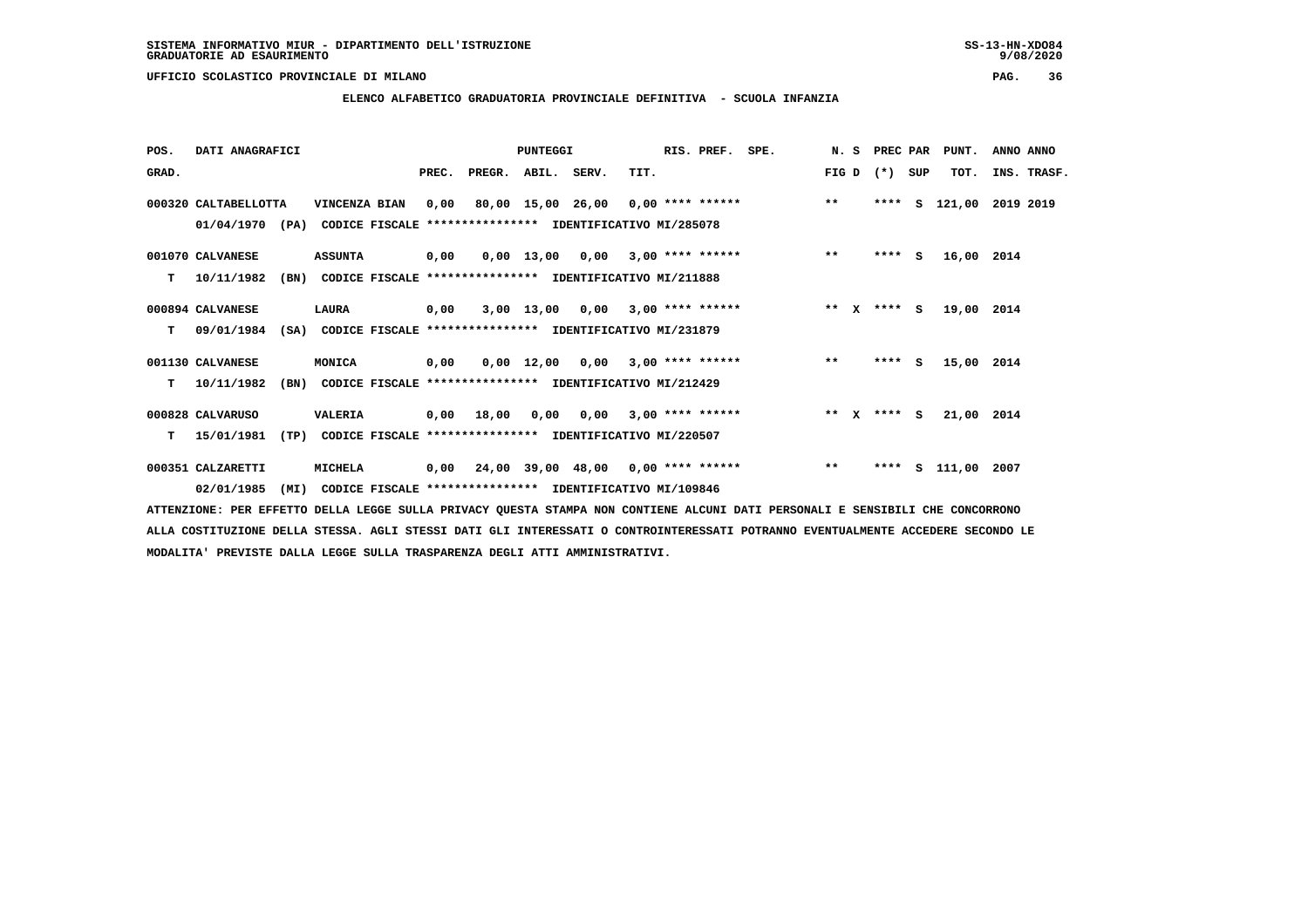**ELENCO ALFABETICO GRADUATORIA PROVINCIALE DEFINITIVA - SCUOLA INFANZIA**

| POS.  | DATI ANAGRAFICI                                                                                  |      |                                                                               |       |                                           | PUNTEGGI |                                    |      | RIS. PREF. | SPE.                                    |       | N. S PREC PAR   | PUNT.                   | ANNO ANNO |             |
|-------|--------------------------------------------------------------------------------------------------|------|-------------------------------------------------------------------------------|-------|-------------------------------------------|----------|------------------------------------|------|------------|-----------------------------------------|-------|-----------------|-------------------------|-----------|-------------|
| GRAD. |                                                                                                  |      |                                                                               | PREC. | PREGR. ABIL. SERV.                        |          |                                    | TIT. |            |                                         |       | FIG D $(*)$ SUP | TOT.                    |           | INS. TRASF. |
|       | 000320 CALTABELLOTTA<br>01/04/1970 (PA) CODICE FISCALE **************** IDENTIFICATIVO MI/285078 |      | VINCENZA BIAN                                                                 |       |                                           |          |                                    |      |            | 0,00 80,00 15,00 26,00 0,00 **** ****** | $***$ |                 | **** S 121,00 2019 2019 |           |             |
| т     | 001070 CALVANESE<br>10/11/1982                                                                   | (BN) | <b>ASSUNTA</b><br>CODICE FISCALE **************** IDENTIFICATIVO MI/211888    | 0,00  |                                           |          |                                    |      |            | $0,00$ 13,00 0,00 3,00 **** ******      | $* *$ | $***$ S         | 16,00 2014              |           |             |
| т     | 000894 CALVANESE<br>09/01/1984                                                                   |      | <b>LAURA</b><br>(SA) CODICE FISCALE **************** IDENTIFICATIVO MI/231879 | 0,00  |                                           |          | $3,00$ 13,00 0,00 3,00 **** ****** |      |            | ** $X$ **** S                           |       |                 | 19,00 2014              |           |             |
| т     | 001130 CALVANESE<br>10/11/1982                                                                   | (BN) | <b>MONICA</b><br>CODICE FISCALE **************** IDENTIFICATIVO MI/212429     | 0,00  |                                           |          | $0,00$ 12,00 0,00 3,00 **** ****** |      |            |                                         | $***$ | $***$ S         | 15,00 2014              |           |             |
| т     | 000828 CALVARUSO<br>15/01/1981                                                                   | (TP) | <b>VALERIA</b><br>CODICE FISCALE **************** IDENTIFICATIVO MI/220507    |       | 0,00 18,00                                |          | $0,00$ $0,00$ $3,00$ **** ******   |      |            | $*** x*** s$                            |       |                 | 21,00 2014              |           |             |
|       | 000351 CALZARETTI                                                                                |      | MICHELA                                                                       |       | $0,00$ 24,00 39,00 48,00 0,00 **** ****** |          |                                    |      |            |                                         | $***$ |                 | **** S 111,00 2007      |           |             |

 **02/01/1985 (MI) CODICE FISCALE \*\*\*\*\*\*\*\*\*\*\*\*\*\*\*\* IDENTIFICATIVO MI/109846**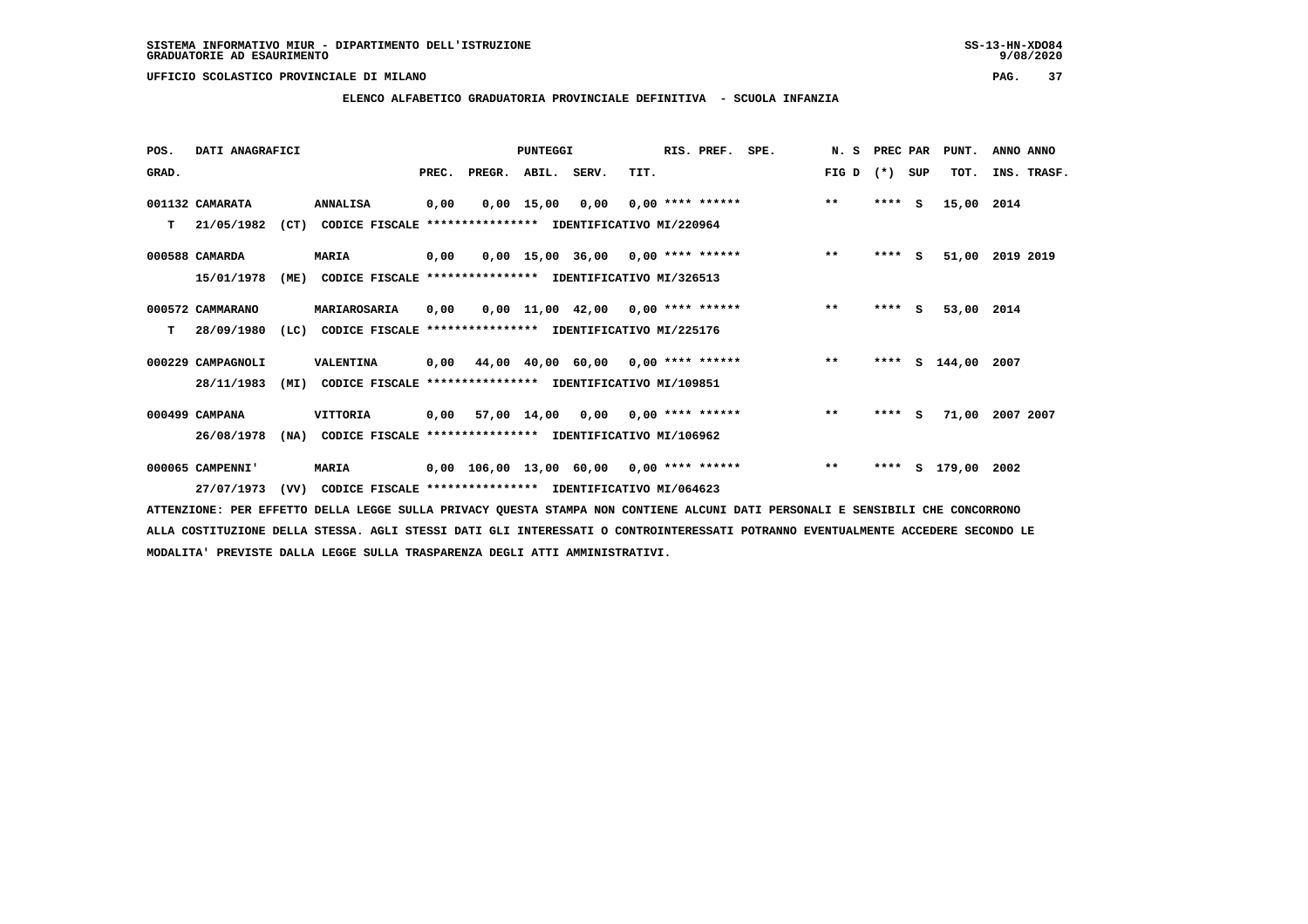**ELENCO ALFABETICO GRADUATORIA PROVINCIALE DEFINITIVA - SCUOLA INFANZIA**

| POS.  | DATI ANAGRAFICI   |      |                                                               |       |                                            | PUNTEGGI   |                                     |      | RIS. PREF. SPE.    | N. S PREC PAR |         |     | PUNT.         | ANNO ANNO |             |
|-------|-------------------|------|---------------------------------------------------------------|-------|--------------------------------------------|------------|-------------------------------------|------|--------------------|---------------|---------|-----|---------------|-----------|-------------|
| GRAD. |                   |      |                                                               | PREC. | PREGR.                                     | ABIL.      | SERV.                               | TIT. |                    | FIG D         | $(*)$   | SUP | TOT.          |           | INS. TRASF. |
|       | 001132 CAMARATA   |      | <b>ANNALISA</b>                                               | 0,00  |                                            | 0,00 15,00 | 0,00                                |      | $0,00$ **** ****** | $* *$         | $***$ S |     | 15,00         | 2014      |             |
| т     | 21/05/1982        | (CT) | CODICE FISCALE **************** IDENTIFICATIVO MI/220964      |       |                                            |            |                                     |      |                    |               |         |     |               |           |             |
|       |                   |      |                                                               |       |                                            |            |                                     |      |                    |               |         |     |               |           |             |
|       | 000588 CAMARDA    |      | MARIA                                                         | 0,00  |                                            |            | $0,00$ 15,00 36,00 0,00 **** ****** |      |                    | $* *$         | **** S  |     | 51,00         | 2019 2019 |             |
|       | 15/01/1978        | (ME) | CODICE FISCALE **************** IDENTIFICATIVO MI/326513      |       |                                            |            |                                     |      |                    |               |         |     |               |           |             |
|       |                   |      |                                                               |       |                                            |            |                                     |      |                    |               |         |     |               |           |             |
|       | 000572 CAMMARANO  |      | MARIAROSARIA                                                  | 0,00  |                                            |            | $0,00$ 11,00 42,00 0,00 **** ****** |      |                    | $* *$         | $***$ S |     | 53,00 2014    |           |             |
| T.    | 28/09/1980        | (LC) | CODICE FISCALE **************** IDENTIFICATIVO MI/225176      |       |                                            |            |                                     |      |                    |               |         |     |               |           |             |
|       | 000229 CAMPAGNOLI |      | VALENTINA                                                     | 0,00  |                                            |            | 44,00 40,00 60,00 0,00 **** ******  |      |                    | $***$         | ****    |     | S 144,00      | 2007      |             |
|       | 28/11/1983        | (MI) | CODICE FISCALE **************** IDENTIFICATIVO MI/109851      |       |                                            |            |                                     |      |                    |               |         |     |               |           |             |
|       |                   |      |                                                               |       |                                            |            |                                     |      |                    |               |         |     |               |           |             |
|       | 000499 CAMPANA    |      | <b>VITTORIA</b>                                               |       | $0.00$ 57.00 14.00 0.00 0.00 **** ******   |            |                                     |      |                    | $**$          | $***$ S |     | 71,00         | 2007 2007 |             |
|       | 26/08/1978        | (NA) | CODICE FISCALE **************** IDENTIFICATIVO MI/106962      |       |                                            |            |                                     |      |                    |               |         |     |               |           |             |
|       |                   |      |                                                               |       |                                            |            |                                     |      |                    |               |         |     |               |           |             |
|       | 000065 CAMPENNI'  |      | <b>MARIA</b>                                                  |       | $0.00$ 106.00 13.00 60.00 0.00 **** ****** |            |                                     |      |                    | $***$         | ****    |     | S 179,00 2002 |           |             |
|       | 27/07/1973        |      | (VV) CODICE FISCALE **************** IDENTIFICATIVO MI/064623 |       |                                            |            |                                     |      |                    |               |         |     |               |           |             |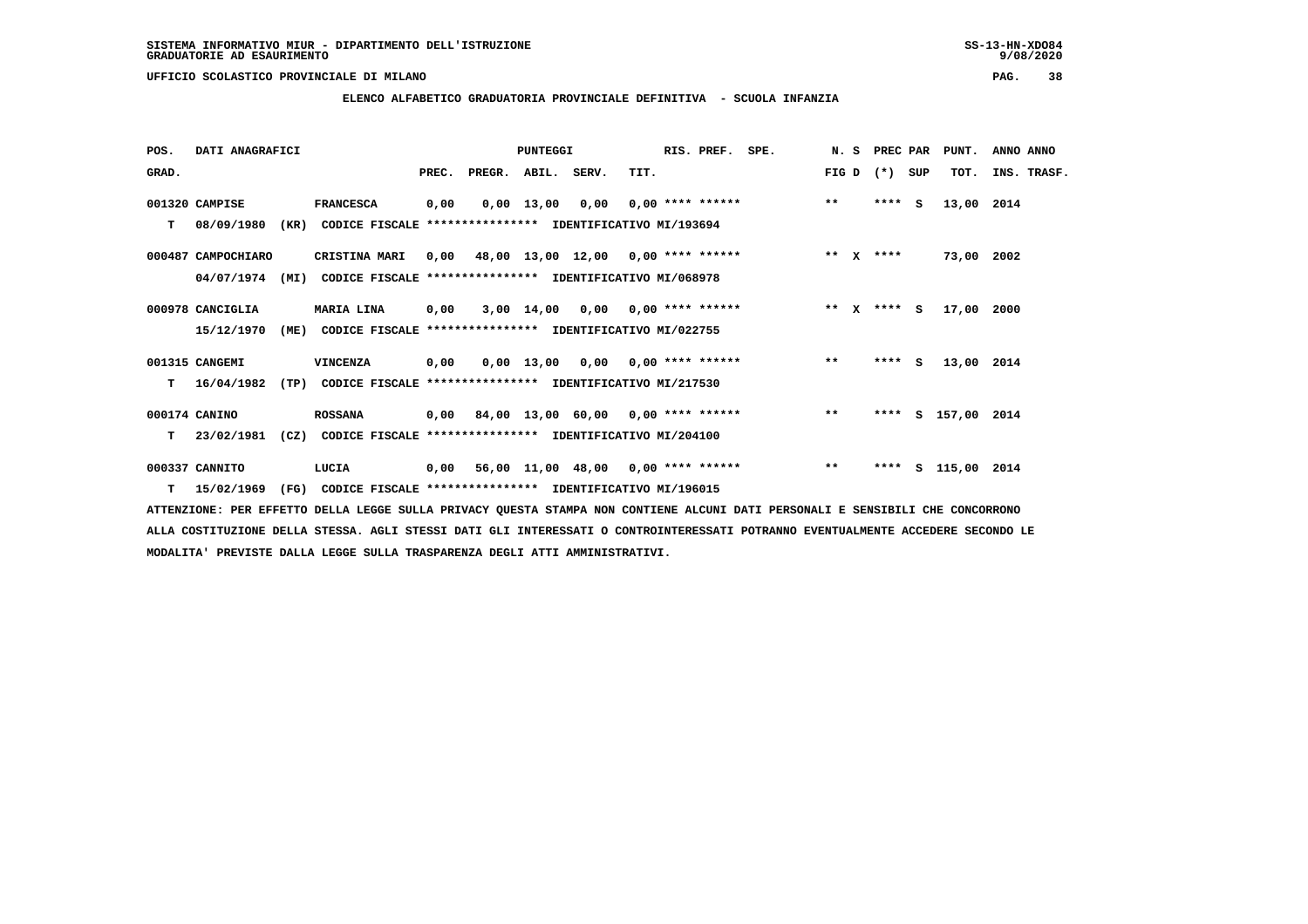**ELENCO ALFABETICO GRADUATORIA PROVINCIALE DEFINITIVA - SCUOLA INFANZIA**

| POS.  | DATI ANAGRAFICI    |      |                                                               |       |                                           | <b>PUNTEGGI</b> |                                    |      | RIS. PREF.         | SPE. |        | N. S | PREC PAR    |   | PUNT.              | ANNO ANNO   |  |
|-------|--------------------|------|---------------------------------------------------------------|-------|-------------------------------------------|-----------------|------------------------------------|------|--------------------|------|--------|------|-------------|---|--------------------|-------------|--|
| GRAD. |                    |      |                                                               | PREC. | PREGR. ABIL. SERV.                        |                 |                                    | TIT. |                    |      | FIG D  |      | (*) SUP     |   | TOT.               | INS. TRASF. |  |
|       | 001320 CAMPISE     |      | <b>FRANCESCA</b>                                              | 0,00  |                                           | $0,00$ 13,00    | 0,00                               |      | $0.00$ **** ****** |      | $***$  |      | $***$ S     |   | 13,00              | 2014        |  |
| T.    | 08/09/1980         | (KR) | CODICE FISCALE **************** IDENTIFICATIVO MI/193694      |       |                                           |                 |                                    |      |                    |      |        |      |             |   |                    |             |  |
|       | 000487 CAMPOCHIARO |      | CRISTINA MARI                                                 |       | $0,00$ 48,00 13,00 12,00 0,00 **** ****** |                 |                                    |      |                    |      |        |      | ** $X$ **** |   | 73,00 2002         |             |  |
|       | 04/07/1974         | (MI) | CODICE FISCALE **************** IDENTIFICATIVO MI/068978      |       |                                           |                 |                                    |      |                    |      |        |      |             |   |                    |             |  |
|       | 000978 CANCIGLIA   |      | MARIA LINA                                                    | 0,00  |                                           |                 | $3,00$ 14,00 0,00 0,00 **** ****** |      |                    |      | ** $X$ |      | $***$ S     |   | 17,00 2000         |             |  |
|       | 15/12/1970         | (ME) | CODICE FISCALE **************** IDENTIFICATIVO MI/022755      |       |                                           |                 |                                    |      |                    |      |        |      |             |   |                    |             |  |
|       | 001315 CANGEMI     |      | VINCENZA                                                      | 0,00  |                                           |                 | $0,00$ 13,00 0,00 0,00 **** ****** |      |                    |      | $***$  |      | $***$ S     |   | 13,00 2014         |             |  |
| т     | 16/04/1982         |      | (TP) CODICE FISCALE **************** IDENTIFICATIVO MI/217530 |       |                                           |                 |                                    |      |                    |      |        |      |             |   |                    |             |  |
|       | 000174 CANINO      |      | <b>ROSSANA</b>                                                |       | 0,00 84,00 13,00 60,00 0,00 **** ******   |                 |                                    |      |                    |      | $**$   |      |             |   | **** S 157,00 2014 |             |  |
| т     | 23/02/1981         | (CZ) | CODICE FISCALE **************** IDENTIFICATIVO MI/204100      |       |                                           |                 |                                    |      |                    |      |        |      |             |   |                    |             |  |
|       | 000337 CANNITO     |      | LUCIA                                                         | 0,00  |                                           |                 | 56,00 11,00 48,00 0,00 **** ****** |      |                    |      | $* *$  |      | ****        | s | 115,00 2014        |             |  |
|       | $T = 15/02/1969$   | (FG) | CODICE FISCALE **************** IDENTIFICATIVO MI/196015      |       |                                           |                 |                                    |      |                    |      |        |      |             |   |                    |             |  |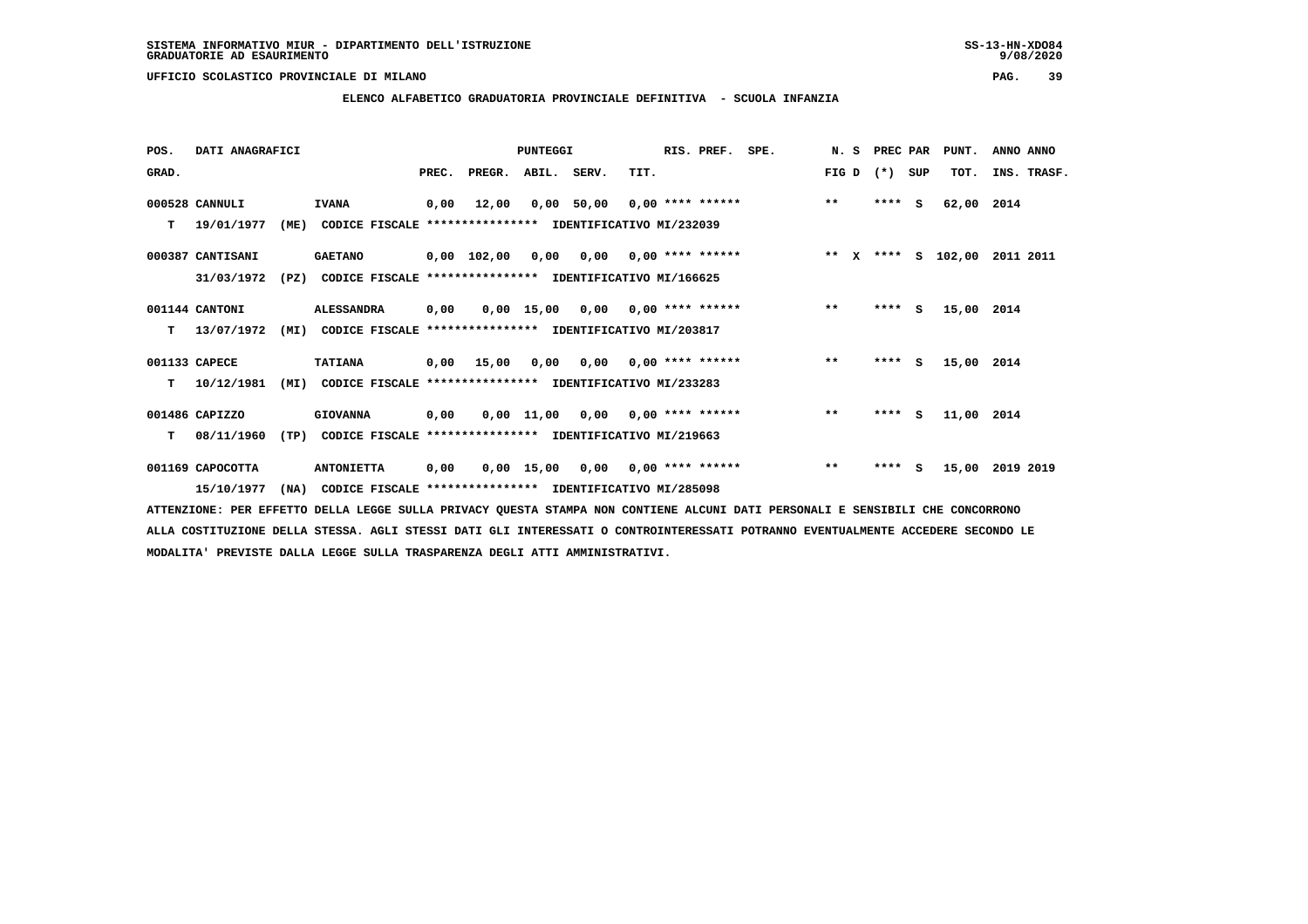**ELENCO ALFABETICO GRADUATORIA PROVINCIALE DEFINITIVA - SCUOLA INFANZIA**

 **POS. DATI ANAGRAFICI PUNTEGGI RIS. PREF. SPE. N. S PREC PAR PUNT. ANNO ANNO**GRAD. **BRAD. PREC. PREGR. ABIL. SERV.** TIT. THE REGREATER FIG D (\*) SUP TOT. INS. TRASF.  **000528 CANNULI IVANA 0,00 12,00 0,00 50,00 0,00 \*\*\*\* \*\*\*\*\*\* \*\* \*\*\*\* S 62,00 2014 T 19/01/1977 (ME) CODICE FISCALE \*\*\*\*\*\*\*\*\*\*\*\*\*\*\*\* IDENTIFICATIVO MI/232039 000387 CANTISANI GAETANO 0,00 102,00 0,00 0,00 0,00 \*\*\*\* \*\*\*\*\*\* \*\* X \*\*\*\* S 102,00 2011 2011 31/03/1972 (PZ) CODICE FISCALE \*\*\*\*\*\*\*\*\*\*\*\*\*\*\*\* IDENTIFICATIVO MI/166625 001144 CANTONI ALESSANDRA 0,00 0,00 15,00 0,00 0,00 \*\*\*\* \*\*\*\*\*\* \*\* \*\*\*\* S 15,00 2014 T 13/07/1972 (MI) CODICE FISCALE \*\*\*\*\*\*\*\*\*\*\*\*\*\*\*\* IDENTIFICATIVO MI/203817 001133 CAPECE TATIANA 0,00 15,00 0,00 0,00 0,00 \*\*\*\* \*\*\*\*\*\* \*\* \*\*\*\* S 15,00 2014 T 10/12/1981 (MI) CODICE FISCALE \*\*\*\*\*\*\*\*\*\*\*\*\*\*\*\* IDENTIFICATIVO MI/233283 001486 CAPIZZO GIOVANNA 0,00 0,00 11,00 0,00 0,00 \*\*\*\* \*\*\*\*\*\* \*\* \*\*\*\* S 11,00 2014 T 08/11/1960 (TP) CODICE FISCALE \*\*\*\*\*\*\*\*\*\*\*\*\*\*\*\* IDENTIFICATIVO MI/219663 001169 CAPOCOTTA ANTONIETTA 0,00 0,00 15,00 0,00 0,00 \*\*\*\* \*\*\*\*\*\* \*\* \*\*\*\* S 15,00 2019 2019**

 **15/10/1977 (NA) CODICE FISCALE \*\*\*\*\*\*\*\*\*\*\*\*\*\*\*\* IDENTIFICATIVO MI/285098**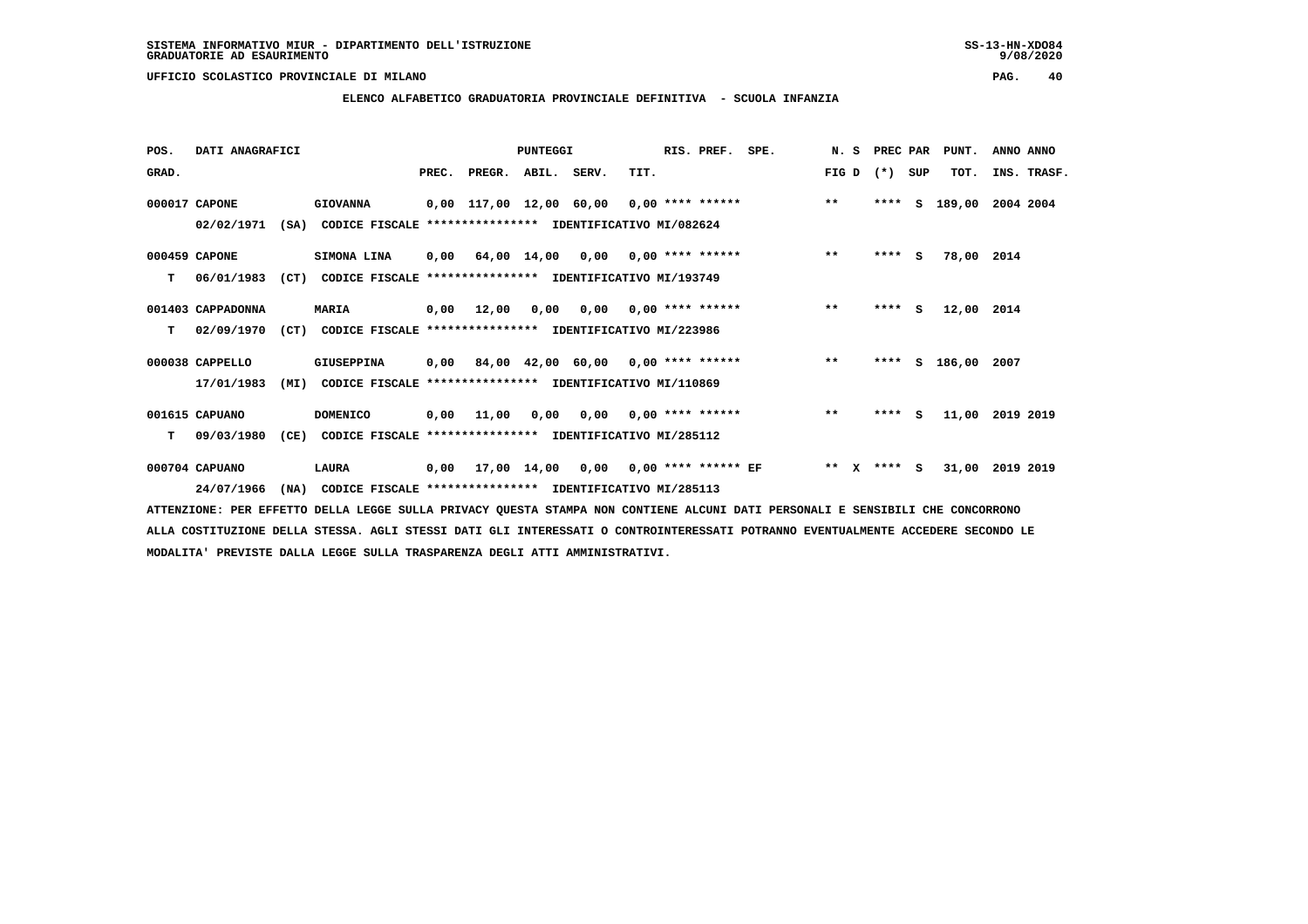**ELENCO ALFABETICO GRADUATORIA PROVINCIALE DEFINITIVA - SCUOLA INFANZIA**

| POS.  | DATI ANAGRAFICI   |      |                                                               |       |                    | <b>PUNTEGGI</b> |                                             |      | RIS. PREF. SPE.           |                                                 |       | N. S PREC PAR |     | PUNT.      | ANNO ANNO   |
|-------|-------------------|------|---------------------------------------------------------------|-------|--------------------|-----------------|---------------------------------------------|------|---------------------------|-------------------------------------------------|-------|---------------|-----|------------|-------------|
| GRAD. |                   |      |                                                               | PREC. | PREGR. ABIL. SERV. |                 |                                             | TIT. |                           |                                                 | FIG D | $(* )$        | SUP | TOT.       | INS. TRASF. |
|       | 000017 CAPONE     |      | <b>GIOVANNA</b>                                               |       |                    |                 |                                             |      |                           | 0,00 117,00 12,00 60,00 0,00 **** ****** *** ** |       | ****          | s   | 189,00     | 2004 2004   |
|       | 02/02/1971        |      | (SA) CODICE FISCALE **************** IDENTIFICATIVO MI/082624 |       |                    |                 |                                             |      |                           |                                                 |       |               |     |            |             |
|       | 000459 CAPONE     |      | SIMONA LINA                                                   |       |                    |                 | $0,00$ 64,00 14,00 0,00 0,00 **** ******    |      |                           |                                                 | $***$ | $***$ S       |     | 78,00 2014 |             |
| т     | 06/01/1983        | (CT) | CODICE FISCALE **************** IDENTIFICATIVO MI/193749      |       |                    |                 |                                             |      |                           |                                                 |       |               |     |            |             |
|       | 001403 CAPPADONNA |      | <b>MARIA</b>                                                  | 0,00  | 12,00              | 0,00            |                                             |      |                           | $0,00$ 0,00 **** ******                         | $***$ | $***$ S       |     | 12,00 2014 |             |
| т     | 02/09/1970        |      | (CT) CODICE FISCALE **************** IDENTIFICATIVO MI/223986 |       |                    |                 |                                             |      |                           |                                                 |       |               |     |            |             |
|       | 000038 CAPPELLO   |      | GIUSEPPINA                                                    |       |                    |                 |                                             |      |                           | 0,00 84,00 42,00 60,00 0,00 **** ******         | $***$ | ****          |     | S 186,00   | 2007        |
|       | 17/01/1983        | (MI) | CODICE FISCALE **************** IDENTIFICATIVO MI/110869      |       |                    |                 |                                             |      |                           |                                                 |       |               |     |            |             |
|       | 001615 CAPUANO    |      | <b>DOMENICO</b>                                               | 0,00  | 11,00              | 0.00            |                                             |      | $0,00$ $0,00$ **** ****** |                                                 | $***$ | $***$ S       |     | 11,00      | 2019 2019   |
| т     | 09/03/1980        |      | (CE) CODICE FISCALE **************** IDENTIFICATIVO MI/285112 |       |                    |                 |                                             |      |                           |                                                 |       |               |     |            |             |
|       | 000704 CAPUANO    |      | LAURA                                                         |       |                    |                 | $0,00$ 17,00 14,00 0,00 0,00 **** ****** EF |      |                           | ** X **** S                                     |       |               |     | 31,00      | 2019 2019   |
|       | 24/07/1966        | (NA) | CODICE FISCALE **************** IDENTIFICATIVO MI/285113      |       |                    |                 |                                             |      |                           |                                                 |       |               |     |            |             |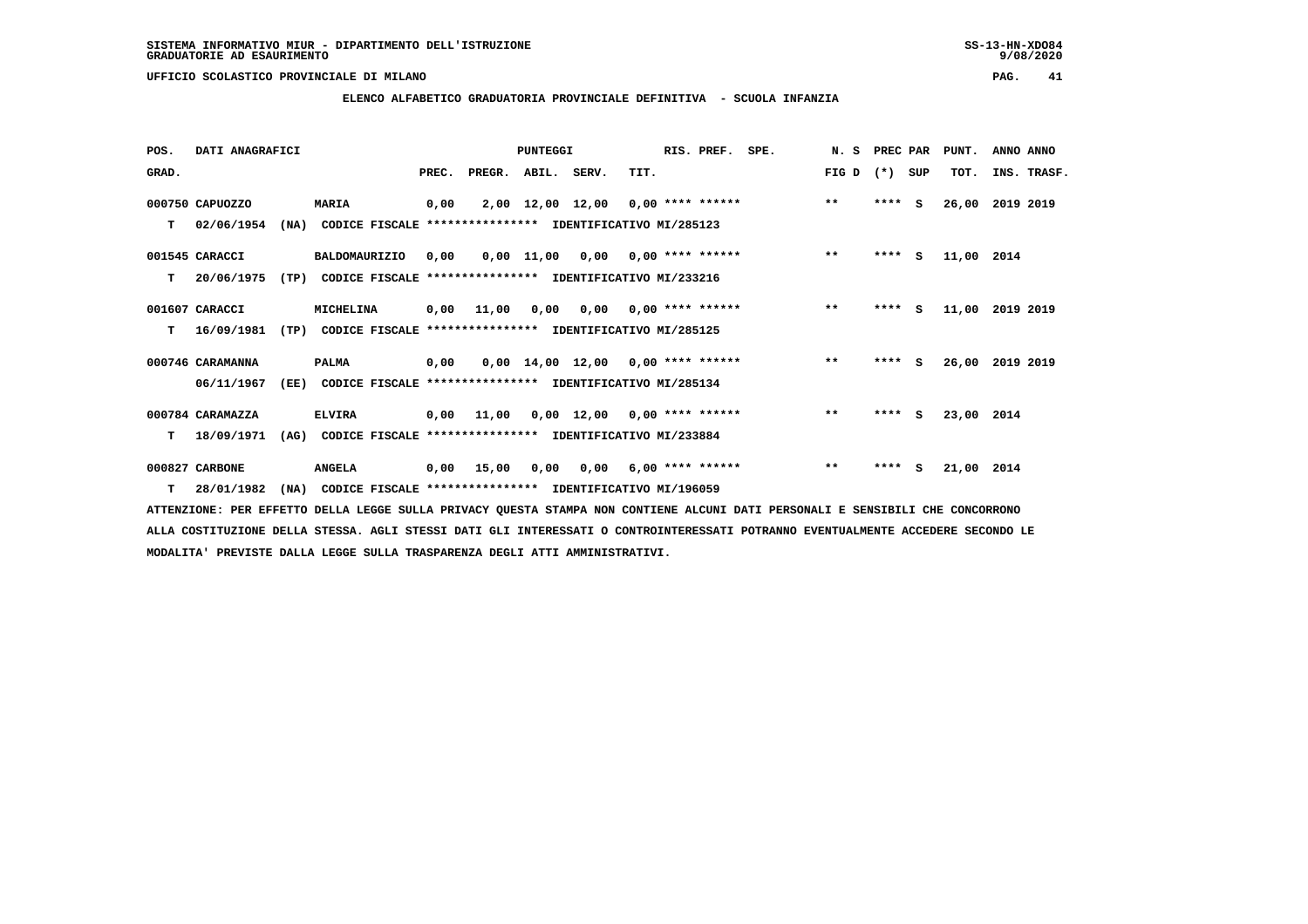## **ELENCO ALFABETICO GRADUATORIA PROVINCIALE DEFINITIVA - SCUOLA INFANZIA**

 **POS. DATI ANAGRAFICI PUNTEGGI RIS. PREF. SPE. N. S PREC PAR PUNT. ANNO ANNO**GRAD. **BRAD. PREC. PREGR. ABIL. SERV.** TIT. THE REGREATER FIG D (\*) SUP TOT. INS. TRASF.  **000750 CAPUOZZO MARIA 0,00 2,00 12,00 12,00 0,00 \*\*\*\* \*\*\*\*\*\* \*\* \*\*\*\* S 26,00 2019 2019 T 02/06/1954 (NA) CODICE FISCALE \*\*\*\*\*\*\*\*\*\*\*\*\*\*\*\* IDENTIFICATIVO MI/285123 001545 CARACCI BALDOMAURIZIO 0,00 0,00 11,00 0,00 0,00 \*\*\*\* \*\*\*\*\*\* \*\* \*\*\*\* S 11,00 2014 T 20/06/1975 (TP) CODICE FISCALE \*\*\*\*\*\*\*\*\*\*\*\*\*\*\*\* IDENTIFICATIVO MI/233216 001607 CARACCI MICHELINA 0,00 11,00 0,00 0,00 0,00 \*\*\*\* \*\*\*\*\*\* \*\* \*\*\*\* S 11,00 2019 2019 T 16/09/1981 (TP) CODICE FISCALE \*\*\*\*\*\*\*\*\*\*\*\*\*\*\*\* IDENTIFICATIVO MI/285125 000746 CARAMANNA PALMA 0,00 0,00 14,00 12,00 0,00 \*\*\*\* \*\*\*\*\*\* \*\* \*\*\*\* S 26,00 2019 2019 06/11/1967 (EE) CODICE FISCALE \*\*\*\*\*\*\*\*\*\*\*\*\*\*\*\* IDENTIFICATIVO MI/285134 000784 CARAMAZZA ELVIRA 0,00 11,00 0,00 12,00 0,00 \*\*\*\* \*\*\*\*\*\* \*\* \*\*\*\* S 23,00 2014 T 18/09/1971 (AG) CODICE FISCALE \*\*\*\*\*\*\*\*\*\*\*\*\*\*\*\* IDENTIFICATIVO MI/233884 000827 CARBONE ANGELA 0,00 15,00 0,00 0,00 6,00 \*\*\*\* \*\*\*\*\*\* \*\* \*\*\*\* S 21,00 2014**

 **T 28/01/1982 (NA) CODICE FISCALE \*\*\*\*\*\*\*\*\*\*\*\*\*\*\*\* IDENTIFICATIVO MI/196059**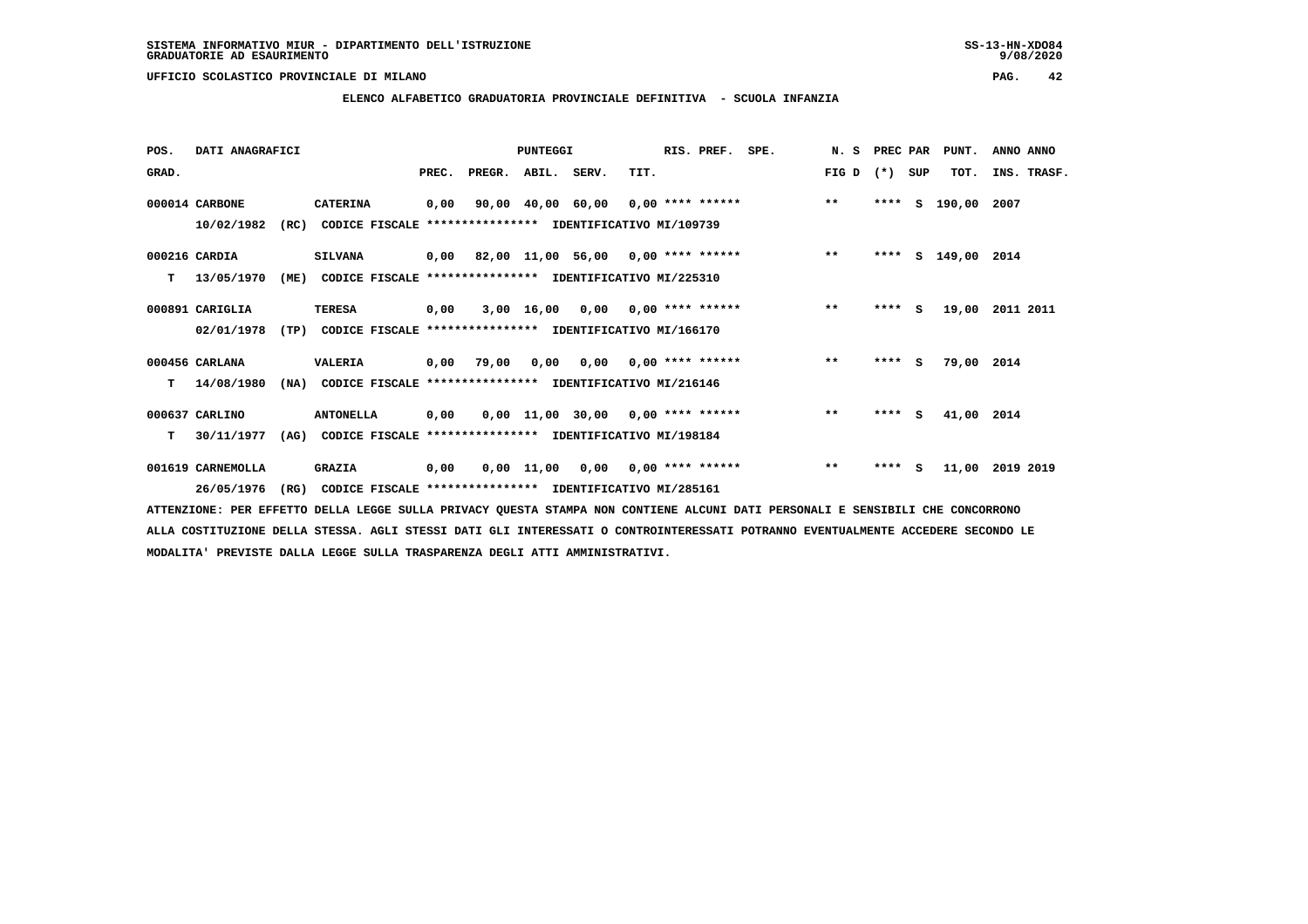### **ELENCO ALFABETICO GRADUATORIA PROVINCIALE DEFINITIVA - SCUOLA INFANZIA**

| POS.  | DATI ANAGRAFICI   |      |                                                               |       |                    | <b>PUNTEGGI</b> |                                         |      | RIS. PREF. | SPE. | N.S   | PREC PAR |          | PUNT.         | ANNO ANNO   |
|-------|-------------------|------|---------------------------------------------------------------|-------|--------------------|-----------------|-----------------------------------------|------|------------|------|-------|----------|----------|---------------|-------------|
| GRAD. |                   |      |                                                               | PREC. | PREGR. ABIL. SERV. |                 |                                         | TIT. |            |      | FIG D | $(*)$    | SUP      | TOT.          | INS. TRASF. |
|       | 000014 CARBONE    |      | <b>CATERINA</b>                                               | 0,00  |                    |                 | 90,00 40,00 60,00 0,00 **** ******      |      |            |      | $***$ | ****     | s        | 190,00        | 2007        |
|       | 10/02/1982        | (RC) | CODICE FISCALE **************** IDENTIFICATIVO MI/109739      |       |                    |                 |                                         |      |            |      |       |          |          |               |             |
|       | 000216 CARDIA     |      | <b>SILVANA</b>                                                |       |                    |                 | 0,00 82,00 11,00 56,00 0,00 **** ****** |      |            |      | $***$ | ****     |          | S 149,00 2014 |             |
| т     | 13/05/1970        | (ME) | CODICE FISCALE **************** IDENTIFICATIVO MI/225310      |       |                    |                 |                                         |      |            |      |       |          |          |               |             |
|       | 000891 CARIGLIA   |      | <b>TERESA</b>                                                 | 0,00  |                    |                 | 3,00 16,00 0,00 0,00 **** ******        |      |            |      | $***$ | $***5$   |          | 19,00         | 2011 2011   |
|       | 02/01/1978        | (TP) | CODICE FISCALE **************** IDENTIFICATIVO MI/166170      |       |                    |                 |                                         |      |            |      |       |          |          |               |             |
|       | 000456 CARLANA    |      | <b>VALERIA</b>                                                |       | 0,00 79,00         |                 | $0.00$ $0.00$ $0.00$ $***$ **** ******  |      |            |      | $***$ | $***$ S  |          | 79,00 2014    |             |
| т     | 14/08/1980        | (NA) | CODICE FISCALE **************** IDENTIFICATIVO MI/216146      |       |                    |                 |                                         |      |            |      |       |          |          |               |             |
|       | 000637 CARLINO    |      | <b>ANTONELLA</b>                                              | 0,00  |                    |                 | $0,00$ 11,00 30,00 0,00 **** ******     |      |            |      | $***$ | ****     | <b>S</b> | 41,00 2014    |             |
| т     | 30/11/1977        |      | (AG) CODICE FISCALE **************** IDENTIFICATIVO MI/198184 |       |                    |                 |                                         |      |            |      |       |          |          |               |             |
|       | 001619 CARNEMOLLA |      | <b>GRAZIA</b>                                                 | 0,00  |                    |                 | 0,00 11,00 0,00 0,00 **** ******        |      |            |      | $***$ | ****     | <b>S</b> | 11,00         | 2019 2019   |
|       | 26/05/1976        | (RG) | CODICE FISCALE **************** IDENTIFICATIVO MI/285161      |       |                    |                 |                                         |      |            |      |       |          |          |               |             |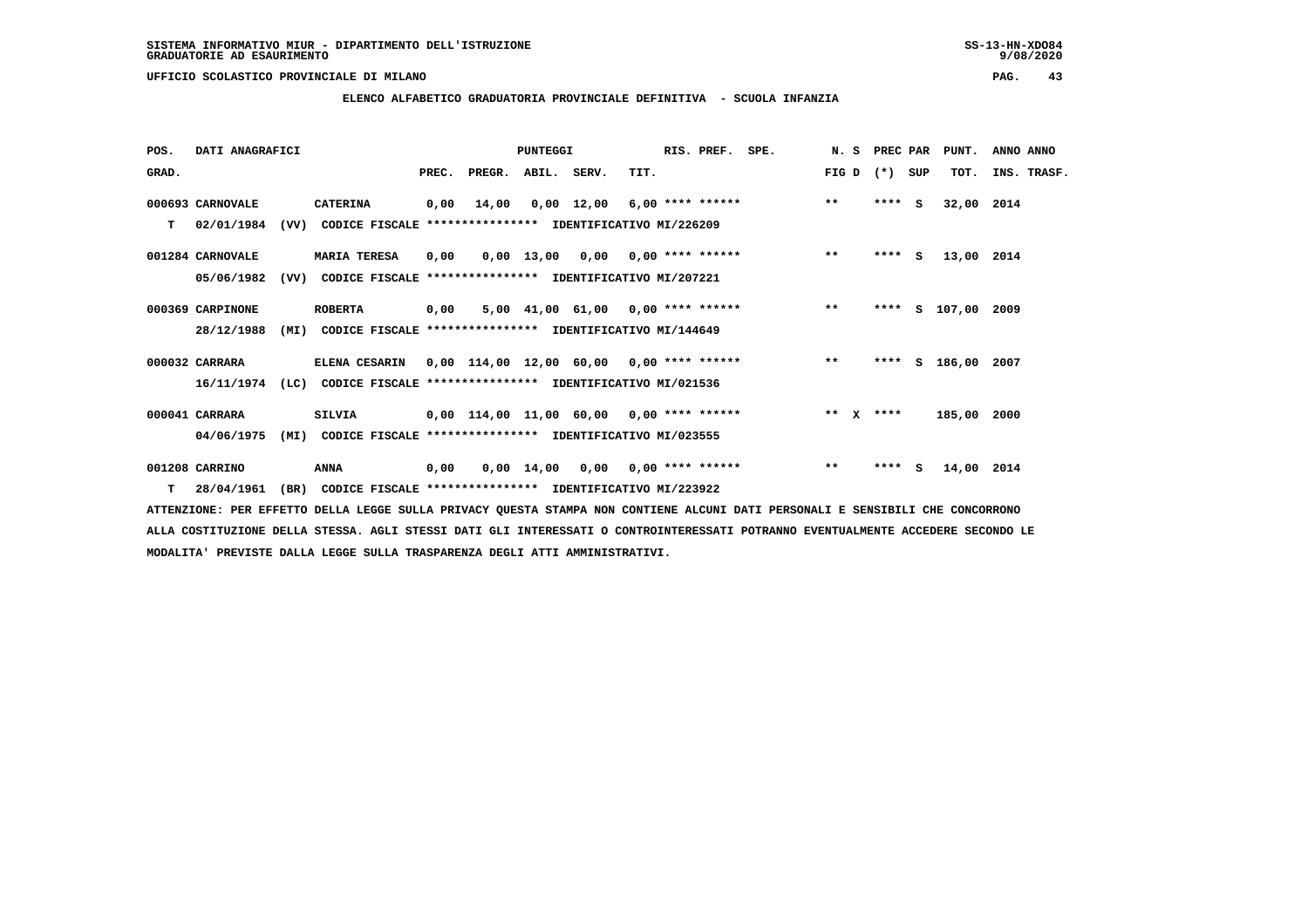**ELENCO ALFABETICO GRADUATORIA PROVINCIALE DEFINITIVA - SCUOLA INFANZIA**

| POS.  | DATI ANAGRAFICI  |      |                                                               |       |                                            | PUNTEGGI   |                                     |                           | RIS. PREF.         | SPE. | N.S     | PREC PAR |     | PUNT.       | ANNO ANNO   |  |
|-------|------------------|------|---------------------------------------------------------------|-------|--------------------------------------------|------------|-------------------------------------|---------------------------|--------------------|------|---------|----------|-----|-------------|-------------|--|
| GRAD. |                  |      |                                                               | PREC. | PREGR. ABIL. SERV.                         |            |                                     | TIT.                      |                    |      | FIG D   | $(*)$    | SUP | TOT.        | INS. TRASF. |  |
|       | 000693 CARNOVALE |      | <b>CATERINA</b>                                               | 0,00  | 14,00                                      |            | $0,00 \quad 12,00$                  |                           | $6,00$ **** ****** |      | $***$   | ****     | - S | 32,00 2014  |             |  |
| т     | 02/01/1984       | (VV) | CODICE FISCALE **************** IDENTIFICATIVO MI/226209      |       |                                            |            |                                     |                           |                    |      |         |          |     |             |             |  |
|       | 001284 CARNOVALE |      | <b>MARIA TERESA</b>                                           | 0,00  |                                            |            | $0,00$ 13,00 0,00 0,00 **** ******  |                           |                    |      | $***$   | $***$ S  |     | 13,00 2014  |             |  |
|       | 05/06/1982       | (VV) | CODICE FISCALE                                                |       | **************** IDENTIFICATIVO MI/207221  |            |                                     |                           |                    |      |         |          |     |             |             |  |
|       | 000369 CARPINONE |      | <b>ROBERTA</b>                                                | 0,00  |                                            |            | $5,00$ 41,00 61,00 0,00 **** ****** |                           |                    |      | $***$   | ****     |     | s 107,00    | 2009        |  |
|       | 28/12/1988       | (MI) | CODICE FISCALE **************** IDENTIFICATIVO MI/144649      |       |                                            |            |                                     |                           |                    |      |         |          |     |             |             |  |
|       | 000032 CARRARA   |      | ELENA CESARIN                                                 |       | $0,00$ 114,00 12,00 60,00 0,00 **** ****** |            |                                     |                           |                    |      | $* *$   | ****     | s   | 186,00      | 2007        |  |
|       | 16/11/1974       |      | (LC) CODICE FISCALE **************** IDENTIFICATIVO MI/021536 |       |                                            |            |                                     |                           |                    |      |         |          |     |             |             |  |
|       | 000041 CARRARA   |      | <b>SILVIA</b>                                                 |       | $0,00$ 114,00 11,00 60,00 0,00 **** ****** |            |                                     |                           |                    |      | $***$ X | ****     |     | 185,00 2000 |             |  |
|       | 04/06/1975       | (MI) | CODICE FISCALE **************** IDENTIFICATIVO MI/023555      |       |                                            |            |                                     |                           |                    |      |         |          |     |             |             |  |
|       | 001208 CARRINO   |      | <b>ANNA</b>                                                   | 0,00  |                                            | 0,00 14,00 |                                     | $0,00$ $0,00$ **** ****** |                    |      | $**$    | ****     | s   | 14,00 2014  |             |  |
|       | $T = 28/04/1961$ |      | (BR) CODICE FISCALE **************** IDENTIFICATIVO MI/223922 |       |                                            |            |                                     |                           |                    |      |         |          |     |             |             |  |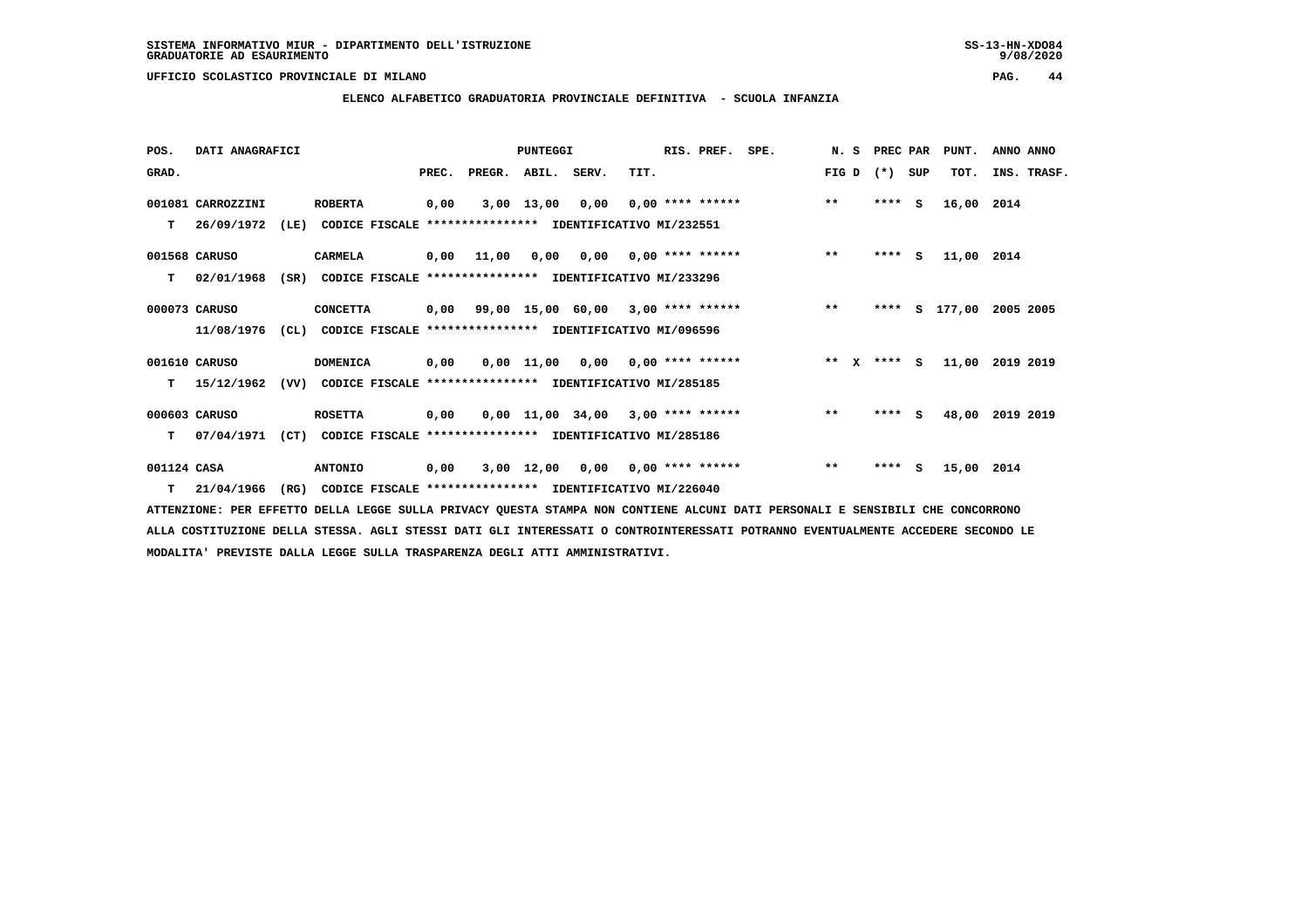**ELENCO ALFABETICO GRADUATORIA PROVINCIALE DEFINITIVA - SCUOLA INFANZIA**

| POS.        | DATI ANAGRAFICI   |      |                                                                            |      |                                           | <b>PUNTEGGI</b> |      |      | RIS. PREF.         | SPE.                                                                        |       | N. S PREC PAR |     | PUNT.                   | ANNO ANNO |             |
|-------------|-------------------|------|----------------------------------------------------------------------------|------|-------------------------------------------|-----------------|------|------|--------------------|-----------------------------------------------------------------------------|-------|---------------|-----|-------------------------|-----------|-------------|
| GRAD.       |                   |      |                                                                            |      | PREC. PREGR. ABIL. SERV.                  |                 |      | TIT. |                    |                                                                             |       | FIG D $(*)$   | SUP | TOT.                    |           | INS. TRASF. |
|             | 001081 CARROZZINI |      | <b>ROBERTA</b>                                                             | 0,00 |                                           | 3,00 13,00      | 0,00 |      |                    | $0,00$ **** ****** ** **                                                    |       | $***$ S       |     | 16,00 2014              |           |             |
|             |                   |      | T 26/09/1972 (LE) CODICE FISCALE *************** IDENTIFICATIVO MI/232551  |      |                                           |                 |      |      |                    |                                                                             |       |               |     |                         |           |             |
|             | 001568 CARUSO     |      | CARMELA                                                                    |      |                                           |                 |      |      |                    | 0,00 11,00 0,00 0,00 0,00 **** ****** *** **                                |       |               |     | **** S 11,00 2014       |           |             |
|             |                   |      | T 02/01/1968 (SR) CODICE FISCALE **************** IDENTIFICATIVO MI/233296 |      |                                           |                 |      |      |                    |                                                                             |       |               |     |                         |           |             |
|             | 000073 CARUSO     |      | <b>CONCETTA</b>                                                            |      |                                           |                 |      |      |                    | 0,00 99,00 15,00 60,00 3,00 **** ****** *** **                              |       |               |     | **** S 177,00 2005 2005 |           |             |
|             |                   |      | 11/08/1976 (CL) CODICE FISCALE **************** IDENTIFICATIVO MI/096596   |      |                                           |                 |      |      |                    |                                                                             |       |               |     |                         |           |             |
|             | 001610 CARUSO     |      | <b>DOMENICA</b>                                                            |      |                                           |                 |      |      |                    | 0,00 0,00 11,00 0,00 0,00 **** ****** *** ** ** ** ** ** \$ 11,00 2019 2019 |       |               |     |                         |           |             |
|             | 15/12/1962        |      | (VV) CODICE FISCALE                                                        |      | **************** IDENTIFICATIVO MI/285185 |                 |      |      |                    |                                                                             |       |               |     |                         |           |             |
|             | 000603 CARUSO     |      | <b>ROSETTA</b>                                                             |      |                                           |                 |      |      |                    | $0,00$ $0,00$ $11,00$ $34,00$ $3,00$ **** ****** *** **                     |       | $***5$        |     | 48,00 2019 2019         |           |             |
|             | T 07/04/1971      | (CT) | CODICE FISCALE **************** IDENTIFICATIVO MI/285186                   |      |                                           |                 |      |      |                    |                                                                             |       |               |     |                         |           |             |
| 001124 CASA |                   |      | <b>ANTONIO</b>                                                             | 0,00 |                                           | 3,00 12,00      | 0,00 |      | $0,00$ **** ****** |                                                                             | $***$ | $***$ S       |     | 15,00 2014              |           |             |
|             |                   |      |                                                                            |      |                                           |                 |      |      |                    |                                                                             |       |               |     |                         |           |             |

 **T 21/04/1966 (RG) CODICE FISCALE \*\*\*\*\*\*\*\*\*\*\*\*\*\*\*\* IDENTIFICATIVO MI/226040**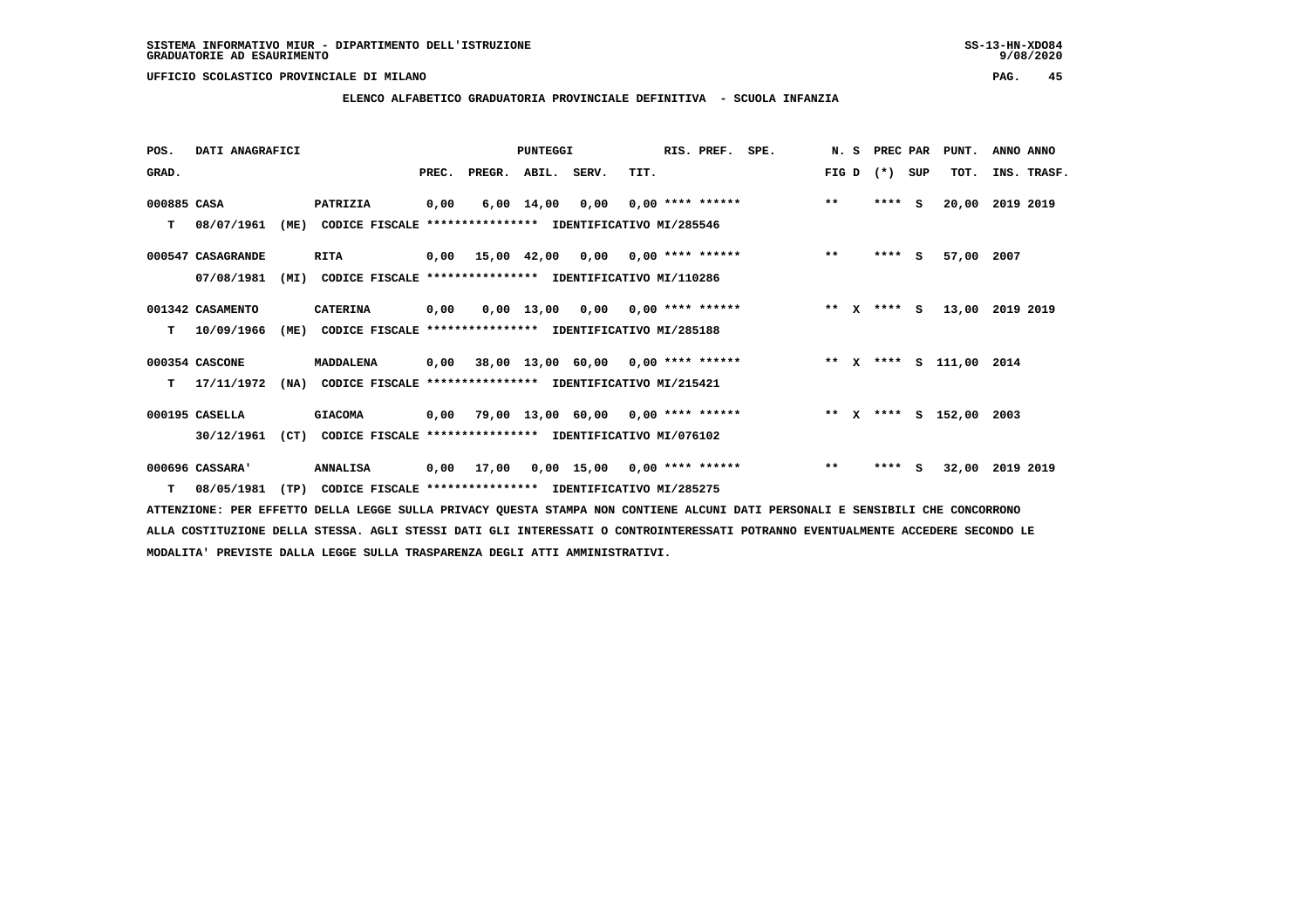### **ELENCO ALFABETICO GRADUATORIA PROVINCIALE DEFINITIVA - SCUOLA INFANZIA**

 **POS. DATI ANAGRAFICI PUNTEGGI RIS. PREF. SPE. N. S PREC PAR PUNT. ANNO ANNO**GRAD. **PREGRADE SERVEGER. ABIL. SERV. TIT.** FIG D (\*) SUP TOT. INS. TRASF.  **000885 CASA PATRIZIA 0,00 6,00 14,00 0,00 0,00 \*\*\*\* \*\*\*\*\*\* \*\* \*\*\*\* S 20,00 2019 2019 T 08/07/1961 (ME) CODICE FISCALE \*\*\*\*\*\*\*\*\*\*\*\*\*\*\*\* IDENTIFICATIVO MI/285546 000547 CASAGRANDE RITA 0,00 15,00 42,00 0,00 0,00 \*\*\*\* \*\*\*\*\*\* \*\* \*\*\*\* S 57,00 2007 07/08/1981 (MI) CODICE FISCALE \*\*\*\*\*\*\*\*\*\*\*\*\*\*\*\* IDENTIFICATIVO MI/110286 001342 CASAMENTO CATERINA 0,00 0,00 13,00 0,00 0,00 \*\*\*\* \*\*\*\*\*\* \*\* X \*\*\*\* S 13,00 2019 2019 T 10/09/1966 (ME) CODICE FISCALE \*\*\*\*\*\*\*\*\*\*\*\*\*\*\*\* IDENTIFICATIVO MI/285188 000354 CASCONE MADDALENA 0,00 38,00 13,00 60,00 0,00 \*\*\*\* \*\*\*\*\*\* \*\* X \*\*\*\* S 111,00 2014 T 17/11/1972 (NA) CODICE FISCALE \*\*\*\*\*\*\*\*\*\*\*\*\*\*\*\* IDENTIFICATIVO MI/215421 000195 CASELLA GIACOMA 0,00 79,00 13,00 60,00 0,00 \*\*\*\* \*\*\*\*\*\* \*\* X \*\*\*\* S 152,00 2003 30/12/1961 (CT) CODICE FISCALE \*\*\*\*\*\*\*\*\*\*\*\*\*\*\*\* IDENTIFICATIVO MI/076102 000696 CASSARA' ANNALISA 0,00 17,00 0,00 15,00 0,00 \*\*\*\* \*\*\*\*\*\* \*\* \*\*\*\* S 32,00 2019 2019**

 **T 08/05/1981 (TP) CODICE FISCALE \*\*\*\*\*\*\*\*\*\*\*\*\*\*\*\* IDENTIFICATIVO MI/285275**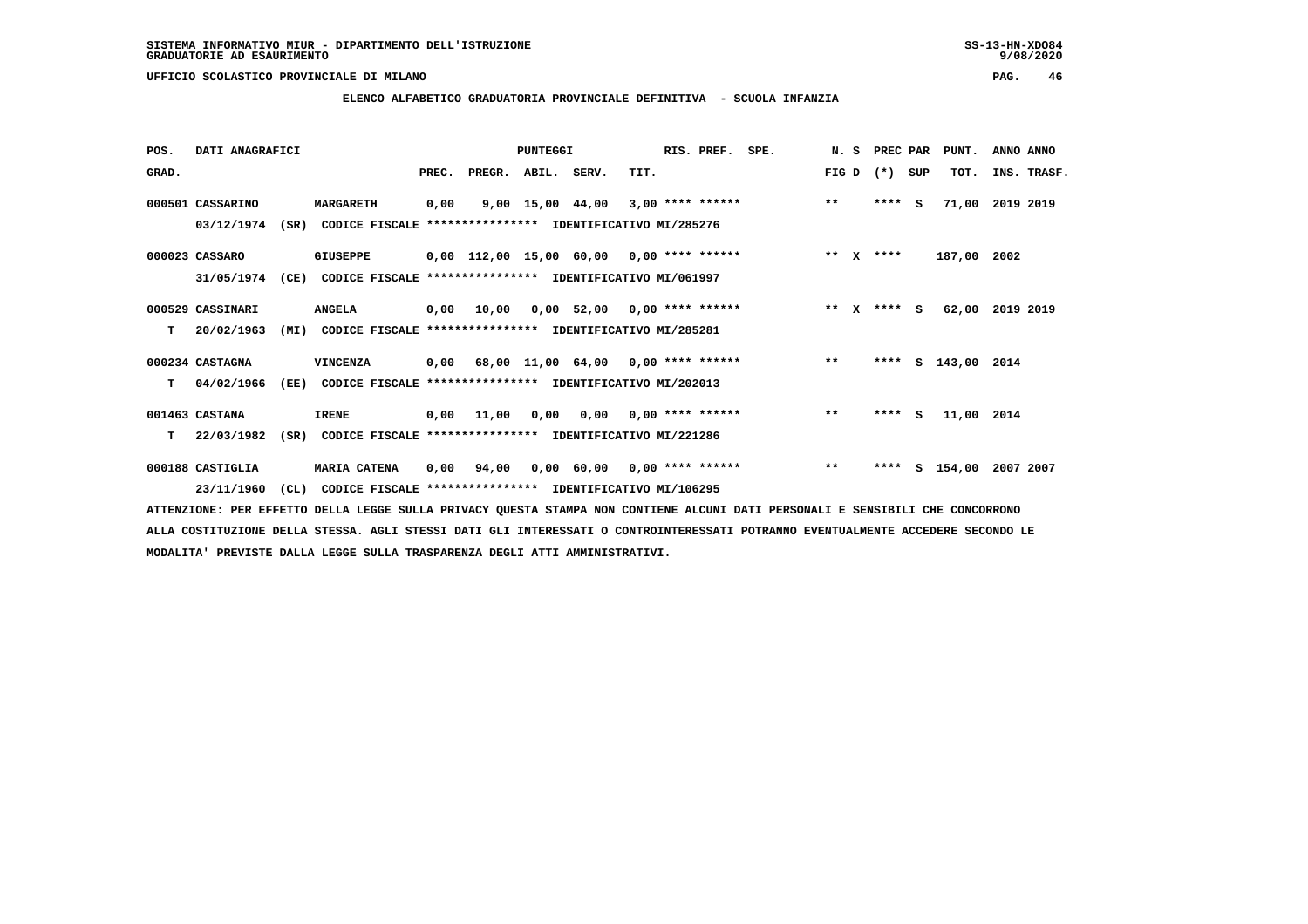**ELENCO ALFABETICO GRADUATORIA PROVINCIALE DEFINITIVA - SCUOLA INFANZIA**

 **POS. DATI ANAGRAFICI PUNTEGGI RIS. PREF. SPE. N. S PREC PAR PUNT. ANNO ANNO**GRAD. **BEC. PREC. PREGR. ABIL. SERV.** TIT. THE REGREATER TO THE TOT SUP TOT. THE TRASF.  **000501 CASSARINO MARGARETH 0,00 9,00 15,00 44,00 3,00 \*\*\*\* \*\*\*\*\*\* \*\* \*\*\*\* S 71,00 2019 2019 03/12/1974 (SR) CODICE FISCALE \*\*\*\*\*\*\*\*\*\*\*\*\*\*\*\* IDENTIFICATIVO MI/285276**

 **000023 CASSARO GIUSEPPE 0,00 112,00 15,00 60,00 0,00 \*\*\*\* \*\*\*\*\*\* \*\* X \*\*\*\* 187,00 2002 31/05/1974 (CE) CODICE FISCALE \*\*\*\*\*\*\*\*\*\*\*\*\*\*\*\* IDENTIFICATIVO MI/061997**

- **000529 CASSINARI ANGELA 0,00 10,00 0,00 52,00 0,00 \*\*\*\* \*\*\*\*\*\* \*\* X \*\*\*\* S 62,00 2019 2019 T 20/02/1963 (MI) CODICE FISCALE \*\*\*\*\*\*\*\*\*\*\*\*\*\*\*\* IDENTIFICATIVO MI/285281**
- **000234 CASTAGNA VINCENZA 0,00 68,00 11,00 64,00 0,00 \*\*\*\* \*\*\*\*\*\* \*\* \*\*\*\* S 143,00 2014 T 04/02/1966 (EE) CODICE FISCALE \*\*\*\*\*\*\*\*\*\*\*\*\*\*\*\* IDENTIFICATIVO MI/202013**

 **001463 CASTANA IRENE 0,00 11,00 0,00 0,00 0,00 \*\*\*\* \*\*\*\*\*\* \*\* \*\*\*\* S 11,00 2014 T 22/03/1982 (SR) CODICE FISCALE \*\*\*\*\*\*\*\*\*\*\*\*\*\*\*\* IDENTIFICATIVO MI/221286**

 **000188 CASTIGLIA MARIA CATENA 0,00 94,00 0,00 60,00 0,00 \*\*\*\* \*\*\*\*\*\* \*\* \*\*\*\* S 154,00 2007 2007 23/11/1960 (CL) CODICE FISCALE \*\*\*\*\*\*\*\*\*\*\*\*\*\*\*\* IDENTIFICATIVO MI/106295**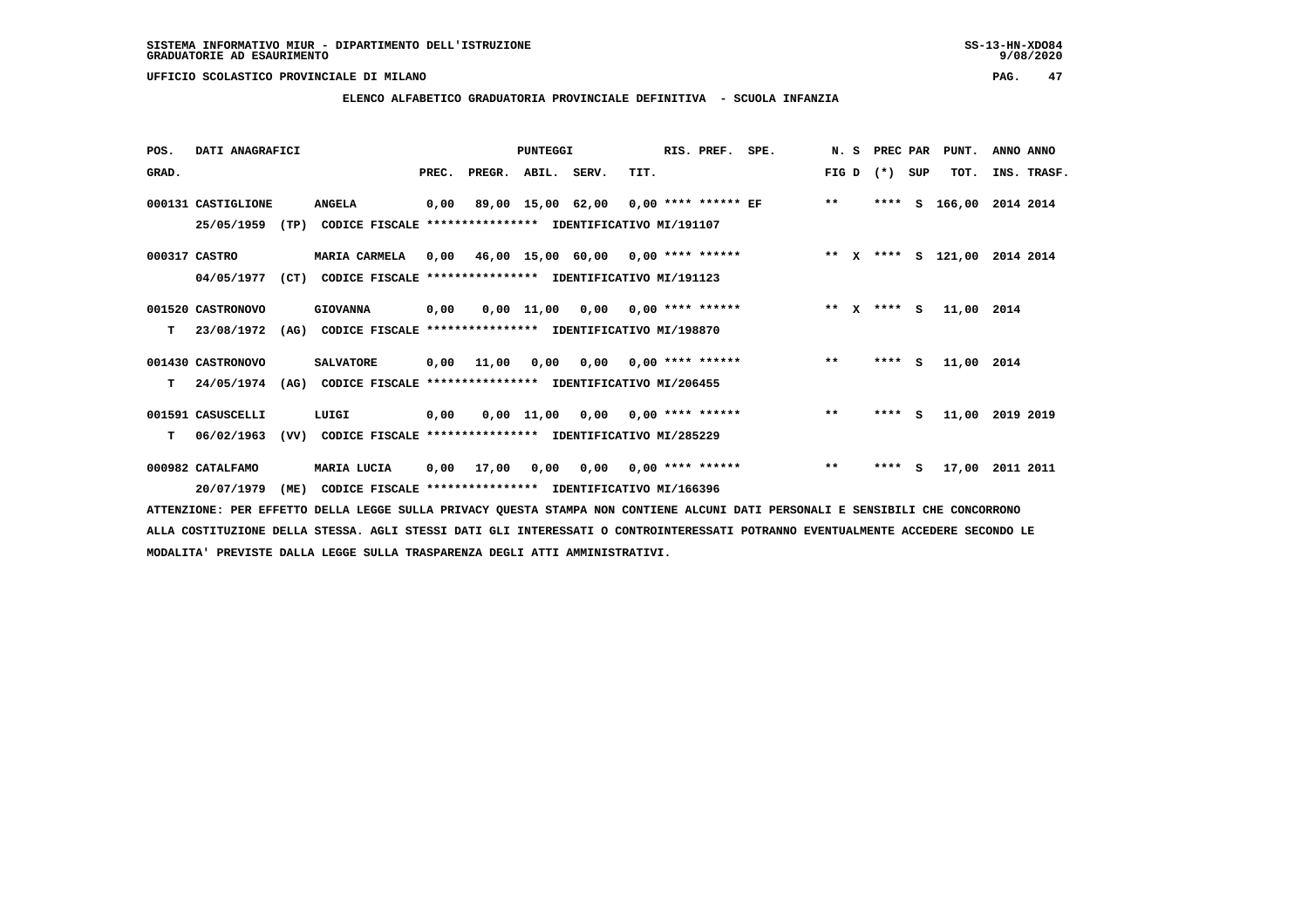**ELENCO ALFABETICO GRADUATORIA PROVINCIALE DEFINITIVA - SCUOLA INFANZIA**

| POS.  | DATI ANAGRAFICI    |      |                                                               |       |                    | PUNTEGGI |                                            |      | RIS. PREF. | SPE.                         |              |          | N. S PREC PAR PUNT.     | ANNO ANNO   |  |
|-------|--------------------|------|---------------------------------------------------------------|-------|--------------------|----------|--------------------------------------------|------|------------|------------------------------|--------------|----------|-------------------------|-------------|--|
| GRAD. |                    |      |                                                               | PREC. | PREGR. ABIL. SERV. |          |                                            | TIT. |            |                              | FIG D        | (*) SUP  | TOT.                    | INS. TRASF. |  |
|       | 000131 CASTIGLIONE |      | <b>ANGELA</b>                                                 |       |                    |          | 0,00 89,00 15,00 62,00 0,00 **** ****** EF |      |            |                              | $***$        |          | **** S 166,00 2014 2014 |             |  |
|       | 25/05/1959         | (TP) | CODICE FISCALE **************** IDENTIFICATIVO MI/191107      |       |                    |          |                                            |      |            |                              |              |          |                         |             |  |
|       | 000317 CASTRO      |      | MARIA CARMELA                                                 |       |                    |          | $0,00$ 46,00 15,00 60,00 0,00 **** ******  |      |            | ** X **** S 121,00 2014 2014 |              |          |                         |             |  |
|       | 04/05/1977         | (CT) | CODICE FISCALE **************** IDENTIFICATIVO MI/191123      |       |                    |          |                                            |      |            |                              |              |          |                         |             |  |
|       | 001520 CASTRONOVO  |      | <b>GIOVANNA</b>                                               | 0,00  |                    |          | $0,00$ 11,00 0,00 0,00 **** ******         |      |            |                              | ** $X$       | **** $S$ | 11,00 2014              |             |  |
| т     | 23/08/1972         |      | (AG) CODICE FISCALE **************** IDENTIFICATIVO MI/198870 |       |                    |          |                                            |      |            |                              |              |          |                         |             |  |
|       | 001430 CASTRONOVO  |      | <b>SALVATORE</b>                                              | 0,00  | 11,00              |          | $0,00$ $0,00$ $0,00$ $***$ **** ******     |      |            |                              | $***$        | **** S   | 11,00 2014              |             |  |
| T.    | 24/05/1974         |      | (AG) CODICE FISCALE **************** IDENTIFICATIVO MI/206455 |       |                    |          |                                            |      |            |                              |              |          |                         |             |  |
|       | 001591 CASUSCELLI  |      | LUIGI                                                         | 0,00  |                    |          | $0,00$ 11,00 0,00 0,00 **** ******         |      |            |                              | $***$        | $***$ S  | 11,00 2019 2019         |             |  |
| т     | 06/02/1963         | (VV) | CODICE FISCALE **************** IDENTIFICATIVO MI/285229      |       |                    |          |                                            |      |            |                              |              |          |                         |             |  |
|       | 000982 CATALFAMO   |      | MARIA LUCIA                                                   | 0,00  | 17,00              |          | $0,00$ $0,00$ $0,00$ $***$ **** ******     |      |            |                              | $\star\star$ | $***$ S  | 17,00 2011 2011         |             |  |
|       | 20/07/1979         | (ME) | CODICE FISCALE **************** IDENTIFICATIVO MI/166396      |       |                    |          |                                            |      |            |                              |              |          |                         |             |  |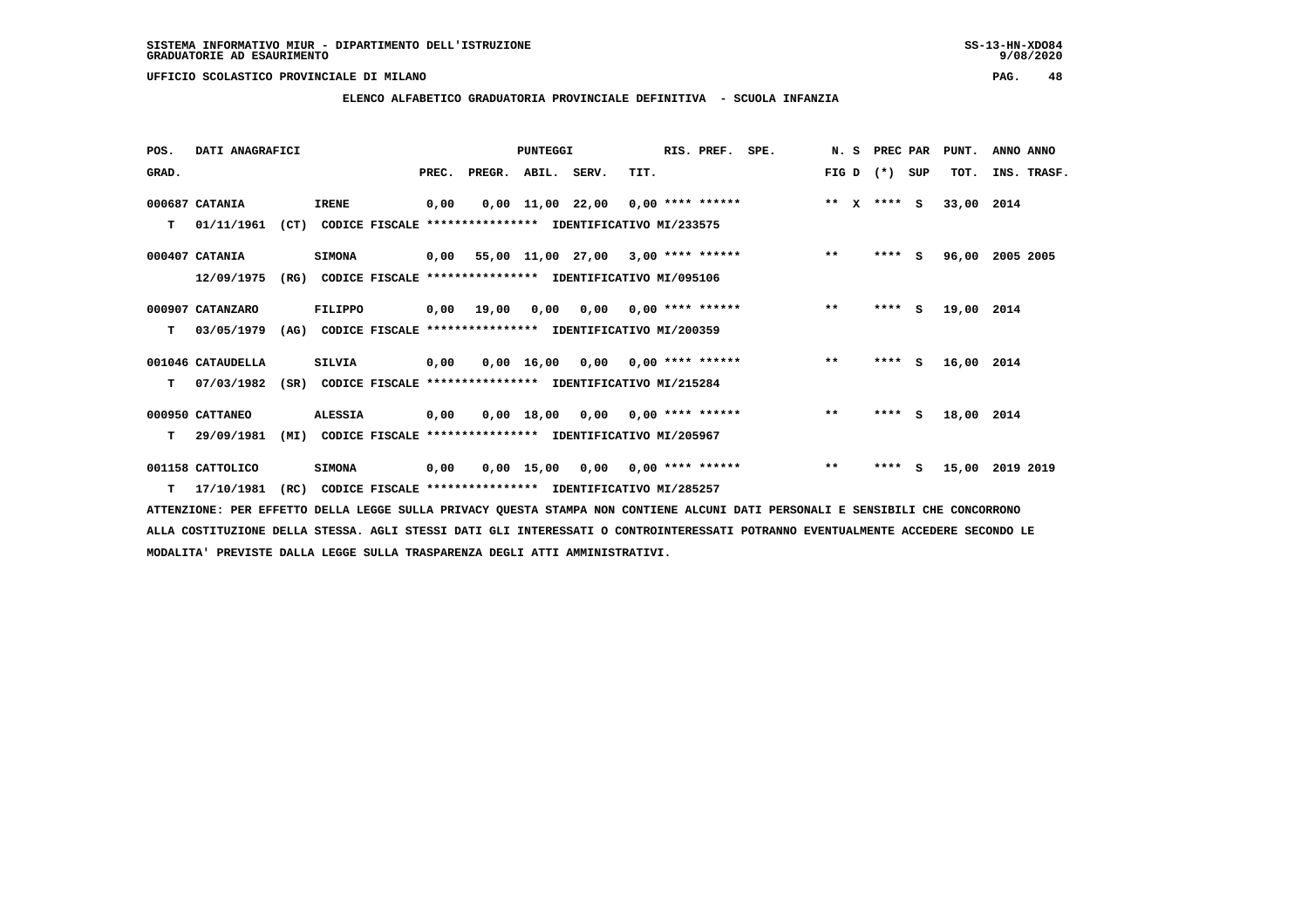### **ELENCO ALFABETICO GRADUATORIA PROVINCIALE DEFINITIVA - SCUOLA INFANZIA**

| POS.  | DATI ANAGRAFICI   |      |                                                               |       |        | <b>PUNTEGGI</b> |                                                          |      | RIS. PREF.                | SPE. | N. S                  | PREC PAR |     | PUNT.      | ANNO ANNO   |
|-------|-------------------|------|---------------------------------------------------------------|-------|--------|-----------------|----------------------------------------------------------|------|---------------------------|------|-----------------------|----------|-----|------------|-------------|
| GRAD. |                   |      |                                                               | PREC. | PREGR. | ABIL. SERV.     |                                                          | TIT. |                           |      | FIG D                 | $(* )$   | SUP | TOT.       | INS. TRASF. |
|       | 000687 CATANIA    |      | <b>IRENE</b>                                                  | 0,00  |        |                 | $0,00$ 11,00 22,00 0,00 **** ******                      |      |                           |      | $* *$<br>$\mathbf{x}$ | $***$ S  |     | 33,00      | 2014        |
| т     | 01/11/1961        |      | (CT) CODICE FISCALE **************** IDENTIFICATIVO MI/233575 |       |        |                 |                                                          |      |                           |      |                       |          |     |            |             |
|       | 000407 CATANIA    |      | <b>SIMONA</b>                                                 |       |        |                 | $0,00$ 55,00 11,00 27,00 3,00 **** ******                |      |                           |      | $***$                 | **** S   |     | 96,00      | 2005 2005   |
|       | 12/09/1975        | (RG) |                                                               |       |        |                 | CODICE FISCALE **************** IDENTIFICATIVO MI/095106 |      |                           |      |                       |          |     |            |             |
|       | 000907 CATANZARO  |      | FILIPPO                                                       | 0,00  | 19,00  | 0,00            |                                                          |      | $0,00$ $0,00$ **** ****** |      | $***$                 | ****     | S.  | 19,00 2014 |             |
| т     | 03/05/1979        | (AG) |                                                               |       |        |                 | CODICE FISCALE **************** IDENTIFICATIVO MI/200359 |      |                           |      |                       |          |     |            |             |
|       | 001046 CATAUDELLA |      | <b>SILVIA</b>                                                 | 0,00  |        |                 | $0,00$ 16,00 0,00 0,00 **** ******                       |      |                           |      | $**$                  | $***$ S  |     | 16,00      | 2014        |
| т     | 07/03/1982        | (SR) |                                                               |       |        |                 | CODICE FISCALE **************** IDENTIFICATIVO MI/215284 |      |                           |      |                       |          |     |            |             |
|       | 000950 CATTANEO   |      | <b>ALESSIA</b>                                                | 0,00  |        |                 | $0,00$ 18,00 0,00 0,00 **** ******                       |      |                           |      | $***$                 | $***$ S  |     | 18,00 2014 |             |
| т     | 29/09/1981        | (MI) |                                                               |       |        |                 | CODICE FISCALE **************** IDENTIFICATIVO MI/205967 |      |                           |      |                       |          |     |            |             |
|       | 001158 CATTOLICO  |      | <b>SIMONA</b>                                                 | 0,00  |        | $0,00$ 15,00    | 0,00                                                     |      | 0,00 **** ******          |      | $* *$                 | $***$ S  |     | 15,00      | 2019 2019   |
|       | $T = 17/10/1981$  | (RC) |                                                               |       |        |                 | CODICE FISCALE **************** IDENTIFICATIVO MI/285257 |      |                           |      |                       |          |     |            |             |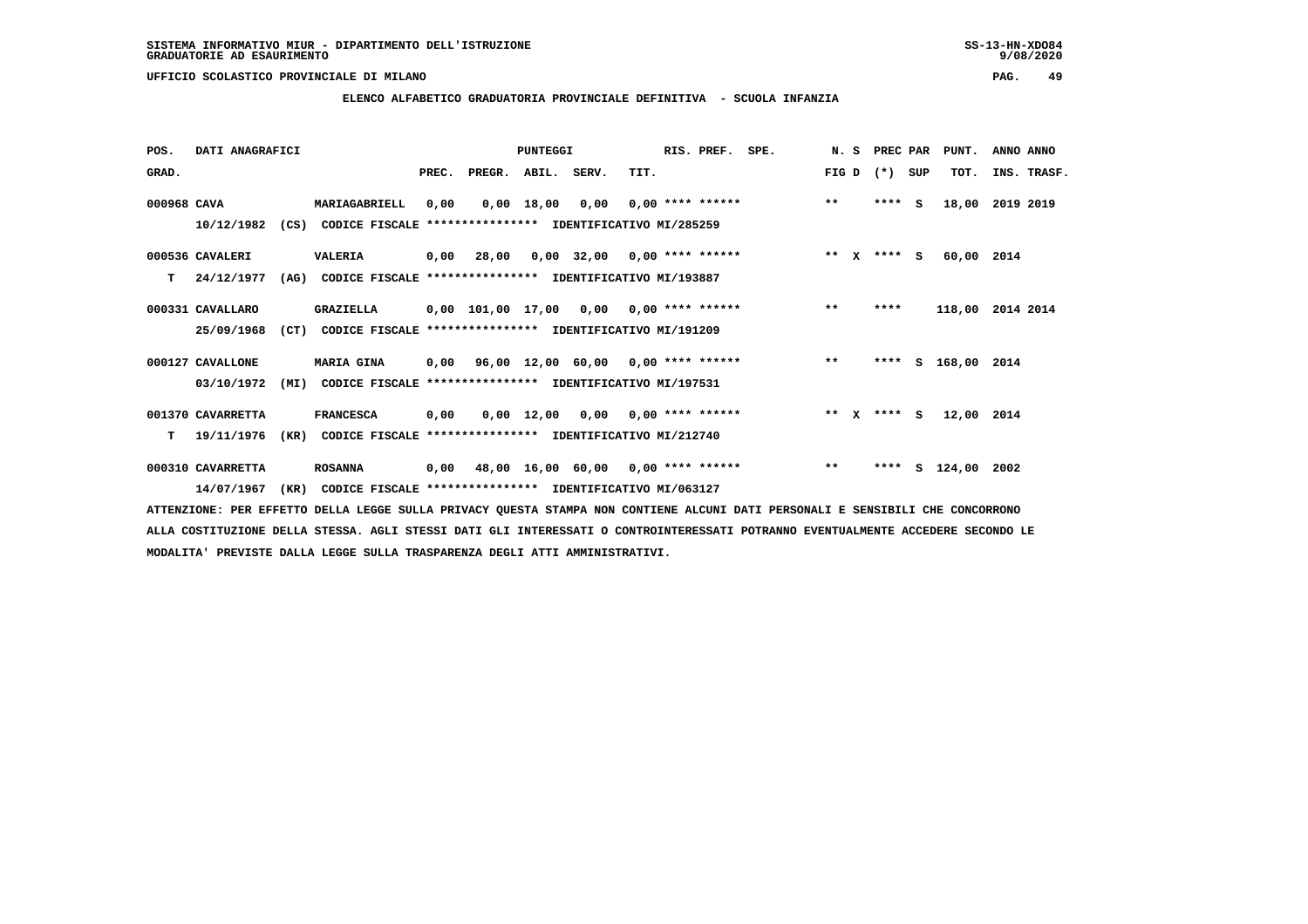### **ELENCO ALFABETICO GRADUATORIA PROVINCIALE DEFINITIVA - SCUOLA INFANZIA**

 **POS. DATI ANAGRAFICI PUNTEGGI RIS. PREF. SPE. N. S PREC PAR PUNT. ANNO ANNO**GRAD. **PREGRADE SERVEGER. ABIL. SERV. TIT.** FIG D (\*) SUP TOT. INS. TRASF.  **000968 CAVA MARIAGABRIELL 0,00 0,00 18,00 0,00 0,00 \*\*\*\* \*\*\*\*\*\* \*\* \*\*\*\* S 18,00 2019 2019 10/12/1982 (CS) CODICE FISCALE \*\*\*\*\*\*\*\*\*\*\*\*\*\*\*\* IDENTIFICATIVO MI/285259 000536 CAVALERI VALERIA 0,00 28,00 0,00 32,00 0,00 \*\*\*\* \*\*\*\*\*\* \*\* X \*\*\*\* S 60,00 2014 T 24/12/1977 (AG) CODICE FISCALE \*\*\*\*\*\*\*\*\*\*\*\*\*\*\*\* IDENTIFICATIVO MI/193887 000331 CAVALLARO GRAZIELLA 0,00 101,00 17,00 0,00 0,00 \*\*\*\* \*\*\*\*\*\* \*\* \*\*\*\* 118,00 2014 2014 25/09/1968 (CT) CODICE FISCALE \*\*\*\*\*\*\*\*\*\*\*\*\*\*\*\* IDENTIFICATIVO MI/191209 000127 CAVALLONE MARIA GINA 0,00 96,00 12,00 60,00 0,00 \*\*\*\* \*\*\*\*\*\* \*\* \*\*\*\* S 168,00 2014 03/10/1972 (MI) CODICE FISCALE \*\*\*\*\*\*\*\*\*\*\*\*\*\*\*\* IDENTIFICATIVO MI/197531 001370 CAVARRETTA FRANCESCA 0,00 0,00 12,00 0,00 0,00 \*\*\*\* \*\*\*\*\*\* \*\* X \*\*\*\* S 12,00 2014 T 19/11/1976 (KR) CODICE FISCALE \*\*\*\*\*\*\*\*\*\*\*\*\*\*\*\* IDENTIFICATIVO MI/212740 000310 CAVARRETTA ROSANNA 0,00 48,00 16,00 60,00 0,00 \*\*\*\* \*\*\*\*\*\* \*\* \*\*\*\* S 124,00 2002**

 **14/07/1967 (KR) CODICE FISCALE \*\*\*\*\*\*\*\*\*\*\*\*\*\*\*\* IDENTIFICATIVO MI/063127**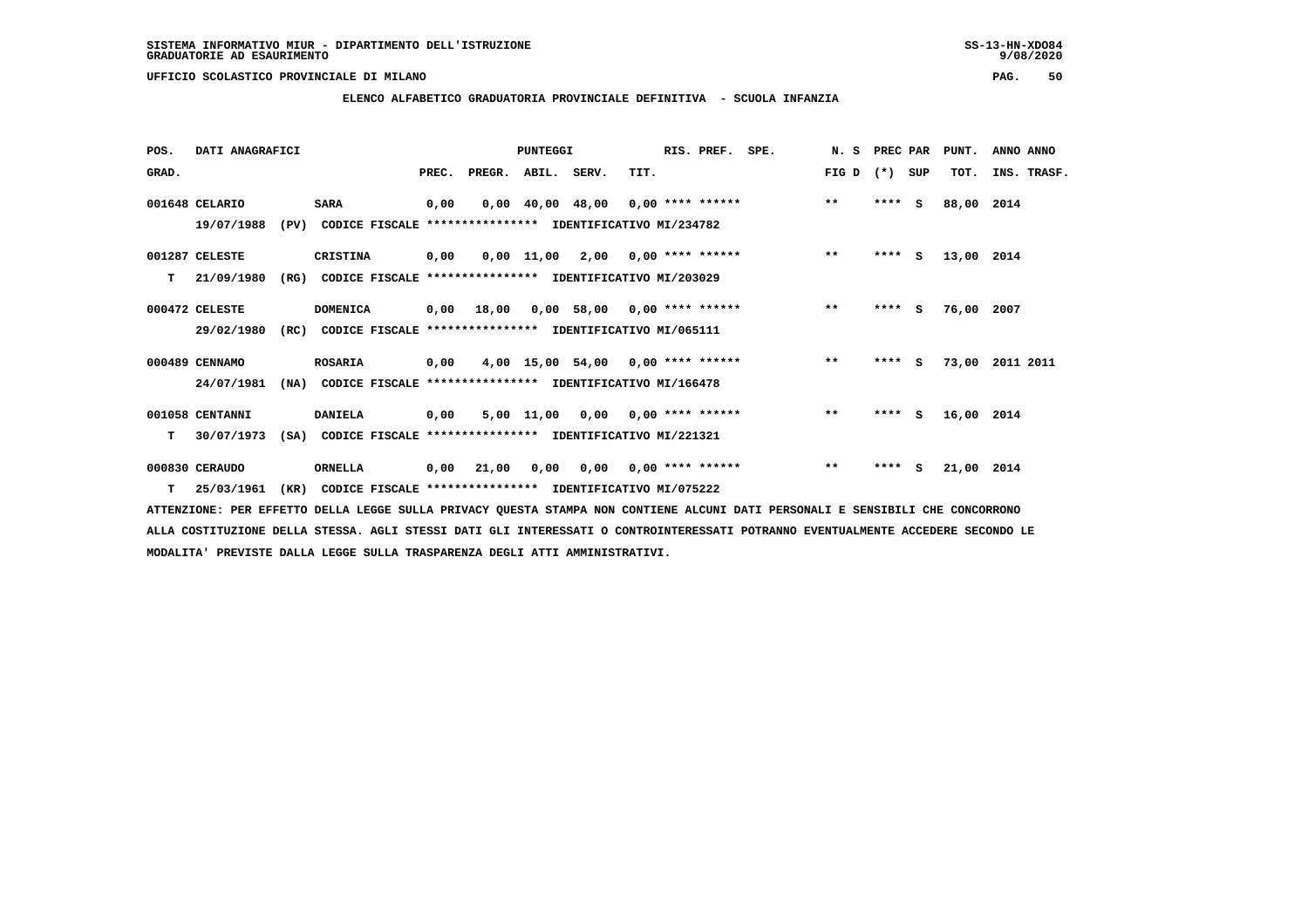## **ELENCO ALFABETICO GRADUATORIA PROVINCIALE DEFINITIVA - SCUOLA INFANZIA**

| POS.  | DATI ANAGRAFICI |      |                                                               |       |                    | PUNTEGGI |                                     |      | RIS. PREF.         | SPE. | N. S         | PREC PAR |     | PUNT.      | ANNO ANNO   |
|-------|-----------------|------|---------------------------------------------------------------|-------|--------------------|----------|-------------------------------------|------|--------------------|------|--------------|----------|-----|------------|-------------|
| GRAD. |                 |      |                                                               | PREC. | PREGR. ABIL. SERV. |          |                                     | TIT. |                    |      | FIG D        | $(*)$    | SUP | TOT.       | INS. TRASF. |
|       | 001648 CELARIO  |      | <b>SARA</b>                                                   | 0,00  |                    |          | $0,00$ 40,00 48,00 0,00 **** ****** |      |                    |      | $***$        | $***$ S  |     | 88,00 2014 |             |
|       | 19/07/1988      |      | (PV) CODICE FISCALE **************** IDENTIFICATIVO MI/234782 |       |                    |          |                                     |      |                    |      |              |          |     |            |             |
|       | 001287 CELESTE  |      | CRISTINA                                                      | 0,00  |                    |          | $0,00$ 11,00 2,00 0,00 **** ******  |      |                    |      | $***$        | $***$ S  |     | 13,00 2014 |             |
| т     | 21/09/1980      | (RG) | CODICE FISCALE **************** IDENTIFICATIVO MI/203029      |       |                    |          |                                     |      |                    |      |              |          |     |            |             |
|       | 000472 CELESTE  |      | <b>DOMENICA</b>                                               |       | 0,00 18,00         |          | $0,00$ 58,00 0,00 **** ******       |      |                    |      | $***$        | ****     | - S | 76,00 2007 |             |
|       | 29/02/1980      | (RC) | CODICE FISCALE **************** IDENTIFICATIVO MI/065111      |       |                    |          |                                     |      |                    |      |              |          |     |            |             |
|       | 000489 CENNAMO  |      | <b>ROSARIA</b>                                                | 0,00  |                    |          | $4,00$ 15,00 54,00 0,00 **** ****** |      |                    |      | $\star\star$ | $***5$   |     | 73,00      | 2011 2011   |
|       | 24/07/1981      | (NA) | CODICE FISCALE **************** IDENTIFICATIVO MI/166478      |       |                    |          |                                     |      |                    |      |              |          |     |            |             |
|       | 001058 CENTANNI |      | <b>DANIELA</b>                                                | 0,00  |                    |          | $5,00$ 11,00 0,00 0,00 **** ******  |      |                    |      | $\star\star$ | $***$ S  |     | 16,00 2014 |             |
| т     | 30/07/1973      | (SA) | CODICE FISCALE **************** IDENTIFICATIVO MI/221321      |       |                    |          |                                     |      |                    |      |              |          |     |            |             |
|       | 000830 CERAUDO  |      | <b>ORNELLA</b>                                                | 0,00  | 21,00              | 0,00     | 0,00                                |      | $0.00$ **** ****** |      | $\star\star$ | $***$ S  |     | 21,00 2014 |             |
| т     | 25/03/1961      | (KR) | CODICE FISCALE **************** IDENTIFICATIVO MI/075222      |       |                    |          |                                     |      |                    |      |              |          |     |            |             |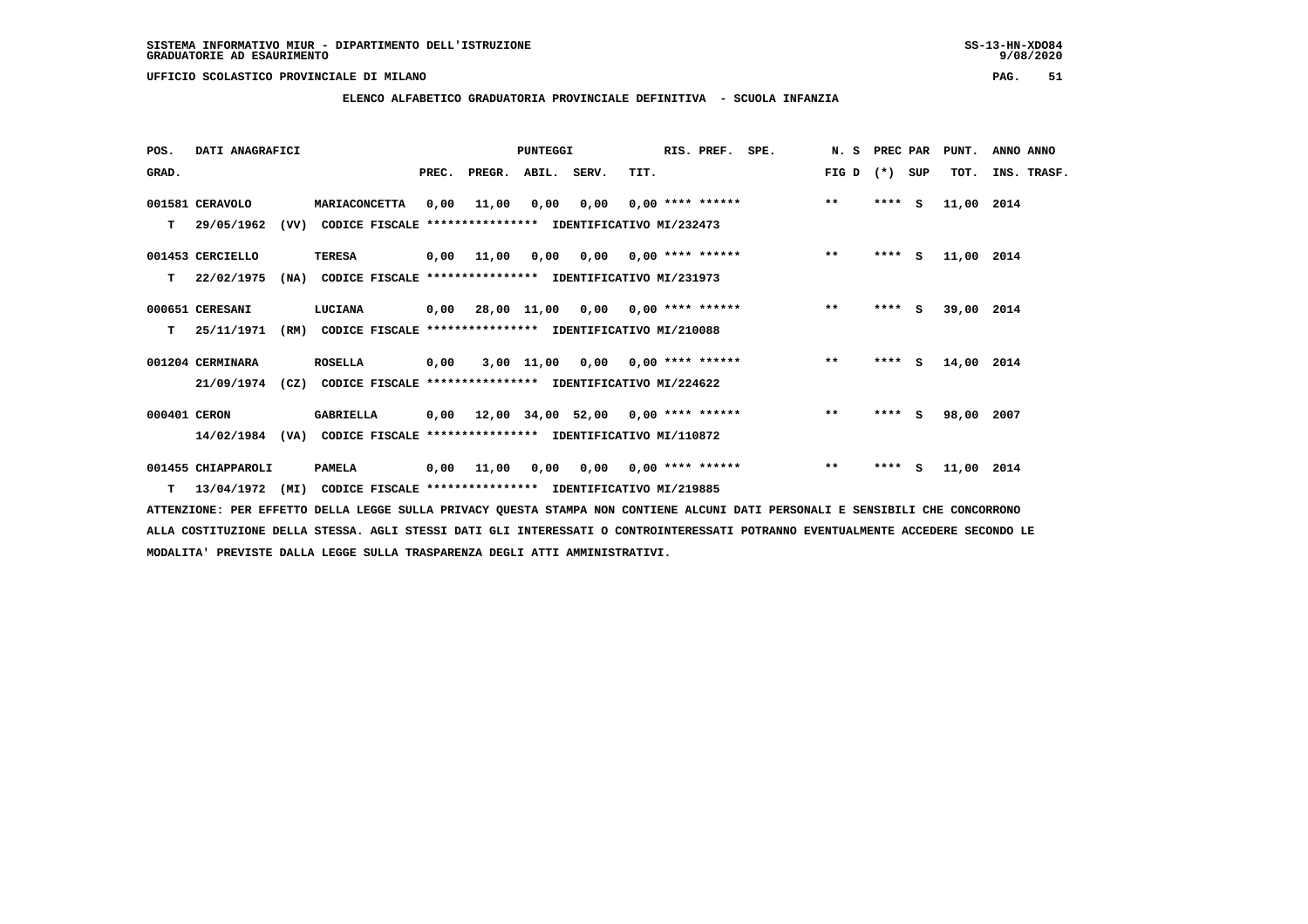**ELENCO ALFABETICO GRADUATORIA PROVINCIALE DEFINITIVA - SCUOLA INFANZIA**

| POS.         | DATI ANAGRAFICI    |      |                                                                           |       |                                        | <b>PUNTEGGI</b> |                                        |                           | RIS. PREF. SPE. |                                         | N. S PREC PAR |         |     | PUNT.      | ANNO ANNO   |
|--------------|--------------------|------|---------------------------------------------------------------------------|-------|----------------------------------------|-----------------|----------------------------------------|---------------------------|-----------------|-----------------------------------------|---------------|---------|-----|------------|-------------|
| GRAD.        |                    |      |                                                                           | PREC. | PREGR. ABIL. SERV.                     |                 |                                        | TIT.                      |                 |                                         | FIG D         | $(* )$  | SUP | TOT.       | INS. TRASF. |
|              | 001581 CERAVOLO    |      | <b>MARIACONCETTA</b>                                                      | 0,00  | 11,00                                  | 0,00            |                                        |                           |                 | $0,00$ 0,00 **** ******                 | $***$         | $***$ S |     | 11,00 2014 |             |
| т            | 29/05/1962         | (VV) | CODICE FISCALE **************** IDENTIFICATIVO MI/232473                  |       |                                        |                 |                                        |                           |                 |                                         |               |         |     |            |             |
|              | 001453 CERCIELLO   |      | <b>TERESA</b>                                                             | 0,00  | 11,00                                  |                 | $0,00$ $0,00$ $0,00$ $***$ **** ****** |                           |                 |                                         | $***$         | $***$ S |     | 11,00 2014 |             |
| т            | 22/02/1975         | (NA) | CODICE FISCALE **************** IDENTIFICATIVO MI/231973                  |       |                                        |                 |                                        |                           |                 |                                         |               |         |     |            |             |
|              | 000651 CERESANI    |      | <b>LUCIANA</b>                                                            |       | 0,00 28,00 11,00 0,00 0,00 **** ****** |                 |                                        |                           |                 |                                         | $***$         | $***$ S |     | 39,00 2014 |             |
| т            | 25/11/1971         | (RM) | CODICE FISCALE **************** IDENTIFICATIVO MI/210088                  |       |                                        |                 |                                        |                           |                 |                                         |               |         |     |            |             |
|              | 001204 CERMINARA   |      | <b>ROSELLA</b>                                                            | 0,00  |                                        |                 | $3,00$ 11,00 0,00 0,00 **** ******     |                           |                 |                                         | $***$         | $***$ S |     | 14,00 2014 |             |
|              | 21/09/1974         |      | (CZ) CODICE FISCALE **************** IDENTIFICATIVO MI/224622             |       |                                        |                 |                                        |                           |                 |                                         |               |         |     |            |             |
| 000401 CERON |                    |      | <b>GABRIELLA</b>                                                          |       |                                        |                 |                                        |                           |                 | 0,00 12,00 34,00 52,00 0,00 **** ****** | $***$         | $***$ S |     | 98,00 2007 |             |
|              | 14/02/1984         | (VA) | CODICE FISCALE **************** IDENTIFICATIVO MI/110872                  |       |                                        |                 |                                        |                           |                 |                                         |               |         |     |            |             |
|              | 001455 CHIAPPAROLI |      | <b>PAMELA</b>                                                             | 0,00  | 11,00                                  | 0,00            |                                        | $0,00$ $0,00$ **** ****** |                 |                                         | $***$         | $***$ S |     | 11,00 2014 |             |
|              |                    |      | T 13/04/1972 (MI) CODICE FISCALE *************** IDENTIFICATIVO MI/219885 |       |                                        |                 |                                        |                           |                 |                                         |               |         |     |            |             |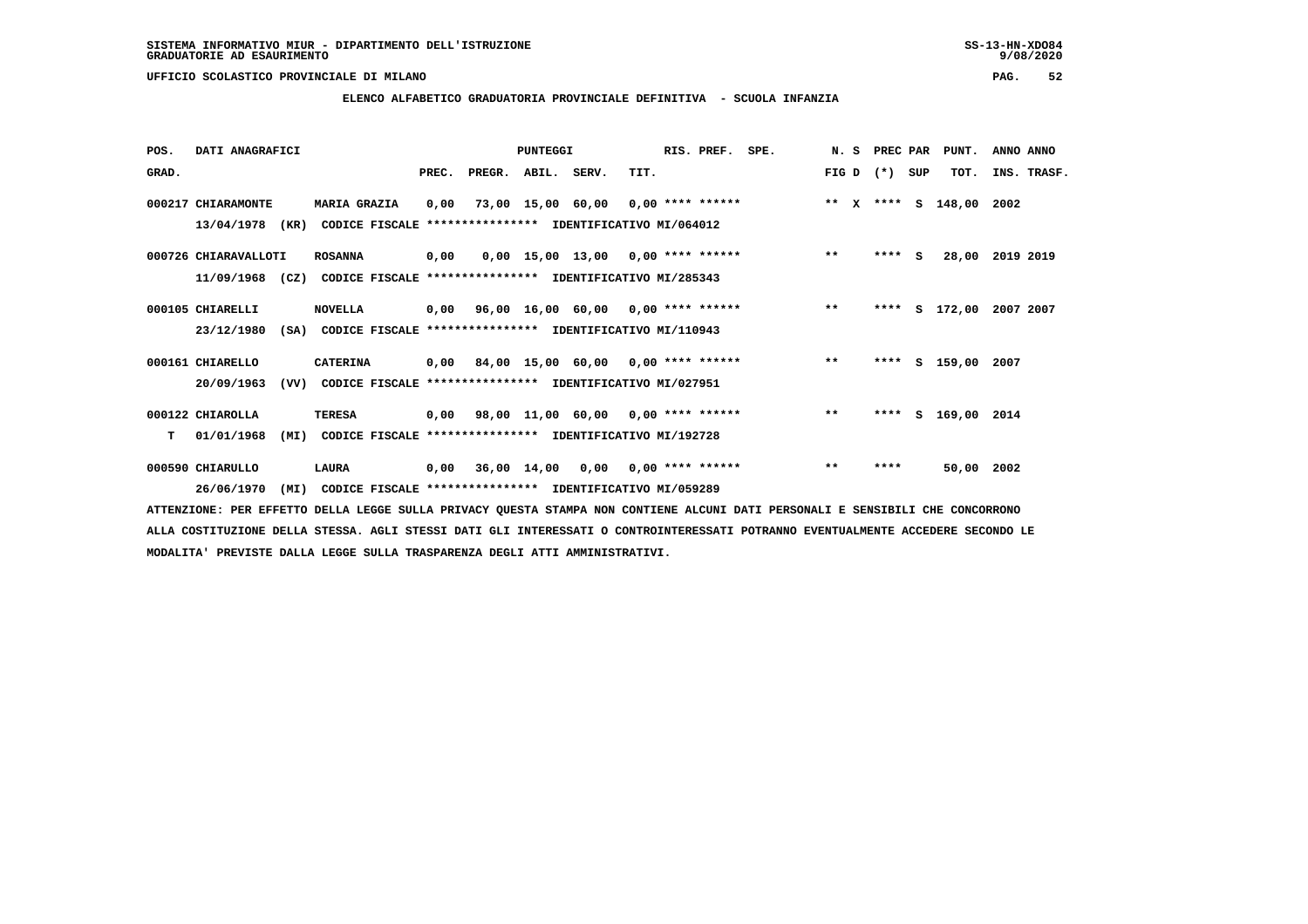**ELENCO ALFABETICO GRADUATORIA PROVINCIALE DEFINITIVA - SCUOLA INFANZIA**

 **POS. DATI ANAGRAFICI PUNTEGGI RIS. PREF. SPE. N. S PREC PAR PUNT. ANNO ANNO**GRAD. **PREGRADE SERVEGER. ABIL. SERV. TIT.** FIG D (\*) SUP TOT. INS. TRASF.  **000217 CHIARAMONTE MARIA GRAZIA 0,00 73,00 15,00 60,00 0,00 \*\*\*\* \*\*\*\*\*\* \*\* X \*\*\*\* S 148,00 2002 13/04/1978 (KR) CODICE FISCALE \*\*\*\*\*\*\*\*\*\*\*\*\*\*\*\* IDENTIFICATIVO MI/064012 000726 CHIARAVALLOTI ROSANNA 0,00 0,00 15,00 13,00 0,00 \*\*\*\* \*\*\*\*\*\* \*\* \*\*\*\* S 28,00 2019 2019 11/09/1968 (CZ) CODICE FISCALE \*\*\*\*\*\*\*\*\*\*\*\*\*\*\*\* IDENTIFICATIVO MI/285343 000105 CHIARELLI NOVELLA 0,00 96,00 16,00 60,00 0,00 \*\*\*\* \*\*\*\*\*\* \*\* \*\*\*\* S 172,00 2007 2007 23/12/1980 (SA) CODICE FISCALE \*\*\*\*\*\*\*\*\*\*\*\*\*\*\*\* IDENTIFICATIVO MI/110943 000161 CHIARELLO CATERINA 0,00 84,00 15,00 60,00 0,00 \*\*\*\* \*\*\*\*\*\* \*\* \*\*\*\* S 159,00 2007 20/09/1963 (VV) CODICE FISCALE \*\*\*\*\*\*\*\*\*\*\*\*\*\*\*\* IDENTIFICATIVO MI/027951 000122 CHIAROLLA TERESA 0,00 98,00 11,00 60,00 0,00 \*\*\*\* \*\*\*\*\*\* \*\* \*\*\*\* S 169,00 2014 T 01/01/1968 (MI) CODICE FISCALE \*\*\*\*\*\*\*\*\*\*\*\*\*\*\*\* IDENTIFICATIVO MI/192728 000590 CHIARULLO LAURA 0,00 36,00 14,00 0,00 0,00 \*\*\*\* \*\*\*\*\*\* \*\* \*\*\*\* 50,00 2002 26/06/1970 (MI) CODICE FISCALE \*\*\*\*\*\*\*\*\*\*\*\*\*\*\*\* IDENTIFICATIVO MI/059289**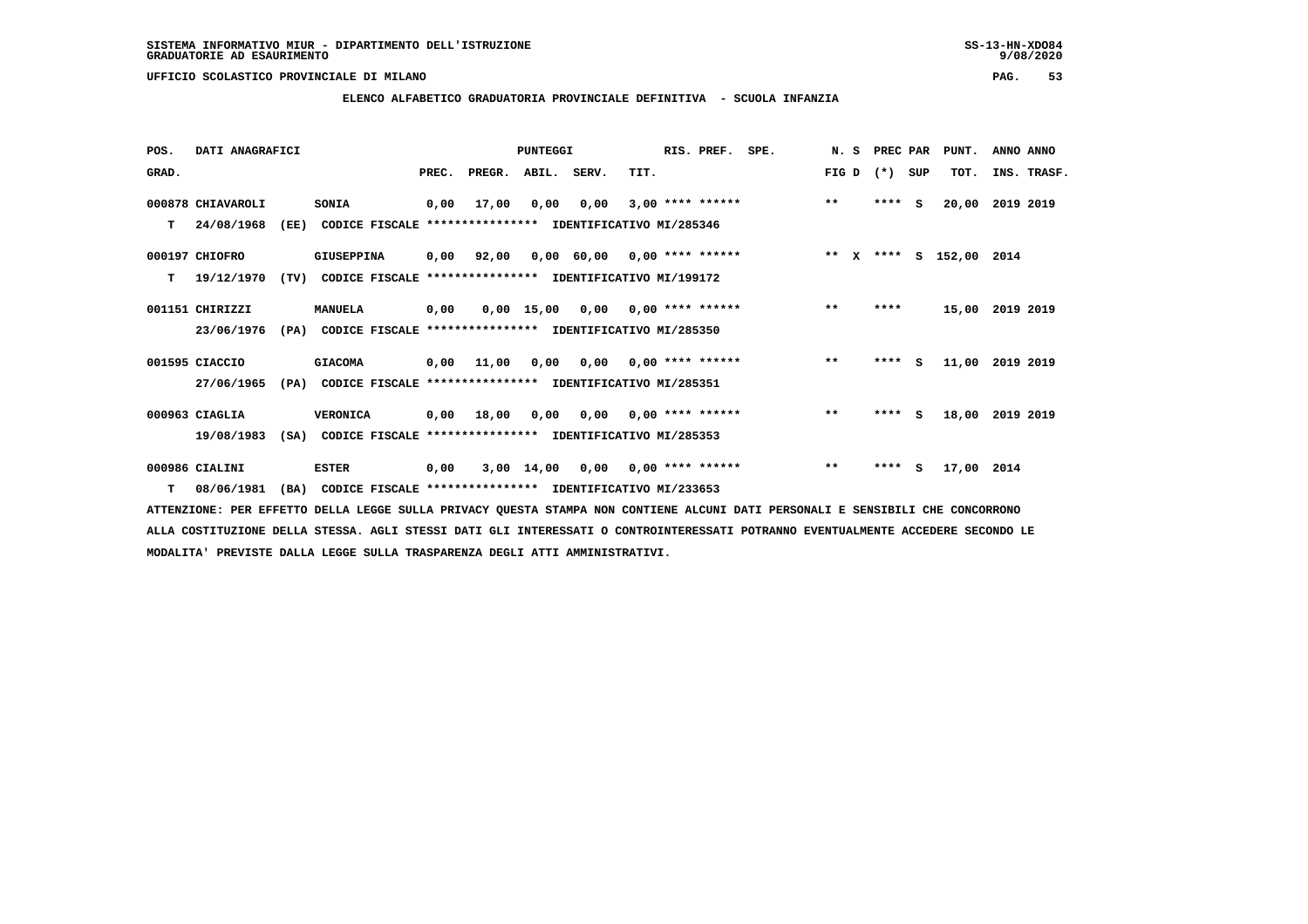**ELENCO ALFABETICO GRADUATORIA PROVINCIALE DEFINITIVA - SCUOLA INFANZIA**

| POS.  | DATI ANAGRAFICI   |      |                                                          |       |                    | <b>PUNTEGGI</b> |                               |      | RIS. PREF.                | SPE. |       | N. S | PREC PAR |          | PUNT.                   | ANNO ANNO |             |
|-------|-------------------|------|----------------------------------------------------------|-------|--------------------|-----------------|-------------------------------|------|---------------------------|------|-------|------|----------|----------|-------------------------|-----------|-------------|
| GRAD. |                   |      |                                                          | PREC. | PREGR. ABIL. SERV. |                 |                               | TIT. |                           |      | FIG D |      | $(*)$    | SUP      | TOT.                    |           | INS. TRASF. |
|       | 000878 CHIAVAROLI |      | SONIA                                                    | 0,00  | 17,00              | 0,00            | 0,00                          |      | $3,00$ **** ******        |      | $***$ |      | $***5$   |          | 20,00                   | 2019 2019 |             |
| T.    | 24/08/1968        | (EE) | CODICE FISCALE **************** IDENTIFICATIVO MI/285346 |       |                    |                 |                               |      |                           |      |       |      |          |          |                         |           |             |
|       | 000197 CHIOFRO    |      | GIUSEPPINA                                               | 0,00  | 92,00              |                 | $0,00$ 60,00 0,00 **** ****** |      |                           |      |       |      |          |          | ** X **** S 152,00 2014 |           |             |
| т     | 19/12/1970        | (TV) | CODICE FISCALE **************** IDENTIFICATIVO MI/199172 |       |                    |                 |                               |      |                           |      |       |      |          |          |                         |           |             |
|       | 001151 CHIRIZZI   |      | <b>MANUELA</b>                                           | 0,00  |                    | 0,00 15,00      |                               |      | $0,00$ $0,00$ **** ****** |      | $***$ |      | ****     |          | 15,00 2019 2019         |           |             |
|       | 23/06/1976        | (PA) | CODICE FISCALE **************** IDENTIFICATIVO MI/285350 |       |                    |                 |                               |      |                           |      |       |      |          |          |                         |           |             |
|       | 001595 CIACCIO    |      | <b>GIACOMA</b>                                           | 0,00  | 11,00              | 0,00            |                               |      | $0.00$ $0.00$ **** ****** |      | $***$ |      | ****     | S.       | 11,00                   | 2019 2019 |             |
|       | 27/06/1965        | (PA) | CODICE FISCALE **************** IDENTIFICATIVO MI/285351 |       |                    |                 |                               |      |                           |      |       |      |          |          |                         |           |             |
|       | 000963 CIAGLIA    |      | VERONICA                                                 |       | $0,00$ 18,00       | 0,00            |                               |      | $0,00$ $0,00$ **** ****** |      | $**$  |      | $***$ S  |          | 18,00                   | 2019 2019 |             |
|       | 19/08/1983        | (SA) | CODICE FISCALE **************** IDENTIFICATIVO MI/285353 |       |                    |                 |                               |      |                           |      |       |      |          |          |                         |           |             |
|       | 000986 CIALINI    |      | <b>ESTER</b>                                             | 0,00  |                    | 3,00 14,00      | 0,00                          |      | $0.00$ **** ******        |      | $***$ |      | ****     | <b>S</b> | 17,00 2014              |           |             |
| T.    | 08/06/1981        | (BA) | CODICE FISCALE **************** IDENTIFICATIVO MI/233653 |       |                    |                 |                               |      |                           |      |       |      |          |          |                         |           |             |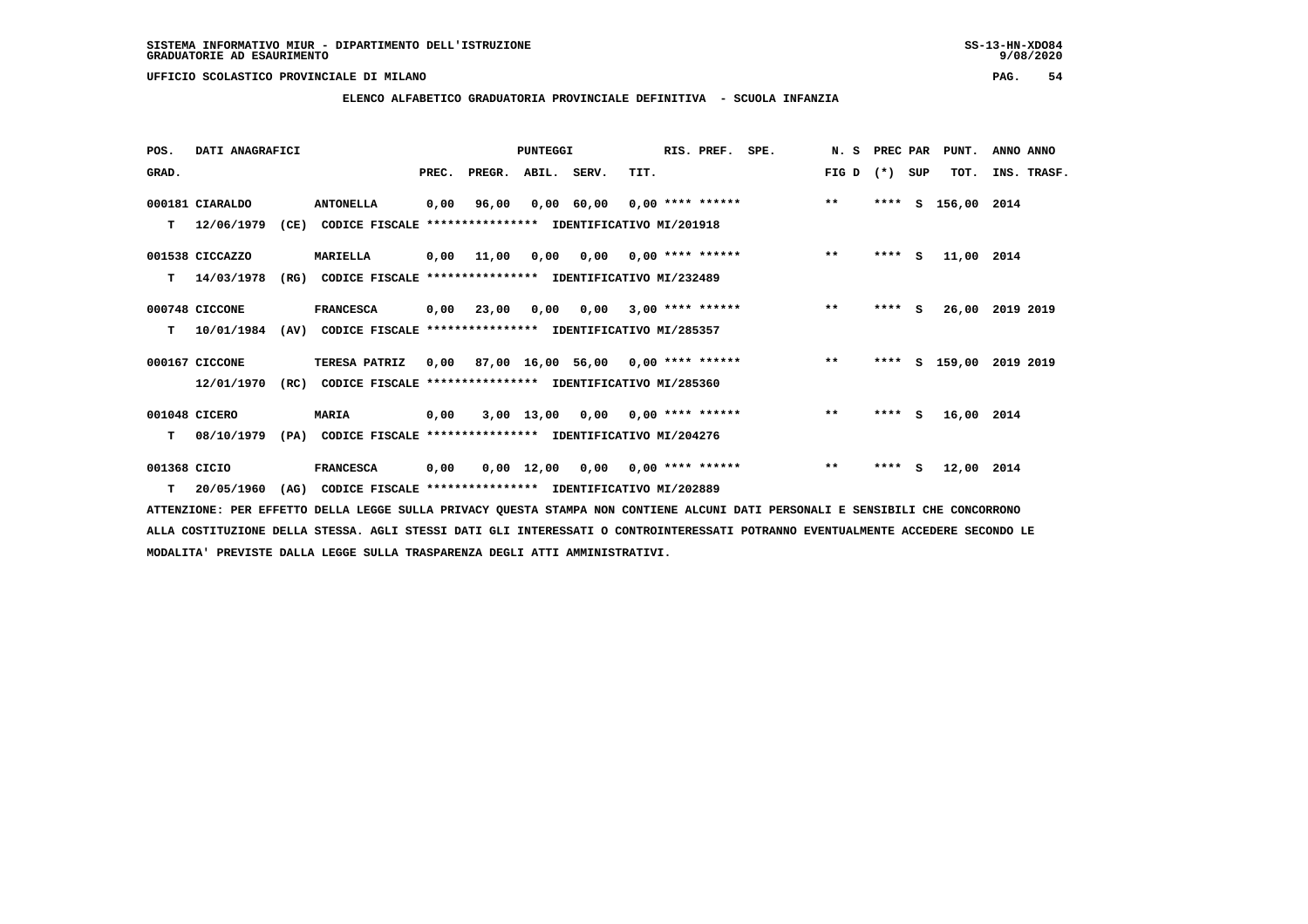**ELENCO ALFABETICO GRADUATORIA PROVINCIALE DEFINITIVA - SCUOLA INFANZIA**

| POS.         | DATI ANAGRAFICI  |      |                                                               |      |                                         | PUNTEGGI |                                        |      | RIS. PREF. | SPE.                                             | N. S PREC PAR |         |     | PUNT.              | ANNO ANNO   |  |
|--------------|------------------|------|---------------------------------------------------------------|------|-----------------------------------------|----------|----------------------------------------|------|------------|--------------------------------------------------|---------------|---------|-----|--------------------|-------------|--|
| GRAD.        |                  |      |                                                               |      | PREC. PREGR. ABIL. SERV.                |          |                                        | TIT. |            |                                                  | $FIG D (*)$   |         | SUP | TOT.               | INS. TRASF. |  |
|              | 000181 CIARALDO  |      | <b>ANTONELLA</b>                                              | 0,00 | 96,00                                   |          |                                        |      |            | $0,00$ 60,00 0,00 **** ****** *** **             |               | ****    | S.  | 156,00 2014        |             |  |
|              | $T = 12/06/1979$ |      | (CE) CODICE FISCALE **************** IDENTIFICATIVO MI/201918 |      |                                         |          |                                        |      |            |                                                  |               |         |     |                    |             |  |
|              | 001538 CICCAZZO  |      | <b>MARIELLA</b>                                               |      | 0,00 11,00                              |          | $0,00$ $0,00$ $0,00$ $***$ **** ****** |      |            |                                                  | $***$         | $***$ S |     | 11,00 2014         |             |  |
| т            | 14/03/1978       | (RG) | CODICE FISCALE **************** IDENTIFICATIVO MI/232489      |      |                                         |          |                                        |      |            |                                                  |               |         |     |                    |             |  |
|              | 000748 CICCONE   |      | <b>FRANCESCA</b>                                              |      | $0,00$ 23,00 0,00 0,00 3,00 **** ****** |          |                                        |      |            |                                                  | $***$         | $***$ S |     | 26,00 2019 2019    |             |  |
| T.           | 10/01/1984       |      | (AV) CODICE FISCALE **************** IDENTIFICATIVO MI/285357 |      |                                         |          |                                        |      |            |                                                  |               |         |     |                    |             |  |
|              | 000167 CICCONE   |      | TERESA PATRIZ                                                 |      |                                         |          |                                        |      |            | $0,00$ 87,00 16,00 56,00 0,00 **** ****** *** ** |               | ****    |     | S 159,00 2019 2019 |             |  |
|              | 12/01/1970       |      | (RC) CODICE FISCALE **************** IDENTIFICATIVO MI/285360 |      |                                         |          |                                        |      |            |                                                  |               |         |     |                    |             |  |
|              | 001048 CICERO    |      | <b>MARIA</b>                                                  | 0,00 |                                         |          | $3,00$ 13,00 0,00 0,00 **** ******     |      |            |                                                  | $***$         | $***$ S |     | 16,00 2014         |             |  |
| т            | 08/10/1979       | (PA) | CODICE FISCALE **************** IDENTIFICATIVO MI/204276      |      |                                         |          |                                        |      |            |                                                  |               |         |     |                    |             |  |
| 001368 CICIO |                  |      | <b>FRANCESCA</b>                                              | 0,00 |                                         |          | $0,00$ 12,00 0,00 0,00 **** ******     |      |            |                                                  | $***$         | $***$ S |     | 12,00 2014         |             |  |
|              | T 20/05/1960     |      | (AG) CODICE FISCALE **************** IDENTIFICATIVO MI/202889 |      |                                         |          |                                        |      |            |                                                  |               |         |     |                    |             |  |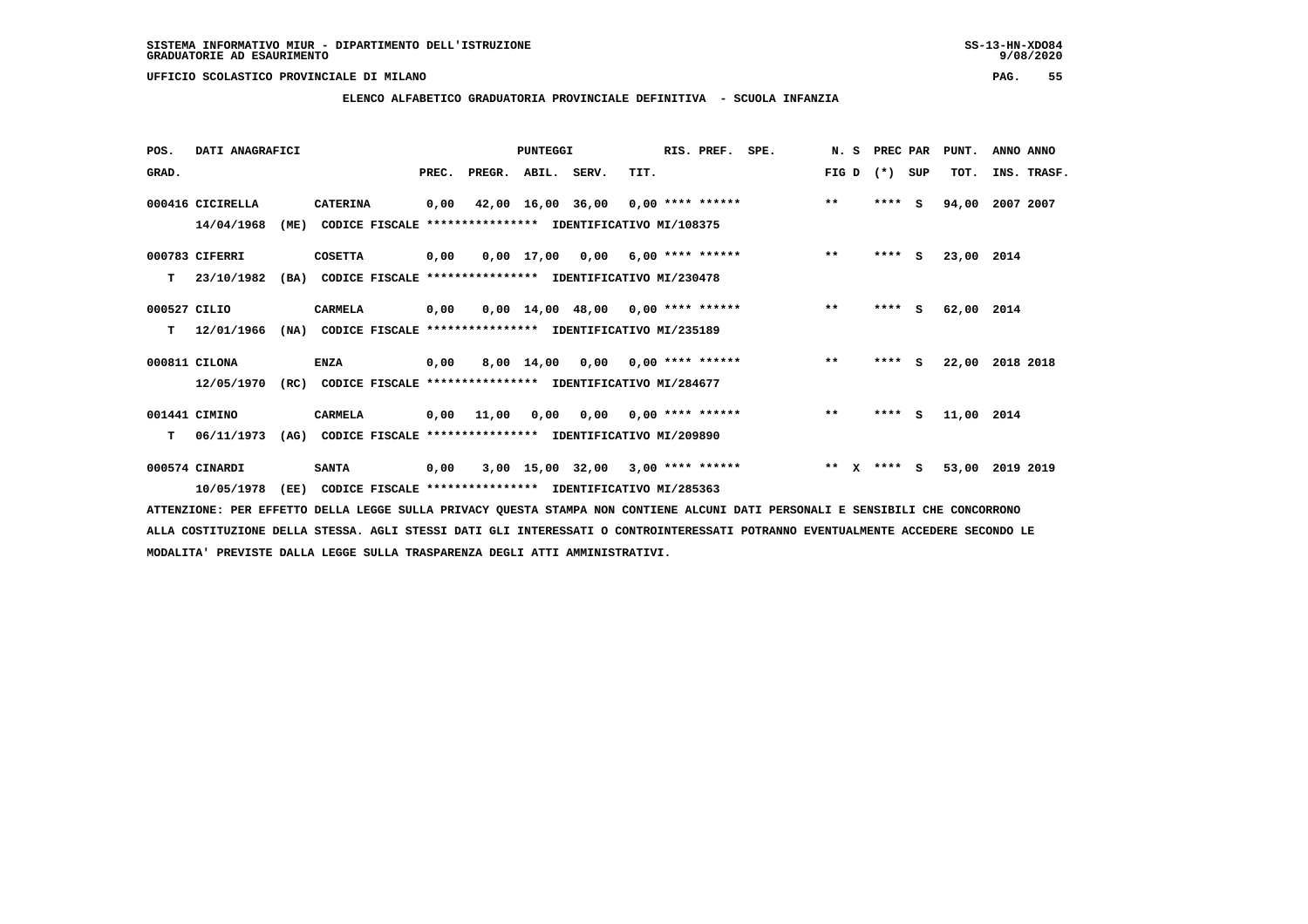**ELENCO ALFABETICO GRADUATORIA PROVINCIALE DEFINITIVA - SCUOLA INFANZIA**

| POS.          | DATI ANAGRAFICI  |      |                                                          |      |                                                          | <b>PUNTEGGI</b> |                                                  |      | RIS. PREF. SPE.           |         | N. S PREC PAR |     | PUNT.      | ANNO ANNO   |  |
|---------------|------------------|------|----------------------------------------------------------|------|----------------------------------------------------------|-----------------|--------------------------------------------------|------|---------------------------|---------|---------------|-----|------------|-------------|--|
| GRAD.         |                  |      |                                                          |      | PREC. PREGR. ABIL. SERV.                                 |                 |                                                  | TIT. |                           |         | FIG D $(*)$   | SUP | TOT.       | INS. TRASF. |  |
|               | 000416 CICIRELLA |      | <b>CATERINA</b>                                          | 0,00 |                                                          |                 | $42,00$ $16,00$ $36,00$ $0,00$ $***$ **** ****** |      |                           | $***$   | $***$ S       |     | 94,00      | 2007 2007   |  |
|               | 14/04/1968       | (ME) | CODICE FISCALE                                           |      | **************** IDENTIFICATIVO MI/108375                |                 |                                                  |      |                           |         |               |     |            |             |  |
|               | 000783 CIFERRI   |      | <b>COSETTA</b>                                           | 0,00 |                                                          |                 | 0,00 17,00 0,00                                  |      | $6,00$ **** ******        | $***$   | $***$ S       |     | 23,00 2014 |             |  |
| T.            | 23/10/1982       | (BA) |                                                          |      | CODICE FISCALE **************** IDENTIFICATIVO MI/230478 |                 |                                                  |      |                           |         |               |     |            |             |  |
| 000527 CILIO  |                  |      | <b>CARMELA</b>                                           | 0,00 |                                                          |                 | $0,00$ 14,00 48,00 0,00 **** ******              |      |                           | $***$   | $***$ S       |     | 62,00 2014 |             |  |
| т             | 12/01/1966       | (NA) |                                                          |      | CODICE FISCALE **************** IDENTIFICATIVO MI/235189 |                 |                                                  |      |                           |         |               |     |            |             |  |
| 000811 CILONA |                  |      | <b>ENZA</b>                                              | 0,00 |                                                          |                 | 8,00 14,00 0,00 0,00 **** ******                 |      |                           | $***$   | **** S        |     | 22,00      | 2018 2018   |  |
|               | 12/05/1970       | (RC) | CODICE FISCALE **************** IDENTIFICATIVO MI/284677 |      |                                                          |                 |                                                  |      |                           |         |               |     |            |             |  |
|               | 001441 CIMINO    |      | <b>CARMELA</b>                                           |      | 0,00 11,00                                               | 0,00            |                                                  |      | $0,00$ $0,00$ **** ****** | $***$   | $***$ S       |     | 11,00 2014 |             |  |
|               | 06/11/1973       | (AG) |                                                          |      | CODICE FISCALE **************** IDENTIFICATIVO MI/209890 |                 |                                                  |      |                           |         |               |     |            |             |  |
|               | 000574 CINARDI   |      | <b>SANTA</b>                                             | 0,00 |                                                          |                 | 3,00 15,00 32,00                                 |      | $3,00$ **** ******        | $***$ X | $***$ S       |     | 53,00      | 2019 2019   |  |
|               | 10/05/1978       | (EE) |                                                          |      | CODICE FISCALE **************** IDENTIFICATIVO MI/285363 |                 |                                                  |      |                           |         |               |     |            |             |  |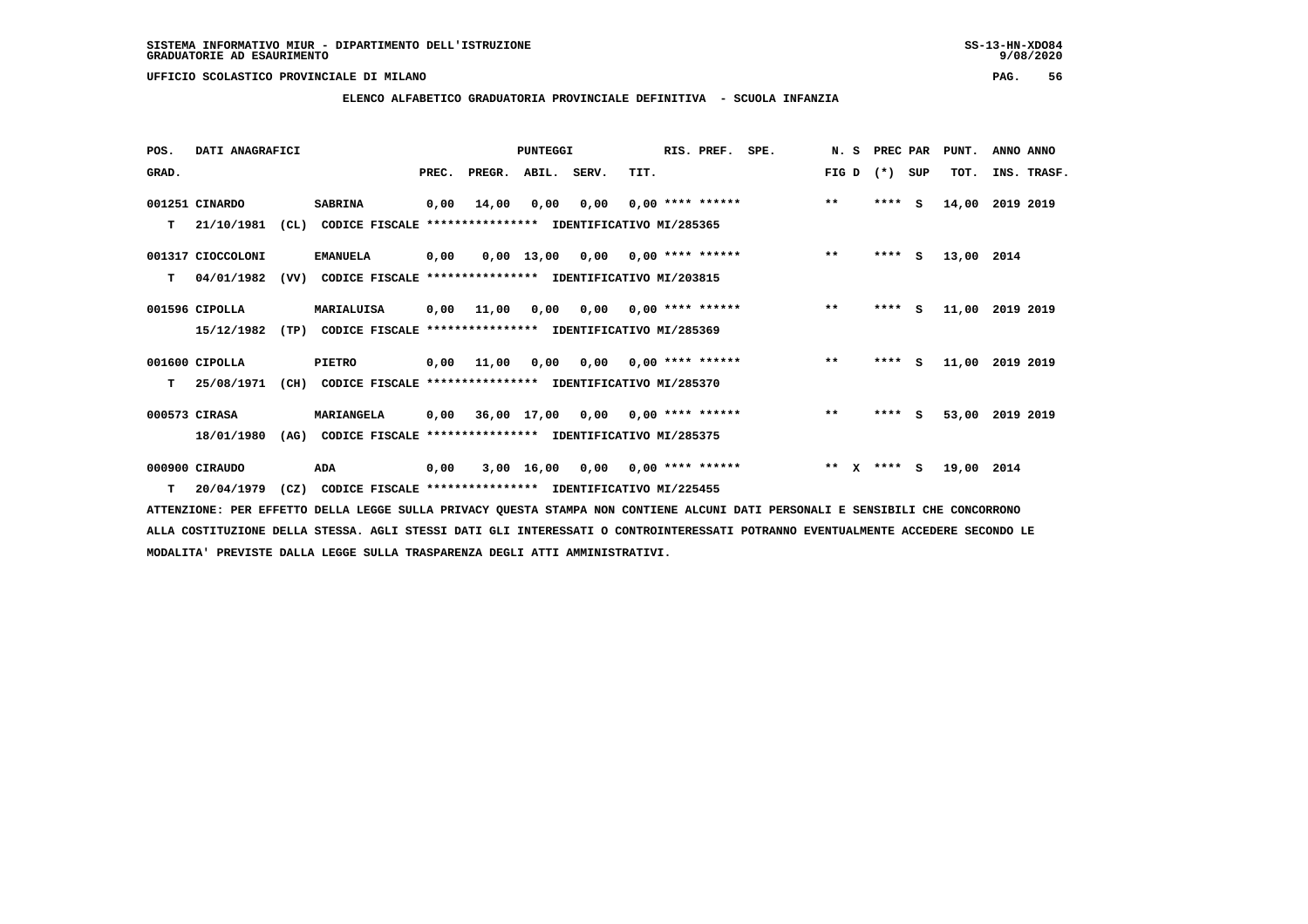**ELENCO ALFABETICO GRADUATORIA PROVINCIALE DEFINITIVA - SCUOLA INFANZIA**

| POS.  | DATI ANAGRAFICI   |      |                                                               |       |                                           | PUNTEGGI    |                                    |                           | RIS. PREF.         | SPE. | N.S                   |         | PREC PAR | PUNT.      | ANNO ANNO   |
|-------|-------------------|------|---------------------------------------------------------------|-------|-------------------------------------------|-------------|------------------------------------|---------------------------|--------------------|------|-----------------------|---------|----------|------------|-------------|
| GRAD. |                   |      |                                                               | PREC. | PREGR.                                    | ABIL. SERV. |                                    | TIT.                      |                    |      | FIG D                 | $(*)$   | SUP      | TOT.       | INS. TRASF. |
|       | 001251 CINARDO    |      | <b>SABRINA</b>                                                | 0,00  | 14,00                                     | 0,00        | 0,00                               |                           | $0,00$ **** ****** |      | $***$                 | ****    | S.       | 14,00      | 2019 2019   |
| т     | 21/10/1981        | CL)  | CODICE FISCALE **************** IDENTIFICATIVO MI/285365      |       |                                           |             |                                    |                           |                    |      |                       |         |          |            |             |
|       | 001317 CIOCCOLONI |      | <b>EMANUELA</b>                                               | 0,00  |                                           |             | $0,00$ 13,00 0,00 0,00 **** ****** |                           |                    |      | $***$                 | **** S  |          | 13,00 2014 |             |
| т     | 04/01/1982        | (VV) | CODICE FISCALE **************** IDENTIFICATIVO MI/203815      |       |                                           |             |                                    |                           |                    |      |                       |         |          |            |             |
|       | 001596 CIPOLLA    |      | MARIALUISA                                                    | 0,00  | 11,00                                     | 0,00        |                                    | $0,00$ $0,00$ **** ****** |                    |      | $***$                 | $***$ S |          | 11,00      | 2019 2019   |
|       | 15/12/1982        | (TP) | CODICE FISCALE **************** IDENTIFICATIVO MI/285369      |       |                                           |             |                                    |                           |                    |      |                       |         |          |            |             |
|       | 001600 CIPOLLA    |      | <b>PIETRO</b>                                                 | 0,00  | 11,00                                     | 0,00        | 0,00                               | 0,00 **** ******          |                    |      | $**$                  | ****    | <b>S</b> | 11,00      | 2019 2019   |
| т     | 25/08/1971        |      | (CH) CODICE FISCALE **************** IDENTIFICATIVO MI/285370 |       |                                           |             |                                    |                           |                    |      |                       |         |          |            |             |
|       | 000573 CIRASA     |      | MARIANGELA                                                    | 0,00  |                                           |             | 36,00 17,00 0,00 0,00 **** ******  |                           |                    |      | $***$                 | ****    | S.       | 53,00      | 2019 2019   |
|       | 18/01/1980        | (AG) | CODICE FISCALE                                                |       | **************** IDENTIFICATIVO MI/285375 |             |                                    |                           |                    |      |                       |         |          |            |             |
|       | 000900 CIRAUDO    |      | ADA                                                           | 0,00  |                                           | 3,00 16,00  |                                    | $0,00$ $0,00$ **** ****** |                    |      | $***$<br>$\mathbf{x}$ | **** S  |          | 19,00 2014 |             |
| T     | 20/04/1979        |      | (CZ) CODICE FISCALE **************** IDENTIFICATIVO MI/225455 |       |                                           |             |                                    |                           |                    |      |                       |         |          |            |             |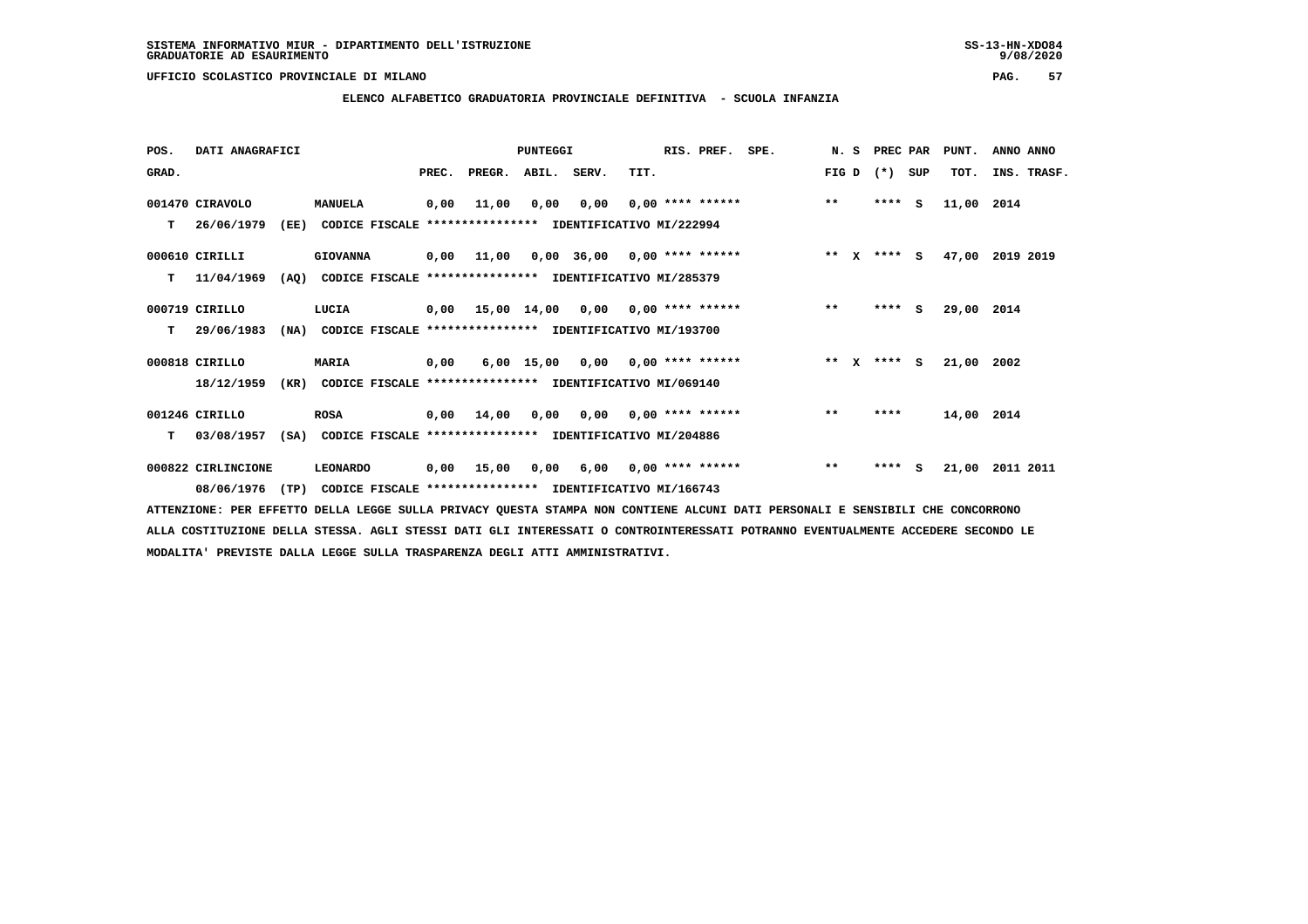**ELENCO ALFABETICO GRADUATORIA PROVINCIALE DEFINITIVA - SCUOLA INFANZIA**

 **POS. DATI ANAGRAFICI PUNTEGGI RIS. PREF. SPE. N. S PREC PAR PUNT. ANNO ANNO**GRAD. **PREGRADE SERVEGER. ABIL. SERV. TIT.** FIG D (\*) SUP TOT. INS. TRASF.  **001470 CIRAVOLO MANUELA 0,00 11,00 0,00 0,00 0,00 \*\*\*\* \*\*\*\*\*\* \*\* \*\*\*\* S 11,00 2014 T 26/06/1979 (EE) CODICE FISCALE \*\*\*\*\*\*\*\*\*\*\*\*\*\*\*\* IDENTIFICATIVO MI/222994 000610 CIRILLI GIOVANNA 0,00 11,00 0,00 36,00 0,00 \*\*\*\* \*\*\*\*\*\* \*\* X \*\*\*\* S 47,00 2019 2019 T 11/04/1969 (AQ) CODICE FISCALE \*\*\*\*\*\*\*\*\*\*\*\*\*\*\*\* IDENTIFICATIVO MI/285379 000719 CIRILLO LUCIA 0,00 15,00 14,00 0,00 0,00 \*\*\*\* \*\*\*\*\*\* \*\* \*\*\*\* S 29,00 2014 T 29/06/1983 (NA) CODICE FISCALE \*\*\*\*\*\*\*\*\*\*\*\*\*\*\*\* IDENTIFICATIVO MI/193700 000818 CIRILLO MARIA 0,00 6,00 15,00 0,00 0,00 \*\*\*\* \*\*\*\*\*\* \*\* X \*\*\*\* S 21,00 2002 18/12/1959 (KR) CODICE FISCALE \*\*\*\*\*\*\*\*\*\*\*\*\*\*\*\* IDENTIFICATIVO MI/069140**

 **001246 CIRILLO ROSA 0,00 14,00 0,00 0,00 0,00 \*\*\*\* \*\*\*\*\*\* \*\* \*\*\*\* 14,00 2014 T 03/08/1957 (SA) CODICE FISCALE \*\*\*\*\*\*\*\*\*\*\*\*\*\*\*\* IDENTIFICATIVO MI/204886**

 **000822 CIRLINCIONE LEONARDO 0,00 15,00 0,00 6,00 0,00 \*\*\*\* \*\*\*\*\*\* \*\* \*\*\*\* S 21,00 2011 2011 08/06/1976 (TP) CODICE FISCALE \*\*\*\*\*\*\*\*\*\*\*\*\*\*\*\* IDENTIFICATIVO MI/166743**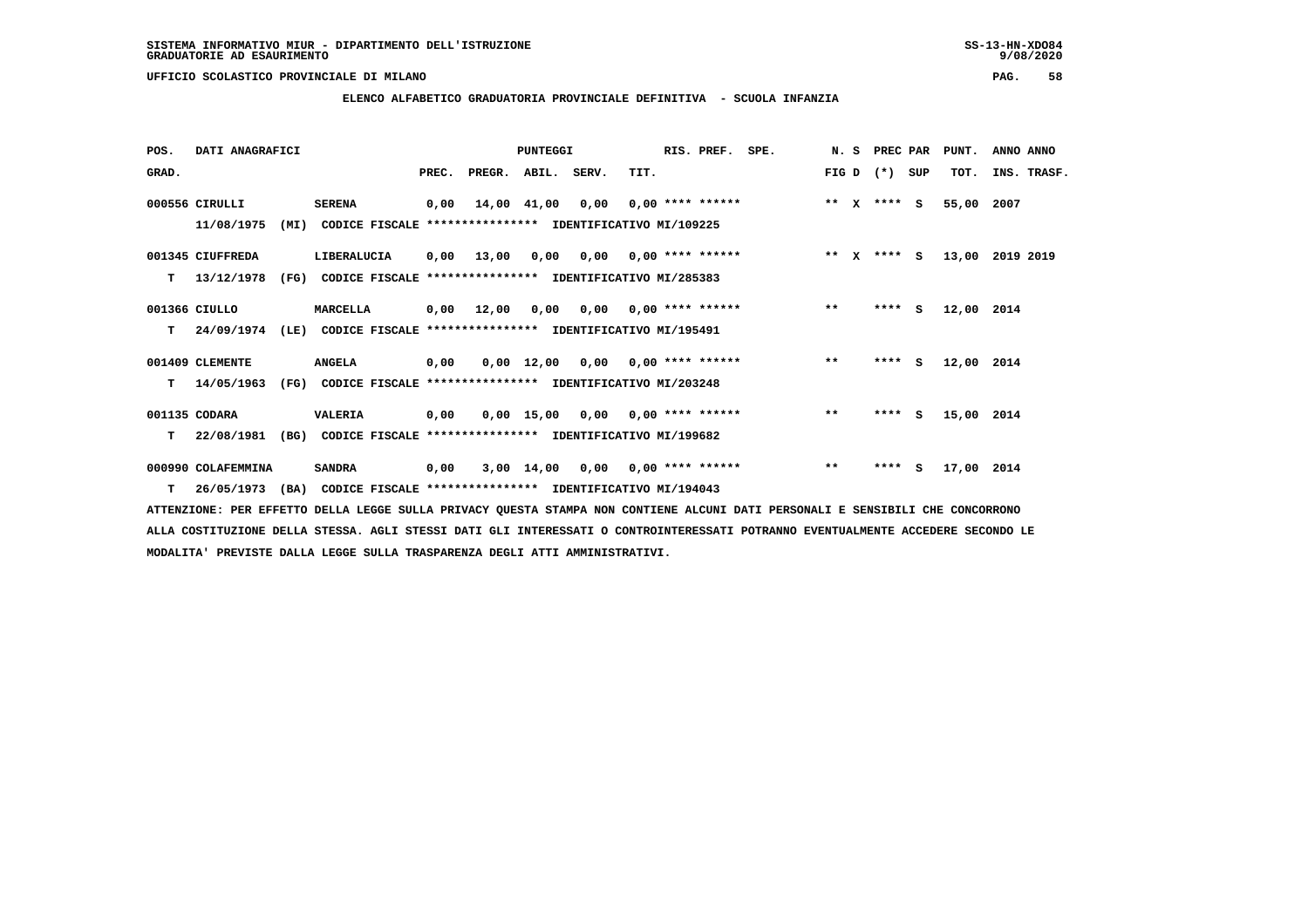**ELENCO ALFABETICO GRADUATORIA PROVINCIALE DEFINITIVA - SCUOLA INFANZIA**

| POS.  | DATI ANAGRAFICI    |      |                                                               |       |        | <b>PUNTEGGI</b>    |                                        |                           | RIS. PREF. | SPE. |              | N. S         | PREC PAR    |     | PUNT.      | ANNO ANNO |             |
|-------|--------------------|------|---------------------------------------------------------------|-------|--------|--------------------|----------------------------------------|---------------------------|------------|------|--------------|--------------|-------------|-----|------------|-----------|-------------|
| GRAD. |                    |      |                                                               | PREC. | PREGR. | ABIL.              | SERV.                                  | TIT.                      |            |      | FIG D        |              | $(* )$      | SUP | TOT.       |           | INS. TRASF. |
|       | 000556 CIRULLI     |      | <b>SERENA</b>                                                 | 0,00  |        | 14,00 41,00        |                                        | $0,00$ $0,00$ **** ****** |            |      |              |              | ** x **** S |     | 55,00      | 2007      |             |
|       | 11/08/1975         | (MI) | CODICE FISCALE **************** IDENTIFICATIVO MI/109225      |       |        |                    |                                        |                           |            |      |              |              |             |     |            |           |             |
|       | 001345 CIUFFREDA   |      | LIBERALUCIA                                                   | 0,00  | 13,00  | 0,00               |                                        | $0,00$ $0,00$ **** ****** |            |      | $* *$        | $\mathbf{x}$ | $***$ S     |     | 13,00      | 2019 2019 |             |
| т     | 13/12/1978         | (FG) | CODICE FISCALE **************** IDENTIFICATIVO MI/285383      |       |        |                    |                                        |                           |            |      |              |              |             |     |            |           |             |
|       | 001366 CIULLO      |      | MARCELLA                                                      | 0,00  | 12,00  |                    | $0,00$ $0,00$ $0,00$ $***$ **** ****** |                           |            |      | $**$         |              | $***$ S     |     | 12,00 2014 |           |             |
| T.    | 24/09/1974         | (LE) | CODICE FISCALE **************** IDENTIFICATIVO MI/195491      |       |        |                    |                                        |                           |            |      |              |              |             |     |            |           |             |
|       | 001409 CLEMENTE    |      | <b>ANGELA</b>                                                 | 0,00  |        | $0,00 \quad 12,00$ |                                        | $0,00$ $0,00$ **** ****** |            |      | $***$        |              | $***$ S     |     | 12,00      | 2014      |             |
| T.    | 14/05/1963         |      | (FG) CODICE FISCALE **************** IDENTIFICATIVO MI/203248 |       |        |                    |                                        |                           |            |      |              |              |             |     |            |           |             |
|       | 001135 CODARA      |      | VALERIA                                                       | 0,00  |        |                    | $0.00$ 15.00 0.00 0.00 **** ******     |                           |            |      | $\star\star$ |              | $***$ S     |     | 15,00 2014 |           |             |
| т     | 22/08/1981         | (BG) | CODICE FISCALE **************** IDENTIFICATIVO MI/199682      |       |        |                    |                                        |                           |            |      |              |              |             |     |            |           |             |
|       | 000990 COLAFEMMINA |      | <b>SANDRA</b>                                                 | 0,00  |        | $3,00$ 14,00       | 0,00                                   | $0,00$ **** ******        |            |      | $**$         |              | $***$ S     |     | 17,00 2014 |           |             |
| T.    | 26/05/1973         | (BA) | CODICE FISCALE **************** IDENTIFICATIVO MI/194043      |       |        |                    |                                        |                           |            |      |              |              |             |     |            |           |             |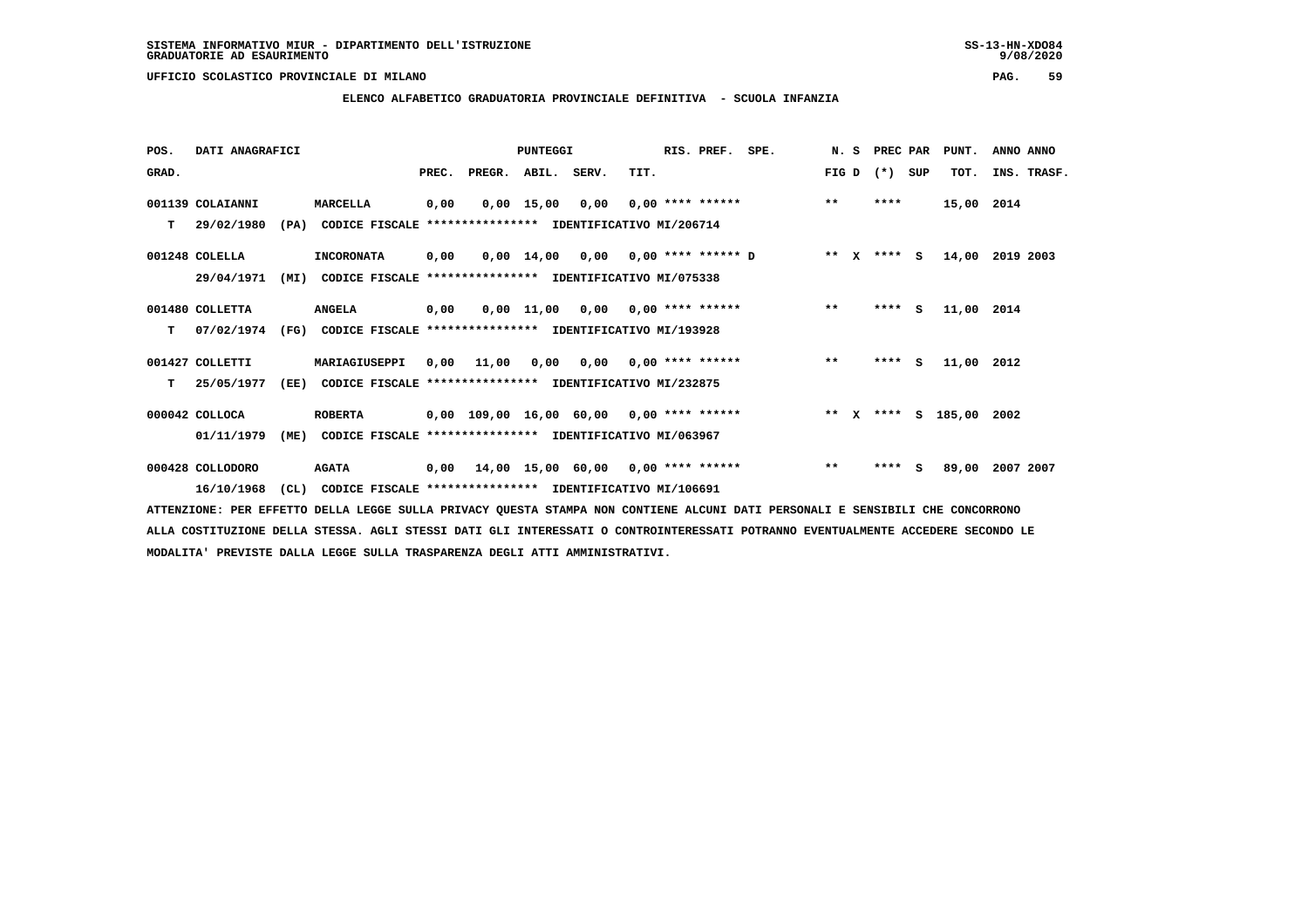## **ELENCO ALFABETICO GRADUATORIA PROVINCIALE DEFINITIVA - SCUOLA INFANZIA**

| POS.  | DATI ANAGRAFICI  |      |                                                               |       |                                          | <b>PUNTEGGI</b> |                                        |      | RIS. PREF.                | SPE. | N.S   | PREC PAR    |     | PUNT.         | ANNO ANNO   |
|-------|------------------|------|---------------------------------------------------------------|-------|------------------------------------------|-----------------|----------------------------------------|------|---------------------------|------|-------|-------------|-----|---------------|-------------|
| GRAD. |                  |      |                                                               | PREC. | PREGR. ABIL. SERV.                       |                 |                                        | TIT. |                           |      | FIG D | $(*)$       | SUP | TOT.          | INS. TRASF. |
|       | 001139 COLAIANNI |      | MARCELLA                                                      | 0,00  |                                          | $0,00$ 15,00    | 0,00                                   |      | $0.00$ **** ******        |      | $* *$ | ****        |     | 15,00 2014    |             |
| T.    | 29/02/1980       | (PA) | CODICE FISCALE **************** IDENTIFICATIVO MI/206714      |       |                                          |                 |                                        |      |                           |      |       |             |     |               |             |
|       | 001248 COLELLA   |      | <b>INCORONATA</b>                                             | 0,00  |                                          |                 | $0,00$ 14,00 0,00 0,00 **** ****** D   |      |                           |      |       | ** x **** S |     | 14,00         | 2019 2003   |
|       | 29/04/1971       | (MI) | CODICE FISCALE **************** IDENTIFICATIVO MI/075338      |       |                                          |                 |                                        |      |                           |      |       |             |     |               |             |
|       | 001480 COLLETTA  |      | <b>ANGELA</b>                                                 | 0,00  |                                          | 0,00 11,00      |                                        |      | $0,00$ $0,00$ **** ****** |      | $***$ | $***$ S     |     | 11,00 2014    |             |
| т     | 07/02/1974       |      | (FG) CODICE FISCALE **************** IDENTIFICATIVO MI/193928 |       |                                          |                 |                                        |      |                           |      |       |             |     |               |             |
|       | 001427 COLLETTI  |      | MARIAGIUSEPPI                                                 | 0,00  | 11,00                                    |                 | $0,00$ $0,00$ $0,00$ $***$ **** ****** |      |                           |      | $***$ | $***$ S     |     | 11,00 2012    |             |
| т     | 25/05/1977       | (EE) | CODICE FISCALE **************** IDENTIFICATIVO MI/232875      |       |                                          |                 |                                        |      |                           |      |       |             |     |               |             |
|       | 000042 COLLOCA   |      | <b>ROBERTA</b>                                                |       | 0,00 109,00 16,00 60,00 0,00 **** ****** |                 |                                        |      |                           |      |       | ** $X$ **** |     | S 185,00 2002 |             |
|       | 01/11/1979       | (ME) | CODICE FISCALE **************** IDENTIFICATIVO MI/063967      |       |                                          |                 |                                        |      |                           |      |       |             |     |               |             |
|       | 000428 COLLODORO |      | <b>AGATA</b>                                                  | 0,00  | 14,00 15,00 60,00 0,00 **** ******       |                 |                                        |      |                           |      | $***$ | ****        | s   | 89,00         | 2007 2007   |
|       | 16/10/1968       | CL)  | CODICE FISCALE **************** IDENTIFICATIVO MI/106691      |       |                                          |                 |                                        |      |                           |      |       |             |     |               |             |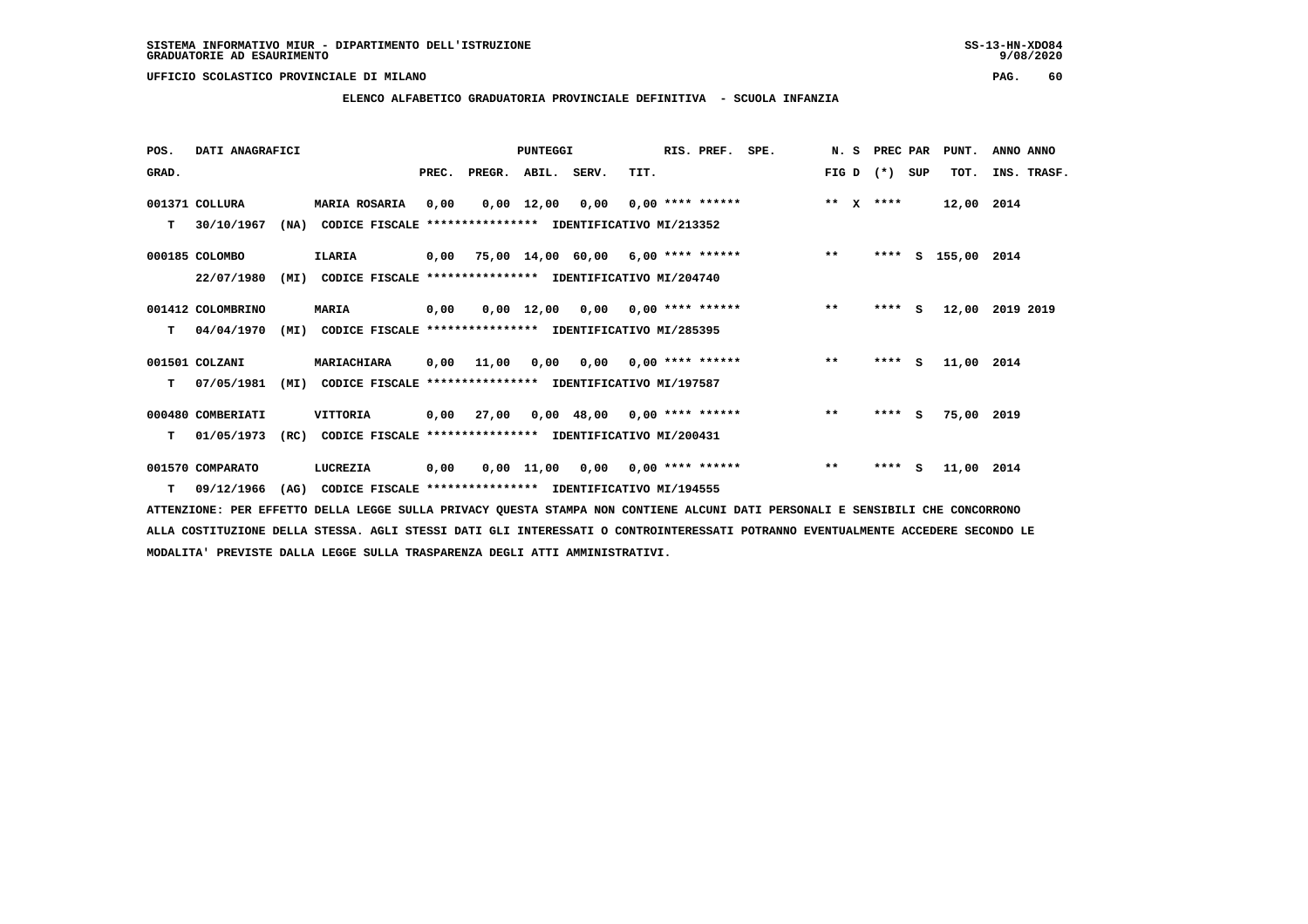**ELENCO ALFABETICO GRADUATORIA PROVINCIALE DEFINITIVA - SCUOLA INFANZIA**

 **POS. DATI ANAGRAFICI PUNTEGGI RIS. PREF. SPE. N. S PREC PAR PUNT. ANNO ANNO**GRAD. **PREGRADE SERVEGER. ABIL. SERV. TIT.** FIG D (\*) SUP TOT. INS. TRASF.  **001371 COLLURA MARIA ROSARIA 0,00 0,00 12,00 0,00 0,00 \*\*\*\* \*\*\*\*\*\* \*\* X \*\*\*\* 12,00 2014 T 30/10/1967 (NA) CODICE FISCALE \*\*\*\*\*\*\*\*\*\*\*\*\*\*\*\* IDENTIFICATIVO MI/213352 000185 COLOMBO ILARIA 0,00 75,00 14,00 60,00 6,00 \*\*\*\* \*\*\*\*\*\* \*\* \*\*\*\* S 155,00 2014 22/07/1980 (MI) CODICE FISCALE \*\*\*\*\*\*\*\*\*\*\*\*\*\*\*\* IDENTIFICATIVO MI/204740 001412 COLOMBRINO MARIA 0,00 0,00 12,00 0,00 0,00 \*\*\*\* \*\*\*\*\*\* \*\* \*\*\*\* S 12,00 2019 2019 T 04/04/1970 (MI) CODICE FISCALE \*\*\*\*\*\*\*\*\*\*\*\*\*\*\*\* IDENTIFICATIVO MI/285395 001501 COLZANI MARIACHIARA 0,00 11,00 0,00 0,00 0,00 \*\*\*\* \*\*\*\*\*\* \*\* \*\*\*\* S 11,00 2014 T 07/05/1981 (MI) CODICE FISCALE \*\*\*\*\*\*\*\*\*\*\*\*\*\*\*\* IDENTIFICATIVO MI/197587 000480 COMBERIATI VITTORIA 0,00 27,00 0,00 48,00 0,00 \*\*\*\* \*\*\*\*\*\* \*\* \*\*\*\* S 75,00 2019 T 01/05/1973 (RC) CODICE FISCALE \*\*\*\*\*\*\*\*\*\*\*\*\*\*\*\* IDENTIFICATIVO MI/200431 001570 COMPARATO LUCREZIA 0,00 0,00 11,00 0,00 0,00 \*\*\*\* \*\*\*\*\*\* \*\* \*\*\*\* S 11,00 2014**

 **T 09/12/1966 (AG) CODICE FISCALE \*\*\*\*\*\*\*\*\*\*\*\*\*\*\*\* IDENTIFICATIVO MI/194555**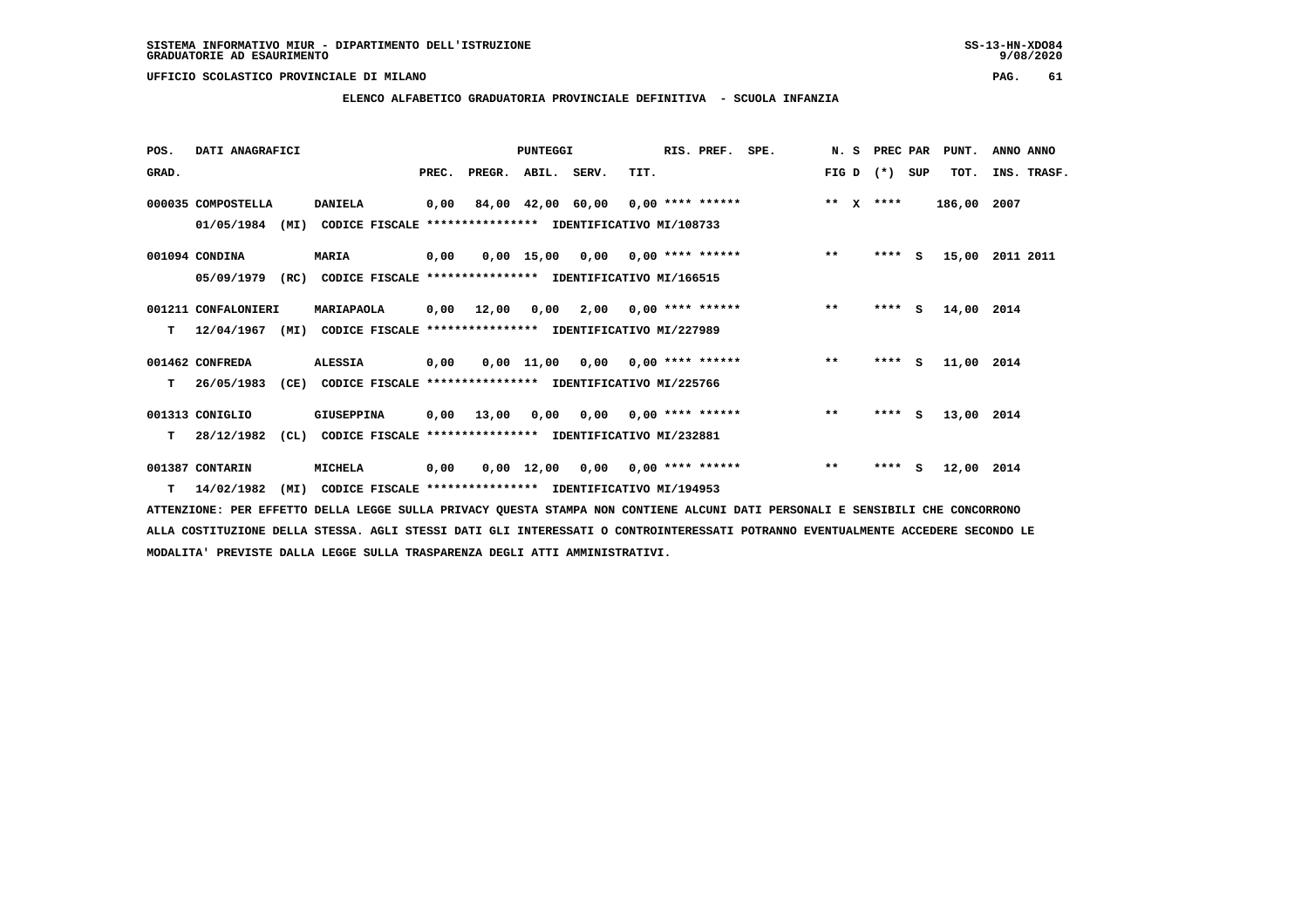### **ELENCO ALFABETICO GRADUATORIA PROVINCIALE DEFINITIVA - SCUOLA INFANZIA**

| POS.  | DATI ANAGRAFICI          |                                                               |       |                    | PUNTEGGI |                                       |                    | RIS. PREF. | SPE. | N. S         |       | PREC PAR    | PUNT.       | ANNO ANNO   |
|-------|--------------------------|---------------------------------------------------------------|-------|--------------------|----------|---------------------------------------|--------------------|------------|------|--------------|-------|-------------|-------------|-------------|
| GRAD. |                          |                                                               | PREC. | PREGR. ABIL. SERV. |          |                                       | TIT.               |            |      | FIG D        | $(*)$ | SUP         | TOT.        | INS. TRASF. |
|       | 000035 COMPOSTELLA       | <b>DANIELA</b>                                                | 0,00  |                    |          | 84,00 42,00 60,00 0,00 **** ******    |                    |            |      | $***$ $x$    | ****  |             | 186,00 2007 |             |
|       | 01/05/1984<br>(MI)       | CODICE FISCALE **************** IDENTIFICATIVO MI/108733      |       |                    |          |                                       |                    |            |      |              |       |             |             |             |
|       | 001094 CONDINA           | <b>MARIA</b>                                                  | 0,00  |                    |          | $0,00$ 15,00 0,00 0,00 **** ******    |                    |            |      | $***$        |       | $***$ S     | 15,00       | 2011 2011   |
|       | 05/09/1979<br>(RC)       | CODICE FISCALE **************** IDENTIFICATIVO MI/166515      |       |                    |          |                                       |                    |            |      |              |       |             |             |             |
|       | 001211 CONFALONIERI      | MARIAPAOLA                                                    |       | 0,00 12,00         | 0,00     | 2,00                                  | $0.00$ **** ****** |            |      | $**$         |       | ****<br>- S | 14,00 2014  |             |
| т     | 12/04/1967<br>(MI)       | CODICE FISCALE **************** IDENTIFICATIVO MI/227989      |       |                    |          |                                       |                    |            |      |              |       |             |             |             |
|       | 001462 CONFREDA          | <b>ALESSIA</b>                                                | 0,00  |                    |          | 0,00 11,00 0,00 0,00 **** ******      |                    |            |      | $***$        |       | $***$ S     | 11,00 2014  |             |
| т     | 26/05/1983<br>(CE)       | CODICE FISCALE **************** IDENTIFICATIVO MI/225766      |       |                    |          |                                       |                    |            |      |              |       |             |             |             |
|       | 001313 CONIGLIO          | GIUSEPPINA                                                    |       | 0,00 13,00         |          | $0,00$ $0,00$ $0,00$ $***$ **** ***** |                    |            |      | $\star\star$ |       | $***$ S     | 13,00 2014  |             |
| т     | 28/12/1982               | (CL) CODICE FISCALE **************** IDENTIFICATIVO MI/232881 |       |                    |          |                                       |                    |            |      |              |       |             |             |             |
|       | 001387 CONTARIN          | MICHELA                                                       | 0,00  |                    |          | $0,00$ 12,00 0,00 0,00 **** ******    |                    |            |      | $\star\star$ |       | $***$ S     | 12,00       | 2014        |
|       | $T = 14/02/1982$<br>(MI) | CODICE FISCALE **************** IDENTIFICATIVO MI/194953      |       |                    |          |                                       |                    |            |      |              |       |             |             |             |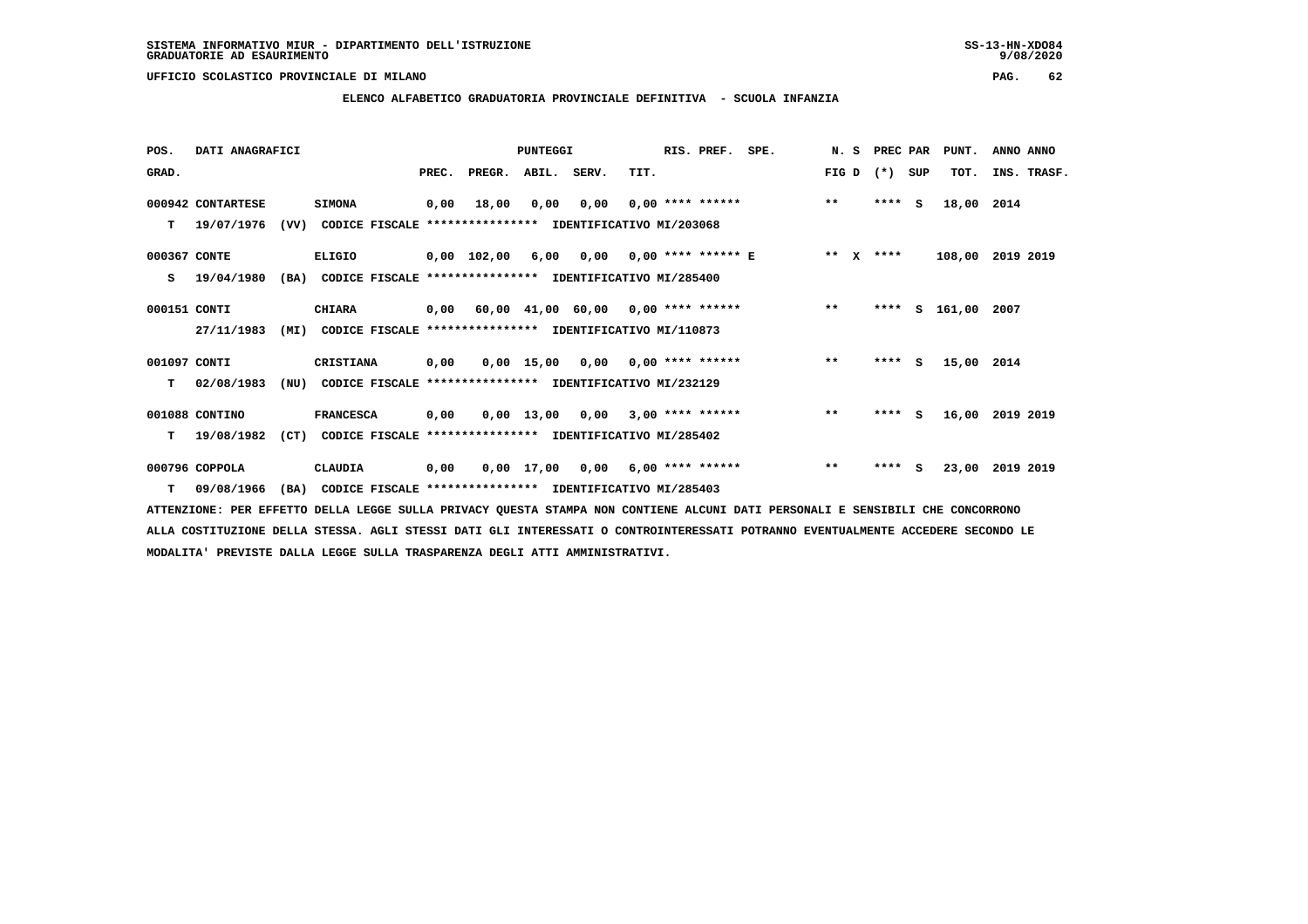### **ELENCO ALFABETICO GRADUATORIA PROVINCIALE DEFINITIVA - SCUOLA INFANZIA**

| POS.         | DATI ANAGRAFICI   |      |                                                                           |      |                          | <b>PUNTEGGI</b> |      |      | RIS. PREF. | SPE.                                                        |       | N. S PREC PAR | PUNT.            | ANNO ANNO |             |
|--------------|-------------------|------|---------------------------------------------------------------------------|------|--------------------------|-----------------|------|------|------------|-------------------------------------------------------------|-------|---------------|------------------|-----------|-------------|
| GRAD.        |                   |      |                                                                           |      | PREC. PREGR. ABIL. SERV. |                 |      | TIT. |            |                                                             | FIG D | (*) SUP       | TOT.             |           | INS. TRASF. |
|              | 000942 CONTARTESE |      | <b>SIMONA</b>                                                             | 0,00 | 18,00                    | 0,00            | 0,00 |      |            | $0.00$ **** ****** ** **                                    |       | $***$ S       | 18,00 2014       |           |             |
|              |                   |      | T 19/07/1976 (VV) CODICE FISCALE *************** IDENTIFICATIVO MI/203068 |      |                          |                 |      |      |            |                                                             |       |               |                  |           |             |
| 000367 CONTE |                   |      | ELIGIO                                                                    |      |                          |                 |      |      |            | 0,00 102,00  6,00  0,00  0,00 **** ****** E      **  X **** |       |               | 108,00 2019 2019 |           |             |
|              | $S = 19/04/1980$  | (BA) | CODICE FISCALE **************** IDENTIFICATIVO MI/285400                  |      |                          |                 |      |      |            |                                                             |       |               |                  |           |             |
| 000151 CONTI |                   |      | <b>CHIARA</b>                                                             |      |                          |                 |      |      |            | 0,00 60,00 41,00 60,00 0,00 **** ****** *** **              |       | ****          | S 161,00 2007    |           |             |
|              | 27/11/1983        |      | (MI) CODICE FISCALE **************** IDENTIFICATIVO MI/110873             |      |                          |                 |      |      |            |                                                             |       |               |                  |           |             |
| 001097 CONTI |                   |      | CRISTIANA                                                                 | 0,00 |                          |                 |      |      |            | 0,00 15,00 0,00 0,00 **** ******                            | $* *$ | $***$ S       | 15,00 2014       |           |             |
| T.           | 02/08/1983        | (NU) | CODICE FISCALE **************** IDENTIFICATIVO MI/232129                  |      |                          |                 |      |      |            |                                                             |       |               |                  |           |             |
|              | 001088 CONTINO    |      | <b>FRANCESCA</b>                                                          | 0,00 |                          |                 |      |      |            | $0,00$ 13,00 0,00 3,00 **** ******                          | $***$ | $***$ S       | 16,00 2019 2019  |           |             |
|              |                   |      | T 19/08/1982 (CT) CODICE FISCALE *************** IDENTIFICATIVO MI/285402 |      |                          |                 |      |      |            |                                                             |       |               |                  |           |             |
|              | 000796 COPPOLA    |      | CLAUDIA                                                                   |      |                          |                 |      |      |            | 0,00 0,00 17,00 0,00 6,00 **** ****** *** **                |       | $***$ S       | 23,00 2019 2019  |           |             |
| T.           | 09/08/1966        | (BA) | CODICE FISCALE **************** IDENTIFICATIVO MI/285403                  |      |                          |                 |      |      |            |                                                             |       |               |                  |           |             |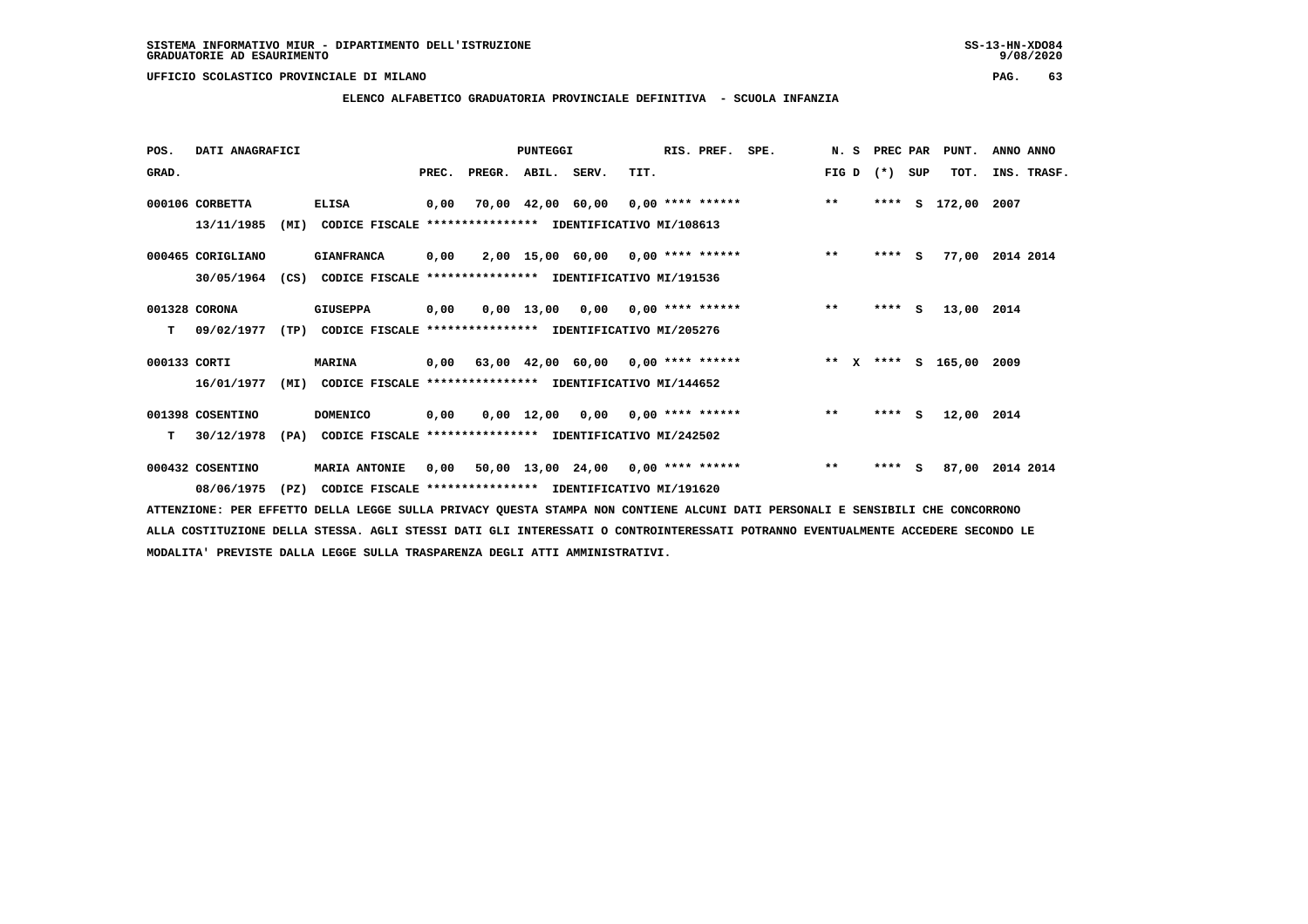## **ELENCO ALFABETICO GRADUATORIA PROVINCIALE DEFINITIVA - SCUOLA INFANZIA**

| POS.         | DATI ANAGRAFICI   |      |                                                                          |       |                    | PUNTEGGI |                                    |      | RIS. PREF. | SPE.                                                               | N.S   | PREC PAR |     | PUNT.         | ANNO ANNO       |
|--------------|-------------------|------|--------------------------------------------------------------------------|-------|--------------------|----------|------------------------------------|------|------------|--------------------------------------------------------------------|-------|----------|-----|---------------|-----------------|
| GRAD.        |                   |      |                                                                          | PREC. | PREGR. ABIL. SERV. |          |                                    | TIT. |            |                                                                    | FIG D | $(*)$    | SUP | TOT.          | INS. TRASF.     |
|              | 000106 CORBETTA   |      | <b>ELISA</b>                                                             | 0,00  |                    |          |                                    |      |            | 70,00 42,00 60,00 0,00 **** ****** *** **                          |       | ****     |     | S 172,00 2007 |                 |
|              | 13/11/1985        | (MI) | CODICE FISCALE **************** IDENTIFICATIVO MI/108613                 |       |                    |          |                                    |      |            |                                                                    |       |          |     |               |                 |
|              | 000465 CORIGLIANO |      | <b>GIANFRANCA</b>                                                        | 0,00  |                    |          |                                    |      |            | 2,00 15,00 60,00 0,00 **** ******                                  | $* *$ | $***$ S  |     |               | 77,00 2014 2014 |
|              | 30/05/1964        | (CS) | CODICE FISCALE **************** IDENTIFICATIVO MI/191536                 |       |                    |          |                                    |      |            |                                                                    |       |          |     |               |                 |
|              | 001328 CORONA     |      | <b>GIUSEPPA</b>                                                          | 0,00  |                    |          |                                    |      |            | $0,00$ 13,00 0,00 0,00 **** ******                                 | $***$ | $***5$   |     | 13,00 2014    |                 |
| T.           |                   |      | 09/02/1977 (TP) CODICE FISCALE **************** IDENTIFICATIVO MI/205276 |       |                    |          |                                    |      |            |                                                                    |       |          |     |               |                 |
| 000133 CORTI |                   |      | <b>MARINA</b>                                                            |       |                    |          |                                    |      |            | 0,00 63,00 42,00 60,00 0,00 **** ****** * *** * **** * 165,00 2009 |       |          |     |               |                 |
|              | 16/01/1977        | (MI) | CODICE FISCALE **************** IDENTIFICATIVO MI/144652                 |       |                    |          |                                    |      |            |                                                                    |       |          |     |               |                 |
|              | 001398 COSENTINO  |      | <b>DOMENICO</b>                                                          | 0,00  |                    |          | $0,00$ 12,00 0,00 0,00 **** ****** |      |            |                                                                    | $***$ | $***$ S  |     | 12,00 2014    |                 |
| T.           | 30/12/1978        |      | (PA) CODICE FISCALE **************** IDENTIFICATIVO MI/242502            |       |                    |          |                                    |      |            |                                                                    |       |          |     |               |                 |
|              | 000432 COSENTINO  |      | <b>MARIA ANTONIE</b>                                                     | 0,00  |                    |          |                                    |      |            | 50,00 13,00 24,00 0,00 **** ******                                 | $***$ | $***$ S  |     |               | 87,00 2014 2014 |
|              | 08/06/1975        | (PZ) | CODICE FISCALE **************** IDENTIFICATIVO MI/191620                 |       |                    |          |                                    |      |            |                                                                    |       |          |     |               |                 |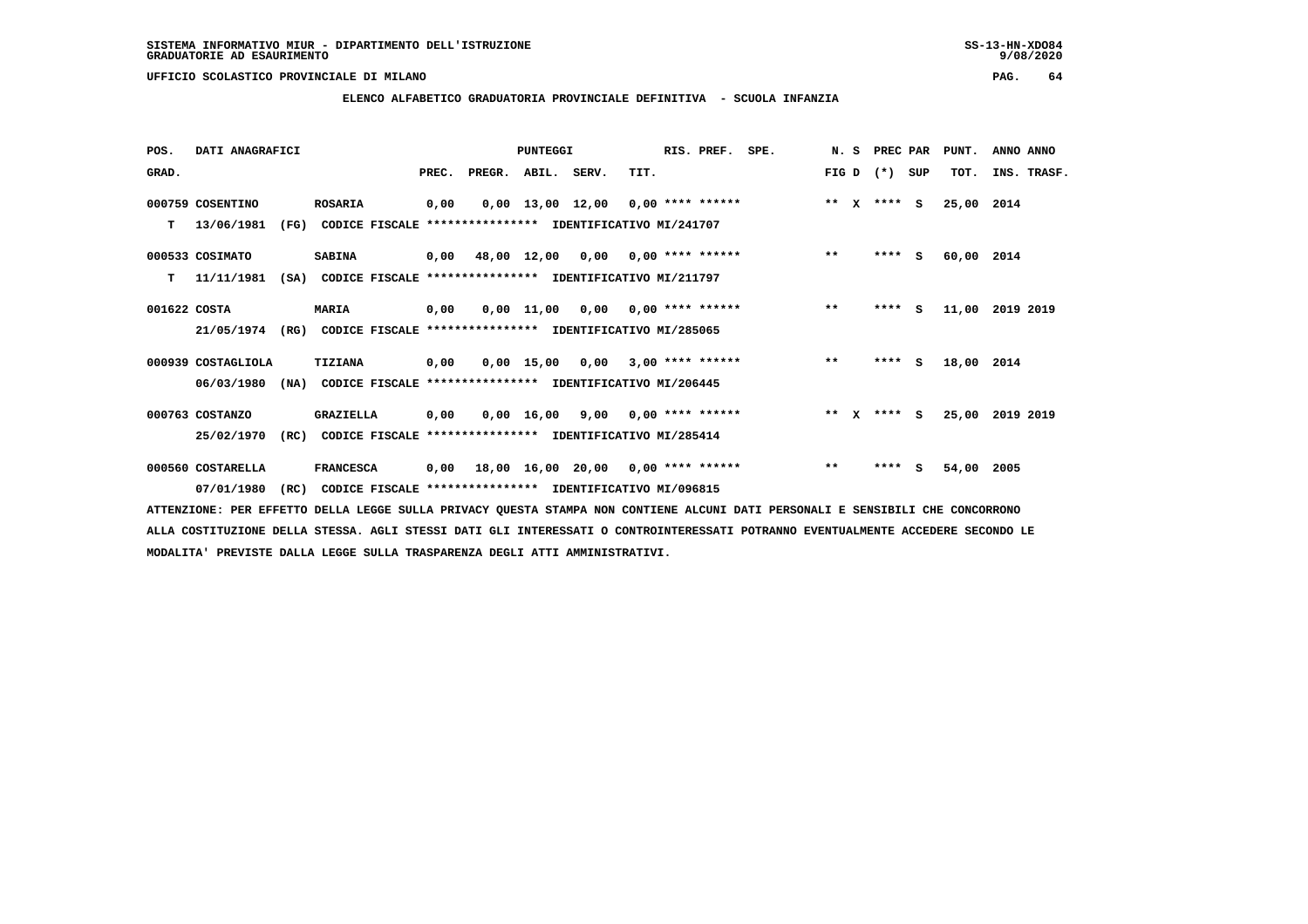**ELENCO ALFABETICO GRADUATORIA PROVINCIALE DEFINITIVA - SCUOLA INFANZIA**

 **POS. DATI ANAGRAFICI PUNTEGGI RIS. PREF. SPE. N. S PREC PAR PUNT. ANNO ANNO**GRAD. **PREGRADE SERVEGER. ABIL. SERV. TIT.** FIG D (\*) SUP TOT. INS. TRASF.  **000759 COSENTINO ROSARIA 0,00 0,00 13,00 12,00 0,00 \*\*\*\* \*\*\*\*\*\* \*\* X \*\*\*\* S 25,00 2014 T 13/06/1981 (FG) CODICE FISCALE \*\*\*\*\*\*\*\*\*\*\*\*\*\*\*\* IDENTIFICATIVO MI/241707 000533 COSIMATO SABINA 0,00 48,00 12,00 0,00 0,00 \*\*\*\* \*\*\*\*\*\* \*\* \*\*\*\* S 60,00 2014 T 11/11/1981 (SA) CODICE FISCALE \*\*\*\*\*\*\*\*\*\*\*\*\*\*\*\* IDENTIFICATIVO MI/211797 001622 COSTA MARIA 0,00 0,00 11,00 0,00 0,00 \*\*\*\* \*\*\*\*\*\* \*\* \*\*\*\* S 11,00 2019 2019 21/05/1974 (RG) CODICE FISCALE \*\*\*\*\*\*\*\*\*\*\*\*\*\*\*\* IDENTIFICATIVO MI/285065 000939 COSTAGLIOLA TIZIANA 0,00 0,00 15,00 0,00 3,00 \*\*\*\* \*\*\*\*\*\* \*\* \*\*\*\* S 18,00 2014 06/03/1980 (NA) CODICE FISCALE \*\*\*\*\*\*\*\*\*\*\*\*\*\*\*\* IDENTIFICATIVO MI/206445 000763 COSTANZO GRAZIELLA 0,00 0,00 16,00 9,00 0,00 \*\*\*\* \*\*\*\*\*\* \*\* X \*\*\*\* S 25,00 2019 2019 25/02/1970 (RC) CODICE FISCALE \*\*\*\*\*\*\*\*\*\*\*\*\*\*\*\* IDENTIFICATIVO MI/285414**

 **000560 COSTARELLA FRANCESCA 0,00 18,00 16,00 20,00 0,00 \*\*\*\* \*\*\*\*\*\* \*\* \*\*\*\* S 54,00 2005 07/01/1980 (RC) CODICE FISCALE \*\*\*\*\*\*\*\*\*\*\*\*\*\*\*\* IDENTIFICATIVO MI/096815**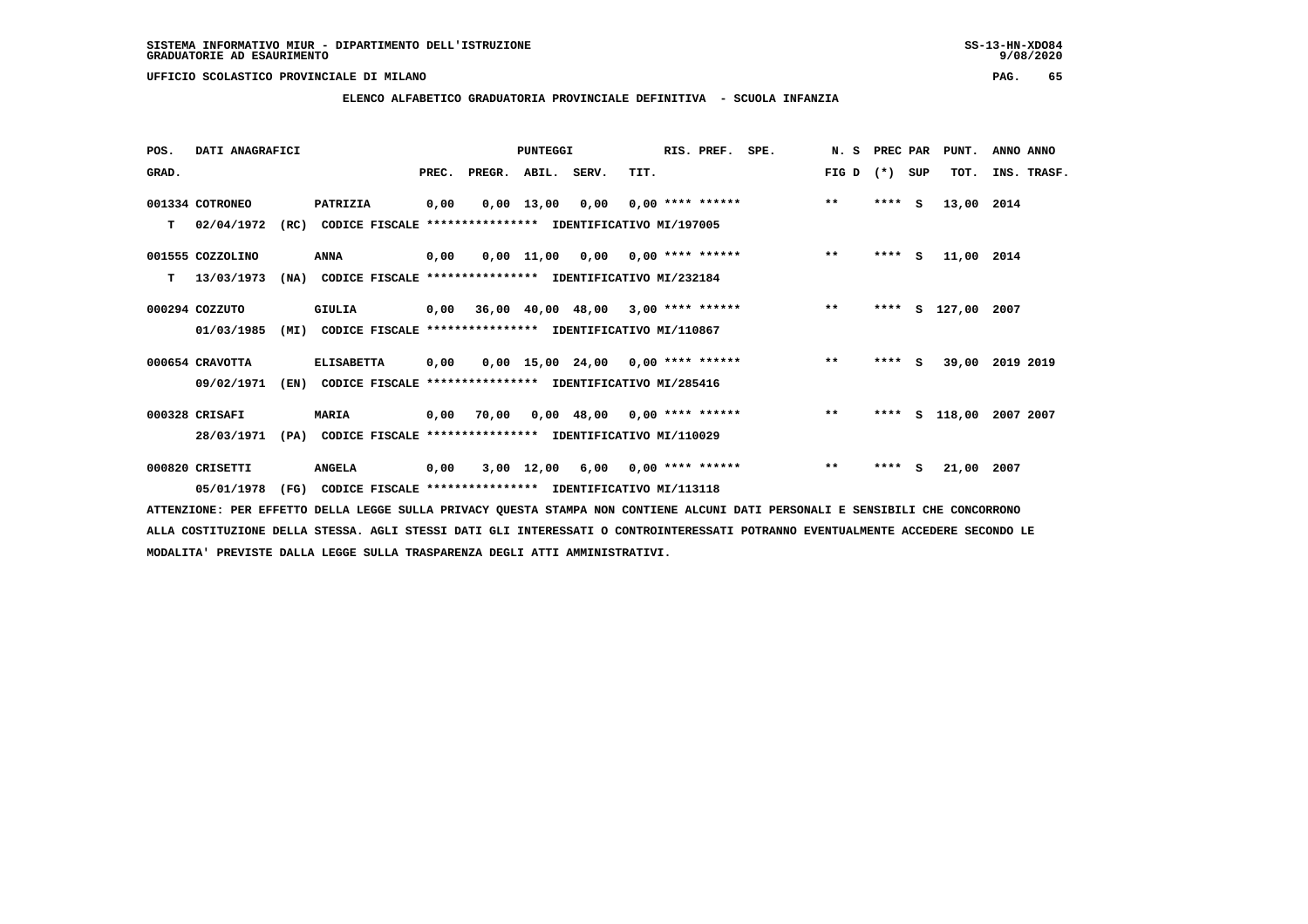$9/08/2020$ 

 **UFFICIO SCOLASTICO PROVINCIALE DI MILANO PAG. 65**

# **ELENCO ALFABETICO GRADUATORIA PROVINCIALE DEFINITIVA - SCUOLA INFANZIA**

| POS.  | DATI ANAGRAFICI  |      |                                                          |       |                                           | <b>PUNTEGGI</b>    |                                     |      | RIS. PREF.              | SPE. | N.S   | PREC PAR |     | PUNT.         | ANNO ANNO   |  |
|-------|------------------|------|----------------------------------------------------------|-------|-------------------------------------------|--------------------|-------------------------------------|------|-------------------------|------|-------|----------|-----|---------------|-------------|--|
| GRAD. |                  |      |                                                          | PREC. | PREGR. ABIL. SERV.                        |                    |                                     | TIT. |                         |      | FIG D | $(*)$    | SUP | TOT.          | INS. TRASF. |  |
|       | 001334 COTRONEO  |      | PATRIZIA                                                 | 0,00  |                                           | $0,00 \quad 13,00$ | 0,00                                |      | $0.00$ **** ******      |      | $***$ | $***$ S  |     | 13,00         | 2014        |  |
| T.    | 02/04/1972       | (RC) | CODICE FISCALE **************** IDENTIFICATIVO MI/197005 |       |                                           |                    |                                     |      |                         |      |       |          |     |               |             |  |
|       | 001555 COZZOLINO |      | ANNA                                                     | 0,00  |                                           |                    | $0,00$ 11,00 0,00 0,00 **** ******  |      |                         |      | $**$  | $***$ S  |     | 11,00 2014    |             |  |
| т     | 13/03/1973       | (NA) | CODICE FISCALE **************** IDENTIFICATIVO MI/232184 |       |                                           |                    |                                     |      |                         |      |       |          |     |               |             |  |
|       | 000294 COZZUTO   |      | GIULIA                                                   |       | $0,00$ 36,00 40,00 48,00 3,00 **** ****** |                    |                                     |      |                         |      | $***$ | ****     |     | S 127,00 2007 |             |  |
|       | 01/03/1985       | (MI) | CODICE FISCALE **************** IDENTIFICATIVO MI/110867 |       |                                           |                    |                                     |      |                         |      |       |          |     |               |             |  |
|       | 000654 CRAVOTTA  |      | <b>ELISABETTA</b>                                        | 0,00  |                                           |                    | $0,00$ 15,00 24,00 0,00 **** ****** |      |                         |      | $***$ | $***5$   |     | 39,00         | 2019 2019   |  |
|       | 09/02/1971       | (EN) | CODICE FISCALE **************** IDENTIFICATIVO MI/285416 |       |                                           |                    |                                     |      |                         |      |       |          |     |               |             |  |
|       | 000328 CRISAFI   |      | <b>MARIA</b>                                             | 0,00  | 70,00                                     |                    | $0,00$ 48,00 0,00 **** ******       |      |                         |      | $***$ | ****     | s   | 118,00        | 2007 2007   |  |
|       | 28/03/1971       | (PA) | CODICE FISCALE **************** IDENTIFICATIVO MI/110029 |       |                                           |                    |                                     |      |                         |      |       |          |     |               |             |  |
|       | 000820 CRISETTI  |      | <b>ANGELA</b>                                            | 0,00  |                                           | 3,00 12,00         |                                     |      | $6,00$ 0,00 **** ****** |      | $***$ | ****     | s   | 21,00 2007    |             |  |
|       | 05/01/1978       | (FG) | CODICE FISCALE **************** IDENTIFICATIVO MI/113118 |       |                                           |                    |                                     |      |                         |      |       |          |     |               |             |  |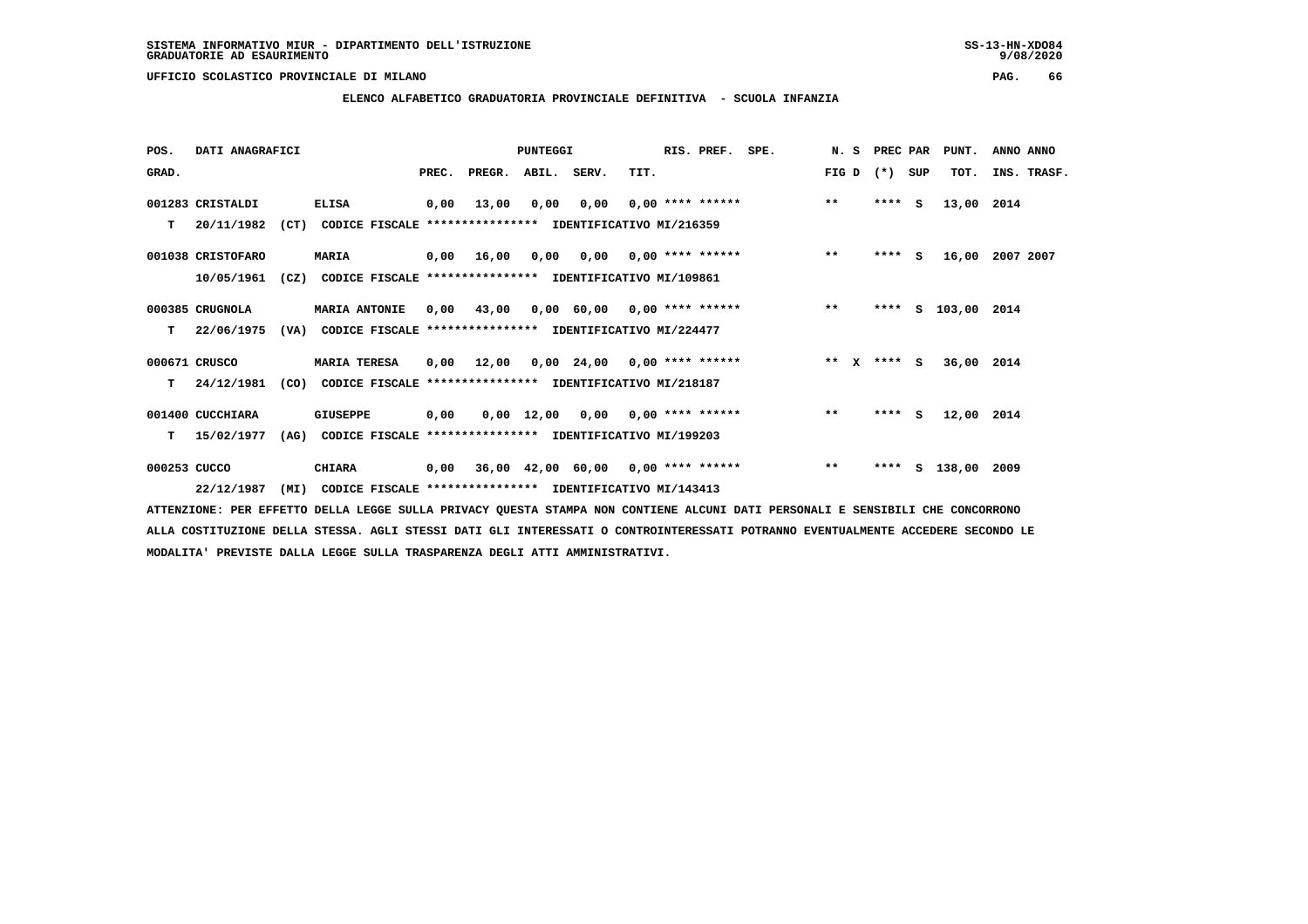**ELENCO ALFABETICO GRADUATORIA PROVINCIALE DEFINITIVA - SCUOLA INFANZIA**

| POS.         | DATI ANAGRAFICI   |      |                                                               |      |                          | <b>PUNTEGGI</b> |                                                   |      | RIS. PREF. SPE. |                                       | N. S            | PREC PAR | PUNT.              | ANNO ANNO   |  |
|--------------|-------------------|------|---------------------------------------------------------------|------|--------------------------|-----------------|---------------------------------------------------|------|-----------------|---------------------------------------|-----------------|----------|--------------------|-------------|--|
| GRAD.        |                   |      |                                                               |      | PREC. PREGR. ABIL. SERV. |                 |                                                   | TIT. |                 |                                       | FIG D $(*)$ SUP |          | TOT.               | INS. TRASF. |  |
|              | 001283 CRISTALDI  |      | <b>ELISA</b>                                                  | 0,00 | 13,00                    | 0,00            | 0,00                                              |      |                 | $0.00$ **** ****** ** **              |                 | $***$ S  | 13,00 2014         |             |  |
| T.           | 20/11/1982        |      | (CT) CODICE FISCALE **************** IDENTIFICATIVO MI/216359 |      |                          |                 |                                                   |      |                 |                                       |                 |          |                    |             |  |
|              | 001038 CRISTOFARO |      | <b>MARIA</b>                                                  |      |                          |                 |                                                   |      |                 | 0,00 16,00 0,00 0,00 0,00 **** ****** | $***$           | $***$ S  | 16,00              | 2007 2007   |  |
|              | 10/05/1961        | (CZ) | CODICE FISCALE **************** IDENTIFICATIVO MI/109861      |      |                          |                 |                                                   |      |                 |                                       |                 |          |                    |             |  |
|              | 000385 CRUGNOLA   |      | <b>MARIA ANTONIE</b>                                          |      | 0,00 43,00               |                 |                                                   |      |                 | $0,00$ 60,00 0,00 **** ****** *** **  |                 | ****     | S 103,00 2014      |             |  |
| т            | 22/06/1975        |      | (VA) CODICE FISCALE **************** IDENTIFICATIVO MI/224477 |      |                          |                 |                                                   |      |                 |                                       |                 |          |                    |             |  |
|              | 000671 CRUSCO     |      | <b>MARIA TERESA</b>                                           | 0.00 | 12,00                    |                 | $0.00 \quad 24.00 \quad 0.00 \quad *** \quad ***$ |      |                 | $*** x*** s$                          |                 |          | 36,00 2014         |             |  |
| т            | 24/12/1981        | (CO) | CODICE FISCALE **************** IDENTIFICATIVO MI/218187      |      |                          |                 |                                                   |      |                 |                                       |                 |          |                    |             |  |
|              | 001400 CUCCHIARA  |      | <b>GIUSEPPE</b>                                               | 0,00 |                          |                 | $0,00$ 12,00 0,00 0,00 **** ******                |      |                 |                                       | $***$           | $***$ S  | 12,00 2014         |             |  |
| T.           | 15/02/1977        | (AG) | CODICE FISCALE **************** IDENTIFICATIVO MI/199203      |      |                          |                 |                                                   |      |                 |                                       |                 |          |                    |             |  |
| 000253 CUCCO |                   |      | <b>CHIARA</b>                                                 | 0,00 |                          |                 |                                                   |      |                 | 36,00 42,00 60,00 0,00 **** ******    | $***$           |          | **** S 138,00 2009 |             |  |
|              | 22/12/1987        | (MI) | CODICE FISCALE **************** IDENTIFICATIVO MI/143413      |      |                          |                 |                                                   |      |                 |                                       |                 |          |                    |             |  |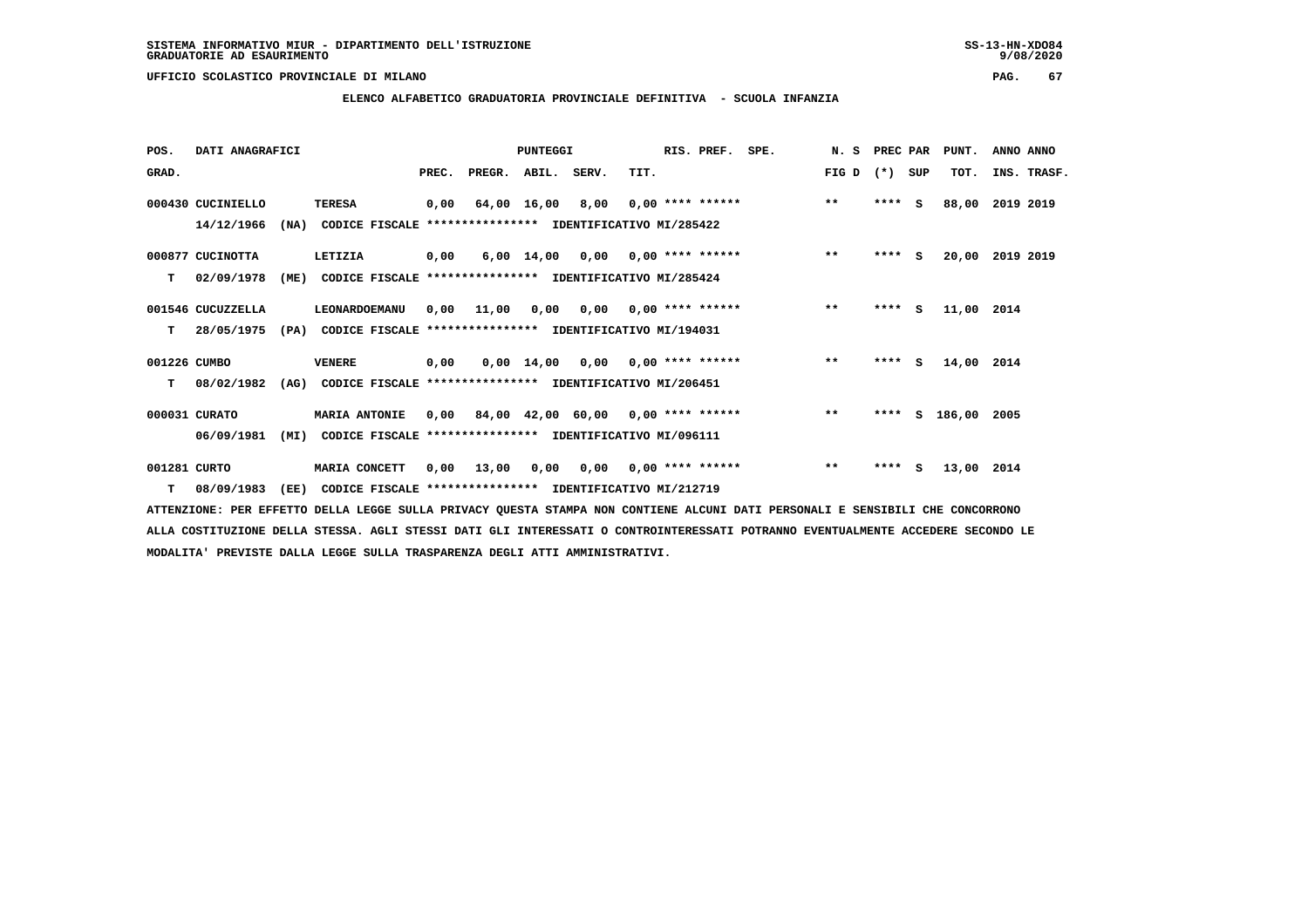**ELENCO ALFABETICO GRADUATORIA PROVINCIALE DEFINITIVA - SCUOLA INFANZIA**

| POS.         | DATI ANAGRAFICI   |      |                                                               |       |                                           | <b>PUNTEGGI</b> |                                                              |      | RIS. PREF.                | SPE.               | N. S  | PREC PAR |     | PUNT.              | ANNO ANNO       |  |
|--------------|-------------------|------|---------------------------------------------------------------|-------|-------------------------------------------|-----------------|--------------------------------------------------------------|------|---------------------------|--------------------|-------|----------|-----|--------------------|-----------------|--|
| GRAD.        |                   |      |                                                               | PREC. | PREGR. ABIL. SERV.                        |                 |                                                              | TIT. |                           |                    | FIG D | (*) SUP  |     | TOT.               | INS. TRASF.     |  |
|              | 000430 CUCINIELLO |      | <b>TERESA</b>                                                 | 0,00  |                                           | 64,00 16,00     | 8,00                                                         |      |                           | $0,00$ **** ****** | $***$ | $***$ S  |     | 88,00              | 2019 2019       |  |
|              | 14/12/1966        |      | (NA) CODICE FISCALE **************** IDENTIFICATIVO MI/285422 |       |                                           |                 |                                                              |      |                           |                    |       |          |     |                    |                 |  |
|              | 000877 CUCINOTTA  |      | LETIZIA                                                       | 0,00  |                                           |                 | $6,00$ 14,00 0,00 0,00 **** ******                           |      |                           |                    | $***$ | $***$ S  |     |                    | 20,00 2019 2019 |  |
| т            | 02/09/1978        | (ME) | CODICE FISCALE **************** IDENTIFICATIVO MI/285424      |       |                                           |                 |                                                              |      |                           |                    |       |          |     |                    |                 |  |
|              | 001546 CUCUZZELLA |      | LEONARDOEMANU                                                 |       | $0,00$ 11,00 0,00 0,00 0,00 **** ******   |                 |                                                              |      |                           |                    | $***$ | $***5$   |     | 11,00 2014         |                 |  |
| т            | 28/05/1975        | (PA) | CODICE FISCALE **************** IDENTIFICATIVO MI/194031      |       |                                           |                 |                                                              |      |                           |                    |       |          |     |                    |                 |  |
| 001226 CUMBO |                   |      | <b>VENERE</b>                                                 | 0,00  |                                           |                 | $0.00 \quad 14.00 \quad 0.00 \quad 0.00 \quad *** \quad ***$ |      |                           |                    | $***$ | $***$ S  |     | 14,00 2014         |                 |  |
| т            | 08/02/1982        |      | (AG) CODICE FISCALE **************** IDENTIFICATIVO MI/206451 |       |                                           |                 |                                                              |      |                           |                    |       |          |     |                    |                 |  |
|              | 000031 CURATO     |      | <b>MARIA ANTONIE</b>                                          |       | $0,00$ 84,00 42,00 60,00 0,00 **** ****** |                 |                                                              |      |                           |                    | $***$ |          |     | **** S 186,00 2005 |                 |  |
|              | 06/09/1981        | (MI) | CODICE FISCALE **************** IDENTIFICATIVO MI/096111      |       |                                           |                 |                                                              |      |                           |                    |       |          |     |                    |                 |  |
| 001281 CURTO |                   |      | MARIA CONCETT                                                 | 0,00  | 13,00                                     | 0,00            |                                                              |      | $0,00$ $0,00$ **** ****** |                    | $**$  | ****     | - S | 13,00 2014         |                 |  |
|              | $T = 08/09/1983$  | (EE) | CODICE FISCALE **************** IDENTIFICATIVO MI/212719      |       |                                           |                 |                                                              |      |                           |                    |       |          |     |                    |                 |  |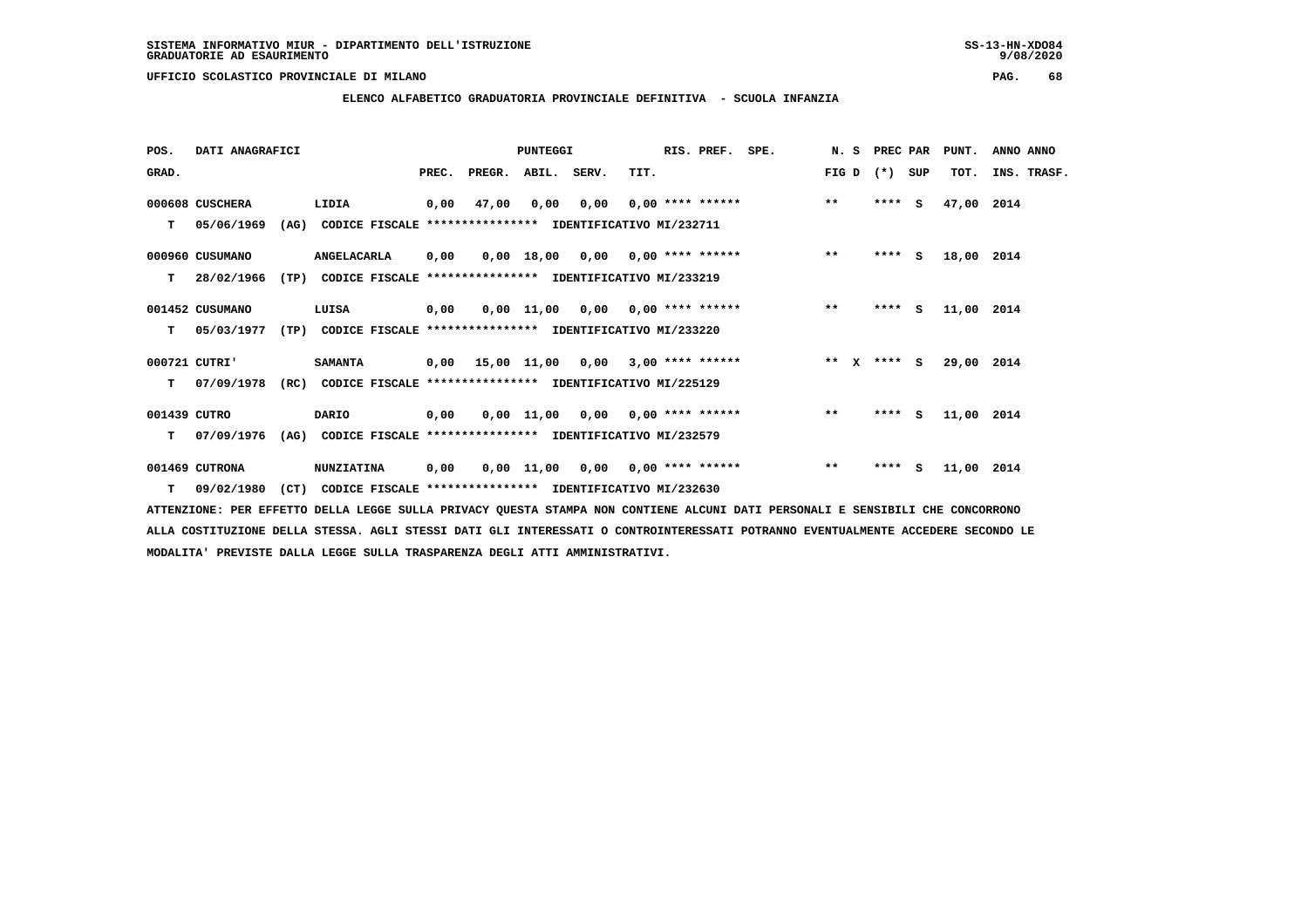**ELENCO ALFABETICO GRADUATORIA PROVINCIALE DEFINITIVA - SCUOLA INFANZIA**

 **POS. DATI ANAGRAFICI PUNTEGGI RIS. PREF. SPE. N. S PREC PAR PUNT. ANNO ANNO**GRAD. **PREGRADE SERVEGER. ABIL. SERV. TIT.** FIG D (\*) SUP TOT. INS. TRASF.  **000608 CUSCHERA LIDIA 0,00 47,00 0,00 0,00 0,00 \*\*\*\* \*\*\*\*\*\* \*\* \*\*\*\* S 47,00 2014 T 05/06/1969 (AG) CODICE FISCALE \*\*\*\*\*\*\*\*\*\*\*\*\*\*\*\* IDENTIFICATIVO MI/232711 000960 CUSUMANO ANGELACARLA 0,00 0,00 18,00 0,00 0,00 \*\*\*\* \*\*\*\*\*\* \*\* \*\*\*\* S 18,00 2014 T 28/02/1966 (TP) CODICE FISCALE \*\*\*\*\*\*\*\*\*\*\*\*\*\*\*\* IDENTIFICATIVO MI/233219 001452 CUSUMANO LUISA 0,00 0,00 11,00 0,00 0,00 \*\*\*\* \*\*\*\*\*\* \*\* \*\*\*\* S 11,00 2014 T 05/03/1977 (TP) CODICE FISCALE \*\*\*\*\*\*\*\*\*\*\*\*\*\*\*\* IDENTIFICATIVO MI/233220 000721 CUTRI' SAMANTA 0,00 15,00 11,00 0,00 3,00 \*\*\*\* \*\*\*\*\*\* \*\* X \*\*\*\* S 29,00 2014 T 07/09/1978 (RC) CODICE FISCALE \*\*\*\*\*\*\*\*\*\*\*\*\*\*\*\* IDENTIFICATIVO MI/225129 001439 CUTRO DARIO 0,00 0,00 11,00 0,00 0,00 \*\*\*\* \*\*\*\*\*\* \*\* \*\*\*\* S 11,00 2014**

 **T 07/09/1976 (AG) CODICE FISCALE \*\*\*\*\*\*\*\*\*\*\*\*\*\*\*\* IDENTIFICATIVO MI/232579**

 **001469 CUTRONA NUNZIATINA 0,00 0,00 11,00 0,00 0,00 \*\*\*\* \*\*\*\*\*\* \*\* \*\*\*\* S 11,00 2014 T 09/02/1980 (CT) CODICE FISCALE \*\*\*\*\*\*\*\*\*\*\*\*\*\*\*\* IDENTIFICATIVO MI/232630**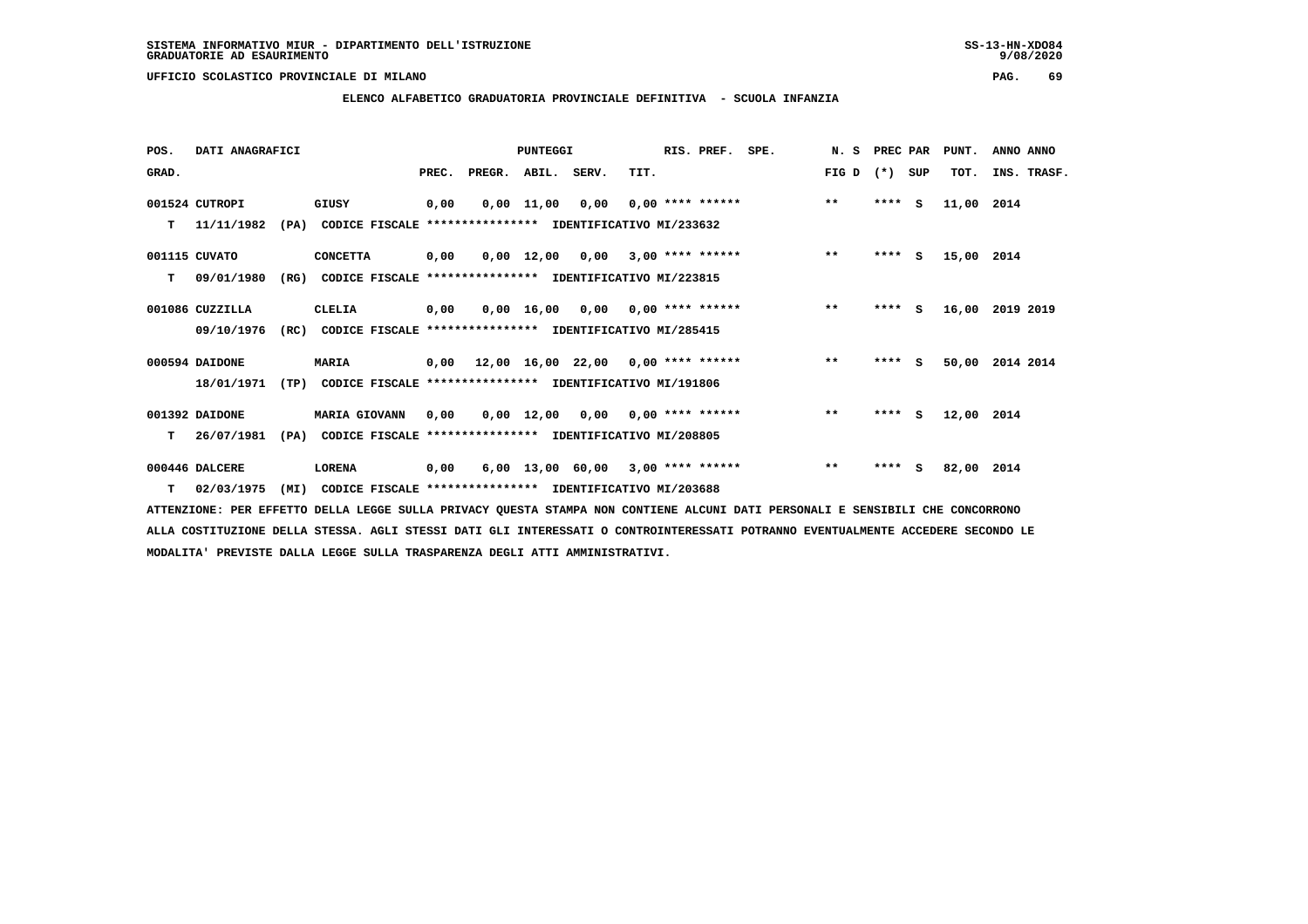$9/08/2020$ 

 **UFFICIO SCOLASTICO PROVINCIALE DI MILANO PAG. 69**

 **ELENCO ALFABETICO GRADUATORIA PROVINCIALE DEFINITIVA - SCUOLA INFANZIA**

| POS.  | DATI ANAGRAFICI  |      |                                                               |       |        | PUNTEGGI           |                                            |      | RIS. PREF.         | SPE. | N.S   | PREC PAR |     | PUNT.      | ANNO ANNO   |
|-------|------------------|------|---------------------------------------------------------------|-------|--------|--------------------|--------------------------------------------|------|--------------------|------|-------|----------|-----|------------|-------------|
| GRAD. |                  |      |                                                               | PREC. | PREGR. | ABIL. SERV.        |                                            | TIT. |                    |      | FIG D | $(* )$   | SUP | TOT.       | INS. TRASF. |
|       | 001524 CUTROPI   |      | GIUSY                                                         | 0,00  |        | $0,00 \quad 11,00$ | 0,00                                       |      | $0,00$ **** ****** |      | $***$ | ****     | s   | 11,00 2014 |             |
| т     | 11/11/1982       | (PA) | CODICE FISCALE **************** IDENTIFICATIVO MI/233632      |       |        |                    |                                            |      |                    |      |       |          |     |            |             |
|       | 001115 CUVATO    |      | <b>CONCETTA</b>                                               | 0,00  |        |                    | $0.00$ 12.00 0.00 3.00 **** ******         |      |                    |      | $***$ | $***5$   |     | 15,00 2014 |             |
| т     | 09/01/1980       | (RG) | CODICE FISCALE **************** IDENTIFICATIVO MI/223815      |       |        |                    |                                            |      |                    |      |       |          |     |            |             |
|       | 001086 CUZZILLA  |      | CLELIA                                                        | 0,00  |        |                    | $0,00$ 16,00 0,00 0,00 **** ******         |      |                    |      | $***$ | $***$ S  |     | 16,00      | 2019 2019   |
|       | 09/10/1976       | (RC) | CODICE FISCALE **************** IDENTIFICATIVO MI/285415      |       |        |                    |                                            |      |                    |      |       |          |     |            |             |
|       | 000594 DAIDONE   |      | <b>MARIA</b>                                                  | 0,00  |        |                    | $12,00$ $16,00$ $22,00$ $0,00$ **** ****** |      |                    |      | $***$ | **** S   |     | 50,00      | 2014 2014   |
|       | 18/01/1971       |      | (TP) CODICE FISCALE **************** IDENTIFICATIVO MI/191806 |       |        |                    |                                            |      |                    |      |       |          |     |            |             |
|       | 001392 DAIDONE   |      | <b>MARIA GIOVANN</b>                                          | 0,00  |        |                    | $0,00$ 12,00 0,00 0,00 **** ******         |      |                    |      | $***$ | $***5$   |     | 12,00 2014 |             |
| т     | 26/07/1981       | (PA) | CODICE FISCALE **************** IDENTIFICATIVO MI/208805      |       |        |                    |                                            |      |                    |      |       |          |     |            |             |
|       | 000446 DALCERE   |      | <b>LORENA</b>                                                 | 0,00  |        |                    | 6,00 13,00 60,00                           |      | $3,00$ **** ****** |      | $***$ | $***$ S  |     | 82,00 2014 |             |
|       | $T = 02/03/1975$ | (MI) | CODICE FISCALE **************** IDENTIFICATIVO MI/203688      |       |        |                    |                                            |      |                    |      |       |          |     |            |             |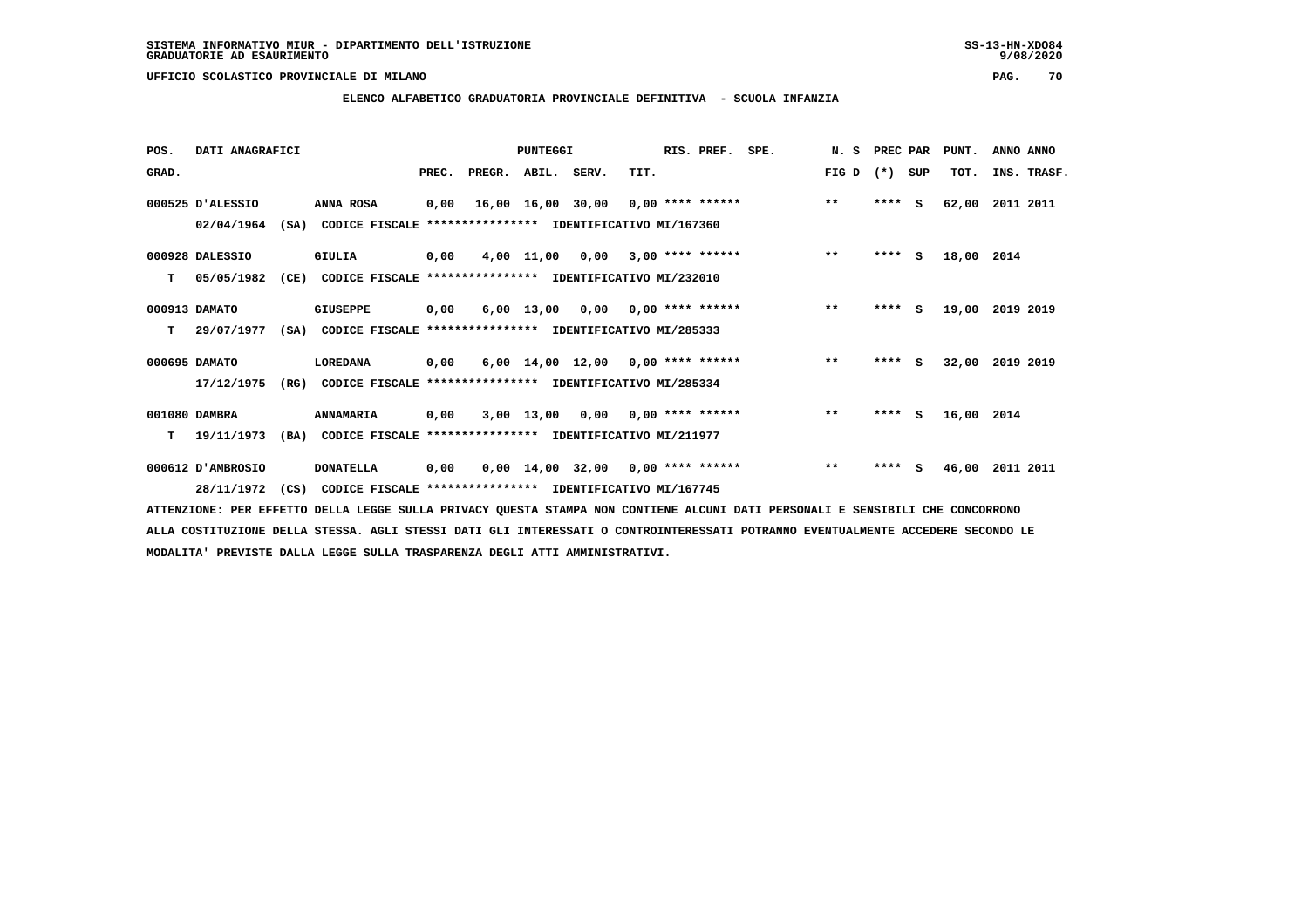**ELENCO ALFABETICO GRADUATORIA PROVINCIALE DEFINITIVA - SCUOLA INFANZIA**

 **POS. DATI ANAGRAFICI PUNTEGGI RIS. PREF. SPE. N. S PREC PAR PUNT. ANNO ANNO**GRAD. **BRAD. PREC. PREGR. ABIL. SERV.** TIT. THE REGREATER FIG D (\*) SUP TOT. INS. TRASF.  **000525 D'ALESSIO ANNA ROSA 0,00 16,00 16,00 30,00 0,00 \*\*\*\* \*\*\*\*\*\* \*\* \*\*\*\* S 62,00 2011 2011 02/04/1964 (SA) CODICE FISCALE \*\*\*\*\*\*\*\*\*\*\*\*\*\*\*\* IDENTIFICATIVO MI/167360 000928 DALESSIO GIULIA 0,00 4,00 11,00 0,00 3,00 \*\*\*\* \*\*\*\*\*\* \*\* \*\*\*\* S 18,00 2014 T 05/05/1982 (CE) CODICE FISCALE \*\*\*\*\*\*\*\*\*\*\*\*\*\*\*\* IDENTIFICATIVO MI/232010 000913 DAMATO GIUSEPPE 0,00 6,00 13,00 0,00 0,00 \*\*\*\* \*\*\*\*\*\* \*\* \*\*\*\* S 19,00 2019 2019 T 29/07/1977 (SA) CODICE FISCALE \*\*\*\*\*\*\*\*\*\*\*\*\*\*\*\* IDENTIFICATIVO MI/285333 000695 DAMATO LOREDANA 0,00 6,00 14,00 12,00 0,00 \*\*\*\* \*\*\*\*\*\* \*\* \*\*\*\* S 32,00 2019 2019 17/12/1975 (RG) CODICE FISCALE \*\*\*\*\*\*\*\*\*\*\*\*\*\*\*\* IDENTIFICATIVO MI/285334 001080 DAMBRA ANNAMARIA 0,00 3,00 13,00 0,00 0,00 \*\*\*\* \*\*\*\*\*\* \*\* \*\*\*\* S 16,00 2014 T 19/11/1973 (BA) CODICE FISCALE \*\*\*\*\*\*\*\*\*\*\*\*\*\*\*\* IDENTIFICATIVO MI/211977 000612 D'AMBROSIO DONATELLA 0,00 0,00 14,00 32,00 0,00 \*\*\*\* \*\*\*\*\*\* \*\* \*\*\*\* S 46,00 2011 2011**

 **28/11/1972 (CS) CODICE FISCALE \*\*\*\*\*\*\*\*\*\*\*\*\*\*\*\* IDENTIFICATIVO MI/167745**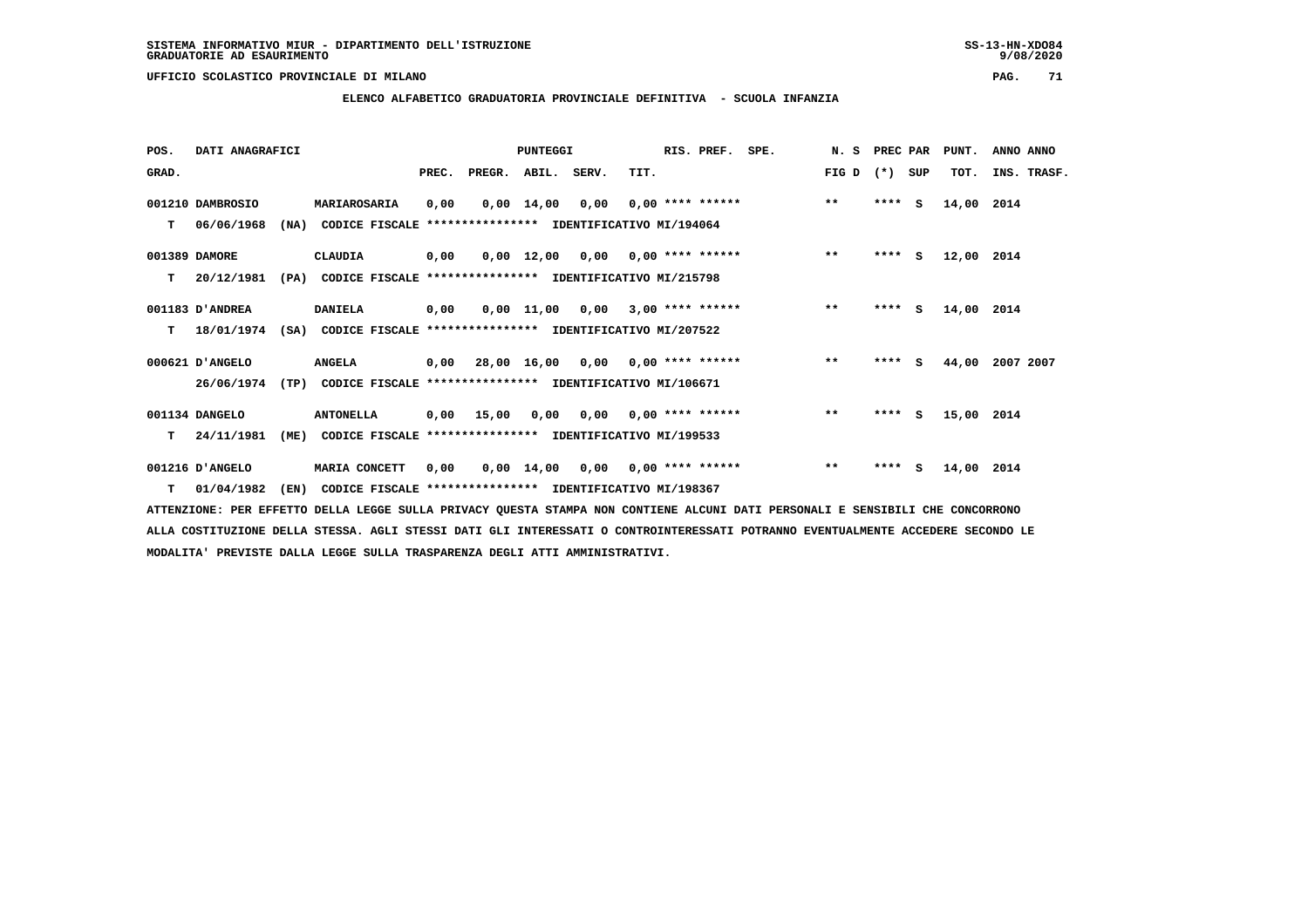**ELENCO ALFABETICO GRADUATORIA PROVINCIALE DEFINITIVA - SCUOLA INFANZIA**

 **POS. DATI ANAGRAFICI PUNTEGGI RIS. PREF. SPE. N. S PREC PAR PUNT. ANNO ANNO**GRAD. **BEC. PREC. PREGR. ABIL. SERV. TIT.** FIG D (\*) SUP TOT. INS. TRASF.

|    | 001210 DAMBROSIO | <b>MARIAROSARIA</b>                                           | 0,00 |              |            | $0,00$ 14,00 0,00 0,00 **** ******                       | $***$ | $***5$     | 14,00 2014 |                 |
|----|------------------|---------------------------------------------------------------|------|--------------|------------|----------------------------------------------------------|-------|------------|------------|-----------------|
| T. | 06/06/1968       | (NA)                                                          |      |              |            | CODICE FISCALE **************** IDENTIFICATIVO MI/194064 |       |            |            |                 |
|    | 001389 DAMORE    | CLAUDIA                                                       | 0,00 |              |            | $0,00$ 12,00 0,00 0,00 **** ******                       | $***$ | ****<br>S. | 12,00 2014 |                 |
| T. | 20/12/1981       | (PA)                                                          |      |              |            | CODICE FISCALE **************** IDENTIFICATIVO MI/215798 |       |            |            |                 |
|    | 001183 D'ANDREA  | <b>DANIELA</b>                                                | 0,00 |              |            | $0,00$ 11,00 0,00 3,00 **** ******                       | $***$ | $***$ S    | 14,00      | 2014            |
| T. | 18/01/1974       | (SA)                                                          |      |              |            | CODICE FISCALE **************** IDENTIFICATIVO MI/207522 |       |            |            |                 |
|    | 000621 D'ANGELO  | <b>ANGELA</b>                                                 |      |              |            | $0,00$ 28,00 16,00 0,00 0,00 **** ******                 | $***$ | $***$ S    |            | 44,00 2007 2007 |
|    | 26/06/1974       | (TP) CODICE FISCALE **************** IDENTIFICATIVO MI/106671 |      |              |            |                                                          |       |            |            |                 |
|    |                  |                                                               |      |              |            |                                                          |       |            |            |                 |
|    | 001134 DANGELO   | <b>ANTONELLA</b>                                              |      | $0,00$ 15,00 |            | $0,00$ $0,00$ $0,00$ $***$ **** ******                   | $***$ | $***$ S    | 15,00 2014 |                 |
| т  | 24/11/1981       | (ME)                                                          |      |              |            | CODICE FISCALE **************** IDENTIFICATIVO MI/199533 |       |            |            |                 |
|    | 001216 D'ANGELO  | MARIA CONCETT                                                 | 0,00 |              | 0,00 14,00 | $0,00$ $0,00$ **** ******                                | $* *$ | ****<br>S. | 14,00      | 2014            |
|    | 01/04/1982       | (EN)                                                          |      |              |            | CODICE FISCALE **************** IDENTIFICATIVO MI/198367 |       |            |            |                 |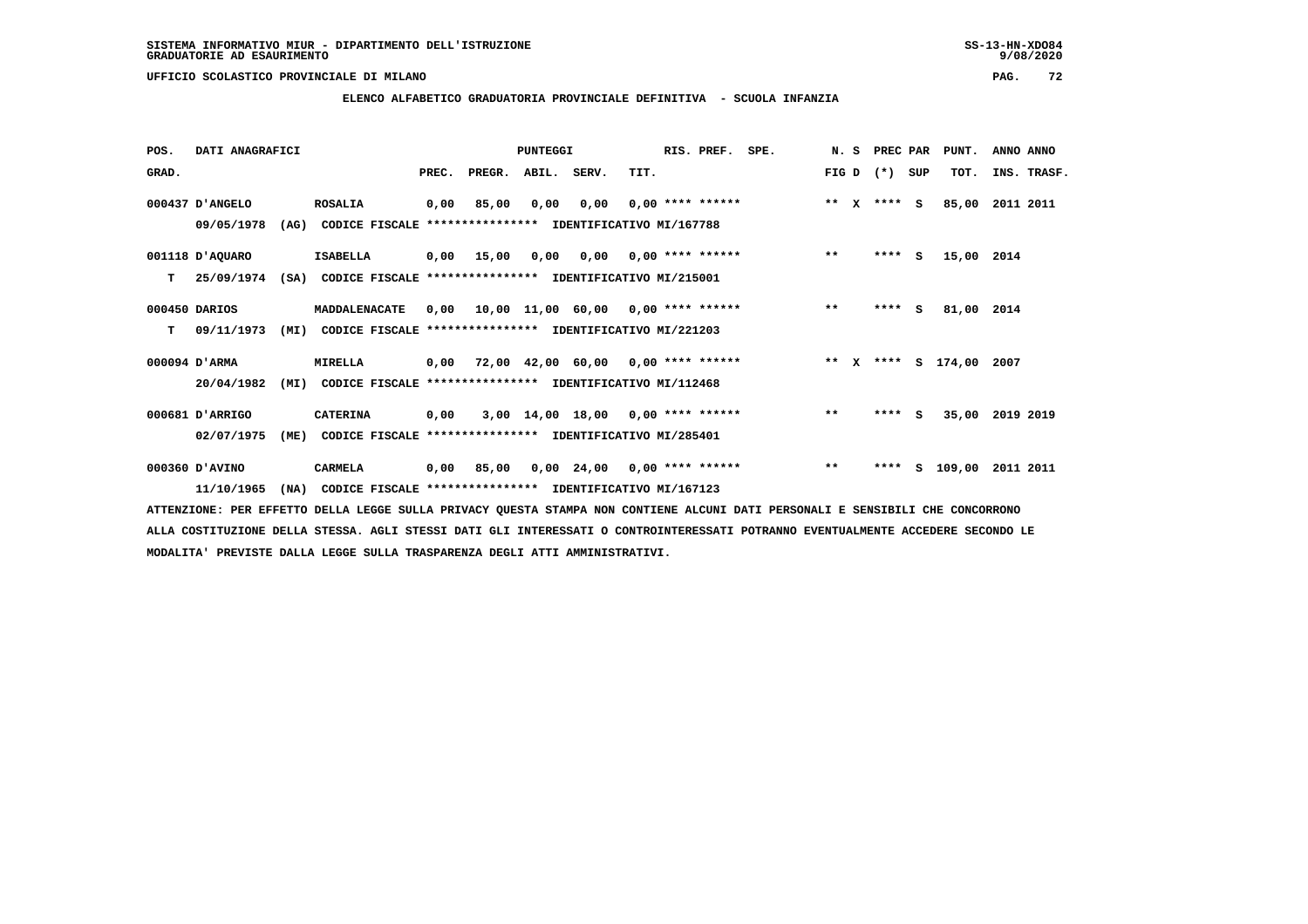**ELENCO ALFABETICO GRADUATORIA PROVINCIALE DEFINITIVA - SCUOLA INFANZIA**

 **POS. DATI ANAGRAFICI PUNTEGGI RIS. PREF. SPE. N. S PREC PAR PUNT. ANNO ANNO**GRAD. **BEC. PREC. PREGR. ABIL. SERV.** TIT. THE REGREATER TO THE TOT. THE FIG D (\*) SUP TOT. THE STRASF.

|               | 000437 D'ANGELO |      | <b>ROSALIA</b>                                           | 0,00 | 85,00                                    | 0,00 | 0,00                     |  | $0.00$ **** ****** | $\star\star$ |   | X **** S |    | 85,00      | 2011 2011 |
|---------------|-----------------|------|----------------------------------------------------------|------|------------------------------------------|------|--------------------------|--|--------------------|--------------|---|----------|----|------------|-----------|
|               | 09/05/1978      | (AG) | CODICE FISCALE                                           |      | ****************                         |      | IDENTIFICATIVO MI/167788 |  |                    |              |   |          |    |            |           |
|               | 001118 D'AQUARO |      | <b>ISABELLA</b>                                          | 0,00 | 15,00                                    | 0,00 | 0,00                     |  | $0.00$ **** ****** | $***$        |   | $***$ S  |    | 15,00 2014 |           |
| т             | 25/09/1974      | (SA) | CODICE FISCALE                                           |      | ****************                         |      | IDENTIFICATIVO MI/215001 |  |                    |              |   |          |    |            |           |
| 000450 DARIOS |                 |      | MADDALENACATE                                            | 0,00 |                                          |      | 10,00 11,00 60,00        |  | $0.00$ **** ****** | $* *$        |   | ****     | S  | 81,00 2014 |           |
| т             | 09/11/1973      | (MI) | CODICE FISCALE **************** IDENTIFICATIVO MI/221203 |      |                                          |      |                          |  |                    |              |   |          |    |            |           |
|               | 000094 D'ARMA   |      | MIRELLA                                                  | 0,00 |                                          |      | 72,00 42,00 60,00        |  | $0,00$ **** ****** | $***$        | x | $***$ S  |    | 174,00     | 2007      |
|               | 20/04/1982      | (MI) | CODICE FISCALE **************** IDENTIFICATIVO MI/112468 |      |                                          |      |                          |  |                    |              |   |          |    |            |           |
|               | 000681 D'ARRIGO |      | <b>CATERINA</b>                                          | 0,00 |                                          |      | 3,00 14,00 18,00         |  | $0,00$ **** ****** | $***$        |   | ****     | S. | 35,00      | 2019 2019 |
|               | 02/07/1975      | (ME) | CODICE FISCALE                                           |      | *************** IDENTIFICATIVO MI/285401 |      |                          |  |                    |              |   |          |    |            |           |
|               | 000360 D'AVINO  |      | <b>CARMELA</b>                                           | 0,00 | 85,00                                    |      | $0,00$ 24,00             |  | $0,00$ **** ****** | $***$        |   | ****     | s  | 109,00     | 2011 2011 |
|               | 11/10/1965      | (NA) | CODICE FISCALE                                           |      | ****************                         |      | IDENTIFICATIVO MI/167123 |  |                    |              |   |          |    |            |           |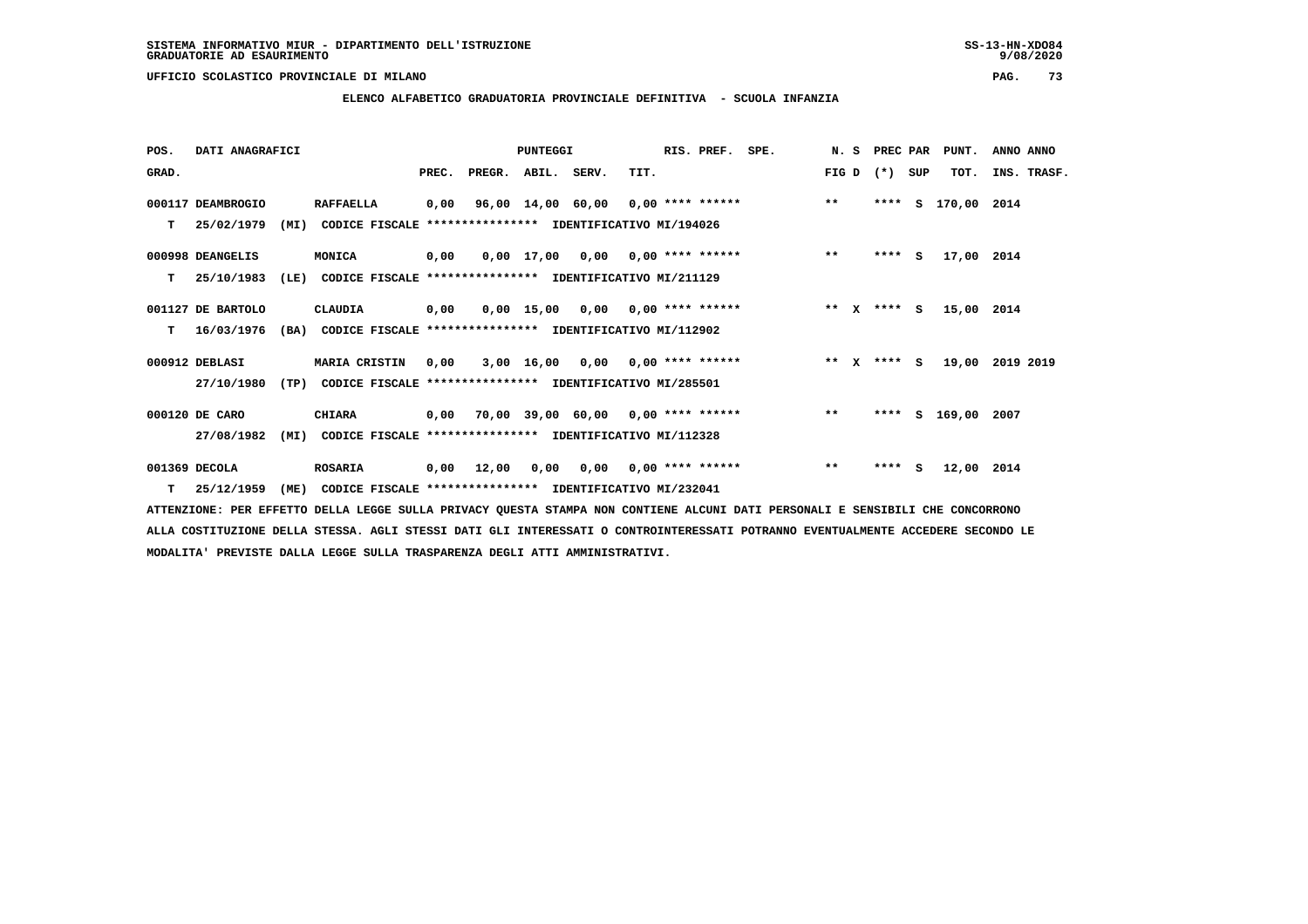**ELENCO ALFABETICO GRADUATORIA PROVINCIALE DEFINITIVA - SCUOLA INFANZIA**

| POS.  | DATI ANAGRAFICI   |      |                                                               |       |                                           | <b>PUNTEGGI</b> |                                      |      | RIS. PREF.                | SPE. |        | N. S | PREC PAR    |     | PUNT.              | ANNO ANNO   |  |
|-------|-------------------|------|---------------------------------------------------------------|-------|-------------------------------------------|-----------------|--------------------------------------|------|---------------------------|------|--------|------|-------------|-----|--------------------|-------------|--|
| GRAD. |                   |      |                                                               | PREC. | PREGR.                                    | ABIL. SERV.     |                                      | TIT. |                           |      | FIG D  |      | $(*)$       | SUP | TOT.               | INS. TRASF. |  |
|       | 000117 DEAMBROGIO |      | <b>RAFFAELLA</b>                                              | 0,00  |                                           |                 | $96,00$ 14,00 60,00 0,00 **** ****** |      |                           |      | $***$  |      |             |     | **** S 170,00 2014 |             |  |
| т     | 25/02/1979        | (MI) | CODICE FISCALE **************** IDENTIFICATIVO MI/194026      |       |                                           |                 |                                      |      |                           |      |        |      |             |     |                    |             |  |
|       | 000998 DEANGELIS  |      | MONICA                                                        | 0,00  |                                           |                 | $0,00$ 17,00 0,00 0,00 **** ******   |      |                           |      | $***$  |      | $***$ S     |     | 17,00 2014         |             |  |
| т     | 25/10/1983        | (LE) | CODICE FISCALE **************** IDENTIFICATIVO MI/211129      |       |                                           |                 |                                      |      |                           |      |        |      |             |     |                    |             |  |
|       | 001127 DE BARTOLO |      | CLAUDIA                                                       | 0,00  |                                           |                 | $0,00$ 15,00 0,00 0,00 **** ******   |      |                           |      |        |      | ** x **** S |     | 15,00 2014         |             |  |
| т     | 16/03/1976        |      | (BA) CODICE FISCALE **************** IDENTIFICATIVO MI/112902 |       |                                           |                 |                                      |      |                           |      |        |      |             |     |                    |             |  |
|       | 000912 DEBLASI    |      | MARIA CRISTIN                                                 | 0.00  |                                           |                 | $3,00$ 16,00 0,00 0,00 **** ******   |      |                           |      | ** $X$ |      | $***$ S     |     | 19,00 2019 2019    |             |  |
|       | 27/10/1980        | (TP) | CODICE FISCALE **************** IDENTIFICATIVO MI/285501      |       |                                           |                 |                                      |      |                           |      |        |      |             |     |                    |             |  |
|       | 000120 DE CARO    |      | <b>CHIARA</b>                                                 |       | $0,00$ 70,00 39,00 60,00 0,00 **** ****** |                 |                                      |      |                           |      | $**$   |      |             |     | **** S 169,00      | 2007        |  |
|       | 27/08/1982        | (MI) | CODICE FISCALE **************** IDENTIFICATIVO MI/112328      |       |                                           |                 |                                      |      |                           |      |        |      |             |     |                    |             |  |
|       | 001369 DECOLA     |      | <b>ROSARIA</b>                                                | 0,00  | 12,00                                     | 0.00            |                                      |      | $0.00$ $0.00$ **** ****** |      | $***$  |      | $***5$      |     | 12,00              | 2014        |  |
| T.    | 25/12/1959        | (ME) | CODICE FISCALE **************** IDENTIFICATIVO MI/232041      |       |                                           |                 |                                      |      |                           |      |        |      |             |     |                    |             |  |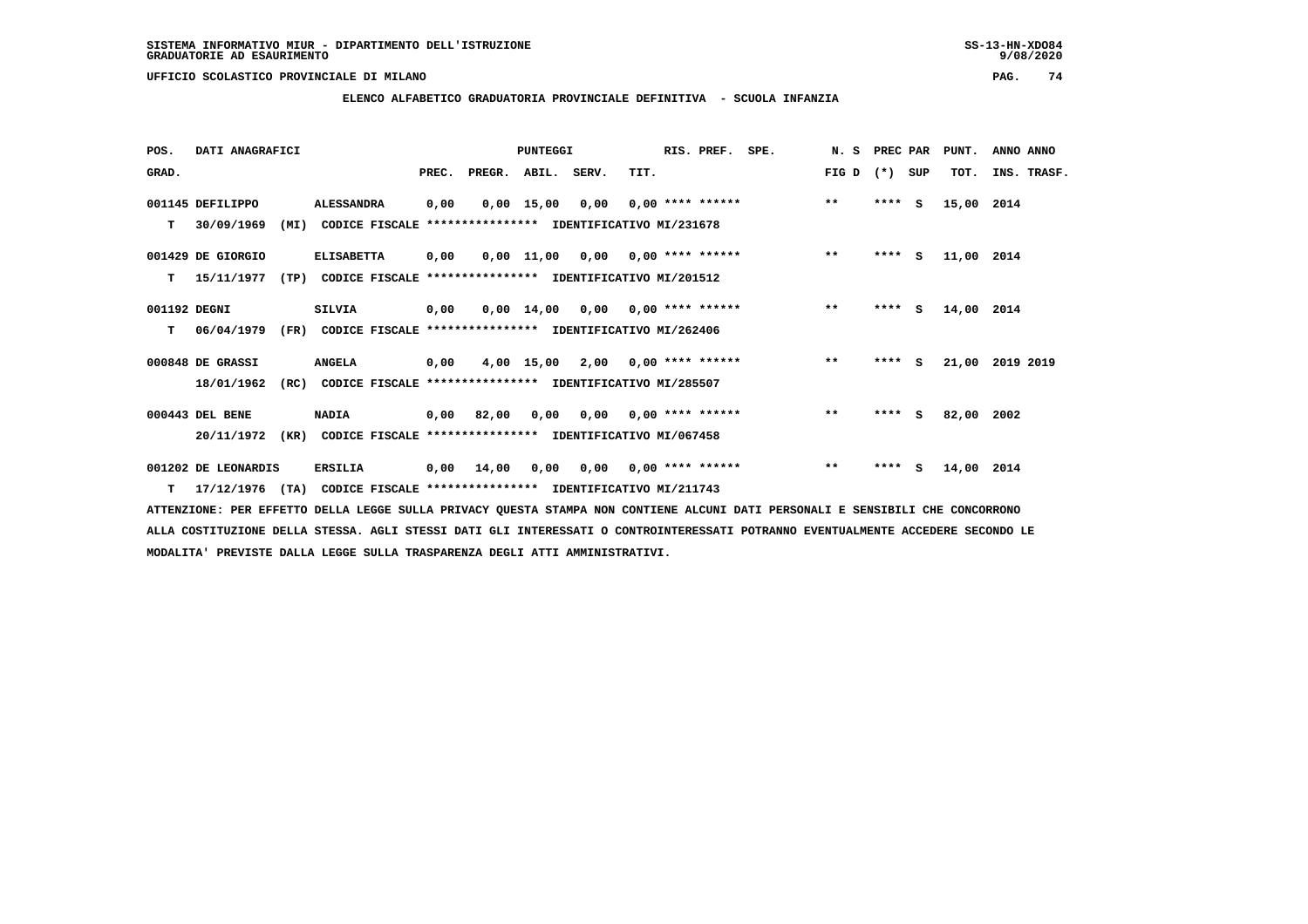**ELENCO ALFABETICO GRADUATORIA PROVINCIALE DEFINITIVA - SCUOLA INFANZIA**

| POS.         | DATI ANAGRAFICI     |      |                                                               |      |                    | <b>PUNTEGGI</b> |                 |                                           | RIS. PREF. | SPE.                                           | N. S PREC PAR |         |     | PUNT.             | ANNO ANNO       |
|--------------|---------------------|------|---------------------------------------------------------------|------|--------------------|-----------------|-----------------|-------------------------------------------|------------|------------------------------------------------|---------------|---------|-----|-------------------|-----------------|
| GRAD.        |                     |      |                                                               |      | PREC. PREGR. ABIL. |                 | SERV.           | TIT.                                      |            |                                                | FIG D $(*)$   |         | SUP | TOT.              | INS. TRASF.     |
|              | 001145 DEFILIPPO    |      | <b>ALESSANDRA</b>                                             | 0,00 |                    |                 | 0,00 15,00 0,00 | $0.00$ **** ******                        |            |                                                | $***$         | $***$ S |     | 15,00 2014        |                 |
|              | T 30/09/1969        | (MI) | CODICE FISCALE                                                |      |                    |                 |                 | **************** IDENTIFICATIVO MI/231678 |            |                                                |               |         |     |                   |                 |
|              | 001429 DE GIORGIO   |      | <b>ELISABETTA</b>                                             | 0,00 |                    |                 |                 |                                           |            | $0,00$ 11,00 0,00 0,00 **** ****** *** **      |               |         |     | **** S 11,00 2014 |                 |
|              | T 15/11/1977        |      | (TP) CODICE FISCALE                                           |      |                    |                 |                 | **************** IDENTIFICATIVO MI/201512 |            |                                                |               |         |     |                   |                 |
| 001192 DEGNI |                     |      | SILVIA                                                        | 0,00 |                    |                 |                 |                                           |            | $0,00$ 14,00 0,00 0,00 **** ******             | $\star\star$  | $***$ S |     | 14,00 2014        |                 |
|              | T 06/04/1979        | (FR) | CODICE FISCALE **************** IDENTIFICATIVO MI/262406      |      |                    |                 |                 |                                           |            |                                                |               |         |     |                   |                 |
|              | 000848 DE GRASSI    |      | <b>ANGELA</b>                                                 |      |                    |                 |                 |                                           |            | $0,00$ 4,00 15,00 2,00 0,00 **** ****** *** ** |               | $***$ S |     |                   | 21,00 2019 2019 |
|              | 18/01/1962          |      | (RC) CODICE FISCALE **************** IDENTIFICATIVO MI/285507 |      |                    |                 |                 |                                           |            |                                                |               |         |     |                   |                 |
|              | 000443 DEL BENE     |      | <b>NADIA</b>                                                  |      |                    |                 |                 |                                           |            | $0,00$ 82,00 0,00 0,00 0,00 **** ****** *** ** |               |         |     | **** S 82,00 2002 |                 |
|              | 20/11/1972          | (KR) | CODICE FISCALE **************** IDENTIFICATIVO MI/067458      |      |                    |                 |                 |                                           |            |                                                |               |         |     |                   |                 |
|              | 001202 DE LEONARDIS |      | <b>ERSILIA</b>                                                |      | 0,00 14,00         |                 | 0,00 0,00       | $0.00$ **** ******                        |            |                                                | $***$         |         |     | **** S 14,00 2014 |                 |

 **T 17/12/1976 (TA) CODICE FISCALE \*\*\*\*\*\*\*\*\*\*\*\*\*\*\*\* IDENTIFICATIVO MI/211743**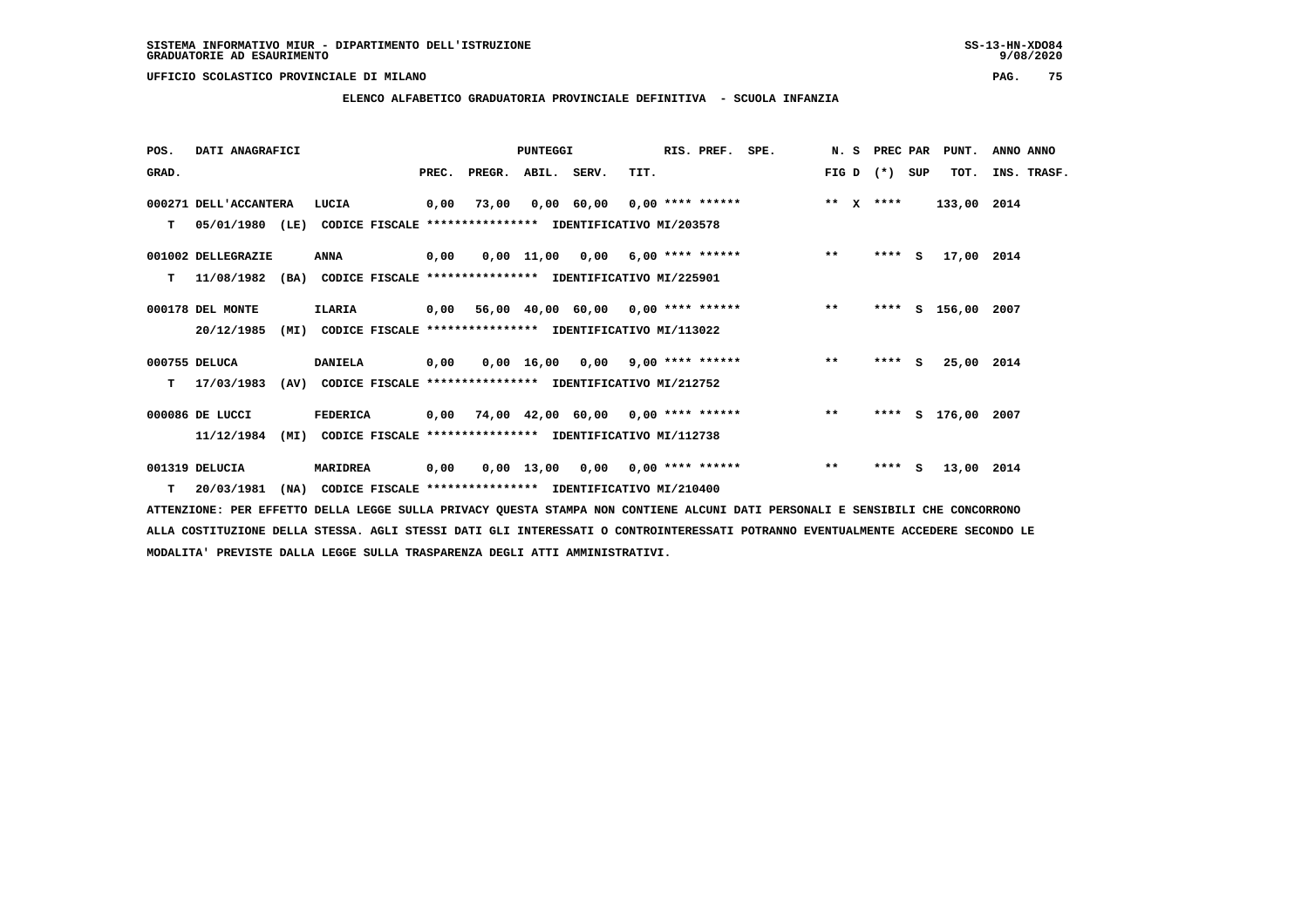**ELENCO ALFABETICO GRADUATORIA PROVINCIALE DEFINITIVA - SCUOLA INFANZIA**

 **POS. DATI ANAGRAFICI PUNTEGGI RIS. PREF. SPE. N. S PREC PAR PUNT. ANNO ANNO**GRAD. **BRAD. PREC. PREGR. ABIL. SERV.** TIT. THE REGREATER FIG D (\*) SUP TOT. INS. TRASF.  **000271 DELL'ACCANTERA LUCIA 0,00 73,00 0,00 60,00 0,00 \*\*\*\* \*\*\*\*\*\* \*\* X \*\*\*\* 133,00 2014 T 05/01/1980 (LE) CODICE FISCALE \*\*\*\*\*\*\*\*\*\*\*\*\*\*\*\* IDENTIFICATIVO MI/203578 001002 DELLEGRAZIE ANNA 0,00 0,00 11,00 0,00 6,00 \*\*\*\* \*\*\*\*\*\* \*\* \*\*\*\* S 17,00 2014 T 11/08/1982 (BA) CODICE FISCALE \*\*\*\*\*\*\*\*\*\*\*\*\*\*\*\* IDENTIFICATIVO MI/225901 000178 DEL MONTE ILARIA 0,00 56,00 40,00 60,00 0,00 \*\*\*\* \*\*\*\*\*\* \*\* \*\*\*\* S 156,00 2007 20/12/1985 (MI) CODICE FISCALE \*\*\*\*\*\*\*\*\*\*\*\*\*\*\*\* IDENTIFICATIVO MI/113022 000755 DELUCA DANIELA 0,00 0,00 16,00 0,00 9,00 \*\*\*\* \*\*\*\*\*\* \*\* \*\*\*\* S 25,00 2014 T 17/03/1983 (AV) CODICE FISCALE \*\*\*\*\*\*\*\*\*\*\*\*\*\*\*\* IDENTIFICATIVO MI/212752 000086 DE LUCCI FEDERICA 0,00 74,00 42,00 60,00 0,00 \*\*\*\* \*\*\*\*\*\* \*\* \*\*\*\* S 176,00 2007 11/12/1984 (MI) CODICE FISCALE \*\*\*\*\*\*\*\*\*\*\*\*\*\*\*\* IDENTIFICATIVO MI/112738**

 **001319 DELUCIA MARIDREA 0,00 0,00 13,00 0,00 0,00 \*\*\*\* \*\*\*\*\*\* \*\* \*\*\*\* S 13,00 2014 T 20/03/1981 (NA) CODICE FISCALE \*\*\*\*\*\*\*\*\*\*\*\*\*\*\*\* IDENTIFICATIVO MI/210400**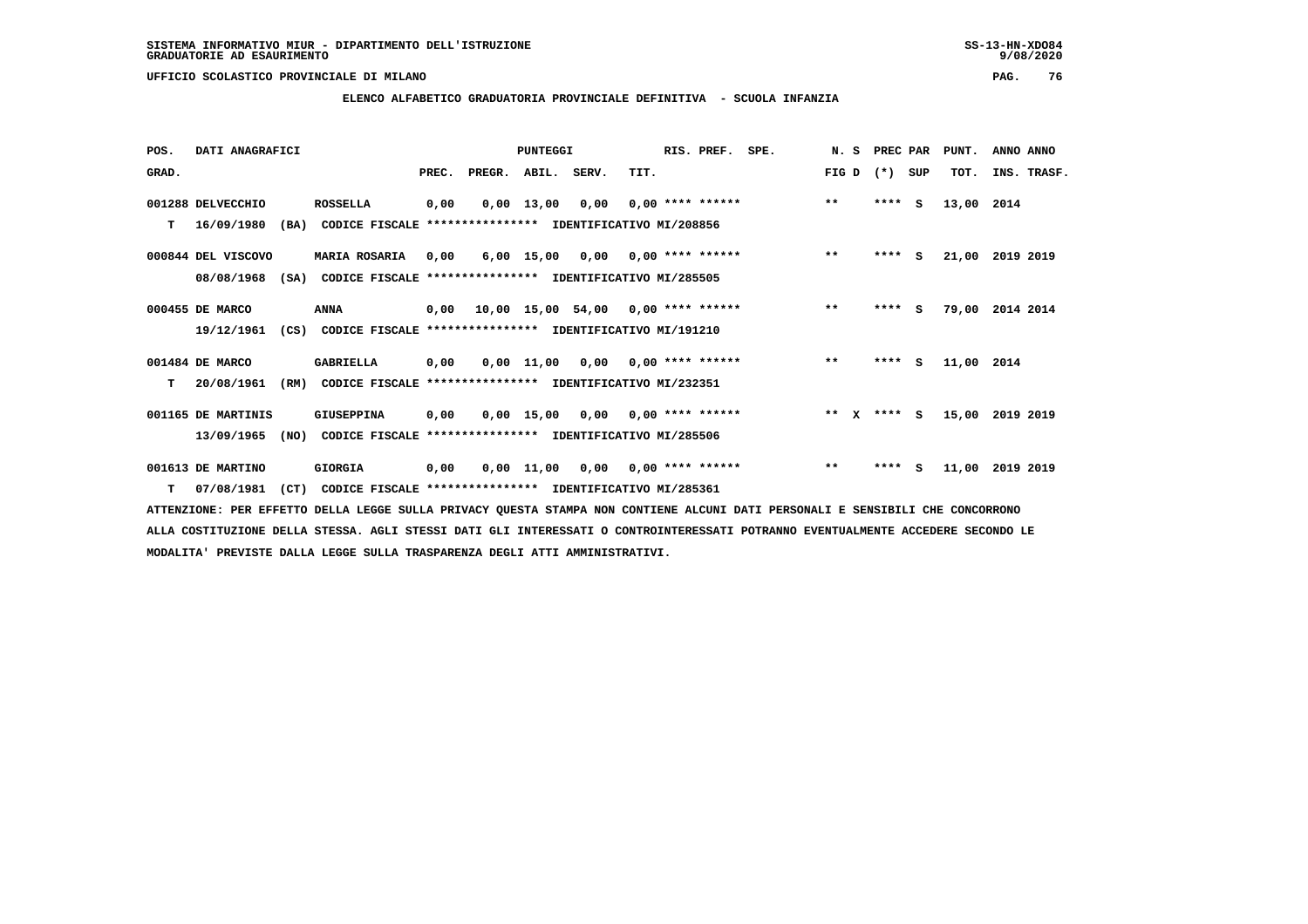**ELENCO ALFABETICO GRADUATORIA PROVINCIALE DEFINITIVA - SCUOLA INFANZIA**

 **POS. DATI ANAGRAFICI PUNTEGGI RIS. PREF. SPE. N. S PREC PAR PUNT. ANNO ANNO**GRAD. **BRAD. PREC. PREGR. ABIL. SERV.** TIT. THE REGREATER FIG D (\*) SUP TOT. INS. TRASF.  **001288 DELVECCHIO ROSSELLA 0,00 0,00 13,00 0,00 0,00 \*\*\*\* \*\*\*\*\*\* \*\* \*\*\*\* S 13,00 2014 T 16/09/1980 (BA) CODICE FISCALE \*\*\*\*\*\*\*\*\*\*\*\*\*\*\*\* IDENTIFICATIVO MI/208856 000844 DEL VISCOVO MARIA ROSARIA 0,00 6,00 15,00 0,00 0,00 \*\*\*\* \*\*\*\*\*\* \*\* \*\*\*\* S 21,00 2019 2019 08/08/1968 (SA) CODICE FISCALE \*\*\*\*\*\*\*\*\*\*\*\*\*\*\*\* IDENTIFICATIVO MI/285505 000455 DE MARCO ANNA 0,00 10,00 15,00 54,00 0,00 \*\*\*\* \*\*\*\*\*\* \*\* \*\*\*\* S 79,00 2014 2014 19/12/1961 (CS) CODICE FISCALE \*\*\*\*\*\*\*\*\*\*\*\*\*\*\*\* IDENTIFICATIVO MI/191210 001484 DE MARCO GABRIELLA 0,00 0,00 11,00 0,00 0,00 \*\*\*\* \*\*\*\*\*\* \*\* \*\*\*\* S 11,00 2014 T 20/08/1961 (RM) CODICE FISCALE \*\*\*\*\*\*\*\*\*\*\*\*\*\*\*\* IDENTIFICATIVO MI/232351 001165 DE MARTINIS GIUSEPPINA 0,00 0,00 15,00 0,00 0,00 \*\*\*\* \*\*\*\*\*\* \*\* X \*\*\*\* S 15,00 2019 2019 13/09/1965 (NO) CODICE FISCALE \*\*\*\*\*\*\*\*\*\*\*\*\*\*\*\* IDENTIFICATIVO MI/285506 001613 DE MARTINO GIORGIA 0,00 0,00 11,00 0,00 0,00 \*\*\*\* \*\*\*\*\*\* \*\* \*\*\*\* S 11,00 2019 2019 T 07/08/1981 (CT) CODICE FISCALE \*\*\*\*\*\*\*\*\*\*\*\*\*\*\*\* IDENTIFICATIVO MI/285361**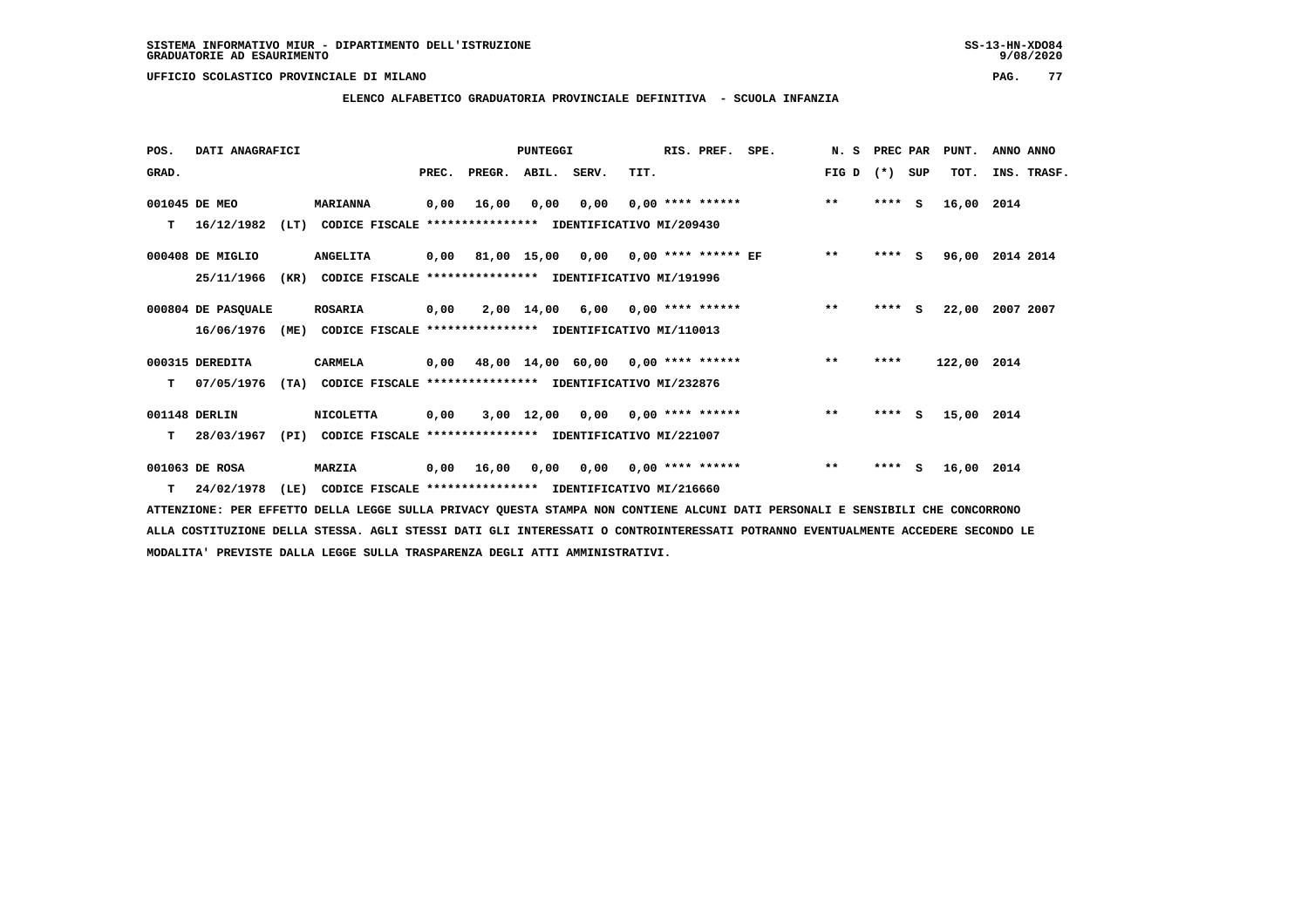## **ELENCO ALFABETICO GRADUATORIA PROVINCIALE DEFINITIVA - SCUOLA INFANZIA**

| POS.  | DATI ANAGRAFICI    |      |                                                          |       |                                           | <b>PUNTEGGI</b> |                                    |      | RIS. PREF.                | SPE. | N. S  | PREC PAR |     | PUNT.       | ANNO ANNO   |
|-------|--------------------|------|----------------------------------------------------------|-------|-------------------------------------------|-----------------|------------------------------------|------|---------------------------|------|-------|----------|-----|-------------|-------------|
| GRAD. |                    |      |                                                          | PREC. | PREGR.                                    | ABIL. SERV.     |                                    | TIT. |                           |      | FIG D | $(* )$   | SUP | TOT.        | INS. TRASF. |
|       | 001045 DE MEO      |      | <b>MARIANNA</b>                                          | 0,00  | 16,00                                     | 0,00            | 0,00                               |      | $0.00$ **** ******        |      | $***$ | ****     | s   | 16,00 2014  |             |
| т     | 16/12/1982         | (LT) | CODICE FISCALE **************** IDENTIFICATIVO MI/209430 |       |                                           |                 |                                    |      |                           |      |       |          |     |             |             |
|       | 000408 DE MIGLIO   |      | <b>ANGELITA</b>                                          | 0,00  | 81,00 15,00 0,00 0,00 **** ****** EF      |                 |                                    |      |                           |      | $* *$ | $***$ S  |     | 96,00       | 2014 2014   |
|       | 25/11/1966         | (KR) | CODICE FISCALE                                           |       | **************** IDENTIFICATIVO MI/191996 |                 |                                    |      |                           |      |       |          |     |             |             |
|       | 000804 DE PASQUALE |      | <b>ROSARIA</b>                                           | 0,00  |                                           | 2,00 14,00      |                                    |      | $6,00$ 0,00 **** ******   |      | $***$ | ****     | s   | 22,00       | 2007 2007   |
|       | 16/06/1976         | (ME) | CODICE FISCALE **************** IDENTIFICATIVO MI/110013 |       |                                           |                 |                                    |      |                           |      |       |          |     |             |             |
|       | 000315 DEREDITA    |      | CARMELA                                                  | 0,00  |                                           |                 | 48,00 14,00 60,00 0,00 **** ****** |      |                           |      | $* *$ | ****     |     | 122,00 2014 |             |
| т     | 07/05/1976         | (TA) | CODICE FISCALE **************** IDENTIFICATIVO MI/232876 |       |                                           |                 |                                    |      |                           |      |       |          |     |             |             |
|       | 001148 DERLIN      |      | <b>NICOLETTA</b>                                         | 0,00  |                                           |                 | $3,00$ 12,00 0,00 0,00 **** ****** |      |                           |      | $***$ | $***$ S  |     | 15,00 2014  |             |
| T.    | 28/03/1967         | (PI) | CODICE FISCALE **************** IDENTIFICATIVO MI/221007 |       |                                           |                 |                                    |      |                           |      |       |          |     |             |             |
|       | 001063 DE ROSA     |      | <b>MARZIA</b>                                            | 0,00  | 16,00                                     | 0,00            |                                    |      | $0.00$ $0.00$ **** ****** |      | $***$ | $***$ S  |     | 16,00       | 2014        |
| T.    | 24/02/1978         | (LE) | CODICE FISCALE **************** IDENTIFICATIVO MI/216660 |       |                                           |                 |                                    |      |                           |      |       |          |     |             |             |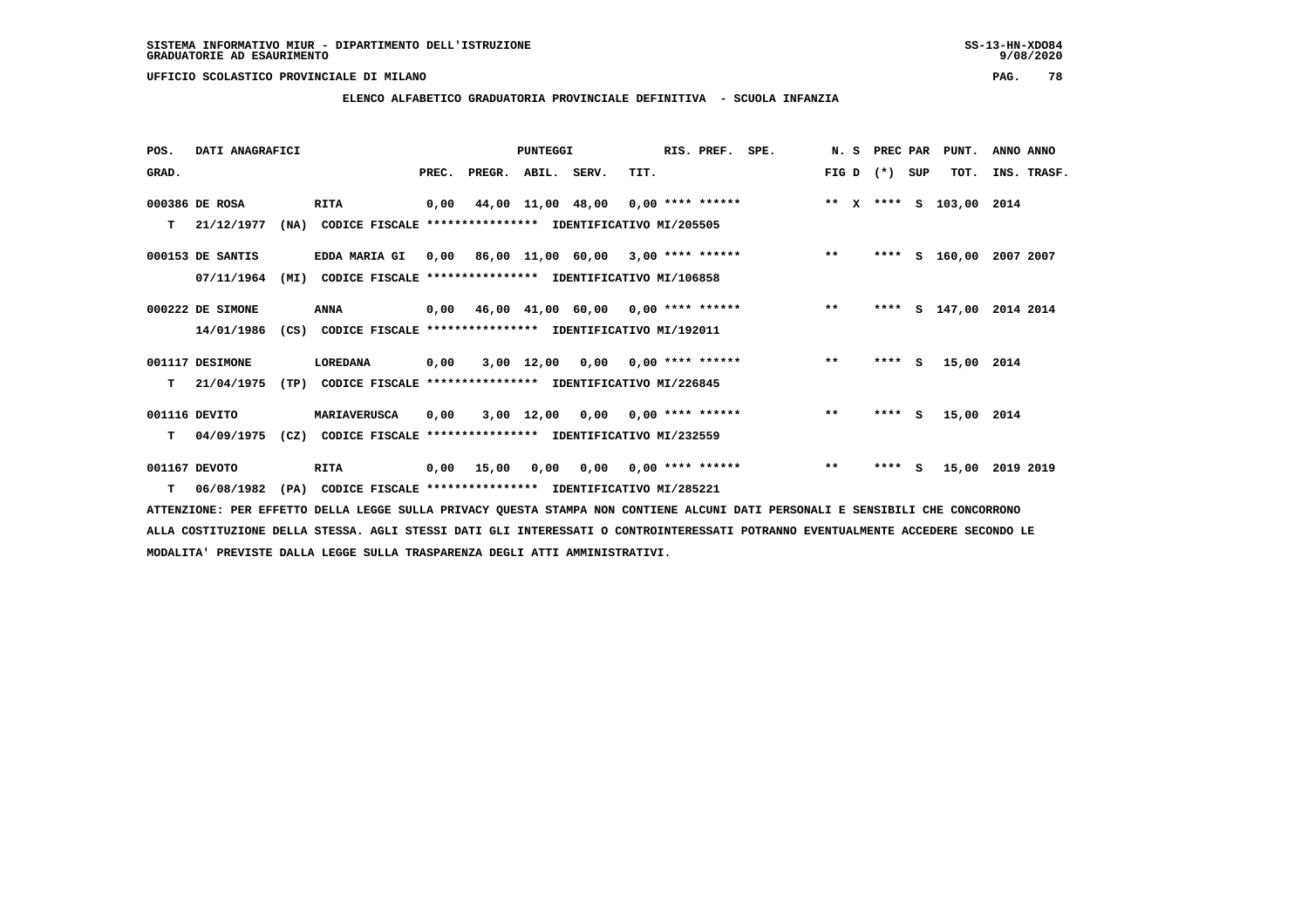## **ELENCO ALFABETICO GRADUATORIA PROVINCIALE DEFINITIVA - SCUOLA INFANZIA**

 **POS. DATI ANAGRAFICI PUNTEGGI RIS. PREF. SPE. N. S PREC PAR PUNT. ANNO ANNO**GRAD. **BRAD. PREC. PREGR. ABIL. SERV.** TIT. THE REGREATER FIG D (\*) SUP TOT. INS. TRASF.  **000386 DE ROSA RITA 0,00 44,00 11,00 48,00 0,00 \*\*\*\* \*\*\*\*\*\* \*\* X \*\*\*\* S 103,00 2014 T 21/12/1977 (NA) CODICE FISCALE \*\*\*\*\*\*\*\*\*\*\*\*\*\*\*\* IDENTIFICATIVO MI/205505 000153 DE SANTIS EDDA MARIA GI 0,00 86,00 11,00 60,00 3,00 \*\*\*\* \*\*\*\*\*\* \*\* \*\*\*\* S 160,00 2007 2007 07/11/1964 (MI) CODICE FISCALE \*\*\*\*\*\*\*\*\*\*\*\*\*\*\*\* IDENTIFICATIVO MI/106858 000222 DE SIMONE ANNA 0,00 46,00 41,00 60,00 0,00 \*\*\*\* \*\*\*\*\*\* \*\* \*\*\*\* S 147,00 2014 2014 14/01/1986 (CS) CODICE FISCALE \*\*\*\*\*\*\*\*\*\*\*\*\*\*\*\* IDENTIFICATIVO MI/192011 001117 DESIMONE LOREDANA 0,00 3,00 12,00 0,00 0,00 \*\*\*\* \*\*\*\*\*\* \*\* \*\*\*\* S 15,00 2014 T 21/04/1975 (TP) CODICE FISCALE \*\*\*\*\*\*\*\*\*\*\*\*\*\*\*\* IDENTIFICATIVO MI/226845 001116 DEVITO MARIAVERUSCA 0,00 3,00 12,00 0,00 0,00 \*\*\*\* \*\*\*\*\*\* \*\* \*\*\*\* S 15,00 2014 T 04/09/1975 (CZ) CODICE FISCALE \*\*\*\*\*\*\*\*\*\*\*\*\*\*\*\* IDENTIFICATIVO MI/232559 001167 DEVOTO RITA 0,00 15,00 0,00 0,00 0,00 \*\*\*\* \*\*\*\*\*\* \*\* \*\*\*\* S 15,00 2019 2019 T 06/08/1982 (PA) CODICE FISCALE \*\*\*\*\*\*\*\*\*\*\*\*\*\*\*\* IDENTIFICATIVO MI/285221**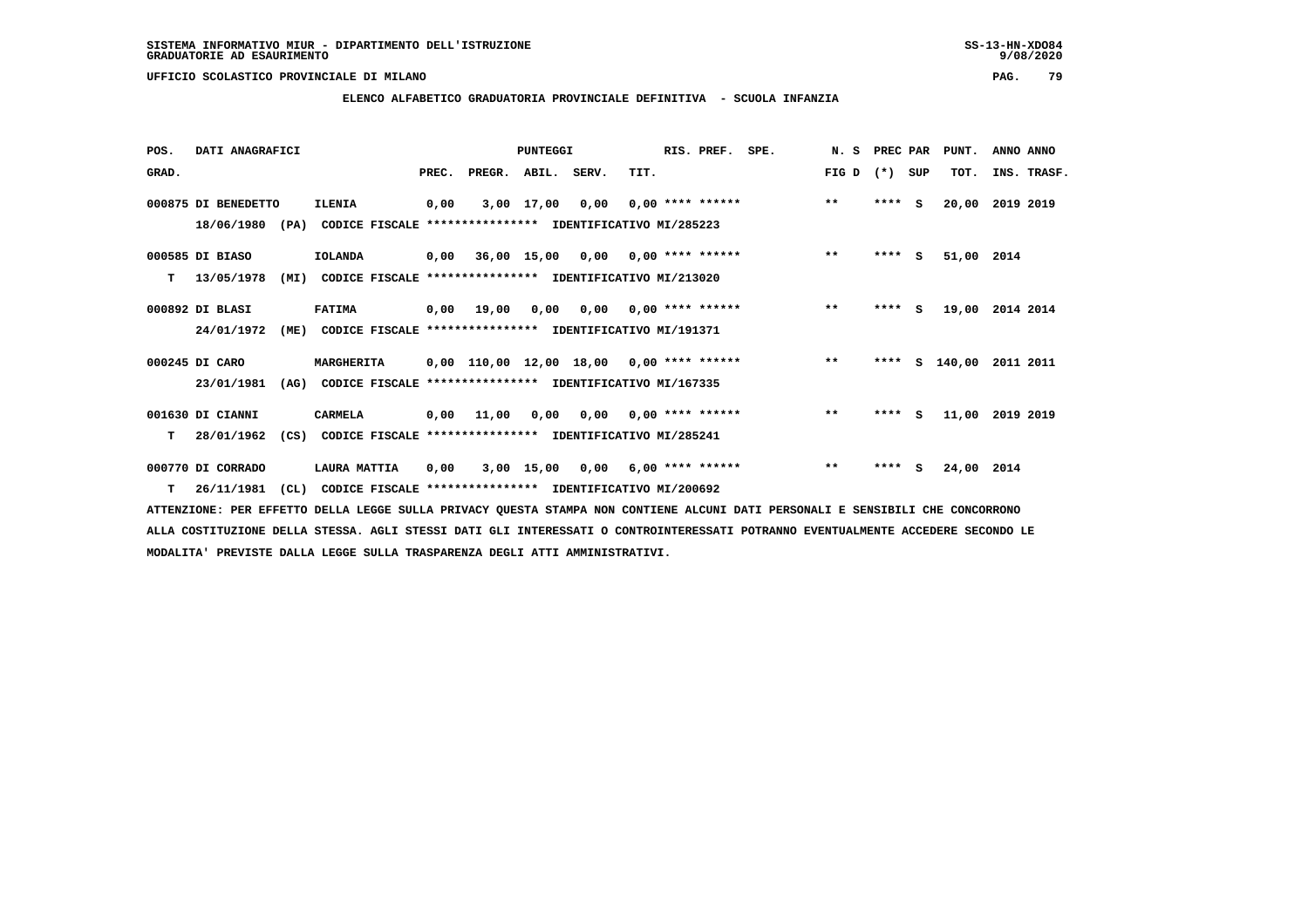**ELENCO ALFABETICO GRADUATORIA PROVINCIALE DEFINITIVA - SCUOLA INFANZIA**

| POS.  | DATI ANAGRAFICI     |                                                                  |       |              | PUNTEGGI    |      |      | RIS. PREF.                                 | SPE. | N.S   | PREC PAR |     | PUNT.      | ANNO ANNO   |
|-------|---------------------|------------------------------------------------------------------|-------|--------------|-------------|------|------|--------------------------------------------|------|-------|----------|-----|------------|-------------|
| GRAD. |                     |                                                                  | PREC. | PREGR.       | ABIL. SERV. |      | TIT. |                                            |      | FIG D | $(*)$    | SUP | TOT.       | INS. TRASF. |
|       | 000875 DI BENEDETTO | <b>ILENIA</b>                                                    | 0,00  |              | 3,00 17,00  | 0,00 |      | $0,00$ **** ******                         |      | $***$ | ****     | s   | 20,00      | 2019 2019   |
|       | 18/06/1980          | (PA)<br>CODICE FISCALE **************** IDENTIFICATIVO MI/285223 |       |              |             |      |      |                                            |      |       |          |     |            |             |
|       | 000585 DI BIASO     | <b>IOLANDA</b>                                                   | 0,00  |              |             |      |      | 36,00 15,00 0,00 0,00 **** ******          |      | $***$ | $***$ S  |     | 51,00      | 2014        |
| т     | 13/05/1978          | (MI)<br>CODICE FISCALE **************** IDENTIFICATIVO MI/213020 |       |              |             |      |      |                                            |      |       |          |     |            |             |
|       | 000892 DI BLASI     | <b>FATIMA</b>                                                    |       | $0,00$ 19,00 | 0,00        |      |      | $0,00$ $0,00$ **** ******                  |      | $***$ | **** S   |     | 19,00      | 2014 2014   |
|       | 24/01/1972          | (ME)<br>CODICE FISCALE **************** IDENTIFICATIVO MI/191371 |       |              |             |      |      |                                            |      |       |          |     |            |             |
|       | 000245 DI CARO      | MARGHERITA                                                       |       |              |             |      |      | $0,00$ 110,00 12,00 18,00 0,00 **** ****** |      | $***$ | ****     | s   | 140,00     | 2011 2011   |
|       | 23/01/1981          | (AG)<br>CODICE FISCALE **************** IDENTIFICATIVO MI/167335 |       |              |             |      |      |                                            |      |       |          |     |            |             |
|       | 001630 DI CIANNI    | <b>CARMELA</b>                                                   | 0,00  | 11,00        | 0.00        |      |      | $0,00$ $0,00$ **** ******                  |      | $***$ | ****     | S.  | 11,00      | 2019 2019   |
| т     | 28/01/1962          | (CS)<br>CODICE FISCALE **************** IDENTIFICATIVO MI/285241 |       |              |             |      |      |                                            |      |       |          |     |            |             |
|       | 000770 DI CORRADO   | LAURA MATTIA                                                     | 0,00  |              | 3,00 15,00  | 0,00 |      | $6,00*********$                            |      | $* *$ | ****     | s   | 24,00 2014 |             |
| T     | 26/11/1981          | CL)<br>CODICE FISCALE **************** IDENTIFICATIVO MI/200692  |       |              |             |      |      |                                            |      |       |          |     |            |             |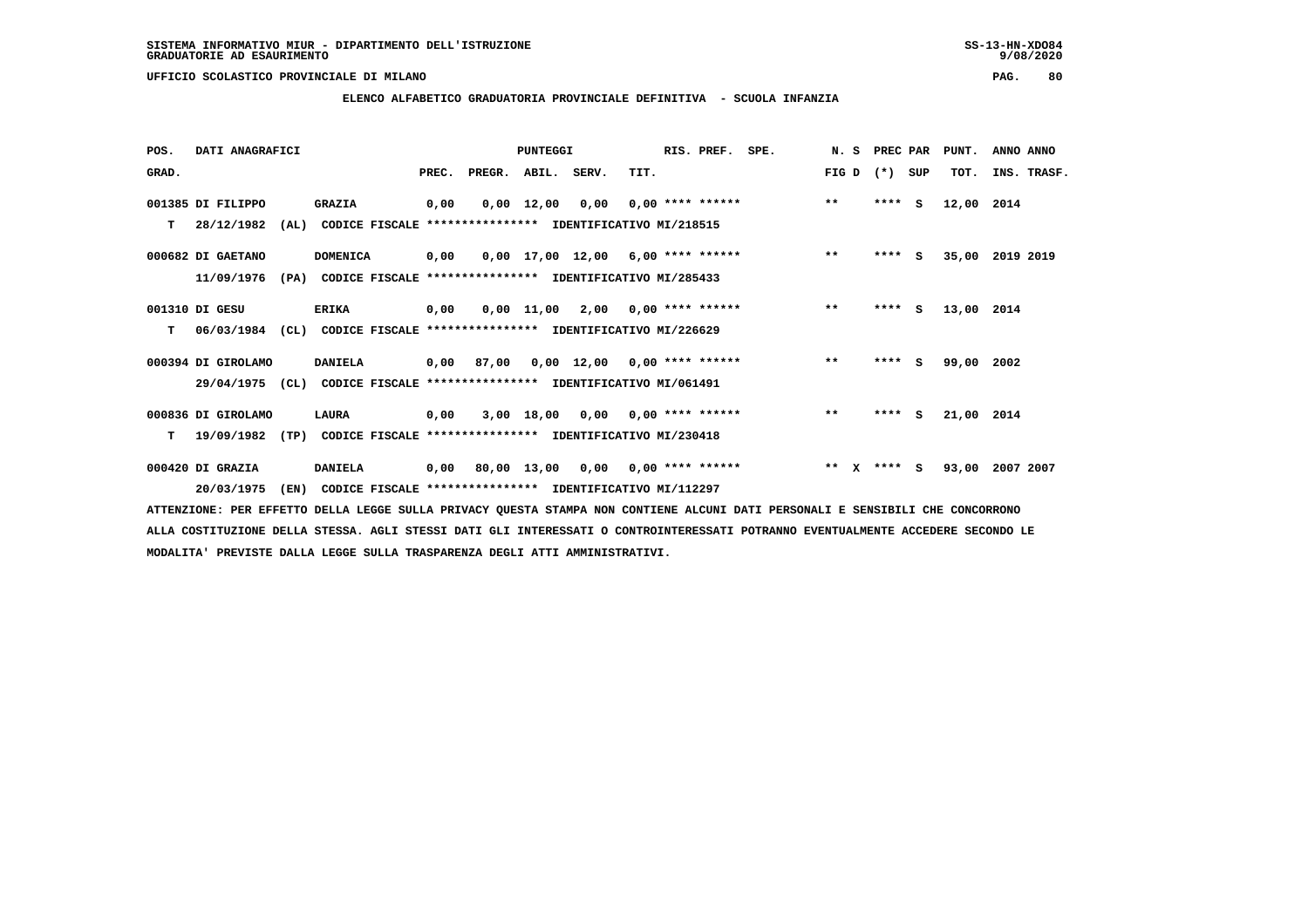**ELENCO ALFABETICO GRADUATORIA PROVINCIALE DEFINITIVA - SCUOLA INFANZIA**

| POS.  | DATI ANAGRAFICI    |      |                                                          |       |        | <b>PUNTEGGI</b>    |                                     |      | RIS. PREF.              | SPE. | N.S                   |        | PREC PAR | PUNT.      | ANNO ANNO   |
|-------|--------------------|------|----------------------------------------------------------|-------|--------|--------------------|-------------------------------------|------|-------------------------|------|-----------------------|--------|----------|------------|-------------|
| GRAD. |                    |      |                                                          | PREC. | PREGR. | ABIL.              | SERV.                               | TIT. |                         |      | FIG D                 | $(* )$ | SUP      | TOT.       | INS. TRASF. |
|       | 001385 DI FILIPPO  |      | <b>GRAZIA</b>                                            | 0,00  |        | $0,00 \quad 12,00$ | 0,00                                |      | $0.00$ **** ******      |      | $***$                 |        | $***$ S  | 12,00      | 2014        |
| т     | 28/12/1982         | (AL) | CODICE FISCALE **************** IDENTIFICATIVO MI/218515 |       |        |                    |                                     |      |                         |      |                       |        |          |            |             |
|       | 000682 DI GAETANO  |      | <b>DOMENICA</b>                                          | 0,00  |        |                    | $0.00$ 17.00 12.00 6.00 **** ****** |      |                         |      | $***$                 |        | $***$ S  | 35,00      | 2019 2019   |
|       | 11/09/1976         | (PA) | CODICE FISCALE **************** IDENTIFICATIVO MI/285433 |       |        |                    |                                     |      |                         |      |                       |        |          |            |             |
|       | 001310 DI GESU     |      | <b>ERIKA</b>                                             | 0,00  |        | 0,00 11,00         |                                     |      | $2,00$ 0,00 **** ****** |      | $***$                 | ****   | s        | 13,00 2014 |             |
| т     | 06/03/1984         | (CL) | CODICE FISCALE **************** IDENTIFICATIVO MI/226629 |       |        |                    |                                     |      |                         |      |                       |        |          |            |             |
|       | 000394 DI GIROLAMO |      | <b>DANIELA</b>                                           | 0,00  | 87,00  |                    | $0.00$ 12.00 0.00 **** ******       |      |                         |      | $***$                 |        | $***$ S  | 99,00      | 2002        |
|       | 29/04/1975         | (CL) | CODICE FISCALE **************** IDENTIFICATIVO MI/061491 |       |        |                    |                                     |      |                         |      |                       |        |          |            |             |
|       | 000836 DI GIROLAMO |      | LAURA                                                    | 0,00  |        |                    | $3,00$ 18,00 0,00 0,00 **** ******  |      |                         |      | $* *$                 | ****   | - S      | 21,00 2014 |             |
| т     | 19/09/1982         | (TP) | CODICE FISCALE **************** IDENTIFICATIVO MI/230418 |       |        |                    |                                     |      |                         |      |                       |        |          |            |             |
|       | 000420 DI GRAZIA   |      | <b>DANIELA</b>                                           | 0,00  |        | 80,00 13,00        | 0,00                                |      | $0,00$ **** ******      |      | $* *$<br>$\mathbf{x}$ |        | $***$ S  | 93,00      | 2007 2007   |
|       | 20/03/1975         | (EN) | CODICE FISCALE **************** IDENTIFICATIVO MI/112297 |       |        |                    |                                     |      |                         |      |                       |        |          |            |             |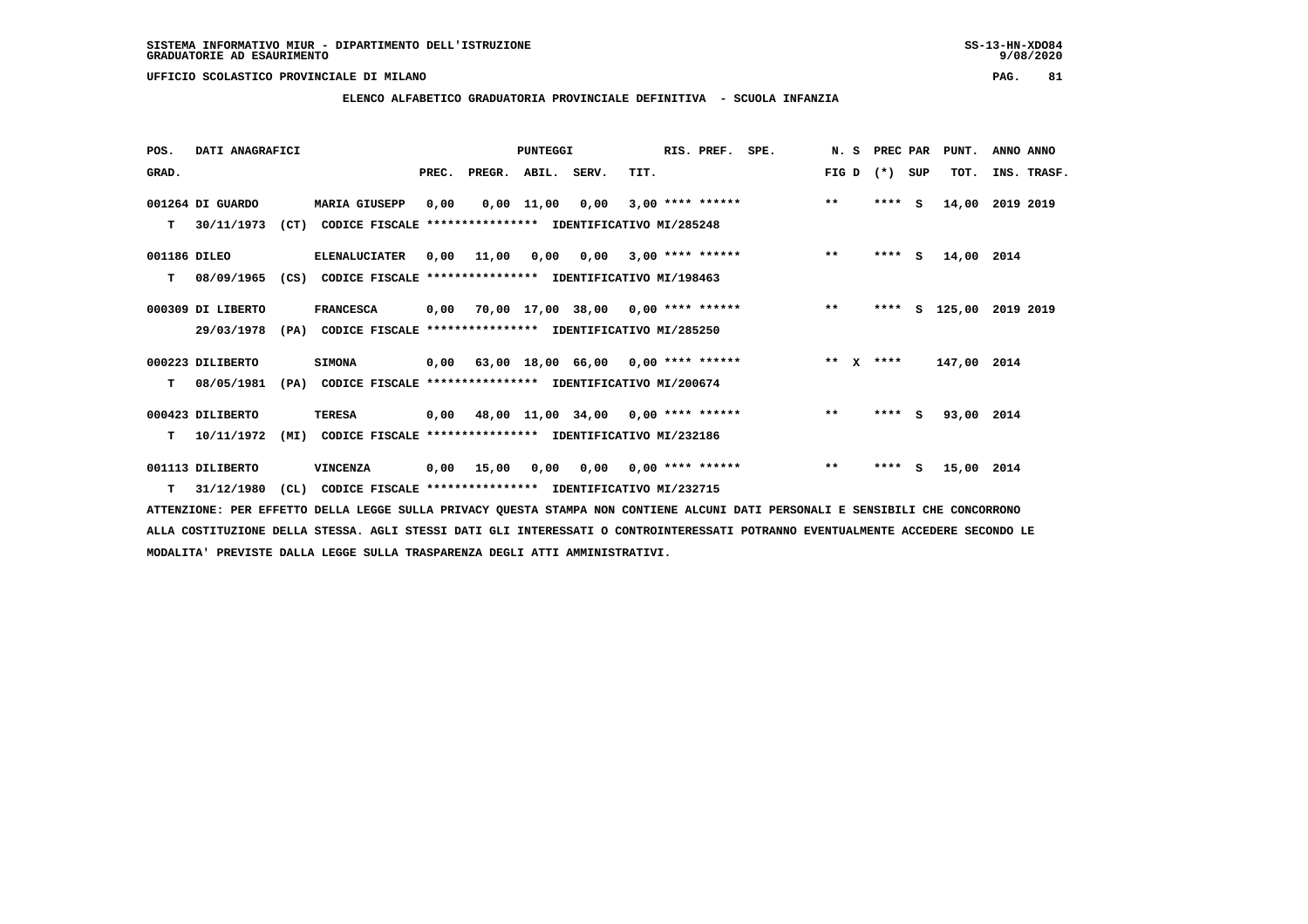## **ELENCO ALFABETICO GRADUATORIA PROVINCIALE DEFINITIVA - SCUOLA INFANZIA**

 **POS. DATI ANAGRAFICI PUNTEGGI RIS. PREF. SPE. N. S PREC PAR PUNT. ANNO ANNO**GRAD. **BRAD. PREC. PREGR. ABIL. SERV.** TIT. THE REGREATER FIG D (\*) SUP TOT. INS. TRASF.  **001264 DI GUARDO MARIA GIUSEPP 0,00 0,00 11,00 0,00 3,00 \*\*\*\* \*\*\*\*\*\* \*\* \*\*\*\* S 14,00 2019 2019 T 30/11/1973 (CT) CODICE FISCALE \*\*\*\*\*\*\*\*\*\*\*\*\*\*\*\* IDENTIFICATIVO MI/285248 001186 DILEO ELENALUCIATER 0,00 11,00 0,00 0,00 3,00 \*\*\*\* \*\*\*\*\*\* \*\* \*\*\*\* S 14,00 2014 T 08/09/1965 (CS) CODICE FISCALE \*\*\*\*\*\*\*\*\*\*\*\*\*\*\*\* IDENTIFICATIVO MI/198463 000309 DI LIBERTO FRANCESCA 0,00 70,00 17,00 38,00 0,00 \*\*\*\* \*\*\*\*\*\* \*\* \*\*\*\* S 125,00 2019 2019 29/03/1978 (PA) CODICE FISCALE \*\*\*\*\*\*\*\*\*\*\*\*\*\*\*\* IDENTIFICATIVO MI/285250 000223 DILIBERTO SIMONA 0,00 63,00 18,00 66,00 0,00 \*\*\*\* \*\*\*\*\*\* \*\* X \*\*\*\* 147,00 2014 T 08/05/1981 (PA) CODICE FISCALE \*\*\*\*\*\*\*\*\*\*\*\*\*\*\*\* IDENTIFICATIVO MI/200674 000423 DILIBERTO TERESA 0,00 48,00 11,00 34,00 0,00 \*\*\*\* \*\*\*\*\*\* \*\* \*\*\*\* S 93,00 2014 T 10/11/1972 (MI) CODICE FISCALE \*\*\*\*\*\*\*\*\*\*\*\*\*\*\*\* IDENTIFICATIVO MI/232186 001113 DILIBERTO VINCENZA 0,00 15,00 0,00 0,00 0,00 \*\*\*\* \*\*\*\*\*\* \*\* \*\*\*\* S 15,00 2014**

 **T 31/12/1980 (CL) CODICE FISCALE \*\*\*\*\*\*\*\*\*\*\*\*\*\*\*\* IDENTIFICATIVO MI/232715**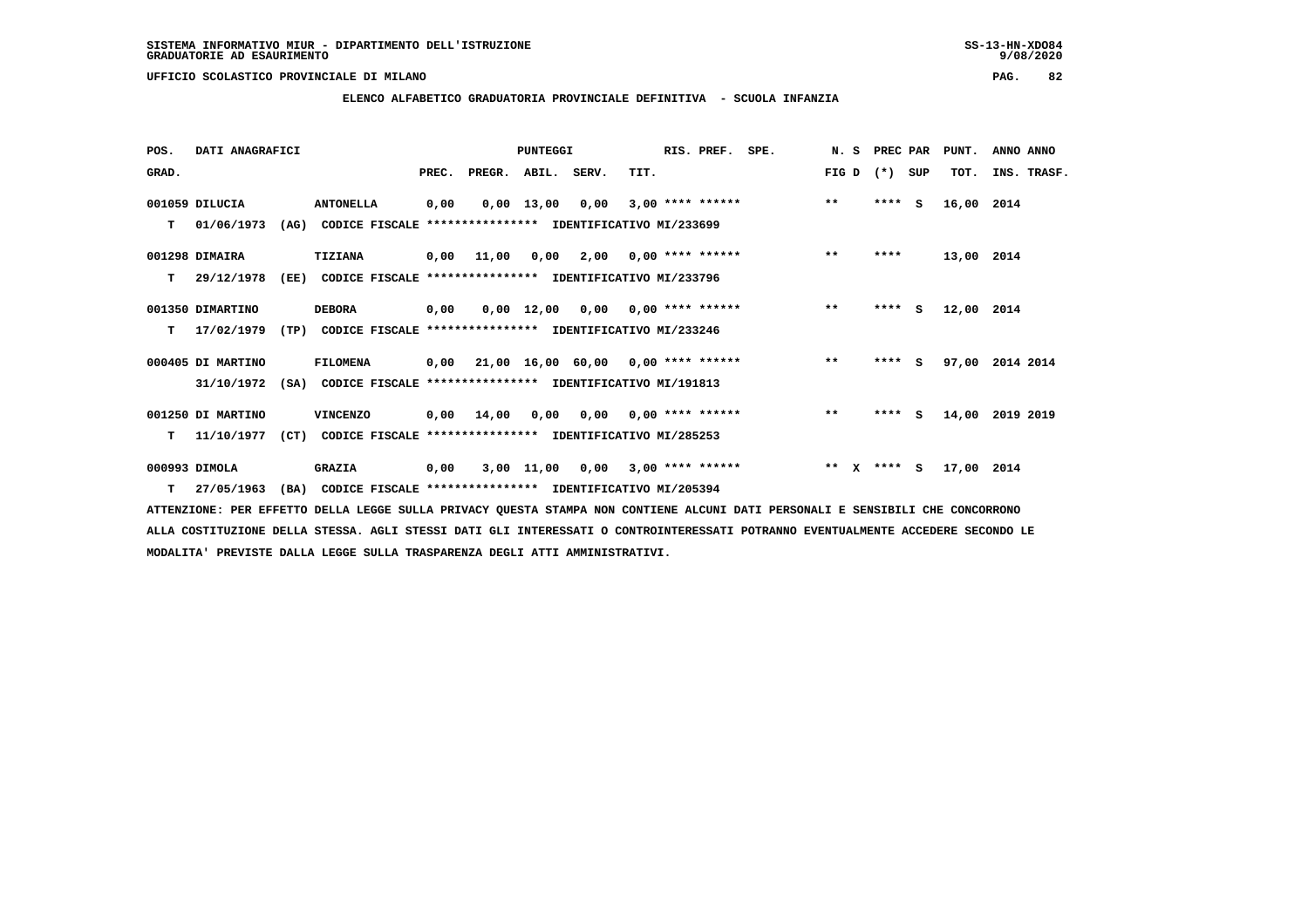**ELENCO ALFABETICO GRADUATORIA PROVINCIALE DEFINITIVA - SCUOLA INFANZIA**

| POS.  | DATI ANAGRAFICI   |      |                                                          |       |                                           | <b>PUNTEGGI</b> |                                        |      | RIS. PREF.              | SPE. | N.S   |              | PREC PAR |    | PUNT.      | ANNO ANNO   |
|-------|-------------------|------|----------------------------------------------------------|-------|-------------------------------------------|-----------------|----------------------------------------|------|-------------------------|------|-------|--------------|----------|----|------------|-------------|
| GRAD. |                   |      |                                                          | PREC. | PREGR. ABIL. SERV.                        |                 |                                        | TIT. |                         |      | FIG D |              | (*) SUP  |    | TOT.       | INS. TRASF. |
|       | 001059 DILUCIA    |      | <b>ANTONELLA</b>                                         | 0,00  |                                           | $0,00$ 13,00    | 0,00                                   |      | $3,00$ **** ******      |      | $***$ |              | $***$ S  |    | 16,00      | 2014        |
| т     | 01/06/1973        | (AG) | CODICE FISCALE **************** IDENTIFICATIVO MI/233699 |       |                                           |                 |                                        |      |                         |      |       |              |          |    |            |             |
|       | 001298 DIMAIRA    |      | <b>TIZIANA</b>                                           |       | 0,00 11,00                                | 0,00            |                                        |      | $2,00$ 0,00 **** ****** |      | $* *$ |              | ****     |    | 13,00 2014 |             |
| т     | 29/12/1978        | (EE) | CODICE FISCALE **************** IDENTIFICATIVO MI/233796 |       |                                           |                 |                                        |      |                         |      |       |              |          |    |            |             |
|       | 001350 DIMARTINO  |      | <b>DEBORA</b>                                            | 0,00  |                                           |                 | $0,00$ 12,00 0,00 0,00 **** ******     |      |                         |      | $***$ |              | ****     | S. | 12,00 2014 |             |
| т     | 17/02/1979        | (TP) | CODICE FISCALE **************** IDENTIFICATIVO MI/233246 |       |                                           |                 |                                        |      |                         |      |       |              |          |    |            |             |
|       | 000405 DI MARTINO |      | <b>FILOMENA</b>                                          |       | $0,00$ 21,00 16,00 60,00 0,00 **** ****** |                 |                                        |      |                         |      | $***$ |              | $***$ S  |    | 97,00      | 2014 2014   |
|       | 31/10/1972        | (SA) | CODICE FISCALE **************** IDENTIFICATIVO MI/191813 |       |                                           |                 |                                        |      |                         |      |       |              |          |    |            |             |
|       | 001250 DI MARTINO |      | <b>VINCENZO</b>                                          |       | $0,00$ $14,00$                            |                 | $0,00$ $0,00$ $0,00$ $***$ **** ****** |      |                         |      | $***$ |              | **** S   |    | 14,00      | 2019 2019   |
| т     | 11/10/1977        | (CT) | CODICE FISCALE **************** IDENTIFICATIVO MI/285253 |       |                                           |                 |                                        |      |                         |      |       |              |          |    |            |             |
|       | 000993 DIMOLA     |      | <b>GRAZIA</b>                                            | 0,00  |                                           | 3,00 11,00      | 0,00                                   |      | $3,00$ **** ******      |      | $* *$ | $\mathbf{x}$ | **** S   |    | 17,00 2014 |             |
| T.    | 27/05/1963        | (BA) | CODICE FISCALE **************** IDENTIFICATIVO MI/205394 |       |                                           |                 |                                        |      |                         |      |       |              |          |    |            |             |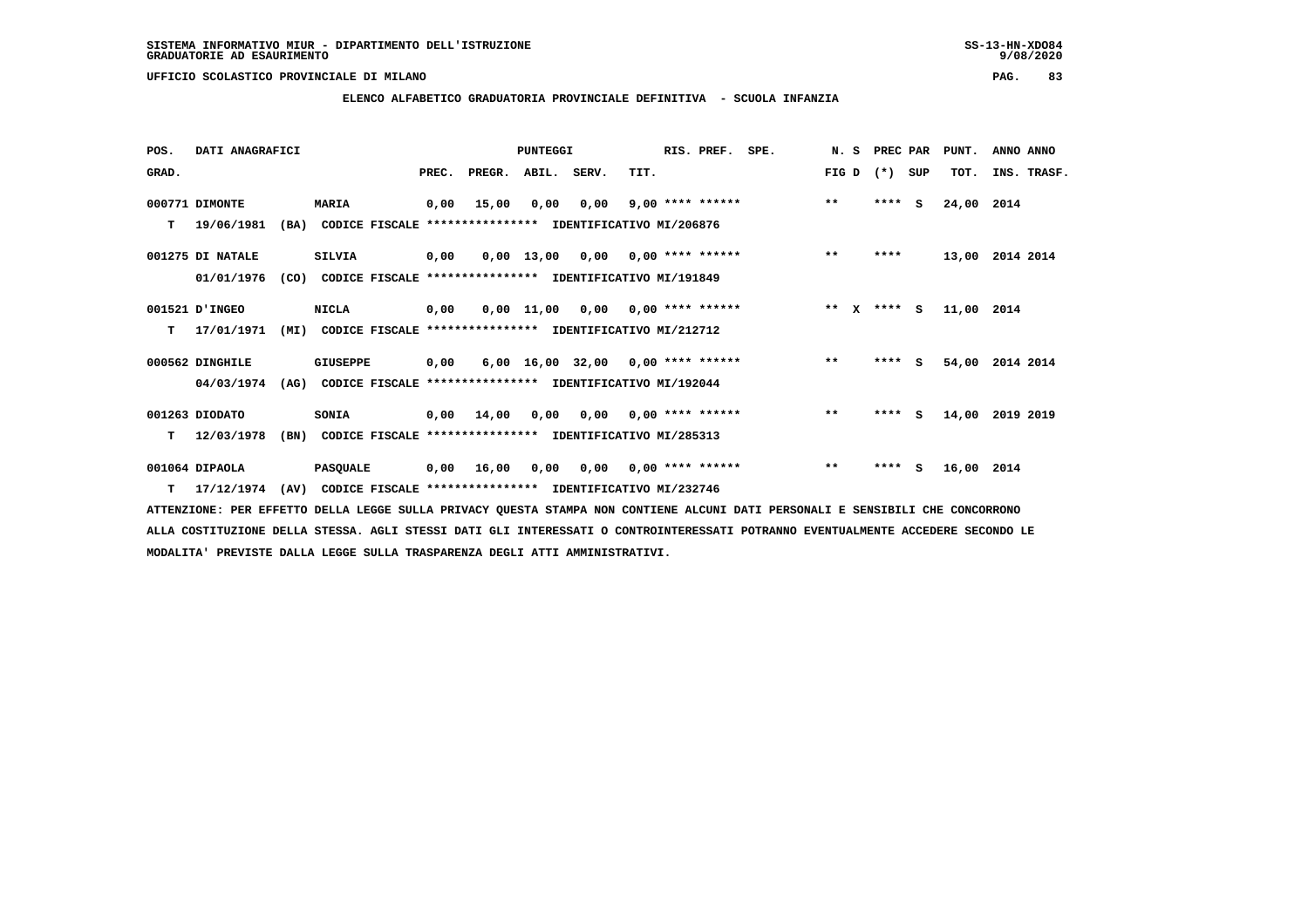**ELENCO ALFABETICO GRADUATORIA PROVINCIALE DEFINITIVA - SCUOLA INFANZIA**

 **POS. DATI ANAGRAFICI PUNTEGGI RIS. PREF. SPE. N. S PREC PAR PUNT. ANNO ANNO**GRAD. **BRAD. PREC. PREGR. ABIL. SERV.** TIT. THE REGREATER FIG D (\*) SUP TOT. INS. TRASF.  **000771 DIMONTE MARIA 0,00 15,00 0,00 0,00 9,00 \*\*\*\* \*\*\*\*\*\* \*\* \*\*\*\* S 24,00 2014 T 19/06/1981 (BA) CODICE FISCALE \*\*\*\*\*\*\*\*\*\*\*\*\*\*\*\* IDENTIFICATIVO MI/206876 001275 DI NATALE SILVIA 0,00 0,00 13,00 0,00 0,00 \*\*\*\* \*\*\*\*\*\* \*\* \*\*\*\* 13,00 2014 2014 01/01/1976 (CO) CODICE FISCALE \*\*\*\*\*\*\*\*\*\*\*\*\*\*\*\* IDENTIFICATIVO MI/191849 001521 D'INGEO NICLA 0,00 0,00 11,00 0,00 0,00 \*\*\*\* \*\*\*\*\*\* \*\* X \*\*\*\* S 11,00 2014 T 17/01/1971 (MI) CODICE FISCALE \*\*\*\*\*\*\*\*\*\*\*\*\*\*\*\* IDENTIFICATIVO MI/212712 000562 DINGHILE GIUSEPPE 0,00 6,00 16,00 32,00 0,00 \*\*\*\* \*\*\*\*\*\* \*\* \*\*\*\* S 54,00 2014 2014 04/03/1974 (AG) CODICE FISCALE \*\*\*\*\*\*\*\*\*\*\*\*\*\*\*\* IDENTIFICATIVO MI/192044 001263 DIODATO SONIA 0,00 14,00 0,00 0,00 0,00 \*\*\*\* \*\*\*\*\*\* \*\* \*\*\*\* S 14,00 2019 2019 T 12/03/1978 (BN) CODICE FISCALE \*\*\*\*\*\*\*\*\*\*\*\*\*\*\*\* IDENTIFICATIVO MI/285313**

 **001064 DIPAOLA PASQUALE 0,00 16,00 0,00 0,00 0,00 \*\*\*\* \*\*\*\*\*\* \*\* \*\*\*\* S 16,00 2014 T 17/12/1974 (AV) CODICE FISCALE \*\*\*\*\*\*\*\*\*\*\*\*\*\*\*\* IDENTIFICATIVO MI/232746**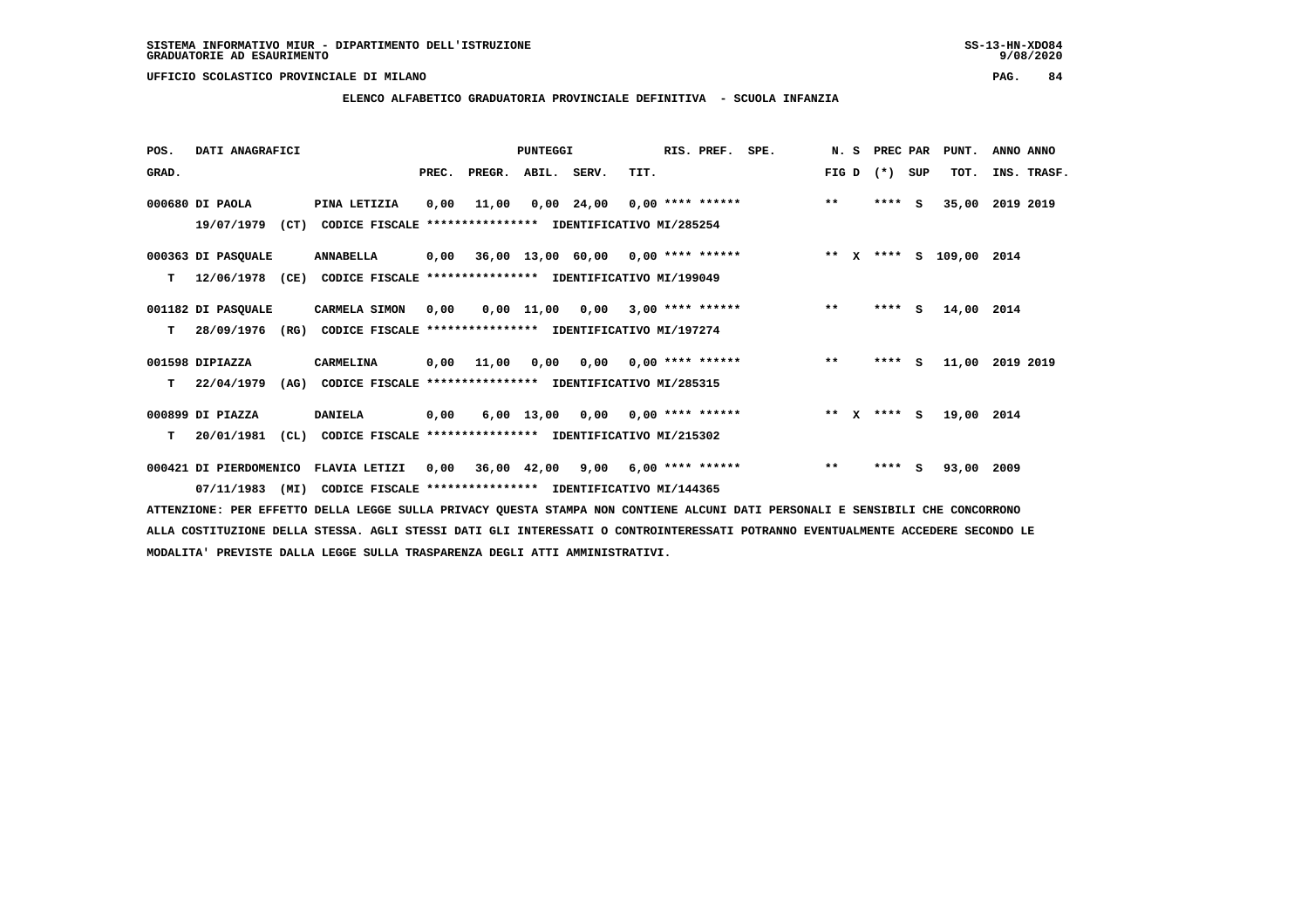### **ELENCO ALFABETICO GRADUATORIA PROVINCIALE DEFINITIVA - SCUOLA INFANZIA**

 **POS. DATI ANAGRAFICI PUNTEGGI RIS. PREF. SPE. N. S PREC PAR PUNT. ANNO ANNO**GRAD. **BRAD. PREC. PREGR. ABIL. SERV.** TIT. THE REGREATER FIG D (\*) SUP TOT. INS. TRASF.  **000680 DI PAOLA PINA LETIZIA 0,00 11,00 0,00 24,00 0,00 \*\*\*\* \*\*\*\*\*\* \*\* \*\*\*\* S 35,00 2019 2019 19/07/1979 (CT) CODICE FISCALE \*\*\*\*\*\*\*\*\*\*\*\*\*\*\*\* IDENTIFICATIVO MI/285254 000363 DI PASQUALE ANNABELLA 0,00 36,00 13,00 60,00 0,00 \*\*\*\* \*\*\*\*\*\* \*\* X \*\*\*\* S 109,00 2014 T 12/06/1978 (CE) CODICE FISCALE \*\*\*\*\*\*\*\*\*\*\*\*\*\*\*\* IDENTIFICATIVO MI/199049 001182 DI PASQUALE CARMELA SIMON 0,00 0,00 11,00 0,00 3,00 \*\*\*\* \*\*\*\*\*\* \*\* \*\*\*\* S 14,00 2014 T 28/09/1976 (RG) CODICE FISCALE \*\*\*\*\*\*\*\*\*\*\*\*\*\*\*\* IDENTIFICATIVO MI/197274 001598 DIPIAZZA CARMELINA 0,00 11,00 0,00 0,00 0,00 \*\*\*\* \*\*\*\*\*\* \*\* \*\*\*\* S 11,00 2019 2019 T 22/04/1979 (AG) CODICE FISCALE \*\*\*\*\*\*\*\*\*\*\*\*\*\*\*\* IDENTIFICATIVO MI/285315 000899 DI PIAZZA DANIELA 0,00 6,00 13,00 0,00 0,00 \*\*\*\* \*\*\*\*\*\* \*\* X \*\*\*\* S 19,00 2014 T 20/01/1981 (CL) CODICE FISCALE \*\*\*\*\*\*\*\*\*\*\*\*\*\*\*\* IDENTIFICATIVO MI/215302 000421 DI PIERDOMENICO FLAVIA LETIZI 0,00 36,00 42,00 9,00 6,00 \*\*\*\* \*\*\*\*\*\* \*\* \*\*\*\* S 93,00 2009**

 **07/11/1983 (MI) CODICE FISCALE \*\*\*\*\*\*\*\*\*\*\*\*\*\*\*\* IDENTIFICATIVO MI/144365**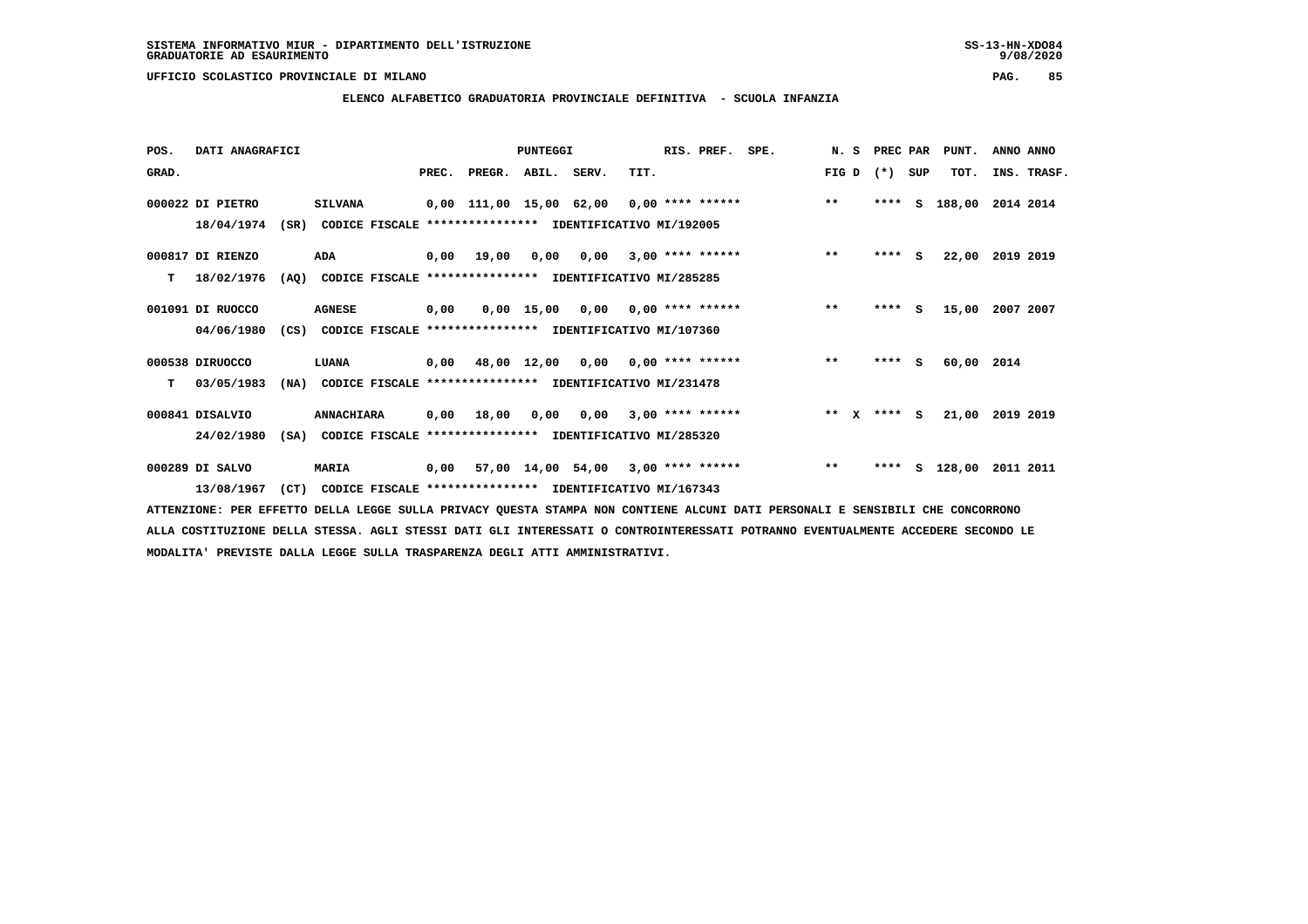$9/08/2020$ 

 **UFFICIO SCOLASTICO PROVINCIALE DI MILANO PAG. 85**

# **ELENCO ALFABETICO GRADUATORIA PROVINCIALE DEFINITIVA - SCUOLA INFANZIA**

| POS.  | DATI ANAGRAFICI  |      |                                                          |      |                                           | <b>PUNTEGGI</b> |                 |      | RIS. PREF.         | SPE. |              | N. S PREC PAR |          | PUNT.         | ANNO ANNO       |  |
|-------|------------------|------|----------------------------------------------------------|------|-------------------------------------------|-----------------|-----------------|------|--------------------|------|--------------|---------------|----------|---------------|-----------------|--|
| GRAD. |                  |      |                                                          |      | PREC. PREGR. ABIL. SERV.                  |                 |                 | TIT. |                    |      | FIG D        | $(*)$         | SUP      | TOT.          | INS. TRASF.     |  |
|       | 000022 DI PIETRO |      | <b>SILVANA</b>                                           |      | 0,00 111,00 15,00 62,00                   |                 |                 |      | $0.00$ **** ****** |      | $***$        |               |          | **** S 188,00 | 2014 2014       |  |
|       | 18/04/1974       | (SR) | CODICE FISCALE                                           |      | **************** IDENTIFICATIVO MI/192005 |                 |                 |      |                    |      |              |               |          |               |                 |  |
|       | 000817 DI RIENZO |      | ADA                                                      |      | 0,00 19,00                                | 0,00            | 0,00            |      | $3,00$ **** ****** |      | $\star\star$ | $***$ S       |          | 22,00         | 2019 2019       |  |
| T.    | 18/02/1976       | (AO) | CODICE FISCALE **************** IDENTIFICATIVO MI/285285 |      |                                           |                 |                 |      |                    |      |              |               |          |               |                 |  |
|       | 001091 DI RUOCCO |      | <b>AGNESE</b>                                            | 0,00 |                                           |                 | 0,00 15,00 0,00 |      | $0.00$ **** ****** |      | $***$        | ****          | <b>S</b> | 15,00         | 2007 2007       |  |
|       | 04/06/1980       | (CS) | CODICE FISCALE **************** IDENTIFICATIVO MI/107360 |      |                                           |                 |                 |      |                    |      |              |               |          |               |                 |  |
|       | 000538 DIRUOCCO  |      | LUANA                                                    |      | 0,00 48,00 12,00                          |                 | 0,00            |      | $0.00$ **** ****** |      | $***$        | $***$ S       |          | 60,00 2014    |                 |  |
| т     | 03/05/1983       | (NA) | CODICE FISCALE **************** IDENTIFICATIVO MI/231478 |      |                                           |                 |                 |      |                    |      |              |               |          |               |                 |  |
|       | 000841 DISALVIO  |      | <b>ANNACHIARA</b>                                        | 0,00 | 18,00                                     | 0.00            | 0,00            |      | $3.00$ **** ****** |      | $***$ X      | $***$ S       |          |               | 21,00 2019 2019 |  |
|       | 24/02/1980       | (SA) | CODICE FISCALE                                           |      | **************** IDENTIFICATIVO MI/285320 |                 |                 |      |                    |      |              |               |          |               |                 |  |
|       | 000289 DI SALVO  |      | <b>MARIA</b>                                             |      | 0,00 57,00 14,00 54,00                    |                 |                 |      | $3,00$ **** ****** |      | $***$        | ****          | s        | 128,00        | 2011 2011       |  |
|       | 13/08/1967       | (CT) | CODICE FISCALE **************** IDENTIFICATIVO MI/167343 |      |                                           |                 |                 |      |                    |      |              |               |          |               |                 |  |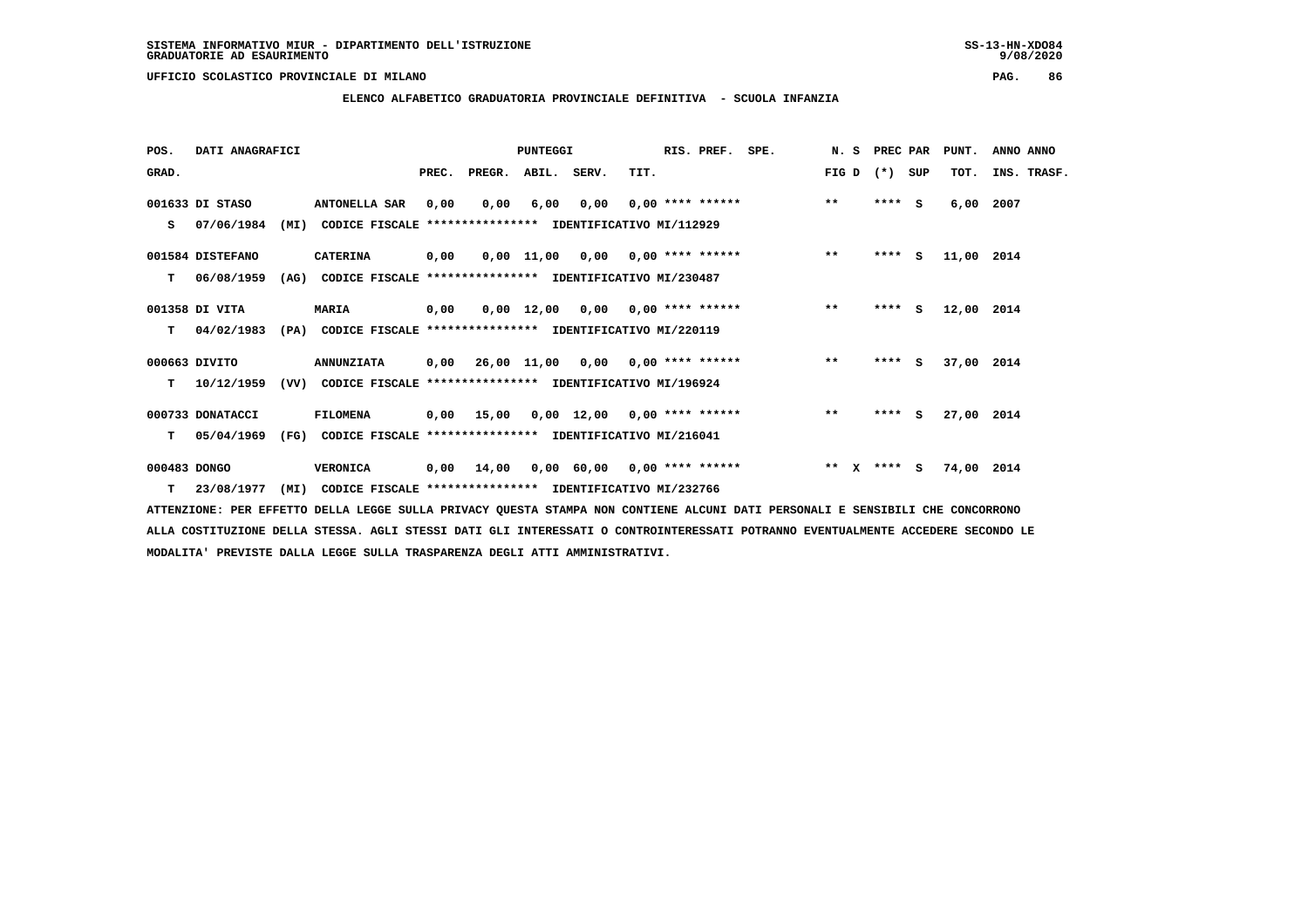**ELENCO ALFABETICO GRADUATORIA PROVINCIALE DEFINITIVA - SCUOLA INFANZIA**

| POS.         | DATI ANAGRAFICI  |      |                                                               |       |                    | <b>PUNTEGGI</b> |                                     |      | RIS. PREF.                | SPE. | N.S           |      | PREC PAR | PUNT.      | ANNO ANNO   |
|--------------|------------------|------|---------------------------------------------------------------|-------|--------------------|-----------------|-------------------------------------|------|---------------------------|------|---------------|------|----------|------------|-------------|
| GRAD.        |                  |      |                                                               | PREC. | PREGR. ABIL. SERV. |                 |                                     | TIT. |                           |      | FIG D         |      | (*) SUP  | TOT.       | INS. TRASF. |
|              | 001633 DI STASO  |      | <b>ANTONELLA SAR</b>                                          | 0,00  | 0,00               | 6,00            | 0,00                                |      | $0.00$ **** ******        |      | $***$         |      | $***$ S  | 6,00       | 2007        |
| s            | 07/06/1984       | (MI) | CODICE FISCALE **************** IDENTIFICATIVO MI/112929      |       |                    |                 |                                     |      |                           |      |               |      |          |            |             |
|              | 001584 DISTEFANO |      | <b>CATERINA</b>                                               | 0,00  |                    |                 | $0.00$ 11.00 0.00 0.00 **** ******  |      |                           |      | $***$         |      | $***$ S  | 11,00 2014 |             |
| т            | 06/08/1959       | (AG) | CODICE FISCALE **************** IDENTIFICATIVO MI/230487      |       |                    |                 |                                     |      |                           |      |               |      |          |            |             |
|              | 001358 DI VITA   |      | <b>MARIA</b>                                                  | 0,00  |                    | 0,00 12,00      |                                     |      | $0,00$ $0,00$ **** ****** |      | $***$         | **** | S.       | 12,00 2014 |             |
| т            | 04/02/1983       |      | (PA) CODICE FISCALE **************** IDENTIFICATIVO MI/220119 |       |                    |                 |                                     |      |                           |      |               |      |          |            |             |
|              | 000663 DIVITO    |      | <b>ANNUNZIATA</b>                                             | 0,00  |                    |                 | $26,00$ 11,00 0,00 0,00 **** ****** |      |                           |      | $***$         |      | $***$ S  | 37,00 2014 |             |
| T.           | 10/12/1959       | (VV) | CODICE FISCALE **************** IDENTIFICATIVO MI/196924      |       |                    |                 |                                     |      |                           |      |               |      |          |            |             |
|              | 000733 DONATACCI |      | FILOMENA                                                      |       | 0,00 15,00         |                 | $0,00$ 12,00 0,00 **** ******       |      |                           |      | $* *$         |      | $***$ S  | 27,00 2014 |             |
| т            | 05/04/1969       | (FG) | CODICE FISCALE **************** IDENTIFICATIVO MI/216041      |       |                    |                 |                                     |      |                           |      |               |      |          |            |             |
| 000483 DONGO |                  |      | <b>VERONICA</b>                                               | 0,00  | 14,00              |                 | $0,00$ 60,00 0,00 **** ******       |      |                           |      | ** $X$ **** S |      |          | 74,00 2014 |             |
| т            | 23/08/1977       | (MI) | CODICE FISCALE **************** IDENTIFICATIVO MI/232766      |       |                    |                 |                                     |      |                           |      |               |      |          |            |             |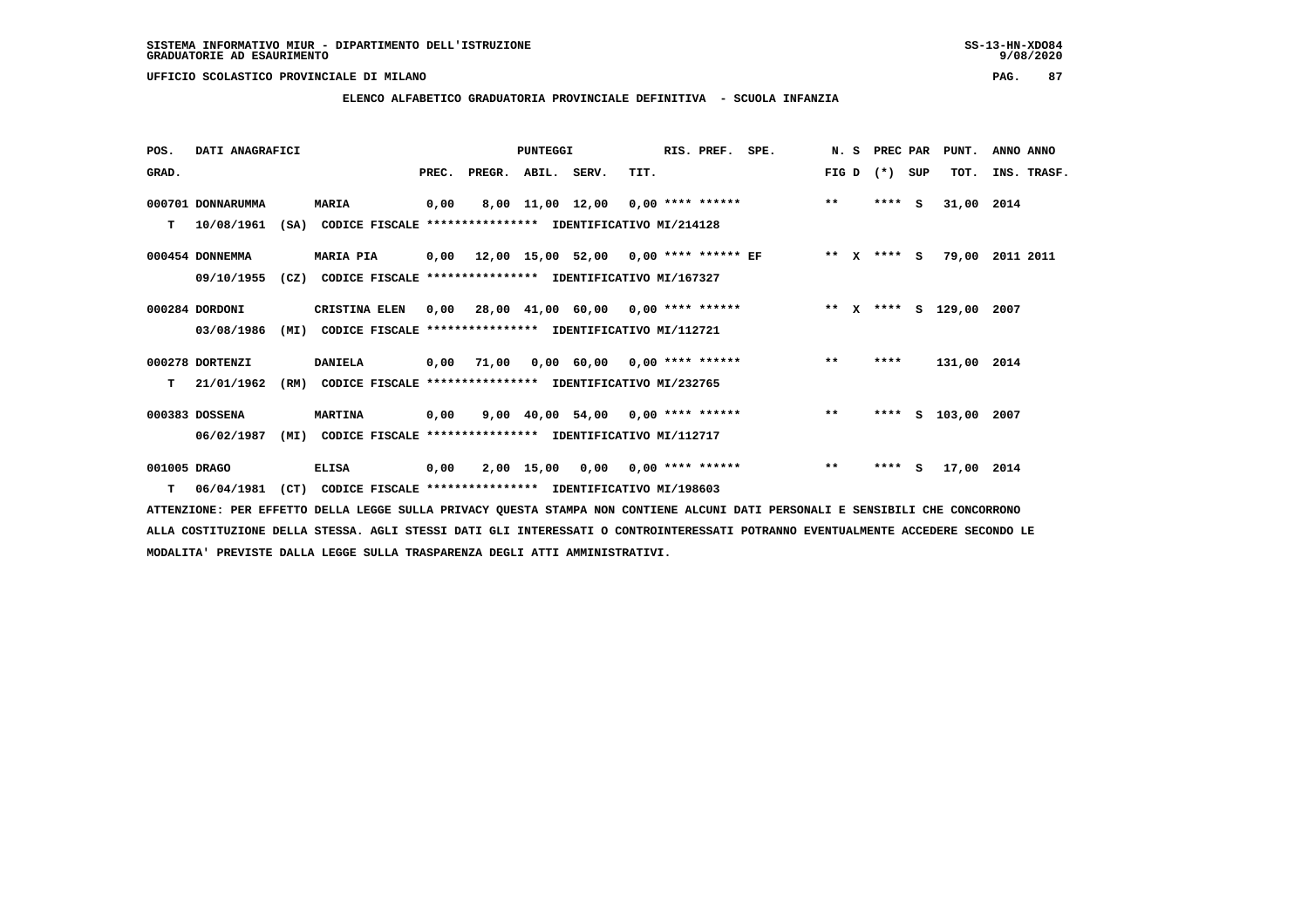**ELENCO ALFABETICO GRADUATORIA PROVINCIALE DEFINITIVA - SCUOLA INFANZIA**

| POS.         | DATI ANAGRAFICI   |      |                                                               |       |                    | <b>PUNTEGGI</b> |                                              |      | RIS. PREF.                | SPE. | N.S     | PREC PAR |          | PUNT.              | ANNO ANNO   |  |
|--------------|-------------------|------|---------------------------------------------------------------|-------|--------------------|-----------------|----------------------------------------------|------|---------------------------|------|---------|----------|----------|--------------------|-------------|--|
| GRAD.        |                   |      |                                                               | PREC. | PREGR. ABIL. SERV. |                 |                                              | TIT. |                           |      | FIG D   | $(*)$    | SUP      | TOT.               | INS. TRASF. |  |
|              | 000701 DONNARUMMA |      | <b>MARIA</b>                                                  | 0,00  |                    |                 | 8,00 11,00 12,00 0,00 **** ******            |      |                           |      | $***$   | ****     | <b>S</b> | 31,00 2014         |             |  |
| т            | 10/08/1961        |      | (SA) CODICE FISCALE **************** IDENTIFICATIVO MI/214128 |       |                    |                 |                                              |      |                           |      |         |          |          |                    |             |  |
|              | 000454 DONNEMMA   |      | <b>MARIA PIA</b>                                              |       |                    |                 | $0,00$ 12,00 15,00 52,00 0,00 **** ****** EF |      |                           |      | $***$ X | **** S   |          | 79,00              | 2011 2011   |  |
|              | 09/10/1955        |      | (CZ) CODICE FISCALE                                           |       |                    |                 | **************** IDENTIFICATIVO MI/167327    |      |                           |      |         |          |          |                    |             |  |
|              | 000284 DORDONI    |      | CRISTINA ELEN                                                 |       |                    |                 | $0,00$ 28,00 41,00 60,00 0,00 **** ******    |      |                           |      |         |          |          | ** x **** s 129,00 | 2007        |  |
|              | 03/08/1986        | (MI) | CODICE FISCALE **************** IDENTIFICATIVO MI/112721      |       |                    |                 |                                              |      |                           |      |         |          |          |                    |             |  |
|              | 000278 DORTENZI   |      | <b>DANIELA</b>                                                |       | 0,00 71,00         |                 | $0,00$ 60,00 0,00 **** ******                |      |                           |      | $***$   | ****     |          | 131,00 2014        |             |  |
| т            | 21/01/1962        | (RM) | CODICE FISCALE **************** IDENTIFICATIVO MI/232765      |       |                    |                 |                                              |      |                           |      |         |          |          |                    |             |  |
|              | 000383 DOSSENA    |      | <b>MARTINA</b>                                                | 0,00  |                    |                 | 9,00 40,00 54,00 0,00 **** ******            |      |                           |      | $***$   | ****     |          | S 103,00 2007      |             |  |
|              | 06/02/1987        | (MI) | CODICE FISCALE **************** IDENTIFICATIVO MI/112717      |       |                    |                 |                                              |      |                           |      |         |          |          |                    |             |  |
| 001005 DRAGO |                   |      | <b>ELISA</b>                                                  | 0,00  |                    | 2,00 15,00      |                                              |      | $0,00$ $0,00$ **** ****** |      | $* *$   | ****     | - S      | 17,00 2014         |             |  |
|              | $T = 06/04/1981$  | (CT) | CODICE FISCALE **************** IDENTIFICATIVO MI/198603      |       |                    |                 |                                              |      |                           |      |         |          |          |                    |             |  |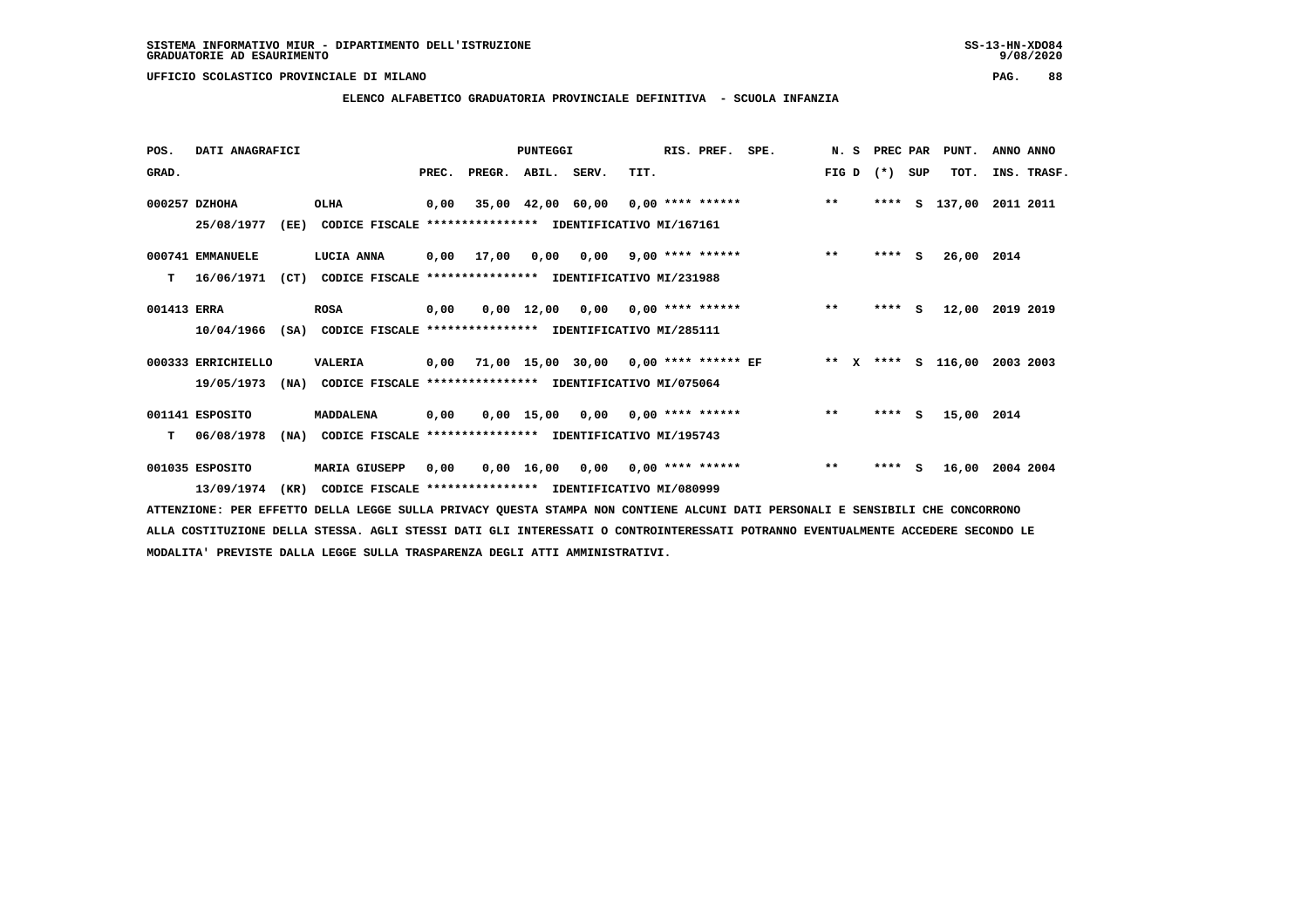$9/08/2020$ 

# **ELENCO ALFABETICO GRADUATORIA PROVINCIALE DEFINITIVA - SCUOLA INFANZIA**

| POS.        | DATI ANAGRAFICI    |      |                                                                         |      |                          | <b>PUNTEGGI</b> |                                            | RIS. PREF. SPE. |                                    |       |                 | N. S PREC PAR PUNT.          | ANNO ANNO |             |
|-------------|--------------------|------|-------------------------------------------------------------------------|------|--------------------------|-----------------|--------------------------------------------|-----------------|------------------------------------|-------|-----------------|------------------------------|-----------|-------------|
| GRAD.       |                    |      |                                                                         |      | PREC. PREGR. ABIL. SERV. |                 | TIT.                                       |                 |                                    |       | FIG D $(*)$ SUP | TOT.                         |           | INS. TRASF. |
|             | 000257 DZHOHA      |      | OLHA                                                                    | 0,00 |                          |                 |                                            |                 | 35,00 42,00 60,00 0,00 **** ****** | $* *$ |                 | **** S 137,00 2011 2011      |           |             |
|             | 25/08/1977         | (EE) | CODICE FISCALE **************** IDENTIFICATIVO MI/167161                |      |                          |                 |                                            |                 |                                    |       |                 |                              |           |             |
|             | 000741 EMMANUELE   |      | <b>LUCIA ANNA</b>                                                       |      |                          |                 | 0,00 17,00 0,00 0,00 9,00 **** ******      |                 |                                    | $***$ | $***$ S         | 26,00 2014                   |           |             |
| т           | 16/06/1971         |      | (CT) CODICE FISCALE **************** IDENTIFICATIVO MI/231988           |      |                          |                 |                                            |                 |                                    |       |                 |                              |           |             |
| 001413 ERRA |                    |      | <b>ROSA</b>                                                             | 0,00 |                          |                 |                                            |                 | 0,00 12,00 0,00 0,00 **** ******   | $***$ | **** S          | 12,00                        | 2019 2019 |             |
|             |                    |      | 10/04/1966 (SA) CODICE FISCALE *************** IDENTIFICATIVO MI/285111 |      |                          |                 |                                            |                 |                                    |       |                 |                              |           |             |
|             | 000333 ERRICHIELLO |      | VALERIA                                                                 |      |                          |                 | 0,00 71,00 15,00 30,00 0,00 **** ****** EF |                 |                                    |       |                 | ** x **** s 116,00 2003 2003 |           |             |
|             | 19/05/1973         |      | (NA) CODICE FISCALE **************** IDENTIFICATIVO MI/075064           |      |                          |                 |                                            |                 |                                    |       |                 |                              |           |             |
|             | 001141 ESPOSITO    |      | MADDALENA                                                               | 0,00 |                          |                 | $0.00$ 15.00 0.00 0.00 **** ******         |                 |                                    | $***$ | $***$ S         | 15,00 2014                   |           |             |
|             | $T = 06/08/1978$   |      | (NA) CODICE FISCALE **************** IDENTIFICATIVO MI/195743           |      |                          |                 |                                            |                 |                                    |       |                 |                              |           |             |
|             | 001035 ESPOSITO    |      | <b>MARIA GIUSEPP</b>                                                    | 0,00 |                          |                 |                                            |                 | $0,00$ 16,00 0,00 0,00 **** ****** | $***$ | **** $S$        | 16,00 2004 2004              |           |             |
|             | 13/09/1974         | (KR) | CODICE FISCALE **************** IDENTIFICATIVO MI/080999                |      |                          |                 |                                            |                 |                                    |       |                 |                              |           |             |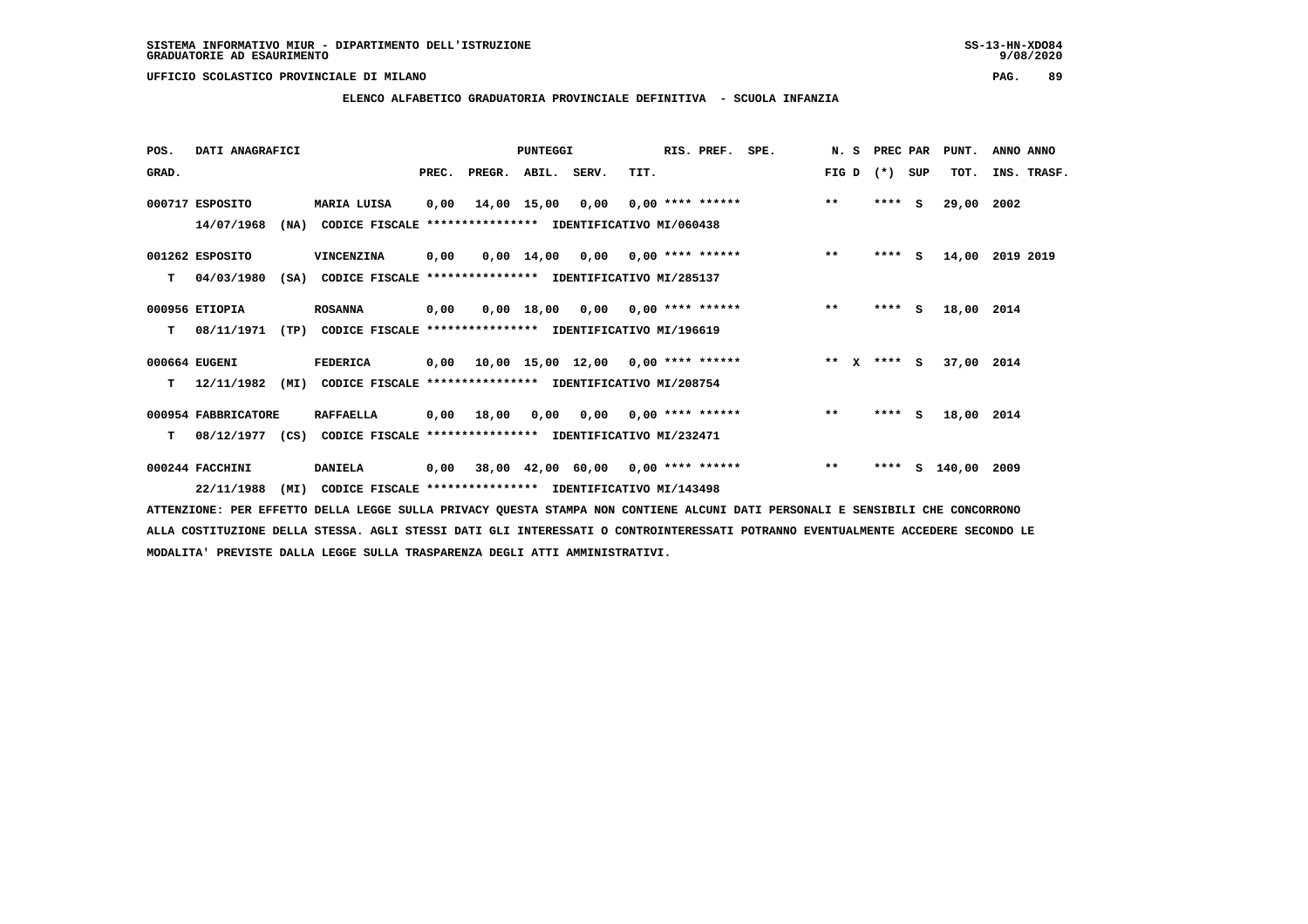**ELENCO ALFABETICO GRADUATORIA PROVINCIALE DEFINITIVA - SCUOLA INFANZIA**

 **POS. DATI ANAGRAFICI PUNTEGGI RIS. PREF. SPE. N. S PREC PAR PUNT. ANNO ANNO**GRAD. **PREGRADE SERVEGER. ABIL. SERV. TIT.** FIG D (\*) SUP TOT. INS. TRASF.  **000717 ESPOSITO MARIA LUISA 0,00 14,00 15,00 0,00 0,00 \*\*\*\* \*\*\*\*\*\* \*\* \*\*\*\* S 29,00 2002 14/07/1968 (NA) CODICE FISCALE \*\*\*\*\*\*\*\*\*\*\*\*\*\*\*\* IDENTIFICATIVO MI/060438 001262 ESPOSITO VINCENZINA 0,00 0,00 14,00 0,00 0,00 \*\*\*\* \*\*\*\*\*\* \*\* \*\*\*\* S 14,00 2019 2019 T 04/03/1980 (SA) CODICE FISCALE \*\*\*\*\*\*\*\*\*\*\*\*\*\*\*\* IDENTIFICATIVO MI/285137 000956 ETIOPIA ROSANNA 0,00 0,00 18,00 0,00 0,00 \*\*\*\* \*\*\*\*\*\* \*\* \*\*\*\* S 18,00 2014 T 08/11/1971 (TP) CODICE FISCALE \*\*\*\*\*\*\*\*\*\*\*\*\*\*\*\* IDENTIFICATIVO MI/196619 000664 EUGENI FEDERICA 0,00 10,00 15,00 12,00 0,00 \*\*\*\* \*\*\*\*\*\* \*\* X \*\*\*\* S 37,00 2014 T 12/11/1982 (MI) CODICE FISCALE \*\*\*\*\*\*\*\*\*\*\*\*\*\*\*\* IDENTIFICATIVO MI/208754 000954 FABBRICATORE RAFFAELLA 0,00 18,00 0,00 0,00 0,00 \*\*\*\* \*\*\*\*\*\* \*\* \*\*\*\* S 18,00 2014 T 08/12/1977 (CS) CODICE FISCALE \*\*\*\*\*\*\*\*\*\*\*\*\*\*\*\* IDENTIFICATIVO MI/232471 000244 FACCHINI DANIELA 0,00 38,00 42,00 60,00 0,00 \*\*\*\* \*\*\*\*\*\* \*\* \*\*\*\* S 140,00 2009**

 **22/11/1988 (MI) CODICE FISCALE \*\*\*\*\*\*\*\*\*\*\*\*\*\*\*\* IDENTIFICATIVO MI/143498 ATTENZIONE: PER EFFETTO DELLA LEGGE SULLA PRIVACY QUESTA STAMPA NON CONTIENE ALCUNI DATI PERSONALI E SENSIBILI CHE CONCORRONO ALLA COSTITUZIONE DELLA STESSA. AGLI STESSI DATI GLI INTERESSATI O CONTROINTERESSATI POTRANNO EVENTUALMENTE ACCEDERE SECONDO LE**

 **MODALITA' PREVISTE DALLA LEGGE SULLA TRASPARENZA DEGLI ATTI AMMINISTRATIVI.**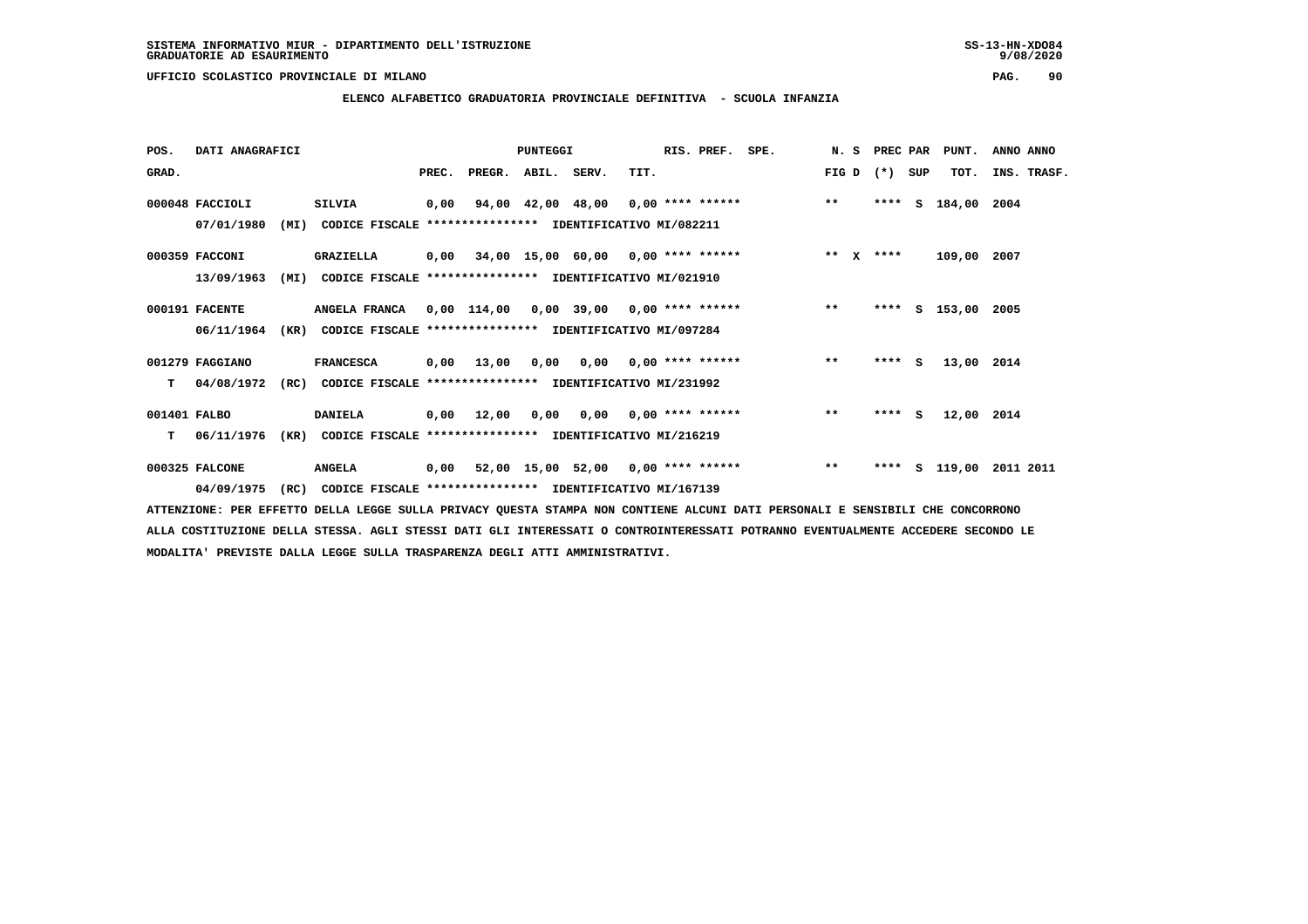## **ELENCO ALFABETICO GRADUATORIA PROVINCIALE DEFINITIVA - SCUOLA INFANZIA**

| POS.         | DATI ANAGRAFICI |      |                                                                 |       |                    | PUNTEGGI |                           |      | RIS. PREF. | SPE.                                                 | N.S   | PREC PAR |     | PUNT.         | ANNO ANNO   |
|--------------|-----------------|------|-----------------------------------------------------------------|-------|--------------------|----------|---------------------------|------|------------|------------------------------------------------------|-------|----------|-----|---------------|-------------|
| GRAD.        |                 |      |                                                                 | PREC. | PREGR. ABIL. SERV. |          |                           | TIT. |            |                                                      | FIG D | $(*)$    | SUP | TOT.          | INS. TRASF. |
|              | 000048 FACCIOLI |      | <b>SILVIA</b>                                                   | 0,00  |                    |          |                           |      |            | 94,00 42,00 48,00 0,00 **** ****** *** **            |       | ****     | S.  | 184,00 2004   |             |
|              | 07/01/1980      | (MI) | CODICE FISCALE **************** IDENTIFICATIVO MI/082211        |       |                    |          |                           |      |            |                                                      |       |          |     |               |             |
|              | 000359 FACCONI  |      | <b>GRAZIELLA</b>                                                |       |                    |          |                           |      |            | 0,00 34,00 15,00 60,00 0,00 **** ****** * *** * **** |       |          |     | 109,00 2007   |             |
|              | 13/09/1963      | (MI) | CODICE FISCALE **************** IDENTIFICATIVO MI/021910        |       |                    |          |                           |      |            |                                                      |       |          |     |               |             |
|              | 000191 FACENTE  |      | ANGELA FRANCA 0,00 114,00 0,00 39,00 0,00 **** ****** ***** *** |       |                    |          |                           |      |            |                                                      |       | ****     |     | S 153,00 2005 |             |
|              | 06/11/1964      |      | (KR) CODICE FISCALE **************** IDENTIFICATIVO MI/097284   |       |                    |          |                           |      |            |                                                      |       |          |     |               |             |
|              | 001279 FAGGIANO |      | <b>FRANCESCA</b>                                                |       |                    |          |                           |      |            | 0,00 13,00 0,00 0,00 0,00 **** ******                | $***$ | $***$ S  |     | 13,00 2014    |             |
| T.           | 04/08/1972      | (RC) | CODICE FISCALE **************** IDENTIFICATIVO MI/231992        |       |                    |          |                           |      |            |                                                      |       |          |     |               |             |
| 001401 FALBO |                 |      | <b>DANIELA</b>                                                  |       | 0,00 12,00         | 0,00     | $0,00$ $0,00$ **** ****** |      |            |                                                      | $***$ | $***$ S  |     | 12,00 2014    |             |
| T.           | 06/11/1976      |      | (KR) CODICE FISCALE **************** IDENTIFICATIVO MI/216219   |       |                    |          |                           |      |            |                                                      |       |          |     |               |             |
|              | 000325 FALCONE  |      | <b>ANGELA</b>                                                   |       |                    |          |                           |      |            | 0,00 52,00 15,00 52,00 0,00 **** ******              | $***$ | ****     |     | s 119,00      | 2011 2011   |
|              | 04/09/1975      | (RC) | CODICE FISCALE **************** IDENTIFICATIVO MI/167139        |       |                    |          |                           |      |            |                                                      |       |          |     |               |             |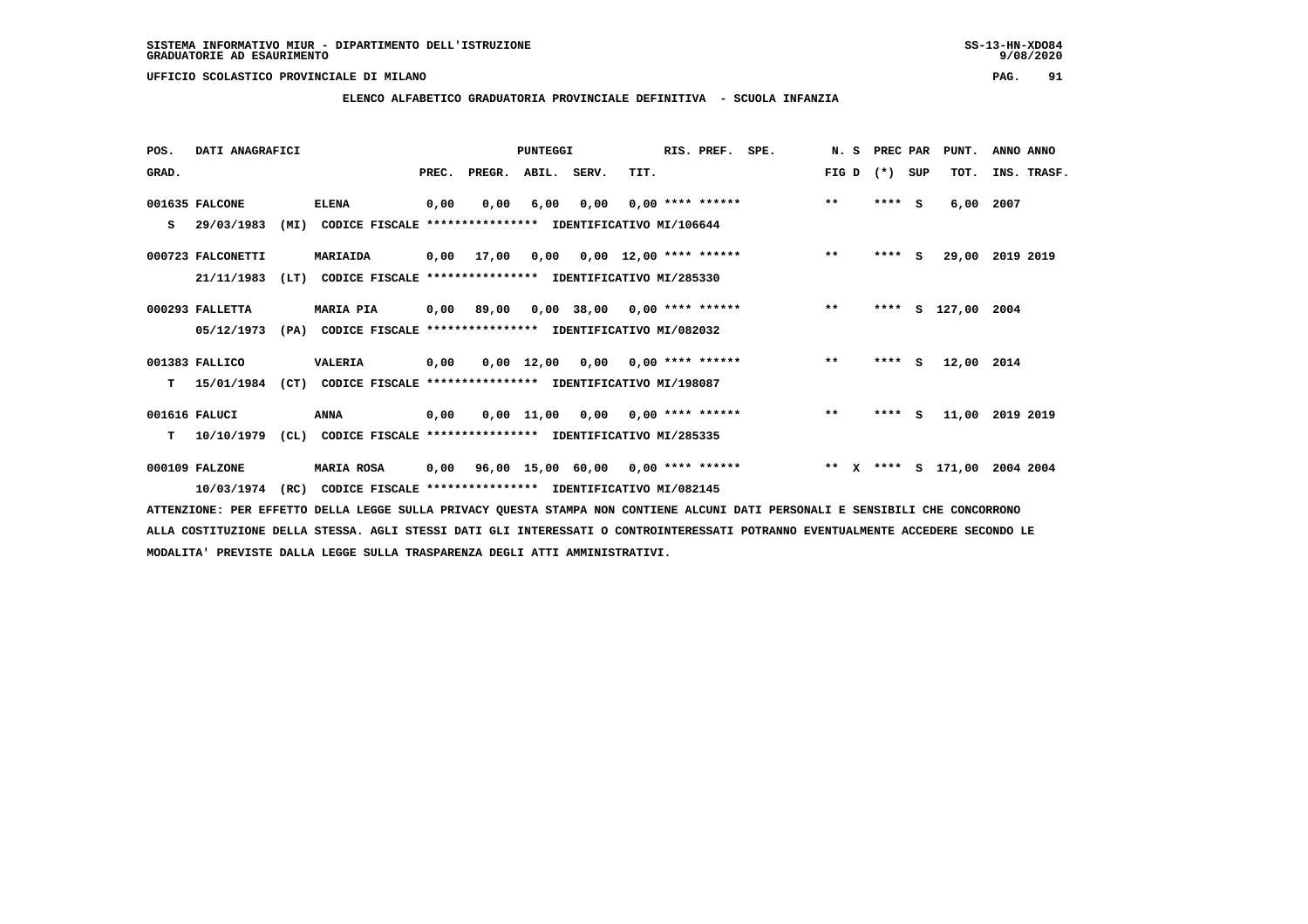$9/08/2020$ 

 **UFFICIO SCOLASTICO PROVINCIALE DI MILANO PAG. 91**

# **ELENCO ALFABETICO GRADUATORIA PROVINCIALE DEFINITIVA - SCUOLA INFANZIA**

| POS.  | DATI ANAGRAFICI   |      |                                                               |       |                    | <b>PUNTEGGI</b>                    |                                   |      | RIS. PREF.                | SPE.                                                                      |       | N. S PREC PAR |     | PUNT.         | ANNO ANNO       |
|-------|-------------------|------|---------------------------------------------------------------|-------|--------------------|------------------------------------|-----------------------------------|------|---------------------------|---------------------------------------------------------------------------|-------|---------------|-----|---------------|-----------------|
| GRAD. |                   |      |                                                               | PREC. | PREGR. ABIL. SERV. |                                    |                                   | TIT. |                           |                                                                           | FIG D | $(* )$        | SUP | TOT.          | INS. TRASF.     |
|       | 001635 FALCONE    |      | <b>ELENA</b>                                                  | 0,00  | 0,00               | 6,00                               |                                   |      | $0,00$ $0,00$ **** ****** |                                                                           | $***$ | $***$ S       |     | 6,00          | 2007            |
| s     | 29/03/1983        | (MI) | CODICE FISCALE **************** IDENTIFICATIVO MI/106644      |       |                    |                                    |                                   |      |                           |                                                                           |       |               |     |               |                 |
|       | 000723 FALCONETTI |      | MARIAIDA                                                      |       | 0,00 17,00         |                                    | $0,00$ $0,00$ $12,00$ **** ****** |      |                           |                                                                           | $**$  | $***$ S       |     |               | 29,00 2019 2019 |
|       | 21/11/1983        | (LT) | CODICE FISCALE **************** IDENTIFICATIVO MI/285330      |       |                    |                                    |                                   |      |                           |                                                                           |       |               |     |               |                 |
|       | 000293 FALLETTA   |      | <b>MARIA PIA</b>                                              | 0,00  | 89,00              |                                    |                                   |      |                           | $0.00$ 38.00 $0.00$ **** ****** *** **                                    |       | ****          |     | S 127,00 2004 |                 |
|       | 05/12/1973        |      | (PA) CODICE FISCALE **************** IDENTIFICATIVO MI/082032 |       |                    |                                    |                                   |      |                           |                                                                           |       |               |     |               |                 |
|       | 001383 FALLICO    |      | VALERIA                                                       | 0,00  |                    | $0,00$ 12,00 0,00 0,00 **** ****** |                                   |      |                           |                                                                           | $***$ | $***$ S       |     | 12,00 2014    |                 |
| T.    | 15/01/1984        | (CT) | CODICE FISCALE **************** IDENTIFICATIVO MI/198087      |       |                    |                                    |                                   |      |                           |                                                                           |       |               |     |               |                 |
|       | 001616 FALUCI     |      | ANNA                                                          | 0,00  |                    | $0,00$ 11,00 0,00 0,00 **** ****** |                                   |      |                           |                                                                           | $***$ | $***$ S       |     | 11,00         | 2019 2019       |
| T.    | 10/10/1979        |      | (CL) CODICE FISCALE **************** IDENTIFICATIVO MI/285335 |       |                    |                                    |                                   |      |                           |                                                                           |       |               |     |               |                 |
|       | 000109 FALZONE    |      | <b>MARIA ROSA</b>                                             |       |                    |                                    |                                   |      |                           | $0,00$ 96,00 15,00 60,00 0,00 **** ****** * *** X **** S 171,00 2004 2004 |       |               |     |               |                 |
|       | 10/03/1974        | (RC) | CODICE FISCALE **************** IDENTIFICATIVO MI/082145      |       |                    |                                    |                                   |      |                           |                                                                           |       |               |     |               |                 |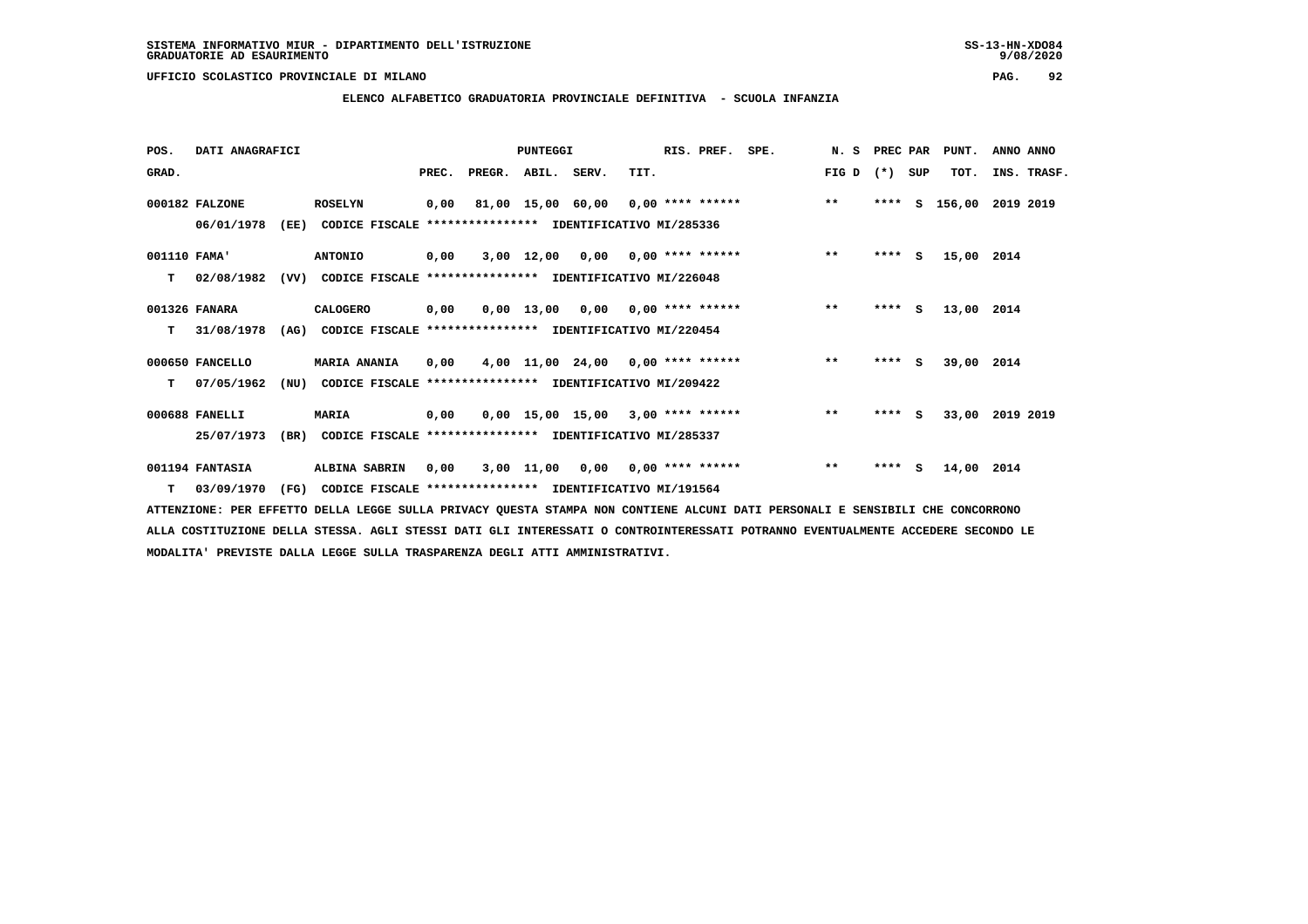**ELENCO ALFABETICO GRADUATORIA PROVINCIALE DEFINITIVA - SCUOLA INFANZIA**

| POS.         | DATI ANAGRAFICI |                                                                  |       |                    | <b>PUNTEGGI</b> |                 |                                           | RIS. PREF. | SPE. | N. S PREC PAR |         |     | PUNT.         | ANNO ANNO       |  |
|--------------|-----------------|------------------------------------------------------------------|-------|--------------------|-----------------|-----------------|-------------------------------------------|------------|------|---------------|---------|-----|---------------|-----------------|--|
| GRAD.        |                 |                                                                  | PREC. | PREGR. ABIL. SERV. |                 |                 | TIT.                                      |            |      | FIG D $(*)$   |         | SUP | TOT.          | INS. TRASF.     |  |
|              | 000182 FALZONE  | <b>ROSELYN</b>                                                   | 0,00  |                    |                 |                 | 81,00 15,00 60,00 0,00 **** ******        |            |      | $***$         |         |     | **** S 156,00 | 2019 2019       |  |
|              | 06/01/1978      | (EE)<br>CODICE FISCALE **************** IDENTIFICATIVO MI/285336 |       |                    |                 |                 |                                           |            |      |               |         |     |               |                 |  |
| 001110 FAMA' |                 | <b>ANTONIO</b>                                                   | 0,00  |                    |                 |                 | $3,00$ 12,00 0,00 0,00 **** ******        |            |      | $\star\star$  | $***$ S |     | 15,00 2014    |                 |  |
| т            | 02/08/1982      | (VV)<br>CODICE FISCALE **************** IDENTIFICATIVO MI/226048 |       |                    |                 |                 |                                           |            |      |               |         |     |               |                 |  |
|              | 001326 FANARA   | CALOGERO                                                         | 0,00  |                    |                 | 0,00 13,00 0,00 | $0.00$ **** ******                        |            |      | $**$          | $***$ S |     | 13,00 2014    |                 |  |
| т            | 31/08/1978      | (AG) CODICE FISCALE **************** IDENTIFICATIVO MI/220454    |       |                    |                 |                 |                                           |            |      |               |         |     |               |                 |  |
|              | 000650 FANCELLO | <b>MARIA ANANIA</b>                                              | 0,00  |                    |                 |                 | 4,00 11,00 24,00 0,00 **** ******         |            |      | $***$         | $***$ S |     | 39,00 2014    |                 |  |
| т            | 07/05/1962      | (NU)<br>CODICE FISCALE                                           |       |                    |                 |                 | **************** IDENTIFICATIVO MI/209422 |            |      |               |         |     |               |                 |  |
|              | 000688 FANELLI  | <b>MARIA</b>                                                     | 0,00  |                    |                 |                 | $0,00$ 15,00 15,00 3,00 **** ******       |            |      | $***$         | $***$ S |     |               | 33,00 2019 2019 |  |
|              | 25/07/1973      | CODICE FISCALE **************** IDENTIFICATIVO MI/285337<br>(BR) |       |                    |                 |                 |                                           |            |      |               |         |     |               |                 |  |
|              | 001194 FANTASIA | ALBINA SABRIN                                                    | 0,00  |                    | 3,00 11,00      | 0,00            | $0.00$ **** ******                        |            |      | $***$         | $***$ S |     | 14,00 2014    |                 |  |
|              | T 03/09/1970    | (FG)<br>CODICE FISCALE **************** IDENTIFICATIVO MI/191564 |       |                    |                 |                 |                                           |            |      |               |         |     |               |                 |  |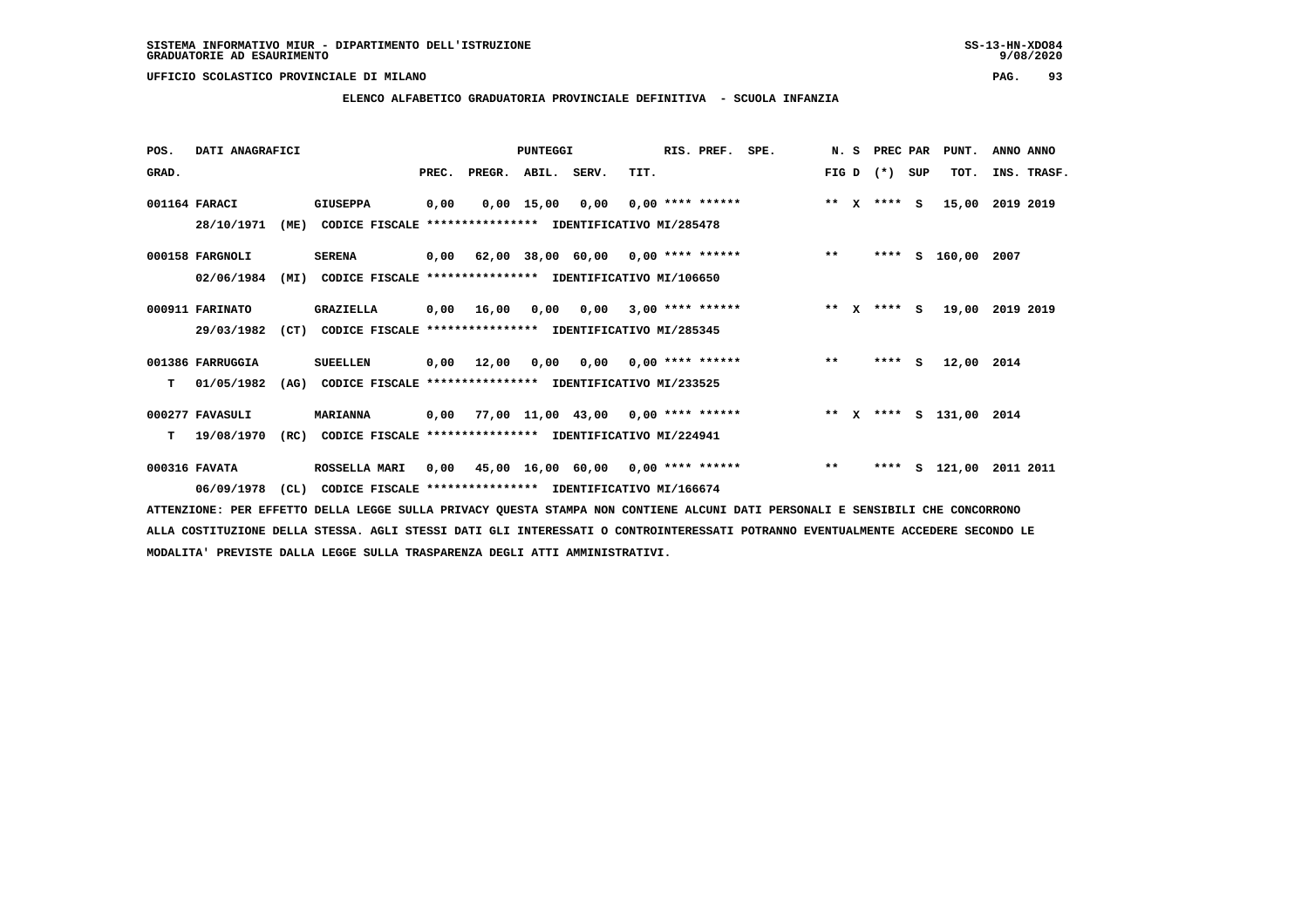**ELENCO ALFABETICO GRADUATORIA PROVINCIALE DEFINITIVA - SCUOLA INFANZIA**

 **POS. DATI ANAGRAFICI PUNTEGGI RIS. PREF. SPE. N. S PREC PAR PUNT. ANNO ANNO**GRAD. **PREGRADE SERVEGER. ABIL. SERV. TIT.** FIG D (\*) SUP TOT. INS. TRASF.  **001164 FARACI GIUSEPPA 0,00 0,00 15,00 0,00 0,00 \*\*\*\* \*\*\*\*\*\* \*\* X \*\*\*\* S 15,00 2019 2019 28/10/1971 (ME) CODICE FISCALE \*\*\*\*\*\*\*\*\*\*\*\*\*\*\*\* IDENTIFICATIVO MI/285478 000158 FARGNOLI SERENA 0,00 62,00 38,00 60,00 0,00 \*\*\*\* \*\*\*\*\*\* \*\* \*\*\*\* S 160,00 2007 02/06/1984 (MI) CODICE FISCALE \*\*\*\*\*\*\*\*\*\*\*\*\*\*\*\* IDENTIFICATIVO MI/106650 000911 FARINATO GRAZIELLA 0,00 16,00 0,00 0,00 3,00 \*\*\*\* \*\*\*\*\*\* \*\* X \*\*\*\* S 19,00 2019 2019 29/03/1982 (CT) CODICE FISCALE \*\*\*\*\*\*\*\*\*\*\*\*\*\*\*\* IDENTIFICATIVO MI/285345 001386 FARRUGGIA SUEELLEN 0,00 12,00 0,00 0,00 0,00 \*\*\*\* \*\*\*\*\*\* \*\* \*\*\*\* S 12,00 2014 T 01/05/1982 (AG) CODICE FISCALE \*\*\*\*\*\*\*\*\*\*\*\*\*\*\*\* IDENTIFICATIVO MI/233525 000277 FAVASULI MARIANNA 0,00 77,00 11,00 43,00 0,00 \*\*\*\* \*\*\*\*\*\* \*\* X \*\*\*\* S 131,00 2014 T 19/08/1970 (RC) CODICE FISCALE \*\*\*\*\*\*\*\*\*\*\*\*\*\*\*\* IDENTIFICATIVO MI/224941 000316 FAVATA ROSSELLA MARI 0,00 45,00 16,00 60,00 0,00 \*\*\*\* \*\*\*\*\*\* \*\* \*\*\*\* S 121,00 2011 2011 06/09/1978 (CL) CODICE FISCALE \*\*\*\*\*\*\*\*\*\*\*\*\*\*\*\* IDENTIFICATIVO MI/166674**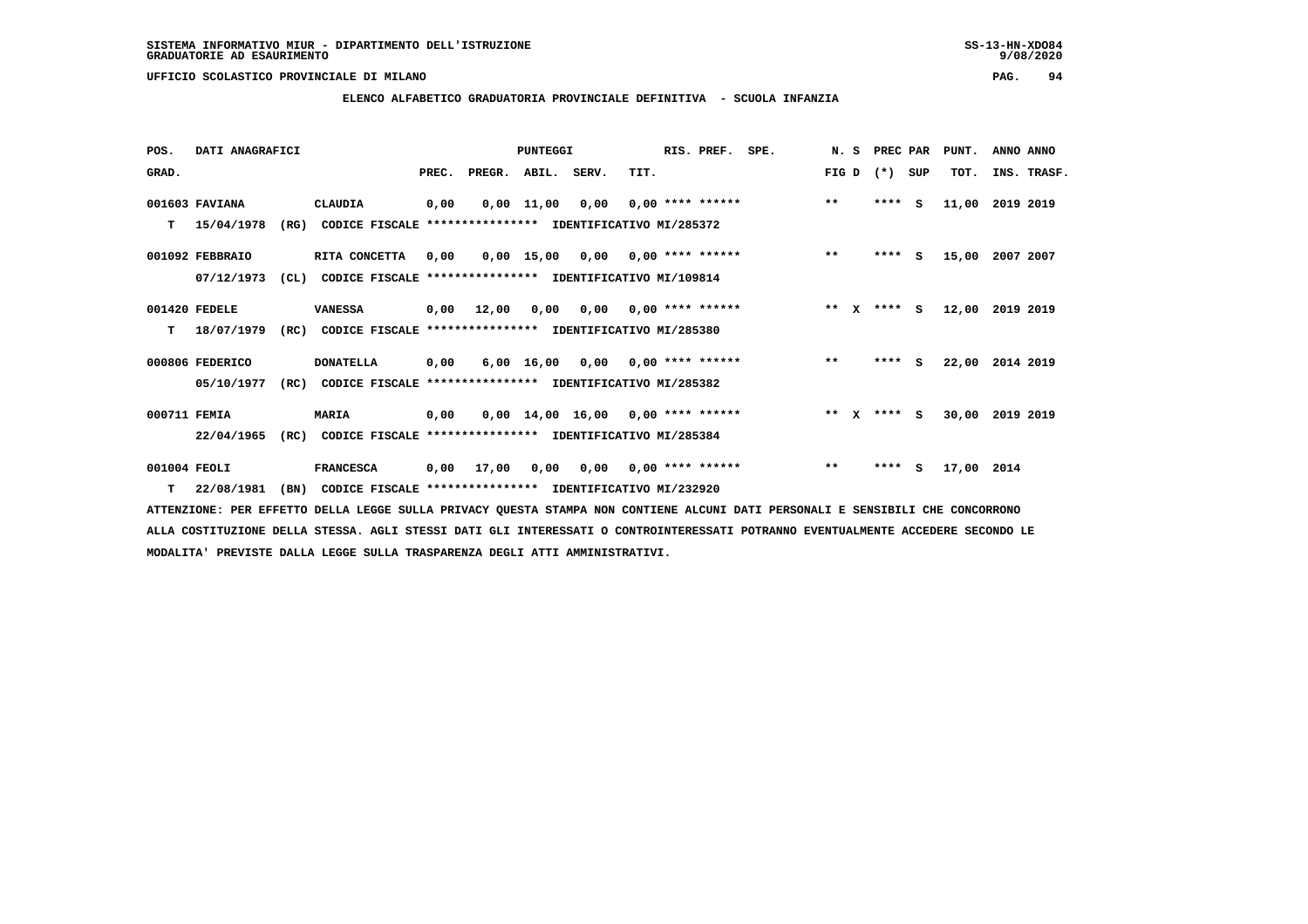# **ELENCO ALFABETICO GRADUATORIA PROVINCIALE DEFINITIVA - SCUOLA INFANZIA**

 **POS. DATI ANAGRAFICI PUNTEGGI RIS. PREF. SPE. N. S PREC PAR PUNT. ANNO ANNO**GRAD. **BRAD. PREC. PREGR. ABIL. SERV.** TIT. THE REGREATER FIG D (\*) SUP TOT. INS. TRASF.  **001603 FAVIANA CLAUDIA 0,00 0,00 11,00 0,00 0,00 \*\*\*\* \*\*\*\*\*\* \*\* \*\*\*\* S 11,00 2019 2019 T 15/04/1978 (RG) CODICE FISCALE \*\*\*\*\*\*\*\*\*\*\*\*\*\*\*\* IDENTIFICATIVO MI/285372 001092 FEBBRAIO RITA CONCETTA 0,00 0,00 15,00 0,00 0,00 \*\*\*\* \*\*\*\*\*\* \*\* \*\*\*\* S 15,00 2007 2007 07/12/1973 (CL) CODICE FISCALE \*\*\*\*\*\*\*\*\*\*\*\*\*\*\*\* IDENTIFICATIVO MI/109814 001420 FEDELE VANESSA 0,00 12,00 0,00 0,00 0,00 \*\*\*\* \*\*\*\*\*\* \*\* X \*\*\*\* S 12,00 2019 2019 T 18/07/1979 (RC) CODICE FISCALE \*\*\*\*\*\*\*\*\*\*\*\*\*\*\*\* IDENTIFICATIVO MI/285380 000806 FEDERICO DONATELLA 0,00 6,00 16,00 0,00 0,00 \*\*\*\* \*\*\*\*\*\* \*\* \*\*\*\* S 22,00 2014 2019 05/10/1977 (RC) CODICE FISCALE \*\*\*\*\*\*\*\*\*\*\*\*\*\*\*\* IDENTIFICATIVO MI/285382 000711 FEMIA MARIA 0,00 0,00 14,00 16,00 0,00 \*\*\*\* \*\*\*\*\*\* \*\* X \*\*\*\* S 30,00 2019 2019 22/04/1965 (RC) CODICE FISCALE \*\*\*\*\*\*\*\*\*\*\*\*\*\*\*\* IDENTIFICATIVO MI/285384 001004 FEOLI FRANCESCA 0,00 17,00 0,00 0,00 0,00 \*\*\*\* \*\*\*\*\*\* \*\* \*\*\*\* S 17,00 2014**

 **T 22/08/1981 (BN) CODICE FISCALE \*\*\*\*\*\*\*\*\*\*\*\*\*\*\*\* IDENTIFICATIVO MI/232920**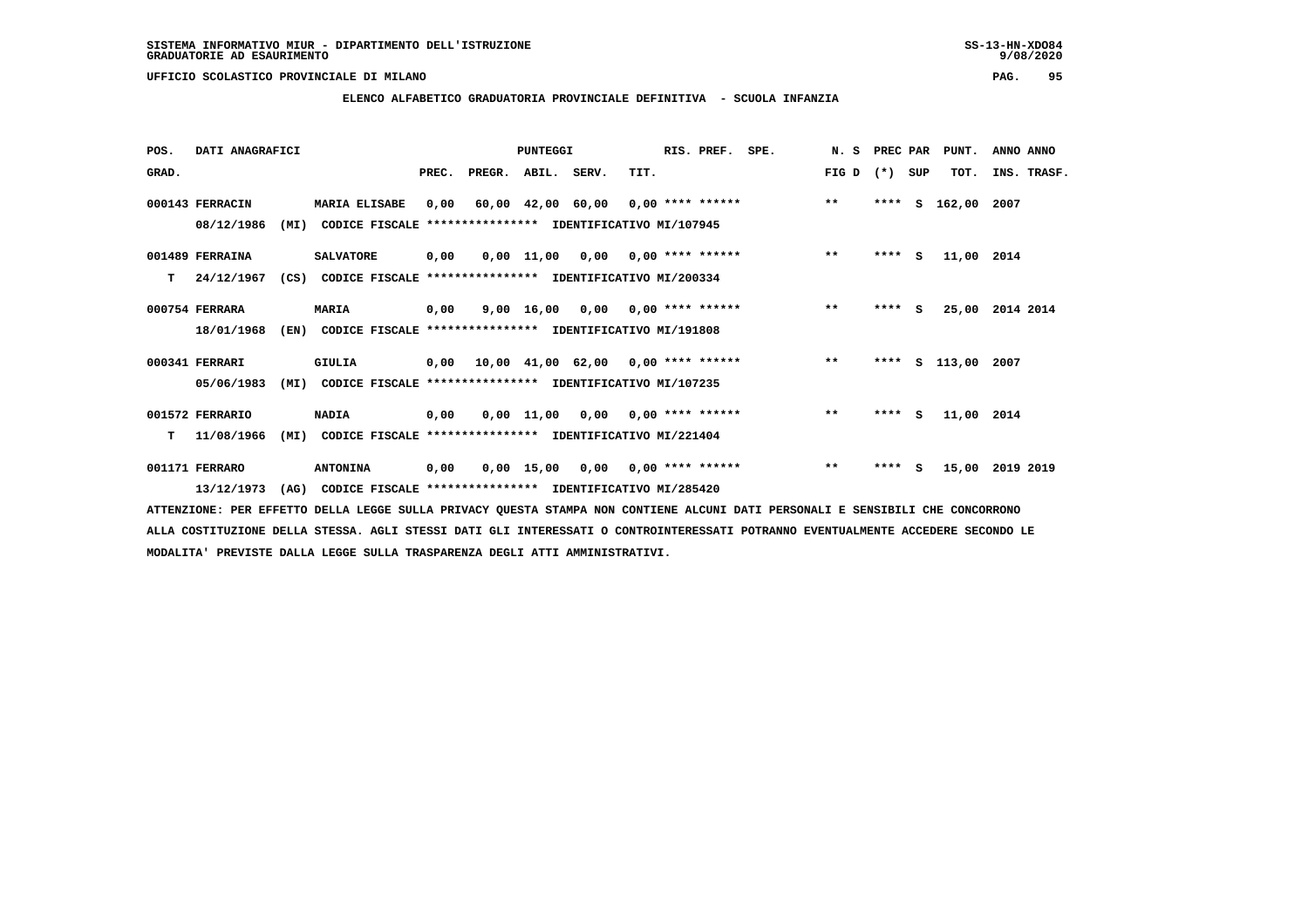**ELENCO ALFABETICO GRADUATORIA PROVINCIALE DEFINITIVA - SCUOLA INFANZIA**

| POS.  | DATI ANAGRAFICI |      |                                                          |       |        | PUNTEGGI     |                                                  |      | RIS. PREF.         | SPE. | N.S   | PREC PAR |     | PUNT.      | ANNO ANNO   |
|-------|-----------------|------|----------------------------------------------------------|-------|--------|--------------|--------------------------------------------------|------|--------------------|------|-------|----------|-----|------------|-------------|
| GRAD. |                 |      |                                                          | PREC. | PREGR. | ABIL. SERV.  |                                                  | TIT. |                    |      | FIG D | $(* )$   | SUP | TOT.       | INS. TRASF. |
|       | 000143 FERRACIN |      | <b>MARIA ELISABE</b>                                     | 0,00  |        |              | $60,00$ $42,00$ $60,00$ $0,00$ $***$ **** ****** |      |                    |      | $***$ | ****     | s   | 162,00     | 2007        |
|       | 08/12/1986      | (MI) | CODICE FISCALE **************** IDENTIFICATIVO MI/107945 |       |        |              |                                                  |      |                    |      |       |          |     |            |             |
|       | 001489 FERRAINA |      | <b>SALVATORE</b>                                         | 0,00  |        |              | $0,00$ 11,00 0,00 0,00 **** ******               |      |                    |      | $***$ | ****     | - S | 11,00 2014 |             |
| т     | 24/12/1967      | (CS) | CODICE FISCALE                                           |       |        |              | *************** IDENTIFICATIVO MI/200334         |      |                    |      |       |          |     |            |             |
|       | 000754 FERRARA  |      | <b>MARIA</b>                                             | 0,00  |        |              | $9,00$ 16,00 0,00 0,00 **** ******               |      |                    |      | $* *$ | $***$ S  |     | 25,00      | 2014 2014   |
|       | 18/01/1968      | (EN) | CODICE FISCALE **************** IDENTIFICATIVO MI/191808 |       |        |              |                                                  |      |                    |      |       |          |     |            |             |
|       | 000341 FERRARI  |      | <b>GIULIA</b>                                            | 0,00  |        |              | $10,00$ $41,00$ $62,00$ $0,00$ **** ******       |      |                    |      | $***$ | ****     |     | s 113,00   | 2007        |
|       | 05/06/1983      | (MI) | CODICE FISCALE **************** IDENTIFICATIVO MI/107235 |       |        |              |                                                  |      |                    |      |       |          |     |            |             |
|       | 001572 FERRARIO |      | <b>NADIA</b>                                             | 0,00  |        |              | $0,00$ 11,00 0,00 0,00 **** ******               |      |                    |      | $***$ | $***$ S  |     | 11,00 2014 |             |
| т     | 11/08/1966      | (MI) | CODICE FISCALE **************** IDENTIFICATIVO MI/221404 |       |        |              |                                                  |      |                    |      |       |          |     |            |             |
|       | 001171 FERRARO  |      | <b>ANTONINA</b>                                          | 0,00  |        | $0,00$ 15,00 | 0,00                                             |      | $0,00$ **** ****** |      | $***$ | $***$ S  |     | 15,00      | 2019 2019   |
|       | 13/12/1973      | (AG) | CODICE FISCALE **************** IDENTIFICATIVO MI/285420 |       |        |              |                                                  |      |                    |      |       |          |     |            |             |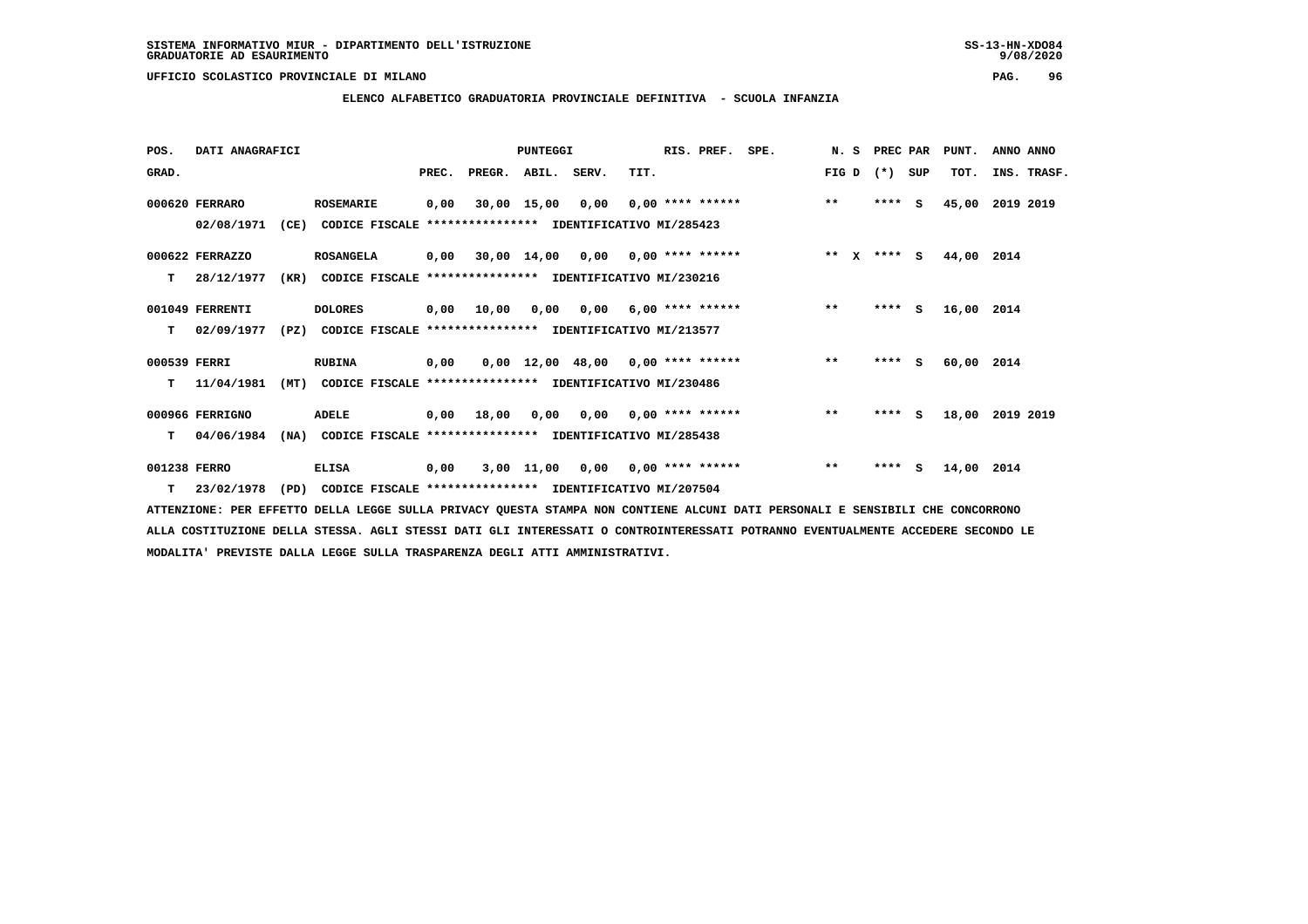**ELENCO ALFABETICO GRADUATORIA PROVINCIALE DEFINITIVA - SCUOLA INFANZIA**

| POS.         | DATI ANAGRAFICI  |      |                                                               |       |              | <b>PUNTEGGI</b> |           |                                           | RIS. PREF. | SPE.               | N. S         | PREC PAR    |     | PUNT.      | ANNO ANNO   |
|--------------|------------------|------|---------------------------------------------------------------|-------|--------------|-----------------|-----------|-------------------------------------------|------------|--------------------|--------------|-------------|-----|------------|-------------|
| GRAD.        |                  |      |                                                               | PREC. | PREGR.       | ABIL.           | SERV.     | TIT.                                      |            |                    | FIG D        | $(*)$       | SUP | TOT.       | INS. TRASF. |
|              | 000620 FERRARO   |      | <b>ROSEMARIE</b>                                              | 0,00  |              | 30,00 15,00     | 0,00      |                                           |            | $0,00$ **** ****** | $***$        | ****        | s   | 45,00      | 2019 2019   |
|              | 02/08/1971       | (CE) | CODICE FISCALE **************** IDENTIFICATIVO MI/285423      |       |              |                 |           |                                           |            |                    |              |             |     |            |             |
|              | 000622 FERRAZZO  |      | <b>ROSANGELA</b>                                              | 0,00  |              |                 |           | $30,00$ 14,00 0,00 0,00 **** ******       |            |                    |              | ** x **** s |     | 44,00      | 2014        |
| т            | 28/12/1977       | (KR) | CODICE FISCALE                                                |       |              |                 |           | **************** IDENTIFICATIVO MI/230216 |            |                    |              |             |     |            |             |
|              | 001049 FERRENTI  |      | <b>DOLORES</b>                                                |       | 0,00 10,00   |                 | 0,00 0,00 | $6,00$ **** ******                        |            |                    | $\star\star$ | $***$ S     |     | 16,00 2014 |             |
| T.           | 02/09/1977       | (PZ) | CODICE FISCALE **************** IDENTIFICATIVO MI/213577      |       |              |                 |           |                                           |            |                    |              |             |     |            |             |
| 000539 FERRI |                  |      | <b>RUBINA</b>                                                 | 0,00  |              |                 |           | $0,00$ 12,00 48,00 0,00 **** ******       |            |                    | $\star\star$ | $***$ S     |     | 60,00 2014 |             |
| т            | 11/04/1981       | (MT) | CODICE FISCALE **************** IDENTIFICATIVO MI/230486      |       |              |                 |           |                                           |            |                    |              |             |     |            |             |
|              | 000966 FERRIGNO  |      | ADELE                                                         |       | $0,00$ 18,00 | 0,00            |           | 0,00 0,00 **** ******                     |            |                    | $***$        | $***$ S     |     | 18,00      | 2019 2019   |
| т            | 04/06/1984       | (NA) | CODICE FISCALE **************** IDENTIFICATIVO MI/285438      |       |              |                 |           |                                           |            |                    |              |             |     |            |             |
| 001238 FERRO |                  |      | <b>ELISA</b>                                                  | 0,00  |              | 3,00 11,00      | 0,00      | $0,00$ **** ******                        |            |                    | $\star\star$ | ****        | s   | 14,00 2014 |             |
|              | $T = 23/02/1978$ |      | (PD) CODICE FISCALE **************** IDENTIFICATIVO MI/207504 |       |              |                 |           |                                           |            |                    |              |             |     |            |             |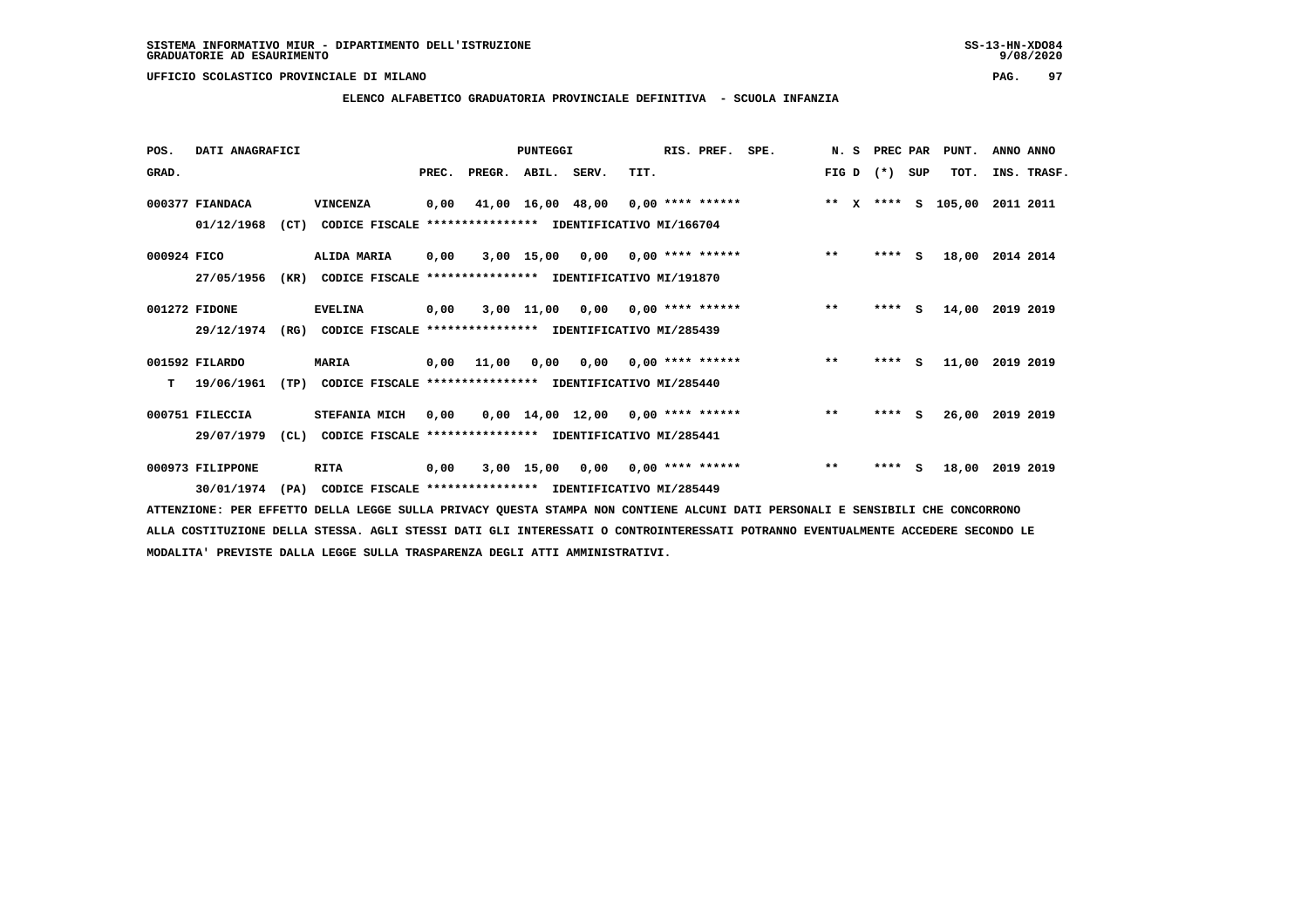# **ELENCO ALFABETICO GRADUATORIA PROVINCIALE DEFINITIVA - SCUOLA INFANZIA**

| POS.        | DATI ANAGRAFICI  |      |                                                          |       |                    | PUNTEGGI          |                                     |      | RIS. PREF.                | SPE. | N. S  |              | PREC PAR |          | PUNT.  | ANNO ANNO   |  |
|-------------|------------------|------|----------------------------------------------------------|-------|--------------------|-------------------|-------------------------------------|------|---------------------------|------|-------|--------------|----------|----------|--------|-------------|--|
| GRAD.       |                  |      |                                                          | PREC. | PREGR. ABIL. SERV. |                   |                                     | TIT. |                           |      | FIG D |              | $(* )$   | SUP      | TOT.   | INS. TRASF. |  |
|             | 000377 FIANDACA  |      | VINCENZA                                                 | 0,00  |                    | 41,00 16,00 48,00 |                                     |      | $0,00$ **** ******        |      | $* *$ | $\mathbf{x}$ | $***$ S  |          | 105,00 | 2011 2011   |  |
|             | 01/12/1968       | (CT) | CODICE FISCALE **************** IDENTIFICATIVO MI/166704 |       |                    |                   |                                     |      |                           |      |       |              |          |          |        |             |  |
| 000924 FICO |                  |      | ALIDA MARIA                                              | 0,00  |                    | 3,00 15,00        |                                     |      | $0,00$ $0,00$ **** ****** |      | $***$ |              | ****     | <b>S</b> | 18,00  | 2014 2014   |  |
|             | 27/05/1956       | (KR) | CODICE FISCALE **************** IDENTIFICATIVO MI/191870 |       |                    |                   |                                     |      |                           |      |       |              |          |          |        |             |  |
|             | 001272 FIDONE    |      | <b>EVELINA</b>                                           | 0,00  |                    | 3,00 11,00        | 0,00                                |      | $0.00$ **** ******        |      | $***$ |              | ****     | s        | 14,00  | 2019 2019   |  |
|             | 29/12/1974       | (RG) | CODICE FISCALE **************** IDENTIFICATIVO MI/285439 |       |                    |                   |                                     |      |                           |      |       |              |          |          |        |             |  |
|             | 001592 FILARDO   |      | <b>MARIA</b>                                             |       | 0.00 11.00         | 0,00              |                                     |      | $0,00$ $0,00$ **** ****** |      | $***$ |              | $***$ S  |          | 11,00  | 2019 2019   |  |
| т           | 19/06/1961       | (TP) | CODICE FISCALE **************** IDENTIFICATIVO MI/285440 |       |                    |                   |                                     |      |                           |      |       |              |          |          |        |             |  |
|             | 000751 FILECCIA  |      | STEFANIA MICH                                            | 0,00  |                    |                   | $0,00$ 14,00 12,00 0,00 **** ****** |      |                           |      | $***$ |              | ****     | s        | 26,00  | 2019 2019   |  |
|             | 29/07/1979       | CL)  | CODICE FISCALE **************** IDENTIFICATIVO MI/285441 |       |                    |                   |                                     |      |                           |      |       |              |          |          |        |             |  |
|             | 000973 FILIPPONE |      | <b>RITA</b>                                              | 0,00  |                    |                   | $3,00$ 15,00 0,00 0,00 **** ******  |      |                           |      | $***$ |              | ****     | s        | 18,00  | 2019 2019   |  |
|             | 30/01/1974       | (PA) | CODICE FISCALE **************** IDENTIFICATIVO MI/285449 |       |                    |                   |                                     |      |                           |      |       |              |          |          |        |             |  |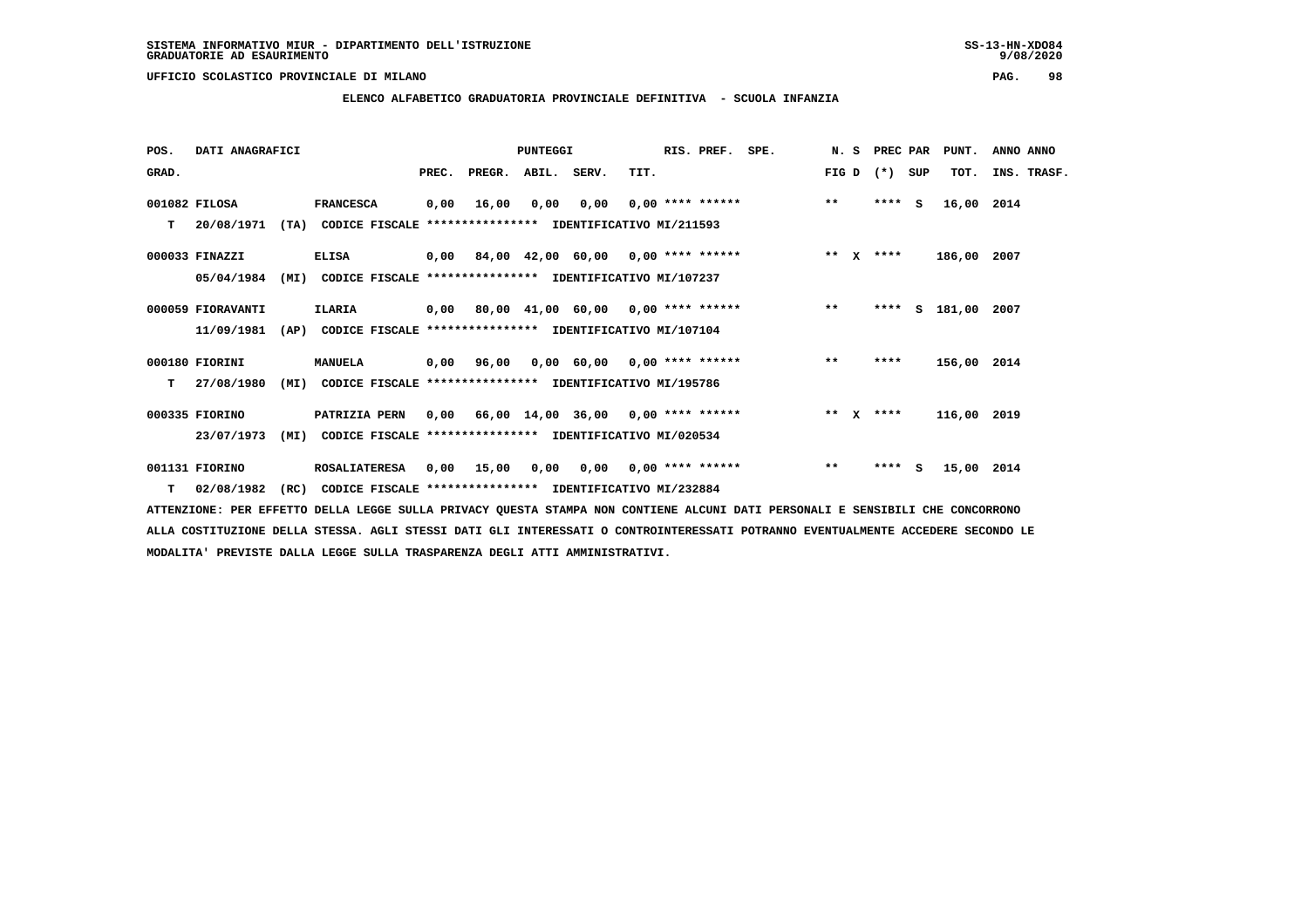**ELENCO ALFABETICO GRADUATORIA PROVINCIALE DEFINITIVA - SCUOLA INFANZIA**

 **POS. DATI ANAGRAFICI PUNTEGGI RIS. PREF. SPE. N. S PREC PAR PUNT. ANNO ANNO**GRAD. **PREGRADE SERVEGER. ABIL. SERV. TIT.** FIG D (\*) SUP TOT. INS. TRASF.  **001082 FILOSA FRANCESCA 0,00 16,00 0,00 0,00 0,00 \*\*\*\* \*\*\*\*\*\* \*\* \*\*\*\* S 16,00 2014 T 20/08/1971 (TA) CODICE FISCALE \*\*\*\*\*\*\*\*\*\*\*\*\*\*\*\* IDENTIFICATIVO MI/211593 000033 FINAZZI ELISA 0,00 84,00 42,00 60,00 0,00 \*\*\*\* \*\*\*\*\*\* \*\* X \*\*\*\* 186,00 2007 05/04/1984 (MI) CODICE FISCALE \*\*\*\*\*\*\*\*\*\*\*\*\*\*\*\* IDENTIFICATIVO MI/107237 000059 FIORAVANTI ILARIA 0,00 80,00 41,00 60,00 0,00 \*\*\*\* \*\*\*\*\*\* \*\* \*\*\*\* S 181,00 2007 11/09/1981 (AP) CODICE FISCALE \*\*\*\*\*\*\*\*\*\*\*\*\*\*\*\* IDENTIFICATIVO MI/107104 000180 FIORINI MANUELA 0,00 96,00 0,00 60,00 0,00 \*\*\*\* \*\*\*\*\*\* \*\* \*\*\*\* 156,00 2014 T 27/08/1980 (MI) CODICE FISCALE \*\*\*\*\*\*\*\*\*\*\*\*\*\*\*\* IDENTIFICATIVO MI/195786 000335 FIORINO PATRIZIA PERN 0,00 66,00 14,00 36,00 0,00 \*\*\*\* \*\*\*\*\*\* \*\* X \*\*\*\* 116,00 2019 23/07/1973 (MI) CODICE FISCALE \*\*\*\*\*\*\*\*\*\*\*\*\*\*\*\* IDENTIFICATIVO MI/020534**

 **001131 FIORINO ROSALIATERESA 0,00 15,00 0,00 0,00 0,00 \*\*\*\* \*\*\*\*\*\* \*\* \*\*\*\* S 15,00 2014 T 02/08/1982 (RC) CODICE FISCALE \*\*\*\*\*\*\*\*\*\*\*\*\*\*\*\* IDENTIFICATIVO MI/232884**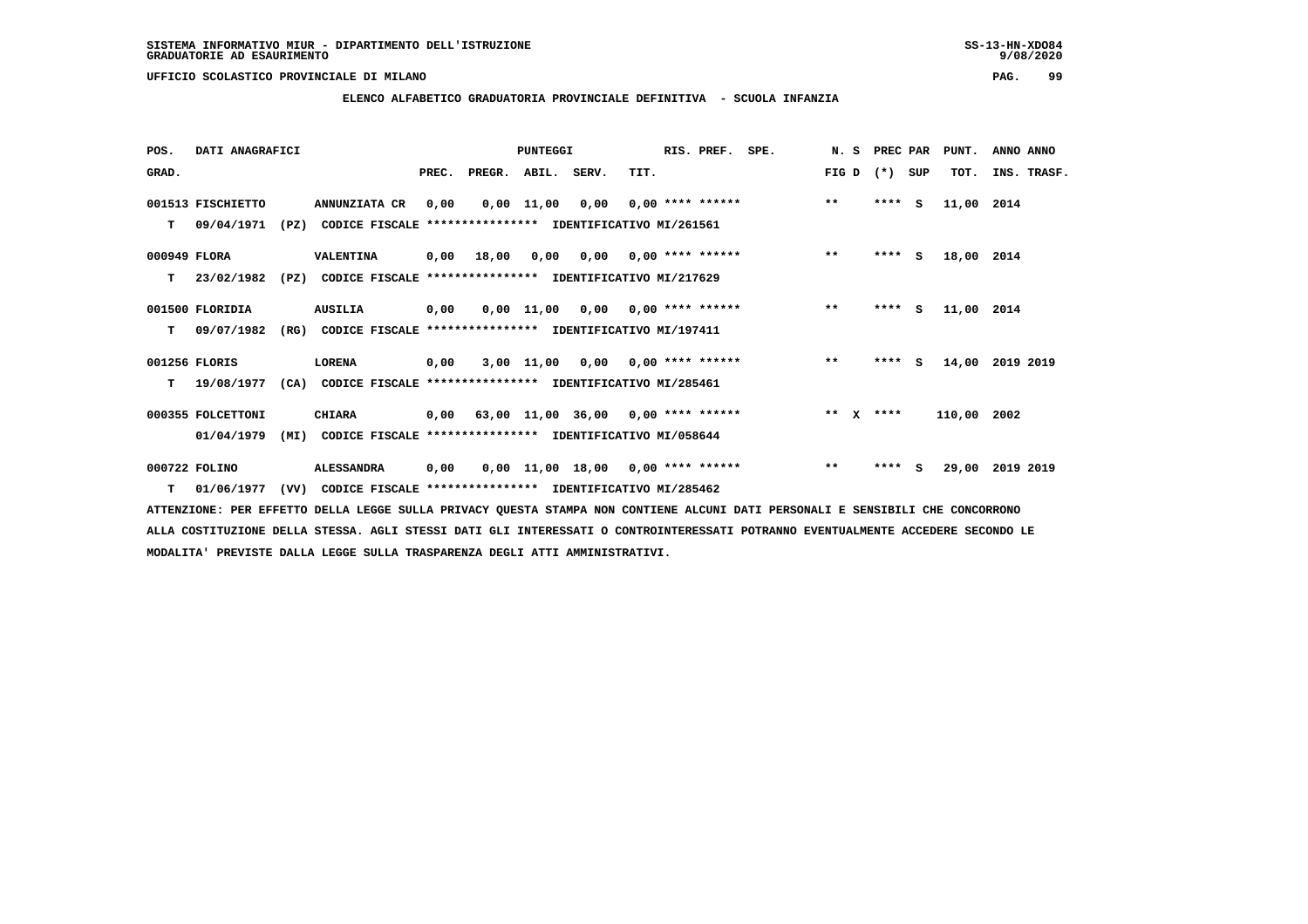**ELENCO ALFABETICO GRADUATORIA PROVINCIALE DEFINITIVA - SCUOLA INFANZIA**

 **POS. DATI ANAGRAFICI PUNTEGGI RIS. PREF. SPE. N. S PREC PAR PUNT. ANNO ANNO**GRAD. **BRAD. PREC. PREGR. ABIL. SERV.** TIT. THE REGREATER FIG D (\*) SUP TOT. INS. TRASF.  **001513 FISCHIETTO ANNUNZIATA CR 0,00 0,00 11,00 0,00 0,00 \*\*\*\* \*\*\*\*\*\* \*\* \*\*\*\* S 11,00 2014 T 09/04/1971 (PZ) CODICE FISCALE \*\*\*\*\*\*\*\*\*\*\*\*\*\*\*\* IDENTIFICATIVO MI/261561 000949 FLORA VALENTINA 0,00 18,00 0,00 0,00 0,00 \*\*\*\* \*\*\*\*\*\* \*\* \*\*\*\* S 18,00 2014 T 23/02/1982 (PZ) CODICE FISCALE \*\*\*\*\*\*\*\*\*\*\*\*\*\*\*\* IDENTIFICATIVO MI/217629 001500 FLORIDIA AUSILIA 0,00 0,00 11,00 0,00 0,00 \*\*\*\* \*\*\*\*\*\* \*\* \*\*\*\* S 11,00 2014 T 09/07/1982 (RG) CODICE FISCALE \*\*\*\*\*\*\*\*\*\*\*\*\*\*\*\* IDENTIFICATIVO MI/197411 001256 FLORIS LORENA 0,00 3,00 11,00 0,00 0,00 \*\*\*\* \*\*\*\*\*\* \*\* \*\*\*\* S 14,00 2019 2019 T 19/08/1977 (CA) CODICE FISCALE \*\*\*\*\*\*\*\*\*\*\*\*\*\*\*\* IDENTIFICATIVO MI/285461 000355 FOLCETTONI CHIARA 0,00 63,00 11,00 36,00 0,00 \*\*\*\* \*\*\*\*\*\* \*\* X \*\*\*\* 110,00 2002 01/04/1979 (MI) CODICE FISCALE \*\*\*\*\*\*\*\*\*\*\*\*\*\*\*\* IDENTIFICATIVO MI/058644 000722 FOLINO ALESSANDRA 0,00 0,00 11,00 18,00 0,00 \*\*\*\* \*\*\*\*\*\* \*\* \*\*\*\* S 29,00 2019 2019**

 **T 01/06/1977 (VV) CODICE FISCALE \*\*\*\*\*\*\*\*\*\*\*\*\*\*\*\* IDENTIFICATIVO MI/285462**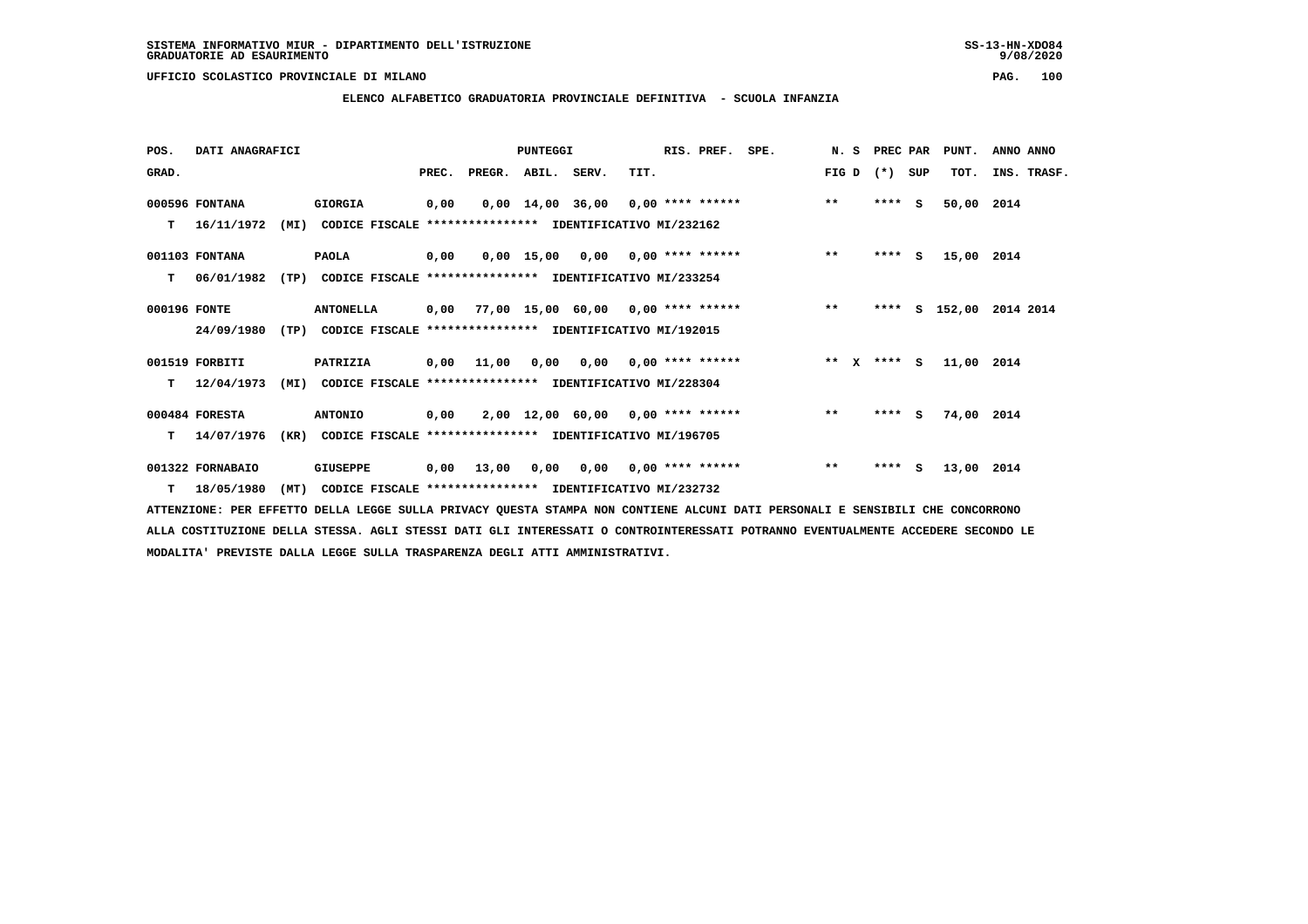**ELENCO ALFABETICO GRADUATORIA PROVINCIALE DEFINITIVA - SCUOLA INFANZIA**

| POS.         | DATI ANAGRAFICI  |      |                                                               |       |                                           | PUNTEGGI |                                     |                           | RIS. PREF. | SPE. | N.S     |         | PREC PAR | PUNT.      | ANNO ANNO          |
|--------------|------------------|------|---------------------------------------------------------------|-------|-------------------------------------------|----------|-------------------------------------|---------------------------|------------|------|---------|---------|----------|------------|--------------------|
| GRAD.        |                  |      |                                                               | PREC. | PREGR. ABIL. SERV.                        |          |                                     | TIT.                      |            |      | FIG D   | $(*)$   | SUP      | TOT.       | INS. TRASF.        |
|              | 000596 FONTANA   |      | GIORGIA                                                       | 0,00  |                                           |          | $0,00$ 14,00 36,00 0,00 **** ****** |                           |            |      | $***$   | ****    | - S      | 50,00 2014 |                    |
| т            | 16/11/1972       | (MI) | CODICE FISCALE **************** IDENTIFICATIVO MI/232162      |       |                                           |          |                                     |                           |            |      |         |         |          |            |                    |
|              | 001103 FONTANA   |      | <b>PAOLA</b>                                                  | 0,00  |                                           |          | $0,00$ 15,00 0,00 0,00 **** ******  |                           |            |      | $***$   | **** S  |          | 15,00 2014 |                    |
| т            | 06/01/1982       | (TP) | CODICE FISCALE **************** IDENTIFICATIVO MI/233254      |       |                                           |          |                                     |                           |            |      |         |         |          |            |                    |
| 000196 FONTE |                  |      | <b>ANTONELLA</b>                                              |       | $0,00$ 77,00 15,00 60,00 0,00 **** ****** |          |                                     |                           |            |      | $***$   | ****    |          |            | S 152,00 2014 2014 |
|              | 24/09/1980       | (TP) | CODICE FISCALE **************** IDENTIFICATIVO MI/192015      |       |                                           |          |                                     |                           |            |      |         |         |          |            |                    |
|              | 001519 FORBITI   |      | PATRIZIA                                                      | 0,00  | 11,00                                     | 0,00     |                                     | $0,00$ $0,00$ **** ****** |            |      | $***$ X | $***$ S |          | 11,00 2014 |                    |
| T.           | 12/04/1973       |      | (MI) CODICE FISCALE **************** IDENTIFICATIVO MI/228304 |       |                                           |          |                                     |                           |            |      |         |         |          |            |                    |
|              | 000484 FORESTA   |      | <b>ANTONIO</b>                                                | 0,00  |                                           |          | $2,00$ 12,00 60,00 0,00 **** ****** |                           |            |      | $***$   | ****    | S.       | 74,00 2014 |                    |
| т            | 14/07/1976       | (KR) | CODICE FISCALE **************** IDENTIFICATIVO MI/196705      |       |                                           |          |                                     |                           |            |      |         |         |          |            |                    |
|              | 001322 FORNABAIO |      | <b>GIUSEPPE</b>                                               | 0,00  | 13,00                                     | 0,00     |                                     | $0,00$ $0,00$ **** ****** |            |      | $* *$   | ****    | S.       | 13,00 2014 |                    |
| T            | 18/05/1980       | (MT) | CODICE FISCALE **************** IDENTIFICATIVO MI/232732      |       |                                           |          |                                     |                           |            |      |         |         |          |            |                    |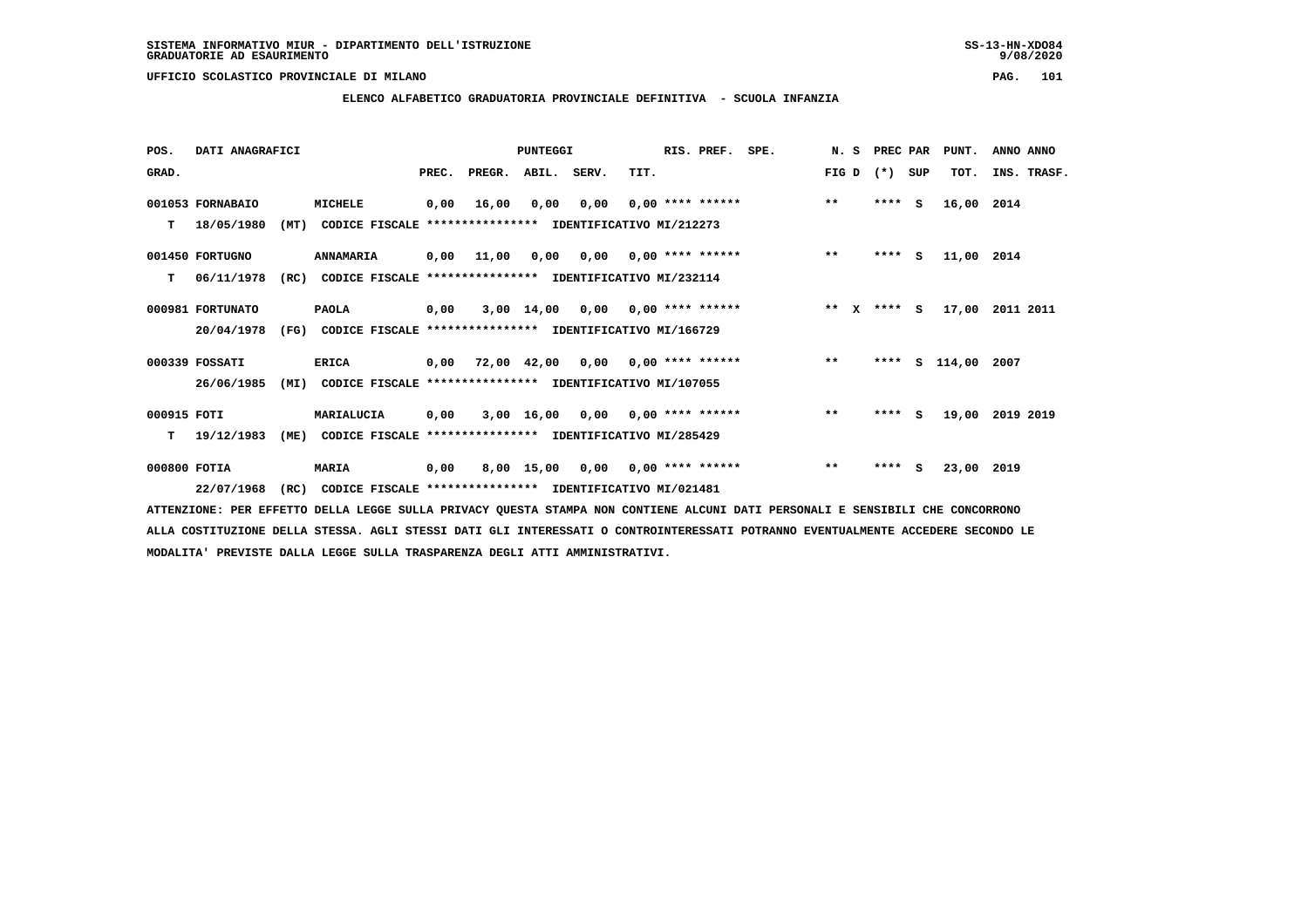**ELENCO ALFABETICO GRADUATORIA PROVINCIALE DEFINITIVA - SCUOLA INFANZIA**

 **POS. DATI ANAGRAFICI PUNTEGGI RIS. PREF. SPE. N. S PREC PAR PUNT. ANNO ANNO**GRAD. **PREGRADE SERVEGER. ABIL. SERV. TIT.** FIG D (\*) SUP TOT. INS. TRASF.  **001053 FORNABAIO MICHELE 0,00 16,00 0,00 0,00 0,00 \*\*\*\* \*\*\*\*\*\* \*\* \*\*\*\* S 16,00 2014 T 18/05/1980 (MT) CODICE FISCALE \*\*\*\*\*\*\*\*\*\*\*\*\*\*\*\* IDENTIFICATIVO MI/212273 001450 FORTUGNO ANNAMARIA 0,00 11,00 0,00 0,00 0,00 \*\*\*\* \*\*\*\*\*\* \*\* \*\*\*\* S 11,00 2014 T 06/11/1978 (RC) CODICE FISCALE \*\*\*\*\*\*\*\*\*\*\*\*\*\*\*\* IDENTIFICATIVO MI/232114 000981 FORTUNATO PAOLA 0,00 3,00 14,00 0,00 0,00 \*\*\*\* \*\*\*\*\*\* \*\* X \*\*\*\* S 17,00 2011 2011 20/04/1978 (FG) CODICE FISCALE \*\*\*\*\*\*\*\*\*\*\*\*\*\*\*\* IDENTIFICATIVO MI/166729 000339 FOSSATI ERICA 0,00 72,00 42,00 0,00 0,00 \*\*\*\* \*\*\*\*\*\* \*\* \*\*\*\* S 114,00 2007 26/06/1985 (MI) CODICE FISCALE \*\*\*\*\*\*\*\*\*\*\*\*\*\*\*\* IDENTIFICATIVO MI/107055 000915 FOTI MARIALUCIA 0,00 3,00 16,00 0,00 0,00 \*\*\*\* \*\*\*\*\*\* \*\* \*\*\*\* S 19,00 2019 2019 T 19/12/1983 (ME) CODICE FISCALE \*\*\*\*\*\*\*\*\*\*\*\*\*\*\*\* IDENTIFICATIVO MI/285429 000800 FOTIA MARIA 0,00 8,00 15,00 0,00 0,00 \*\*\*\* \*\*\*\*\*\* \*\* \*\*\*\* S 23,00 2019**

 **22/07/1968 (RC) CODICE FISCALE \*\*\*\*\*\*\*\*\*\*\*\*\*\*\*\* IDENTIFICATIVO MI/021481**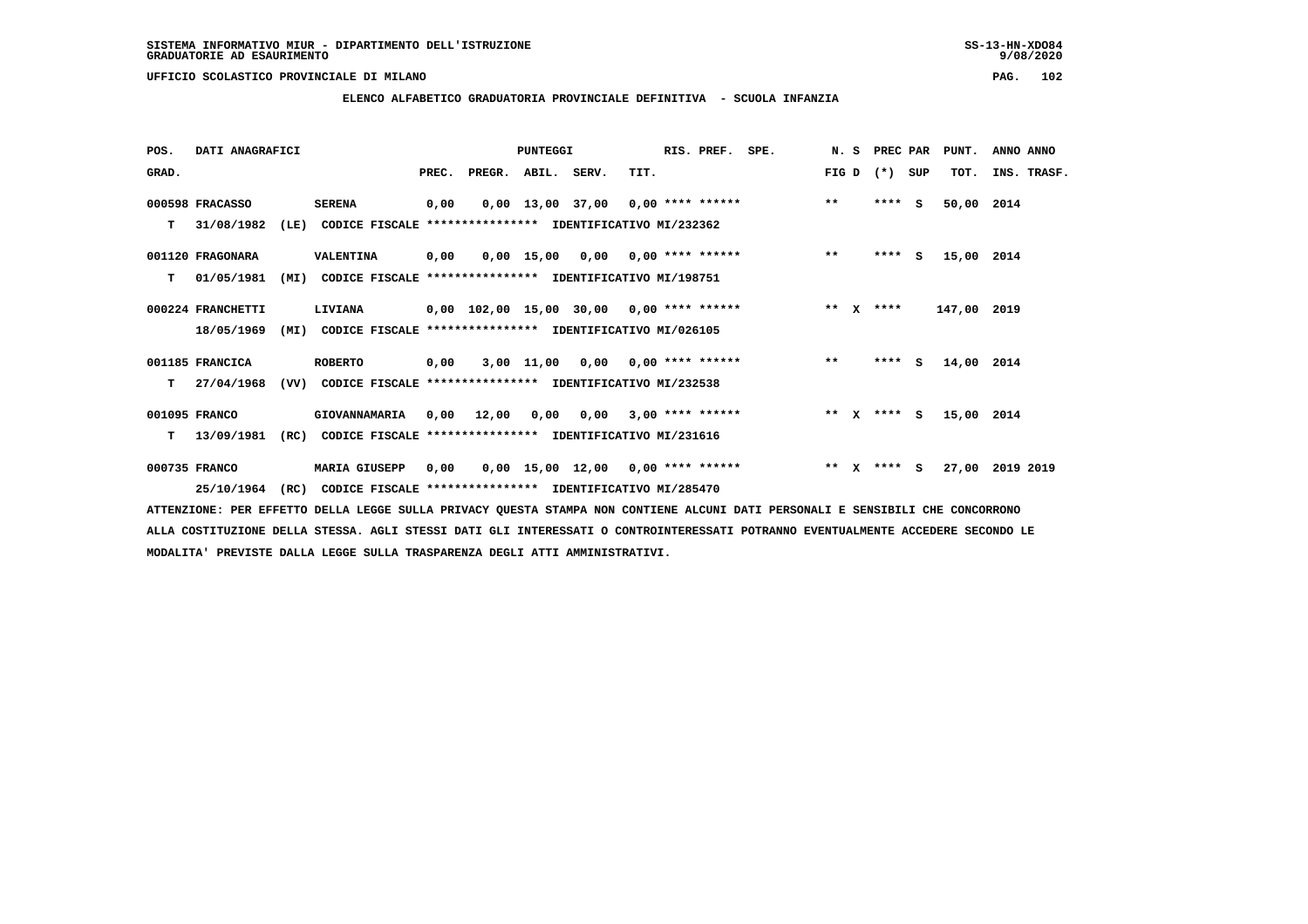**ELENCO ALFABETICO GRADUATORIA PROVINCIALE DEFINITIVA - SCUOLA INFANZIA**

| POS.  | DATI ANAGRAFICI   |      |                                                               |       |                                          | <b>PUNTEGGI</b> |                                     |      | RIS. PREF. | SPE. |                 | N. S PREC PAR |     | PUNT.       | ANNO ANNO   |  |
|-------|-------------------|------|---------------------------------------------------------------|-------|------------------------------------------|-----------------|-------------------------------------|------|------------|------|-----------------|---------------|-----|-------------|-------------|--|
| GRAD. |                   |      |                                                               | PREC. | PREGR. ABIL. SERV.                       |                 |                                     | TIT. |            |      | FIG D           | $(* )$        | SUP | TOT.        | INS. TRASF. |  |
|       | 000598 FRACASSO   |      | <b>SERENA</b>                                                 | 0,00  |                                          |                 | $0,00$ 13,00 37,00 0,00 **** ****** |      |            |      | $***$           | $***$ S       |     | 50,00 2014  |             |  |
| т     | 31/08/1982        | (LE) | CODICE FISCALE **************** IDENTIFICATIVO MI/232362      |       |                                          |                 |                                     |      |            |      |                 |               |     |             |             |  |
|       | 001120 FRAGONARA  |      | VALENTINA                                                     | 0,00  |                                          |                 | $0.00$ 15.00 0.00 0.00 **** ******  |      |            |      | $***$           | $***$ S       |     | 15,00 2014  |             |  |
| т     | 01/05/1981        | (MI) | CODICE FISCALE **************** IDENTIFICATIVO MI/198751      |       |                                          |                 |                                     |      |            |      |                 |               |     |             |             |  |
|       | 000224 FRANCHETTI |      | LIVIANA                                                       |       | 0,00 102,00 15,00 30,00 0,00 **** ****** |                 |                                     |      |            |      | $***$ X         | ****          |     | 147,00 2019 |             |  |
|       | 18/05/1969        | (MI) | CODICE FISCALE **************** IDENTIFICATIVO MI/026105      |       |                                          |                 |                                     |      |            |      |                 |               |     |             |             |  |
|       | 001185 FRANCICA   |      | <b>ROBERTO</b>                                                | 0,00  |                                          |                 | $3,00$ 11,00 0,00 0,00 **** ******  |      |            |      | $***$           | $***5$        |     | 14,00       | 2014        |  |
| т     | 27/04/1968        |      | (VV) CODICE FISCALE **************** IDENTIFICATIVO MI/232538 |       |                                          |                 |                                     |      |            |      |                 |               |     |             |             |  |
|       | 001095 FRANCO     |      | GIOVANNAMARIA                                                 |       | $0,00$ 12,00                             |                 | $0,00$ $0,00$ $3,00$ **** ******    |      |            |      |                 | ** x **** S   |     | 15,00 2014  |             |  |
| T.    | 13/09/1981        | (RC) | CODICE FISCALE **************** IDENTIFICATIVO MI/231616      |       |                                          |                 |                                     |      |            |      |                 |               |     |             |             |  |
|       | 000735 FRANCO     |      | <b>MARIA GIUSEPP</b>                                          | 0,00  |                                          |                 | $0,00$ 15,00 12,00 0,00 **** ****** |      |            |      | ** $\mathbf{x}$ | $***$ S       |     | 27,00       | 2019 2019   |  |
|       | 25/10/1964        | (RC) | CODICE FISCALE **************** IDENTIFICATIVO MI/285470      |       |                                          |                 |                                     |      |            |      |                 |               |     |             |             |  |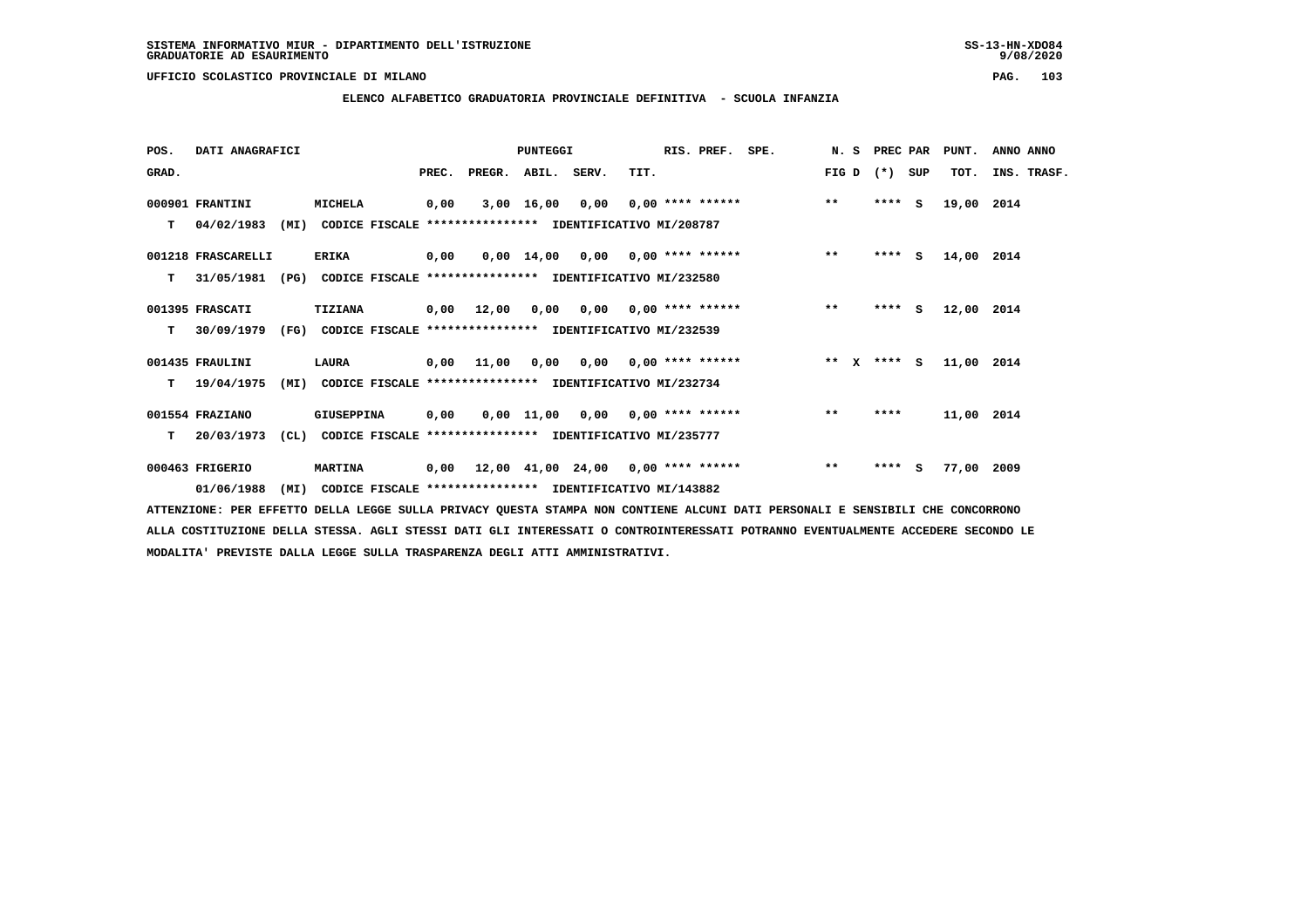# **ELENCO ALFABETICO GRADUATORIA PROVINCIALE DEFINITIVA - SCUOLA INFANZIA**

| POS.  | DATI ANAGRAFICI    |      |                                                               |       |            | PUNTEGGI     |                                            |      | RIS. PREF.                | SPE. | N.S           | PREC PAR |     | PUNT.      | ANNO ANNO   |
|-------|--------------------|------|---------------------------------------------------------------|-------|------------|--------------|--------------------------------------------|------|---------------------------|------|---------------|----------|-----|------------|-------------|
| GRAD. |                    |      |                                                               | PREC. | PREGR.     | ABIL. SERV.  |                                            | TIT. |                           |      | FIG D         | $(*)$    | SUP | TOT.       | INS. TRASF. |
|       | 000901 FRANTINI    |      | <b>MICHELA</b>                                                | 0,00  |            | $3,00$ 16,00 | 0,00                                       |      | $0.00$ **** ******        |      | $***$         | $***$ S  |     | 19,00      | 2014        |
| T.    | 04/02/1983         | (MI) | CODICE FISCALE **************** IDENTIFICATIVO MI/208787      |       |            |              |                                            |      |                           |      |               |          |     |            |             |
|       | 001218 FRASCARELLI |      | <b>ERIKA</b>                                                  | 0,00  |            |              | $0,00$ 14,00 0,00 0,00 **** ******         |      |                           |      | $***$         | $***$ S  |     | 14,00 2014 |             |
| т     | 31/05/1981         | (PG) | CODICE FISCALE **************** IDENTIFICATIVO MI/232580      |       |            |              |                                            |      |                           |      |               |          |     |            |             |
|       | 001395 FRASCATI    |      | TIZIANA                                                       | 0,00  | 12,00      | 0,00         |                                            |      | $0,00$ $0,00$ **** ****** |      | $***$         | $***$ S  |     | 12,00 2014 |             |
| т     | 30/09/1979         |      | (FG) CODICE FISCALE **************** IDENTIFICATIVO MI/232539 |       |            |              |                                            |      |                           |      |               |          |     |            |             |
|       | 001435 FRAULINI    |      | LAURA                                                         |       | 0,00 11,00 |              | $0,00$ $0,00$ $0,00$ $***$ **** ******     |      |                           |      | ** $X$ **** S |          |     | 11,00 2014 |             |
| т     | 19/04/1975         | (MI) | CODICE FISCALE **************** IDENTIFICATIVO MI/232734      |       |            |              |                                            |      |                           |      |               |          |     |            |             |
|       | 001554 FRAZIANO    |      | <b>GIUSEPPINA</b>                                             | 0,00  |            | 0,00 11,00   |                                            |      | $0,00$ $0,00$ **** ****** |      | $***$         | ****     |     | 11,00 2014 |             |
| т     | 20/03/1973         |      | (CL) CODICE FISCALE **************** IDENTIFICATIVO MI/235777 |       |            |              |                                            |      |                           |      |               |          |     |            |             |
|       | 000463 FRIGERIO    |      | <b>MARTINA</b>                                                | 0,00  |            |              | $12,00$ $41,00$ $24,00$ $0,00$ **** ****** |      |                           |      | $***$         | $***$ S  |     | 77,00 2009 |             |
|       | 01/06/1988         | (MI) | CODICE FISCALE **************** IDENTIFICATIVO MI/143882      |       |            |              |                                            |      |                           |      |               |          |     |            |             |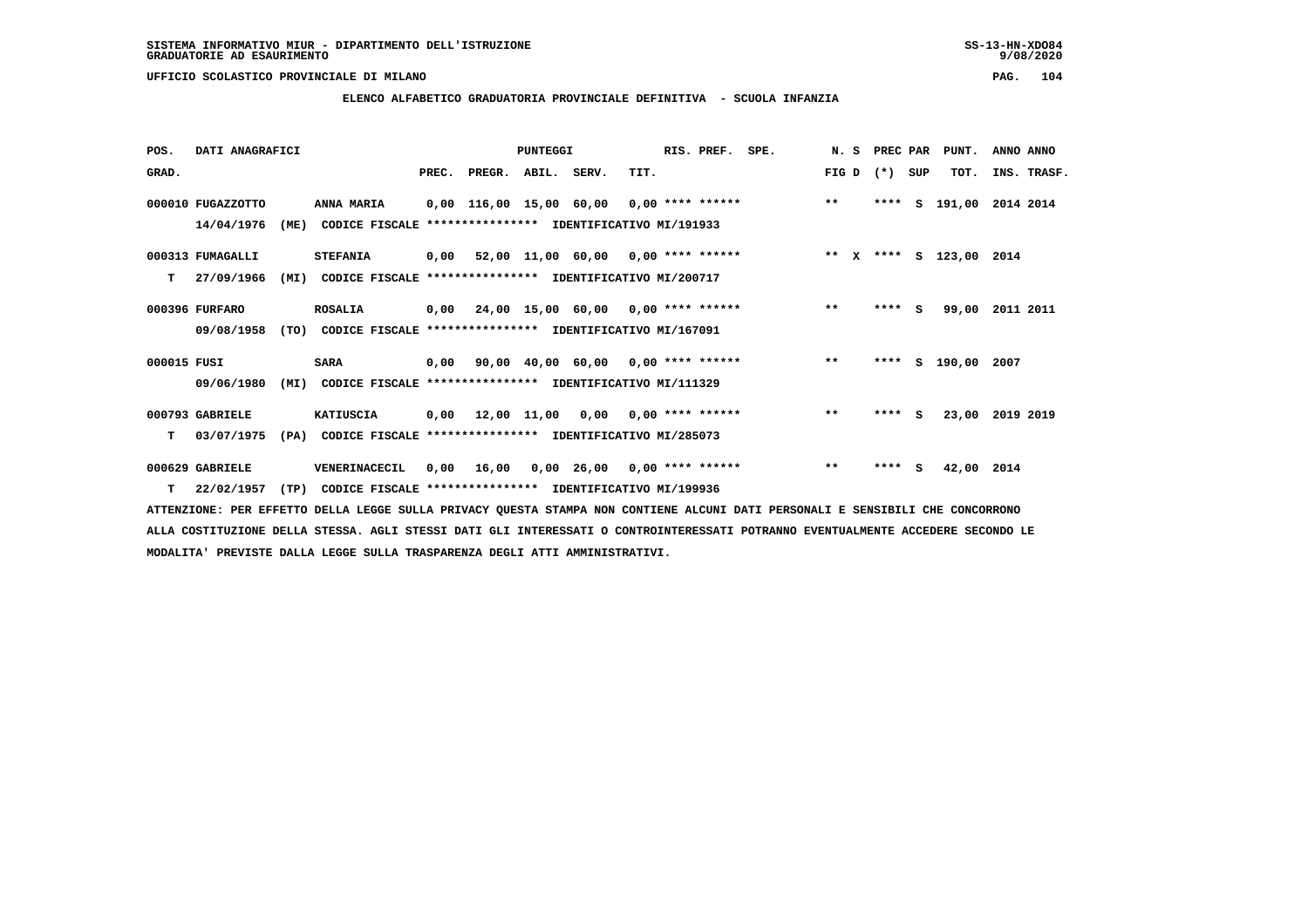**ELENCO ALFABETICO GRADUATORIA PROVINCIALE DEFINITIVA - SCUOLA INFANZIA**

 **POS. DATI ANAGRAFICI PUNTEGGI RIS. PREF. SPE. N. S PREC PAR PUNT. ANNO ANNO**GRAD. **PREGRADE SERVEGER. ABIL. SERV. TIT.** FIG D (\*) SUP TOT. INS. TRASF.  **000010 FUGAZZOTTO ANNA MARIA 0,00 116,00 15,00 60,00 0,00 \*\*\*\* \*\*\*\*\*\* \*\* \*\*\*\* S 191,00 2014 2014 14/04/1976 (ME) CODICE FISCALE \*\*\*\*\*\*\*\*\*\*\*\*\*\*\*\* IDENTIFICATIVO MI/191933 000313 FUMAGALLI STEFANIA 0,00 52,00 11,00 60,00 0,00 \*\*\*\* \*\*\*\*\*\* \*\* X \*\*\*\* S 123,00 2014 T 27/09/1966 (MI) CODICE FISCALE \*\*\*\*\*\*\*\*\*\*\*\*\*\*\*\* IDENTIFICATIVO MI/200717 000396 FURFARO ROSALIA 0,00 24,00 15,00 60,00 0,00 \*\*\*\* \*\*\*\*\*\* \*\* \*\*\*\* S 99,00 2011 2011 09/08/1958 (TO) CODICE FISCALE \*\*\*\*\*\*\*\*\*\*\*\*\*\*\*\* IDENTIFICATIVO MI/167091 000015 FUSI SARA 0,00 90,00 40,00 60,00 0,00 \*\*\*\* \*\*\*\*\*\* \*\* \*\*\*\* S 190,00 2007 09/06/1980 (MI) CODICE FISCALE \*\*\*\*\*\*\*\*\*\*\*\*\*\*\*\* IDENTIFICATIVO MI/111329 000793 GABRIELE KATIUSCIA 0,00 12,00 11,00 0,00 0,00 \*\*\*\* \*\*\*\*\*\* \*\* \*\*\*\* S 23,00 2019 2019 T 03/07/1975 (PA) CODICE FISCALE \*\*\*\*\*\*\*\*\*\*\*\*\*\*\*\* IDENTIFICATIVO MI/285073 000629 GABRIELE VENERINACECIL 0,00 16,00 0,00 26,00 0,00 \*\*\*\* \*\*\*\*\*\* \*\* \*\*\*\* S 42,00 2014**

 **T 22/02/1957 (TP) CODICE FISCALE \*\*\*\*\*\*\*\*\*\*\*\*\*\*\*\* IDENTIFICATIVO MI/199936**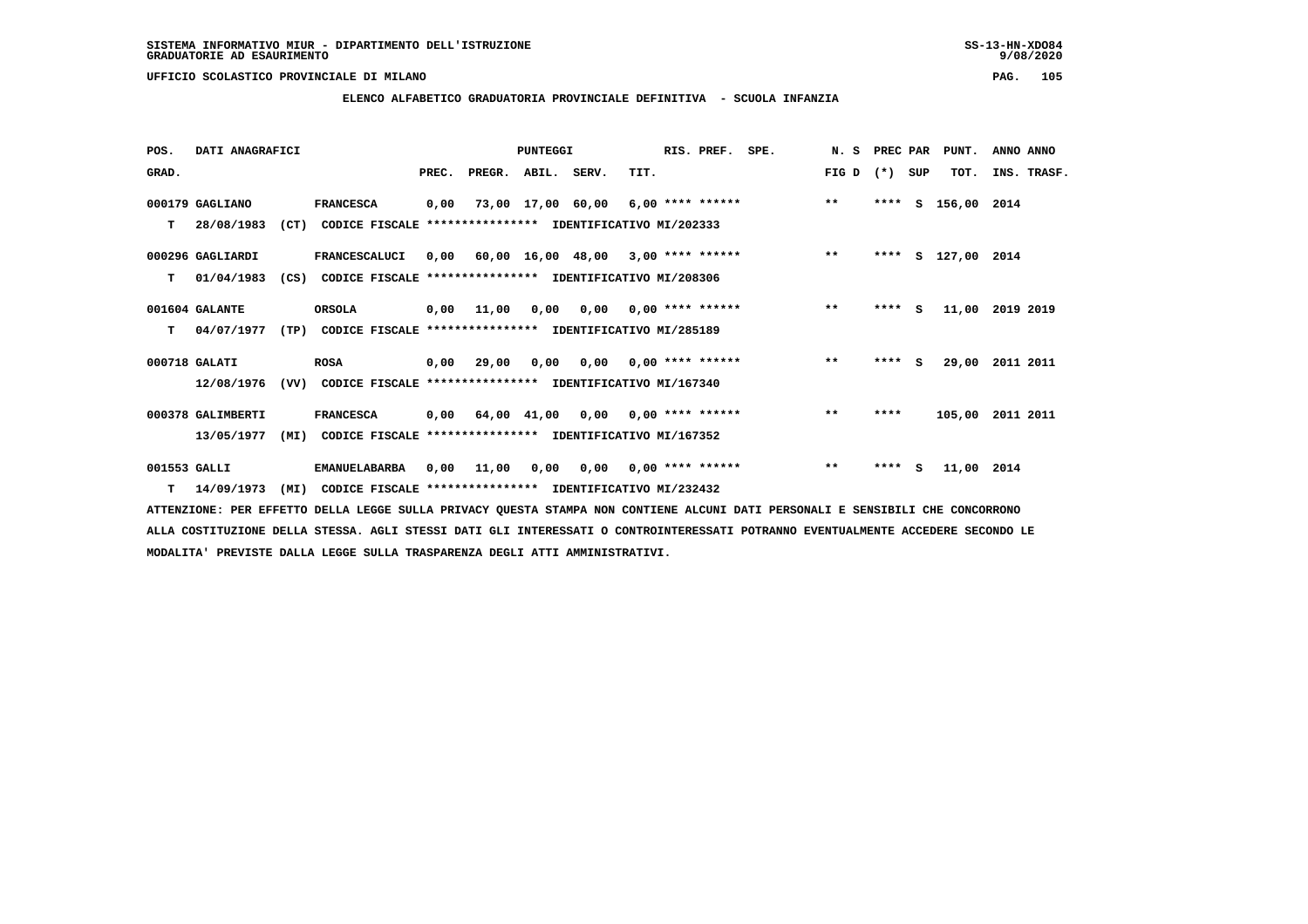**ELENCO ALFABETICO GRADUATORIA PROVINCIALE DEFINITIVA - SCUOLA INFANZIA**

 **POS. DATI ANAGRAFICI PUNTEGGI RIS. PREF. SPE. N. S PREC PAR PUNT. ANNO ANNO**GRAD. **BRAD. PREC. PREGR. ABIL. SERV.** TIT. THE REGREATER FIG D (\*) SUP TOT. INS. TRASF.  **000179 GAGLIANO FRANCESCA 0,00 73,00 17,00 60,00 6,00 \*\*\*\* \*\*\*\*\*\* \*\* \*\*\*\* S 156,00 2014 T 28/08/1983 (CT) CODICE FISCALE \*\*\*\*\*\*\*\*\*\*\*\*\*\*\*\* IDENTIFICATIVO MI/202333 000296 GAGLIARDI FRANCESCALUCI 0,00 60,00 16,00 48,00 3,00 \*\*\*\* \*\*\*\*\*\* \*\* \*\*\*\* S 127,00 2014 T 01/04/1983 (CS) CODICE FISCALE \*\*\*\*\*\*\*\*\*\*\*\*\*\*\*\* IDENTIFICATIVO MI/208306 001604 GALANTE ORSOLA 0,00 11,00 0,00 0,00 0,00 \*\*\*\* \*\*\*\*\*\* \*\* \*\*\*\* S 11,00 2019 2019 T 04/07/1977 (TP) CODICE FISCALE \*\*\*\*\*\*\*\*\*\*\*\*\*\*\*\* IDENTIFICATIVO MI/285189 000718 GALATI ROSA 0,00 29,00 0,00 0,00 0,00 \*\*\*\* \*\*\*\*\*\* \*\* \*\*\*\* S 29,00 2011 2011 12/08/1976 (VV) CODICE FISCALE \*\*\*\*\*\*\*\*\*\*\*\*\*\*\*\* IDENTIFICATIVO MI/167340 000378 GALIMBERTI FRANCESCA 0,00 64,00 41,00 0,00 0,00 \*\*\*\* \*\*\*\*\*\* \*\* \*\*\*\* 105,00 2011 2011 13/05/1977 (MI) CODICE FISCALE \*\*\*\*\*\*\*\*\*\*\*\*\*\*\*\* IDENTIFICATIVO MI/167352 001553 GALLI EMANUELABARBA 0,00 11,00 0,00 0,00 0,00 \*\*\*\* \*\*\*\*\*\* \*\* \*\*\*\* S 11,00 2014 T 14/09/1973 (MI) CODICE FISCALE \*\*\*\*\*\*\*\*\*\*\*\*\*\*\*\* IDENTIFICATIVO MI/232432**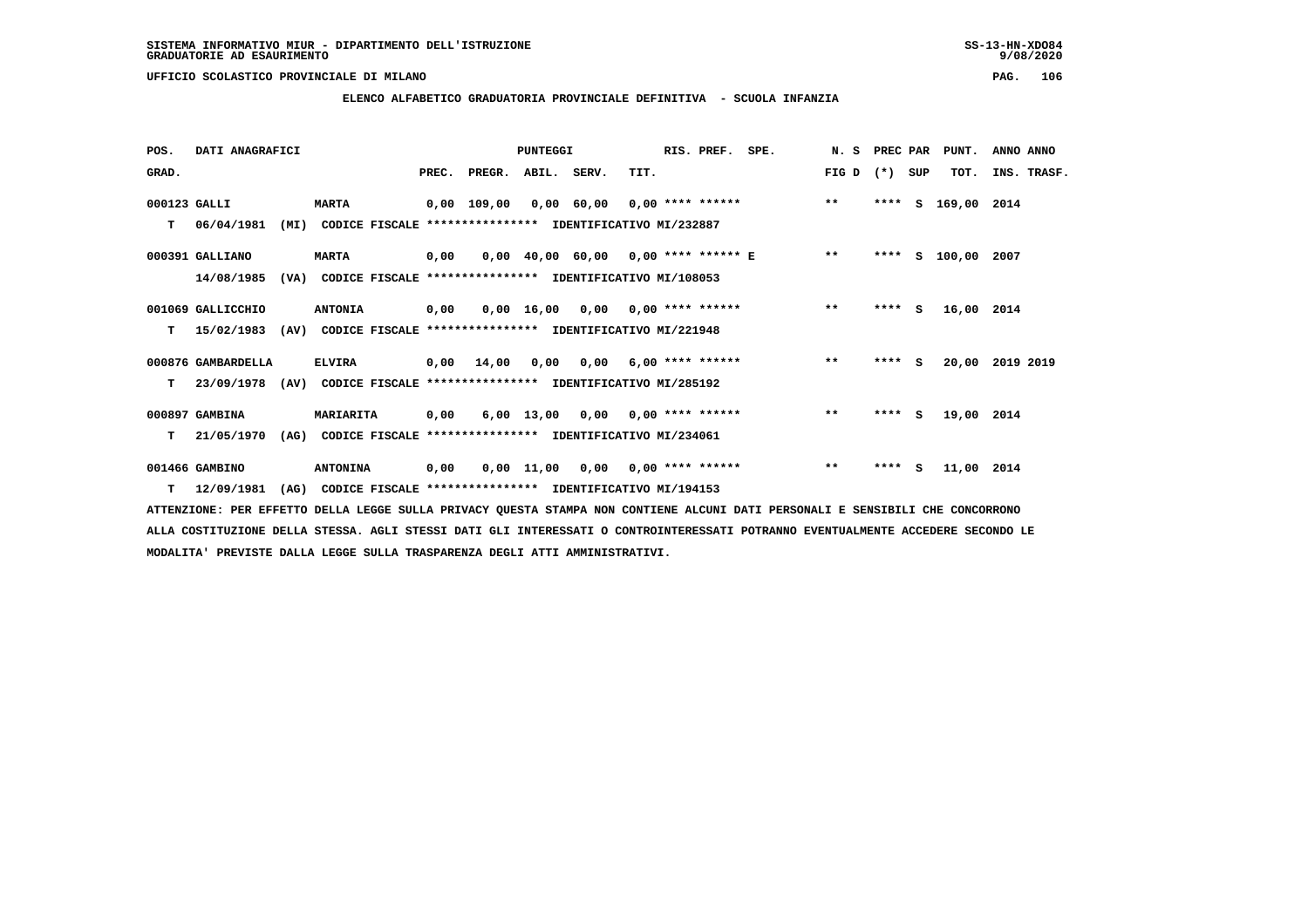**ELENCO ALFABETICO GRADUATORIA PROVINCIALE DEFINITIVA - SCUOLA INFANZIA**

| POS.         | DATI ANAGRAFICI    |      |                                                                          |       |                    | PUNTEGGI |                                    |      | RIS. PREF.              | SPE.                                | N. S  | PREC PAR |          | PUNT.         | ANNO ANNO   |
|--------------|--------------------|------|--------------------------------------------------------------------------|-------|--------------------|----------|------------------------------------|------|-------------------------|-------------------------------------|-------|----------|----------|---------------|-------------|
| GRAD.        |                    |      |                                                                          | PREC. | PREGR. ABIL. SERV. |          |                                    | TIT. |                         |                                     | FIG D | $(* )$   | SUP      | TOT.          | INS. TRASF. |
| 000123 GALLI |                    |      | <b>MARTA</b>                                                             |       | 0,00 109,00        |          |                                    |      |                         | 0,00 60,00 0,00 **** ******         | $***$ | ****     | s        | 169,00 2014   |             |
| т            | 06/04/1981         | (MI) | CODICE FISCALE **************** IDENTIFICATIVO MI/232887                 |       |                    |          |                                    |      |                         |                                     |       |          |          |               |             |
|              | 000391 GALLIANO    |      | <b>MARTA</b>                                                             | 0,00  |                    |          |                                    |      |                         | 0,00 40,00 60,00 0,00 **** ****** E | $* *$ |          |          | **** S 100,00 | 2007        |
|              | 14/08/1985         | (VA) | CODICE FISCALE **************** IDENTIFICATIVO MI/108053                 |       |                    |          |                                    |      |                         |                                     |       |          |          |               |             |
|              | 001069 GALLICCHIO  |      | <b>ANTONIA</b>                                                           | 0,00  |                    |          | $0,00$ 16,00 0,00 0,00 **** ****** |      |                         |                                     | $* *$ | **** S   |          | 16,00 2014    |             |
| т            | 15/02/1983         | (AV) | CODICE FISCALE **************** IDENTIFICATIVO MI/221948                 |       |                    |          |                                    |      |                         |                                     |       |          |          |               |             |
|              | 000876 GAMBARDELLA |      | <b>ELVIRA</b>                                                            | 0,00  | 14,00              | 0,00     |                                    |      | $0,00$ 6,00 **** ****** |                                     | $***$ | $***$ S  |          | 20,00         | 2019 2019   |
| т            |                    |      | 23/09/1978 (AV) CODICE FISCALE **************** IDENTIFICATIVO MI/285192 |       |                    |          |                                    |      |                         |                                     |       |          |          |               |             |
|              | 000897 GAMBINA     |      | MARIARITA                                                                | 0,00  |                    |          | $6,00$ 13,00 0,00 0,00 **** ****** |      |                         |                                     | $**$  | $***$ S  |          | 19,00 2014    |             |
| т            | 21/05/1970         | (AG) | CODICE FISCALE **************** IDENTIFICATIVO MI/234061                 |       |                    |          |                                    |      |                         |                                     |       |          |          |               |             |
|              | 001466 GAMBINO     |      | <b>ANTONINA</b>                                                          | 0,00  |                    |          | $0,00$ 11,00 0,00 0,00 **** ****** |      |                         |                                     | $***$ | ****     | <b>S</b> | 11,00 2014    |             |
|              | $T = 12/09/1981$   | (AG) | CODICE FISCALE **************** IDENTIFICATIVO MI/194153                 |       |                    |          |                                    |      |                         |                                     |       |          |          |               |             |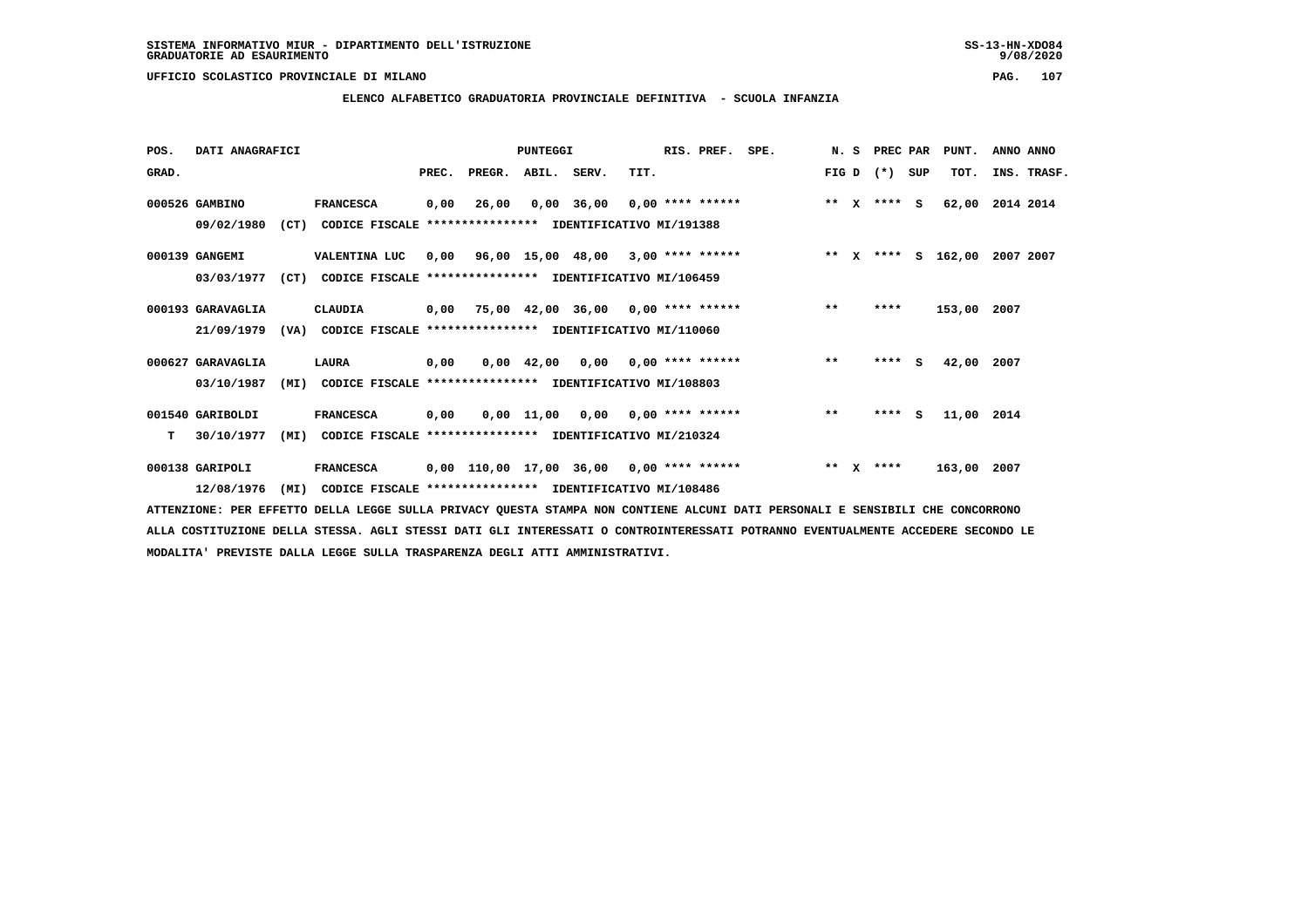## **ELENCO ALFABETICO GRADUATORIA PROVINCIALE DEFINITIVA - SCUOLA INFANZIA**

 **POS. DATI ANAGRAFICI PUNTEGGI RIS. PREF. SPE. N. S PREC PAR PUNT. ANNO ANNO**GRAD. **PREGRADE SERVEGER. ABIL. SERV. TIT.** FIG D (\*) SUP TOT. INS. TRASF.  **000526 GAMBINO FRANCESCA 0,00 26,00 0,00 36,00 0,00 \*\*\*\* \*\*\*\*\*\* \*\* X \*\*\*\* S 62,00 2014 2014 09/02/1980 (CT) CODICE FISCALE \*\*\*\*\*\*\*\*\*\*\*\*\*\*\*\* IDENTIFICATIVO MI/191388 000139 GANGEMI VALENTINA LUC 0,00 96,00 15,00 48,00 3,00 \*\*\*\* \*\*\*\*\*\* \*\* X \*\*\*\* S 162,00 2007 2007 03/03/1977 (CT) CODICE FISCALE \*\*\*\*\*\*\*\*\*\*\*\*\*\*\*\* IDENTIFICATIVO MI/106459 000193 GARAVAGLIA CLAUDIA 0,00 75,00 42,00 36,00 0,00 \*\*\*\* \*\*\*\*\*\* \*\* \*\*\*\* 153,00 2007 21/09/1979 (VA) CODICE FISCALE \*\*\*\*\*\*\*\*\*\*\*\*\*\*\*\* IDENTIFICATIVO MI/110060 000627 GARAVAGLIA LAURA 0,00 0,00 42,00 0,00 0,00 \*\*\*\* \*\*\*\*\*\* \*\* \*\*\*\* S 42,00 2007 03/10/1987 (MI) CODICE FISCALE \*\*\*\*\*\*\*\*\*\*\*\*\*\*\*\* IDENTIFICATIVO MI/108803 001540 GARIBOLDI FRANCESCA 0,00 0,00 11,00 0,00 0,00 \*\*\*\* \*\*\*\*\*\* \*\* \*\*\*\* S 11,00 2014 T 30/10/1977 (MI) CODICE FISCALE \*\*\*\*\*\*\*\*\*\*\*\*\*\*\*\* IDENTIFICATIVO MI/210324**

 **000138 GARIPOLI FRANCESCA 0,00 110,00 17,00 36,00 0,00 \*\*\*\* \*\*\*\*\*\* \*\* X \*\*\*\* 163,00 2007 12/08/1976 (MI) CODICE FISCALE \*\*\*\*\*\*\*\*\*\*\*\*\*\*\*\* IDENTIFICATIVO MI/108486**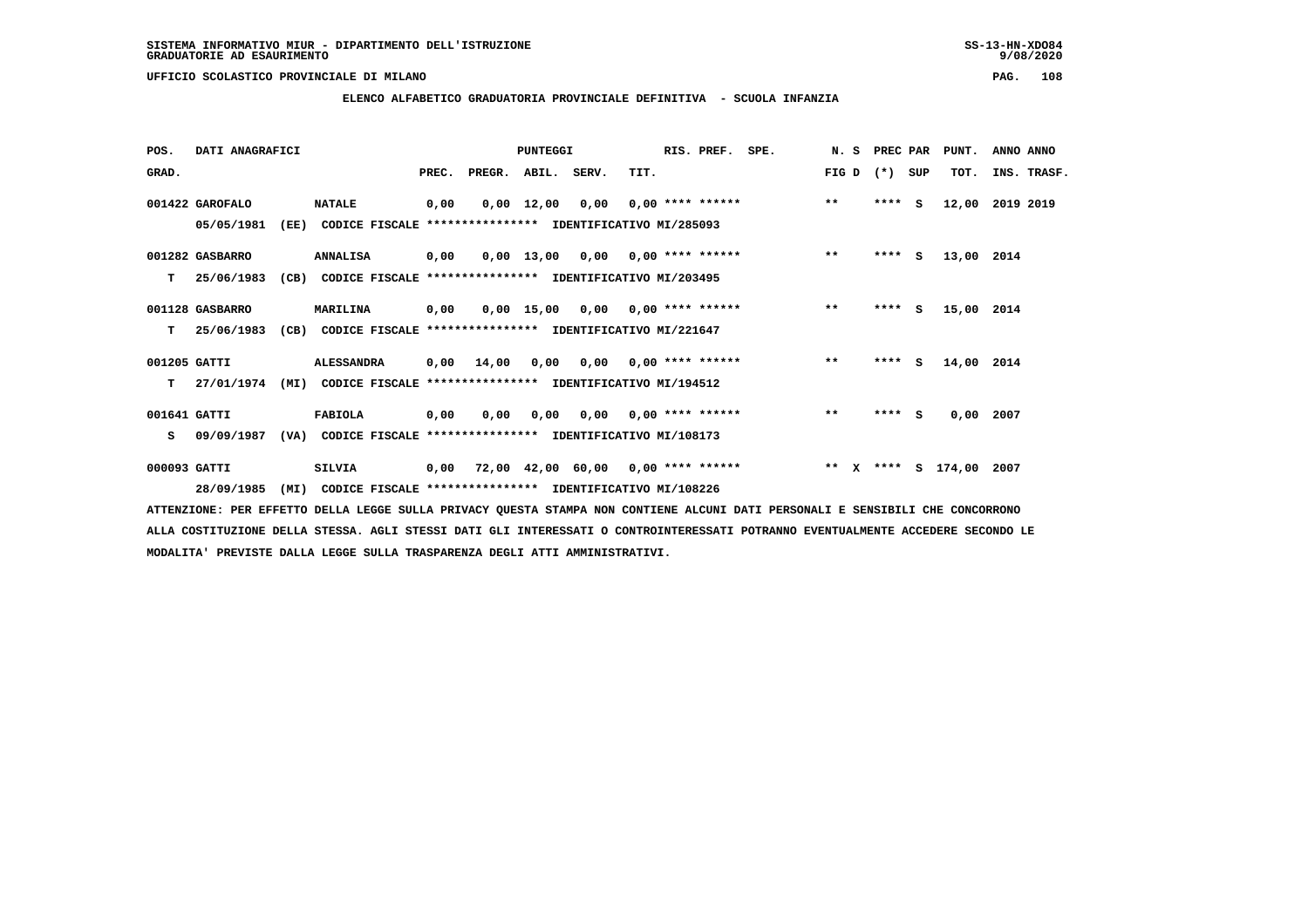# **ELENCO ALFABETICO GRADUATORIA PROVINCIALE DEFINITIVA - SCUOLA INFANZIA**

| POS.         | DATI ANAGRAFICI  |      |                                                               |       |            | PUNTEGGI     |      |      | RIS. PREF.                | SPE.                                                                 | N. S  | PREC PAR |     | PUNT.      | ANNO ANNO   |
|--------------|------------------|------|---------------------------------------------------------------|-------|------------|--------------|------|------|---------------------------|----------------------------------------------------------------------|-------|----------|-----|------------|-------------|
| GRAD.        |                  |      |                                                               | PREC. | PREGR.     | ABIL. SERV.  |      | TIT. |                           |                                                                      | FIG D | $(*)$    | SUP | TOT.       | INS. TRASF. |
|              | 001422 GAROFALO  |      | <b>NATALE</b>                                                 | 0,00  |            | $0,00$ 12,00 | 0,00 |      |                           | $0,00$ **** ****** ** **                                             |       | $***5$   |     | 12,00      | 2019 2019   |
|              | 05/05/1981       | (EE) | CODICE FISCALE **************** IDENTIFICATIVO MI/285093      |       |            |              |      |      |                           |                                                                      |       |          |     |            |             |
|              | 001282 GASBARRO  |      | <b>ANNALISA</b>                                               | 0,00  |            |              |      |      |                           | $0,00$ 13,00 0,00 0,00 **** ******                                   | $***$ | $***$ S  |     | 13,00 2014 |             |
| T.           | 25/06/1983       | (CB) | CODICE FISCALE **************** IDENTIFICATIVO MI/203495      |       |            |              |      |      |                           |                                                                      |       |          |     |            |             |
|              | 001128 GASBARRO  |      | <b>MARILINA</b>                                               | 0,00  |            |              |      |      |                           | $0,00$ 15,00 0,00 0,00 **** ****** *** **                            |       | $***$ S  |     | 15,00 2014 |             |
|              | $T = 25/06/1983$ |      | (CB) CODICE FISCALE **************** IDENTIFICATIVO MI/221647 |       |            |              |      |      |                           |                                                                      |       |          |     |            |             |
| 001205 GATTI |                  |      | <b>ALESSANDRA</b>                                             |       | 0,00 14,00 |              |      |      |                           | $0,00$ $0,00$ $0,00$ $***$ $***$ **** **                             | $* *$ | $***$ S  |     | 14,00 2014 |             |
| T.           | 27/01/1974       | (MI) | CODICE FISCALE **************** IDENTIFICATIVO MI/194512      |       |            |              |      |      |                           |                                                                      |       |          |     |            |             |
| 001641 GATTI |                  |      | <b>FABIOLA</b>                                                | 0,00  | 0.00       | 0.00         |      |      | $0.00$ $0.00$ **** ****** |                                                                      | $**$  | $***$ S  |     | 0.00       | 2007        |
| s.           | 09/09/1987       |      | (VA) CODICE FISCALE **************** IDENTIFICATIVO MI/108173 |       |            |              |      |      |                           |                                                                      |       |          |     |            |             |
| 000093 GATTI |                  |      | SILVIA                                                        |       |            |              |      |      |                           | 0,00 72,00 42,00 60,00 0,00 **** ******      ** x **** s 174,00 2007 |       |          |     |            |             |
|              | 28/09/1985       | (MI) | CODICE FISCALE **************** IDENTIFICATIVO MI/108226      |       |            |              |      |      |                           |                                                                      |       |          |     |            |             |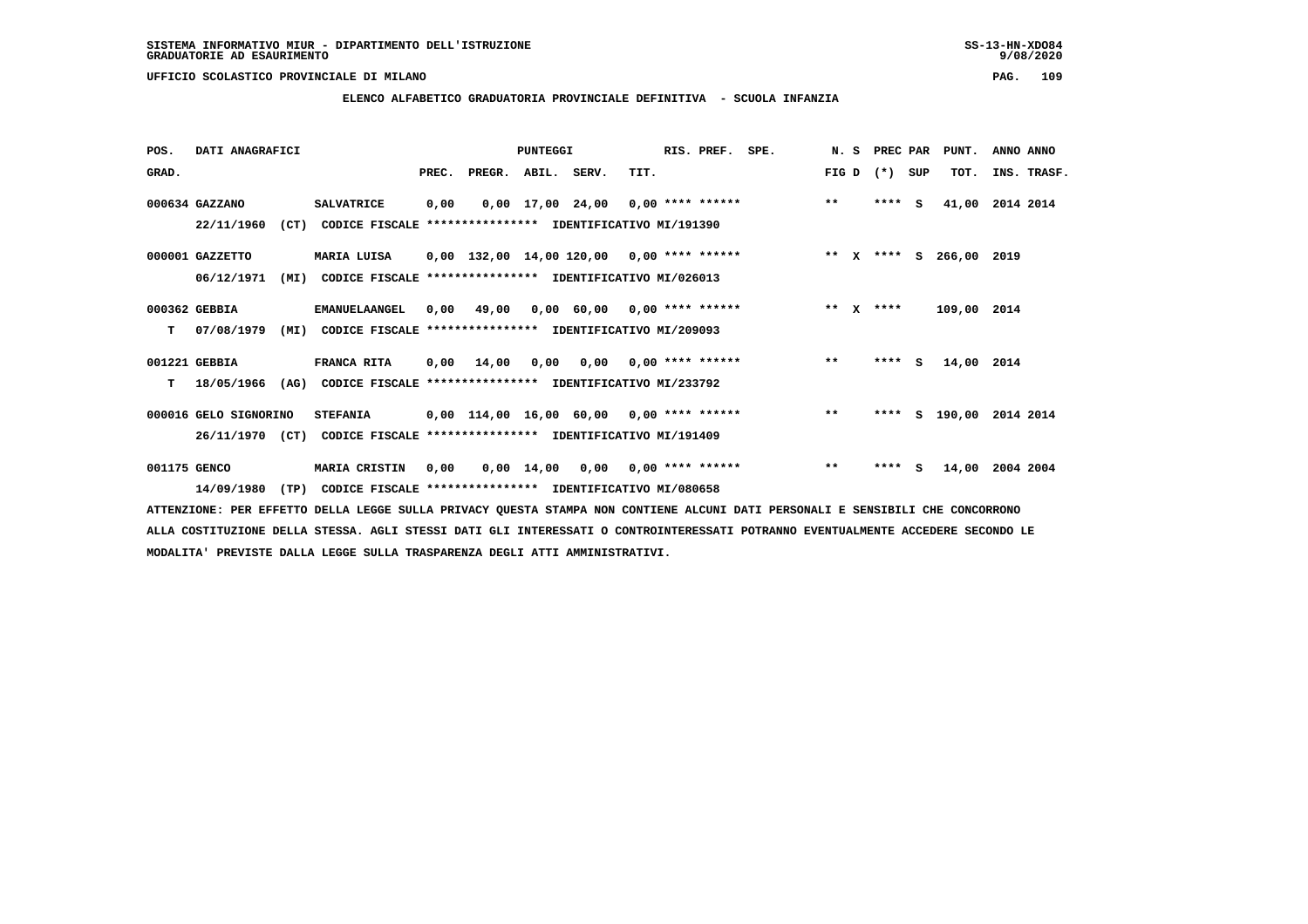# **ELENCO ALFABETICO GRADUATORIA PROVINCIALE DEFINITIVA - SCUOLA INFANZIA**

 **POS. DATI ANAGRAFICI PUNTEGGI RIS. PREF. SPE. N. S PREC PAR PUNT. ANNO ANNO**GRAD. **BRAD. PREC. PREGR. ABIL. SERV.** TIT. THE REGREATER FIG D (\*) SUP TOT. INS. TRASF.  **000634 GAZZANO SALVATRICE 0,00 0,00 17,00 24,00 0,00 \*\*\*\* \*\*\*\*\*\* \*\* \*\*\*\* S 41,00 2014 2014 22/11/1960 (CT) CODICE FISCALE \*\*\*\*\*\*\*\*\*\*\*\*\*\*\*\* IDENTIFICATIVO MI/191390 000001 GAZZETTO MARIA LUISA 0,00 132,00 14,00 120,00 0,00 \*\*\*\* \*\*\*\*\*\* \*\* X \*\*\*\* S 266,00 2019 06/12/1971 (MI) CODICE FISCALE \*\*\*\*\*\*\*\*\*\*\*\*\*\*\*\* IDENTIFICATIVO MI/026013 000362 GEBBIA EMANUELAANGEL 0,00 49,00 0,00 60,00 0,00 \*\*\*\* \*\*\*\*\*\* \*\* X \*\*\*\* 109,00 2014 T 07/08/1979 (MI) CODICE FISCALE \*\*\*\*\*\*\*\*\*\*\*\*\*\*\*\* IDENTIFICATIVO MI/209093 001221 GEBBIA FRANCA RITA 0,00 14,00 0,00 0,00 0,00 \*\*\*\* \*\*\*\*\*\* \*\* \*\*\*\* S 14,00 2014 T 18/05/1966 (AG) CODICE FISCALE \*\*\*\*\*\*\*\*\*\*\*\*\*\*\*\* IDENTIFICATIVO MI/233792 000016 GELO SIGNORINO STEFANIA 0,00 114,00 16,00 60,00 0,00 \*\*\*\* \*\*\*\*\*\* \*\* \*\*\*\* S 190,00 2014 2014 26/11/1970 (CT) CODICE FISCALE \*\*\*\*\*\*\*\*\*\*\*\*\*\*\*\* IDENTIFICATIVO MI/191409 001175 GENCO MARIA CRISTIN 0,00 0,00 14,00 0,00 0,00 \*\*\*\* \*\*\*\*\*\* \*\* \*\*\*\* S 14,00 2004 2004 14/09/1980 (TP) CODICE FISCALE \*\*\*\*\*\*\*\*\*\*\*\*\*\*\*\* IDENTIFICATIVO MI/080658**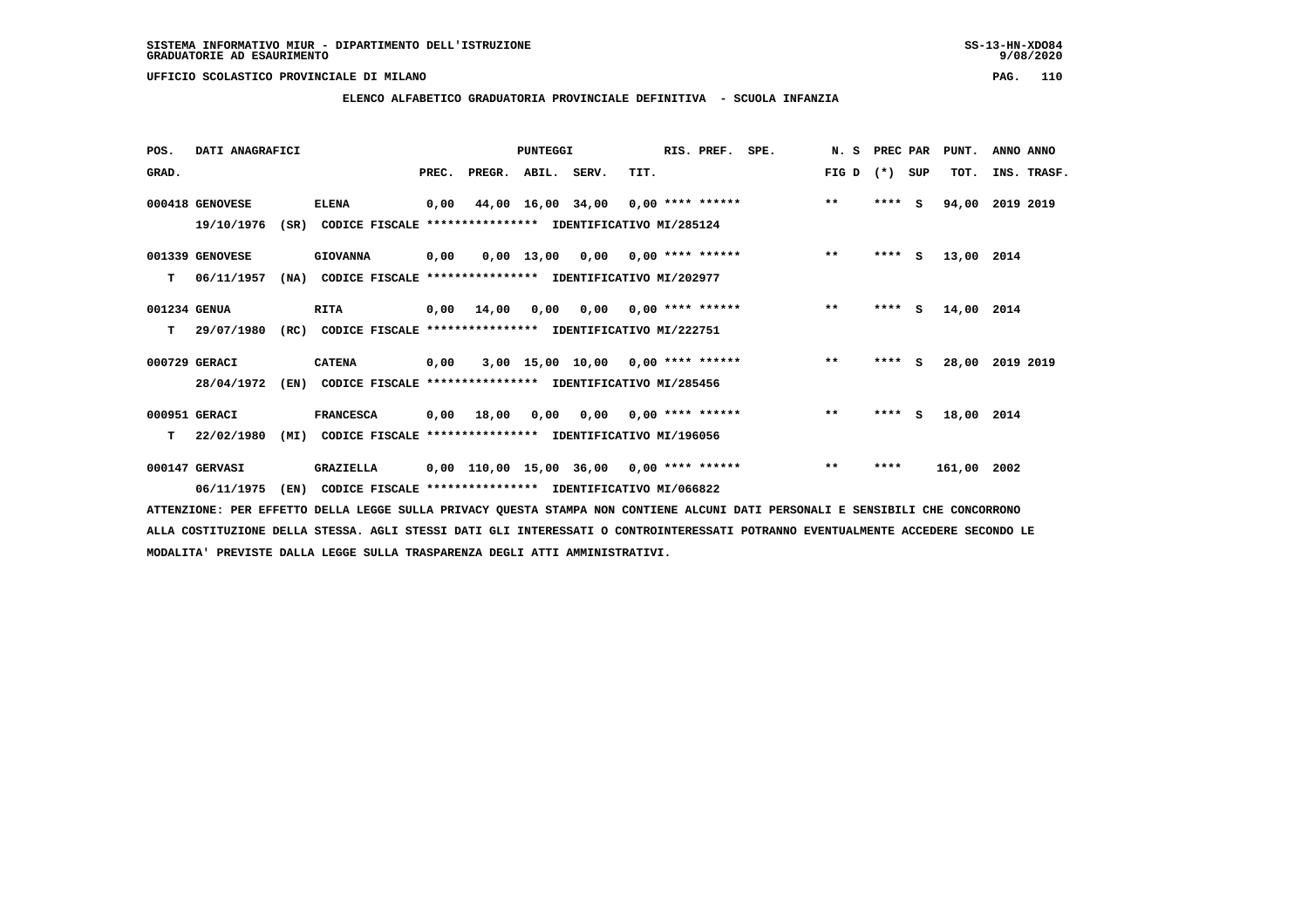# **ELENCO ALFABETICO GRADUATORIA PROVINCIALE DEFINITIVA - SCUOLA INFANZIA**

| POS.         | DATI ANAGRAFICI |      |                                                               |       |                    | PUNTEGGI |                                    |      | RIS. PREF.         | SPE.                                     | N. S  | PREC PAR |     | PUNT.       | ANNO ANNO       |
|--------------|-----------------|------|---------------------------------------------------------------|-------|--------------------|----------|------------------------------------|------|--------------------|------------------------------------------|-------|----------|-----|-------------|-----------------|
| GRAD.        |                 |      |                                                               | PREC. | PREGR. ABIL. SERV. |          |                                    | TIT. |                    |                                          | FIG D | $(*)$    | SUP | TOT.        | INS. TRASF.     |
|              | 000418 GENOVESE |      | <b>ELENA</b>                                                  | 0,00  |                    |          |                                    |      |                    | 44,00 16,00 34,00 0,00 **** ******       | $***$ | $***5$   |     | 94,00       | 2019 2019       |
|              | 19/10/1976      |      | (SR) CODICE FISCALE **************** IDENTIFICATIVO MI/285124 |       |                    |          |                                    |      |                    |                                          |       |          |     |             |                 |
|              | 001339 GENOVESE |      | <b>GIOVANNA</b>                                               | 0,00  |                    |          | $0,00$ 13,00 0,00 0,00 **** ****** |      |                    |                                          | $***$ | $***$ S  |     | 13,00 2014  |                 |
| т            | 06/11/1957      | (NA) | CODICE FISCALE **************** IDENTIFICATIVO MI/202977      |       |                    |          |                                    |      |                    |                                          |       |          |     |             |                 |
| 001234 GENUA |                 |      | <b>RITA</b>                                                   | 0,00  | 14,00              | 0,00     |                                    |      |                    | $0,00$ 0,00 **** ******                  | $***$ | $***$ S  |     | 14,00 2014  |                 |
| т            | 29/07/1980      |      | (RC) CODICE FISCALE **************** IDENTIFICATIVO MI/222751 |       |                    |          |                                    |      |                    |                                          |       |          |     |             |                 |
|              | 000729 GERACI   |      | <b>CATENA</b>                                                 | 0,00  |                    |          |                                    |      |                    | 3,00 15,00 10,00 0,00 **** ******        | $***$ | $***$ S  |     |             | 28,00 2019 2019 |
|              | 28/04/1972      | (EN) | CODICE FISCALE **************** IDENTIFICATIVO MI/285456      |       |                    |          |                                    |      |                    |                                          |       |          |     |             |                 |
|              | 000951 GERACI   |      | <b>FRANCESCA</b>                                              | 0,00  | 18,00              | 0,00     | 0,00                               |      | $0.00$ **** ****** |                                          | $**$  | $***$ S  |     | 18,00 2014  |                 |
| т            | 22/02/1980      | (MI) | CODICE FISCALE **************** IDENTIFICATIVO MI/196056      |       |                    |          |                                    |      |                    |                                          |       |          |     |             |                 |
|              | 000147 GERVASI  |      | <b>GRAZIELLA</b>                                              |       |                    |          |                                    |      |                    | 0,00 110,00 15,00 36,00 0,00 **** ****** | $***$ | ****     |     | 161,00 2002 |                 |
|              | 06/11/1975      | (EN) | CODICE FISCALE **************** IDENTIFICATIVO MI/066822      |       |                    |          |                                    |      |                    |                                          |       |          |     |             |                 |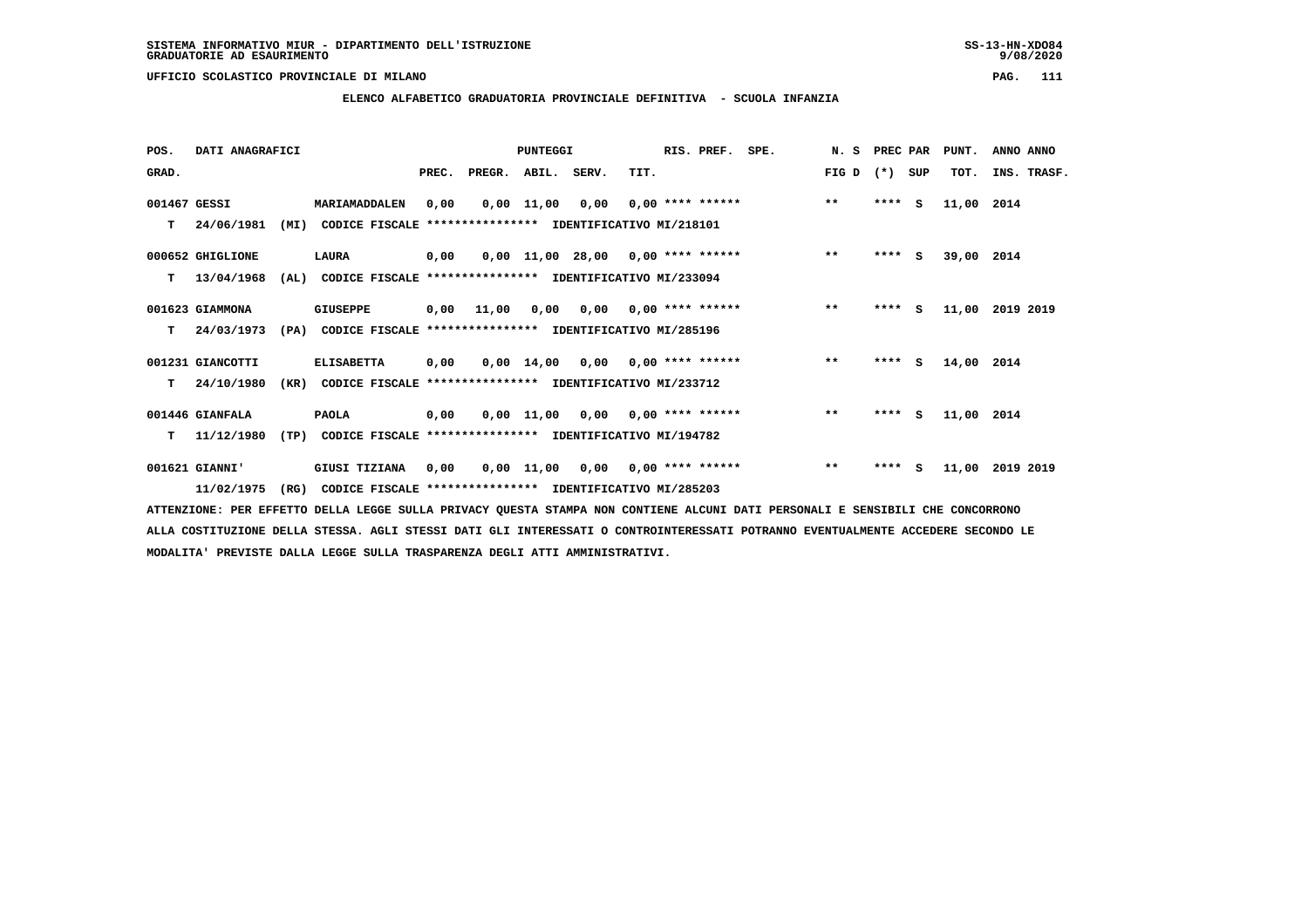**ELENCO ALFABETICO GRADUATORIA PROVINCIALE DEFINITIVA - SCUOLA INFANZIA**

| POS.         | DATI ANAGRAFICI  |      |                                                          |       |                    | <b>PUNTEGGI</b> |                                        |                           | RIS. PREF.         | SPE. | N. S  | PREC PAR |     | PUNT.      | ANNO ANNO   |
|--------------|------------------|------|----------------------------------------------------------|-------|--------------------|-----------------|----------------------------------------|---------------------------|--------------------|------|-------|----------|-----|------------|-------------|
| GRAD.        |                  |      |                                                          | PREC. | PREGR. ABIL. SERV. |                 |                                        | TIT.                      |                    |      | FIG D | $(*)$    | SUP | TOT.       | INS. TRASF. |
| 001467 GESSI |                  |      | MARIAMADDALEN                                            | 0,00  |                    | $0,00$ 11,00    | 0,00                                   |                           | $0,00$ **** ****** |      | $***$ | $***5$   |     | 11,00      | 2014        |
| т            | 24/06/1981       | (MI) | CODICE FISCALE **************** IDENTIFICATIVO MI/218101 |       |                    |                 |                                        |                           |                    |      |       |          |     |            |             |
|              | 000652 GHIGLIONE |      | LAURA                                                    | 0,00  |                    |                 | $0.00$ 11.00 28.00 0.00 **** ******    |                           |                    |      | $***$ | $***$ S  |     | 39,00 2014 |             |
| т            | 13/04/1968       | (AL) | CODICE FISCALE **************** IDENTIFICATIVO MI/233094 |       |                    |                 |                                        |                           |                    |      |       |          |     |            |             |
|              | 001623 GIAMMONA  |      | <b>GIUSEPPE</b>                                          |       | 0,00 11,00         |                 | $0,00$ $0,00$ $0,00$ $***$ **** ****** |                           |                    |      | $***$ | **** S   |     | 11,00      | 2019 2019   |
| т            | 24/03/1973       | (PA) | CODICE FISCALE **************** IDENTIFICATIVO MI/285196 |       |                    |                 |                                        |                           |                    |      |       |          |     |            |             |
|              | 001231 GIANCOTTI |      | <b>ELISABETTA</b>                                        | 0,00  |                    | 0,00 14,00      |                                        | $0,00$ $0,00$ **** ****** |                    |      | $***$ | **** S   |     | 14,00 2014 |             |
| т            | 24/10/1980       | (KR) | CODICE FISCALE **************** IDENTIFICATIVO MI/233712 |       |                    |                 |                                        |                           |                    |      |       |          |     |            |             |
|              | 001446 GIANFALA  |      | <b>PAOLA</b>                                             | 0,00  |                    |                 | $0,00$ 11,00 0,00 0,00 **** ******     |                           |                    |      | $***$ | **** S   |     | 11,00 2014 |             |
| т            | 11/12/1980       | (TP) | CODICE FISCALE **************** IDENTIFICATIVO MI/194782 |       |                    |                 |                                        |                           |                    |      |       |          |     |            |             |
|              | 001621 GIANNI'   |      | GIUSI TIZIANA                                            | 0,00  |                    | 0,00 11,00      |                                        | $0,00$ $0,00$ **** ****** |                    |      | $***$ | ****     | s   | 11,00      | 2019 2019   |
|              | 11/02/1975       | (RG) | CODICE FISCALE **************** IDENTIFICATIVO MI/285203 |       |                    |                 |                                        |                           |                    |      |       |          |     |            |             |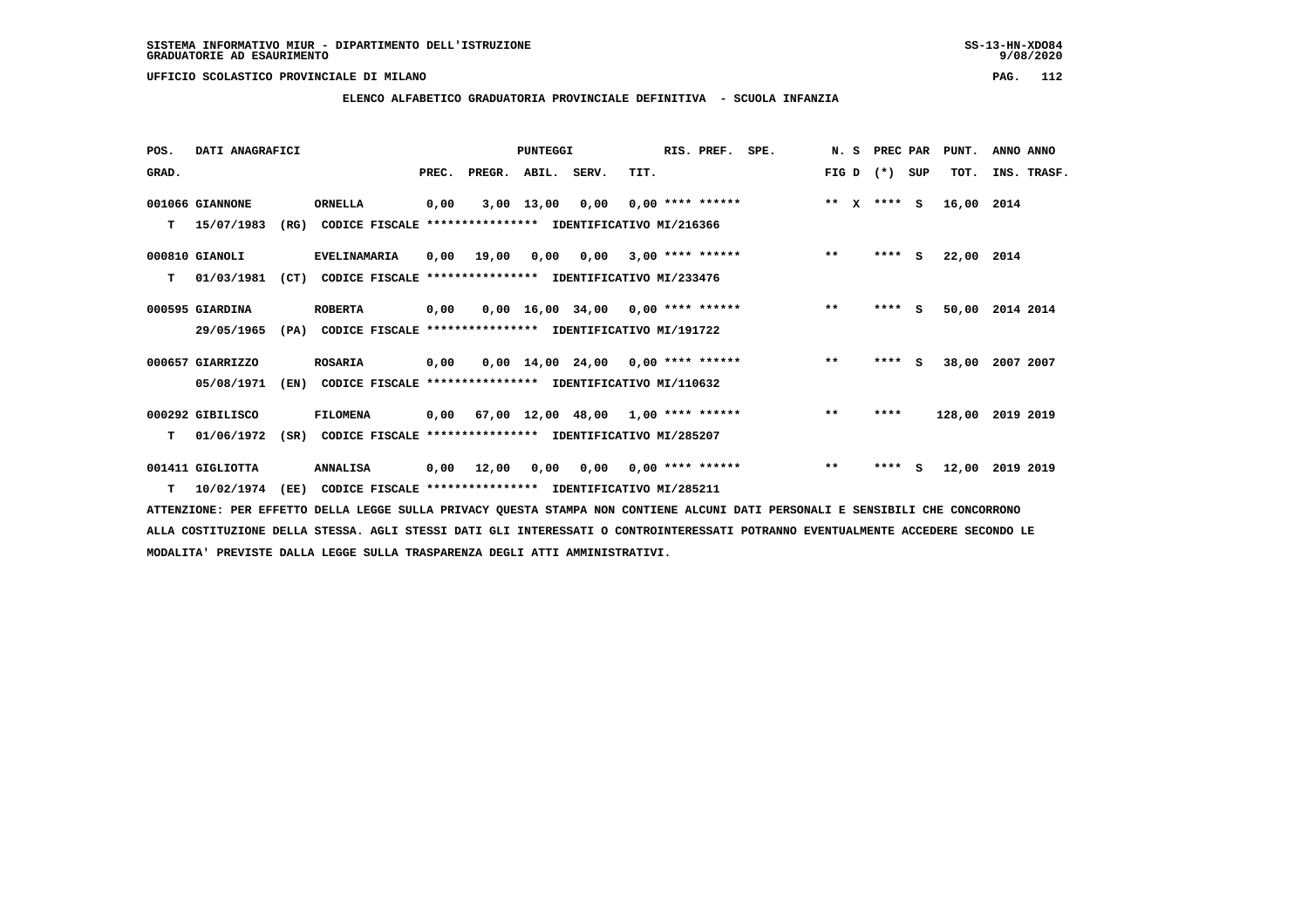**ELENCO ALFABETICO GRADUATORIA PROVINCIALE DEFINITIVA - SCUOLA INFANZIA**

 **POS. DATI ANAGRAFICI PUNTEGGI RIS. PREF. SPE. N. S PREC PAR PUNT. ANNO ANNO**GRAD. **PREGRADE SERVEGER. ABIL. SERV. TIT.** FIG D (\*) SUP TOT. INS. TRASF.  **001066 GIANNONE ORNELLA 0,00 3,00 13,00 0,00 0,00 \*\*\*\* \*\*\*\*\*\* \*\* X \*\*\*\* S 16,00 2014 T 15/07/1983 (RG) CODICE FISCALE \*\*\*\*\*\*\*\*\*\*\*\*\*\*\*\* IDENTIFICATIVO MI/216366 000810 GIANOLI EVELINAMARIA 0,00 19,00 0,00 0,00 3,00 \*\*\*\* \*\*\*\*\*\* \*\* \*\*\*\* S 22,00 2014 T 01/03/1981 (CT) CODICE FISCALE \*\*\*\*\*\*\*\*\*\*\*\*\*\*\*\* IDENTIFICATIVO MI/233476 000595 GIARDINA ROBERTA 0,00 0,00 16,00 34,00 0,00 \*\*\*\* \*\*\*\*\*\* \*\* \*\*\*\* S 50,00 2014 2014 29/05/1965 (PA) CODICE FISCALE \*\*\*\*\*\*\*\*\*\*\*\*\*\*\*\* IDENTIFICATIVO MI/191722 000657 GIARRIZZO ROSARIA 0,00 0,00 14,00 24,00 0,00 \*\*\*\* \*\*\*\*\*\* \*\* \*\*\*\* S 38,00 2007 2007 05/08/1971 (EN) CODICE FISCALE \*\*\*\*\*\*\*\*\*\*\*\*\*\*\*\* IDENTIFICATIVO MI/110632 000292 GIBILISCO FILOMENA 0,00 67,00 12,00 48,00 1,00 \*\*\*\* \*\*\*\*\*\* \*\* \*\*\*\* 128,00 2019 2019 T 01/06/1972 (SR) CODICE FISCALE \*\*\*\*\*\*\*\*\*\*\*\*\*\*\*\* IDENTIFICATIVO MI/285207 001411 GIGLIOTTA ANNALISA 0,00 12,00 0,00 0,00 0,00 \*\*\*\* \*\*\*\*\*\* \*\* \*\*\*\* S 12,00 2019 2019**

 **T 10/02/1974 (EE) CODICE FISCALE \*\*\*\*\*\*\*\*\*\*\*\*\*\*\*\* IDENTIFICATIVO MI/285211**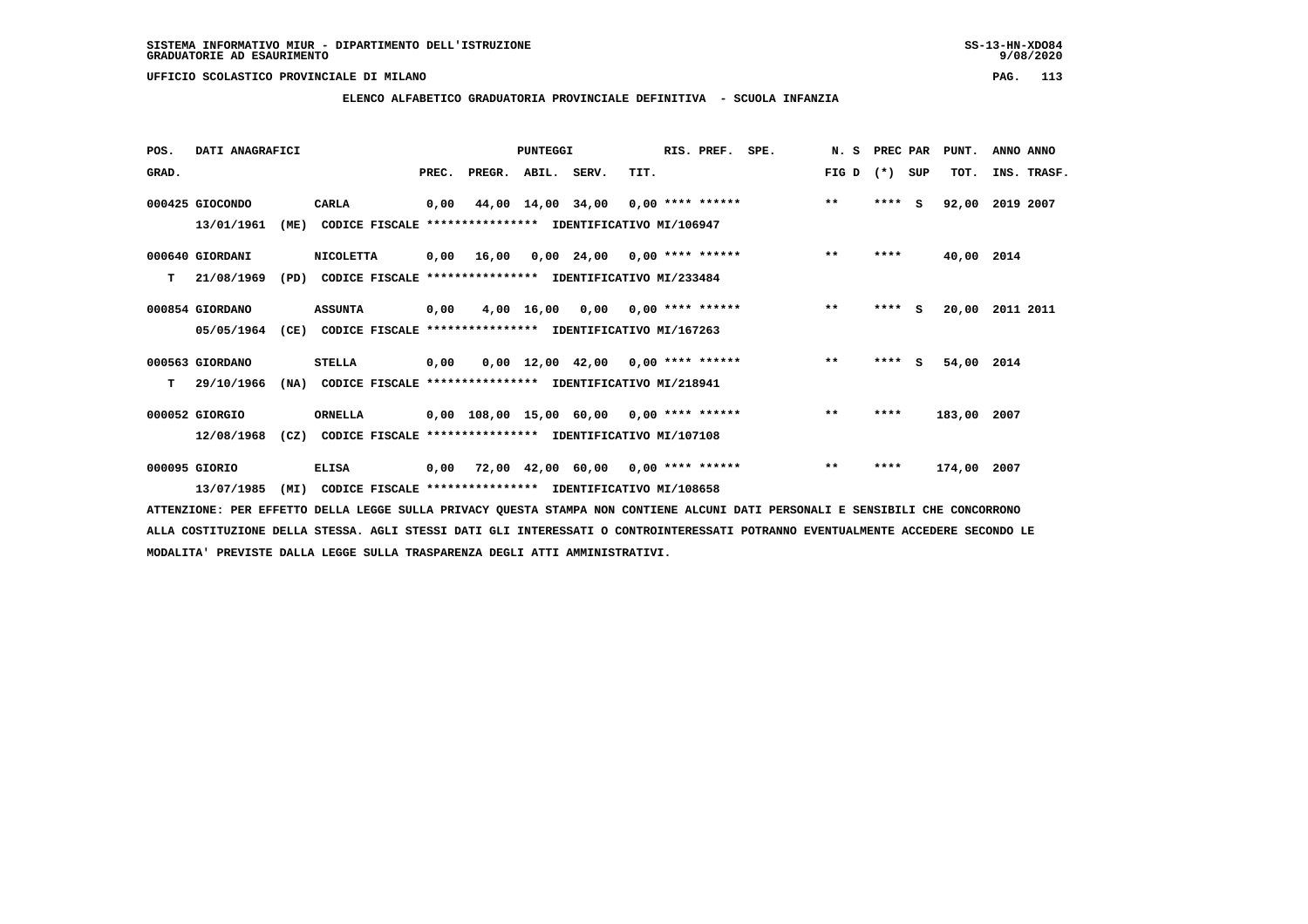# **ELENCO ALFABETICO GRADUATORIA PROVINCIALE DEFINITIVA - SCUOLA INFANZIA**

| POS.  | DATI ANAGRAFICI |      |                                                               |       |                                           | <b>PUNTEGGI</b>   |                                     |                    | RIS. PREF. | SPE. | N. S  | PREC PAR |     | PUNT.       | ANNO ANNO       |
|-------|-----------------|------|---------------------------------------------------------------|-------|-------------------------------------------|-------------------|-------------------------------------|--------------------|------------|------|-------|----------|-----|-------------|-----------------|
| GRAD. |                 |      |                                                               | PREC. | PREGR.                                    | ABIL.             | SERV.                               | TIT.               |            |      | FIG D | $(*)$    | SUP | TOT.        | INS. TRASF.     |
|       | 000425 GIOCONDO |      | <b>CARLA</b>                                                  | 0,00  |                                           | 44,00 14,00 34,00 |                                     | $0.00$ **** ****** |            |      | $***$ | $***$ S  |     | 92,00       | 2019 2007       |
|       | 13/01/1961      | (ME) | CODICE FISCALE **************** IDENTIFICATIVO MI/106947      |       |                                           |                   |                                     |                    |            |      |       |          |     |             |                 |
|       | 000640 GIORDANI |      | <b>NICOLETTA</b>                                              |       | 0,00 16,00                                |                   | 0,00 24,00                          | $0.00$ **** ****** |            |      | $***$ | ****     |     | 40,00 2014  |                 |
| т     | 21/08/1969      | (PD) | CODICE FISCALE                                                |       | **************** IDENTIFICATIVO MI/233484 |                   |                                     |                    |            |      |       |          |     |             |                 |
|       | 000854 GIORDANO |      | <b>ASSUNTA</b>                                                | 0,00  |                                           | 4,00 16,00        | 0,00                                | $0.00$ **** ****** |            |      | $***$ | ****     | - S |             | 20,00 2011 2011 |
|       | 05/05/1964      |      | (CE) CODICE FISCALE **************** IDENTIFICATIVO MI/167263 |       |                                           |                   |                                     |                    |            |      |       |          |     |             |                 |
|       | 000563 GIORDANO |      | <b>STELLA</b>                                                 | 0,00  |                                           |                   | $0,00$ 12,00 42,00 0,00 **** ****** |                    |            |      | $***$ | $***$ S  |     | 54,00 2014  |                 |
| т     | 29/10/1966      | (NA) | CODICE FISCALE **************** IDENTIFICATIVO MI/218941      |       |                                           |                   |                                     |                    |            |      |       |          |     |             |                 |
|       | 000052 GIORGIO  |      | <b>ORNELLA</b>                                                |       | 0,00 108,00 15,00 60,00 0,00 **** ******  |                   |                                     |                    |            |      | $***$ | ****     |     | 183,00 2007 |                 |
|       | 12/08/1968      | (CZ) | CODICE FISCALE **************** IDENTIFICATIVO MI/107108      |       |                                           |                   |                                     |                    |            |      |       |          |     |             |                 |
|       | 000095 GIORIO   |      | <b>ELISA</b>                                                  | 0,00  |                                           |                   | 72,00 42,00 60,00 0,00 **** ******  |                    |            |      | $***$ | ****     |     | 174,00      | 2007            |
|       | 13/07/1985      | (MI) | CODICE FISCALE **************** IDENTIFICATIVO MI/108658      |       |                                           |                   |                                     |                    |            |      |       |          |     |             |                 |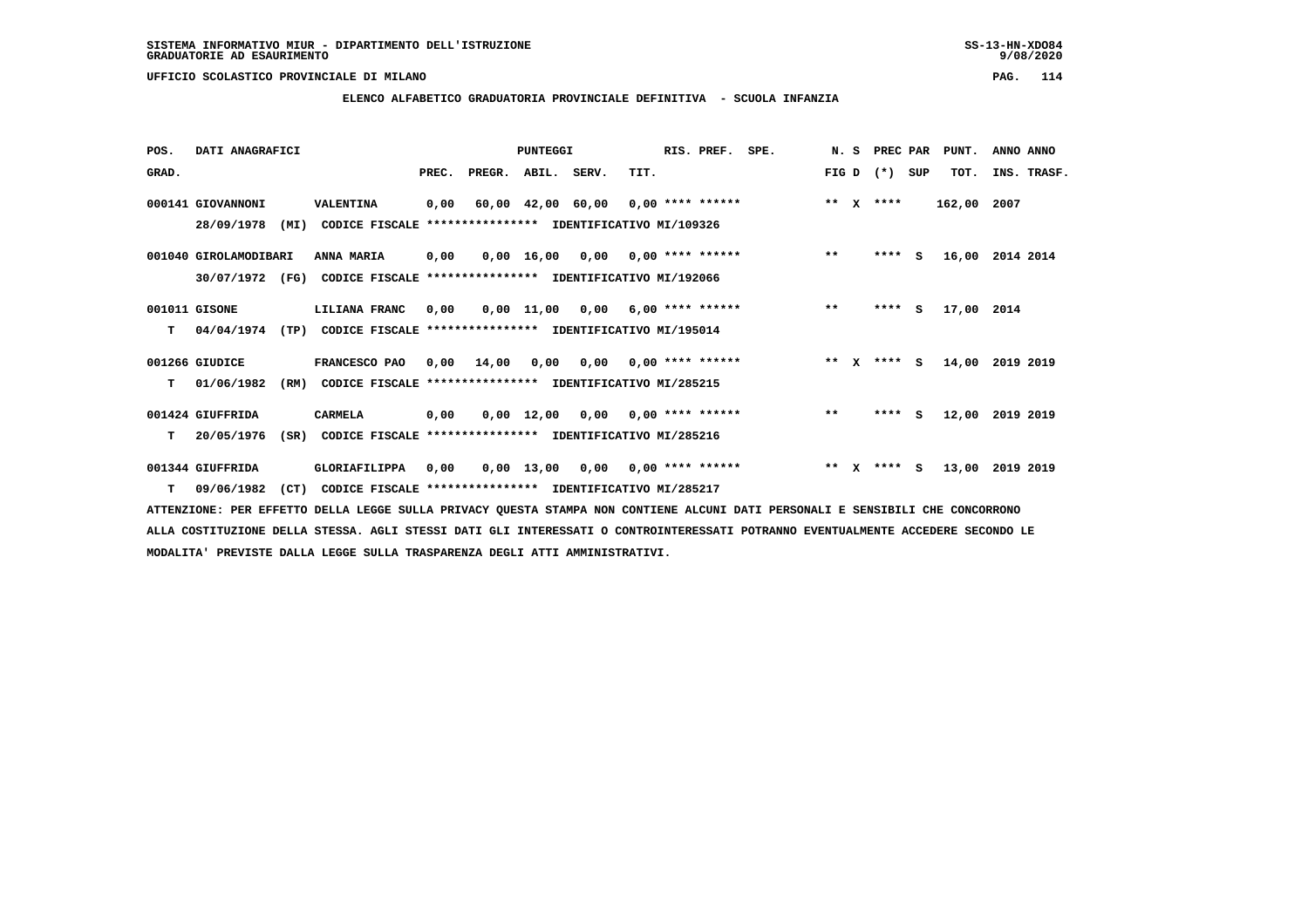## **ELENCO ALFABETICO GRADUATORIA PROVINCIALE DEFINITIVA - SCUOLA INFANZIA**

| POS.  | DATI ANAGRAFICI       |                                                                  |       |                                           | <b>PUNTEGGI</b>    |      |                                    | RIS. PREF. | SPE. | N.S   |              | PREC PAR      |          | PUNT.  | ANNO ANNO   |  |
|-------|-----------------------|------------------------------------------------------------------|-------|-------------------------------------------|--------------------|------|------------------------------------|------------|------|-------|--------------|---------------|----------|--------|-------------|--|
| GRAD. |                       |                                                                  | PREC. | PREGR. ABIL. SERV.                        |                    |      | TIT.                               |            |      | FIG D |              | $(* )$        | SUP      | TOT.   | INS. TRASF. |  |
|       | 000141 GIOVANNONI     | VALENTINA                                                        | 0,00  |                                           | 60,00 42,00 60,00  |      | 0,00 **** ******                   |            |      | $* *$ | $\mathbf{x}$ | ****          |          | 162,00 | 2007        |  |
|       | 28/09/1978<br>(MI)    | CODICE FISCALE                                                   |       | **************** IDENTIFICATIVO MI/109326 |                    |      |                                    |            |      |       |              |               |          |        |             |  |
|       | 001040 GIROLAMODIBARI | ANNA MARIA                                                       | 0,00  |                                           |                    |      | $0,00$ 16,00 0,00 0,00 **** ****** |            |      | $**$  |              | $***$ S       |          | 16,00  | 2014 2014   |  |
|       | 30/07/1972<br>(FG)    | CODICE FISCALE                                                   |       | **************** IDENTIFICATIVO MI/192066 |                    |      |                                    |            |      |       |              |               |          |        |             |  |
|       | 001011 GISONE         | LILIANA FRANC                                                    | 0,00  |                                           | $0,00$ 11,00       | 0,00 | $6,00$ **** ******                 |            |      | $***$ |              | ****          | <b>S</b> | 17,00  | 2014        |  |
| т     | 04/04/1974            | (TP)<br>CODICE FISCALE **************** IDENTIFICATIVO MI/195014 |       |                                           |                    |      |                                    |            |      |       |              |               |          |        |             |  |
|       | 001266 GIUDICE        | FRANCESCO PAO                                                    | 0,00  | 14,00                                     | 0,00               |      | $0.00$ $0.00$ **** ******          |            |      |       |              | ** $X$ **** S |          | 14,00  | 2019 2019   |  |
| т     | 01/06/1982<br>(RM)    | CODICE FISCALE **************** IDENTIFICATIVO MI/285215         |       |                                           |                    |      |                                    |            |      |       |              |               |          |        |             |  |
|       | 001424 GIUFFRIDA      | <b>CARMELA</b>                                                   | 0,00  |                                           | $0,00 \quad 12,00$ | 0.00 | $0,00$ **** ******                 |            |      | $***$ |              | ****          | s        | 12,00  | 2019 2019   |  |
| т     | 20/05/1976<br>(SR)    | CODICE FISCALE **************** IDENTIFICATIVO MI/285216         |       |                                           |                    |      |                                    |            |      |       |              |               |          |        |             |  |
|       | 001344 GIUFFRIDA      | GLORIAFILIPPA                                                    | 0,00  |                                           | 0,00 13,00         |      | $0,00$ $0,00$ **** ******          |            |      | $**$  | x            | ****          | - S      | 13,00  | 2019 2019   |  |
| т     | 09/06/1982<br>(CT)    | CODICE FISCALE **************** IDENTIFICATIVO MI/285217         |       |                                           |                    |      |                                    |            |      |       |              |               |          |        |             |  |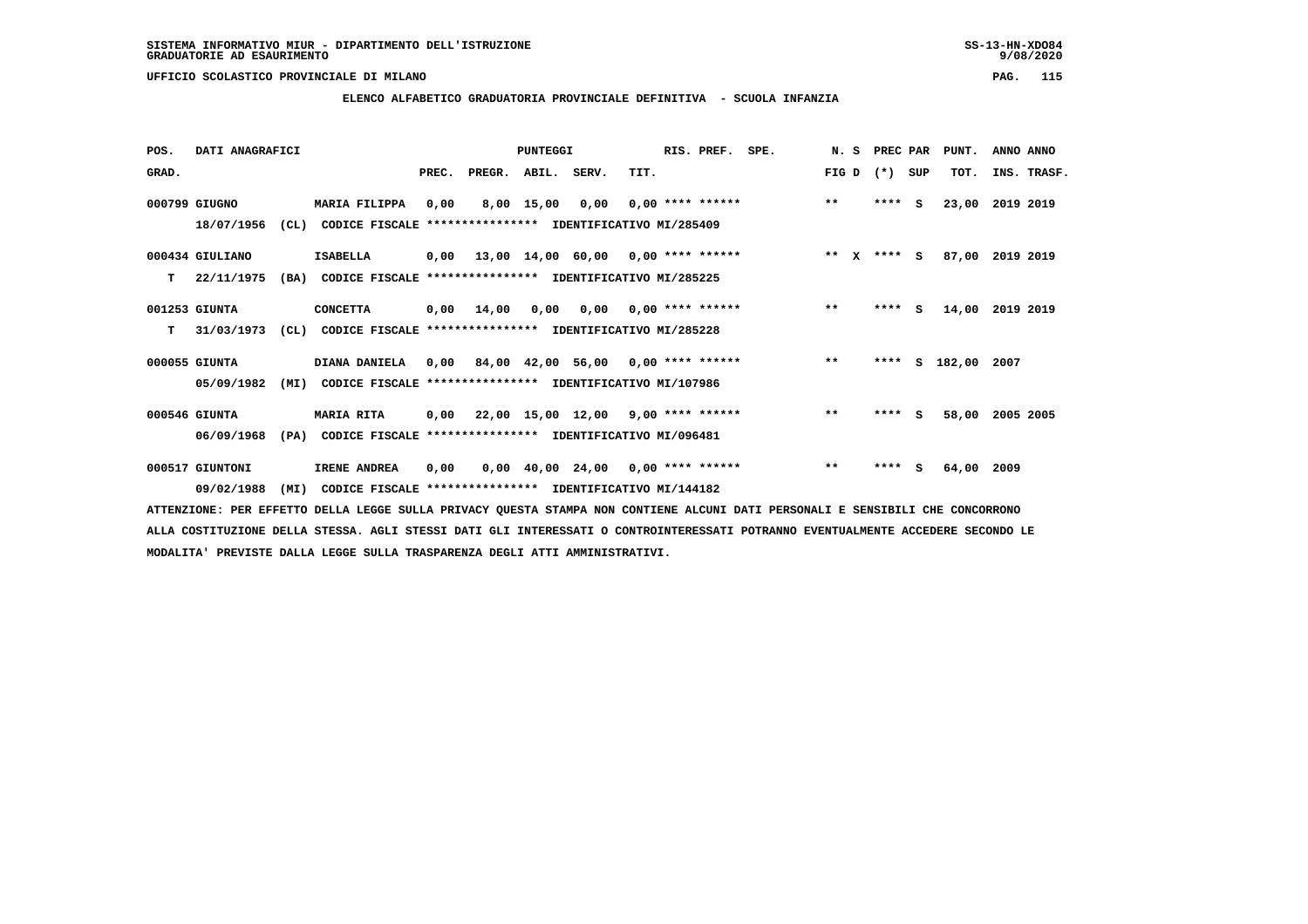# **ELENCO ALFABETICO GRADUATORIA PROVINCIALE DEFINITIVA - SCUOLA INFANZIA**

 **POS. DATI ANAGRAFICI PUNTEGGI RIS. PREF. SPE. N. S PREC PAR PUNT. ANNO ANNO**GRAD. **PREGRADE SERVEGER. ABIL. SERV. TIT.** FIG D (\*) SUP TOT. INS. TRASF.  **000799 GIUGNO MARIA FILIPPA 0,00 8,00 15,00 0,00 0,00 \*\*\*\* \*\*\*\*\*\* \*\* \*\*\*\* S 23,00 2019 2019 18/07/1956 (CL) CODICE FISCALE \*\*\*\*\*\*\*\*\*\*\*\*\*\*\*\* IDENTIFICATIVO MI/285409 000434 GIULIANO ISABELLA 0,00 13,00 14,00 60,00 0,00 \*\*\*\* \*\*\*\*\*\* \*\* X \*\*\*\* S 87,00 2019 2019 T 22/11/1975 (BA) CODICE FISCALE \*\*\*\*\*\*\*\*\*\*\*\*\*\*\*\* IDENTIFICATIVO MI/285225 001253 GIUNTA CONCETTA 0,00 14,00 0,00 0,00 0,00 \*\*\*\* \*\*\*\*\*\* \*\* \*\*\*\* S 14,00 2019 2019 T 31/03/1973 (CL) CODICE FISCALE \*\*\*\*\*\*\*\*\*\*\*\*\*\*\*\* IDENTIFICATIVO MI/285228 000055 GIUNTA DIANA DANIELA 0,00 84,00 42,00 56,00 0,00 \*\*\*\* \*\*\*\*\*\* \*\* \*\*\*\* S 182,00 2007 05/09/1982 (MI) CODICE FISCALE \*\*\*\*\*\*\*\*\*\*\*\*\*\*\*\* IDENTIFICATIVO MI/107986 000546 GIUNTA MARIA RITA 0,00 22,00 15,00 12,00 9,00 \*\*\*\* \*\*\*\*\*\* \*\* \*\*\*\* S 58,00 2005 2005 06/09/1968 (PA) CODICE FISCALE \*\*\*\*\*\*\*\*\*\*\*\*\*\*\*\* IDENTIFICATIVO MI/096481 000517 GIUNTONI IRENE ANDREA 0,00 0,00 40,00 24,00 0,00 \*\*\*\* \*\*\*\*\*\* \*\* \*\*\*\* S 64,00 2009 09/02/1988 (MI) CODICE FISCALE \*\*\*\*\*\*\*\*\*\*\*\*\*\*\*\* IDENTIFICATIVO MI/144182**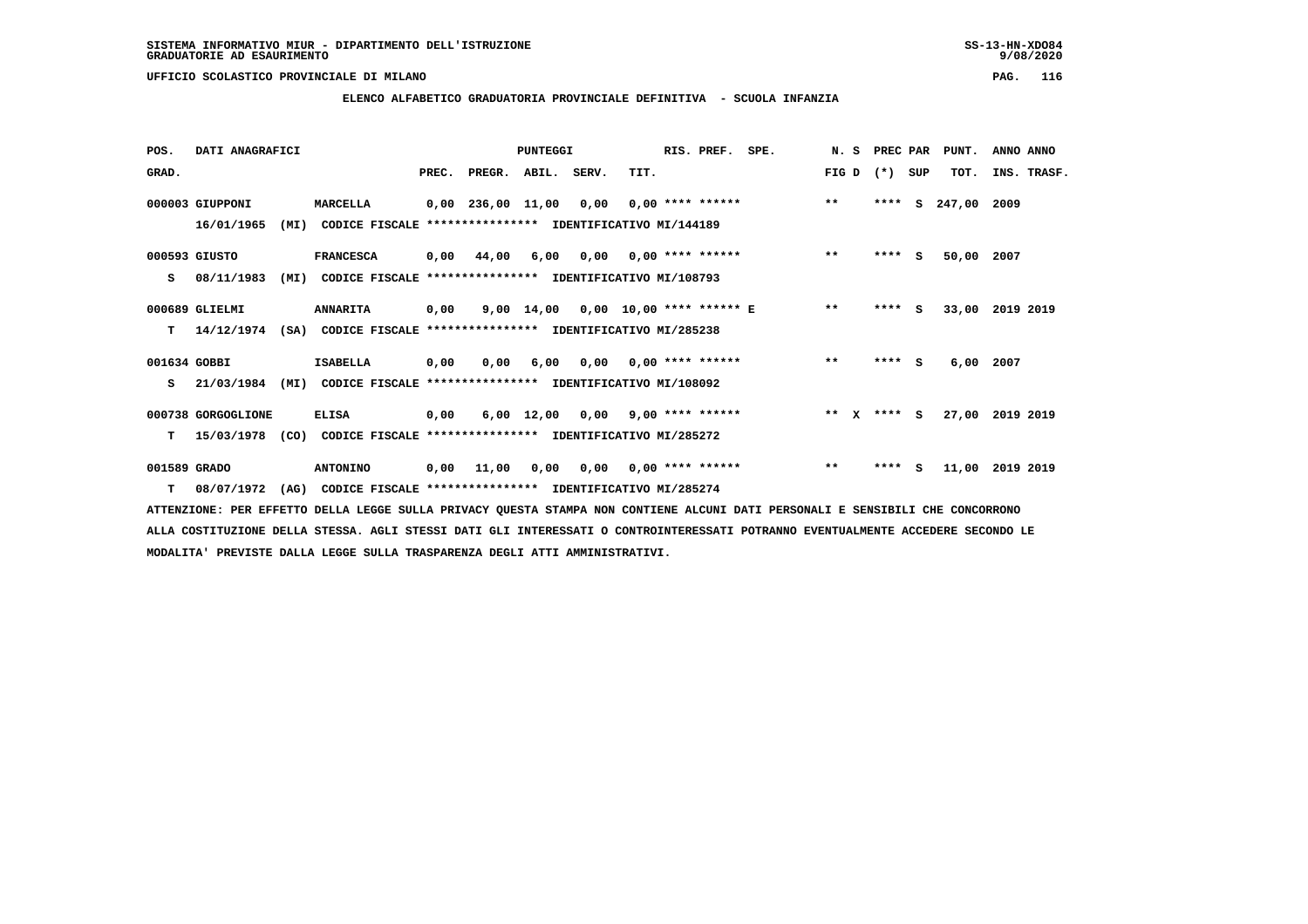# **ELENCO ALFABETICO GRADUATORIA PROVINCIALE DEFINITIVA - SCUOLA INFANZIA**

| POS.         | DATI ANAGRAFICI    |      |                                                                          |      |                                         | PUNTEGGI                           |                                        |      | RIS. PREF. | SPE.                                   |       | N. S PREC PAR   | PUNT.              | ANNO ANNO |             |
|--------------|--------------------|------|--------------------------------------------------------------------------|------|-----------------------------------------|------------------------------------|----------------------------------------|------|------------|----------------------------------------|-------|-----------------|--------------------|-----------|-------------|
| GRAD.        |                    |      |                                                                          |      | PREC. PREGR. ABIL. SERV.                |                                    |                                        | TIT. |            |                                        |       | FIG D $(*)$ SUP | TOT.               |           | INS. TRASF. |
|              | 000003 GIUPPONI    |      | MARCELLA                                                                 |      | 0,00 236,00 11,00 0,00 0,00 **** ****** |                                    |                                        |      |            |                                        | $***$ |                 | **** S 247,00 2009 |           |             |
|              | 16/01/1965         | (MI) | CODICE FISCALE **************** IDENTIFICATIVO MI/144189                 |      |                                         |                                    |                                        |      |            |                                        |       |                 |                    |           |             |
|              | 000593 GIUSTO      |      | <b>FRANCESCA</b>                                                         |      | 0,00 44,00                              |                                    | $6,00$ $0,00$ $0,00$ $***$ **** ****** |      |            |                                        | $**$  | $***$ S         | 50,00              | 2007      |             |
| s            | 08/11/1983         | (MI) | CODICE FISCALE **************** IDENTIFICATIVO MI/108793                 |      |                                         |                                    |                                        |      |            |                                        |       |                 |                    |           |             |
|              | 000689 GLIELMI     |      | <b>ANNARITA</b>                                                          | 0,00 |                                         |                                    |                                        |      |            | 9,00 14,00 0,00 10,00 **** ****** E ** |       | $***$ S         | 33,00 2019 2019    |           |             |
| т            |                    |      | 14/12/1974 (SA) CODICE FISCALE **************** IDENTIFICATIVO MI/285238 |      |                                         |                                    |                                        |      |            |                                        |       |                 |                    |           |             |
| 001634 GOBBI |                    |      | ISABELLA                                                                 | 0,00 | 0,00                                    |                                    | $6,00$ $0,00$ $0,00$ $***$ **** ****** |      |            |                                        | $**$  | $***$ S         | 6,00 2007          |           |             |
| s            | 21/03/1984         | (MI) | CODICE FISCALE **************** IDENTIFICATIVO MI/108092                 |      |                                         |                                    |                                        |      |            |                                        |       |                 |                    |           |             |
|              | 000738 GORGOGLIONE |      | <b>ELISA</b>                                                             | 0,00 |                                         | $6,00$ 12,00 0,00 9,00 **** ****** |                                        |      |            | $*** x*** s$                           |       |                 | 27,00 2019 2019    |           |             |
| т            | 15/03/1978 (CO)    |      | CODICE FISCALE **************** IDENTIFICATIVO MI/285272                 |      |                                         |                                    |                                        |      |            |                                        |       |                 |                    |           |             |
| 001589 GRADO |                    |      | <b>ANTONINO</b>                                                          |      | 0,00 11,00 0,00 0,00 0,00 **** ******   |                                    |                                        |      |            |                                        | $***$ | $***$ S         | 11,00 2019 2019    |           |             |
| т            | 08/07/1972         | (AG) | CODICE FISCALE **************** IDENTIFICATIVO MI/285274                 |      |                                         |                                    |                                        |      |            |                                        |       |                 |                    |           |             |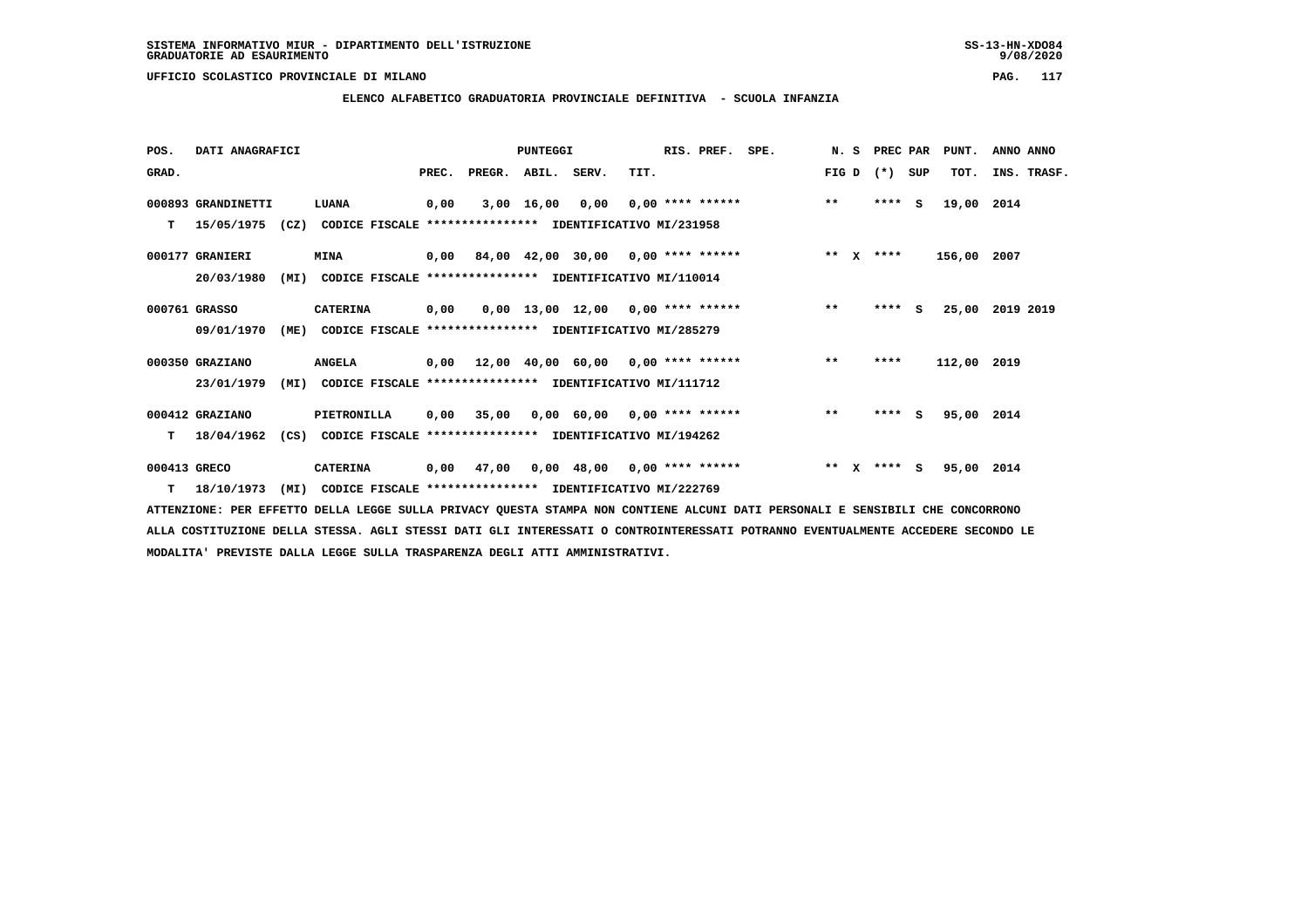# **ELENCO ALFABETICO GRADUATORIA PROVINCIALE DEFINITIVA - SCUOLA INFANZIA**

| POS.         | DATI ANAGRAFICI    |      |                                                          |       |                    | PUNTEGGI     |                                                   |      | RIS. PREF.         | SPE. | N. S  |   | PREC PAR    |     | PUNT.       | ANNO ANNO |             |
|--------------|--------------------|------|----------------------------------------------------------|-------|--------------------|--------------|---------------------------------------------------|------|--------------------|------|-------|---|-------------|-----|-------------|-----------|-------------|
| GRAD.        |                    |      |                                                          | PREC. | PREGR. ABIL. SERV. |              |                                                   | TIT. |                    |      | FIG D |   | $(*)$       | SUP | TOT.        |           | INS. TRASF. |
|              | 000893 GRANDINETTI |      | LUANA                                                    | 0,00  |                    | $3,00$ 16,00 | 0,00                                              |      | $0.00$ **** ****** |      | $***$ |   | $***$ S     |     | 19,00       | 2014      |             |
| т            | 15/05/1975         | (CZ) | CODICE FISCALE **************** IDENTIFICATIVO MI/231958 |       |                    |              |                                                   |      |                    |      |       |   |             |     |             |           |             |
|              | 000177 GRANIERI    |      | <b>MINA</b>                                              |       |                    |              | $0,00$ 84,00 42,00 30,00 0,00 **** ******         |      |                    |      |       |   | ** $X$ **** |     | 156,00 2007 |           |             |
|              | 20/03/1980         | (MI) | CODICE FISCALE **************** IDENTIFICATIVO MI/110014 |       |                    |              |                                                   |      |                    |      |       |   |             |     |             |           |             |
|              | 000761 GRASSO      |      | <b>CATERINA</b>                                          | 0,00  |                    |              | $0,00$ 13,00 12,00 0,00 **** ******               |      |                    |      | $***$ |   | ****        | s   | 25,00       | 2019 2019 |             |
|              | 09/01/1970         | (ME) | CODICE FISCALE **************** IDENTIFICATIVO MI/285279 |       |                    |              |                                                   |      |                    |      |       |   |             |     |             |           |             |
|              | 000350 GRAZIANO    |      | <b>ANGELA</b>                                            | 0,00  |                    |              | $12,00$ $40,00$ $60,00$ $0,00$ $***$ **** ******  |      |                    |      | $***$ |   | ****        |     | 112,00 2019 |           |             |
|              | 23/01/1979         | (MI) | CODICE FISCALE **************** IDENTIFICATIVO MI/111712 |       |                    |              |                                                   |      |                    |      |       |   |             |     |             |           |             |
|              | 000412 GRAZIANO    |      | PIETRONILLA                                              | 0,00  | 35,00              |              | $0,00$ 60,00 0,00 **** ******                     |      |                    |      | $**$  |   | ****        | - S | 95,00 2014  |           |             |
| т            | 18/04/1962         | (CS) | CODICE FISCALE **************** IDENTIFICATIVO MI/194262 |       |                    |              |                                                   |      |                    |      |       |   |             |     |             |           |             |
| 000413 GRECO |                    |      | <b>CATERINA</b>                                          | 0,00  | 47,00              |              | $0.00 \quad 48.00 \quad 0.00 \quad *** \quad ***$ |      |                    |      | $**$  | x | **** S      |     | 95,00 2014  |           |             |
| т            | 18/10/1973         | (MI) | CODICE FISCALE **************** IDENTIFICATIVO MI/222769 |       |                    |              |                                                   |      |                    |      |       |   |             |     |             |           |             |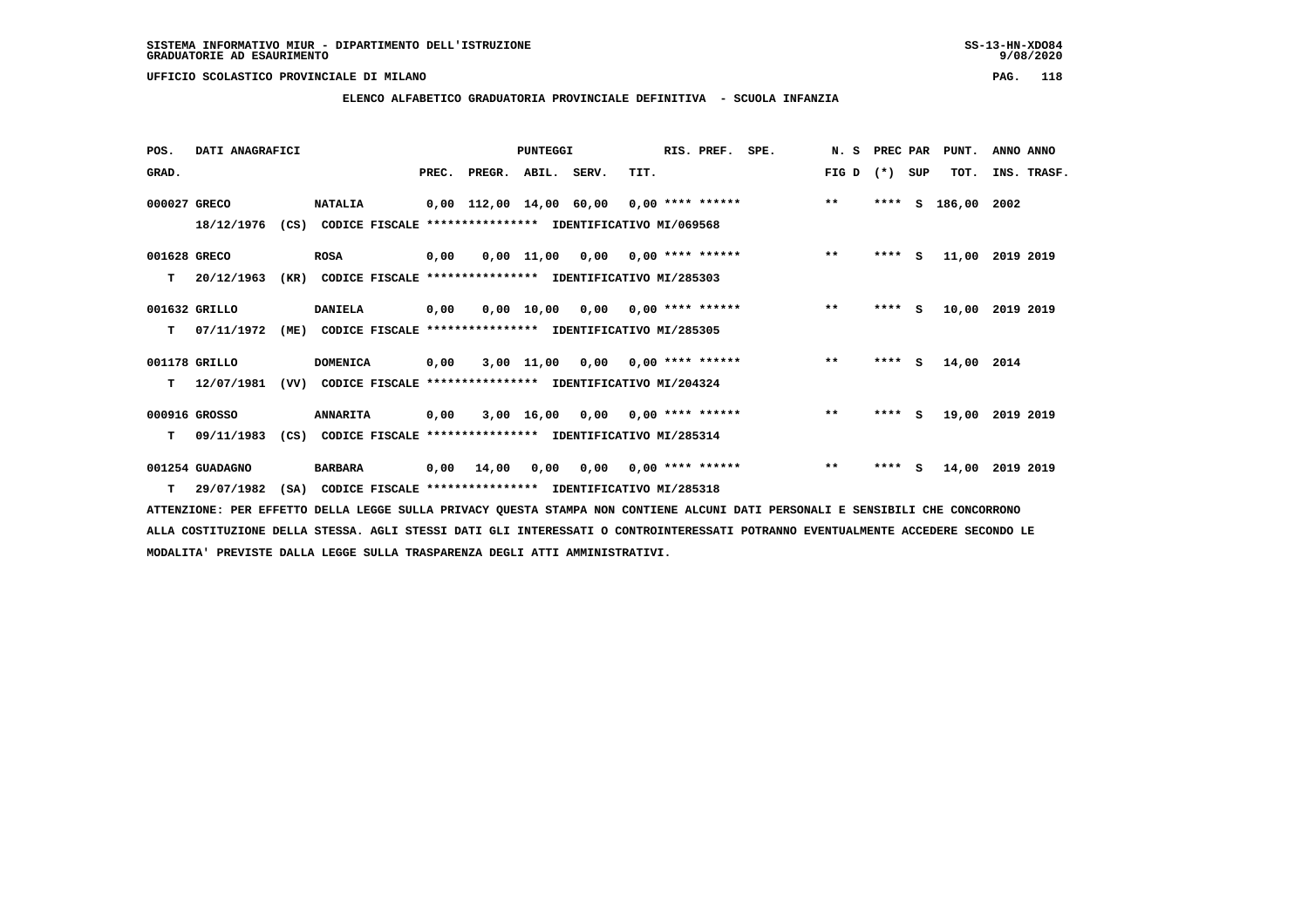# **ELENCO ALFABETICO GRADUATORIA PROVINCIALE DEFINITIVA - SCUOLA INFANZIA**

| POS.         | DATI ANAGRAFICI |      |                                                               |      |                          | PUNTEGGI |                                       |      | RIS. PREF. | SPE.                                             | N. S PREC PAR |         |     | PUNT.       | ANNO ANNO       |
|--------------|-----------------|------|---------------------------------------------------------------|------|--------------------------|----------|---------------------------------------|------|------------|--------------------------------------------------|---------------|---------|-----|-------------|-----------------|
| GRAD.        |                 |      |                                                               |      | PREC. PREGR. ABIL. SERV. |          |                                       | TIT. |            |                                                  | FIG D         | $(*)$   | SUP | TOT.        | INS. TRASF.     |
| 000027 GRECO |                 |      | <b>NATALIA</b>                                                |      |                          |          |                                       |      |            | 0,00 112,00 14,00 60,00 0,00 **** ****** *** *** |               | $***$ S |     | 186,00 2002 |                 |
|              | 18/12/1976      |      | (CS) CODICE FISCALE **************** IDENTIFICATIVO MI/069568 |      |                          |          |                                       |      |            |                                                  |               |         |     |             |                 |
| 001628 GRECO |                 |      | <b>ROSA</b>                                                   | 0.00 |                          |          | $0,00$ 11,00 0,00 0,00 **** ******    |      |            |                                                  | $**$          | $***$ S |     |             | 11,00 2019 2019 |
| т            | 20/12/1963      | (KR) | CODICE FISCALE **************** IDENTIFICATIVO MI/285303      |      |                          |          |                                       |      |            |                                                  |               |         |     |             |                 |
|              | 001632 GRILLO   |      | <b>DANIELA</b>                                                | 0,00 |                          |          | $0.00$ 10.00 0.00 0.00 **** ******    |      |            |                                                  | $***$         | **** S  |     |             | 10,00 2019 2019 |
| T.           | 07/11/1972      |      | (ME) CODICE FISCALE **************** IDENTIFICATIVO MI/285305 |      |                          |          |                                       |      |            |                                                  |               |         |     |             |                 |
|              | 001178 GRILLO   |      | <b>DOMENICA</b>                                               | 0,00 |                          |          | $3,00$ 11,00 0,00 0,00 **** ******    |      |            |                                                  | $***$         | $***$ S |     | 14,00 2014  |                 |
| T.           | 12/07/1981      |      | (VV) CODICE FISCALE **************** IDENTIFICATIVO MI/204324 |      |                          |          |                                       |      |            |                                                  |               |         |     |             |                 |
|              | 000916 GROSSO   |      | <b>ANNARITA</b>                                               | 0,00 |                          |          | $3,00$ 16,00 0,00 0,00 **** ******    |      |            |                                                  | $***$         | **** S  |     | 19,00       | 2019 2019       |
| т            | 09/11/1983      |      | (CS) CODICE FISCALE **************** IDENTIFICATIVO MI/285314 |      |                          |          |                                       |      |            |                                                  |               |         |     |             |                 |
|              | 001254 GUADAGNO |      | <b>BARBARA</b>                                                |      |                          |          | 0,00 14,00 0,00 0,00 0,00 **** ****** |      |            |                                                  | $**$          | $***$ S |     | 14,00       | 2019 2019       |
| т            | 29/07/1982      | (SA) | CODICE FISCALE **************** IDENTIFICATIVO MI/285318      |      |                          |          |                                       |      |            |                                                  |               |         |     |             |                 |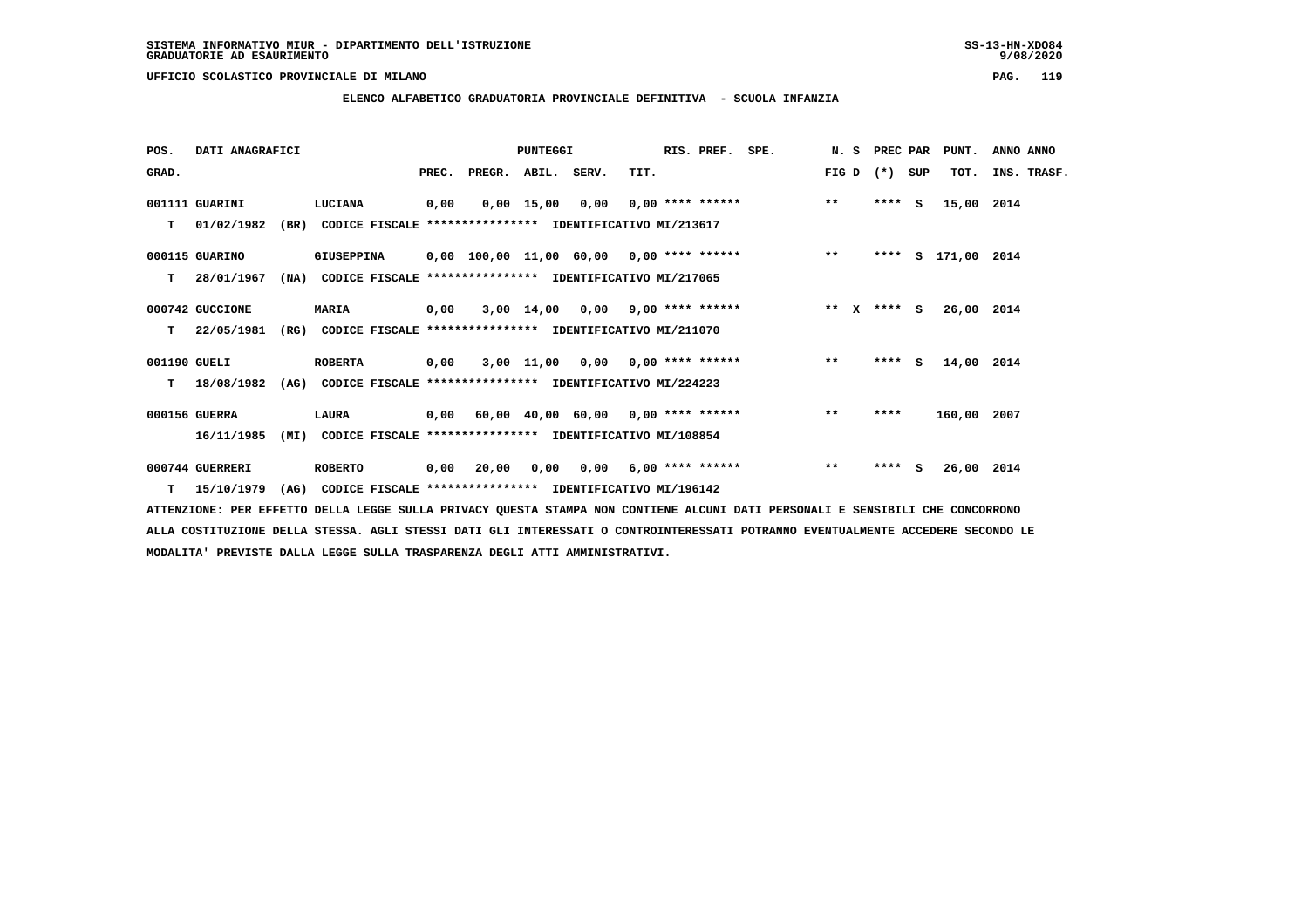**ELENCO ALFABETICO GRADUATORIA PROVINCIALE DEFINITIVA - SCUOLA INFANZIA**

| POS.         | DATI ANAGRAFICI  |      |                                                               |       |        | <b>PUNTEGGI</b> |                                         | RIS. PREF. SPE. |                                                  | N. S PREC PAR |         |     | PUNT.              | ANNO ANNO   |
|--------------|------------------|------|---------------------------------------------------------------|-------|--------|-----------------|-----------------------------------------|-----------------|--------------------------------------------------|---------------|---------|-----|--------------------|-------------|
| GRAD.        |                  |      |                                                               | PREC. | PREGR. | ABIL. SERV.     | TIT.                                    |                 |                                                  | FIG D         | $(* )$  | SUP | TOT.               | INS. TRASF. |
|              | 001111 GUARINI   |      | LUCIANA                                                       | 0,00  |        |                 | $0,00$ 15,00 0,00 0,00 **** ******      |                 |                                                  | $***$         | $***$ S |     | 15,00 2014         |             |
| т            | 01/02/1982       | (BR) | CODICE FISCALE **************** IDENTIFICATIVO MI/213617      |       |        |                 |                                         |                 |                                                  |               |         |     |                    |             |
|              | 000115 GUARINO   |      | <b>GIUSEPPINA</b>                                             |       |        |                 |                                         |                 | 0,00 100,00 11,00 60,00 0,00 **** ****** *** *** |               |         |     | **** S 171,00 2014 |             |
| т            | 28/01/1967       |      | (NA) CODICE FISCALE **************** IDENTIFICATIVO MI/217065 |       |        |                 |                                         |                 |                                                  |               |         |     |                    |             |
|              | 000742 GUCCIONE  |      | <b>MARIA</b>                                                  | 0,00  |        |                 | $3,00$ 14,00 0,00 9,00 **** ******      |                 |                                                  | ** x **** S   |         |     | 26,00 2014         |             |
| T.           | 22/05/1981       | (RG) | CODICE FISCALE **************** IDENTIFICATIVO MI/211070      |       |        |                 |                                         |                 |                                                  |               |         |     |                    |             |
| 001190 GUELI |                  |      | <b>ROBERTA</b>                                                | 0,00  |        |                 | $3,00$ 11,00 0,00 0,00 **** ******      |                 |                                                  | $***$         | $***$ S |     | 14,00 2014         |             |
| т            | 18/08/1982       |      | (AG) CODICE FISCALE **************** IDENTIFICATIVO MI/224223 |       |        |                 |                                         |                 |                                                  |               |         |     |                    |             |
|              | 000156 GUERRA    |      | LAURA                                                         |       |        |                 | 0,00 60,00 40,00 60,00 0,00 **** ****** |                 |                                                  | $* *$         | ****    |     | 160,00 2007        |             |
|              | 16/11/1985       | (MI) | CODICE FISCALE **************** IDENTIFICATIVO MI/108854      |       |        |                 |                                         |                 |                                                  |               |         |     |                    |             |
|              | 000744 GUERRERI  |      | <b>ROBERTO</b>                                                | 0,00  | 20,00  |                 | $0,00$ $0,00$ $6,00$ **** ******        |                 |                                                  | $* *$         | $***$ S |     | 26,00 2014         |             |
|              | $T = 15/10/1979$ |      | (AG) CODICE FISCALE **************** IDENTIFICATIVO MI/196142 |       |        |                 |                                         |                 |                                                  |               |         |     |                    |             |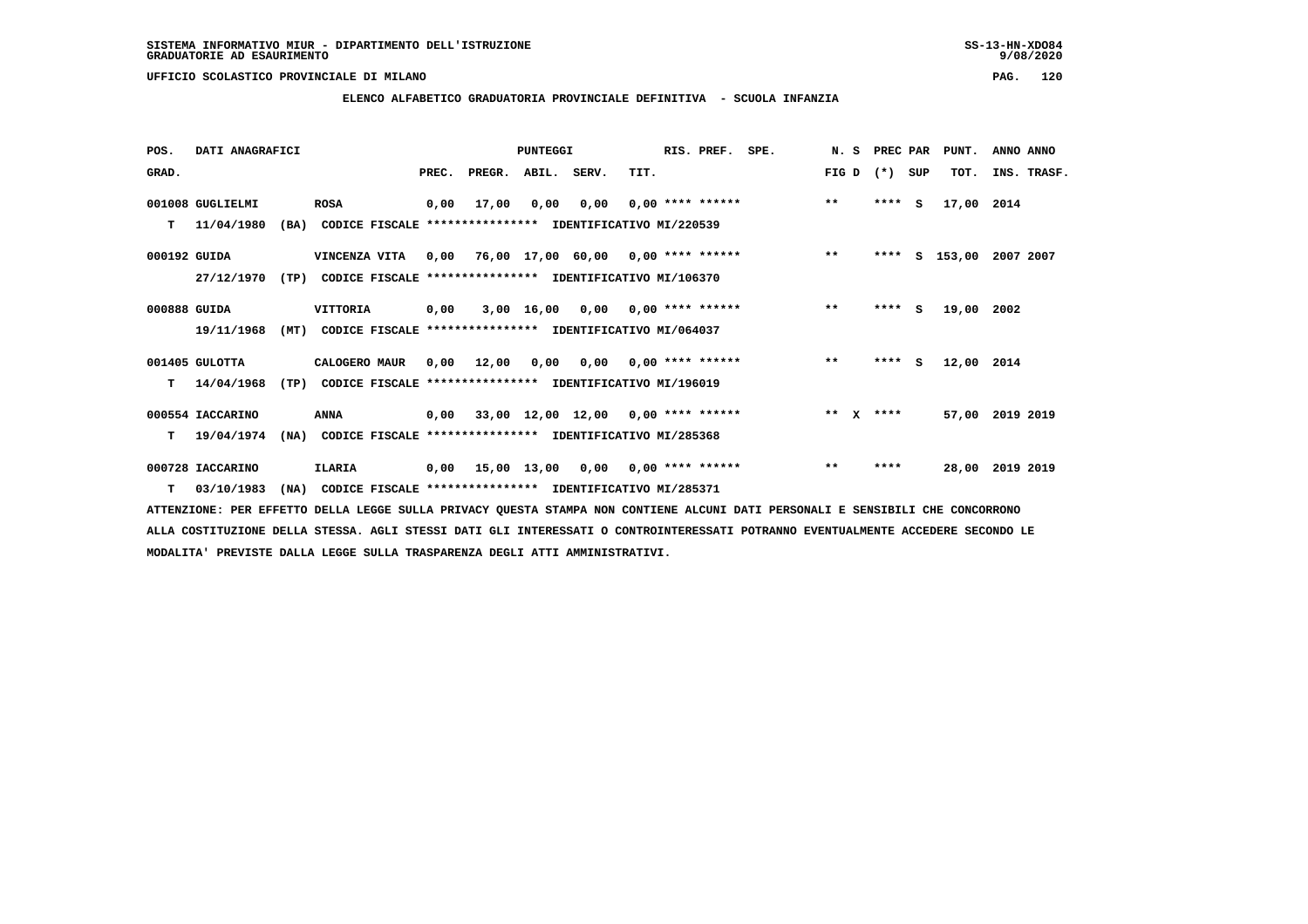**ELENCO ALFABETICO GRADUATORIA PROVINCIALE DEFINITIVA - SCUOLA INFANZIA**

 **POS. DATI ANAGRAFICI PUNTEGGI RIS. PREF. SPE. N. S PREC PAR PUNT. ANNO ANNO**GRAD. **PREGRADE SERVEGER. ABIL. SERV. TIT.** FIG D (\*) SUP TOT. INS. TRASF.  **001008 GUGLIELMI ROSA 0,00 17,00 0,00 0,00 0,00 \*\*\*\* \*\*\*\*\*\* \*\* \*\*\*\* S 17,00 2014 T 11/04/1980 (BA) CODICE FISCALE \*\*\*\*\*\*\*\*\*\*\*\*\*\*\*\* IDENTIFICATIVO MI/220539 000192 GUIDA VINCENZA VITA 0,00 76,00 17,00 60,00 0,00 \*\*\*\* \*\*\*\*\*\* \*\* \*\*\*\* S 153,00 2007 2007 27/12/1970 (TP) CODICE FISCALE \*\*\*\*\*\*\*\*\*\*\*\*\*\*\*\* IDENTIFICATIVO MI/106370 000888 GUIDA VITTORIA 0,00 3,00 16,00 0,00 0,00 \*\*\*\* \*\*\*\*\*\* \*\* \*\*\*\* S 19,00 2002 19/11/1968 (MT) CODICE FISCALE \*\*\*\*\*\*\*\*\*\*\*\*\*\*\*\* IDENTIFICATIVO MI/064037 001405 GULOTTA CALOGERO MAUR 0,00 12,00 0,00 0,00 0,00 \*\*\*\* \*\*\*\*\*\* \*\* \*\*\*\* S 12,00 2014 T 14/04/1968 (TP) CODICE FISCALE \*\*\*\*\*\*\*\*\*\*\*\*\*\*\*\* IDENTIFICATIVO MI/196019 000554 IACCARINO ANNA 0,00 33,00 12,00 12,00 0,00 \*\*\*\* \*\*\*\*\*\* \*\* X \*\*\*\* 57,00 2019 2019 T 19/04/1974 (NA) CODICE FISCALE \*\*\*\*\*\*\*\*\*\*\*\*\*\*\*\* IDENTIFICATIVO MI/285368 000728 IACCARINO ILARIA 0,00 15,00 13,00 0,00 0,00 \*\*\*\* \*\*\*\*\*\* \*\* \*\*\*\* 28,00 2019 2019**

 **T 03/10/1983 (NA) CODICE FISCALE \*\*\*\*\*\*\*\*\*\*\*\*\*\*\*\* IDENTIFICATIVO MI/285371**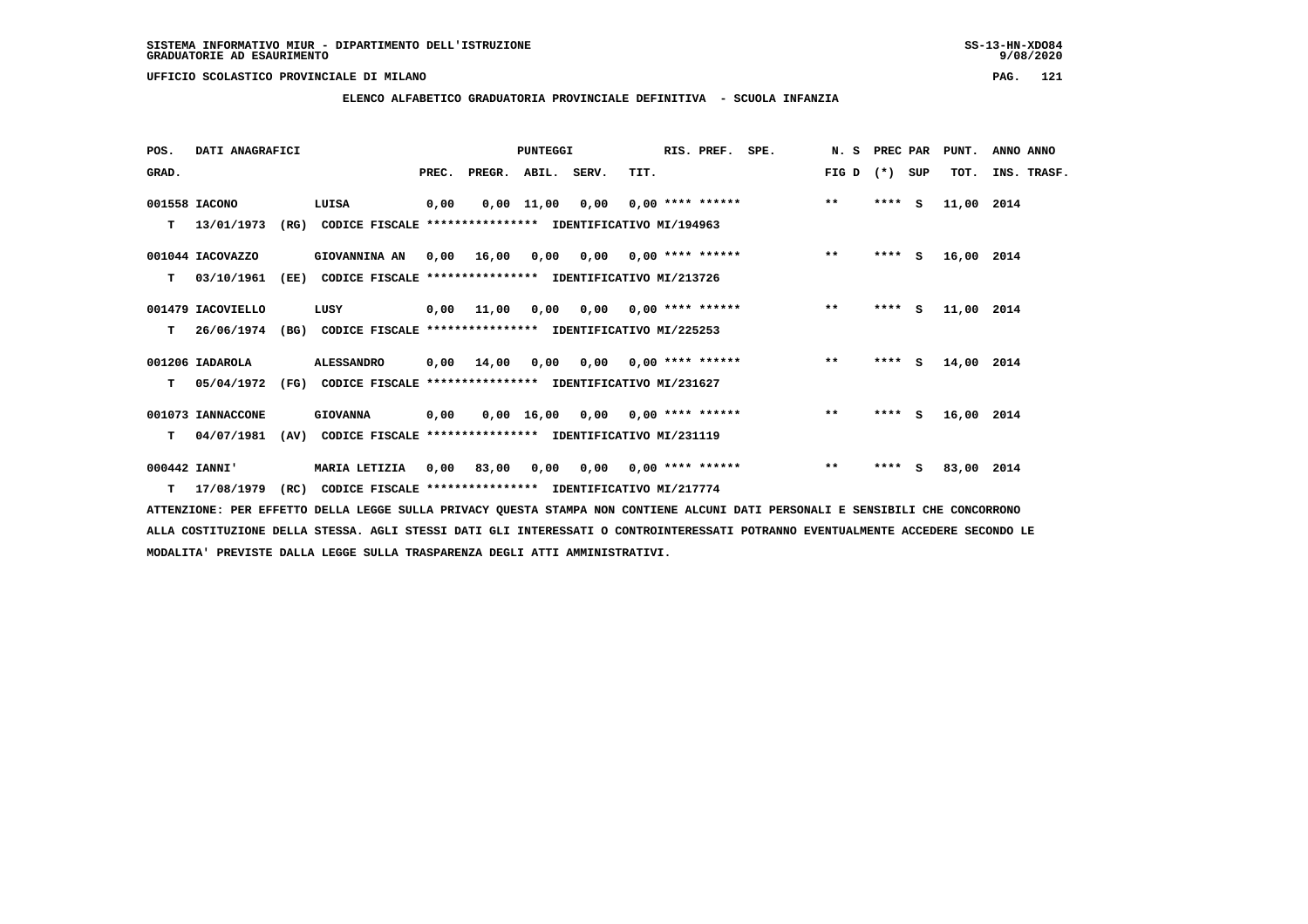**ELENCO ALFABETICO GRADUATORIA PROVINCIALE DEFINITIVA - SCUOLA INFANZIA**

| POS.  | DATI ANAGRAFICI   |      |                                                                            |       |                    | PUNTEGGI |                                        | RIS. PREF. SPE. |                                    | N. S PREC PAR |         |     | PUNT.      | ANNO ANNO   |
|-------|-------------------|------|----------------------------------------------------------------------------|-------|--------------------|----------|----------------------------------------|-----------------|------------------------------------|---------------|---------|-----|------------|-------------|
| GRAD. |                   |      |                                                                            | PREC. | PREGR. ABIL. SERV. |          | TIT.                                   |                 |                                    | FIG D         | $(* )$  | SUP | TOT.       | INS. TRASF. |
|       | 001558 IACONO     |      | LUISA                                                                      | 0,00  |                    |          |                                        |                 | $0,00$ 11,00 0,00 0,00 **** ****** | $***$         | $***$ S |     | 11,00 2014 |             |
| т     | 13/01/1973        | (RG) | CODICE FISCALE **************** IDENTIFICATIVO MI/194963                   |       |                    |          |                                        |                 |                                    |               |         |     |            |             |
|       | 001044 IACOVAZZO  |      | GIOVANNINA AN                                                              | 0.00  | 16,00              |          | $0.00$ $0.00$ $0.00$ $***$ **** ****** |                 |                                    | $***$         | **** S  |     | 16,00 2014 |             |
|       | $T = 03/10/1961$  |      | (EE) CODICE FISCALE **************** IDENTIFICATIVO MI/213726              |       |                    |          |                                        |                 |                                    |               |         |     |            |             |
|       | 001479 IACOVIELLO |      | LUSY                                                                       |       | 0,00 11,00         |          |                                        |                 | 0,00 0,00 0,00 **** ******         | $***$         | $***$ S |     | 11,00 2014 |             |
| T.    | 26/06/1974        | (BG) | CODICE FISCALE **************** IDENTIFICATIVO MI/225253                   |       |                    |          |                                        |                 |                                    |               |         |     |            |             |
|       | 001206 IADAROLA   |      | <b>ALESSANDRO</b>                                                          |       | 0,00 14,00         |          | $0,00$ $0,00$ $0,00$ $***$ **** ****** |                 |                                    | $***$         | $***$ S |     | 14,00 2014 |             |
| T.    |                   |      | 05/04/1972 (FG) CODICE FISCALE *************** IDENTIFICATIVO MI/231627    |       |                    |          |                                        |                 |                                    |               |         |     |            |             |
|       | 001073 IANNACCONE |      | <b>GIOVANNA</b>                                                            | 0,00  |                    |          |                                        |                 | 0,00 16,00 0,00 0,00 **** ******   | $***$         | ****    | s   | 16,00 2014 |             |
| т     | 04/07/1981        | (AV) | CODICE FISCALE **************** IDENTIFICATIVO MI/231119                   |       |                    |          |                                        |                 |                                    |               |         |     |            |             |
|       | 000442 IANNI'     |      | <b>MARIA LETIZIA</b>                                                       | 0,00  | 83,00              |          | $0,00$ $0,00$ $0,00$ $***$ **** *****  |                 |                                    | $* *$         | $***$ S |     | 83,00 2014 |             |
|       |                   |      | T 17/08/1979 (RC) CODICE FISCALE **************** IDENTIFICATIVO MI/217774 |       |                    |          |                                        |                 |                                    |               |         |     |            |             |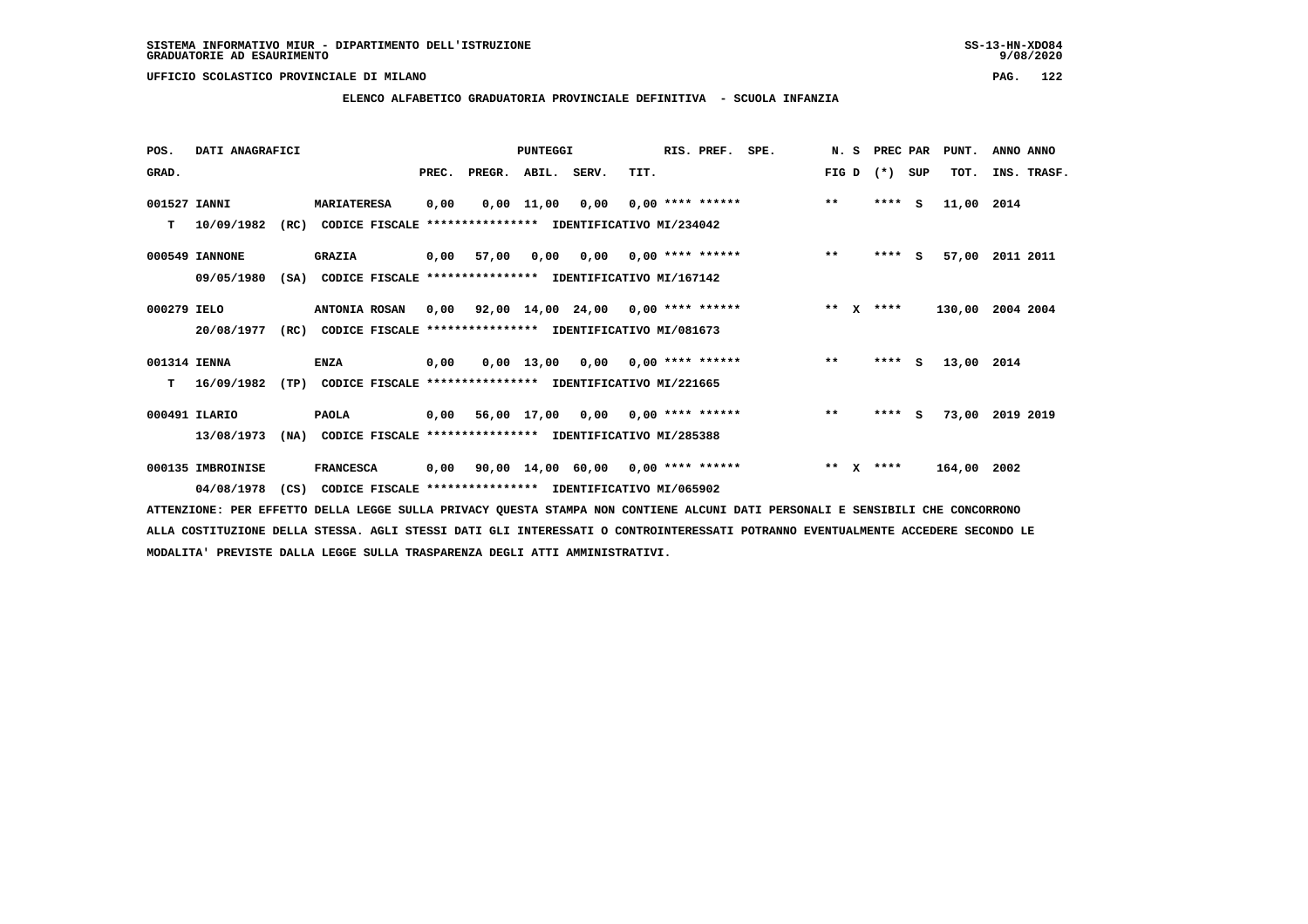### **UFFICIO SCOLASTICO PROVINCIALE DI MILANO PAG. 122**

# **ELENCO ALFABETICO GRADUATORIA PROVINCIALE DEFINITIVA - SCUOLA INFANZIA**

| POS.         | DATI ANAGRAFICI   |      |                                                          |       |                                          | <b>PUNTEGGI</b>    |                                      |      | RIS. PREF.                | SPE. | N.S   |              | PREC PAR |     | PUNT.       | ANNO ANNO       |
|--------------|-------------------|------|----------------------------------------------------------|-------|------------------------------------------|--------------------|--------------------------------------|------|---------------------------|------|-------|--------------|----------|-----|-------------|-----------------|
| GRAD.        |                   |      |                                                          | PREC. | PREGR. ABIL. SERV.                       |                    |                                      | TIT. |                           |      | FIG D |              | $(*)$    | SUP | TOT.        | INS. TRASF.     |
| 001527 IANNI |                   |      | <b>MARIATERESA</b>                                       | 0,00  |                                          | $0,00 \quad 11,00$ | 0,00                                 |      | $0,00$ **** ******        |      | $**$  |              | $***$ S  |     | 11,00 2014  |                 |
| т            | 10/09/1982        | (RC) | CODICE FISCALE **************** IDENTIFICATIVO MI/234042 |       |                                          |                    |                                      |      |                           |      |       |              |          |     |             |                 |
|              | 000549 IANNONE    |      | <b>GRAZIA</b>                                            |       | 0,00 57,00                               | 0,00               |                                      |      | $0.00$ $0.00$ **** ****** |      | $***$ |              | ****     | s.  | 57,00       | 2011 2011       |
|              | 09/05/1980        | (SA) | CODICE FISCALE **************** IDENTIFICATIVO MI/167142 |       |                                          |                    |                                      |      |                           |      |       |              |          |     |             |                 |
| 000279 IELO  |                   |      | <b>ANTONIA ROSAN</b>                                     | 0,00  | 92,00 14,00 24,00 0,00 **** ******       |                    |                                      |      |                           |      | $***$ | $\mathbf{x}$ | ****     |     | 130,00      | 2004 2004       |
|              | 20/08/1977        | (RC) | CODICE FISCALE **************** IDENTIFICATIVO MI/081673 |       |                                          |                    |                                      |      |                           |      |       |              |          |     |             |                 |
| 001314 IENNA |                   |      | <b>ENZA</b>                                              | 0,00  |                                          |                    | $0,00$ 13,00 0,00 0,00 **** ******   |      |                           |      | $***$ |              | $***5$   |     | 13,00 2014  |                 |
| т            | 16/09/1982        | (TP) | CODICE FISCALE **************** IDENTIFICATIVO MI/221665 |       |                                          |                    |                                      |      |                           |      |       |              |          |     |             |                 |
|              | 000491 ILARIO     |      | <b>PAOLA</b>                                             |       | $0,00$ 56,00 17,00 0,00 0,00 **** ****** |                    |                                      |      |                           |      | $* *$ |              | $***$ S  |     |             | 73,00 2019 2019 |
|              | 13/08/1973        | (NA) | CODICE FISCALE **************** IDENTIFICATIVO MI/285388 |       |                                          |                    |                                      |      |                           |      |       |              |          |     |             |                 |
|              | 000135 IMBROINISE |      | <b>FRANCESCA</b>                                         | 0,00  |                                          |                    | $90,00$ 14,00 60,00 0,00 **** ****** |      |                           |      | $* *$ | $\mathbf{x}$ | ****     |     | 164,00 2002 |                 |
|              | 04/08/1978        | (CS) | CODICE FISCALE **************** IDENTIFICATIVO MI/065902 |       |                                          |                    |                                      |      |                           |      |       |              |          |     |             |                 |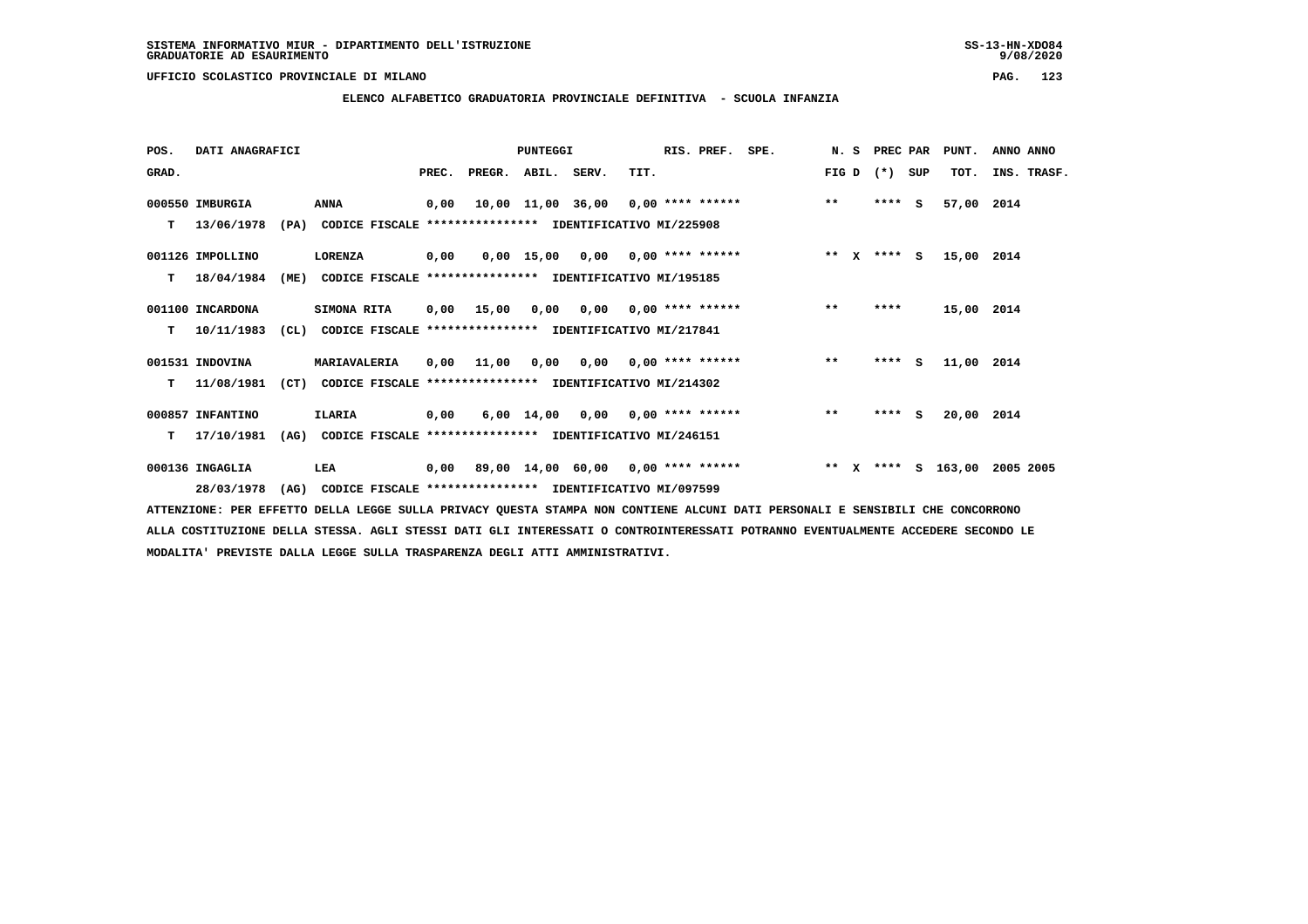**ELENCO ALFABETICO GRADUATORIA PROVINCIALE DEFINITIVA - SCUOLA INFANZIA**

| POS.  | DATI ANAGRAFICI  |      |                                                               |      |                          | <b>PUNTEGGI</b> |                                    |      | RIS. PREF.                | SPE.               |       | N. S | PREC PAR      |     | PUNT.      | ANNO ANNO   |
|-------|------------------|------|---------------------------------------------------------------|------|--------------------------|-----------------|------------------------------------|------|---------------------------|--------------------|-------|------|---------------|-----|------------|-------------|
| GRAD. |                  |      |                                                               |      | PREC. PREGR. ABIL. SERV. |                 |                                    | TIT. |                           |                    | FIG D |      | $(*)$         | SUP | TOT.       | INS. TRASF. |
|       | 000550 IMBURGIA  |      | <b>ANNA</b>                                                   | 0,00 |                          |                 | 10,00 11,00 36,00 0,00 **** ****** |      |                           |                    | $***$ |      | $***$ S       |     | 57,00 2014 |             |
| т     | 13/06/1978       |      | (PA) CODICE FISCALE **************** IDENTIFICATIVO MI/225908 |      |                          |                 |                                    |      |                           |                    |       |      |               |     |            |             |
|       | 001126 IMPOLLINO |      | LORENZA                                                       | 0,00 |                          |                 | $0.00$ 15.00 0.00 0.00 **** ****** |      |                           |                    |       |      | ** $X$ **** S |     | 15,00 2014 |             |
| т     | 18/04/1984       | (ME) | CODICE FISCALE **************** IDENTIFICATIVO MI/195185      |      |                          |                 |                                    |      |                           |                    |       |      |               |     |            |             |
|       | 001100 INCARDONA |      | <b>SIMONA RITA</b>                                            | 0,00 | 15,00                    | 0,00            |                                    |      | $0,00$ $0,00$ **** ****** |                    | $***$ |      | ****          |     | 15,00 2014 |             |
| т     | 10/11/1983       |      | (CL) CODICE FISCALE **************** IDENTIFICATIVO MI/217841 |      |                          |                 |                                    |      |                           |                    |       |      |               |     |            |             |
|       | 001531 INDOVINA  |      | MARIAVALERIA                                                  | 0,00 | 11,00                    |                 | 0,00 0,00 0,00 **** ******         |      |                           |                    | $***$ |      | $***5$        |     | 11,00 2014 |             |
| т     | 11/08/1981       | (CT) | CODICE FISCALE **************** IDENTIFICATIVO MI/214302      |      |                          |                 |                                    |      |                           |                    |       |      |               |     |            |             |
|       | 000857 INFANTINO |      | ILARIA                                                        | 0,00 |                          |                 | $6,00$ 14,00 0,00 0,00 **** ****** |      |                           |                    | $***$ |      | $***$ S       |     | 20,00 2014 |             |
| т     | 17/10/1981       | (AG) | CODICE FISCALE **************** IDENTIFICATIVO MI/246151      |      |                          |                 |                                    |      |                           |                    |       |      |               |     |            |             |
|       | 000136 INGAGLIA  |      | LEA                                                           | 0,00 |                          |                 | 89,00 14,00 60,00 0,00 **** ****** |      |                           | ** X **** S 163,00 |       |      |               |     |            | 2005 2005   |
|       | 28/03/1978       | (AG) | CODICE FISCALE **************** IDENTIFICATIVO MI/097599      |      |                          |                 |                                    |      |                           |                    |       |      |               |     |            |             |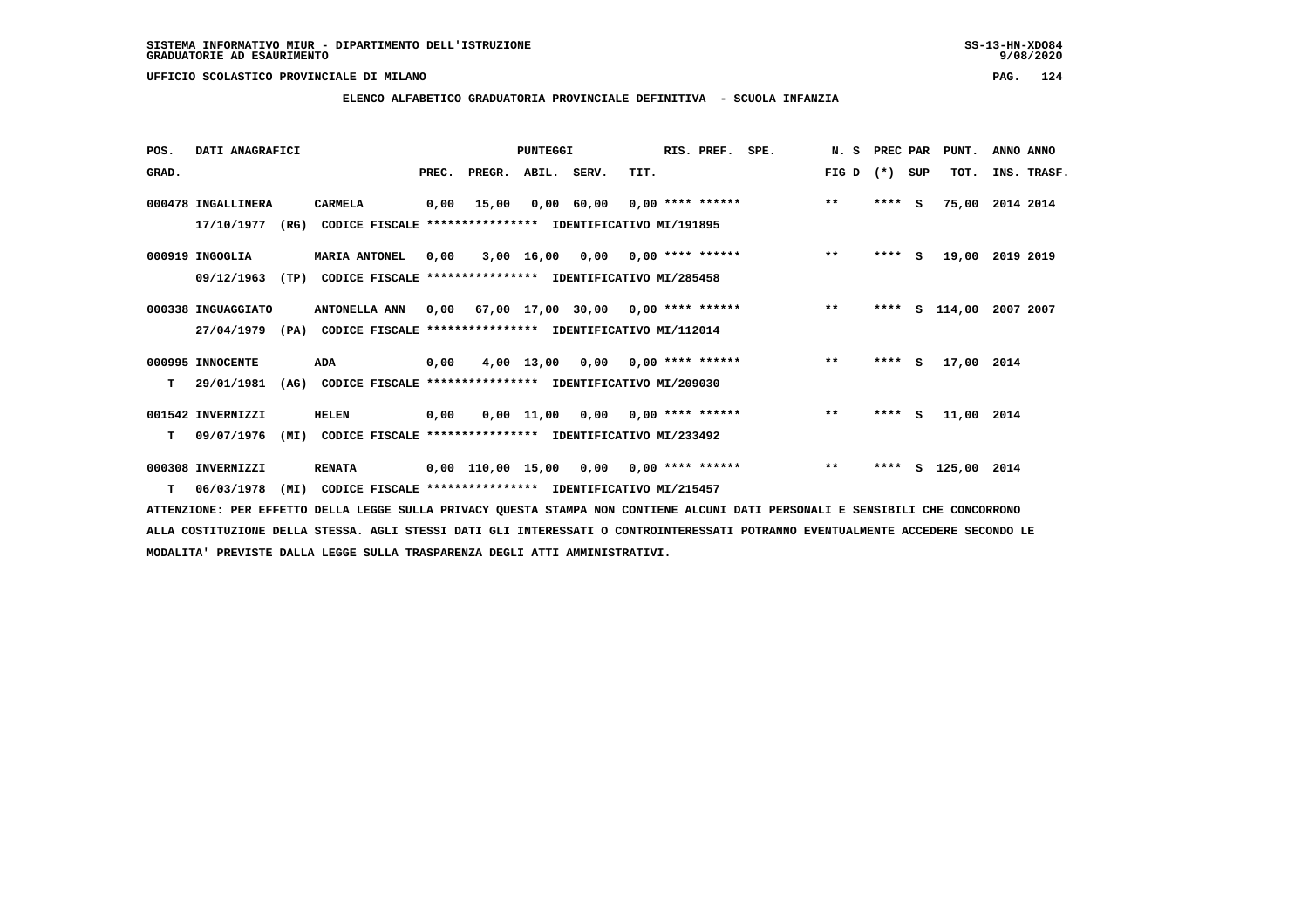**UFFICIO SCOLASTICO PROVINCIALE DI MILANO PAG. 124**

# **ELENCO ALFABETICO GRADUATORIA PROVINCIALE DEFINITIVA - SCUOLA INFANZIA**

| POS.  | DATI ANAGRAFICI    |                                                                  |       |                        | PUNTEGGI     |                 |                                          | RIS. PREF.                         | SPE. | N. S PREC PAR |         |     | PUNT.       | ANNO ANNO   |
|-------|--------------------|------------------------------------------------------------------|-------|------------------------|--------------|-----------------|------------------------------------------|------------------------------------|------|---------------|---------|-----|-------------|-------------|
| GRAD. |                    |                                                                  | PREC. |                        | PREGR. ABIL. | SERV.           | TIT.                                     |                                    |      | FIG D         | $(*)$   | SUP | TOT.        | INS. TRASF. |
|       | 000478 INGALLINERA | <b>CARMELA</b>                                                   | 0,00  | 15,00                  |              | 0,00 60,00      |                                          | $0.00$ **** ******                 |      | $***$         | $***$ S |     | 75,00       | 2014 2014   |
|       | 17/10/1977         | CODICE FISCALE **************** IDENTIFICATIVO MI/191895<br>(RG) |       |                        |              |                 |                                          |                                    |      |               |         |     |             |             |
|       | 000919 INGOGLIA    | <b>MARIA ANTONEL</b>                                             | 0,00  |                        |              | 3,00 16,00 0,00 |                                          | $0.00$ **** ******                 |      | $***$         | $***$ S |     | 19,00       | 2019 2019   |
|       | 09/12/1963<br>(TP) | CODICE FISCALE                                                   |       |                        |              |                 | *************** IDENTIFICATIVO MI/285458 |                                    |      |               |         |     |             |             |
|       | 000338 INGUAGGIATO | ANTONELLA ANN                                                    |       | 0,00 67,00 17,00 30,00 |              |                 |                                          | $0.00$ **** ******                 |      | $\star\star$  | ****    | s   | 114,00      | 2007 2007   |
|       | 27/04/1979         | (PA) CODICE FISCALE **************** IDENTIFICATIVO MI/112014    |       |                        |              |                 |                                          |                                    |      |               |         |     |             |             |
|       | 000995 INNOCENTE   | ADA                                                              | 0,00  |                        |              |                 |                                          | $4,00$ 13,00 0,00 0,00 **** ****** |      | $***$         | **** S  |     | 17,00 2014  |             |
| т     | 29/01/1981<br>(AG) | CODICE FISCALE **************** IDENTIFICATIVO MI/209030         |       |                        |              |                 |                                          |                                    |      |               |         |     |             |             |
|       | 001542 INVERNIZZI  | <b>HELEN</b>                                                     | 0,00  |                        |              | 0,00 11,00 0,00 |                                          | $0.00$ **** ******                 |      | $**$          | **** S  |     | 11,00 2014  |             |
| т     | 09/07/1976<br>(MI) | CODICE FISCALE **************** IDENTIFICATIVO MI/233492         |       |                        |              |                 |                                          |                                    |      |               |         |     |             |             |
|       | 000308 INVERNIZZI  | <b>RENATA</b>                                                    |       | 0,00 110,00 15,00      |              | 0,00            |                                          | $0.00$ **** ******                 |      | $\star\star$  | ****    | s   | 125,00 2014 |             |
|       | 06/03/1978         | (MI)<br>CODICE FISCALE **************** IDENTIFICATIVO MI/215457 |       |                        |              |                 |                                          |                                    |      |               |         |     |             |             |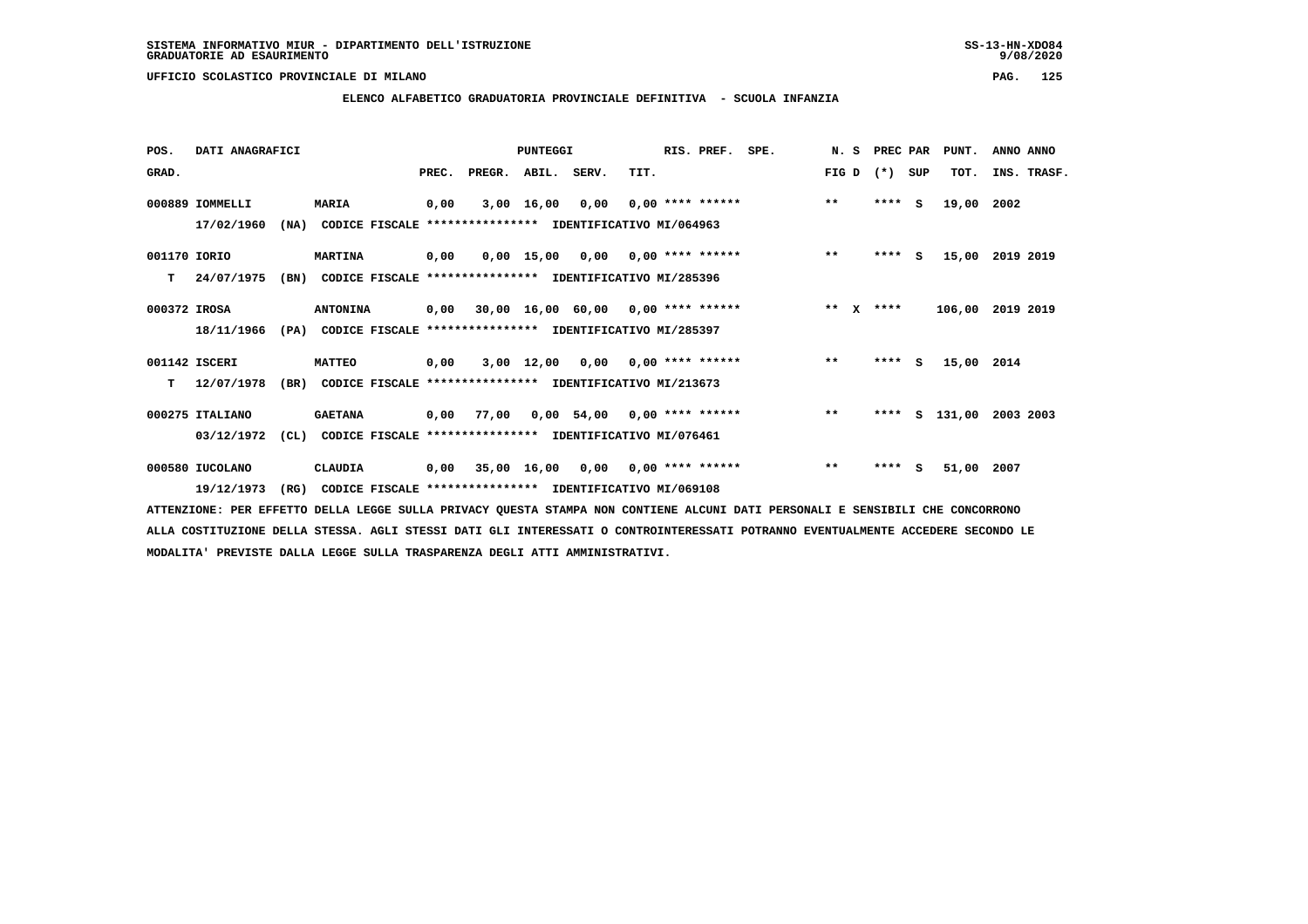### **UFFICIO SCOLASTICO PROVINCIALE DI MILANO PAG. 125**

# **ELENCO ALFABETICO GRADUATORIA PROVINCIALE DEFINITIVA - SCUOLA INFANZIA**

| POS.         | DATI ANAGRAFICI |      |                                                               |       |        | <b>PUNTEGGI</b> |                   |      | RIS. PREF.         | SPE. | N. S                  | PREC PAR |          | PUNT.      | ANNO ANNO        |
|--------------|-----------------|------|---------------------------------------------------------------|-------|--------|-----------------|-------------------|------|--------------------|------|-----------------------|----------|----------|------------|------------------|
| GRAD.        |                 |      |                                                               | PREC. | PREGR. | ABIL. SERV.     |                   | TIT. |                    |      | FIG D                 | $(* )$   | SUP      | TOT.       | INS. TRASF.      |
|              | 000889 IOMMELLI |      | <b>MARIA</b>                                                  | 0,00  | 3,00   | 16,00           | 0,00              |      | $0.00$ **** ****** |      | $\star\star$          | ****     | S.       | 19,00      | 2002             |
|              | 17/02/1960      | (NA) | CODICE FISCALE **************** IDENTIFICATIVO MI/064963      |       |        |                 |                   |      |                    |      |                       |          |          |            |                  |
| 001170 IORIO |                 |      | <b>MARTINA</b>                                                | 0,00  |        |                 | 0,00 15,00 0,00   |      | $0.00$ **** ****** |      | $\star\star$          | $***$ S  |          | 15,00      | 2019 2019        |
| т            | 24/07/1975      | (BN) | CODICE FISCALE **************** IDENTIFICATIVO MI/285396      |       |        |                 |                   |      |                    |      |                       |          |          |            |                  |
| 000372 IROSA |                 |      | <b>ANTONINA</b>                                               | 0,00  |        |                 | 30,00 16,00 60,00 |      | $0.00$ **** ****** |      | $* *$<br>$\mathbf{x}$ | ****     |          |            | 106,00 2019 2019 |
|              | 18/11/1966      |      | (PA) CODICE FISCALE **************** IDENTIFICATIVO MI/285397 |       |        |                 |                   |      |                    |      |                       |          |          |            |                  |
|              | 001142 ISCERI   |      | <b>MATTEO</b>                                                 | 0,00  |        |                 | 3,00 12,00 0,00   |      | $0.00$ **** ****** |      | $\star\star$          | ****     | <b>S</b> | 15,00 2014 |                  |
| т            | 12/07/1978      | (BR) | CODICE FISCALE **************** IDENTIFICATIVO MI/213673      |       |        |                 |                   |      |                    |      |                       |          |          |            |                  |
|              | 000275 ITALIANO |      | <b>GAETANA</b>                                                | 0,00  | 77,00  |                 | $0,00$ 54,00      |      | $0.00$ **** ****** |      | $**$                  | ****     | s        | 131,00     | 2003 2003        |
|              | 03/12/1972      | (CL) | CODICE FISCALE **************** IDENTIFICATIVO MI/076461      |       |        |                 |                   |      |                    |      |                       |          |          |            |                  |
|              | 000580 IUCOLANO |      | <b>CLAUDIA</b>                                                | 0,00  |        |                 | 35,00 16,00 0,00  |      | $0.00$ **** ****** |      | $\star\star$          | ****     | s        | 51,00 2007 |                  |
|              | 19/12/1973      | (RG) | CODICE FISCALE **************** IDENTIFICATIVO MI/069108      |       |        |                 |                   |      |                    |      |                       |          |          |            |                  |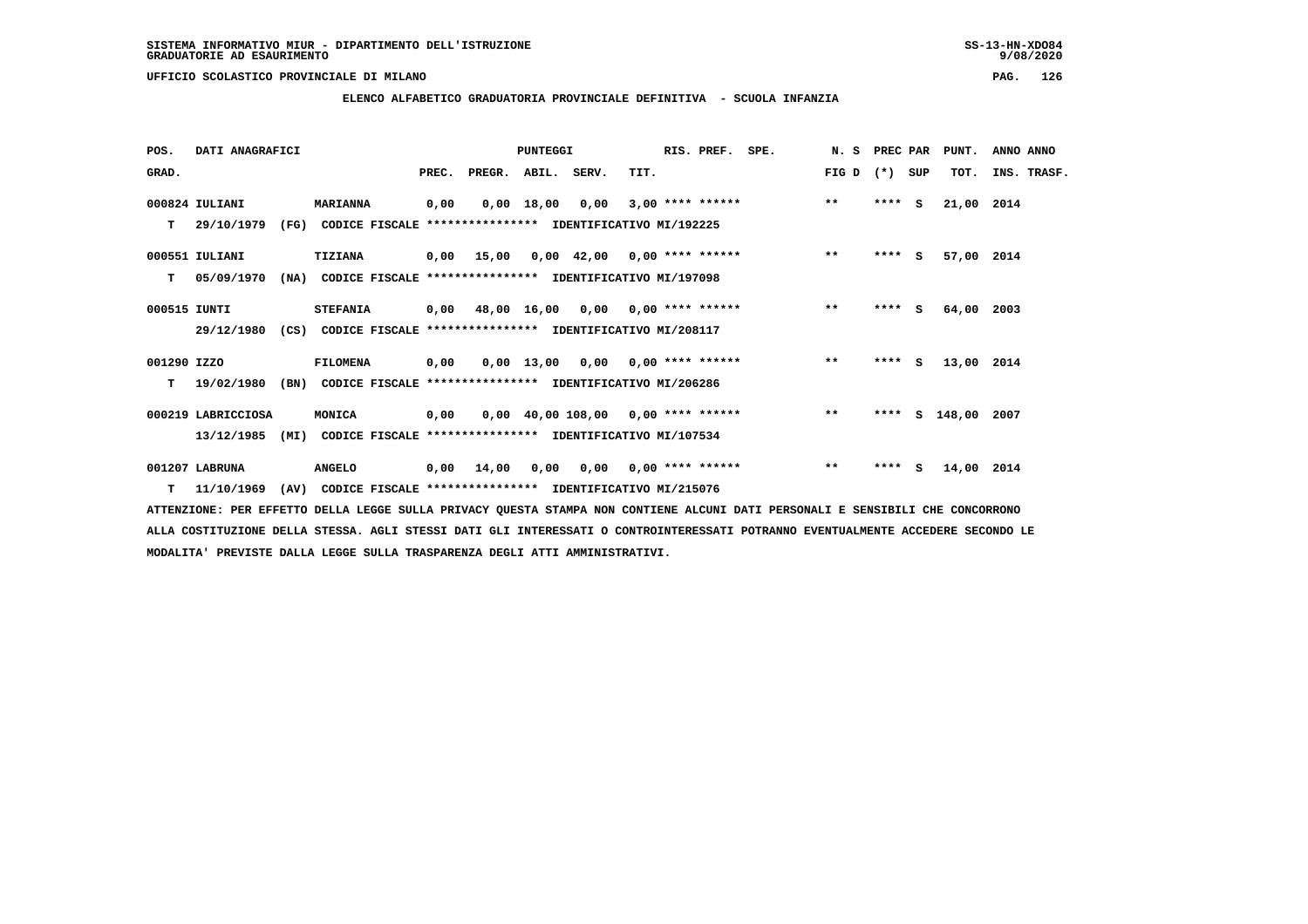**UFFICIO SCOLASTICO PROVINCIALE DI MILANO PAG. 126**

# **ELENCO ALFABETICO GRADUATORIA PROVINCIALE DEFINITIVA - SCUOLA INFANZIA**

| POS.         | DATI ANAGRAFICI    |      |                                                               |       |                    | PUNTEGGI     |                                        |      | RIS. PREF.         | SPE.                                   | N. S PREC PAR |         |        | PUNT.              | ANNO ANNO   |
|--------------|--------------------|------|---------------------------------------------------------------|-------|--------------------|--------------|----------------------------------------|------|--------------------|----------------------------------------|---------------|---------|--------|--------------------|-------------|
| GRAD.        |                    |      |                                                               | PREC. | PREGR. ABIL. SERV. |              |                                        | TIT. |                    |                                        | FIG D         | (*) SUP |        | TOT.               | INS. TRASF. |
|              | 000824 IULIANI     |      | <b>MARIANNA</b>                                               | 0,00  |                    | $0.00$ 18.00 | 0,00                                   |      |                    | $3,00$ **** ******                     | $***$         | $***$ S |        | 21,00 2014         |             |
| т            | 29/10/1979         |      | (FG) CODICE FISCALE **************** IDENTIFICATIVO MI/192225 |       |                    |              |                                        |      |                    |                                        |               |         |        |                    |             |
|              | 000551 IULIANI     |      | <b>TIZIANA</b>                                                |       |                    |              |                                        |      |                    | 0,00 15,00 0,00 42,00 0,00 **** ****** | $***$         | $***$ S |        | 57,00 2014         |             |
| т            | 05/09/1970         | (NA) | CODICE FISCALE **************** IDENTIFICATIVO MI/197098      |       |                    |              |                                        |      |                    |                                        |               |         |        |                    |             |
| 000515 IUNTI |                    |      | <b>STEFANIA</b>                                               |       |                    |              | 0,00 48,00 16,00 0,00 0,00 **** ****** |      |                    |                                        | $**$          | $***$ S |        | 64,00 2003         |             |
|              | 29/12/1980         |      | (CS) CODICE FISCALE **************** IDENTIFICATIVO MI/208117 |       |                    |              |                                        |      |                    |                                        |               |         |        |                    |             |
| 001290 IZZO  |                    |      | <b>FILOMENA</b>                                               | 0,00  |                    |              | $0,00$ 13,00 0,00 0,00 **** ******     |      |                    |                                        | $***$         |         | **** S | 13,00 2014         |             |
| т            | 19/02/1980         | (BN) | CODICE FISCALE **************** IDENTIFICATIVO MI/206286      |       |                    |              |                                        |      |                    |                                        |               |         |        |                    |             |
|              | 000219 LABRICCIOSA |      | MONICA                                                        | 0.00  |                    |              |                                        |      |                    | 0,00 40,00 108,00 0,00 **** ******     | $***$         |         |        | **** S 148,00 2007 |             |
|              | 13/12/1985         | (MI) | CODICE FISCALE **************** IDENTIFICATIVO MI/107534      |       |                    |              |                                        |      |                    |                                        |               |         |        |                    |             |
|              | 001207 LABRUNA     |      | <b>ANGELO</b>                                                 | 0,00  | 14,00              | 0,00         | 0,00                                   |      | $0.00$ **** ****** |                                        | $**$          | $***$ S |        | 14,00 2014         |             |
|              | $T = 11/10/1969$   |      | (AV) CODICE FISCALE **************** IDENTIFICATIVO MI/215076 |       |                    |              |                                        |      |                    |                                        |               |         |        |                    |             |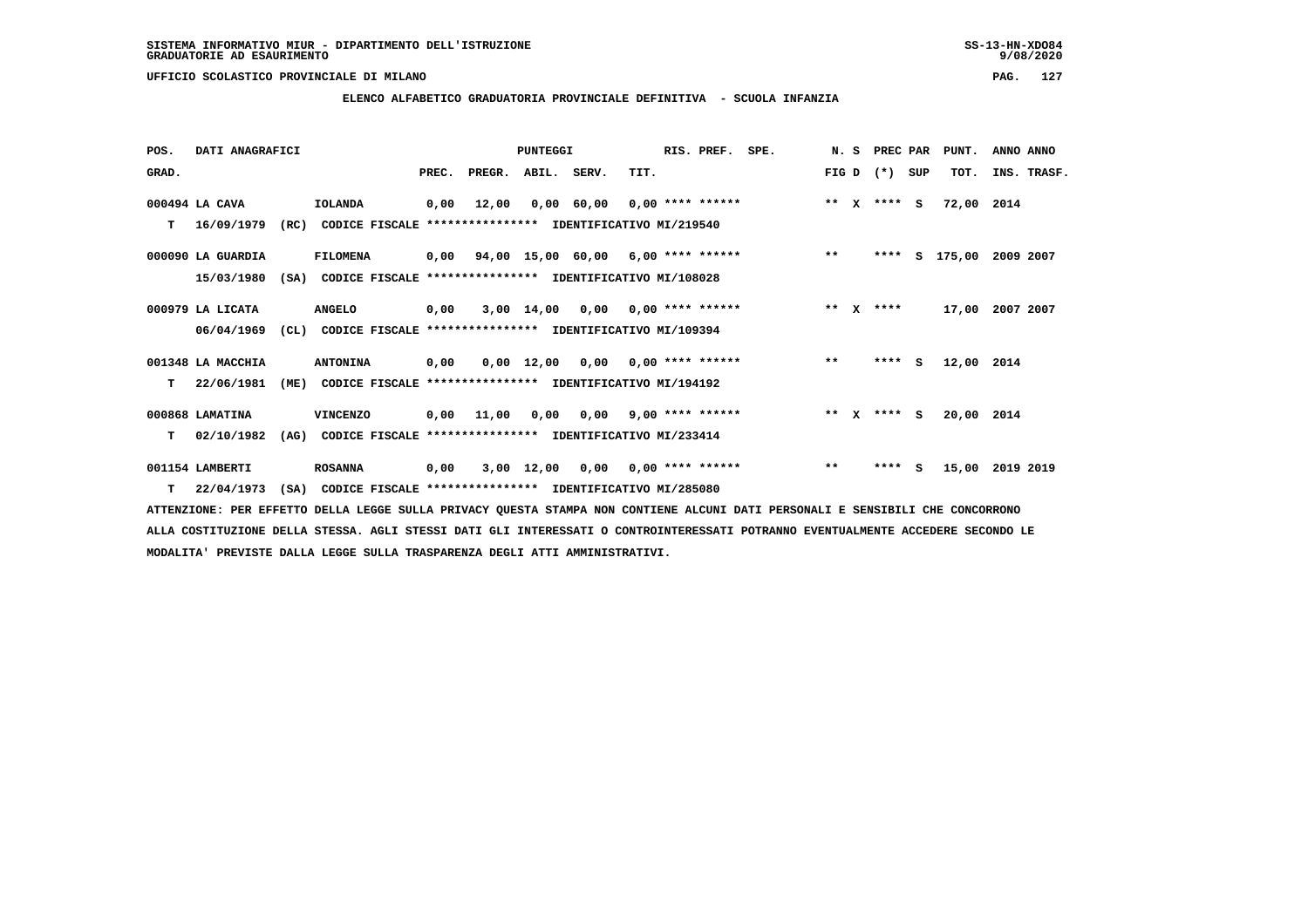**ELENCO ALFABETICO GRADUATORIA PROVINCIALE DEFINITIVA - SCUOLA INFANZIA**

| POS.  | DATI ANAGRAFICI   |      |                                                          |       |        | PUNTEGGI     |                                      |                         | RIS. PREF.         | SPE. |         | N.S          | PREC PAR |     | PUNT.      | ANNO ANNO          |  |
|-------|-------------------|------|----------------------------------------------------------|-------|--------|--------------|--------------------------------------|-------------------------|--------------------|------|---------|--------------|----------|-----|------------|--------------------|--|
| GRAD. |                   |      |                                                          | PREC. | PREGR. | ABIL. SERV.  |                                      | TIT.                    |                    |      | FIG D   |              | $(* )$   | SUP | TOT.       | INS. TRASF.        |  |
|       | 000494 LA CAVA    |      | IOLANDA                                                  | 0,00  | 12,00  |              | 0,00 60,00                           |                         | $0,00$ **** ****** |      | $**$    | $\mathbf{x}$ | $***$ S  |     | 72,00 2014 |                    |  |
| т     | 16/09/1979        | (RC) | CODICE FISCALE **************** IDENTIFICATIVO MI/219540 |       |        |              |                                      |                         |                    |      |         |              |          |     |            |                    |  |
|       | 000090 LA GUARDIA |      | <b>FILOMENA</b>                                          | 0,00  |        |              | $94,00$ 15,00 60,00 6,00 **** ****** |                         |                    |      | $***$   |              | ****     |     |            | S 175,00 2009 2007 |  |
|       | 15/03/1980        | (SA) | CODICE FISCALE **************** IDENTIFICATIVO MI/108028 |       |        |              |                                      |                         |                    |      |         |              |          |     |            |                    |  |
|       | 000979 LA LICATA  |      | <b>ANGELO</b>                                            | 0,00  |        | 3,00 14,00   | $0,00$ $0,00$ **** ******            |                         |                    |      | $* *$   | $\mathbf{x}$ | ****     |     | 17,00      | 2007 2007          |  |
|       | 06/04/1969        | CL)  | CODICE FISCALE **************** IDENTIFICATIVO MI/109394 |       |        |              |                                      |                         |                    |      |         |              |          |     |            |                    |  |
|       | 001348 LA MACCHIA |      | <b>ANTONINA</b>                                          | 0,00  |        | 0,00 12,00   |                                      | $0,00$ 0,00 **** ****** |                    |      | $***$   |              | **** S   |     | 12,00      | 2014               |  |
| т     | 22/06/1981        | (ME) | CODICE FISCALE **************** IDENTIFICATIVO MI/194192 |       |        |              |                                      |                         |                    |      |         |              |          |     |            |                    |  |
|       | 000868 LAMATINA   |      | <b>VINCENZO</b>                                          | 0,00  | 11,00  | 0,00         | $0,00$ 9,00 **** ******              |                         |                    |      | $***$ X |              | $***$ S  |     | 20,00 2014 |                    |  |
| т     | 02/10/1982        | (AG) | CODICE FISCALE **************** IDENTIFICATIVO MI/233414 |       |        |              |                                      |                         |                    |      |         |              |          |     |            |                    |  |
|       | 001154 LAMBERTI   |      | <b>ROSANNA</b>                                           | 0,00  |        | $3,00$ 12,00 | 0,00                                 |                         | $0,00$ **** ****** |      | $***$   |              | $***$ S  |     | 15,00      | 2019 2019          |  |
| T.    | 22/04/1973        | (SA) | CODICE FISCALE **************** IDENTIFICATIVO MI/285080 |       |        |              |                                      |                         |                    |      |         |              |          |     |            |                    |  |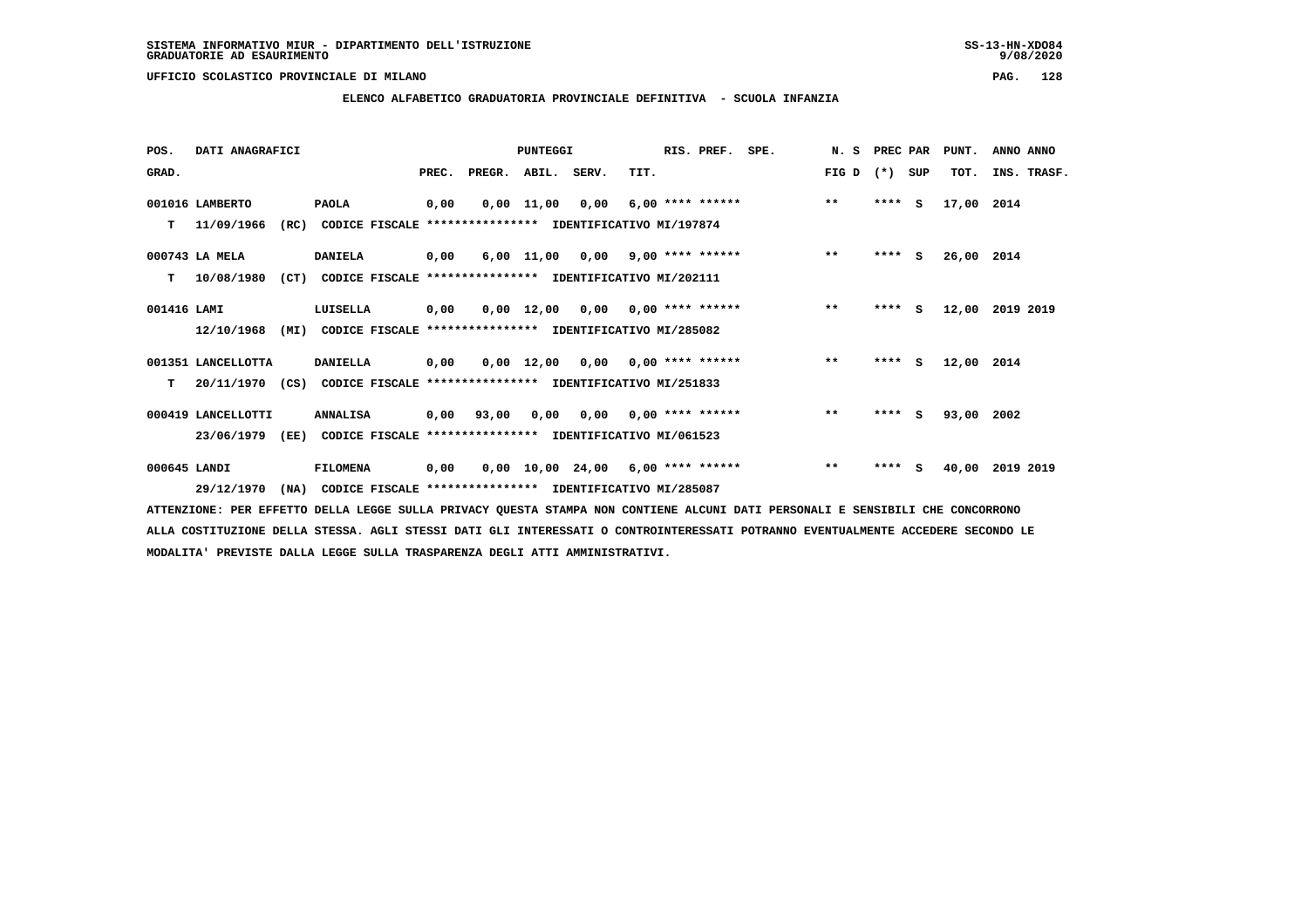**ELENCO ALFABETICO GRADUATORIA PROVINCIALE DEFINITIVA - SCUOLA INFANZIA**

 **POS. DATI ANAGRAFICI PUNTEGGI RIS. PREF. SPE. N. S PREC PAR PUNT. ANNO ANNO**GRAD. **BRAD. PREC. PREGR. ABIL. SERV.** TIT. THE REGREATER FIG D (\*) SUP TOT. INS. TRASF.  **001016 LAMBERTO PAOLA 0,00 0,00 11,00 0,00 6,00 \*\*\*\* \*\*\*\*\*\* \*\* \*\*\*\* S 17,00 2014 T 11/09/1966 (RC) CODICE FISCALE \*\*\*\*\*\*\*\*\*\*\*\*\*\*\*\* IDENTIFICATIVO MI/197874 000743 LA MELA DANIELA 0,00 6,00 11,00 0,00 9,00 \*\*\*\* \*\*\*\*\*\* \*\* \*\*\*\* S 26,00 2014 T 10/08/1980 (CT) CODICE FISCALE \*\*\*\*\*\*\*\*\*\*\*\*\*\*\*\* IDENTIFICATIVO MI/202111 001416 LAMI LUISELLA 0,00 0,00 12,00 0,00 0,00 \*\*\*\* \*\*\*\*\*\* \*\* \*\*\*\* S 12,00 2019 2019 12/10/1968 (MI) CODICE FISCALE \*\*\*\*\*\*\*\*\*\*\*\*\*\*\*\* IDENTIFICATIVO MI/285082 001351 LANCELLOTTA DANIELLA 0,00 0,00 12,00 0,00 0,00 \*\*\*\* \*\*\*\*\*\* \*\* \*\*\*\* S 12,00 2014 T 20/11/1970 (CS) CODICE FISCALE \*\*\*\*\*\*\*\*\*\*\*\*\*\*\*\* IDENTIFICATIVO MI/251833 000419 LANCELLOTTI ANNALISA 0,00 93,00 0,00 0,00 0,00 \*\*\*\* \*\*\*\*\*\* \*\* \*\*\*\* S 93,00 2002 23/06/1979 (EE) CODICE FISCALE \*\*\*\*\*\*\*\*\*\*\*\*\*\*\*\* IDENTIFICATIVO MI/061523 000645 LANDI FILOMENA 0,00 0,00 10,00 24,00 6,00 \*\*\*\* \*\*\*\*\*\* \*\* \*\*\*\* S 40,00 2019 2019**

 **29/12/1970 (NA) CODICE FISCALE \*\*\*\*\*\*\*\*\*\*\*\*\*\*\*\* IDENTIFICATIVO MI/285087**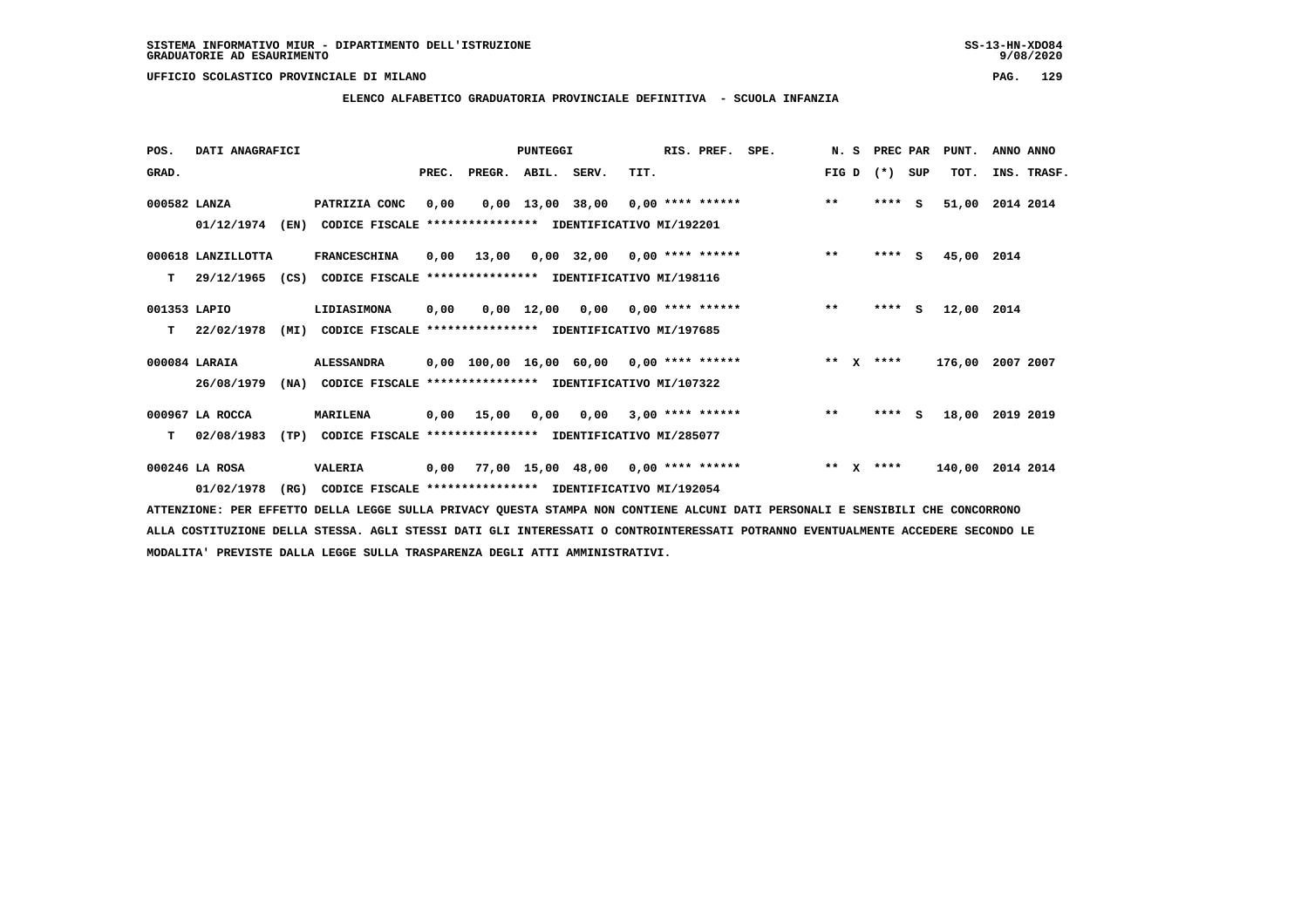**ELENCO ALFABETICO GRADUATORIA PROVINCIALE DEFINITIVA - SCUOLA INFANZIA**

 **POS. DATI ANAGRAFICI PUNTEGGI RIS. PREF. SPE. N. S PREC PAR PUNT. ANNO ANNO**GRAD. **BRAD. PREC. PREGR. ABIL. SERV.** TIT. THE REGREATER FIG D (\*) SUP TOT. INS. TRASF.  **000582 LANZA PATRIZIA CONC 0,00 0,00 13,00 38,00 0,00 \*\*\*\* \*\*\*\*\*\* \*\* \*\*\*\* S 51,00 2014 2014 01/12/1974 (EN) CODICE FISCALE \*\*\*\*\*\*\*\*\*\*\*\*\*\*\*\* IDENTIFICATIVO MI/192201 000618 LANZILLOTTA FRANCESCHINA 0,00 13,00 0,00 32,00 0,00 \*\*\*\* \*\*\*\*\*\* \*\* \*\*\*\* S 45,00 2014 T 29/12/1965 (CS) CODICE FISCALE \*\*\*\*\*\*\*\*\*\*\*\*\*\*\*\* IDENTIFICATIVO MI/198116 001353 LAPIO LIDIASIMONA 0,00 0,00 12,00 0,00 0,00 \*\*\*\* \*\*\*\*\*\* \*\* \*\*\*\* S 12,00 2014 T 22/02/1978 (MI) CODICE FISCALE \*\*\*\*\*\*\*\*\*\*\*\*\*\*\*\* IDENTIFICATIVO MI/197685 000084 LARAIA ALESSANDRA 0,00 100,00 16,00 60,00 0,00 \*\*\*\* \*\*\*\*\*\* \*\* X \*\*\*\* 176,00 2007 2007 26/08/1979 (NA) CODICE FISCALE \*\*\*\*\*\*\*\*\*\*\*\*\*\*\*\* IDENTIFICATIVO MI/107322 000967 LA ROCCA MARILENA 0,00 15,00 0,00 0,00 3,00 \*\*\*\* \*\*\*\*\*\* \*\* \*\*\*\* S 18,00 2019 2019 T 02/08/1983 (TP) CODICE FISCALE \*\*\*\*\*\*\*\*\*\*\*\*\*\*\*\* IDENTIFICATIVO MI/285077 000246 LA ROSA VALERIA 0,00 77,00 15,00 48,00 0,00 \*\*\*\* \*\*\*\*\*\* \*\* X \*\*\*\* 140,00 2014 2014**

 **01/02/1978 (RG) CODICE FISCALE \*\*\*\*\*\*\*\*\*\*\*\*\*\*\*\* IDENTIFICATIVO MI/192054 ATTENZIONE: PER EFFETTO DELLA LEGGE SULLA PRIVACY QUESTA STAMPA NON CONTIENE ALCUNI DATI PERSONALI E SENSIBILI CHE CONCORRONO ALLA COSTITUZIONE DELLA STESSA. AGLI STESSI DATI GLI INTERESSATI O CONTROINTERESSATI POTRANNO EVENTUALMENTE ACCEDERE SECONDO LE**

 **MODALITA' PREVISTE DALLA LEGGE SULLA TRASPARENZA DEGLI ATTI AMMINISTRATIVI.**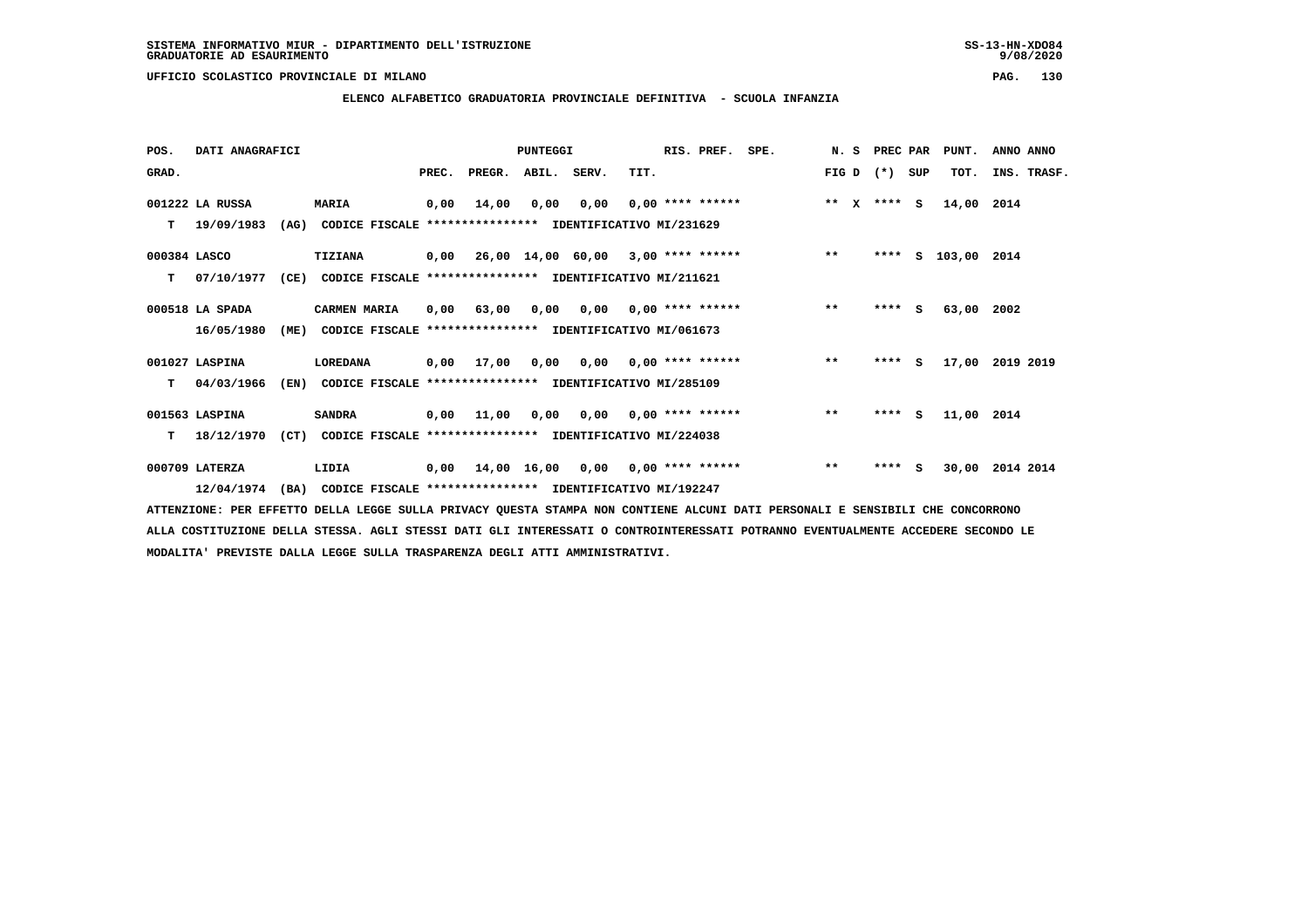**ELENCO ALFABETICO GRADUATORIA PROVINCIALE DEFINITIVA - SCUOLA INFANZIA**

 **POS. DATI ANAGRAFICI PUNTEGGI RIS. PREF. SPE. N. S PREC PAR PUNT. ANNO ANNO**GRAD. **PREGRADE SERVEGER. ABIL. SERV. TIT.** FIG D (\*) SUP TOT. INS. TRASF.  **001222 LA RUSSA MARIA 0,00 14,00 0,00 0,00 0,00 \*\*\*\* \*\*\*\*\*\* \*\* X \*\*\*\* S 14,00 2014 T 19/09/1983 (AG) CODICE FISCALE \*\*\*\*\*\*\*\*\*\*\*\*\*\*\*\* IDENTIFICATIVO MI/231629 000384 LASCO TIZIANA 0,00 26,00 14,00 60,00 3,00 \*\*\*\* \*\*\*\*\*\* \*\* \*\*\*\* S 103,00 2014 T 07/10/1977 (CE) CODICE FISCALE \*\*\*\*\*\*\*\*\*\*\*\*\*\*\*\* IDENTIFICATIVO MI/211621 000518 LA SPADA CARMEN MARIA 0,00 63,00 0,00 0,00 0,00 \*\*\*\* \*\*\*\*\*\* \*\* \*\*\*\* S 63,00 2002 16/05/1980 (ME) CODICE FISCALE \*\*\*\*\*\*\*\*\*\*\*\*\*\*\*\* IDENTIFICATIVO MI/061673 001027 LASPINA LOREDANA 0,00 17,00 0,00 0,00 0,00 \*\*\*\* \*\*\*\*\*\* \*\* \*\*\*\* S 17,00 2019 2019 T 04/03/1966 (EN) CODICE FISCALE \*\*\*\*\*\*\*\*\*\*\*\*\*\*\*\* IDENTIFICATIVO MI/285109 001563 LASPINA SANDRA 0,00 11,00 0,00 0,00 0,00 \*\*\*\* \*\*\*\*\*\* \*\* \*\*\*\* S 11,00 2014 T 18/12/1970 (CT) CODICE FISCALE \*\*\*\*\*\*\*\*\*\*\*\*\*\*\*\* IDENTIFICATIVO MI/224038 000709 LATERZA LIDIA 0,00 14,00 16,00 0,00 0,00 \*\*\*\* \*\*\*\*\*\* \*\* \*\*\*\* S 30,00 2014 2014 12/04/1974 (BA) CODICE FISCALE \*\*\*\*\*\*\*\*\*\*\*\*\*\*\*\* IDENTIFICATIVO MI/192247**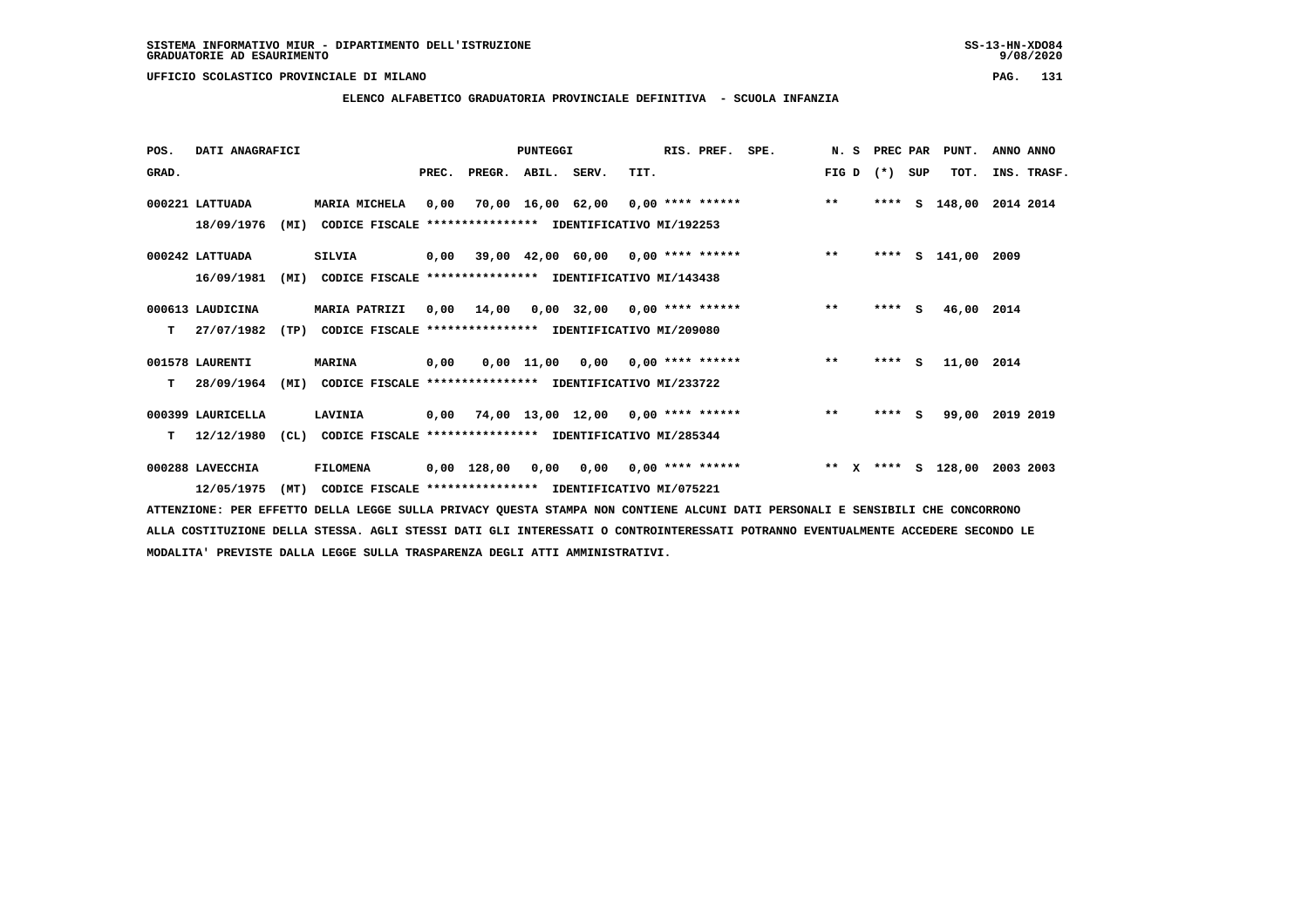# **ELENCO ALFABETICO GRADUATORIA PROVINCIALE DEFINITIVA - SCUOLA INFANZIA**

 **POS. DATI ANAGRAFICI PUNTEGGI RIS. PREF. SPE. N. S PREC PAR PUNT. ANNO ANNO**GRAD. **BEC. PREC. PREGR. ABIL. SERV.** TIT. THE REGREATER TO THE TOT SUP TOT. THE TRASF.  **000221 LATTUADA MARIA MICHELA 0,00 70,00 16,00 62,00 0,00 \*\*\*\* \*\*\*\*\*\* \*\* \*\*\*\* S 148,00 2014 2014 18/09/1976 (MI) CODICE FISCALE \*\*\*\*\*\*\*\*\*\*\*\*\*\*\*\* IDENTIFICATIVO MI/192253 000242 LATTUADA SILVIA 0,00 39,00 42,00 60,00 0,00 \*\*\*\* \*\*\*\*\*\* \*\* \*\*\*\* S 141,00 2009 16/09/1981 (MI) CODICE FISCALE \*\*\*\*\*\*\*\*\*\*\*\*\*\*\*\* IDENTIFICATIVO MI/143438 000613 LAUDICINA MARIA PATRIZI 0,00 14,00 0,00 32,00 0,00 \*\*\*\* \*\*\*\*\*\* \*\* \*\*\*\* S 46,00 2014 T 27/07/1982 (TP) CODICE FISCALE \*\*\*\*\*\*\*\*\*\*\*\*\*\*\*\* IDENTIFICATIVO MI/209080 001578 LAURENTI MARINA 0,00 0,00 11,00 0,00 0,00 \*\*\*\* \*\*\*\*\*\* \*\* \*\*\*\* S 11,00 2014 T 28/09/1964 (MI) CODICE FISCALE \*\*\*\*\*\*\*\*\*\*\*\*\*\*\*\* IDENTIFICATIVO MI/233722 000399 LAURICELLA LAVINIA 0,00 74,00 13,00 12,00 0,00 \*\*\*\* \*\*\*\*\*\* \*\* \*\*\*\* S 99,00 2019 2019 T 12/12/1980 (CL) CODICE FISCALE \*\*\*\*\*\*\*\*\*\*\*\*\*\*\*\* IDENTIFICATIVO MI/285344 000288 LAVECCHIA FILOMENA 0,00 128,00 0,00 0,00 0,00 \*\*\*\* \*\*\*\*\*\* \*\* X \*\*\*\* S 128,00 2003 2003 12/05/1975 (MT) CODICE FISCALE \*\*\*\*\*\*\*\*\*\*\*\*\*\*\*\* IDENTIFICATIVO MI/075221**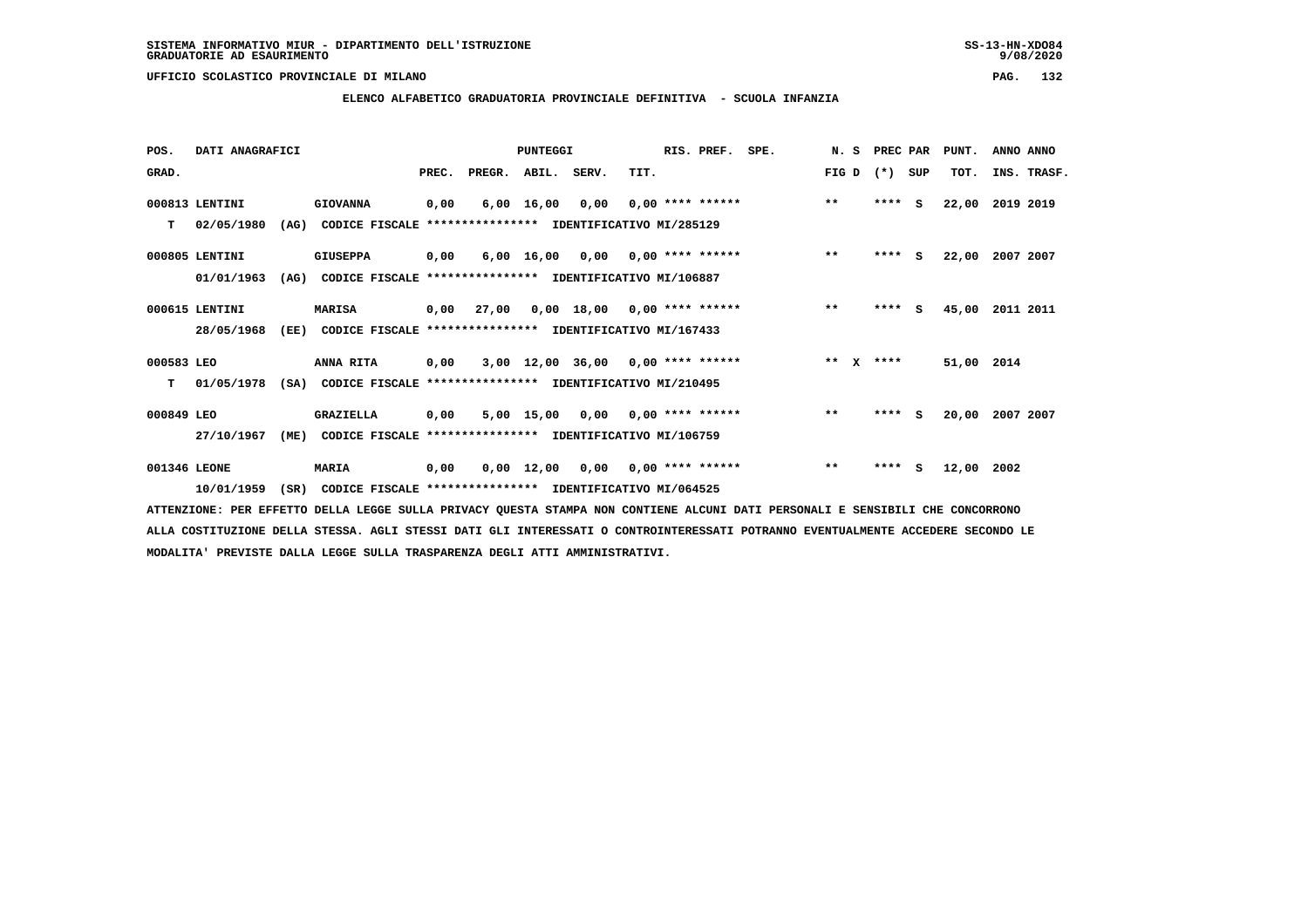# **ELENCO ALFABETICO GRADUATORIA PROVINCIALE DEFINITIVA - SCUOLA INFANZIA**

| POS.         | DATI ANAGRAFICI |      |                                                          |       |        | <b>PUNTEGGI</b>    |                                           |      | RIS. PREF.         | SPE. | N.S                   | PREC PAR |     | PUNT.      | ANNO ANNO   |
|--------------|-----------------|------|----------------------------------------------------------|-------|--------|--------------------|-------------------------------------------|------|--------------------|------|-----------------------|----------|-----|------------|-------------|
| GRAD.        |                 |      |                                                          | PREC. | PREGR. | ABIL. SERV.        |                                           | TIT. |                    |      | FIG D                 | $(*)$    | SUP | TOT.       | INS. TRASF. |
|              | 000813 LENTINI  |      | <b>GIOVANNA</b>                                          | 0,00  | 6,00   | 16,00              | 0,00                                      |      | $0,00$ **** ****** |      | $***$                 | ****     | s   | 22,00      | 2019 2019   |
| т            | 02/05/1980      | (AG) | CODICE FISCALE **************** IDENTIFICATIVO MI/285129 |       |        |                    |                                           |      |                    |      |                       |          |     |            |             |
|              | 000805 LENTINI  |      | <b>GIUSEPPA</b>                                          | 0,00  |        | 6,00 16,00         | 0,00                                      |      | $0.00$ **** ****** |      | $***$                 | $***$ S  |     | 22,00      | 2007 2007   |
|              | 01/01/1963      | (AG) | CODICE FISCALE **************** IDENTIFICATIVO MI/106887 |       |        |                    |                                           |      |                    |      |                       |          |     |            |             |
|              | 000615 LENTINI  |      | <b>MARISA</b>                                            | 0,00  | 27,00  |                    | 0,00 18,00                                |      | 0,00 **** ******   |      | $***$                 | ****     | s   | 45,00      | 2011 2011   |
|              | 28/05/1968      | (EE) | CODICE FISCALE **************** IDENTIFICATIVO MI/167433 |       |        |                    |                                           |      |                    |      |                       |          |     |            |             |
| 000583 LEO   |                 |      | ANNA RITA                                                | 0,00  |        |                    | $3,00$ 12,00 36,00 0,00 **** ******       |      |                    |      | $***$<br>$\mathbf{x}$ | ****     |     | 51,00 2014 |             |
| т            | 01/05/1978      | (SA) | CODICE FISCALE                                           |       |        |                    | **************** IDENTIFICATIVO MI/210495 |      |                    |      |                       |          |     |            |             |
| 000849 LEO   |                 |      | <b>GRAZIELLA</b>                                         | 0,00  |        | 5,00 15,00         | 0,00                                      |      | $0.00$ **** ****** |      | $***$                 | ****     | s   | 20,00      | 2007 2007   |
|              | 27/10/1967      | (ME) | CODICE FISCALE **************** IDENTIFICATIVO MI/106759 |       |        |                    |                                           |      |                    |      |                       |          |     |            |             |
| 001346 LEONE |                 |      | <b>MARIA</b>                                             | 0,00  |        | $0,00 \quad 12,00$ | 0,00                                      |      | $0.00$ **** ****** |      | $***$                 | ****     | s   | 12,00      | 2002        |
|              | 10/01/1959      | (SR) | CODICE FISCALE **************** IDENTIFICATIVO MI/064525 |       |        |                    |                                           |      |                    |      |                       |          |     |            |             |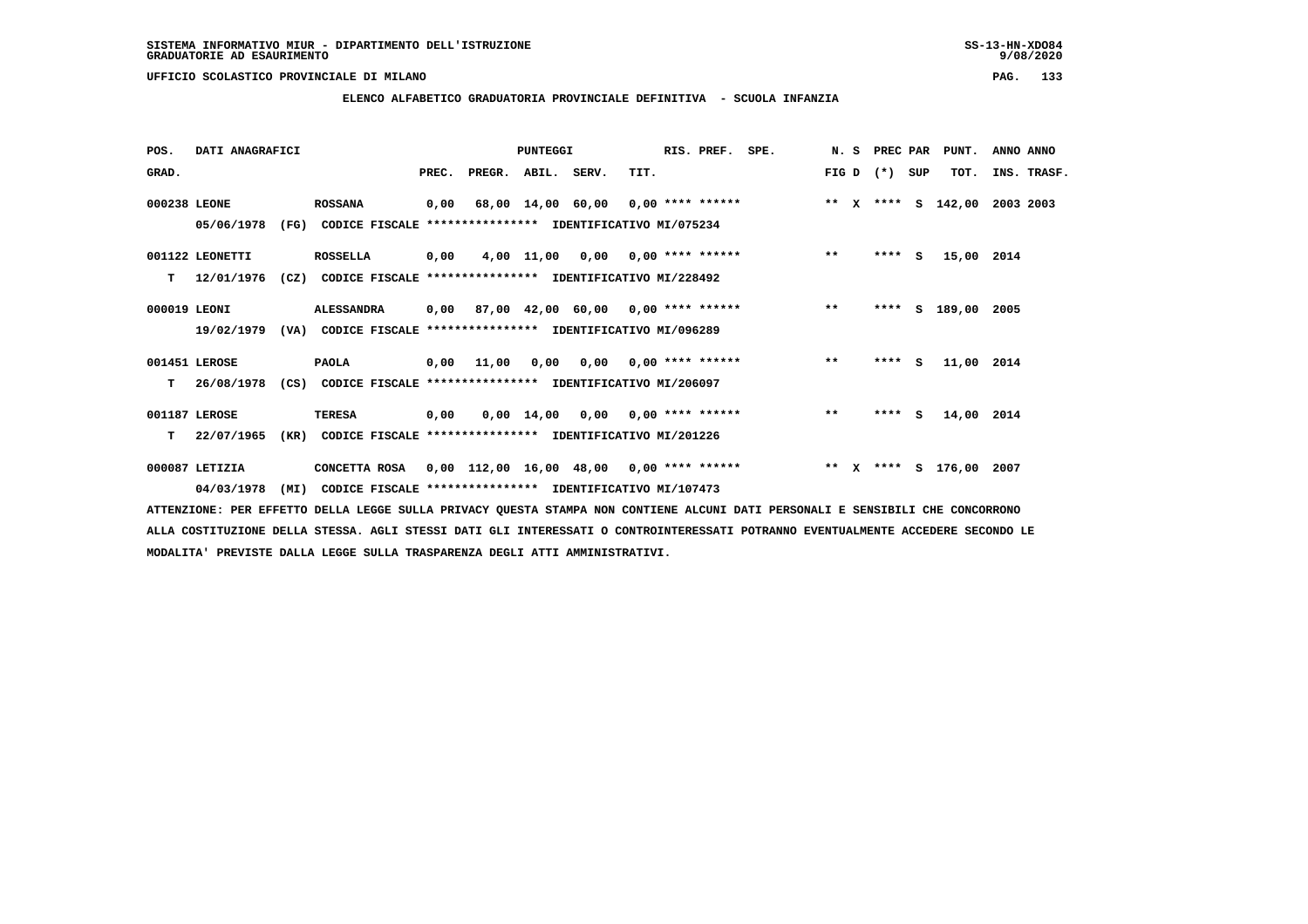# **ELENCO ALFABETICO GRADUATORIA PROVINCIALE DEFINITIVA - SCUOLA INFANZIA**

| POS.         | DATI ANAGRAFICI |      |                                                                         |       |                    | PUNTEGGI   |                                           |      | RIS. PREF.                | SPE.                               | N.S   | PREC PAR |     | PUNT.              | ANNO ANNO   |  |
|--------------|-----------------|------|-------------------------------------------------------------------------|-------|--------------------|------------|-------------------------------------------|------|---------------------------|------------------------------------|-------|----------|-----|--------------------|-------------|--|
| GRAD.        |                 |      |                                                                         | PREC. | PREGR. ABIL. SERV. |            |                                           | TIT. |                           |                                    | FIG D | $(*)$    | SUP | TOT.               | INS. TRASF. |  |
| 000238 LEONE |                 |      | <b>ROSSANA</b>                                                          | 0,00  |                    |            |                                           |      |                           | 68,00 14,00 60,00 0,00 **** ****** |       |          |     | ** X **** S 142,00 | 2003 2003   |  |
|              | 05/06/1978      | (FG) | CODICE FISCALE **************** IDENTIFICATIVO MI/075234                |       |                    |            |                                           |      |                           |                                    |       |          |     |                    |             |  |
|              | 001122 LEONETTI |      | <b>ROSSELLA</b>                                                         | 0,00  |                    |            | $4,00$ 11,00 0,00 0,00 **** ******        |      |                           |                                    | $***$ | $***$ S  |     | 15,00 2014         |             |  |
| т            | 12/01/1976      | (CZ) | CODICE FISCALE **************** IDENTIFICATIVO MI/228492                |       |                    |            |                                           |      |                           |                                    |       |          |     |                    |             |  |
| 000019 LEONI |                 |      | <b>ALESSANDRA</b>                                                       |       |                    |            | $0,00$ 87,00 42,00 60,00 0,00 **** ****** |      |                           |                                    | $**$  | $***$ S  |     | 189,00 2005        |             |  |
|              |                 |      | 19/02/1979 (VA) CODICE FISCALE *************** IDENTIFICATIVO MI/096289 |       |                    |            |                                           |      |                           |                                    |       |          |     |                    |             |  |
|              | 001451 LEROSE   |      | <b>PAOLA</b>                                                            |       | 0,00 11,00         |            | $0,00$ $0,00$ $0,00$ $***$ **** ******    |      |                           |                                    | $***$ | $***5$   |     | 11,00 2014         |             |  |
| т            | 26/08/1978      | (CS) | CODICE FISCALE **************** IDENTIFICATIVO MI/206097                |       |                    |            |                                           |      |                           |                                    |       |          |     |                    |             |  |
|              | 001187 LEROSE   |      | <b>TERESA</b>                                                           | 0,00  |                    | 0,00 14,00 |                                           |      | $0,00$ $0,00$ **** ****** |                                    | $**$  | $***$ S  |     | 14,00 2014         |             |  |
| т            | 22/07/1965      | (KR) | CODICE FISCALE **************** IDENTIFICATIVO MI/201226                |       |                    |            |                                           |      |                           |                                    |       |          |     |                    |             |  |
|              | 000087 LETIZIA  |      | CONCETTA ROSA 0,00 112,00 16,00 48,00 0,00 **** ******                  |       |                    |            |                                           |      |                           |                                    |       |          |     | ** X **** S 176,00 | 2007        |  |
|              | 04/03/1978      | (MI) | CODICE FISCALE **************** IDENTIFICATIVO MI/107473                |       |                    |            |                                           |      |                           |                                    |       |          |     |                    |             |  |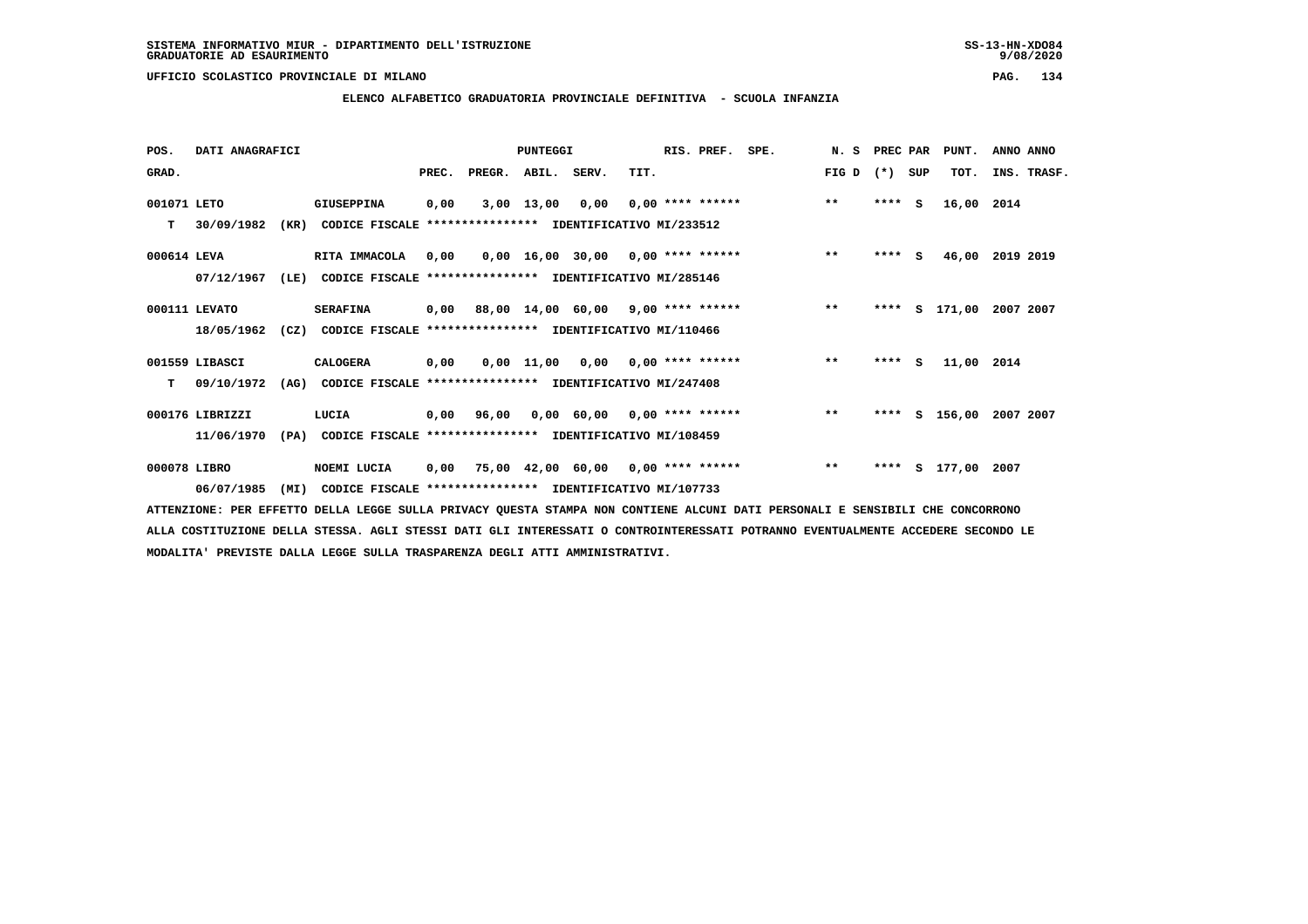**ELENCO ALFABETICO GRADUATORIA PROVINCIALE DEFINITIVA - SCUOLA INFANZIA**

 **POS. DATI ANAGRAFICI PUNTEGGI RIS. PREF. SPE. N. S PREC PAR PUNT. ANNO ANNO**GRAD. **BRAD. PREC. PREGR. ABIL. SERV.** TIT. THE REGREATER FIG D (\*) SUP TOT. INS. TRASF.  **001071 LETO GIUSEPPINA 0,00 3,00 13,00 0,00 0,00 \*\*\*\* \*\*\*\*\*\* \*\* \*\*\*\* S 16,00 2014 T 30/09/1982 (KR) CODICE FISCALE \*\*\*\*\*\*\*\*\*\*\*\*\*\*\*\* IDENTIFICATIVO MI/233512 000614 LEVA RITA IMMACOLA 0,00 0,00 16,00 30,00 0,00 \*\*\*\* \*\*\*\*\*\* \*\* \*\*\*\* S 46,00 2019 2019**

- **000111 LEVATO SERAFINA 0,00 88,00 14,00 60,00 9,00 \*\*\*\* \*\*\*\*\*\* \*\* \*\*\*\* S 171,00 2007 2007 18/05/1962 (CZ) CODICE FISCALE \*\*\*\*\*\*\*\*\*\*\*\*\*\*\*\* IDENTIFICATIVO MI/110466**
- **001559 LIBASCI CALOGERA 0,00 0,00 11,00 0,00 0,00 \*\*\*\* \*\*\*\*\*\* \*\* \*\*\*\* S 11,00 2014 T 09/10/1972 (AG) CODICE FISCALE \*\*\*\*\*\*\*\*\*\*\*\*\*\*\*\* IDENTIFICATIVO MI/247408**

 **000176 LIBRIZZI LUCIA 0,00 96,00 0,00 60,00 0,00 \*\*\*\* \*\*\*\*\*\* \*\* \*\*\*\* S 156,00 2007 2007 11/06/1970 (PA) CODICE FISCALE \*\*\*\*\*\*\*\*\*\*\*\*\*\*\*\* IDENTIFICATIVO MI/108459**

 **000078 LIBRO NOEMI LUCIA 0,00 75,00 42,00 60,00 0,00 \*\*\*\* \*\*\*\*\*\* \*\* \*\*\*\* S 177,00 2007 06/07/1985 (MI) CODICE FISCALE \*\*\*\*\*\*\*\*\*\*\*\*\*\*\*\* IDENTIFICATIVO MI/107733**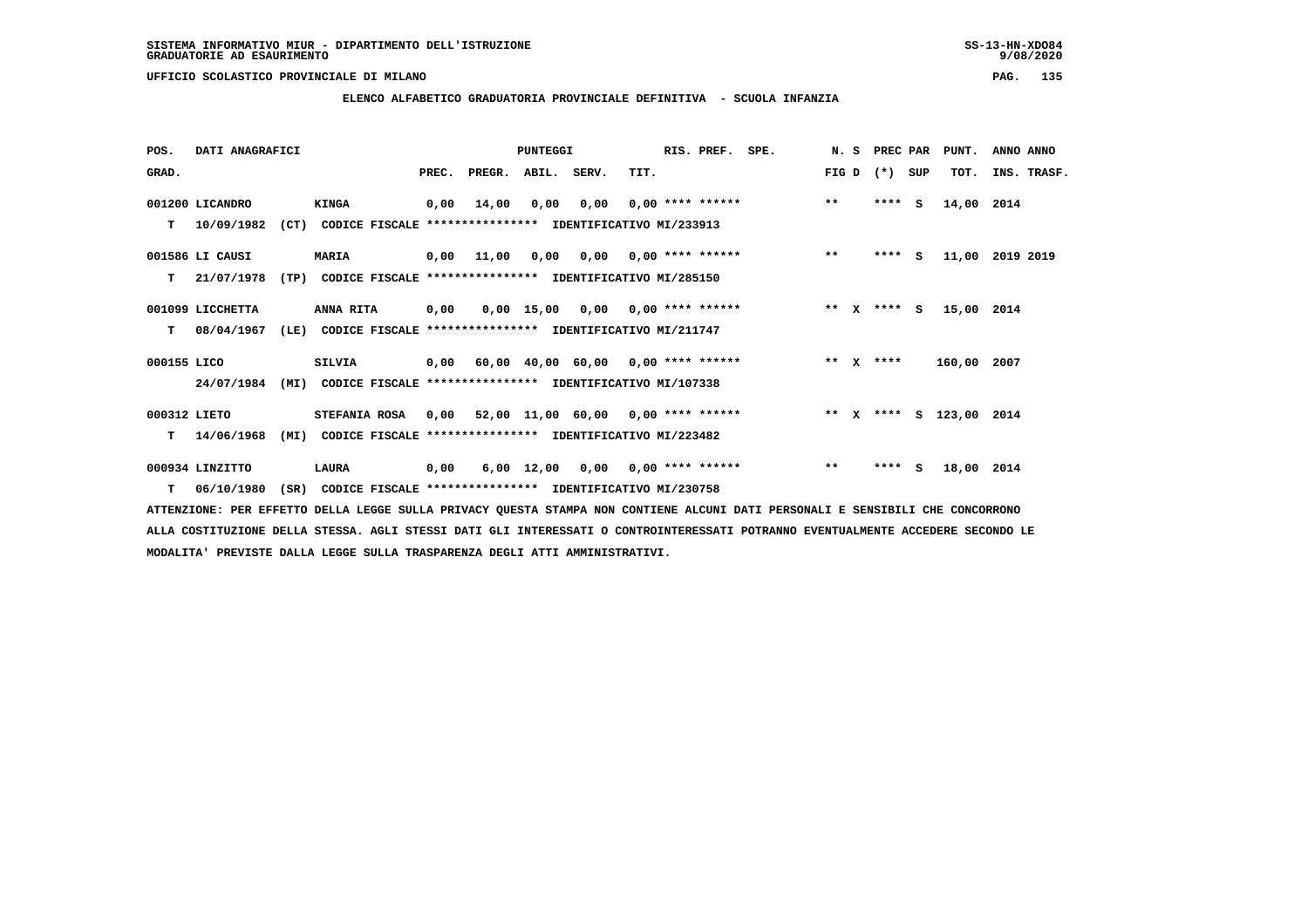**ELENCO ALFABETICO GRADUATORIA PROVINCIALE DEFINITIVA - SCUOLA INFANZIA**

| POS.         | DATI ANAGRAFICI  |      |                                                               |       |                                           | PUNTEGGI    |                                        |      | RIS. PREF.                | SPE. | N.S     | PREC PAR    |     | PUNT.                   | ANNO ANNO   |
|--------------|------------------|------|---------------------------------------------------------------|-------|-------------------------------------------|-------------|----------------------------------------|------|---------------------------|------|---------|-------------|-----|-------------------------|-------------|
| GRAD.        |                  |      |                                                               | PREC. | PREGR.                                    | ABIL. SERV. |                                        | TIT. |                           |      | FIG D   | $(* )$      | SUP | TOT.                    | INS. TRASF. |
|              | 001200 LICANDRO  |      | <b>KINGA</b>                                                  | 0,00  | 14,00                                     | 0,00        | 0,00                                   |      | $0,00$ **** ******        |      | $***$   | ****        | - S | 14,00 2014              |             |
| т            | 10/09/1982       |      | (CT) CODICE FISCALE **************** IDENTIFICATIVO MI/233913 |       |                                           |             |                                        |      |                           |      |         |             |     |                         |             |
|              | 001586 LI CAUSI  |      | <b>MARIA</b>                                                  | 0,00  | 11,00                                     |             | $0.00$ $0.00$ $0.00$ $***$ **** ****** |      |                           |      | $***$   | $***$ S     |     | 11,00                   | 2019 2019   |
| т            | 21/07/1978       | (TP) | CODICE FISCALE **************** IDENTIFICATIVO MI/285150      |       |                                           |             |                                        |      |                           |      |         |             |     |                         |             |
|              | 001099 LICCHETTA |      | ANNA RITA                                                     | 0,00  |                                           |             | $0,00$ 15,00 0,00 0,00 **** ******     |      |                           |      |         | ** x **** s |     | 15,00 2014              |             |
| т            | 08/04/1967       | (LE) | CODICE FISCALE **************** IDENTIFICATIVO MI/211747      |       |                                           |             |                                        |      |                           |      |         |             |     |                         |             |
| 000155 LICO  |                  |      | <b>SILVIA</b>                                                 | 0,00  | 60,00 40,00 60,00 0,00 **** ******        |             |                                        |      |                           |      | $***$ X | ****        |     | 160,00 2007             |             |
|              | 24/07/1984       |      | (MI) CODICE FISCALE **************** IDENTIFICATIVO MI/107338 |       |                                           |             |                                        |      |                           |      |         |             |     |                         |             |
| 000312 LIETO |                  |      | <b>STEFANIA ROSA</b>                                          |       | $0,00$ 52,00 11,00 60,00 0,00 **** ****** |             |                                        |      |                           |      |         |             |     | ** X **** S 123,00 2014 |             |
| т            | 14/06/1968       | (MI) | CODICE FISCALE **************** IDENTIFICATIVO MI/223482      |       |                                           |             |                                        |      |                           |      |         |             |     |                         |             |
|              | 000934 LINZITTO  |      | LAURA                                                         | 0,00  |                                           | 6,00 12,00  |                                        |      | $0,00$ $0,00$ **** ****** |      | $**$    | ****        | - S | 18,00 2014              |             |
|              | $T = 06/10/1980$ | (SR) | CODICE FISCALE **************** IDENTIFICATIVO MI/230758      |       |                                           |             |                                        |      |                           |      |         |             |     |                         |             |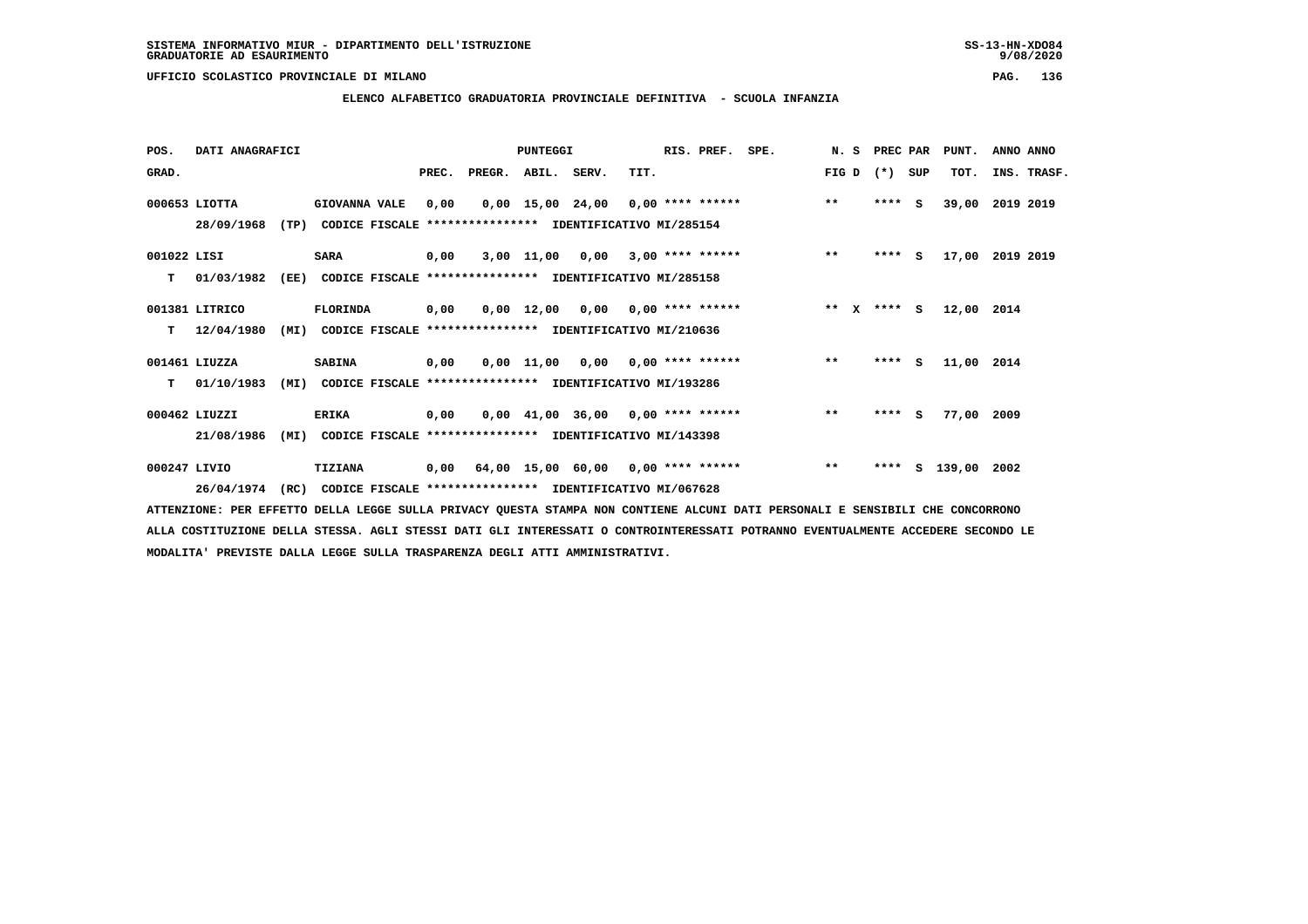**ELENCO ALFABETICO GRADUATORIA PROVINCIALE DEFINITIVA - SCUOLA INFANZIA**

| POS.         | DATI ANAGRAFICI |      |                                                          |       |                                           | <b>PUNTEGGI</b> |                                     |      | RIS. PREF. SPE.           |             | N. S PREC PAR |         |        | PUNT.           | ANNO ANNO   |  |
|--------------|-----------------|------|----------------------------------------------------------|-------|-------------------------------------------|-----------------|-------------------------------------|------|---------------------------|-------------|---------------|---------|--------|-----------------|-------------|--|
| GRAD.        |                 |      |                                                          | PREC. | PREGR. ABIL. SERV.                        |                 |                                     | TIT. |                           | FIG D $(*)$ |               |         | SUP    | TOT.            | INS. TRASF. |  |
|              | 000653 LIOTTA   |      | <b>GIOVANNA VALE</b>                                     | 0,00  |                                           |                 | $0,00$ 15,00 24,00 0,00 **** ****** |      |                           | $***$       |               | $***$ S |        | 39,00           | 2019 2019   |  |
|              | 28/09/1968      |      | (TP) CODICE FISCALE                                      |       | **************** IDENTIFICATIVO MI/285154 |                 |                                     |      |                           |             |               |         |        |                 |             |  |
| 001022 LISI  |                 |      | <b>SARA</b>                                              | 0,00  |                                           |                 | $3,00$ 11,00 0,00 3,00 **** ******  |      |                           | $***$       |               | $***$ S |        | 17,00 2019 2019 |             |  |
| T.           | 01/03/1982      | (EE) | CODICE FISCALE **************** IDENTIFICATIVO MI/285158 |       |                                           |                 |                                     |      |                           |             |               |         |        |                 |             |  |
|              | 001381 LITRICO  |      | <b>FLORINDA</b>                                          | 0,00  |                                           | 0,00 12,00      |                                     |      | $0,00$ $0,00$ **** ****** | ** x **** s |               |         |        | 12,00 2014      |             |  |
| т            | 12/04/1980      | (MI) | CODICE FISCALE **************** IDENTIFICATIVO MI/210636 |       |                                           |                 |                                     |      |                           |             |               |         |        |                 |             |  |
|              | 001461 LIUZZA   |      | <b>SABINA</b>                                            | 0,00  |                                           |                 | $0.00$ 11.00 0.00 0.00 **** ******  |      |                           | $***$       |               |         | **** S | 11,00 2014      |             |  |
| т            | 01/10/1983      | (MI) | CODICE FISCALE **************** IDENTIFICATIVO MI/193286 |       |                                           |                 |                                     |      |                           |             |               |         |        |                 |             |  |
|              | 000462 LIUZZI   |      | <b>ERIKA</b>                                             | 0,00  |                                           |                 | $0,00$ 41,00 36,00 0,00 **** ****** |      |                           | $**$        |               | $***$ S |        | 77,00 2009      |             |  |
|              | 21/08/1986      | (MI) | CODICE FISCALE **************** IDENTIFICATIVO MI/143398 |       |                                           |                 |                                     |      |                           |             |               |         |        |                 |             |  |
| 000247 LIVIO |                 |      | TIZIANA                                                  |       | 0,00 64,00 15,00 60,00 0,00 **** ******   |                 |                                     |      |                           | $***$       |               | ****    | s      | 139,00 2002     |             |  |
|              | 26/04/1974      | (RC) | CODICE FISCALE **************** IDENTIFICATIVO MI/067628 |       |                                           |                 |                                     |      |                           |             |               |         |        |                 |             |  |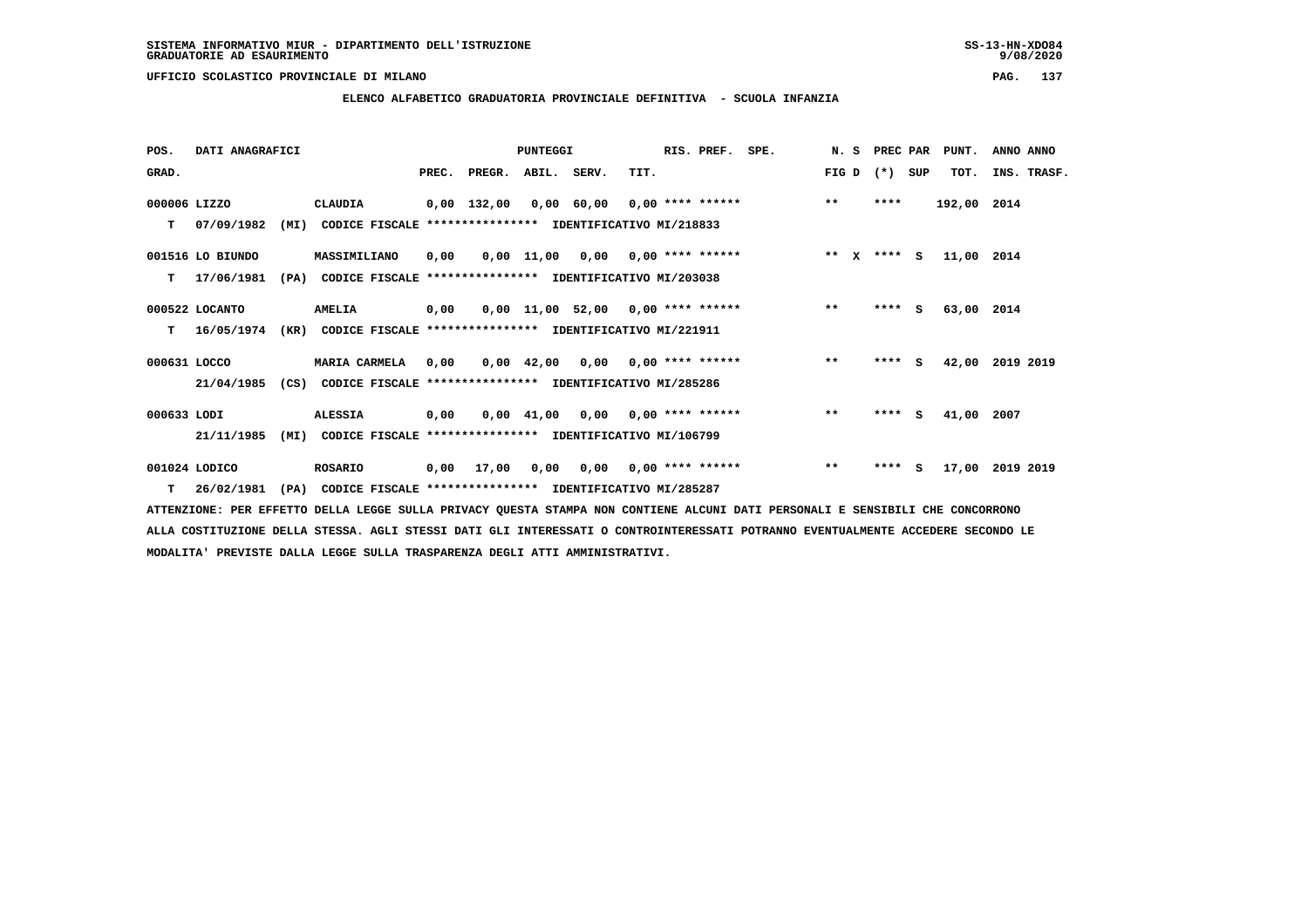**ELENCO ALFABETICO GRADUATORIA PROVINCIALE DEFINITIVA - SCUOLA INFANZIA**

| POS.         | DATI ANAGRAFICI  |      |                                                               |      |              | <b>PUNTEGGI</b> |                                                              | RIS. PREF. | SPE.         | N. S  |        | PREC PAR   | PUNT.       | ANNO ANNO   |
|--------------|------------------|------|---------------------------------------------------------------|------|--------------|-----------------|--------------------------------------------------------------|------------|--------------|-------|--------|------------|-------------|-------------|
| GRAD.        |                  |      |                                                               |      | PREC. PREGR. | ABIL. SERV.     | TIT.                                                         |            |              | FIG D | $(* )$ | SUP        | TOT.        | INS. TRASF. |
| 000006 LIZZO |                  |      | CLAUDIA                                                       |      | 0,00 132,00  |                 | $0,00$ 60,00 0,00 **** ******                                |            |              | $***$ |        | ****       | 192,00 2014 |             |
| т            | 07/09/1982       | (MI) | CODICE FISCALE **************** IDENTIFICATIVO MI/218833      |      |              |                 |                                                              |            |              |       |        |            |             |             |
|              | 001516 LO BIUNDO |      | MASSIMILIANO                                                  | 0,00 |              |                 | $0,00$ 11,00 0,00 0,00 **** ******                           |            | $*** x*** s$ |       |        |            | 11,00 2014  |             |
| т            | 17/06/1981       | (PA) | CODICE FISCALE                                                |      |              |                 | **************** IDENTIFICATIVO MI/203038                    |            |              |       |        |            |             |             |
|              | 000522 LOCANTO   |      | AMELIA                                                        | 0,00 |              |                 | $0,00$ 11,00 52,00 0,00 **** ******                          |            |              | $***$ |        | $***$ S    | 63,00 2014  |             |
| т            | 16/05/1974       | (KR) | CODICE FISCALE **************** IDENTIFICATIVO MI/221911      |      |              |                 |                                                              |            |              |       |        |            |             |             |
| 000631 LOCCO |                  |      | MARIA CARMELA                                                 | 0,00 |              | 0,00 42,00      | $0,00$ $0,00$ **** ******                                    |            |              | $***$ |        | $***5$     | 42,00       | 2019 2019   |
|              | 21/04/1985       |      | (CS) CODICE FISCALE **************** IDENTIFICATIVO MI/285286 |      |              |                 |                                                              |            |              |       |        |            |             |             |
| 000633 LODI  |                  |      | <b>ALESSIA</b>                                                | 0,00 |              |                 | $0.00 \quad 41.00 \quad 0.00 \quad 0.00 \quad *** \quad ***$ |            |              | $***$ |        | ****<br>s  | 41,00 2007  |             |
|              | 21/11/1985       | (MI) | CODICE FISCALE **************** IDENTIFICATIVO MI/106799      |      |              |                 |                                                              |            |              |       |        |            |             |             |
|              | 001024 LODICO    |      | <b>ROSARIO</b>                                                | 0,00 | 17,00        | 0,00            | $0,00$ $0,00$ **** ******                                    |            |              | $***$ |        | ****<br>S. | 17,00       | 2019 2019   |
|              | $T = 26/02/1981$ |      | (PA) CODICE FISCALE **************** IDENTIFICATIVO MI/285287 |      |              |                 |                                                              |            |              |       |        |            |             |             |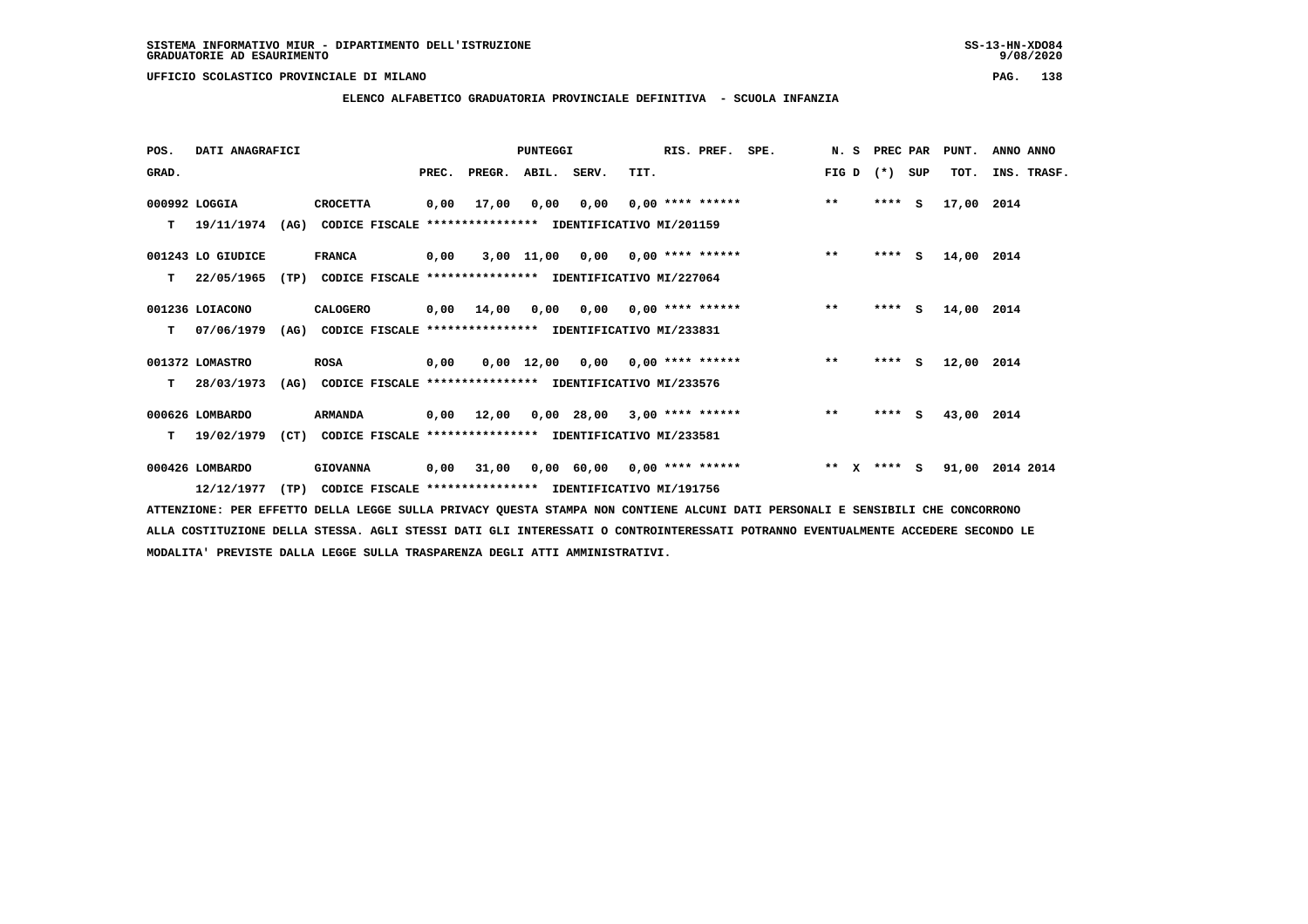**ELENCO ALFABETICO GRADUATORIA PROVINCIALE DEFINITIVA - SCUOLA INFANZIA**

 **POS. DATI ANAGRAFICI PUNTEGGI RIS. PREF. SPE. N. S PREC PAR PUNT. ANNO ANNO**GRAD. **PREGRADE SERVEGER. ABIL. SERV. TIT.** FIG D (\*) SUP TOT. INS. TRASF.  **000992 LOGGIA CROCETTA 0,00 17,00 0,00 0,00 0,00 \*\*\*\* \*\*\*\*\*\* \*\* \*\*\*\* S 17,00 2014 T 19/11/1974 (AG) CODICE FISCALE \*\*\*\*\*\*\*\*\*\*\*\*\*\*\*\* IDENTIFICATIVO MI/201159 001243 LO GIUDICE FRANCA 0,00 3,00 11,00 0,00 0,00 \*\*\*\* \*\*\*\*\*\* \*\* \*\*\*\* S 14,00 2014 T 22/05/1965 (TP) CODICE FISCALE \*\*\*\*\*\*\*\*\*\*\*\*\*\*\*\* IDENTIFICATIVO MI/227064 001236 LOIACONO CALOGERO 0,00 14,00 0,00 0,00 0,00 \*\*\*\* \*\*\*\*\*\* \*\* \*\*\*\* S 14,00 2014 T 07/06/1979 (AG) CODICE FISCALE \*\*\*\*\*\*\*\*\*\*\*\*\*\*\*\* IDENTIFICATIVO MI/233831 001372 LOMASTRO ROSA 0,00 0,00 12,00 0,00 0,00 \*\*\*\* \*\*\*\*\*\* \*\* \*\*\*\* S 12,00 2014 T 28/03/1973 (AG) CODICE FISCALE \*\*\*\*\*\*\*\*\*\*\*\*\*\*\*\* IDENTIFICATIVO MI/233576 000626 LOMBARDO ARMANDA 0,00 12,00 0,00 28,00 3,00 \*\*\*\* \*\*\*\*\*\* \*\* \*\*\*\* S 43,00 2014**

 **T 19/02/1979 (CT) CODICE FISCALE \*\*\*\*\*\*\*\*\*\*\*\*\*\*\*\* IDENTIFICATIVO MI/233581**

 **000426 LOMBARDO GIOVANNA 0,00 31,00 0,00 60,00 0,00 \*\*\*\* \*\*\*\*\*\* \*\* X \*\*\*\* S 91,00 2014 2014 12/12/1977 (TP) CODICE FISCALE \*\*\*\*\*\*\*\*\*\*\*\*\*\*\*\* IDENTIFICATIVO MI/191756**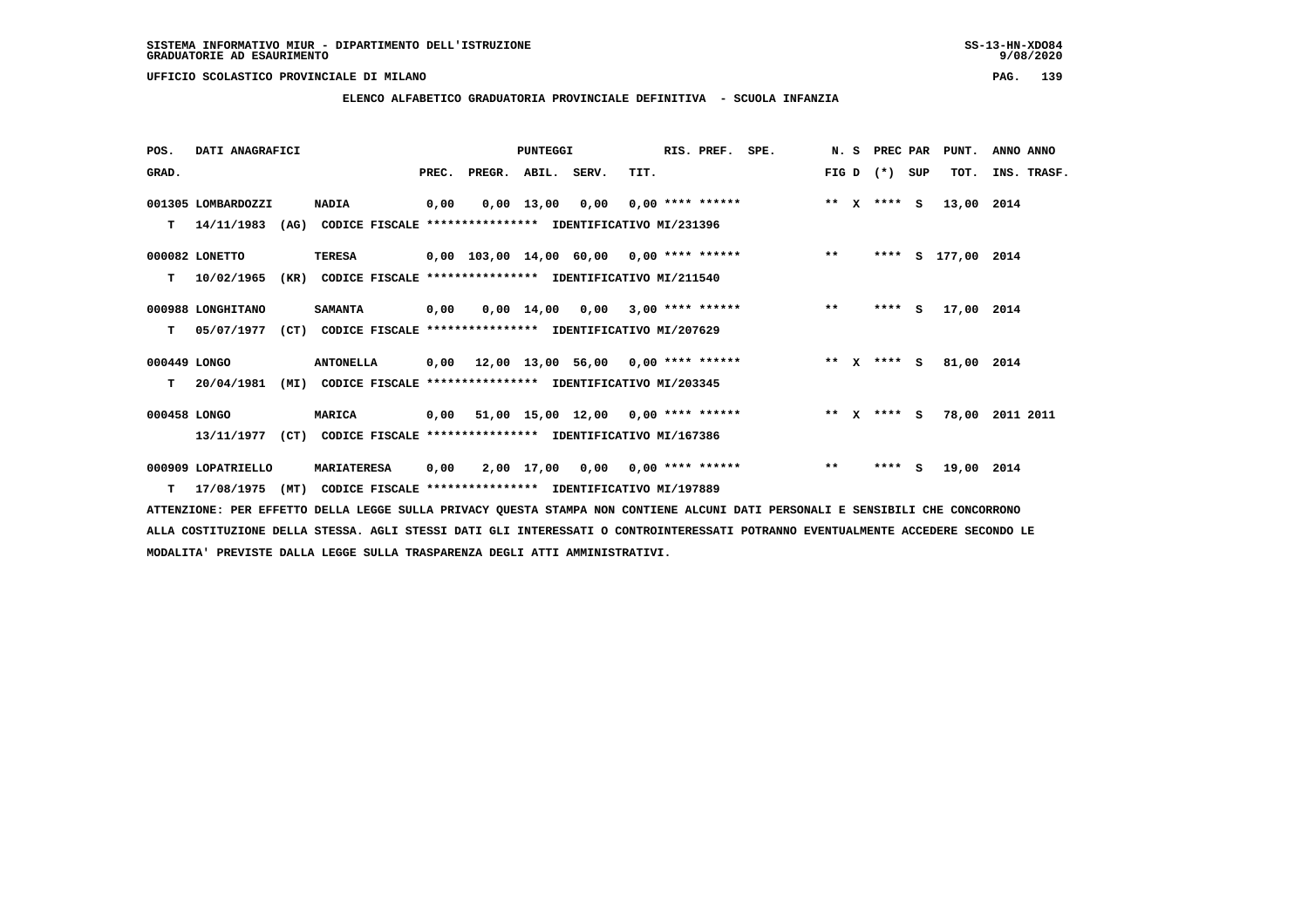# **ELENCO ALFABETICO GRADUATORIA PROVINCIALE DEFINITIVA - SCUOLA INFANZIA**

 **POS. DATI ANAGRAFICI PUNTEGGI RIS. PREF. SPE. N. S PREC PAR PUNT. ANNO ANNO**GRAD. **PREGRADE SERVEGER. ABIL. SERV. TIT.** FIG D (\*) SUP TOT. INS. TRASF.  **001305 LOMBARDOZZI NADIA 0,00 0,00 13,00 0,00 0,00 \*\*\*\* \*\*\*\*\*\* \*\* X \*\*\*\* S 13,00 2014 T 14/11/1983 (AG) CODICE FISCALE \*\*\*\*\*\*\*\*\*\*\*\*\*\*\*\* IDENTIFICATIVO MI/231396 000082 LONETTO TERESA 0,00 103,00 14,00 60,00 0,00 \*\*\*\* \*\*\*\*\*\* \*\* \*\*\*\* S 177,00 2014 T 10/02/1965 (KR) CODICE FISCALE \*\*\*\*\*\*\*\*\*\*\*\*\*\*\*\* IDENTIFICATIVO MI/211540 000988 LONGHITANO SAMANTA 0,00 0,00 14,00 0,00 3,00 \*\*\*\* \*\*\*\*\*\* \*\* \*\*\*\* S 17,00 2014 T 05/07/1977 (CT) CODICE FISCALE \*\*\*\*\*\*\*\*\*\*\*\*\*\*\*\* IDENTIFICATIVO MI/207629 000449 LONGO ANTONELLA 0,00 12,00 13,00 56,00 0,00 \*\*\*\* \*\*\*\*\*\* \*\* X \*\*\*\* S 81,00 2014 T 20/04/1981 (MI) CODICE FISCALE \*\*\*\*\*\*\*\*\*\*\*\*\*\*\*\* IDENTIFICATIVO MI/203345 000458 LONGO MARICA 0,00 51,00 15,00 12,00 0,00 \*\*\*\* \*\*\*\*\*\* \*\* X \*\*\*\* S 78,00 2011 2011 13/11/1977 (CT) CODICE FISCALE \*\*\*\*\*\*\*\*\*\*\*\*\*\*\*\* IDENTIFICATIVO MI/167386 000909 LOPATRIELLO MARIATERESA 0,00 2,00 17,00 0,00 0,00 \*\*\*\* \*\*\*\*\*\* \*\* \*\*\*\* S 19,00 2014 T 17/08/1975 (MT) CODICE FISCALE \*\*\*\*\*\*\*\*\*\*\*\*\*\*\*\* IDENTIFICATIVO MI/197889**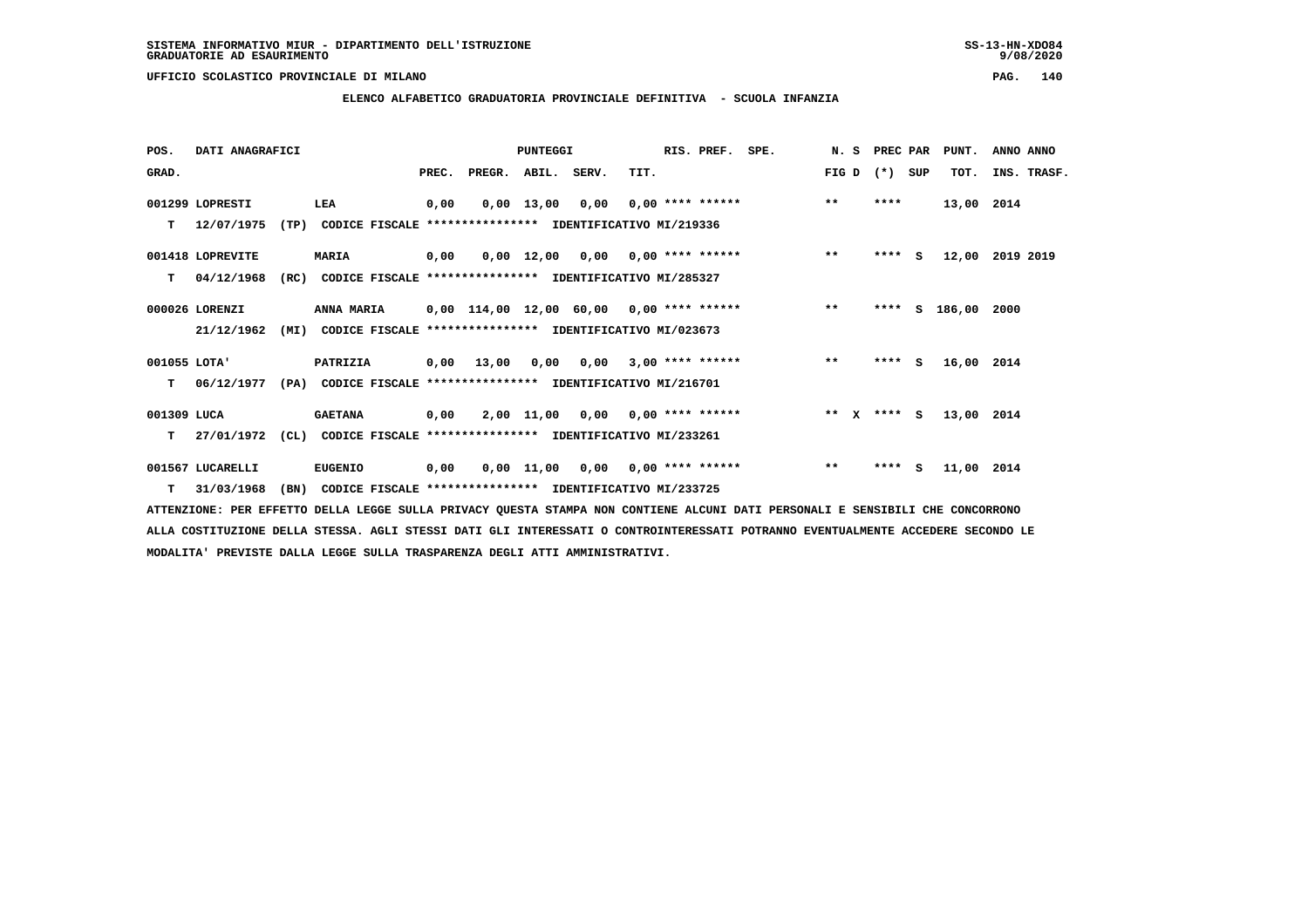**ELENCO ALFABETICO GRADUATORIA PROVINCIALE DEFINITIVA - SCUOLA INFANZIA**

| POS.         | DATI ANAGRAFICI  |      |                                                               |       |                                          | PUNTEGGI     |                                    |                           | RIS. PREF.         | SPE. | N.S     | PREC PAR |     | PUNT.      | ANNO ANNO   |  |
|--------------|------------------|------|---------------------------------------------------------------|-------|------------------------------------------|--------------|------------------------------------|---------------------------|--------------------|------|---------|----------|-----|------------|-------------|--|
| GRAD.        |                  |      |                                                               | PREC. | PREGR. ABIL. SERV.                       |              |                                    | TIT.                      |                    |      | FIG D   | $(*)$    | SUP | TOT.       | INS. TRASF. |  |
|              | 001299 LOPRESTI  |      | LEA                                                           | 0,00  |                                          | $0,00$ 13,00 | 0,00                               | $0,00$ **** ******        |                    |      | $***$   | ****     |     | 13,00 2014 |             |  |
| т            | 12/07/1975       | (TP) | CODICE FISCALE **************** IDENTIFICATIVO MI/219336      |       |                                          |              |                                    |                           |                    |      |         |          |     |            |             |  |
|              | 001418 LOPREVITE |      | <b>MARIA</b>                                                  | 0,00  |                                          |              | $0,00$ 12,00 0,00 0,00 **** ****** |                           |                    |      | $***$   | $***$ S  |     | 12,00      | 2019 2019   |  |
| т            | 04/12/1968       | (RC) | CODICE FISCALE **************** IDENTIFICATIVO MI/285327      |       |                                          |              |                                    |                           |                    |      |         |          |     |            |             |  |
|              | 000026 LORENZI   |      | ANNA MARIA                                                    |       | 0,00 114,00 12,00 60,00 0,00 **** ****** |              |                                    |                           |                    |      | $***$   | ****     |     | S 186,00   | 2000        |  |
|              | 21/12/1962       | (MI) | CODICE FISCALE **************** IDENTIFICATIVO MI/023673      |       |                                          |              |                                    |                           |                    |      |         |          |     |            |             |  |
| 001055 LOTA' |                  |      | PATRIZIA                                                      | 0,00  | 13,00                                    | 0,00         | 0,00                               |                           | $3,00$ **** ****** |      | $**$    | $***$ S  |     | 16,00 2014 |             |  |
| т            | 06/12/1977       |      | (PA) CODICE FISCALE **************** IDENTIFICATIVO MI/216701 |       |                                          |              |                                    |                           |                    |      |         |          |     |            |             |  |
| 001309 LUCA  |                  |      | <b>GAETANA</b>                                                | 0,00  |                                          |              | $2,00$ 11,00 0,00 0,00 **** ****** |                           |                    |      | $***$ X | $***$ S  |     | 13,00 2014 |             |  |
| т            | 27/01/1972       | (CL) | CODICE FISCALE **************** IDENTIFICATIVO MI/233261      |       |                                          |              |                                    |                           |                    |      |         |          |     |            |             |  |
|              | 001567 LUCARELLI |      | <b>EUGENIO</b>                                                | 0,00  |                                          | 0,00 11,00   |                                    | $0,00$ $0,00$ **** ****** |                    |      | $* *$   | ****     | - S | 11,00 2014 |             |  |
|              | $T = 31/03/1968$ | (BN) | CODICE FISCALE **************** IDENTIFICATIVO MI/233725      |       |                                          |              |                                    |                           |                    |      |         |          |     |            |             |  |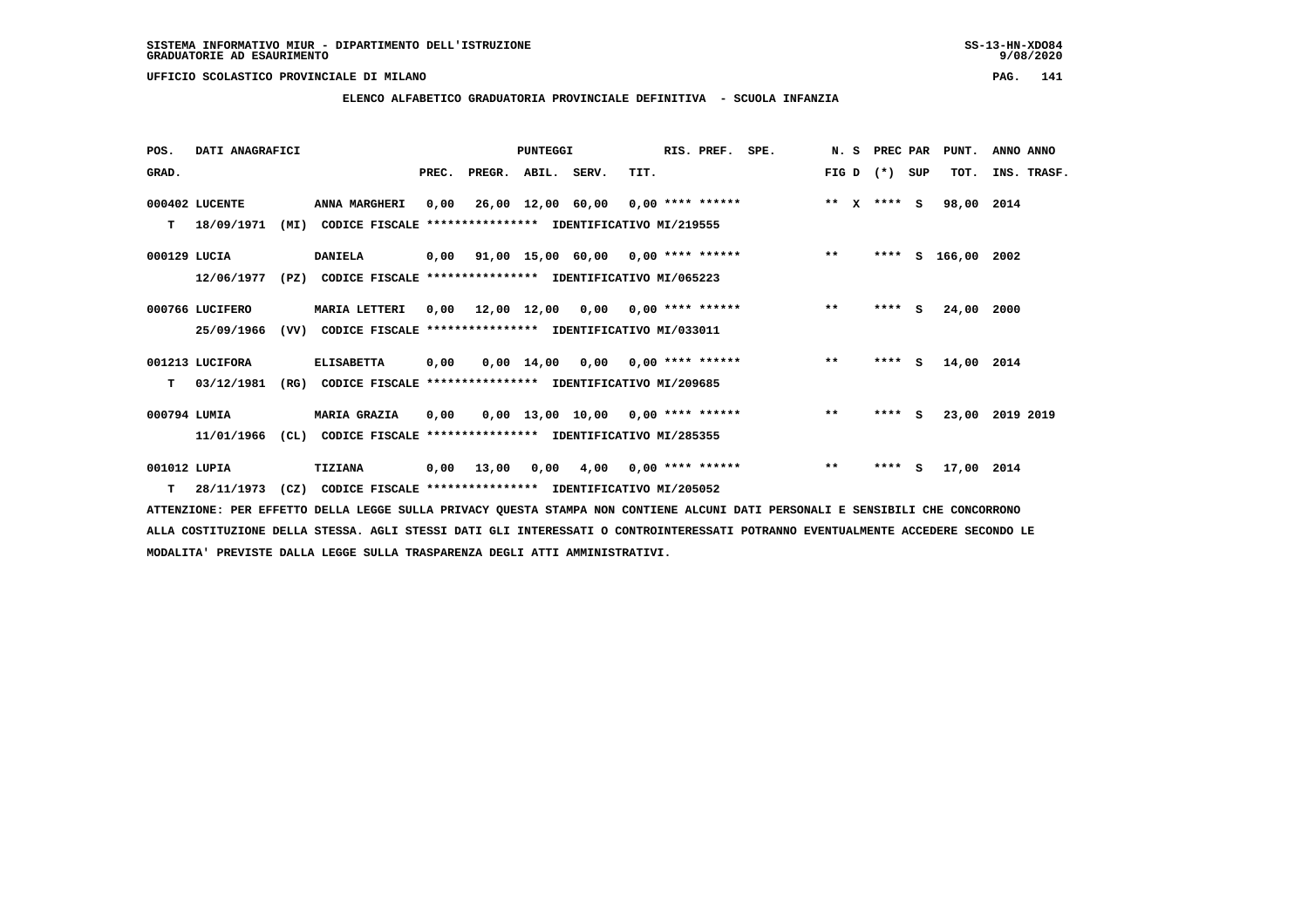**ELENCO ALFABETICO GRADUATORIA PROVINCIALE DEFINITIVA - SCUOLA INFANZIA**

 **POS. DATI ANAGRAFICI PUNTEGGI RIS. PREF. SPE. N. S PREC PAR PUNT. ANNO ANNO**GRAD. **BRAD. PREC. PREGR. ABIL. SERV.** TIT. THE REGREATER FIG D (\*) SUP TOT. INS. TRASF.  **000402 LUCENTE ANNA MARGHERI 0,00 26,00 12,00 60,00 0,00 \*\*\*\* \*\*\*\*\*\* \*\* X \*\*\*\* S 98,00 2014 T 18/09/1971 (MI) CODICE FISCALE \*\*\*\*\*\*\*\*\*\*\*\*\*\*\*\* IDENTIFICATIVO MI/219555 000129 LUCIA DANIELA 0,00 91,00 15,00 60,00 0,00 \*\*\*\* \*\*\*\*\*\* \*\* \*\*\*\* S 166,00 2002 12/06/1977 (PZ) CODICE FISCALE \*\*\*\*\*\*\*\*\*\*\*\*\*\*\*\* IDENTIFICATIVO MI/065223 000766 LUCIFERO MARIA LETTERI 0,00 12,00 12,00 0,00 0,00 \*\*\*\* \*\*\*\*\*\* \*\* \*\*\*\* S 24,00 2000 25/09/1966 (VV) CODICE FISCALE \*\*\*\*\*\*\*\*\*\*\*\*\*\*\*\* IDENTIFICATIVO MI/033011 001213 LUCIFORA ELISABETTA 0,00 0,00 14,00 0,00 0,00 \*\*\*\* \*\*\*\*\*\* \*\* \*\*\*\* S 14,00 2014 T 03/12/1981 (RG) CODICE FISCALE \*\*\*\*\*\*\*\*\*\*\*\*\*\*\*\* IDENTIFICATIVO MI/209685 000794 LUMIA MARIA GRAZIA 0,00 0,00 13,00 10,00 0,00 \*\*\*\* \*\*\*\*\*\* \*\* \*\*\*\* S 23,00 2019 2019 11/01/1966 (CL) CODICE FISCALE \*\*\*\*\*\*\*\*\*\*\*\*\*\*\*\* IDENTIFICATIVO MI/285355 001012 LUPIA TIZIANA 0,00 13,00 0,00 4,00 0,00 \*\*\*\* \*\*\*\*\*\* \*\* \*\*\*\* S 17,00 2014**

 **T 28/11/1973 (CZ) CODICE FISCALE \*\*\*\*\*\*\*\*\*\*\*\*\*\*\*\* IDENTIFICATIVO MI/205052**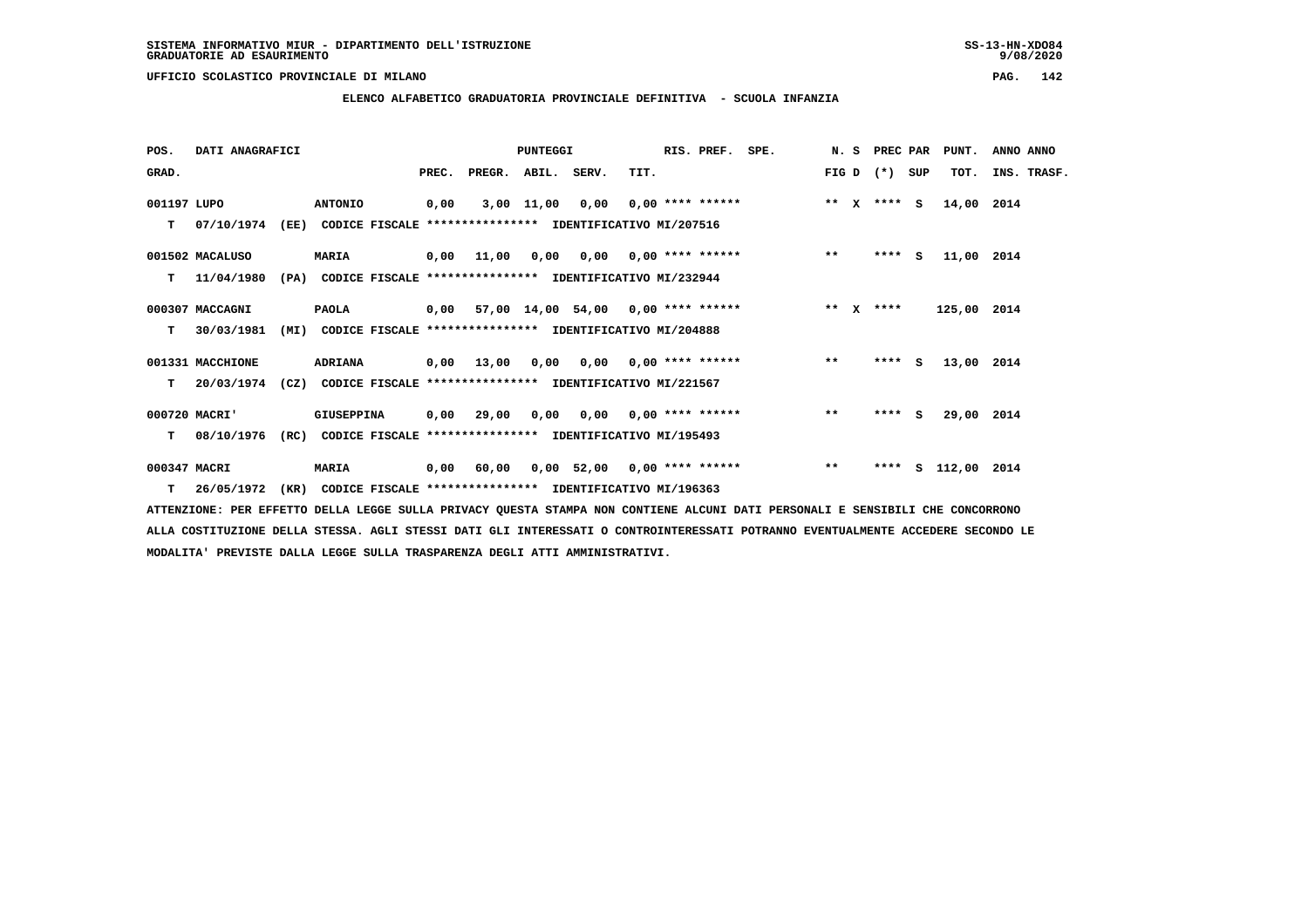**ELENCO ALFABETICO GRADUATORIA PROVINCIALE DEFINITIVA - SCUOLA INFANZIA**

| POS.         | DATI ANAGRAFICI  |      |                                                               |       |                    | PUNTEGGI |                                             | RIS. PREF. SPE. |                                        |       | N. S PREC PAR |     | PUNT.         | ANNO ANNO   |
|--------------|------------------|------|---------------------------------------------------------------|-------|--------------------|----------|---------------------------------------------|-----------------|----------------------------------------|-------|---------------|-----|---------------|-------------|
| GRAD.        |                  |      |                                                               | PREC. | PREGR. ABIL. SERV. |          | TIT.                                        |                 |                                        | FIG D | $(* )$        | SUP | TOT.          | INS. TRASF. |
| 001197 LUPO  |                  |      | <b>ANTONIO</b>                                                | 0,00  |                    |          | $3,00$ 11,00 0,00 0,00 **** ******          |                 | ** x **** s                            |       |               |     | 14,00 2014    |             |
| т            | 07/10/1974       | (EE) | CODICE FISCALE **************** IDENTIFICATIVO MI/207516      |       |                    |          |                                             |                 |                                        |       |               |     |               |             |
|              | 001502 MACALUSO  |      | <b>MARIA</b>                                                  | 0,00  | 11,00              |          | $0,00$ $0,00$ $0,00$ $***$ **** ******      |                 |                                        | $***$ | **** S        |     | 11,00 2014    |             |
| T.           | 11/04/1980       |      | (PA) CODICE FISCALE **************** IDENTIFICATIVO MI/232944 |       |                    |          |                                             |                 |                                        |       |               |     |               |             |
|              | 000307 MACCAGNI  |      | <b>PAOLA</b>                                                  |       |                    |          | $0.00$ 57,00 14,00 54,00 0,00 **** ******   |                 | $***$ $X$ $***$                        |       |               |     | 125,00 2014   |             |
| T.           | 30/03/1981       | (MI) | CODICE FISCALE **************** IDENTIFICATIVO MI/204888      |       |                    |          |                                             |                 |                                        |       |               |     |               |             |
|              | 001331 MACCHIONE |      | <b>ADRIANA</b>                                                |       | 0,00 13,00         |          |                                             |                 | $0,00$ $0,00$ $0,00$ $***$ **** ****** | $***$ | $***5$        |     | 13,00 2014    |             |
| T.           | 20/03/1974       |      | (CZ) CODICE FISCALE **************** IDENTIFICATIVO MI/221567 |       |                    |          |                                             |                 |                                        |       |               |     |               |             |
|              | 000720 MACRI'    |      | GIUSEPPINA                                                    |       |                    |          | $0,00$ 29,00 $0,00$ 0,00 $0,00$ **** ****** |                 |                                        | $* *$ | $***$ S       |     | 29,00 2014    |             |
| т            | 08/10/1976       | (RC) | CODICE FISCALE **************** IDENTIFICATIVO MI/195493      |       |                    |          |                                             |                 |                                        |       |               |     |               |             |
| 000347 MACRI |                  |      | <b>MARIA</b>                                                  | 0,00  | 60,00              |          | $0,00$ 52,00 0,00 **** ******               |                 |                                        | $**$  | ****          |     | S 112,00 2014 |             |
|              | $T = 26/05/1972$ |      | (KR) CODICE FISCALE **************** IDENTIFICATIVO MI/196363 |       |                    |          |                                             |                 |                                        |       |               |     |               |             |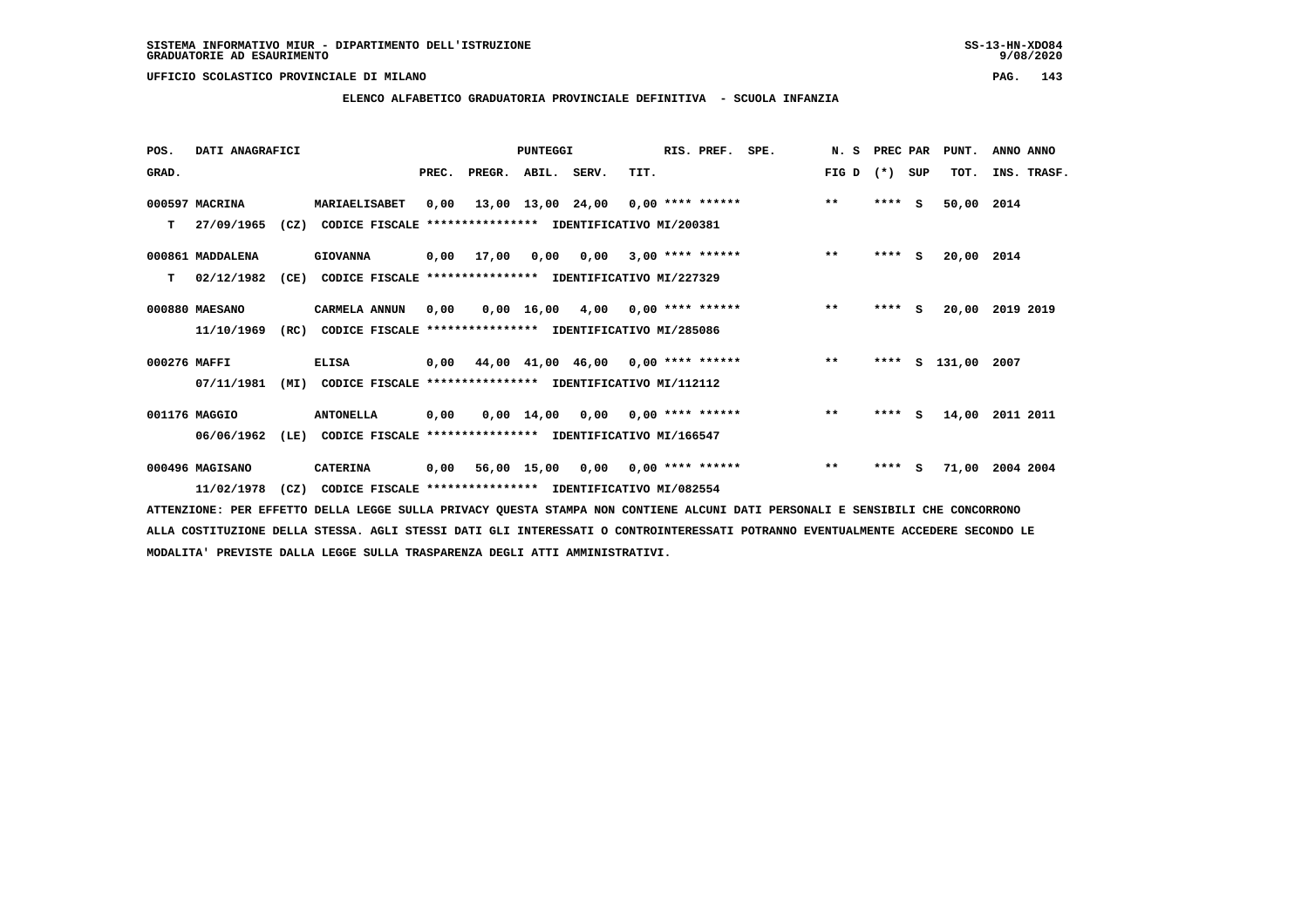# **ELENCO ALFABETICO GRADUATORIA PROVINCIALE DEFINITIVA - SCUOLA INFANZIA**

 **POS. DATI ANAGRAFICI PUNTEGGI RIS. PREF. SPE. N. S PREC PAR PUNT. ANNO ANNO**GRAD. **BRAD. PREC. PREGR. ABIL. SERV.** TIT. THE REGREATER FIG D (\*) SUP TOT. INS. TRASF.  **000597 MACRINA MARIAELISABET 0,00 13,00 13,00 24,00 0,00 \*\*\*\* \*\*\*\*\*\* \*\* \*\*\*\* S 50,00 2014 T 27/09/1965 (CZ) CODICE FISCALE \*\*\*\*\*\*\*\*\*\*\*\*\*\*\*\* IDENTIFICATIVO MI/200381 000861 MADDALENA GIOVANNA 0,00 17,00 0,00 0,00 3,00 \*\*\*\* \*\*\*\*\*\* \*\* \*\*\*\* S 20,00 2014 T 02/12/1982 (CE) CODICE FISCALE \*\*\*\*\*\*\*\*\*\*\*\*\*\*\*\* IDENTIFICATIVO MI/227329 000880 MAESANO CARMELA ANNUN 0,00 0,00 16,00 4,00 0,00 \*\*\*\* \*\*\*\*\*\* \*\* \*\*\*\* S 20,00 2019 2019 11/10/1969 (RC) CODICE FISCALE \*\*\*\*\*\*\*\*\*\*\*\*\*\*\*\* IDENTIFICATIVO MI/285086 000276 MAFFI ELISA 0,00 44,00 41,00 46,00 0,00 \*\*\*\* \*\*\*\*\*\* \*\* \*\*\*\* S 131,00 2007 07/11/1981 (MI) CODICE FISCALE \*\*\*\*\*\*\*\*\*\*\*\*\*\*\*\* IDENTIFICATIVO MI/112112 001176 MAGGIO ANTONELLA 0,00 0,00 14,00 0,00 0,00 \*\*\*\* \*\*\*\*\*\* \*\* \*\*\*\* S 14,00 2011 2011**

 **06/06/1962 (LE) CODICE FISCALE \*\*\*\*\*\*\*\*\*\*\*\*\*\*\*\* IDENTIFICATIVO MI/166547**

 **000496 MAGISANO CATERINA 0,00 56,00 15,00 0,00 0,00 \*\*\*\* \*\*\*\*\*\* \*\* \*\*\*\* S 71,00 2004 2004 11/02/1978 (CZ) CODICE FISCALE \*\*\*\*\*\*\*\*\*\*\*\*\*\*\*\* IDENTIFICATIVO MI/082554**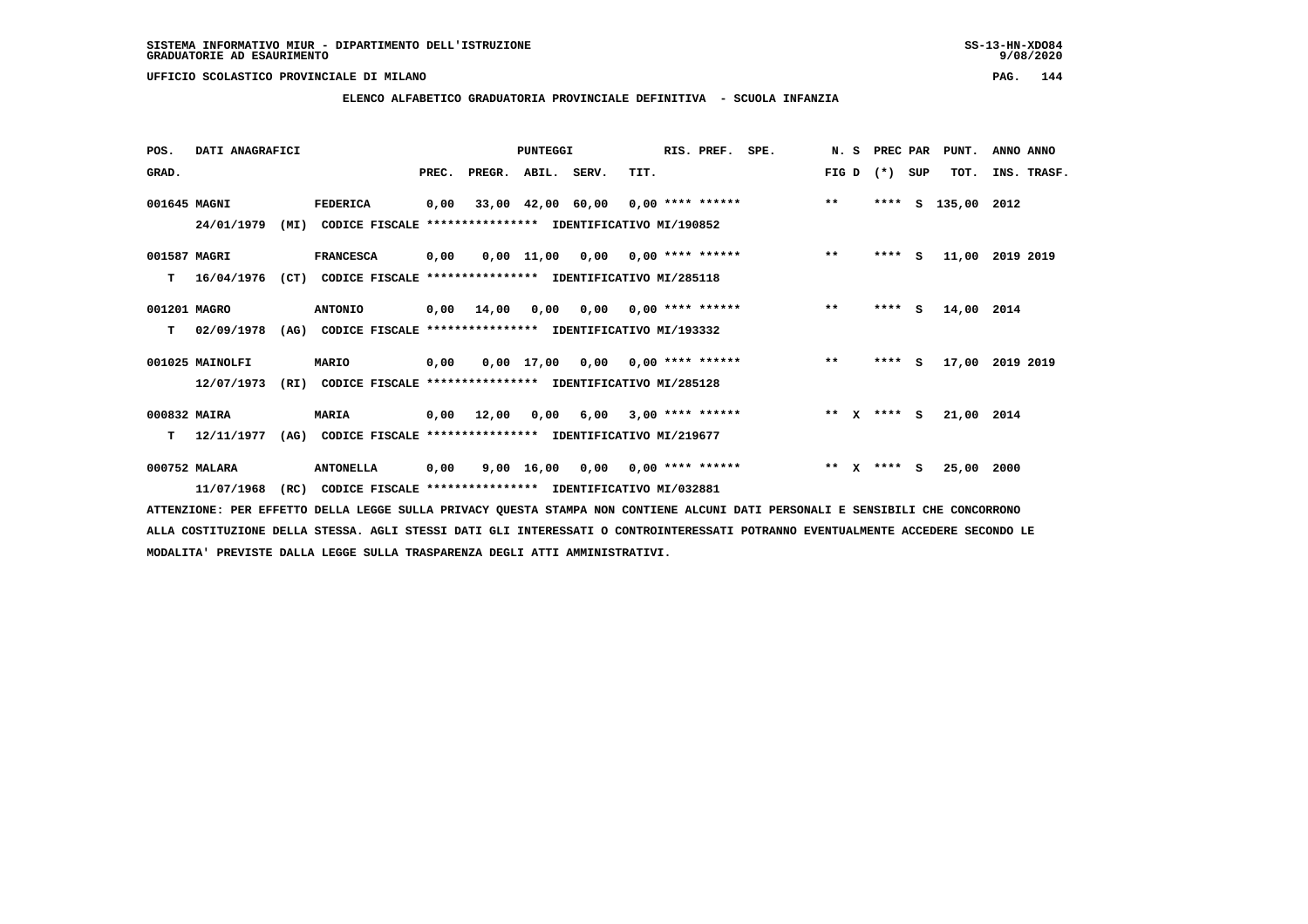### **UFFICIO SCOLASTICO PROVINCIALE DI MILANO PAG. 144**

# **ELENCO ALFABETICO GRADUATORIA PROVINCIALE DEFINITIVA - SCUOLA INFANZIA**

| POS.         | DATI ANAGRAFICI |      |                                                          |       |                                           | PUNTEGGI          |                                    |      | RIS. PREF.         | SPE. | N.S          |              | PREC PAR    |              | PUNT.       | ANNO ANNO |             |
|--------------|-----------------|------|----------------------------------------------------------|-------|-------------------------------------------|-------------------|------------------------------------|------|--------------------|------|--------------|--------------|-------------|--------------|-------------|-----------|-------------|
| GRAD.        |                 |      |                                                          | PREC. | PREGR.                                    | ABIL. SERV.       |                                    | TIT. |                    |      | FIG D        |              | $(* )$      | SUP          | TOT.        |           | INS. TRASF. |
| 001645 MAGNI |                 |      | <b>FEDERICA</b>                                          | 0,00  |                                           | 33,00 42,00 60,00 |                                    |      | $0,00$ **** ****** |      | $***$        |              | ****        | s            | 135,00 2012 |           |             |
|              | 24/01/1979      | (MI) | CODICE FISCALE **************** IDENTIFICATIVO MI/190852 |       |                                           |                   |                                    |      |                    |      |              |              |             |              |             |           |             |
| 001587 MAGRI |                 |      | <b>FRANCESCA</b>                                         | 0,00  |                                           |                   | $0,00$ 11,00 0,00 0,00 **** ****** |      |                    |      | $***$        |              | $***$ S     |              | 11,00       | 2019 2019 |             |
| т            | 16/04/1976      | (CT) | CODICE FISCALE                                           |       | **************** IDENTIFICATIVO MI/285118 |                   |                                    |      |                    |      |              |              |             |              |             |           |             |
| 001201 MAGRO |                 |      | <b>ANTONIO</b>                                           |       | $0,00$ $14,00$                            | 0,00              | 0,00                               |      | $0.00$ **** ****** |      | $\star\star$ |              | ****        | $\mathbf{s}$ | 14,00 2014  |           |             |
| т            | 02/09/1978      | (AG) | CODICE FISCALE **************** IDENTIFICATIVO MI/193332 |       |                                           |                   |                                    |      |                    |      |              |              |             |              |             |           |             |
|              | 001025 MAINOLFI |      | <b>MARIO</b>                                             | 0,00  |                                           |                   | $0.00$ 17,00 0.00 0.00 **** ****** |      |                    |      | $***$        |              | $***5$      |              | 17,00       | 2019 2019 |             |
|              | 12/07/1973      | (RI) | CODICE FISCALE **************** IDENTIFICATIVO MI/285128 |       |                                           |                   |                                    |      |                    |      |              |              |             |              |             |           |             |
| 000832 MAIRA |                 |      | <b>MARIA</b>                                             |       | $0,00$ 12,00                              | 0,00              | 6,00                               |      | $3,00$ **** ****** |      |              |              | ** X **** S |              | 21,00 2014  |           |             |
| т            | 12/11/1977      | (AG) | CODICE FISCALE **************** IDENTIFICATIVO MI/219677 |       |                                           |                   |                                    |      |                    |      |              |              |             |              |             |           |             |
|              | 000752 MALARA   |      | <b>ANTONELLA</b>                                         | 0,00  |                                           | 9,00 16,00        | 0,00                               |      | $0.00$ **** ****** |      | $**$         | $\mathbf{x}$ | $***$ S     |              | 25,00       | 2000      |             |
|              | 11/07/1968      | (RC) | CODICE FISCALE **************** IDENTIFICATIVO MI/032881 |       |                                           |                   |                                    |      |                    |      |              |              |             |              |             |           |             |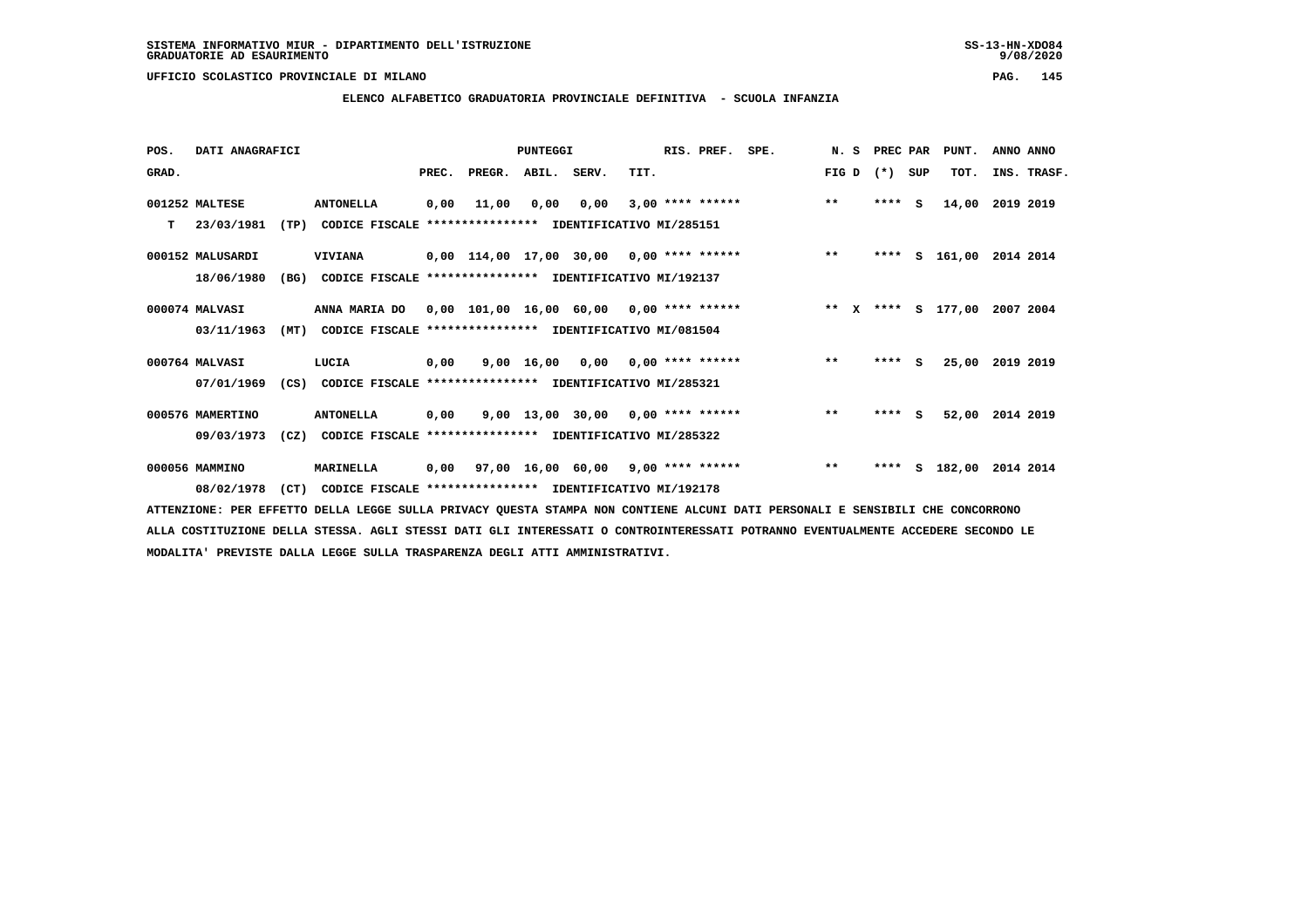## **ELENCO ALFABETICO GRADUATORIA PROVINCIALE DEFINITIVA - SCUOLA INFANZIA**

 **POS. DATI ANAGRAFICI PUNTEGGI RIS. PREF. SPE. N. S PREC PAR PUNT. ANNO ANNO**GRAD. **BRAD. PREC. PREGR. ABIL. SERV.** TIT. THE REGREATER FIG D (\*) SUP TOT. INS. TRASF.  **001252 MALTESE ANTONELLA 0,00 11,00 0,00 0,00 3,00 \*\*\*\* \*\*\*\*\*\* \*\* \*\*\*\* S 14,00 2019 2019 T 23/03/1981 (TP) CODICE FISCALE \*\*\*\*\*\*\*\*\*\*\*\*\*\*\*\* IDENTIFICATIVO MI/285151 000152 MALUSARDI VIVIANA 0,00 114,00 17,00 30,00 0,00 \*\*\*\* \*\*\*\*\*\* \*\* \*\*\*\* S 161,00 2014 2014 18/06/1980 (BG) CODICE FISCALE \*\*\*\*\*\*\*\*\*\*\*\*\*\*\*\* IDENTIFICATIVO MI/192137 000074 MALVASI ANNA MARIA DO 0,00 101,00 16,00 60,00 0,00 \*\*\*\* \*\*\*\*\*\* \*\* X \*\*\*\* S 177,00 2007 2004 03/11/1963 (MT) CODICE FISCALE \*\*\*\*\*\*\*\*\*\*\*\*\*\*\*\* IDENTIFICATIVO MI/081504 000764 MALVASI LUCIA 0,00 9,00 16,00 0,00 0,00 \*\*\*\* \*\*\*\*\*\* \*\* \*\*\*\* S 25,00 2019 2019 07/01/1969 (CS) CODICE FISCALE \*\*\*\*\*\*\*\*\*\*\*\*\*\*\*\* IDENTIFICATIVO MI/285321 000576 MAMERTINO ANTONELLA 0,00 9,00 13,00 30,00 0,00 \*\*\*\* \*\*\*\*\*\* \*\* \*\*\*\* S 52,00 2014 2019 09/03/1973 (CZ) CODICE FISCALE \*\*\*\*\*\*\*\*\*\*\*\*\*\*\*\* IDENTIFICATIVO MI/285322 000056 MAMMINO MARINELLA 0,00 97,00 16,00 60,00 9,00 \*\*\*\* \*\*\*\*\*\* \*\* \*\*\*\* S 182,00 2014 2014 08/02/1978 (CT) CODICE FISCALE \*\*\*\*\*\*\*\*\*\*\*\*\*\*\*\* IDENTIFICATIVO MI/192178**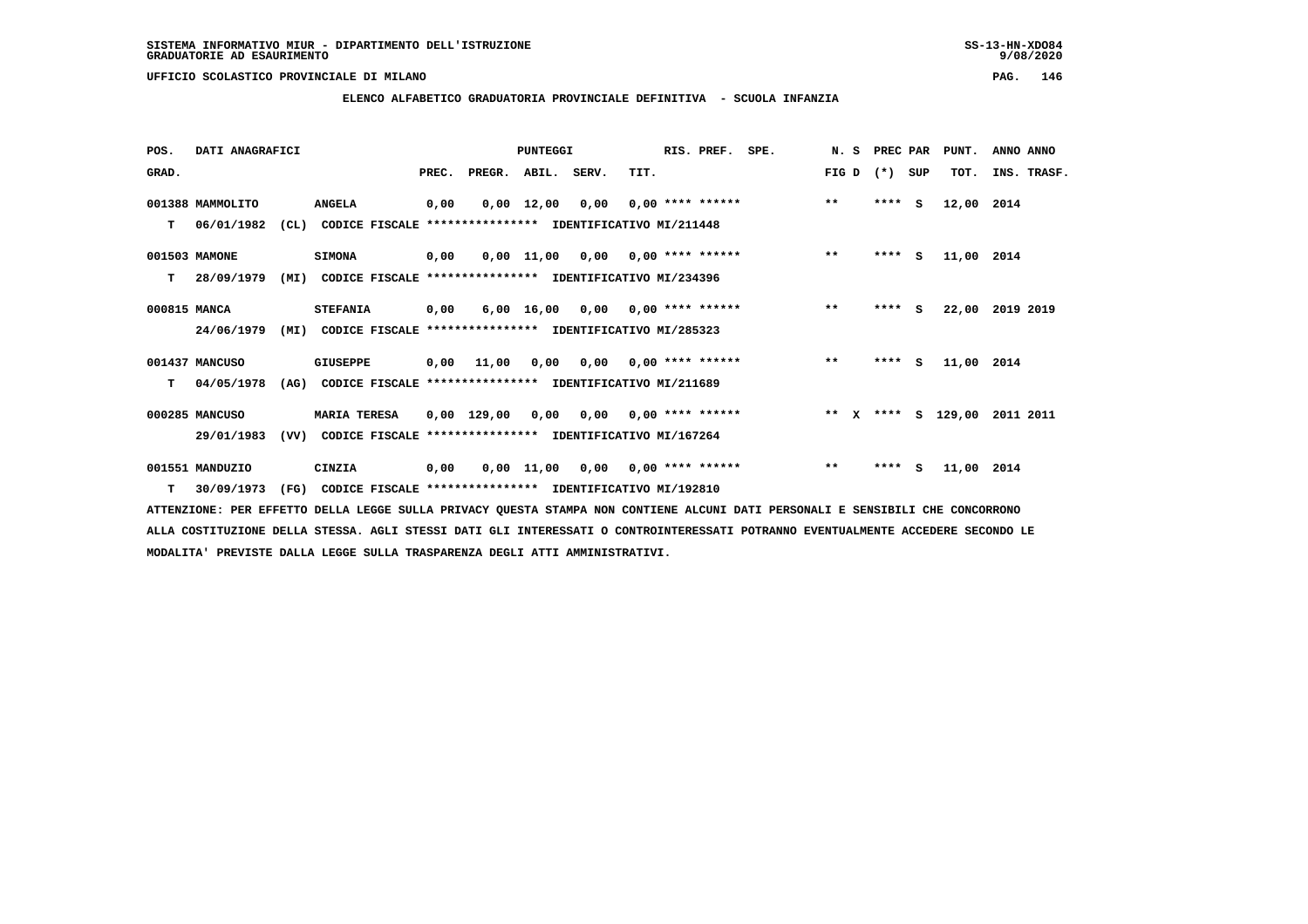**ELENCO ALFABETICO GRADUATORIA PROVINCIALE DEFINITIVA - SCUOLA INFANZIA**

| POS.         | DATI ANAGRAFICI  |      |                                                               |       |                                          | <b>PUNTEGGI</b>    |                                        |      | RIS. PREF.         | SPE. | N.S   | PREC PAR |     | PUNT.              | ANNO ANNO       |
|--------------|------------------|------|---------------------------------------------------------------|-------|------------------------------------------|--------------------|----------------------------------------|------|--------------------|------|-------|----------|-----|--------------------|-----------------|
| GRAD.        |                  |      |                                                               | PREC. | PREGR. ABIL. SERV.                       |                    |                                        | TIT. |                    |      | FIG D | $(*)$    | SUP | TOT.               | INS. TRASF.     |
|              | 001388 MAMMOLITO |      | <b>ANGELA</b>                                                 | 0,00  |                                          | $0,00 \quad 12,00$ | 0,00                                   |      | $0.00$ **** ****** |      | $***$ | $***$ S  |     | 12,00 2014         |                 |
| T.           | 06/01/1982       |      | (CL) CODICE FISCALE **************** IDENTIFICATIVO MI/211448 |       |                                          |                    |                                        |      |                    |      |       |          |     |                    |                 |
|              | 001503 MAMONE    |      | <b>SIMONA</b>                                                 | 0,00  |                                          |                    | $0,00$ 11,00 0,00 0,00 **** ******     |      |                    |      | $***$ | $***5$   |     | 11,00 2014         |                 |
| т            | 28/09/1979       | (MI) | CODICE FISCALE **************** IDENTIFICATIVO MI/234396      |       |                                          |                    |                                        |      |                    |      |       |          |     |                    |                 |
| 000815 MANCA |                  |      | <b>STEFANIA</b>                                               | 0,00  |                                          |                    | $6,00$ 16,00 0,00 0,00 **** ******     |      |                    |      | $***$ | ****     | - S |                    | 22,00 2019 2019 |
|              | 24/06/1979       | (MI) | CODICE FISCALE **************** IDENTIFICATIVO MI/285323      |       |                                          |                    |                                        |      |                    |      |       |          |     |                    |                 |
|              | 001437 MANCUSO   |      | GIUSEPPE                                                      | 0,00  | 11,00                                    |                    | $0.00$ $0.00$ $0.00$ $***$ **** ****** |      |                    |      | $***$ | **** S   |     | 11,00 2014         |                 |
| т            | 04/05/1978       | (AG) | CODICE FISCALE **************** IDENTIFICATIVO MI/211689      |       |                                          |                    |                                        |      |                    |      |       |          |     |                    |                 |
|              | 000285 MANCUSO   |      | <b>MARIA TERESA</b>                                           |       | $0,00$ 129,00 0,00 0,00 0,00 **** ****** |                    |                                        |      |                    |      |       |          |     | ** X **** S 129,00 | 2011 2011       |
|              | 29/01/1983       | (VV) | CODICE FISCALE **************** IDENTIFICATIVO MI/167264      |       |                                          |                    |                                        |      |                    |      |       |          |     |                    |                 |
|              | 001551 MANDUZIO  |      | CINZIA                                                        | 0,00  |                                          |                    | $0,00$ 11,00 0,00 0,00 **** ******     |      |                    |      | $***$ | $***$ S  |     | 11,00 2014         |                 |
| т            | 30/09/1973       | (FG) | CODICE FISCALE **************** IDENTIFICATIVO MI/192810      |       |                                          |                    |                                        |      |                    |      |       |          |     |                    |                 |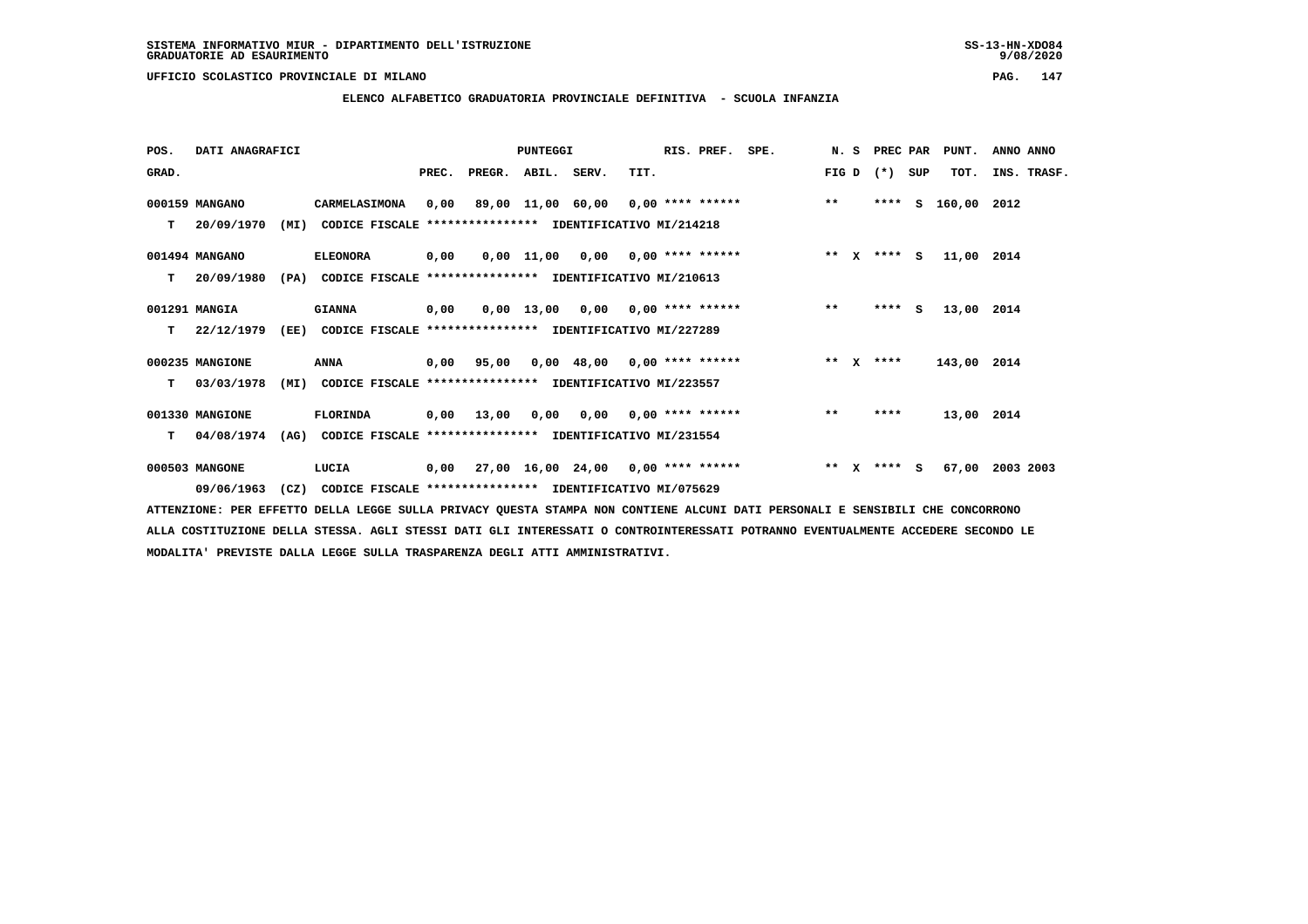**ELENCO ALFABETICO GRADUATORIA PROVINCIALE DEFINITIVA - SCUOLA INFANZIA**

| POS.  | DATI ANAGRAFICI    |                                                                  |       |                    | <b>PUNTEGGI</b> |                                           |                           | RIS. PREF. | SPE. | N.S     | PREC PAR    |     | PUNT.       | ANNO ANNO   |
|-------|--------------------|------------------------------------------------------------------|-------|--------------------|-----------------|-------------------------------------------|---------------------------|------------|------|---------|-------------|-----|-------------|-------------|
| GRAD. |                    |                                                                  | PREC. | PREGR. ABIL. SERV. |                 |                                           | TIT.                      |            |      | FIG D   | $(*)$       | SUP | TOT.        | INS. TRASF. |
|       | 000159 MANGANO     | CARMELASIMONA                                                    | 0,00  |                    |                 | 89,00 11,00 60,00 0,00 **** ******        |                           |            |      | $***$   | ****        | s   | 160,00      | 2012        |
| т     | 20/09/1970<br>(MI) | CODICE FISCALE **************** IDENTIFICATIVO MI/214218         |       |                    |                 |                                           |                           |            |      |         |             |     |             |             |
|       | 001494 MANGANO     | <b>ELEONORA</b>                                                  | 0,00  |                    |                 | $0,00$ 11,00 0,00 0,00 **** ******        |                           |            |      |         | ** x **** S |     | 11,00 2014  |             |
| т     | 20/09/1980<br>(PA) | CODICE FISCALE                                                   |       |                    |                 | **************** IDENTIFICATIVO MI/210613 |                           |            |      |         |             |     |             |             |
|       | 001291 MANGIA      | <b>GIANNA</b>                                                    | 0,00  |                    | 0,00 13,00      |                                           | $0,00$ $0,00$ **** ****** |            |      | $***$   | ****        | s   | 13,00 2014  |             |
| т     | 22/12/1979<br>(EE) | CODICE FISCALE **************** IDENTIFICATIVO MI/227289         |       |                    |                 |                                           |                           |            |      |         |             |     |             |             |
|       | 000235 MANGIONE    | ANNA                                                             | 0,00  | 95,00              |                 | $0,00$ 48,00 0,00 **** ******             |                           |            |      | ** $X$  | ****        |     | 143,00 2014 |             |
| т     | 03/03/1978<br>(MI) | CODICE FISCALE **************** IDENTIFICATIVO MI/223557         |       |                    |                 |                                           |                           |            |      |         |             |     |             |             |
|       | 001330 MANGIONE    | FLORINDA                                                         |       | $0,00$ 13,00       |                 | $0,00$ $0,00$ $0,00$ $***$ **** ******    |                           |            |      | $***$   | ****        |     | 13,00 2014  |             |
| т     | 04/08/1974<br>(AG) | CODICE FISCALE **************** IDENTIFICATIVO MI/231554         |       |                    |                 |                                           |                           |            |      |         |             |     |             |             |
|       | 000503 MANGONE     | LUCIA                                                            | 0,00  |                    |                 | $27,00$ 16,00 24,00 0,00 **** ******      |                           |            |      | $***$ X | $***$ S     |     | 67,00       | 2003 2003   |
|       | 09/06/1963         | (CZ)<br>CODICE FISCALE **************** IDENTIFICATIVO MI/075629 |       |                    |                 |                                           |                           |            |      |         |             |     |             |             |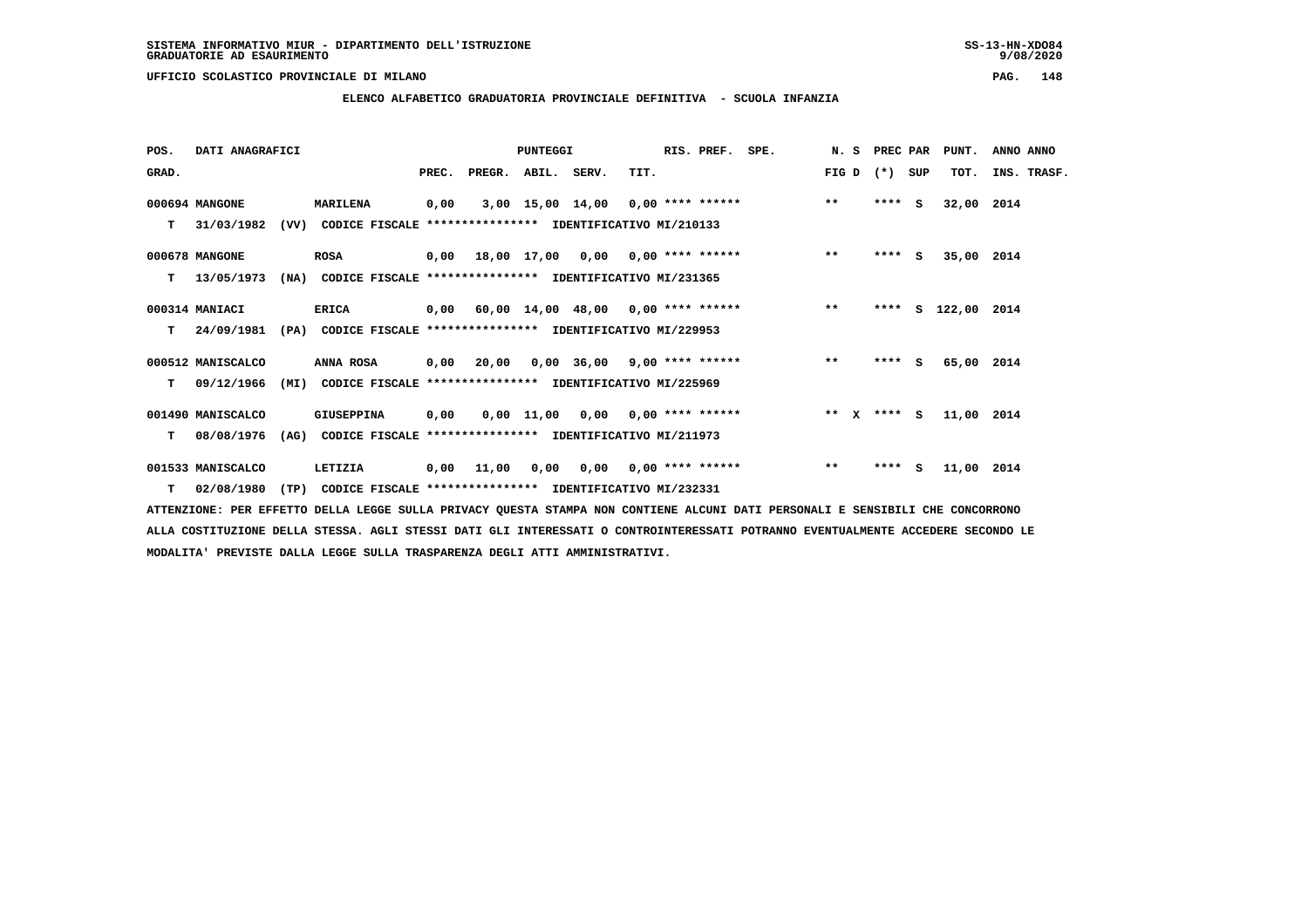**ELENCO ALFABETICO GRADUATORIA PROVINCIALE DEFINITIVA - SCUOLA INFANZIA**

| POS.  | DATI ANAGRAFICI   |      |                                                               |       |                                           | PUNTEGGI |                               | RIS. PREF. SPE. |                                    |       | N. S PREC PAR |     | PUNT.              | ANNO ANNO   |  |
|-------|-------------------|------|---------------------------------------------------------------|-------|-------------------------------------------|----------|-------------------------------|-----------------|------------------------------------|-------|---------------|-----|--------------------|-------------|--|
| GRAD. |                   |      |                                                               | PREC. | PREGR. ABIL. SERV.                        |          | TIT.                          |                 |                                    | FIG D | $(* )$        | SUP | TOT.               | INS. TRASF. |  |
|       | 000694 MANGONE    |      | <b>MARILENA</b>                                               | 0,00  |                                           |          |                               |                 | 3,00 15,00 14,00 0,00 **** ******  | $***$ | $***$ S       |     | 32,00 2014         |             |  |
| т     | 31/03/1982        | (VV) | CODICE FISCALE **************** IDENTIFICATIVO MI/210133      |       |                                           |          |                               |                 |                                    |       |               |     |                    |             |  |
|       | 000678 MANGONE    |      | ROSA                                                          |       | $0,00$ 18,00 17,00 0,00 0,00 **** ******  |          |                               |                 |                                    | $***$ | $***$ S       |     | 35,00 2014         |             |  |
| т     | 13/05/1973        | (NA) | CODICE FISCALE **************** IDENTIFICATIVO MI/231365      |       |                                           |          |                               |                 |                                    |       |               |     |                    |             |  |
|       | 000314 MANIACI    |      | <b>ERICA</b>                                                  |       | $0,00$ 60,00 14,00 48,00 0,00 **** ****** |          |                               |                 |                                    | $***$ |               |     | **** S 122,00 2014 |             |  |
| T.    | 24/09/1981        |      | (PA) CODICE FISCALE **************** IDENTIFICATIVO MI/229953 |       |                                           |          |                               |                 |                                    |       |               |     |                    |             |  |
|       | 000512 MANISCALCO |      | ANNA ROSA                                                     | 0,00  | 20,00                                     |          | $0,00$ 36,00 9,00 **** ****** |                 |                                    | $***$ | $***$ S       |     | 65,00 2014         |             |  |
| T.    | 09/12/1966        |      | (MI) CODICE FISCALE **************** IDENTIFICATIVO MI/225969 |       |                                           |          |                               |                 |                                    |       |               |     |                    |             |  |
|       | 001490 MANISCALCO |      | GIUSEPPINA                                                    | 0,00  |                                           |          |                               |                 | $0,00$ 11,00 0,00 0,00 **** ****** |       | ** x **** S   |     | 11,00 2014         |             |  |
| т     | 08/08/1976        | (AG) | CODICE FISCALE **************** IDENTIFICATIVO MI/211973      |       |                                           |          |                               |                 |                                    |       |               |     |                    |             |  |
|       | 001533 MANISCALCO |      | LETIZIA                                                       | 0,00  | 11,00                                     | 0,00     | $0,00$ $0,00$ **** ******     |                 |                                    | $***$ | $***$ S       |     | 11,00 2014         |             |  |
|       | $T = 02/08/1980$  |      | (TP) CODICE FISCALE **************** IDENTIFICATIVO MI/232331 |       |                                           |          |                               |                 |                                    |       |               |     |                    |             |  |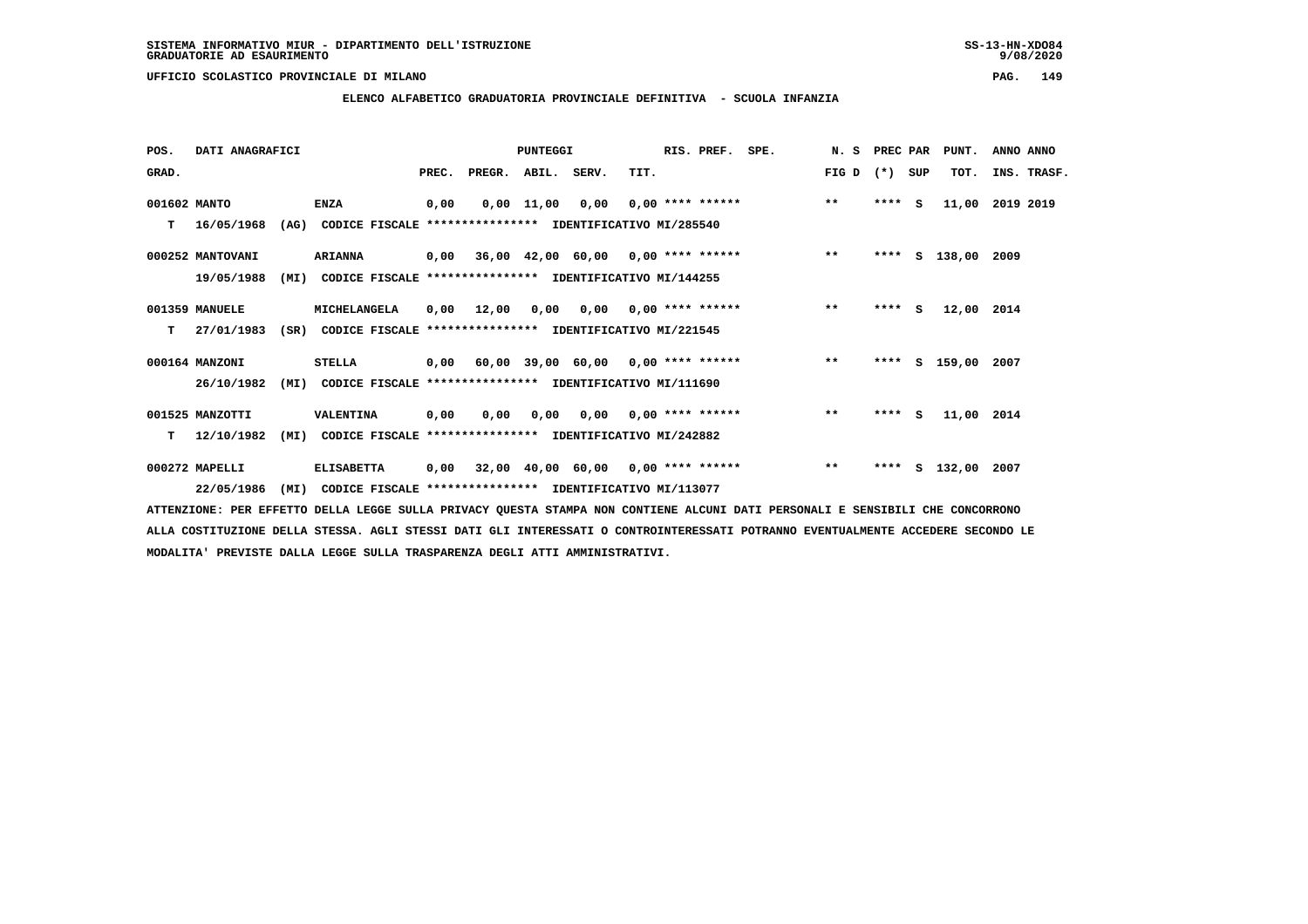**ELENCO ALFABETICO GRADUATORIA PROVINCIALE DEFINITIVA - SCUOLA INFANZIA**

| POS.         | DATI ANAGRAFICI  |      |                                                               |       |                    | <b>PUNTEGGI</b>    |                                           |      | RIS. PREF.                | SPE.                               | N. S  | PREC PAR |          | PUNT.         | ANNO ANNO |             |
|--------------|------------------|------|---------------------------------------------------------------|-------|--------------------|--------------------|-------------------------------------------|------|---------------------------|------------------------------------|-------|----------|----------|---------------|-----------|-------------|
| GRAD.        |                  |      |                                                               | PREC. | PREGR. ABIL. SERV. |                    |                                           | TIT. |                           |                                    | FIG D | (*) SUP  |          | TOT.          |           | INS. TRASF. |
| 001602 MANTO |                  |      | <b>ENZA</b>                                                   | 0,00  |                    | $0,00 \quad 11,00$ | 0,00                                      |      | $0.00$ **** ******        |                                    | $***$ | $***$ S  |          | 11,00         | 2019 2019 |             |
| T.           | 16/05/1968       |      | (AG) CODICE FISCALE **************** IDENTIFICATIVO MI/285540 |       |                    |                    |                                           |      |                           |                                    |       |          |          |               |           |             |
|              | 000252 MANTOVANI |      | <b>ARIANNA</b>                                                |       |                    |                    | $0,00$ 36,00 42,00 60,00 0,00 **** ****** |      |                           |                                    | $***$ |          |          | **** S 138,00 | 2009      |             |
|              | 19/05/1988       | (MI) | CODICE FISCALE **************** IDENTIFICATIVO MI/144255      |       |                    |                    |                                           |      |                           |                                    |       |          |          |               |           |             |
|              | 001359 MANUELE   |      | MICHELANGELA                                                  | 0,00  | 12,00              | 0,00               |                                           |      | $0,00$ $0,00$ **** ****** |                                    | $* *$ | ****     | <b>S</b> | 12,00 2014    |           |             |
| т            | 27/01/1983       | (SR) | CODICE FISCALE **************** IDENTIFICATIVO MI/221545      |       |                    |                    |                                           |      |                           |                                    |       |          |          |               |           |             |
|              | 000164 MANZONI   |      | <b>STELLA</b>                                                 | 0,00  |                    |                    |                                           |      |                           | 60,00 39,00 60,00 0,00 **** ****** | $***$ | ****     |          | S 159,00      | 2007      |             |
|              | 26/10/1982       | (MI) | CODICE FISCALE **************** IDENTIFICATIVO MI/111690      |       |                    |                    |                                           |      |                           |                                    |       |          |          |               |           |             |
|              | 001525 MANZOTTI  |      | VALENTINA                                                     | 0,00  | 0,00               |                    | $0,00$ $0,00$ $0,00$ $***$ **** ******    |      |                           |                                    | $**$  | $***$ S  |          | 11,00 2014    |           |             |
| т            | 12/10/1982       | (MI) | CODICE FISCALE **************** IDENTIFICATIVO MI/242882      |       |                    |                    |                                           |      |                           |                                    |       |          |          |               |           |             |
|              | 000272 MAPELLI   |      | <b>ELISABETTA</b>                                             | 0,00  |                    |                    | $32,00$ 40,00 60,00 0,00 **** ******      |      |                           |                                    | $***$ | ****     |          | S 132,00      | 2007      |             |
|              | 22/05/1986       | (MI) | CODICE FISCALE **************** IDENTIFICATIVO MI/113077      |       |                    |                    |                                           |      |                           |                                    |       |          |          |               |           |             |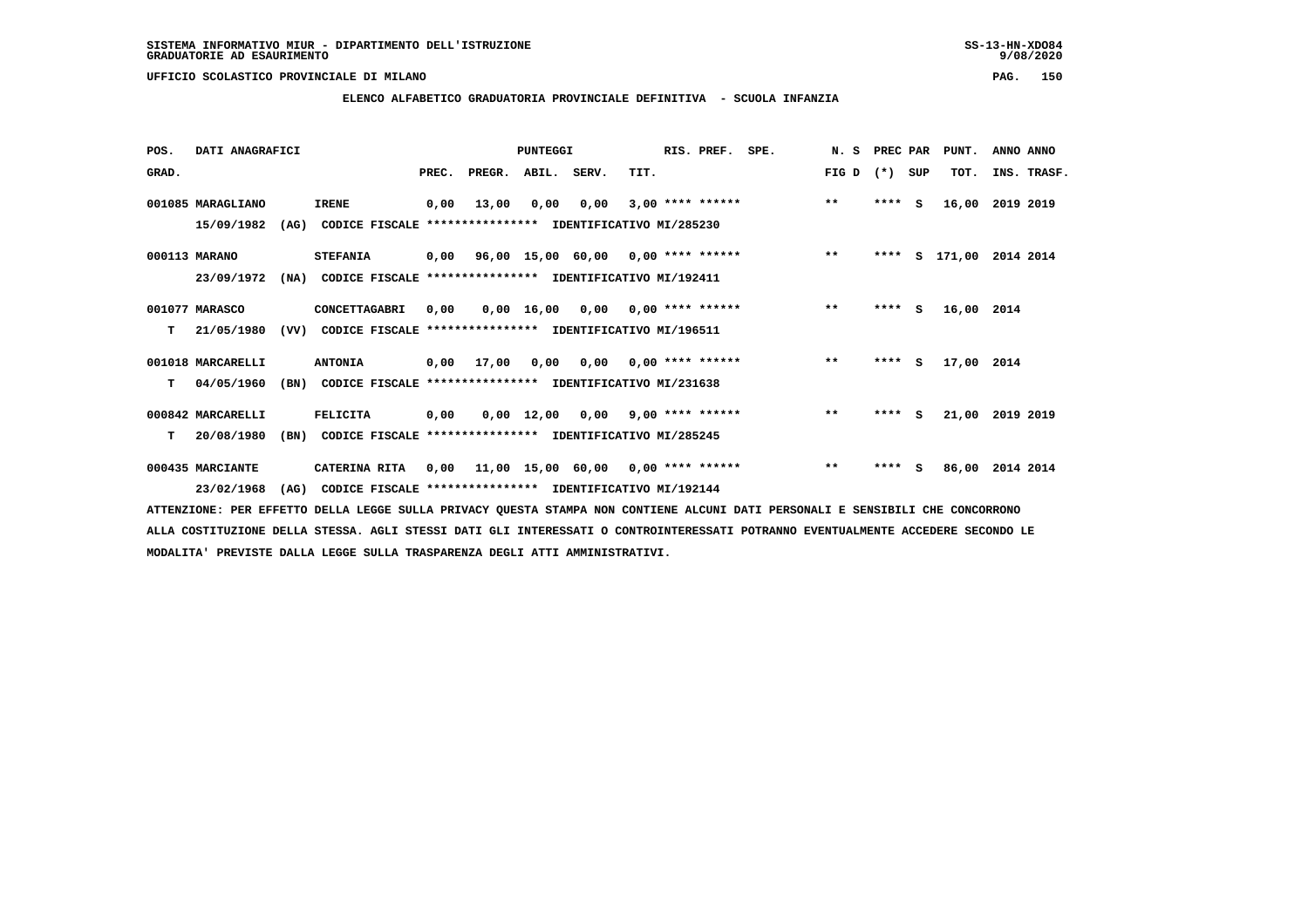**ELENCO ALFABETICO GRADUATORIA PROVINCIALE DEFINITIVA - SCUOLA INFANZIA**

 **POS. DATI ANAGRAFICI PUNTEGGI RIS. PREF. SPE. N. S PREC PAR PUNT. ANNO ANNO**GRAD. **PREGRADE SERVEGER. ABIL. SERV. TIT.** FIG D (\*) SUP TOT. INS. TRASF.  **001085 MARAGLIANO IRENE 0,00 13,00 0,00 0,00 3,00 \*\*\*\* \*\*\*\*\*\* \*\* \*\*\*\* S 16,00 2019 2019 15/09/1982 (AG) CODICE FISCALE \*\*\*\*\*\*\*\*\*\*\*\*\*\*\*\* IDENTIFICATIVO MI/285230 000113 MARANO STEFANIA 0,00 96,00 15,00 60,00 0,00 \*\*\*\* \*\*\*\*\*\* \*\* \*\*\*\* S 171,00 2014 2014 23/09/1972 (NA) CODICE FISCALE \*\*\*\*\*\*\*\*\*\*\*\*\*\*\*\* IDENTIFICATIVO MI/192411 001077 MARASCO CONCETTAGABRI 0,00 0,00 16,00 0,00 0,00 \*\*\*\* \*\*\*\*\*\* \*\* \*\*\*\* S 16,00 2014 T 21/05/1980 (VV) CODICE FISCALE \*\*\*\*\*\*\*\*\*\*\*\*\*\*\*\* IDENTIFICATIVO MI/196511 001018 MARCARELLI ANTONIA 0,00 17,00 0,00 0,00 0,00 \*\*\*\* \*\*\*\*\*\* \*\* \*\*\*\* S 17,00 2014 T 04/05/1960 (BN) CODICE FISCALE \*\*\*\*\*\*\*\*\*\*\*\*\*\*\*\* IDENTIFICATIVO MI/231638 000842 MARCARELLI FELICITA 0,00 0,00 12,00 0,00 9,00 \*\*\*\* \*\*\*\*\*\* \*\* \*\*\*\* S 21,00 2019 2019 T 20/08/1980 (BN) CODICE FISCALE \*\*\*\*\*\*\*\*\*\*\*\*\*\*\*\* IDENTIFICATIVO MI/285245 000435 MARCIANTE CATERINA RITA 0,00 11,00 15,00 60,00 0,00 \*\*\*\* \*\*\*\*\*\* \*\* \*\*\*\* S 86,00 2014 2014 23/02/1968 (AG) CODICE FISCALE \*\*\*\*\*\*\*\*\*\*\*\*\*\*\*\* IDENTIFICATIVO MI/192144**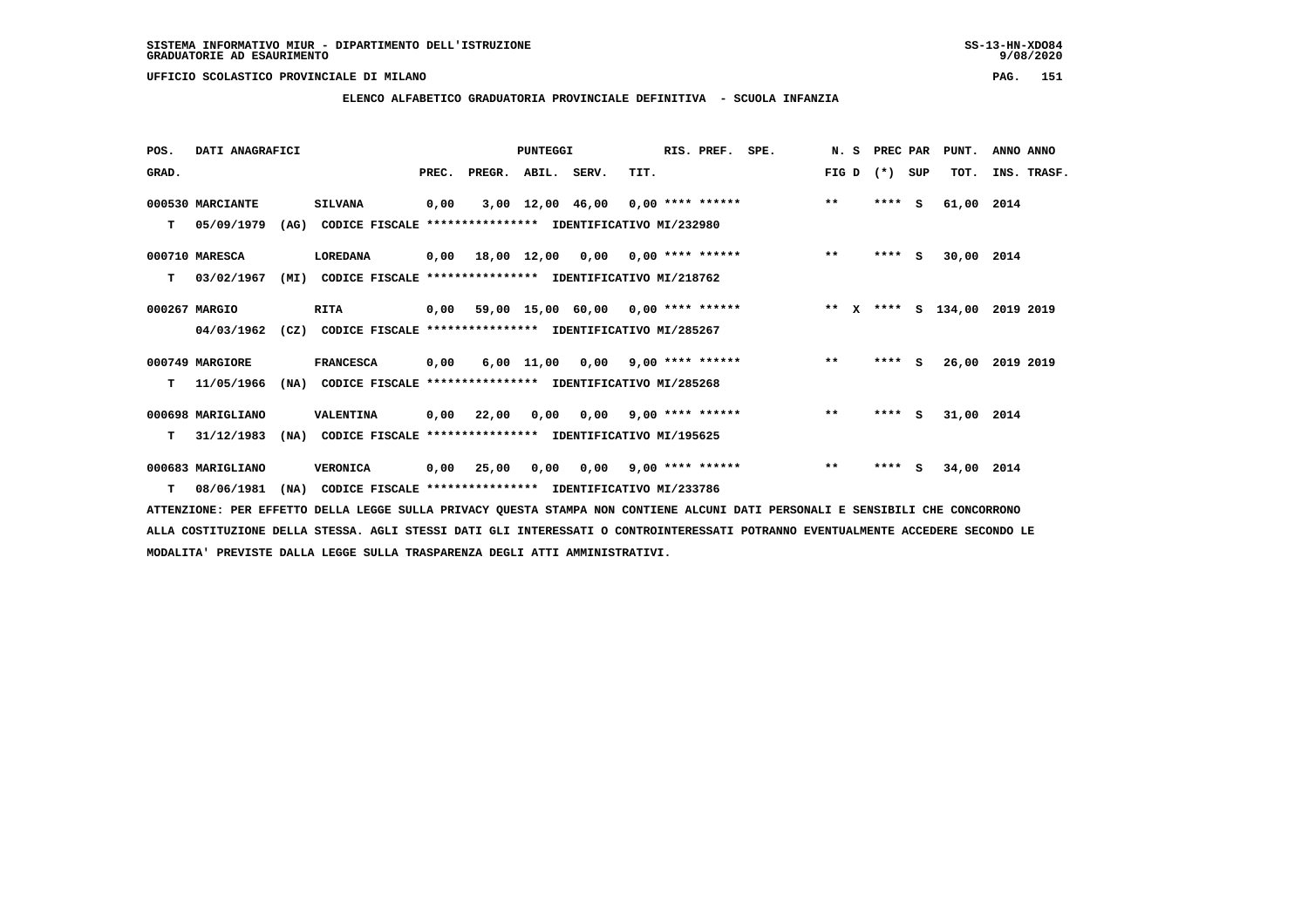**ELENCO ALFABETICO GRADUATORIA PROVINCIALE DEFINITIVA - SCUOLA INFANZIA**

| POS.  | DATI ANAGRAFICI   |      |                                                               |       |                    | <b>PUNTEGGI</b> |                                           |      | RIS. PREF.         | SPE. |        | N. S PREC PAR |     | PUNT.      | ANNO ANNO   |  |
|-------|-------------------|------|---------------------------------------------------------------|-------|--------------------|-----------------|-------------------------------------------|------|--------------------|------|--------|---------------|-----|------------|-------------|--|
| GRAD. |                   |      |                                                               | PREC. | PREGR. ABIL. SERV. |                 |                                           | TIT. |                    |      | FIG D  | $(* )$        | SUP | TOT.       | INS. TRASF. |  |
|       | 000530 MARCIANTE  |      | <b>SILVANA</b>                                                | 0,00  |                    |                 | 3,00 12,00 46,00 0,00 **** ******         |      |                    |      | $***$  | $***$ S       |     | 61,00      | 2014        |  |
| т     | 05/09/1979        | (AG) | CODICE FISCALE **************** IDENTIFICATIVO MI/232980      |       |                    |                 |                                           |      |                    |      |        |               |     |            |             |  |
|       | 000710 MARESCA    |      | LOREDANA                                                      |       |                    |                 | $0,00$ 18,00 12,00 0,00 0,00 **** ******  |      |                    |      | $***$  | $***$ S       |     | 30,00 2014 |             |  |
| т     | 03/02/1967        | (MI) | CODICE FISCALE **************** IDENTIFICATIVO MI/218762      |       |                    |                 |                                           |      |                    |      |        |               |     |            |             |  |
|       | 000267 MARGIO     |      | <b>RITA</b>                                                   |       |                    |                 | $0,00$ 59,00 15,00 60,00 0,00 **** ****** |      |                    |      | ** $X$ | ****          |     | S 134,00   | 2019 2019   |  |
|       | 04/03/1962        |      | (CZ) CODICE FISCALE **************** IDENTIFICATIVO MI/285267 |       |                    |                 |                                           |      |                    |      |        |               |     |            |             |  |
|       | 000749 MARGIORE   |      | <b>FRANCESCA</b>                                              | 0,00  |                    |                 | $6,00$ 11,00 0,00 9,00 **** ******        |      |                    |      | $***$  | **** S        |     | 26,00      | 2019 2019   |  |
| т     | 11/05/1966        | (NA) | CODICE FISCALE **************** IDENTIFICATIVO MI/285268      |       |                    |                 |                                           |      |                    |      |        |               |     |            |             |  |
|       | 000698 MARIGLIANO |      | VALENTINA                                                     |       | $0,00$ 22,00       |                 | $0,00$ $0,00$ $9,00$ **** ******          |      |                    |      | $***$  | $***$ S       |     | 31,00 2014 |             |  |
| т     | 31/12/1983        | (NA) | CODICE FISCALE **************** IDENTIFICATIVO MI/195625      |       |                    |                 |                                           |      |                    |      |        |               |     |            |             |  |
|       | 000683 MARIGLIANO |      | VERONICA                                                      | 0,00  | 25,00              | 0,00            | 0,00                                      |      | $9,00$ **** ****** |      | $***$  | $***$ S       |     | 34,00 2014 |             |  |
|       | $T = 08/06/1981$  | (NA) | CODICE FISCALE **************** IDENTIFICATIVO MI/233786      |       |                    |                 |                                           |      |                    |      |        |               |     |            |             |  |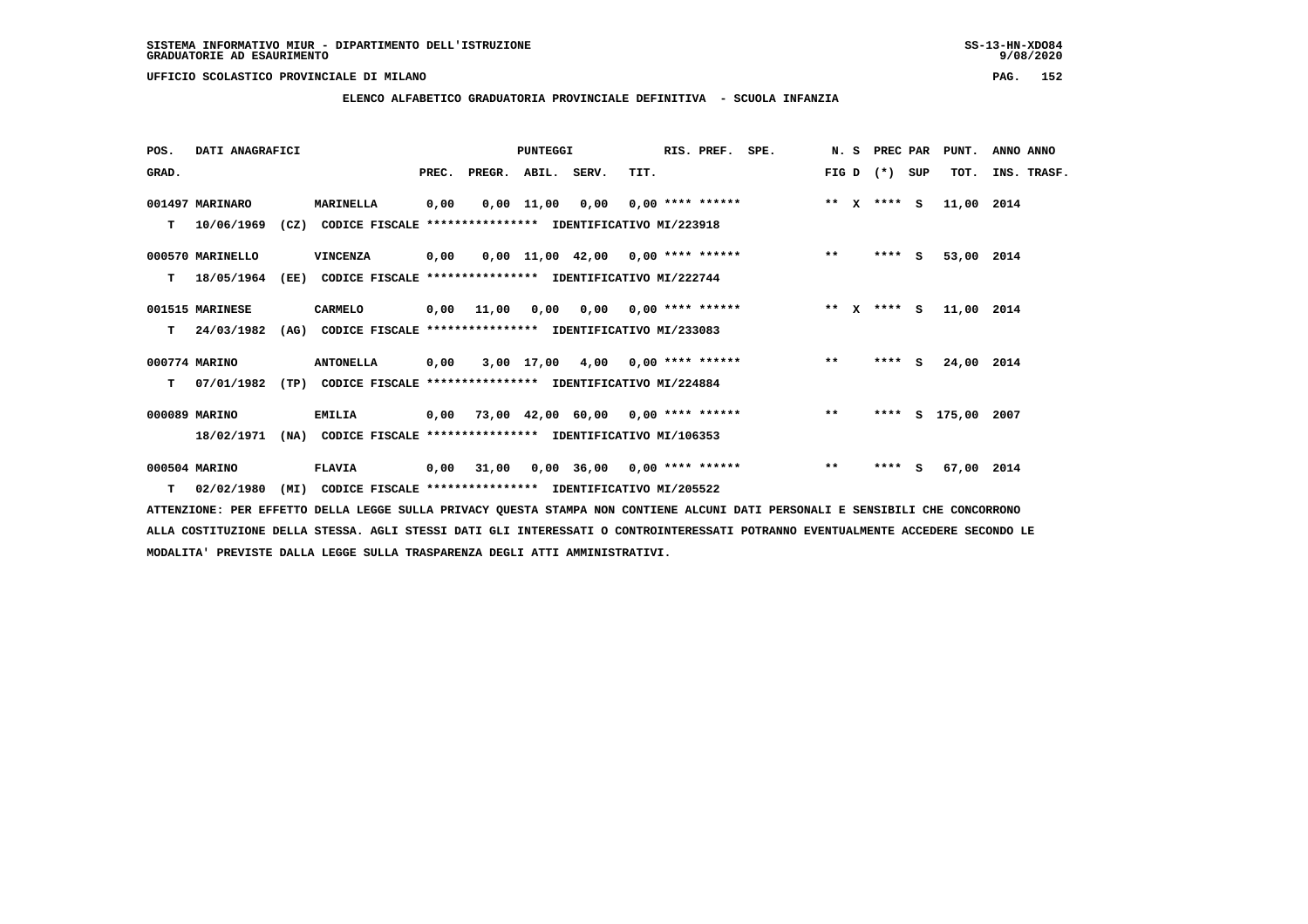**POS. DATI ANAGRAFICI PUNTEGGI RIS. PREF. SPE. N. S PREC PAR PUNT. ANNO ANNO**GRAD. **PREGRADE SERVEGER. ABIL. SERV. TIT.** FIG D (\*) SUP TOT. INS. TRASF.  **001497 MARINARO MARINELLA 0,00 0,00 11,00 0,00 0,00 \*\*\*\* \*\*\*\*\*\* \*\* X \*\*\*\* S 11,00 2014 T 10/06/1969 (CZ) CODICE FISCALE \*\*\*\*\*\*\*\*\*\*\*\*\*\*\*\* IDENTIFICATIVO MI/223918 000570 MARINELLO VINCENZA 0,00 0,00 11,00 42,00 0,00 \*\*\*\* \*\*\*\*\*\* \*\* \*\*\*\* S 53,00 2014 T 18/05/1964 (EE) CODICE FISCALE \*\*\*\*\*\*\*\*\*\*\*\*\*\*\*\* IDENTIFICATIVO MI/222744 001515 MARINESE CARMELO 0,00 11,00 0,00 0,00 0,00 \*\*\*\* \*\*\*\*\*\* \*\* X \*\*\*\* S 11,00 2014 T 24/03/1982 (AG) CODICE FISCALE \*\*\*\*\*\*\*\*\*\*\*\*\*\*\*\* IDENTIFICATIVO MI/233083 000774 MARINO ANTONELLA 0,00 3,00 17,00 4,00 0,00 \*\*\*\* \*\*\*\*\*\* \*\* \*\*\*\* S 24,00 2014 T 07/01/1982 (TP) CODICE FISCALE \*\*\*\*\*\*\*\*\*\*\*\*\*\*\*\* IDENTIFICATIVO MI/224884 000089 MARINO EMILIA 0,00 73,00 42,00 60,00 0,00 \*\*\*\* \*\*\*\*\*\* \*\* \*\*\*\* S 175,00 2007 18/02/1971 (NA) CODICE FISCALE \*\*\*\*\*\*\*\*\*\*\*\*\*\*\*\* IDENTIFICATIVO MI/106353 000504 MARINO FLAVIA 0,00 31,00 0,00 36,00 0,00 \*\*\*\* \*\*\*\*\*\* \*\* \*\*\*\* S 67,00 2014**

 **T 02/02/1980 (MI) CODICE FISCALE \*\*\*\*\*\*\*\*\*\*\*\*\*\*\*\* IDENTIFICATIVO MI/205522**

 **ATTENZIONE: PER EFFETTO DELLA LEGGE SULLA PRIVACY QUESTA STAMPA NON CONTIENE ALCUNI DATI PERSONALI E SENSIBILI CHE CONCORRONO ALLA COSTITUZIONE DELLA STESSA. AGLI STESSI DATI GLI INTERESSATI O CONTROINTERESSATI POTRANNO EVENTUALMENTE ACCEDERE SECONDO LE MODALITA' PREVISTE DALLA LEGGE SULLA TRASPARENZA DEGLI ATTI AMMINISTRATIVI.**

# **ELENCO ALFABETICO GRADUATORIA PROVINCIALE DEFINITIVA - SCUOLA INFANZIA**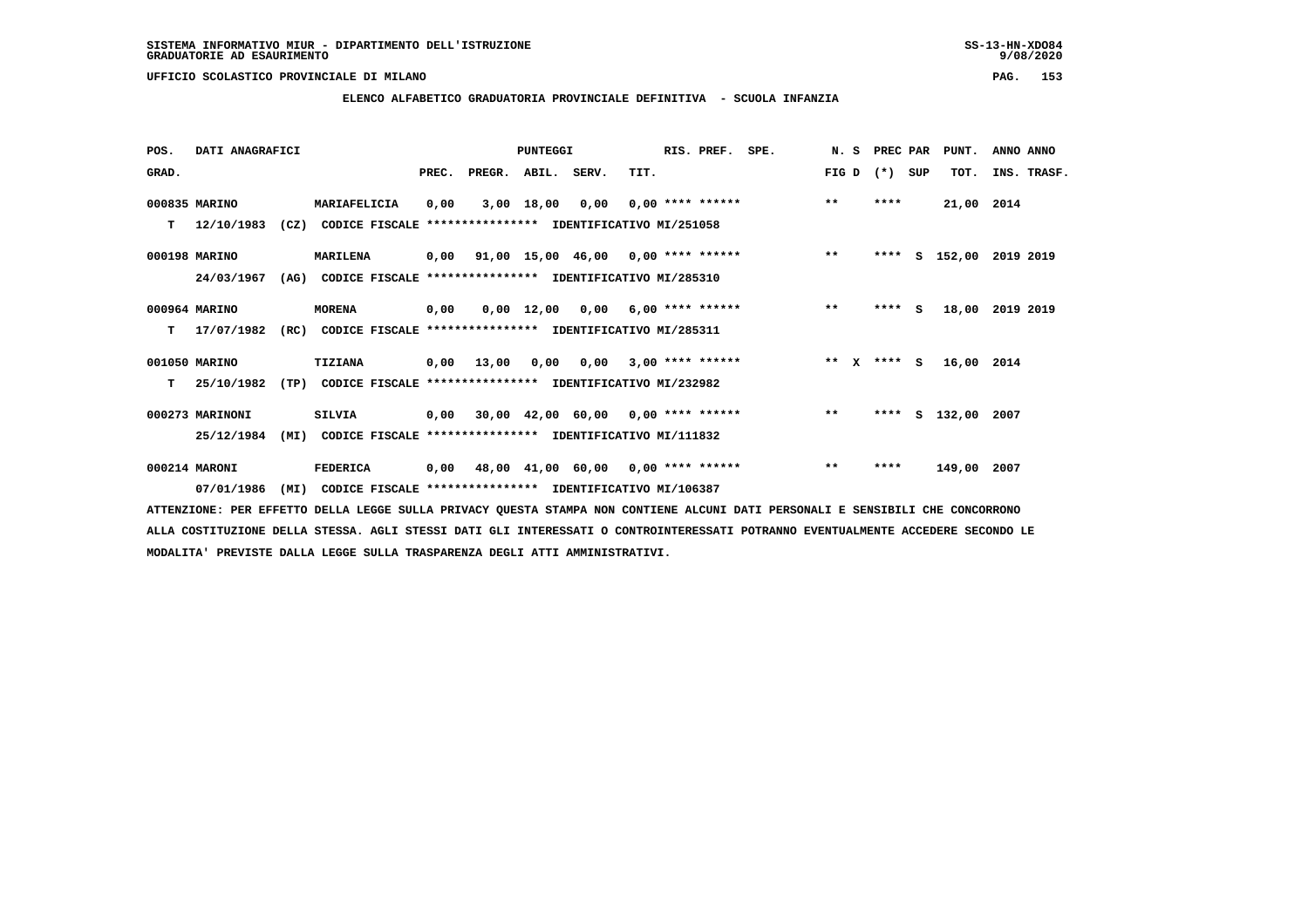**ELENCO ALFABETICO GRADUATORIA PROVINCIALE DEFINITIVA - SCUOLA INFANZIA**

| POS.  | DATI ANAGRAFICI |      |                                                               |       |        | PUNTEGGI    |                                           |                         | RIS. PREF.         | SPE. | N.S         |         | PREC PAR | PUNT.         | ANNO ANNO   |  |
|-------|-----------------|------|---------------------------------------------------------------|-------|--------|-------------|-------------------------------------------|-------------------------|--------------------|------|-------------|---------|----------|---------------|-------------|--|
| GRAD. |                 |      |                                                               | PREC. | PREGR. | ABIL. SERV. |                                           | TIT.                    |                    |      | FIG D       | $(*)$   | SUP      | TOT.          | INS. TRASF. |  |
|       | 000835 MARINO   |      | MARIAFELICIA                                                  | 0,00  |        | 3,00 18,00  | 0,00                                      |                         | $0,00$ **** ****** |      | $***$       | ****    |          | 21,00 2014    |             |  |
| т     | 12/10/1983      |      | (CZ) CODICE FISCALE **************** IDENTIFICATIVO MI/251058 |       |        |             |                                           |                         |                    |      |             |         |          |               |             |  |
|       | 000198 MARINO   |      | <b>MARILENA</b>                                               |       |        |             | 0,00 91,00 15,00 46,00 0,00 **** ******   |                         |                    |      | $***$       | ****    |          | s 152,00      | 2019 2019   |  |
|       | 24/03/1967      | (AG) | CODICE FISCALE **************** IDENTIFICATIVO MI/285310      |       |        |             |                                           |                         |                    |      |             |         |          |               |             |  |
|       | 000964 MARINO   |      | <b>MORENA</b>                                                 | 0,00  |        |             | $0,00$ 12,00 0,00 6,00 **** ******        |                         |                    |      | $***$       | $***$ S |          | 18,00         | 2019 2019   |  |
| т     | 17/07/1982      | (RC) | CODICE FISCALE **************** IDENTIFICATIVO MI/285311      |       |        |             |                                           |                         |                    |      |             |         |          |               |             |  |
|       | 001050 MARINO   |      | TIZIANA                                                       | 0,00  | 13,00  | 0,00        |                                           | $0,00$ 3,00 **** ****** |                    |      | ** X **** S |         |          | 16,00 2014    |             |  |
| т     | 25/10/1982      | (TP) | CODICE FISCALE **************** IDENTIFICATIVO MI/232982      |       |        |             |                                           |                         |                    |      |             |         |          |               |             |  |
|       | 000273 MARINONI |      | <b>SILVIA</b>                                                 |       |        |             | $0,00$ 30,00 42,00 60,00 0,00 **** ****** |                         |                    |      | $***$       |         |          | **** S 132,00 | 2007        |  |
|       | 25/12/1984      | (MI) | CODICE FISCALE **************** IDENTIFICATIVO MI/111832      |       |        |             |                                           |                         |                    |      |             |         |          |               |             |  |
|       | 000214 MARONI   |      | <b>FEDERICA</b>                                               | 0,00  |        |             | 48,00 41,00 60,00 0,00 **** ******        |                         |                    |      | $***$       | ****    |          | 149,00 2007   |             |  |
|       | 07/01/1986      | (MI) | CODICE FISCALE **************** IDENTIFICATIVO MI/106387      |       |        |             |                                           |                         |                    |      |             |         |          |               |             |  |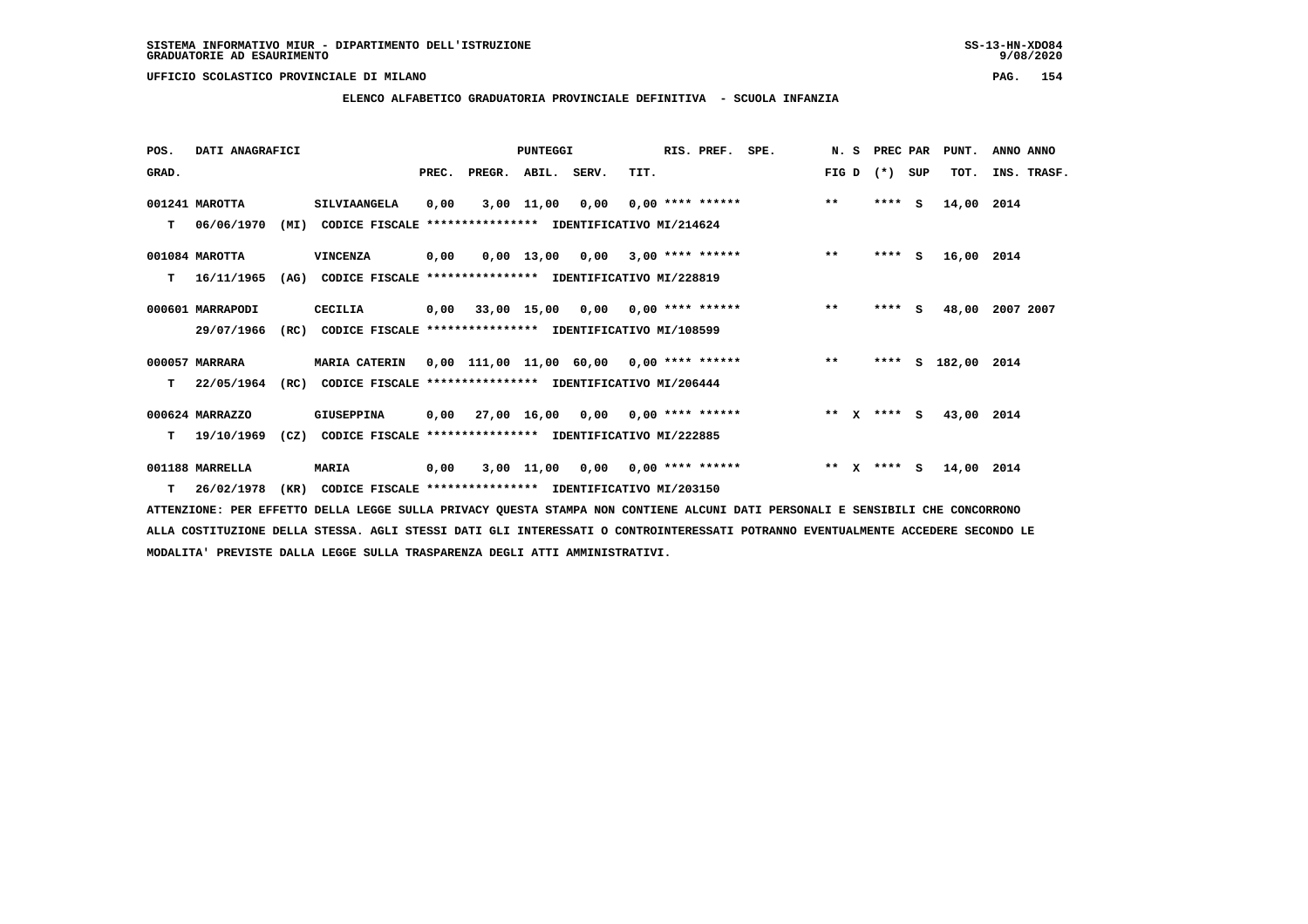**ELENCO ALFABETICO GRADUATORIA PROVINCIALE DEFINITIVA - SCUOLA INFANZIA**

| POS.  | DATI ANAGRAFICI  |      |                                                               |       |                                          | PUNTEGGI   |                                    |      | RIS. PREF.                | SPE.               | N.S   |              | PREC PAR    |     | PUNT.         | ANNO ANNO   |  |
|-------|------------------|------|---------------------------------------------------------------|-------|------------------------------------------|------------|------------------------------------|------|---------------------------|--------------------|-------|--------------|-------------|-----|---------------|-------------|--|
| GRAD. |                  |      |                                                               | PREC. | PREGR. ABIL. SERV.                       |            |                                    | TIT. |                           |                    | FIG D |              | $(* )$      | SUP | TOT.          | INS. TRASF. |  |
|       | 001241 MAROTTA   |      | SILVIAANGELA                                                  | 0,00  |                                          | 3,00 11,00 | 0,00                               |      |                           | $0,00$ **** ****** | $***$ |              | ****        | s   | 14,00 2014    |             |  |
| т     | 06/06/1970       | (MI) | CODICE FISCALE **************** IDENTIFICATIVO MI/214624      |       |                                          |            |                                    |      |                           |                    |       |              |             |     |               |             |  |
|       | 001084 MAROTTA   |      | VINCENZA                                                      | 0,00  |                                          |            | $0.00$ 13.00 0.00 3.00 **** ****** |      |                           |                    | $***$ |              | $***5$      |     | 16,00 2014    |             |  |
| т     | 16/11/1965       | (AG) | CODICE FISCALE **************** IDENTIFICATIVO MI/228819      |       |                                          |            |                                    |      |                           |                    |       |              |             |     |               |             |  |
|       | 000601 MARRAPODI |      | CECILIA                                                       |       | $0,00$ 33,00 15,00 0,00 0,00 **** ****** |            |                                    |      |                           |                    | $***$ |              | $***$ S     |     | 48,00         | 2007 2007   |  |
|       | 29/07/1966       | (RC) | CODICE FISCALE **************** IDENTIFICATIVO MI/108599      |       |                                          |            |                                    |      |                           |                    |       |              |             |     |               |             |  |
|       | 000057 MARRARA   |      | <b>MARIA CATERIN</b>                                          |       | 0,00 111,00 11,00 60,00 0,00 **** ****** |            |                                    |      |                           |                    | $***$ |              | ****        |     | S 182,00 2014 |             |  |
| т     | 22/05/1964       |      | (RC) CODICE FISCALE **************** IDENTIFICATIVO MI/206444 |       |                                          |            |                                    |      |                           |                    |       |              |             |     |               |             |  |
|       | 000624 MARRAZZO  |      | <b>GIUSEPPINA</b>                                             |       | $0,00$ 27,00 16,00 0,00 0,00 **** ****** |            |                                    |      |                           |                    |       |              | ** x **** S |     | 43,00 2014    |             |  |
| т     | 19/10/1969       | (CZ) | CODICE FISCALE **************** IDENTIFICATIVO MI/222885      |       |                                          |            |                                    |      |                           |                    |       |              |             |     |               |             |  |
|       | 001188 MARRELLA  |      | <b>MARIA</b>                                                  | 0,00  |                                          | 3,00 11,00 |                                    |      | $0,00$ $0,00$ **** ****** |                    | $* *$ | $\mathbf{x}$ | **** S      |     | 14,00 2014    |             |  |
|       | $T = 26/02/1978$ | (KR) | CODICE FISCALE **************** IDENTIFICATIVO MI/203150      |       |                                          |            |                                    |      |                           |                    |       |              |             |     |               |             |  |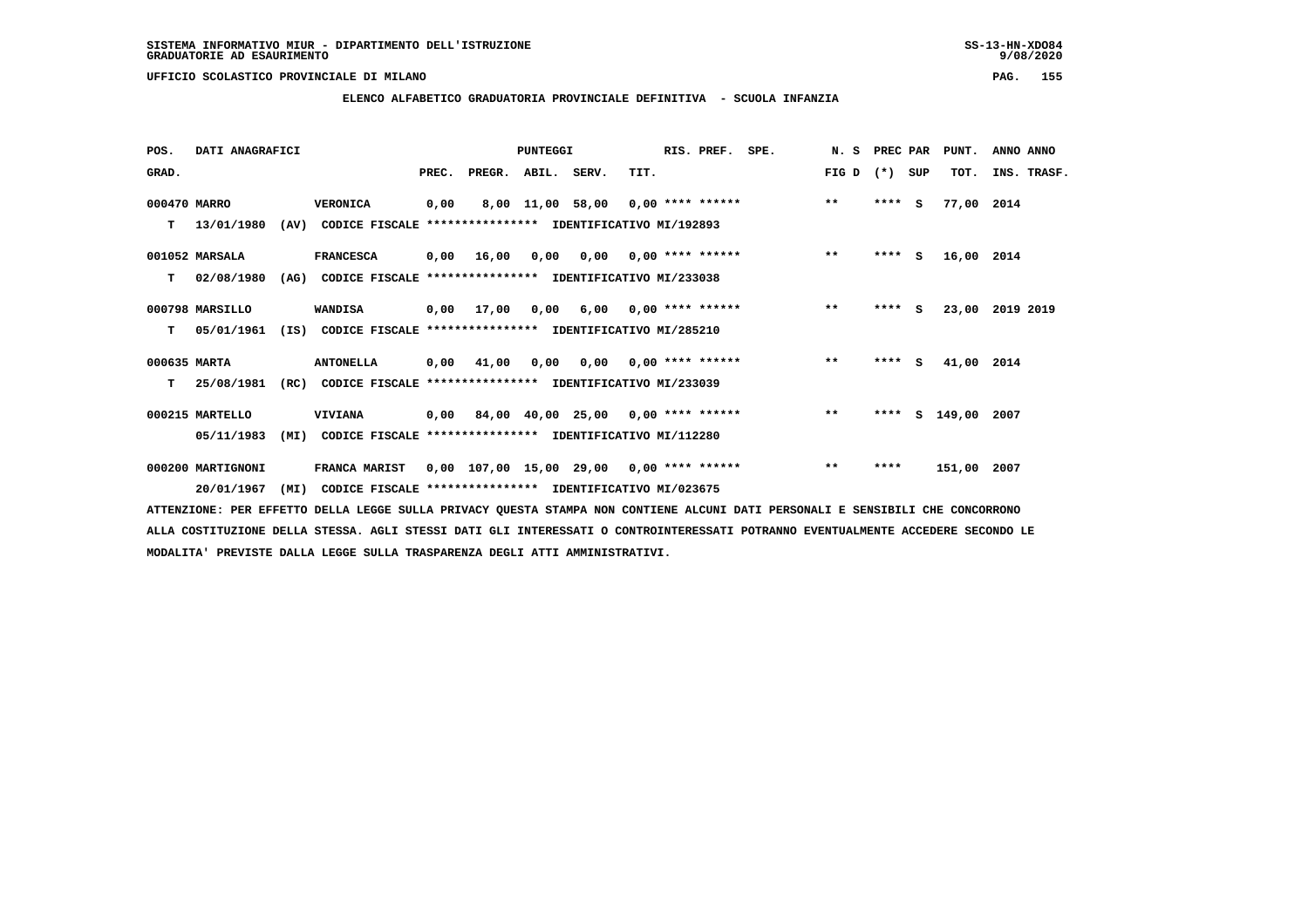**ELENCO ALFABETICO GRADUATORIA PROVINCIALE DEFINITIVA - SCUOLA INFANZIA**

 **POS. DATI ANAGRAFICI PUNTEGGI RIS. PREF. SPE. N. S PREC PAR PUNT. ANNO ANNO**GRAD. **BRAD. PREC. PREGR. ABIL. SERV.** TIT. THE REGREATER FIG D (\*) SUP TOT. INS. TRASF.  **000470 MARRO VERONICA 0,00 8,00 11,00 58,00 0,00 \*\*\*\* \*\*\*\*\*\* \*\* \*\*\*\* S 77,00 2014 T 13/01/1980 (AV) CODICE FISCALE \*\*\*\*\*\*\*\*\*\*\*\*\*\*\*\* IDENTIFICATIVO MI/192893 001052 MARSALA FRANCESCA 0,00 16,00 0,00 0,00 0,00 \*\*\*\* \*\*\*\*\*\* \*\* \*\*\*\* S 16,00 2014 T 02/08/1980 (AG) CODICE FISCALE \*\*\*\*\*\*\*\*\*\*\*\*\*\*\*\* IDENTIFICATIVO MI/233038 000798 MARSILLO WANDISA 0,00 17,00 0,00 6,00 0,00 \*\*\*\* \*\*\*\*\*\* \*\* \*\*\*\* S 23,00 2019 2019**

 **000635 MARTA ANTONELLA 0,00 41,00 0,00 0,00 0,00 \*\*\*\* \*\*\*\*\*\* \*\* \*\*\*\* S 41,00 2014**

 **T 25/08/1981 (RC) CODICE FISCALE \*\*\*\*\*\*\*\*\*\*\*\*\*\*\*\* IDENTIFICATIVO MI/233039**

 **T 05/01/1961 (IS) CODICE FISCALE \*\*\*\*\*\*\*\*\*\*\*\*\*\*\*\* IDENTIFICATIVO MI/285210**

 **000215 MARTELLO VIVIANA 0,00 84,00 40,00 25,00 0,00 \*\*\*\* \*\*\*\*\*\* \*\* \*\*\*\* S 149,00 2007 05/11/1983 (MI) CODICE FISCALE \*\*\*\*\*\*\*\*\*\*\*\*\*\*\*\* IDENTIFICATIVO MI/112280**

 **000200 MARTIGNONI FRANCA MARIST 0,00 107,00 15,00 29,00 0,00 \*\*\*\* \*\*\*\*\*\* \*\* \*\*\*\* 151,00 2007 20/01/1967 (MI) CODICE FISCALE \*\*\*\*\*\*\*\*\*\*\*\*\*\*\*\* IDENTIFICATIVO MI/023675**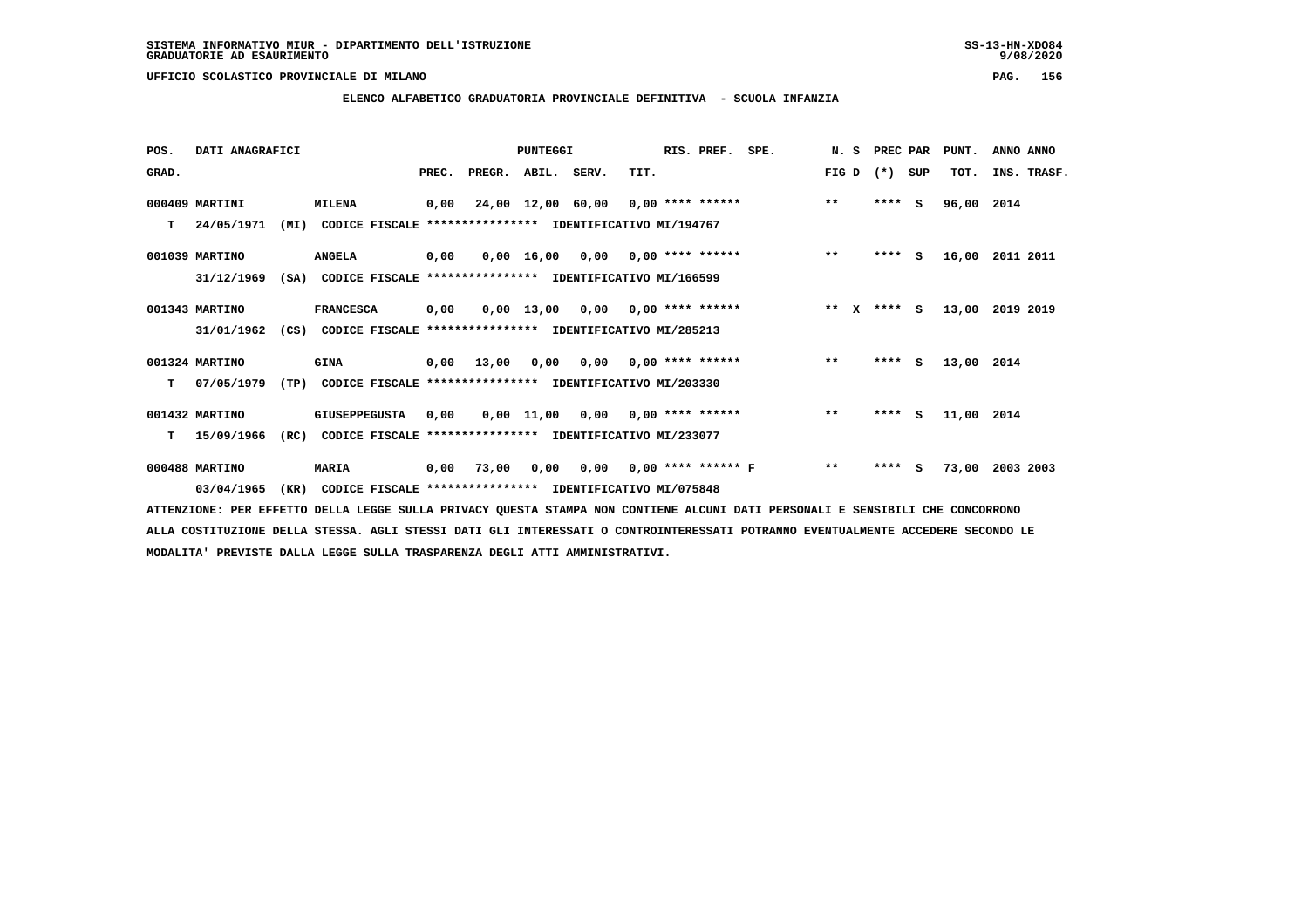$9/08/2020$ 

### **UFFICIO SCOLASTICO PROVINCIALE DI MILANO PAG. 156**

# **ELENCO ALFABETICO GRADUATORIA PROVINCIALE DEFINITIVA - SCUOLA INFANZIA**

| POS.  | DATI ANAGRAFICI |      |                                                               |       | PUNTEGGI           |            |                                        | RIS. PREF. | SPE.                      | N.S                          |                       | PREC PAR | PUNT.    | ANNO ANNO  |             |
|-------|-----------------|------|---------------------------------------------------------------|-------|--------------------|------------|----------------------------------------|------------|---------------------------|------------------------------|-----------------------|----------|----------|------------|-------------|
| GRAD. |                 |      |                                                               | PREC. | PREGR. ABIL. SERV. |            |                                        | TIT.       |                           |                              | FIG D                 | $(* )$   | SUP      | TOT.       | INS. TRASF. |
|       | 000409 MARTINI  |      | <b>MILENA</b>                                                 | 0,00  |                    |            | 24,00 12,00 60,00 0,00 **** ******     |            |                           |                              | $***$                 |          | $***5$   | 96,00      | 2014        |
| T.    | 24/05/1971      | (MI) | CODICE FISCALE **************** IDENTIFICATIVO MI/194767      |       |                    |            |                                        |            |                           |                              |                       |          |          |            |             |
|       | 001039 MARTINO  |      | <b>ANGELA</b>                                                 | 0,00  |                    |            | $0,00$ 16,00 0,00 0,00 **** ******     |            |                           |                              | $***$                 |          | $***$ S  | 16,00      | 2011 2011   |
|       | 31/12/1969      | (SA) | CODICE FISCALE **************** IDENTIFICATIVO MI/166599      |       |                    |            |                                        |            |                           |                              |                       |          |          |            |             |
|       | 001343 MARTINO  |      | <b>FRANCESCA</b>                                              | 0,00  |                    |            | $0,00$ 13,00 0,00 0,00 **** ******     |            |                           |                              | $* *$<br>$\mathbf{x}$ |          | $***$ S  | 13,00      | 2019 2019   |
|       | 31/01/1962      |      | (CS) CODICE FISCALE **************** IDENTIFICATIVO MI/285213 |       |                    |            |                                        |            |                           |                              |                       |          |          |            |             |
|       | 001324 MARTINO  |      | <b>GINA</b>                                                   |       | $0,00$ 13,00       |            | $0,00$ $0,00$ $0,00$ $***$ **** ****** |            |                           |                              | $* *$                 |          | $***$ S  | 13,00 2014 |             |
| T.    | 07/05/1979      | (TP) | CODICE FISCALE **************** IDENTIFICATIVO MI/203330      |       |                    |            |                                        |            |                           |                              |                       |          |          |            |             |
|       | 001432 MARTINO  |      | <b>GIUSEPPEGUSTA</b>                                          | 0,00  |                    | 0,00 11,00 |                                        |            | $0,00$ $0,00$ **** ****** |                              | $***$                 | ****     | <b>S</b> | 11,00 2014 |             |
| т     | 15/09/1966      | (RC) | CODICE FISCALE **************** IDENTIFICATIVO MI/233077      |       |                    |            |                                        |            |                           |                              |                       |          |          |            |             |
|       | 000488 MARTINO  |      | <b>MARIA</b>                                                  |       | 0,00 73,00         |            |                                        |            |                           | 0,00 0,00 0,00 **** ****** F | $***$                 | ****     | - 5      | 73,00      | 2003 2003   |
|       | 03/04/1965      | (KR) | CODICE FISCALE **************** IDENTIFICATIVO MI/075848      |       |                    |            |                                        |            |                           |                              |                       |          |          |            |             |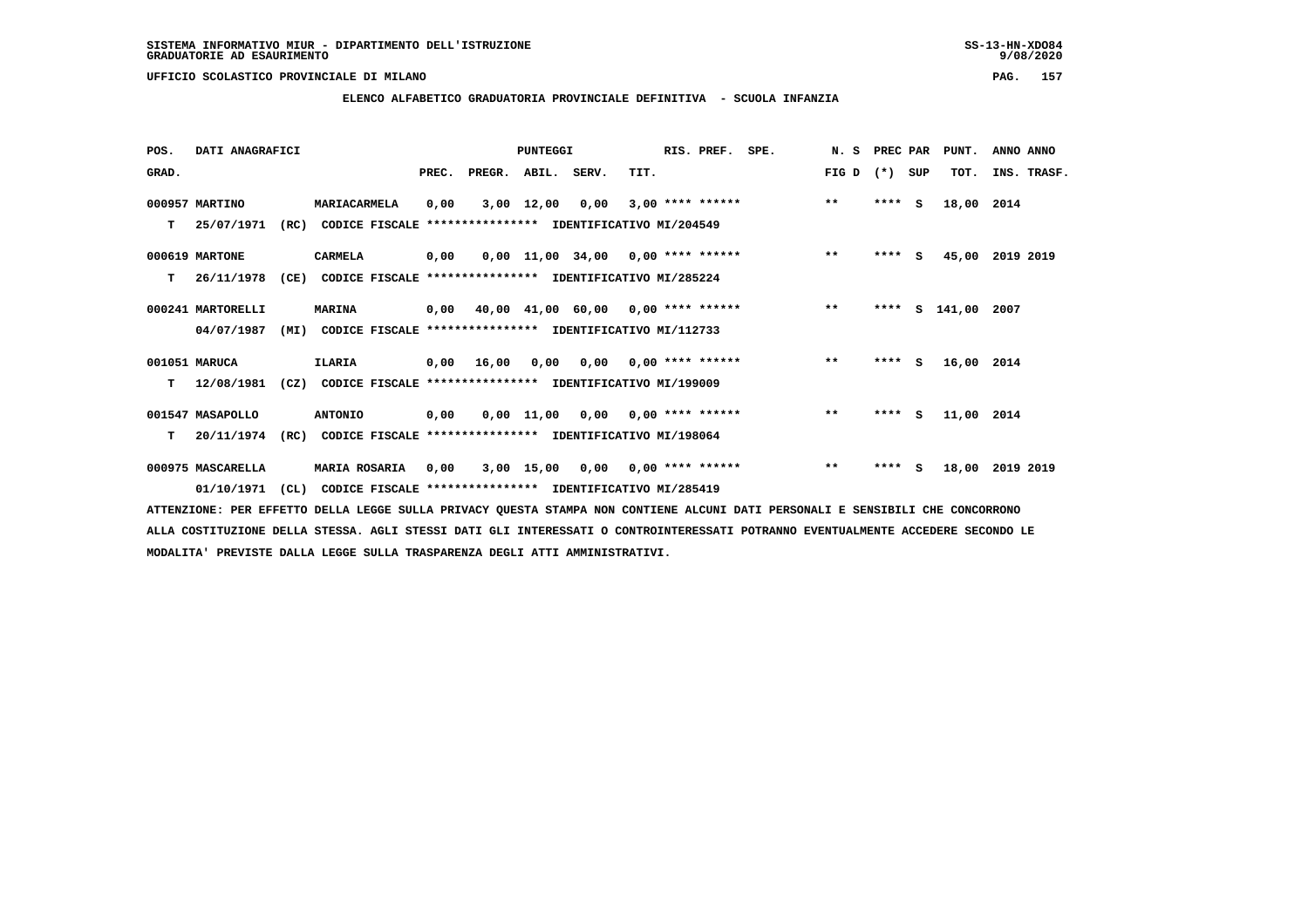**ELENCO ALFABETICO GRADUATORIA PROVINCIALE DEFINITIVA - SCUOLA INFANZIA**

| POS.  | DATI ANAGRAFICI   |      |                                                          |       |                                           | <b>PUNTEGGI</b> |                                     |      | RIS. PREF.                      | SPE. | N. S  | PREC PAR |     | PUNT.      | ANNO ANNO   |  |
|-------|-------------------|------|----------------------------------------------------------|-------|-------------------------------------------|-----------------|-------------------------------------|------|---------------------------------|------|-------|----------|-----|------------|-------------|--|
| GRAD. |                   |      |                                                          | PREC. | PREGR.                                    | ABIL. SERV.     |                                     | TIT. |                                 |      | FIG D | $(*)$    | SUP | TOT.       | INS. TRASF. |  |
|       | 000957 MARTINO    |      | MARIACARMELA                                             | 0,00  |                                           | $3,00$ 12,00    | 0,00                                |      | $3,00$ **** ******              |      | $***$ | $***$ S  |     | 18,00      | 2014        |  |
| т     | 25/07/1971        | (RC) | CODICE FISCALE                                           |       | **************** IDENTIFICATIVO MI/204549 |                 |                                     |      |                                 |      |       |          |     |            |             |  |
|       | 000619 MARTONE    |      | CARMELA                                                  | 0,00  |                                           |                 | $0,00$ 11,00 34,00 0,00 **** ****** |      |                                 |      | $***$ | $***$ S  |     | 45,00      | 2019 2019   |  |
| т     | 26/11/1978        | (CE) | CODICE FISCALE **************** IDENTIFICATIVO MI/285224 |       |                                           |                 |                                     |      |                                 |      |       |          |     |            |             |  |
|       | 000241 MARTORELLI |      | <b>MARINA</b>                                            |       | 0,00 40,00 41,00 60,00 0,00 **** ******   |                 |                                     |      |                                 |      | $***$ | ****     |     | s 141,00   | 2007        |  |
|       | 04/07/1987        | (MI) | CODICE FISCALE **************** IDENTIFICATIVO MI/112733 |       |                                           |                 |                                     |      |                                 |      |       |          |     |            |             |  |
|       | 001051 MARUCA     |      | ILARIA                                                   | 0,00  | 16,00                                     | 0.00            |                                     |      | $0.00$ $0.00$ **** ******       |      | $***$ | ****     | S.  | 16,00 2014 |             |  |
| т     | 12/08/1981        | (CZ) | CODICE FISCALE **************** IDENTIFICATIVO MI/199009 |       |                                           |                 |                                     |      |                                 |      |       |          |     |            |             |  |
|       | 001547 MASAPOLLO  |      | <b>ANTONIO</b>                                           | 0,00  |                                           |                 | $0,00$ 11,00 0,00 0,00 **** ******  |      |                                 |      | $***$ | $***$ S  |     | 11,00 2014 |             |  |
| т     | 20/11/1974        | (RC) | CODICE FISCALE **************** IDENTIFICATIVO MI/198064 |       |                                           |                 |                                     |      |                                 |      |       |          |     |            |             |  |
|       | 000975 MASCARELLA |      | <b>MARIA ROSARIA</b>                                     | 0.00  |                                           | 3,00 15,00      |                                     |      | $0.00$ $0.00$ $***$ **** ****** |      | $***$ | **** S   |     | 18,00      | 2019 2019   |  |
|       | 01/10/1971        | CL)  | CODICE FISCALE **************** IDENTIFICATIVO MI/285419 |       |                                           |                 |                                     |      |                                 |      |       |          |     |            |             |  |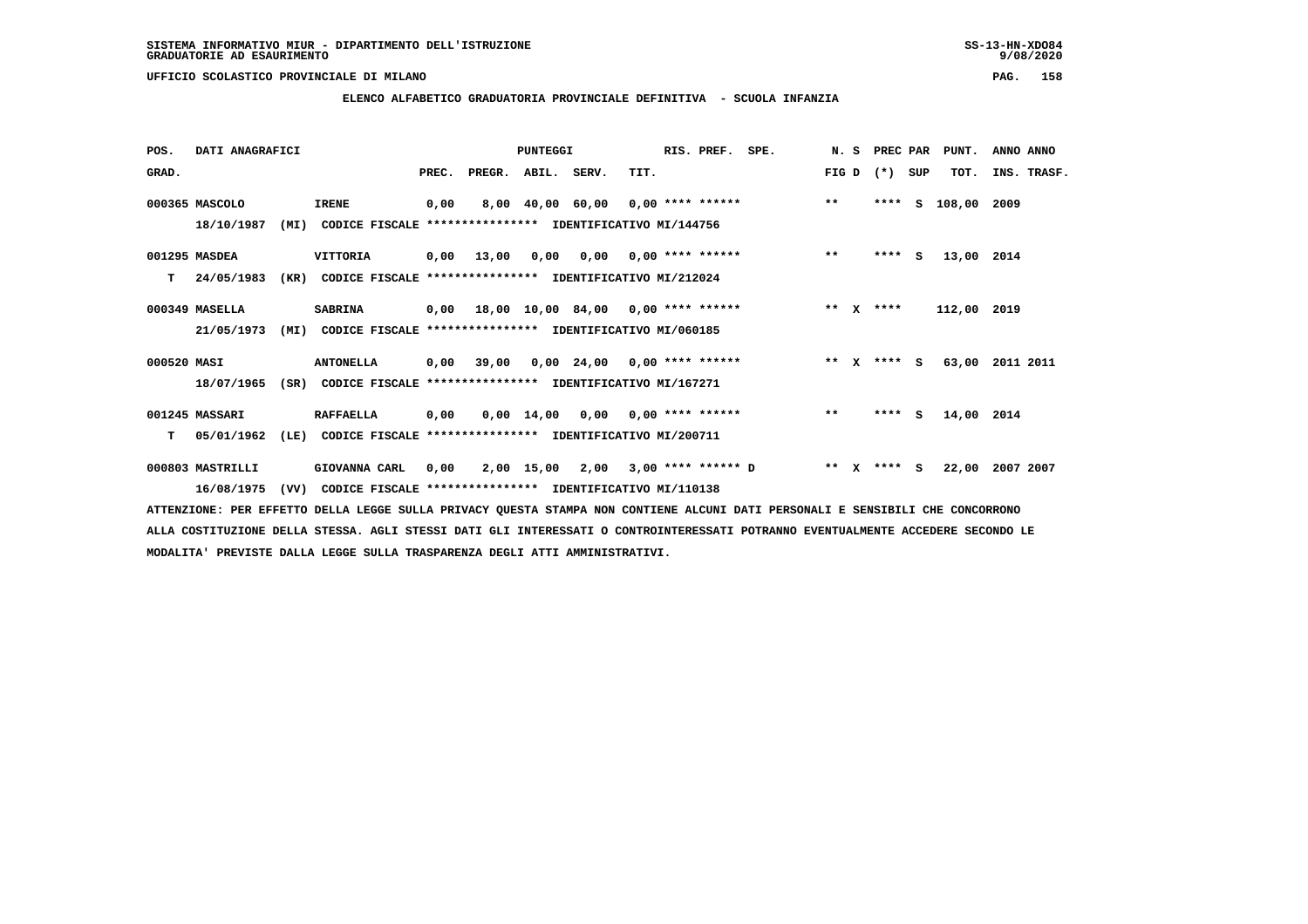**ELENCO ALFABETICO GRADUATORIA PROVINCIALE DEFINITIVA - SCUOLA INFANZIA**

| POS.        | DATI ANAGRAFICI  |      |                                                          |       |        | PUNTEGGI    |                                           |      | RIS. PREF.                | SPE. | N.S     | PREC PAR |     | PUNT.       | ANNO ANNO   |
|-------------|------------------|------|----------------------------------------------------------|-------|--------|-------------|-------------------------------------------|------|---------------------------|------|---------|----------|-----|-------------|-------------|
| GRAD.       |                  |      |                                                          | PREC. | PREGR. | ABIL. SERV. |                                           | TIT. |                           |      | FIG D   | $(* )$   | SUP | TOT.        | INS. TRASF. |
|             | 000365 MASCOLO   |      | <b>IRENE</b>                                             | 0,00  |        |             | 8,00 40,00 60,00 0,00 **** ******         |      |                           |      | $* *$   | ****     | s   | 108,00      | 2009        |
|             | 18/10/1987       | (MI) | CODICE FISCALE **************** IDENTIFICATIVO MI/144756 |       |        |             |                                           |      |                           |      |         |          |     |             |             |
|             | 001295 MASDEA    |      | VITTORIA                                                 | 0,00  | 13,00  | 0,00        |                                           |      | $0,00$ $0,00$ **** ****** |      | $***$   | $***$ S  |     | 13,00 2014  |             |
| т           | 24/05/1983       | (KR) | CODICE FISCALE **************** IDENTIFICATIVO MI/212024 |       |        |             |                                           |      |                           |      |         |          |     |             |             |
|             | 000349 MASELLA   |      | <b>SABRINA</b>                                           |       |        |             | $0,00$ 18,00 10,00 84,00 0,00 **** ****** |      |                           |      | $***$ X | ****     |     | 112,00 2019 |             |
|             | 21/05/1973       | (MI) | CODICE FISCALE **************** IDENTIFICATIVO MI/060185 |       |        |             |                                           |      |                           |      |         |          |     |             |             |
| 000520 MASI |                  |      | <b>ANTONELLA</b>                                         | 0,00  |        |             | $39,00$ 0,00 24,00 0,00 **** ******       |      |                           |      | $***$ X | $***$ S  |     | 63,00       | 2011 2011   |
|             | 18/07/1965       | (SR) | CODICE FISCALE **************** IDENTIFICATIVO MI/167271 |       |        |             |                                           |      |                           |      |         |          |     |             |             |
|             | 001245 MASSARI   |      | <b>RAFFAELLA</b>                                         | 0,00  |        |             | $0,00$ 14,00 0,00 0,00 **** ******        |      |                           |      | $**$    | $***$ S  |     | 14,00 2014  |             |
| т           | 05/01/1962       | (LE) | CODICE FISCALE **************** IDENTIFICATIVO MI/200711 |       |        |             |                                           |      |                           |      |         |          |     |             |             |
|             | 000803 MASTRILLI |      | GIOVANNA CARL                                            | 0,00  |        | 2,00 15,00  | 2,00 3,00 **** ****** D                   |      |                           |      | $***$ X | **** S   |     | 22,00       | 2007 2007   |
|             | 16/08/1975       | (VV) | CODICE FISCALE **************** IDENTIFICATIVO MI/110138 |       |        |             |                                           |      |                           |      |         |          |     |             |             |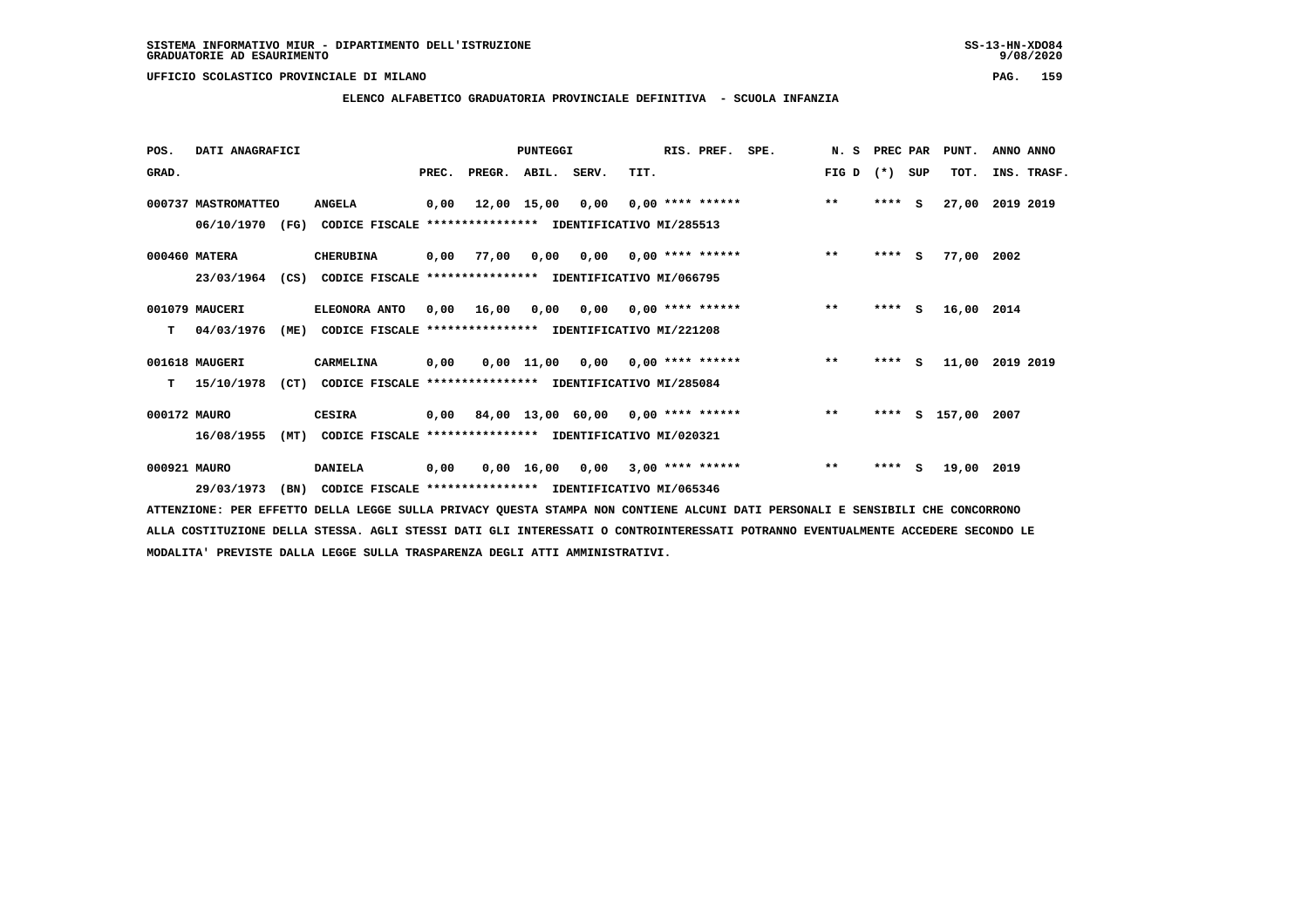$9/08/2020$ 

 **UFFICIO SCOLASTICO PROVINCIALE DI MILANO PAG. 159**

## **ELENCO ALFABETICO GRADUATORIA PROVINCIALE DEFINITIVA - SCUOLA INFANZIA**

| POS.         | DATI ANAGRAFICI     |      |                                                                         |       |                                           | PUNTEGGI         |                                                               |      | RIS. PREF.         | SPE. | N. S         | PREC PAR |     | PUNT.         | ANNO ANNO   |  |
|--------------|---------------------|------|-------------------------------------------------------------------------|-------|-------------------------------------------|------------------|---------------------------------------------------------------|------|--------------------|------|--------------|----------|-----|---------------|-------------|--|
| GRAD.        |                     |      |                                                                         | PREC. | PREGR. ABIL. SERV.                        |                  |                                                               | TIT. |                    |      | FIG D        | $(*)$    | SUP | TOT.          | INS. TRASF. |  |
|              | 000737 MASTROMATTEO |      | <b>ANGELA</b>                                                           | 0,00  |                                           | 12,00 15,00 0,00 |                                                               |      | $0.00$ **** ****** |      | $***$        | $***$ S  |     | 27,00         | 2019 2019   |  |
|              |                     |      | 06/10/1970 (FG) CODICE FISCALE *************** IDENTIFICATIVO MI/285513 |       |                                           |                  |                                                               |      |                    |      |              |          |     |               |             |  |
|              | 000460 MATERA       |      | <b>CHERUBINA</b>                                                        |       | 0,00 77,00                                |                  | $0,00$ $0,00$ $0,00$ $***$ **** ******                        |      |                    |      | $***$        | $***$ S  |     | 77,00 2002    |             |  |
|              | 23/03/1964          | (CS) | CODICE FISCALE **************** IDENTIFICATIVO MI/066795                |       |                                           |                  |                                                               |      |                    |      |              |          |     |               |             |  |
|              | 001079 MAUCERI      |      | ELEONORA ANTO                                                           | 0,00  | 16,00                                     | 0,00             | 0,00                                                          |      | $0.00$ **** ****** |      | $**$         | $***$ S  |     | 16,00 2014    |             |  |
| т            | 04/03/1976          | (ME) | CODICE FISCALE **************** IDENTIFICATIVO MI/221208                |       |                                           |                  |                                                               |      |                    |      |              |          |     |               |             |  |
|              | 001618 MAUGERI      |      | CARMELINA                                                               | 0,00  |                                           |                  | $0,00$ 11,00 0,00 0,00 **** ******                            |      |                    |      | $***$        | $***$ S  |     | 11,00         | 2019 2019   |  |
| т            | 15/10/1978          | (CT) | CODICE FISCALE **************** IDENTIFICATIVO MI/285084                |       |                                           |                  |                                                               |      |                    |      |              |          |     |               |             |  |
| 000172 MAURO |                     |      | <b>CESIRA</b>                                                           |       | $0,00$ 84,00 13,00 60,00 0,00 **** ****** |                  |                                                               |      |                    |      | $\star\star$ | ****     |     | S 157,00 2007 |             |  |
|              | 16/08/1955          | (MT) | CODICE FISCALE **************** IDENTIFICATIVO MI/020321                |       |                                           |                  |                                                               |      |                    |      |              |          |     |               |             |  |
| 000921 MAURO |                     |      | <b>DANIELA</b>                                                          | 0,00  |                                           |                  | $0.00 \quad 16.00 \quad 0.00 \quad 3.00 \quad *** \quad ***}$ |      |                    |      | $\star\star$ | ****     | s   | 19,00 2019    |             |  |
|              | 29/03/1973          | (BN) | CODICE FISCALE **************** IDENTIFICATIVO MI/065346                |       |                                           |                  |                                                               |      |                    |      |              |          |     |               |             |  |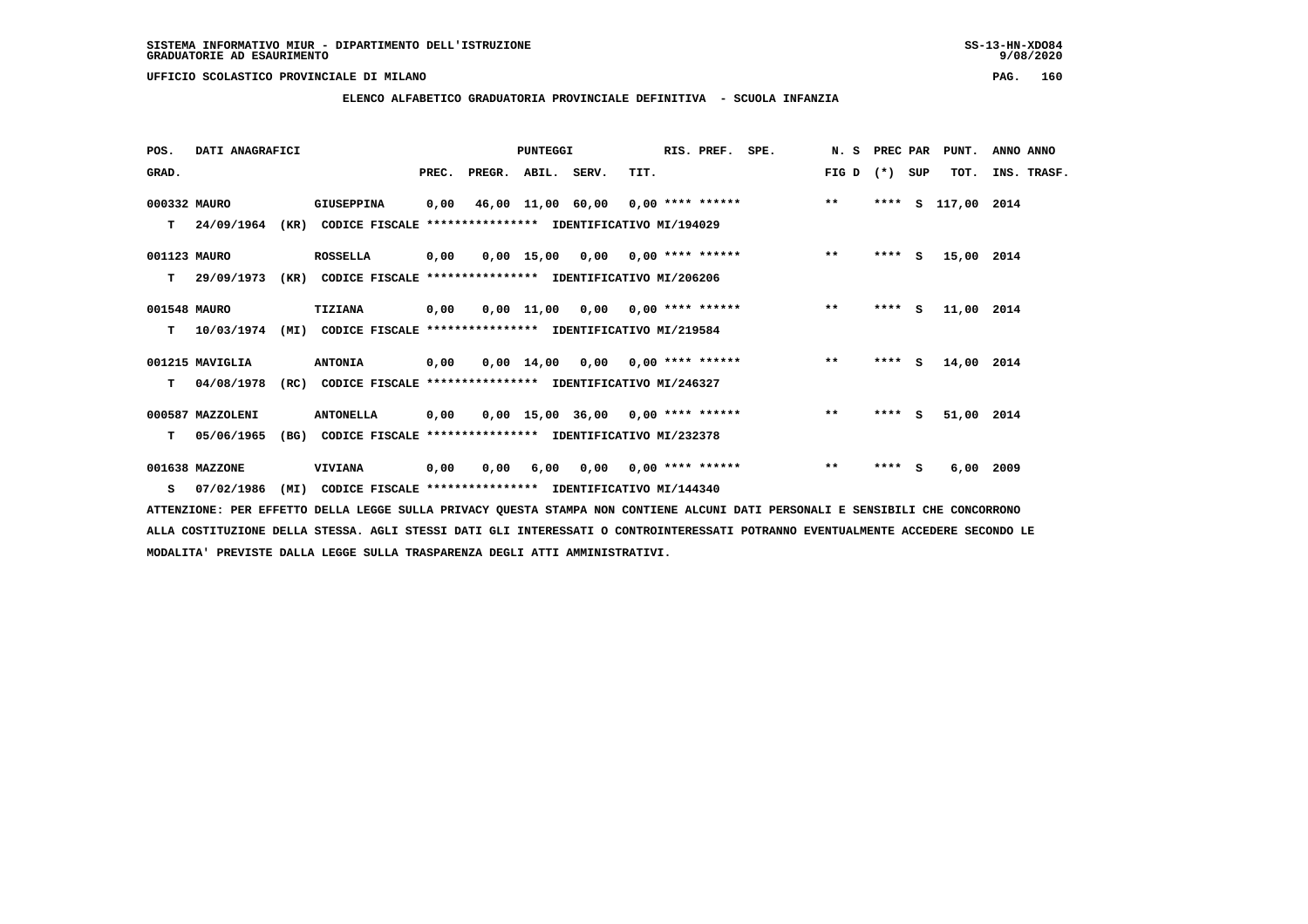**ELENCO ALFABETICO GRADUATORIA PROVINCIALE DEFINITIVA - SCUOLA INFANZIA**

| POS.         | DATI ANAGRAFICI  |      |                                                               |       |                    | <b>PUNTEGGI</b> |                                     |      | RIS. PREF.                | SPE.                                      | N. S  | PREC PAR |   | PUNT.       | ANNO ANNO   |  |
|--------------|------------------|------|---------------------------------------------------------------|-------|--------------------|-----------------|-------------------------------------|------|---------------------------|-------------------------------------------|-------|----------|---|-------------|-------------|--|
| GRAD.        |                  |      |                                                               | PREC. | PREGR. ABIL. SERV. |                 |                                     | TIT. |                           |                                           | FIG D | (*) SUP  |   | TOT.        | INS. TRASF. |  |
| 000332 MAURO |                  |      | GIUSEPPINA                                                    | 0,00  |                    |                 |                                     |      |                           | 46,00 11,00 60,00 0,00 **** ****** *** ** |       | ****     | S | 117,00 2014 |             |  |
| т            | 24/09/1964       |      | (KR) CODICE FISCALE **************** IDENTIFICATIVO MI/194029 |       |                    |                 |                                     |      |                           |                                           |       |          |   |             |             |  |
| 001123 MAURO |                  |      | ROSSELLA                                                      | 0,00  |                    |                 | $0.00$ 15.00 0.00 0.00 **** ******  |      |                           |                                           | $***$ | $***$ S  |   | 15,00 2014  |             |  |
| т            | 29/09/1973       | (KR) | CODICE FISCALE **************** IDENTIFICATIVO MI/206206      |       |                    |                 |                                     |      |                           |                                           |       |          |   |             |             |  |
| 001548 MAURO |                  |      | TIZIANA                                                       | 0,00  |                    |                 | $0,00$ 11,00 0,00 0,00 **** ******  |      |                           |                                           | $***$ | **** S   |   | 11,00 2014  |             |  |
| т            | 10/03/1974       | (MI) | CODICE FISCALE **************** IDENTIFICATIVO MI/219584      |       |                    |                 |                                     |      |                           |                                           |       |          |   |             |             |  |
|              | 001215 MAVIGLIA  |      | <b>ANTONIA</b>                                                | 0,00  |                    |                 | $0,00$ 14,00 0,00 0,00 **** ******  |      |                           |                                           | $***$ | $***$ S  |   | 14,00 2014  |             |  |
| т            | 04/08/1978       |      | (RC) CODICE FISCALE **************** IDENTIFICATIVO MI/246327 |       |                    |                 |                                     |      |                           |                                           |       |          |   |             |             |  |
|              | 000587 MAZZOLENI |      | <b>ANTONELLA</b>                                              | 0,00  |                    |                 | $0,00$ 15,00 36,00 0,00 **** ****** |      |                           |                                           | $***$ | $***$ S  |   | 51,00 2014  |             |  |
| т            | 05/06/1965       | (BG) | CODICE FISCALE **************** IDENTIFICATIVO MI/232378      |       |                    |                 |                                     |      |                           |                                           |       |          |   |             |             |  |
|              | 001638 MAZZONE   |      | <b>VIVIANA</b>                                                | 0,00  | 0,00               | 6,00            |                                     |      | $0,00$ $0,00$ **** ****** |                                           | $**$  | **** S   |   | $6,00$ 2009 |             |  |
|              | S 07/02/1986     | (MI) | CODICE FISCALE **************** IDENTIFICATIVO MI/144340      |       |                    |                 |                                     |      |                           |                                           |       |          |   |             |             |  |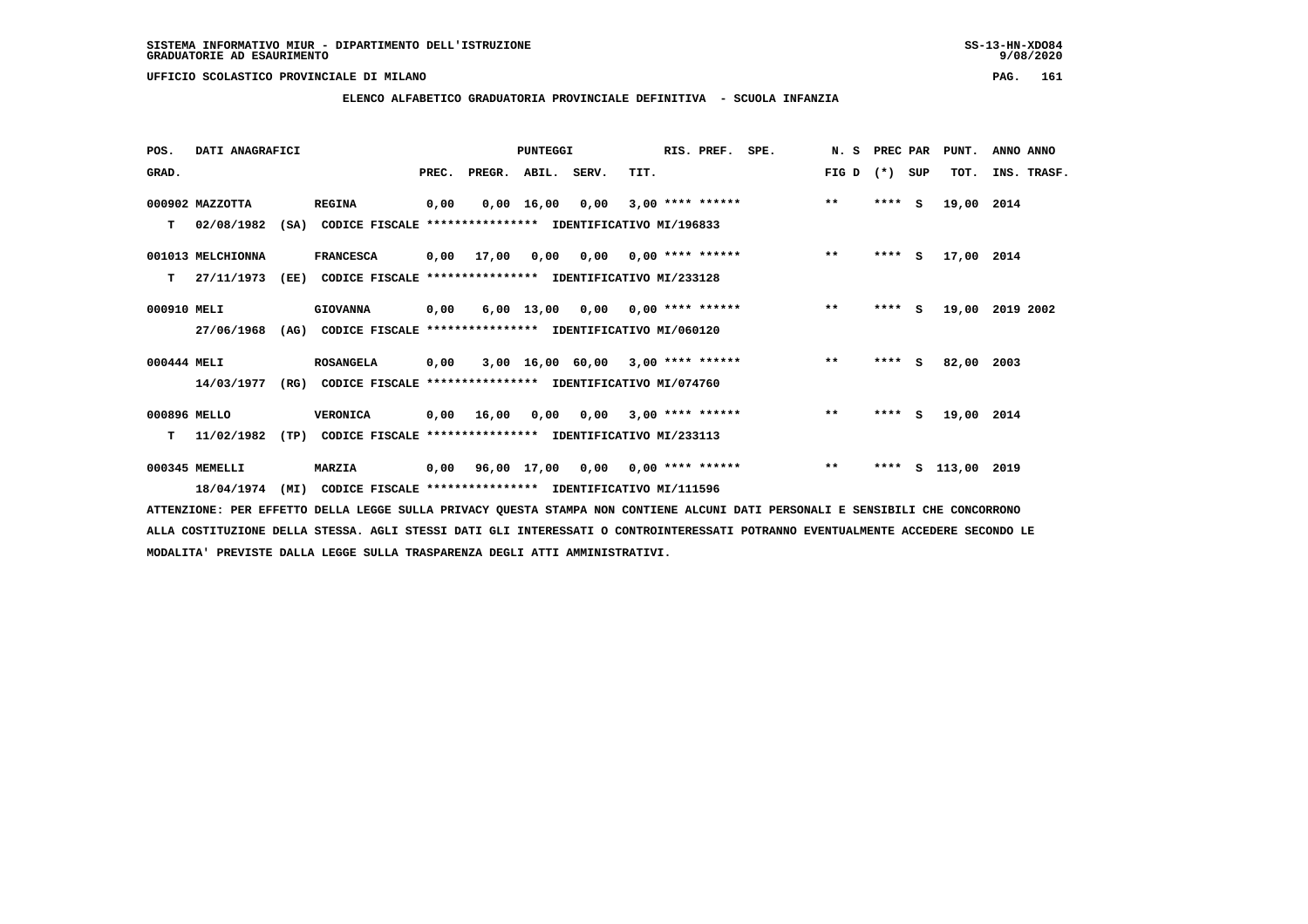## **ELENCO ALFABETICO GRADUATORIA PROVINCIALE DEFINITIVA - SCUOLA INFANZIA**

| POS.         | DATI ANAGRAFICI   |      |                                                          |       |            | <b>PUNTEGGI</b> |                                          |      | RIS. PREF.                | SPE. | N.S   | PREC PAR |          | PUNT.         | ANNO ANNO   |
|--------------|-------------------|------|----------------------------------------------------------|-------|------------|-----------------|------------------------------------------|------|---------------------------|------|-------|----------|----------|---------------|-------------|
| GRAD.        |                   |      |                                                          | PREC. | PREGR.     | ABIL. SERV.     |                                          | TIT. |                           |      | FIG D | $(* )$   | SUP      | TOT.          | INS. TRASF. |
|              | 000902 MAZZOTTA   |      | <b>REGINA</b>                                            | 0,00  |            | 0,00 16,00      | 0,00                                     |      | $3,00$ **** ******        |      | $***$ | ****     | <b>S</b> | 19,00         | 2014        |
| т            | 02/08/1982        | (SA) | CODICE FISCALE **************** IDENTIFICATIVO MI/196833 |       |            |                 |                                          |      |                           |      |       |          |          |               |             |
|              | 001013 MELCHIONNA |      | <b>FRANCESCA</b>                                         |       | 0,00 17,00 | 0,00            |                                          |      | $0,00$ $0,00$ **** ****** |      | $**$  | $***$ S  |          | 17,00 2014    |             |
| т            | 27/11/1973        | (EE) | CODICE FISCALE **************** IDENTIFICATIVO MI/233128 |       |            |                 |                                          |      |                           |      |       |          |          |               |             |
| 000910 MELI  |                   |      | <b>GIOVANNA</b>                                          | 0,00  |            | 6,00 13,00      |                                          |      | $0,00$ $0,00$ **** ****** |      | $***$ | $***$ S  |          | 19,00         | 2019 2002   |
|              | 27/06/1968        | (AG) | CODICE FISCALE **************** IDENTIFICATIVO MI/060120 |       |            |                 |                                          |      |                           |      |       |          |          |               |             |
| 000444 MELI  |                   |      | <b>ROSANGELA</b>                                         | 0,00  |            |                 | $3,00$ 16,00 60,00 3,00 **** ******      |      |                           |      | $**$  | $***$ S  |          | 82,00         | 2003        |
|              | 14/03/1977        | (RG) | CODICE FISCALE **************** IDENTIFICATIVO MI/074760 |       |            |                 |                                          |      |                           |      |       |          |          |               |             |
| 000896 MELLO |                   |      | <b>VERONICA</b>                                          | 0,00  | 16,00      | 0,00            | 0,00                                     |      | $3,00$ **** ******        |      | $***$ | ****     | S.       | 19,00 2014    |             |
| т            | 11/02/1982        | (TP) | CODICE FISCALE **************** IDENTIFICATIVO MI/233113 |       |            |                 |                                          |      |                           |      |       |          |          |               |             |
|              | 000345 MEMELLI    |      | <b>MARZIA</b>                                            |       |            |                 | $0,00$ 96,00 17,00 0,00 0,00 **** ****** |      |                           |      | $***$ | ****     |          | S 113,00 2019 |             |
|              | 18/04/1974        | (MI) | CODICE FISCALE **************** IDENTIFICATIVO MI/111596 |       |            |                 |                                          |      |                           |      |       |          |          |               |             |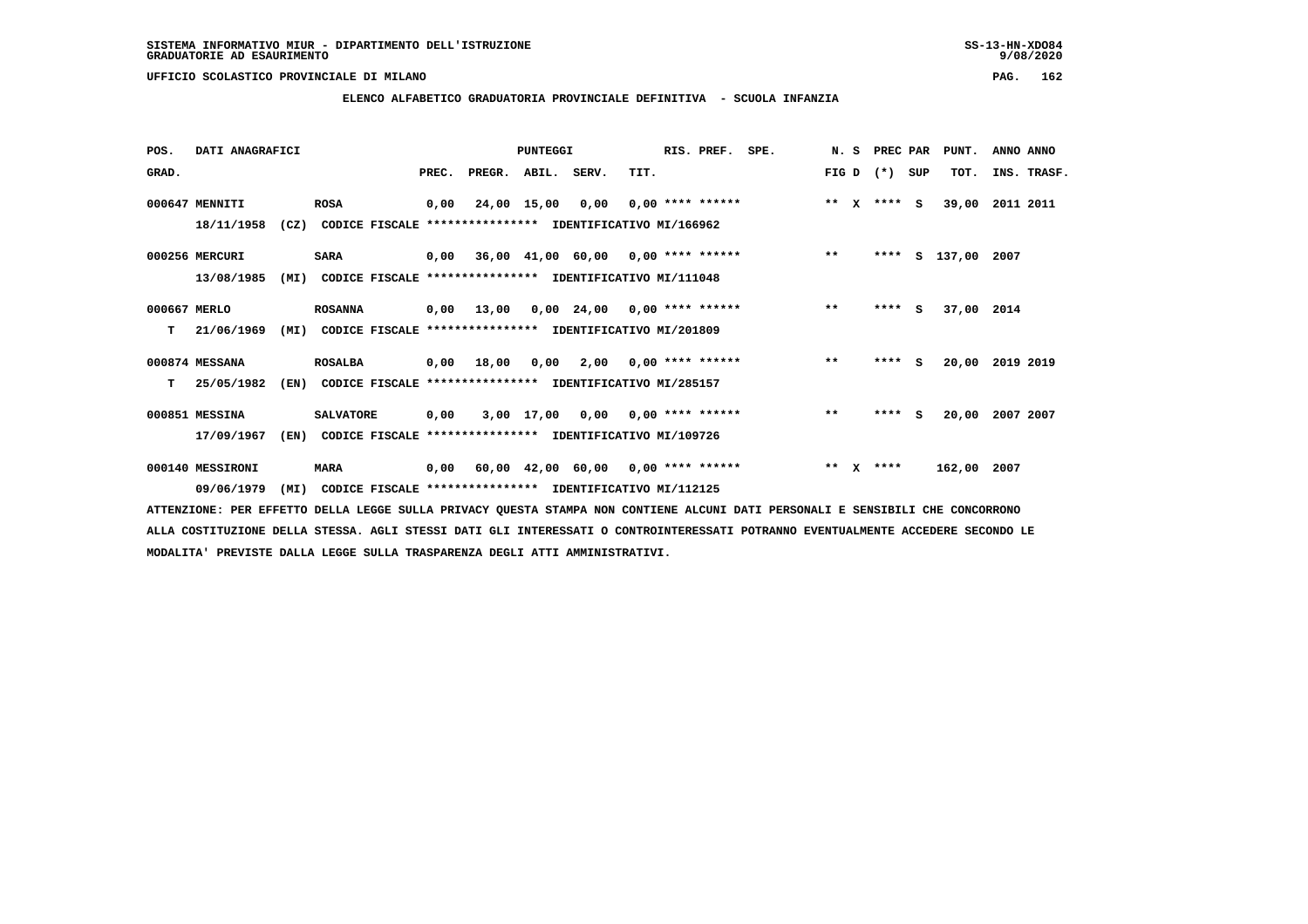# **ELENCO ALFABETICO GRADUATORIA PROVINCIALE DEFINITIVA - SCUOLA INFANZIA**

| POS.         | DATI ANAGRAFICI  |      |                                                               |       |            | PUNTEGGI     |                                           |      | RIS. PREF.         | SPE. | N. S         |              | PREC PAR |     | PUNT.              | ANNO ANNO       |
|--------------|------------------|------|---------------------------------------------------------------|-------|------------|--------------|-------------------------------------------|------|--------------------|------|--------------|--------------|----------|-----|--------------------|-----------------|
| GRAD.        |                  |      |                                                               | PREC. | PREGR.     | ABIL. SERV.  |                                           | TIT. |                    |      | FIG D        |              | $(* )$   | SUP | TOT.               | INS. TRASF.     |
|              | 000647 MENNITI   |      | <b>ROSA</b>                                                   | 0,00  |            | 24,00 15,00  | 0,00                                      |      | $0.00$ **** ****** |      | $* *$        | $\mathbf{x}$ | $***$ S  |     | 39,00              | 2011 2011       |
|              | 18/11/1958       |      | (CZ) CODICE FISCALE **************** IDENTIFICATIVO MI/166962 |       |            |              |                                           |      |                    |      |              |              |          |     |                    |                 |
|              | 000256 MERCURI   |      | <b>SARA</b>                                                   |       |            |              | $0,00$ 36,00 41,00 60,00 0,00 **** ****** |      |                    |      | $***$        |              |          |     | **** S 137,00 2007 |                 |
|              | 13/08/1985       | (MI) | CODICE FISCALE **************** IDENTIFICATIVO MI/111048      |       |            |              |                                           |      |                    |      |              |              |          |     |                    |                 |
| 000667 MERLO |                  |      | <b>ROSANNA</b>                                                | 0,00  | 13,00      |              | $0,00$ 24,00 0,00 **** ******             |      |                    |      | $\star\star$ |              | $***$ S  |     | 37,00 2014         |                 |
| т            | 21/06/1969       | (MI) | CODICE FISCALE **************** IDENTIFICATIVO MI/201809      |       |            |              |                                           |      |                    |      |              |              |          |     |                    |                 |
|              | 000874 MESSANA   |      | <b>ROSALBA</b>                                                |       | 0,00 18,00 |              | $0,00$ 2,00 0,00 **** ******              |      |                    |      | $***$        |              | $***$ S  |     |                    | 20,00 2019 2019 |
| т            | 25/05/1982       | (EN) | CODICE FISCALE **************** IDENTIFICATIVO MI/285157      |       |            |              |                                           |      |                    |      |              |              |          |     |                    |                 |
|              | 000851 MESSINA   |      | <b>SALVATORE</b>                                              | 0,00  |            | $3,00$ 17,00 | 0,00                                      |      | $0.00$ **** ****** |      | $\star\star$ |              | **** S   |     | 20,00              | 2007 2007       |
|              | 17/09/1967       | (EN) | CODICE FISCALE **************** IDENTIFICATIVO MI/109726      |       |            |              |                                           |      |                    |      |              |              |          |     |                    |                 |
|              | 000140 MESSIRONI |      | <b>MARA</b>                                                   |       |            |              | $0,00$ 60,00 42,00 60,00 0,00 **** ****** |      |                    |      | ** $X$       |              | ****     |     | 162,00 2007        |                 |
|              | 09/06/1979       | (MI) | CODICE FISCALE **************** IDENTIFICATIVO MI/112125      |       |            |              |                                           |      |                    |      |              |              |          |     |                    |                 |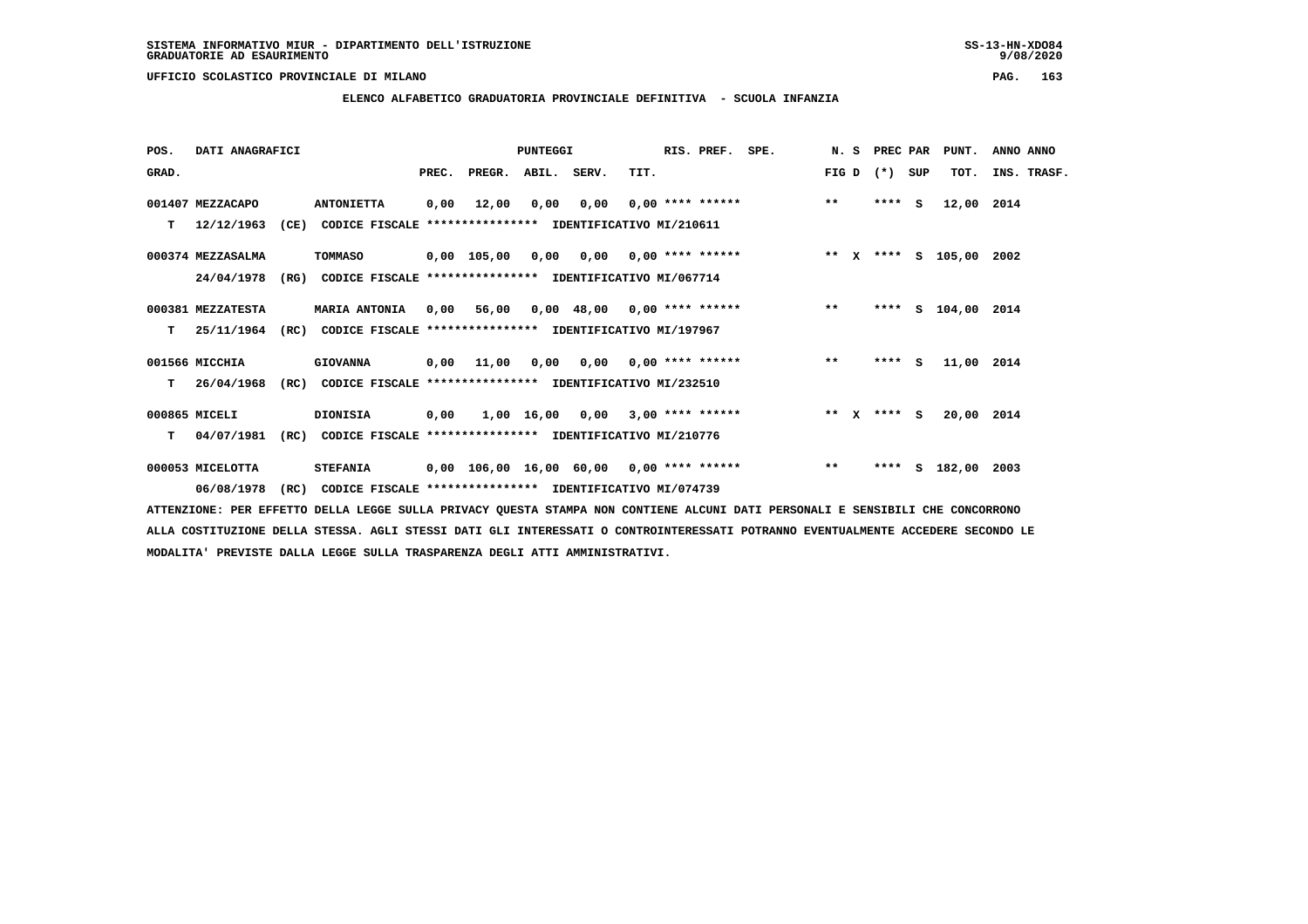**ELENCO ALFABETICO GRADUATORIA PROVINCIALE DEFINITIVA - SCUOLA INFANZIA**

 **POS. DATI ANAGRAFICI PUNTEGGI RIS. PREF. SPE. N. S PREC PAR PUNT. ANNO ANNO**GRAD. **PREGRADE SERVEGER. ABIL. SERV. TIT.** FIG D (\*) SUP TOT. INS. TRASF.  **001407 MEZZACAPO ANTONIETTA 0,00 12,00 0,00 0,00 0,00 \*\*\*\* \*\*\*\*\*\* \*\* \*\*\*\* S 12,00 2014 T 12/12/1963 (CE) CODICE FISCALE \*\*\*\*\*\*\*\*\*\*\*\*\*\*\*\* IDENTIFICATIVO MI/210611 000374 MEZZASALMA TOMMASO 0,00 105,00 0,00 0,00 0,00 \*\*\*\* \*\*\*\*\*\* \*\* X \*\*\*\* S 105,00 2002 24/04/1978 (RG) CODICE FISCALE \*\*\*\*\*\*\*\*\*\*\*\*\*\*\*\* IDENTIFICATIVO MI/067714 000381 MEZZATESTA MARIA ANTONIA 0,00 56,00 0,00 48,00 0,00 \*\*\*\* \*\*\*\*\*\* \*\* \*\*\*\* S 104,00 2014 T 25/11/1964 (RC) CODICE FISCALE \*\*\*\*\*\*\*\*\*\*\*\*\*\*\*\* IDENTIFICATIVO MI/197967 001566 MICCHIA GIOVANNA 0,00 11,00 0,00 0,00 0,00 \*\*\*\* \*\*\*\*\*\* \*\* \*\*\*\* S 11,00 2014 T 26/04/1968 (RC) CODICE FISCALE \*\*\*\*\*\*\*\*\*\*\*\*\*\*\*\* IDENTIFICATIVO MI/232510 000865 MICELI DIONISIA 0,00 1,00 16,00 0,00 3,00 \*\*\*\* \*\*\*\*\*\* \*\* X \*\*\*\* S 20,00 2014 T 04/07/1981 (RC) CODICE FISCALE \*\*\*\*\*\*\*\*\*\*\*\*\*\*\*\* IDENTIFICATIVO MI/210776 000053 MICELOTTA STEFANIA 0,00 106,00 16,00 60,00 0,00 \*\*\*\* \*\*\*\*\*\* \*\* \*\*\*\* S 182,00 2003 06/08/1978 (RC) CODICE FISCALE \*\*\*\*\*\*\*\*\*\*\*\*\*\*\*\* IDENTIFICATIVO MI/074739**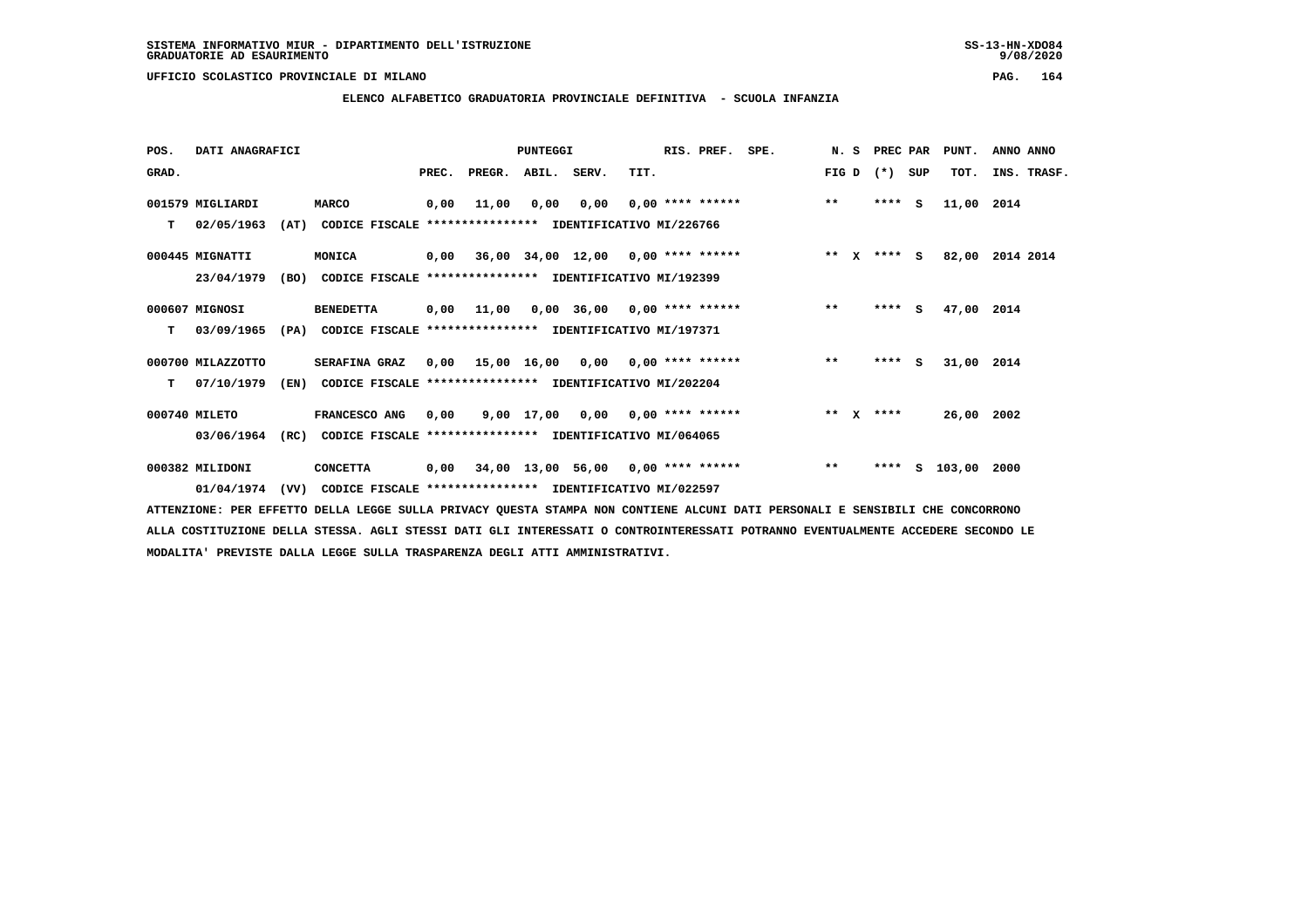**ELENCO ALFABETICO GRADUATORIA PROVINCIALE DEFINITIVA - SCUOLA INFANZIA**

| POS.  | DATI ANAGRAFICI   |      |                                                          |       |            | <b>PUNTEGGI</b> |                                           |      | RIS. PREF. | SPE.               | N. S  | PREC PAR      |          | PUNT.      | ANNO ANNO       |
|-------|-------------------|------|----------------------------------------------------------|-------|------------|-----------------|-------------------------------------------|------|------------|--------------------|-------|---------------|----------|------------|-----------------|
| GRAD. |                   |      |                                                          | PREC. | PREGR.     | ABIL. SERV.     |                                           | TIT. |            |                    | FIG D | $(*)$         | SUP      | TOT.       | INS. TRASF.     |
|       | 001579 MIGLIARDI  |      | <b>MARCO</b>                                             | 0,00  | 11,00      | 0,00            | 0,00                                      |      |            | $0,00$ **** ****** | $***$ | ****          | <b>S</b> | 11,00 2014 |                 |
| т     | 02/05/1963        | (AT) | CODICE FISCALE **************** IDENTIFICATIVO MI/226766 |       |            |                 |                                           |      |            |                    |       |               |          |            |                 |
|       | 000445 MIGNATTI   |      | <b>MONICA</b>                                            |       |            |                 | $0,00$ 36,00 34,00 12,00 0,00 **** ****** |      |            |                    |       | ** $X$ **** S |          |            | 82,00 2014 2014 |
|       | 23/04/1979        | (BO) | CODICE FISCALE **************** IDENTIFICATIVO MI/192399 |       |            |                 |                                           |      |            |                    |       |               |          |            |                 |
|       | 000607 MIGNOSI    |      | <b>BENEDETTA</b>                                         |       | 0,00 11,00 |                 | $0,00$ 36,00 0,00 **** ******             |      |            |                    | $* *$ | $***$ S       |          | 47,00 2014 |                 |
| т     | 03/09/1965        | (PA) | CODICE FISCALE **************** IDENTIFICATIVO MI/197371 |       |            |                 |                                           |      |            |                    |       |               |          |            |                 |
|       | 000700 MILAZZOTTO |      | SERAFINA GRAZ                                            |       |            |                 | $0,00$ 15,00 16,00 0,00 0,00 **** ******  |      |            |                    | $***$ | $***$ S       |          | 31,00 2014 |                 |
| т     | 07/10/1979        | (EN) | CODICE FISCALE **************** IDENTIFICATIVO MI/202204 |       |            |                 |                                           |      |            |                    |       |               |          |            |                 |
|       | 000740 MILETO     |      | FRANCESCO ANG                                            | 0,00  |            |                 | $9,00$ 17,00 0,00 0,00 **** ******        |      |            |                    |       | ** $X$ ****   |          | 26,00 2002 |                 |
|       | 03/06/1964        | (RC) | CODICE FISCALE **************** IDENTIFICATIVO MI/064065 |       |            |                 |                                           |      |            |                    |       |               |          |            |                 |
|       | 000382 MILIDONI   |      | <b>CONCETTA</b>                                          | 0,00  |            |                 | $34,00$ 13,00 56,00 0,00 **** ******      |      |            |                    | $***$ | ****          |          | s 103,00   | 2000            |
|       | 01/04/1974        | (VV) | CODICE FISCALE **************** IDENTIFICATIVO MI/022597 |       |            |                 |                                           |      |            |                    |       |               |          |            |                 |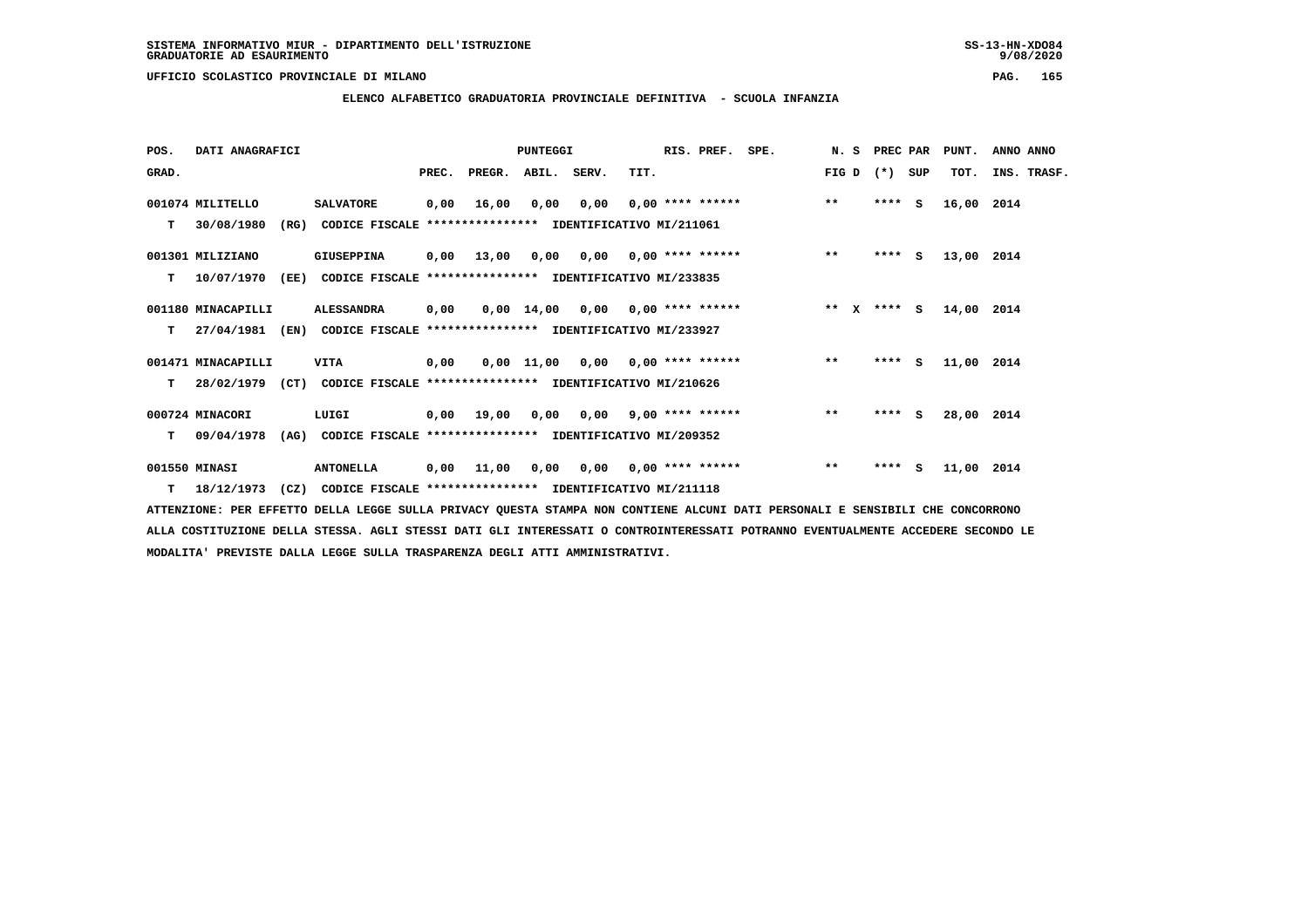**ELENCO ALFABETICO GRADUATORIA PROVINCIALE DEFINITIVA - SCUOLA INFANZIA**

| POS.  | DATI ANAGRAFICI    |      |                                                                         |       |            | PUNTEGGI    |                                        | RIS. PREF. SPE. | N. S PREC PAR |         |     | PUNT.      | ANNO ANNO   |
|-------|--------------------|------|-------------------------------------------------------------------------|-------|------------|-------------|----------------------------------------|-----------------|---------------|---------|-----|------------|-------------|
| GRAD. |                    |      |                                                                         | PREC. | PREGR.     | ABIL. SERV. | TIT.                                   |                 | FIG D         | $(* )$  | SUP | TOT.       | INS. TRASF. |
|       | 001074 MILITELLO   |      | <b>SALVATORE</b>                                                        | 0,00  | 16,00      |             | $0,00$ $0,00$ $0,00$ $***$ **** ****** |                 | $***$         | $***$ S |     | 16,00 2014 |             |
| т     | 30/08/1980         | (RG) | CODICE FISCALE **************** IDENTIFICATIVO MI/211061                |       |            |             |                                        |                 |               |         |     |            |             |
|       | 001301 MILIZIANO   |      | GIUSEPPINA                                                              | 0,00  | 13,00      |             | $0.00$ $0.00$ $0.00$ $***$ **** ****** |                 | $***$         | $***$ S |     | 13,00 2014 |             |
| т     | 10/07/1970         |      | (EE) CODICE FISCALE **************** IDENTIFICATIVO MI/233835           |       |            |             |                                        |                 |               |         |     |            |             |
|       | 001180 MINACAPILLI |      | <b>ALESSANDRA</b>                                                       | 0,00  |            |             | $0,00$ 14,00 0,00 0,00 **** ******     |                 | ** x **** S   |         |     | 14,00 2014 |             |
| т     | 27/04/1981         | (EN) | CODICE FISCALE **************** IDENTIFICATIVO MI/233927                |       |            |             |                                        |                 |               |         |     |            |             |
|       | 001471 MINACAPILLI |      | <b>VITA</b>                                                             | 0,00  |            |             | $0,00$ 11,00 0,00 0,00 **** ******     |                 | $***$         | $***$ S |     | 11,00 2014 |             |
| т     |                    |      | 28/02/1979 (CT) CODICE FISCALE *************** IDENTIFICATIVO MI/210626 |       |            |             |                                        |                 |               |         |     |            |             |
|       | 000724 MINACORI    |      | LUIGI                                                                   |       | 0,00 19,00 |             | $0,00$ $0,00$ $9,00$ **** ******       |                 | $***$         | ****    | s   | 28,00 2014 |             |
| т     | 09/04/1978         | (AG) | CODICE FISCALE **************** IDENTIFICATIVO MI/209352                |       |            |             |                                        |                 |               |         |     |            |             |
|       | 001550 MINASI      |      | <b>ANTONELLA</b>                                                        | 0,00  | 11,00      |             | $0,00$ $0,00$ $0,00$ $***$ **** *****  |                 | $* *$         | $***$ S |     | 11,00 2014 |             |
| T     | 18/12/1973         |      | (CZ) CODICE FISCALE **************** IDENTIFICATIVO MI/211118           |       |            |             |                                        |                 |               |         |     |            |             |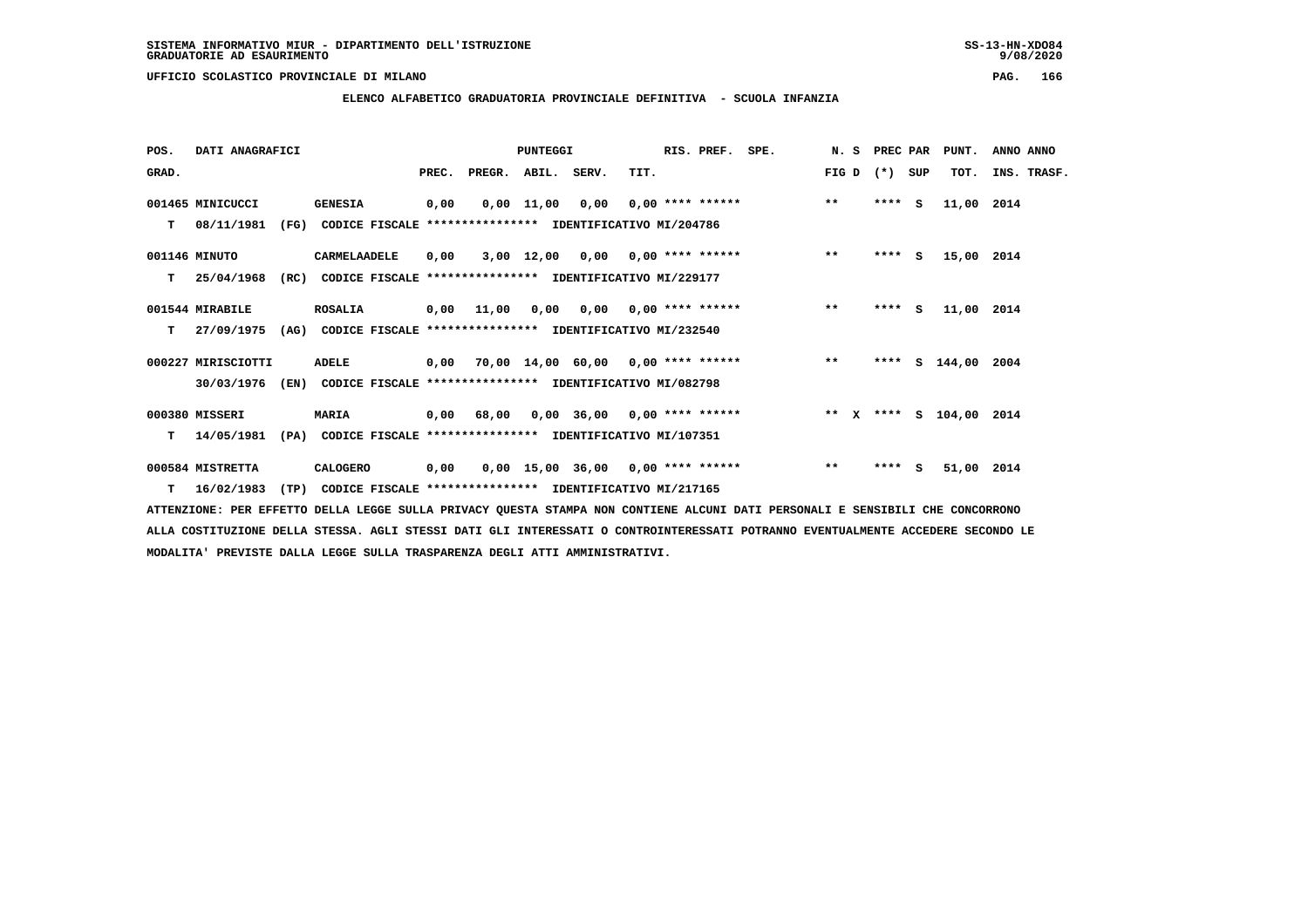**ELENCO ALFABETICO GRADUATORIA PROVINCIALE DEFINITIVA - SCUOLA INFANZIA**

| POS.  | DATI ANAGRAFICI    |      |                                                          |       |                    | <b>PUNTEGGI</b> |                                     |      | RIS. PREF.                | SPE. |       | N. S PREC PAR |              | PUNT.                   | ANNO ANNO   |
|-------|--------------------|------|----------------------------------------------------------|-------|--------------------|-----------------|-------------------------------------|------|---------------------------|------|-------|---------------|--------------|-------------------------|-------------|
| GRAD. |                    |      |                                                          | PREC. | PREGR. ABIL. SERV. |                 |                                     | TIT. |                           |      | FIG D | $(* )$        | SUP          | TOT.                    | INS. TRASF. |
|       | 001465 MINICUCCI   |      | <b>GENESIA</b>                                           | 0,00  |                    | $0,00$ 11,00    | 0,00                                |      | 0,00 **** ******          |      | $***$ | $***$ S       |              | 11,00 2014              |             |
| т     | 08/11/1981         | (FG) | CODICE FISCALE **************** IDENTIFICATIVO MI/204786 |       |                    |                 |                                     |      |                           |      |       |               |              |                         |             |
|       | 001146 MINUTO      |      | CARMELAADELE                                             | 0,00  |                    |                 | $3,00$ 12,00 0,00 0,00 **** ******  |      |                           |      | $***$ | $***$ S       |              | 15,00 2014              |             |
| т     | 25/04/1968         | (RC) | CODICE FISCALE **************** IDENTIFICATIVO MI/229177 |       |                    |                 |                                     |      |                           |      |       |               |              |                         |             |
|       | 001544 MIRABILE    |      | <b>ROSALIA</b>                                           |       | 0,00 11,00         | 0,00            |                                     |      | $0,00$ $0,00$ **** ****** |      | $***$ | ****          | $\mathbf{s}$ | 11,00 2014              |             |
| т     | 27/09/1975         | (AG) | CODICE FISCALE **************** IDENTIFICATIVO MI/232540 |       |                    |                 |                                     |      |                           |      |       |               |              |                         |             |
|       | 000227 MIRISCIOTTI |      | ADELE                                                    | 0,00  |                    |                 | 70,00 14,00 60,00 0,00 **** ******  |      |                           |      | $***$ |               |              | **** S 144,00           | 2004        |
|       | 30/03/1976         | (EN) | CODICE FISCALE **************** IDENTIFICATIVO MI/082798 |       |                    |                 |                                     |      |                           |      |       |               |              |                         |             |
|       | 000380 MISSERI     |      | <b>MARIA</b>                                             |       | 0,00 68,00         |                 | $0,00$ 36,00 0,00 **** ******       |      |                           |      |       |               |              | ** X **** S 104,00 2014 |             |
| т     | 14/05/1981         | (PA) | CODICE FISCALE **************** IDENTIFICATIVO MI/107351 |       |                    |                 |                                     |      |                           |      |       |               |              |                         |             |
|       | 000584 MISTRETTA   |      | CALOGERO                                                 | 0,00  |                    |                 | $0,00$ 15,00 36,00 0,00 **** ****** |      |                           |      | $***$ | $***$ S       |              | 51,00 2014              |             |
|       | $T = 16/02/1983$   | (TP) | CODICE FISCALE **************** IDENTIFICATIVO MI/217165 |       |                    |                 |                                     |      |                           |      |       |               |              |                         |             |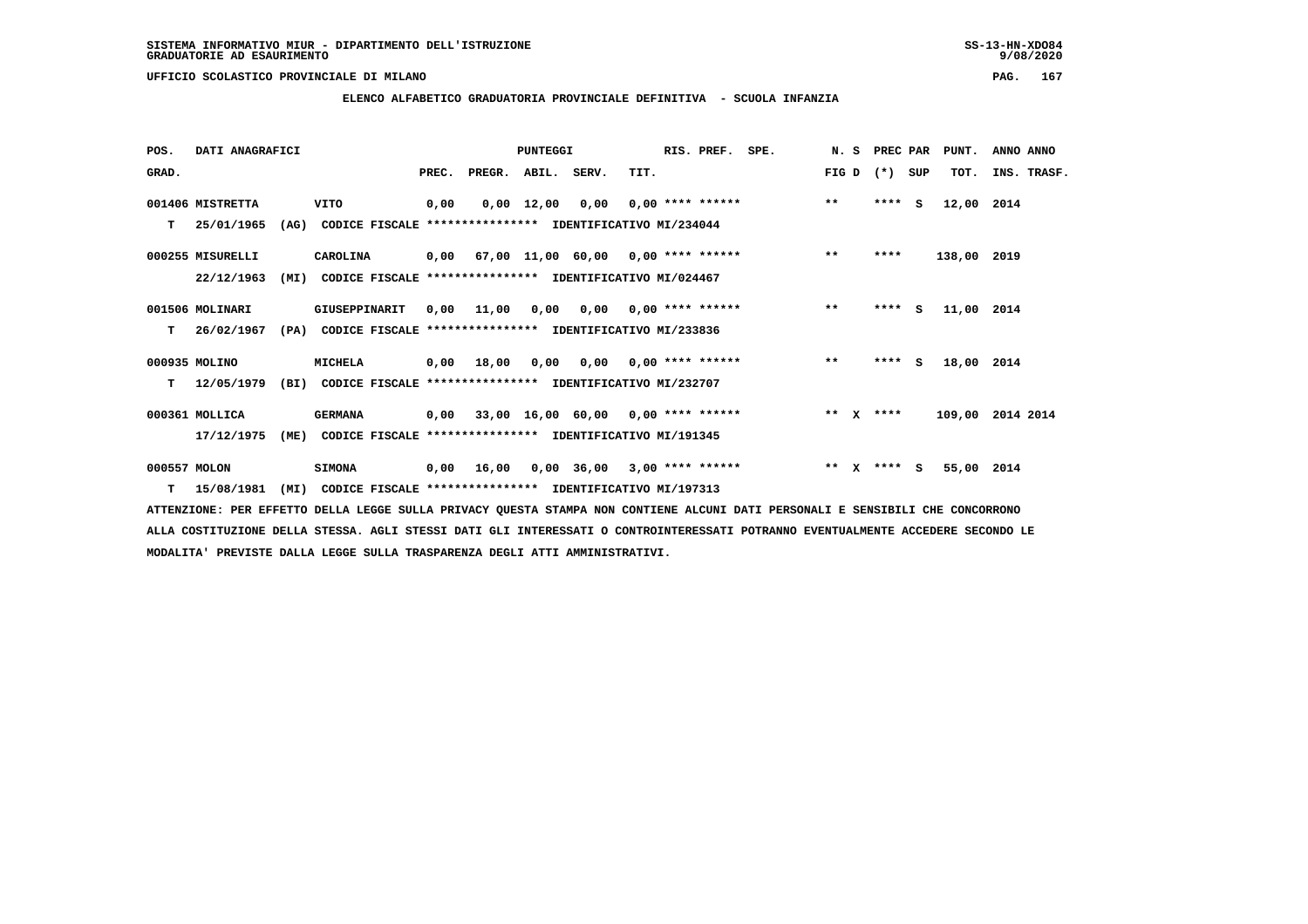## **ELENCO ALFABETICO GRADUATORIA PROVINCIALE DEFINITIVA - SCUOLA INFANZIA**

 **POS. DATI ANAGRAFICI PUNTEGGI RIS. PREF. SPE. N. S PREC PAR PUNT. ANNO ANNO**GRAD. **BRAD. PREC. PREGR. ABIL. SERV.** TIT. THE REGREATER FIG D (\*) SUP TOT. INS. TRASF.  **001406 MISTRETTA VITO 0,00 0,00 12,00 0,00 0,00 \*\*\*\* \*\*\*\*\*\* \*\* \*\*\*\* S 12,00 2014 T 25/01/1965 (AG) CODICE FISCALE \*\*\*\*\*\*\*\*\*\*\*\*\*\*\*\* IDENTIFICATIVO MI/234044 000255 MISURELLI CAROLINA 0,00 67,00 11,00 60,00 0,00 \*\*\*\* \*\*\*\*\*\* \*\* \*\*\*\* 138,00 2019 22/12/1963 (MI) CODICE FISCALE \*\*\*\*\*\*\*\*\*\*\*\*\*\*\*\* IDENTIFICATIVO MI/024467 001506 MOLINARI GIUSEPPINARIT 0,00 11,00 0,00 0,00 0,00 \*\*\*\* \*\*\*\*\*\* \*\* \*\*\*\* S 11,00 2014 T 26/02/1967 (PA) CODICE FISCALE \*\*\*\*\*\*\*\*\*\*\*\*\*\*\*\* IDENTIFICATIVO MI/233836 000935 MOLINO MICHELA 0,00 18,00 0,00 0,00 0,00 \*\*\*\* \*\*\*\*\*\* \*\* \*\*\*\* S 18,00 2014 T 12/05/1979 (BI) CODICE FISCALE \*\*\*\*\*\*\*\*\*\*\*\*\*\*\*\* IDENTIFICATIVO MI/232707 000361 MOLLICA GERMANA 0,00 33,00 16,00 60,00 0,00 \*\*\*\* \*\*\*\*\*\* \*\* X \*\*\*\* 109,00 2014 2014 17/12/1975 (ME) CODICE FISCALE \*\*\*\*\*\*\*\*\*\*\*\*\*\*\*\* IDENTIFICATIVO MI/191345 000557 MOLON SIMONA 0,00 16,00 0,00 36,00 3,00 \*\*\*\* \*\*\*\*\*\* \*\* X \*\*\*\* S 55,00 2014 T 15/08/1981 (MI) CODICE FISCALE \*\*\*\*\*\*\*\*\*\*\*\*\*\*\*\* IDENTIFICATIVO MI/197313**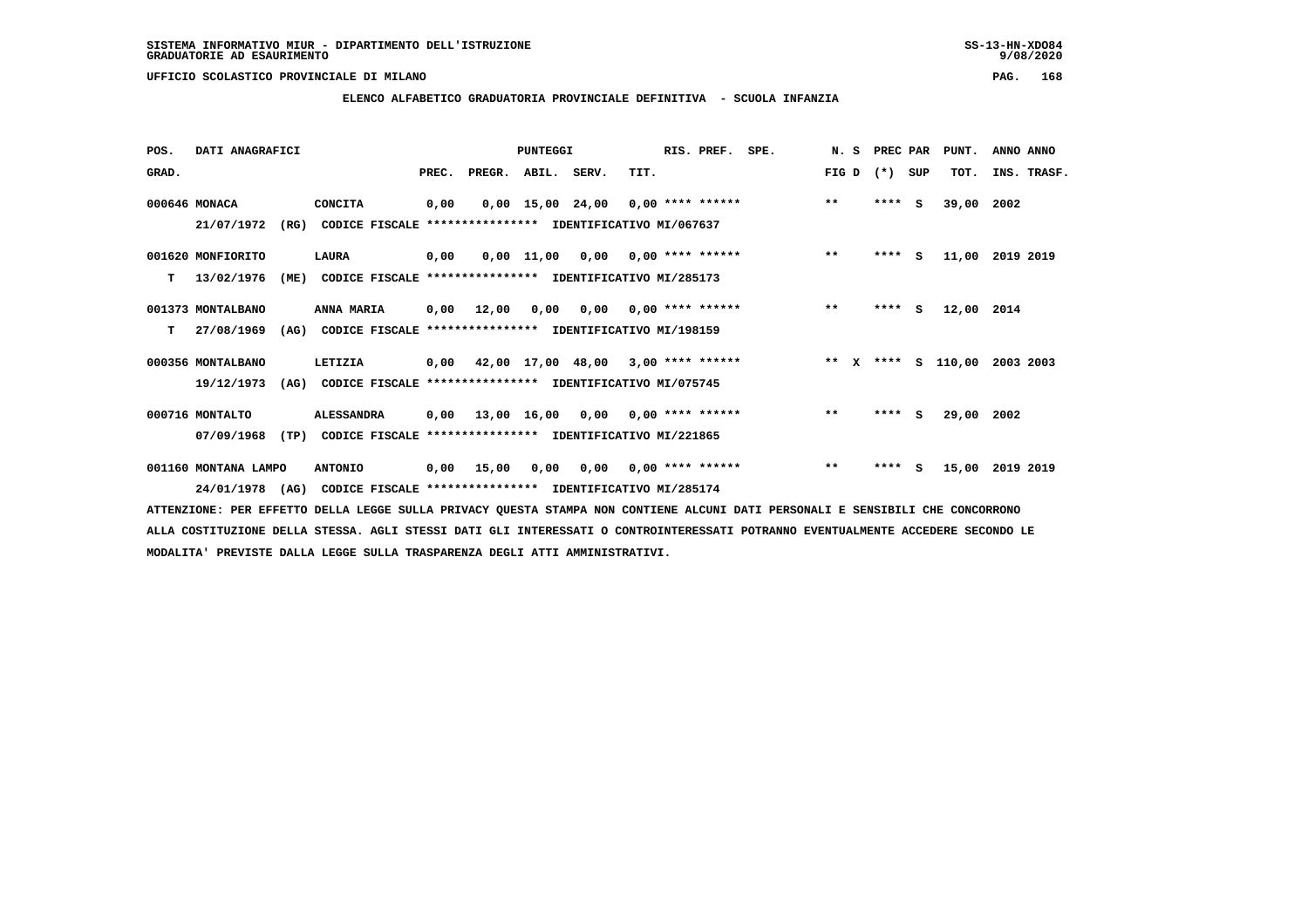$9/08/2020$ 

## **UFFICIO SCOLASTICO PROVINCIALE DI MILANO PAG. 168**

# **ELENCO ALFABETICO GRADUATORIA PROVINCIALE DEFINITIVA - SCUOLA INFANZIA**

| POS.  | DATI ANAGRAFICI      |      |                                                          |       |                                           | <b>PUNTEGGI</b>    |                   |                    | RIS. PREF. | SPE. |              | N. S PREC PAR |         |          | PUNT.         | ANNO ANNO |             |
|-------|----------------------|------|----------------------------------------------------------|-------|-------------------------------------------|--------------------|-------------------|--------------------|------------|------|--------------|---------------|---------|----------|---------------|-----------|-------------|
| GRAD. |                      |      |                                                          | PREC. | PREGR. ABIL. SERV.                        |                    |                   | TIT.               |            |      | FIG D        |               | $(*)$   | SUP      | TOT.          |           | INS. TRASF. |
|       | 000646 MONACA        |      | <b>CONCITA</b>                                           | 0,00  |                                           | $0,00$ 15,00 24,00 |                   | $0.00$ **** ****** |            |      | $***$        |               | $***$ S |          | 39,00         | 2002      |             |
|       | 21/07/1972           | (RG) | CODICE FISCALE **************** IDENTIFICATIVO MI/067637 |       |                                           |                    |                   |                    |            |      |              |               |         |          |               |           |             |
|       | 001620 MONFIORITO    |      | LAURA                                                    | 0,00  |                                           |                    | 0,00 11,00 0,00   | $0.00$ **** ****** |            |      | $***$        |               | ****    | <b>S</b> | 11,00         | 2019 2019 |             |
| т     | 13/02/1976           | (ME) | CODICE FISCALE **************** IDENTIFICATIVO MI/285173 |       |                                           |                    |                   |                    |            |      |              |               |         |          |               |           |             |
|       | 001373 MONTALBANO    |      | ANNA MARIA                                               |       | 0,00 12,00                                | 0,00               | 0.00              | $0.00$ **** ****** |            |      | $***$        |               | $***$ S |          | 12,00 2014    |           |             |
| т     | 27/08/1969           | (AG) | CODICE FISCALE **************** IDENTIFICATIVO MI/198159 |       |                                           |                    |                   |                    |            |      |              |               |         |          |               |           |             |
|       | 000356 MONTALBANO    |      | LETIZIA                                                  | 0,00  |                                           |                    | 42,00 17,00 48,00 | $3,00$ **** ****** |            |      | ** $X$       |               |         |          | **** S 110,00 | 2003 2003 |             |
|       | 19/12/1973           | (AG) | CODICE FISCALE **************** IDENTIFICATIVO MI/075745 |       |                                           |                    |                   |                    |            |      |              |               |         |          |               |           |             |
|       | 000716 MONTALTO      |      | <b>ALESSANDRA</b>                                        |       | $0,00$ 13,00 16,00 0,00 0,00 **** ******  |                    |                   |                    |            |      | $***$        |               | $***$ S |          | 29,00         | 2002      |             |
|       | 07/09/1968           | (TP) | CODICE FISCALE                                           |       | **************** IDENTIFICATIVO MI/221865 |                    |                   |                    |            |      |              |               |         |          |               |           |             |
|       | 001160 MONTANA LAMPO |      | <b>ANTONIO</b>                                           | 0,00  | 15,00                                     | 0,00               | 0,00              | $0.00$ **** ****** |            |      | $\star\star$ |               | ****    | S.       | 15,00         | 2019 2019 |             |
|       | 24/01/1978 (AG)      |      | CODICE FISCALE **************** IDENTIFICATIVO MI/285174 |       |                                           |                    |                   |                    |            |      |              |               |         |          |               |           |             |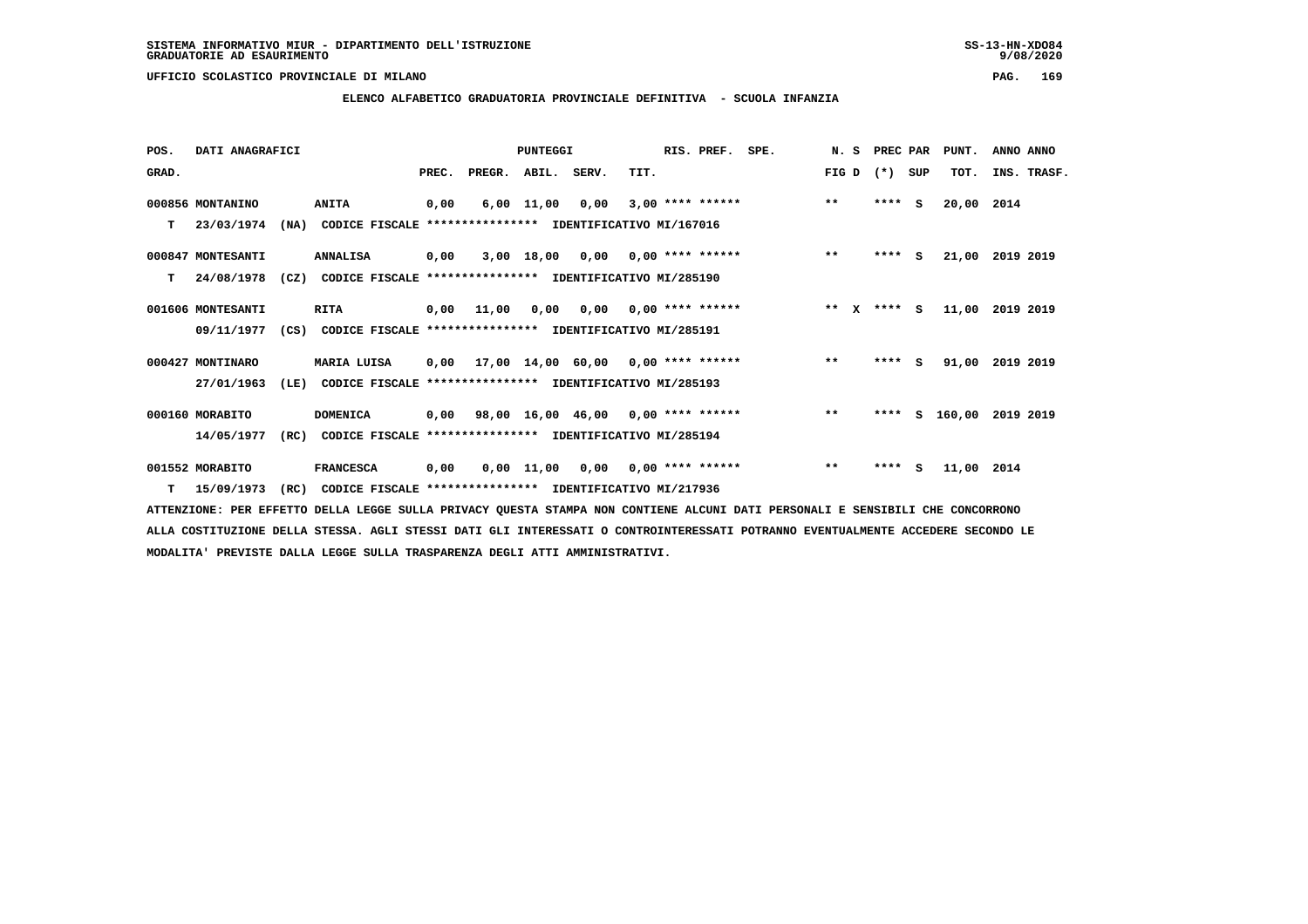**ELENCO ALFABETICO GRADUATORIA PROVINCIALE DEFINITIVA - SCUOLA INFANZIA**

 **POS. DATI ANAGRAFICI PUNTEGGI RIS. PREF. SPE. N. S PREC PAR PUNT. ANNO ANNO**GRAD. **PREGRADE SERVEGER. ABIL. SERV. TIT.** FIG D (\*) SUP TOT. INS. TRASF.  **000856 MONTANINO ANITA 0,00 6,00 11,00 0,00 3,00 \*\*\*\* \*\*\*\*\*\* \*\* \*\*\*\* S 20,00 2014 T 23/03/1974 (NA) CODICE FISCALE \*\*\*\*\*\*\*\*\*\*\*\*\*\*\*\* IDENTIFICATIVO MI/167016 000847 MONTESANTI ANNALISA 0,00 3,00 18,00 0,00 0,00 \*\*\*\* \*\*\*\*\*\* \*\* \*\*\*\* S 21,00 2019 2019 T 24/08/1978 (CZ) CODICE FISCALE \*\*\*\*\*\*\*\*\*\*\*\*\*\*\*\* IDENTIFICATIVO MI/285190 001606 MONTESANTI RITA 0,00 11,00 0,00 0,00 0,00 \*\*\*\* \*\*\*\*\*\* \*\* X \*\*\*\* S 11,00 2019 2019 09/11/1977 (CS) CODICE FISCALE \*\*\*\*\*\*\*\*\*\*\*\*\*\*\*\* IDENTIFICATIVO MI/285191 000427 MONTINARO MARIA LUISA 0,00 17,00 14,00 60,00 0,00 \*\*\*\* \*\*\*\*\*\* \*\* \*\*\*\* S 91,00 2019 2019 27/01/1963 (LE) CODICE FISCALE \*\*\*\*\*\*\*\*\*\*\*\*\*\*\*\* IDENTIFICATIVO MI/285193 000160 MORABITO DOMENICA 0,00 98,00 16,00 46,00 0,00 \*\*\*\* \*\*\*\*\*\* \*\* \*\*\*\* S 160,00 2019 2019**

 **14/05/1977 (RC) CODICE FISCALE \*\*\*\*\*\*\*\*\*\*\*\*\*\*\*\* IDENTIFICATIVO MI/285194**

 **001552 MORABITO FRANCESCA 0,00 0,00 11,00 0,00 0,00 \*\*\*\* \*\*\*\*\*\* \*\* \*\*\*\* S 11,00 2014**

 **T 15/09/1973 (RC) CODICE FISCALE \*\*\*\*\*\*\*\*\*\*\*\*\*\*\*\* IDENTIFICATIVO MI/217936**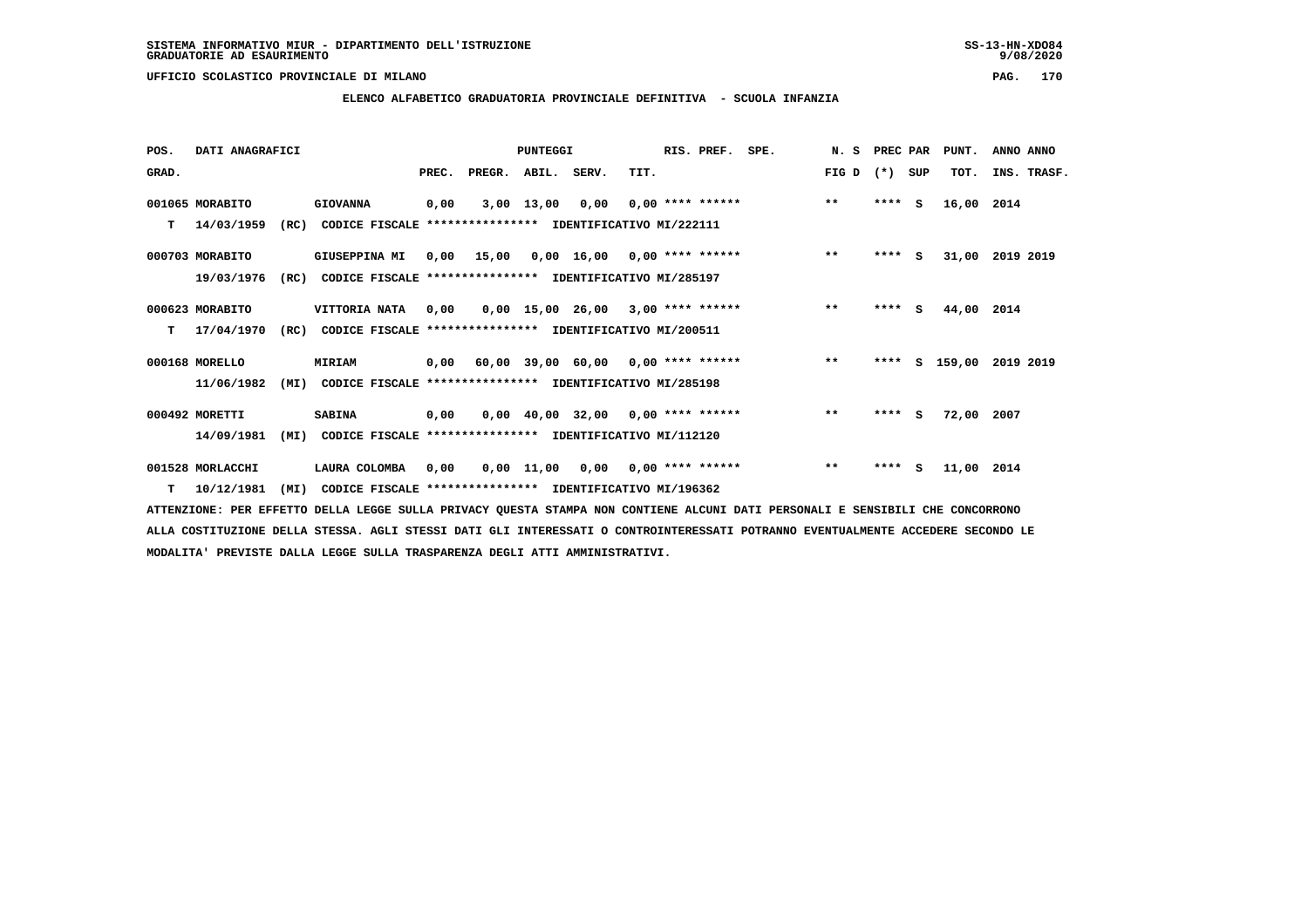**ELENCO ALFABETICO GRADUATORIA PROVINCIALE DEFINITIVA - SCUOLA INFANZIA**

 **POS. DATI ANAGRAFICI PUNTEGGI RIS. PREF. SPE. N. S PREC PAR PUNT. ANNO ANNO**GRAD. **BRAD. PREC. PREGR. ABIL. SERV.** TIT. THE REGREATER FIG D (\*) SUP TOT. INS. TRASF.  **001065 MORABITO GIOVANNA 0,00 3,00 13,00 0,00 0,00 \*\*\*\* \*\*\*\*\*\* \*\* \*\*\*\* S 16,00 2014 T 14/03/1959 (RC) CODICE FISCALE \*\*\*\*\*\*\*\*\*\*\*\*\*\*\*\* IDENTIFICATIVO MI/222111 000703 MORABITO GIUSEPPINA MI 0,00 15,00 0,00 16,00 0,00 \*\*\*\* \*\*\*\*\*\* \*\* \*\*\*\* S 31,00 2019 2019 19/03/1976 (RC) CODICE FISCALE \*\*\*\*\*\*\*\*\*\*\*\*\*\*\*\* IDENTIFICATIVO MI/285197 000623 MORABITO VITTORIA NATA 0,00 0,00 15,00 26,00 3,00 \*\*\*\* \*\*\*\*\*\* \*\* \*\*\*\* S 44,00 2014 T 17/04/1970 (RC) CODICE FISCALE \*\*\*\*\*\*\*\*\*\*\*\*\*\*\*\* IDENTIFICATIVO MI/200511 000168 MORELLO MIRIAM 0,00 60,00 39,00 60,00 0,00 \*\*\*\* \*\*\*\*\*\* \*\* \*\*\*\* S 159,00 2019 2019 11/06/1982 (MI) CODICE FISCALE \*\*\*\*\*\*\*\*\*\*\*\*\*\*\*\* IDENTIFICATIVO MI/285198 000492 MORETTI SABINA 0,00 0,00 40,00 32,00 0,00 \*\*\*\* \*\*\*\*\*\* \*\* \*\*\*\* S 72,00 2007 14/09/1981 (MI) CODICE FISCALE \*\*\*\*\*\*\*\*\*\*\*\*\*\*\*\* IDENTIFICATIVO MI/112120 001528 MORLACCHI LAURA COLOMBA 0,00 0,00 11,00 0,00 0,00 \*\*\*\* \*\*\*\*\*\* \*\* \*\*\*\* S 11,00 2014**

 **T 10/12/1981 (MI) CODICE FISCALE \*\*\*\*\*\*\*\*\*\*\*\*\*\*\*\* IDENTIFICATIVO MI/196362**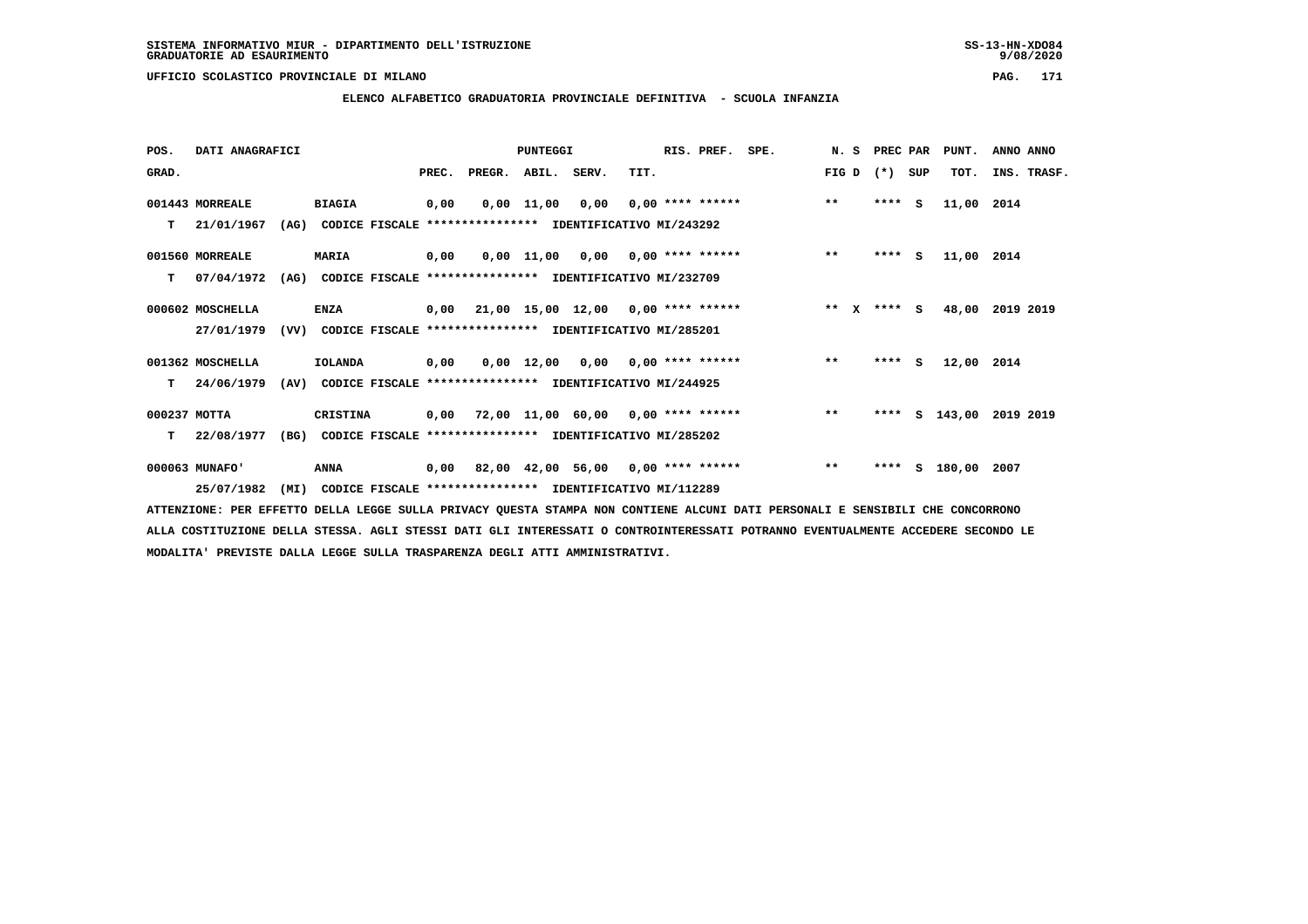**ELENCO ALFABETICO GRADUATORIA PROVINCIALE DEFINITIVA - SCUOLA INFANZIA**

 **POS. DATI ANAGRAFICI PUNTEGGI RIS. PREF. SPE. N. S PREC PAR PUNT. ANNO ANNO**

| GRAD.            |                                                               | PREC. | PREGR. ABIL. SERV. |                 | TIT.                                                     | FIGD $(*)$ SUP |         |               | TOT. INS. TRASF. |
|------------------|---------------------------------------------------------------|-------|--------------------|-----------------|----------------------------------------------------------|----------------|---------|---------------|------------------|
| 001443 MORREALE  | <b>BIAGIA</b>                                                 | 0,00  |                    | 0,00 11,00 0,00 | $0.00$ **** ******                                       | $\star\star$   | $***$ S | 11,00 2014    |                  |
| T.<br>21/01/1967 | (AG)<br>CODICE FISCALE                                        |       |                    |                 | **************** IDENTIFICATIVO MI/243292                |                |         |               |                  |
| 001560 MORREALE  | <b>MARIA</b>                                                  | 0,00  |                    |                 | $0,00$ 11,00 0,00 0,00 **** ******                       | $* *$          | $***$ S | 11,00 2014    |                  |
| 07/04/1972<br>T. | (AG)                                                          |       |                    |                 | CODICE FISCALE **************** IDENTIFICATIVO MI/232709 |                |         |               |                  |
| 000602 MOSCHELLA | <b>ENZA</b>                                                   |       |                    |                 | $0,00$ $21,00$ $15,00$ $12,00$ $0,00$ $***$ **** ******  | $***$ X        | $***$ S |               | 48,00 2019 2019  |
| 27/01/1979       | (VV)                                                          |       |                    |                 | CODICE FISCALE **************** IDENTIFICATIVO MI/285201 |                |         |               |                  |
| 001362 MOSCHELLA | <b>IOLANDA</b>                                                | 0,00  |                    |                 | $0,00$ 12,00 0,00 0,00 **** ******                       | $***$          | $***$ S | 12,00 2014    |                  |
| T 24/06/1979     | (AV) CODICE FISCALE **************** IDENTIFICATIVO MI/244925 |       |                    |                 |                                                          |                |         |               |                  |
| 000237 MOTTA     | CRISTINA                                                      |       |                    |                 | $0,00$ 72,00 11,00 60,00 0,00 **** ******                | $***$          |         | **** S 143,00 | 2019 2019        |
| 22/08/1977<br>T. | (BG)                                                          |       |                    |                 | CODICE FISCALE **************** IDENTIFICATIVO MI/285202 |                |         |               |                  |
| 000063 MUNAFO'   | ANNA                                                          |       |                    |                 | 0,00 82,00 42,00 56,00 0,00 **** ******                  | $* *$          | ****    | S 180,00 2007 |                  |
| 25/07/1982       | (MI)                                                          |       |                    |                 | CODICE FISCALE **************** IDENTIFICATIVO MI/112289 |                |         |               |                  |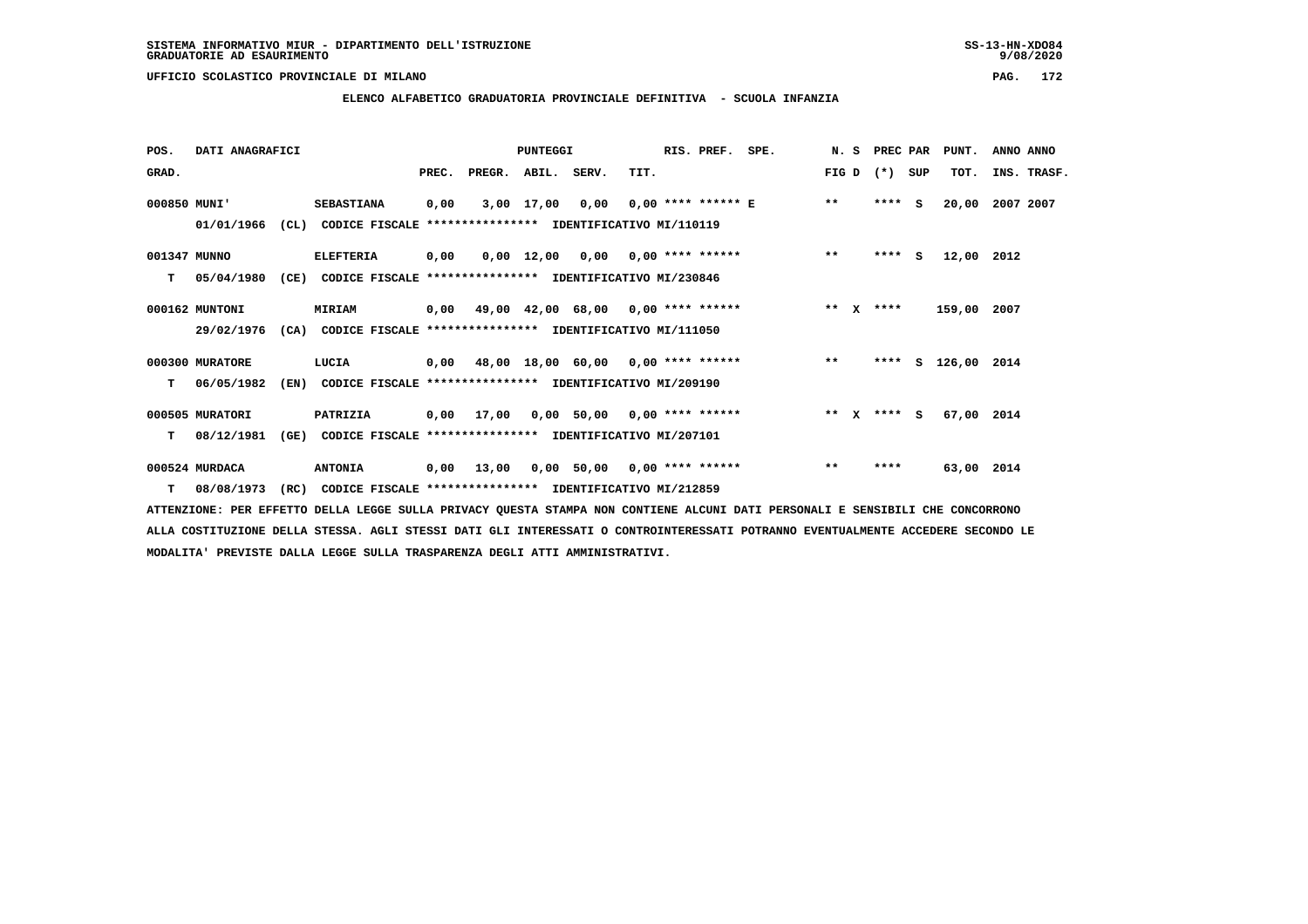$9/08/2020$ 

### **UFFICIO SCOLASTICO PROVINCIALE DI MILANO PAG. 172**

# **ELENCO ALFABETICO GRADUATORIA PROVINCIALE DEFINITIVA - SCUOLA INFANZIA**

| POS.         | DATI ANAGRAFICI |      |                                                                         |       |                    | PUNTEGGI |                                                              |      | RIS. PREF. | SPE.                                    | N. S    | PREC PAR |     | PUNT.              | ANNO ANNO   |  |
|--------------|-----------------|------|-------------------------------------------------------------------------|-------|--------------------|----------|--------------------------------------------------------------|------|------------|-----------------------------------------|---------|----------|-----|--------------------|-------------|--|
| GRAD.        |                 |      |                                                                         | PREC. | PREGR. ABIL. SERV. |          |                                                              | TIT. |            |                                         | FIG D   | $(*)$    | SUP | TOT.               | INS. TRASF. |  |
| 000850 MUNI' |                 |      | <b>SEBASTIANA</b>                                                       | 0,00  |                    |          | 3,00 17,00 0,00                                              |      |            | $0.00$ **** ****** E **                 |         | $***$ S  |     | 20,00              | 2007 2007   |  |
|              |                 |      | 01/01/1966 (CL) CODICE FISCALE *************** IDENTIFICATIVO MI/110119 |       |                    |          |                                                              |      |            |                                         |         |          |     |                    |             |  |
| 001347 MUNNO |                 |      | <b>ELEFTERIA</b>                                                        | 0,00  |                    |          | $0.00 \quad 12.00 \quad 0.00 \quad 0.00 \quad *** \quad ***$ |      |            |                                         | $***$   | $***$ S  |     | 12,00 2012         |             |  |
| т            | 05/04/1980      | (CE) | CODICE FISCALE **************** IDENTIFICATIVO MI/230846                |       |                    |          |                                                              |      |            |                                         |         |          |     |                    |             |  |
|              | 000162 MUNTONI  |      | MIRIAM                                                                  |       |                    |          | 0,00 49,00 42,00 68,00 0,00 **** ******                      |      |            |                                         | $***$ X | ****     |     | 159,00 2007        |             |  |
|              |                 |      | 29/02/1976 (CA) CODICE FISCALE *************** IDENTIFICATIVO MI/111050 |       |                    |          |                                                              |      |            |                                         |         |          |     |                    |             |  |
|              | 000300 MURATORE |      | LUCIA                                                                   |       |                    |          |                                                              |      |            | 0,00 48,00 18,00 60,00 0,00 **** ****** | $***$   |          |     | **** S 126,00 2014 |             |  |
| т            | 06/05/1982      | (EN) | CODICE FISCALE **************** IDENTIFICATIVO MI/209190                |       |                    |          |                                                              |      |            |                                         |         |          |     |                    |             |  |
|              | 000505 MURATORI |      | PATRIZIA                                                                |       |                    |          | 0,00 17,00 0,00 50,00 0,00 **** ******                       |      |            | ** x **** s                             |         |          |     | 67,00 2014         |             |  |
| т            | 08/12/1981      | (GE) | CODICE FISCALE **************** IDENTIFICATIVO MI/207101                |       |                    |          |                                                              |      |            |                                         |         |          |     |                    |             |  |
|              | 000524 MURDACA  |      | <b>ANTONIA</b>                                                          | 0,00  | 13,00              |          | 0,00 50,00 0,00 **** ******                                  |      |            |                                         | $* *$   | ****     |     | 63,00 2014         |             |  |
| T.           | 08/08/1973      |      | (RC) CODICE FISCALE **************** IDENTIFICATIVO MI/212859           |       |                    |          |                                                              |      |            |                                         |         |          |     |                    |             |  |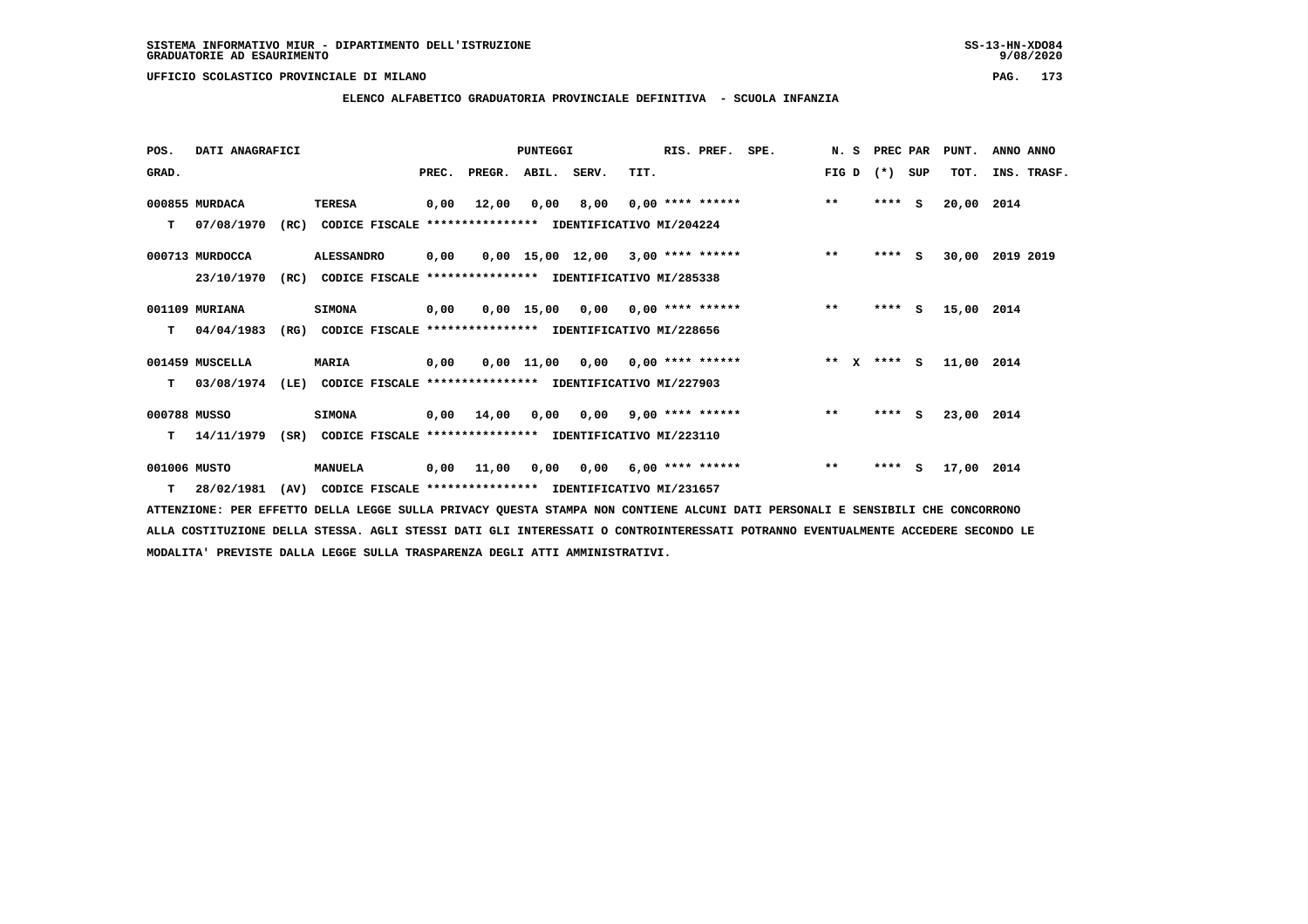$9/08/2020$ 

### **UFFICIO SCOLASTICO PROVINCIALE DI MILANO PAG. 173**

## **ELENCO ALFABETICO GRADUATORIA PROVINCIALE DEFINITIVA - SCUOLA INFANZIA**

| POS.         | DATI ANAGRAFICI |      |                                                          |       |                                           | <b>PUNTEGGI</b> |                                     |      | RIS. PREF.                | SPE. | N.S    |         | PREC PAR | PUNT.      | ANNO ANNO       |
|--------------|-----------------|------|----------------------------------------------------------|-------|-------------------------------------------|-----------------|-------------------------------------|------|---------------------------|------|--------|---------|----------|------------|-----------------|
| GRAD.        |                 |      |                                                          | PREC. | PREGR.                                    | ABIL. SERV.     |                                     | TIT. |                           |      | FIG D  | $(*)$   | SUP      | TOT.       | INS. TRASF.     |
|              | 000855 MURDACA  |      | <b>TERESA</b>                                            | 0,00  | 12,00                                     | 0,00            | 8,00                                |      | $0,00$ **** ******        |      | $***$  | $***$ S |          | 20,00 2014 |                 |
| т            | 07/08/1970      | (RC) | CODICE FISCALE **************** IDENTIFICATIVO MI/204224 |       |                                           |                 |                                     |      |                           |      |        |         |          |            |                 |
|              | 000713 MURDOCCA |      | <b>ALESSANDRO</b>                                        | 0,00  |                                           |                 | $0,00$ 15,00 12,00 3,00 **** ****** |      |                           |      | $***$  | $***$ S |          |            | 30,00 2019 2019 |
|              | 23/10/1970      | (RC) | CODICE FISCALE                                           |       | **************** IDENTIFICATIVO MI/285338 |                 |                                     |      |                           |      |        |         |          |            |                 |
|              | 001109 MURIANA  |      | <b>SIMONA</b>                                            | 0,00  |                                           | 0,00 15,00      |                                     |      | $0,00$ $0,00$ **** ****** |      | $***$  | ****    | s.       | 15,00 2014 |                 |
| т            | 04/04/1983      | (RG) | CODICE FISCALE **************** IDENTIFICATIVO MI/228656 |       |                                           |                 |                                     |      |                           |      |        |         |          |            |                 |
|              | 001459 MUSCELLA |      | <b>MARIA</b>                                             | 0,00  |                                           |                 | $0.00$ 11,00 0.00 0.00 **** ******  |      |                           |      | ** $X$ | $***$ S |          | 11,00 2014 |                 |
| т            | 03/08/1974      | (LE) | CODICE FISCALE **************** IDENTIFICATIVO MI/227903 |       |                                           |                 |                                     |      |                           |      |        |         |          |            |                 |
| 000788 MUSSO |                 |      | <b>SIMONA</b>                                            |       | $0,00$ $14,00$                            | 0,00            |                                     |      | $0,00$ 9,00 **** ******   |      | $**$   | $***$ S |          | 23,00 2014 |                 |
| т            | 14/11/1979      | (SR) | CODICE FISCALE **************** IDENTIFICATIVO MI/223110 |       |                                           |                 |                                     |      |                           |      |        |         |          |            |                 |
| 001006 MUSTO |                 |      | <b>MANUELA</b>                                           | 0,00  | 11,00                                     | 0,00            | 0,00                                |      | 6,00 **** ******          |      | $***$  | $***$ S |          | 17,00 2014 |                 |
| T.           | 28/02/1981      | (AV) | CODICE FISCALE **************** IDENTIFICATIVO MI/231657 |       |                                           |                 |                                     |      |                           |      |        |         |          |            |                 |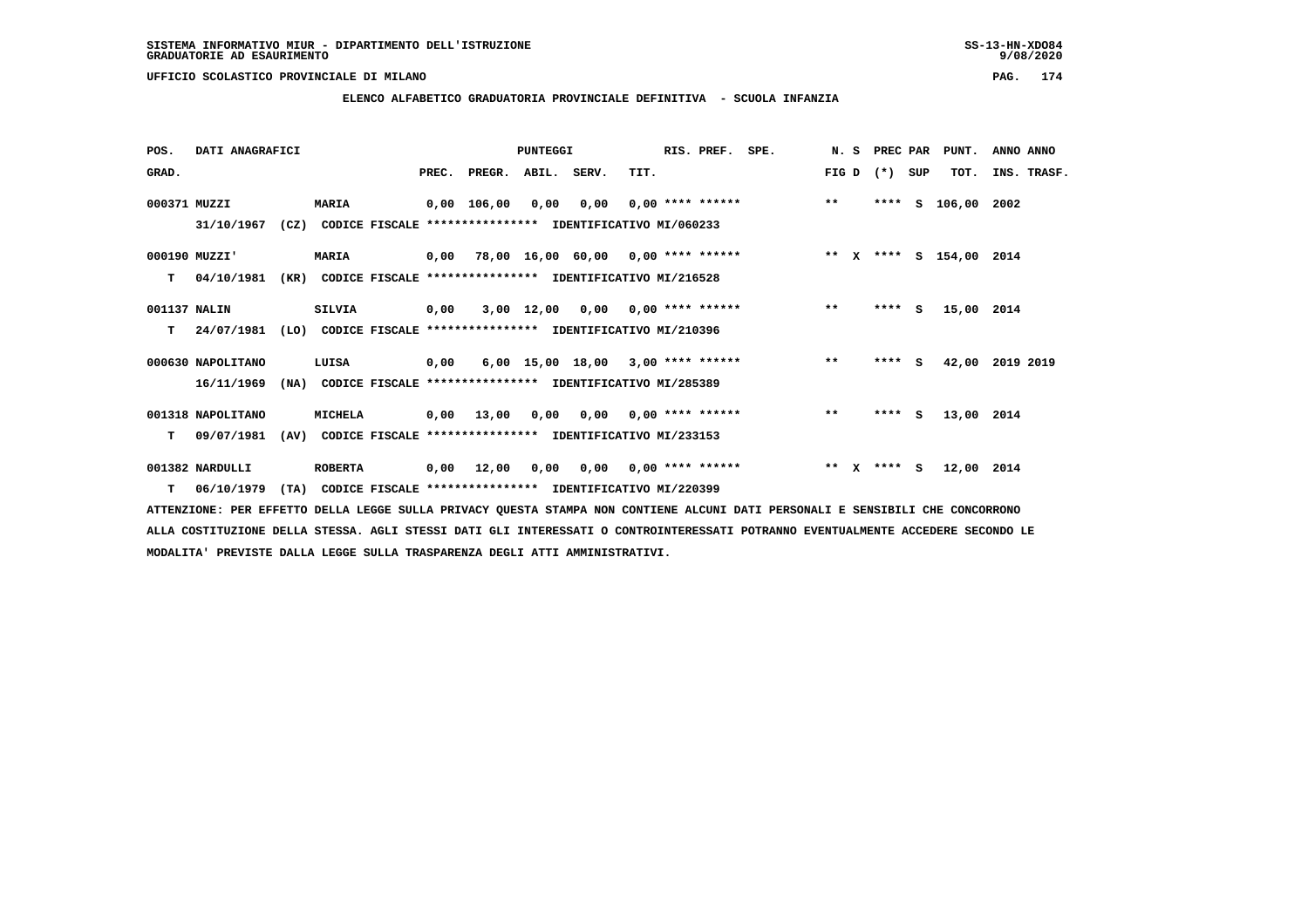## **ELENCO ALFABETICO GRADUATORIA PROVINCIALE DEFINITIVA - SCUOLA INFANZIA**

| POS.         | DATI ANAGRAFICI   |      |                                                               |       |             | <b>PUNTEGGI</b> |                 |                                        | RIS. PREF. | SPE.               |              |              | N. S PREC PAR |     | PUNT.       | ANNO ANNO   |
|--------------|-------------------|------|---------------------------------------------------------------|-------|-------------|-----------------|-----------------|----------------------------------------|------------|--------------------|--------------|--------------|---------------|-----|-------------|-------------|
| GRAD.        |                   |      |                                                               | PREC. | PREGR.      | ABIL. SERV.     |                 | TIT.                                   |            |                    | FIG D        |              | $(* )$        | SUP | TOT.        | INS. TRASF. |
| 000371 MUZZI |                   |      | <b>MARIA</b>                                                  |       | 0,00 106,00 | 0,00            | 0,00            |                                        |            | $0.00$ **** ****** | $***$        |              | ****          | s   | 106,00 2002 |             |
|              | 31/10/1967        |      | (CZ) CODICE FISCALE **************** IDENTIFICATIVO MI/060233 |       |             |                 |                 |                                        |            |                    |              |              |               |     |             |             |
|              | 000190 MUZZI'     |      | <b>MARIA</b>                                                  |       |             |                 |                 |                                        |            |                    |              |              |               |     |             |             |
| т            | 04/10/1981        | (KR) | CODICE FISCALE **************** IDENTIFICATIVO MI/216528      |       |             |                 |                 |                                        |            |                    |              |              |               |     |             |             |
| 001137 NALIN |                   |      | <b>SILVIA</b>                                                 | 0,00  |             |                 | 3,00 12,00 0,00 | $0.00$ **** ******                     |            |                    | $**$         |              | ****          | s.  | 15,00 2014  |             |
| т            | 24/07/1981        |      | (LO) CODICE FISCALE **************** IDENTIFICATIVO MI/210396 |       |             |                 |                 |                                        |            |                    |              |              |               |     |             |             |
|              | 000630 NAPOLITANO |      | LUISA                                                         | 0,00  |             |                 |                 | 6,00 15,00 18,00 3,00 **** ******      |            |                    | $* *$        |              | $***$ S       |     | 42,00       | 2019 2019   |
|              | 16/11/1969        | (NA) | CODICE FISCALE **************** IDENTIFICATIVO MI/285389      |       |             |                 |                 |                                        |            |                    |              |              |               |     |             |             |
|              | 001318 NAPOLITANO |      | MICHELA                                                       |       | 0,00 13,00  |                 |                 | $0.00$ $0.00$ $0.00$ $***$ **** ****** |            |                    | $\star\star$ |              | $***$ S       |     | 13,00 2014  |             |
| т            | 09/07/1981        | (AV) | CODICE FISCALE **************** IDENTIFICATIVO MI/233153      |       |             |                 |                 |                                        |            |                    |              |              |               |     |             |             |
|              | 001382 NARDULLI   |      | <b>ROBERTA</b>                                                | 0,00  | 12,00       | 0,00            |                 | $0.00$ $0.00$ $***$ **** ******        |            |                    | $* *$        | $\mathbf{x}$ | **** S        |     | 12,00 2014  |             |
| T.           | 06/10/1979        |      | (TA) CODICE FISCALE **************** IDENTIFICATIVO MI/220399 |       |             |                 |                 |                                        |            |                    |              |              |               |     |             |             |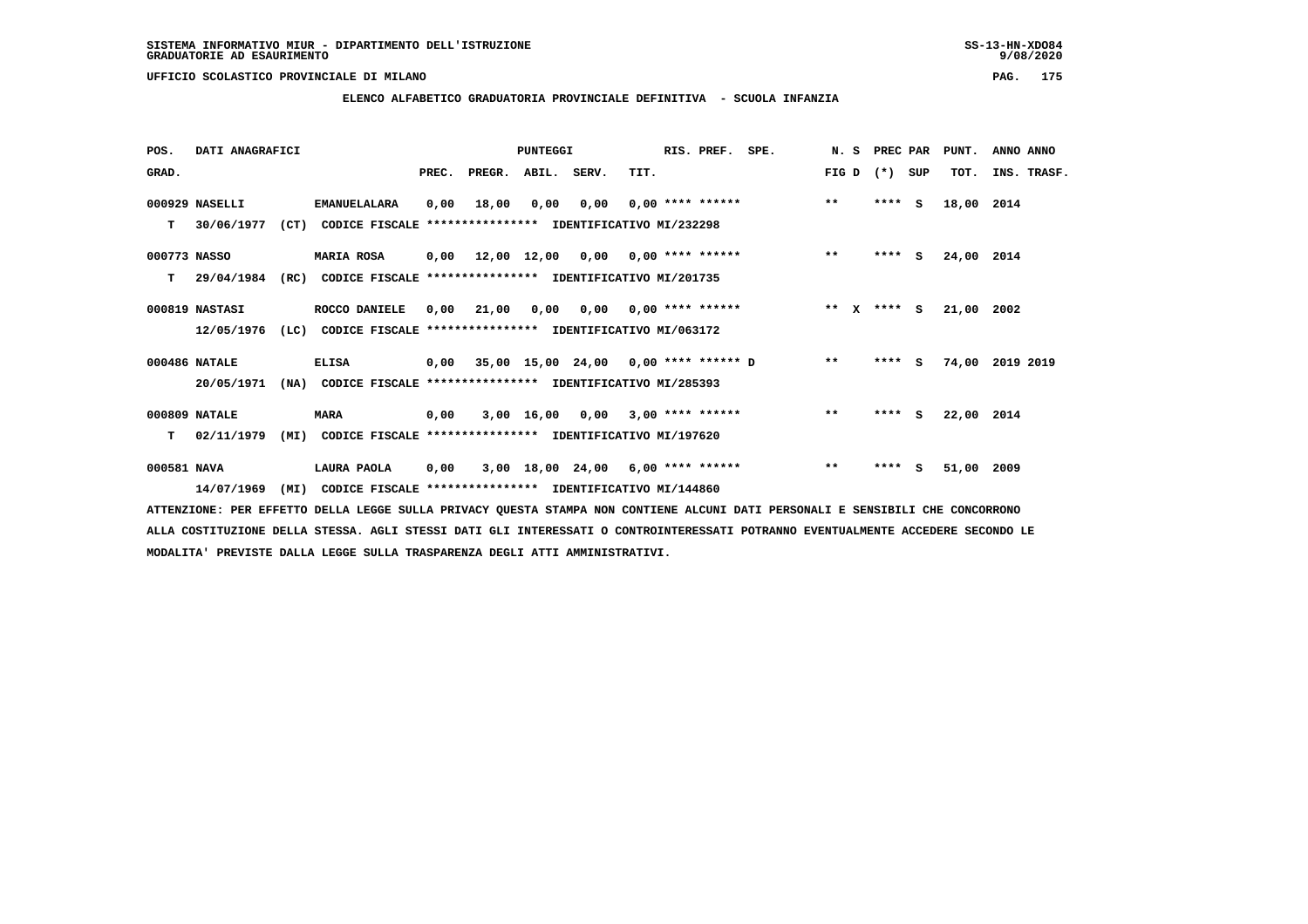**ELENCO ALFABETICO GRADUATORIA PROVINCIALE DEFINITIVA - SCUOLA INFANZIA**

 **POS. DATI ANAGRAFICI PUNTEGGI RIS. PREF. SPE. N. S PREC PAR PUNT. ANNO ANNO**GRAD. **BRAD. PREC. PREGR. ABIL. SERV.** TIT. THE REGREATER FIG D (\*) SUP TOT. INS. TRASF.  **000929 NASELLI EMANUELALARA 0,00 18,00 0,00 0,00 0,00 \*\*\*\* \*\*\*\*\*\* \*\* \*\*\*\* S 18,00 2014 T 30/06/1977 (CT) CODICE FISCALE \*\*\*\*\*\*\*\*\*\*\*\*\*\*\*\* IDENTIFICATIVO MI/232298 000773 NASSO MARIA ROSA 0,00 12,00 12,00 0,00 0,00 \*\*\*\* \*\*\*\*\*\* \*\* \*\*\*\* S 24,00 2014 T 29/04/1984 (RC) CODICE FISCALE \*\*\*\*\*\*\*\*\*\*\*\*\*\*\*\* IDENTIFICATIVO MI/201735 000819 NASTASI ROCCO DANIELE 0,00 21,00 0,00 0,00 0,00 \*\*\*\* \*\*\*\*\*\* \*\* X \*\*\*\* S 21,00 2002 12/05/1976 (LC) CODICE FISCALE \*\*\*\*\*\*\*\*\*\*\*\*\*\*\*\* IDENTIFICATIVO MI/063172 000486 NATALE ELISA 0,00 35,00 15,00 24,00 0,00 \*\*\*\* \*\*\*\*\*\* D \*\* \*\*\*\* S 74,00 2019 2019 20/05/1971 (NA) CODICE FISCALE \*\*\*\*\*\*\*\*\*\*\*\*\*\*\*\* IDENTIFICATIVO MI/285393 000809 NATALE MARA 0,00 3,00 16,00 0,00 3,00 \*\*\*\* \*\*\*\*\*\* \*\* \*\*\*\* S 22,00 2014 T 02/11/1979 (MI) CODICE FISCALE \*\*\*\*\*\*\*\*\*\*\*\*\*\*\*\* IDENTIFICATIVO MI/197620**

 **000581 NAVA LAURA PAOLA 0,00 3,00 18,00 24,00 6,00 \*\*\*\* \*\*\*\*\*\* \*\* \*\*\*\* S 51,00 2009 14/07/1969 (MI) CODICE FISCALE \*\*\*\*\*\*\*\*\*\*\*\*\*\*\*\* IDENTIFICATIVO MI/144860**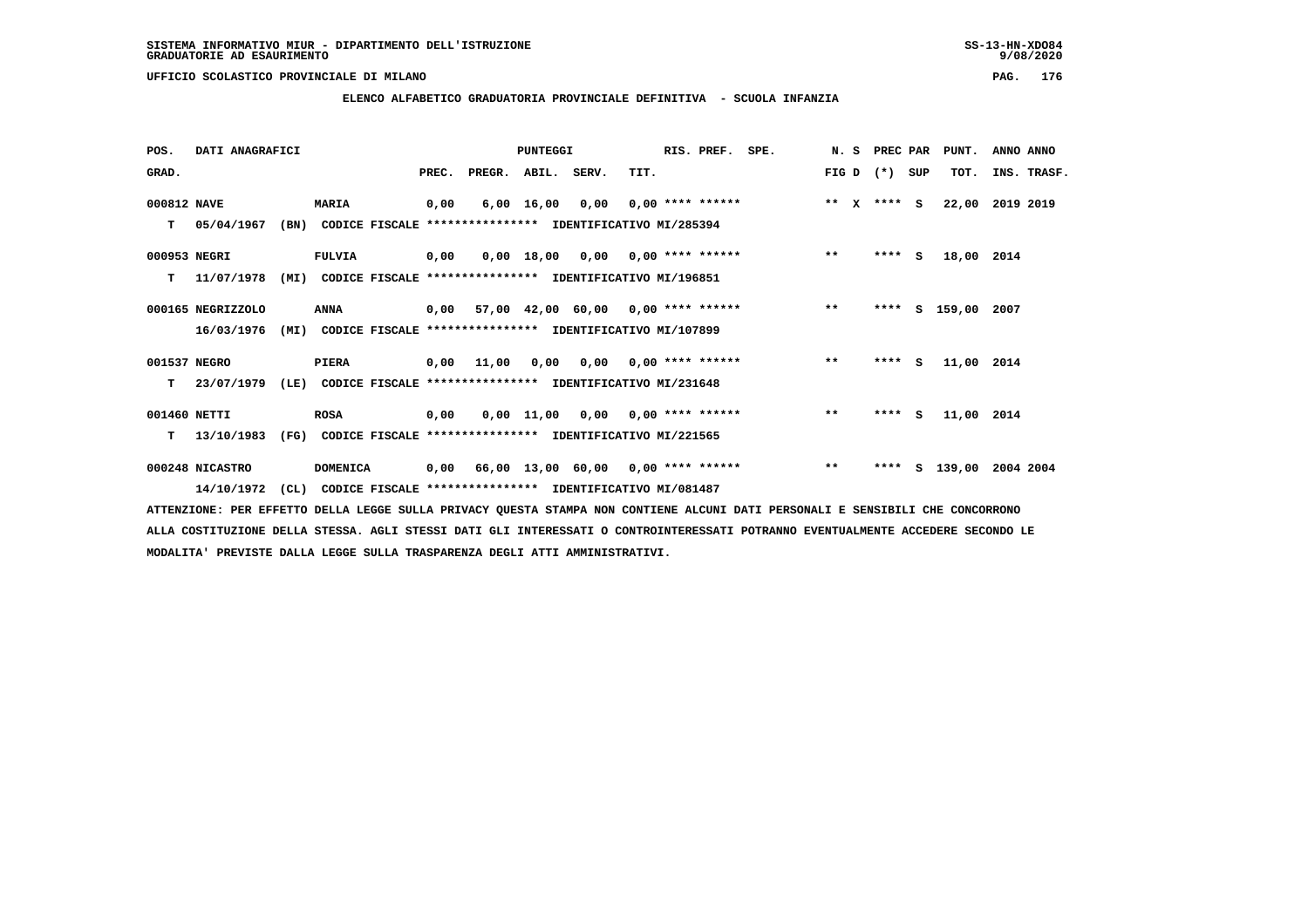**ELENCO ALFABETICO GRADUATORIA PROVINCIALE DEFINITIVA - SCUOLA INFANZIA**

 **POS. DATI ANAGRAFICI PUNTEGGI RIS. PREF. SPE. N. S PREC PAR PUNT. ANNO ANNO**GRAD. **BRAD. PREC. PREGR. ABIL. SERV.** TIT. THE REGREATER FIG D (\*) SUP TOT. INS. TRASF.  **000812 NAVE MARIA 0,00 6,00 16,00 0,00 0,00 \*\*\*\* \*\*\*\*\*\* \*\* X \*\*\*\* S 22,00 2019 2019 T 05/04/1967 (BN) CODICE FISCALE \*\*\*\*\*\*\*\*\*\*\*\*\*\*\*\* IDENTIFICATIVO MI/285394 000953 NEGRI FULVIA 0,00 0,00 18,00 0,00 0,00 \*\*\*\* \*\*\*\*\*\* \*\* \*\*\*\* S 18,00 2014 T 11/07/1978 (MI) CODICE FISCALE \*\*\*\*\*\*\*\*\*\*\*\*\*\*\*\* IDENTIFICATIVO MI/196851 000165 NEGRIZZOLO ANNA 0,00 57,00 42,00 60,00 0,00 \*\*\*\* \*\*\*\*\*\* \*\* \*\*\*\* S 159,00 2007 16/03/1976 (MI) CODICE FISCALE \*\*\*\*\*\*\*\*\*\*\*\*\*\*\*\* IDENTIFICATIVO MI/107899 001537 NEGRO PIERA 0,00 11,00 0,00 0,00 0,00 \*\*\*\* \*\*\*\*\*\* \*\* \*\*\*\* S 11,00 2014 T 23/07/1979 (LE) CODICE FISCALE \*\*\*\*\*\*\*\*\*\*\*\*\*\*\*\* IDENTIFICATIVO MI/231648 001460 NETTI ROSA 0,00 0,00 11,00 0,00 0,00 \*\*\*\* \*\*\*\*\*\* \*\* \*\*\*\* S 11,00 2014 T 13/10/1983 (FG) CODICE FISCALE \*\*\*\*\*\*\*\*\*\*\*\*\*\*\*\* IDENTIFICATIVO MI/221565**

 **000248 NICASTRO DOMENICA 0,00 66,00 13,00 60,00 0,00 \*\*\*\* \*\*\*\*\*\* \*\* \*\*\*\* S 139,00 2004 2004 14/10/1972 (CL) CODICE FISCALE \*\*\*\*\*\*\*\*\*\*\*\*\*\*\*\* IDENTIFICATIVO MI/081487**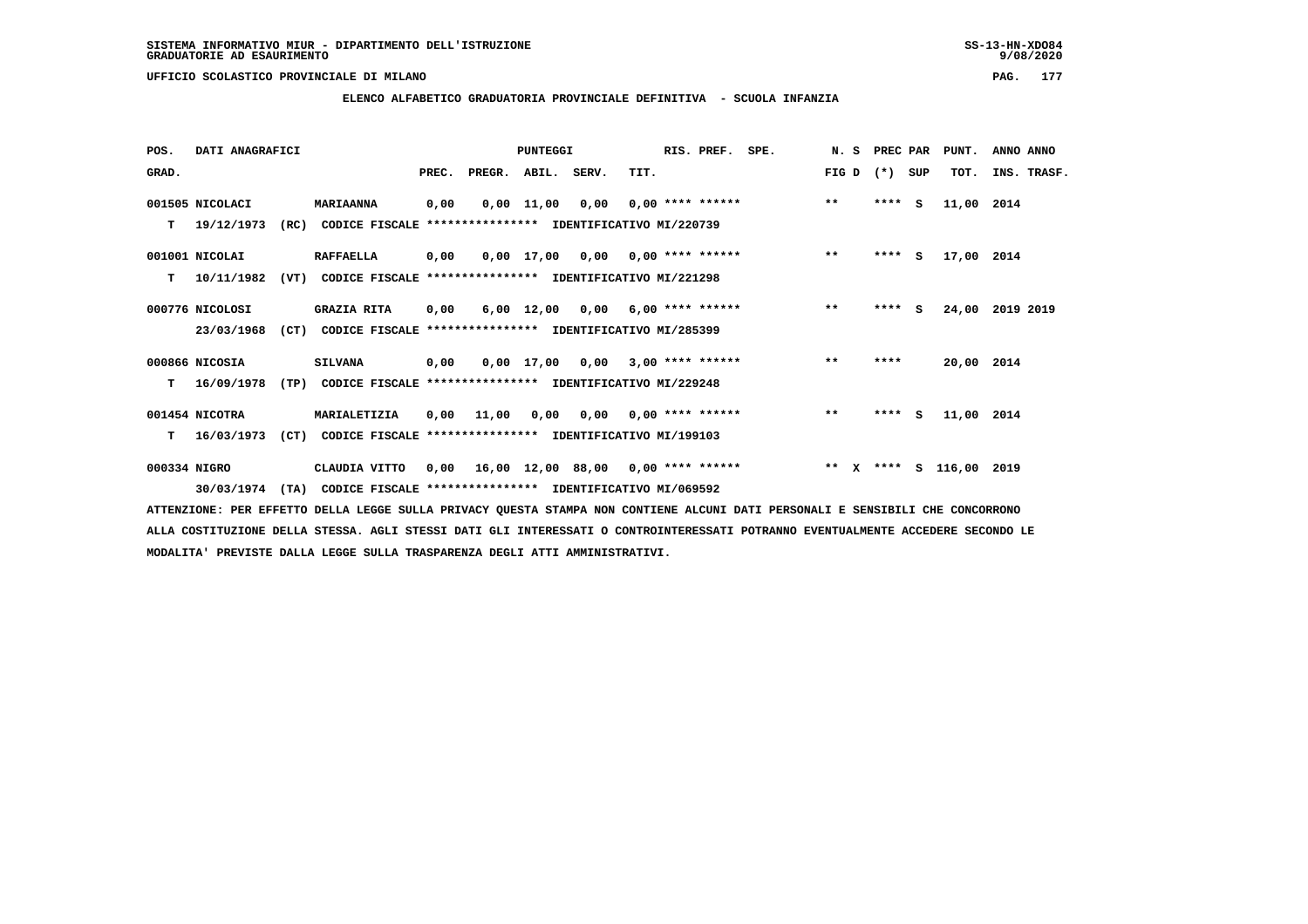**ELENCO ALFABETICO GRADUATORIA PROVINCIALE DEFINITIVA - SCUOLA INFANZIA**

 **POS. DATI ANAGRAFICI PUNTEGGI RIS. PREF. SPE. N. S PREC PAR PUNT. ANNO ANNO**GRAD. **BRAD. PREC. PREGR. ABIL. SERV.** TIT. THE REGREATER FIG D (\*) SUP TOT. INS. TRASF.  **001505 NICOLACI MARIAANNA 0,00 0,00 11,00 0,00 0,00 \*\*\*\* \*\*\*\*\*\* \*\* \*\*\*\* S 11,00 2014 T 19/12/1973 (RC) CODICE FISCALE \*\*\*\*\*\*\*\*\*\*\*\*\*\*\*\* IDENTIFICATIVO MI/220739 001001 NICOLAI RAFFAELLA 0,00 0,00 17,00 0,00 0,00 \*\*\*\* \*\*\*\*\*\* \*\* \*\*\*\* S 17,00 2014 T 10/11/1982 (VT) CODICE FISCALE \*\*\*\*\*\*\*\*\*\*\*\*\*\*\*\* IDENTIFICATIVO MI/221298 000776 NICOLOSI GRAZIA RITA 0,00 6,00 12,00 0,00 6,00 \*\*\*\* \*\*\*\*\*\* \*\* \*\*\*\* S 24,00 2019 2019 23/03/1968 (CT) CODICE FISCALE \*\*\*\*\*\*\*\*\*\*\*\*\*\*\*\* IDENTIFICATIVO MI/285399 000866 NICOSIA SILVANA 0,00 0,00 17,00 0,00 3,00 \*\*\*\* \*\*\*\*\*\* \*\* \*\*\*\* 20,00 2014 T 16/09/1978 (TP) CODICE FISCALE \*\*\*\*\*\*\*\*\*\*\*\*\*\*\*\* IDENTIFICATIVO MI/229248 001454 NICOTRA MARIALETIZIA 0,00 11,00 0,00 0,00 0,00 \*\*\*\* \*\*\*\*\*\* \*\* \*\*\*\* S 11,00 2014 T 16/03/1973 (CT) CODICE FISCALE \*\*\*\*\*\*\*\*\*\*\*\*\*\*\*\* IDENTIFICATIVO MI/199103 000334 NIGRO CLAUDIA VITTO 0,00 16,00 12,00 88,00 0,00 \*\*\*\* \*\*\*\*\*\* \*\* X \*\*\*\* S 116,00 2019**

 **30/03/1974 (TA) CODICE FISCALE \*\*\*\*\*\*\*\*\*\*\*\*\*\*\*\* IDENTIFICATIVO MI/069592**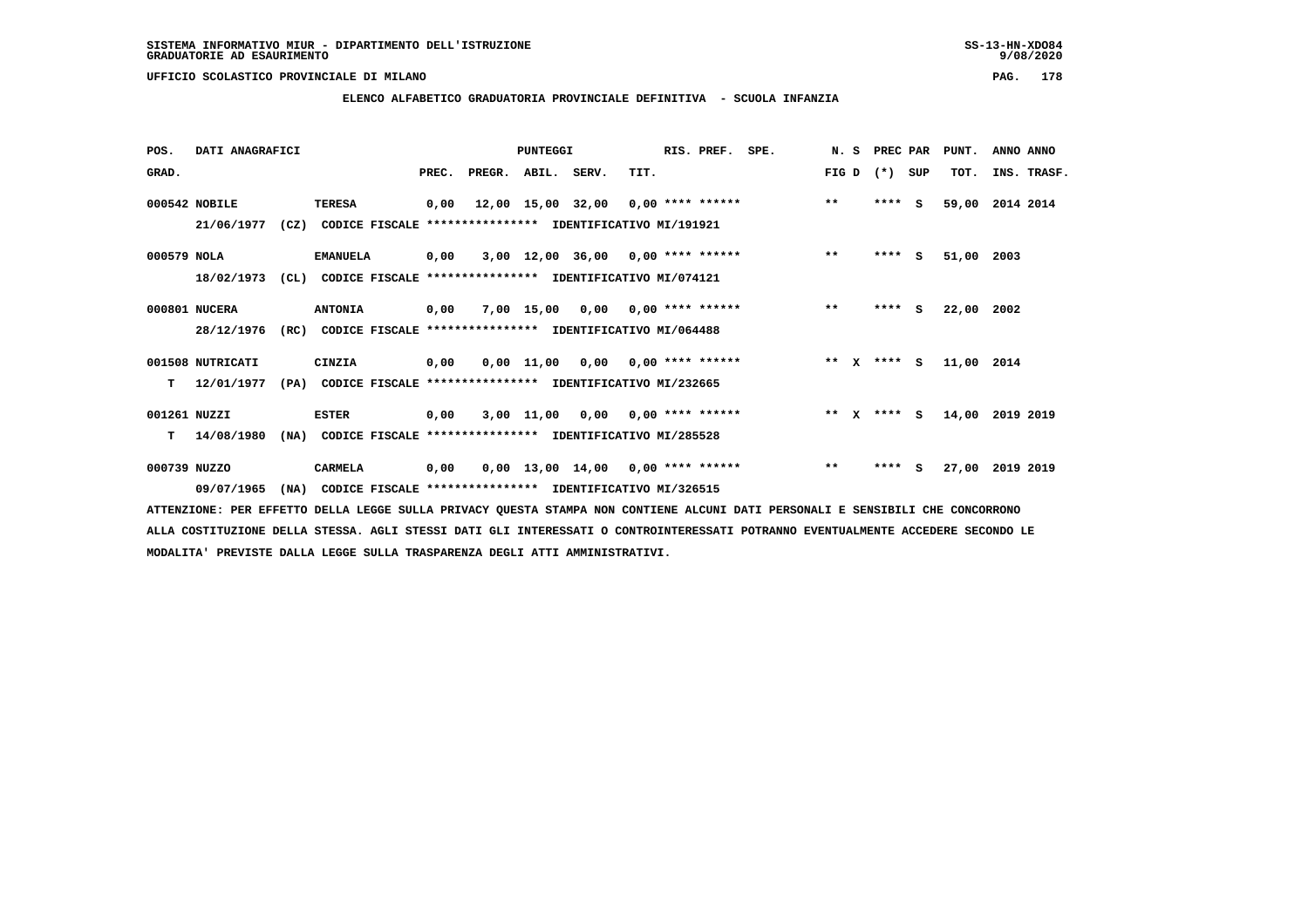## **ELENCO ALFABETICO GRADUATORIA PROVINCIALE DEFINITIVA - SCUOLA INFANZIA**

| POS.         | DATI ANAGRAFICI  |      |                                                          |       |        | PUNTEGGI          |                                     |                    | RIS. PREF. | SPE. | N.S   |              | PREC PAR        |     | PUNT.      | ANNO ANNO   |
|--------------|------------------|------|----------------------------------------------------------|-------|--------|-------------------|-------------------------------------|--------------------|------------|------|-------|--------------|-----------------|-----|------------|-------------|
| GRAD.        |                  |      |                                                          | PREC. | PREGR. | ABIL. SERV.       |                                     | TIT.               |            |      | FIG D |              | $(*)$           | SUP | TOT.       | INS. TRASF. |
|              | 000542 NOBILE    |      | <b>TERESA</b>                                            | 0,00  |        | 12,00 15,00 32,00 |                                     | 0,00 **** ******   |            |      | $***$ |              | ****            | - S | 59,00      | 2014 2014   |
|              | 21/06/1977       | (CZ) | CODICE FISCALE **************** IDENTIFICATIVO MI/191921 |       |        |                   |                                     |                    |            |      |       |              |                 |     |            |             |
| 000579 NOLA  |                  |      | <b>EMANUELA</b>                                          | 0,00  |        |                   | $3,00$ 12,00 36,00 0,00 **** ****** |                    |            |      | $***$ |              | $***$ S         |     | 51,00      | 2003        |
|              | 18/02/1973       | CL)  | CODICE FISCALE **************** IDENTIFICATIVO MI/074121 |       |        |                   |                                     |                    |            |      |       |              |                 |     |            |             |
|              | 000801 NUCERA    |      | <b>ANTONIA</b>                                           | 0,00  |        | 7,00 15,00        | 0,00                                | $0.00$ **** ****** |            |      | $***$ |              | $***$ S         |     | 22,00      | 2002        |
|              | 28/12/1976       | (RC) | CODICE FISCALE **************** IDENTIFICATIVO MI/064488 |       |        |                   |                                     |                    |            |      |       |              |                 |     |            |             |
|              | 001508 NUTRICATI |      | CINZIA                                                   | 0,00  |        |                   | $0.00$ 11.00 0.00 0.00 **** ******  |                    |            |      |       |              | ** $X$ **** $S$ |     | 11,00 2014 |             |
| т            | 12/01/1977       | (PA) | CODICE FISCALE **************** IDENTIFICATIVO MI/232665 |       |        |                   |                                     |                    |            |      |       |              |                 |     |            |             |
| 001261 NUZZI |                  |      | <b>ESTER</b>                                             | 0,00  |        | 3,00 11,00        | 0,00                                | $0.00$ **** ****** |            |      | $**$  | $\mathbf{x}$ | **** S          |     | 14,00      | 2019 2019   |
| т            | 14/08/1980       | (NA) | CODICE FISCALE **************** IDENTIFICATIVO MI/285528 |       |        |                   |                                     |                    |            |      |       |              |                 |     |            |             |
| 000739 NUZZO |                  |      | CARMELA                                                  | 0,00  |        |                   | $0.00$ 13.00 14.00 0.00 **** ****** |                    |            |      | $***$ |              | ****            | s   | 27,00      | 2019 2019   |
|              | 09/07/1965       | (NA) | CODICE FISCALE **************** IDENTIFICATIVO MI/326515 |       |        |                   |                                     |                    |            |      |       |              |                 |     |            |             |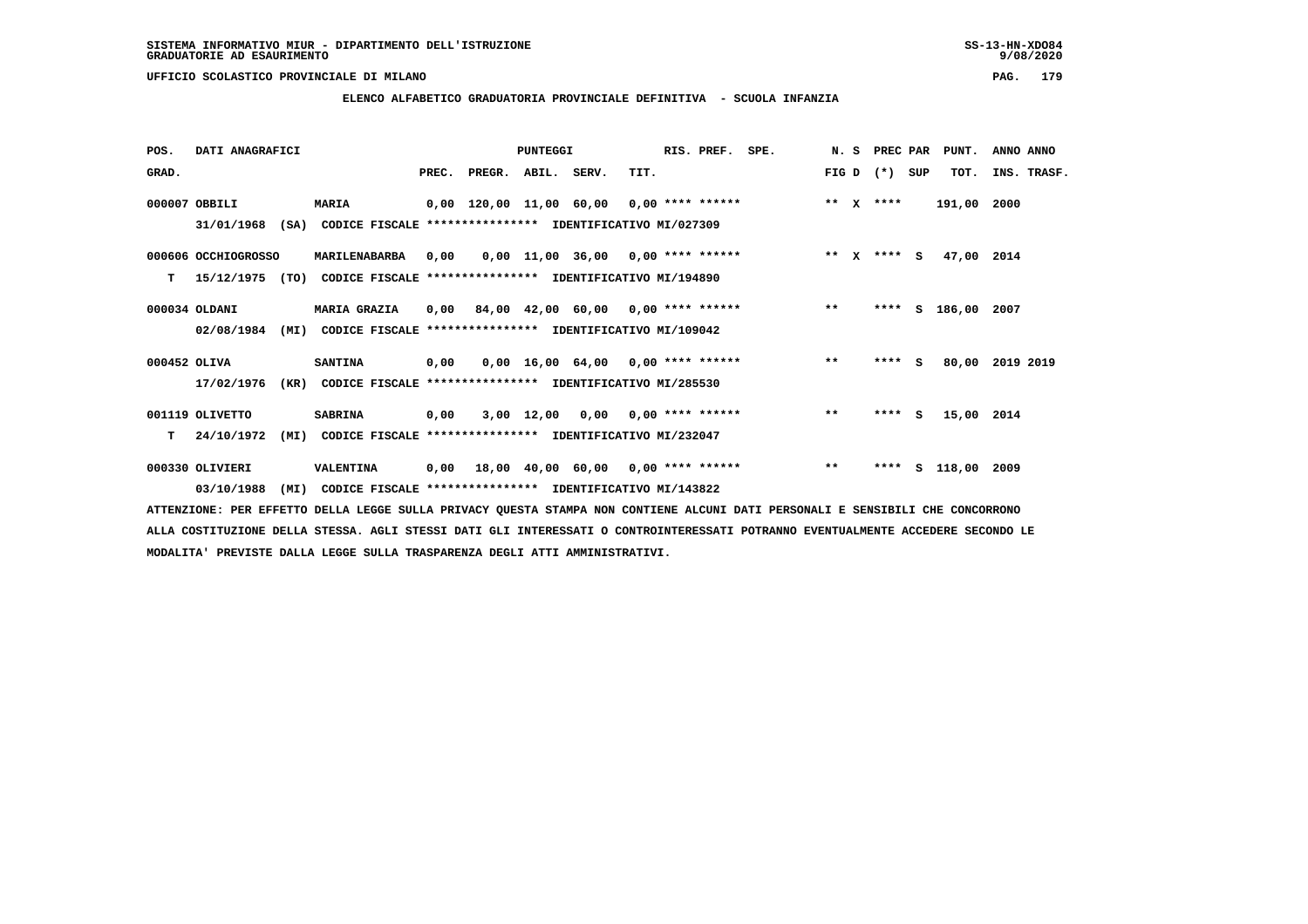## **ELENCO ALFABETICO GRADUATORIA PROVINCIALE DEFINITIVA - SCUOLA INFANZIA**

| POS.         | DATI ANAGRAFICI     |      |                                                               |       |        | PUNTEGGI    |                                            |                           | RIS. PREF. | SPE. | N.S   |              | PREC PAR      |          | PUNT.         | ANNO ANNO |             |
|--------------|---------------------|------|---------------------------------------------------------------|-------|--------|-------------|--------------------------------------------|---------------------------|------------|------|-------|--------------|---------------|----------|---------------|-----------|-------------|
| GRAD.        |                     |      |                                                               | PREC. | PREGR. | ABIL. SERV. |                                            | TIT.                      |            |      | FIG D |              | $(*)$         | SUP      | TOT.          |           | INS. TRASF. |
|              | 000007 OBBILI       |      | <b>MARIA</b>                                                  |       |        |             | $0,00$ 120,00 11,00 60,00 0,00 **** ****** |                           |            |      | $**$  | $\mathbf{x}$ | ****          |          | 191,00        | 2000      |             |
|              | 31/01/1968          |      | (SA) CODICE FISCALE **************** IDENTIFICATIVO MI/027309 |       |        |             |                                            |                           |            |      |       |              |               |          |               |           |             |
|              | 000606 OCCHIOGROSSO |      | MARILENABARBA                                                 | 0,00  |        |             | $0.00$ 11.00 36.00 0.00 **** ******        |                           |            |      |       |              | ** $X$ **** S |          | 47,00 2014    |           |             |
| т            | 15/12/1975          | (TO) | CODICE FISCALE **************** IDENTIFICATIVO MI/194890      |       |        |             |                                            |                           |            |      |       |              |               |          |               |           |             |
|              | 000034 OLDANI       |      | <b>MARIA GRAZIA</b>                                           | 0,00  |        |             | 84,00 42,00 60,00 0,00 **** ******         |                           |            |      | $**$  |              | ****          | S.       | 186,00        | 2007      |             |
|              | 02/08/1984          | (MI) | CODICE FISCALE **************** IDENTIFICATIVO MI/109042      |       |        |             |                                            |                           |            |      |       |              |               |          |               |           |             |
| 000452 OLIVA |                     |      | <b>SANTINA</b>                                                | 0,00  |        |             | $0.00$ 16.00 64.00 0.00 **** ******        |                           |            |      | $***$ |              | ****          | <b>S</b> | 80,00         | 2019 2019 |             |
|              | 17/02/1976          | (KR) | CODICE FISCALE **************** IDENTIFICATIVO MI/285530      |       |        |             |                                            |                           |            |      |       |              |               |          |               |           |             |
|              | 001119 OLIVETTO     |      | <b>SABRINA</b>                                                | 0,00  |        | 3,00 12,00  |                                            | $0,00$ $0,00$ **** ****** |            |      | $* *$ |              | ****          | s.       | 15,00 2014    |           |             |
| т            | 24/10/1972          | (MI) | CODICE FISCALE **************** IDENTIFICATIVO MI/232047      |       |        |             |                                            |                           |            |      |       |              |               |          |               |           |             |
|              | 000330 OLIVIERI     |      | VALENTINA                                                     | 0,00  |        |             | 18,00 40,00 60,00 0,00 **** ******         |                           |            |      | $***$ |              | ****          |          | S 118,00 2009 |           |             |
|              | 03/10/1988          | (MI) | CODICE FISCALE **************** IDENTIFICATIVO MI/143822      |       |        |             |                                            |                           |            |      |       |              |               |          |               |           |             |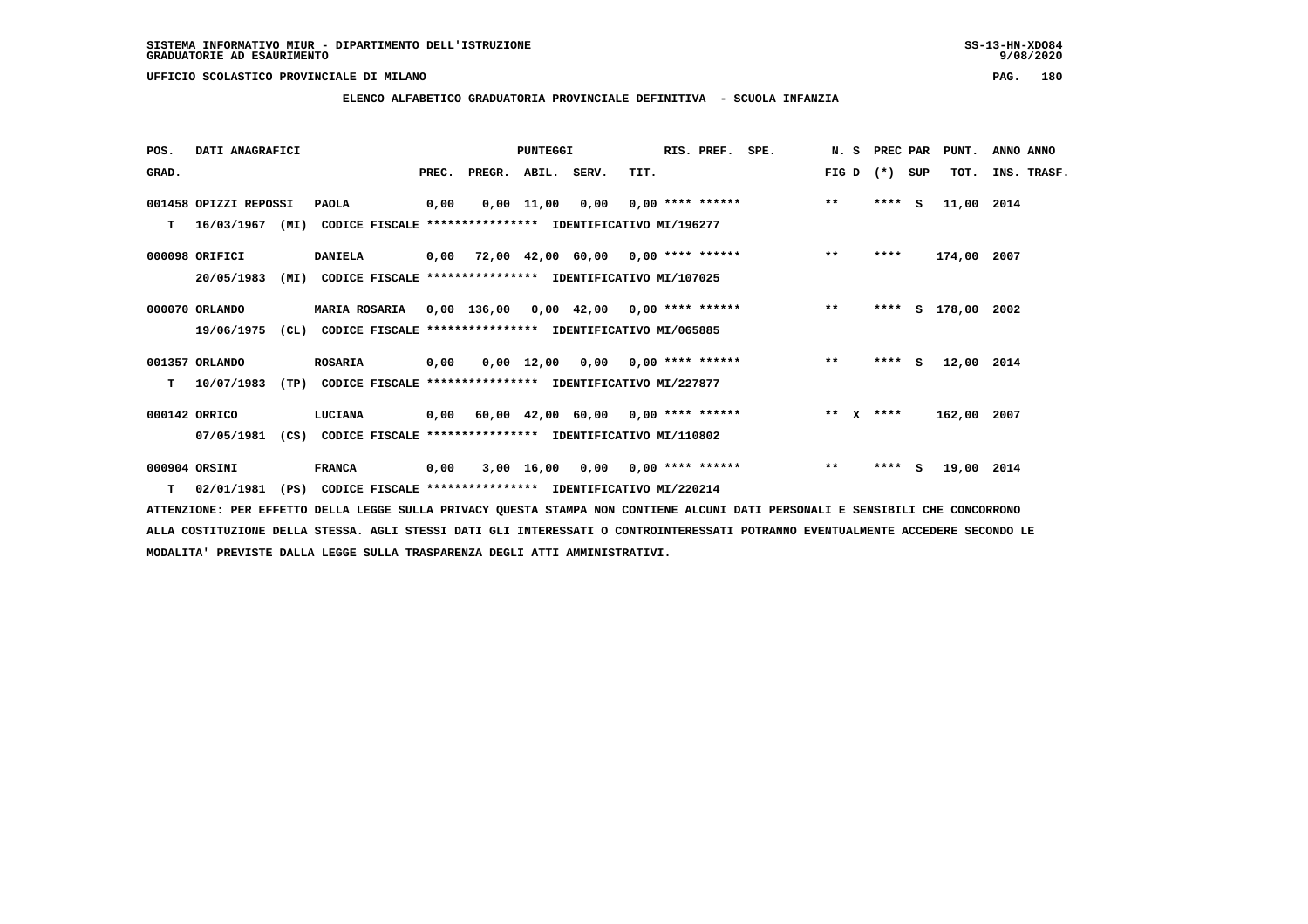**ELENCO ALFABETICO GRADUATORIA PROVINCIALE DEFINITIVA - SCUOLA INFANZIA**

| POS.  | DATI ANAGRAFICI       | <b>PUNTEGGI</b> |                                                                          |       |                                           | RIS. PREF. | SPE.                                                         |      |                  | N. S PREC PAR | PUNT.  | ANNO ANNO |         |                    |             |
|-------|-----------------------|-----------------|--------------------------------------------------------------------------|-------|-------------------------------------------|------------|--------------------------------------------------------------|------|------------------|---------------|--------|-----------|---------|--------------------|-------------|
| GRAD. |                       |                 |                                                                          | PREC. | PREGR. ABIL. SERV.                        |            |                                                              | TIT. |                  |               | FIG D  | $(* )$    | SUP     | TOT.               | INS. TRASF. |
|       | 001458 OPIZZI REPOSSI |                 | <b>PAOLA</b>                                                             | 0,00  |                                           | 0,00 11,00 | 0,00                                                         |      | 0,00 **** ****** |               | $***$  |           | $***$ S | 11,00 2014         |             |
| т     |                       |                 | 16/03/1967 (MI) CODICE FISCALE **************** IDENTIFICATIVO MI/196277 |       |                                           |            |                                                              |      |                  |               |        |           |         |                    |             |
|       | 000098 ORIFICI        |                 | <b>DANIELA</b>                                                           |       | $0,00$ 72,00 42,00 60,00 0,00 **** ****** |            |                                                              |      |                  |               | $***$  | ****      |         | 174,00 2007        |             |
|       | 20/05/1983            | (MI)            | CODICE FISCALE **************** IDENTIFICATIVO MI/107025                 |       |                                           |            |                                                              |      |                  |               |        |           |         |                    |             |
|       | 000070 ORLANDO        |                 | MARIA ROSARIA 0,00 136,00 0,00 42,00 0,00 **** ****** ***** ***          |       |                                           |            |                                                              |      |                  |               |        |           |         | **** S 178,00 2002 |             |
|       | 19/06/1975            |                 | (CL) CODICE FISCALE **************** IDENTIFICATIVO MI/065885            |       |                                           |            |                                                              |      |                  |               |        |           |         |                    |             |
|       | 001357 ORLANDO        |                 | <b>ROSARIA</b>                                                           | 0,00  |                                           |            | $0.00 \quad 12.00 \quad 0.00 \quad 0.00 \quad *** \quad ***$ |      |                  |               | $***$  |           | $***$ S | 12,00 2014         |             |
| т     | 10/07/1983            | (TP)            | CODICE FISCALE **************** IDENTIFICATIVO MI/227877                 |       |                                           |            |                                                              |      |                  |               |        |           |         |                    |             |
|       | 000142 ORRICO         |                 | LUCIANA                                                                  |       | 0,00 60,00 42,00 60,00 0,00 **** ******   |            |                                                              |      |                  |               | ** $X$ | ****      |         | 162,00 2007        |             |
|       | 07/05/1981            | (CS)            | CODICE FISCALE **************** IDENTIFICATIVO MI/110802                 |       |                                           |            |                                                              |      |                  |               |        |           |         |                    |             |
|       | 000904 ORSINI         |                 | <b>FRANCA</b>                                                            | 0,00  |                                           |            | 3,00 16,00 0,00 0,00 **** ******                             |      |                  |               | $***$  |           | **** S  | 19,00 2014         |             |
| т     | 02/01/1981            |                 | (PS) CODICE FISCALE **************** IDENTIFICATIVO MI/220214            |       |                                           |            |                                                              |      |                  |               |        |           |         |                    |             |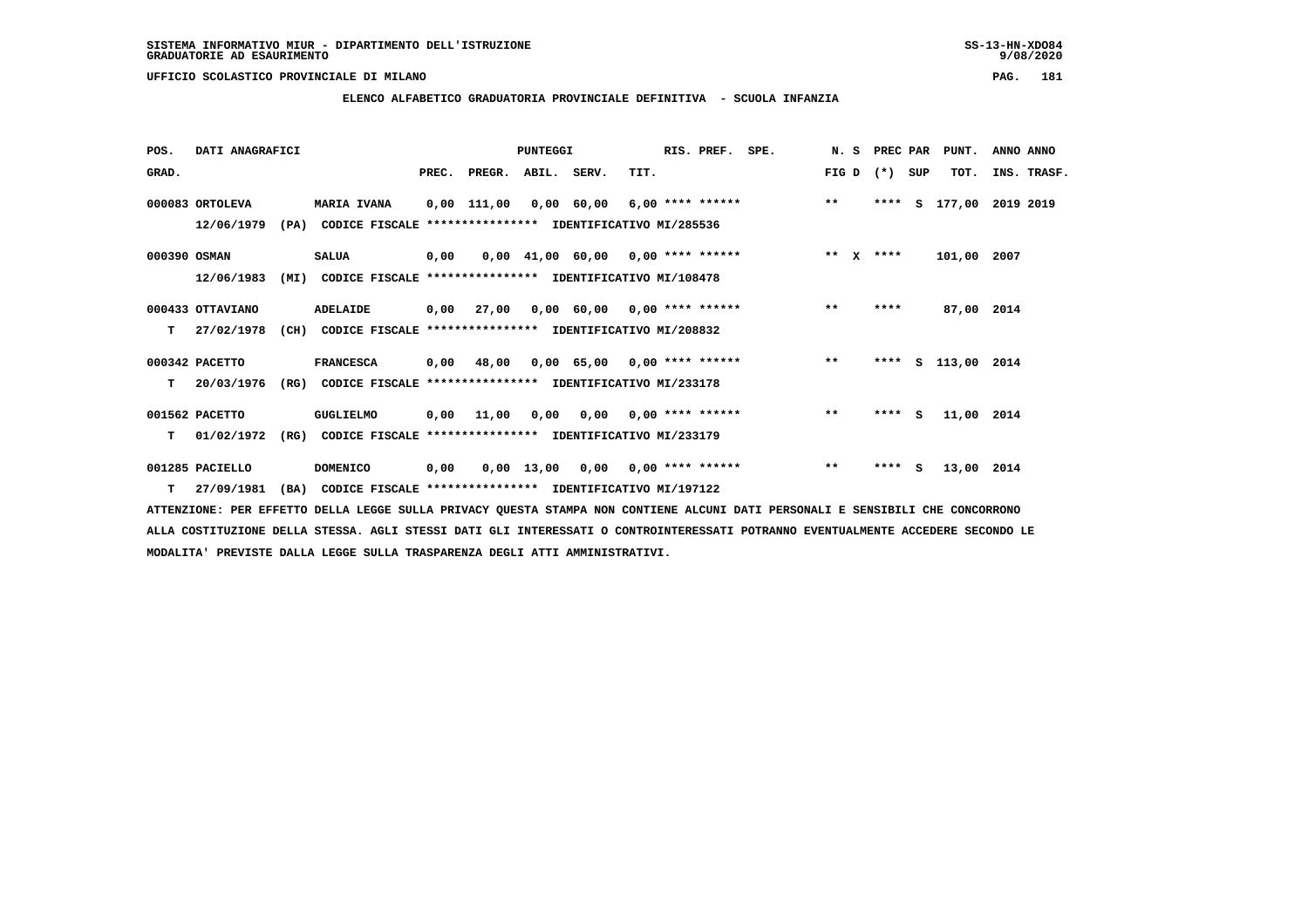# **ELENCO ALFABETICO GRADUATORIA PROVINCIALE DEFINITIVA - SCUOLA INFANZIA**

| POS.         | DATI ANAGRAFICI  |      |                                                               |       |                                           | PUNTEGGI     |                                     |      | RIS. PREF.         | SPE.             | N. S         | PREC PAR |     | PUNT.              | ANNO ANNO   |  |
|--------------|------------------|------|---------------------------------------------------------------|-------|-------------------------------------------|--------------|-------------------------------------|------|--------------------|------------------|--------------|----------|-----|--------------------|-------------|--|
| GRAD.        |                  |      |                                                               | PREC. | PREGR.                                    | ABIL. SERV.  |                                     | TIT. |                    |                  | FIG D        | $(*)$    | SUP | TOT.               | INS. TRASF. |  |
|              | 000083 ORTOLEVA  |      | MARIA IVANA                                                   |       | 0,00 111,00                               |              | 0,00 60,00                          |      |                    | 6,00 **** ****** | $***$        | ****     | s   | 177,00             | 2019 2019   |  |
|              | 12/06/1979       |      | (PA) CODICE FISCALE **************** IDENTIFICATIVO MI/285536 |       |                                           |              |                                     |      |                    |                  |              |          |     |                    |             |  |
| 000390 OSMAN |                  |      | <b>SALUA</b>                                                  | 0,00  |                                           |              | $0,00$ 41,00 60,00 0,00 **** ****** |      |                    |                  | ** $X$       | ****     |     | 101,00 2007        |             |  |
|              | 12/06/1983       | (MI) | CODICE FISCALE                                                |       | **************** IDENTIFICATIVO MI/108478 |              |                                     |      |                    |                  |              |          |     |                    |             |  |
|              | 000433 OTTAVIANO |      | ADELAIDE                                                      |       | 0,00 27,00                                |              | $0,00$ 60,00 0,00 **** ******       |      |                    |                  | $***$        | ****     |     | 87,00 2014         |             |  |
| т            | 27/02/1978       | (CH) | CODICE FISCALE **************** IDENTIFICATIVO MI/208832      |       |                                           |              |                                     |      |                    |                  |              |          |     |                    |             |  |
|              | 000342 PACETTO   |      | <b>FRANCESCA</b>                                              | 0,00  | 48,00                                     |              | $0.00$ 65.00 0.00 **** ******       |      |                    |                  | $***$        |          |     | **** S 113,00 2014 |             |  |
| т            | 20/03/1976       | (RG) | CODICE FISCALE **************** IDENTIFICATIVO MI/233178      |       |                                           |              |                                     |      |                    |                  |              |          |     |                    |             |  |
|              | 001562 PACETTO   |      | GUGLIELMO                                                     |       | 0.00 11.00                                |              | 0,00 0,00                           |      | $0.00$ **** ****** |                  | $\star\star$ | $***$ S  |     | 11,00 2014         |             |  |
| т            | 01/02/1972       | (RG) | CODICE FISCALE **************** IDENTIFICATIVO MI/233179      |       |                                           |              |                                     |      |                    |                  |              |          |     |                    |             |  |
|              | 001285 PACIELLO  |      | <b>DOMENICO</b>                                               | 0,00  |                                           | $0,00$ 13,00 | 0,00                                |      | $0.00$ **** ****** |                  | $\star\star$ | ****     | - S | 13,00 2014         |             |  |
| T.           | 27/09/1981       | (BA) | CODICE FISCALE **************** IDENTIFICATIVO MI/197122      |       |                                           |              |                                     |      |                    |                  |              |          |     |                    |             |  |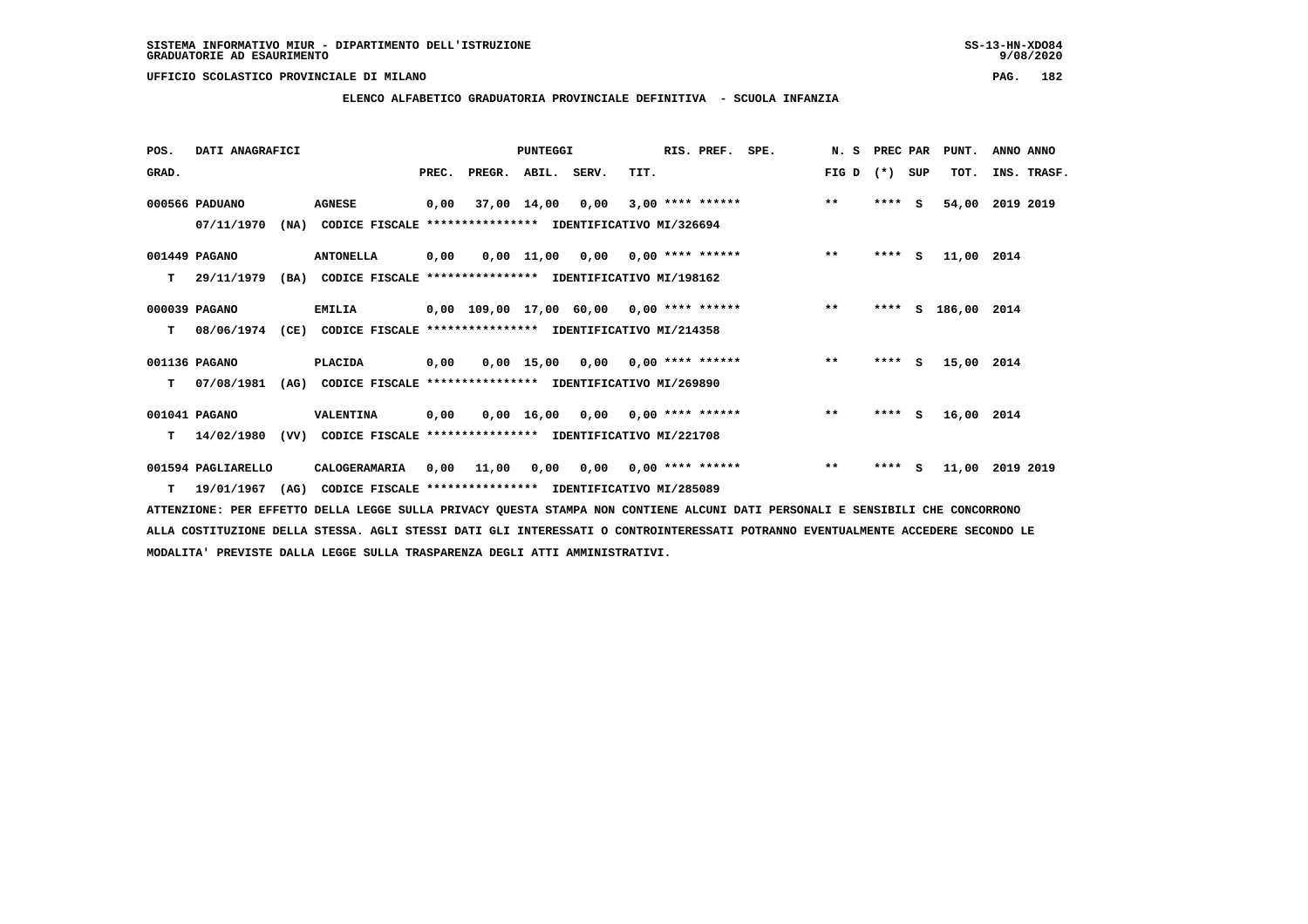# **ELENCO ALFABETICO GRADUATORIA PROVINCIALE DEFINITIVA - SCUOLA INFANZIA**

| POS.  | DATI ANAGRAFICI       |      |                                                               |       |                                          | <b>PUNTEGGI</b> |                                    |      | RIS. PREF.                | SPE.               | N.S   | PREC PAR | PUNT.         | ANNO ANNO   |  |
|-------|-----------------------|------|---------------------------------------------------------------|-------|------------------------------------------|-----------------|------------------------------------|------|---------------------------|--------------------|-------|----------|---------------|-------------|--|
| GRAD. |                       |      |                                                               | PREC. | PREGR. ABIL. SERV.                       |                 |                                    | TIT. |                           |                    | FIG D | (*) SUP  | TOT.          | INS. TRASF. |  |
|       | 000566 PADUANO        |      | <b>AGNESE</b>                                                 | 0,00  |                                          | 37,00 14,00     | 0,00                               |      |                           | $3,00$ **** ****** | $***$ | $***$ S  | 54,00         | 2019 2019   |  |
|       | 07/11/1970            |      | (NA) CODICE FISCALE **************** IDENTIFICATIVO MI/326694 |       |                                          |                 |                                    |      |                           |                    |       |          |               |             |  |
|       | 001449 PAGANO         |      | <b>ANTONELLA</b>                                              | 0,00  |                                          |                 | 0,00 11,00 0,00 0,00 **** ******   |      |                           |                    | $***$ | $***$ S  | 11,00 2014    |             |  |
| т     | 29/11/1979            | (BA) | CODICE FISCALE **************** IDENTIFICATIVO MI/198162      |       |                                          |                 |                                    |      |                           |                    |       |          |               |             |  |
|       | 000039 PAGANO         |      | <b>EMILIA</b>                                                 |       | 0,00 109,00 17,00 60,00 0,00 **** ****** |                 |                                    |      |                           |                    | $***$ | ****     | S 186,00 2014 |             |  |
| т     | 08/06/1974            | (CE) | CODICE FISCALE **************** IDENTIFICATIVO MI/214358      |       |                                          |                 |                                    |      |                           |                    |       |          |               |             |  |
|       | 001136 PAGANO         |      | <b>PLACIDA</b>                                                | 0,00  |                                          |                 | $0.00$ 15,00 0.00 0.00 **** ****** |      |                           |                    | $***$ | $***$ S  | 15,00 2014    |             |  |
| т     | 07/08/1981            | (AG) | CODICE FISCALE **************** IDENTIFICATIVO MI/269890      |       |                                          |                 |                                    |      |                           |                    |       |          |               |             |  |
|       | 001041 PAGANO         |      | VALENTINA                                                     | 0,00  |                                          |                 | 0,00 16,00 0,00 0,00 **** ******   |      |                           |                    | $***$ | $***5$   | 16,00 2014    |             |  |
| т     | 14/02/1980            | (VV) | CODICE FISCALE **************** IDENTIFICATIVO MI/221708      |       |                                          |                 |                                    |      |                           |                    |       |          |               |             |  |
|       | 001594 PAGLIARELLO    |      | CALOGERAMARIA                                                 | 0,00  | 11,00                                    | 0,00            |                                    |      | $0,00$ $0,00$ **** ****** |                    | $***$ | $***$ S  | 11,00         | 2019 2019   |  |
|       | $T = 19/01/1967$ (AG) |      | CODICE FISCALE **************** IDENTIFICATIVO MI/285089      |       |                                          |                 |                                    |      |                           |                    |       |          |               |             |  |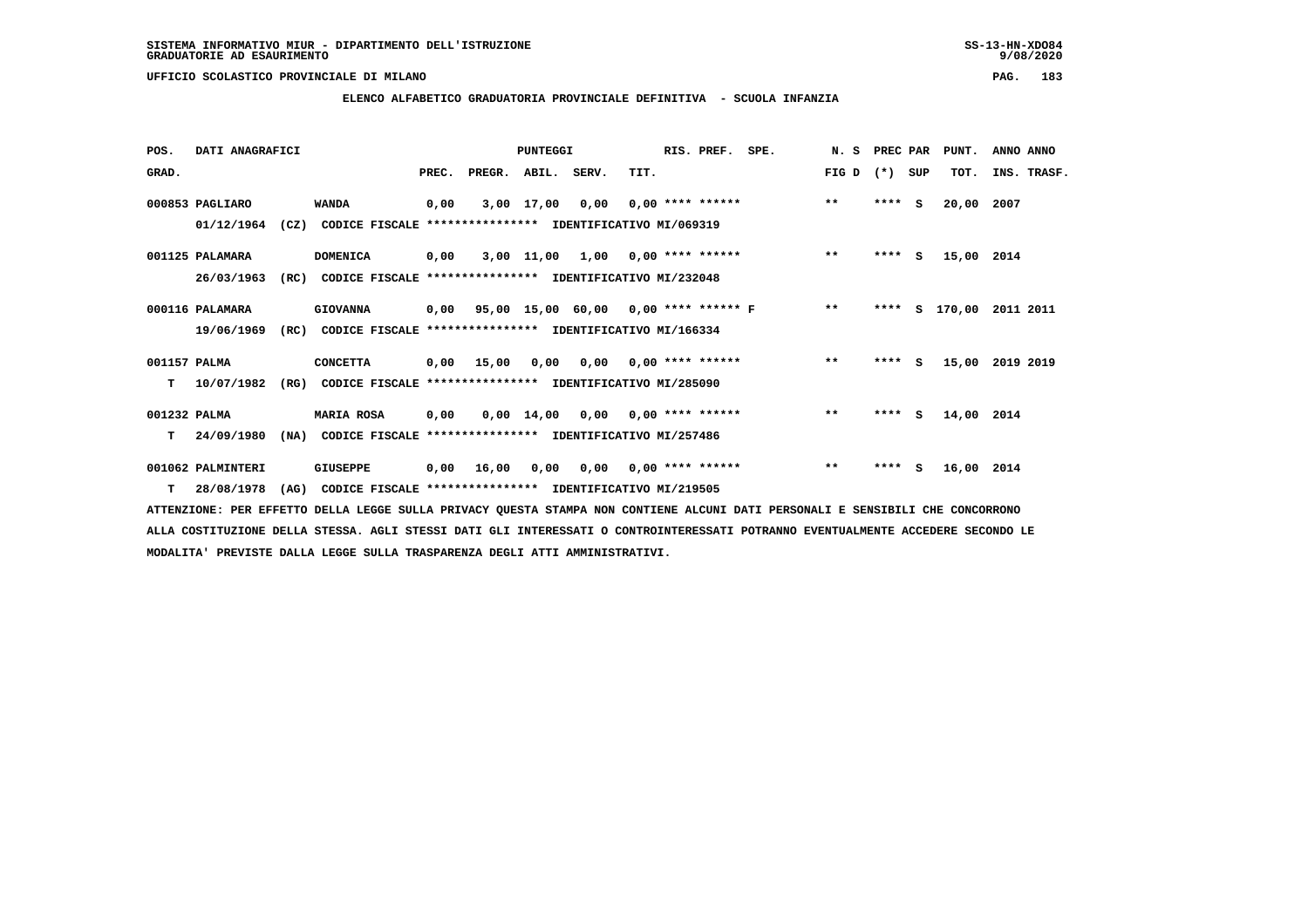$9/08/2020$ 

### **UFFICIO SCOLASTICO PROVINCIALE DI MILANO PAG. 183**

# **ELENCO ALFABETICO GRADUATORIA PROVINCIALE DEFINITIVA - SCUOLA INFANZIA**

| POS.         | DATI ANAGRAFICI   |      |                                                               |       |        | <b>PUNTEGGI</b> |                                    |      | RIS. PREF.         | SPE.                                      | N.S   | PREC PAR |          | PUNT.      | ANNO ANNO        |
|--------------|-------------------|------|---------------------------------------------------------------|-------|--------|-----------------|------------------------------------|------|--------------------|-------------------------------------------|-------|----------|----------|------------|------------------|
| GRAD.        |                   |      |                                                               | PREC. | PREGR. | ABIL. SERV.     |                                    | TIT. |                    |                                           | FIG D | $(*)$    | SUP      | TOT.       | INS. TRASF.      |
|              | 000853 PAGLIARO   |      | <b>WANDA</b>                                                  | 0,00  |        | 3,00 17,00      | 0,00                               |      | $0,00$ **** ****** |                                           | $***$ | ****     | <b>S</b> | 20,00      | 2007             |
|              | 01/12/1964        |      | (CZ) CODICE FISCALE **************** IDENTIFICATIVO MI/069319 |       |        |                 |                                    |      |                    |                                           |       |          |          |            |                  |
|              | 001125 PALAMARA   |      | <b>DOMENICA</b>                                               | 0,00  |        |                 | $3,00$ 11,00 1,00 0,00 **** ****** |      |                    |                                           | $***$ | ****     | S.       | 15,00 2014 |                  |
|              | 26/03/1963        | (RC) | CODICE FISCALE **************** IDENTIFICATIVO MI/232048      |       |        |                 |                                    |      |                    |                                           |       |          |          |            |                  |
|              | 000116 PALAMARA   |      | <b>GIOVANNA</b>                                               |       |        |                 |                                    |      |                    | 0,00 95,00 15,00 60,00 0,00 **** ****** F | $* *$ | ****     | s        |            | 170,00 2011 2011 |
|              | 19/06/1969        | (RC) | CODICE FISCALE **************** IDENTIFICATIVO MI/166334      |       |        |                 |                                    |      |                    |                                           |       |          |          |            |                  |
| 001157 PALMA |                   |      | <b>CONCETTA</b>                                               | 0,00  | 15,00  | 0.00            | $0.00$ $0.00$ $***$ **** ******    |      |                    |                                           | $***$ | $***5$   |          | 15,00      | 2019 2019        |
| т            | 10/07/1982        | (RG) | CODICE FISCALE **************** IDENTIFICATIVO MI/285090      |       |        |                 |                                    |      |                    |                                           |       |          |          |            |                  |
| 001232 PALMA |                   |      | <b>MARIA ROSA</b>                                             | 0,00  |        |                 | $0,00$ 14,00 0,00 0,00 **** ****** |      |                    |                                           | $**$  | $***$ S  |          | 14,00 2014 |                  |
| т            | 24/09/1980        | (NA) | CODICE FISCALE **************** IDENTIFICATIVO MI/257486      |       |        |                 |                                    |      |                    |                                           |       |          |          |            |                  |
|              | 001062 PALMINTERI |      | <b>GIUSEPPE</b>                                               | 0,00  | 16,00  | 0,00            | 0,00                               |      | 0,00 **** ******   |                                           | $***$ | $***$ S  |          | 16,00 2014 |                  |
| T.           | 28/08/1978        | (AG) | CODICE FISCALE **************** IDENTIFICATIVO MI/219505      |       |        |                 |                                    |      |                    |                                           |       |          |          |            |                  |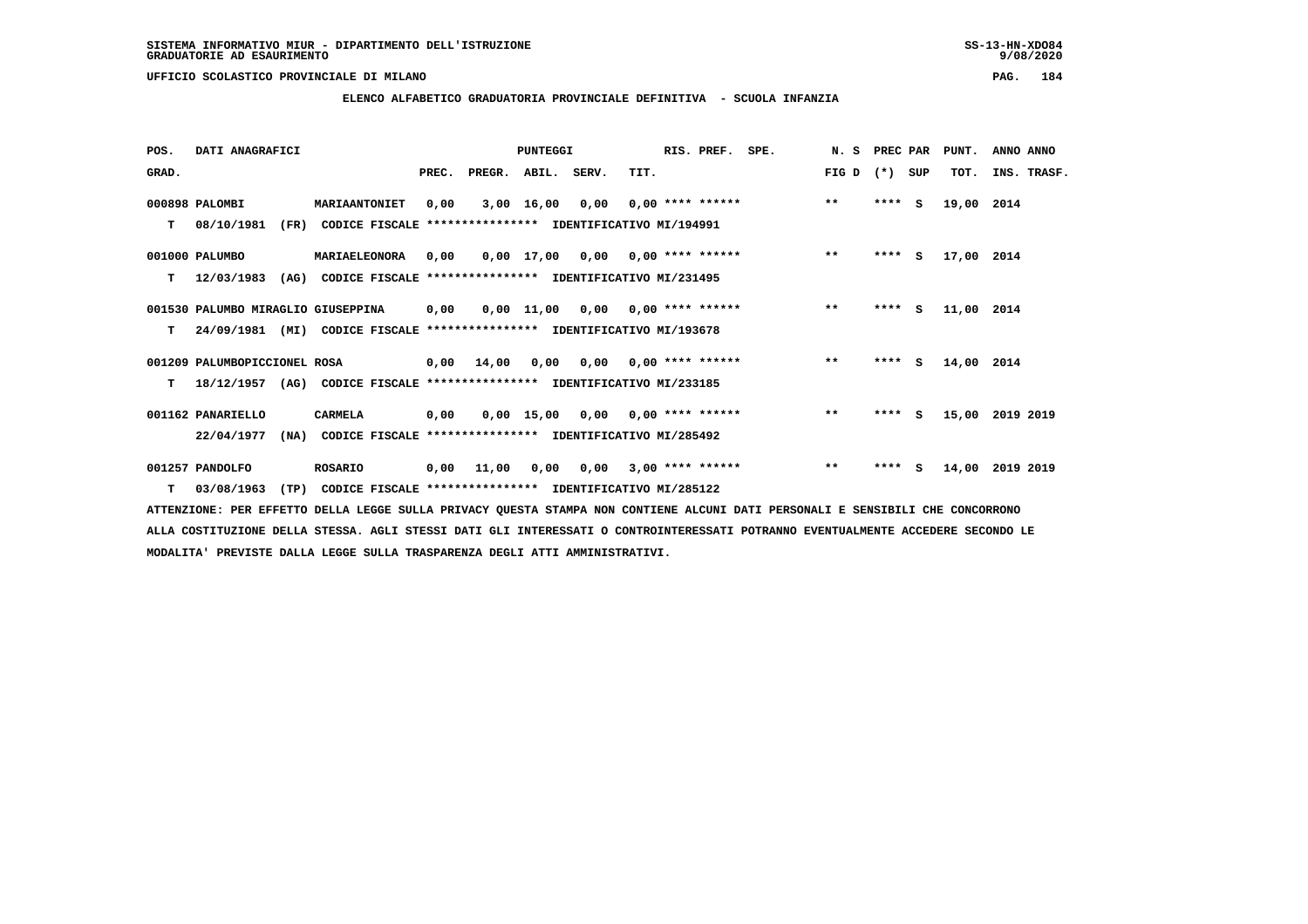**ELENCO ALFABETICO GRADUATORIA PROVINCIALE DEFINITIVA - SCUOLA INFANZIA**

 **POS. DATI ANAGRAFICI PUNTEGGI RIS. PREF. SPE. N. S PREC PAR PUNT. ANNO ANNO**GRAD. **BRAD. PREC. PREGR. ABIL. SERV.** TIT. THE REGREATER FIG D (\*) SUP TOT. INS. TRASF.  **000898 PALOMBI MARIAANTONIET 0,00 3,00 16,00 0,00 0,00 \*\*\*\* \*\*\*\*\*\* \*\* \*\*\*\* S 19,00 2014 T 08/10/1981 (FR) CODICE FISCALE \*\*\*\*\*\*\*\*\*\*\*\*\*\*\*\* IDENTIFICATIVO MI/194991 001000 PALUMBO MARIAELEONORA 0,00 0,00 17,00 0,00 0,00 \*\*\*\* \*\*\*\*\*\* \*\* \*\*\*\* S 17,00 2014 T 12/03/1983 (AG) CODICE FISCALE \*\*\*\*\*\*\*\*\*\*\*\*\*\*\*\* IDENTIFICATIVO MI/231495 001530 PALUMBO MIRAGLIO GIUSEPPINA 0,00 0,00 11,00 0,00 0,00 \*\*\*\* \*\*\*\*\*\* \*\* \*\*\*\* S 11,00 2014 T 24/09/1981 (MI) CODICE FISCALE \*\*\*\*\*\*\*\*\*\*\*\*\*\*\*\* IDENTIFICATIVO MI/193678 001209 PALUMBOPICCIONEL ROSA 0,00 14,00 0,00 0,00 0,00 \*\*\*\* \*\*\*\*\*\* \*\* \*\*\*\* S 14,00 2014 T 18/12/1957 (AG) CODICE FISCALE \*\*\*\*\*\*\*\*\*\*\*\*\*\*\*\* IDENTIFICATIVO MI/233185 001162 PANARIELLO CARMELA 0,00 0,00 15,00 0,00 0,00 \*\*\*\* \*\*\*\*\*\* \*\* \*\*\*\* S 15,00 2019 2019**

 **22/04/1977 (NA) CODICE FISCALE \*\*\*\*\*\*\*\*\*\*\*\*\*\*\*\* IDENTIFICATIVO MI/285492**

 **001257 PANDOLFO ROSARIO 0,00 11,00 0,00 0,00 3,00 \*\*\*\* \*\*\*\*\*\* \*\* \*\*\*\* S 14,00 2019 2019 T 03/08/1963 (TP) CODICE FISCALE \*\*\*\*\*\*\*\*\*\*\*\*\*\*\*\* IDENTIFICATIVO MI/285122**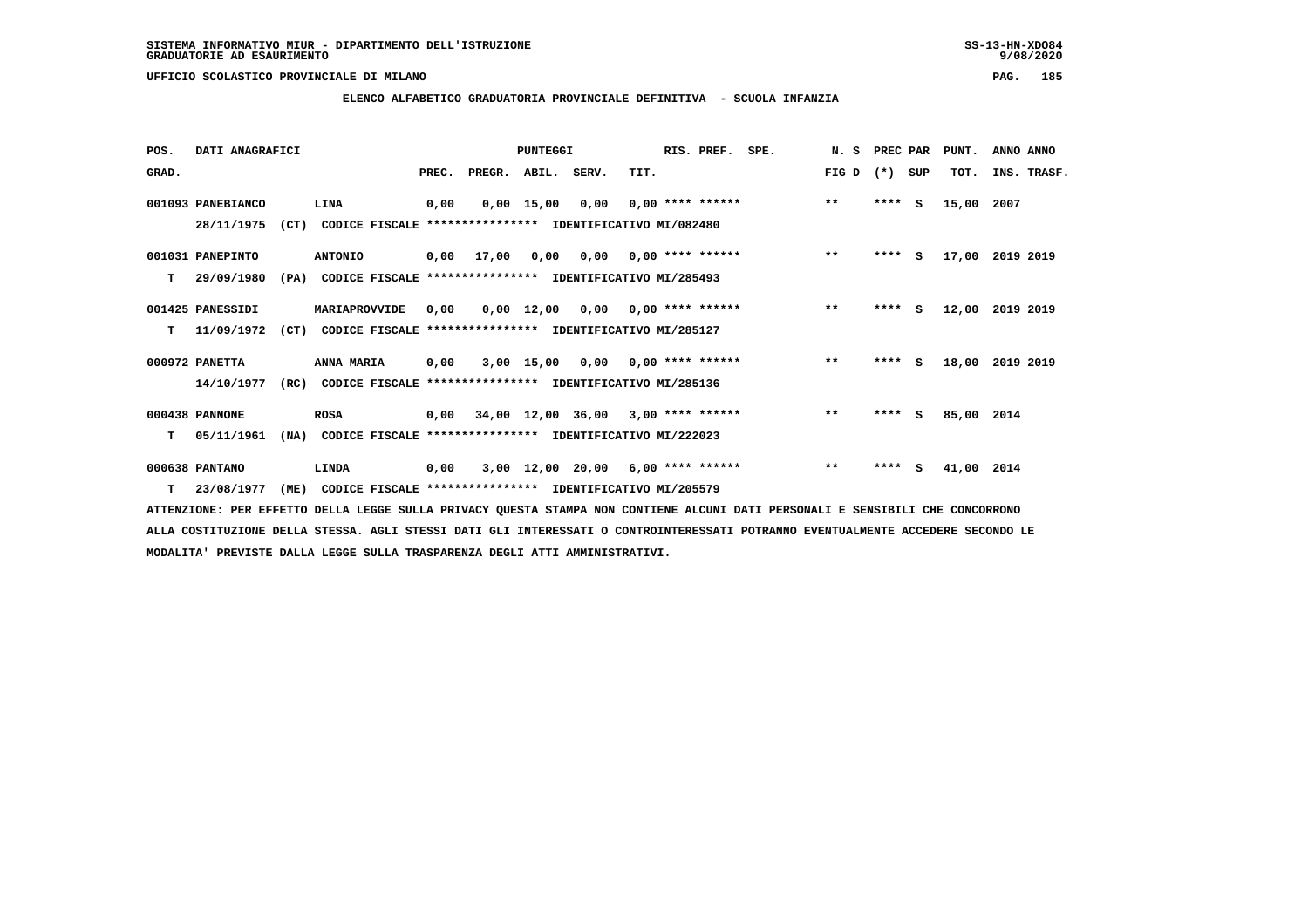**ELENCO ALFABETICO GRADUATORIA PROVINCIALE DEFINITIVA - SCUOLA INFANZIA**

 **POS. DATI ANAGRAFICI PUNTEGGI RIS. PREF. SPE. N. S PREC PAR PUNT. ANNO ANNO**GRAD. **BRAD. PREC. PREGR. ABIL. SERV.** TIT. THE REGREATER FIG D (\*) SUP TOT. INS. TRASF.  **001093 PANEBIANCO LINA 0,00 0,00 15,00 0,00 0,00 \*\*\*\* \*\*\*\*\*\* \*\* \*\*\*\* S 15,00 2007 28/11/1975 (CT) CODICE FISCALE \*\*\*\*\*\*\*\*\*\*\*\*\*\*\*\* IDENTIFICATIVO MI/082480 001031 PANEPINTO ANTONIO 0,00 17,00 0,00 0,00 0,00 \*\*\*\* \*\*\*\*\*\* \*\* \*\*\*\* S 17,00 2019 2019 T 29/09/1980 (PA) CODICE FISCALE \*\*\*\*\*\*\*\*\*\*\*\*\*\*\*\* IDENTIFICATIVO MI/285493 001425 PANESSIDI MARIAPROVVIDE 0,00 0,00 12,00 0,00 0,00 \*\*\*\* \*\*\*\*\*\* \*\* \*\*\*\* S 12,00 2019 2019 T 11/09/1972 (CT) CODICE FISCALE \*\*\*\*\*\*\*\*\*\*\*\*\*\*\*\* IDENTIFICATIVO MI/285127 000972 PANETTA ANNA MARIA 0,00 3,00 15,00 0,00 0,00 \*\*\*\* \*\*\*\*\*\* \*\* \*\*\*\* S 18,00 2019 2019 14/10/1977 (RC) CODICE FISCALE \*\*\*\*\*\*\*\*\*\*\*\*\*\*\*\* IDENTIFICATIVO MI/285136 000438 PANNONE ROSA 0,00 34,00 12,00 36,00 3,00 \*\*\*\* \*\*\*\*\*\* \*\* \*\*\*\* S 85,00 2014 T 05/11/1961 (NA) CODICE FISCALE \*\*\*\*\*\*\*\*\*\*\*\*\*\*\*\* IDENTIFICATIVO MI/222023 000638 PANTANO LINDA 0,00 3,00 12,00 20,00 6,00 \*\*\*\* \*\*\*\*\*\* \*\* \*\*\*\* S 41,00 2014**

 **T 23/08/1977 (ME) CODICE FISCALE \*\*\*\*\*\*\*\*\*\*\*\*\*\*\*\* IDENTIFICATIVO MI/205579**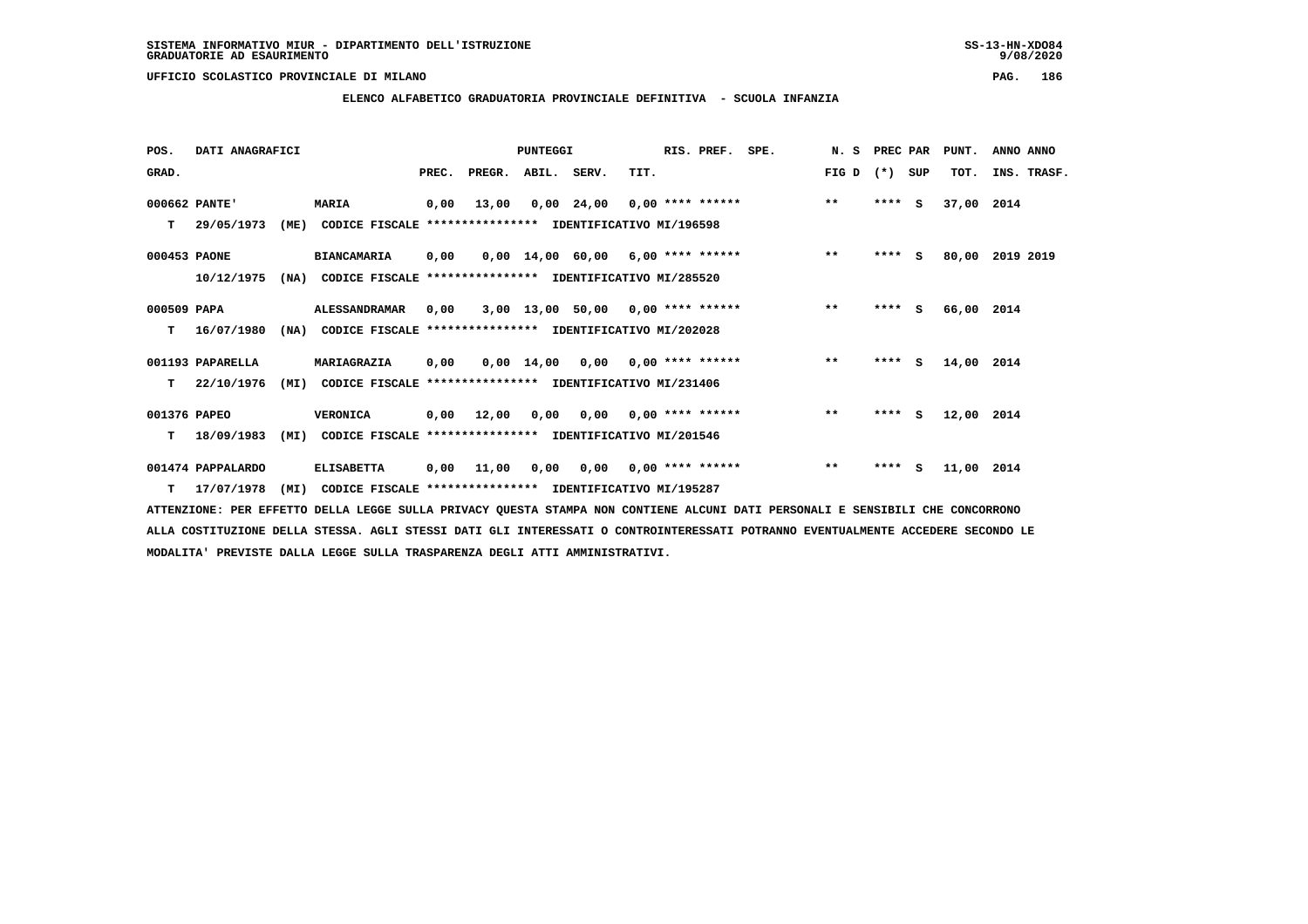**ELENCO ALFABETICO GRADUATORIA PROVINCIALE DEFINITIVA - SCUOLA INFANZIA**

| POS.          | DATI ANAGRAFICI   |      |                                                               |       |                                           | <b>PUNTEGGI</b> |                                     |                           | RIS. PREF. | SPE. | N.S   | PREC PAR |          | PUNT.      | ANNO ANNO   |
|---------------|-------------------|------|---------------------------------------------------------------|-------|-------------------------------------------|-----------------|-------------------------------------|---------------------------|------------|------|-------|----------|----------|------------|-------------|
| GRAD.         |                   |      |                                                               | PREC. | PREGR. ABIL. SERV.                        |                 |                                     | TIT.                      |            |      | FIG D | $(*)$    | SUP      | TOT.       | INS. TRASF. |
| 000662 PANTE' |                   |      | <b>MARIA</b>                                                  | 0,00  | 13,00                                     |                 | $0,00$ 24,00 0,00 **** ******       |                           |            |      | $***$ | ****     | <b>S</b> | 37,00 2014 |             |
| т             | 29/05/1973        | (ME) | CODICE FISCALE **************** IDENTIFICATIVO MI/196598      |       |                                           |                 |                                     |                           |            |      |       |          |          |            |             |
| 000453 PAONE  |                   |      | <b>BIANCAMARIA</b>                                            | 0,00  |                                           |                 | 0,00 14,00 60,00 6,00 **** ******   |                           |            |      | $***$ | $***$ S  |          | 80,00      | 2019 2019   |
|               | 10/12/1975        |      | (NA) CODICE FISCALE                                           |       | **************** IDENTIFICATIVO MI/285520 |                 |                                     |                           |            |      |       |          |          |            |             |
| 000509 PAPA   |                   |      | <b>ALESSANDRAMAR</b>                                          | 0,00  |                                           |                 | $3,00$ 13,00 50,00 0,00 **** ****** |                           |            |      | $***$ | $***$ S  |          | 66,00 2014 |             |
| т             | 16/07/1980        | (NA) | CODICE FISCALE **************** IDENTIFICATIVO MI/202028      |       |                                           |                 |                                     |                           |            |      |       |          |          |            |             |
|               | 001193 PAPARELLA  |      | MARIAGRAZIA                                                   | 0,00  |                                           |                 | $0,00$ 14,00 0,00 0,00 **** ******  |                           |            |      | $***$ | $***5$   |          | 14,00 2014 |             |
| T.            | 22/10/1976        |      | (MI) CODICE FISCALE **************** IDENTIFICATIVO MI/231406 |       |                                           |                 |                                     |                           |            |      |       |          |          |            |             |
| 001376 PAPEO  |                   |      | <b>VERONICA</b>                                               | 0,00  | 12,00                                     | 0,00            |                                     | $0,00$ $0,00$ **** ****** |            |      | $***$ | ****     | S.       | 12,00 2014 |             |
| т             | 18/09/1983        | (MI) | CODICE FISCALE **************** IDENTIFICATIVO MI/201546      |       |                                           |                 |                                     |                           |            |      |       |          |          |            |             |
|               | 001474 PAPPALARDO |      | <b>ELISABETTA</b>                                             | 0,00  | 11,00                                     | 0,00            |                                     | $0,00$ $0,00$ **** ****** |            |      | $***$ | ****     | - S      | 11,00 2014 |             |
|               | T 17/07/1978      | (MI) | CODICE FISCALE **************** IDENTIFICATIVO MI/195287      |       |                                           |                 |                                     |                           |            |      |       |          |          |            |             |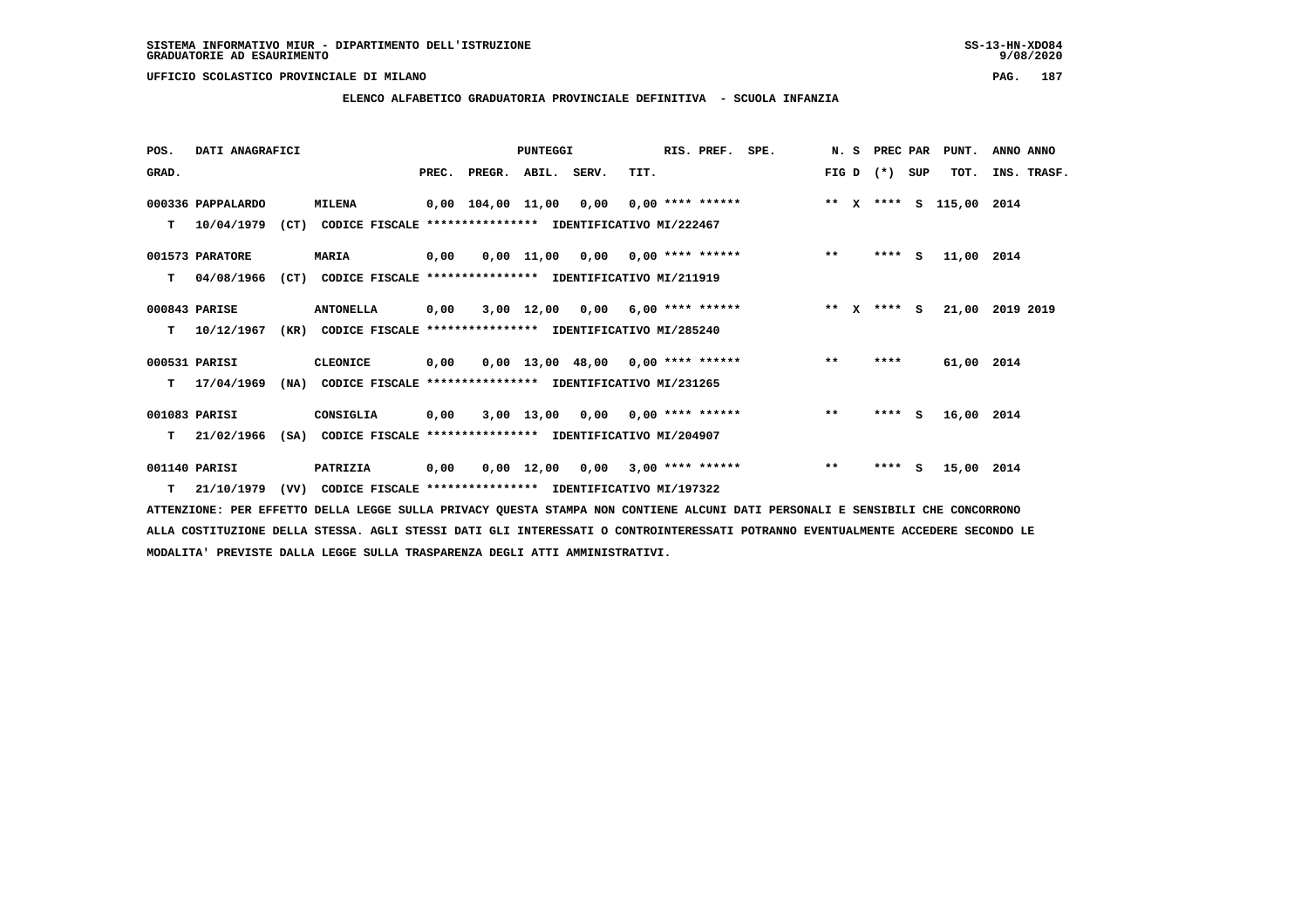**ELENCO ALFABETICO GRADUATORIA PROVINCIALE DEFINITIVA - SCUOLA INFANZIA**

 **POS. DATI ANAGRAFICI PUNTEGGI RIS. PREF. SPE. N. S PREC PAR PUNT. ANNO ANNO**GRAD. **PREGRADE SERVEGER. ABIL. SERV. TIT.** FIG D (\*) SUP TOT. INS. TRASF.  **000336 PAPPALARDO MILENA 0,00 104,00 11,00 0,00 0,00 \*\*\*\* \*\*\*\*\*\* \*\* X \*\*\*\* S 115,00 2014 T 10/04/1979 (CT) CODICE FISCALE \*\*\*\*\*\*\*\*\*\*\*\*\*\*\*\* IDENTIFICATIVO MI/222467 001573 PARATORE MARIA 0,00 0,00 11,00 0,00 0,00 \*\*\*\* \*\*\*\*\*\* \*\* \*\*\*\* S 11,00 2014 T 04/08/1966 (CT) CODICE FISCALE \*\*\*\*\*\*\*\*\*\*\*\*\*\*\*\* IDENTIFICATIVO MI/211919 000843 PARISE ANTONELLA 0,00 3,00 12,00 0,00 6,00 \*\*\*\* \*\*\*\*\*\* \*\* X \*\*\*\* S 21,00 2019 2019 T 10/12/1967 (KR) CODICE FISCALE \*\*\*\*\*\*\*\*\*\*\*\*\*\*\*\* IDENTIFICATIVO MI/285240 000531 PARISI CLEONICE 0,00 0,00 13,00 48,00 0,00 \*\*\*\* \*\*\*\*\*\* \*\* \*\*\*\* 61,00 2014 T 17/04/1969 (NA) CODICE FISCALE \*\*\*\*\*\*\*\*\*\*\*\*\*\*\*\* IDENTIFICATIVO MI/231265 001083 PARISI CONSIGLIA 0,00 3,00 13,00 0,00 0,00 \*\*\*\* \*\*\*\*\*\* \*\* \*\*\*\* S 16,00 2014 T 21/02/1966 (SA) CODICE FISCALE \*\*\*\*\*\*\*\*\*\*\*\*\*\*\*\* IDENTIFICATIVO MI/204907 001140 PARISI PATRIZIA 0,00 0,00 12,00 0,00 3,00 \*\*\*\* \*\*\*\*\*\* \*\* \*\*\*\* S 15,00 2014**

 **T 21/10/1979 (VV) CODICE FISCALE \*\*\*\*\*\*\*\*\*\*\*\*\*\*\*\* IDENTIFICATIVO MI/197322**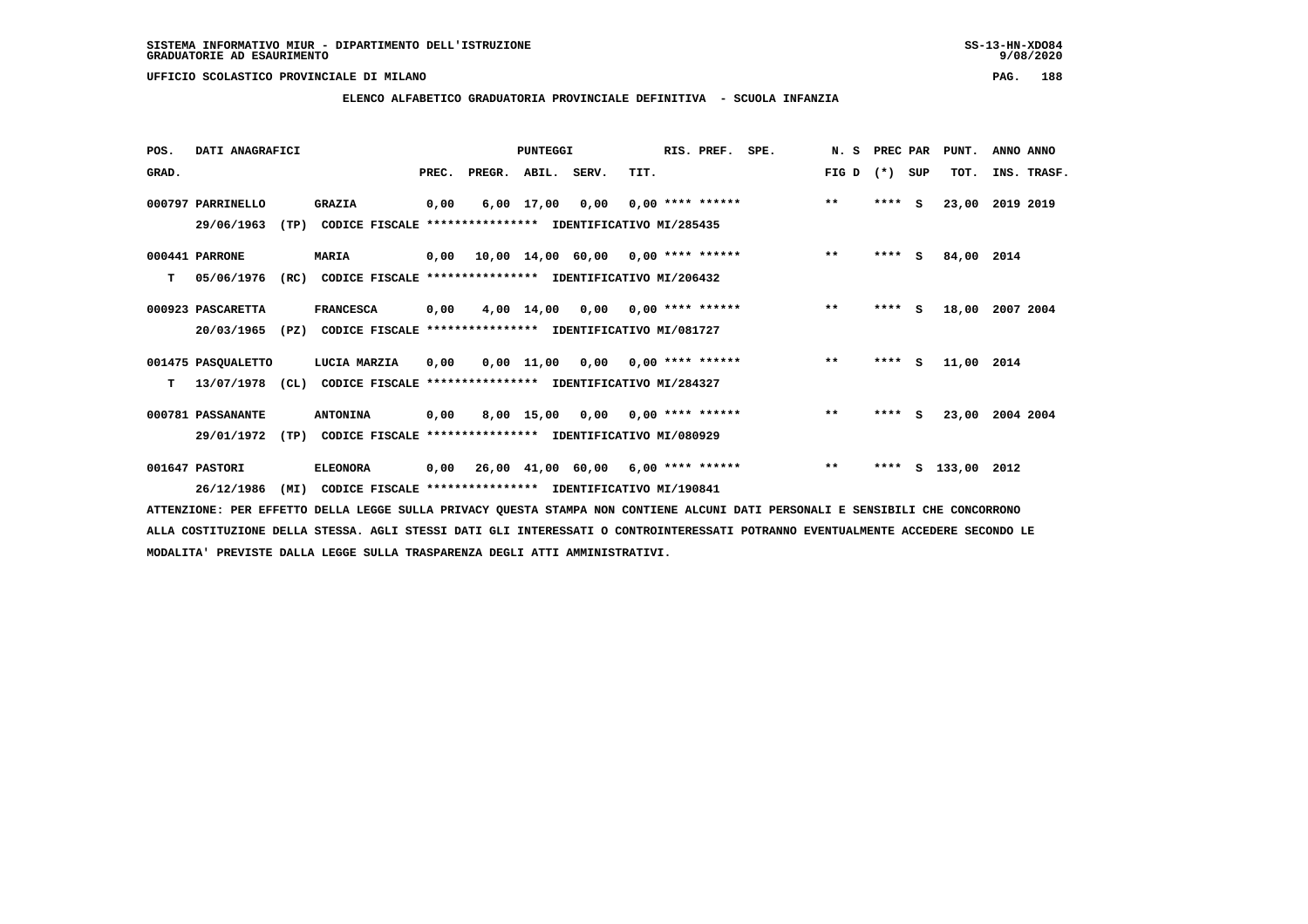**ELENCO ALFABETICO GRADUATORIA PROVINCIALE DEFINITIVA - SCUOLA INFANZIA**

 **POS. DATI ANAGRAFICI PUNTEGGI RIS. PREF. SPE. N. S PREC PAR PUNT. ANNO ANNO**GRAD. **PREGRADE SERVEGER. ABIL. SERV. TIT.** FIG D (\*) SUP TOT. INS. TRASF.  **000797 PARRINELLO GRAZIA 0,00 6,00 17,00 0,00 0,00 \*\*\*\* \*\*\*\*\*\* \*\* \*\*\*\* S 23,00 2019 2019 29/06/1963 (TP) CODICE FISCALE \*\*\*\*\*\*\*\*\*\*\*\*\*\*\*\* IDENTIFICATIVO MI/285435 000441 PARRONE MARIA 0,00 10,00 14,00 60,00 0,00 \*\*\*\* \*\*\*\*\*\* \*\* \*\*\*\* S 84,00 2014 T 05/06/1976 (RC) CODICE FISCALE \*\*\*\*\*\*\*\*\*\*\*\*\*\*\*\* IDENTIFICATIVO MI/206432 000923 PASCARETTA FRANCESCA 0,00 4,00 14,00 0,00 0,00 \*\*\*\* \*\*\*\*\*\* \*\* \*\*\*\* S 18,00 2007 2004 20/03/1965 (PZ) CODICE FISCALE \*\*\*\*\*\*\*\*\*\*\*\*\*\*\*\* IDENTIFICATIVO MI/081727 001475 PASQUALETTO LUCIA MARZIA 0,00 0,00 11,00 0,00 0,00 \*\*\*\* \*\*\*\*\*\* \*\* \*\*\*\* S 11,00 2014 T 13/07/1978 (CL) CODICE FISCALE \*\*\*\*\*\*\*\*\*\*\*\*\*\*\*\* IDENTIFICATIVO MI/284327 000781 PASSANANTE ANTONINA 0,00 8,00 15,00 0,00 0,00 \*\*\*\* \*\*\*\*\*\* \*\* \*\*\*\* S 23,00 2004 2004 29/01/1972 (TP) CODICE FISCALE \*\*\*\*\*\*\*\*\*\*\*\*\*\*\*\* IDENTIFICATIVO MI/080929 001647 PASTORI ELEONORA 0,00 26,00 41,00 60,00 6,00 \*\*\*\* \*\*\*\*\*\* \*\* \*\*\*\* S 133,00 2012 26/12/1986 (MI) CODICE FISCALE \*\*\*\*\*\*\*\*\*\*\*\*\*\*\*\* IDENTIFICATIVO MI/190841**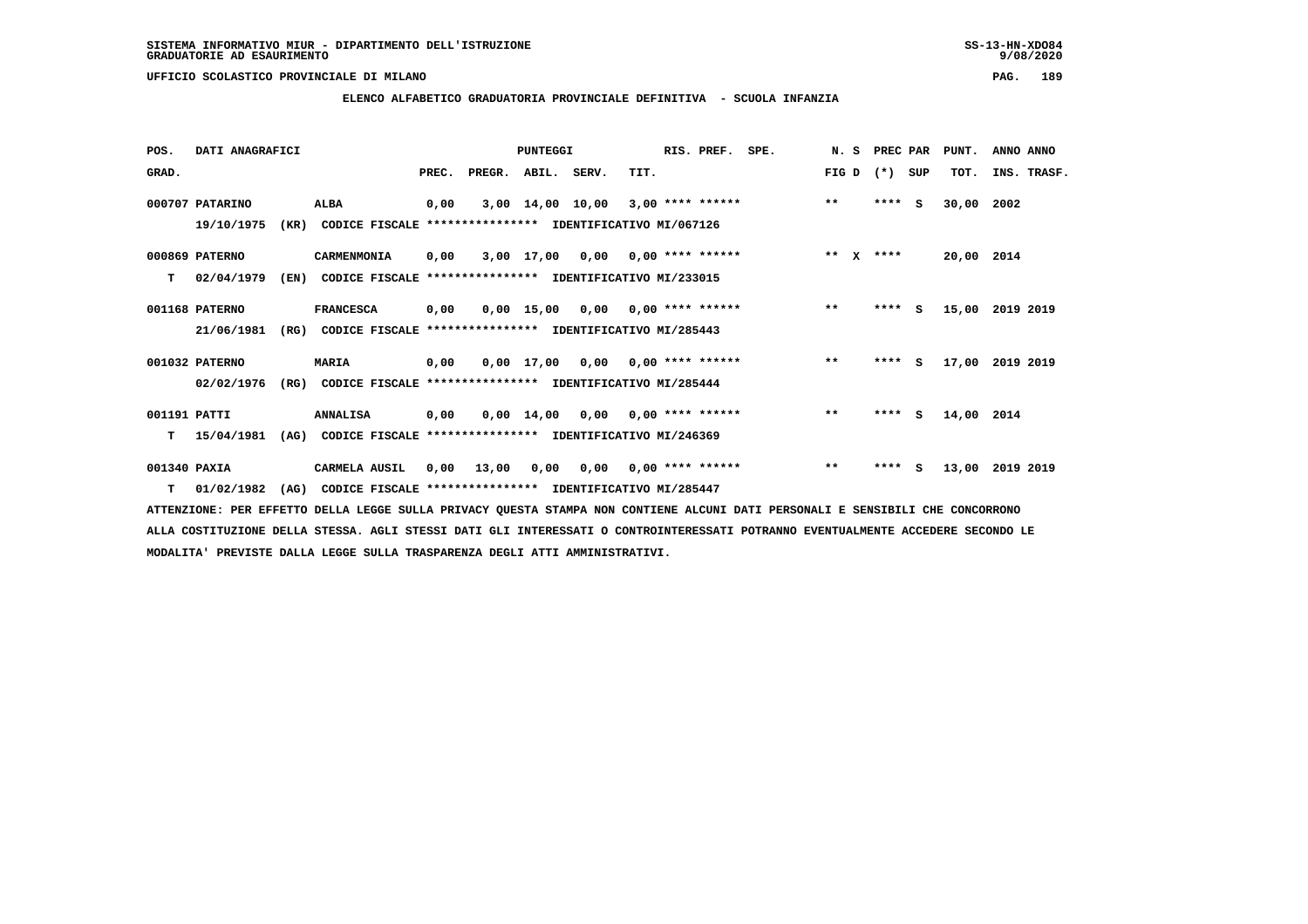$9/08/2020$ 

 **UFFICIO SCOLASTICO PROVINCIALE DI MILANO PAG. 189**

# **ELENCO ALFABETICO GRADUATORIA PROVINCIALE DEFINITIVA - SCUOLA INFANZIA**

| POS.         | DATI ANAGRAFICI |      |                                                          |       |        | PUNTEGGI           |      |      | RIS. PREF.                      | SPE. | N.S       | PREC PAR |     | PUNT.      | ANNO ANNO   |
|--------------|-----------------|------|----------------------------------------------------------|-------|--------|--------------------|------|------|---------------------------------|------|-----------|----------|-----|------------|-------------|
| GRAD.        |                 |      |                                                          | PREC. | PREGR. | ABIL. SERV.        |      | TIT. |                                 |      | FIG D     | $(* )$   | SUP | TOT.       | INS. TRASF. |
|              | 000707 PATARINO |      | ALBA                                                     | 0,00  |        | 3,00 14,00 10,00   |      |      | $3,00$ **** ******              |      | $***$     | ****     | s.  | 30,00      | 2002        |
|              | 19/10/1975      | (KR) | CODICE FISCALE **************** IDENTIFICATIVO MI/067126 |       |        |                    |      |      |                                 |      |           |          |     |            |             |
|              | 000869 PATERNO  |      | CARMENMONIA                                              | 0,00  |        | 3,00 17,00         |      |      | $0,00$ $0,00$ **** ******       |      | $***$ $X$ | ****     |     | 20,00 2014 |             |
| т            | 02/04/1979      | (EN) | CODICE FISCALE **************** IDENTIFICATIVO MI/233015 |       |        |                    |      |      |                                 |      |           |          |     |            |             |
|              | 001168 PATERNO  |      | <b>FRANCESCA</b>                                         | 0,00  |        | $0,00$ 15,00       | 0,00 |      | $0.00$ **** ******              |      | $***$     | ****     | s   | 15,00      | 2019 2019   |
|              | 21/06/1981      | (RG) | CODICE FISCALE **************** IDENTIFICATIVO MI/285443 |       |        |                    |      |      |                                 |      |           |          |     |            |             |
|              | 001032 PATERNO  |      | <b>MARIA</b>                                             | 0,00  |        | 0,00 17,00         |      |      | $0.00$ $0.00$ $***$ **** ****** |      | $***$     | ****     | S.  | 17,00      | 2019 2019   |
|              | 02/02/1976      | (RG) | CODICE FISCALE **************** IDENTIFICATIVO MI/285444 |       |        |                    |      |      |                                 |      |           |          |     |            |             |
| 001191 PATTI |                 |      | <b>ANNALISA</b>                                          | 0,00  |        | $0,00 \quad 14,00$ | 0,00 |      | $0.00$ **** ******              |      | $***$     | ****     | s   | 14,00 2014 |             |
| т            | 15/04/1981      | (AG) | CODICE FISCALE **************** IDENTIFICATIVO MI/246369 |       |        |                    |      |      |                                 |      |           |          |     |            |             |
| 001340 PAXIA |                 |      | <b>CARMELA AUSIL</b>                                     | 0,00  | 13,00  | 0,00               | 0,00 |      | $0.00$ **** ******              |      | $***$     | ****     | s   | 13,00      | 2019 2019   |
| т            | 01/02/1982      | (AG) | CODICE FISCALE **************** IDENTIFICATIVO MI/285447 |       |        |                    |      |      |                                 |      |           |          |     |            |             |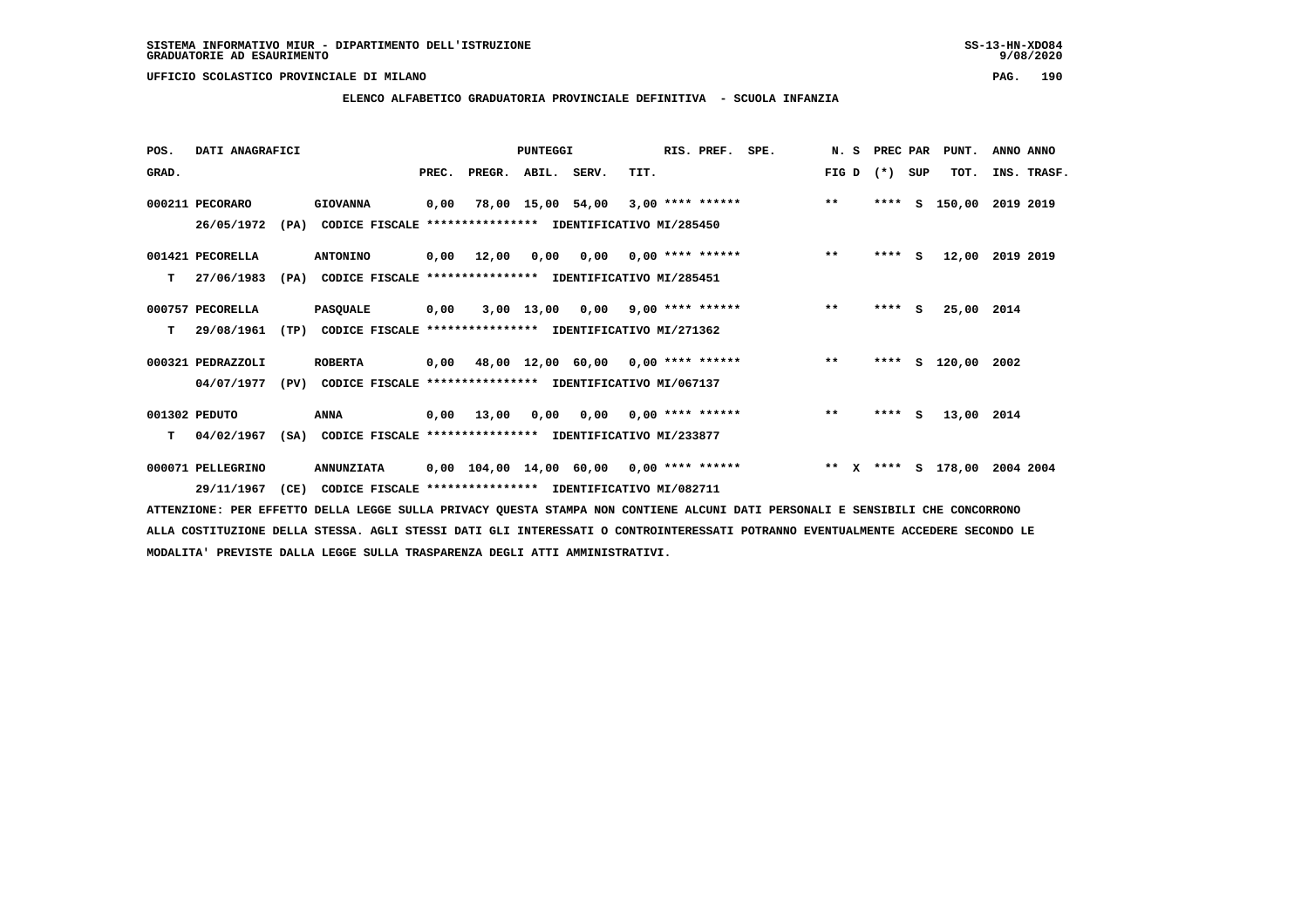**ELENCO ALFABETICO GRADUATORIA PROVINCIALE DEFINITIVA - SCUOLA INFANZIA**

 **POS. DATI ANAGRAFICI PUNTEGGI RIS. PREF. SPE. N. S PREC PAR PUNT. ANNO ANNO**GRAD. **PREGRADE SERVEGER. ABIL. SERV. TIT.** FIG D (\*) SUP TOT. INS. TRASF.  **000211 PECORARO GIOVANNA 0,00 78,00 15,00 54,00 3,00 \*\*\*\* \*\*\*\*\*\* \*\* \*\*\*\* S 150,00 2019 2019 26/05/1972 (PA) CODICE FISCALE \*\*\*\*\*\*\*\*\*\*\*\*\*\*\*\* IDENTIFICATIVO MI/285450 001421 PECORELLA ANTONINO 0,00 12,00 0,00 0,00 0,00 \*\*\*\* \*\*\*\*\*\* \*\* \*\*\*\* S 12,00 2019 2019 T 27/06/1983 (PA) CODICE FISCALE \*\*\*\*\*\*\*\*\*\*\*\*\*\*\*\* IDENTIFICATIVO MI/285451 000757 PECORELLA PASQUALE 0,00 3,00 13,00 0,00 9,00 \*\*\*\* \*\*\*\*\*\* \*\* \*\*\*\* S 25,00 2014 T 29/08/1961 (TP) CODICE FISCALE \*\*\*\*\*\*\*\*\*\*\*\*\*\*\*\* IDENTIFICATIVO MI/271362 000321 PEDRAZZOLI ROBERTA 0,00 48,00 12,00 60,00 0,00 \*\*\*\* \*\*\*\*\*\* \*\* \*\*\*\* S 120,00 2002 04/07/1977 (PV) CODICE FISCALE \*\*\*\*\*\*\*\*\*\*\*\*\*\*\*\* IDENTIFICATIVO MI/067137 001302 PEDUTO ANNA 0,00 13,00 0,00 0,00 0,00 \*\*\*\* \*\*\*\*\*\* \*\* \*\*\*\* S 13,00 2014 T 04/02/1967 (SA) CODICE FISCALE \*\*\*\*\*\*\*\*\*\*\*\*\*\*\*\* IDENTIFICATIVO MI/233877 000071 PELLEGRINO ANNUNZIATA 0,00 104,00 14,00 60,00 0,00 \*\*\*\* \*\*\*\*\*\* \*\* X \*\*\*\* S 178,00 2004 2004 29/11/1967 (CE) CODICE FISCALE \*\*\*\*\*\*\*\*\*\*\*\*\*\*\*\* IDENTIFICATIVO MI/082711**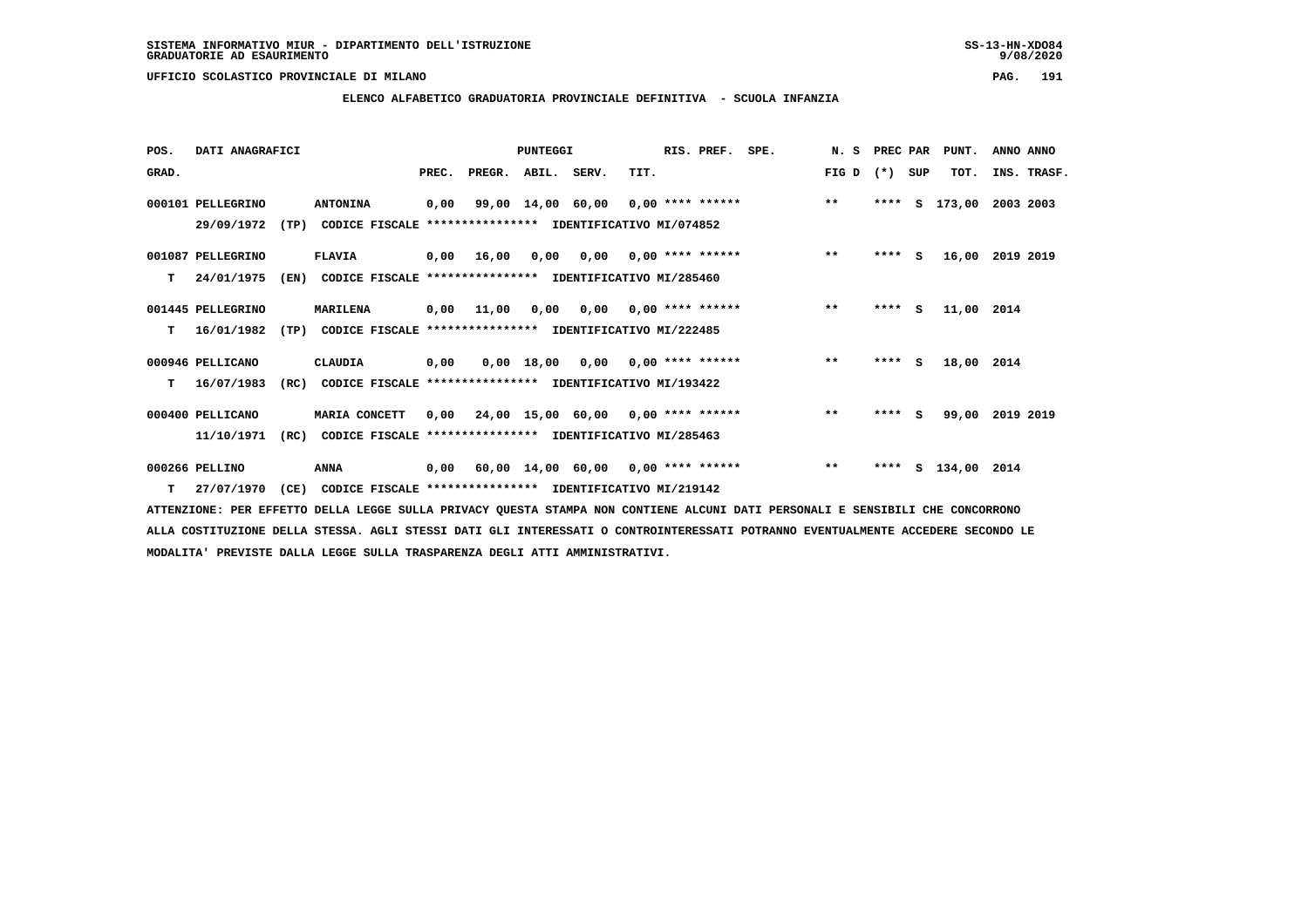# **ELENCO ALFABETICO GRADUATORIA PROVINCIALE DEFINITIVA - SCUOLA INFANZIA**

| POS.  | DATI ANAGRAFICI   |      |                                                                           |       |                    | <b>PUNTEGGI</b> |      | RIS. PREF. | SPE.                                                   | N.S   | PREC PAR |     | PUNT.              | ANNO ANNO       |
|-------|-------------------|------|---------------------------------------------------------------------------|-------|--------------------|-----------------|------|------------|--------------------------------------------------------|-------|----------|-----|--------------------|-----------------|
| GRAD. |                   |      |                                                                           | PREC. | PREGR. ABIL. SERV. |                 | TIT. |            |                                                        | FIG D | $(*)$    | SUP | TOT.               | INS. TRASF.     |
|       | 000101 PELLEGRINO |      | <b>ANTONINA</b>                                                           | 0,00  |                    |                 |      |            | 99,00 14,00 60,00 0,00 **** ****** *** **              |       | ****     |     | S 173,00           | 2003 2003       |
|       |                   |      | 29/09/1972 (TP) CODICE FISCALE **************** IDENTIFICATIVO MI/074852  |       |                    |                 |      |            |                                                        |       |          |     |                    |                 |
|       | 001087 PELLEGRINO |      | <b>FLAVIA</b>                                                             |       |                    |                 |      |            | 0,00 16,00 0,00 0,00 0,00 **** ****** *** **           |       | $***$ S  |     |                    | 16,00 2019 2019 |
| T.    | 24/01/1975        | (EN) | CODICE FISCALE **************** IDENTIFICATIVO MI/285460                  |       |                    |                 |      |            |                                                        |       |          |     |                    |                 |
|       | 001445 PELLEGRINO |      | <b>MARILENA</b>                                                           | 0,00  | 11,00              |                 |      |            | $0,00$ $0,00$ $0,00$ **** ****** ***                   |       | **** S   |     | 11,00 2014         |                 |
|       |                   |      | T 16/01/1982 (TP) CODICE FISCALE *************** IDENTIFICATIVO MI/222485 |       |                    |                 |      |            |                                                        |       |          |     |                    |                 |
|       | 000946 PELLICANO  |      | CLAUDIA                                                                   |       |                    |                 |      |            |                                                        | $* *$ | **** S   |     | 18,00 2014         |                 |
| T.    | 16/07/1983        | (RC) | CODICE FISCALE **************** IDENTIFICATIVO MI/193422                  |       |                    |                 |      |            |                                                        |       |          |     |                    |                 |
|       | 000400 PELLICANO  |      | <b>MARIA CONCETT</b>                                                      |       |                    |                 |      |            | $0,00$ $24,00$ $15,00$ $60,00$ $0,00$ $***$ **** ***** | $***$ | $***$ S  |     | 99,00              | 2019 2019       |
|       | 11/10/1971        | (RC) | CODICE FISCALE **************** IDENTIFICATIVO MI/285463                  |       |                    |                 |      |            |                                                        |       |          |     |                    |                 |
|       | 000266 PELLINO    |      | ANNA                                                                      |       |                    |                 |      |            | 0,00 60,00 14,00 60,00 0,00 **** ****** *** **         |       |          |     | **** S 134,00 2014 |                 |
| т     | 27/07/1970        | (CE) | CODICE FISCALE **************** IDENTIFICATIVO MI/219142                  |       |                    |                 |      |            |                                                        |       |          |     |                    |                 |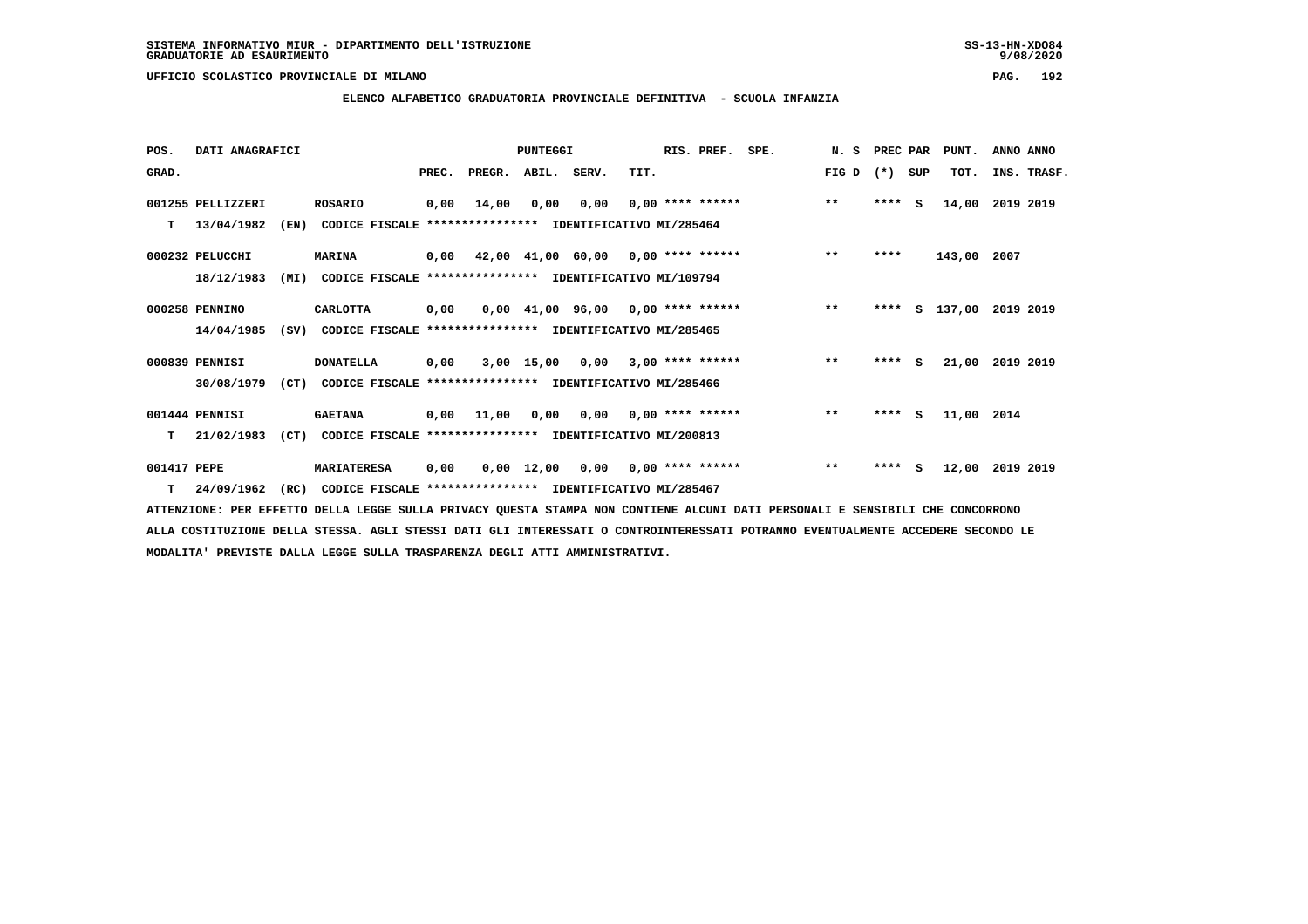**ELENCO ALFABETICO GRADUATORIA PROVINCIALE DEFINITIVA - SCUOLA INFANZIA**

 **POS. DATI ANAGRAFICI PUNTEGGI RIS. PREF. SPE. N. S PREC PAR PUNT. ANNO ANNO**GRAD. **BRAD. PREC. PREGR. ABIL. SERV.** TIT. THE REGREATER FIG D (\*) SUP TOT. INS. TRASF.  **001255 PELLIZZERI ROSARIO 0,00 14,00 0,00 0,00 0,00 \*\*\*\* \*\*\*\*\*\* \*\* \*\*\*\* S 14,00 2019 2019 T 13/04/1982 (EN) CODICE FISCALE \*\*\*\*\*\*\*\*\*\*\*\*\*\*\*\* IDENTIFICATIVO MI/285464 000232 PELUCCHI MARINA 0,00 42,00 41,00 60,00 0,00 \*\*\*\* \*\*\*\*\*\* \*\* \*\*\*\* 143,00 2007 18/12/1983 (MI) CODICE FISCALE \*\*\*\*\*\*\*\*\*\*\*\*\*\*\*\* IDENTIFICATIVO MI/109794 000258 PENNINO CARLOTTA 0,00 0,00 41,00 96,00 0,00 \*\*\*\* \*\*\*\*\*\* \*\* \*\*\*\* S 137,00 2019 2019 14/04/1985 (SV) CODICE FISCALE \*\*\*\*\*\*\*\*\*\*\*\*\*\*\*\* IDENTIFICATIVO MI/285465 000839 PENNISI DONATELLA 0,00 3,00 15,00 0,00 3,00 \*\*\*\* \*\*\*\*\*\* \*\* \*\*\*\* S 21,00 2019 2019 30/08/1979 (CT) CODICE FISCALE \*\*\*\*\*\*\*\*\*\*\*\*\*\*\*\* IDENTIFICATIVO MI/285466 001444 PENNISI GAETANA 0,00 11,00 0,00 0,00 0,00 \*\*\*\* \*\*\*\*\*\* \*\* \*\*\*\* S 11,00 2014 T 21/02/1983 (CT) CODICE FISCALE \*\*\*\*\*\*\*\*\*\*\*\*\*\*\*\* IDENTIFICATIVO MI/200813 001417 PEPE MARIATERESA 0,00 0,00 12,00 0,00 0,00 \*\*\*\* \*\*\*\*\*\* \*\* \*\*\*\* S 12,00 2019 2019 T 24/09/1962 (RC) CODICE FISCALE \*\*\*\*\*\*\*\*\*\*\*\*\*\*\*\* IDENTIFICATIVO MI/285467**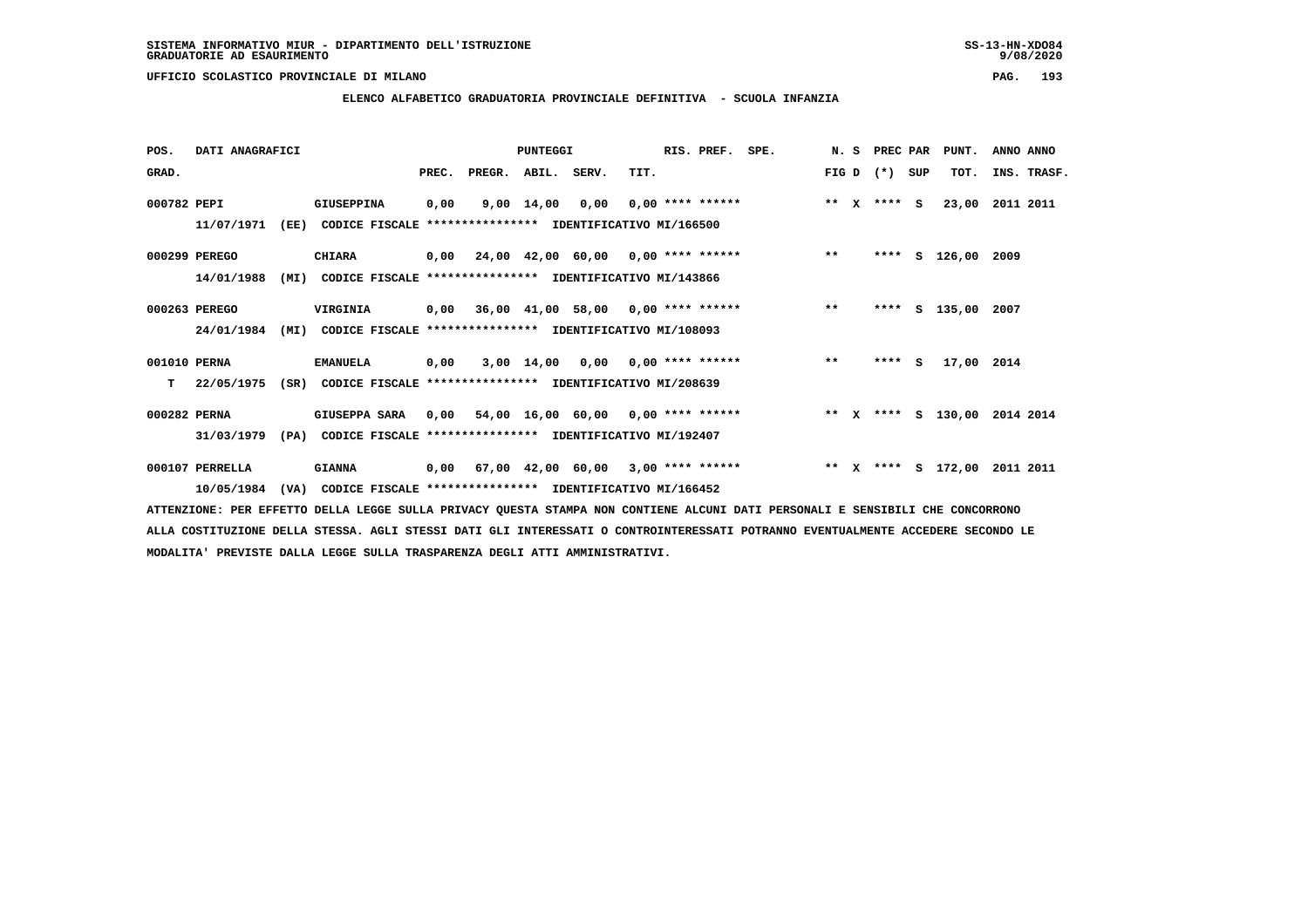**ELENCO ALFABETICO GRADUATORIA PROVINCIALE DEFINITIVA - SCUOLA INFANZIA**

| POS.         | DATI ANAGRAFICI |      |                                                               |      |                                           | <b>PUNTEGGI</b> |                                    |      | RIS. PREF.                | SPE.                                                                   |       | N. S PREC PAR   | PUNT.              | ANNO ANNO   |  |
|--------------|-----------------|------|---------------------------------------------------------------|------|-------------------------------------------|-----------------|------------------------------------|------|---------------------------|------------------------------------------------------------------------|-------|-----------------|--------------------|-------------|--|
| GRAD.        |                 |      |                                                               |      | PREC. PREGR. ABIL. SERV.                  |                 |                                    | TIT. |                           |                                                                        |       | $FIG D (*) SUB$ | TOT.               | INS. TRASF. |  |
| 000782 PEPI  |                 |      | <b>GIUSEPPINA</b>                                             | 0,00 |                                           | 9,00 14,00      |                                    |      | $0,00$ $0,00$ **** ****** | $*** x*** s$                                                           |       |                 | 23,00              | 2011 2011   |  |
|              | 11/07/1971      | (EE) | CODICE FISCALE **************** IDENTIFICATIVO MI/166500      |      |                                           |                 |                                    |      |                           |                                                                        |       |                 |                    |             |  |
|              | 000299 PEREGO   |      | <b>CHIARA</b>                                                 |      |                                           |                 |                                    |      |                           | 0,00 24,00 42,00 60,00 0,00 **** ******                                | $***$ |                 | **** S 126,00 2009 |             |  |
|              | 14/01/1988      | (MI) | CODICE FISCALE **************** IDENTIFICATIVO MI/143866      |      |                                           |                 |                                    |      |                           |                                                                        |       |                 |                    |             |  |
|              | 000263 PEREGO   |      | VIRGINIA                                                      |      | 0,00 36,00 41,00 58,00 0,00 **** ******   |                 |                                    |      |                           |                                                                        | $* *$ |                 | **** S 135,00 2007 |             |  |
|              | 24/01/1984      | (MI) | CODICE FISCALE **************** IDENTIFICATIVO MI/108093      |      |                                           |                 |                                    |      |                           |                                                                        |       |                 |                    |             |  |
| 001010 PERNA |                 |      | <b>EMANUELA</b>                                               | 0,00 |                                           |                 | $3,00$ 14,00 0,00 0,00 **** ****** |      |                           |                                                                        | $***$ | $***$ S         | 17,00 2014         |             |  |
| T.           | 22/05/1975      |      | (SR) CODICE FISCALE **************** IDENTIFICATIVO MI/208639 |      |                                           |                 |                                    |      |                           |                                                                        |       |                 |                    |             |  |
| 000282 PERNA |                 |      | GIUSEPPA SARA                                                 |      |                                           |                 |                                    |      |                           | $0,00$ 54,00 16,00 60,00 0,00 **** ****** **** *** ** ** *** \$ 130,00 |       |                 |                    | 2014 2014   |  |
|              | 31/03/1979      | (PA) | CODICE FISCALE **************** IDENTIFICATIVO MI/192407      |      |                                           |                 |                                    |      |                           |                                                                        |       |                 |                    |             |  |
|              | 000107 PERRELLA |      | <b>GIANNA</b>                                                 |      | $0,00$ 67,00 42,00 60,00 3,00 **** ****** |                 |                                    |      |                           |                                                                        |       |                 | ** X **** S 172,00 | 2011 2011   |  |
|              | 10/05/1984      |      | (VA) CODICE FISCALE **************** IDENTIFICATIVO MI/166452 |      |                                           |                 |                                    |      |                           |                                                                        |       |                 |                    |             |  |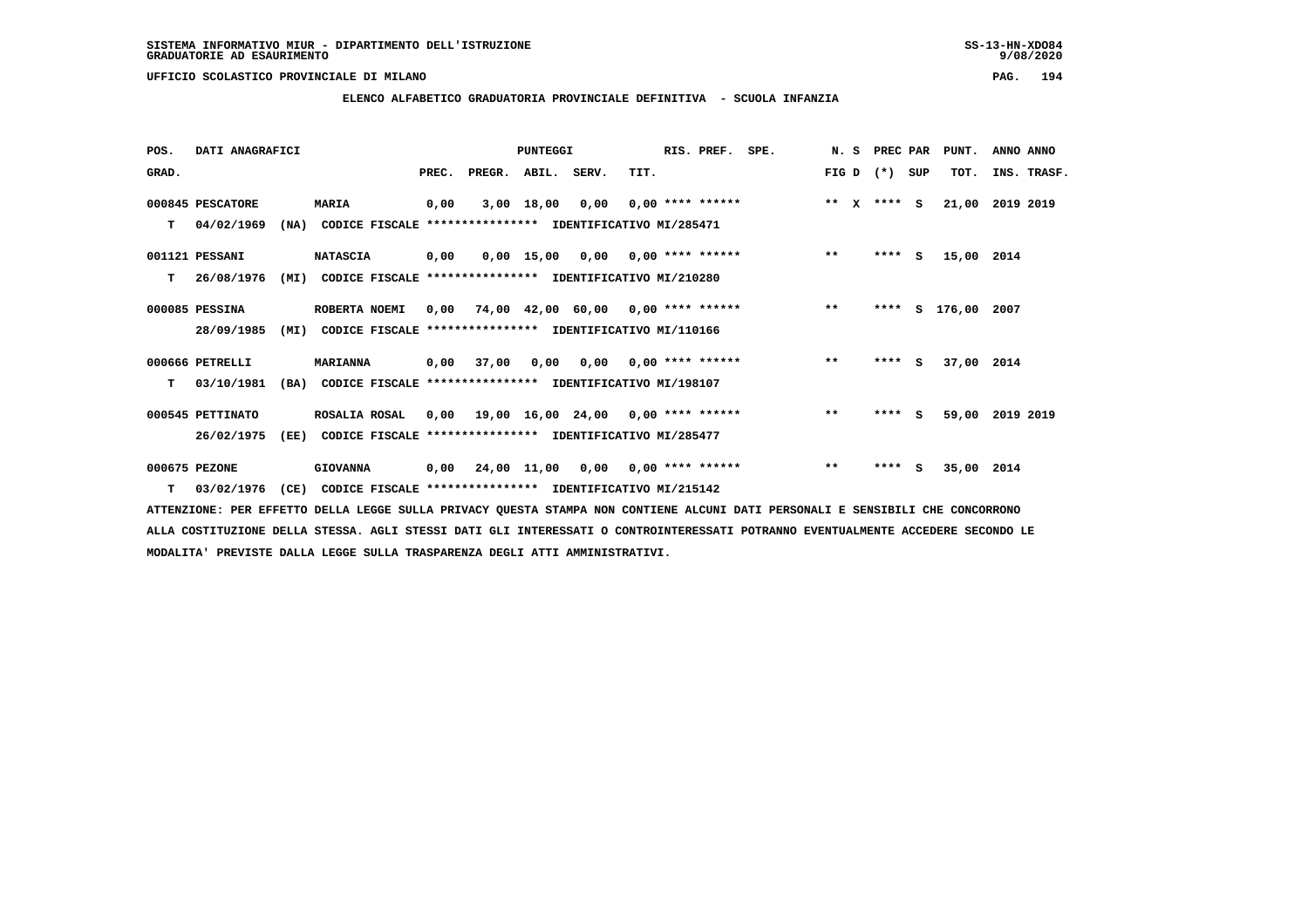**ELENCO ALFABETICO GRADUATORIA PROVINCIALE DEFINITIVA - SCUOLA INFANZIA**

 **POS. DATI ANAGRAFICI PUNTEGGI RIS. PREF. SPE. N. S PREC PAR PUNT. ANNO ANNO**GRAD. **PREGRADE SERVEGER. ABIL. SERV. TIT.** FIG D (\*) SUP TOT. INS. TRASF.  **000845 PESCATORE MARIA 0,00 3,00 18,00 0,00 0,00 \*\*\*\* \*\*\*\*\*\* \*\* X \*\*\*\* S 21,00 2019 2019 T 04/02/1969 (NA) CODICE FISCALE \*\*\*\*\*\*\*\*\*\*\*\*\*\*\*\* IDENTIFICATIVO MI/285471 001121 PESSANI NATASCIA 0,00 0,00 15,00 0,00 0,00 \*\*\*\* \*\*\*\*\*\* \*\* \*\*\*\* S 15,00 2014 T 26/08/1976 (MI) CODICE FISCALE \*\*\*\*\*\*\*\*\*\*\*\*\*\*\*\* IDENTIFICATIVO MI/210280 000085 PESSINA ROBERTA NOEMI 0,00 74,00 42,00 60,00 0,00 \*\*\*\* \*\*\*\*\*\* \*\* \*\*\*\* S 176,00 2007 28/09/1985 (MI) CODICE FISCALE \*\*\*\*\*\*\*\*\*\*\*\*\*\*\*\* IDENTIFICATIVO MI/110166 000666 PETRELLI MARIANNA 0,00 37,00 0,00 0,00 0,00 \*\*\*\* \*\*\*\*\*\* \*\* \*\*\*\* S 37,00 2014 T 03/10/1981 (BA) CODICE FISCALE \*\*\*\*\*\*\*\*\*\*\*\*\*\*\*\* IDENTIFICATIVO MI/198107 000545 PETTINATO ROSALIA ROSAL 0,00 19,00 16,00 24,00 0,00 \*\*\*\* \*\*\*\*\*\* \*\* \*\*\*\* S 59,00 2019 2019 26/02/1975 (EE) CODICE FISCALE \*\*\*\*\*\*\*\*\*\*\*\*\*\*\*\* IDENTIFICATIVO MI/285477 000675 PEZONE GIOVANNA 0,00 24,00 11,00 0,00 0,00 \*\*\*\* \*\*\*\*\*\* \*\* \*\*\*\* S 35,00 2014**

 **T 03/02/1976 (CE) CODICE FISCALE \*\*\*\*\*\*\*\*\*\*\*\*\*\*\*\* IDENTIFICATIVO MI/215142**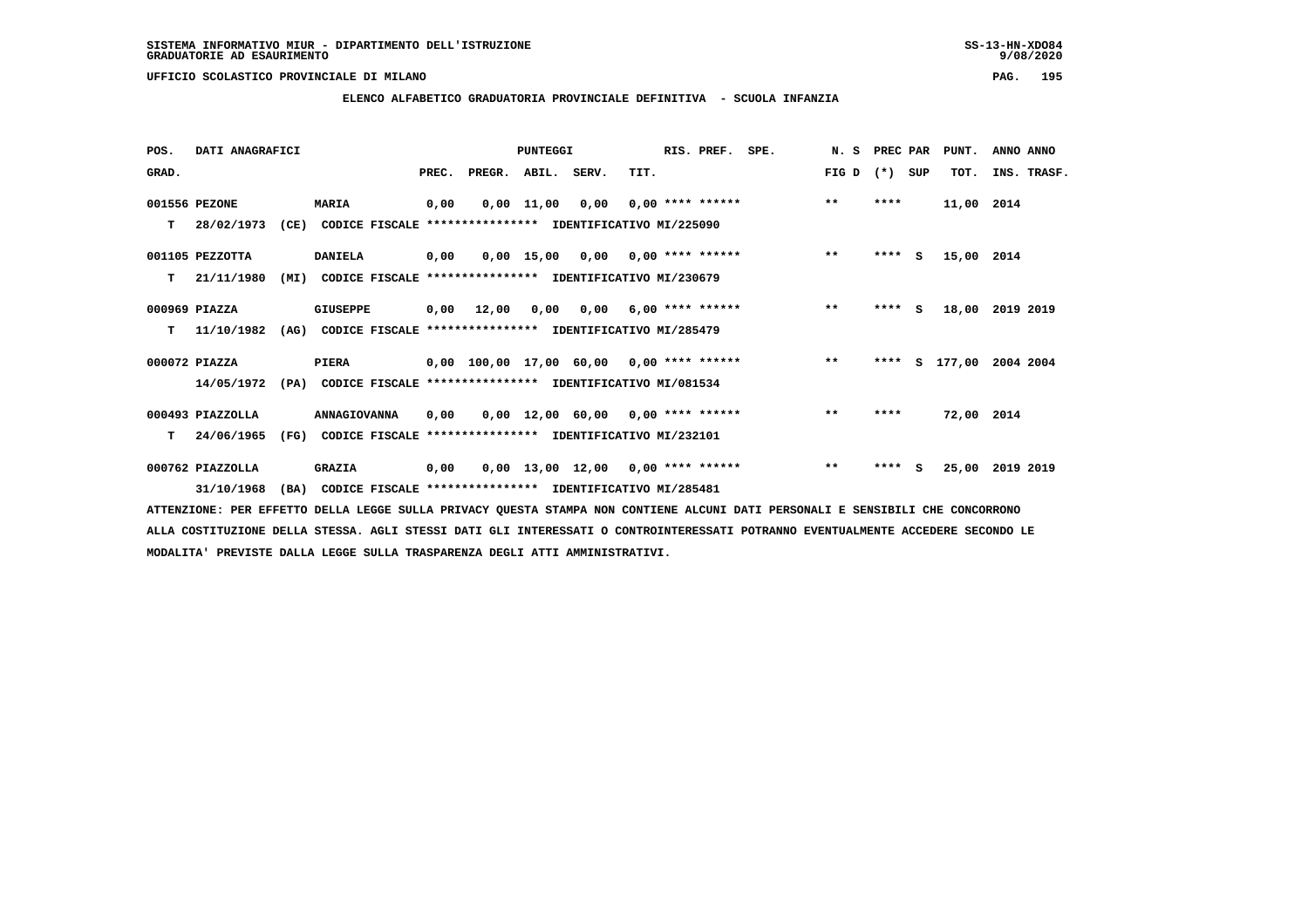**ELENCO ALFABETICO GRADUATORIA PROVINCIALE DEFINITIVA - SCUOLA INFANZIA**

| POS.  | DATI ANAGRAFICI  |      |                                                               |       |                                            | <b>PUNTEGGI</b> |                                     |      | RIS. PREF. SPE.  | N. S PREC PAR |         |     | PUNT.      | ANNO ANNO   |
|-------|------------------|------|---------------------------------------------------------------|-------|--------------------------------------------|-----------------|-------------------------------------|------|------------------|---------------|---------|-----|------------|-------------|
| GRAD. |                  |      |                                                               | PREC. | PREGR. ABIL. SERV.                         |                 |                                     | TIT. |                  | FIG D         | $(* )$  | SUP | TOT.       | INS. TRASF. |
|       | 001556 PEZONE    |      | <b>MARIA</b>                                                  | 0,00  |                                            | $0,00$ $11,00$  | 0,00                                |      | 0,00 **** ****** | $***$         | ****    |     | 11,00 2014 |             |
| т     | 28/02/1973       | (CE) | CODICE FISCALE **************** IDENTIFICATIVO MI/225090      |       |                                            |                 |                                     |      |                  |               |         |     |            |             |
|       | 001105 PEZZOTTA  |      | <b>DANIELA</b>                                                | 0,00  |                                            |                 | $0,00$ 15,00 0,00 0,00 **** ******  |      |                  | $* *$         | $***$ S |     | 15,00 2014 |             |
| т     | 21/11/1980       | (MI) | CODICE FISCALE **************** IDENTIFICATIVO MI/230679      |       |                                            |                 |                                     |      |                  |               |         |     |            |             |
|       | 000969 PIAZZA    |      | <b>GIUSEPPE</b>                                               |       | 0,00 12,00                                 |                 | $0,00$ $0,00$ $6,00$ **** ******    |      |                  | $* *$         | $***$ S |     | 18,00      | 2019 2019   |
| т     | 11/10/1982       | (AG) | CODICE FISCALE **************** IDENTIFICATIVO MI/285479      |       |                                            |                 |                                     |      |                  |               |         |     |            |             |
|       | 000072 PIAZZA    |      | PIERA                                                         |       | $0,00$ 100,00 17,00 60,00 0,00 **** ****** |                 |                                     |      |                  | $***$         | ****    |     | s 177,00   | 2004 2004   |
|       | 14/05/1972       |      | (PA) CODICE FISCALE **************** IDENTIFICATIVO MI/081534 |       |                                            |                 |                                     |      |                  |               |         |     |            |             |
|       | 000493 PIAZZOLLA |      | ANNAGIOVANNA                                                  | 0.00  |                                            |                 | $0,00$ 12,00 60,00 0,00 **** ****** |      |                  | $**$          | ****    |     | 72,00 2014 |             |
| т     | 24/06/1965       | (FG) | CODICE FISCALE **************** IDENTIFICATIVO MI/232101      |       |                                            |                 |                                     |      |                  |               |         |     |            |             |
|       | 000762 PIAZZOLLA |      | <b>GRAZIA</b>                                                 | 0,00  |                                            |                 | $0,00$ 13,00 12,00 0,00 **** ****** |      |                  | $***$         | ****    | - S | 25,00      | 2019 2019   |
|       | 31/10/1968       | (BA) | CODICE FISCALE **************** IDENTIFICATIVO MI/285481      |       |                                            |                 |                                     |      |                  |               |         |     |            |             |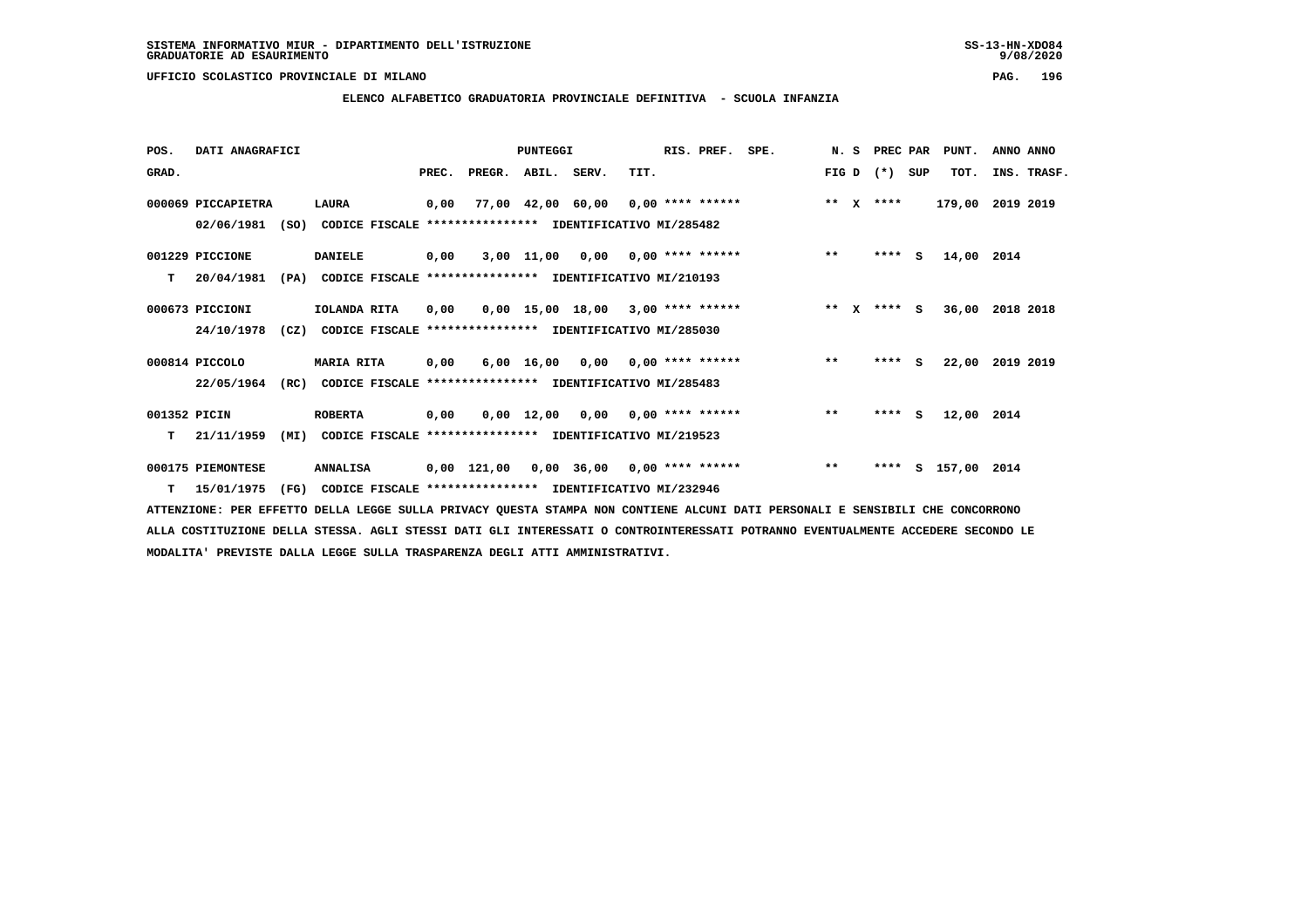**ELENCO ALFABETICO GRADUATORIA PROVINCIALE DEFINITIVA - SCUOLA INFANZIA**

 **POS. DATI ANAGRAFICI PUNTEGGI RIS. PREF. SPE. N. S PREC PAR PUNT. ANNO ANNO**GRAD. **BRAD. PREC. PREGR. ABIL. SERV.** TIT. THE REGREATER FIG D (\*) SUP TOT. INS. TRASF.  **000069 PICCAPIETRA LAURA 0,00 77,00 42,00 60,00 0,00 \*\*\*\* \*\*\*\*\*\* \*\* X \*\*\*\* 179,00 2019 2019 02/06/1981 (SO) CODICE FISCALE \*\*\*\*\*\*\*\*\*\*\*\*\*\*\*\* IDENTIFICATIVO MI/285482 001229 PICCIONE DANIELE 0,00 3,00 11,00 0,00 0,00 \*\*\*\* \*\*\*\*\*\* \*\* \*\*\*\* S 14,00 2014 T 20/04/1981 (PA) CODICE FISCALE \*\*\*\*\*\*\*\*\*\*\*\*\*\*\*\* IDENTIFICATIVO MI/210193 000673 PICCIONI IOLANDA RITA 0,00 0,00 15,00 18,00 3,00 \*\*\*\* \*\*\*\*\*\* \*\* X \*\*\*\* S 36,00 2018 2018 24/10/1978 (CZ) CODICE FISCALE \*\*\*\*\*\*\*\*\*\*\*\*\*\*\*\* IDENTIFICATIVO MI/285030 000814 PICCOLO MARIA RITA 0,00 6,00 16,00 0,00 0,00 \*\*\*\* \*\*\*\*\*\* \*\* \*\*\*\* S 22,00 2019 2019 22/05/1964 (RC) CODICE FISCALE \*\*\*\*\*\*\*\*\*\*\*\*\*\*\*\* IDENTIFICATIVO MI/285483 001352 PICIN ROBERTA 0,00 0,00 12,00 0,00 0,00 \*\*\*\* \*\*\*\*\*\* \*\* \*\*\*\* S 12,00 2014 T 21/11/1959 (MI) CODICE FISCALE \*\*\*\*\*\*\*\*\*\*\*\*\*\*\*\* IDENTIFICATIVO MI/219523 000175 PIEMONTESE ANNALISA 0,00 121,00 0,00 36,00 0,00 \*\*\*\* \*\*\*\*\*\* \*\* \*\*\*\* S 157,00 2014**

 **T 15/01/1975 (FG) CODICE FISCALE \*\*\*\*\*\*\*\*\*\*\*\*\*\*\*\* IDENTIFICATIVO MI/232946**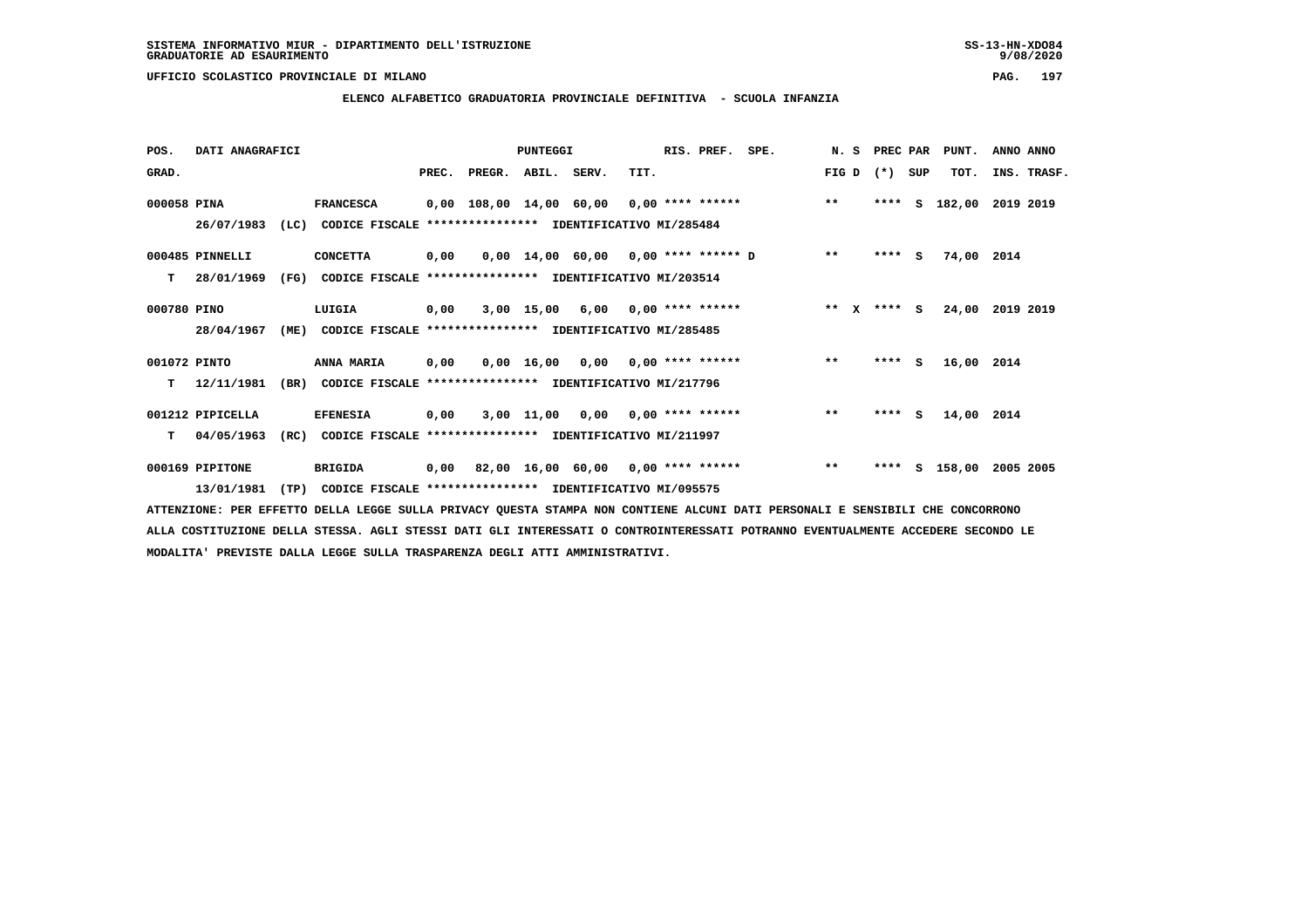# **ELENCO ALFABETICO GRADUATORIA PROVINCIALE DEFINITIVA - SCUOLA INFANZIA**

| POS.         | DATI ANAGRAFICI  |      |                                                          |       |                    | <b>PUNTEGGI</b> |                                          |      | RIS. PREF.       | SPE.                                | N.S                          | PREC PAR |     | PUNT.      | ANNO ANNO   |
|--------------|------------------|------|----------------------------------------------------------|-------|--------------------|-----------------|------------------------------------------|------|------------------|-------------------------------------|------------------------------|----------|-----|------------|-------------|
| GRAD.        |                  |      |                                                          | PREC. | PREGR. ABIL. SERV. |                 |                                          | TIT. |                  |                                     | FIG D                        | $(*)$    | SUP | TOT.       | INS. TRASF. |
| 000058 PINA  |                  |      | <b>FRANCESCA</b>                                         |       |                    |                 | 0,00 108,00 14,00 60,00 0,00 **** ****** |      |                  |                                     | $***$                        | ****     | s   | 182,00     | 2019 2019   |
|              | 26/07/1983       | (LC) | CODICE FISCALE **************** IDENTIFICATIVO MI/285484 |       |                    |                 |                                          |      |                  |                                     |                              |          |     |            |             |
|              | 000485 PINNELLI  |      | <b>CONCETTA</b>                                          | 0,00  |                    |                 |                                          |      |                  | 0,00 14,00 60,00 0,00 **** ****** D | $***$                        | $***$ S  |     | 74,00 2014 |             |
| т            | 28/01/1969       | (FG) | CODICE FISCALE **************** IDENTIFICATIVO MI/203514 |       |                    |                 |                                          |      |                  |                                     |                              |          |     |            |             |
| 000780 PINO  |                  |      | LUIGIA                                                   | 0,00  |                    | 3,00 15,00      | 6,00                                     |      | 0,00 **** ****** |                                     | $\star\star$<br>$\mathbf{x}$ | $***$ S  |     | 24,00      | 2019 2019   |
|              | 28/04/1967       | (ME) | CODICE FISCALE **************** IDENTIFICATIVO MI/285485 |       |                    |                 |                                          |      |                  |                                     |                              |          |     |            |             |
| 001072 PINTO |                  |      | <b>ANNA MARIA</b>                                        | 0,00  |                    |                 | $0.00 \t16.00 \t0.00 \t0.00$ **** ****** |      |                  |                                     | $***$                        | $***$ S  |     | 16,00 2014 |             |
| т            | 12/11/1981       | (BR) | CODICE FISCALE **************** IDENTIFICATIVO MI/217796 |       |                    |                 |                                          |      |                  |                                     |                              |          |     |            |             |
|              | 001212 PIPICELLA |      | <b>EFENESIA</b>                                          | 0,00  |                    | 3,00 11,00      | 0,00                                     |      | 0,00 **** ****** |                                     | $* *$                        | ****     | s   | 14,00 2014 |             |
| т            | 04/05/1963       | (RC) | CODICE FISCALE **************** IDENTIFICATIVO MI/211997 |       |                    |                 |                                          |      |                  |                                     |                              |          |     |            |             |
|              | 000169 PIPITONE  |      | <b>BRIGIDA</b>                                           | 0,00  |                    |                 | 82,00 16,00 60,00 0,00 **** ******       |      |                  |                                     | $***$                        | ****     |     | S 158,00   | 2005 2005   |
|              | 13/01/1981       | (TP) | CODICE FISCALE **************** IDENTIFICATIVO MI/095575 |       |                    |                 |                                          |      |                  |                                     |                              |          |     |            |             |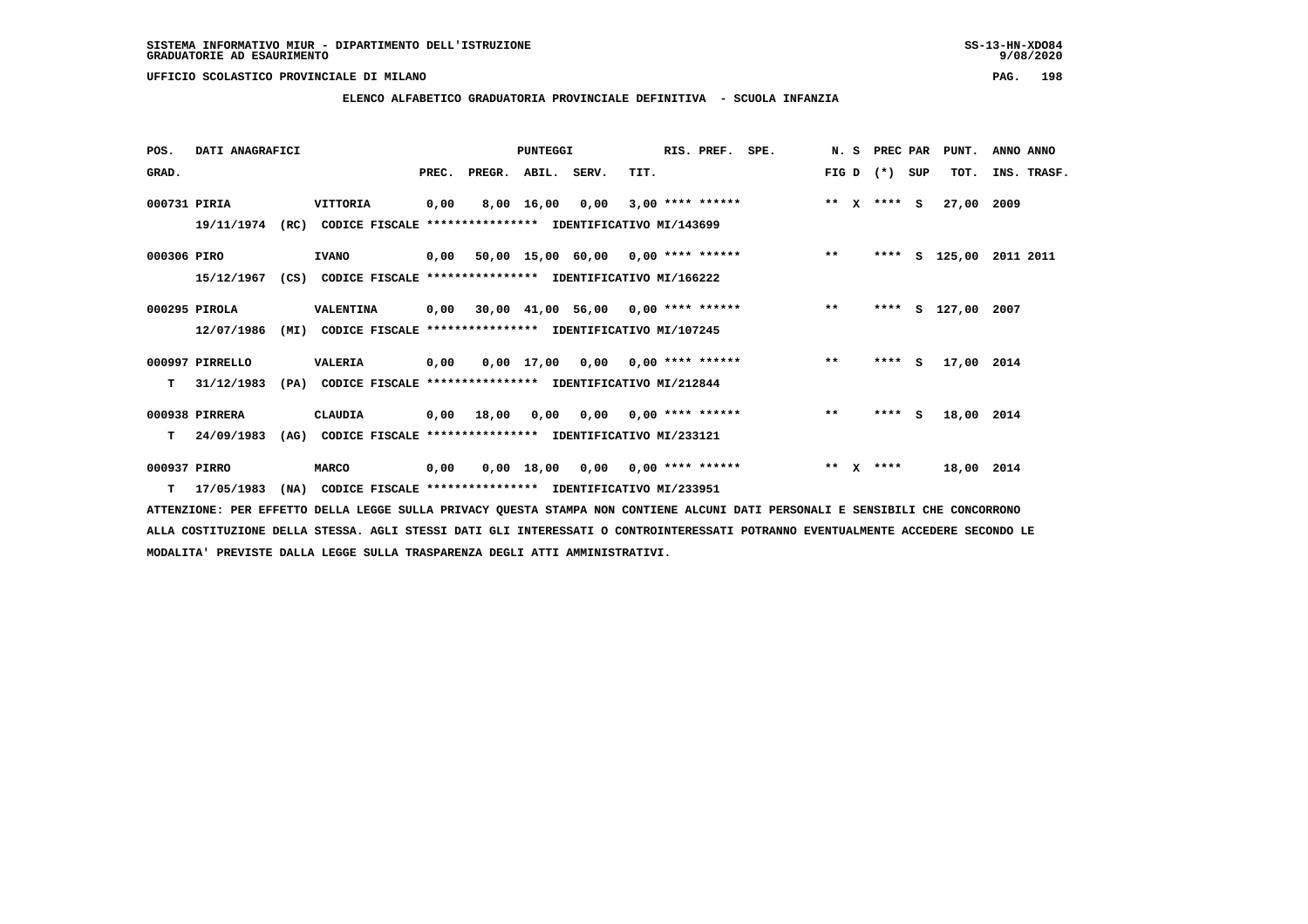$9/08/2020$ 

 **UFFICIO SCOLASTICO PROVINCIALE DI MILANO PAG. 198**

# **ELENCO ALFABETICO GRADUATORIA PROVINCIALE DEFINITIVA - SCUOLA INFANZIA**

| POS.         | DATI ANAGRAFICI  |      |                                                                          |      |                          | <b>PUNTEGGI</b> |      |                                    | RIS. PREF. SPE.    |                                         |         | N. S PREC PAR   | PUNT.              | ANNO ANNO               |
|--------------|------------------|------|--------------------------------------------------------------------------|------|--------------------------|-----------------|------|------------------------------------|--------------------|-----------------------------------------|---------|-----------------|--------------------|-------------------------|
| GRAD.        |                  |      |                                                                          |      | PREC. PREGR. ABIL. SERV. |                 |      | TIT.                               |                    |                                         |         | $FIG D (*) SUB$ | TOT.               | INS. TRASF.             |
| 000731 PIRIA |                  |      | VITTORIA                                                                 | 0,00 |                          | 8,00 16,00      | 0,00 |                                    | $3,00$ **** ****** |                                         |         | ** $X$ **** S   | 27,00 2009         |                         |
|              |                  |      | 19/11/1974 (RC) CODICE FISCALE **************** IDENTIFICATIVO MI/143699 |      |                          |                 |      |                                    |                    |                                         |         |                 |                    |                         |
| 000306 PIRO  |                  |      | <b>IVANO</b>                                                             |      |                          |                 |      |                                    |                    | 0,00 50,00 15,00 60,00 0,00 **** ****** | $***$   |                 |                    | **** S 125,00 2011 2011 |
|              | 15/12/1967       |      | (CS) CODICE FISCALE **************** IDENTIFICATIVO MI/166222            |      |                          |                 |      |                                    |                    |                                         |         |                 |                    |                         |
|              | 000295 PIROLA    |      | VALENTINA                                                                |      |                          |                 |      |                                    |                    | 0,00 30,00 41,00 56,00 0,00 **** ****** | $***$   |                 | **** S 127,00 2007 |                         |
|              | 12/07/1986       | (MI) | CODICE FISCALE **************** IDENTIFICATIVO MI/107245                 |      |                          |                 |      |                                    |                    |                                         |         |                 |                    |                         |
|              | 000997 PIRRELLO  |      | <b>VALERIA</b>                                                           | 0,00 |                          |                 |      | $0,00$ 17,00 0,00 0,00 **** ****** |                    |                                         | $***$   | $***5$          | 17,00 2014         |                         |
|              | $T = 31/12/1983$ |      | (PA) CODICE FISCALE **************** IDENTIFICATIVO MI/212844            |      |                          |                 |      |                                    |                    |                                         |         |                 |                    |                         |
|              | 000938 PIRRERA   |      | CLAUDIA                                                                  |      | 0,00 18,00               |                 |      |                                    |                    | $0,00$ $0,00$ $0,00$ $***$ **** ******  | $***$   | $***5$          | 18,00 2014         |                         |
|              | $T = 24/09/1983$ | (AG) | CODICE FISCALE **************** IDENTIFICATIVO MI/233121                 |      |                          |                 |      |                                    |                    |                                         |         |                 |                    |                         |
| 000937 PIRRO |                  |      | <b>MARCO</b>                                                             | 0,00 |                          |                 |      | $0,00$ 18,00 0,00 0,00 **** ****** |                    |                                         | $***$ X | ****            | 18,00 2014         |                         |
|              | T 17/05/1983     |      | (NA) CODICE FISCALE **************** IDENTIFICATIVO MI/233951            |      |                          |                 |      |                                    |                    |                                         |         |                 |                    |                         |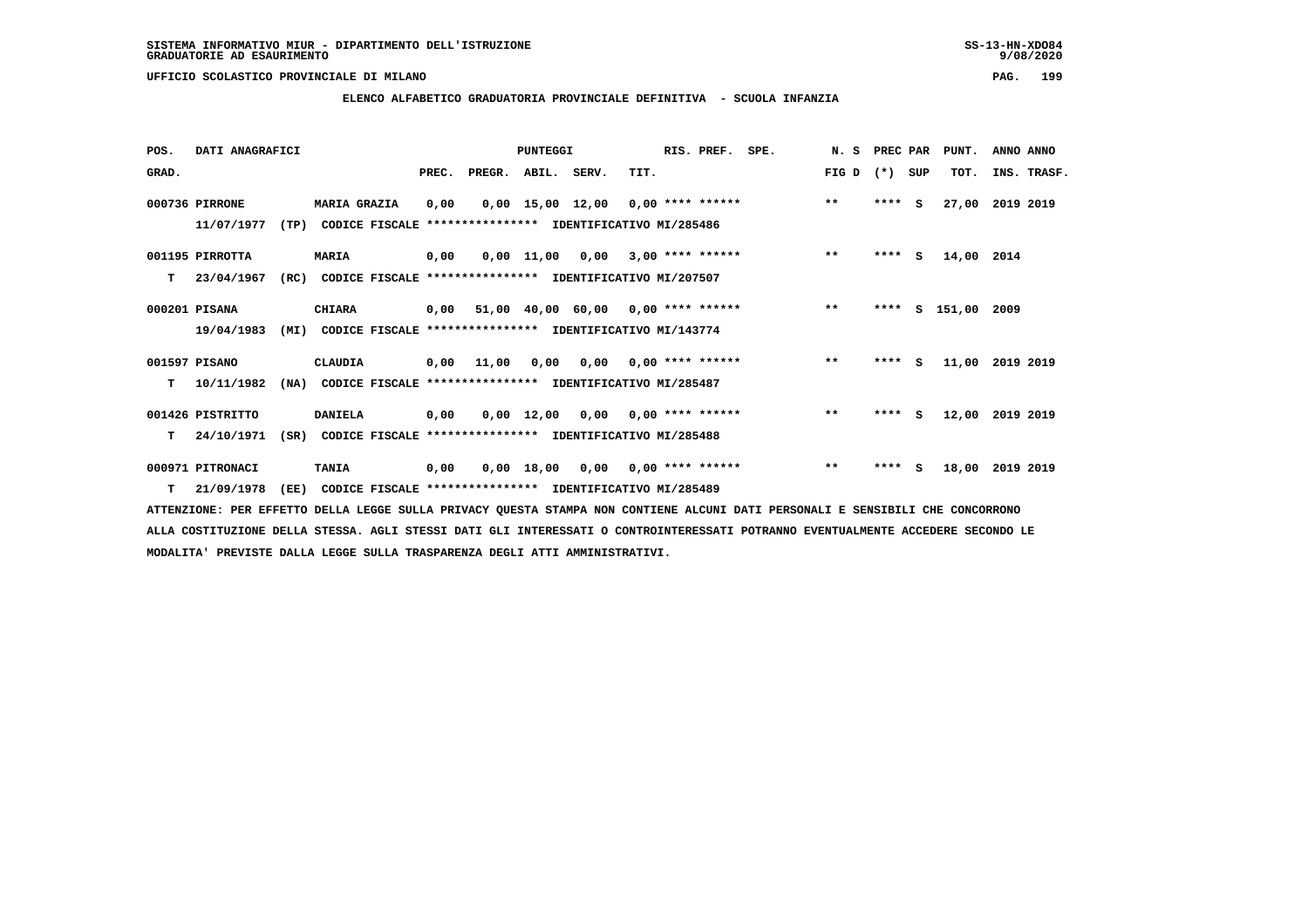**ELENCO ALFABETICO GRADUATORIA PROVINCIALE DEFINITIVA - SCUOLA INFANZIA**

 **POS. DATI ANAGRAFICI PUNTEGGI RIS. PREF. SPE. N. S PREC PAR PUNT. ANNO ANNO**GRAD. **BRAD. PREC. PREGR. ABIL. SERV.** TIT. THE REGREATER FIG D (\*) SUP TOT. INS. TRASF.  **000736 PIRRONE MARIA GRAZIA 0,00 0,00 15,00 12,00 0,00 \*\*\*\* \*\*\*\*\*\* \*\* \*\*\*\* S 27,00 2019 2019 11/07/1977 (TP) CODICE FISCALE \*\*\*\*\*\*\*\*\*\*\*\*\*\*\*\* IDENTIFICATIVO MI/285486 001195 PIRROTTA MARIA 0,00 0,00 11,00 0,00 3,00 \*\*\*\* \*\*\*\*\*\* \*\* \*\*\*\* S 14,00 2014 T 23/04/1967 (RC) CODICE FISCALE \*\*\*\*\*\*\*\*\*\*\*\*\*\*\*\* IDENTIFICATIVO MI/207507 000201 PISANA CHIARA 0,00 51,00 40,00 60,00 0,00 \*\*\*\* \*\*\*\*\*\* \*\* \*\*\*\* S 151,00 2009 19/04/1983 (MI) CODICE FISCALE \*\*\*\*\*\*\*\*\*\*\*\*\*\*\*\* IDENTIFICATIVO MI/143774 001597 PISANO CLAUDIA 0,00 11,00 0,00 0,00 0,00 \*\*\*\* \*\*\*\*\*\* \*\* \*\*\*\* S 11,00 2019 2019 T 10/11/1982 (NA) CODICE FISCALE \*\*\*\*\*\*\*\*\*\*\*\*\*\*\*\* IDENTIFICATIVO MI/285487 001426 PISTRITTO DANIELA 0,00 0,00 12,00 0,00 0,00 \*\*\*\* \*\*\*\*\*\* \*\* \*\*\*\* S 12,00 2019 2019 T 24/10/1971 (SR) CODICE FISCALE \*\*\*\*\*\*\*\*\*\*\*\*\*\*\*\* IDENTIFICATIVO MI/285488 000971 PITRONACI TANIA 0,00 0,00 18,00 0,00 0,00 \*\*\*\* \*\*\*\*\*\* \*\* \*\*\*\* S 18,00 2019 2019**

 **T 21/09/1978 (EE) CODICE FISCALE \*\*\*\*\*\*\*\*\*\*\*\*\*\*\*\* IDENTIFICATIVO MI/285489**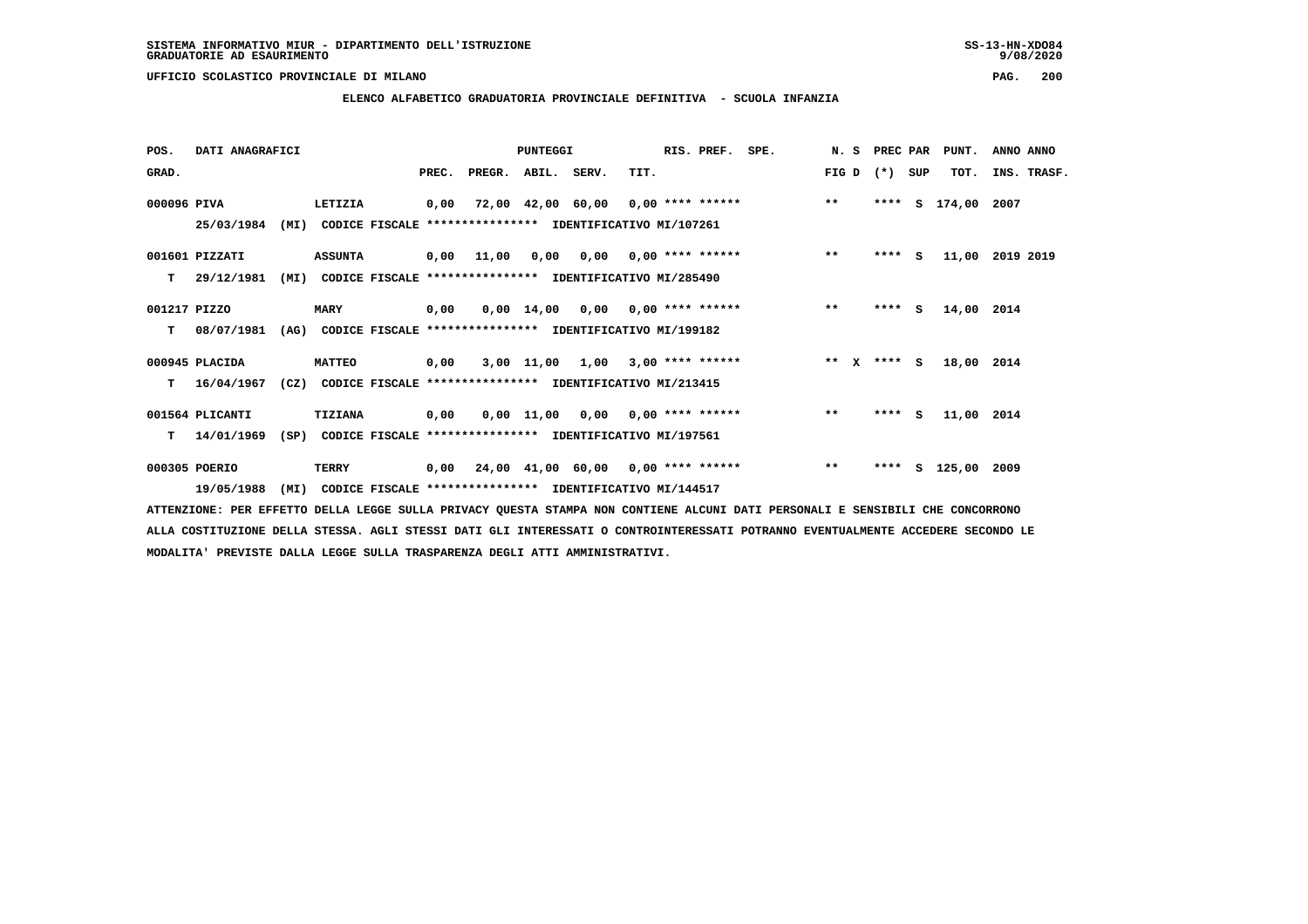### **ELENCO ALFABETICO GRADUATORIA PROVINCIALE DEFINITIVA - SCUOLA INFANZIA**

| POS.         | DATI ANAGRAFICI |      |                                                               |       |                                                          | <b>PUNTEGGI</b>    |                                    |      | RIS. PREF. SPE.    |                    |              | N. S PREC PAR |          | PUNT.         | ANNO ANNO   |  |
|--------------|-----------------|------|---------------------------------------------------------------|-------|----------------------------------------------------------|--------------------|------------------------------------|------|--------------------|--------------------|--------------|---------------|----------|---------------|-------------|--|
| GRAD.        |                 |      |                                                               | PREC. | PREGR. ABIL. SERV.                                       |                    |                                    | TIT. |                    |                    | FIG D $(*)$  |               | SUP      | TOT.          | INS. TRASF. |  |
| 000096 PIVA  |                 |      | LETIZIA                                                       | 0,00  |                                                          |                    | 72,00 42,00 60,00                  |      |                    | $0,00$ **** ****** | $***$        | ****          | s        | 174,00 2007   |             |  |
|              | 25/03/1984      | (MI) |                                                               |       | CODICE FISCALE **************** IDENTIFICATIVO MI/107261 |                    |                                    |      |                    |                    |              |               |          |               |             |  |
|              | 001601 PIZZATI  |      | <b>ASSUNTA</b>                                                |       | 0,00 11,00                                               | 0,00               | 0,00                               |      | $0.00$ **** ****** |                    | $\star\star$ |               | $***$ S  | 11,00         | 2019 2019   |  |
| т            | 29/12/1981      | (MI) |                                                               |       | CODICE FISCALE **************** IDENTIFICATIVO MI/285490 |                    |                                    |      |                    |                    |              |               |          |               |             |  |
| 001217 PIZZO |                 |      | <b>MARY</b>                                                   | 0,00  |                                                          | $0,00 \quad 14,00$ | 0,00                               |      | $0.00$ **** ****** |                    | $***$        | ****          | <b>S</b> | 14,00 2014    |             |  |
| т            | 08/07/1981      |      | (AG) CODICE FISCALE **************** IDENTIFICATIVO MI/199182 |       |                                                          |                    |                                    |      |                    |                    |              |               |          |               |             |  |
|              | 000945 PLACIDA  |      | <b>MATTEO</b>                                                 | 0,00  |                                                          |                    | 3,00 11,00 1,00                    |      | $3,00$ **** ****** |                    | ** x **** S  |               |          | 18,00 2014    |             |  |
| т            | 16/04/1967      | (CZ) |                                                               |       | CODICE FISCALE **************** IDENTIFICATIVO MI/213415 |                    |                                    |      |                    |                    |              |               |          |               |             |  |
|              | 001564 PLICANTI |      | <b>TIZIANA</b>                                                | 0,00  |                                                          |                    | 0,00 11,00 0,00                    |      | $0.00$ **** ****** |                    | $\star\star$ |               | $***$ S  | 11,00 2014    |             |  |
| T.           | 14/01/1969      |      | (SP) CODICE FISCALE **************** IDENTIFICATIVO MI/197561 |       |                                                          |                    |                                    |      |                    |                    |              |               |          |               |             |  |
|              | 000305 POERIO   |      | TERRY                                                         | 0,00  |                                                          |                    | 24,00 41,00 60,00 0,00 **** ****** |      |                    |                    | $***$        | ****          |          | S 125,00 2009 |             |  |
|              | 19/05/1988      | (MI) |                                                               |       | CODICE FISCALE **************** IDENTIFICATIVO MI/144517 |                    |                                    |      |                    |                    |              |               |          |               |             |  |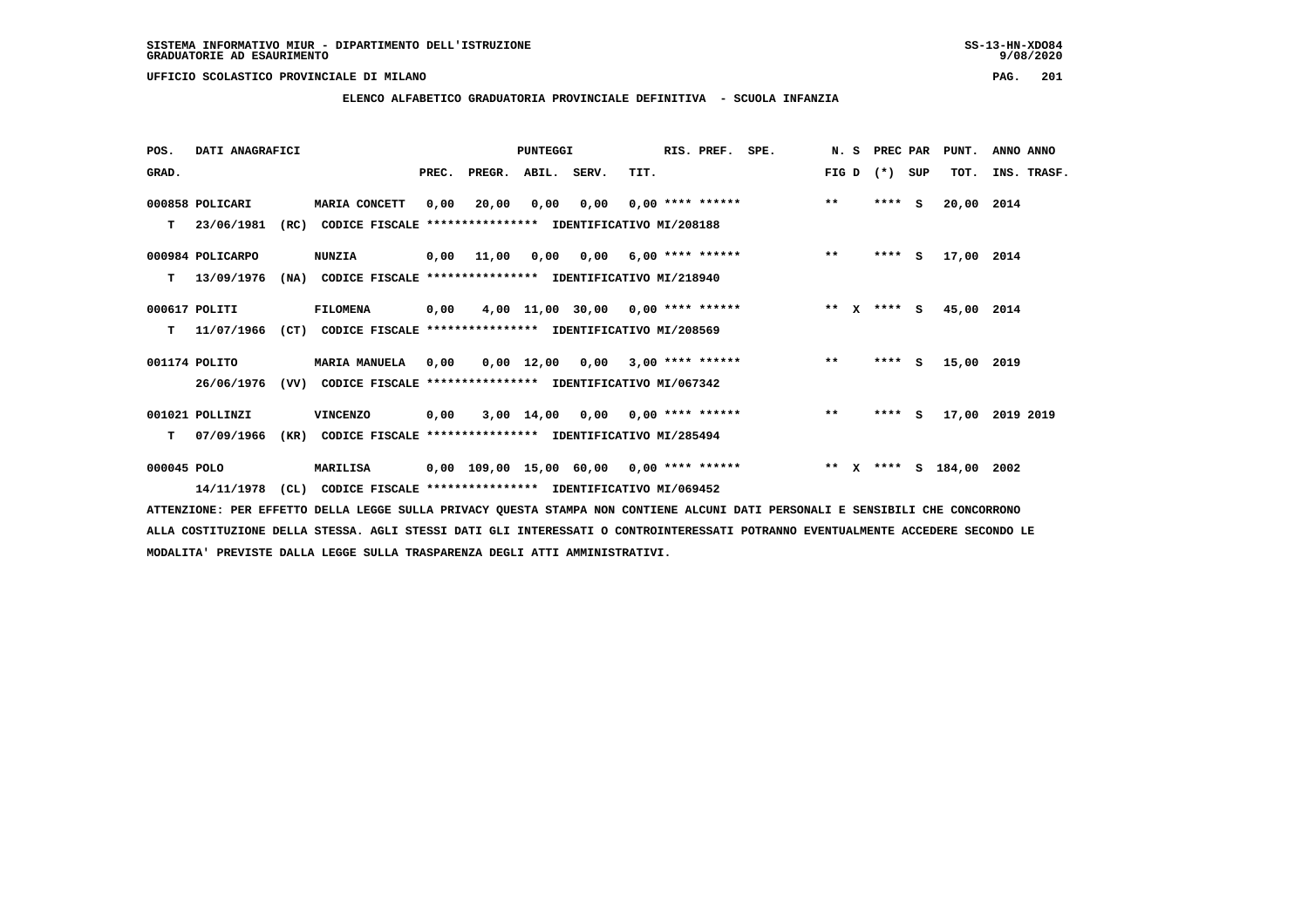# **ELENCO ALFABETICO GRADUATORIA PROVINCIALE DEFINITIVA - SCUOLA INFANZIA**

 **POS. DATI ANAGRAFICI PUNTEGGI RIS. PREF. SPE. N. S PREC PAR PUNT. ANNO ANNO**GRAD. **PREGRADE SERVEGER. ABIL. SERV. TIT.** FIG D (\*) SUP TOT. INS. TRASF.  **000858 POLICARI MARIA CONCETT 0,00 20,00 0,00 0,00 0,00 \*\*\*\* \*\*\*\*\*\* \*\* \*\*\*\* S 20,00 2014 T 23/06/1981 (RC) CODICE FISCALE \*\*\*\*\*\*\*\*\*\*\*\*\*\*\*\* IDENTIFICATIVO MI/208188 000984 POLICARPO NUNZIA 0,00 11,00 0,00 0,00 6,00 \*\*\*\* \*\*\*\*\*\* \*\* \*\*\*\* S 17,00 2014 T 13/09/1976 (NA) CODICE FISCALE \*\*\*\*\*\*\*\*\*\*\*\*\*\*\*\* IDENTIFICATIVO MI/218940 000617 POLITI FILOMENA 0,00 4,00 11,00 30,00 0,00 \*\*\*\* \*\*\*\*\*\* \*\* X \*\*\*\* S 45,00 2014 T 11/07/1966 (CT) CODICE FISCALE \*\*\*\*\*\*\*\*\*\*\*\*\*\*\*\* IDENTIFICATIVO MI/208569 001174 POLITO MARIA MANUELA 0,00 0,00 12,00 0,00 3,00 \*\*\*\* \*\*\*\*\*\* \*\* \*\*\*\* S 15,00 2019 26/06/1976 (VV) CODICE FISCALE \*\*\*\*\*\*\*\*\*\*\*\*\*\*\*\* IDENTIFICATIVO MI/067342 001021 POLLINZI VINCENZO 0,00 3,00 14,00 0,00 0,00 \*\*\*\* \*\*\*\*\*\* \*\* \*\*\*\* S 17,00 2019 2019 T 07/09/1966 (KR) CODICE FISCALE \*\*\*\*\*\*\*\*\*\*\*\*\*\*\*\* IDENTIFICATIVO MI/285494 000045 POLO MARILISA 0,00 109,00 15,00 60,00 0,00 \*\*\*\* \*\*\*\*\*\* \*\* X \*\*\*\* S 184,00 2002**

 **14/11/1978 (CL) CODICE FISCALE \*\*\*\*\*\*\*\*\*\*\*\*\*\*\*\* IDENTIFICATIVO MI/069452**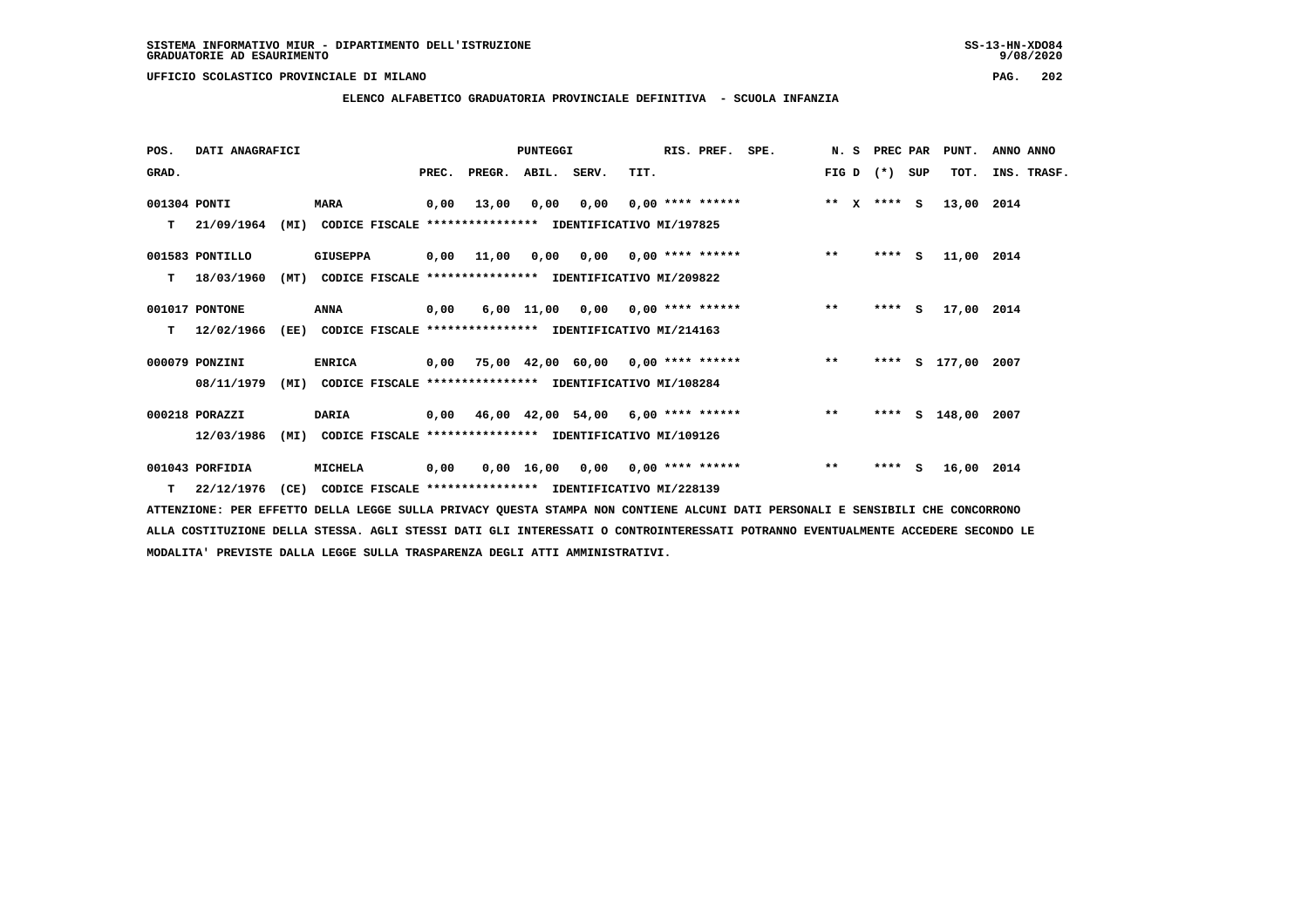**ELENCO ALFABETICO GRADUATORIA PROVINCIALE DEFINITIVA - SCUOLA INFANZIA**

| POS.         | DATI ANAGRAFICI  |      |                                                               |       |                                           | <b>PUNTEGGI</b> |      |                                        | RIS. PREF. | SPE. | N.S         | PREC PAR |     | PUNT.         | ANNO ANNO   |
|--------------|------------------|------|---------------------------------------------------------------|-------|-------------------------------------------|-----------------|------|----------------------------------------|------------|------|-------------|----------|-----|---------------|-------------|
| GRAD.        |                  |      |                                                               | PREC. | PREGR.                                    | ABIL. SERV.     |      | TIT.                                   |            |      | FIG D $(*)$ |          | SUP | TOT.          | INS. TRASF. |
| 001304 PONTI |                  |      | <b>MARA</b>                                                   | 0,00  | 13,00                                     | 0,00            | 0,00 | $0.00$ **** ******                     |            |      | ** $X$      | **** S   |     | 13,00 2014    |             |
| т            | 21/09/1964       |      | (MI) CODICE FISCALE **************** IDENTIFICATIVO MI/197825 |       |                                           |                 |      |                                        |            |      |             |          |     |               |             |
|              | 001583 PONTILLO  |      | <b>GIUSEPPA</b>                                               |       | 0,00 11,00                                |                 |      | $0,00$ $0,00$ $0,00$ $***$ **** ****** |            |      | $***$       | $***$ S  |     | 11,00 2014    |             |
| т            | 18/03/1960       | (MT) | CODICE FISCALE **************** IDENTIFICATIVO MI/209822      |       |                                           |                 |      |                                        |            |      |             |          |     |               |             |
|              | 001017 PONTONE   |      | ANNA                                                          | 0,00  |                                           |                 |      | $6,00$ 11,00 0,00 0,00 **** ******     |            |      | $***$       | $***$ S  |     | 17,00 2014    |             |
| т            | 12/02/1966       | (EE) | CODICE FISCALE **************** IDENTIFICATIVO MI/214163      |       |                                           |                 |      |                                        |            |      |             |          |     |               |             |
|              | 000079 PONZINI   |      | <b>ENRICA</b>                                                 |       | 0,00 75,00 42,00 60,00 0,00 **** ******   |                 |      |                                        |            |      | $***$       | ****     |     | S 177,00 2007 |             |
|              | 08/11/1979       |      | (MI) CODICE FISCALE **************** IDENTIFICATIVO MI/108284 |       |                                           |                 |      |                                        |            |      |             |          |     |               |             |
|              | 000218 PORAZZI   |      | <b>DARIA</b>                                                  |       | $0,00$ 46,00 42,00 54,00 6,00 **** ****** |                 |      |                                        |            |      | $***$       | ****     |     | S 148,00 2007 |             |
|              | 12/03/1986       | (MI) | CODICE FISCALE **************** IDENTIFICATIVO MI/109126      |       |                                           |                 |      |                                        |            |      |             |          |     |               |             |
|              | 001043 PORFIDIA  |      | MICHELA                                                       | 0,00  |                                           |                 |      | $0,00$ 16,00 0,00 0,00 **** ******     |            |      | $**$        | ****     | s.  | 16,00 2014    |             |
|              | $T = 22/12/1976$ | (CE) | CODICE FISCALE **************** IDENTIFICATIVO MI/228139      |       |                                           |                 |      |                                        |            |      |             |          |     |               |             |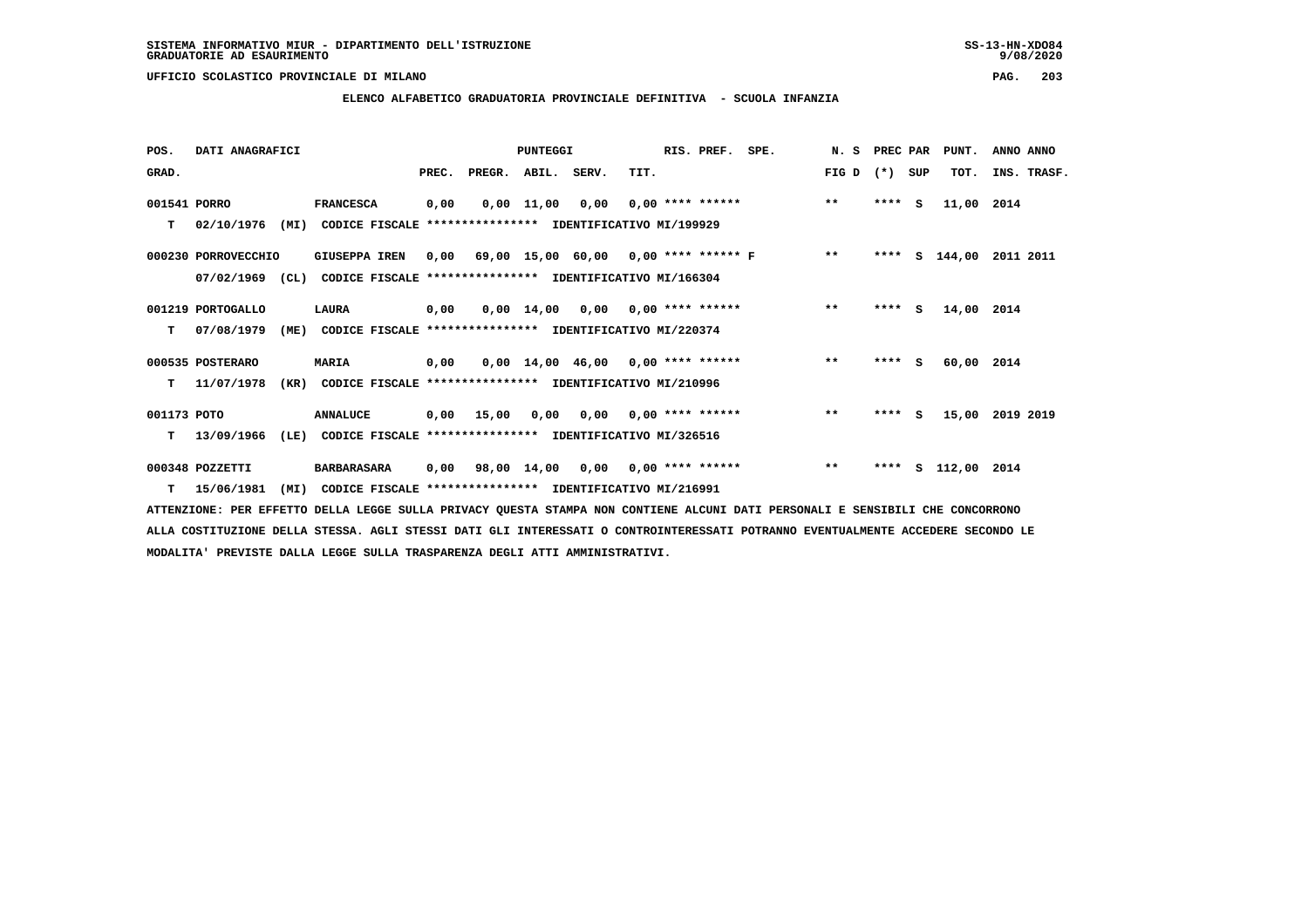$9/08/2020$ 

 **UFFICIO SCOLASTICO PROVINCIALE DI MILANO PAG. 203**

# **ELENCO ALFABETICO GRADUATORIA PROVINCIALE DEFINITIVA - SCUOLA INFANZIA**

| POS.         | DATI ANAGRAFICI     |      |                                                               |      |                          | <b>PUNTEGGI</b> |                                         |      | RIS. PREF.              | SPE.                                           | N. S  | PREC PAR | PUNT.         | ANNO ANNO       |  |
|--------------|---------------------|------|---------------------------------------------------------------|------|--------------------------|-----------------|-----------------------------------------|------|-------------------------|------------------------------------------------|-------|----------|---------------|-----------------|--|
| GRAD.        |                     |      |                                                               |      | PREC. PREGR. ABIL. SERV. |                 |                                         | TIT. |                         |                                                | FIG D | (*) SUP  | TOT.          | INS. TRASF.     |  |
| 001541 PORRO |                     |      | <b>FRANCESCA</b>                                              | 0,00 |                          | $0,00$ 11,00    |                                         |      | $0,00$ 0,00 **** ****** |                                                | $***$ | $***$ S  | 11,00 2014    |                 |  |
| T.           | 02/10/1976          |      | (MI) CODICE FISCALE **************** IDENTIFICATIVO MI/199929 |      |                          |                 |                                         |      |                         |                                                |       |          |               |                 |  |
|              | 000230 PORROVECCHIO |      | <b>GIUSEPPA IREN</b>                                          |      |                          |                 |                                         |      |                         | $0,00$ 69,00 15,00 60,00 0,00 **** ****** F ** |       | ****     | S 144,00      | 2011 2011       |  |
|              | $07/02/1969$ (CL)   |      | CODICE FISCALE **************** IDENTIFICATIVO MI/166304      |      |                          |                 |                                         |      |                         |                                                |       |          |               |                 |  |
|              | 001219 PORTOGALLO   |      | LAURA                                                         | 0,00 |                          |                 | $0,00$ 14,00 0,00 0,00 **** ******      |      |                         |                                                | $***$ | $***$ S  | 14,00 2014    |                 |  |
| т            | 07/08/1979          | (ME) | CODICE FISCALE **************** IDENTIFICATIVO MI/220374      |      |                          |                 |                                         |      |                         |                                                |       |          |               |                 |  |
|              | 000535 POSTERARO    |      | <b>MARIA</b>                                                  | 0,00 |                          |                 | $0.00$ 14.00 46.00 0.00 **** ******     |      |                         |                                                | $***$ | $***$ S  | 60,00 2014    |                 |  |
| т            | 11/07/1978          | (KR) | CODICE FISCALE **************** IDENTIFICATIVO MI/210996      |      |                          |                 |                                         |      |                         |                                                |       |          |               |                 |  |
| 001173 POTO  |                     |      | <b>ANNALUCE</b>                                               |      |                          |                 | $0,00$ 15,00 0,00 0,00 0,00 **** ****** |      |                         |                                                | $***$ | **** S   |               | 15,00 2019 2019 |  |
| T.           | 13/09/1966          | (LE) | CODICE FISCALE **************** IDENTIFICATIVO MI/326516      |      |                          |                 |                                         |      |                         |                                                |       |          |               |                 |  |
|              | 000348 POZZETTI     |      | <b>BARBARASARA</b>                                            | 0,00 |                          |                 | 98,00 14,00 0,00 0,00 **** ******       |      |                         |                                                | $***$ | ****     | s 112,00 2014 |                 |  |
| т            | 15/06/1981          | (MI) | CODICE FISCALE **************** IDENTIFICATIVO MI/216991      |      |                          |                 |                                         |      |                         |                                                |       |          |               |                 |  |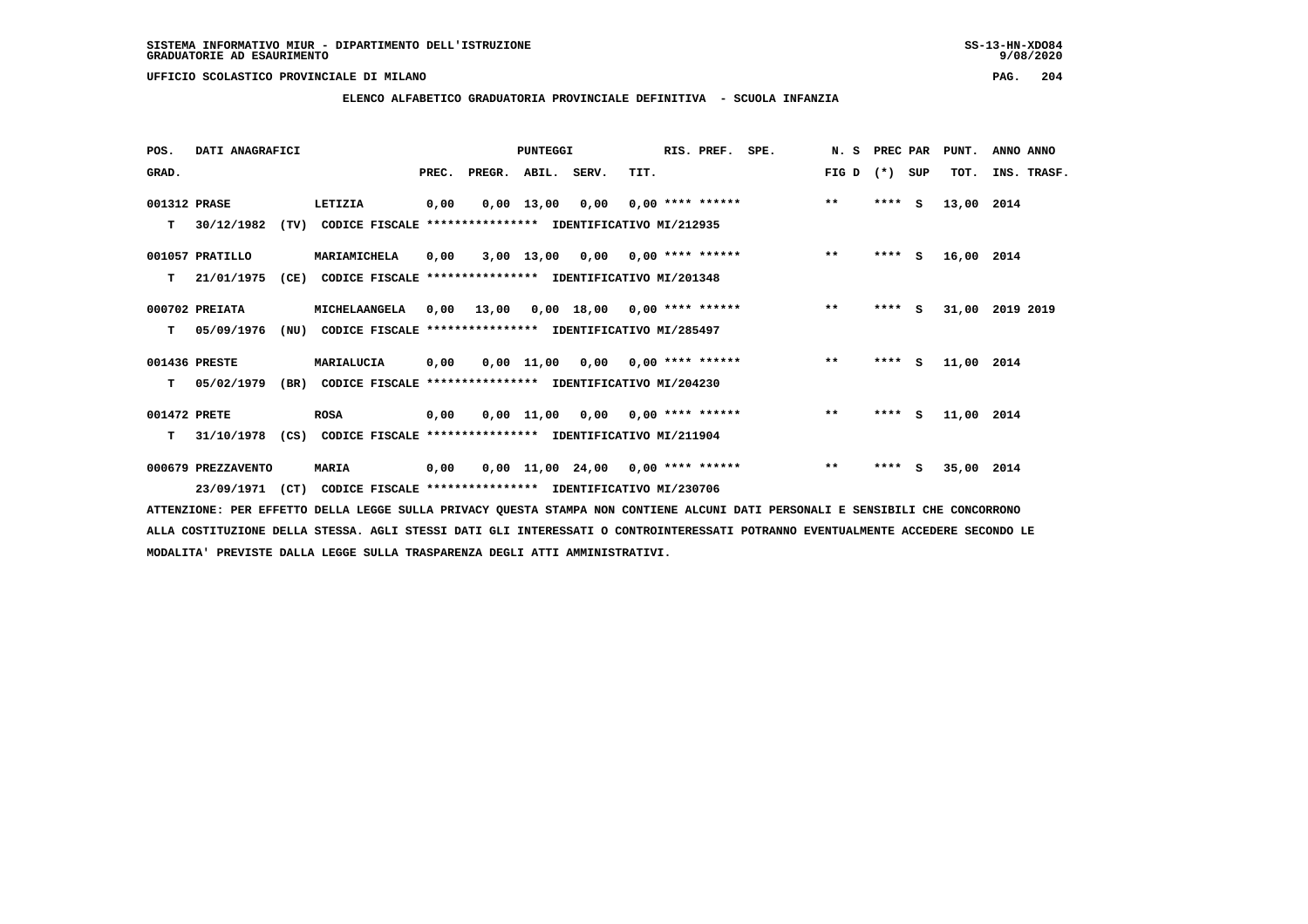**ELENCO ALFABETICO GRADUATORIA PROVINCIALE DEFINITIVA - SCUOLA INFANZIA**

| POS.         | DATI ANAGRAFICI    |      |                                                                           |      |                          | PUNTEGGI |                                     |      | RIS. PREF. SPE. |                                           |                 |         |        | N. S PREC PAR PUNT. | ANNO ANNO       |  |
|--------------|--------------------|------|---------------------------------------------------------------------------|------|--------------------------|----------|-------------------------------------|------|-----------------|-------------------------------------------|-----------------|---------|--------|---------------------|-----------------|--|
| GRAD.        |                    |      |                                                                           |      | PREC. PREGR. ABIL. SERV. |          |                                     | TIT. |                 |                                           | $FIG D (*) SUB$ |         |        | TOT.                | INS. TRASF.     |  |
| 001312 PRASE |                    |      | LETIZIA                                                                   | 0,00 |                          |          |                                     |      |                 | $0,00$ 13,00 0,00 0,00 **** ******        | $***$           | $***$ S |        | 13,00 2014          |                 |  |
| T.           | 30/12/1982         |      | (TV) CODICE FISCALE **************** IDENTIFICATIVO MI/212935             |      |                          |          |                                     |      |                 |                                           |                 |         |        |                     |                 |  |
|              | 001057 PRATILLO    |      | MARIAMICHELA                                                              | 0,00 |                          |          |                                     |      |                 | 3,00 13,00 0,00 0,00 **** ******          | $* *$           | $***$ S |        | 16,00 2014          |                 |  |
| T.           | 21/01/1975         | (CE) | CODICE FISCALE **************** IDENTIFICATIVO MI/201348                  |      |                          |          |                                     |      |                 |                                           |                 |         |        |                     |                 |  |
|              | 000702 PREIATA     |      | <b>MICHELAANGELA</b>                                                      |      |                          |          |                                     |      |                 | 0,00 13,00 0,00 18,00 0,00 **** ******    | $***$           | **** S  |        |                     | 31,00 2019 2019 |  |
| T.           | 05/09/1976         |      | (NU) CODICE FISCALE *************** IDENTIFICATIVO MI/285497              |      |                          |          |                                     |      |                 |                                           |                 |         |        |                     |                 |  |
|              | 001436 PRESTE      |      | MARIALUCIA                                                                | 0,00 |                          |          |                                     |      |                 | $0,00$ 11,00 0,00 0,00 **** ****** *** ** |                 |         | **** S | 11,00 2014          |                 |  |
|              |                    |      | T 05/02/1979 (BR) CODICE FISCALE *************** IDENTIFICATIVO MI/204230 |      |                          |          |                                     |      |                 |                                           |                 |         |        |                     |                 |  |
| 001472 PRETE |                    |      | <b>ROSA</b>                                                               | 0,00 |                          |          |                                     |      |                 | $0,00$ 11,00 0,00 0,00 **** ******        | $***$           | $***$ S |        | 11,00 2014          |                 |  |
| т            | 31/10/1978         |      | (CS) CODICE FISCALE **************** IDENTIFICATIVO MI/211904             |      |                          |          |                                     |      |                 |                                           |                 |         |        |                     |                 |  |
|              | 000679 PREZZAVENTO |      | <b>MARIA</b>                                                              | 0,00 |                          |          | $0,00$ 11,00 24,00 0,00 **** ****** |      |                 |                                           | $* *$           | $***$ S |        | 35,00 2014          |                 |  |
|              |                    |      | 23/09/1971 (CT) CODICE FISCALE *************** IDENTIFICATIVO MI/230706   |      |                          |          |                                     |      |                 |                                           |                 |         |        |                     |                 |  |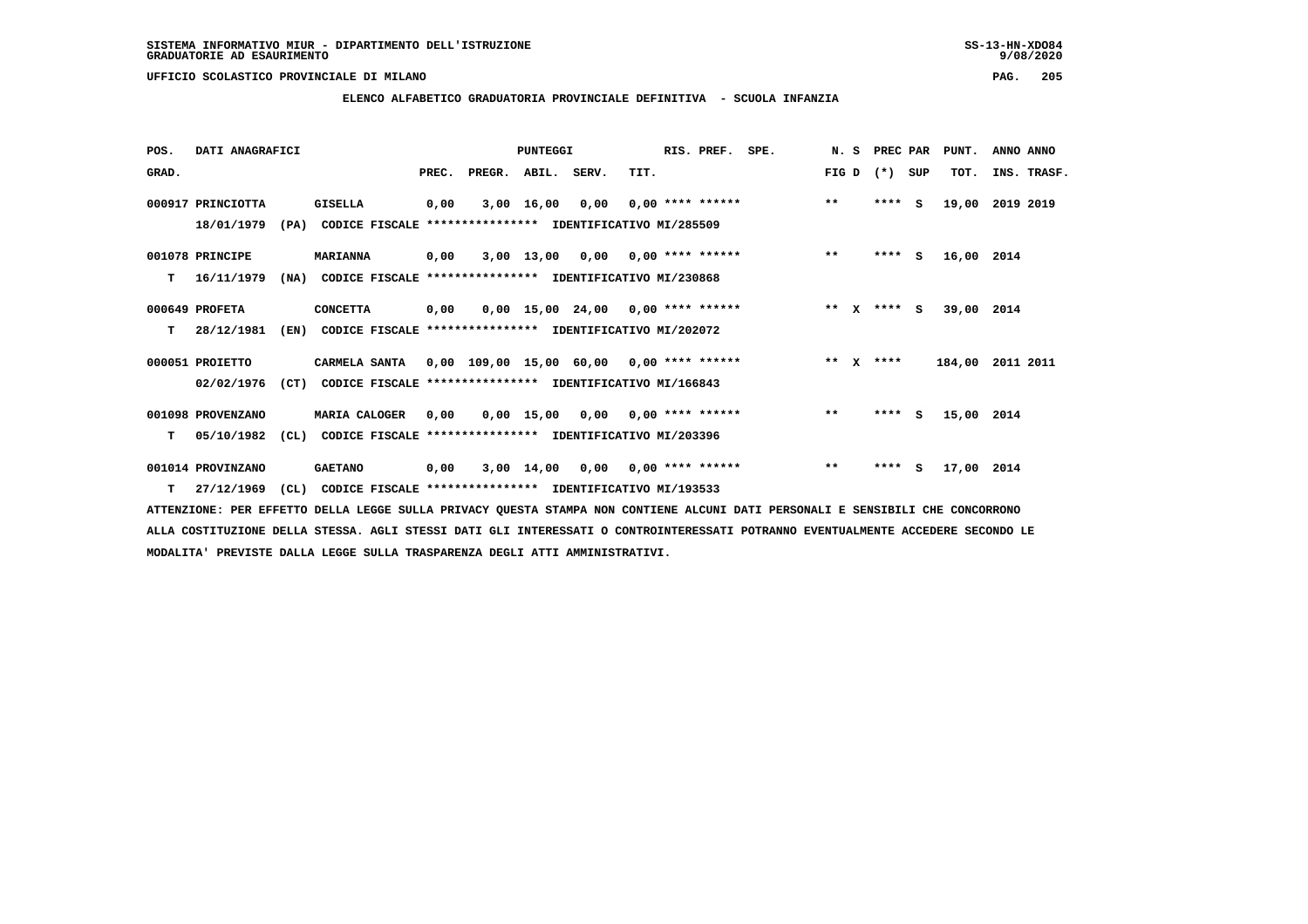$9/08/2020$ 

### **UFFICIO SCOLASTICO PROVINCIALE DI MILANO PAG. 205**

# **ELENCO ALFABETICO GRADUATORIA PROVINCIALE DEFINITIVA - SCUOLA INFANZIA**

| POS.  | DATI ANAGRAFICI   |      |                                                               |       |        | <b>PUNTEGGI</b> |                  |      | RIS. PREF.         | SPE. |              |              | N. S PREC PAR |     | PUNT.      | ANNO ANNO   |  |
|-------|-------------------|------|---------------------------------------------------------------|-------|--------|-----------------|------------------|------|--------------------|------|--------------|--------------|---------------|-----|------------|-------------|--|
| GRAD. |                   |      |                                                               | PREC. | PREGR. | ABIL.           | SERV.            | TIT. |                    |      | FIG D        |              | $(*)$         | SUP | TOT.       | INS. TRASF. |  |
|       | 000917 PRINCIOTTA |      | <b>GISELLA</b>                                                | 0,00  |        | 3,00 16,00      | 0,00             |      | $0.00$ **** ****** |      | $***$        |              | $***$ S       |     | 19,00      | 2019 2019   |  |
|       | 18/01/1979        | (PA) | CODICE FISCALE **************** IDENTIFICATIVO MI/285509      |       |        |                 |                  |      |                    |      |              |              |               |     |            |             |  |
|       | 001078 PRINCIPE   |      | <b>MARIANNA</b>                                               | 0.00  |        |                 | 3,00 13,00 0,00  |      | $0.00$ **** ****** |      | $\star\star$ |              | $***$ S       |     | 16,00 2014 |             |  |
| т     | 16/11/1979        | (NA) | CODICE FISCALE **************** IDENTIFICATIVO MI/230868      |       |        |                 |                  |      |                    |      |              |              |               |     |            |             |  |
|       | 000649 PROFETA    |      | <b>CONCETTA</b>                                               | 0,00  |        |                 | 0,00 15,00 24,00 |      | $0.00$ **** ****** |      | $***$        | $\mathbf{x}$ | $***$ S       |     | 39,00 2014 |             |  |
| т     | 28/12/1981        |      | (EN) CODICE FISCALE **************** IDENTIFICATIVO MI/202072 |       |        |                 |                  |      |                    |      |              |              |               |     |            |             |  |
|       | 000051 PROIETTO   |      | CARMELA SANTA 0,00 109,00 15,00 60,00 0,00 **** ******        |       |        |                 |                  |      |                    |      |              |              | ** x ****     |     | 184,00     | 2011 2011   |  |
|       | 02/02/1976        | (CT) | CODICE FISCALE **************** IDENTIFICATIVO MI/166843      |       |        |                 |                  |      |                    |      |              |              |               |     |            |             |  |
|       | 001098 PROVENZANO |      | <b>MARIA CALOGER</b>                                          | 0,00  |        | 0,00 15,00      | 0,00             |      | $0.00$ **** ****** |      | $\star\star$ |              | $***$ S       |     | 15,00 2014 |             |  |
| т     | 05/10/1982        | (CL) | CODICE FISCALE **************** IDENTIFICATIVO MI/203396      |       |        |                 |                  |      |                    |      |              |              |               |     |            |             |  |
|       | 001014 PROVINZANO |      | <b>GAETANO</b>                                                | 0,00  |        | 3,00 14,00      | 0,00             |      | $0.00$ **** ****** |      | $***$        |              | ****          | S.  | 17,00 2014 |             |  |
| т     | 27/12/1969        | (CL) | CODICE FISCALE **************** IDENTIFICATIVO MI/193533      |       |        |                 |                  |      |                    |      |              |              |               |     |            |             |  |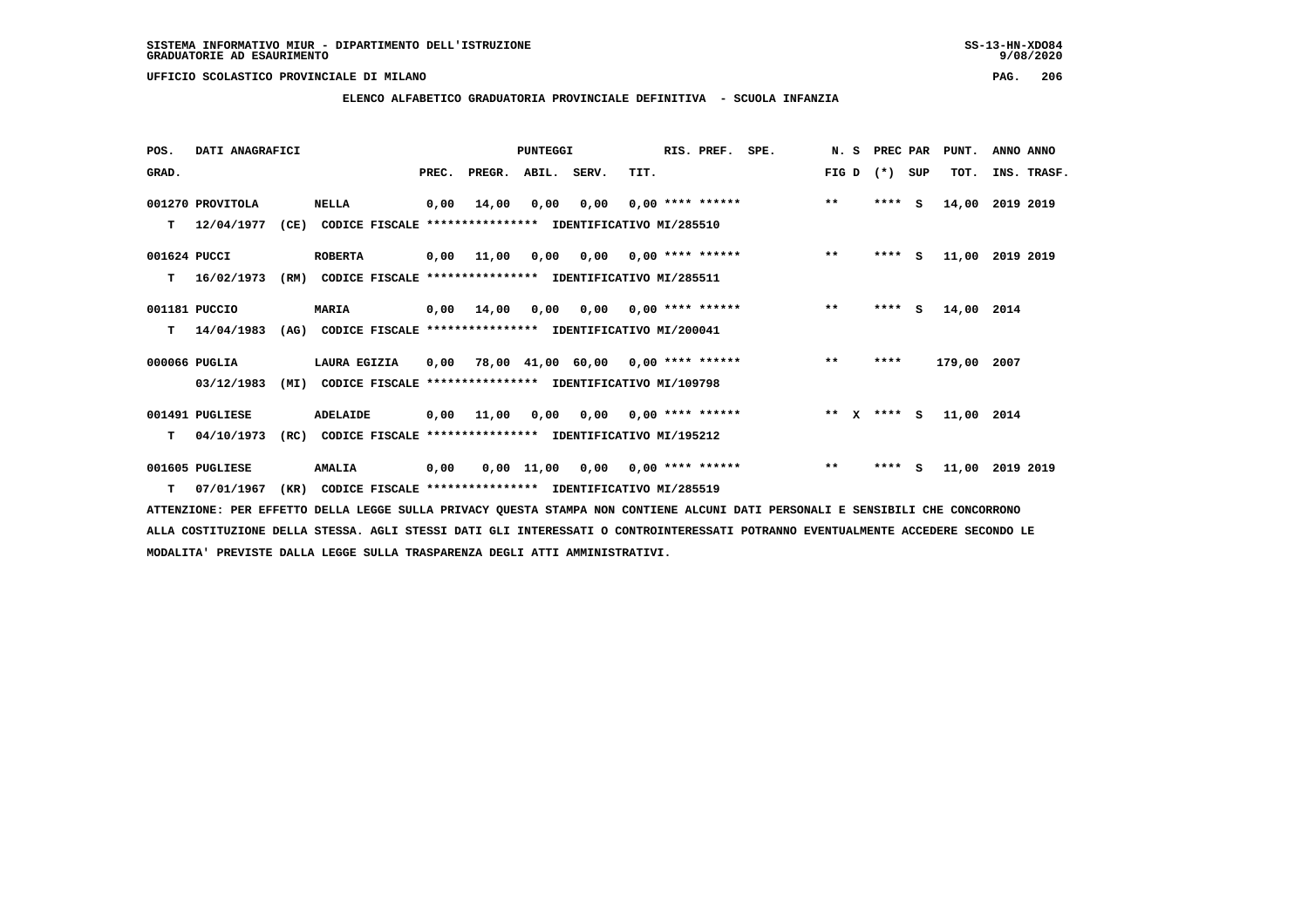**ELENCO ALFABETICO GRADUATORIA PROVINCIALE DEFINITIVA - SCUOLA INFANZIA**

 **POS. DATI ANAGRAFICI PUNTEGGI RIS. PREF. SPE. N. S PREC PAR PUNT. ANNO ANNO**GRAD. **PREGRADE SERVEGER. ABIL. SERV. TIT.** FIG D (\*) SUP TOT. INS. TRASF.  **001270 PROVITOLA NELLA 0,00 14,00 0,00 0,00 0,00 \*\*\*\* \*\*\*\*\*\* \*\* \*\*\*\* S 14,00 2019 2019 T 12/04/1977 (CE) CODICE FISCALE \*\*\*\*\*\*\*\*\*\*\*\*\*\*\*\* IDENTIFICATIVO MI/285510 001624 PUCCI ROBERTA 0,00 11,00 0,00 0,00 0,00 \*\*\*\* \*\*\*\*\*\* \*\* \*\*\*\* S 11,00 2019 2019 T 16/02/1973 (RM) CODICE FISCALE \*\*\*\*\*\*\*\*\*\*\*\*\*\*\*\* IDENTIFICATIVO MI/285511 001181 PUCCIO MARIA 0,00 14,00 0,00 0,00 0,00 \*\*\*\* \*\*\*\*\*\* \*\* \*\*\*\* S 14,00 2014 T 14/04/1983 (AG) CODICE FISCALE \*\*\*\*\*\*\*\*\*\*\*\*\*\*\*\* IDENTIFICATIVO MI/200041**

 **000066 PUGLIA LAURA EGIZIA 0,00 78,00 41,00 60,00 0,00 \*\*\*\* \*\*\*\*\*\* \*\* \*\*\*\* 179,00 2007 03/12/1983 (MI) CODICE FISCALE \*\*\*\*\*\*\*\*\*\*\*\*\*\*\*\* IDENTIFICATIVO MI/109798**

 **001491 PUGLIESE ADELAIDE 0,00 11,00 0,00 0,00 0,00 \*\*\*\* \*\*\*\*\*\* \*\* X \*\*\*\* S 11,00 2014 T 04/10/1973 (RC) CODICE FISCALE \*\*\*\*\*\*\*\*\*\*\*\*\*\*\*\* IDENTIFICATIVO MI/195212**

 **001605 PUGLIESE AMALIA 0,00 0,00 11,00 0,00 0,00 \*\*\*\* \*\*\*\*\*\* \*\* \*\*\*\* S 11,00 2019 2019**

 **T 07/01/1967 (KR) CODICE FISCALE \*\*\*\*\*\*\*\*\*\*\*\*\*\*\*\* IDENTIFICATIVO MI/285519**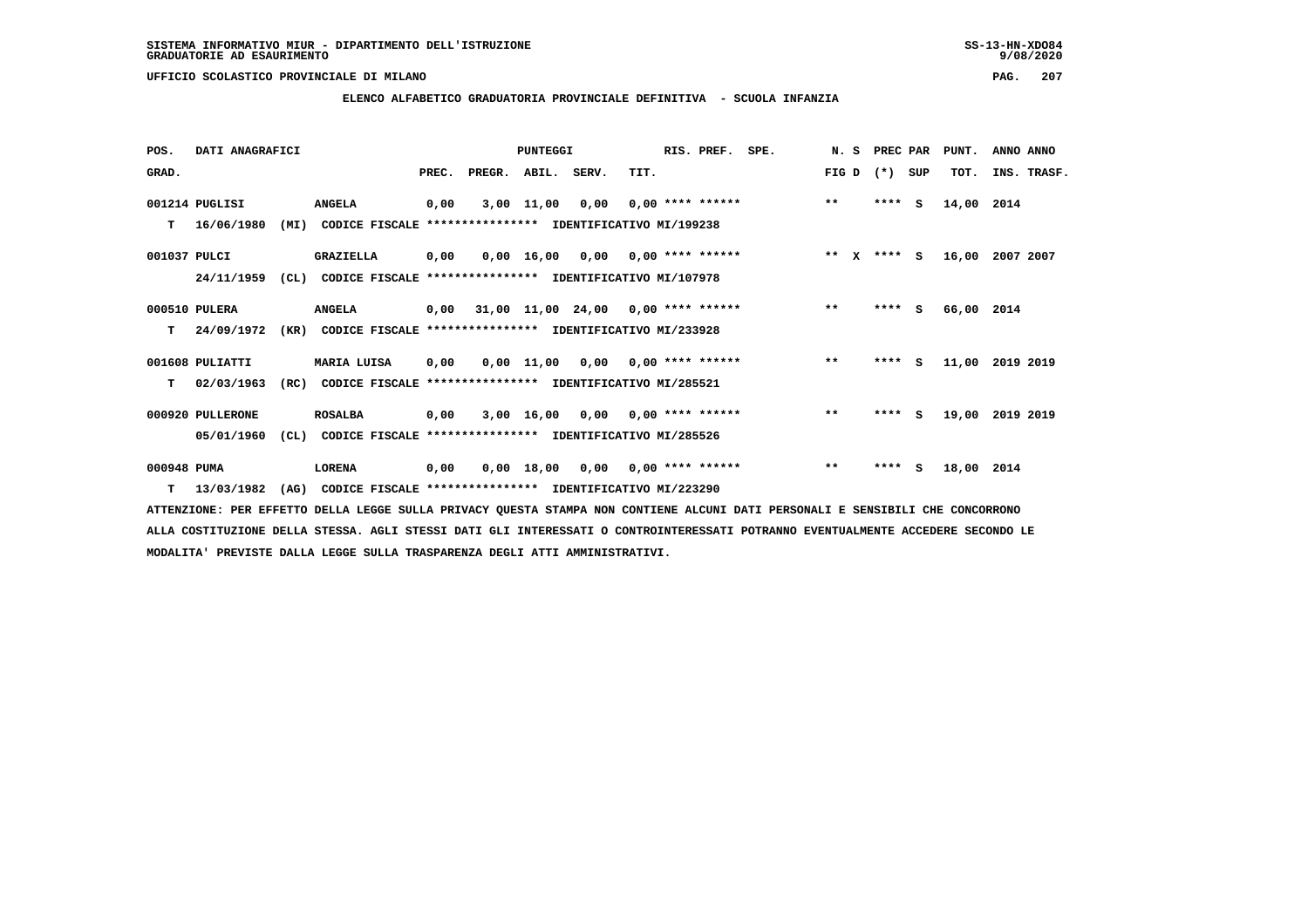# **ELENCO ALFABETICO GRADUATORIA PROVINCIALE DEFINITIVA - SCUOLA INFANZIA**

| POS.         | DATI ANAGRAFICI  |      |                                                          |       |                                           | <b>PUNTEGGI</b> |                                    |      | RIS. PREF.                | SPE. | N. S   | PREC PAR |          | PUNT.      | ANNO ANNO   |
|--------------|------------------|------|----------------------------------------------------------|-------|-------------------------------------------|-----------------|------------------------------------|------|---------------------------|------|--------|----------|----------|------------|-------------|
| GRAD.        |                  |      |                                                          | PREC. | PREGR.                                    | ABIL. SERV.     |                                    | TIT. |                           |      | FIG D  | $(* )$   | SUP      | TOT.       | INS. TRASF. |
|              | 001214 PUGLISI   |      | <b>ANGELA</b>                                            | 0,00  |                                           | 3,00 11,00      | 0,00                               |      | $0,00$ **** ******        |      | $***$  | ****     | s        | 14,00      | 2014        |
| т            | 16/06/1980       | (MI) | CODICE FISCALE **************** IDENTIFICATIVO MI/199238 |       |                                           |                 |                                    |      |                           |      |        |          |          |            |             |
| 001037 PULCI |                  |      | GRAZIELLA                                                | 0,00  |                                           |                 | $0.00$ 16.00 0.00 0.00 **** ****** |      |                           |      | ** $X$ | **** S   |          | 16,00      | 2007 2007   |
|              | 24/11/1959       | CL)  | CODICE FISCALE                                           |       | **************** IDENTIFICATIVO MI/107978 |                 |                                    |      |                           |      |        |          |          |            |             |
|              | 000510 PULERA    |      | <b>ANGELA</b>                                            |       | $0,00$ 31,00 11,00 24,00 0,00 **** ****** |                 |                                    |      |                           |      | $***$  | ****     | - S      | 66,00 2014 |             |
| т            | 24/09/1972       | (KR) | CODICE FISCALE **************** IDENTIFICATIVO MI/233928 |       |                                           |                 |                                    |      |                           |      |        |          |          |            |             |
|              | 001608 PULIATTI  |      | MARIA LUISA                                              | 0,00  |                                           |                 | $0.00$ 11.00 0.00 0.00 **** ****** |      |                           |      | $***$  | ****     | <b>S</b> | 11,00      | 2019 2019   |
| т            | 02/03/1963       | (RC) | CODICE FISCALE **************** IDENTIFICATIVO MI/285521 |       |                                           |                 |                                    |      |                           |      |        |          |          |            |             |
|              | 000920 PULLERONE |      | <b>ROSALBA</b>                                           | 0,00  |                                           | 3,00 16,00      |                                    |      | $0,00$ $0,00$ **** ****** |      | $* *$  | $***$ S  |          | 19,00      | 2019 2019   |
|              | 05/01/1960       | CL)  | CODICE FISCALE **************** IDENTIFICATIVO MI/285526 |       |                                           |                 |                                    |      |                           |      |        |          |          |            |             |
| 000948 PUMA  |                  |      | <b>LORENA</b>                                            | 0,00  |                                           | 0,00 18,00      |                                    |      | $0,00$ $0,00$ **** ****** |      | $***$  | $***$ S  |          | 18,00      | 2014        |
| т            | 13/03/1982       | (AG) | CODICE FISCALE **************** IDENTIFICATIVO MI/223290 |       |                                           |                 |                                    |      |                           |      |        |          |          |            |             |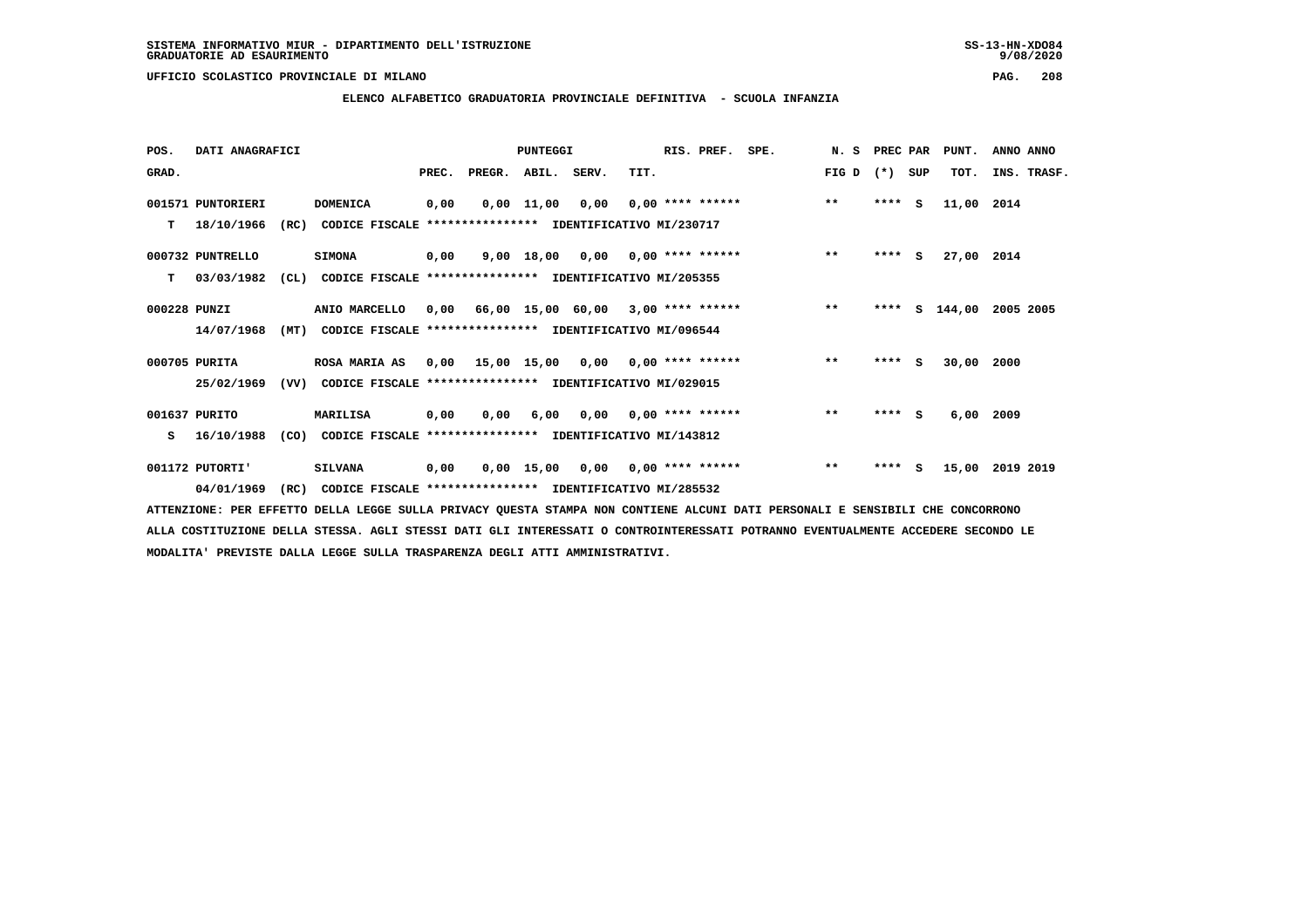**ELENCO ALFABETICO GRADUATORIA PROVINCIALE DEFINITIVA - SCUOLA INFANZIA**

| POS.         | DATI ANAGRAFICI   |      |                                                          |       |                                          | <b>PUNTEGGI</b> |                                    |      | RIS. PREF.                | SPE.               | N.S   | PREC PAR |   | PUNT.      | ANNO ANNO   |  |
|--------------|-------------------|------|----------------------------------------------------------|-------|------------------------------------------|-----------------|------------------------------------|------|---------------------------|--------------------|-------|----------|---|------------|-------------|--|
| GRAD.        |                   |      |                                                          | PREC. | PREGR. ABIL. SERV.                       |                 |                                    | TIT. |                           |                    | FIG D | (*) SUP  |   | TOT.       | INS. TRASF. |  |
|              | 001571 PUNTORIERI |      | DOMENICA                                                 | 0,00  |                                          | $0,00$ 11,00    | 0,00                               |      |                           | $0,00$ **** ****** | $***$ | $***5$   |   | 11,00 2014 |             |  |
| т            | 18/10/1966        | (RC) | CODICE FISCALE **************** IDENTIFICATIVO MI/230717 |       |                                          |                 |                                    |      |                           |                    |       |          |   |            |             |  |
|              | 000732 PUNTRELLO  |      | <b>SIMONA</b>                                            | 0,00  |                                          |                 | $9.00$ 18.00 0.00 0.00 **** ****** |      |                           |                    | $***$ | $***$ S  |   | 27,00 2014 |             |  |
| т            | 03/03/1982        | CL)  | CODICE FISCALE **************** IDENTIFICATIVO MI/205355 |       |                                          |                 |                                    |      |                           |                    |       |          |   |            |             |  |
| 000228 PUNZI |                   |      | ANIO MARCELLO                                            | 0,00  | 66,00 15,00 60,00 3,00 **** ******       |                 |                                    |      |                           |                    | $***$ | ****     | s | 144,00     | 2005 2005   |  |
|              | 14/07/1968        | (MT) | CODICE FISCALE **************** IDENTIFICATIVO MI/096544 |       |                                          |                 |                                    |      |                           |                    |       |          |   |            |             |  |
|              | 000705 PURITA     |      | <b>ROSA MARIA AS</b>                                     |       | $0,00$ 15,00 15,00 0,00 0,00 **** ****** |                 |                                    |      |                           |                    | $***$ | $***$ S  |   | 30,00      | 2000        |  |
|              | 25/02/1969        | (VV) | CODICE FISCALE **************** IDENTIFICATIVO MI/029015 |       |                                          |                 |                                    |      |                           |                    |       |          |   |            |             |  |
|              | 001637 PURITO     |      | <b>MARILISA</b>                                          | 0,00  | 0,00                                     | 6,00            |                                    |      | $0,00$ $0,00$ **** ****** |                    | $**$  | **** S   |   | 6,00       | 2009        |  |
| s            | 16/10/1988        | (CO) | CODICE FISCALE **************** IDENTIFICATIVO MI/143812 |       |                                          |                 |                                    |      |                           |                    |       |          |   |            |             |  |
|              | 001172 PUTORTI'   |      | <b>SILVANA</b>                                           | 0,00  |                                          | 0,00 15,00      |                                    |      | $0,00$ $0,00$ **** ****** |                    | $***$ | **** S   |   | 15,00      | 2019 2019   |  |
|              | 04/01/1969        | (RC) | CODICE FISCALE **************** IDENTIFICATIVO MI/285532 |       |                                          |                 |                                    |      |                           |                    |       |          |   |            |             |  |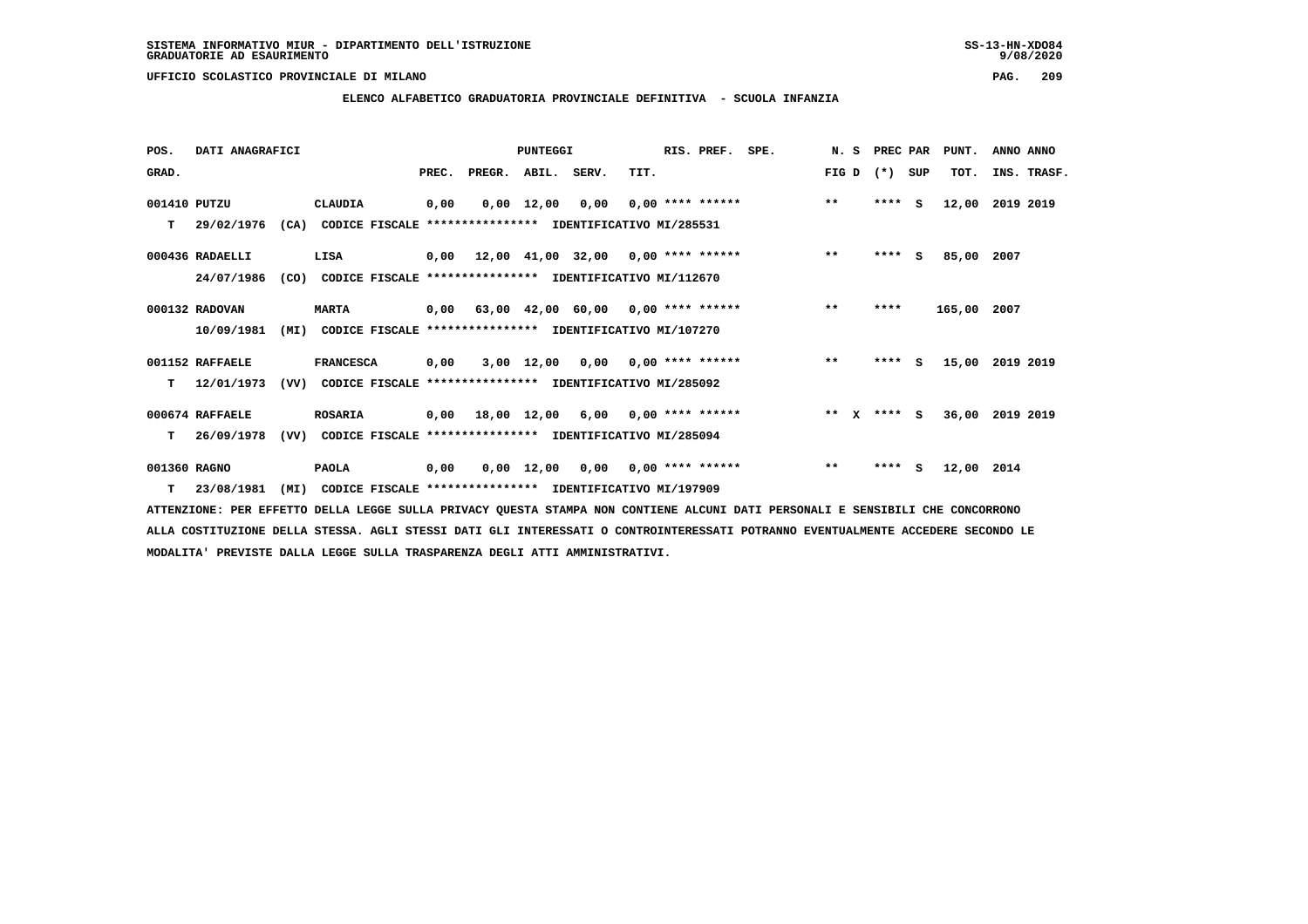# **ELENCO ALFABETICO GRADUATORIA PROVINCIALE DEFINITIVA - SCUOLA INFANZIA**

| POS.         | DATI ANAGRAFICI  |      |                                                               |       |                    | <b>PUNTEGGI</b>    |                                           |      | RIS. PREF. | SPE.               | N.S   | PREC PAR    |     | PUNT.           | ANNO ANNO   |  |
|--------------|------------------|------|---------------------------------------------------------------|-------|--------------------|--------------------|-------------------------------------------|------|------------|--------------------|-------|-------------|-----|-----------------|-------------|--|
| GRAD.        |                  |      |                                                               | PREC. | PREGR. ABIL. SERV. |                    |                                           | TIT. |            |                    | FIG D | $(*)$       | SUP | TOT.            | INS. TRASF. |  |
| 001410 PUTZU |                  |      | CLAUDIA                                                       | 0,00  |                    | $0,00 \quad 12,00$ | 0,00                                      |      |            | $0,00$ **** ****** | $***$ | $***$ S     |     | 12,00           | 2019 2019   |  |
| т            | 29/02/1976       |      | (CA) CODICE FISCALE **************** IDENTIFICATIVO MI/285531 |       |                    |                    |                                           |      |            |                    |       |             |     |                 |             |  |
|              | 000436 RADAELLI  |      | LISA                                                          |       |                    |                    | $0,00$ 12,00 41,00 32,00 0,00 **** ****** |      |            |                    | $***$ | ****        | S.  | 85,00 2007      |             |  |
|              | 24/07/1986       | (CO) | CODICE FISCALE **************** IDENTIFICATIVO MI/112670      |       |                    |                    |                                           |      |            |                    |       |             |     |                 |             |  |
|              | 000132 RADOVAN   |      | <b>MARTA</b>                                                  |       |                    |                    | $0,00$ 63,00 42,00 60,00 0,00 **** ****** |      |            |                    | $***$ | ****        |     | 165,00 2007     |             |  |
|              | 10/09/1981       | (MI) | CODICE FISCALE **************** IDENTIFICATIVO MI/107270      |       |                    |                    |                                           |      |            |                    |       |             |     |                 |             |  |
|              | 001152 RAFFAELE  |      | <b>FRANCESCA</b>                                              | 0,00  |                    |                    | $3,00$ 12,00 0,00 0,00 **** ******        |      |            |                    | $***$ | $***$ S     |     | 15,00           | 2019 2019   |  |
| т            | 12/01/1973       |      | (VV) CODICE FISCALE **************** IDENTIFICATIVO MI/285092 |       |                    |                    |                                           |      |            |                    |       |             |     |                 |             |  |
|              | 000674 RAFFAELE  |      | <b>ROSARIA</b>                                                |       |                    |                    | $0,00$ 18,00 12,00 6,00 0,00 **** ******  |      |            |                    |       | ** x **** S |     | 36,00 2019 2019 |             |  |
| т            | 26/09/1978       | (VV) | CODICE FISCALE **************** IDENTIFICATIVO MI/285094      |       |                    |                    |                                           |      |            |                    |       |             |     |                 |             |  |
| 001360 RAGNO |                  |      | <b>PAOLA</b>                                                  | 0,00  |                    |                    | $0,00$ 12,00 0,00 0,00 **** ******        |      |            |                    | $***$ | ****        | - S | 12,00 2014      |             |  |
|              | $T = 23/08/1981$ | (MI) | CODICE FISCALE **************** IDENTIFICATIVO MI/197909      |       |                    |                    |                                           |      |            |                    |       |             |     |                 |             |  |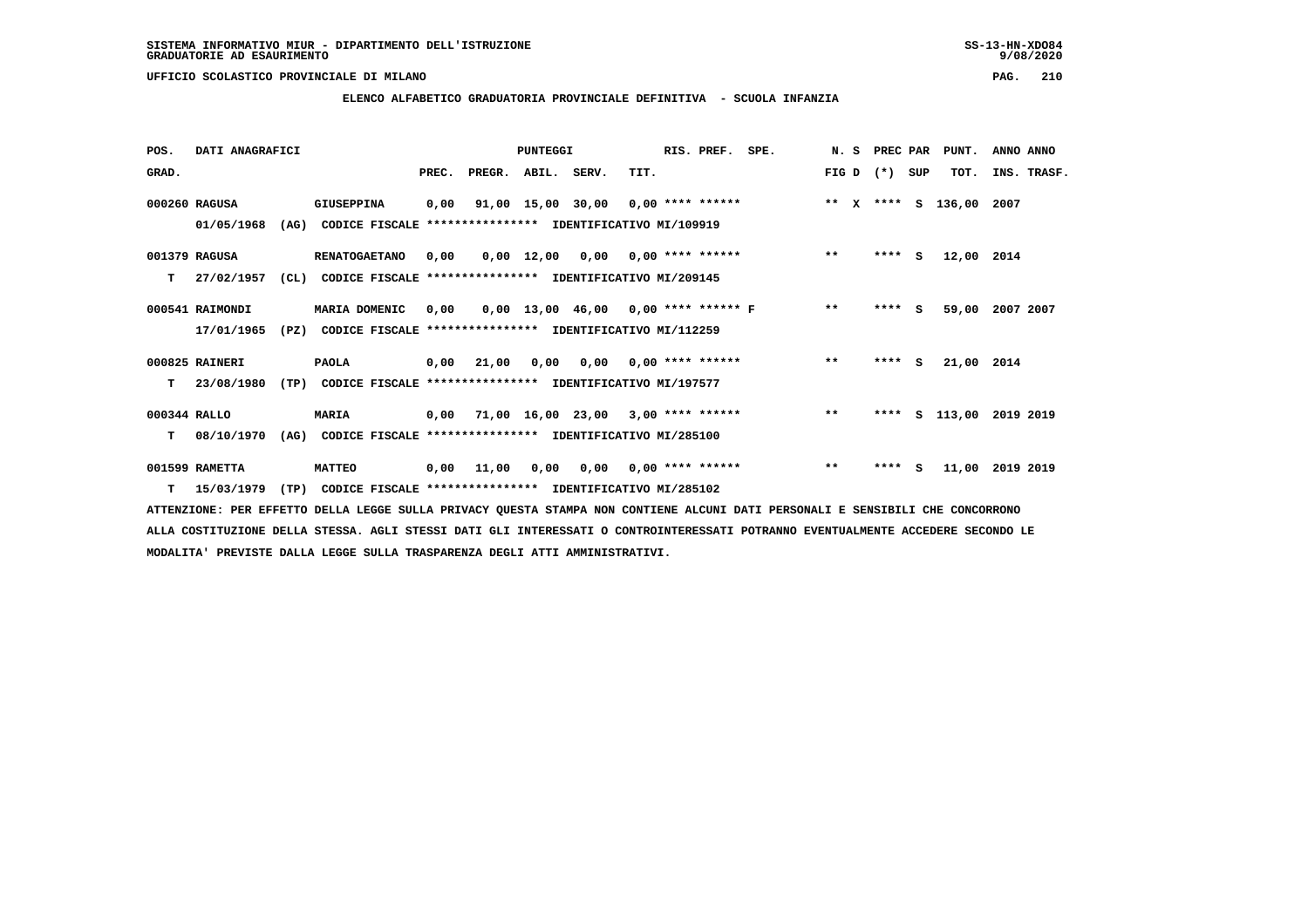# **ELENCO ALFABETICO GRADUATORIA PROVINCIALE DEFINITIVA - SCUOLA INFANZIA**

| POS.         | DATI ANAGRAFICI |      |                                                               |       |                    | PUNTEGGI |                                        |      | RIS. PREF. | SPE.                                                              | N.S   | PREC PAR |     | PUNT.      | ANNO ANNO   |
|--------------|-----------------|------|---------------------------------------------------------------|-------|--------------------|----------|----------------------------------------|------|------------|-------------------------------------------------------------------|-------|----------|-----|------------|-------------|
| GRAD.        |                 |      |                                                               | PREC. | PREGR. ABIL. SERV. |          |                                        | TIT. |            |                                                                   | FIG D | $(*)$    | SUP | TOT.       | INS. TRASF. |
|              | 000260 RAGUSA   |      | GIUSEPPINA                                                    | 0,00  |                    |          |                                        |      |            | 91,00 15,00 30,00 0,00 **** ****** **** *** ** **** S 136,00 2007 |       |          |     |            |             |
|              | 01/05/1968      | (AG) | CODICE FISCALE **************** IDENTIFICATIVO MI/109919      |       |                    |          |                                        |      |            |                                                                   |       |          |     |            |             |
|              | 001379 RAGUSA   |      | <b>RENATOGAETANO</b>                                          | 0.00  |                    |          |                                        |      |            | 0,00 12,00 0,00 0,00 **** ******                                  | $***$ | **** S   |     | 12,00 2014 |             |
| T.           | 27/02/1957      | CL)  | CODICE FISCALE **************** IDENTIFICATIVO MI/209145      |       |                    |          |                                        |      |            |                                                                   |       |          |     |            |             |
|              | 000541 RAIMONDI |      | MARIA DOMENIC                                                 | 0.00  |                    |          |                                        |      |            | $0,00$ 13,00 46,00 0,00 **** ****** F **                          |       | **** S   |     | 59,00      | 2007 2007   |
|              | 17/01/1965      | (PZ) | CODICE FISCALE **************** IDENTIFICATIVO MI/112259      |       |                    |          |                                        |      |            |                                                                   |       |          |     |            |             |
|              | 000825 RAINERI  |      | <b>PAOLA</b>                                                  |       | 0,00 21,00         |          | $0,00$ $0,00$ $0,00$ $***$ **** ****** |      |            |                                                                   | $* *$ | $***$ S  |     | 21,00 2014 |             |
| T.           | 23/08/1980      | (TP) | CODICE FISCALE **************** IDENTIFICATIVO MI/197577      |       |                    |          |                                        |      |            |                                                                   |       |          |     |            |             |
| 000344 RALLO |                 |      | <b>MARIA</b>                                                  | 0,00  |                    |          | 71,00 16,00 23,00 3,00 **** ******     |      |            |                                                                   | $***$ | ****     |     | s 113,00   | 2019 2019   |
| T.           | 08/10/1970      |      | (AG) CODICE FISCALE **************** IDENTIFICATIVO MI/285100 |       |                    |          |                                        |      |            |                                                                   |       |          |     |            |             |
|              | 001599 RAMETTA  |      | <b>MATTEO</b>                                                 |       | $0,00$ $11,00$     |          | $0,00$ $0,00$ $0,00$ $***$ **** ****** |      |            |                                                                   | $* *$ | **** S   |     | 11,00      | 2019 2019   |
| т            | 15/03/1979      | (TP) | CODICE FISCALE **************** IDENTIFICATIVO MI/285102      |       |                    |          |                                        |      |            |                                                                   |       |          |     |            |             |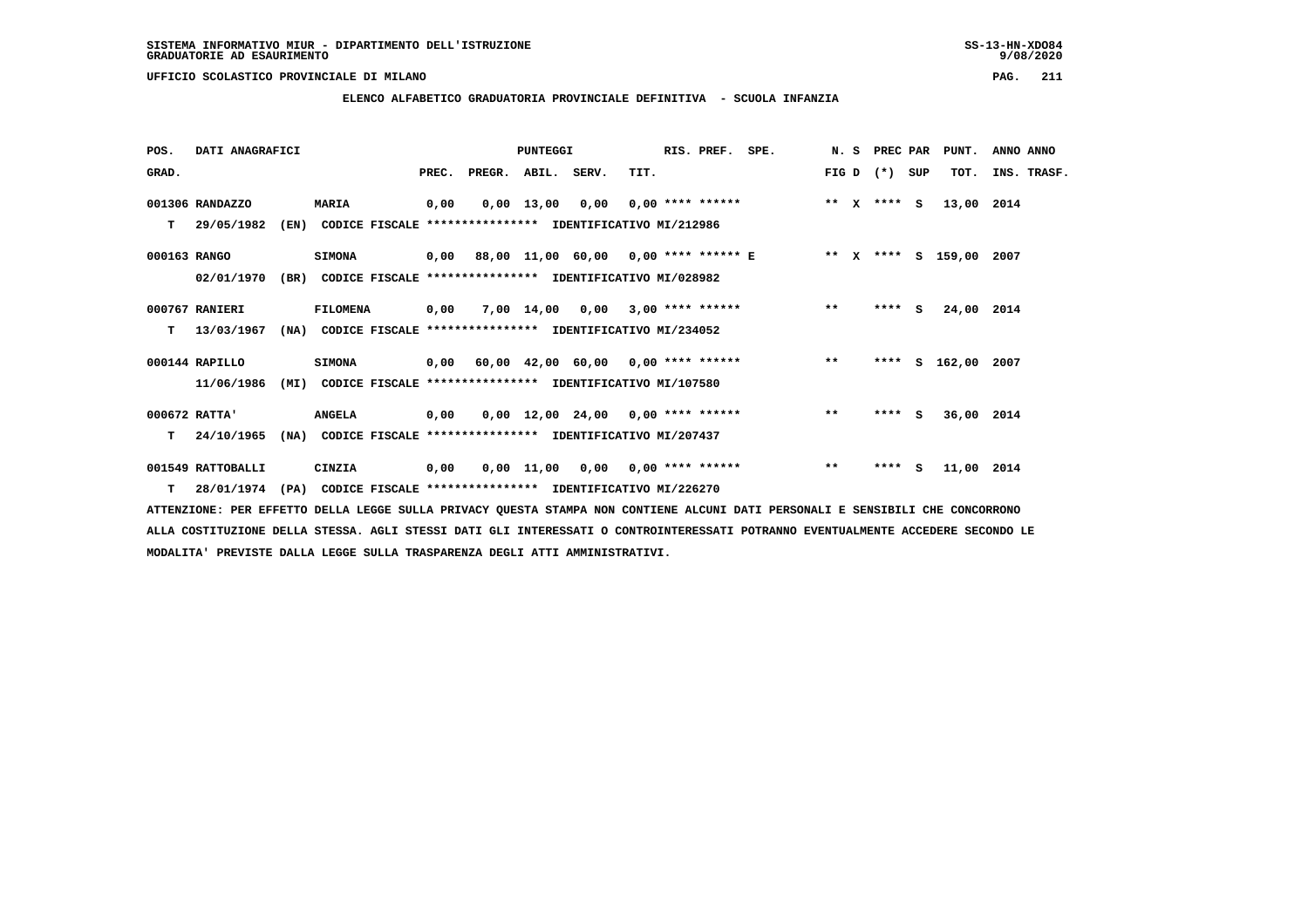$9/08/2020$ 

 **UFFICIO SCOLASTICO PROVINCIALE DI MILANO PAG. 211**

# **ELENCO ALFABETICO GRADUATORIA PROVINCIALE DEFINITIVA - SCUOLA INFANZIA**

| POS.         | DATI ANAGRAFICI   |      |                                                          |       |                    | <b>PUNTEGGI</b> |                                                 |                           | RIS. PREF. | SPE.                                                              |       | N. S | PREC PAR    | PUNT.         | ANNO ANNO |             |
|--------------|-------------------|------|----------------------------------------------------------|-------|--------------------|-----------------|-------------------------------------------------|---------------------------|------------|-------------------------------------------------------------------|-------|------|-------------|---------------|-----------|-------------|
| GRAD.        |                   |      |                                                          | PREC. | PREGR. ABIL. SERV. |                 |                                                 | TIT.                      |            |                                                                   | FIG D |      | (*) SUP     | TOT.          |           | INS. TRASF. |
|              | 001306 RANDAZZO   |      | <b>MARIA</b>                                             | 0,00  |                    | $0,00$ 13,00    | 0,00                                            | 0,00 **** ******          |            |                                                                   |       |      | ** x **** S | 13,00         | 2014      |             |
| т            | 29/05/1982        | (EN) | CODICE FISCALE **************** IDENTIFICATIVO MI/212986 |       |                    |                 |                                                 |                           |            |                                                                   |       |      |             |               |           |             |
| 000163 RANGO |                   |      | <b>SIMONA</b>                                            |       |                    |                 |                                                 |                           |            | 0,00 88,00 11,00 60,00 0,00 **** ****** E ** X **** S 159,00 2007 |       |      |             |               |           |             |
|              | 02/01/1970        | (BR) | CODICE FISCALE **************** IDENTIFICATIVO MI/028982 |       |                    |                 |                                                 |                           |            |                                                                   |       |      |             |               |           |             |
|              | 000767 RANIERI    |      | <b>FILOMENA</b>                                          | 0,00  |                    |                 | $7,00$ 14,00 0,00 3,00 **** ******              |                           |            |                                                                   | $**$  |      | **** S      | 24,00 2014    |           |             |
| т            | 13/03/1967        | (NA) | CODICE FISCALE **************** IDENTIFICATIVO MI/234052 |       |                    |                 |                                                 |                           |            |                                                                   |       |      |             |               |           |             |
|              | 000144 RAPILLO    |      | <b>SIMONA</b>                                            | 0,00  |                    |                 | $60,00$ $42,00$ $60,00$ $0,00$ $***$ **** ***** |                           |            |                                                                   | $***$ |      |             | **** S 162,00 | 2007      |             |
|              | 11/06/1986        | (MI) | CODICE FISCALE **************** IDENTIFICATIVO MI/107580 |       |                    |                 |                                                 |                           |            |                                                                   |       |      |             |               |           |             |
|              | 000672 RATTA'     |      | <b>ANGELA</b>                                            | 0,00  |                    |                 | $0,00$ 12,00 24,00 0,00 **** ******             |                           |            |                                                                   | $* *$ |      | $***$ S     | 36,00 2014    |           |             |
| т            | 24/10/1965        | (NA) | CODICE FISCALE **************** IDENTIFICATIVO MI/207437 |       |                    |                 |                                                 |                           |            |                                                                   |       |      |             |               |           |             |
|              | 001549 RATTOBALLI |      | CINZIA                                                   | 0,00  |                    | 0,00 11,00      |                                                 | $0,00$ $0,00$ **** ****** |            |                                                                   | $**$  |      | $***$ S     | 11,00 2014    |           |             |
|              | T 28/01/1974      | (PA) | CODICE FISCALE **************** IDENTIFICATIVO MI/226270 |       |                    |                 |                                                 |                           |            |                                                                   |       |      |             |               |           |             |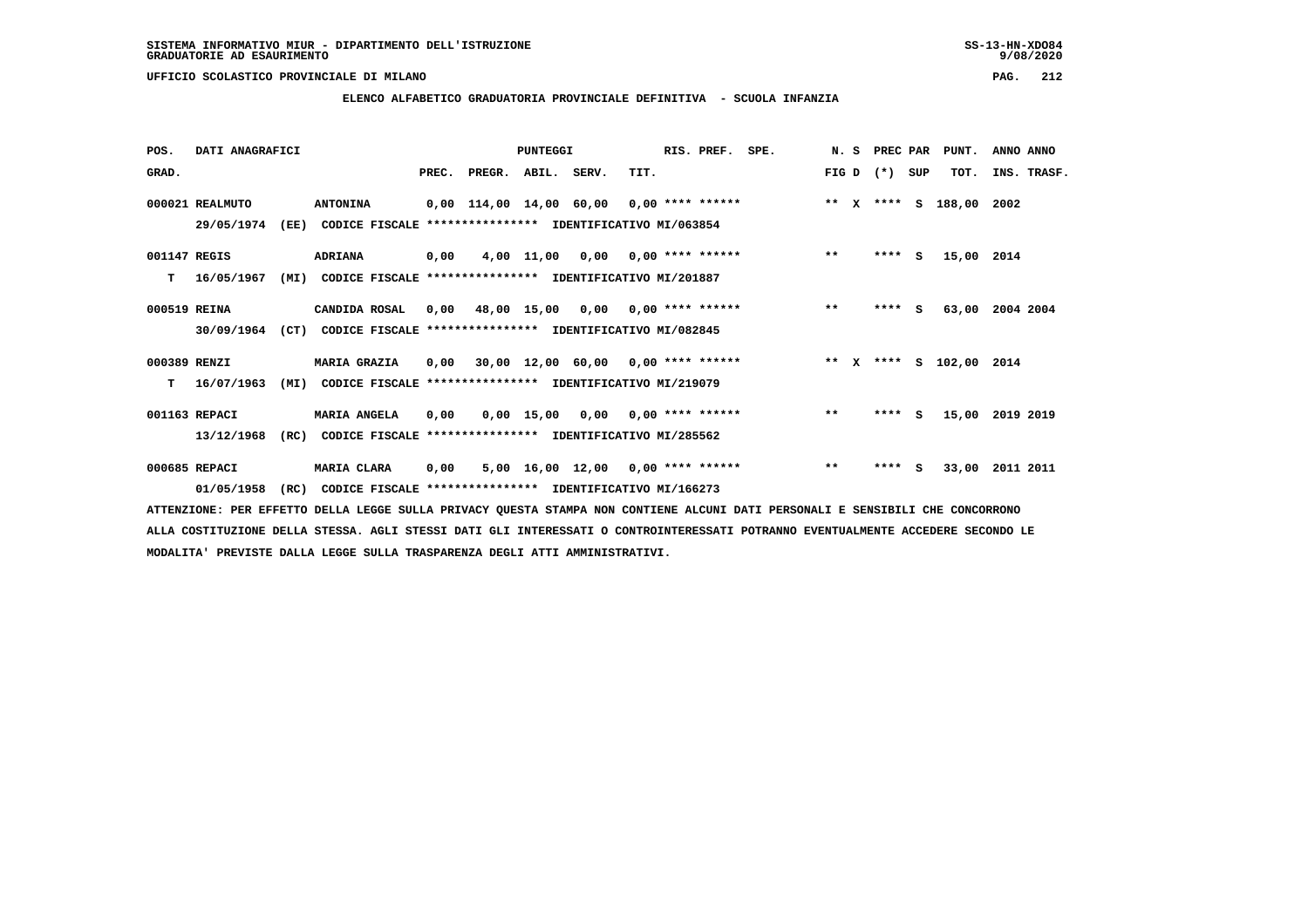### **ELENCO ALFABETICO GRADUATORIA PROVINCIALE DEFINITIVA - SCUOLA INFANZIA**

| POS.         | DATI ANAGRAFICI |      |                                                               |       |                    | PUNTEGGI |                                           |      | RIS. PREF. | SPE.                                     |       | N.S | PREC PAR |     | PUNT.                   | ANNO ANNO |             |
|--------------|-----------------|------|---------------------------------------------------------------|-------|--------------------|----------|-------------------------------------------|------|------------|------------------------------------------|-------|-----|----------|-----|-------------------------|-----------|-------------|
| GRAD.        |                 |      |                                                               | PREC. | PREGR. ABIL. SERV. |          |                                           | TIT. |            |                                          | FIG D |     | $(*)$    | SUP | тот.                    |           | INS. TRASF. |
|              | 000021 REALMUTO |      | <b>ANTONINA</b>                                               |       |                    |          |                                           |      |            | 0,00 114,00 14,00 60,00 0,00 **** ****** |       |     |          |     | ** X **** S 188,00 2002 |           |             |
|              | 29/05/1974      | (EE) | CODICE FISCALE **************** IDENTIFICATIVO MI/063854      |       |                    |          |                                           |      |            |                                          |       |     |          |     |                         |           |             |
| 001147 REGIS |                 |      | <b>ADRIANA</b>                                                | 0,00  |                    |          | $4,00$ 11,00 0,00 0,00 **** ******        |      |            |                                          | $* *$ |     | **** S   |     | 15,00 2014              |           |             |
| т            | 16/05/1967      | (MI) | CODICE FISCALE **************** IDENTIFICATIVO MI/201887      |       |                    |          |                                           |      |            |                                          |       |     |          |     |                         |           |             |
| 000519 REINA |                 |      | CANDIDA ROSAL                                                 | 0.00  |                    |          | 48,00 15,00 0,00 0,00 **** ******         |      |            |                                          | $***$ |     | $***5$   |     | 63,00                   | 2004 2004 |             |
|              | 30/09/1964      |      | (CT) CODICE FISCALE **************** IDENTIFICATIVO MI/082845 |       |                    |          |                                           |      |            |                                          |       |     |          |     |                         |           |             |
| 000389 RENZI |                 |      | <b>MARIA GRAZIA</b>                                           |       |                    |          | $0,00$ 30,00 12,00 60,00 0,00 **** ****** |      |            | ** x **** s 102,00 2014                  |       |     |          |     |                         |           |             |
| T.           | 16/07/1963      | (MI) | CODICE FISCALE **************** IDENTIFICATIVO MI/219079      |       |                    |          |                                           |      |            |                                          |       |     |          |     |                         |           |             |
|              | 001163 REPACI   |      | <b>MARIA ANGELA</b>                                           | 0,00  |                    |          | $0,00$ 15,00 0,00 0,00 **** ******        |      |            |                                          | $***$ |     | $***$ S  |     | 15,00                   | 2019 2019 |             |
|              | 13/12/1968      | (RC) | CODICE FISCALE                                                |       |                    |          | **************** IDENTIFICATIVO MI/285562 |      |            |                                          |       |     |          |     |                         |           |             |
|              | 000685 REPACI   |      | MARIA CLARA                                                   | 0,00  |                    |          | $5,00$ 16,00 12,00 0,00 **** ******       |      |            |                                          | $**$  |     | $***$ S  |     | 33,00                   | 2011 2011 |             |
|              | 01/05/1958      | (RC) | CODICE FISCALE **************** IDENTIFICATIVO MI/166273      |       |                    |          |                                           |      |            |                                          |       |     |          |     |                         |           |             |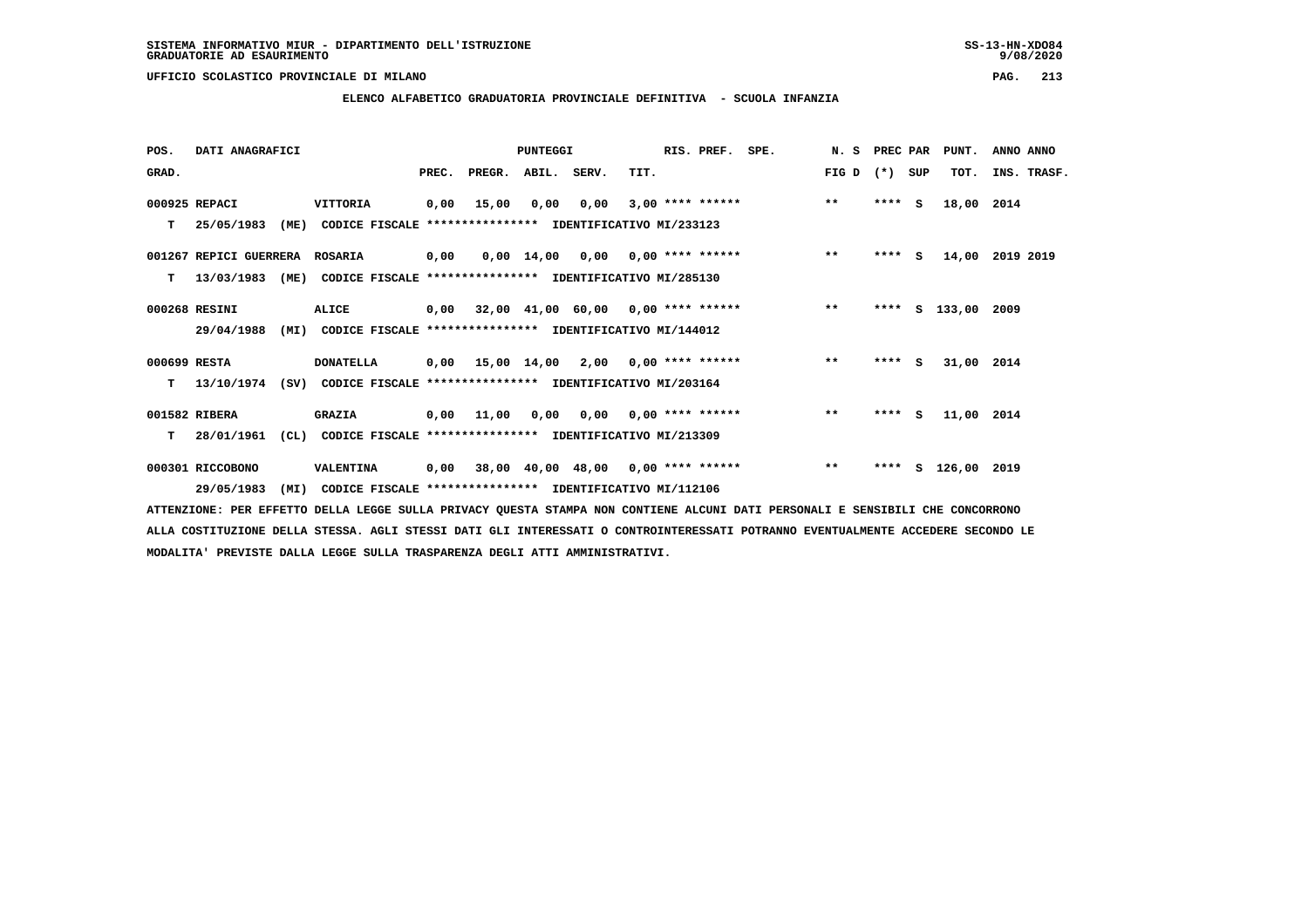**ELENCO ALFABETICO GRADUATORIA PROVINCIALE DEFINITIVA - SCUOLA INFANZIA**

| POS.         | DATI ANAGRAFICI        |                                                                          |      |                          | <b>PUNTEGGI</b> |      |      | RIS. PREF. SPE. |                                                  | N. S PREC PAR |         |     | PUNT.              | ANNO ANNO   |
|--------------|------------------------|--------------------------------------------------------------------------|------|--------------------------|-----------------|------|------|-----------------|--------------------------------------------------|---------------|---------|-----|--------------------|-------------|
| GRAD.        |                        |                                                                          |      | PREC. PREGR. ABIL. SERV. |                 |      | TIT. |                 |                                                  | FIG D         | $(* )$  | SUP | TOT.               | INS. TRASF. |
|              | 000925 REPACI          | VITTORIA                                                                 | 0,00 | 15,00                    | 0,00            | 0,00 |      |                 | $3,00$ **** ******                               | $* *$         | $***$ S |     | 18,00 2014         |             |
| т            | 25/05/1983             | (ME)<br>CODICE FISCALE **************** IDENTIFICATIVO MI/233123         |      |                          |                 |      |      |                 |                                                  |               |         |     |                    |             |
|              | 001267 REPICI GUERRERA | ROSARIA                                                                  | 0,00 |                          |                 |      |      |                 | $0,00$ 14,00 0,00 0,00 **** ******               | $* *$         | $***$ S |     | 14,00              | 2019 2019   |
| т            |                        | 13/03/1983 (ME) CODICE FISCALE **************** IDENTIFICATIVO MI/285130 |      |                          |                 |      |      |                 |                                                  |               |         |     |                    |             |
|              | 000268 RESINI          | ALICE                                                                    |      |                          |                 |      |      |                 | $0,00$ 32,00 41,00 60,00 0,00 **** ****** *** ** |               |         |     | **** S 133,00 2009 |             |
|              | 29/04/1988             | (MI) CODICE FISCALE **************** IDENTIFICATIVO MI/144012            |      |                          |                 |      |      |                 |                                                  |               |         |     |                    |             |
| 000699 RESTA |                        | <b>DONATELLA</b>                                                         |      |                          |                 |      |      |                 | $0,00$ 15,00 14,00 2,00 0,00 **** ****** *** **  |               | $***$ S |     | 31,00 2014         |             |
| T.           |                        | 13/10/1974 (SV) CODICE FISCALE **************** IDENTIFICATIVO MI/203164 |      |                          |                 |      |      |                 |                                                  |               |         |     |                    |             |
|              | 001582 RIBERA          | <b>GRAZIA</b>                                                            |      |                          |                 |      |      |                 | 0,00 11,00 0,00 0,00 0,00 **** ******            | $* *$         | **** S  |     | 11,00 2014         |             |
| T.           | 28/01/1961             | CL)<br>CODICE FISCALE **************** IDENTIFICATIVO MI/213309          |      |                          |                 |      |      |                 |                                                  |               |         |     |                    |             |
|              | 000301 RICCOBONO       | VALENTINA                                                                |      |                          |                 |      |      |                 | 0,00 38,00 40,00 48,00 0,00 **** ******          | $* *$         | ****    | s   | 126,00 2019        |             |
|              | 29/05/1983             | (MI)<br>CODICE FISCALE **************** IDENTIFICATIVO MI/112106         |      |                          |                 |      |      |                 |                                                  |               |         |     |                    |             |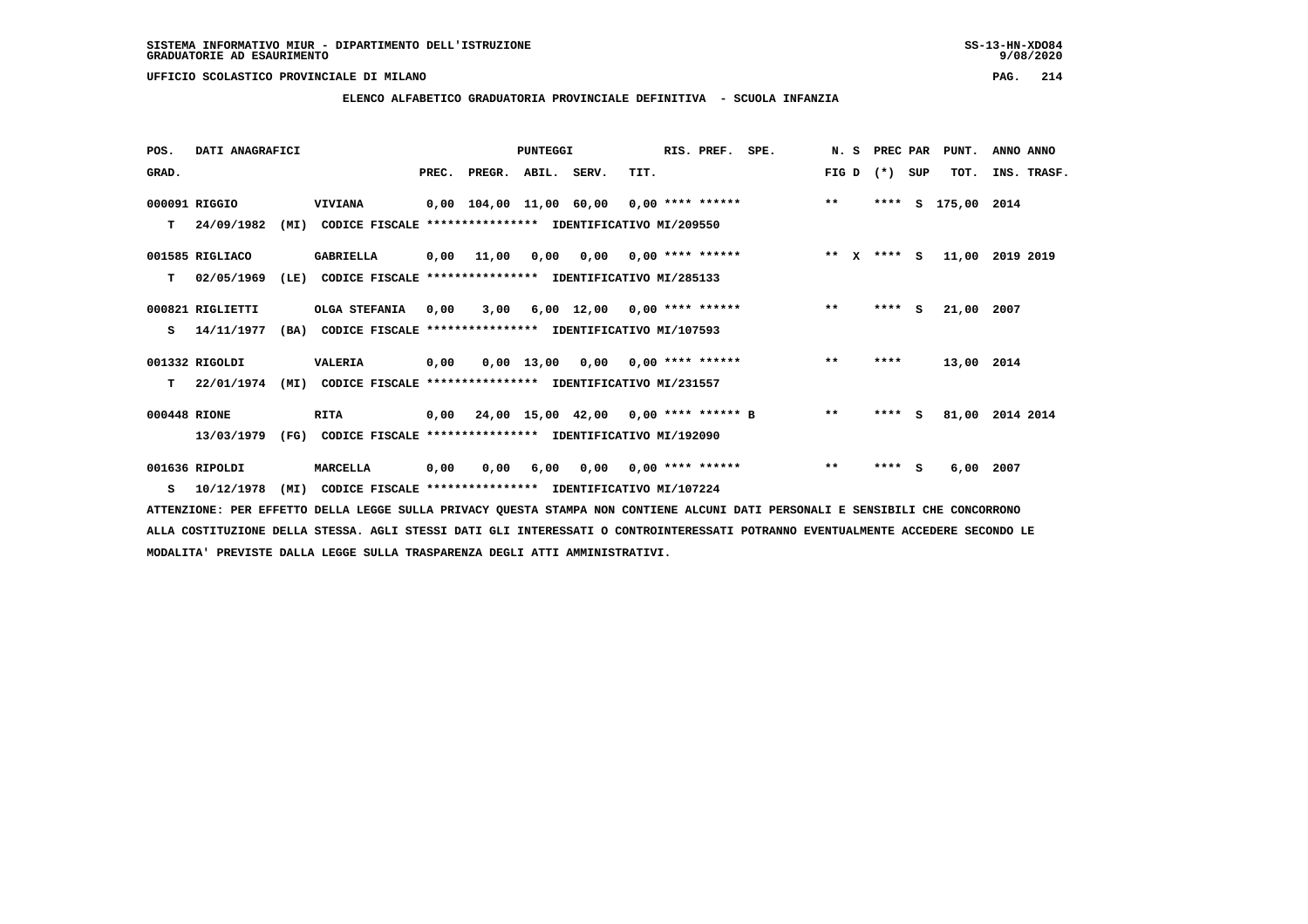$9/08/2020$ 

 **UFFICIO SCOLASTICO PROVINCIALE DI MILANO PAG. 214**

# **ELENCO ALFABETICO GRADUATORIA PROVINCIALE DEFINITIVA - SCUOLA INFANZIA**

| POS.         | DATI ANAGRAFICI  |      |                                                          |       |                    | PUNTEGGI |                                           |      | RIS. PREF.                | SPE. | N.S   | PREC PAR    |     | PUNT.         | ANNO ANNO       |
|--------------|------------------|------|----------------------------------------------------------|-------|--------------------|----------|-------------------------------------------|------|---------------------------|------|-------|-------------|-----|---------------|-----------------|
| GRAD.        |                  |      |                                                          | PREC. | PREGR. ABIL. SERV. |          |                                           | TIT. |                           |      | FIG D | $(* )$      | SUP | TOT.          | INS. TRASF.     |
|              | 000091 RIGGIO    |      | <b>VIVIANA</b>                                           |       |                    |          | 0,00 104,00 11,00 60,00 0,00 **** ******  |      |                           |      | $***$ | ****        |     | S 175,00 2014 |                 |
| т            | 24/09/1982       | (MI) | CODICE FISCALE **************** IDENTIFICATIVO MI/209550 |       |                    |          |                                           |      |                           |      |       |             |     |               |                 |
|              | 001585 RIGLIACO  |      | <b>GABRIELLA</b>                                         |       | $0,00$ 11,00       | 0.00     |                                           |      | $0,00$ $0,00$ **** ****** |      |       | ** x **** S |     | 11,00         | 2019 2019       |
| т            | 02/05/1969       | (LE) | CODICE FISCALE **************** IDENTIFICATIVO MI/285133 |       |                    |          |                                           |      |                           |      |       |             |     |               |                 |
|              | 000821 RIGLIETTI |      | OLGA STEFANIA                                            | 0,00  | 3,00               |          | $6,00$ 12,00 0,00 **** ******             |      |                           |      | $***$ | $***$ S     |     | 21,00         | 2007            |
| s            | 14/11/1977       | (BA) | CODICE FISCALE **************** IDENTIFICATIVO MI/107593 |       |                    |          |                                           |      |                           |      |       |             |     |               |                 |
|              | 001332 RIGOLDI   |      | <b>VALERIA</b>                                           | 0,00  |                    |          | $0.00$ 13.00 0.00 0.00 **** ******        |      |                           |      | $* *$ | ****        |     | 13,00 2014    |                 |
| т            | 22/01/1974       | (MI) | CODICE FISCALE **************** IDENTIFICATIVO MI/231557 |       |                    |          |                                           |      |                           |      |       |             |     |               |                 |
| 000448 RIONE |                  |      | RITA                                                     |       |                    |          | 0,00 24,00 15,00 42,00 0,00 **** ****** B |      |                           |      | $**$  | ****        | - S |               | 81,00 2014 2014 |
|              | 13/03/1979       | (FG) | CODICE FISCALE **************** IDENTIFICATIVO MI/192090 |       |                    |          |                                           |      |                           |      |       |             |     |               |                 |
|              | 001636 RIPOLDI   |      | MARCELLA                                                 | 0,00  | 0,00               | 6,00     |                                           |      | $0.00$ $0.00$ **** ****** |      | $***$ | ****        | s   | 6,00          | 2007            |
| s            | 10/12/1978       | (MI) | CODICE FISCALE **************** IDENTIFICATIVO MI/107224 |       |                    |          |                                           |      |                           |      |       |             |     |               |                 |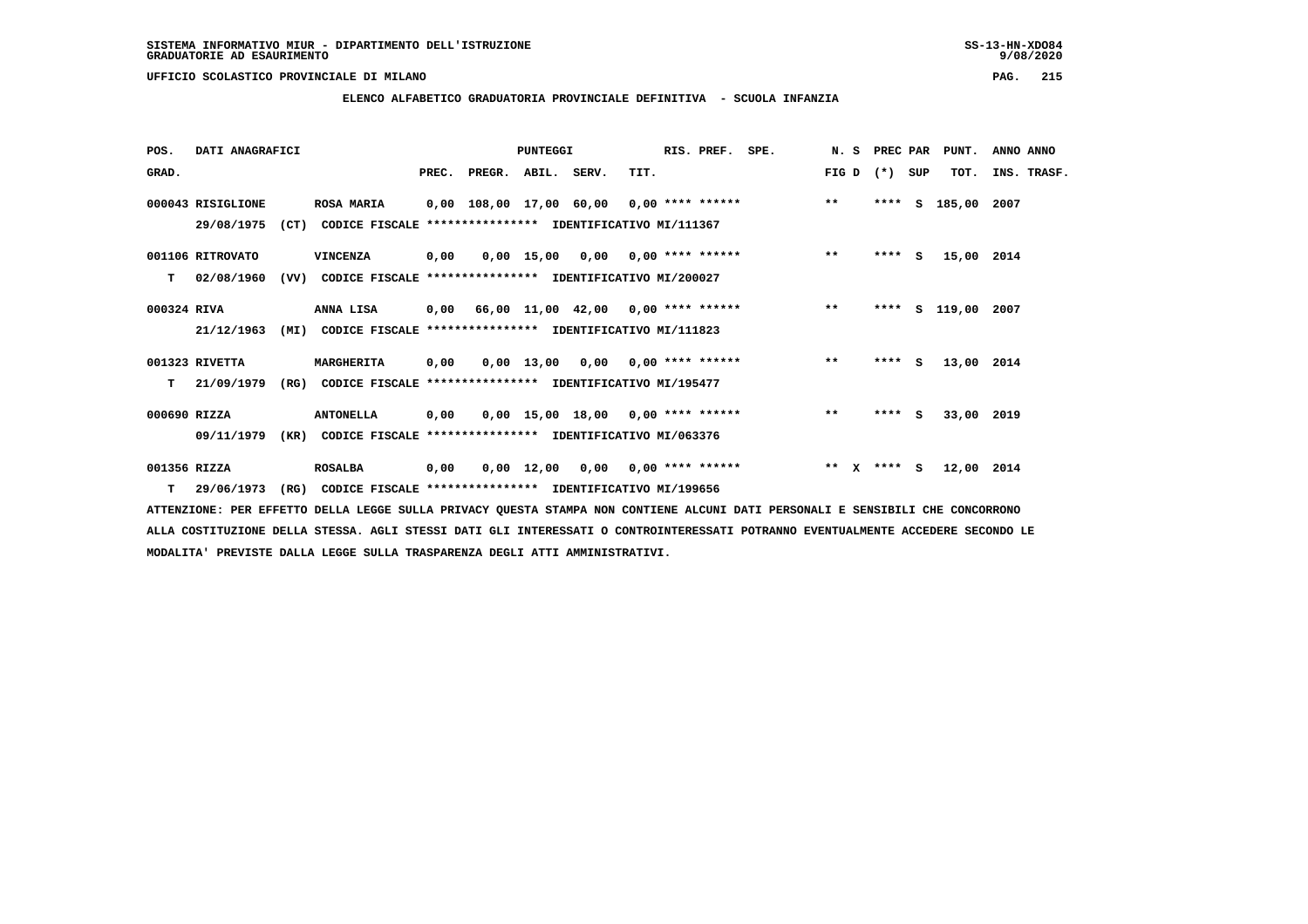# **ELENCO ALFABETICO GRADUATORIA PROVINCIALE DEFINITIVA - SCUOLA INFANZIA**

| POS.         | DATI ANAGRAFICI   |      |                                                               |       |                    | <b>PUNTEGGI</b> |                                           |      | RIS. PREF.         | SPE.                                     |                       | N. S PREC PAR |     | PUNT.         | ANNO ANNO   |
|--------------|-------------------|------|---------------------------------------------------------------|-------|--------------------|-----------------|-------------------------------------------|------|--------------------|------------------------------------------|-----------------------|---------------|-----|---------------|-------------|
| GRAD.        |                   |      |                                                               | PREC. | PREGR. ABIL. SERV. |                 |                                           | TIT. |                    |                                          | FIG D                 | $(* )$        | SUP | TOT.          | INS. TRASF. |
|              | 000043 RISIGLIONE |      | <b>ROSA MARIA</b>                                             |       |                    |                 |                                           |      |                    | 0,00 108,00 17,00 60,00 0,00 **** ****** | $***$                 | ****          | s   | 185,00 2007   |             |
|              | 29/08/1975        |      | (CT) CODICE FISCALE **************** IDENTIFICATIVO MI/111367 |       |                    |                 |                                           |      |                    |                                          |                       |               |     |               |             |
|              | 001106 RITROVATO  |      | VINCENZA                                                      | 0,00  |                    |                 | $0.00$ 15,00 0.00 0.00 **** ******        |      |                    |                                          | $\star\star$          | **** S        |     | 15,00 2014    |             |
| т            | 02/08/1960        | (VV) | CODICE FISCALE                                                |       |                    |                 | **************** IDENTIFICATIVO MI/200027 |      |                    |                                          |                       |               |     |               |             |
| 000324 RIVA  |                   |      | <b>ANNA LISA</b>                                              |       |                    |                 | 0,00 66,00 11,00 42,00 0,00 **** ******   |      |                    |                                          | $***$                 | ****          |     | S 119,00 2007 |             |
|              | 21/12/1963        | (MI) | CODICE FISCALE **************** IDENTIFICATIVO MI/111823      |       |                    |                 |                                           |      |                    |                                          |                       |               |     |               |             |
|              | 001323 RIVETTA    |      | MARGHERITA                                                    | 0.00  |                    |                 | $0,00$ 13,00 0,00 0,00 **** ******        |      |                    |                                          | $***$                 | **** S        |     | 13,00 2014    |             |
| т            | 21/09/1979        |      | (RG) CODICE FISCALE                                           |       |                    |                 | **************** IDENTIFICATIVO MI/195477 |      |                    |                                          |                       |               |     |               |             |
| 000690 RIZZA |                   |      | <b>ANTONELLA</b>                                              | 0,00  |                    |                 | $0,00$ 15,00 18,00 0,00 **** ******       |      |                    |                                          | $\star\star$          | $***$ S       |     | 33,00 2019    |             |
|              | 09/11/1979        | (KR) | CODICE FISCALE **************** IDENTIFICATIVO MI/063376      |       |                    |                 |                                           |      |                    |                                          |                       |               |     |               |             |
| 001356 RIZZA |                   |      | <b>ROSALBA</b>                                                | 0,00  |                    |                 | $0,00$ $12,00$ $0,00$                     |      | $0.00$ **** ****** |                                          | $***$<br>$\mathbf{x}$ | $***$ S       |     | 12,00 2014    |             |
|              | $T = 29/06/1973$  | (RG) | CODICE FISCALE **************** IDENTIFICATIVO MI/199656      |       |                    |                 |                                           |      |                    |                                          |                       |               |     |               |             |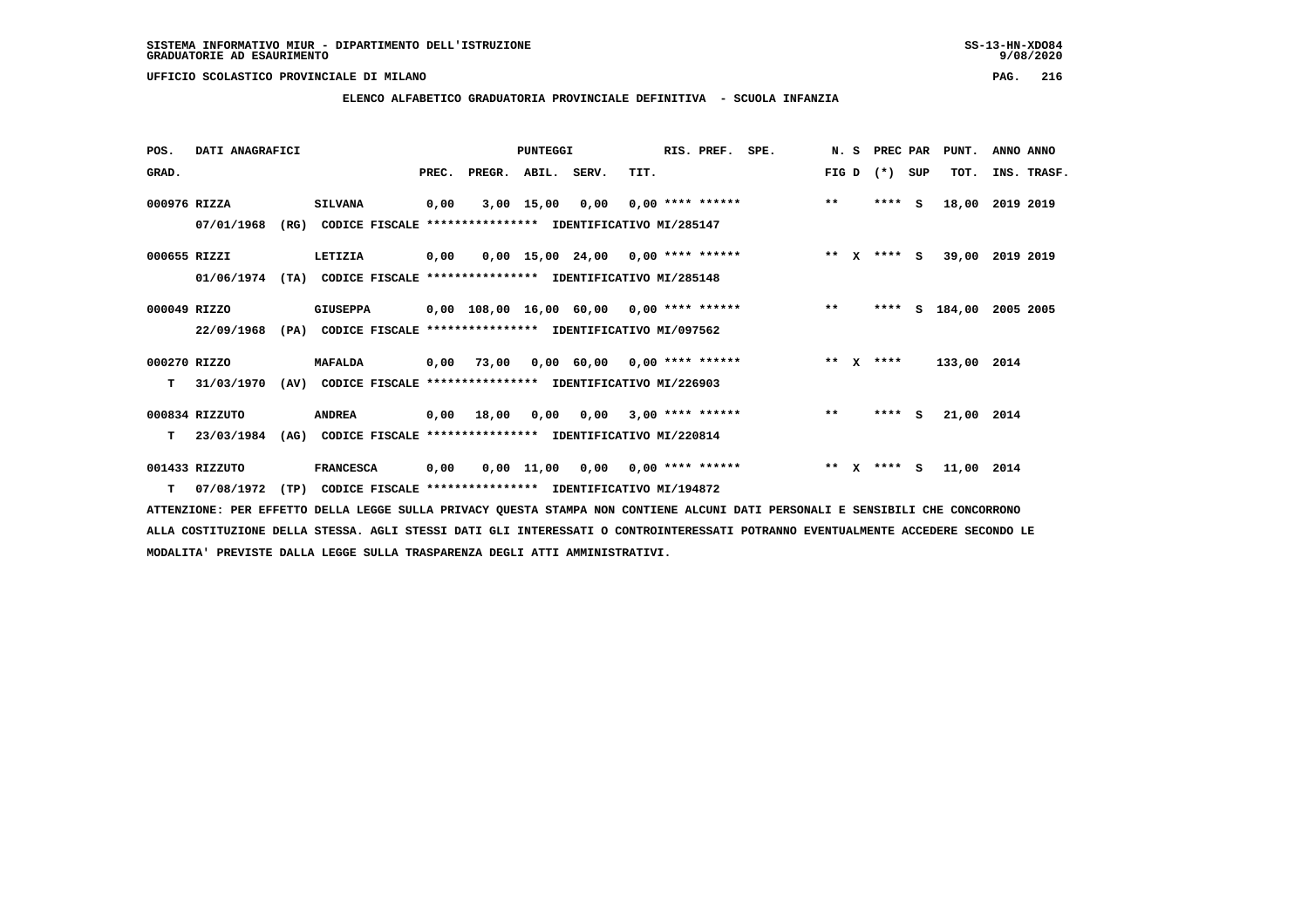### **ELENCO ALFABETICO GRADUATORIA PROVINCIALE DEFINITIVA - SCUOLA INFANZIA**

| POS.         | DATI ANAGRAFICI                                                                | PUNTEGGI |                                                               |       |                                            |             | RIS. PREF.<br>SPE.                     |      |  | N.S                |  | PREC PAR |              | PUNT.   | ANNO ANNO |             |             |  |
|--------------|--------------------------------------------------------------------------------|----------|---------------------------------------------------------------|-------|--------------------------------------------|-------------|----------------------------------------|------|--|--------------------|--|----------|--------------|---------|-----------|-------------|-------------|--|
| GRAD.        |                                                                                |          |                                                               | PREC. | PREGR.                                     | ABIL. SERV. |                                        | TIT. |  |                    |  | FIG D    |              | $(* )$  | SUP       | TOT.        | INS. TRASF. |  |
| 000976 RIZZA |                                                                                |          | <b>SILVANA</b>                                                | 0,00  |                                            | 3,00 15,00  | 0,00                                   |      |  | $0,00$ **** ****** |  | $***$    |              | ****    | - S       | 18,00       | 2019 2019   |  |
|              | 07/01/1968                                                                     | (RG)     | CODICE FISCALE **************** IDENTIFICATIVO MI/285147      |       |                                            |             |                                        |      |  |                    |  |          |              |         |           |             |             |  |
| 000655 RIZZI |                                                                                |          | LETIZIA                                                       | 0,00  |                                            |             | $0.00$ 15.00 24.00 0.00 **** ******    |      |  |                    |  | $***$ X  |              | **** S  |           | 39,00       | 2019 2019   |  |
|              | 01/06/1974                                                                     | (TA)     | CODICE FISCALE **************** IDENTIFICATIVO MI/285148      |       |                                            |             |                                        |      |  |                    |  |          |              |         |           |             |             |  |
| 000049 RIZZO |                                                                                |          | <b>GIUSEPPA</b>                                               |       | $0,00$ 108,00 16,00 60,00 0,00 **** ****** |             |                                        |      |  |                    |  | $**$     |              | ****    |           | S 184,00    | 2005 2005   |  |
|              | 22/09/1968<br>(PA)<br>CODICE FISCALE **************** IDENTIFICATIVO MI/097562 |          |                                                               |       |                                            |             |                                        |      |  |                    |  |          |              |         |           |             |             |  |
| 000270 RIZZO |                                                                                |          | <b>MAFALDA</b>                                                | 0,00  | 73,00                                      |             | $0.00 \t 60.00 \t 0.00 \t$ **** ****** |      |  |                    |  | $***$    | $\mathbf{x}$ | ****    |           | 133,00 2014 |             |  |
| т            | 31/03/1970                                                                     |          | (AV) CODICE FISCALE **************** IDENTIFICATIVO MI/226903 |       |                                            |             |                                        |      |  |                    |  |          |              |         |           |             |             |  |
|              | 000834 RIZZUTO                                                                 |          | <b>ANDREA</b>                                                 |       | $0,00$ 18,00                               | 0,00        | $0,00$ 3,00 **** ******                |      |  |                    |  | $***$    |              | $***$ S |           | 21,00 2014  |             |  |
| т            | 23/03/1984                                                                     | (AG)     | CODICE FISCALE **************** IDENTIFICATIVO MI/220814      |       |                                            |             |                                        |      |  |                    |  |          |              |         |           |             |             |  |
|              | 001433 RIZZUTO                                                                 |          | <b>FRANCESCA</b>                                              | 0,00  |                                            | 0,00 11,00  | 0,00                                   |      |  | $0,00$ **** ****** |  | $* *$    | $\mathbf{x}$ | **** S  |           | 11,00 2014  |             |  |
|              | T 07/08/1972                                                                   | (TP)     | CODICE FISCALE **************** IDENTIFICATIVO MI/194872      |       |                                            |             |                                        |      |  |                    |  |          |              |         |           |             |             |  |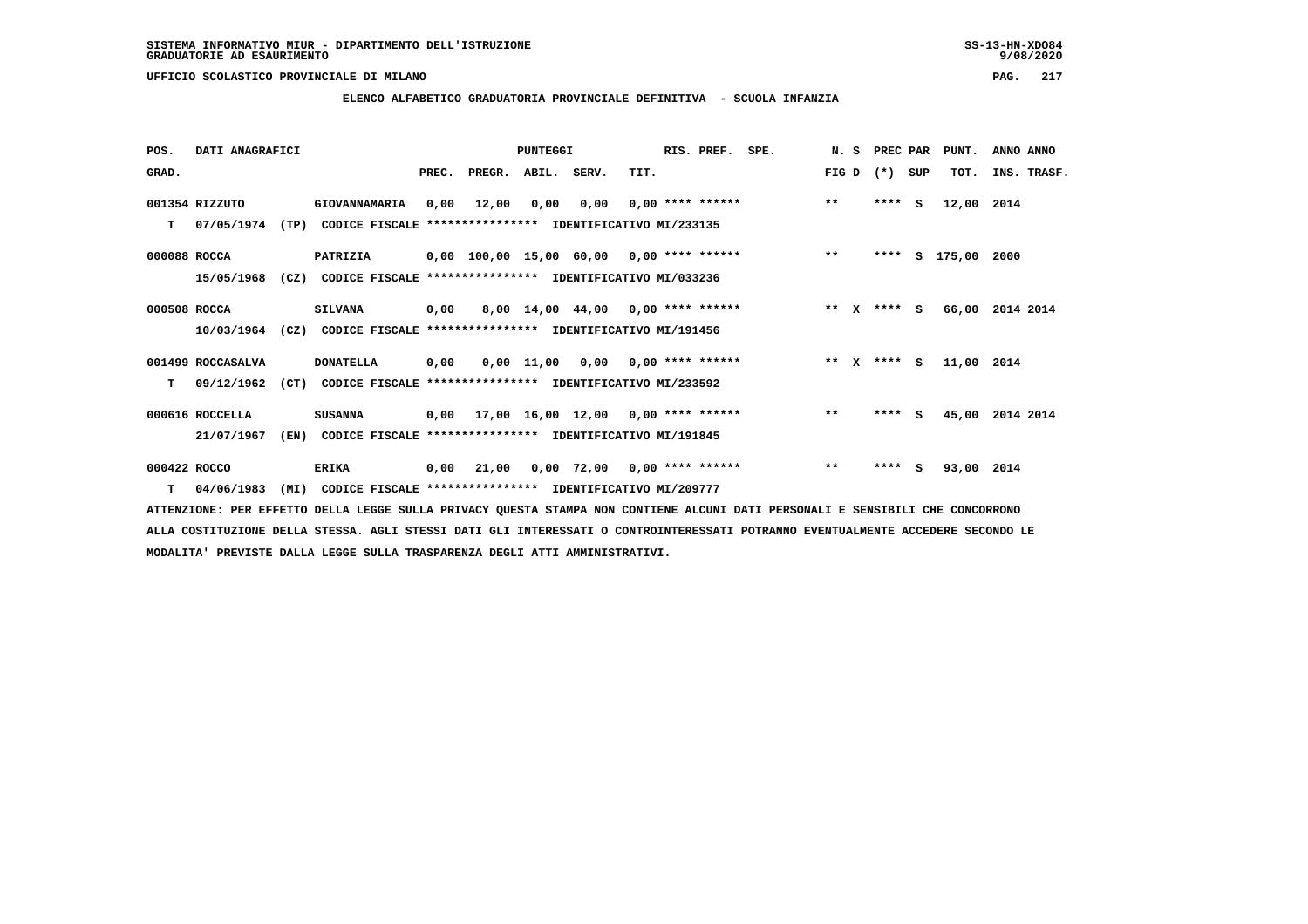**ELENCO ALFABETICO GRADUATORIA PROVINCIALE DEFINITIVA - SCUOLA INFANZIA**

| POS.         | DATI ANAGRAFICI   |      |                                                                         |      |                                           | <b>PUNTEGGI</b> |                                    |      | RIS. PREF. SPE. |                                          |       | N. S PREC PAR |     | PUNT.              | ANNO ANNO       |
|--------------|-------------------|------|-------------------------------------------------------------------------|------|-------------------------------------------|-----------------|------------------------------------|------|-----------------|------------------------------------------|-------|---------------|-----|--------------------|-----------------|
| GRAD.        |                   |      |                                                                         |      | PREC. PREGR. ABIL. SERV.                  |                 |                                    | TIT. |                 |                                          |       | FIG D $(*)$   | SUP | TOT.               | INS. TRASF.     |
|              | 001354 RIZZUTO    |      | <b>GIOVANNAMARIA</b>                                                    | 0,00 | 12,00                                     | 0,00            | 0,00                               |      |                 | $0.00$ **** ****** *** **                |       | ****          | s.  | 12,00 2014         |                 |
| T.           | 07/05/1974        |      | (TP) CODICE FISCALE **************** IDENTIFICATIVO MI/233135           |      |                                           |                 |                                    |      |                 |                                          |       |               |     |                    |                 |
| 000088 ROCCA |                   |      | <b>PATRIZIA</b>                                                         |      |                                           |                 |                                    |      |                 | 0,00 100,00 15,00 60,00 0,00 **** ****** | $* *$ |               |     | **** S 175,00 2000 |                 |
|              | 15/05/1968        | (CZ) | CODICE FISCALE **************** IDENTIFICATIVO MI/033236                |      |                                           |                 |                                    |      |                 |                                          |       |               |     |                    |                 |
| 000508 ROCCA |                   |      | <b>SILVANA</b>                                                          |      | $0,00$ 8,00 14,00 44,00 0,00 **** ******  |                 |                                    |      |                 | $\star \star$ $\chi$                     |       | $***$ S       |     |                    | 66,00 2014 2014 |
|              |                   |      | 10/03/1964 (CZ) CODICE FISCALE *************** IDENTIFICATIVO MI/191456 |      |                                           |                 |                                    |      |                 |                                          |       |               |     |                    |                 |
|              | 001499 ROCCASALVA |      | <b>DONATELLA</b>                                                        | 0,00 |                                           |                 | $0.00$ 11.00 0.00 0.00 **** ****** |      |                 | $***$ $x$ $***$ $s$                      |       |               |     | 11,00 2014         |                 |
| т            | 09/12/1962        | (CT) | CODICE FISCALE **************** IDENTIFICATIVO MI/233592                |      |                                           |                 |                                    |      |                 |                                          |       |               |     |                    |                 |
|              | 000616 ROCCELLA   |      | <b>SUSANNA</b>                                                          |      | $0,00$ 17,00 16,00 12,00 0,00 **** ****** |                 |                                    |      |                 |                                          | $**$  | $***$ S       |     |                    | 45,00 2014 2014 |
|              | 21/07/1967        | (EN) | CODICE FISCALE **************** IDENTIFICATIVO MI/191845                |      |                                           |                 |                                    |      |                 |                                          |       |               |     |                    |                 |
| 000422 ROCCO |                   |      | <b>ERIKA</b>                                                            |      | 0,00 21,00 0,00 72,00 0,00 **** ******    |                 |                                    |      |                 |                                          | $***$ | $***$ S       |     | 93,00 2014         |                 |
|              | $T = 04/06/1983$  |      | (MI) CODICE FISCALE **************** IDENTIFICATIVO MI/209777           |      |                                           |                 |                                    |      |                 |                                          |       |               |     |                    |                 |

 **ATTENZIONE: PER EFFETTO DELLA LEGGE SULLA PRIVACY QUESTA STAMPA NON CONTIENE ALCUNI DATI PERSONALI E SENSIBILI CHE CONCORRONO ALLA COSTITUZIONE DELLA STESSA. AGLI STESSI DATI GLI INTERESSATI O CONTROINTERESSATI POTRANNO EVENTUALMENTE ACCEDERE SECONDO LE MODALITA' PREVISTE DALLA LEGGE SULLA TRASPARENZA DEGLI ATTI AMMINISTRATIVI.**

# $9/08/2020$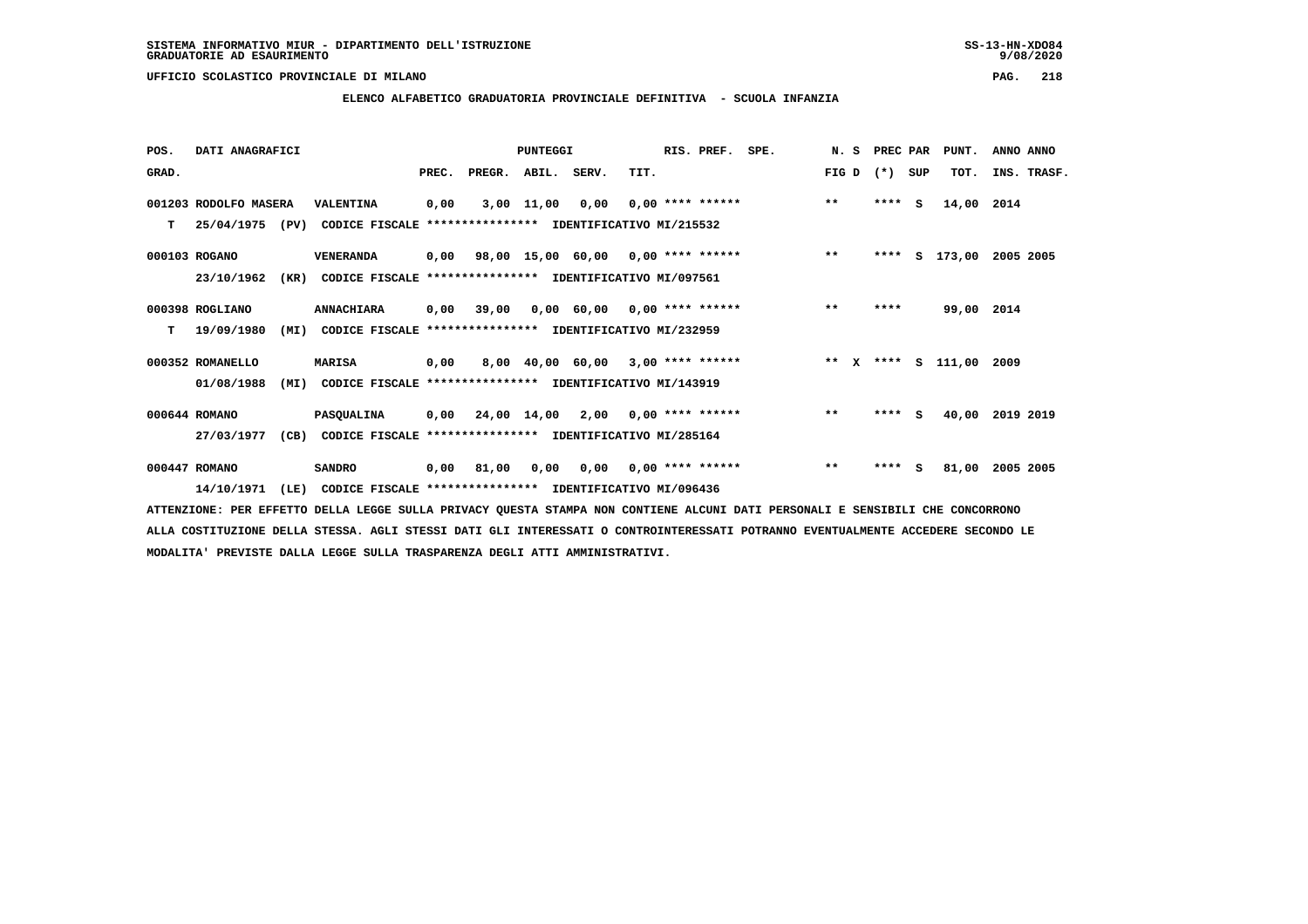### **ELENCO ALFABETICO GRADUATORIA PROVINCIALE DEFINITIVA - SCUOLA INFANZIA**

| POS.  | DATI ANAGRAFICI       |      |                                                                          |       |        | PUNTEGGI     |                                           |      | RIS. PREF.                | SPE.                    | N.S   | PREC PAR |          | PUNT.         | ANNO ANNO   |
|-------|-----------------------|------|--------------------------------------------------------------------------|-------|--------|--------------|-------------------------------------------|------|---------------------------|-------------------------|-------|----------|----------|---------------|-------------|
| GRAD. |                       |      |                                                                          | PREC. | PREGR. | ABIL. SERV.  |                                           | TIT. |                           |                         | FIG D | $(*)$    | SUP      | TOT.          | INS. TRASF. |
|       | 001203 RODOLFO MASERA |      | VALENTINA                                                                | 0,00  |        | $3,00$ 11,00 | 0,00                                      |      | $0.00$ **** ******        |                         | $***$ | ****     | <b>S</b> | 14,00         | 2014        |
| т     |                       |      | 25/04/1975 (PV) CODICE FISCALE **************** IDENTIFICATIVO MI/215532 |       |        |              |                                           |      |                           |                         |       |          |          |               |             |
|       | 000103 ROGANO         |      | VENERANDA                                                                |       |        |              | $0,00$ 98,00 15,00 60,00 0,00 **** ****** |      |                           |                         | $***$ |          |          | **** S 173,00 | 2005 2005   |
|       | 23/10/1962            | (KR) | CODICE FISCALE **************** IDENTIFICATIVO MI/097561                 |       |        |              |                                           |      |                           |                         |       |          |          |               |             |
|       | 000398 ROGLIANO       |      | <b>ANNACHIARA</b>                                                        | 0,00  | 39,00  |              | $0,00$ 60,00 0,00 **** ******             |      |                           |                         | $* *$ | ****     |          | 99,00 2014    |             |
| T.    | 19/09/1980            | (MI) | CODICE FISCALE **************** IDENTIFICATIVO MI/232959                 |       |        |              |                                           |      |                           |                         |       |          |          |               |             |
|       | 000352 ROMANELLO      |      | <b>MARISA</b>                                                            | 0,00  |        |              | 8,00 40,00 60,00 3,00 **** ******         |      |                           | ** X **** S 111,00 2009 |       |          |          |               |             |
|       | 01/08/1988            | (MI) | CODICE FISCALE **************** IDENTIFICATIVO MI/143919                 |       |        |              |                                           |      |                           |                         |       |          |          |               |             |
|       | 000644 ROMANO         |      | PASQUALINA                                                               | 0,00  |        | 24,00 14,00  | 2,00                                      |      | 0,00 **** ******          |                         | $***$ | $***$ S  |          | 40,00         | 2019 2019   |
|       | 27/03/1977            | (CB) | CODICE FISCALE **************** IDENTIFICATIVO MI/285164                 |       |        |              |                                           |      |                           |                         |       |          |          |               |             |
|       | 000447 ROMANO         |      | <b>SANDRO</b>                                                            | 0,00  | 81,00  | 0,00         |                                           |      | $0,00$ $0,00$ **** ****** |                         | $***$ | ****     | s        | 81,00         | 2005 2005   |
|       | 14/10/1971            | (LE) | CODICE FISCALE **************** IDENTIFICATIVO MI/096436                 |       |        |              |                                           |      |                           |                         |       |          |          |               |             |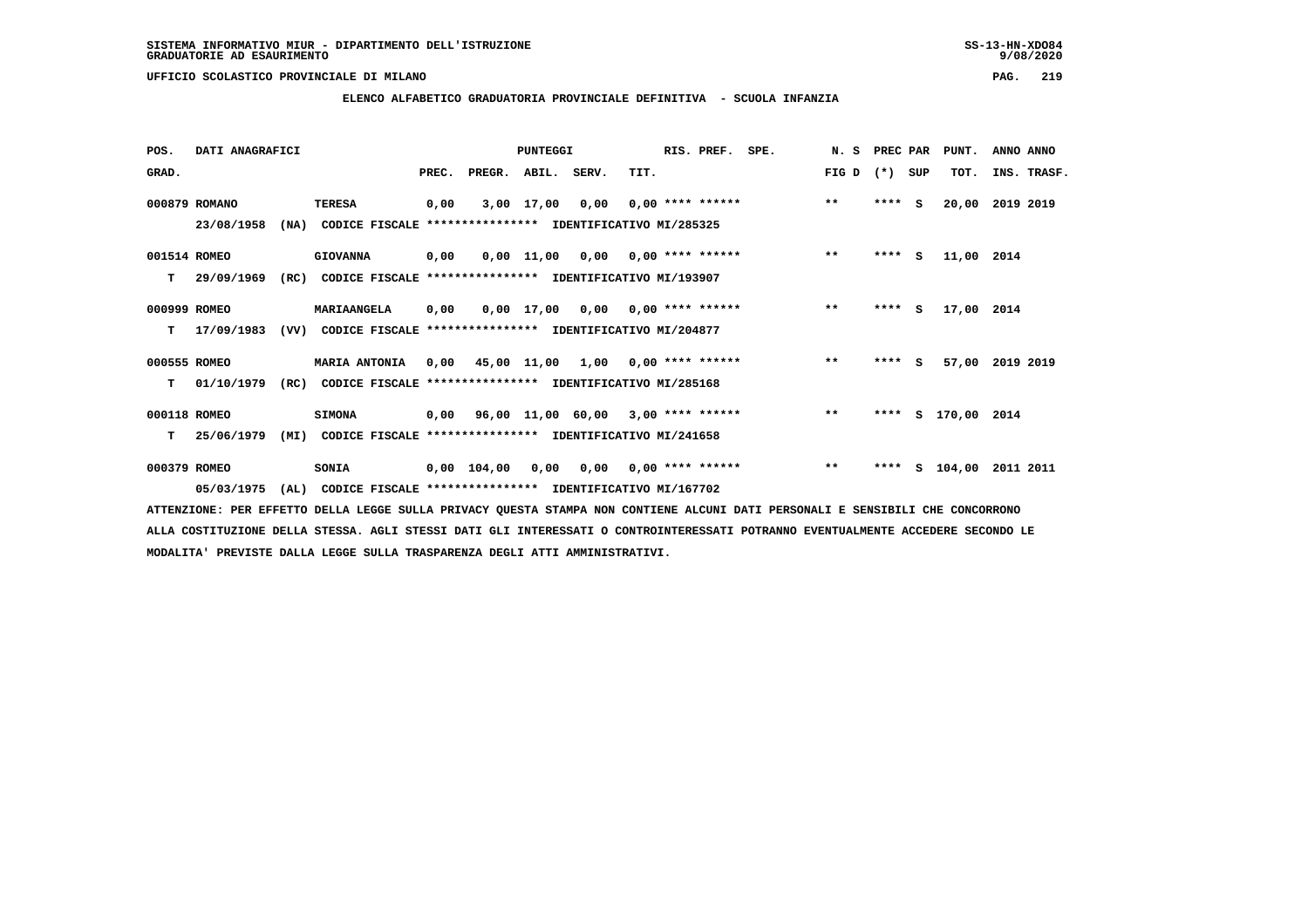$9/08/2020$ 

 **UFFICIO SCOLASTICO PROVINCIALE DI MILANO PAG. 219**

### **ELENCO ALFABETICO GRADUATORIA PROVINCIALE DEFINITIVA - SCUOLA INFANZIA**

| POS.         | DATI ANAGRAFICI |      |                                                               |       |                    | PUNTEGGI   |                                                        |      | RIS. PREF.         | SPE.                             | N.S   | PREC PAR |     | PUNT.         | ANNO ANNO       |
|--------------|-----------------|------|---------------------------------------------------------------|-------|--------------------|------------|--------------------------------------------------------|------|--------------------|----------------------------------|-------|----------|-----|---------------|-----------------|
| GRAD.        |                 |      |                                                               | PREC. | PREGR. ABIL. SERV. |            |                                                        | TIT. |                    |                                  | FIG D | $(*)$    | SUP | TOT.          | INS. TRASF.     |
|              | 000879 ROMANO   |      | <b>TERESA</b>                                                 | 0,00  |                    | 3,00 17,00 | 0,00                                                   |      | $0.00$ **** ****** |                                  | $***$ | $***$ S  |     | 20,00         | 2019 2019       |
|              | 23/08/1958      | (NA) | CODICE FISCALE **************** IDENTIFICATIVO MI/285325      |       |                    |            |                                                        |      |                    |                                  |       |          |     |               |                 |
| 001514 ROMEO |                 |      | <b>GIOVANNA</b>                                               | 0,00  |                    |            |                                                        |      |                    | 0,00 11,00 0,00 0,00 **** ****** | $**$  | $***$ S  |     | 11,00 2014    |                 |
| т            | 29/09/1969      | (RC) | CODICE FISCALE **************** IDENTIFICATIVO MI/193907      |       |                    |            |                                                        |      |                    |                                  |       |          |     |               |                 |
| 000999 ROMEO |                 |      | MARIAANGELA                                                   | 0.00  |                    |            | $0.00$ 17,00 0.00 0.00 **** ******                     |      |                    |                                  | $***$ | $***$ S  |     | 17,00 2014    |                 |
| т            | 17/09/1983      |      | (VV) CODICE FISCALE **************** IDENTIFICATIVO MI/204877 |       |                    |            |                                                        |      |                    |                                  |       |          |     |               |                 |
| 000555 ROMEO |                 |      | <b>MARIA ANTONIA</b>                                          |       |                    |            | $0,00$ 45,00 11,00 1,00 0,00 **** ******               |      |                    |                                  | $**$  | **** S   |     |               | 57,00 2019 2019 |
| т            | 01/10/1979      | (RC) | CODICE FISCALE **************** IDENTIFICATIVO MI/285168      |       |                    |            |                                                        |      |                    |                                  |       |          |     |               |                 |
| 000118 ROMEO |                 |      | <b>SIMONA</b>                                                 | 0,00  |                    |            | 96,00 11,00 60,00 3,00 **** ******                     |      |                    | $\star\star$                     |       | ****     |     | S 170,00 2014 |                 |
| т            | 25/06/1979      | (MI) | CODICE FISCALE **************** IDENTIFICATIVO MI/241658      |       |                    |            |                                                        |      |                    |                                  |       |          |     |               |                 |
| 000379 ROMEO |                 |      | SONIA                                                         |       |                    |            | $0,00$ $104,00$ $0,00$ $0,00$ $0,00$ $***$ **** ****** |      |                    |                                  | $**$  | ****     |     | s 104,00      | 2011 2011       |
|              | 05/03/1975      | (AL) | CODICE FISCALE **************** IDENTIFICATIVO MI/167702      |       |                    |            |                                                        |      |                    |                                  |       |          |     |               |                 |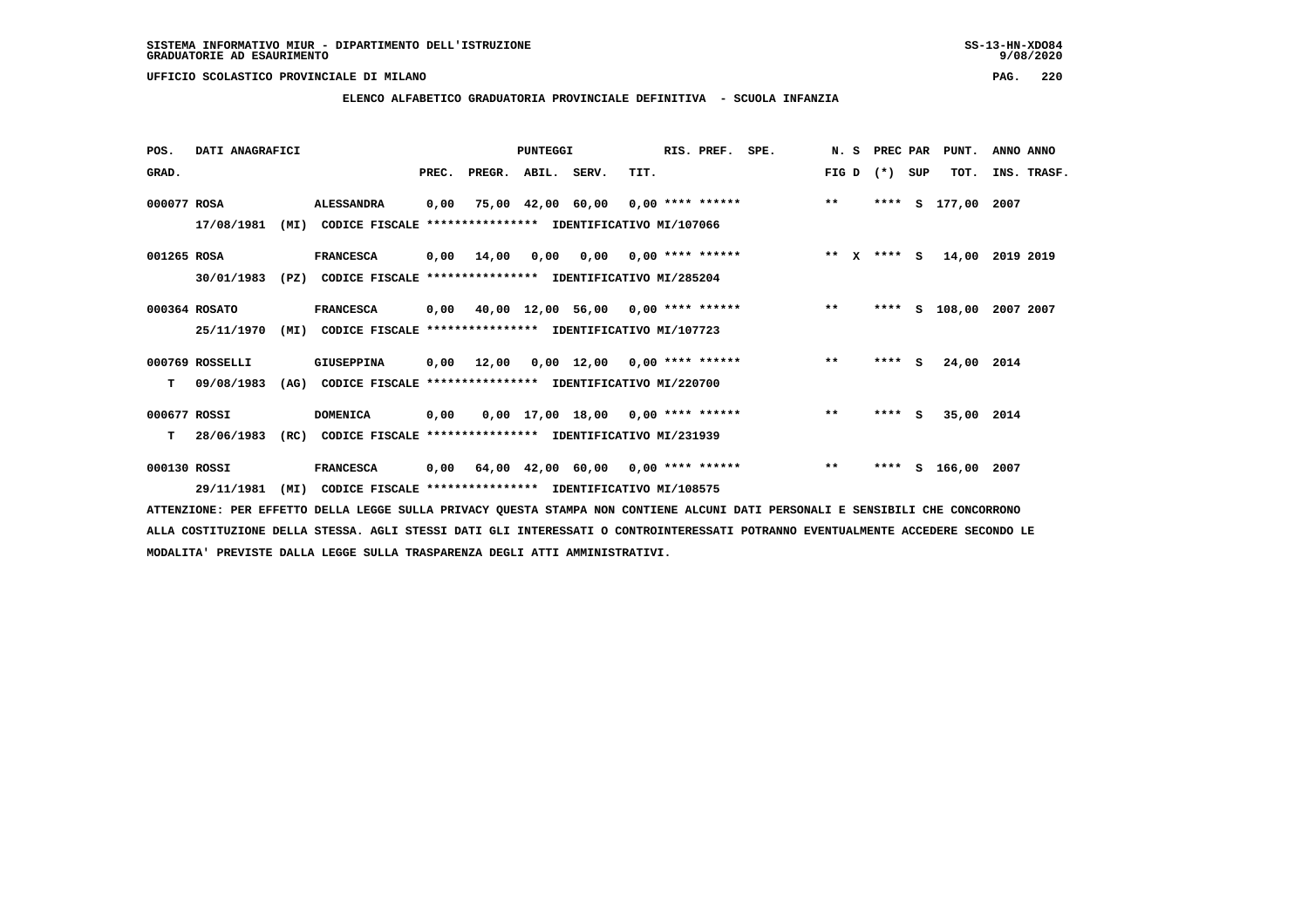### **ELENCO ALFABETICO GRADUATORIA PROVINCIALE DEFINITIVA - SCUOLA INFANZIA**

| POS.         | DATI ANAGRAFICI |      |                                                          |       |                    | PUNTEGGI |                                           |      | RIS. PREF.                | SPE.                                       | N. S  | PREC PAR    |     | PUNT.         | ANNO ANNO |             |
|--------------|-----------------|------|----------------------------------------------------------|-------|--------------------|----------|-------------------------------------------|------|---------------------------|--------------------------------------------|-------|-------------|-----|---------------|-----------|-------------|
| GRAD.        |                 |      |                                                          | PREC. | PREGR. ABIL. SERV. |          |                                           | TIT. |                           |                                            | FIG D | $(*)$       | SUP | TOT.          |           | INS. TRASF. |
| 000077 ROSA  |                 |      | <b>ALESSANDRA</b>                                        | 0,00  |                    |          |                                           |      |                           | 75,00 42,00 60,00 0,00 **** ****** *** *** |       | ****        |     | S 177,00 2007 |           |             |
|              | 17/08/1981      | (MI) | CODICE FISCALE **************** IDENTIFICATIVO MI/107066 |       |                    |          |                                           |      |                           |                                            |       |             |     |               |           |             |
| 001265 ROSA  |                 |      | <b>FRANCESCA</b>                                         |       | $0,00$ 14,00       | 0,00     |                                           |      | $0,00$ $0,00$ **** ****** |                                            |       | ** X **** S |     | 14,00         | 2019 2019 |             |
|              | 30/01/1983      | (PZ) | CODICE FISCALE **************** IDENTIFICATIVO MI/285204 |       |                    |          |                                           |      |                           |                                            |       |             |     |               |           |             |
|              | 000364 ROSATO   |      | <b>FRANCESCA</b>                                         |       |                    |          |                                           |      |                           | 0,00 40,00 12,00 56,00 0,00 **** ******    | $***$ | ****        | s   | 108,00        | 2007 2007 |             |
|              | 25/11/1970      | (MI) | CODICE FISCALE **************** IDENTIFICATIVO MI/107723 |       |                    |          |                                           |      |                           |                                            |       |             |     |               |           |             |
|              | 000769 ROSSELLI |      | GIUSEPPINA                                               | 0,00  | 12,00              |          | $0.00$ 12.00 0.00 **** ******             |      |                           |                                            | $***$ | ****        | S.  | 24,00 2014    |           |             |
| т            | 09/08/1983      | (AG) | CODICE FISCALE                                           |       |                    |          | **************** IDENTIFICATIVO MI/220700 |      |                           |                                            |       |             |     |               |           |             |
| 000677 ROSSI |                 |      | <b>DOMENICA</b>                                          | 0,00  |                    |          | $0,00$ 17,00 18,00 0,00 **** ******       |      |                           |                                            | $* *$ | ****        | - S | 35,00 2014    |           |             |
| т            | 28/06/1983      | (RC) | CODICE FISCALE **************** IDENTIFICATIVO MI/231939 |       |                    |          |                                           |      |                           |                                            |       |             |     |               |           |             |
| 000130 ROSSI |                 |      | <b>FRANCESCA</b>                                         | 0,00  |                    |          | 64,00 42,00 60,00 0,00 **** ******        |      |                           |                                            | $***$ | ****        |     | S 166,00 2007 |           |             |
|              | 29/11/1981      | (MI) | CODICE FISCALE **************** IDENTIFICATIVO MI/108575 |       |                    |          |                                           |      |                           |                                            |       |             |     |               |           |             |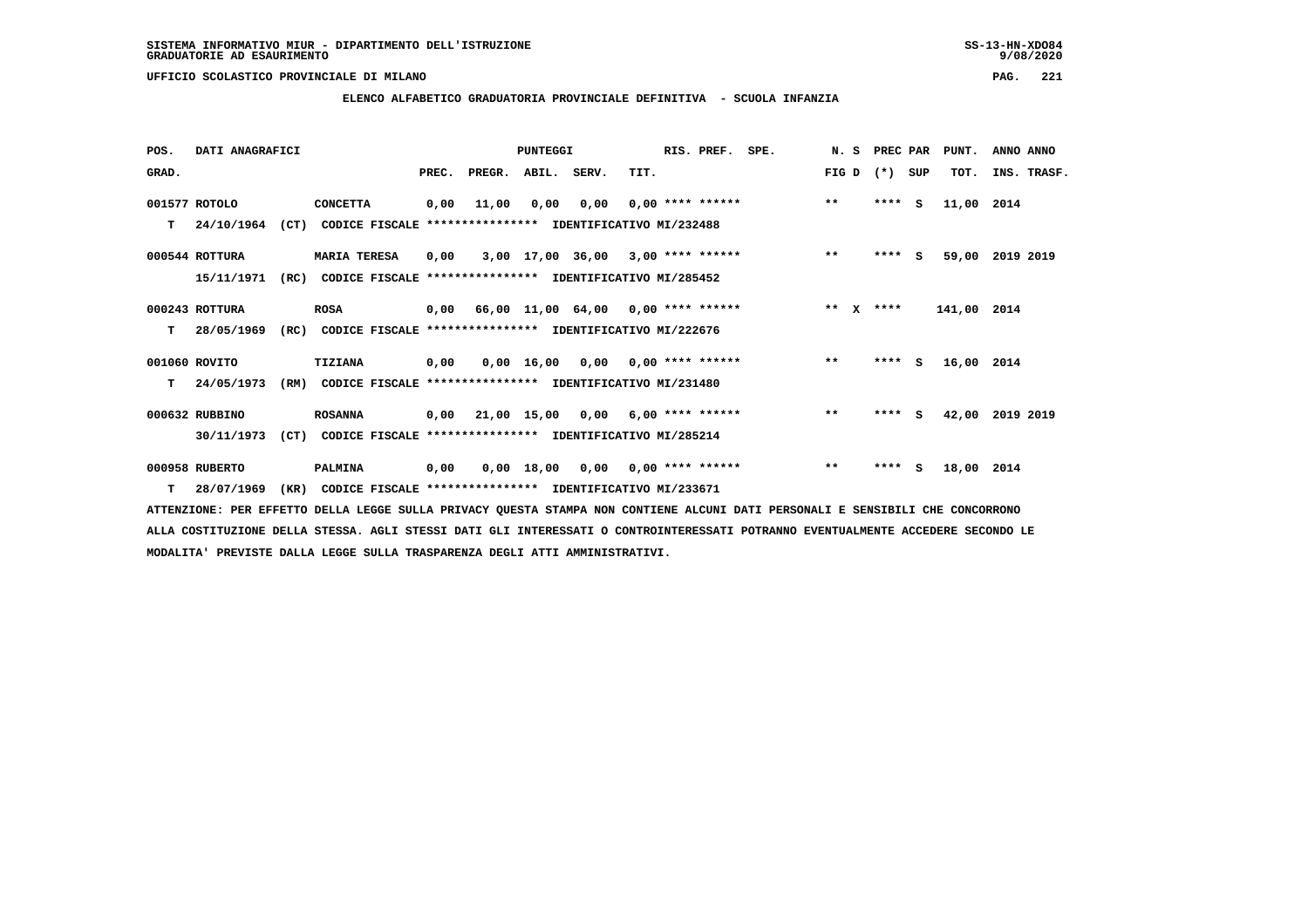**ELENCO ALFABETICO GRADUATORIA PROVINCIALE DEFINITIVA - SCUOLA INFANZIA**

| POS.  | DATI ANAGRAFICI |      |                                                               |       |                                           | PUNTEGGI    |                                     |      | RIS. PREF.         | SPE. | N.S                   | PREC PAR |          | PUNT.       | ANNO ANNO       |
|-------|-----------------|------|---------------------------------------------------------------|-------|-------------------------------------------|-------------|-------------------------------------|------|--------------------|------|-----------------------|----------|----------|-------------|-----------------|
| GRAD. |                 |      |                                                               | PREC. | PREGR.                                    | ABIL. SERV. |                                     | TIT. |                    |      | FIG D                 | $(*)$    | SUP      | TOT.        | INS. TRASF.     |
|       | 001577 ROTOLO   |      | <b>CONCETTA</b>                                               | 0,00  | 11,00                                     | 0,00        | 0,00                                |      | $0.00$ **** ****** |      | $***$                 | ****     | <b>S</b> | 11,00 2014  |                 |
| т     | 24/10/1964      |      | (CT) CODICE FISCALE **************** IDENTIFICATIVO MI/232488 |       |                                           |             |                                     |      |                    |      |                       |          |          |             |                 |
|       | 000544 ROTTURA  |      | <b>MARIA TERESA</b>                                           | 0,00  |                                           |             | $3,00$ 17,00 36,00 3,00 **** ****** |      |                    |      | $***$                 | ****     | <b>S</b> |             | 59,00 2019 2019 |
|       | 15/11/1971      | (RC) | CODICE FISCALE                                                |       | **************** IDENTIFICATIVO MI/285452 |             |                                     |      |                    |      |                       |          |          |             |                 |
|       | 000243 ROTTURA  |      | ROSA                                                          |       | $0,00$ 66,00 11,00 64,00 0,00 **** ****** |             |                                     |      |                    |      | $* *$<br>$\mathbf{x}$ | ****     |          | 141,00 2014 |                 |
| т     | 28/05/1969      | (RC) | CODICE FISCALE **************** IDENTIFICATIVO MI/222676      |       |                                           |             |                                     |      |                    |      |                       |          |          |             |                 |
|       | 001060 ROVITO   |      | <b>TIZIANA</b>                                                | 0,00  |                                           |             | $0,00$ 16,00 0,00 0,00 **** ******  |      |                    |      | $***$                 | $***$ S  |          | 16,00 2014  |                 |
| т     | 24/05/1973      | (RM) | CODICE FISCALE **************** IDENTIFICATIVO MI/231480      |       |                                           |             |                                     |      |                    |      |                       |          |          |             |                 |
|       | 000632 RUBBINO  |      | <b>ROSANNA</b>                                                |       | $0,00$ 21,00 15,00 0,00 6,00 **** ******  |             |                                     |      |                    |      | $**$                  | $***$ S  |          |             | 42,00 2019 2019 |
|       | 30/11/1973      | (CT) | CODICE FISCALE **************** IDENTIFICATIVO MI/285214      |       |                                           |             |                                     |      |                    |      |                       |          |          |             |                 |
|       | 000958 RUBERTO  |      | PALMINA                                                       | 0,00  |                                           | 0,00 18,00  | 0,00                                |      | 0,00 **** ******   |      | $***$                 | $***5$   |          | 18,00 2014  |                 |
| т     | 28/07/1969      | (KR) | CODICE FISCALE **************** IDENTIFICATIVO MI/233671      |       |                                           |             |                                     |      |                    |      |                       |          |          |             |                 |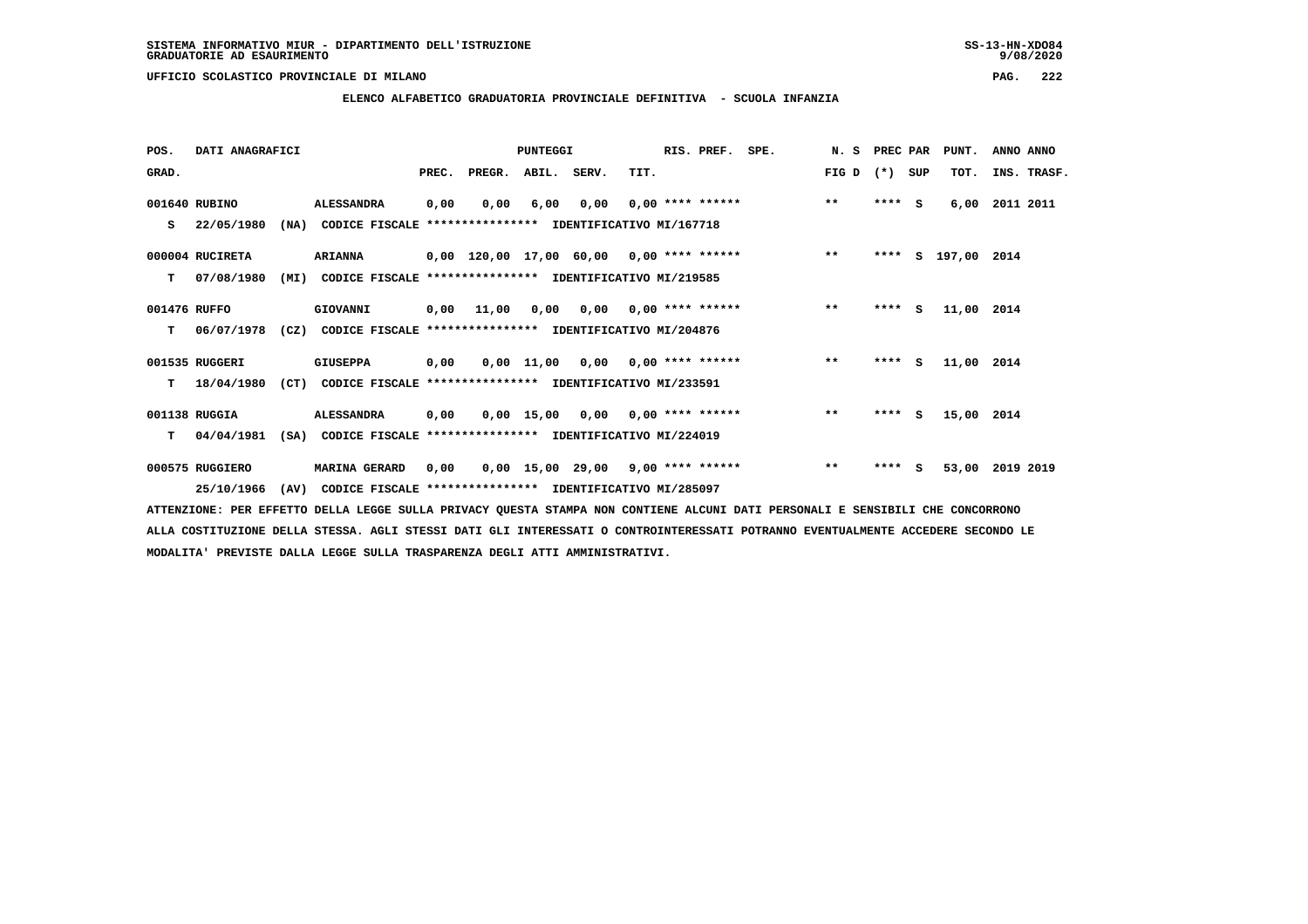### **ELENCO ALFABETICO GRADUATORIA PROVINCIALE DEFINITIVA - SCUOLA INFANZIA**

 **POS. DATI ANAGRAFICI PUNTEGGI RIS. PREF. SPE. N. S PREC PAR PUNT. ANNO ANNO**GRAD. **BRAD. PREC. PREGR. ABIL. SERV.** TIT. THE REGREATER FIG D (\*) SUP TOT. INS. TRASF.  **001640 RUBINO ALESSANDRA 0,00 0,00 6,00 0,00 0,00 \*\*\*\* \*\*\*\*\*\* \*\* \*\*\*\* S 6,00 2011 2011 S 22/05/1980 (NA) CODICE FISCALE \*\*\*\*\*\*\*\*\*\*\*\*\*\*\*\* IDENTIFICATIVO MI/167718 000004 RUCIRETA ARIANNA 0,00 120,00 17,00 60,00 0,00 \*\*\*\* \*\*\*\*\*\* \*\* \*\*\*\* S 197,00 2014 T 07/08/1980 (MI) CODICE FISCALE \*\*\*\*\*\*\*\*\*\*\*\*\*\*\*\* IDENTIFICATIVO MI/219585 001476 RUFFO GIOVANNI 0,00 11,00 0,00 0,00 0,00 \*\*\*\* \*\*\*\*\*\* \*\* \*\*\*\* S 11,00 2014 T 06/07/1978 (CZ) CODICE FISCALE \*\*\*\*\*\*\*\*\*\*\*\*\*\*\*\* IDENTIFICATIVO MI/204876 001535 RUGGERI GIUSEPPA 0,00 0,00 11,00 0,00 0,00 \*\*\*\* \*\*\*\*\*\* \*\* \*\*\*\* S 11,00 2014 T 18/04/1980 (CT) CODICE FISCALE \*\*\*\*\*\*\*\*\*\*\*\*\*\*\*\* IDENTIFICATIVO MI/233591 001138 RUGGIA ALESSANDRA 0,00 0,00 15,00 0,00 0,00 \*\*\*\* \*\*\*\*\*\* \*\* \*\*\*\* S 15,00 2014 T 04/04/1981 (SA) CODICE FISCALE \*\*\*\*\*\*\*\*\*\*\*\*\*\*\*\* IDENTIFICATIVO MI/224019 000575 RUGGIERO MARINA GERARD 0,00 0,00 15,00 29,00 9,00 \*\*\*\* \*\*\*\*\*\* \*\* \*\*\*\* S 53,00 2019 2019 25/10/1966 (AV) CODICE FISCALE \*\*\*\*\*\*\*\*\*\*\*\*\*\*\*\* IDENTIFICATIVO MI/285097**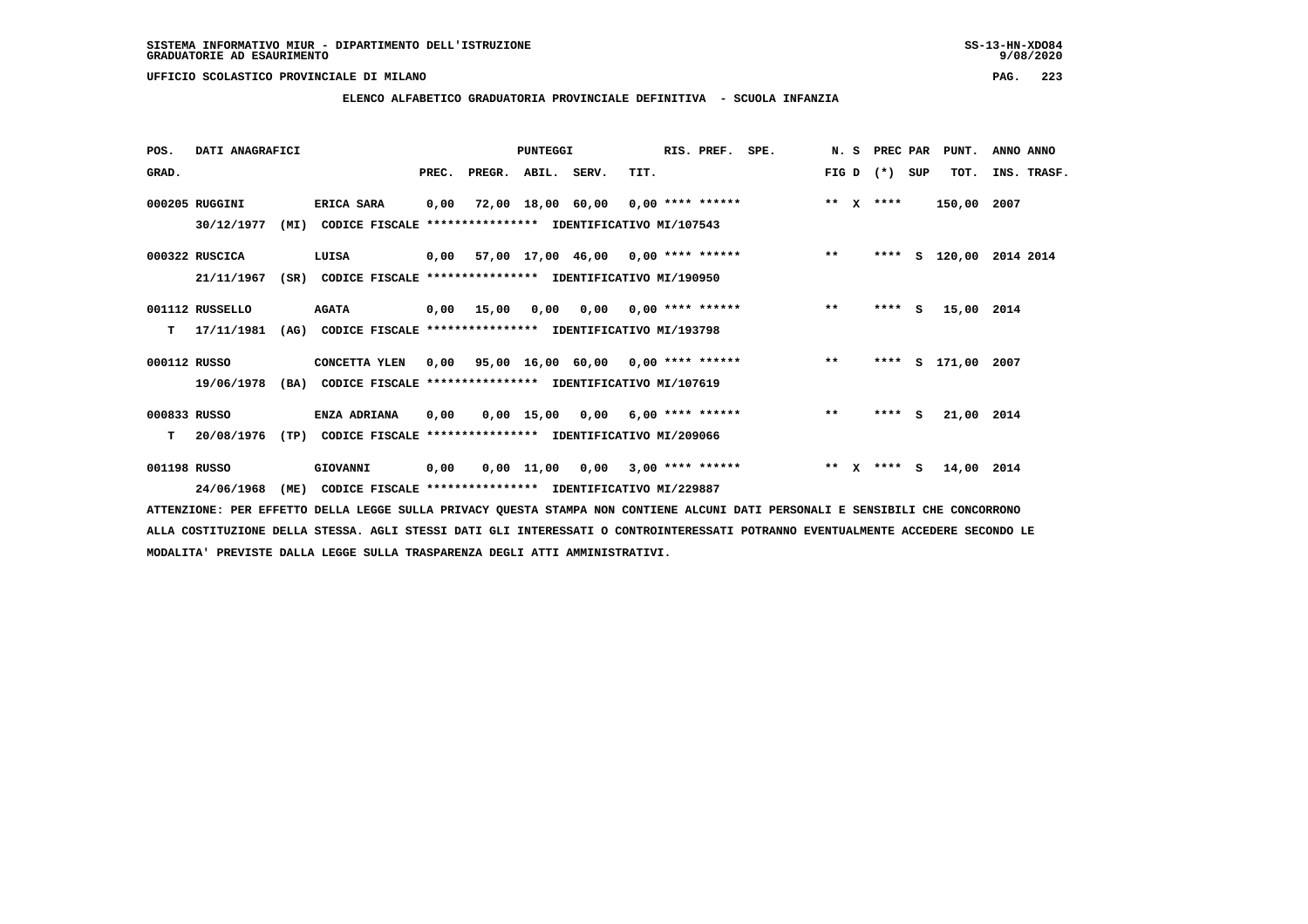$9/08/2020$ 

 **UFFICIO SCOLASTICO PROVINCIALE DI MILANO PAG. 223**

### **ELENCO ALFABETICO GRADUATORIA PROVINCIALE DEFINITIVA - SCUOLA INFANZIA**

| POS.         | DATI ANAGRAFICI |      |                                                          |       |            | PUNTEGGI           |                                    |      | RIS. PREF.         | SPE.                                    |         | N. S         | PREC PAR    |     | PUNT.              | ANNO ANNO          |
|--------------|-----------------|------|----------------------------------------------------------|-------|------------|--------------------|------------------------------------|------|--------------------|-----------------------------------------|---------|--------------|-------------|-----|--------------------|--------------------|
| GRAD.        |                 |      |                                                          | PREC. |            | PREGR. ABIL. SERV. |                                    | TIT. |                    |                                         |         |              | FIG D $(*)$ | SUP | TOT.               | INS. TRASF.        |
|              | 000205 RUGGINI  |      | ERICA SARA                                               | 0,00  |            |                    | 72,00 18,00 60,00 0,00 **** ****** |      |                    |                                         | $**$    | $\mathbf{x}$ | ****        |     | 150,00 2007        |                    |
|              | 30/12/1977      | (MI) | CODICE FISCALE **************** IDENTIFICATIVO MI/107543 |       |            |                    |                                    |      |                    |                                         |         |              |             |     |                    |                    |
|              | 000322 RUSCICA  |      | LUISA                                                    |       |            |                    |                                    |      |                    | 0,00 57,00 17,00 46,00 0,00 **** ****** | $***$   |              | ****        |     |                    | S 120,00 2014 2014 |
|              | 21/11/1967      | (SR) | CODICE FISCALE **************** IDENTIFICATIVO MI/190950 |       |            |                    |                                    |      |                    |                                         |         |              |             |     |                    |                    |
|              | 001112 RUSSELLO |      | <b>AGATA</b>                                             |       | 0,00 15,00 | 0,00               | 0,00                               |      | $0.00$ **** ****** |                                         | $***$   |              | $***$ S     |     | 15,00 2014         |                    |
| т            | 17/11/1981      | (AG) | CODICE FISCALE **************** IDENTIFICATIVO MI/193798 |       |            |                    |                                    |      |                    |                                         |         |              |             |     |                    |                    |
| 000112 RUSSO |                 |      | CONCETTA YLEN                                            | 0,00  |            |                    |                                    |      |                    | 95,00 16,00 60,00 0,00 **** ******      | $***$   |              |             |     | **** S 171,00 2007 |                    |
|              | 19/06/1978      | (BA) | CODICE FISCALE **************** IDENTIFICATIVO MI/107619 |       |            |                    |                                    |      |                    |                                         |         |              |             |     |                    |                    |
| 000833 RUSSO |                 |      | ENZA ADRIANA                                             | 0,00  |            |                    | $0,00$ 15,00 0,00 6,00 **** ****** |      |                    |                                         | $***$   |              | $***$ S     |     | 21,00 2014         |                    |
| т            | 20/08/1976      | (TP) | CODICE FISCALE **************** IDENTIFICATIVO MI/209066 |       |            |                    |                                    |      |                    |                                         |         |              |             |     |                    |                    |
| 001198 RUSSO |                 |      | GIOVANNI                                                 | 0,00  |            |                    | $0,00 \quad 11,00 \quad 0,00$      |      | $3,00$ **** ****** |                                         | $***$ X |              | $***$ S     |     | 14,00 2014         |                    |
|              | 24/06/1968      | (ME) | CODICE FISCALE **************** IDENTIFICATIVO MI/229887 |       |            |                    |                                    |      |                    |                                         |         |              |             |     |                    |                    |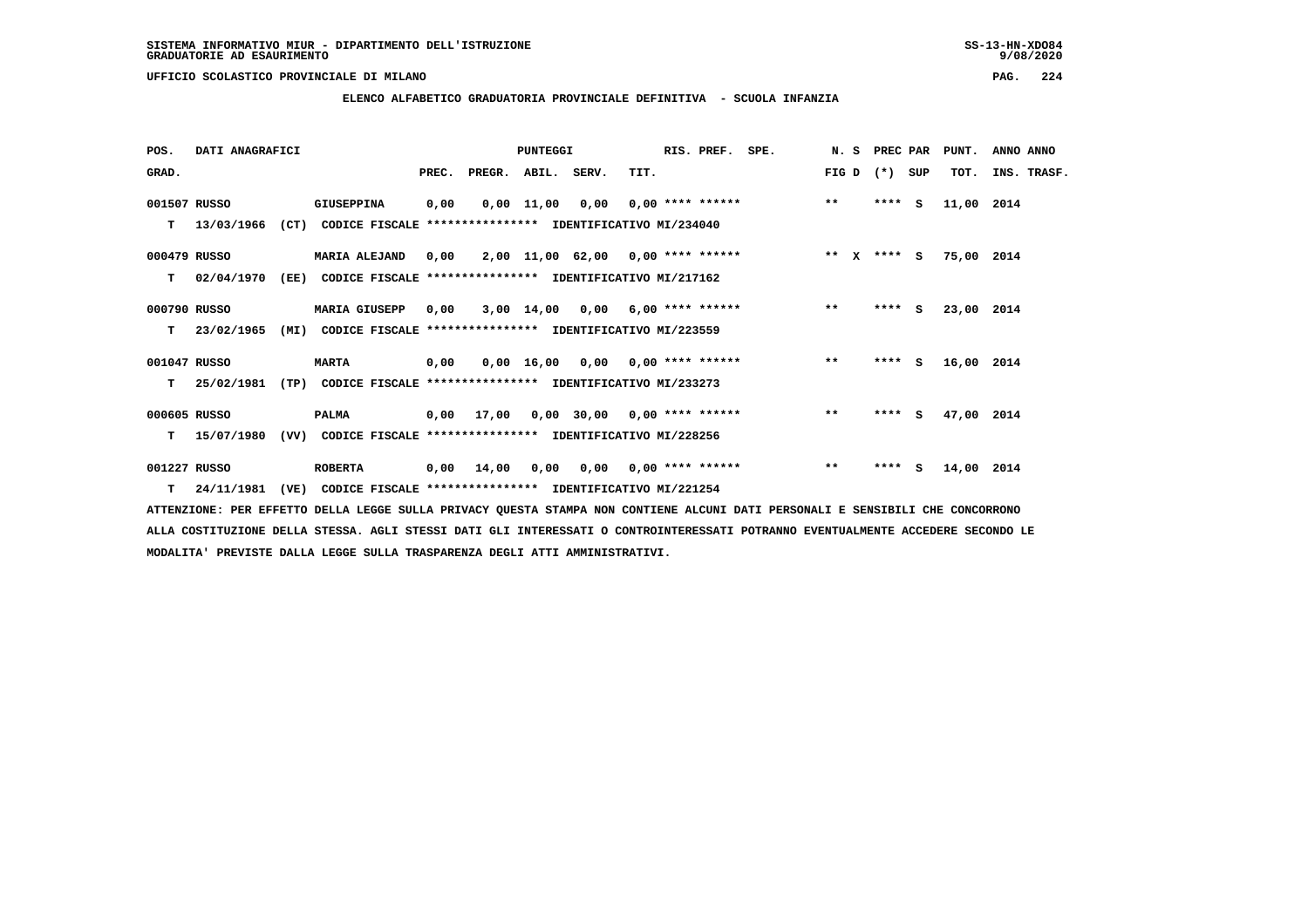**ELENCO ALFABETICO GRADUATORIA PROVINCIALE DEFINITIVA - SCUOLA INFANZIA**

 **POS. DATI ANAGRAFICI PUNTEGGI RIS. PREF. SPE. N. S PREC PAR PUNT. ANNO ANNO**GRAD. **BRAD. PREC. PREGR. ABIL. SERV.** TIT. THE REGREATER FIG D (\*) SUP TOT. INS. TRASF.  **001507 RUSSO GIUSEPPINA 0,00 0,00 11,00 0,00 0,00 \*\*\*\* \*\*\*\*\*\* \*\* \*\*\*\* S 11,00 2014 T 13/03/1966 (CT) CODICE FISCALE \*\*\*\*\*\*\*\*\*\*\*\*\*\*\*\* IDENTIFICATIVO MI/234040 000479 RUSSO MARIA ALEJAND 0,00 2,00 11,00 62,00 0,00 \*\*\*\* \*\*\*\*\*\* \*\* X \*\*\*\* S 75,00 2014 T 02/04/1970 (EE) CODICE FISCALE \*\*\*\*\*\*\*\*\*\*\*\*\*\*\*\* IDENTIFICATIVO MI/217162 000790 RUSSO MARIA GIUSEPP 0,00 3,00 14,00 0,00 6,00 \*\*\*\* \*\*\*\*\*\* \*\* \*\*\*\* S 23,00 2014 T 23/02/1965 (MI) CODICE FISCALE \*\*\*\*\*\*\*\*\*\*\*\*\*\*\*\* IDENTIFICATIVO MI/223559 001047 RUSSO MARTA 0,00 0,00 16,00 0,00 0,00 \*\*\*\* \*\*\*\*\*\* \*\* \*\*\*\* S 16,00 2014 T 25/02/1981 (TP) CODICE FISCALE \*\*\*\*\*\*\*\*\*\*\*\*\*\*\*\* IDENTIFICATIVO MI/233273**

 **000605 RUSSO PALMA 0,00 17,00 0,00 30,00 0,00 \*\*\*\* \*\*\*\*\*\* \*\* \*\*\*\* S 47,00 2014 T 15/07/1980 (VV) CODICE FISCALE \*\*\*\*\*\*\*\*\*\*\*\*\*\*\*\* IDENTIFICATIVO MI/228256**

 **001227 RUSSO ROBERTA 0,00 14,00 0,00 0,00 0,00 \*\*\*\* \*\*\*\*\*\* \*\* \*\*\*\* S 14,00 2014 T 24/11/1981 (VE) CODICE FISCALE \*\*\*\*\*\*\*\*\*\*\*\*\*\*\*\* IDENTIFICATIVO MI/221254**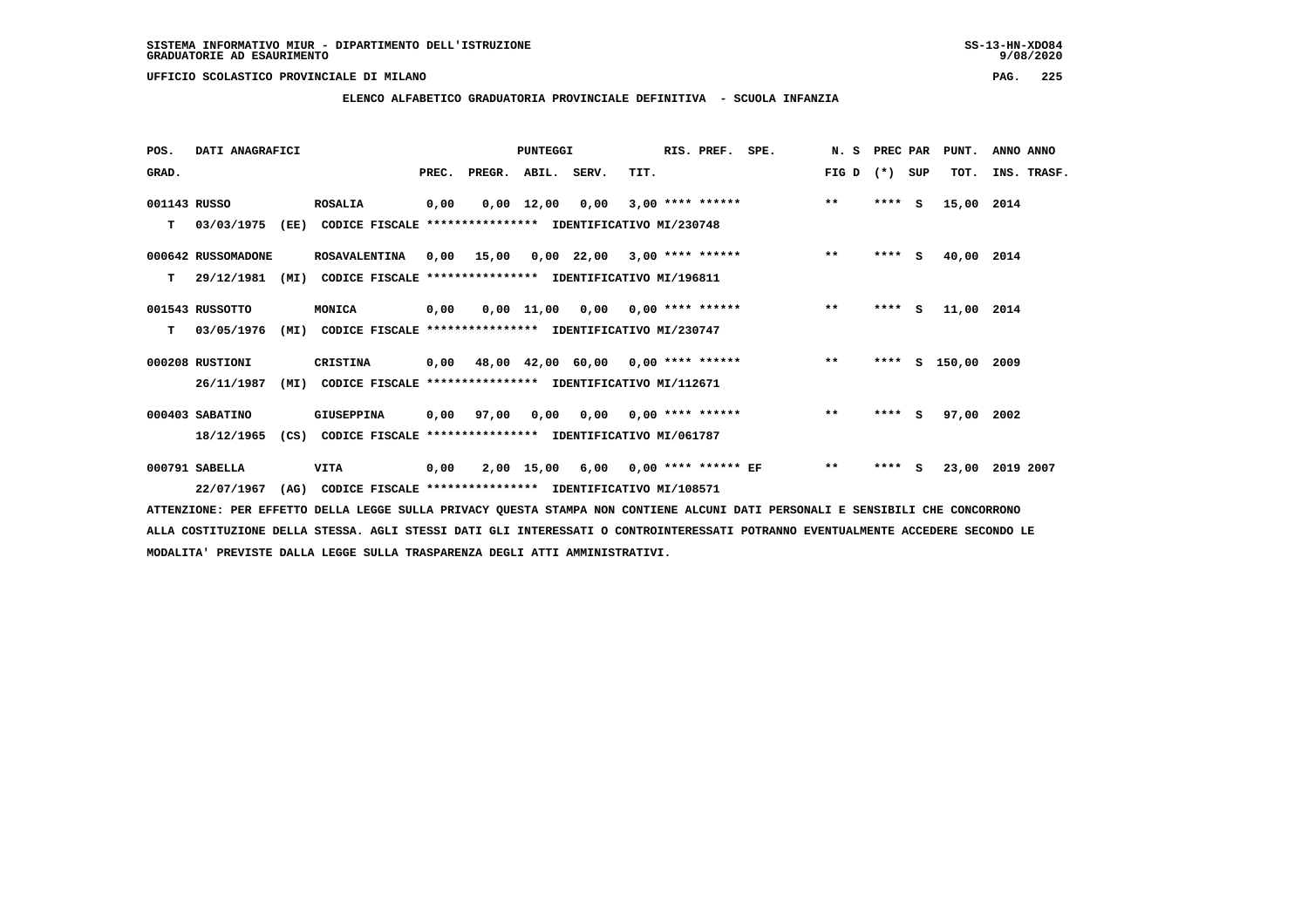**POS. DATI ANAGRAFICI PUNTEGGI RIS. PREF. SPE. N. S PREC PAR PUNT. ANNO ANNO**GRAD. **BRAD. PREC. PREGR. ABIL. SERV.** TIT. THE REGREATER FIG D (\*) SUP TOT. INS. TRASF.  **001143 RUSSO ROSALIA 0,00 0,00 12,00 0,00 3,00 \*\*\*\* \*\*\*\*\*\* \*\* \*\*\*\* S 15,00 2014 T 03/03/1975 (EE) CODICE FISCALE \*\*\*\*\*\*\*\*\*\*\*\*\*\*\*\* IDENTIFICATIVO MI/230748 000642 RUSSOMADONE ROSAVALENTINA 0,00 15,00 0,00 22,00 3,00 \*\*\*\* \*\*\*\*\*\* \*\* \*\*\*\* S 40,00 2014 T 29/12/1981 (MI) CODICE FISCALE \*\*\*\*\*\*\*\*\*\*\*\*\*\*\*\* IDENTIFICATIVO MI/196811 001543 RUSSOTTO MONICA 0,00 0,00 11,00 0,00 0,00 \*\*\*\* \*\*\*\*\*\* \*\* \*\*\*\* S 11,00 2014 T 03/05/1976 (MI) CODICE FISCALE \*\*\*\*\*\*\*\*\*\*\*\*\*\*\*\* IDENTIFICATIVO MI/230747 000208 RUSTIONI CRISTINA 0,00 48,00 42,00 60,00 0,00 \*\*\*\* \*\*\*\*\*\* \*\* \*\*\*\* S 150,00 2009 26/11/1987 (MI) CODICE FISCALE \*\*\*\*\*\*\*\*\*\*\*\*\*\*\*\* IDENTIFICATIVO MI/112671 000403 SABATINO GIUSEPPINA 0,00 97,00 0,00 0,00 0,00 \*\*\*\* \*\*\*\*\*\* \*\* \*\*\*\* S 97,00 2002 18/12/1965 (CS) CODICE FISCALE \*\*\*\*\*\*\*\*\*\*\*\*\*\*\*\* IDENTIFICATIVO MI/061787 000791 SABELLA VITA 0,00 2,00 15,00 6,00 0,00 \*\*\*\* \*\*\*\*\*\* EF \*\* \*\*\*\* S 23,00 2019 2007 22/07/1967 (AG) CODICE FISCALE \*\*\*\*\*\*\*\*\*\*\*\*\*\*\*\* IDENTIFICATIVO MI/108571**

 **ATTENZIONE: PER EFFETTO DELLA LEGGE SULLA PRIVACY QUESTA STAMPA NON CONTIENE ALCUNI DATI PERSONALI E SENSIBILI CHE CONCORRONO ALLA COSTITUZIONE DELLA STESSA. AGLI STESSI DATI GLI INTERESSATI O CONTROINTERESSATI POTRANNO EVENTUALMENTE ACCEDERE SECONDO LE MODALITA' PREVISTE DALLA LEGGE SULLA TRASPARENZA DEGLI ATTI AMMINISTRATIVI.**

## **ELENCO ALFABETICO GRADUATORIA PROVINCIALE DEFINITIVA - SCUOLA INFANZIA**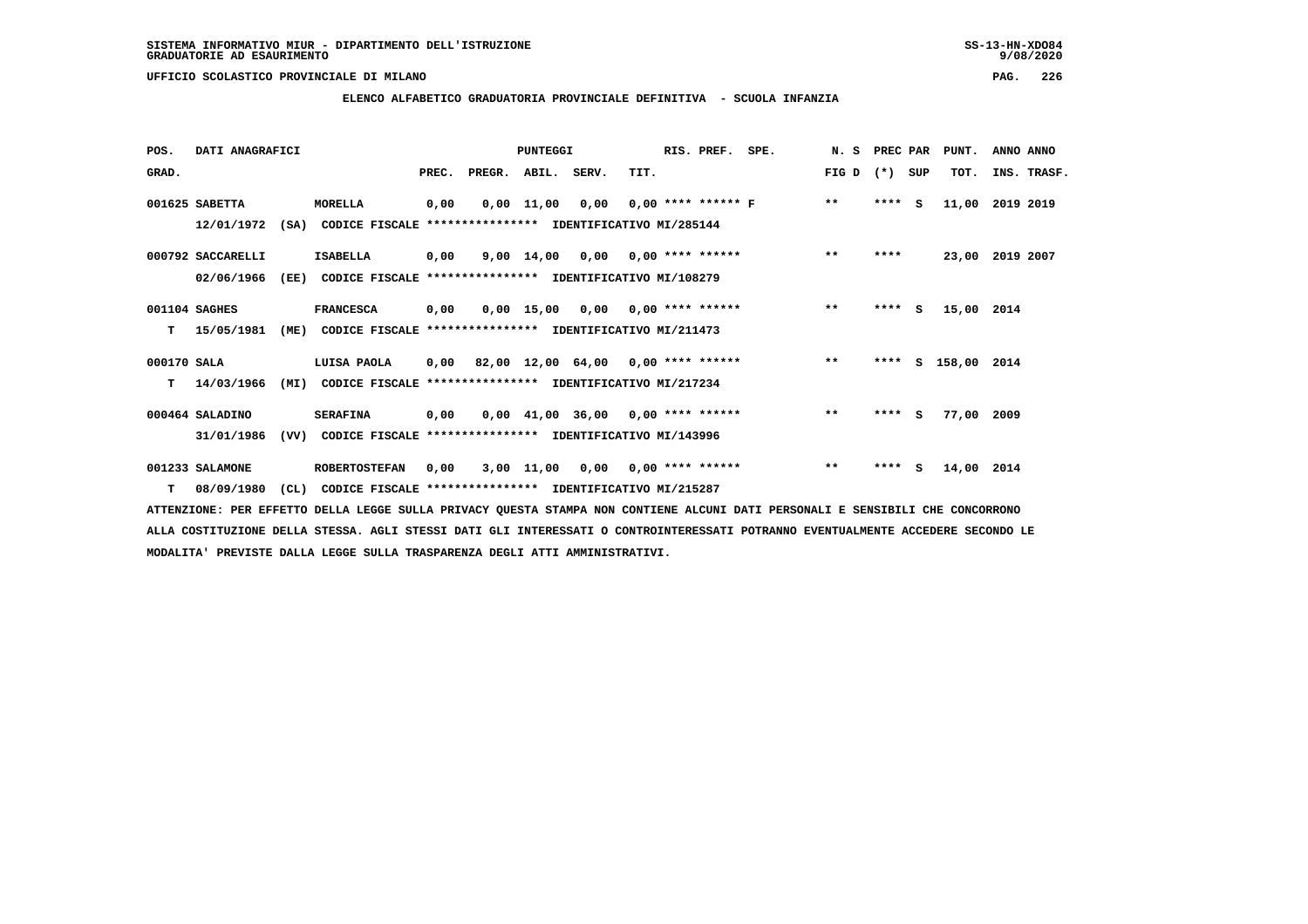### **ELENCO ALFABETICO GRADUATORIA PROVINCIALE DEFINITIVA - SCUOLA INFANZIA**

| POS.        | DATI ANAGRAFICI   |      |                                                               |       |        | <b>PUNTEGGI</b>    |                                           |      | RIS. PREF.         | SPE.                 | N.S          | PREC PAR |     | PUNT.              | ANNO ANNO       |
|-------------|-------------------|------|---------------------------------------------------------------|-------|--------|--------------------|-------------------------------------------|------|--------------------|----------------------|--------------|----------|-----|--------------------|-----------------|
| GRAD.       |                   |      |                                                               | PREC. | PREGR. | ABIL. SERV.        |                                           | TIT. |                    |                      | FIG D        | $(*)$    | SUP | TOT.               | INS. TRASF.     |
|             | 001625 SABETTA    |      | MORELLA                                                       | 0,00  |        | $0,00 \quad 11,00$ | 0,00                                      |      |                    | $0.00$ **** ****** F | $* *$        | $***$ S  |     | 11,00              | 2019 2019       |
|             | 12/01/1972        |      | (SA) CODICE FISCALE **************** IDENTIFICATIVO MI/285144 |       |        |                    |                                           |      |                    |                      |              |          |     |                    |                 |
|             | 000792 SACCARELLI |      | <b>ISABELLA</b>                                               | 0,00  |        |                    | $9,00$ $14,00$ $0,00$                     |      | $0.00$ **** ****** |                      | $* *$        | ****     |     |                    | 23,00 2019 2007 |
|             | 02/06/1966        | (EE) | CODICE FISCALE                                                |       |        |                    | **************** IDENTIFICATIVO MI/108279 |      |                    |                      |              |          |     |                    |                 |
|             | 001104 SAGHES     |      | <b>FRANCESCA</b>                                              | 0,00  |        |                    | 0,00 15,00 0,00                           |      | $0.00$ **** ****** |                      | $***$        | ****     | s   | 15,00 2014         |                 |
| т           | 15/05/1981        | (ME) | CODICE FISCALE **************** IDENTIFICATIVO MI/211473      |       |        |                    |                                           |      |                    |                      |              |          |     |                    |                 |
| 000170 SALA |                   |      | LUISA PAOLA                                                   | 0,00  |        |                    | 82,00 12,00 64,00 0,00 **** ******        |      |                    |                      | $***$        |          |     | **** S 158,00 2014 |                 |
| т           | 14/03/1966        | (MI) | CODICE FISCALE                                                |       |        |                    | **************** IDENTIFICATIVO MI/217234 |      |                    |                      |              |          |     |                    |                 |
|             | 000464 SALADINO   |      | <b>SERAFINA</b>                                               | 0,00  |        |                    | $0,00$ 41,00 36,00 0,00 **** ******       |      |                    |                      | $\star\star$ | $***$ S  |     | 77,00              | 2009            |
|             | 31/01/1986        | (VV) | CODICE FISCALE **************** IDENTIFICATIVO MI/143996      |       |        |                    |                                           |      |                    |                      |              |          |     |                    |                 |
|             | 001233 SALAMONE   |      | <b>ROBERTOSTEFAN</b>                                          | 0,00  |        |                    | 3,00 11,00 0,00                           |      | $0.00$ **** ****** |                      | $\star\star$ | $***$ S  |     | 14,00              | 2014            |
| T.          | 08/09/1980        | CL)  | CODICE FISCALE **************** IDENTIFICATIVO MI/215287      |       |        |                    |                                           |      |                    |                      |              |          |     |                    |                 |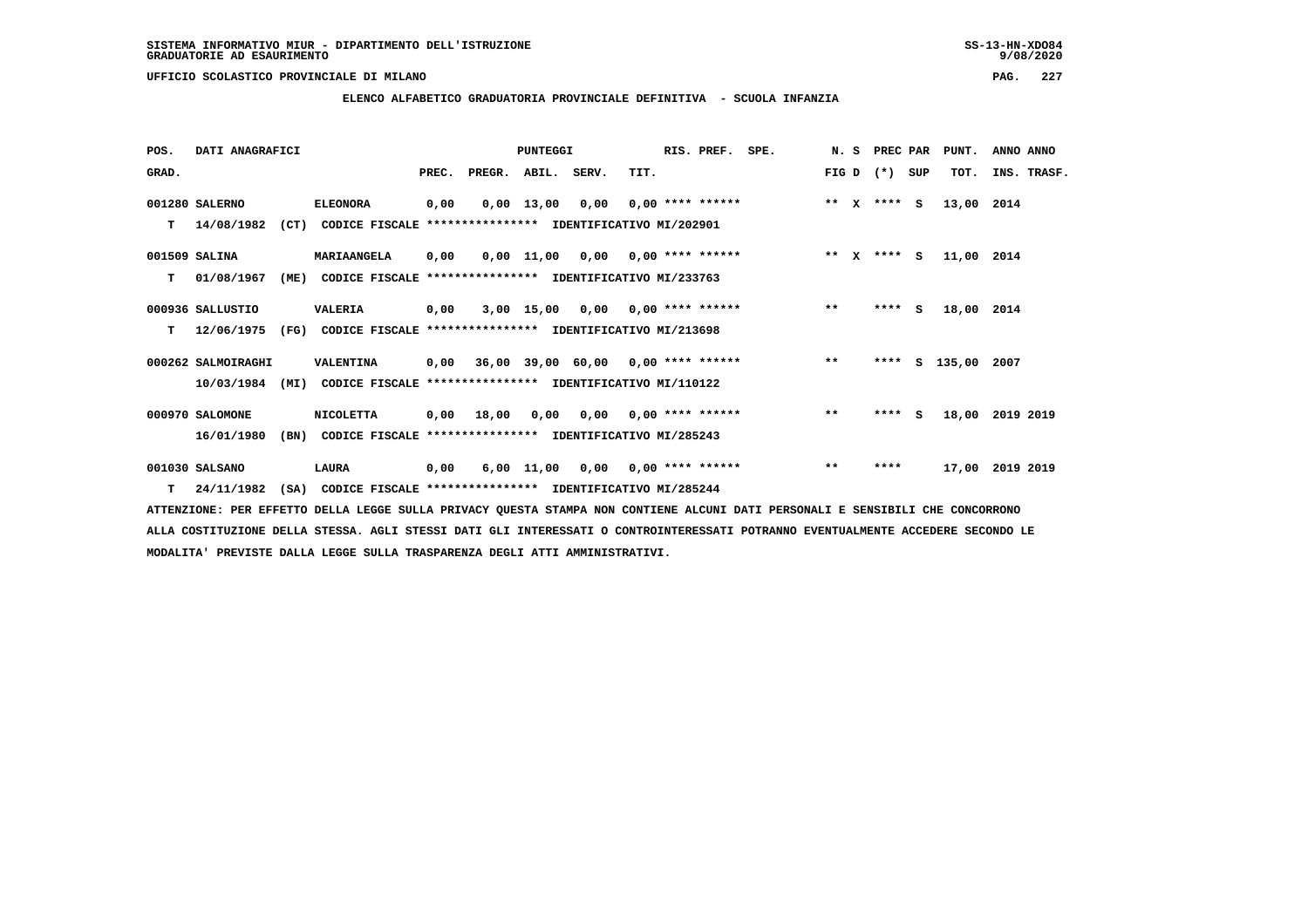**ELENCO ALFABETICO GRADUATORIA PROVINCIALE DEFINITIVA - SCUOLA INFANZIA**

| POS.  | DATI ANAGRAFICI    |      |                                                          |       |        | <b>PUNTEGGI</b> |                                            |      | RIS. PREF.                | SPE. | N.S   |              | PREC PAR        |     | PUNT.      | ANNO ANNO   |
|-------|--------------------|------|----------------------------------------------------------|-------|--------|-----------------|--------------------------------------------|------|---------------------------|------|-------|--------------|-----------------|-----|------------|-------------|
| GRAD. |                    |      |                                                          | PREC. | PREGR. | ABIL. SERV.     |                                            | TIT. |                           |      | FIG D |              | $(* )$          | SUP | TOT.       | INS. TRASF. |
|       | 001280 SALERNO     |      | <b>ELEONORA</b>                                          | 0,00  |        | $0,00$ 13,00    | 0,00                                       |      | $0,00$ **** ******        |      | $* *$ | $\mathbf{x}$ | $***$ S         |     | 13,00      | 2014        |
| т     | 14/08/1982         | (CT) | CODICE FISCALE **************** IDENTIFICATIVO MI/202901 |       |        |                 |                                            |      |                           |      |       |              |                 |     |            |             |
|       | 001509 SALINA      |      | MARIAANGELA                                              | 0,00  |        | 0,00 11,00      |                                            |      | $0,00$ $0,00$ **** ****** |      |       |              | ** $X$ **** $S$ |     | 11,00 2014 |             |
| т     | 01/08/1967         | (ME) | CODICE FISCALE                                           |       |        |                 | **************** IDENTIFICATIVO MI/233763  |      |                           |      |       |              |                 |     |            |             |
|       | 000936 SALLUSTIO   |      | <b>VALERIA</b>                                           | 0,00  |        | 3,00 15,00      |                                            |      | $0,00$ $0,00$ **** ****** |      | $**$  |              | ****            | S.  | 18,00 2014 |             |
| т     | 12/06/1975         | (FG) | CODICE FISCALE **************** IDENTIFICATIVO MI/213698 |       |        |                 |                                            |      |                           |      |       |              |                 |     |            |             |
|       | 000262 SALMOIRAGHI |      | VALENTINA                                                | 0,00  |        |                 | $36,00$ $39,00$ $60,00$ $0,00$ **** ****** |      |                           |      | $***$ |              | ****            |     | S 135,00   | 2007        |
|       | 10/03/1984         | (MI) | CODICE FISCALE **************** IDENTIFICATIVO MI/110122 |       |        |                 |                                            |      |                           |      |       |              |                 |     |            |             |
|       | 000970 SALOMONE    |      | <b>NICOLETTA</b>                                         | 0,00  | 18,00  | 0,00            |                                            |      | $0,00$ $0,00$ **** ****** |      | $**$  |              | $***$ S         |     | 18,00      | 2019 2019   |
|       | 16/01/1980         | (BN) | CODICE FISCALE **************** IDENTIFICATIVO MI/285243 |       |        |                 |                                            |      |                           |      |       |              |                 |     |            |             |
|       | 001030 SALSANO     |      | LAURA                                                    | 0,00  |        | $6,00$ 11,00    | 0,00                                       |      | $0.00$ **** ******        |      | $***$ |              | ****            |     | 17,00      | 2019 2019   |
| т     | 24/11/1982         | (SA) | CODICE FISCALE **************** IDENTIFICATIVO MI/285244 |       |        |                 |                                            |      |                           |      |       |              |                 |     |            |             |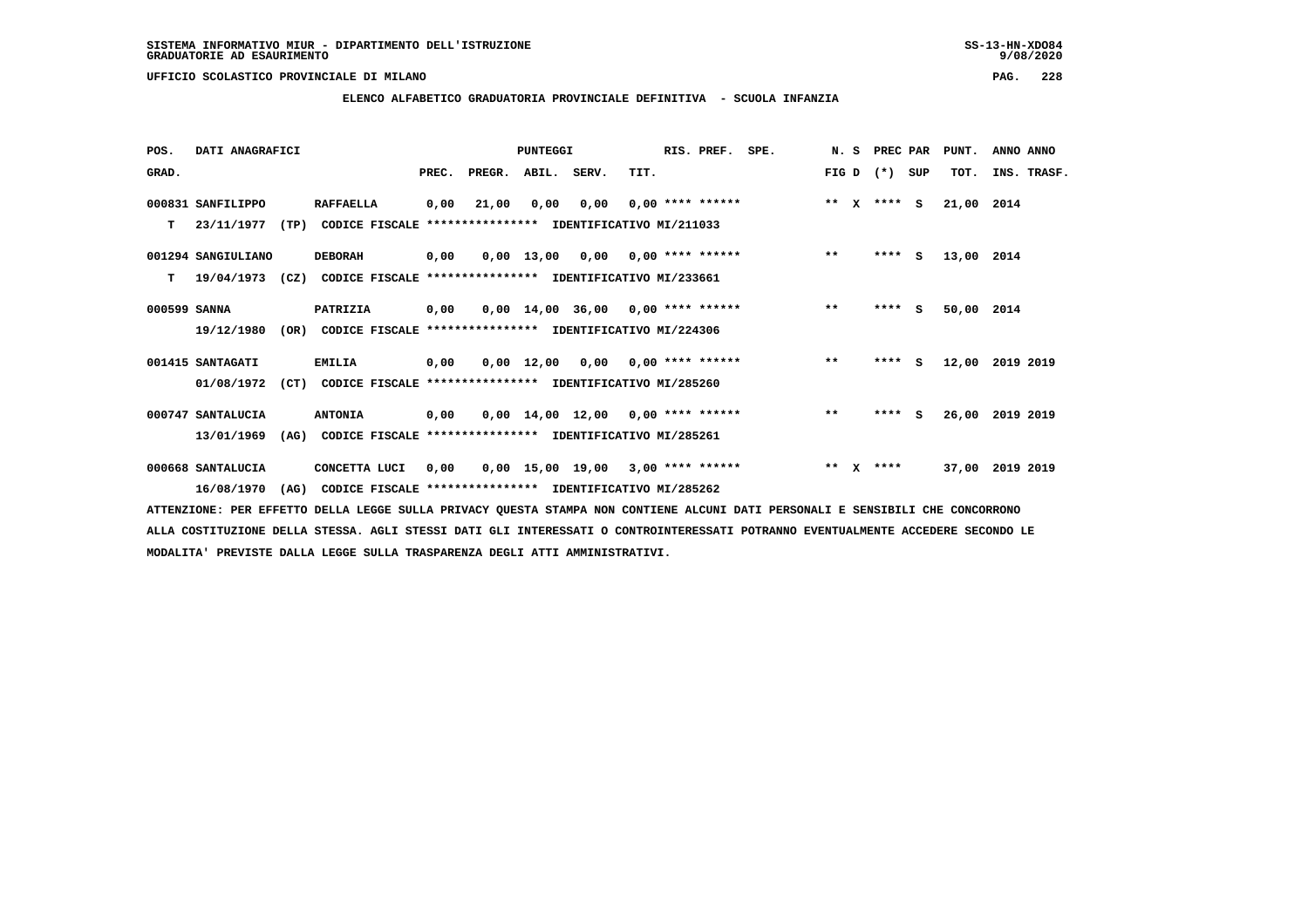**ELENCO ALFABETICO GRADUATORIA PROVINCIALE DEFINITIVA - SCUOLA INFANZIA**

 **POS. DATI ANAGRAFICI PUNTEGGI RIS. PREF. SPE. N. S PREC PAR PUNT. ANNO ANNO**GRAD. **PREGRADE SERVEGER. ABIL. SERV. TIT.** FIG D (\*) SUP TOT. INS. TRASF.  **000831 SANFILIPPO RAFFAELLA 0,00 21,00 0,00 0,00 0,00 \*\*\*\* \*\*\*\*\*\* \*\* X \*\*\*\* S 21,00 2014 T 23/11/1977 (TP) CODICE FISCALE \*\*\*\*\*\*\*\*\*\*\*\*\*\*\*\* IDENTIFICATIVO MI/211033 001294 SANGIULIANO DEBORAH 0,00 0,00 13,00 0,00 0,00 \*\*\*\* \*\*\*\*\*\* \*\* \*\*\*\* S 13,00 2014 T 19/04/1973 (CZ) CODICE FISCALE \*\*\*\*\*\*\*\*\*\*\*\*\*\*\*\* IDENTIFICATIVO MI/233661 000599 SANNA PATRIZIA 0,00 0,00 14,00 36,00 0,00 \*\*\*\* \*\*\*\*\*\* \*\* \*\*\*\* S 50,00 2014 19/12/1980 (OR) CODICE FISCALE \*\*\*\*\*\*\*\*\*\*\*\*\*\*\*\* IDENTIFICATIVO MI/224306 001415 SANTAGATI EMILIA 0,00 0,00 12,00 0,00 0,00 \*\*\*\* \*\*\*\*\*\* \*\* \*\*\*\* S 12,00 2019 2019 01/08/1972 (CT) CODICE FISCALE \*\*\*\*\*\*\*\*\*\*\*\*\*\*\*\* IDENTIFICATIVO MI/285260 000747 SANTALUCIA ANTONIA 0,00 0,00 14,00 12,00 0,00 \*\*\*\* \*\*\*\*\*\* \*\* \*\*\*\* S 26,00 2019 2019 13/01/1969 (AG) CODICE FISCALE \*\*\*\*\*\*\*\*\*\*\*\*\*\*\*\* IDENTIFICATIVO MI/285261**000668 SANTALUCIA CONCETTA LUCI 0,00 0,00 15,00 19,00 3,00 \*\*\*\* \*\*\*\*\*\* \*\* \*\*\*\* 37,00 2019 2019

 **16/08/1970 (AG) CODICE FISCALE \*\*\*\*\*\*\*\*\*\*\*\*\*\*\*\* IDENTIFICATIVO MI/285262**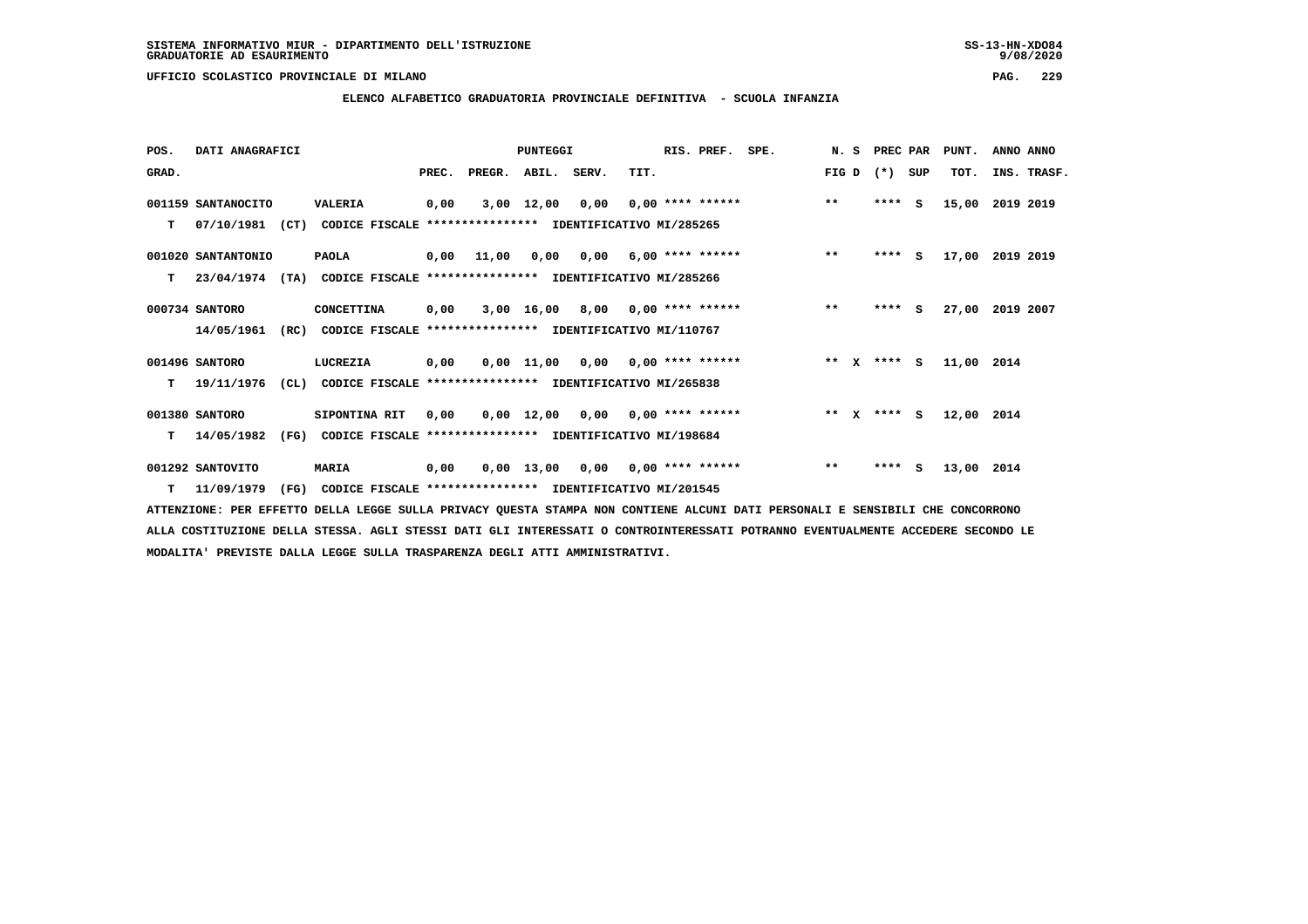**ELENCO ALFABETICO GRADUATORIA PROVINCIALE DEFINITIVA - SCUOLA INFANZIA**

| POS.  | DATI ANAGRAFICI    |                                                                  |       |        | PUNTEGGI           |      |                                    | RIS. PREF. | SPE. | N.S                   | PREC PAR |     | PUNT.      | ANNO ANNO   |
|-------|--------------------|------------------------------------------------------------------|-------|--------|--------------------|------|------------------------------------|------------|------|-----------------------|----------|-----|------------|-------------|
| GRAD. |                    |                                                                  | PREC. | PREGR. | ABIL. SERV.        |      | TIT.                               |            |      | FIG D                 | $(*)$    | SUP | TOT.       | INS. TRASF. |
|       | 001159 SANTANOCITO | VALERIA                                                          | 0,00  |        | $3,00$ 12,00       | 0,00 | $0,00$ **** ******                 |            |      | $***$                 | ****     | s   | 15,00      | 2019 2019   |
| т     | 07/10/1981         | (CT)<br>CODICE FISCALE **************** IDENTIFICATIVO MI/285265 |       |        |                    |      |                                    |            |      |                       |          |     |            |             |
|       | 001020 SANTANTONIO | <b>PAOLA</b>                                                     | 0,00  | 11,00  | 0,00               |      | $0,00$ 6,00 **** ******            |            |      | $**$                  | **** S   |     | 17,00      | 2019 2019   |
| т     | 23/04/1974         | (TA)<br>CODICE FISCALE **************** IDENTIFICATIVO MI/285266 |       |        |                    |      |                                    |            |      |                       |          |     |            |             |
|       | 000734 SANTORO     | CONCETTINA                                                       | 0,00  |        |                    |      | $3,00$ 16,00 8,00 0,00 **** ****** |            |      | $* *$                 | $***$ S  |     | 27,00      | 2019 2007   |
|       | 14/05/1961         | (RC)<br>CODICE FISCALE **************** IDENTIFICATIVO MI/110767 |       |        |                    |      |                                    |            |      |                       |          |     |            |             |
|       | 001496 SANTORO     | LUCREZIA                                                         | 0,00  |        | $0,00$ 11,00       | 0,00 | 0,00 **** ******                   |            |      | $***$<br>$\mathbf{x}$ | $***$ S  |     | 11,00      | 2014        |
| т     | 19/11/1976         | (CL) CODICE FISCALE **************** IDENTIFICATIVO MI/265838    |       |        |                    |      |                                    |            |      |                       |          |     |            |             |
|       | 001380 SANTORO     | SIPONTINA RIT                                                    | 0,00  |        |                    |      | $0,00$ 12,00 0,00 0,00 **** ****** |            |      | ** $X$ **** S         |          |     | 12,00 2014 |             |
| т     | 14/05/1982         | (FG)<br>CODICE FISCALE **************** IDENTIFICATIVO MI/198684 |       |        |                    |      |                                    |            |      |                       |          |     |            |             |
|       | 001292 SANTOVITO   | <b>MARIA</b>                                                     | 0,00  |        | $0,00 \quad 13,00$ | 0,00 | $0,00$ **** ******                 |            |      | $***$                 | ****     | s   | 13,00 2014 |             |
| т     | 11/09/1979         | (FG)<br>CODICE FISCALE **************** IDENTIFICATIVO MI/201545 |       |        |                    |      |                                    |            |      |                       |          |     |            |             |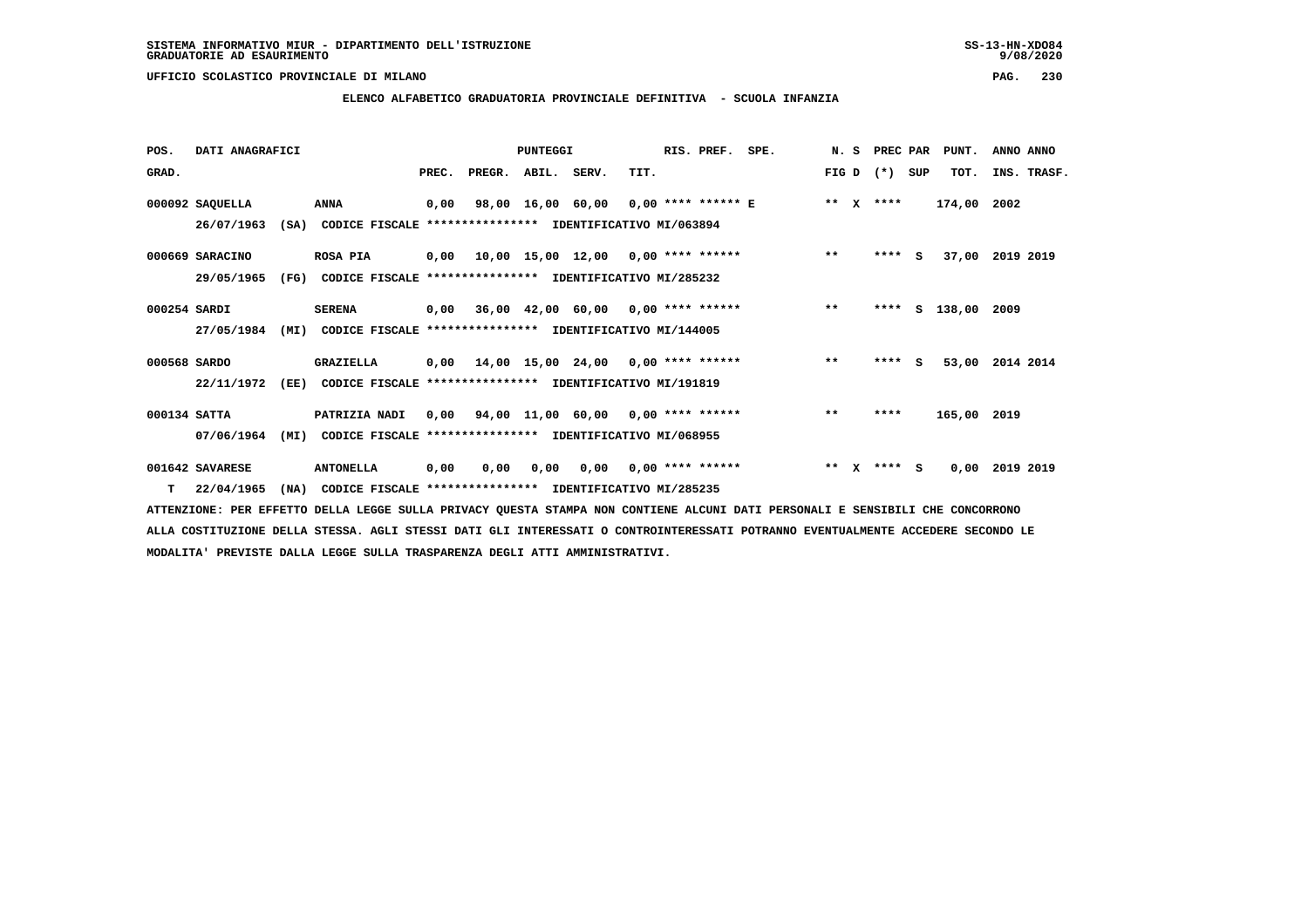$9/08/2020$ 

 **UFFICIO SCOLASTICO PROVINCIALE DI MILANO PAG. 230**

### **ELENCO ALFABETICO GRADUATORIA PROVINCIALE DEFINITIVA - SCUOLA INFANZIA**

| POS.         | DATI ANAGRAFICI |      |                                                               |       |                    | PUNTEGGI |                                                   |      | RIS. PREF.                | SPE.                                 |              |              | N. S PREC PAR |     | PUNT.         | ANNO ANNO       |
|--------------|-----------------|------|---------------------------------------------------------------|-------|--------------------|----------|---------------------------------------------------|------|---------------------------|--------------------------------------|--------------|--------------|---------------|-----|---------------|-----------------|
| GRAD.        |                 |      |                                                               | PREC. | PREGR. ABIL. SERV. |          |                                                   | TIT. |                           |                                      |              |              | FIG D $(*)$   | SUP | TOT.          | INS. TRASF.     |
|              | 000092 SAQUELLA |      | ANNA                                                          | 0,00  |                    |          |                                                   |      |                           | 98,00 16,00 60,00 0,00 **** ****** E |              |              | ** x ****     |     | 174,00 2002   |                 |
|              | 26/07/1963      |      | (SA) CODICE FISCALE **************** IDENTIFICATIVO MI/063894 |       |                    |          |                                                   |      |                           |                                      |              |              |               |     |               |                 |
|              | 000669 SARACINO |      | <b>ROSA PIA</b>                                               |       |                    |          | 0,00  10,00  15,00  12,00  0,00  ****  ******     |      |                           |                                      | $***$        |              | $***$ S       |     |               | 37,00 2019 2019 |
|              | 29/05/1965      | (FG) | CODICE FISCALE **************** IDENTIFICATIVO MI/285232      |       |                    |          |                                                   |      |                           |                                      |              |              |               |     |               |                 |
| 000254 SARDI |                 |      | <b>SERENA</b>                                                 |       |                    |          | $0,00$ 36,00 42,00 60,00 0,00 **** ******         |      |                           | $\star \star$                        |              |              | ****          |     | S 138,00 2009 |                 |
|              | 27/05/1984      | (MI) | CODICE FISCALE **************** IDENTIFICATIVO MI/144005      |       |                    |          |                                                   |      |                           |                                      |              |              |               |     |               |                 |
| 000568 SARDO |                 |      | <b>GRAZIELLA</b>                                              |       |                    |          | $0.00$ 14.00 15.00 24.00 0.00 **** ******         |      |                           |                                      | $***$        |              | $***$ S       |     | 53,00         | 2014 2014       |
|              | 22/11/1972      | (EE) | CODICE FISCALE **************** IDENTIFICATIVO MI/191819      |       |                    |          |                                                   |      |                           |                                      |              |              |               |     |               |                 |
| 000134 SATTA |                 |      | <b>PATRIZIA NADI</b>                                          |       |                    |          | $0,00$ $94,00$ $11,00$ $60,00$ $0,00$ **** ****** |      |                           |                                      | $***$        |              | ****          |     | 165,00 2019   |                 |
|              | 07/06/1964      | (MI) | CODICE FISCALE **************** IDENTIFICATIVO MI/068955      |       |                    |          |                                                   |      |                           |                                      |              |              |               |     |               |                 |
|              | 001642 SAVARESE |      | <b>ANTONELLA</b>                                              | 0,00  | 0,00               | 0,00     |                                                   |      | $0,00$ $0,00$ **** ****** |                                      | $\star\star$ | $\mathbf{x}$ | $***$ S       |     | 0,00          | 2019 2019       |
| T.           | 22/04/1965      | (NA) | CODICE FISCALE **************** IDENTIFICATIVO MI/285235      |       |                    |          |                                                   |      |                           |                                      |              |              |               |     |               |                 |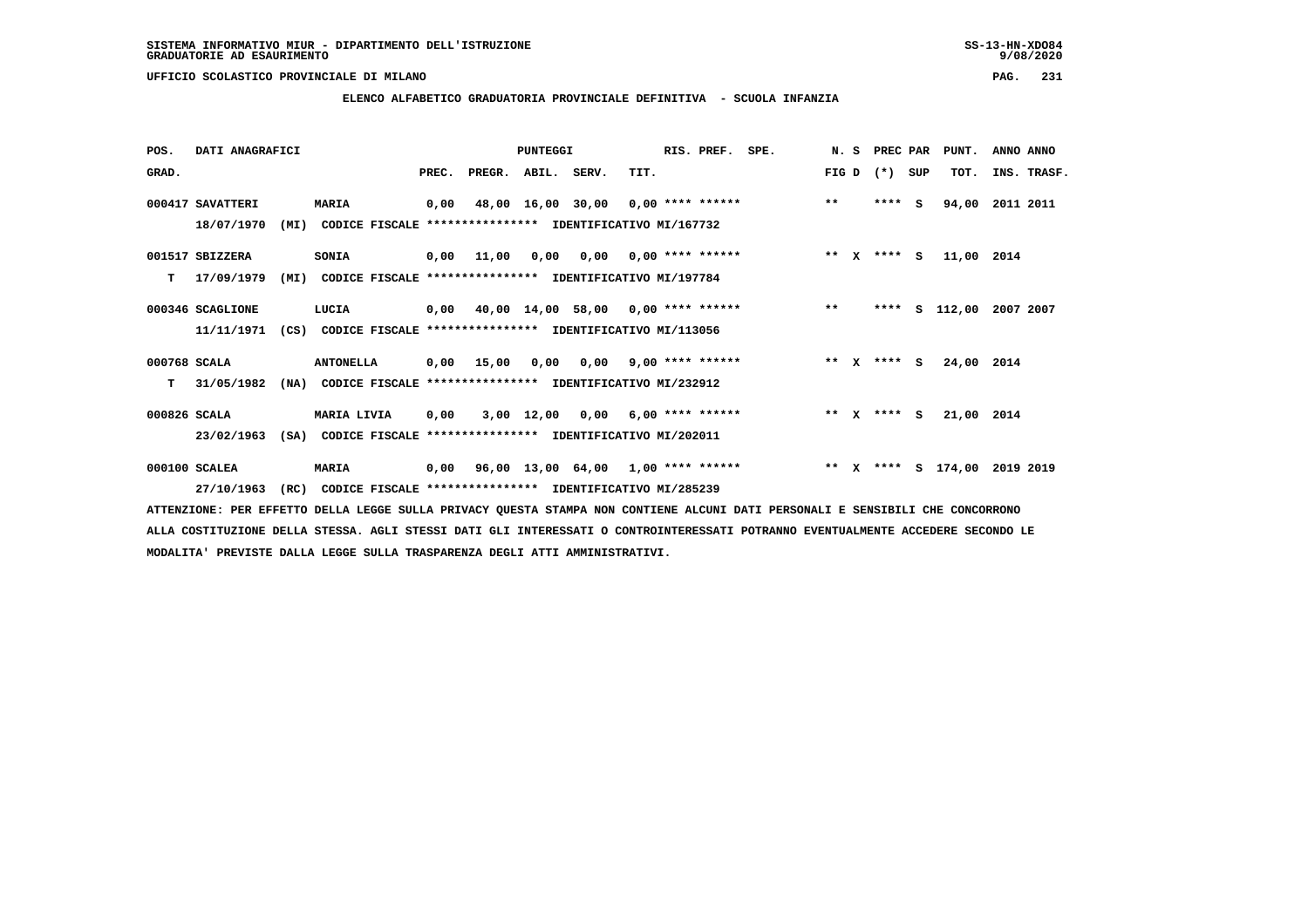**ELENCO ALFABETICO GRADUATORIA PROVINCIALE DEFINITIVA - SCUOLA INFANZIA**

 **POS. DATI ANAGRAFICI PUNTEGGI RIS. PREF. SPE. N. S PREC PAR PUNT. ANNO ANNO**GRAD. **BRAD. PREC. PREGR. ABIL. SERV.** TIT. THE REGREATER FIG D (\*) SUP TOT. INS. TRASF.  **000417 SAVATTERI MARIA 0,00 48,00 16,00 30,00 0,00 \*\*\*\* \*\*\*\*\*\* \*\* \*\*\*\* S 94,00 2011 2011 18/07/1970 (MI) CODICE FISCALE \*\*\*\*\*\*\*\*\*\*\*\*\*\*\*\* IDENTIFICATIVO MI/167732 001517 SBIZZERA SONIA 0,00 11,00 0,00 0,00 0,00 \*\*\*\* \*\*\*\*\*\* \*\* X \*\*\*\* S 11,00 2014 T 17/09/1979 (MI) CODICE FISCALE \*\*\*\*\*\*\*\*\*\*\*\*\*\*\*\* IDENTIFICATIVO MI/197784 000346 SCAGLIONE LUCIA 0,00 40,00 14,00 58,00 0,00 \*\*\*\* \*\*\*\*\*\* \*\* \*\*\*\* S 112,00 2007 2007 11/11/1971 (CS) CODICE FISCALE \*\*\*\*\*\*\*\*\*\*\*\*\*\*\*\* IDENTIFICATIVO MI/113056**

 **000768 SCALA ANTONELLA 0,00 15,00 0,00 0,00 9,00 \*\*\*\* \*\*\*\*\*\* \*\* X \*\*\*\* S 24,00 2014 T 31/05/1982 (NA) CODICE FISCALE \*\*\*\*\*\*\*\*\*\*\*\*\*\*\*\* IDENTIFICATIVO MI/232912**

 **000826 SCALA MARIA LIVIA 0,00 3,00 12,00 0,00 6,00 \*\*\*\* \*\*\*\*\*\* \*\* X \*\*\*\* S 21,00 2014 23/02/1963 (SA) CODICE FISCALE \*\*\*\*\*\*\*\*\*\*\*\*\*\*\*\* IDENTIFICATIVO MI/202011**

 **000100 SCALEA MARIA 0,00 96,00 13,00 64,00 1,00 \*\*\*\* \*\*\*\*\*\* \*\* X \*\*\*\* S 174,00 2019 2019 27/10/1963 (RC) CODICE FISCALE \*\*\*\*\*\*\*\*\*\*\*\*\*\*\*\* IDENTIFICATIVO MI/285239**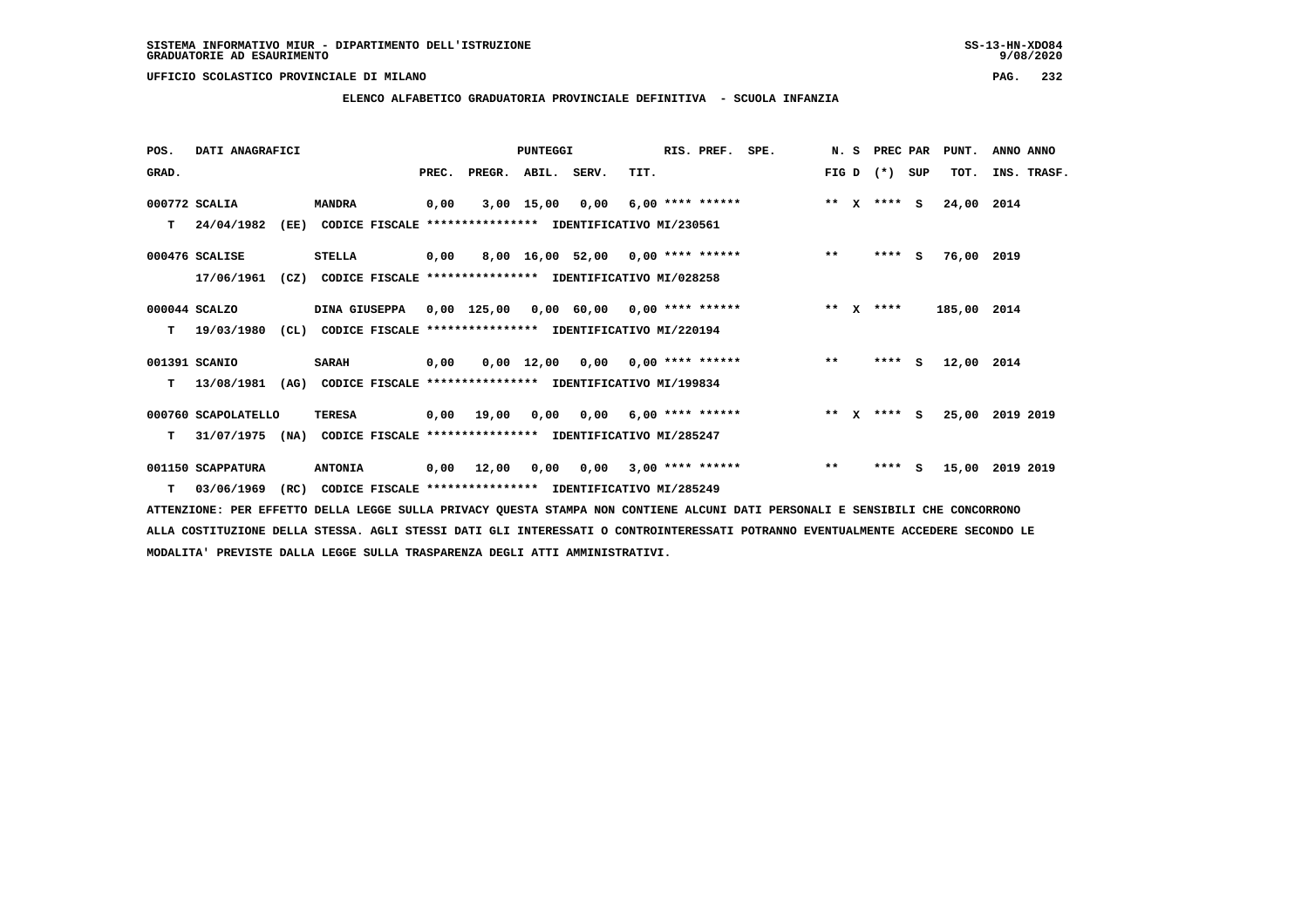**ELENCO ALFABETICO GRADUATORIA PROVINCIALE DEFINITIVA - SCUOLA INFANZIA**

| POS.  | DATI ANAGRAFICI     |      |                                                               |       |            | PUNTEGGI    |                                    |                         | RIS. PREF.         | SPE. |         | N. S         | PREC PAR |     | PUNT.       | ANNO ANNO       |  |
|-------|---------------------|------|---------------------------------------------------------------|-------|------------|-------------|------------------------------------|-------------------------|--------------------|------|---------|--------------|----------|-----|-------------|-----------------|--|
| GRAD. |                     |      |                                                               | PREC. | PREGR.     | ABIL. SERV. |                                    | TIT.                    |                    |      | FIG D   |              | $(* )$   | SUP | TOT.        | INS. TRASF.     |  |
|       | 000772 SCALIA       |      | <b>MANDRA</b>                                                 | 0,00  |            | 3,00 15,00  | 0,00                               |                         | $6,00$ **** ****** |      | $* *$   | $\mathbf{x}$ | $***$ S  |     | 24,00 2014  |                 |  |
| т     | 24/04/1982          | (EE) | CODICE FISCALE **************** IDENTIFICATIVO MI/230561      |       |            |             |                                    |                         |                    |      |         |              |          |     |             |                 |  |
|       | 000476 SCALISE      |      | <b>STELLA</b>                                                 | 0,00  |            |             | 8,00 16,00 52,00 0,00 **** ******  |                         |                    |      | $***$   |              | $***$ S  |     | 76,00 2019  |                 |  |
|       | 17/06/1961          | (CZ) | CODICE FISCALE **************** IDENTIFICATIVO MI/028258      |       |            |             |                                    |                         |                    |      |         |              |          |     |             |                 |  |
|       | 000044 SCALZO       |      | DINA GIUSEPPA 0,00 125,00                                     |       |            |             | $0,00$ 60,00 0,00 **** ******      |                         |                    |      | $* *$   | $\mathbf{x}$ | ****     |     | 185,00 2014 |                 |  |
| т     | 19/03/1980          |      | (CL) CODICE FISCALE **************** IDENTIFICATIVO MI/220194 |       |            |             |                                    |                         |                    |      |         |              |          |     |             |                 |  |
|       | 001391 SCANIO       |      | <b>SARAH</b>                                                  | 0,00  |            |             | $0,00$ 12,00 0,00 0,00 **** ****** |                         |                    |      | $***$   |              | $***5$   |     | 12,00 2014  |                 |  |
| т     | 13/08/1981          | (AG) | CODICE FISCALE **************** IDENTIFICATIVO MI/199834      |       |            |             |                                    |                         |                    |      |         |              |          |     |             |                 |  |
|       | 000760 SCAPOLATELLO |      | <b>TERESA</b>                                                 |       | 0,00 19,00 | 0,00        | 0,00                               |                         | $6,00$ **** ****** |      | $***$ X |              | **** S   |     |             | 25,00 2019 2019 |  |
| т     | 31/07/1975          | (NA) | CODICE FISCALE **************** IDENTIFICATIVO MI/285247      |       |            |             |                                    |                         |                    |      |         |              |          |     |             |                 |  |
|       | 001150 SCAPPATURA   |      | <b>ANTONIA</b>                                                | 0,00  | 12,00      | 0,00        |                                    | $0,00$ 3,00 **** ****** |                    |      | $***$   |              | ****     | s   | 15,00       | 2019 2019       |  |
| т     | 03/06/1969          | (RC) | CODICE FISCALE **************** IDENTIFICATIVO MI/285249      |       |            |             |                                    |                         |                    |      |         |              |          |     |             |                 |  |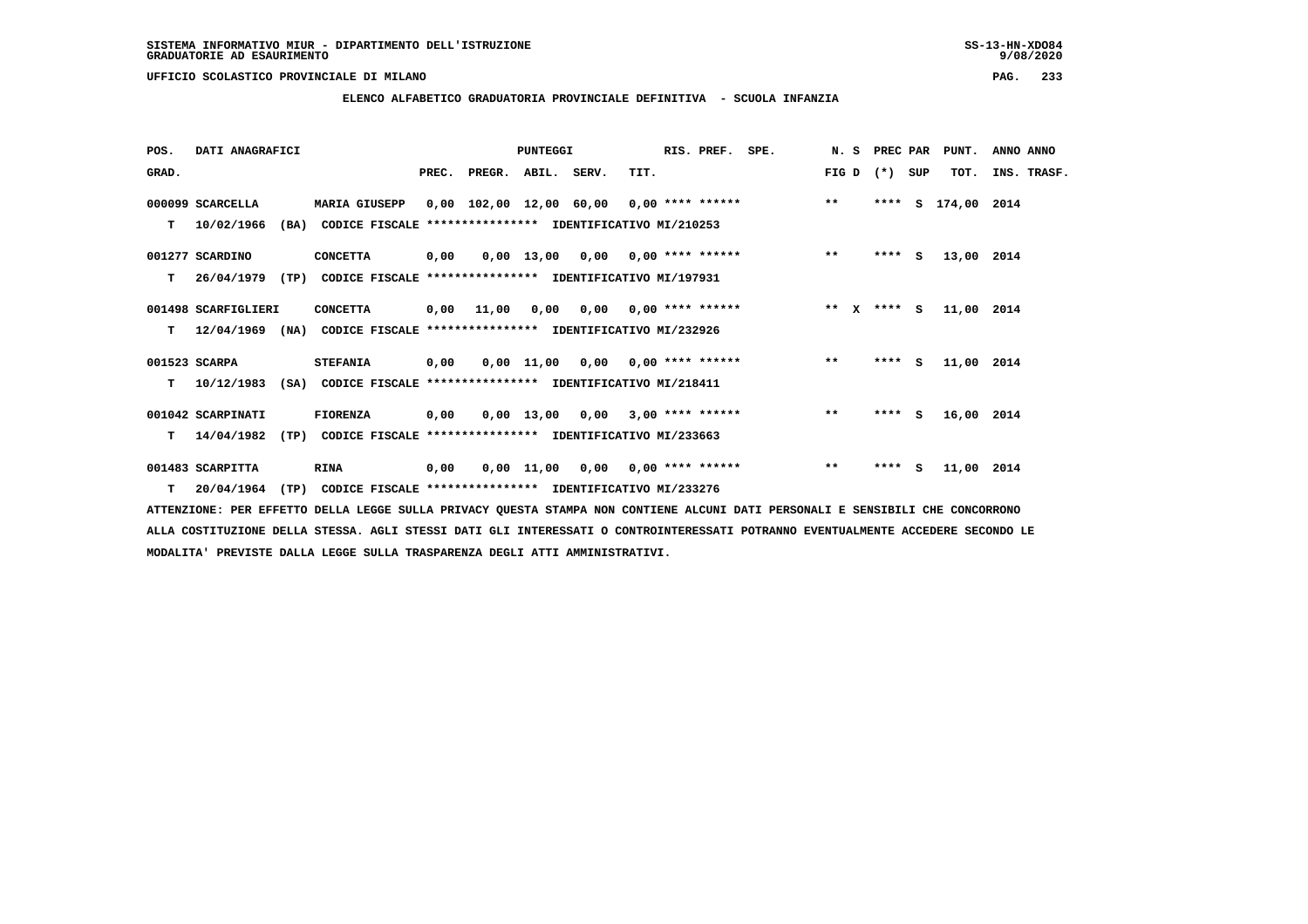**ELENCO ALFABETICO GRADUATORIA PROVINCIALE DEFINITIVA - SCUOLA INFANZIA**

| POS.  | DATI ANAGRAFICI     |      |                                                               |      |                                          | PUNTEGGI |                                       |      | RIS. PREF. | SPE.        |               | N. S PREC PAR |     | PUNT.         | ANNO ANNO |             |
|-------|---------------------|------|---------------------------------------------------------------|------|------------------------------------------|----------|---------------------------------------|------|------------|-------------|---------------|---------------|-----|---------------|-----------|-------------|
| GRAD. |                     |      |                                                               |      | PREC. PREGR. ABIL. SERV.                 |          |                                       | TIT. |            |             | $FIG D (*)$   |               | SUP | TOT.          |           | INS. TRASF. |
|       | 000099 SCARCELLA    |      | <b>MARIA GIUSEPP</b>                                          |      | 0,00 102,00 12,00 60,00 0,00 **** ****** |          |                                       |      |            |             | $\star \star$ | ****          |     | S 174,00 2014 |           |             |
| T.    | 10/02/1966          | (BA) | CODICE FISCALE **************** IDENTIFICATIVO MI/210253      |      |                                          |          |                                       |      |            |             |               |               |     |               |           |             |
|       | 001277 SCARDINO     |      | <b>CONCETTA</b>                                               | 0,00 |                                          |          | $0.00$ 13.00 0.00 0.00 **** ******    |      |            |             | $***$         | $***5$        |     | 13,00 2014    |           |             |
| т     | 26/04/1979          | (TP) | CODICE FISCALE **************** IDENTIFICATIVO MI/197931      |      |                                          |          |                                       |      |            |             |               |               |     |               |           |             |
|       | 001498 SCARFIGLIERI |      | <b>CONCETTA</b>                                               |      | 0,00 11,00                               |          | $0,00$ $0,00$ $0,00$ $***$ **** ***** |      |            | ** x **** s |               |               |     | 11,00 2014    |           |             |
| т     | 12/04/1969          |      | (NA) CODICE FISCALE **************** IDENTIFICATIVO MI/232926 |      |                                          |          |                                       |      |            |             |               |               |     |               |           |             |
|       | 001523 SCARPA       |      | <b>STEFANIA</b>                                               | 0,00 |                                          |          | $0,00$ 11,00 0,00 0,00 **** ******    |      |            |             | $***$         | **** S        |     | 11,00 2014    |           |             |
| т     | 10/12/1983          |      | (SA) CODICE FISCALE **************** IDENTIFICATIVO MI/218411 |      |                                          |          |                                       |      |            |             |               |               |     |               |           |             |
|       | 001042 SCARPINATI   |      | <b>FIORENZA</b>                                               | 0,00 |                                          |          | $0,00$ 13,00 0,00 3,00 **** ******    |      |            |             | $* *$         | $***$ S       |     | 16,00 2014    |           |             |
| т     | 14/04/1982          | (TP) | CODICE FISCALE **************** IDENTIFICATIVO MI/233663      |      |                                          |          |                                       |      |            |             |               |               |     |               |           |             |
|       | 001483 SCARPITTA    |      | RINA                                                          | 0,00 |                                          |          | $0,00$ 11,00 0,00 0,00 **** ******    |      |            |             | $* *$         | $***$ S       |     | 11,00 2014    |           |             |
|       | $T = 20/04/1964$    | (TP) | CODICE FISCALE **************** IDENTIFICATIVO MI/233276      |      |                                          |          |                                       |      |            |             |               |               |     |               |           |             |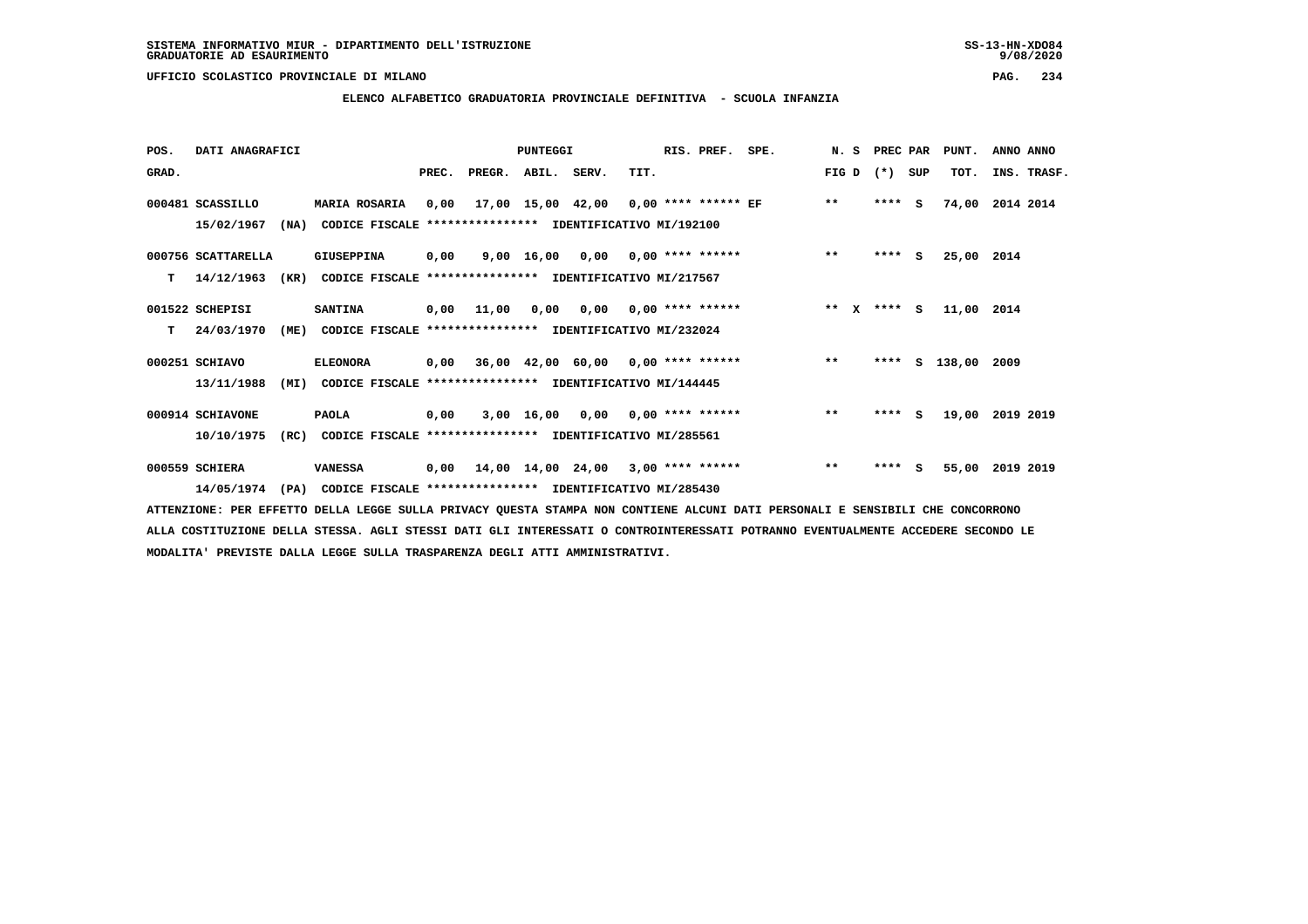**ELENCO ALFABETICO GRADUATORIA PROVINCIALE DEFINITIVA - SCUOLA INFANZIA**

 **POS. DATI ANAGRAFICI PUNTEGGI RIS. PREF. SPE. N. S PREC PAR PUNT. ANNO ANNO**GRAD. **BRAD. PREC. PREGR. ABIL. SERV.** TIT. THE REGREATER FIG D (\*) SUP TOT. INS. TRASF.  **000481 SCASSILLO MARIA ROSARIA 0,00 17,00 15,00 42,00 0,00 \*\*\*\* \*\*\*\*\*\* EF \*\* \*\*\*\* S 74,00 2014 2014 15/02/1967 (NA) CODICE FISCALE \*\*\*\*\*\*\*\*\*\*\*\*\*\*\*\* IDENTIFICATIVO MI/192100**

 **000756 SCATTARELLA GIUSEPPINA 0,00 9,00 16,00 0,00 0,00 \*\*\*\* \*\*\*\*\*\* \*\* \*\*\*\* S 25,00 2014 T 14/12/1963 (KR) CODICE FISCALE \*\*\*\*\*\*\*\*\*\*\*\*\*\*\*\* IDENTIFICATIVO MI/217567**

- **001522 SCHEPISI SANTINA 0,00 11,00 0,00 0,00 0,00 \*\*\*\* \*\*\*\*\*\* \*\* X \*\*\*\* S 11,00 2014 T 24/03/1970 (ME) CODICE FISCALE \*\*\*\*\*\*\*\*\*\*\*\*\*\*\*\* IDENTIFICATIVO MI/232024**
- **000251 SCHIAVO ELEONORA 0,00 36,00 42,00 60,00 0,00 \*\*\*\* \*\*\*\*\*\* \*\* \*\*\*\* S 138,00 2009 13/11/1988 (MI) CODICE FISCALE \*\*\*\*\*\*\*\*\*\*\*\*\*\*\*\* IDENTIFICATIVO MI/144445**

 **000914 SCHIAVONE PAOLA 0,00 3,00 16,00 0,00 0,00 \*\*\*\* \*\*\*\*\*\* \*\* \*\*\*\* S 19,00 2019 2019 10/10/1975 (RC) CODICE FISCALE \*\*\*\*\*\*\*\*\*\*\*\*\*\*\*\* IDENTIFICATIVO MI/285561**

 **000559 SCHIERA VANESSA 0,00 14,00 14,00 24,00 3,00 \*\*\*\* \*\*\*\*\*\* \*\* \*\*\*\* S 55,00 2019 2019 14/05/1974 (PA) CODICE FISCALE \*\*\*\*\*\*\*\*\*\*\*\*\*\*\*\* IDENTIFICATIVO MI/285430**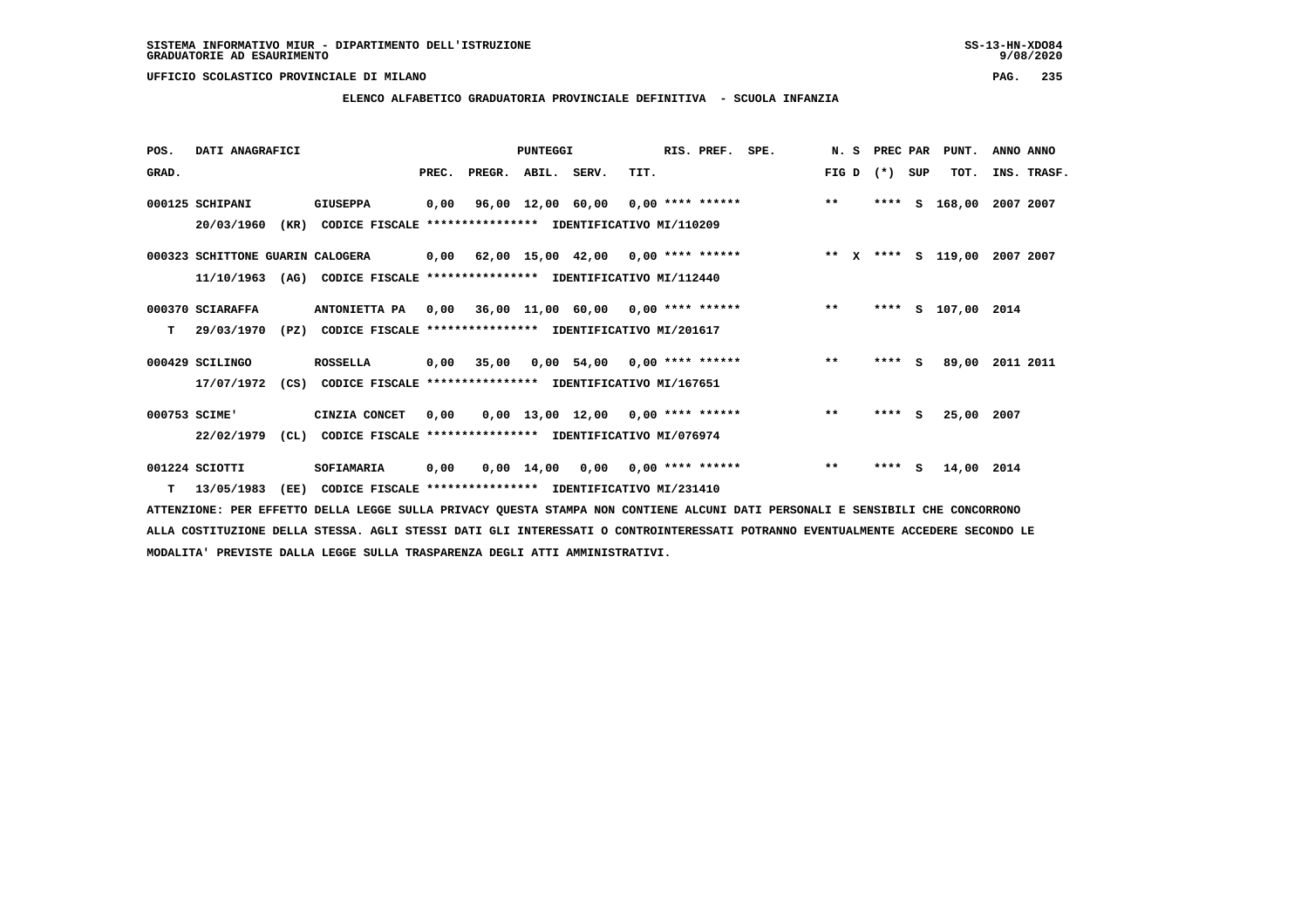### **ELENCO ALFABETICO GRADUATORIA PROVINCIALE DEFINITIVA - SCUOLA INFANZIA**

 **POS. DATI ANAGRAFICI PUNTEGGI RIS. PREF. SPE. N. S PREC PAR PUNT. ANNO ANNO**GRAD. **BRAD. PREC. PREGR. ABIL. SERV.** TIT. THE REGREATER FIG D (\*) SUP TOT. INS. TRASF.  **000125 SCHIPANI GIUSEPPA 0,00 96,00 12,00 60,00 0,00 \*\*\*\* \*\*\*\*\*\* \*\* \*\*\*\* S 168,00 2007 2007 20/03/1960 (KR) CODICE FISCALE \*\*\*\*\*\*\*\*\*\*\*\*\*\*\*\* IDENTIFICATIVO MI/110209 000323 SCHITTONE GUARIN CALOGERA 0,00 62,00 15,00 42,00 0,00 \*\*\*\* \*\*\*\*\*\* \*\* X \*\*\*\* S 119,00 2007 2007 11/10/1963 (AG) CODICE FISCALE \*\*\*\*\*\*\*\*\*\*\*\*\*\*\*\* IDENTIFICATIVO MI/112440 000370 SCIARAFFA ANTONIETTA PA 0,00 36,00 11,00 60,00 0,00 \*\*\*\* \*\*\*\*\*\* \*\* \*\*\*\* S 107,00 2014 T 29/03/1970 (PZ) CODICE FISCALE \*\*\*\*\*\*\*\*\*\*\*\*\*\*\*\* IDENTIFICATIVO MI/201617 000429 SCILINGO ROSSELLA 0,00 35,00 0,00 54,00 0,00 \*\*\*\* \*\*\*\*\*\* \*\* \*\*\*\* S 89,00 2011 2011 17/07/1972 (CS) CODICE FISCALE \*\*\*\*\*\*\*\*\*\*\*\*\*\*\*\* IDENTIFICATIVO MI/167651 000753 SCIME' CINZIA CONCET 0,00 0,00 13,00 12,00 0,00 \*\*\*\* \*\*\*\*\*\* \*\* \*\*\*\* S 25,00 2007 22/02/1979 (CL) CODICE FISCALE \*\*\*\*\*\*\*\*\*\*\*\*\*\*\*\* IDENTIFICATIVO MI/076974 001224 SCIOTTI SOFIAMARIA 0,00 0,00 14,00 0,00 0,00 \*\*\*\* \*\*\*\*\*\* \*\* \*\*\*\* S 14,00 2014 T 13/05/1983 (EE) CODICE FISCALE \*\*\*\*\*\*\*\*\*\*\*\*\*\*\*\* IDENTIFICATIVO MI/231410**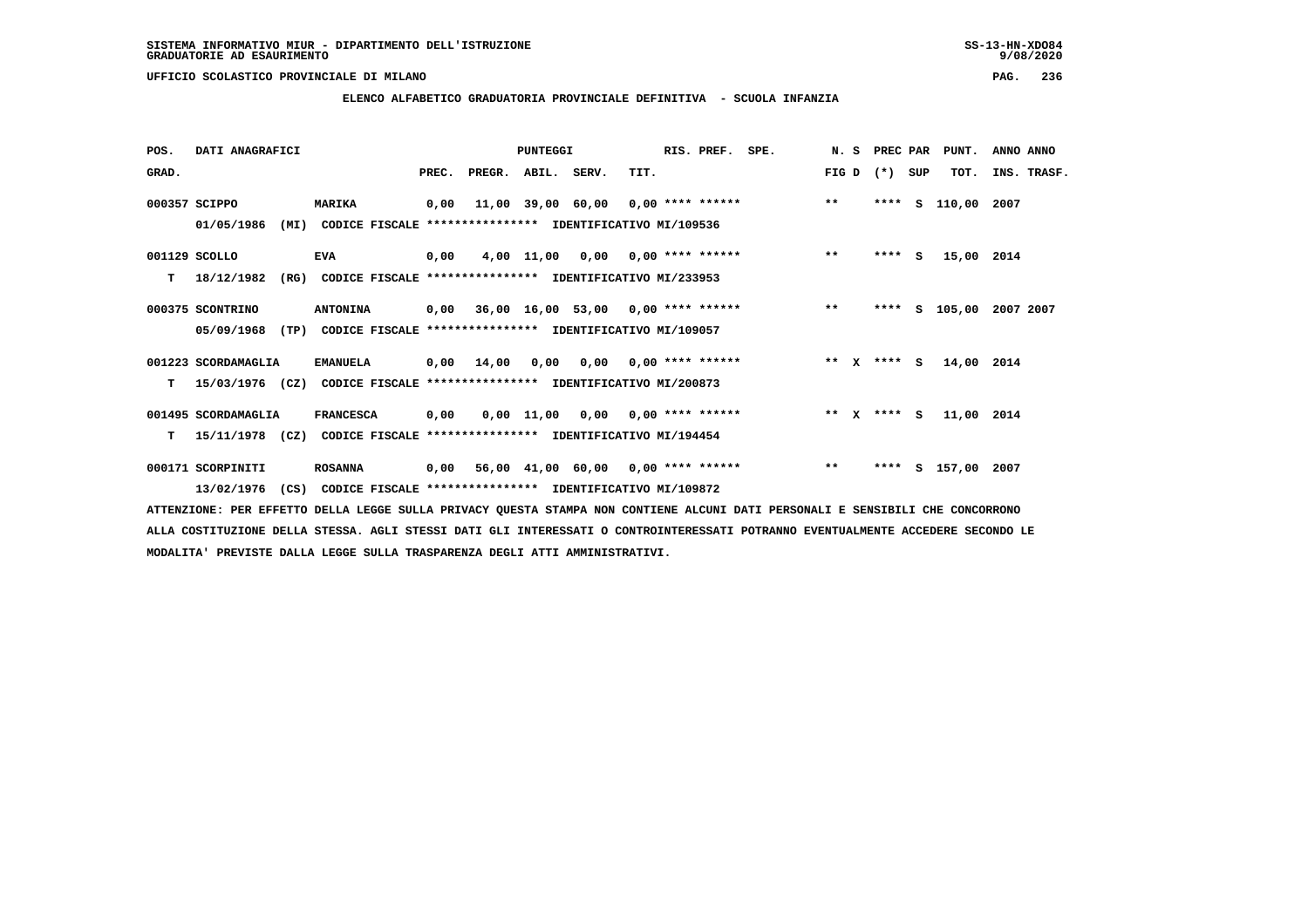### **ELENCO ALFABETICO GRADUATORIA PROVINCIALE DEFINITIVA - SCUOLA INFANZIA**

| POS.  | DATI ANAGRAFICI                                                          |                                                               |                                                          |       |                    | <b>PUNTEGGI</b> |                                        |      | RIS. PREF.         | SPE.                                             |         | N. S PREC PAR |     | PUNT.         | ANNO ANNO |             |
|-------|--------------------------------------------------------------------------|---------------------------------------------------------------|----------------------------------------------------------|-------|--------------------|-----------------|----------------------------------------|------|--------------------|--------------------------------------------------|---------|---------------|-----|---------------|-----------|-------------|
| GRAD. |                                                                          |                                                               |                                                          | PREC. | PREGR. ABIL. SERV. |                 |                                        | TIT. |                    |                                                  | FIG D   | $(*)$         | SUP | TOT.          |           | INS. TRASF. |
|       | 000357 SCIPPO                                                            | <b>MARIKA</b>                                                 |                                                          | 0,00  |                    |                 |                                        |      |                    | $11,00$ 39,00 60,00 0,00 **** ****** *** **      |         | ****          | S   | 110,00 2007   |           |             |
|       | 01/05/1986                                                               | (MI)                                                          | CODICE FISCALE **************** IDENTIFICATIVO MI/109536 |       |                    |                 |                                        |      |                    |                                                  |         |               |     |               |           |             |
|       | $001129$ SCOLLO                                                          | <b>EVA</b>                                                    |                                                          | 0,00  |                    |                 | $4,00$ 11,00 0,00 0,00 **** ******     |      |                    |                                                  | $***$   | $***$ S       |     | 15,00 2014    |           |             |
| т     | 18/12/1982                                                               | (RG)                                                          | CODICE FISCALE **************** IDENTIFICATIVO MI/233953 |       |                    |                 |                                        |      |                    |                                                  |         |               |     |               |           |             |
|       | 000375 SCONTRINO                                                         | <b>ANTONINA</b>                                               |                                                          |       |                    |                 |                                        |      |                    | $0,00$ 36,00 16,00 53,00 0,00 **** ****** *** ** |         | $***$ S       |     | 105,00        | 2007 2007 |             |
|       | 05/09/1968                                                               | (TP) CODICE FISCALE **************** IDENTIFICATIVO MI/109057 |                                                          |       |                    |                 |                                        |      |                    |                                                  |         |               |     |               |           |             |
|       | 001223 SCORDAMAGLIA                                                      | <b>EMANUELA</b>                                               |                                                          |       | $0,00$ $14,00$     |                 | $0,00$ $0,00$ $0,00$ $***$ **** ****** |      |                    |                                                  |         | ** x **** s   |     | 14,00 2014    |           |             |
| т     | 15/03/1976 (CZ)                                                          |                                                               | CODICE FISCALE **************** IDENTIFICATIVO MI/200873 |       |                    |                 |                                        |      |                    |                                                  |         |               |     |               |           |             |
|       | 001495 SCORDAMAGLIA                                                      | <b>FRANCESCA</b>                                              |                                                          | 0,00  |                    |                 | 0,00 11,00 0,00                        |      | $0.00$ **** ****** |                                                  | $***$ X | **** S        |     | 11,00 2014    |           |             |
| т     | 15/11/1978 (CZ) CODICE FISCALE **************** IDENTIFICATIVO MI/194454 |                                                               |                                                          |       |                    |                 |                                        |      |                    |                                                  |         |               |     |               |           |             |
|       | 000171 SCORPINITI                                                        | <b>ROSANNA</b>                                                |                                                          | 0,00  |                    |                 |                                        |      |                    | 56,00 41,00 60,00 0,00 **** ******               | $***$   | ****          |     | S 157,00 2007 |           |             |
|       | 13/02/1976                                                               | (CS) CODICE FISCALE **************** IDENTIFICATIVO MI/109872 |                                                          |       |                    |                 |                                        |      |                    |                                                  |         |               |     |               |           |             |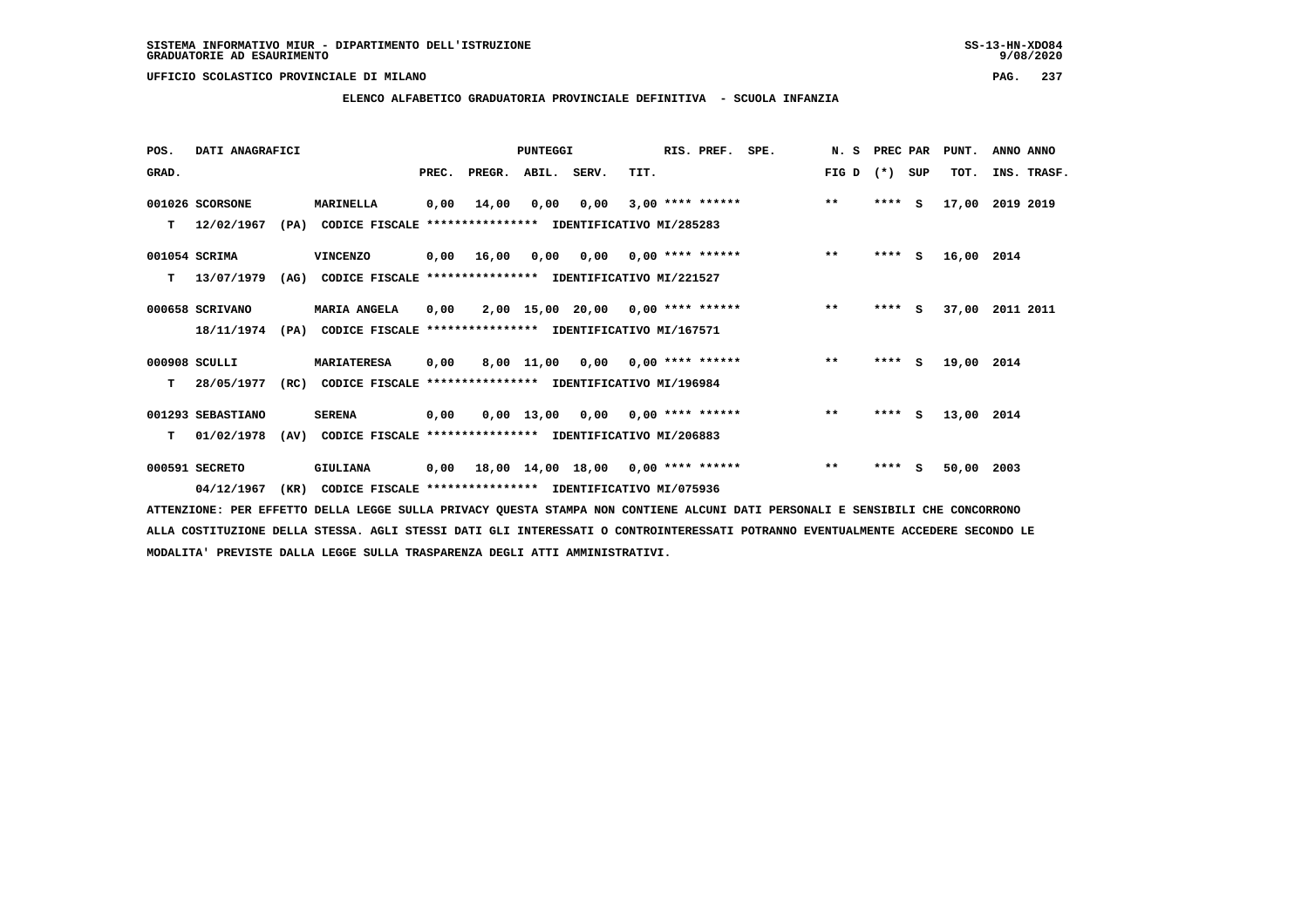**ELENCO ALFABETICO GRADUATORIA PROVINCIALE DEFINITIVA - SCUOLA INFANZIA**

 **POS. DATI ANAGRAFICI PUNTEGGI RIS. PREF. SPE. N. S PREC PAR PUNT. ANNO ANNO**GRAD. **PREGRADE SERVEGER. ABIL. SERV. TIT.** FIG D (\*) SUP TOT. INS. TRASF.  **001026 SCORSONE MARINELLA 0,00 14,00 0,00 0,00 3,00 \*\*\*\* \*\*\*\*\*\* \*\* \*\*\*\* S 17,00 2019 2019 T 12/02/1967 (PA) CODICE FISCALE \*\*\*\*\*\*\*\*\*\*\*\*\*\*\*\* IDENTIFICATIVO MI/285283 001054 SCRIMA VINCENZO 0,00 16,00 0,00 0,00 0,00 \*\*\*\* \*\*\*\*\*\* \*\* \*\*\*\* S 16,00 2014 T 13/07/1979 (AG) CODICE FISCALE \*\*\*\*\*\*\*\*\*\*\*\*\*\*\*\* IDENTIFICATIVO MI/221527 000658 SCRIVANO MARIA ANGELA 0,00 2,00 15,00 20,00 0,00 \*\*\*\* \*\*\*\*\*\* \*\* \*\*\*\* S 37,00 2011 2011 18/11/1974 (PA) CODICE FISCALE \*\*\*\*\*\*\*\*\*\*\*\*\*\*\*\* IDENTIFICATIVO MI/167571 000908 SCULLI MARIATERESA 0,00 8,00 11,00 0,00 0,00 \*\*\*\* \*\*\*\*\*\* \*\* \*\*\*\* S 19,00 2014 T 28/05/1977 (RC) CODICE FISCALE \*\*\*\*\*\*\*\*\*\*\*\*\*\*\*\* IDENTIFICATIVO MI/196984 001293 SEBASTIANO SERENA 0,00 0,00 13,00 0,00 0,00 \*\*\*\* \*\*\*\*\*\* \*\* \*\*\*\* S 13,00 2014 T 01/02/1978 (AV) CODICE FISCALE \*\*\*\*\*\*\*\*\*\*\*\*\*\*\*\* IDENTIFICATIVO MI/206883 000591 SECRETO GIULIANA 0,00 18,00 14,00 18,00 0,00 \*\*\*\* \*\*\*\*\*\* \*\* \*\*\*\* S 50,00 2003**

 **04/12/1967 (KR) CODICE FISCALE \*\*\*\*\*\*\*\*\*\*\*\*\*\*\*\* IDENTIFICATIVO MI/075936**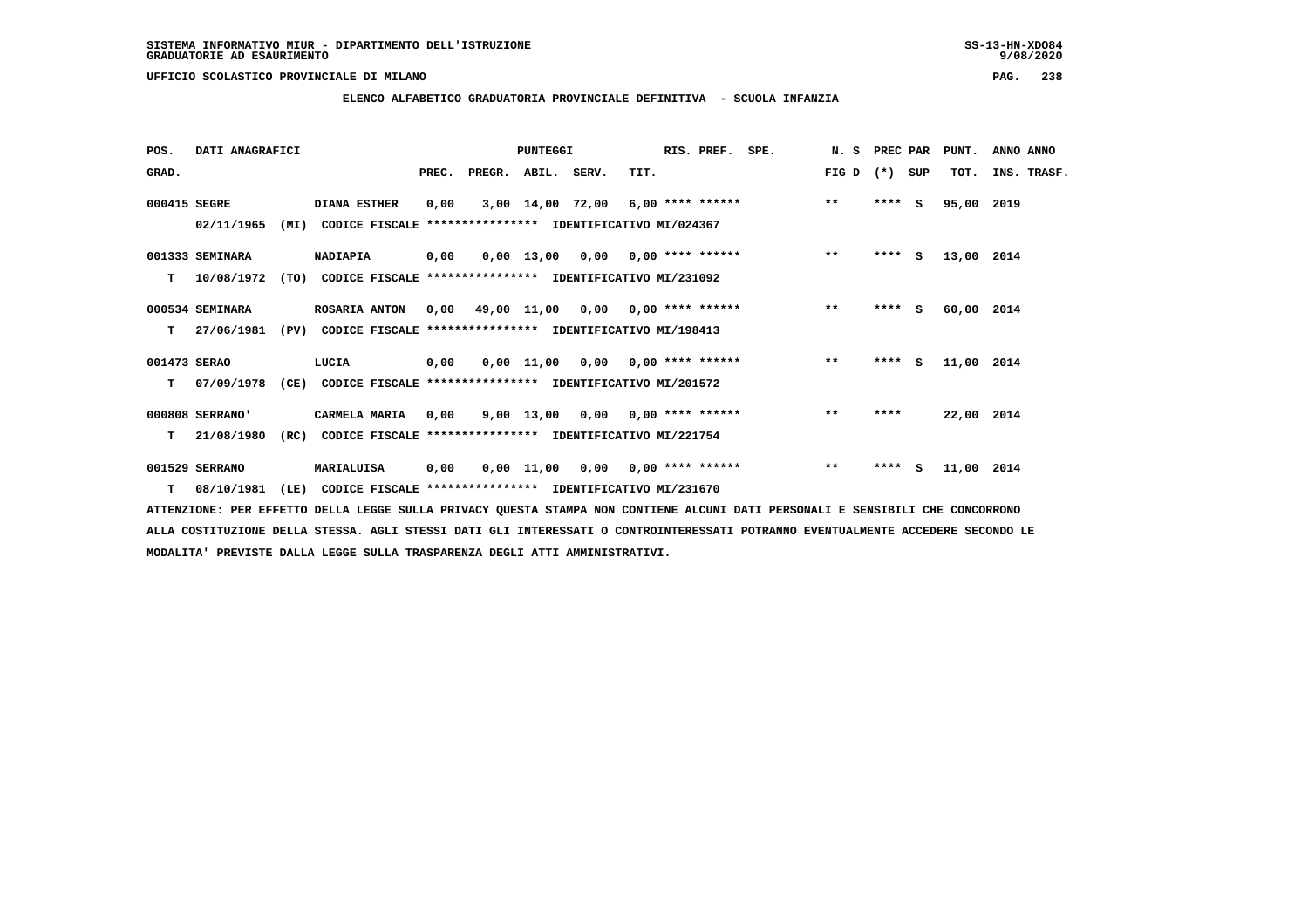**ELENCO ALFABETICO GRADUATORIA PROVINCIALE DEFINITIVA - SCUOLA INFANZIA**

| POS.         | DATI ANAGRAFICI  |      |                                                               |       |                                          | <b>PUNTEGGI</b> |                                     |      | RIS. PREF. | SPE. | N.S   | PREC PAR |          | PUNT.      | ANNO ANNO   |
|--------------|------------------|------|---------------------------------------------------------------|-------|------------------------------------------|-----------------|-------------------------------------|------|------------|------|-------|----------|----------|------------|-------------|
| GRAD.        |                  |      |                                                               | PREC. | PREGR. ABIL. SERV.                       |                 |                                     | TIT. |            |      | FIG D | $(* )$   | SUP      | TOT.       | INS. TRASF. |
| 000415 SEGRE |                  |      | <b>DIANA ESTHER</b>                                           | 0,00  |                                          |                 | $3,00$ 14,00 72,00 6,00 **** ****** |      |            |      | $***$ | ****     | <b>S</b> | 95,00 2019 |             |
|              | 02/11/1965       | (MI) | CODICE FISCALE **************** IDENTIFICATIVO MI/024367      |       |                                          |                 |                                     |      |            |      |       |          |          |            |             |
|              | 001333 SEMINARA  |      | <b>NADIAPIA</b>                                               | 0,00  |                                          |                 | 0,00 13,00 0,00 0,00 **** ******    |      |            |      | $***$ | $***$ S  |          | 13,00 2014 |             |
| т            | 10/08/1972       |      | (TO) CODICE FISCALE **************** IDENTIFICATIVO MI/231092 |       |                                          |                 |                                     |      |            |      |       |          |          |            |             |
|              | 000534 SEMINARA  |      | ROSARIA ANTON                                                 |       | $0,00$ 49,00 11,00 0,00 0,00 **** ****** |                 |                                     |      |            |      | $***$ | **** S   |          | 60,00 2014 |             |
| т            | 27/06/1981       | (PV) | CODICE FISCALE **************** IDENTIFICATIVO MI/198413      |       |                                          |                 |                                     |      |            |      |       |          |          |            |             |
| 001473 SERAO |                  |      | LUCIA                                                         | 0,00  |                                          |                 | $0,00$ 11,00 0,00 0,00 **** ******  |      |            |      | $***$ | $***5$   |          | 11,00 2014 |             |
| т            | 07/09/1978       |      | (CE) CODICE FISCALE **************** IDENTIFICATIVO MI/201572 |       |                                          |                 |                                     |      |            |      |       |          |          |            |             |
|              | 000808 SERRANO'  |      | CARMELA MARIA                                                 | 0,00  |                                          |                 | 9,00 13,00 0,00 0,00 **** ******    |      |            |      | $* *$ | ****     |          | 22,00 2014 |             |
| т            | 21/08/1980       | (RC) | CODICE FISCALE **************** IDENTIFICATIVO MI/221754      |       |                                          |                 |                                     |      |            |      |       |          |          |            |             |
|              | 001529 SERRANO   |      | MARIALUISA                                                    | 0,00  |                                          |                 | $0,00$ 11,00 0,00 0,00 **** ******  |      |            |      | $***$ | ****     | - S      | 11,00 2014 |             |
|              | $T = 08/10/1981$ | (LE) | CODICE FISCALE **************** IDENTIFICATIVO MI/231670      |       |                                          |                 |                                     |      |            |      |       |          |          |            |             |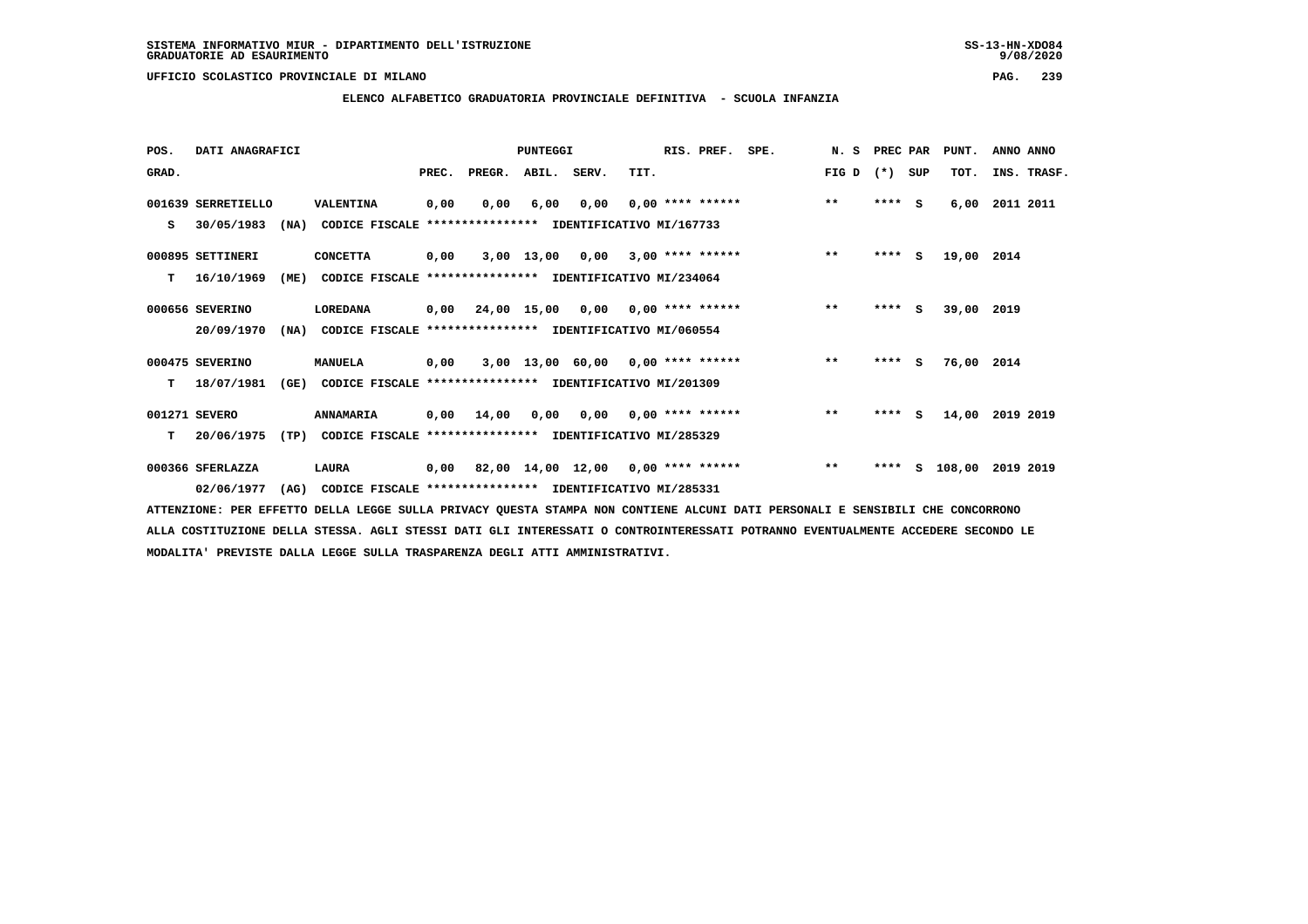**ELENCO ALFABETICO GRADUATORIA PROVINCIALE DEFINITIVA - SCUOLA INFANZIA**

 **POS. DATI ANAGRAFICI PUNTEGGI RIS. PREF. SPE. N. S PREC PAR PUNT. ANNO ANNO**GRAD. **PREGRADE SERVEGER. ABIL. SERV. TIT.** FIG D (\*) SUP TOT. INS. TRASF.  **001639 SERRETIELLO VALENTINA 0,00 0,00 6,00 0,00 0,00 \*\*\*\* \*\*\*\*\*\* \*\* \*\*\*\* S 6,00 2011 2011 S 30/05/1983 (NA) CODICE FISCALE \*\*\*\*\*\*\*\*\*\*\*\*\*\*\*\* IDENTIFICATIVO MI/167733 000895 SETTINERI CONCETTA 0,00 3,00 13,00 0,00 3,00 \*\*\*\* \*\*\*\*\*\* \*\* \*\*\*\* S 19,00 2014 T 16/10/1969 (ME) CODICE FISCALE \*\*\*\*\*\*\*\*\*\*\*\*\*\*\*\* IDENTIFICATIVO MI/234064 000656 SEVERINO LOREDANA 0,00 24,00 15,00 0,00 0,00 \*\*\*\* \*\*\*\*\*\* \*\* \*\*\*\* S 39,00 2019 20/09/1970 (NA) CODICE FISCALE \*\*\*\*\*\*\*\*\*\*\*\*\*\*\*\* IDENTIFICATIVO MI/060554 000475 SEVERINO MANUELA 0,00 3,00 13,00 60,00 0,00 \*\*\*\* \*\*\*\*\*\* \*\* \*\*\*\* S 76,00 2014 T 18/07/1981 (GE) CODICE FISCALE \*\*\*\*\*\*\*\*\*\*\*\*\*\*\*\* IDENTIFICATIVO MI/201309 001271 SEVERO ANNAMARIA 0,00 14,00 0,00 0,00 0,00 \*\*\*\* \*\*\*\*\*\* \*\* \*\*\*\* S 14,00 2019 2019 T 20/06/1975 (TP) CODICE FISCALE \*\*\*\*\*\*\*\*\*\*\*\*\*\*\*\* IDENTIFICATIVO MI/285329 000366 SFERLAZZA LAURA 0,00 82,00 14,00 12,00 0,00 \*\*\*\* \*\*\*\*\*\* \*\* \*\*\*\* S 108,00 2019 2019 02/06/1977 (AG) CODICE FISCALE \*\*\*\*\*\*\*\*\*\*\*\*\*\*\*\* IDENTIFICATIVO MI/285331**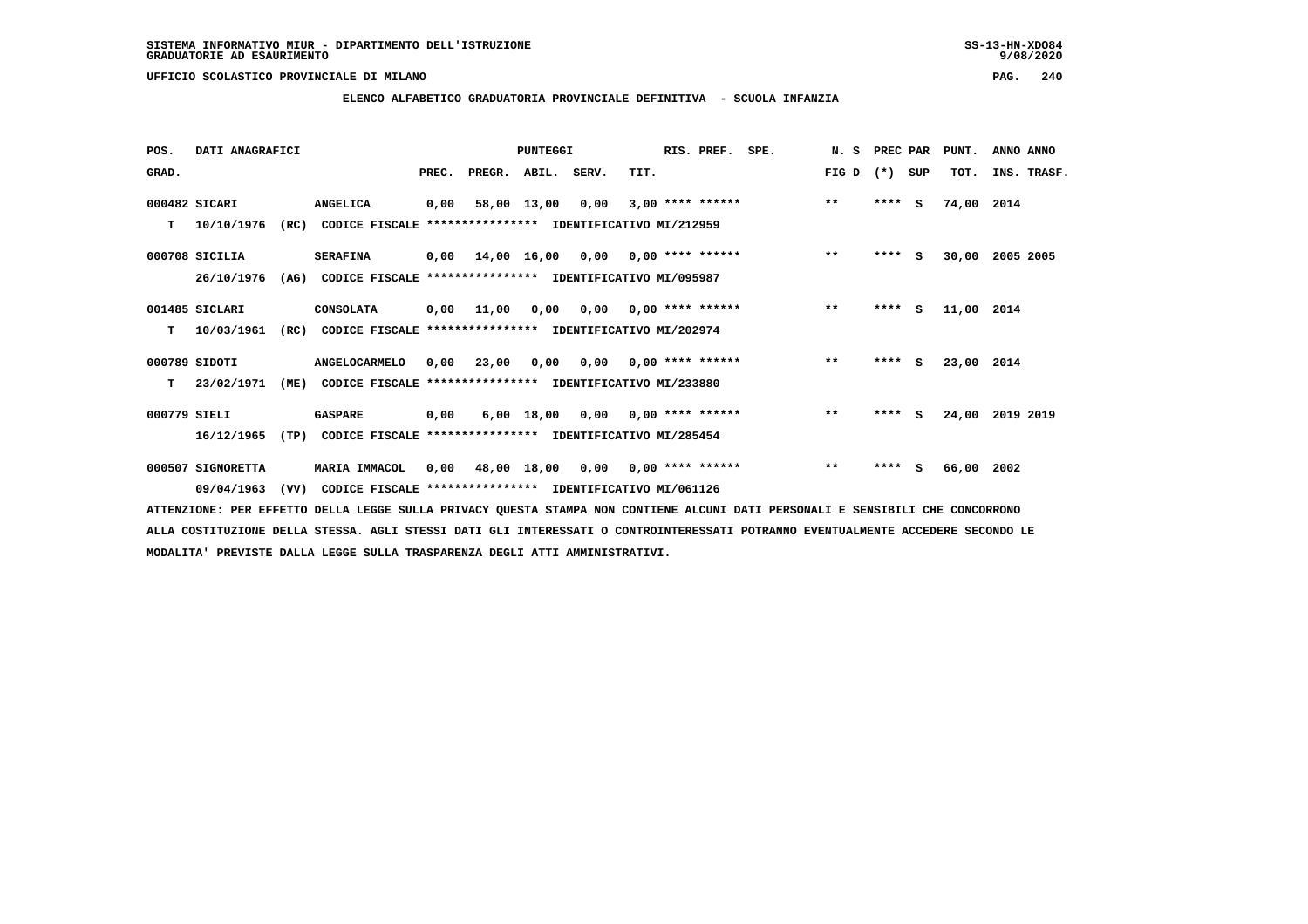**ELENCO ALFABETICO GRADUATORIA PROVINCIALE DEFINITIVA - SCUOLA INFANZIA**

 **POS. DATI ANAGRAFICI PUNTEGGI RIS. PREF. SPE. N. S PREC PAR PUNT. ANNO ANNO**GRAD. **PREGRADE SERVEGER. ABIL. SERV. TIT.** FIG D (\*) SUP TOT. INS. TRASF.  **000482 SICARI ANGELICA 0,00 58,00 13,00 0,00 3,00 \*\*\*\* \*\*\*\*\*\* \*\* \*\*\*\* S 74,00 2014 T 10/10/1976 (RC) CODICE FISCALE \*\*\*\*\*\*\*\*\*\*\*\*\*\*\*\* IDENTIFICATIVO MI/212959 000708 SICILIA SERAFINA 0,00 14,00 16,00 0,00 0,00 \*\*\*\* \*\*\*\*\*\* \*\* \*\*\*\* S 30,00 2005 2005 26/10/1976 (AG) CODICE FISCALE \*\*\*\*\*\*\*\*\*\*\*\*\*\*\*\* IDENTIFICATIVO MI/095987 001485 SICLARI CONSOLATA 0,00 11,00 0,00 0,00 0,00 \*\*\*\* \*\*\*\*\*\* \*\* \*\*\*\* S 11,00 2014 T 10/03/1961 (RC) CODICE FISCALE \*\*\*\*\*\*\*\*\*\*\*\*\*\*\*\* IDENTIFICATIVO MI/202974 000789 SIDOTI ANGELOCARMELO 0,00 23,00 0,00 0,00 0,00 \*\*\*\* \*\*\*\*\*\* \*\* \*\*\*\* S 23,00 2014 T 23/02/1971 (ME) CODICE FISCALE \*\*\*\*\*\*\*\*\*\*\*\*\*\*\*\* IDENTIFICATIVO MI/233880 000779 SIELI GASPARE 0,00 6,00 18,00 0,00 0,00 \*\*\*\* \*\*\*\*\*\* \*\* \*\*\*\* S 24,00 2019 2019 16/12/1965 (TP) CODICE FISCALE \*\*\*\*\*\*\*\*\*\*\*\*\*\*\*\* IDENTIFICATIVO MI/285454 000507 SIGNORETTA MARIA IMMACOL 0,00 48,00 18,00 0,00 0,00 \*\*\*\* \*\*\*\*\*\* \*\* \*\*\*\* S 66,00 2002**

 **ATTENZIONE: PER EFFETTO DELLA LEGGE SULLA PRIVACY QUESTA STAMPA NON CONTIENE ALCUNI DATI PERSONALI E SENSIBILI CHE CONCORRONO ALLA COSTITUZIONE DELLA STESSA. AGLI STESSI DATI GLI INTERESSATI O CONTROINTERESSATI POTRANNO EVENTUALMENTE ACCEDERE SECONDO LE MODALITA' PREVISTE DALLA LEGGE SULLA TRASPARENZA DEGLI ATTI AMMINISTRATIVI.**

 **09/04/1963 (VV) CODICE FISCALE \*\*\*\*\*\*\*\*\*\*\*\*\*\*\*\* IDENTIFICATIVO MI/061126**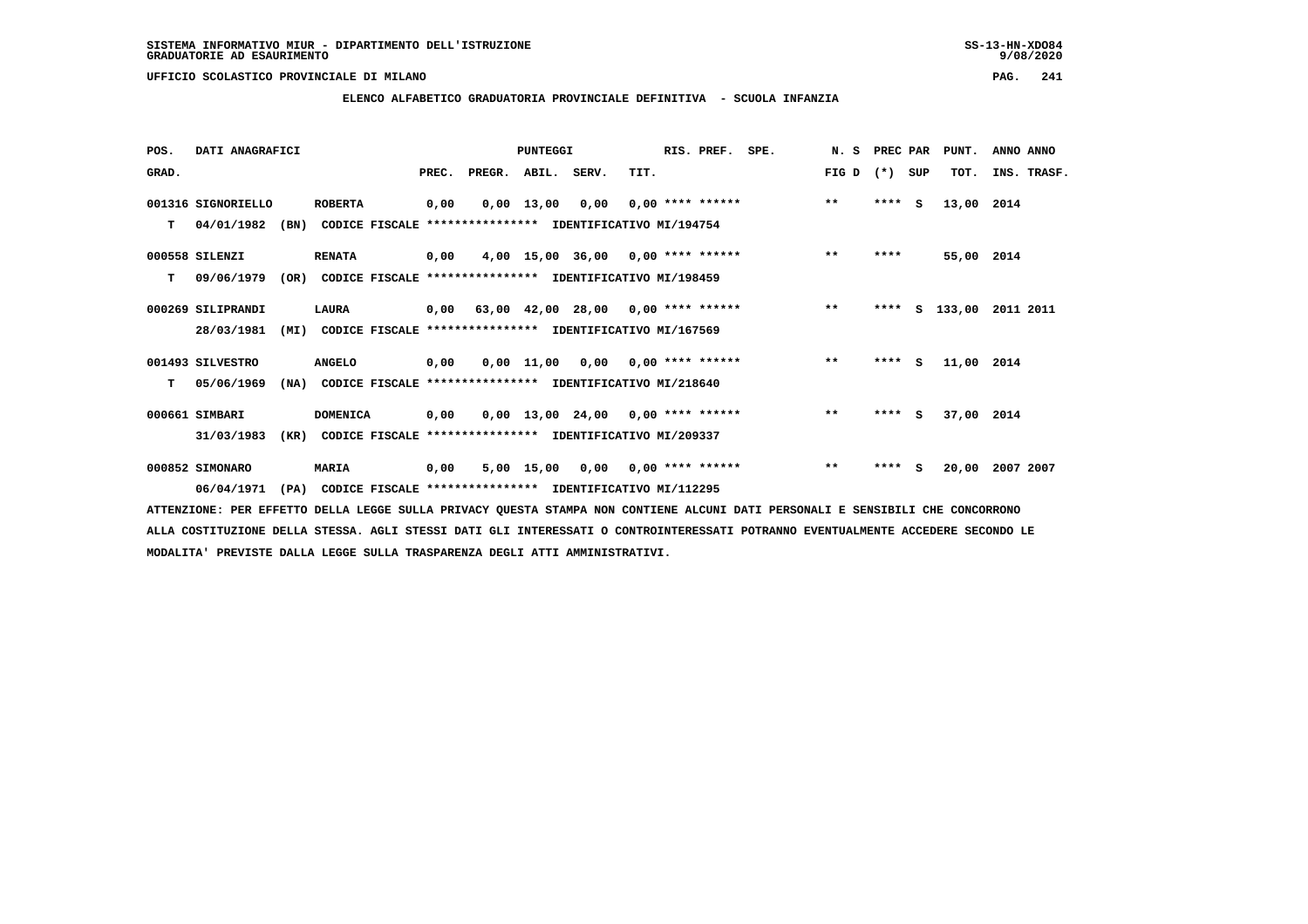**ELENCO ALFABETICO GRADUATORIA PROVINCIALE DEFINITIVA - SCUOLA INFANZIA**

| POS.  | DATI ANAGRAFICI    |      |                                                          |       |        | PUNTEGGI     |                                           |      | RIS. PREF.                | SPE. | N.S   | PREC PAR |     | PUNT.      | ANNO ANNO   |
|-------|--------------------|------|----------------------------------------------------------|-------|--------|--------------|-------------------------------------------|------|---------------------------|------|-------|----------|-----|------------|-------------|
| GRAD. |                    |      |                                                          | PREC. | PREGR. | ABIL. SERV.  |                                           | TIT. |                           |      | FIG D | $(*)$    | SUP | TOT.       | INS. TRASF. |
|       | 001316 SIGNORIELLO |      | <b>ROBERTA</b>                                           | 0,00  |        | $0,00$ 13,00 | 0,00                                      |      | $0.00$ **** ******        |      | $***$ | $***$ S  |     | 13,00 2014 |             |
| т     | 04/01/1982         | (BN) | CODICE FISCALE **************** IDENTIFICATIVO MI/194754 |       |        |              |                                           |      |                           |      |       |          |     |            |             |
|       | 000558 SILENZI     |      | <b>RENATA</b>                                            | 0,00  |        |              | $4,00$ 15,00 36,00 0,00 **** ******       |      |                           |      | $* *$ | ****     |     | 55,00 2014 |             |
| т     | 09/06/1979         | (OR) | CODICE FISCALE **************** IDENTIFICATIVO MI/198459 |       |        |              |                                           |      |                           |      |       |          |     |            |             |
|       | 000269 SILIPRANDI  |      | LAURA                                                    |       |        |              | $0,00$ 63,00 42,00 28,00 0,00 **** ****** |      |                           |      | $***$ | ****     | s   | 133,00     | 2011 2011   |
|       | 28/03/1981         | (MI) | CODICE FISCALE **************** IDENTIFICATIVO MI/167569 |       |        |              |                                           |      |                           |      |       |          |     |            |             |
|       | 001493 SILVESTRO   |      | <b>ANGELO</b>                                            | 0,00  |        |              | $0,00$ 11,00 0,00 0,00 **** ******        |      |                           |      | $***$ | **** S   |     | 11,00 2014 |             |
| т     | 05/06/1969         | (NA) | CODICE FISCALE **************** IDENTIFICATIVO MI/218640 |       |        |              |                                           |      |                           |      |       |          |     |            |             |
|       | 000661 SIMBARI     |      | <b>DOMENICA</b>                                          | 0,00  |        |              | $0,00$ 13,00 24,00 0,00 **** ******       |      |                           |      | $***$ | $***$ S  |     | 37,00 2014 |             |
|       | 31/03/1983         | (KR) | CODICE FISCALE **************** IDENTIFICATIVO MI/209337 |       |        |              |                                           |      |                           |      |       |          |     |            |             |
|       | 000852 SIMONARO    |      | MARIA                                                    | 0,00  |        | 5,00 15,00   |                                           |      | $0,00$ $0,00$ **** ****** |      | $***$ | $***$ S  |     | 20,00      | 2007 2007   |
|       | 06/04/1971         | (PA) | CODICE FISCALE **************** IDENTIFICATIVO MI/112295 |       |        |              |                                           |      |                           |      |       |          |     |            |             |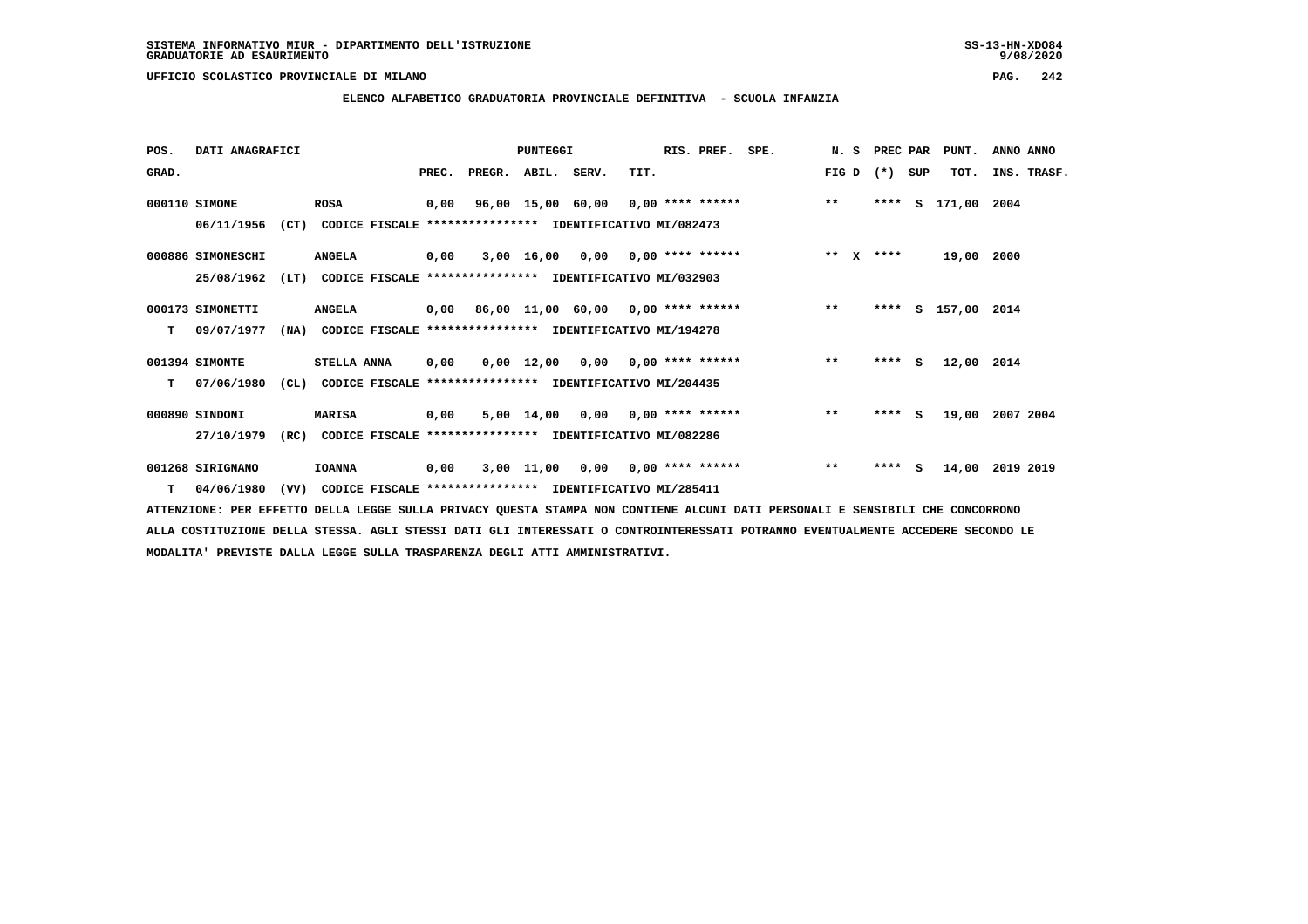**ELENCO ALFABETICO GRADUATORIA PROVINCIALE DEFINITIVA - SCUOLA INFANZIA**

 **POS. DATI ANAGRAFICI PUNTEGGI RIS. PREF. SPE. N. S PREC PAR PUNT. ANNO ANNO**GRAD. **BRAD. PREC. PREGR. ABIL. SERV.** TIT. THE REGREATER FIG D (\*) SUP TOT. INS. TRASF.  **000110 SIMONE ROSA 0,00 96,00 15,00 60,00 0,00 \*\*\*\* \*\*\*\*\*\* \*\* \*\*\*\* S 171,00 2004**

 **06/11/1956 (CT) CODICE FISCALE \*\*\*\*\*\*\*\*\*\*\*\*\*\*\*\* IDENTIFICATIVO MI/082473**

 **000886 SIMONESCHI ANGELA 0,00 3,00 16,00 0,00 0,00 \*\*\*\* \*\*\*\*\*\* \*\* X \*\*\*\* 19,00 2000 25/08/1962 (LT) CODICE FISCALE \*\*\*\*\*\*\*\*\*\*\*\*\*\*\*\* IDENTIFICATIVO MI/032903**

- **000173 SIMONETTI ANGELA 0,00 86,00 11,00 60,00 0,00 \*\*\*\* \*\*\*\*\*\* \*\* \*\*\*\* S 157,00 2014 T 09/07/1977 (NA) CODICE FISCALE \*\*\*\*\*\*\*\*\*\*\*\*\*\*\*\* IDENTIFICATIVO MI/194278**
- **001394 SIMONTE STELLA ANNA 0,00 0,00 12,00 0,00 0,00 \*\*\*\* \*\*\*\*\*\* \*\* \*\*\*\* S 12,00 2014 T 07/06/1980 (CL) CODICE FISCALE \*\*\*\*\*\*\*\*\*\*\*\*\*\*\*\* IDENTIFICATIVO MI/204435**

 **000890 SINDONI MARISA 0,00 5,00 14,00 0,00 0,00 \*\*\*\* \*\*\*\*\*\* \*\* \*\*\*\* S 19,00 2007 2004 27/10/1979 (RC) CODICE FISCALE \*\*\*\*\*\*\*\*\*\*\*\*\*\*\*\* IDENTIFICATIVO MI/082286**

 **001268 SIRIGNANO IOANNA 0,00 3,00 11,00 0,00 0,00 \*\*\*\* \*\*\*\*\*\* \*\* \*\*\*\* S 14,00 2019 2019 T 04/06/1980 (VV) CODICE FISCALE \*\*\*\*\*\*\*\*\*\*\*\*\*\*\*\* IDENTIFICATIVO MI/285411**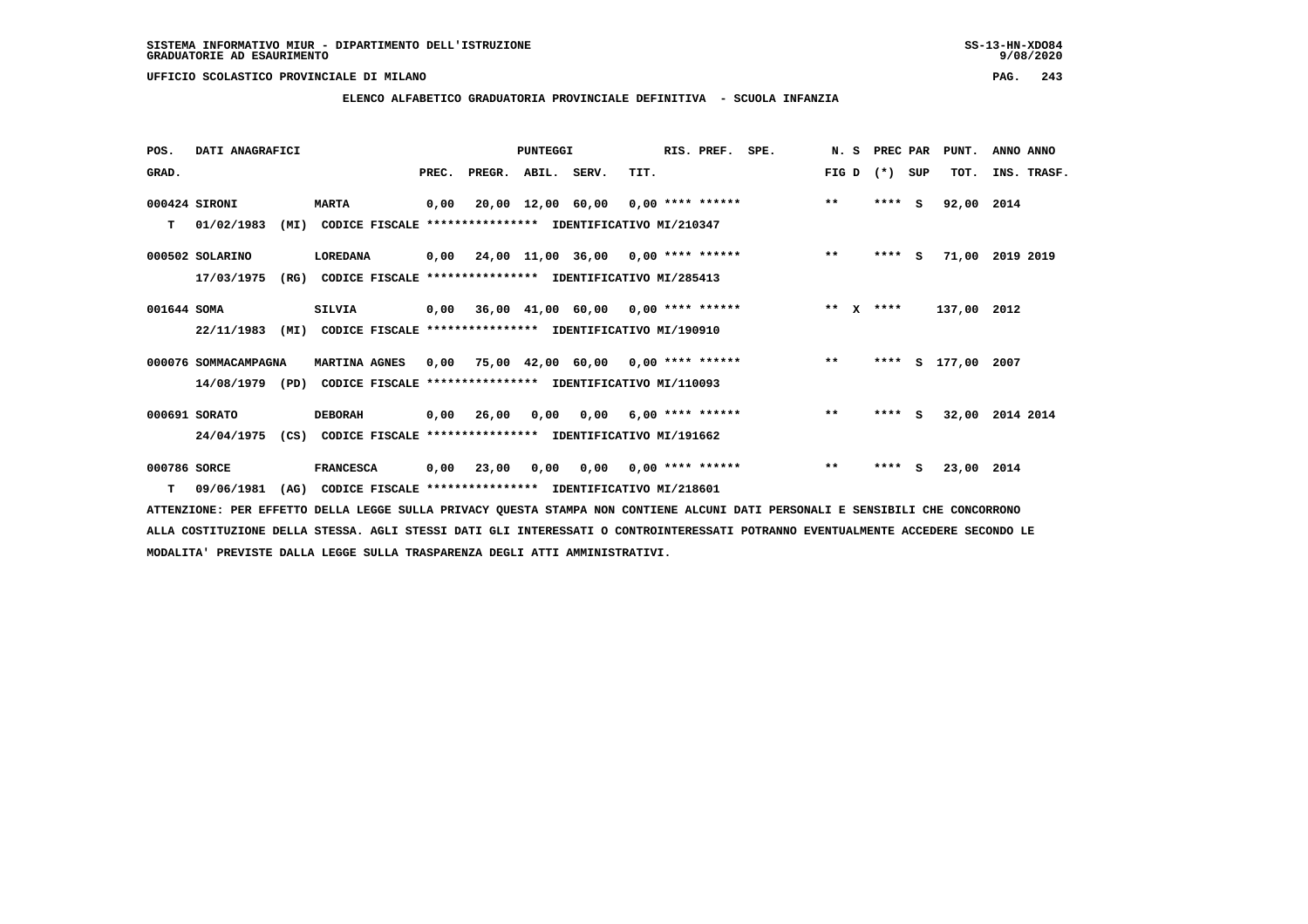**ELENCO ALFABETICO GRADUATORIA PROVINCIALE DEFINITIVA - SCUOLA INFANZIA**

| POS.         | DATI ANAGRAFICI      |      |                                                          |       |                    | PUNTEGGI |                                                         |      | RIS. PREF.                | SPE.                               | N. S    | PREC PAR |          | PUNT.       | ANNO ANNO       |
|--------------|----------------------|------|----------------------------------------------------------|-------|--------------------|----------|---------------------------------------------------------|------|---------------------------|------------------------------------|---------|----------|----------|-------------|-----------------|
| GRAD.        |                      |      |                                                          | PREC. | PREGR. ABIL. SERV. |          |                                                         | TIT. |                           |                                    | FIG D   | $(* )$   | SUP      | TOT.        | INS. TRASF.     |
|              | 000424 SIRONI        |      | <b>MARTA</b>                                             | 0,00  |                    |          |                                                         |      |                           | 20,00 12,00 60,00 0,00 **** ****** | $***$   | ****     | s        | 92,00 2014  |                 |
| т            | 01/02/1983           | (MI) | CODICE FISCALE **************** IDENTIFICATIVO MI/210347 |       |                    |          |                                                         |      |                           |                                    |         |          |          |             |                 |
|              | 000502 SOLARINO      |      | LOREDANA                                                 |       |                    |          | $0,00$ $24,00$ $11,00$ $36,00$ $0,00$ $***$ **** ****** |      |                           |                                    | $***$   | $***$ S  |          |             | 71,00 2019 2019 |
|              | 17/03/1975           | (RG) | CODICE FISCALE **************** IDENTIFICATIVO MI/285413 |       |                    |          |                                                         |      |                           |                                    |         |          |          |             |                 |
| 001644 SOMA  |                      |      | SILVIA                                                   |       |                    |          | $0,00$ 36,00 41,00 60,00 0,00 **** ******               |      |                           |                                    | $***$ X | ****     |          | 137,00 2012 |                 |
|              | 22/11/1983           | (MI) | CODICE FISCALE **************** IDENTIFICATIVO MI/190910 |       |                    |          |                                                         |      |                           |                                    |         |          |          |             |                 |
|              | 000076 SOMMACAMPAGNA |      | MARTINA AGNES                                            | 0,00  |                    |          |                                                         |      |                           | 75,00 42,00 60,00 0,00 **** ****** | $***$   | ****     |          | S 177,00    | 2007            |
|              | 14/08/1979 (PD)      |      | CODICE FISCALE                                           |       |                    |          | **************** IDENTIFICATIVO MI/110093               |      |                           |                                    |         |          |          |             |                 |
|              | 000691 SORATO        |      | <b>DEBORAH</b>                                           |       | 0,00 26,00         |          | $0,00$ $0,00$ $6,00$ **** ******                        |      |                           |                                    | $* *$   | $***$ S  |          |             | 32,00 2014 2014 |
|              | 24/04/1975           | (CS) | CODICE FISCALE **************** IDENTIFICATIVO MI/191662 |       |                    |          |                                                         |      |                           |                                    |         |          |          |             |                 |
| 000786 SORCE |                      |      | <b>FRANCESCA</b>                                         | 0,00  | 23,00              | 0,00     |                                                         |      | $0,00$ $0,00$ **** ****** |                                    | $***$   | ****     | <b>S</b> | 23,00 2014  |                 |
| т            | 09/06/1981           | (AG) | CODICE FISCALE **************** IDENTIFICATIVO MI/218601 |       |                    |          |                                                         |      |                           |                                    |         |          |          |             |                 |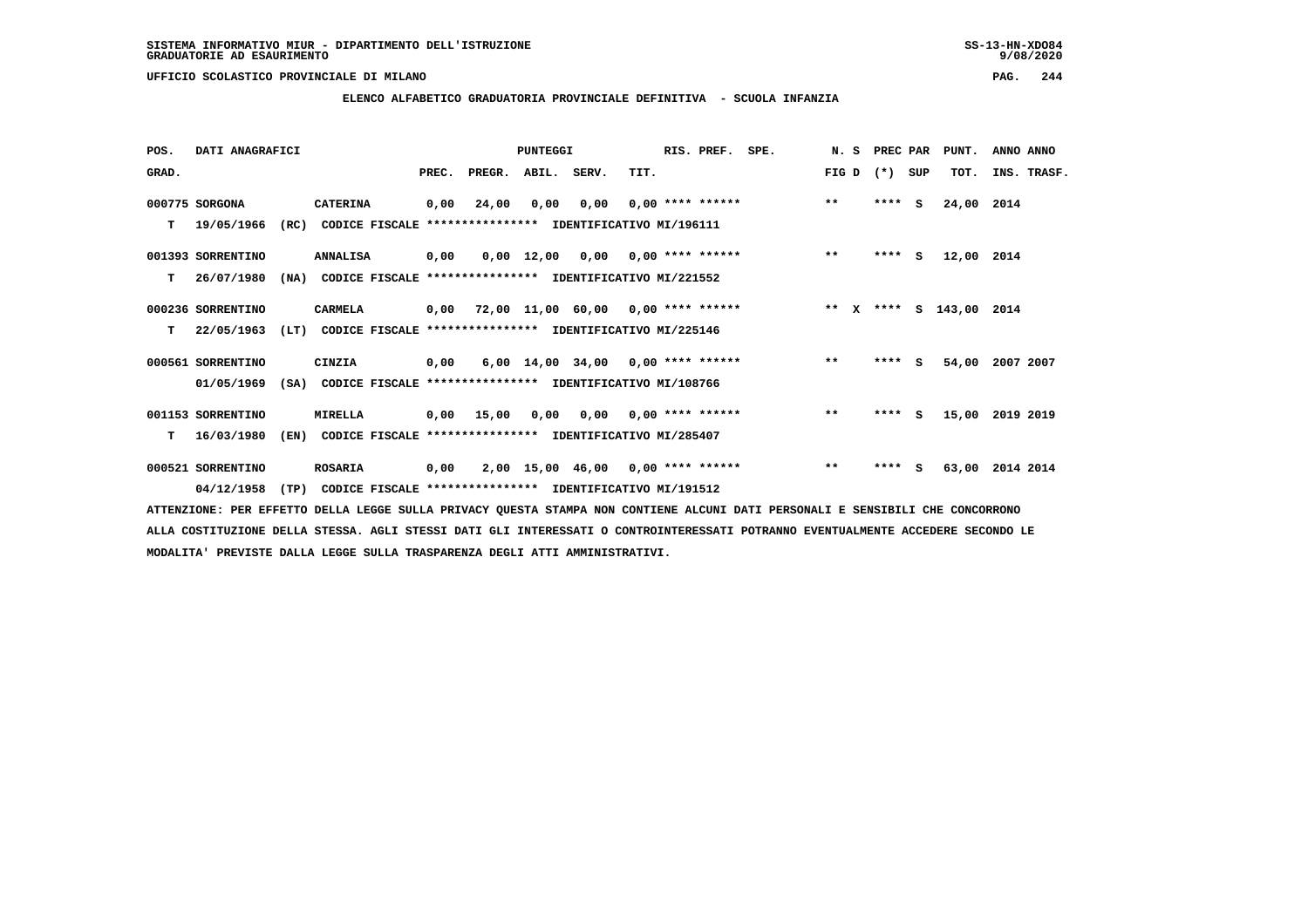**ELENCO ALFABETICO GRADUATORIA PROVINCIALE DEFINITIVA - SCUOLA INFANZIA**

 **POS. DATI ANAGRAFICI PUNTEGGI RIS. PREF. SPE. N. S PREC PAR PUNT. ANNO ANNO**GRAD. **PREGRADE SERVEGER. ABIL. SERV. TIT.** FIG D (\*) SUP TOT. INS. TRASF.  **000775 SORGONA CATERINA 0,00 24,00 0,00 0,00 0,00 \*\*\*\* \*\*\*\*\*\* \*\* \*\*\*\* S 24,00 2014 T 19/05/1966 (RC) CODICE FISCALE \*\*\*\*\*\*\*\*\*\*\*\*\*\*\*\* IDENTIFICATIVO MI/196111**

 **001393 SORRENTINO ANNALISA 0,00 0,00 12,00 0,00 0,00 \*\*\*\* \*\*\*\*\*\* \*\* \*\*\*\* S 12,00 2014 T 26/07/1980 (NA) CODICE FISCALE \*\*\*\*\*\*\*\*\*\*\*\*\*\*\*\* IDENTIFICATIVO MI/221552**

- **000236 SORRENTINO CARMELA 0,00 72,00 11,00 60,00 0,00 \*\*\*\* \*\*\*\*\*\* \*\* X \*\*\*\* S 143,00 2014 T 22/05/1963 (LT) CODICE FISCALE \*\*\*\*\*\*\*\*\*\*\*\*\*\*\*\* IDENTIFICATIVO MI/225146**
- **000561 SORRENTINO CINZIA 0,00 6,00 14,00 34,00 0,00 \*\*\*\* \*\*\*\*\*\* \*\* \*\*\*\* S 54,00 2007 2007 01/05/1969 (SA) CODICE FISCALE \*\*\*\*\*\*\*\*\*\*\*\*\*\*\*\* IDENTIFICATIVO MI/108766**

 **001153 SORRENTINO MIRELLA 0,00 15,00 0,00 0,00 0,00 \*\*\*\* \*\*\*\*\*\* \*\* \*\*\*\* S 15,00 2019 2019 T 16/03/1980 (EN) CODICE FISCALE \*\*\*\*\*\*\*\*\*\*\*\*\*\*\*\* IDENTIFICATIVO MI/285407**

 **000521 SORRENTINO ROSARIA 0,00 2,00 15,00 46,00 0,00 \*\*\*\* \*\*\*\*\*\* \*\* \*\*\*\* S 63,00 2014 2014 04/12/1958 (TP) CODICE FISCALE \*\*\*\*\*\*\*\*\*\*\*\*\*\*\*\* IDENTIFICATIVO MI/191512**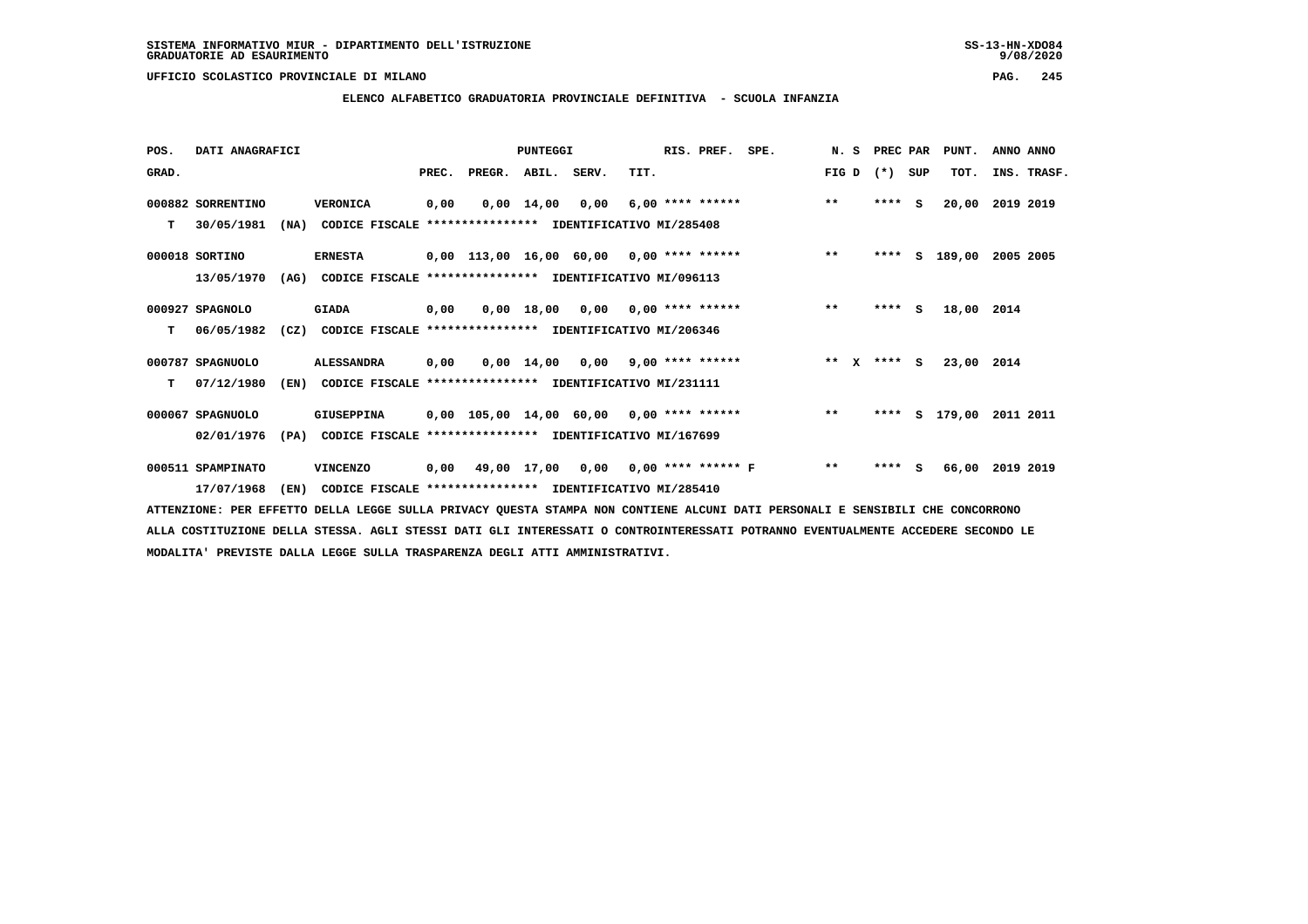**ELENCO ALFABETICO GRADUATORIA PROVINCIALE DEFINITIVA - SCUOLA INFANZIA**

 **POS. DATI ANAGRAFICI PUNTEGGI RIS. PREF. SPE. N. S PREC PAR PUNT. ANNO ANNO**GRAD. **PREGRADE SERVEGER. ABIL. SERV. TIT.** FIG D (\*) SUP TOT. INS. TRASF.  **000882 SORRENTINO VERONICA 0,00 0,00 14,00 0,00 6,00 \*\*\*\* \*\*\*\*\*\* \*\* \*\*\*\* S 20,00 2019 2019 T 30/05/1981 (NA) CODICE FISCALE \*\*\*\*\*\*\*\*\*\*\*\*\*\*\*\* IDENTIFICATIVO MI/285408 000018 SORTINO ERNESTA 0,00 113,00 16,00 60,00 0,00 \*\*\*\* \*\*\*\*\*\* \*\* \*\*\*\* S 189,00 2005 2005 13/05/1970 (AG) CODICE FISCALE \*\*\*\*\*\*\*\*\*\*\*\*\*\*\*\* IDENTIFICATIVO MI/096113 000927 SPAGNOLO GIADA 0,00 0,00 18,00 0,00 0,00 \*\*\*\* \*\*\*\*\*\* \*\* \*\*\*\* S 18,00 2014 T 06/05/1982 (CZ) CODICE FISCALE \*\*\*\*\*\*\*\*\*\*\*\*\*\*\*\* IDENTIFICATIVO MI/206346 000787 SPAGNUOLO ALESSANDRA 0,00 0,00 14,00 0,00 9,00 \*\*\*\* \*\*\*\*\*\* \*\* X \*\*\*\* S 23,00 2014 T 07/12/1980 (EN) CODICE FISCALE \*\*\*\*\*\*\*\*\*\*\*\*\*\*\*\* IDENTIFICATIVO MI/231111 000067 SPAGNUOLO GIUSEPPINA 0,00 105,00 14,00 60,00 0,00 \*\*\*\* \*\*\*\*\*\* \*\* \*\*\*\* S 179,00 2011 2011 02/01/1976 (PA) CODICE FISCALE \*\*\*\*\*\*\*\*\*\*\*\*\*\*\*\* IDENTIFICATIVO MI/167699 000511 SPAMPINATO VINCENZO 0,00 49,00 17,00 0,00 0,00 \*\*\*\* \*\*\*\*\*\* F \*\* \*\*\*\* S 66,00 2019 2019 17/07/1968 (EN) CODICE FISCALE \*\*\*\*\*\*\*\*\*\*\*\*\*\*\*\* IDENTIFICATIVO MI/285410**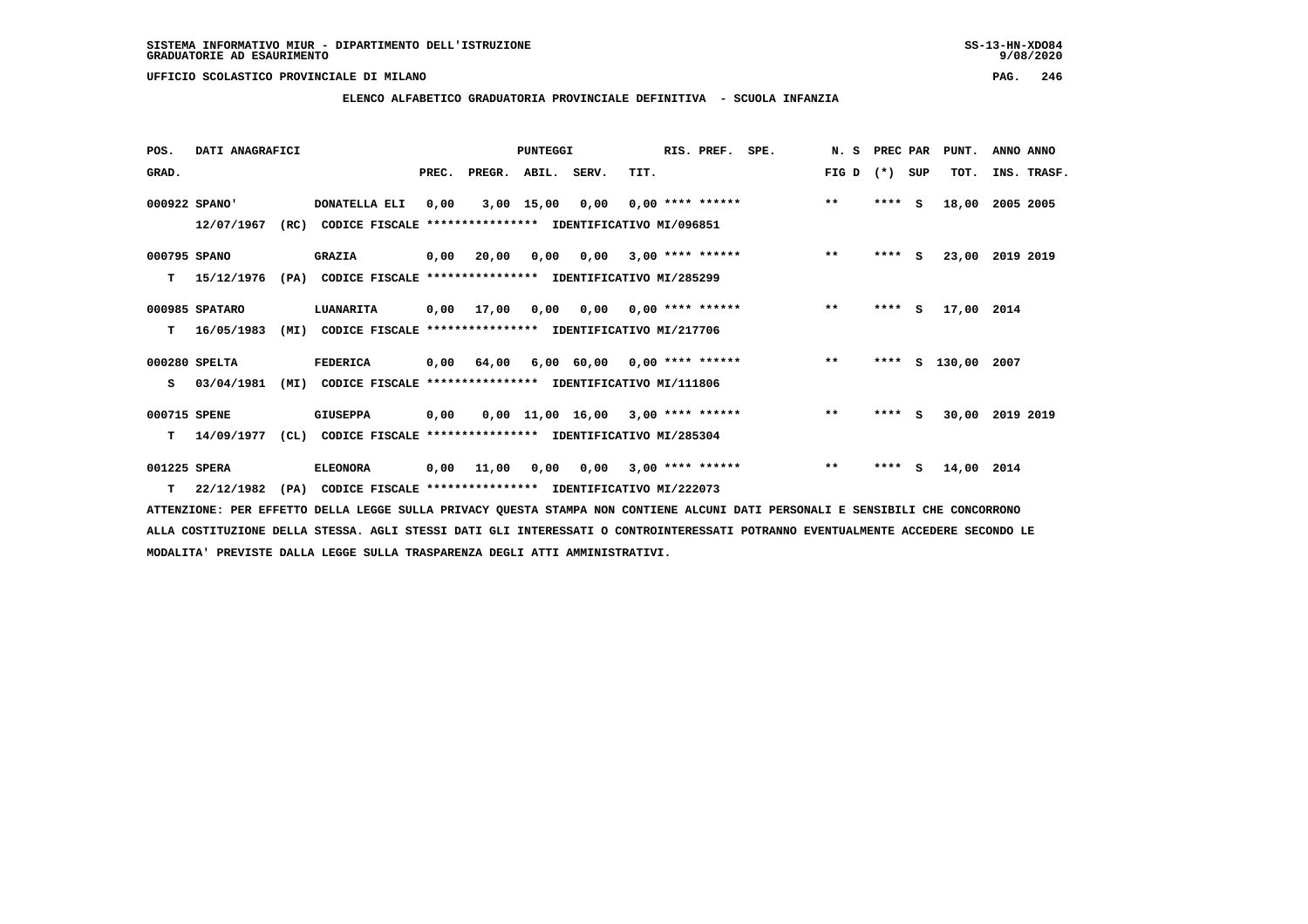**ELENCO ALFABETICO GRADUATORIA PROVINCIALE DEFINITIVA - SCUOLA INFANZIA**

 **POS. DATI ANAGRAFICI PUNTEGGI RIS. PREF. SPE. N. S PREC PAR PUNT. ANNO ANNO**GRAD. **BRAD. PREC. PREGR. ABIL. SERV.** TIT. **FIG D** (\*) SUP TOT. INS. TRASF.  **000922 SPANO' DONATELLA ELI 0,00 3,00 15,00 0,00 0,00 \*\*\*\* \*\*\*\*\*\* \*\* \*\*\*\* S 18,00 2005 2005 12/07/1967 (RC) CODICE FISCALE \*\*\*\*\*\*\*\*\*\*\*\*\*\*\*\* IDENTIFICATIVO MI/096851 000795 SPANO GRAZIA 0,00 20,00 0,00 0,00 3,00 \*\*\*\* \*\*\*\*\*\* \*\* \*\*\*\* S 23,00 2019 2019 T 15/12/1976 (PA) CODICE FISCALE \*\*\*\*\*\*\*\*\*\*\*\*\*\*\*\* IDENTIFICATIVO MI/285299 000985 SPATARO LUANARITA 0,00 17,00 0,00 0,00 0,00 \*\*\*\* \*\*\*\*\*\* \*\* \*\*\*\* S 17,00 2014 T 16/05/1983 (MI) CODICE FISCALE \*\*\*\*\*\*\*\*\*\*\*\*\*\*\*\* IDENTIFICATIVO MI/217706 000280 SPELTA FEDERICA 0,00 64,00 6,00 60,00 0,00 \*\*\*\* \*\*\*\*\*\* \*\* \*\*\*\* S 130,00 2007 S 03/04/1981 (MI) CODICE FISCALE \*\*\*\*\*\*\*\*\*\*\*\*\*\*\*\* IDENTIFICATIVO MI/111806 000715 SPENE GIUSEPPA 0,00 0,00 11,00 16,00 3,00 \*\*\*\* \*\*\*\*\*\* \*\* \*\*\*\* S 30,00 2019 2019 T 14/09/1977 (CL) CODICE FISCALE \*\*\*\*\*\*\*\*\*\*\*\*\*\*\*\* IDENTIFICATIVO MI/285304 001225 SPERA ELEONORA 0,00 11,00 0,00 0,00 3,00 \*\*\*\* \*\*\*\*\*\* \*\* \*\*\*\* S 14,00 2014**

 **T 22/12/1982 (PA) CODICE FISCALE \*\*\*\*\*\*\*\*\*\*\*\*\*\*\*\* IDENTIFICATIVO MI/222073**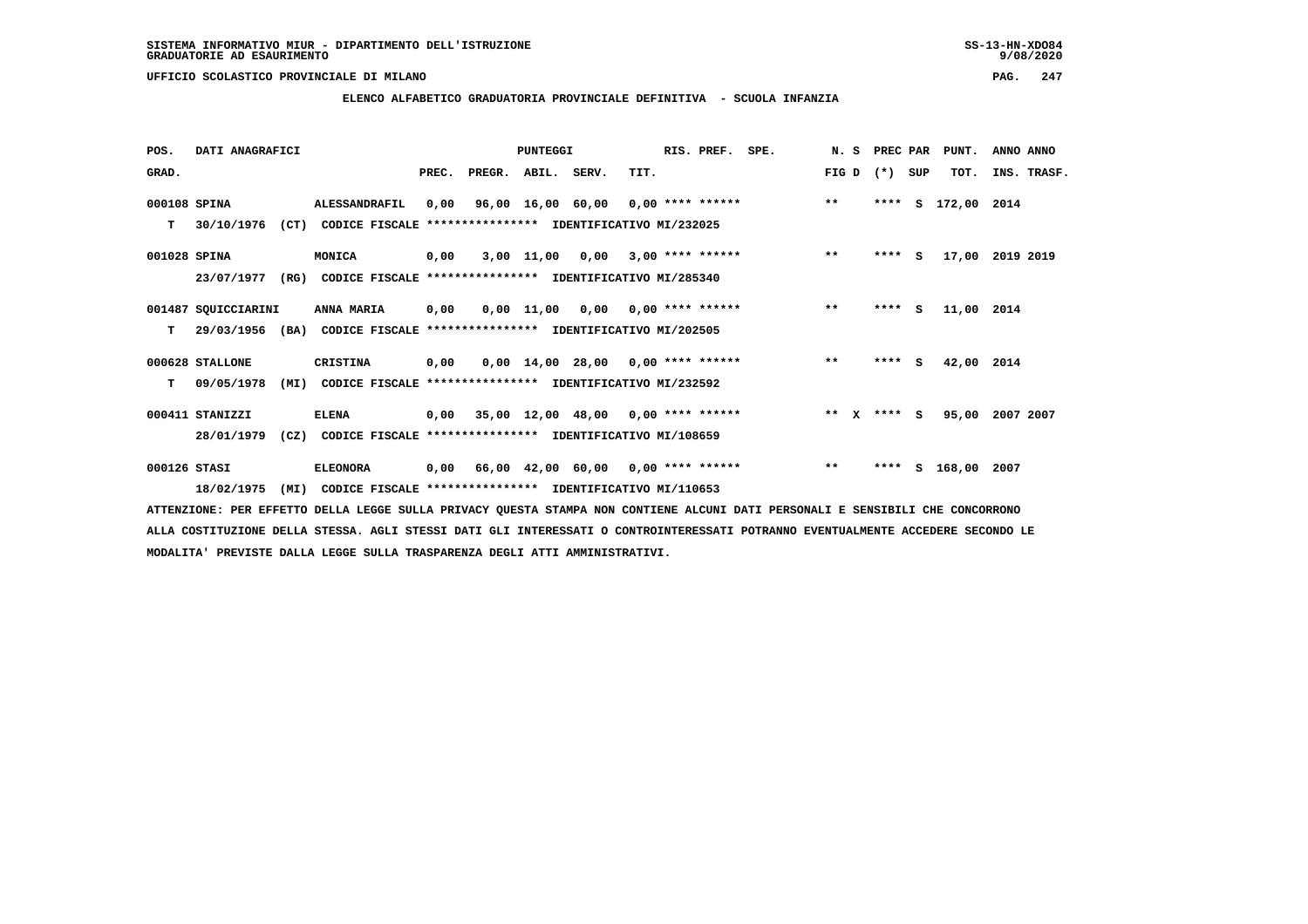**ELENCO ALFABETICO GRADUATORIA PROVINCIALE DEFINITIVA - SCUOLA INFANZIA**

| POS.         | DATI ANAGRAFICI                                                          |                                                               |       |                                           | <b>PUNTEGGI</b> |                                     |      | RIS. PREF.                | SPE. |        | N. S PREC PAR |     | PUNT.         | ANNO ANNO       |  |
|--------------|--------------------------------------------------------------------------|---------------------------------------------------------------|-------|-------------------------------------------|-----------------|-------------------------------------|------|---------------------------|------|--------|---------------|-----|---------------|-----------------|--|
| GRAD.        |                                                                          |                                                               | PREC. | PREGR. ABIL. SERV.                        |                 |                                     | TIT. |                           |      | FIG D  | $(* )$        | SUP | TOT.          | INS. TRASF.     |  |
| 000108 SPINA |                                                                          | ALESSANDRAFIL                                                 | 0,00  |                                           |                 | 96,00 16,00 60,00 0,00 **** ******  |      |                           |      | $***$  | ****          |     | S 172,00 2014 |                 |  |
| т            | 30/10/1976                                                               | (CT) CODICE FISCALE **************** IDENTIFICATIVO MI/232025 |       |                                           |                 |                                     |      |                           |      |        |               |     |               |                 |  |
| 001028 SPINA |                                                                          | MONICA                                                        | 0,00  |                                           |                 | $3,00$ 11,00 0,00 3,00 **** ******  |      |                           |      | $***$  | $***$ S       |     |               | 17,00 2019 2019 |  |
|              | 23/07/1977<br>(RG)                                                       | CODICE FISCALE **************** IDENTIFICATIVO MI/285340      |       |                                           |                 |                                     |      |                           |      |        |               |     |               |                 |  |
|              | 001487 SQUICCIARINI                                                      | <b>ANNA MARIA</b>                                             | 0,00  |                                           | 0,00 11,00      |                                     |      | $0,00$ $0,00$ **** ****** |      | $***$  | $***$ S       |     | 11,00 2014    |                 |  |
| т            | 29/03/1956 (BA) CODICE FISCALE **************** IDENTIFICATIVO MI/202505 |                                                               |       |                                           |                 |                                     |      |                           |      |        |               |     |               |                 |  |
|              | 000628 STALLONE                                                          | CRISTINA                                                      | 0,00  |                                           |                 | $0.00$ 14.00 28.00 0.00 **** ****** |      |                           |      | $***$  | ****          | S   | 42,00 2014    |                 |  |
| т            | 09/05/1978<br>(MI)                                                       | CODICE FISCALE **************** IDENTIFICATIVO MI/232592      |       |                                           |                 |                                     |      |                           |      |        |               |     |               |                 |  |
|              | 000411 STANIZZI                                                          | <b>ELENA</b>                                                  |       | $0,00$ 35,00 12,00 48,00 0,00 **** ****** |                 |                                     |      |                           |      | ** $X$ | $***$ S       |     | 95,00         | 2007 2007       |  |
|              | 28/01/1979<br>(CZ)                                                       | CODICE FISCALE **************** IDENTIFICATIVO MI/108659      |       |                                           |                 |                                     |      |                           |      |        |               |     |               |                 |  |
| 000126 STASI |                                                                          | <b>ELEONORA</b>                                               | 0,00  |                                           |                 | 66,00 42,00 60,00 0,00 **** ******  |      |                           |      | $***$  |               |     | **** S 168,00 | 2007            |  |
|              | 18/02/1975<br>(MI)                                                       | CODICE FISCALE **************** IDENTIFICATIVO MI/110653      |       |                                           |                 |                                     |      |                           |      |        |               |     |               |                 |  |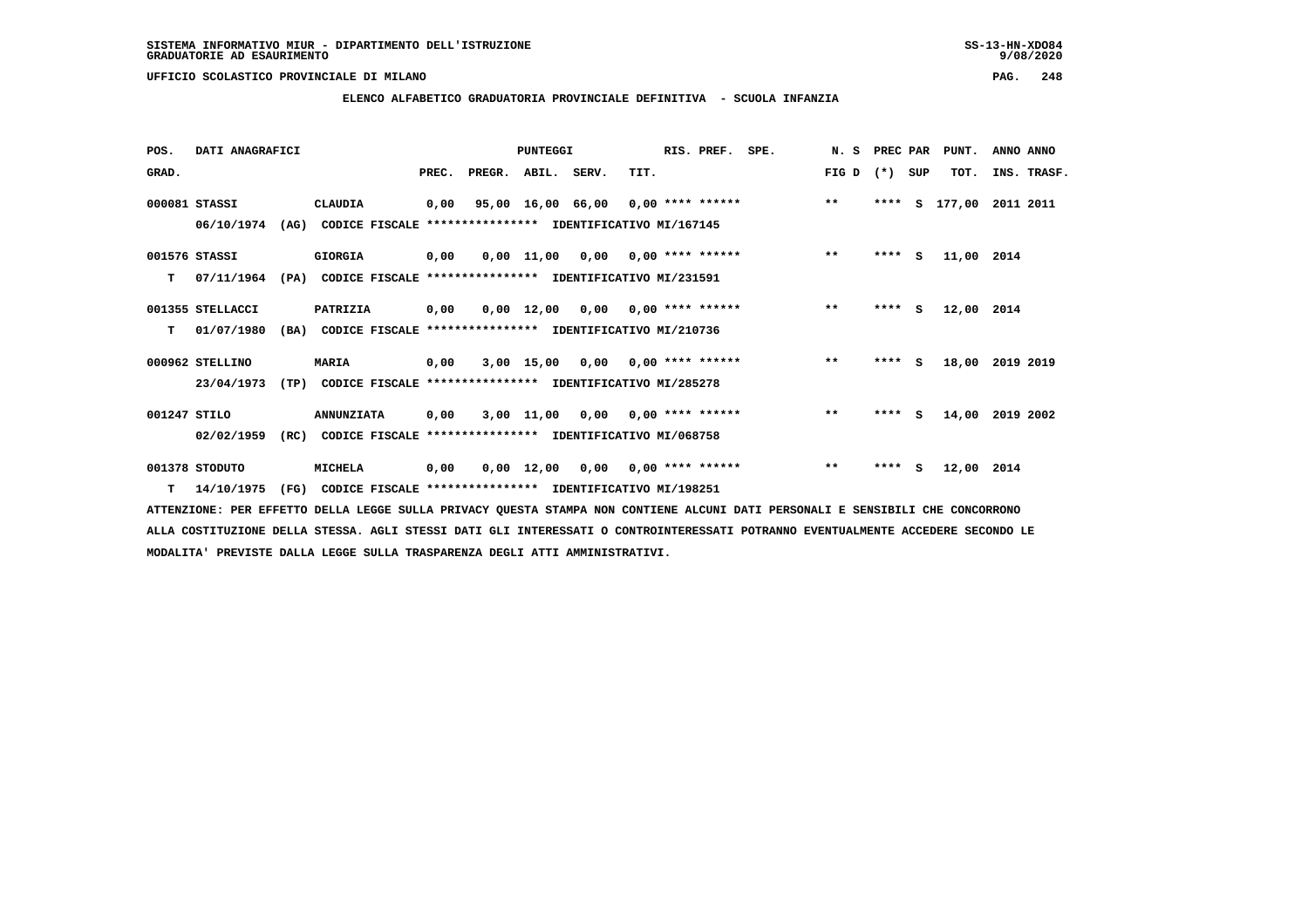**ELENCO ALFABETICO GRADUATORIA PROVINCIALE DEFINITIVA - SCUOLA INFANZIA**

| POS.         | DATI ANAGRAFICI  |      |                                                          |       |        | PUNTEGGI          |                                    |      | RIS. PREF.                | SPE. | N.S   | PREC PAR |     | PUNT.      | ANNO ANNO   |
|--------------|------------------|------|----------------------------------------------------------|-------|--------|-------------------|------------------------------------|------|---------------------------|------|-------|----------|-----|------------|-------------|
| GRAD.        |                  |      |                                                          | PREC. | PREGR. | ABIL. SERV.       |                                    | TIT. |                           |      | FIG D | $(* )$   | SUP | TOT.       | INS. TRASF. |
|              | 000081 STASSI    |      | CLAUDIA                                                  | 0,00  |        | 95,00 16,00 66,00 |                                    |      | $0,00$ **** ******        |      | $***$ | ****     | s   | 177,00     | 2011 2011   |
|              | 06/10/1974       | (AG) | CODICE FISCALE **************** IDENTIFICATIVO MI/167145 |       |        |                   |                                    |      |                           |      |       |          |     |            |             |
|              | 001576 STASSI    |      | GIORGIA                                                  | 0,00  |        |                   | $0.00$ 11,00 0.00 0.00 **** ****** |      |                           |      | $***$ | $***$ S  |     | 11,00 2014 |             |
| T.           | 07/11/1964       | (PA) | CODICE FISCALE **************** IDENTIFICATIVO MI/231591 |       |        |                   |                                    |      |                           |      |       |          |     |            |             |
|              | 001355 STELLACCI |      | PATRIZIA                                                 | 0,00  |        | 0,00 12,00        | $0,00$ $0,00$ **** ******          |      |                           |      | $***$ | **** S   |     | 12,00      | 2014        |
| т            | 01/07/1980       | (BA) | CODICE FISCALE **************** IDENTIFICATIVO MI/210736 |       |        |                   |                                    |      |                           |      |       |          |     |            |             |
|              | 000962 STELLINO  |      | <b>MARIA</b>                                             | 0,00  |        | $3,00$ 15,00      |                                    |      | $0.00$ $0.00$ **** ****** |      | $* *$ | ****     | -S  | 18,00      | 2019 2019   |
|              | 23/04/1973       | (TP) | CODICE FISCALE **************** IDENTIFICATIVO MI/285278 |       |        |                   |                                    |      |                           |      |       |          |     |            |             |
| 001247 STILO |                  |      | <b>ANNUNZIATA</b>                                        | 0,00  |        |                   | $3,00$ 11,00 0,00 0,00 **** ****** |      |                           |      | $***$ | $***$ S  |     | 14,00      | 2019 2002   |
|              | 02/02/1959       | (RC) | CODICE FISCALE **************** IDENTIFICATIVO MI/068758 |       |        |                   |                                    |      |                           |      |       |          |     |            |             |
|              | 001378 STODUTO   |      | MICHELA                                                  | 0,00  |        | 0,00 12,00        | 0,00                               |      | $0,00$ **** ******        |      | $* *$ | ****     | s   | 12,00 2014 |             |
|              | $T = 14/10/1975$ | (FG) | CODICE FISCALE **************** IDENTIFICATIVO MI/198251 |       |        |                   |                                    |      |                           |      |       |          |     |            |             |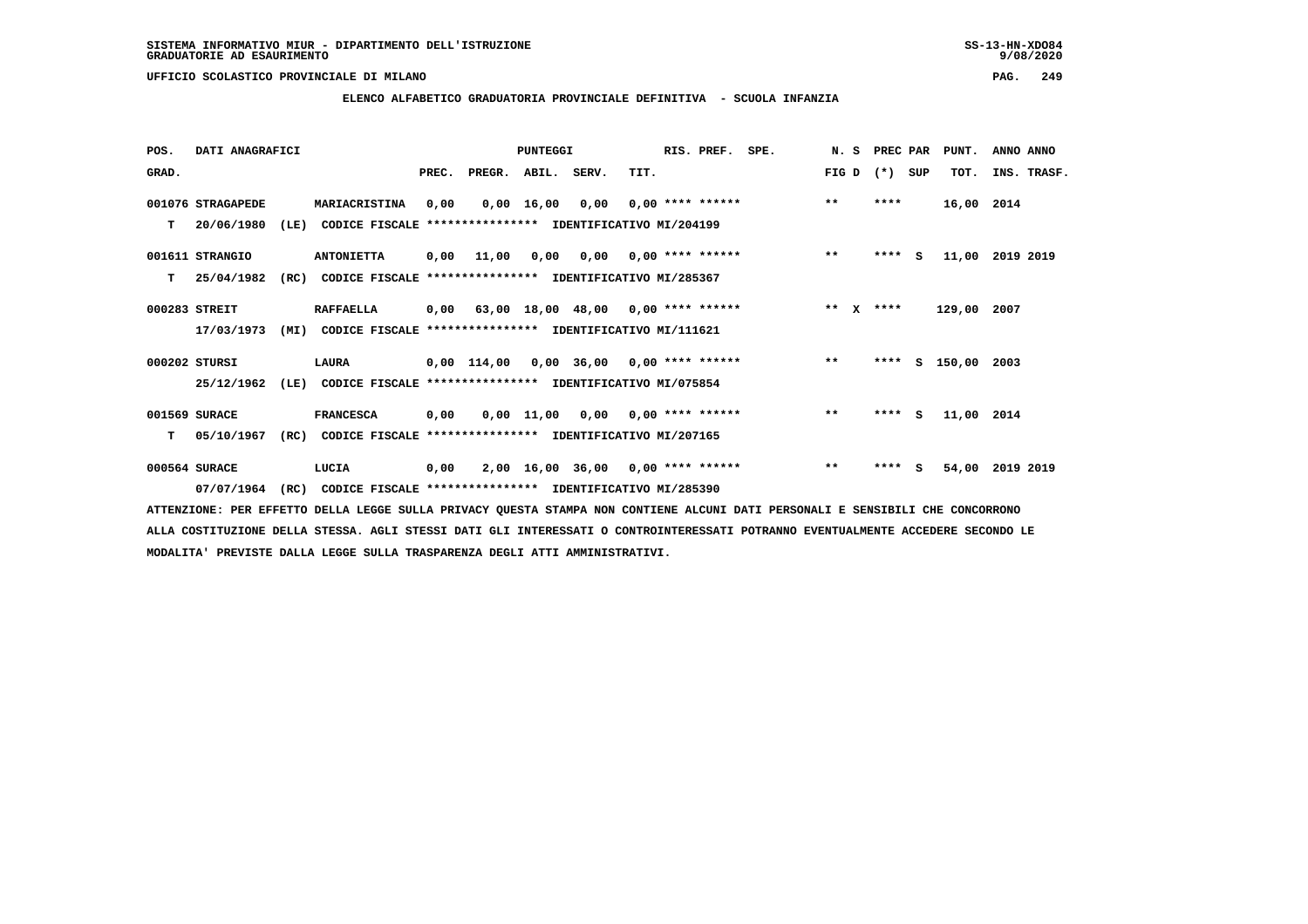$9/08/2020$ 

 **UFFICIO SCOLASTICO PROVINCIALE DI MILANO PAG. 249**

### **ELENCO ALFABETICO GRADUATORIA PROVINCIALE DEFINITIVA - SCUOLA INFANZIA**

| POS.  | DATI ANAGRAFICI   |      |                                                          |       |                                           | <b>PUNTEGGI</b> |                                      |      | RIS. PREF.                | SPE. | N. S                  | PREC PAR |          | PUNT.      | ANNO ANNO   |
|-------|-------------------|------|----------------------------------------------------------|-------|-------------------------------------------|-----------------|--------------------------------------|------|---------------------------|------|-----------------------|----------|----------|------------|-------------|
| GRAD. |                   |      |                                                          | PREC. | PREGR.                                    | ABIL. SERV.     |                                      | TIT. |                           |      | FIG D                 | $(* )$   | SUP      | TOT.       | INS. TRASF. |
|       | 001076 STRAGAPEDE |      | MARIACRISTINA                                            | 0,00  |                                           | $0,00$ 16,00    | 0,00                                 |      | $0.00$ **** ******        |      | $***$                 | ****     |          | 16,00 2014 |             |
| т     | 20/06/1980        | (LE) | CODICE FISCALE **************** IDENTIFICATIVO MI/204199 |       |                                           |                 |                                      |      |                           |      |                       |          |          |            |             |
|       | 001611 STRANGIO   |      | <b>ANTONIETTA</b>                                        | 0,00  | 11,00                                     | 0,00            |                                      |      | $0,00$ $0,00$ **** ****** |      | $**$                  | $***$ S  |          | 11,00      | 2019 2019   |
| т     | 25/04/1982        | (RC) | CODICE FISCALE **************** IDENTIFICATIVO MI/285367 |       |                                           |                 |                                      |      |                           |      |                       |          |          |            |             |
|       | 000283 STREIT     |      | <b>RAFFAELLA</b>                                         | 0,00  |                                           |                 | $63,00$ 18,00 48,00 0,00 **** ****** |      |                           |      | $* *$<br>$\mathbf{x}$ | ****     |          | 129,00     | 2007        |
|       | 17/03/1973        | (MI) | CODICE FISCALE **************** IDENTIFICATIVO MI/111621 |       |                                           |                 |                                      |      |                           |      |                       |          |          |            |             |
|       | 000202 STURSI     |      | LAURA                                                    |       | $0,00$ 114,00 0,00 36,00 0,00 **** ****** |                 |                                      |      |                           |      | $***$                 | ****     |          | s 150,00   | 2003        |
|       | 25/12/1962        | (LE) | CODICE FISCALE **************** IDENTIFICATIVO MI/075854 |       |                                           |                 |                                      |      |                           |      |                       |          |          |            |             |
|       | 001569 SURACE     |      | <b>FRANCESCA</b>                                         | 0,00  |                                           | $0,00$ 11,00    | 0,00                                 |      | $0.00$ **** ******        |      | $***$                 | ****     | <b>S</b> | 11,00 2014 |             |
| т     | 05/10/1967        | (RC) | CODICE FISCALE **************** IDENTIFICATIVO MI/207165 |       |                                           |                 |                                      |      |                           |      |                       |          |          |            |             |
|       | 000564 SURACE     |      | LUCIA                                                    | 0,00  |                                           |                 | $2,00$ 16,00 36,00 0,00 **** ******  |      |                           |      | $***$                 | ****     | s        | 54,00      | 2019 2019   |
|       | 07/07/1964        | (RC) | CODICE FISCALE **************** IDENTIFICATIVO MI/285390 |       |                                           |                 |                                      |      |                           |      |                       |          |          |            |             |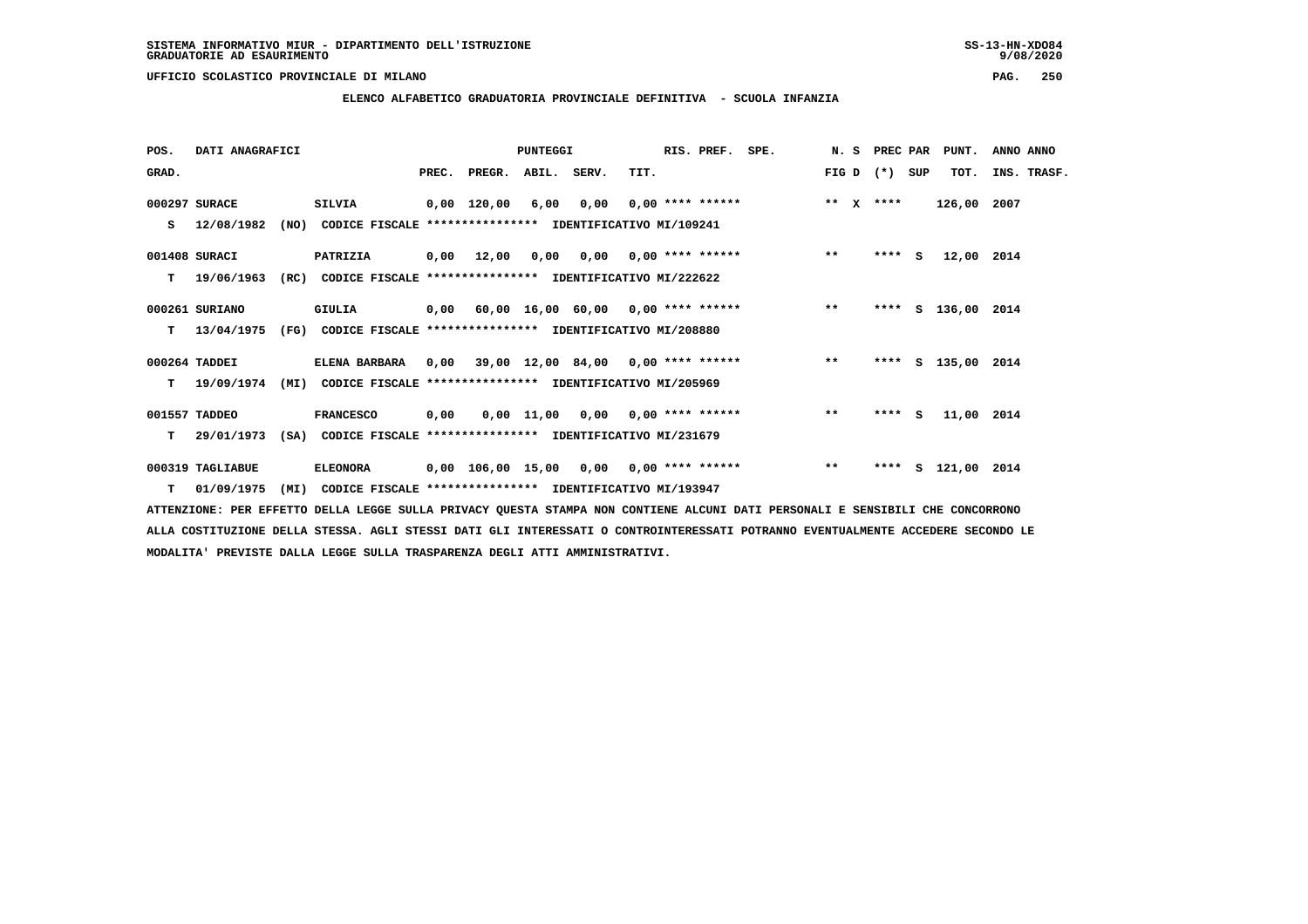$9/08/2020$ 

 **UFFICIO SCOLASTICO PROVINCIALE DI MILANO PAG. 250**

### **ELENCO ALFABETICO GRADUATORIA PROVINCIALE DEFINITIVA - SCUOLA INFANZIA**

| POS.  | DATI ANAGRAFICI  |      |                                                                           |      |                          | PUNTEGGI |      | RIS. PREF. SPE. |                                                        |                 | N. S PREC PAR | PUNT.              | ANNO ANNO   |  |
|-------|------------------|------|---------------------------------------------------------------------------|------|--------------------------|----------|------|-----------------|--------------------------------------------------------|-----------------|---------------|--------------------|-------------|--|
| GRAD. |                  |      |                                                                           |      | PREC. PREGR. ABIL. SERV. |          | TIT. |                 |                                                        | FIG D $(*)$ SUP |               | TOT.               | INS. TRASF. |  |
|       | 000297 SURACE    |      | SILVIA                                                                    |      | 0,00 120,00 6,00         |          |      |                 | $0,00$ $0,00$ **** ****** *** ** X ****                |                 |               | 126,00 2007        |             |  |
|       | S 12/08/1982     |      | (NO) CODICE FISCALE **************** IDENTIFICATIVO MI/109241             |      |                          |          |      |                 |                                                        |                 |               |                    |             |  |
|       | 001408 SURACI    |      | <b>PATRIZIA</b>                                                           |      |                          |          |      |                 | 0,00 12,00 0,00 0,00 0,00 **** ******                  | $***$           | **** $S$      | 12,00 2014         |             |  |
| T.    | 19/06/1963       |      | (RC) CODICE FISCALE **************** IDENTIFICATIVO MI/222622             |      |                          |          |      |                 |                                                        |                 |               |                    |             |  |
|       | 000261 SURIANO   |      | GIULIA                                                                    |      |                          |          |      |                 | 0,00 60,00 16,00 60,00 0,00 **** ****** **** ***       |                 |               | **** S 136,00 2014 |             |  |
|       |                  |      | T 13/04/1975 (FG) CODICE FISCALE *************** IDENTIFICATIVO MI/208880 |      |                          |          |      |                 |                                                        |                 |               |                    |             |  |
|       | 000264 TADDEI    |      | <b>ELENA BARBARA</b>                                                      |      |                          |          |      |                 | $0,00$ 39,00 12,00 84,00 0,00 **** ****** *** **       |                 |               | **** S 135,00 2014 |             |  |
|       | 19/09/1974       | (MI) | CODICE FISCALE **************** IDENTIFICATIVO MI/205969                  |      |                          |          |      |                 |                                                        |                 |               |                    |             |  |
|       | 001557 TADDEO    |      | <b>FRANCESCO</b>                                                          | 0,00 |                          |          |      |                 | $0,00$ 11,00 0,00 0,00 **** ****** *** **              |                 | $***$ S       | 11,00 2014         |             |  |
|       |                  |      | T 29/01/1973 (SA) CODICE FISCALE *************** IDENTIFICATIVO MI/231679 |      |                          |          |      |                 |                                                        |                 |               |                    |             |  |
|       | 000319 TAGLIABUE |      | <b>ELEONORA</b>                                                           |      |                          |          |      |                 | 0,00 106,00 15,00 0,00 0,00 **** ******             ** |                 |               | **** S 121,00 2014 |             |  |
| T.    | 01/09/1975       | (MI) | CODICE FISCALE **************** IDENTIFICATIVO MI/193947                  |      |                          |          |      |                 |                                                        |                 |               |                    |             |  |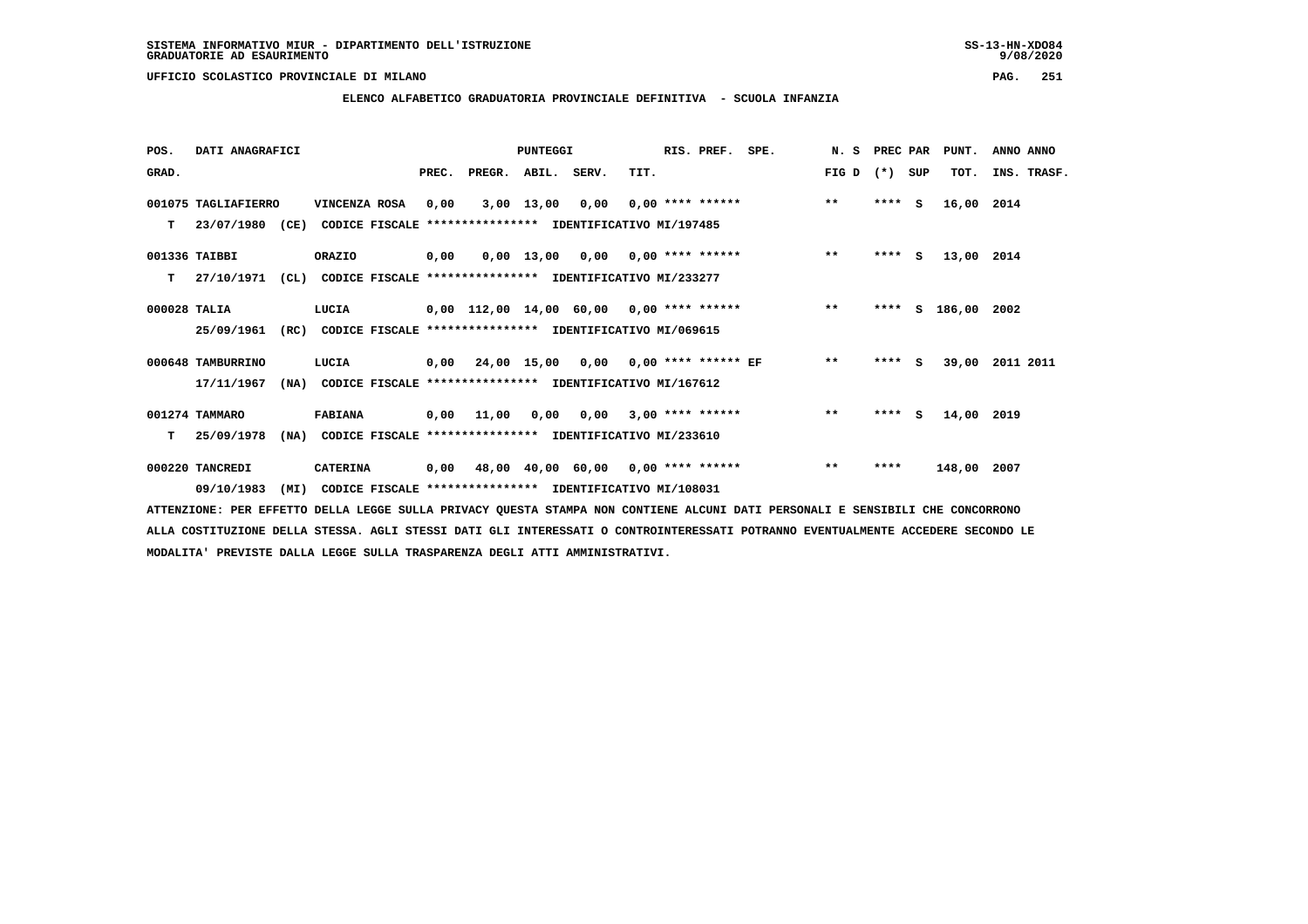### **ELENCO ALFABETICO GRADUATORIA PROVINCIALE DEFINITIVA - SCUOLA INFANZIA**

| POS.         | DATI ANAGRAFICI     |                                                                  |       |                    | <b>PUNTEGGI</b> |                                             |      | RIS. PREF. | SPE.               | N.S   | PREC PAR |     | PUNT.         | ANNO ANNO   |
|--------------|---------------------|------------------------------------------------------------------|-------|--------------------|-----------------|---------------------------------------------|------|------------|--------------------|-------|----------|-----|---------------|-------------|
| GRAD.        |                     |                                                                  | PREC. | PREGR. ABIL. SERV. |                 |                                             | TIT. |            |                    | FIG D | $(*)$    | SUP | TOT.          | INS. TRASF. |
|              | 001075 TAGLIAFIERRO | VINCENZA ROSA                                                    | 0,00  |                    | 3,00 13,00      | 0,00                                        |      |            | $0,00$ **** ****** | $***$ | $***$ S  |     | 16,00 2014    |             |
| т            | 23/07/1980 (CE)     | CODICE FISCALE **************** IDENTIFICATIVO MI/197485         |       |                    |                 |                                             |      |            |                    |       |          |     |               |             |
|              | 001336 TAIBBI       | ORAZIO                                                           | 0,00  |                    |                 | $0,00$ 13,00 0,00 0,00 **** ******          |      |            |                    | $***$ | $***$ S  |     | 13,00 2014    |             |
| т            | 27/10/1971          | CL)<br>CODICE FISCALE **************** IDENTIFICATIVO MI/233277  |       |                    |                 |                                             |      |            |                    |       |          |     |               |             |
| 000028 TALIA |                     | LUCIA                                                            |       |                    |                 | 0,00 112,00 14,00 60,00 0,00 **** ******    |      |            |                    | $***$ | ****     |     | S 186,00 2002 |             |
|              | 25/09/1961          | (RC)<br>CODICE FISCALE **************** IDENTIFICATIVO MI/069615 |       |                    |                 |                                             |      |            |                    |       |          |     |               |             |
|              | 000648 TAMBURRINO   | LUCIA                                                            |       |                    |                 | $0,00$ 24,00 15,00 0,00 0,00 **** ****** EF |      |            |                    | $***$ | $***$ S  |     | 39,00         | 2011 2011   |
|              | 17/11/1967          | (NA)<br>CODICE FISCALE **************** IDENTIFICATIVO MI/167612 |       |                    |                 |                                             |      |            |                    |       |          |     |               |             |
|              | 001274 TAMMARO      | <b>FABIANA</b>                                                   |       |                    |                 | $0,00$ 11,00 0,00 0,00 3,00 **** ******     |      |            |                    | $* *$ | $***$ S  |     | 14,00 2019    |             |
| т            | 25/09/1978          | (NA)<br>CODICE FISCALE **************** IDENTIFICATIVO MI/233610 |       |                    |                 |                                             |      |            |                    |       |          |     |               |             |
|              | 000220 TANCREDI     | <b>CATERINA</b>                                                  | 0,00  |                    |                 | 48,00 40,00 60,00 0,00 **** ******          |      |            |                    | $* *$ | ****     |     | 148,00 2007   |             |
|              | 09/10/1983          | (MI)<br>CODICE FISCALE **************** IDENTIFICATIVO MI/108031 |       |                    |                 |                                             |      |            |                    |       |          |     |               |             |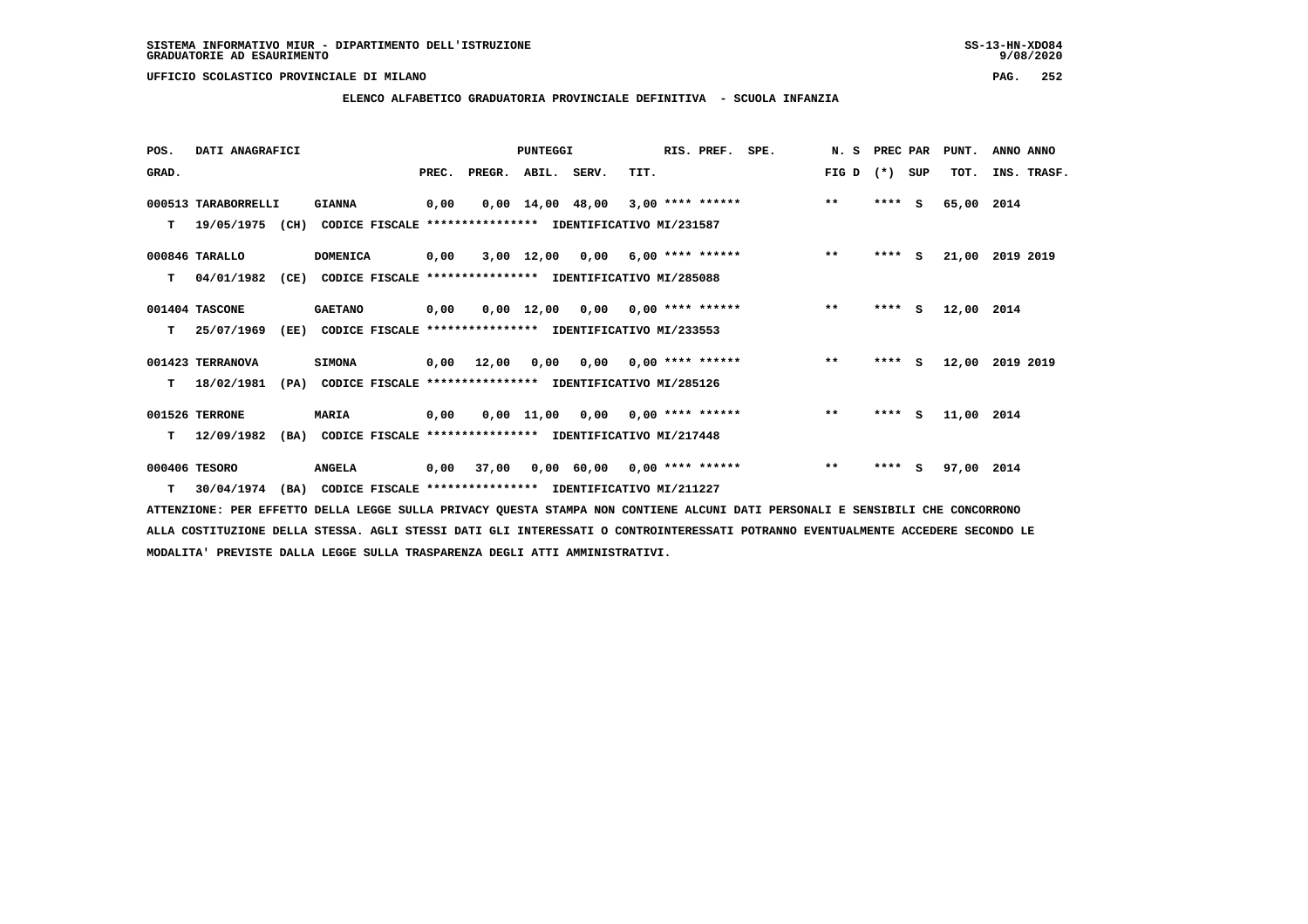$9/08/2020$ 

 **UFFICIO SCOLASTICO PROVINCIALE DI MILANO PAG. 252**

 **ELENCO ALFABETICO GRADUATORIA PROVINCIALE DEFINITIVA - SCUOLA INFANZIA**

| POS.  | DATI ANAGRAFICI     |                                                          |       |        | <b>PUNTEGGI</b> |                                    |      | RIS. PREF.                | SPE. | N.S   | PREC PAR |          | PUNT.      | ANNO ANNO   |
|-------|---------------------|----------------------------------------------------------|-------|--------|-----------------|------------------------------------|------|---------------------------|------|-------|----------|----------|------------|-------------|
| GRAD. |                     |                                                          | PREC. | PREGR. | ABIL. SERV.     |                                    | TIT. |                           |      | FIG D | $(*)$    | SUP      | TOT.       | INS. TRASF. |
|       | 000513 TARABORRELLI | <b>GIANNA</b>                                            | 0,00  |        |                 | $0,00$ $14,00$ $48,00$             |      | $3,00$ **** ******        |      | $***$ | ****     | - S      | 65,00      | 2014        |
| т     | 19/05/1975 (CH)     | CODICE FISCALE **************** IDENTIFICATIVO MI/231587 |       |        |                 |                                    |      |                           |      |       |          |          |            |             |
|       | 000846 TARALLO      | <b>DOMENICA</b>                                          | 0,00  |        |                 | $3,00$ 12,00 0,00 6,00 **** ****** |      |                           |      | $***$ | ****     | s        | 21,00      | 2019 2019   |
| т     | 04/01/1982<br>(CE)  | CODICE FISCALE **************** IDENTIFICATIVO MI/285088 |       |        |                 |                                    |      |                           |      |       |          |          |            |             |
|       | 001404 TASCONE      | <b>GAETANO</b>                                           | 0,00  |        | 0,00 12,00      | $0,00$ $0,00$ **** ******          |      |                           |      | $***$ | ****     | s.       | 12,00 2014 |             |
| т     | 25/07/1969<br>(EE)  | CODICE FISCALE **************** IDENTIFICATIVO MI/233553 |       |        |                 |                                    |      |                           |      |       |          |          |            |             |
|       | 001423 TERRANOVA    | <b>SIMONA</b>                                            | 0,00  | 12,00  | 0,00            |                                    |      | $0.00$ $0.00$ **** ****** |      | $***$ | $***$ S  |          | 12,00      | 2019 2019   |
| т     | 18/02/1981<br>(PA)  | CODICE FISCALE **************** IDENTIFICATIVO MI/285126 |       |        |                 |                                    |      |                           |      |       |          |          |            |             |
|       | 001526 TERRONE      | MARIA                                                    | 0,00  |        |                 | $0,00$ 11,00 0,00 0,00 **** ****** |      |                           |      | $**$  | $***$ S  |          | 11,00 2014 |             |
| т     | 12/09/1982<br>(BA)  | CODICE FISCALE **************** IDENTIFICATIVO MI/217448 |       |        |                 |                                    |      |                           |      |       |          |          |            |             |
|       | 000406 TESORO       | <b>ANGELA</b>                                            | 0,00  | 37,00  |                 | $0,00$ 60,00 0,00 **** ******      |      |                           |      | $***$ | ****     | <b>S</b> | 97,00 2014 |             |
| т     | 30/04/1974<br>(BA)  | CODICE FISCALE **************** IDENTIFICATIVO MI/211227 |       |        |                 |                                    |      |                           |      |       |          |          |            |             |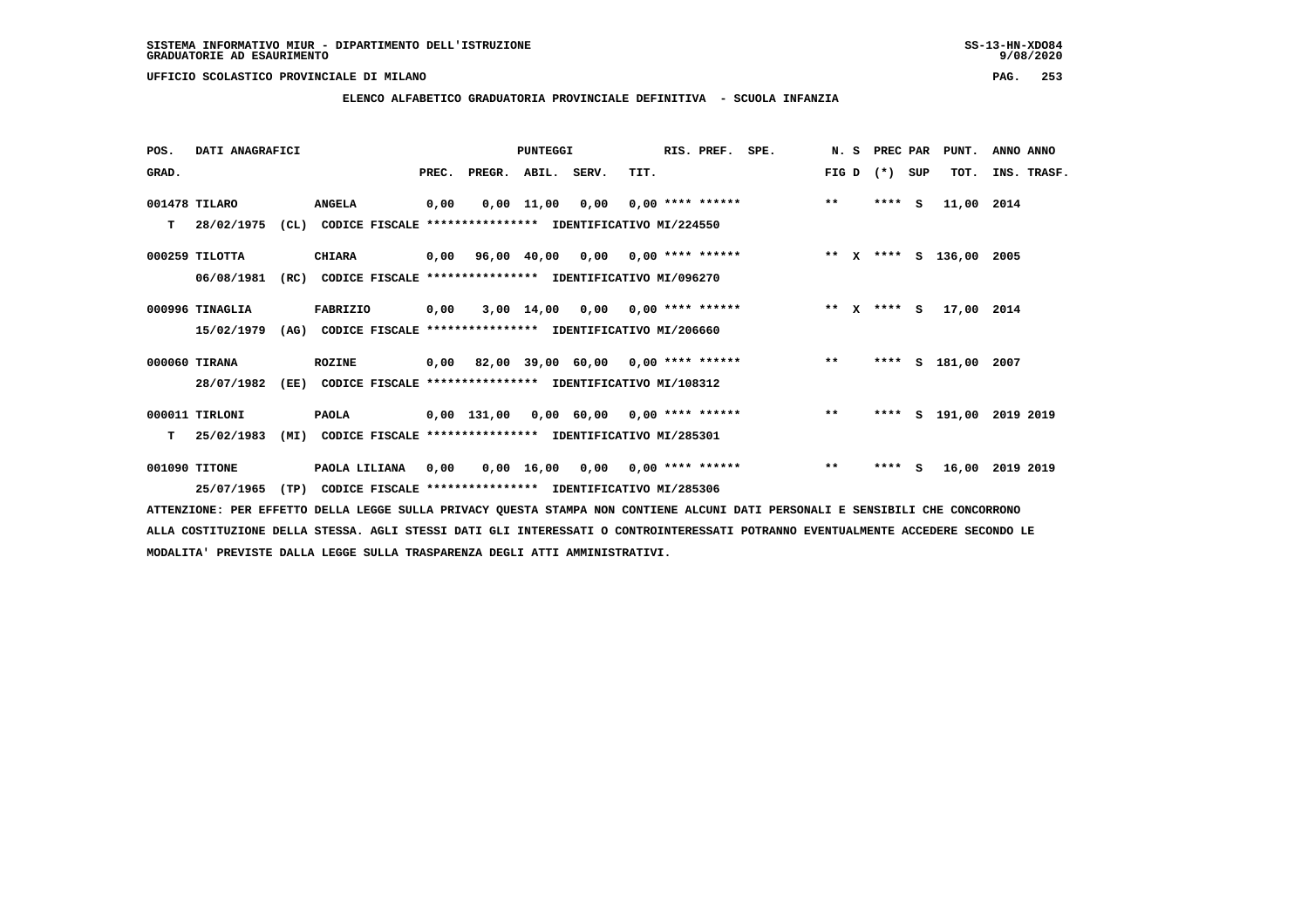**ELENCO ALFABETICO GRADUATORIA PROVINCIALE DEFINITIVA - SCUOLA INFANZIA**

| POS.  | DATI ANAGRAFICI |      |                                                               |       |                                           | <b>PUNTEGGI</b> |      |      | RIS. PREF.                      | SPE.                                    |       | N. S | PREC PAR    |     | PUNT.                   | ANNO ANNO |             |
|-------|-----------------|------|---------------------------------------------------------------|-------|-------------------------------------------|-----------------|------|------|---------------------------------|-----------------------------------------|-------|------|-------------|-----|-------------------------|-----------|-------------|
| GRAD. |                 |      |                                                               | PREC. | PREGR. ABIL. SERV.                        |                 |      | TIT. |                                 |                                         | FIG D |      | $(* )$      | SUP | TOT.                    |           | INS. TRASF. |
|       | 001478 TILARO   |      | <b>ANGELA</b>                                                 | 0,00  |                                           | $0.00$ 11.00    | 0,00 |      | $0.00$ **** ******              |                                         | $***$ |      | $***$ S     |     | 11,00 2014              |           |             |
| т     | 28/02/1975      |      | (CL) CODICE FISCALE **************** IDENTIFICATIVO MI/224550 |       |                                           |                 |      |      |                                 |                                         |       |      |             |     |                         |           |             |
|       | 000259 TILOTTA  |      | <b>CHIARA</b>                                                 |       | $0,00$ 96,00 40,00 0,00 0,00 **** ******  |                 |      |      |                                 |                                         |       |      |             |     | ** x **** s 136,00      | 2005      |             |
|       | 06/08/1981      | (RC) | CODICE FISCALE **************** IDENTIFICATIVO MI/096270      |       |                                           |                 |      |      |                                 |                                         |       |      |             |     |                         |           |             |
|       | 000996 TINAGLIA |      | FABRIZIO                                                      | 0,00  |                                           | 3,00 14,00      |      |      | $0,00$ $0,00$ **** ******       |                                         |       |      | ** x **** S |     | 17,00 2014              |           |             |
|       | 15/02/1979      | (AG) | CODICE FISCALE **************** IDENTIFICATIVO MI/206660      |       |                                           |                 |      |      |                                 |                                         |       |      |             |     |                         |           |             |
|       | 000060 TIRANA   |      | <b>ROZINE</b>                                                 |       |                                           |                 |      |      |                                 | 0,00 82,00 39,00 60,00 0,00 **** ****** | $***$ |      | ****        |     | S 181,00 2007           |           |             |
|       | 28/07/1982      | (EE) | CODICE FISCALE **************** IDENTIFICATIVO MI/108312      |       |                                           |                 |      |      |                                 |                                         |       |      |             |     |                         |           |             |
|       | 000011 TIRLONI  |      | <b>PAOLA</b>                                                  |       | $0,00$ 131,00 0,00 60,00 0,00 **** ****** |                 |      |      |                                 |                                         | $***$ |      |             |     | **** S 191,00 2019 2019 |           |             |
| т     | 25/02/1983      | (MI) | CODICE FISCALE **************** IDENTIFICATIVO MI/285301      |       |                                           |                 |      |      |                                 |                                         |       |      |             |     |                         |           |             |
|       | 001090 TITONE   |      | PAOLA LILIANA                                                 | 0,00  |                                           | 0,00 16,00      |      |      | $0.00$ $0.00$ $***$ **** ****** |                                         | $***$ |      | **** S      |     | 16,00                   | 2019 2019 |             |
|       | 25/07/1965      | (TP) | CODICE FISCALE **************** IDENTIFICATIVO MI/285306      |       |                                           |                 |      |      |                                 |                                         |       |      |             |     |                         |           |             |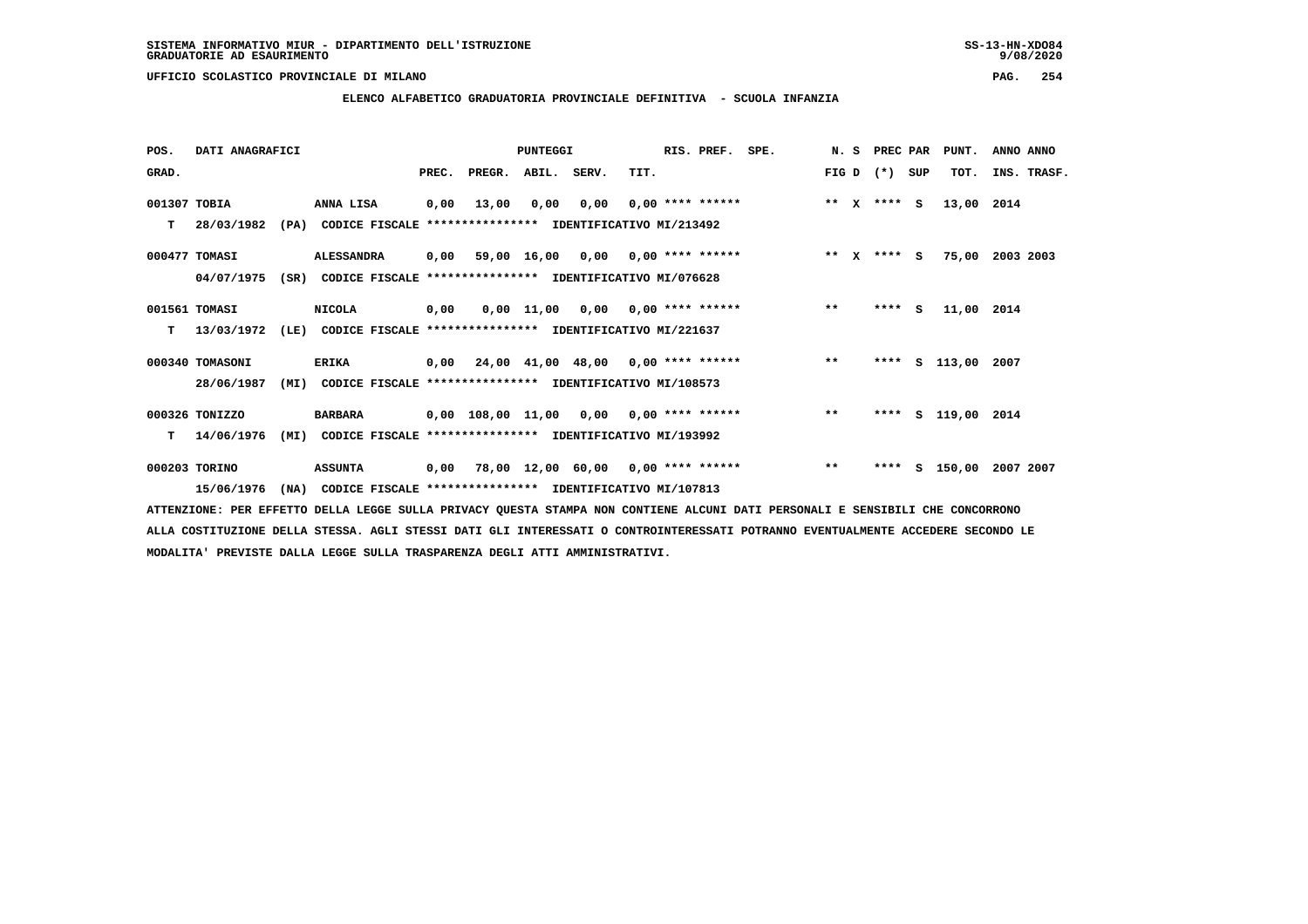**ELENCO ALFABETICO GRADUATORIA PROVINCIALE DEFINITIVA - SCUOLA INFANZIA**

 **POS. DATI ANAGRAFICI PUNTEGGI RIS. PREF. SPE. N. S PREC PAR PUNT. ANNO ANNO**GRAD. **PREGRADE SERVEGER. ABIL. SERV. TIT.** FIG D (\*) SUP TOT. INS. TRASF.  **001307 TOBIA ANNA LISA 0,00 13,00 0,00 0,00 0,00 \*\*\*\* \*\*\*\*\*\* \*\* X \*\*\*\* S 13,00 2014 T 28/03/1982 (PA) CODICE FISCALE \*\*\*\*\*\*\*\*\*\*\*\*\*\*\*\* IDENTIFICATIVO MI/213492 000477 TOMASI ALESSANDRA 0,00 59,00 16,00 0,00 0,00 \*\*\*\* \*\*\*\*\*\* \*\* X \*\*\*\* S 75,00 2003 2003 04/07/1975 (SR) CODICE FISCALE \*\*\*\*\*\*\*\*\*\*\*\*\*\*\*\* IDENTIFICATIVO MI/076628 001561 TOMASI NICOLA 0,00 0,00 11,00 0,00 0,00 \*\*\*\* \*\*\*\*\*\* \*\* \*\*\*\* S 11,00 2014 T 13/03/1972 (LE) CODICE FISCALE \*\*\*\*\*\*\*\*\*\*\*\*\*\*\*\* IDENTIFICATIVO MI/221637 000340 TOMASONI ERIKA 0,00 24,00 41,00 48,00 0,00 \*\*\*\* \*\*\*\*\*\* \*\* \*\*\*\* S 113,00 2007 28/06/1987 (MI) CODICE FISCALE \*\*\*\*\*\*\*\*\*\*\*\*\*\*\*\* IDENTIFICATIVO MI/108573 000326 TONIZZO BARBARA 0,00 108,00 11,00 0,00 0,00 \*\*\*\* \*\*\*\*\*\* \*\* \*\*\*\* S 119,00 2014 T 14/06/1976 (MI) CODICE FISCALE \*\*\*\*\*\*\*\*\*\*\*\*\*\*\*\* IDENTIFICATIVO MI/193992 000203 TORINO ASSUNTA 0,00 78,00 12,00 60,00 0,00 \*\*\*\* \*\*\*\*\*\* \*\* \*\*\*\* S 150,00 2007 2007**

 **15/06/1976 (NA) CODICE FISCALE \*\*\*\*\*\*\*\*\*\*\*\*\*\*\*\* IDENTIFICATIVO MI/107813**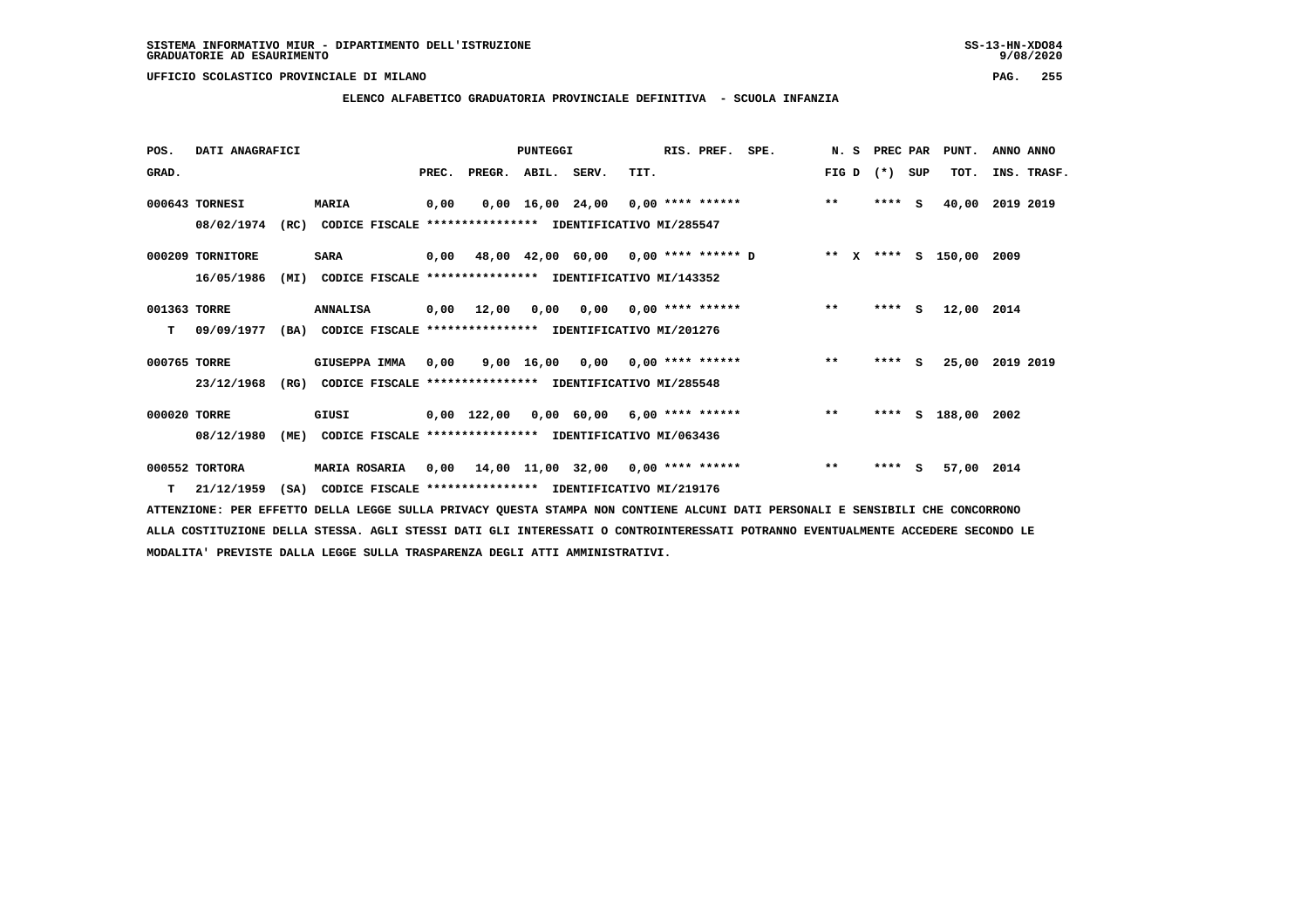# **ELENCO ALFABETICO GRADUATORIA PROVINCIALE DEFINITIVA - SCUOLA INFANZIA**

| POS.         | DATI ANAGRAFICI  |      |                                                               |       |                    | PUNTEGGI |                                                              |      | RIS. PREF.                | SPE. | N. S  | PREC PAR |          | PUNT.              | ANNO ANNO |             |
|--------------|------------------|------|---------------------------------------------------------------|-------|--------------------|----------|--------------------------------------------------------------|------|---------------------------|------|-------|----------|----------|--------------------|-----------|-------------|
| GRAD.        |                  |      |                                                               | PREC. | PREGR. ABIL. SERV. |          |                                                              | TIT. |                           |      | FIG D | $(*)$    | SUP      | TOT.               |           | INS. TRASF. |
|              | 000643 TORNESI   |      | <b>MARIA</b>                                                  | 0,00  |                    |          | $0,00$ 16,00 24,00 0,00 **** ******                          |      |                           |      | $***$ | $***$ S  |          | 40,00              | 2019 2019 |             |
|              | 08/02/1974       | (RC) | CODICE FISCALE **************** IDENTIFICATIVO MI/285547      |       |                    |          |                                                              |      |                           |      |       |          |          |                    |           |             |
|              | 000209 TORNITORE |      | <b>SARA</b>                                                   |       |                    |          | $0,00$ 48,00 42,00 60,00 0,00 **** ****** D                  |      |                           |      |       |          |          | ** x **** s 150,00 | 2009      |             |
|              | 16/05/1986       | (MI) | CODICE FISCALE **************** IDENTIFICATIVO MI/143352      |       |                    |          |                                                              |      |                           |      |       |          |          |                    |           |             |
| 001363 TORRE |                  |      | <b>ANNALISA</b>                                               | 0,00  | 12,00              | 0,00     |                                                              |      | $0,00$ $0,00$ **** ****** |      | $* *$ | $***$ S  |          | 12,00 2014         |           |             |
| т            | 09/09/1977       |      | (BA) CODICE FISCALE **************** IDENTIFICATIVO MI/201276 |       |                    |          |                                                              |      |                           |      |       |          |          |                    |           |             |
| 000765 TORRE |                  |      | GIUSEPPA IMMA                                                 | 0,00  |                    |          | $9.00 \quad 16.00 \quad 0.00 \quad 0.00 \quad *** \quad ***$ |      |                           |      | $***$ | ****     | <b>S</b> | 25,00              | 2019 2019 |             |
|              | 23/12/1968       | (RG) | CODICE FISCALE **************** IDENTIFICATIVO MI/285548      |       |                    |          |                                                              |      |                           |      |       |          |          |                    |           |             |
| 000020 TORRE |                  |      | GIUSI                                                         |       |                    |          | $0,00$ 122,00 0,00 60,00 6,00 **** ******                    |      |                           |      | $* *$ | ****     | S        | 188,00 2002        |           |             |
|              | 08/12/1980       | (ME) | CODICE FISCALE **************** IDENTIFICATIVO MI/063436      |       |                    |          |                                                              |      |                           |      |       |          |          |                    |           |             |
|              | 000552 TORTORA   |      | <b>MARIA ROSARIA</b>                                          | 0,00  |                    |          | 14,00 11,00 32,00 0,00 **** ******                           |      |                           |      | $***$ | ****     | s        | 57,00 2014         |           |             |
| т            | 21/12/1959       | (SA) | CODICE FISCALE **************** IDENTIFICATIVO MI/219176      |       |                    |          |                                                              |      |                           |      |       |          |          |                    |           |             |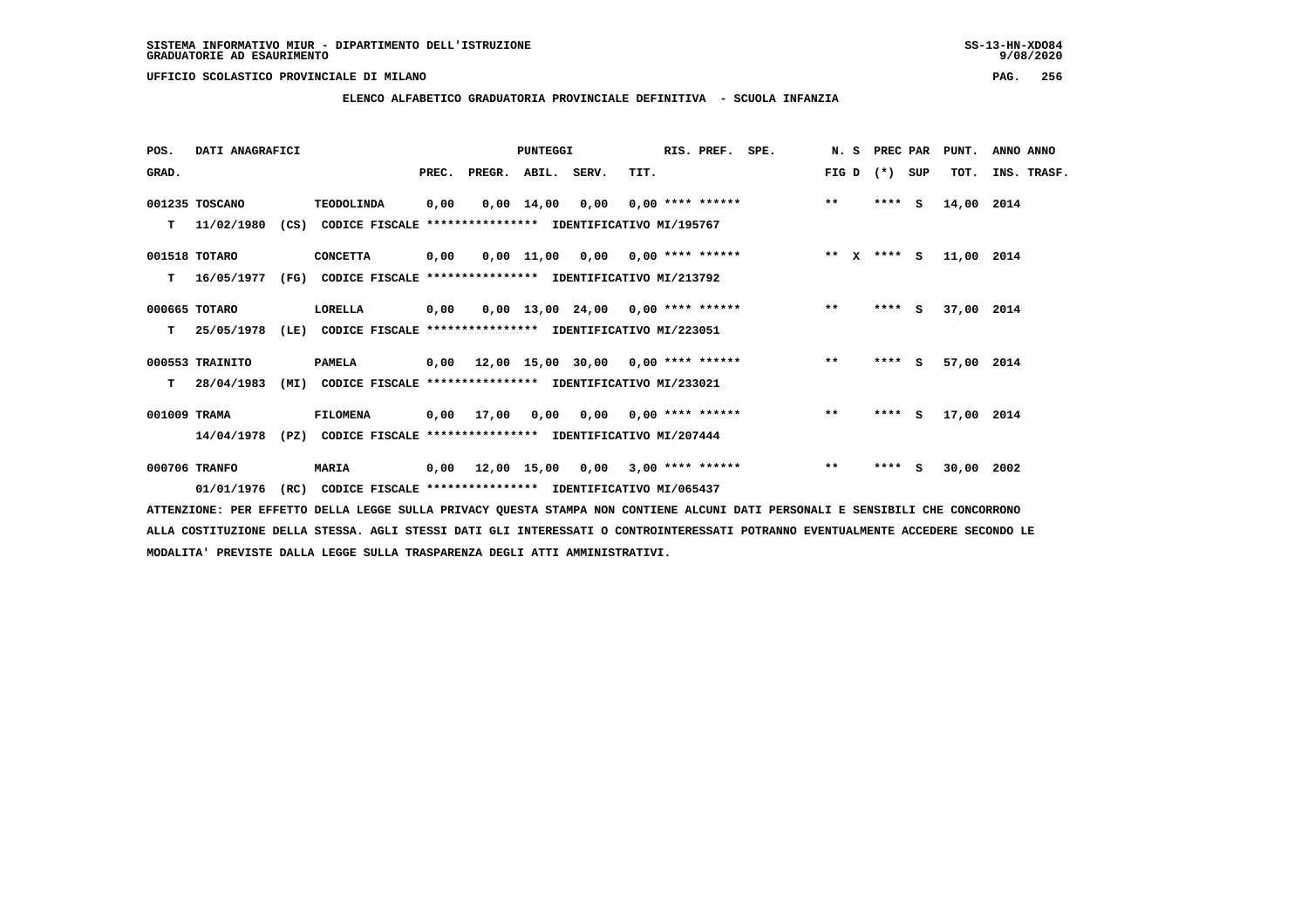$9/08/2020$ 

# **ELENCO ALFABETICO GRADUATORIA PROVINCIALE DEFINITIVA - SCUOLA INFANZIA**

| POS.         | DATI ANAGRAFICI  |      |                                                                         |      |                                           | PUNTEGGI |      | RIS. PREF. | SPE.                                                                 |       | N. S PREC PAR |     | PUNT.      | ANNO ANNO   |
|--------------|------------------|------|-------------------------------------------------------------------------|------|-------------------------------------------|----------|------|------------|----------------------------------------------------------------------|-------|---------------|-----|------------|-------------|
| GRAD.        |                  |      |                                                                         |      | PREC. PREGR. ABIL. SERV.                  |          | TIT. |            |                                                                      |       | FIG D $(*)$   | SUP | TOT.       | INS. TRASF. |
|              | 001235 TOSCANO   |      | <b>TEODOLINDA</b>                                                       | 0,00 |                                           |          |      |            | $0.00 \quad 14.00 \quad 0.00 \quad 0.00 \quad *** \quad *** \quad$ * | $***$ | **** S        |     | 14,00 2014 |             |
|              | T 11/02/1980     |      | (CS) CODICE FISCALE                                                     |      | **************** IDENTIFICATIVO MI/195767 |          |      |            |                                                                      |       |               |     |            |             |
|              | 001518 TOTARO    |      | <b>CONCETTA</b>                                                         |      |                                           |          |      |            |                                                                      |       |               |     | 11,00 2014 |             |
| T.           | 16/05/1977       |      | (FG) CODICE FISCALE **************** IDENTIFICATIVO MI/213792           |      |                                           |          |      |            |                                                                      |       |               |     |            |             |
|              | 000665 TOTARO    |      | LORELLA                                                                 | 0,00 |                                           |          |      |            | $0,00$ 13,00 24,00 0,00 **** ****** *** **                           |       | $***5$        |     | 37,00 2014 |             |
|              | T 25/05/1978     |      | (LE) CODICE FISCALE **************** IDENTIFICATIVO MI/223051           |      |                                           |          |      |            |                                                                      |       |               |     |            |             |
|              | 000553 TRAINITO  |      | <b>PAMELA</b>                                                           |      |                                           |          |      |            | $0,00$ 12,00 15,00 30,00 0,00 **** ******                            | $* *$ | $***$ S       |     | 57,00 2014 |             |
|              | $T = 28/04/1983$ | (MI) | CODICE FISCALE **************** IDENTIFICATIVO MI/233021                |      |                                           |          |      |            |                                                                      |       |               |     |            |             |
| 001009 TRAMA |                  |      | <b>FILOMENA</b>                                                         |      |                                           |          |      |            | 0,00 17,00 0,00 0,00 0,00 **** ******                                | $***$ | **** S        |     | 17,00 2014 |             |
|              |                  |      | 14/04/1978 (PZ) CODICE FISCALE *************** IDENTIFICATIVO MI/207444 |      |                                           |          |      |            |                                                                      |       |               |     |            |             |
|              | 000706 TRANFO    |      | <b>MARIA</b>                                                            |      |                                           |          |      |            | 0,00 12,00 15,00 0,00 3,00 **** ******                               | $***$ | $***$ S       |     | 30,00 2002 |             |
|              | 01/01/1976       |      | (RC) CODICE FISCALE **************** IDENTIFICATIVO MI/065437           |      |                                           |          |      |            |                                                                      |       |               |     |            |             |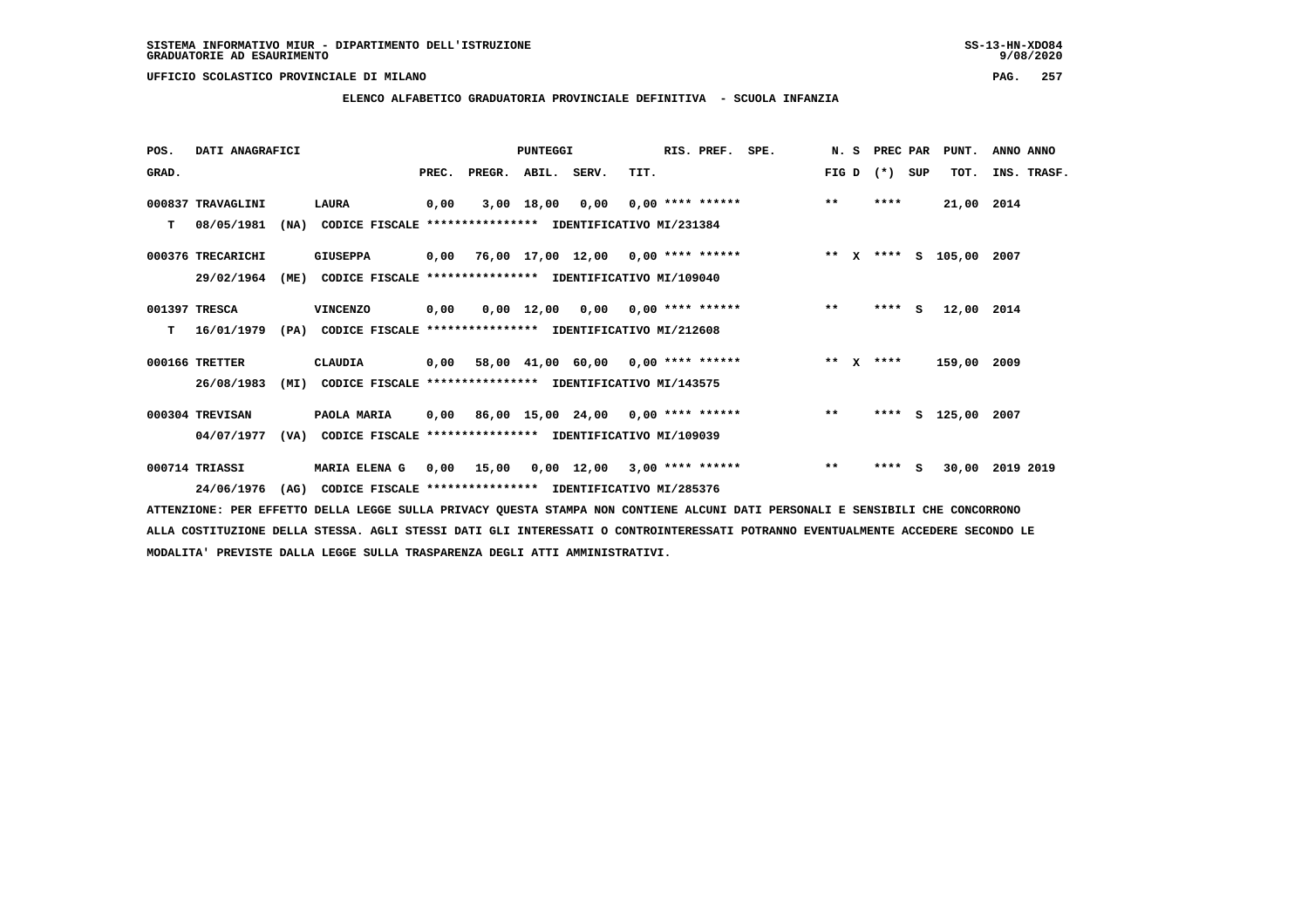**ELENCO ALFABETICO GRADUATORIA PROVINCIALE DEFINITIVA - SCUOLA INFANZIA**

| POS.  | DATI ANAGRAFICI   |      |                                                          |       |                    | <b>PUNTEGGI</b> |                                           |      | RIS. PREF.                | SPE. | N.S   | PREC PAR    |          | PUNT.              | ANNO ANNO |             |
|-------|-------------------|------|----------------------------------------------------------|-------|--------------------|-----------------|-------------------------------------------|------|---------------------------|------|-------|-------------|----------|--------------------|-----------|-------------|
| GRAD. |                   |      |                                                          | PREC. | PREGR. ABIL. SERV. |                 |                                           | TIT. |                           |      | FIG D | $(*)$       | SUP      | TOT.               |           | INS. TRASF. |
|       | 000837 TRAVAGLINI |      | LAURA                                                    | 0,00  |                    | 3,00 18,00      | 0,00                                      |      | $0.00$ **** ******        |      | $* *$ | ****        |          | 21,00 2014         |           |             |
| т     | 08/05/1981        | (NA) | CODICE FISCALE **************** IDENTIFICATIVO MI/231384 |       |                    |                 |                                           |      |                           |      |       |             |          |                    |           |             |
|       | 000376 TRECARICHI |      | <b>GIUSEPPA</b>                                          |       |                    |                 | $0,00$ 76,00 17,00 12,00 0,00 **** ****** |      |                           |      |       |             |          | ** x **** s 105,00 | 2007      |             |
|       | 29/02/1964        | (ME) | CODICE FISCALE **************** IDENTIFICATIVO MI/109040 |       |                    |                 |                                           |      |                           |      |       |             |          |                    |           |             |
|       | 001397 TRESCA     |      | <b>VINCENZO</b>                                          | 0,00  |                    | 0,00 12,00      |                                           |      | $0,00$ $0,00$ **** ****** |      | $***$ | ****        | <b>S</b> | 12,00 2014         |           |             |
| т     | 16/01/1979        | (PA) | CODICE FISCALE **************** IDENTIFICATIVO MI/212608 |       |                    |                 |                                           |      |                           |      |       |             |          |                    |           |             |
|       | 000166 TRETTER    |      | <b>CLAUDIA</b>                                           | 0,00  |                    |                 | 58,00 41,00 60,00 0,00 **** ******        |      |                           |      |       | ** $X$ **** |          | 159,00 2009        |           |             |
|       | 26/08/1983        | (MI) | CODICE FISCALE **************** IDENTIFICATIVO MI/143575 |       |                    |                 |                                           |      |                           |      |       |             |          |                    |           |             |
|       | 000304 TREVISAN   |      | PAOLA MARIA                                              |       |                    |                 | $0,00$ 86,00 15,00 24,00 0,00 **** ****** |      |                           |      | $* *$ | ****        |          | s 125,00           | 2007      |             |
|       | 04/07/1977        | (VA) | CODICE FISCALE **************** IDENTIFICATIVO MI/109039 |       |                    |                 |                                           |      |                           |      |       |             |          |                    |           |             |
|       | 000714 TRIASSI    |      | MARIA ELENA G                                            | 0,00  | 15,00              |                 | $0,00$ 12,00 3,00 **** ******             |      |                           |      | $***$ | **** S      |          | 30,00              | 2019 2019 |             |
|       | 24/06/1976        | (AG) | CODICE FISCALE **************** IDENTIFICATIVO MI/285376 |       |                    |                 |                                           |      |                           |      |       |             |          |                    |           |             |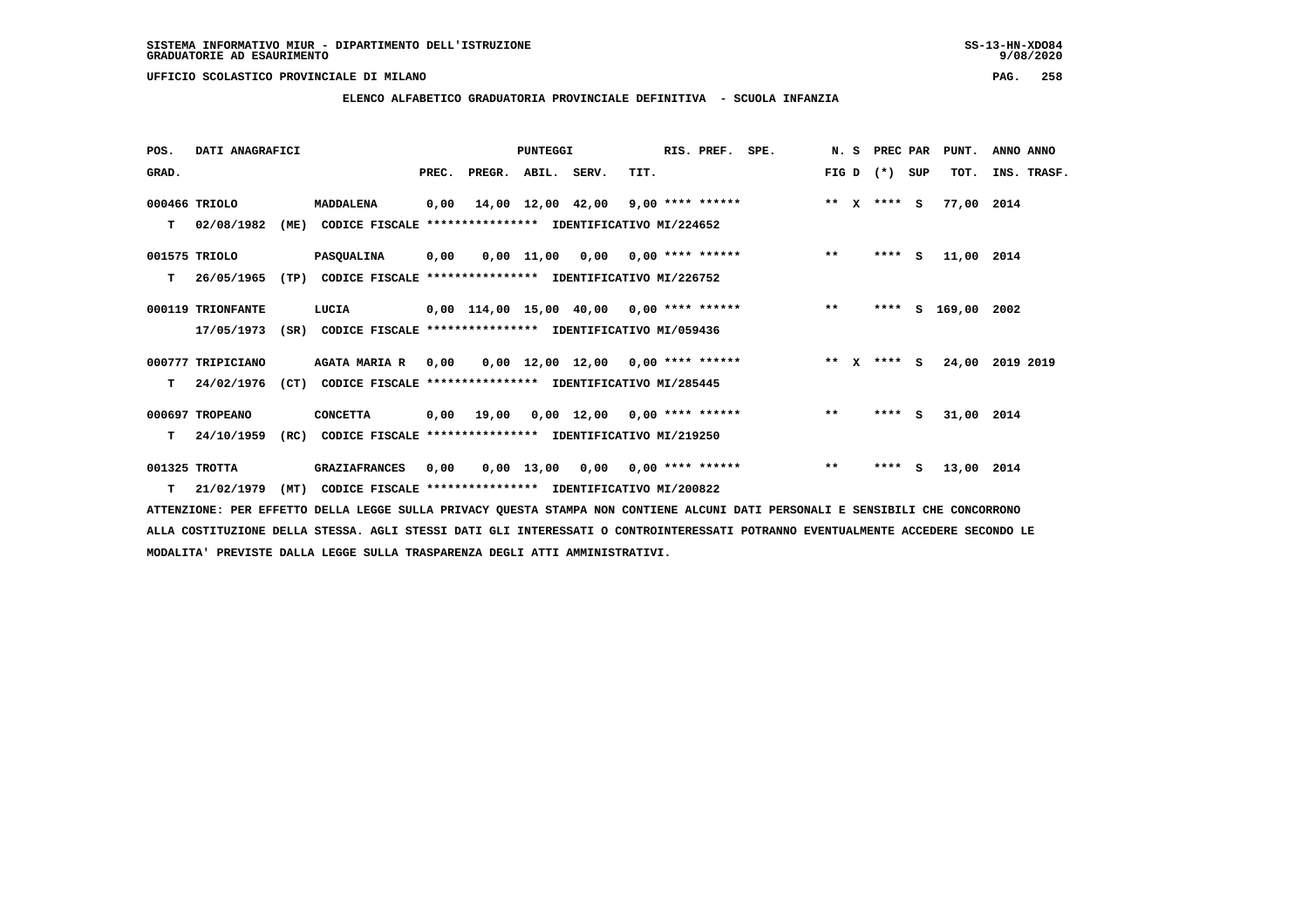**ELENCO ALFABETICO GRADUATORIA PROVINCIALE DEFINITIVA - SCUOLA INFANZIA**

| POS.  | DATI ANAGRAFICI   |      |                                                               |       |        | PUNTEGGI    |                                            | RIS. PREF. SPE. |        | N. S PREC PAR |     | PUNT.         | ANNO ANNO   |
|-------|-------------------|------|---------------------------------------------------------------|-------|--------|-------------|--------------------------------------------|-----------------|--------|---------------|-----|---------------|-------------|
| GRAD. |                   |      |                                                               | PREC. | PREGR. | ABIL. SERV. | TIT.                                       |                 | FIG D  | $(* )$        | SUP | TOT.          | INS. TRASF. |
|       | 000466 TRIOLO     |      | MADDALENA                                                     |       |        |             | $0,00$ 14,00 12,00 42,00 9,00 **** ******  |                 | ** $X$ | **** S        |     | 77,00 2014    |             |
| T.    | 02/08/1982        | (ME) | CODICE FISCALE **************** IDENTIFICATIVO MI/224652      |       |        |             |                                            |                 |        |               |     |               |             |
|       | 001575 TRIOLO     |      | PASQUALINA                                                    | 0,00  |        |             | $0,00$ 11,00 0,00 0,00 **** ******         |                 | $**$   | **** S        |     | 11,00 2014    |             |
| т     | 26/05/1965        |      | (TP) CODICE FISCALE **************** IDENTIFICATIVO MI/226752 |       |        |             |                                            |                 |        |               |     |               |             |
|       | 000119 TRIONFANTE |      | LUCIA                                                         |       |        |             | $0.00$ 114.00 15.00 40.00 0.00 **** ****** |                 | $* *$  | ****          |     | S 169,00 2002 |             |
|       | 17/05/1973        | (SR) | CODICE FISCALE **************** IDENTIFICATIVO MI/059436      |       |        |             |                                            |                 |        |               |     |               |             |
|       | 000777 TRIPICIANO |      | <b>AGATA MARIA R</b>                                          | 0,00  |        |             | $0,00$ 12,00 12,00 0,00 **** ******        |                 | ** $X$ | $***$ S       |     | 24,00         | 2019 2019   |
| т     | 24/02/1976        |      | (CT) CODICE FISCALE **************** IDENTIFICATIVO MI/285445 |       |        |             |                                            |                 |        |               |     |               |             |
|       | 000697 TROPEANO   |      | <b>CONCETTA</b>                                               |       |        |             | $0,00$ 19,00 0,00 12,00 0,00 **** ******   |                 | $***$  | **** S        |     | 31,00 2014    |             |
| т     | 24/10/1959        | (RC) | CODICE FISCALE **************** IDENTIFICATIVO MI/219250      |       |        |             |                                            |                 |        |               |     |               |             |
|       | 001325 TROTTA     |      | <b>GRAZIAFRANCES</b>                                          | 0,00  |        |             | $0,00$ 13,00 0,00 0,00 **** ******         |                 | $***$  | ****          | s.  | 13,00 2014    |             |
|       | $T = 21/02/1979$  | (MT) | CODICE FISCALE **************** IDENTIFICATIVO MI/200822      |       |        |             |                                            |                 |        |               |     |               |             |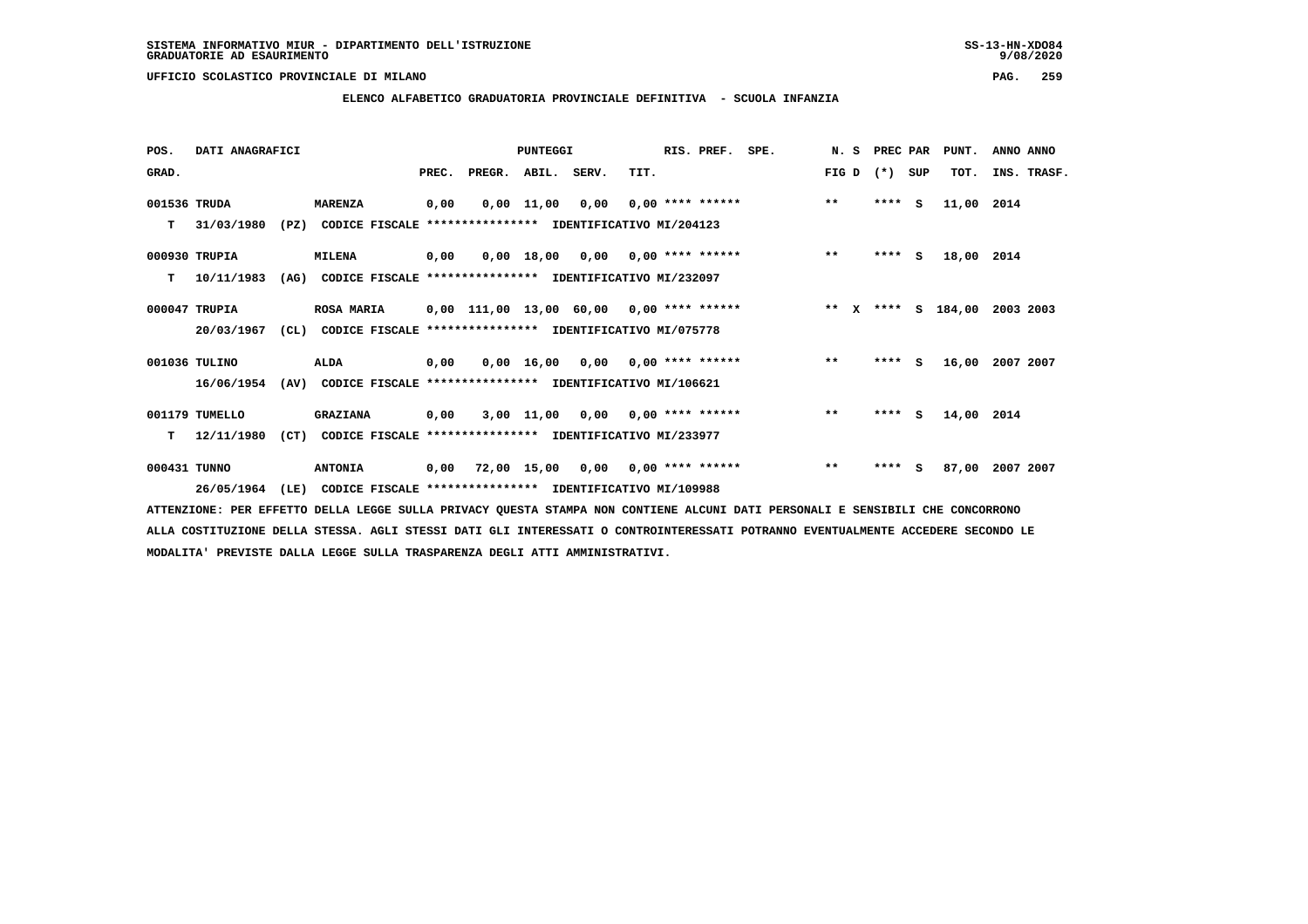**ELENCO ALFABETICO GRADUATORIA PROVINCIALE DEFINITIVA - SCUOLA INFANZIA**

 **POS. DATI ANAGRAFICI PUNTEGGI RIS. PREF. SPE. N. S PREC PAR PUNT. ANNO ANNO**

| GRAD.        |                |      |                                                               | PREC. | PREGR. | ABIL. | SERV.           | TIT.                                                     | FIG D        | $(* )$  | SUP | TOT.       | INS. TRASF. |
|--------------|----------------|------|---------------------------------------------------------------|-------|--------|-------|-----------------|----------------------------------------------------------|--------------|---------|-----|------------|-------------|
| 001536 TRUDA |                |      | <b>MARENZA</b>                                                | 0,00  |        |       | 0,00 11,00 0,00 | $0,00$ **** ******                                       | $\star\star$ | $***$ S |     | 11,00 2014 |             |
| т            | 31/03/1980     | (PZ) |                                                               |       |        |       |                 | CODICE FISCALE **************** IDENTIFICATIVO MI/204123 |              |         |     |            |             |
|              | 000930 TRUPIA  |      | <b>MILENA</b>                                                 | 0,00  |        |       |                 | $0,00$ 18,00 0,00 0,00 **** ******                       | $\star\star$ | $***$ S |     | 18,00 2014 |             |
| т            | 10/11/1983     | (AG) |                                                               |       |        |       |                 | CODICE FISCALE **************** IDENTIFICATIVO MI/232097 |              |         |     |            |             |
|              | 000047 TRUPIA  |      | <b>ROSA MARIA</b>                                             |       |        |       |                 | 0,00 111,00 13,00 60,00 0,00 **** ******                 | $***$ X      | **** S  |     | 184,00     | 2003 2003   |
|              | 20/03/1967     |      | (CL) CODICE FISCALE **************** IDENTIFICATIVO MI/075778 |       |        |       |                 |                                                          |              |         |     |            |             |
|              | 001036 TULINO  |      | <b>ALDA</b>                                                   | 0,00  |        |       |                 | $0,00$ 16,00 0,00 0,00 **** ******                       | $**$         | $***$ S |     | 16,00      | 2007 2007   |
|              | 16/06/1954     |      | (AV) CODICE FISCALE **************** IDENTIFICATIVO MI/106621 |       |        |       |                 |                                                          |              |         |     |            |             |
|              | 001179 TUMELLO |      | <b>GRAZIANA</b>                                               | 0,00  |        |       |                 | $3,00$ 11,00 0,00 0,00 **** ******                       | $***$        | **** S  |     | 14,00 2014 |             |
| т            | 12/11/1980     | (CT) |                                                               |       |        |       |                 | CODICE FISCALE **************** IDENTIFICATIVO MI/233977 |              |         |     |            |             |
| 000431 TUNNO |                |      | <b>ANTONIA</b>                                                |       |        |       |                 | $0,00$ 72,00 15,00 0,00 0,00 **** ******                 | $* *$        | $***$ S |     | 87,00      | 2007 2007   |
|              | 26/05/1964     | (LE) |                                                               |       |        |       |                 | CODICE FISCALE **************** IDENTIFICATIVO MI/109988 |              |         |     |            |             |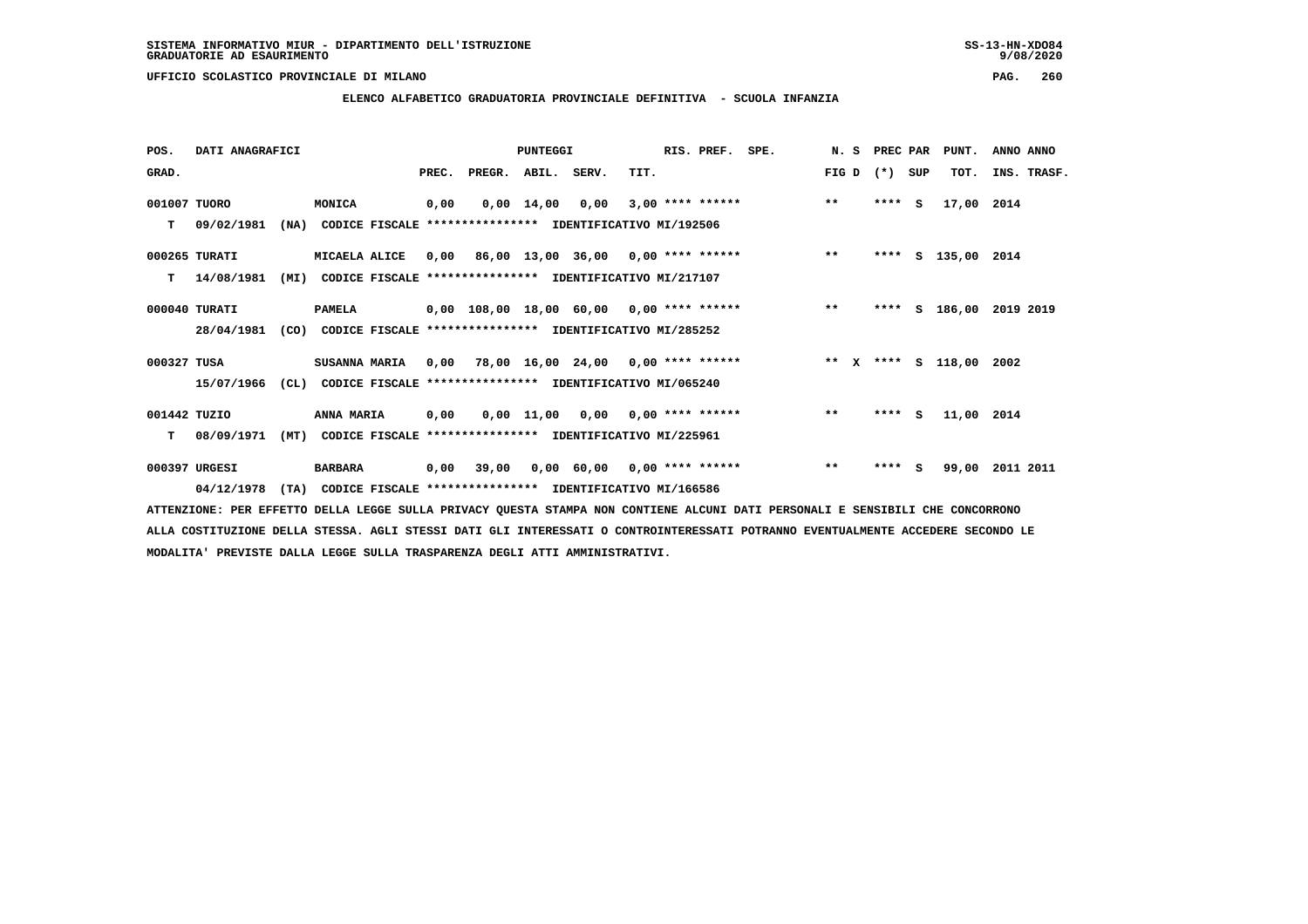**ELENCO ALFABETICO GRADUATORIA PROVINCIALE DEFINITIVA - SCUOLA INFANZIA**

| POS.         | DATI ANAGRAFICI |      |                                                               |       |                    | PUNTEGGI   |                                           |      | RIS. PREF. | SPE.                                                                     | N. S  | PREC PAR |     | PUNT.              | ANNO ANNO               |
|--------------|-----------------|------|---------------------------------------------------------------|-------|--------------------|------------|-------------------------------------------|------|------------|--------------------------------------------------------------------------|-------|----------|-----|--------------------|-------------------------|
| GRAD.        |                 |      |                                                               | PREC. | PREGR. ABIL. SERV. |            |                                           | TIT. |            |                                                                          | FIG D | $(*)$    | SUP | TOT.               | INS. TRASF.             |
| 001007 TUORO |                 |      | MONICA                                                        | 0,00  |                    | 0,00 14,00 | 0,00                                      |      |            | $3,00$ **** ******                                                       | $***$ | $***$ S  |     | 17,00 2014         |                         |
| т            | 09/02/1981      |      | (NA) CODICE FISCALE **************** IDENTIFICATIVO MI/192506 |       |                    |            |                                           |      |            |                                                                          |       |          |     |                    |                         |
|              | 000265 TURATI   |      | MICAELA ALICE                                                 |       |                    |            | $0,00$ 86,00 13,00 36,00 0,00 **** ****** |      |            |                                                                          | $***$ |          |     | **** S 135,00 2014 |                         |
| т            | 14/08/1981      | (MI) | CODICE FISCALE **************** IDENTIFICATIVO MI/217107      |       |                    |            |                                           |      |            |                                                                          |       |          |     |                    |                         |
|              | 000040 TURATI   |      | <b>PAMELA</b>                                                 |       |                    |            |                                           |      |            | 0,00 108,00 18,00 60,00 0,00 **** ****** *** ***                         |       |          |     |                    | **** S 186,00 2019 2019 |
|              | 28/04/1981      |      | (CO) CODICE FISCALE **************** IDENTIFICATIVO MI/285252 |       |                    |            |                                           |      |            |                                                                          |       |          |     |                    |                         |
| 000327 TUSA  |                 |      | SUSANNA MARIA                                                 |       |                    |            |                                           |      |            | $0,00$ 78,00 16,00 24,00 0,00 **** ****** **** *** ** **** S 118,00 2002 |       |          |     |                    |                         |
|              | 15/07/1966      | CL)  | CODICE FISCALE **************** IDENTIFICATIVO MI/065240      |       |                    |            |                                           |      |            |                                                                          |       |          |     |                    |                         |
| 001442 TUZIO |                 |      | <b>ANNA MARIA</b>                                             | 0,00  |                    |            | $0,00$ 11,00 0,00 0,00 **** ******        |      |            |                                                                          | $* *$ | $***$ S  |     | 11,00 2014         |                         |
| т            | 08/09/1971      | (MT) | CODICE FISCALE **************** IDENTIFICATIVO MI/225961      |       |                    |            |                                           |      |            |                                                                          |       |          |     |                    |                         |
|              | 000397 URGESI   |      | <b>BARBARA</b>                                                | 0,00  | 39,00              |            | 0,00 60,00 0,00 **** ******               |      |            |                                                                          | $***$ | ****     | s   | 99,00              | 2011 2011               |
|              | 04/12/1978      | (TA) | CODICE FISCALE **************** IDENTIFICATIVO MI/166586      |       |                    |            |                                           |      |            |                                                                          |       |          |     |                    |                         |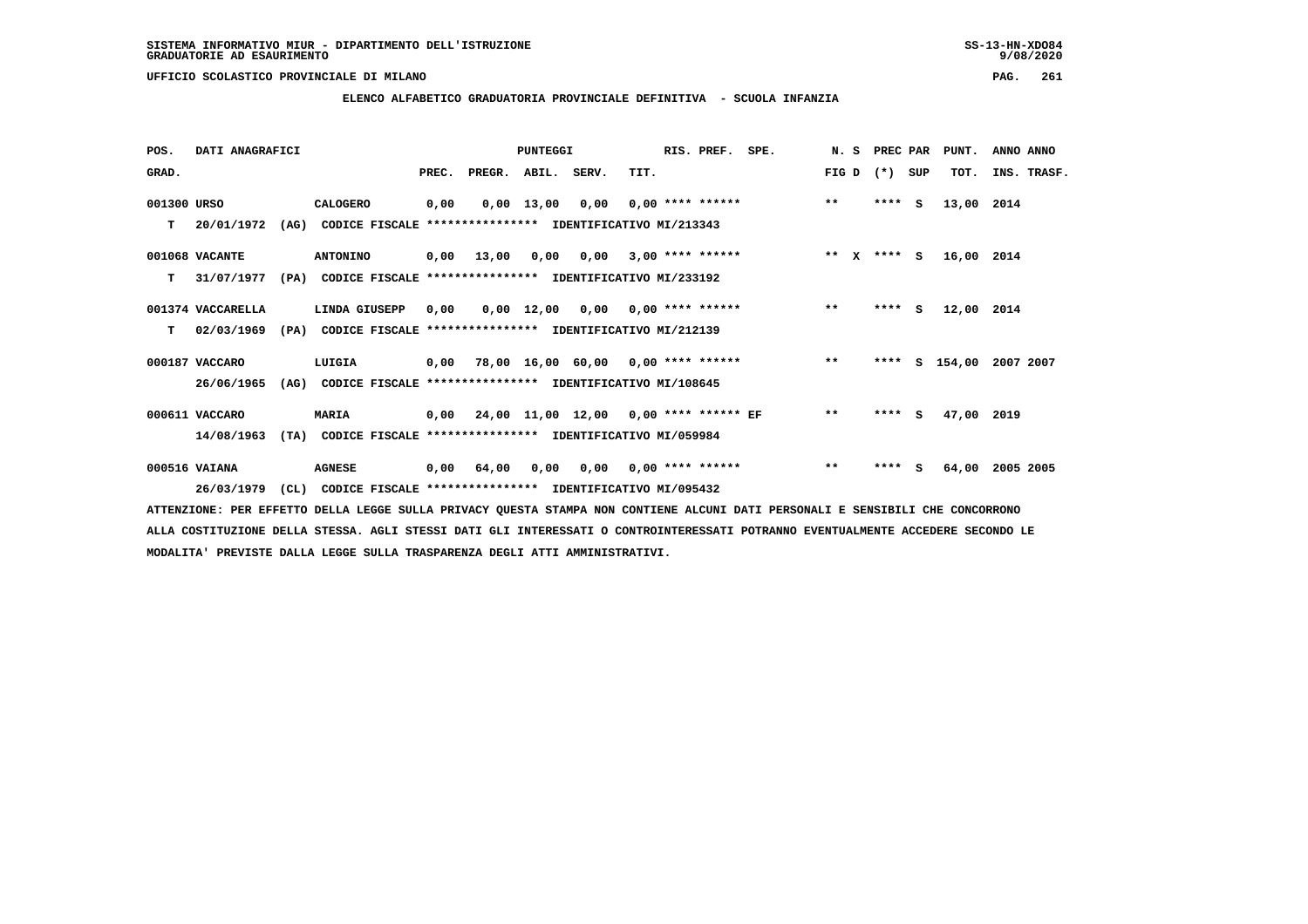**ELENCO ALFABETICO GRADUATORIA PROVINCIALE DEFINITIVA - SCUOLA INFANZIA**

| POS.        | DATI ANAGRAFICI   |      |                                                               |       |                                            | <b>PUNTEGGI</b> |                                  |      | RIS. PREF. SPE.    |                                            |       | N. S | PREC PAR |     | PUNT.         | ANNO ANNO   |
|-------------|-------------------|------|---------------------------------------------------------------|-------|--------------------------------------------|-----------------|----------------------------------|------|--------------------|--------------------------------------------|-------|------|----------|-----|---------------|-------------|
| GRAD.       |                   |      |                                                               | PREC. | PREGR. ABIL. SERV.                         |                 |                                  | TIT. |                    |                                            | FIG D |      | $(* )$   | SUP | TOT.          | INS. TRASF. |
| 001300 URSO |                   |      | CALOGERO                                                      | 0,00  |                                            | 0,00 13,00      | 0,00                             |      | $0.00$ **** ****** |                                            | $* *$ |      | $***$ S  |     | 13,00 2014    |             |
| T.          | 20/01/1972        | (AG) | CODICE FISCALE **************** IDENTIFICATIVO MI/213343      |       |                                            |                 |                                  |      |                    |                                            |       |      |          |     |               |             |
|             | 001068 VACANTE    |      | <b>ANTONINO</b>                                               |       | $0,00$ 13,00                               |                 | $0,00$ $0,00$ $3,00$ **** ****** |      |                    | ** $X$ **** S                              |       |      |          |     | 16,00 2014    |             |
| т           | 31/07/1977        | (PA) | CODICE FISCALE **************** IDENTIFICATIVO MI/233192      |       |                                            |                 |                                  |      |                    |                                            |       |      |          |     |               |             |
|             | 001374 VACCARELLA |      | LINDA GIUSEPP                                                 | 0,00  |                                            |                 |                                  |      |                    | $0,00$ 12,00 0,00 0,00 **** ******         | $***$ |      | $***$ S  |     | 12,00 2014    |             |
| т           | 02/03/1969        |      | (PA) CODICE FISCALE **************** IDENTIFICATIVO MI/212139 |       |                                            |                 |                                  |      |                    |                                            |       |      |          |     |               |             |
|             | 000187 VACCARO    |      | LUIGIA                                                        |       |                                            |                 |                                  |      |                    | 0,00 78,00 16,00 60,00 0,00 **** ******    | $***$ |      |          |     | **** S 154,00 | 2007 2007   |
|             | 26/06/1965        | (AG) | CODICE FISCALE **************** IDENTIFICATIVO MI/108645      |       |                                            |                 |                                  |      |                    |                                            |       |      |          |     |               |             |
|             | 000611 VACCARO    |      | <b>MARIA</b>                                                  |       | 0,00 24,00 11,00 12,00 0,00 **** ****** EF |                 |                                  |      |                    |                                            | $* *$ |      | $***$ S  |     | 47,00 2019    |             |
|             | 14/08/1963        |      | (TA) CODICE FISCALE **************** IDENTIFICATIVO MI/059984 |       |                                            |                 |                                  |      |                    |                                            |       |      |          |     |               |             |
|             | 000516 VAIANA     |      | <b>AGNESE</b>                                                 |       | $0,00$ $64,00$                             |                 |                                  |      |                    | $0.00$ $0.00$ $0.00$ $***$ $***$ $***$ $*$ | $***$ |      | $***$ S  |     | 64,00         | 2005 2005   |
|             | 26/03/1979        | (CL) | CODICE FISCALE **************** IDENTIFICATIVO MI/095432      |       |                                            |                 |                                  |      |                    |                                            |       |      |          |     |               |             |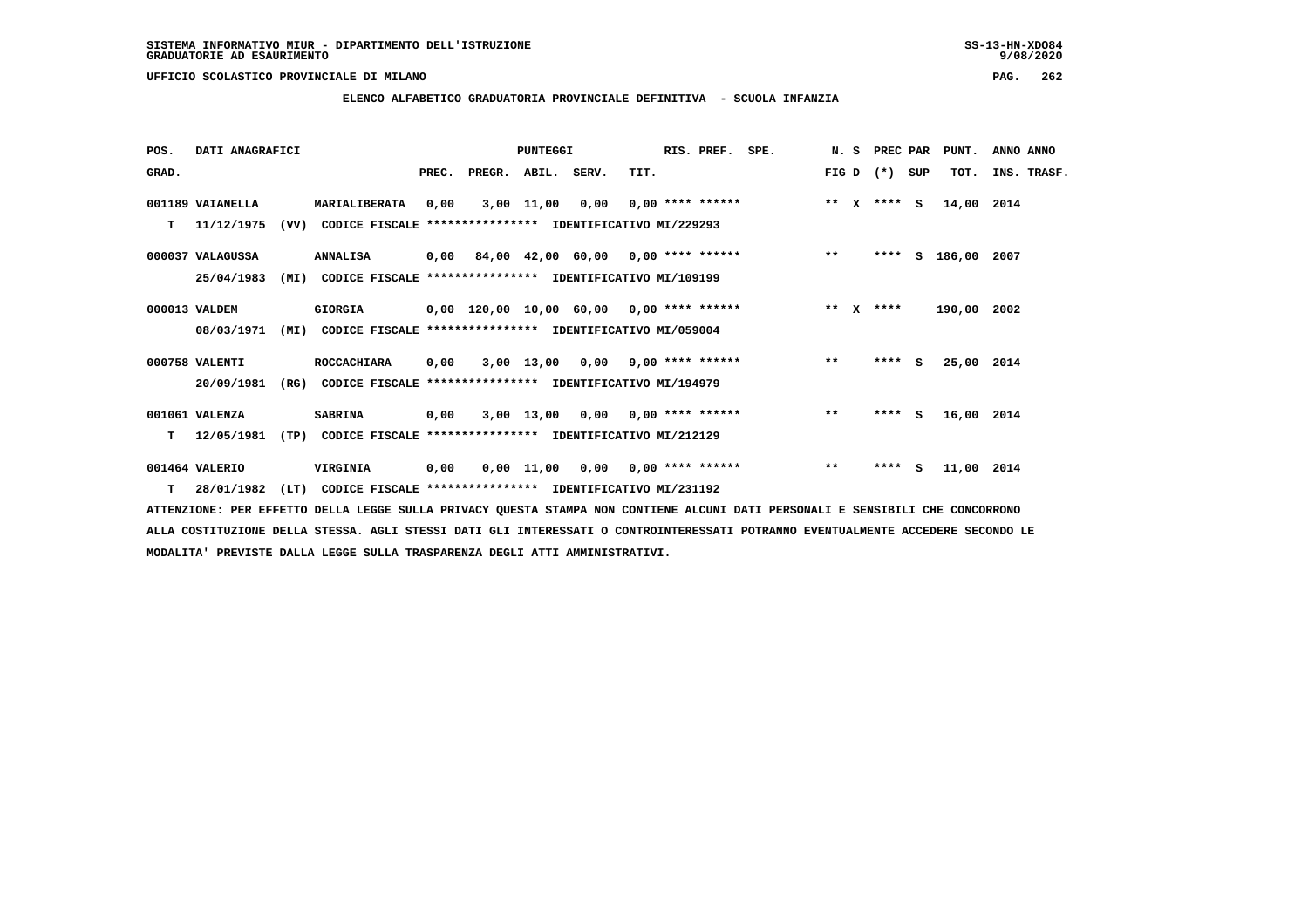**ELENCO ALFABETICO GRADUATORIA PROVINCIALE DEFINITIVA - SCUOLA INFANZIA**

 **POS. DATI ANAGRAFICI PUNTEGGI RIS. PREF. SPE. N. S PREC PAR PUNT. ANNO ANNO**GRAD. **PREGRADE SERVEGER. ABIL. SERV. TIT.** FIG D (\*) SUP TOT. INS. TRASF.  **001189 VAIANELLA MARIALIBERATA 0,00 3,00 11,00 0,00 0,00 \*\*\*\* \*\*\*\*\*\* \*\* X \*\*\*\* S 14,00 2014 T 11/12/1975 (VV) CODICE FISCALE \*\*\*\*\*\*\*\*\*\*\*\*\*\*\*\* IDENTIFICATIVO MI/229293 000037 VALAGUSSA ANNALISA 0,00 84,00 42,00 60,00 0,00 \*\*\*\* \*\*\*\*\*\* \*\* \*\*\*\* S 186,00 2007 25/04/1983 (MI) CODICE FISCALE \*\*\*\*\*\*\*\*\*\*\*\*\*\*\*\* IDENTIFICATIVO MI/109199 000013 VALDEM GIORGIA 0,00 120,00 10,00 60,00 0,00 \*\*\*\* \*\*\*\*\*\* \*\* X \*\*\*\* 190,00 2002 08/03/1971 (MI) CODICE FISCALE \*\*\*\*\*\*\*\*\*\*\*\*\*\*\*\* IDENTIFICATIVO MI/059004 000758 VALENTI ROCCACHIARA 0,00 3,00 13,00 0,00 9,00 \*\*\*\* \*\*\*\*\*\* \*\* \*\*\*\* S 25,00 2014 20/09/1981 (RG) CODICE FISCALE \*\*\*\*\*\*\*\*\*\*\*\*\*\*\*\* IDENTIFICATIVO MI/194979 001061 VALENZA SABRINA 0,00 3,00 13,00 0,00 0,00 \*\*\*\* \*\*\*\*\*\* \*\* \*\*\*\* S 16,00 2014 T 12/05/1981 (TP) CODICE FISCALE \*\*\*\*\*\*\*\*\*\*\*\*\*\*\*\* IDENTIFICATIVO MI/212129 001464 VALERIO VIRGINIA 0,00 0,00 11,00 0,00 0,00 \*\*\*\* \*\*\*\*\*\* \*\* \*\*\*\* S 11,00 2014**

 **T 28/01/1982 (LT) CODICE FISCALE \*\*\*\*\*\*\*\*\*\*\*\*\*\*\*\* IDENTIFICATIVO MI/231192**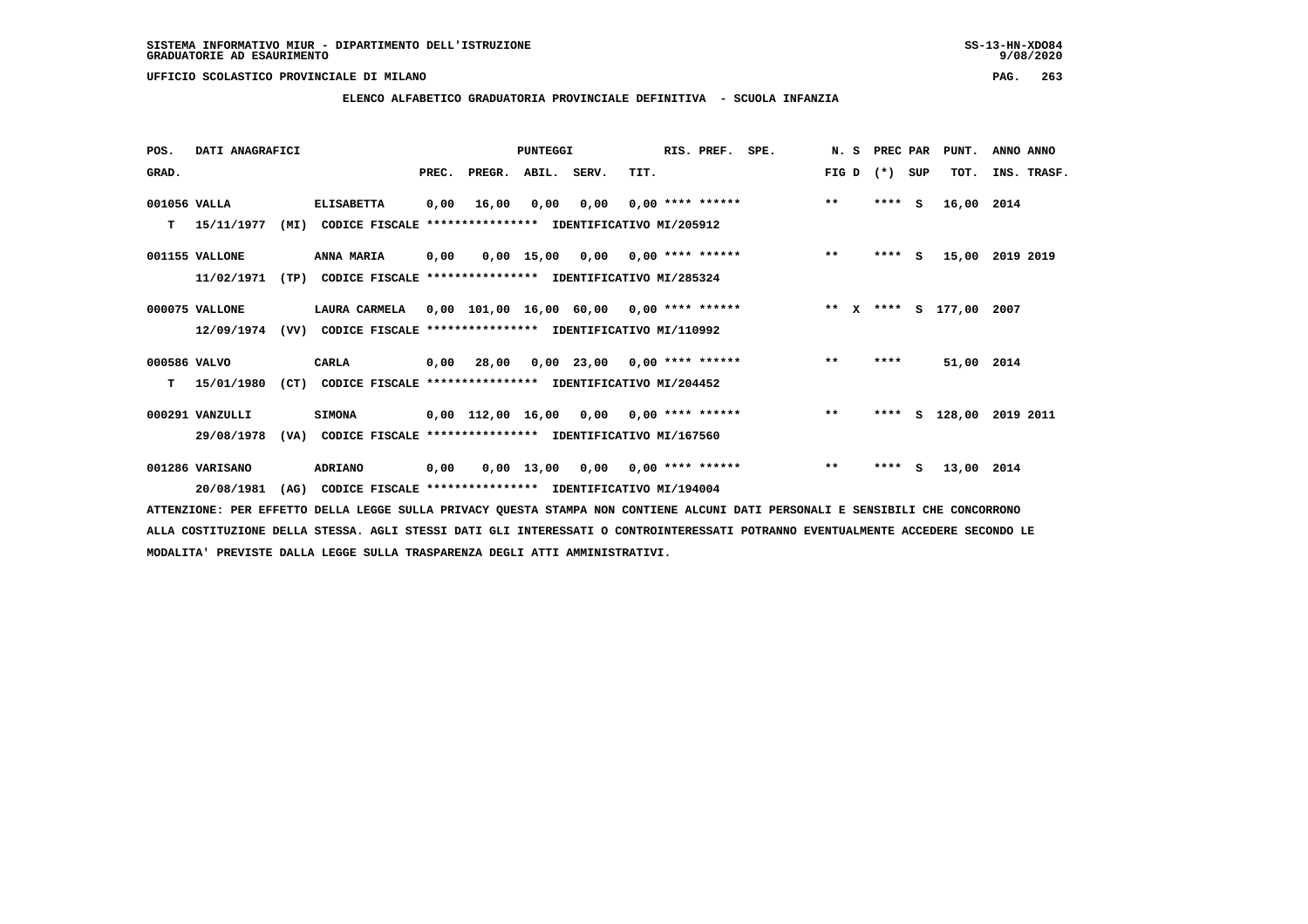**ELENCO ALFABETICO GRADUATORIA PROVINCIALE DEFINITIVA - SCUOLA INFANZIA**

 **POS. DATI ANAGRAFICI PUNTEGGI RIS. PREF. SPE. N. S PREC PAR PUNT. ANNO ANNO**GRAD. **BRAD. PREC. PREGR. ABIL. SERV.** TIT. THE REGREATER FIG D (\*) SUP TOT. INS. TRASF.  **001056 VALLA ELISABETTA 0,00 16,00 0,00 0,00 0,00 \*\*\*\* \*\*\*\*\*\* \*\* \*\*\*\* S 16,00 2014 T 15/11/1977 (MI) CODICE FISCALE \*\*\*\*\*\*\*\*\*\*\*\*\*\*\*\* IDENTIFICATIVO MI/205912 001155 VALLONE ANNA MARIA 0,00 0,00 15,00 0,00 0,00 \*\*\*\* \*\*\*\*\*\* \*\* \*\*\*\* S 15,00 2019 2019 11/02/1971 (TP) CODICE FISCALE \*\*\*\*\*\*\*\*\*\*\*\*\*\*\*\* IDENTIFICATIVO MI/285324 000075 VALLONE LAURA CARMELA 0,00 101,00 16,00 60,00 0,00 \*\*\*\* \*\*\*\*\*\* \*\* X \*\*\*\* S 177,00 2007 12/09/1974 (VV) CODICE FISCALE \*\*\*\*\*\*\*\*\*\*\*\*\*\*\*\* IDENTIFICATIVO MI/110992 000586 VALVO CARLA 0,00 28,00 0,00 23,00 0,00 \*\*\*\* \*\*\*\*\*\* \*\* \*\*\*\* 51,00 2014 T 15/01/1980 (CT) CODICE FISCALE \*\*\*\*\*\*\*\*\*\*\*\*\*\*\*\* IDENTIFICATIVO MI/204452 000291 VANZULLI SIMONA 0,00 112,00 16,00 0,00 0,00 \*\*\*\* \*\*\*\*\*\* \*\* \*\*\*\* S 128,00 2019 2011 29/08/1978 (VA) CODICE FISCALE \*\*\*\*\*\*\*\*\*\*\*\*\*\*\*\* IDENTIFICATIVO MI/167560 001286 VARISANO ADRIANO 0,00 0,00 13,00 0,00 0,00 \*\*\*\* \*\*\*\*\*\* \*\* \*\*\*\* S 13,00 2014 20/08/1981 (AG) CODICE FISCALE \*\*\*\*\*\*\*\*\*\*\*\*\*\*\*\* IDENTIFICATIVO MI/194004**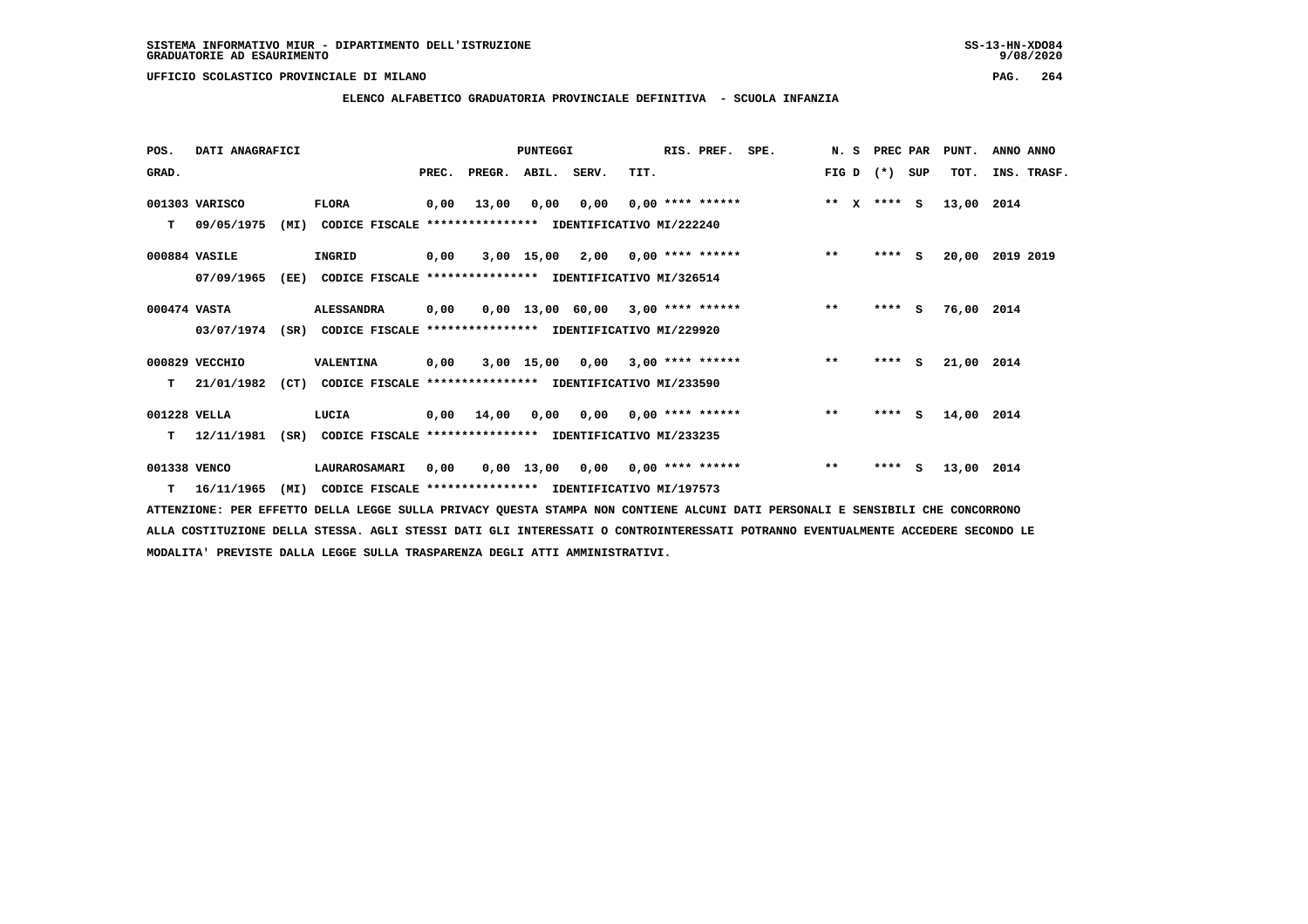**ELENCO ALFABETICO GRADUATORIA PROVINCIALE DEFINITIVA - SCUOLA INFANZIA**

| POS.         | DATI ANAGRAFICI  |      |                                                               |       |                | PUNTEGGI    |      |                                     | RIS. PREF. | SPE. | N.S                   | PREC PAR |     | PUNT.      | ANNO ANNO   |
|--------------|------------------|------|---------------------------------------------------------------|-------|----------------|-------------|------|-------------------------------------|------------|------|-----------------------|----------|-----|------------|-------------|
| GRAD.        |                  |      |                                                               | PREC. | PREGR.         | ABIL. SERV. |      | TIT.                                |            |      | FIG D                 | $(* )$   | SUP | TOT.       | INS. TRASF. |
|              | 001303 VARISCO   |      | <b>FLORA</b>                                                  | 0,00  | 13,00          | 0,00        | 0,00 | $0,00$ **** ******                  |            |      | $* *$<br>$\mathbf{x}$ | $***$ S  |     | 13,00 2014 |             |
| т            | 09/05/1975       | (MI) | CODICE FISCALE **************** IDENTIFICATIVO MI/222240      |       |                |             |      |                                     |            |      |                       |          |     |            |             |
|              | 000884 VASILE    |      | INGRID                                                        | 0,00  |                |             |      | $3,00$ 15,00 2,00 0,00 **** ******  |            |      | $***$                 | $***$ S  |     | 20,00      | 2019 2019   |
|              | 07/09/1965       | (EE) | CODICE FISCALE **************** IDENTIFICATIVO MI/326514      |       |                |             |      |                                     |            |      |                       |          |     |            |             |
| 000474 VASTA |                  |      | <b>ALESSANDRA</b>                                             | 0,00  |                |             |      | $0.00$ 13.00 60.00 3.00 **** ****** |            |      | $**$                  | $***$ S  |     | 76,00 2014 |             |
|              | 03/07/1974       | (SR) | CODICE FISCALE **************** IDENTIFICATIVO MI/229920      |       |                |             |      |                                     |            |      |                       |          |     |            |             |
|              | 000829 VECCHIO   |      | VALENTINA                                                     | 0,00  |                |             |      | $3,00$ 15,00 0,00 3,00 **** ******  |            |      | $***$                 | $***$ S  |     | 21,00 2014 |             |
| т            | 21/01/1982       |      | (CT) CODICE FISCALE **************** IDENTIFICATIVO MI/233590 |       |                |             |      |                                     |            |      |                       |          |     |            |             |
| 001228 VELLA |                  |      | LUCIA                                                         |       | $0,00$ $14,00$ | 0,00        |      | $0,00$ $0,00$ **** ******           |            |      | $***$                 | $***5$   |     | 14,00 2014 |             |
| т            | 12/11/1981       | (SR) | CODICE FISCALE **************** IDENTIFICATIVO MI/233235      |       |                |             |      |                                     |            |      |                       |          |     |            |             |
| 001338 VENCO |                  |      | LAURAROSAMARI                                                 | 0,00  |                | 0,00 13,00  |      | $0,00$ $0,00$ **** ******           |            |      | $**$                  | ****     | s   | 13,00 2014 |             |
|              | $T = 16/11/1965$ | (MI) | CODICE FISCALE **************** IDENTIFICATIVO MI/197573      |       |                |             |      |                                     |            |      |                       |          |     |            |             |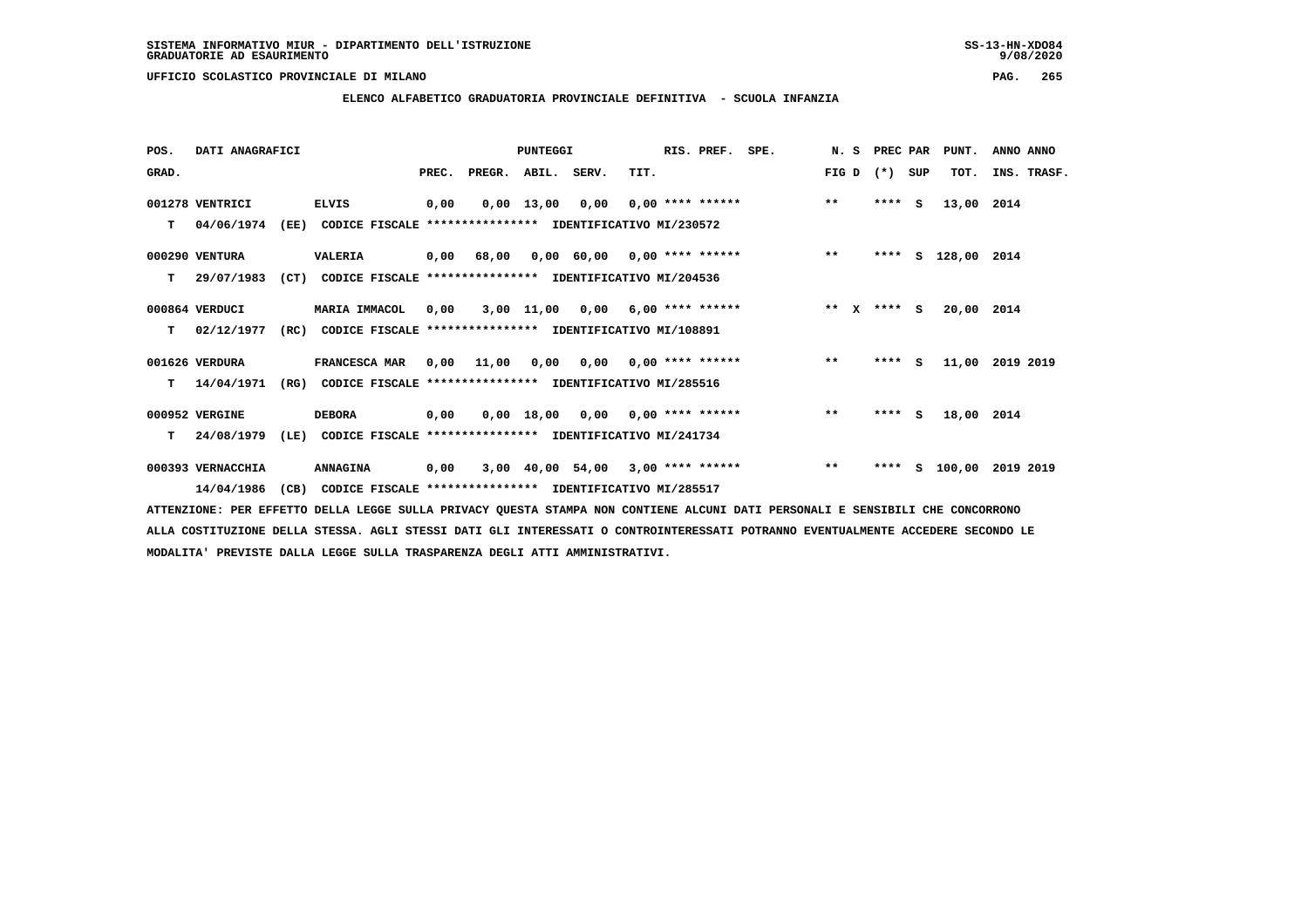**ELENCO ALFABETICO GRADUATORIA PROVINCIALE DEFINITIVA - SCUOLA INFANZIA**

| POS.  | DATI ANAGRAFICI   |      |                                                               |       |            | PUNTEGGI    |                                    |      | RIS. PREF.         | SPE.                                |              | N. S PREC PAR |     | PUNT.              | ANNO ANNO          |
|-------|-------------------|------|---------------------------------------------------------------|-------|------------|-------------|------------------------------------|------|--------------------|-------------------------------------|--------------|---------------|-----|--------------------|--------------------|
| GRAD. |                   |      |                                                               | PREC. | PREGR.     | ABIL. SERV. |                                    | TIT. |                    |                                     | FIG D        | $(* )$        | SUP | TOT.               | INS. TRASF.        |
|       | 001278 VENTRICI   |      | <b>ELVIS</b>                                                  | 0,00  |            |             | $0,00$ 13,00 0,00 0,00 **** ****** |      |                    |                                     | $* *$        | $***$ S       |     | 13,00 2014         |                    |
| т     | 04/06/1974        | (EE) | CODICE FISCALE **************** IDENTIFICATIVO MI/230572      |       |            |             |                                    |      |                    |                                     |              |               |     |                    |                    |
|       | 000290 VENTURA    |      | <b>VALERIA</b>                                                |       | 0,00 68,00 |             |                                    |      |                    | 0,00 60,00 0,00 **** ******         | $***$        |               |     | **** S 128,00 2014 |                    |
| т     | 29/07/1983        | (CT) | CODICE FISCALE **************** IDENTIFICATIVO MI/204536      |       |            |             |                                    |      |                    |                                     |              |               |     |                    |                    |
|       | 000864 VERDUCI    |      | MARIA IMMACOL                                                 | 0.00  |            |             | 3,00 11,00 0,00                    |      | $6,00$ **** ****** |                                     | $***$ $x$    | $***$ S       |     | 20,00 2014         |                    |
| т     | 02/12/1977        |      | (RC) CODICE FISCALE **************** IDENTIFICATIVO MI/108891 |       |            |             |                                    |      |                    |                                     |              |               |     |                    |                    |
|       | 001626 VERDURA    |      | <b>FRANCESCA MAR</b>                                          |       | 0,00 11,00 |             |                                    |      |                    | 0,00 0,00 0,00 **** ******          | $***$        | $***$ S       |     |                    | 11,00 2019 2019    |
| т     | 14/04/1971        | (RG) | CODICE FISCALE **************** IDENTIFICATIVO MI/285516      |       |            |             |                                    |      |                    |                                     |              |               |     |                    |                    |
|       | 000952 VERGINE    |      | <b>DEBORA</b>                                                 | 0,00  |            |             | 0,00 18,00 0,00                    |      | $0.00$ **** ****** |                                     | $\star\star$ | $***$ S       |     | 18,00 2014         |                    |
| т     | 24/08/1979        |      | (LE) CODICE FISCALE **************** IDENTIFICATIVO MI/241734 |       |            |             |                                    |      |                    |                                     |              |               |     |                    |                    |
|       | 000393 VERNACCHIA |      | <b>ANNAGINA</b>                                               | 0,00  |            |             |                                    |      |                    | $3,00$ 40,00 54,00 3,00 **** ****** | $***$        | ****          |     |                    | S 100,00 2019 2019 |
|       | 14/04/1986        | (CB) | CODICE FISCALE **************** IDENTIFICATIVO MI/285517      |       |            |             |                                    |      |                    |                                     |              |               |     |                    |                    |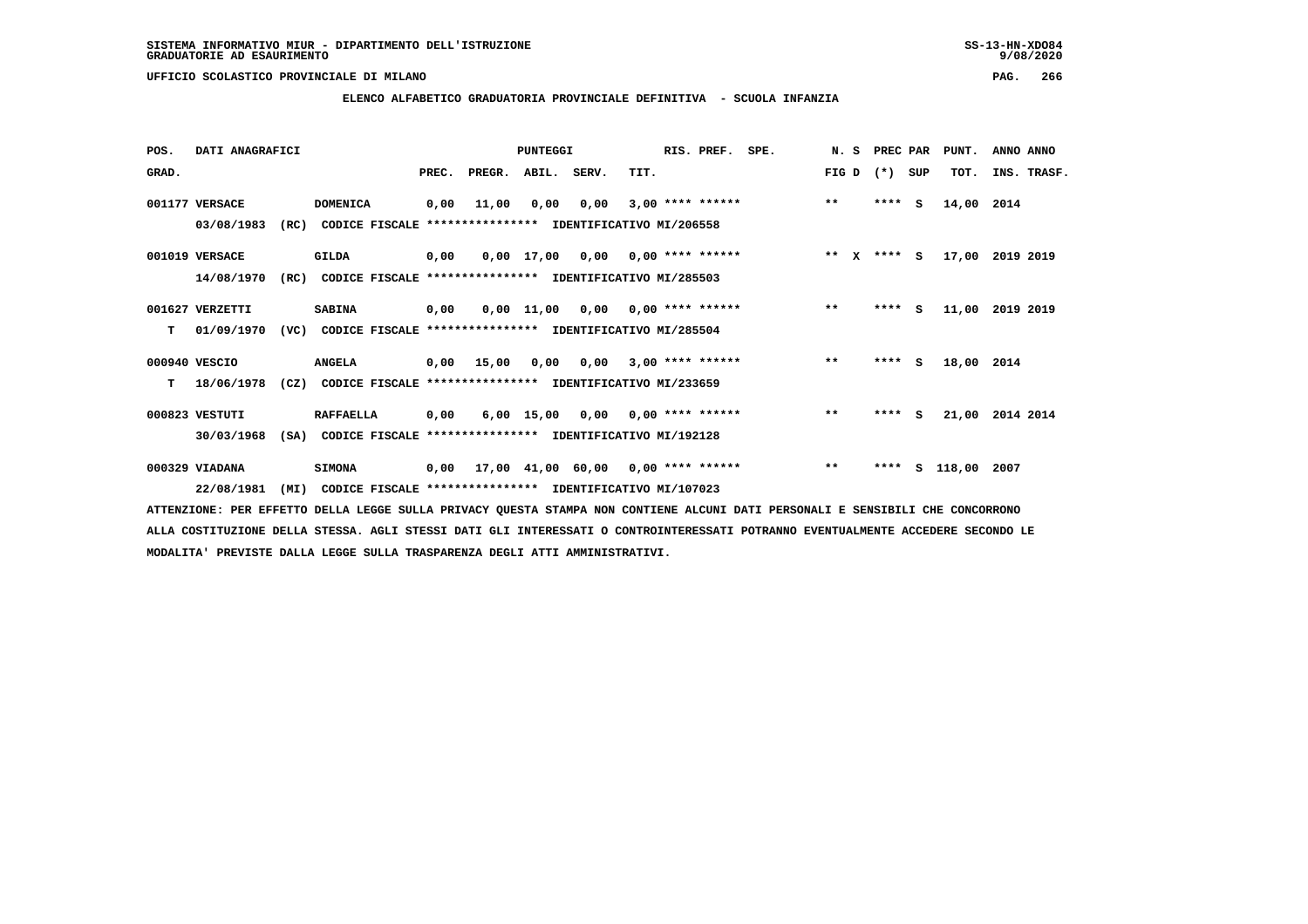# **ELENCO ALFABETICO GRADUATORIA PROVINCIALE DEFINITIVA - SCUOLA INFANZIA**

| POS.  | DATI ANAGRAFICI |      |                                                               |       |                    | <b>PUNTEGGI</b> |                                    |      | RIS. PREF. | SPE.                                    |       | N. S | PREC PAR |     | PUNT.         | ANNO ANNO       |
|-------|-----------------|------|---------------------------------------------------------------|-------|--------------------|-----------------|------------------------------------|------|------------|-----------------------------------------|-------|------|----------|-----|---------------|-----------------|
| GRAD. |                 |      |                                                               | PREC. | PREGR. ABIL. SERV. |                 |                                    | TIT. |            |                                         | FIG D |      | $(*)$    | SUP | TOT.          | INS. TRASF.     |
|       | 001177 VERSACE  |      | <b>DOMENICA</b>                                               | 0,00  | 11,00              | 0,00            | 0,00                               |      |            | $3,00$ **** ******                      | $***$ |      | $***$ S  |     | 14,00 2014    |                 |
|       | 03/08/1983      | (RC) | CODICE FISCALE **************** IDENTIFICATIVO MI/206558      |       |                    |                 |                                    |      |            |                                         |       |      |          |     |               |                 |
|       | 001019 VERSACE  |      | GILDA                                                         | 0,00  |                    |                 | $0,00$ 17,00 0,00 0,00 **** ****** |      |            | $*** x*** s$                            |       |      |          |     |               | 17,00 2019 2019 |
|       | 14/08/1970      | (RC) | CODICE FISCALE **************** IDENTIFICATIVO MI/285503      |       |                    |                 |                                    |      |            |                                         |       |      |          |     |               |                 |
|       | 001627 VERZETTI |      | <b>SABINA</b>                                                 | 0,00  |                    |                 |                                    |      |            | 0,00 11,00 0,00 0,00 **** ******        | $***$ |      | $***$ S  |     | 11,00         | 2019 2019       |
| т     | 01/09/1970      |      | (VC) CODICE FISCALE **************** IDENTIFICATIVO MI/285504 |       |                    |                 |                                    |      |            |                                         |       |      |          |     |               |                 |
|       | 000940 VESCIO   |      | <b>ANGELA</b>                                                 |       | 0,00 15,00         |                 |                                    |      |            | $0,00$ $0,00$ $3,00$ **** ******        | $***$ |      | $***$ S  |     | 18,00 2014    |                 |
| т     | 18/06/1978      | (CZ) | CODICE FISCALE **************** IDENTIFICATIVO MI/233659      |       |                    |                 |                                    |      |            |                                         |       |      |          |     |               |                 |
|       | 000823 VESTUTI  |      | <b>RAFFAELLA</b>                                              | 0,00  |                    |                 | $6,00$ 15,00 0,00 0,00 **** ****** |      |            |                                         | $***$ |      | $***$ S  |     |               | 21,00 2014 2014 |
|       | 30/03/1968      |      | (SA) CODICE FISCALE **************** IDENTIFICATIVO MI/192128 |       |                    |                 |                                    |      |            |                                         |       |      |          |     |               |                 |
|       | 000329 VIADANA  |      | <b>SIMONA</b>                                                 |       |                    |                 |                                    |      |            | 0,00 17,00 41,00 60,00 0,00 **** ****** | $***$ |      | ****     |     | S 118,00 2007 |                 |
|       | 22/08/1981      | (MI) | CODICE FISCALE **************** IDENTIFICATIVO MI/107023      |       |                    |                 |                                    |      |            |                                         |       |      |          |     |               |                 |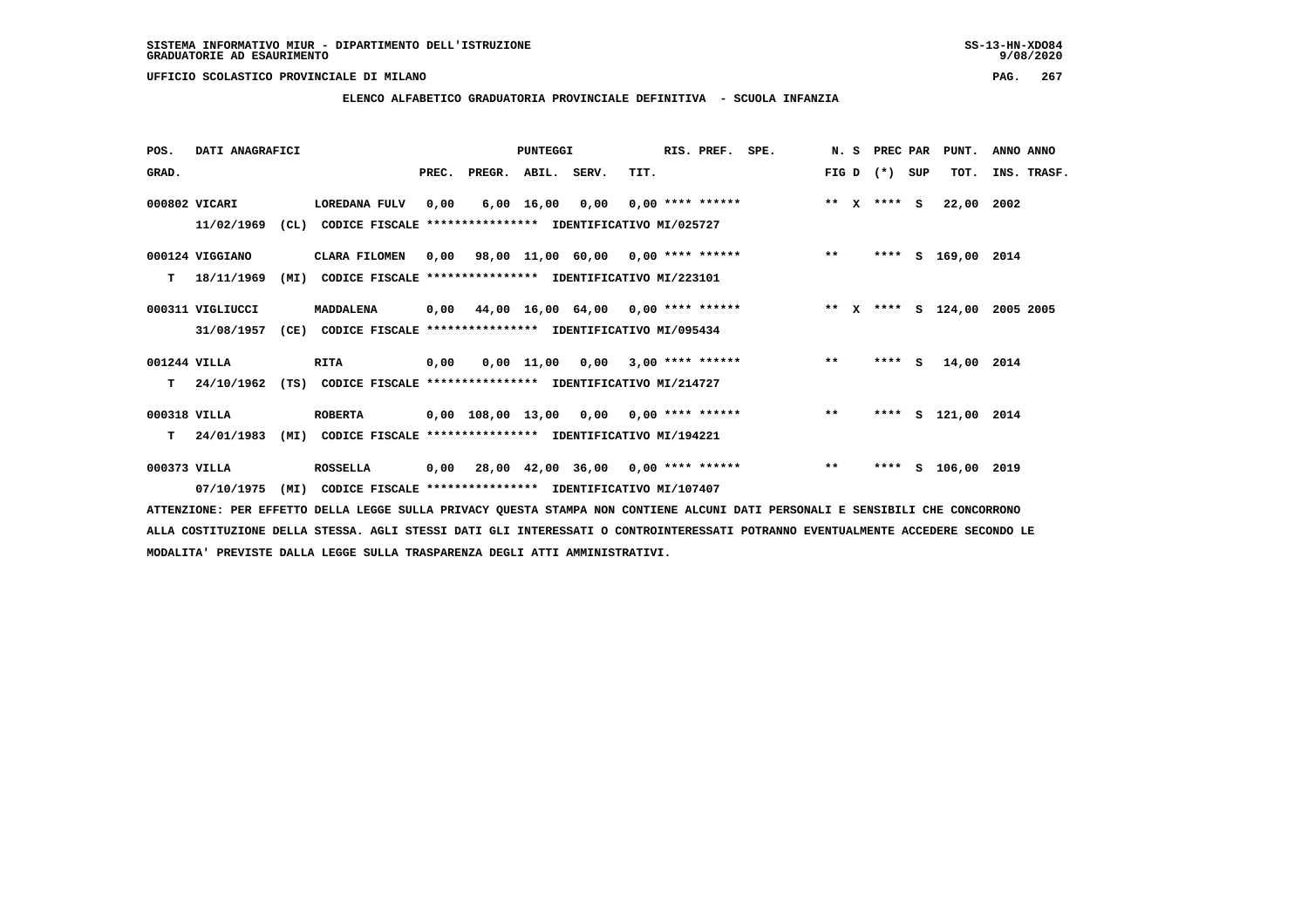**ELENCO ALFABETICO GRADUATORIA PROVINCIALE DEFINITIVA - SCUOLA INFANZIA**

 **POS. DATI ANAGRAFICI PUNTEGGI RIS. PREF. SPE. N. S PREC PAR PUNT. ANNO ANNO**GRAD. **BRAD. PREC. PREGR. ABIL. SERV.** TIT. THE REGREATER FIG D (\*) SUP TOT. INS. TRASF.  **000802 VICARI LOREDANA FULV 0,00 6,00 16,00 0,00 0,00 \*\*\*\* \*\*\*\*\*\* \*\* X \*\*\*\* S 22,00 2002 11/02/1969 (CL) CODICE FISCALE \*\*\*\*\*\*\*\*\*\*\*\*\*\*\*\* IDENTIFICATIVO MI/025727 000124 VIGGIANO CLARA FILOMEN 0,00 98,00 11,00 60,00 0,00 \*\*\*\* \*\*\*\*\*\* \*\* \*\*\*\* S 169,00 2014 T 18/11/1969 (MI) CODICE FISCALE \*\*\*\*\*\*\*\*\*\*\*\*\*\*\*\* IDENTIFICATIVO MI/223101 000311 VIGLIUCCI MADDALENA 0,00 44,00 16,00 64,00 0,00 \*\*\*\* \*\*\*\*\*\* \*\* X \*\*\*\* S 124,00 2005 2005 31/08/1957 (CE) CODICE FISCALE \*\*\*\*\*\*\*\*\*\*\*\*\*\*\*\* IDENTIFICATIVO MI/095434 001244 VILLA RITA 0,00 0,00 11,00 0,00 3,00 \*\*\*\* \*\*\*\*\*\* \*\* \*\*\*\* S 14,00 2014 T 24/10/1962 (TS) CODICE FISCALE \*\*\*\*\*\*\*\*\*\*\*\*\*\*\*\* IDENTIFICATIVO MI/214727 000318 VILLA ROBERTA 0,00 108,00 13,00 0,00 0,00 \*\*\*\* \*\*\*\*\*\* \*\* \*\*\*\* S 121,00 2014 T 24/01/1983 (MI) CODICE FISCALE \*\*\*\*\*\*\*\*\*\*\*\*\*\*\*\* IDENTIFICATIVO MI/194221 000373 VILLA ROSSELLA 0,00 28,00 42,00 36,00 0,00 \*\*\*\* \*\*\*\*\*\* \*\* \*\*\*\* S 106,00 2019 07/10/1975 (MI) CODICE FISCALE \*\*\*\*\*\*\*\*\*\*\*\*\*\*\*\* IDENTIFICATIVO MI/107407**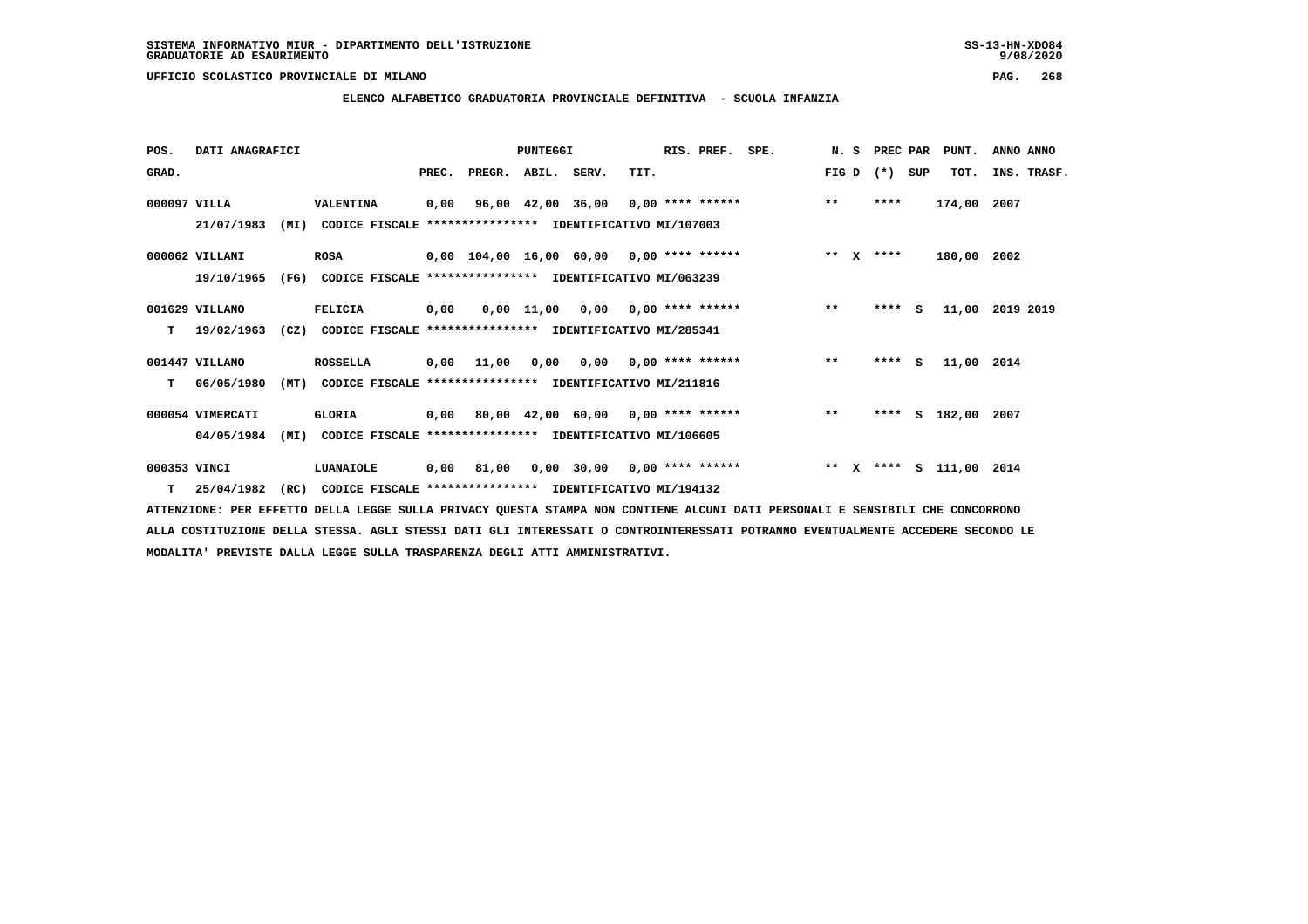# **ELENCO ALFABETICO GRADUATORIA PROVINCIALE DEFINITIVA - SCUOLA INFANZIA**

| POS.         | DATI ANAGRAFICI  |      |                                                          |       |                    | <b>PUNTEGGI</b> |                                            |      | RIS. PREF. | SPE.                               | N.S     | PREC PAR    |     | PUNT.              | ANNO ANNO   |  |
|--------------|------------------|------|----------------------------------------------------------|-------|--------------------|-----------------|--------------------------------------------|------|------------|------------------------------------|---------|-------------|-----|--------------------|-------------|--|
| GRAD.        |                  |      |                                                          | PREC. | PREGR. ABIL. SERV. |                 |                                            | TIT. |            |                                    | FIG D   | $(*)$       | SUP | TOT.               | INS. TRASF. |  |
| 000097 VILLA |                  |      | VALENTINA                                                | 0,00  |                    |                 |                                            |      |            | 96,00 42,00 36,00 0,00 **** ****** | $***$   | ****        |     | 174,00 2007        |             |  |
|              | 21/07/1983       | (MI) | CODICE FISCALE **************** IDENTIFICATIVO MI/107003 |       |                    |                 |                                            |      |            |                                    |         |             |     |                    |             |  |
|              | 000062 VILLANI   |      | <b>ROSA</b>                                              |       |                    |                 | $0,00$ 104,00 16,00 60,00 0,00 **** ****** |      |            |                                    |         | ** $X$ **** |     | 180,00 2002        |             |  |
|              | 19/10/1965       | (FG) | CODICE FISCALE **************** IDENTIFICATIVO MI/063239 |       |                    |                 |                                            |      |            |                                    |         |             |     |                    |             |  |
|              | 001629 VILLANO   |      | FELICIA                                                  | 0,00  |                    |                 | $0,00$ 11,00 0,00 0,00 **** ******         |      |            |                                    | $***$   | $***5$      |     | 11,00 2019 2019    |             |  |
| т            | 19/02/1963       | (CZ) | CODICE FISCALE **************** IDENTIFICATIVO MI/285341 |       |                    |                 |                                            |      |            |                                    |         |             |     |                    |             |  |
|              | 001447 VILLANO   |      | <b>ROSSELLA</b>                                          | 0,00  | 11,00              |                 | $0,00$ $0,00$ $0,00$ $***$ **** ******     |      |            |                                    | $***$   | $***$ S     |     | 11,00 2014         |             |  |
| т            | 06/05/1980       | (MT) | CODICE FISCALE **************** IDENTIFICATIVO MI/211816 |       |                    |                 |                                            |      |            |                                    |         |             |     |                    |             |  |
|              | 000054 VIMERCATI |      | <b>GLORIA</b>                                            |       |                    |                 | $0,00$ 80,00 42,00 60,00 0,00 **** ******  |      |            |                                    | $**$    | ****        |     | S 182,00 2007      |             |  |
|              | 04/05/1984       | (MI) | CODICE FISCALE **************** IDENTIFICATIVO MI/106605 |       |                    |                 |                                            |      |            |                                    |         |             |     |                    |             |  |
| 000353 VINCI |                  |      | LUANAIOLE                                                | 0,00  | 81,00              |                 | $0,00$ 30,00 0,00 **** ******              |      |            |                                    | $***$ X |             |     | **** S 111,00 2014 |             |  |
|              | $T = 25/04/1982$ | (RC) | CODICE FISCALE **************** IDENTIFICATIVO MI/194132 |       |                    |                 |                                            |      |            |                                    |         |             |     |                    |             |  |

 **ATTENZIONE: PER EFFETTO DELLA LEGGE SULLA PRIVACY QUESTA STAMPA NON CONTIENE ALCUNI DATI PERSONALI E SENSIBILI CHE CONCORRONO ALLA COSTITUZIONE DELLA STESSA. AGLI STESSI DATI GLI INTERESSATI O CONTROINTERESSATI POTRANNO EVENTUALMENTE ACCEDERE SECONDO LE MODALITA' PREVISTE DALLA LEGGE SULLA TRASPARENZA DEGLI ATTI AMMINISTRATIVI.**

# $9/08/2020$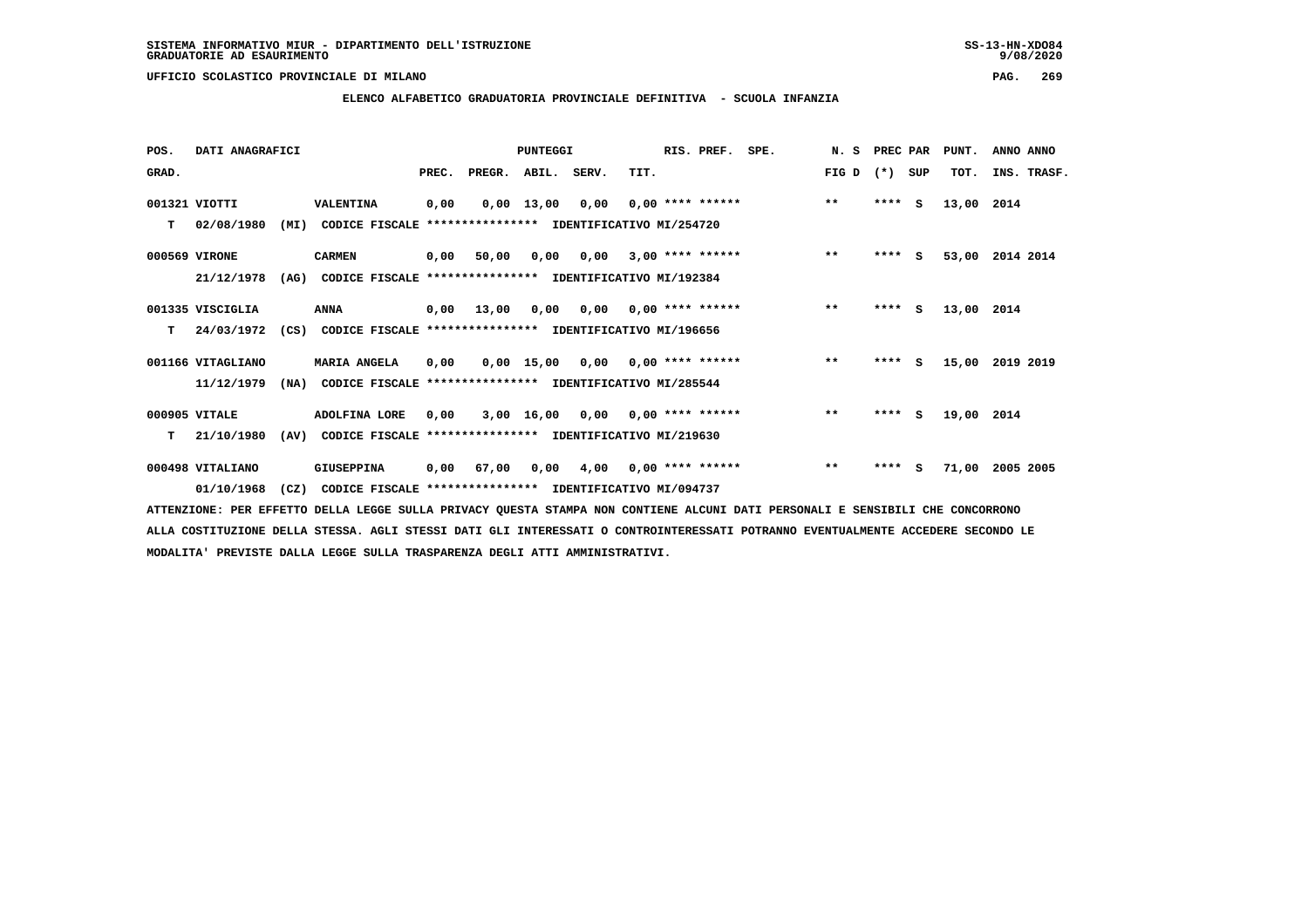$9/08/2020$ 

 **UFFICIO SCOLASTICO PROVINCIALE DI MILANO PAG. 269**

# **ELENCO ALFABETICO GRADUATORIA PROVINCIALE DEFINITIVA - SCUOLA INFANZIA**

| POS.  | DATI ANAGRAFICI   | <b>PUNTEGGI</b> |                                                               |       |                                           |                    | RIS. PREF.                         | SPE. | N. S                      | PREC PAR |       | PUNT.   | ANNO ANNO |            |             |
|-------|-------------------|-----------------|---------------------------------------------------------------|-------|-------------------------------------------|--------------------|------------------------------------|------|---------------------------|----------|-------|---------|-----------|------------|-------------|
| GRAD. |                   |                 |                                                               | PREC. | PREGR. ABIL. SERV.                        |                    |                                    | TIT. |                           |          | FIG D | $(* )$  | SUP       | TOT.       | INS. TRASF. |
|       | 001321 VIOTTI     |                 | VALENTINA                                                     | 0,00  |                                           | $0,00 \quad 13,00$ | 0,00                               |      | $0.00$ **** ******        |          | $* *$ | ****    | <b>S</b>  | 13,00 2014 |             |
| т     | 02/08/1980        | (MI)            | CODICE FISCALE **************** IDENTIFICATIVO MI/254720      |       |                                           |                    |                                    |      |                           |          |       |         |           |            |             |
|       | 000569 VIRONE     |                 | <b>CARMEN</b>                                                 | 0,00  | 50,00                                     | 0,00               | 0,00                               |      | $3,00$ **** ******        |          | $**$  | $***$ S |           | 53,00      | 2014 2014   |
|       | 21/12/1978        | (AG)            | CODICE FISCALE **************** IDENTIFICATIVO MI/192384      |       |                                           |                    |                                    |      |                           |          |       |         |           |            |             |
|       | 001335 VISCIGLIA  |                 | ANNA                                                          | 0,00  | 13,00                                     | 0,00               |                                    |      | $0,00$ $0,00$ **** ****** |          | $***$ | ****    | <b>S</b>  | 13,00 2014 |             |
| т     | 24/03/1972        |                 | (CS) CODICE FISCALE **************** IDENTIFICATIVO MI/196656 |       |                                           |                    |                                    |      |                           |          |       |         |           |            |             |
|       | 001166 VITAGLIANO |                 | <b>MARIA ANGELA</b>                                           | 0,00  |                                           |                    | $0.00$ 15.00 0.00 0.00 **** ****** |      |                           |          | $***$ | $***$ S |           | 15,00      | 2019 2019   |
|       | 11/12/1979        | (NA)            | CODICE FISCALE                                                |       | **************** IDENTIFICATIVO MI/285544 |                    |                                    |      |                           |          |       |         |           |            |             |
|       | 000905 VITALE     |                 | ADOLFINA LORE                                                 | 0,00  |                                           | 3,00 16,00         |                                    |      | $0,00$ $0,00$ **** ****** |          | $***$ | $***$ S |           | 19,00 2014 |             |
| т     | 21/10/1980        | (AV)            | CODICE FISCALE **************** IDENTIFICATIVO MI/219630      |       |                                           |                    |                                    |      |                           |          |       |         |           |            |             |
|       | 000498 VITALIANO  |                 | <b>GIUSEPPINA</b>                                             | 0,00  | 67,00                                     |                    | $0,00$ 4,00 0,00 **** ******       |      |                           |          | $***$ | ****    | - S       | 71,00      | 2005 2005   |
|       | 01/10/1968        | (CZ)            | CODICE FISCALE **************** IDENTIFICATIVO MI/094737      |       |                                           |                    |                                    |      |                           |          |       |         |           |            |             |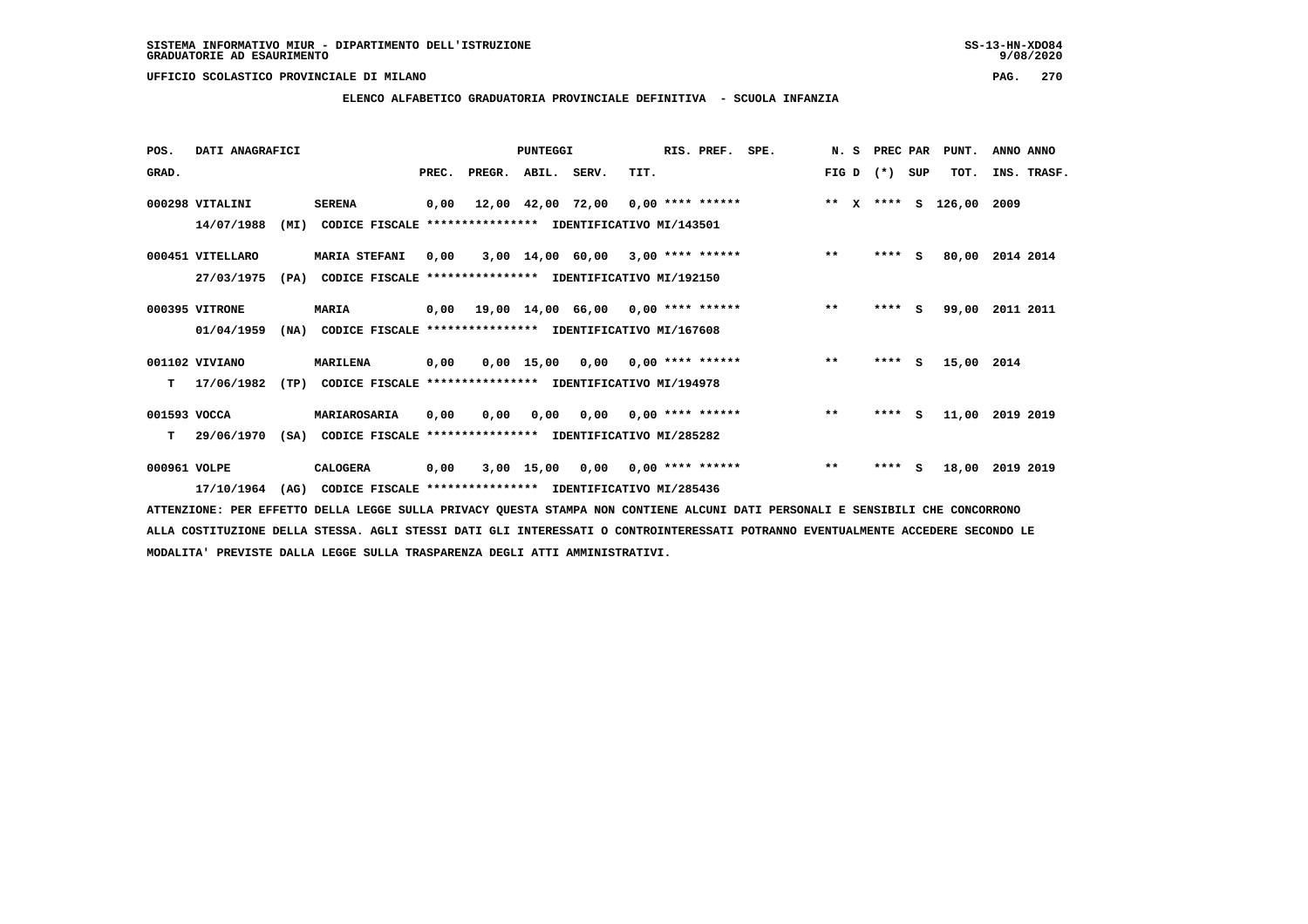# **ELENCO ALFABETICO GRADUATORIA PROVINCIALE DEFINITIVA - SCUOLA INFANZIA**

| POS.         | DATI ANAGRAFICI  |      |                                                               | PUNTEGGI |                          |      |                                    |      | RIS. PREF.                | SPE.                                                            | N. S  | <b>PREC PAR</b> |          | PUNT.      | ANNO ANNO   |
|--------------|------------------|------|---------------------------------------------------------------|----------|--------------------------|------|------------------------------------|------|---------------------------|-----------------------------------------------------------------|-------|-----------------|----------|------------|-------------|
| GRAD.        |                  |      |                                                               |          | PREC. PREGR. ABIL. SERV. |      |                                    | TIT. |                           |                                                                 | FIG D | $(*)$           | SUP      | TOT.       | INS. TRASF. |
|              | 000298 VITALINI  |      | <b>SERENA</b>                                                 | 0,00     |                          |      |                                    |      |                           | 12,00 42,00 72,00 0,00 **** ****** **** *** **** \$ 126,00 2009 |       |                 |          |            |             |
|              | 14/07/1988       | (MI) | CODICE FISCALE **************** IDENTIFICATIVO MI/143501      |          |                          |      |                                    |      |                           |                                                                 |       |                 |          |            |             |
|              | 000451 VITELLARO |      | <b>MARIA STEFANI</b>                                          | 0,00     |                          |      |                                    |      |                           | 3,00 14,00 60,00 3,00 **** ******                               | $**$  | **** S          |          | 80,00      | 2014 2014   |
|              | 27/03/1975       | (PA) | CODICE FISCALE **************** IDENTIFICATIVO MI/192150      |          |                          |      |                                    |      |                           |                                                                 |       |                 |          |            |             |
|              | 000395 VITRONE   |      | <b>MARIA</b>                                                  | 0,00     |                          |      | 19,00 14,00 66,00 0,00 **** ****** |      |                           |                                                                 | $* *$ | **** S          |          | 99,00      | 2011 2011   |
|              | 01/04/1959       |      | (NA) CODICE FISCALE **************** IDENTIFICATIVO MI/167608 |          |                          |      |                                    |      |                           |                                                                 |       |                 |          |            |             |
|              | 001102 VIVIANO   |      | <b>MARILENA</b>                                               | 0,00     |                          |      |                                    |      |                           | 0,00 15,00 0,00 0,00 **** ******                                | $**$  | **** S          |          | 15,00 2014 |             |
| т            | 17/06/1982       | (TP) | CODICE FISCALE **************** IDENTIFICATIVO MI/194978      |          |                          |      |                                    |      |                           |                                                                 |       |                 |          |            |             |
| 001593 VOCCA |                  |      | MARIAROSARIA                                                  | 0,00     | 0,00                     | 0,00 |                                    |      | $0,00$ $0,00$ **** ****** |                                                                 | $***$ | $***$ S         |          | 11,00      | 2019 2019   |
| T.           | 29/06/1970       |      | (SA) CODICE FISCALE **************** IDENTIFICATIVO MI/285282 |          |                          |      |                                    |      |                           |                                                                 |       |                 |          |            |             |
| 000961 VOLPE |                  |      | <b>CALOGERA</b>                                               | 0,00     |                          |      |                                    |      |                           | 3,00 15,00 0,00 0,00 **** ******                                | $***$ | ****            | <b>S</b> | 18,00      | 2019 2019   |
|              | 17/10/1964       | (AG) | CODICE FISCALE **************** IDENTIFICATIVO MI/285436      |          |                          |      |                                    |      |                           |                                                                 |       |                 |          |            |             |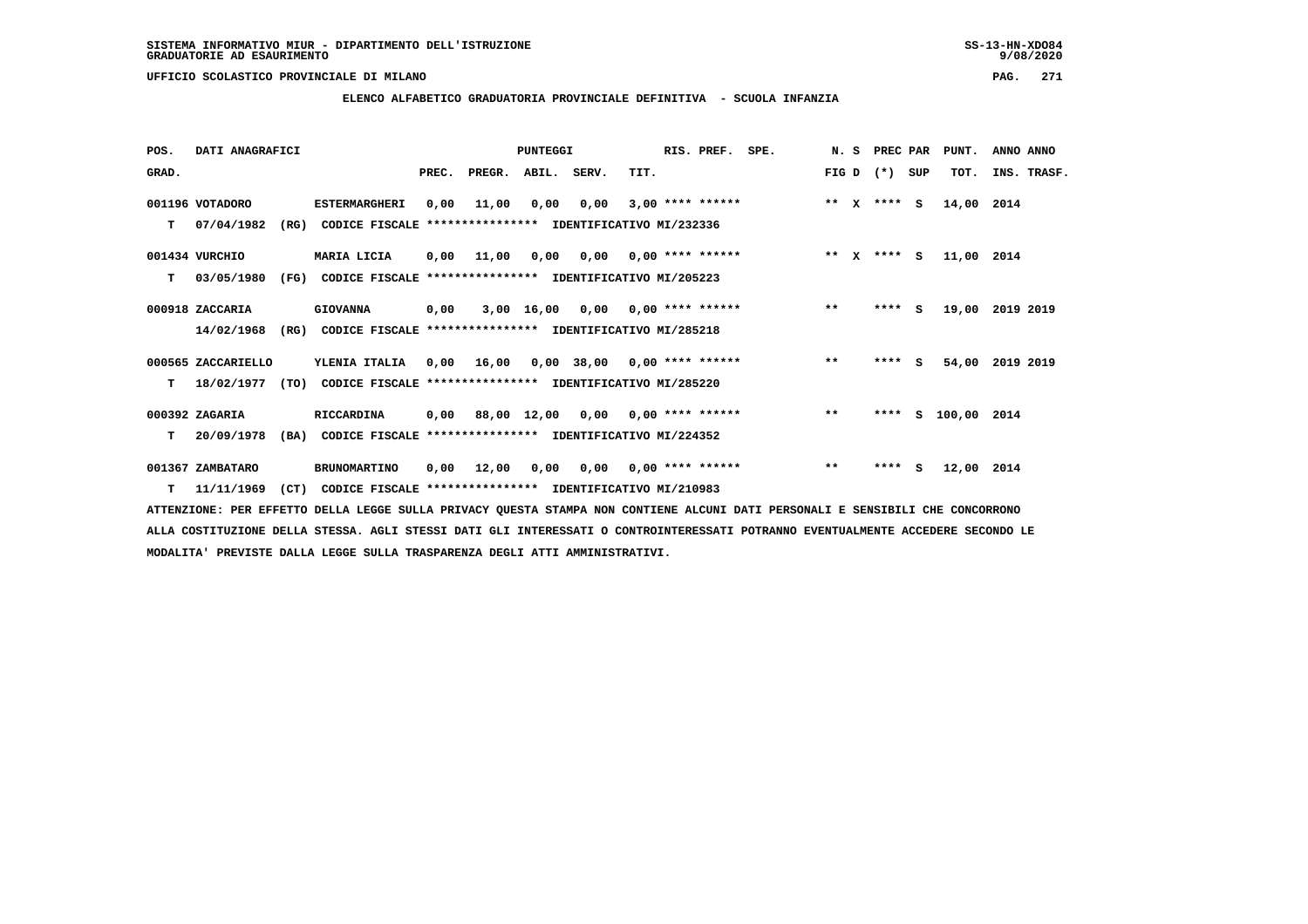**ELENCO ALFABETICO GRADUATORIA PROVINCIALE DEFINITIVA - SCUOLA INFANZIA**

 **POS. DATI ANAGRAFICI PUNTEGGI RIS. PREF. SPE. N. S PREC PAR PUNT. ANNO ANNO**GRAD. **PREGRADE SERVEGER. ABIL. SERV. TIT.** FIG D (\*) SUP TOT. INS. TRASF.  **001196 VOTADORO ESTERMARGHERI 0,00 11,00 0,00 0,00 3,00 \*\*\*\* \*\*\*\*\*\* \*\* X \*\*\*\* S 14,00 2014 T 07/04/1982 (RG) CODICE FISCALE \*\*\*\*\*\*\*\*\*\*\*\*\*\*\*\* IDENTIFICATIVO MI/232336 001434 VURCHIO MARIA LICIA 0,00 11,00 0,00 0,00 0,00 \*\*\*\* \*\*\*\*\*\* \*\* X \*\*\*\* S 11,00 2014 T 03/05/1980 (FG) CODICE FISCALE \*\*\*\*\*\*\*\*\*\*\*\*\*\*\*\* IDENTIFICATIVO MI/205223 000918 ZACCARIA GIOVANNA 0,00 3,00 16,00 0,00 0,00 \*\*\*\* \*\*\*\*\*\* \*\* \*\*\*\* S 19,00 2019 2019 14/02/1968 (RG) CODICE FISCALE \*\*\*\*\*\*\*\*\*\*\*\*\*\*\*\* IDENTIFICATIVO MI/285218**

 **000565 ZACCARIELLO YLENIA ITALIA 0,00 16,00 0,00 38,00 0,00 \*\*\*\* \*\*\*\*\*\* \*\* \*\*\*\* S 54,00 2019 2019 T 18/02/1977 (TO) CODICE FISCALE \*\*\*\*\*\*\*\*\*\*\*\*\*\*\*\* IDENTIFICATIVO MI/285220**

 **000392 ZAGARIA RICCARDINA 0,00 88,00 12,00 0,00 0,00 \*\*\*\* \*\*\*\*\*\* \*\* \*\*\*\* S 100,00 2014 T 20/09/1978 (BA) CODICE FISCALE \*\*\*\*\*\*\*\*\*\*\*\*\*\*\*\* IDENTIFICATIVO MI/224352**

 **001367 ZAMBATARO BRUNOMARTINO 0,00 12,00 0,00 0,00 0,00 \*\*\*\* \*\*\*\*\*\* \*\* \*\*\*\* S 12,00 2014**

 **T 11/11/1969 (CT) CODICE FISCALE \*\*\*\*\*\*\*\*\*\*\*\*\*\*\*\* IDENTIFICATIVO MI/210983**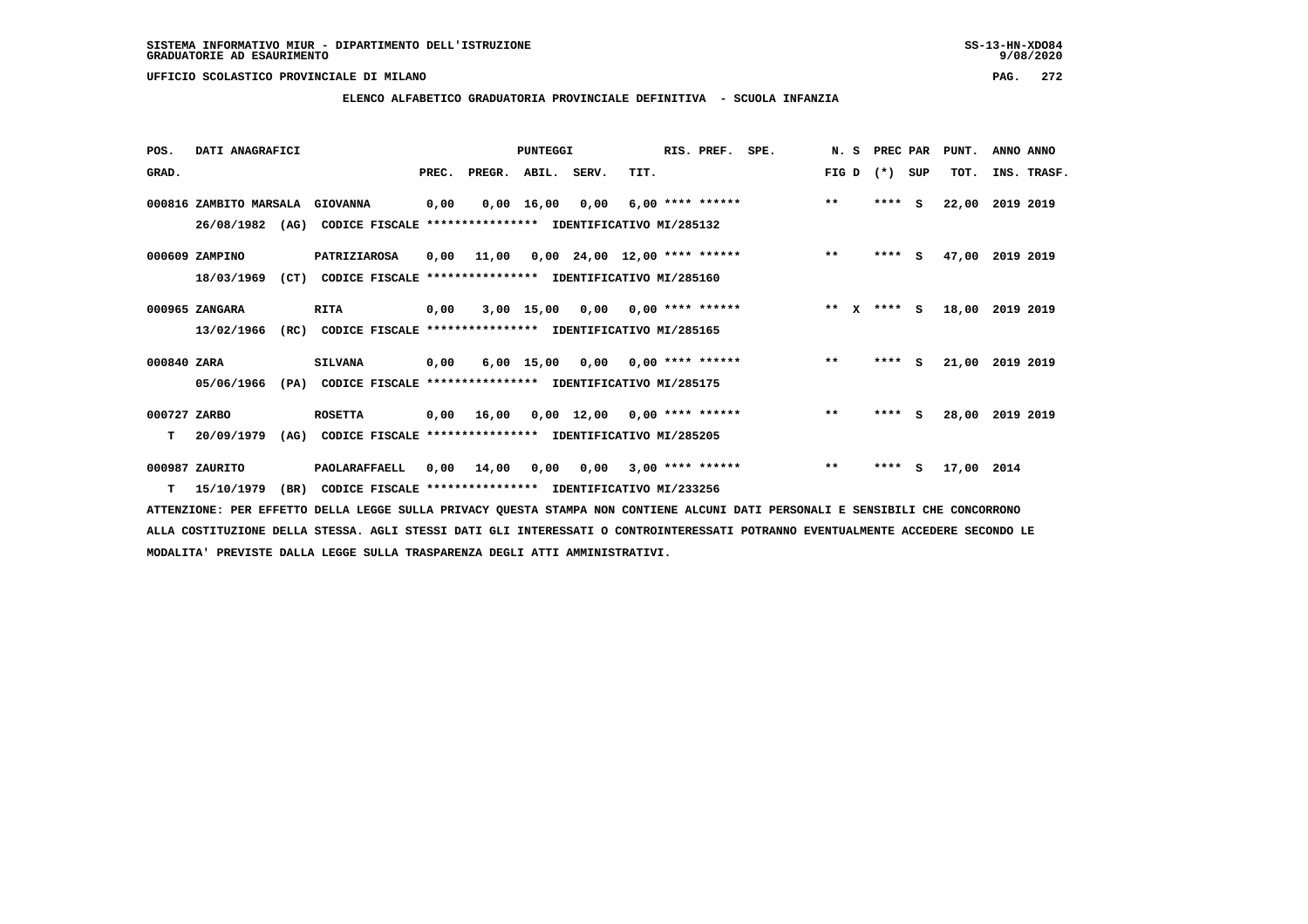**ELENCO ALFABETICO GRADUATORIA PROVINCIALE DEFINITIVA - SCUOLA INFANZIA**

 **POS. DATI ANAGRAFICI PUNTEGGI RIS. PREF. SPE. N. S PREC PAR PUNT. ANNO ANNO**GRAD. **BRAD. PREC. PREGR. ABIL. SERV.** TIT. THE REGREATER FIG D (\*) SUP TOT. INS. TRASF.  **000816 ZAMBITO MARSALA GIOVANNA 0,00 0,00 16,00 0,00 6,00 \*\*\*\* \*\*\*\*\*\* \*\* \*\*\*\* S 22,00 2019 2019 26/08/1982 (AG) CODICE FISCALE \*\*\*\*\*\*\*\*\*\*\*\*\*\*\*\* IDENTIFICATIVO MI/285132 000609 ZAMPINO PATRIZIAROSA 0,00 11,00 0,00 24,00 12,00 \*\*\*\* \*\*\*\*\*\* \*\* \*\*\*\* S 47,00 2019 2019 18/03/1969 (CT) CODICE FISCALE \*\*\*\*\*\*\*\*\*\*\*\*\*\*\*\* IDENTIFICATIVO MI/285160 000965 ZANGARA RITA 0,00 3,00 15,00 0,00 0,00 \*\*\*\* \*\*\*\*\*\* \*\* X \*\*\*\* S 18,00 2019 2019 13/02/1966 (RC) CODICE FISCALE \*\*\*\*\*\*\*\*\*\*\*\*\*\*\*\* IDENTIFICATIVO MI/285165 000840 ZARA SILVANA 0,00 6,00 15,00 0,00 0,00 \*\*\*\* \*\*\*\*\*\* \*\* \*\*\*\* S 21,00 2019 2019 05/06/1966 (PA) CODICE FISCALE \*\*\*\*\*\*\*\*\*\*\*\*\*\*\*\* IDENTIFICATIVO MI/285175 000727 ZARBO ROSETTA 0,00 16,00 0,00 12,00 0,00 \*\*\*\* \*\*\*\*\*\* \*\* \*\*\*\* S 28,00 2019 2019 T 20/09/1979 (AG) CODICE FISCALE \*\*\*\*\*\*\*\*\*\*\*\*\*\*\*\* IDENTIFICATIVO MI/285205 000987 ZAURITO PAOLARAFFAELL 0,00 14,00 0,00 0,00 3,00 \*\*\*\* \*\*\*\*\*\* \*\* \*\*\*\* S 17,00 2014**

 **T 15/10/1979 (BR) CODICE FISCALE \*\*\*\*\*\*\*\*\*\*\*\*\*\*\*\* IDENTIFICATIVO MI/233256**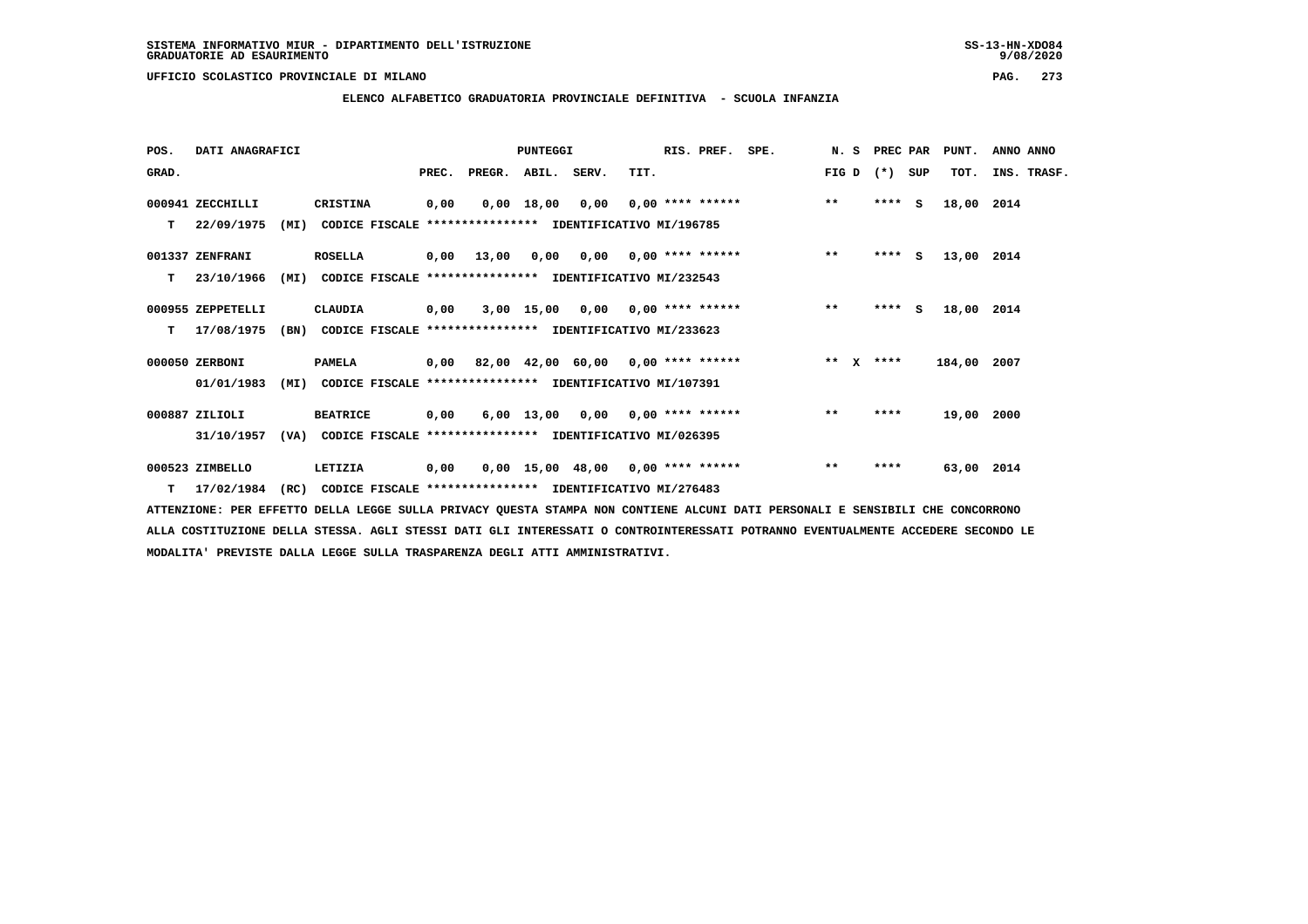**ELENCO ALFABETICO GRADUATORIA PROVINCIALE DEFINITIVA - SCUOLA INFANZIA**

| POS.  | DATI ANAGRAFICI   | PUNTEGGI |                                                          |      |                                           |              | RIS. PREF.                             | SPE. | N.S                | PREC PAR | PUNT.   | ANNO ANNO |             |             |  |
|-------|-------------------|----------|----------------------------------------------------------|------|-------------------------------------------|--------------|----------------------------------------|------|--------------------|----------|---------|-----------|-------------|-------------|--|
| GRAD. |                   |          |                                                          |      | PREC. PREGR. ABIL. SERV.                  |              |                                        | TIT. |                    |          | FIG D   | (*) SUP   | TOT.        | INS. TRASF. |  |
|       | 000941 ZECCHILLI  |          | CRISTINA                                                 | 0,00 |                                           | $0,00$ 18,00 | 0,00                                   |      | $0,00$ **** ****** |          | $***$   | $***5$    | 18,00 2014  |             |  |
| т     | 22/09/1975        | (MI)     | CODICE FISCALE **************** IDENTIFICATIVO MI/196785 |      |                                           |              |                                        |      |                    |          |         |           |             |             |  |
|       | 001337 ZENFRANI   |          | <b>ROSELLA</b>                                           | 0,00 | 13,00                                     |              | $0.00$ $0.00$ $0.00$ $***$ **** ****** |      |                    |          | $***$   | $***5$    | 13,00 2014  |             |  |
| т     | 23/10/1966        | (MI)     | CODICE FISCALE **************** IDENTIFICATIVO MI/232543 |      |                                           |              |                                        |      |                    |          |         |           |             |             |  |
|       | 000955 ZEPPETELLI |          | CLAUDIA                                                  | 0,00 |                                           |              | $3,00$ 15,00 0,00 0,00 **** ******     |      |                    |          | $***$   | $***$ S   | 18,00 2014  |             |  |
| т     | 17/08/1975        | (BN)     | CODICE FISCALE **************** IDENTIFICATIVO MI/233623 |      |                                           |              |                                        |      |                    |          |         |           |             |             |  |
|       | 000050 ZERBONI    |          | <b>PAMELA</b>                                            |      | $0,00$ 82,00 42,00 60,00 0,00 **** ****** |              |                                        |      |                    |          | $***$ X | ****      | 184,00 2007 |             |  |
|       | 01/01/1983        | (MI)     | CODICE FISCALE **************** IDENTIFICATIVO MI/107391 |      |                                           |              |                                        |      |                    |          |         |           |             |             |  |
|       | 000887 ZILIOLI    |          | <b>BEATRICE</b>                                          | 0,00 |                                           |              | $6,00$ 13,00 0,00 0,00 **** ******     |      |                    |          | $***$   | ****      | 19,00 2000  |             |  |
|       | 31/10/1957        | (VA)     | CODICE FISCALE **************** IDENTIFICATIVO MI/026395 |      |                                           |              |                                        |      |                    |          |         |           |             |             |  |
|       | 000523 ZIMBELLO   |          | LETIZIA                                                  | 0,00 |                                           |              | $0,00$ 15,00 48,00 0,00 **** ******    |      |                    |          | $***$   | ****      | 63,00 2014  |             |  |
| T     | 17/02/1984        | (RC)     | CODICE FISCALE **************** IDENTIFICATIVO MI/276483 |      |                                           |              |                                        |      |                    |          |         |           |             |             |  |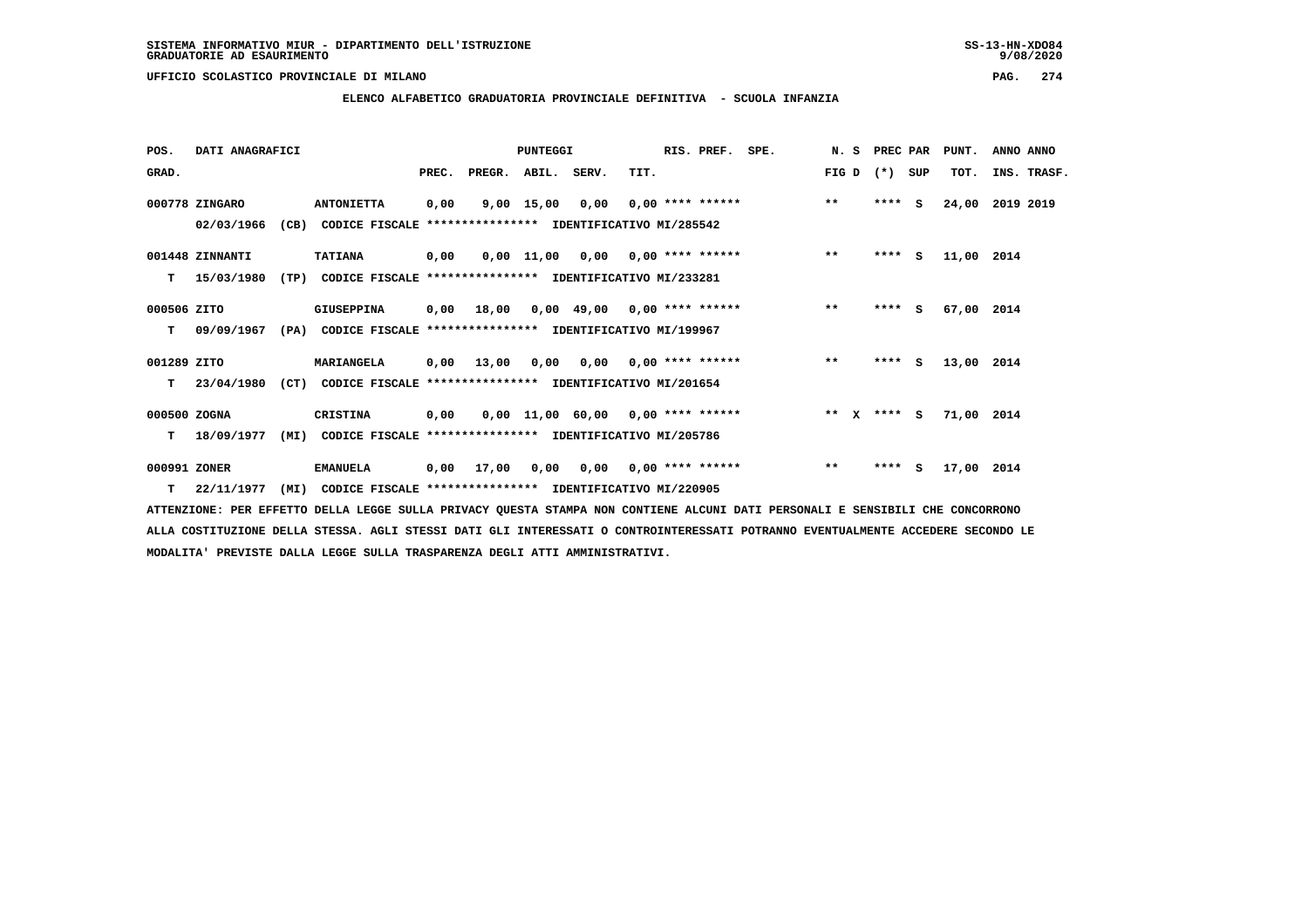# **ELENCO ALFABETICO GRADUATORIA PROVINCIALE DEFINITIVA - SCUOLA INFANZIA**

| POS.         | DATI ANAGRAFICI |      |                                                               | PUNTEGGI |            |                    |                                        | RIS. PREF. | SPE. | N. S               | PREC PAR     |         | PUNT.    | ANNO ANNO  |             |
|--------------|-----------------|------|---------------------------------------------------------------|----------|------------|--------------------|----------------------------------------|------------|------|--------------------|--------------|---------|----------|------------|-------------|
| GRAD.        |                 |      |                                                               | PREC.    |            | PREGR. ABIL. SERV. |                                        | TIT.       |      |                    | FIG D        | $(*)$   | SUP      | TOT.       | INS. TRASF. |
|              | 000778 ZINGARO  |      | <b>ANTONIETTA</b>                                             | 0,00     |            | 9,00 15,00         | 0,00                                   |            |      | $0.00$ **** ****** | $***$        | $***$ S |          | 24,00      | 2019 2019   |
|              | 02/03/1966      |      | (CB) CODICE FISCALE **************** IDENTIFICATIVO MI/285542 |          |            |                    |                                        |            |      |                    |              |         |          |            |             |
|              | 001448 ZINNANTI |      | <b>TATIANA</b>                                                | 0,00     |            |                    | $0.00$ 11.00 0.00 0.00 **** ******     |            |      |                    | $***$        | $***$ S |          | 11,00 2014 |             |
| т            | 15/03/1980      | (TP) | CODICE FISCALE **************** IDENTIFICATIVO MI/233281      |          |            |                    |                                        |            |      |                    |              |         |          |            |             |
| 000506 ZITO  |                 |      | <b>GIUSEPPINA</b>                                             |          | 0,00 18,00 |                    | $0,00$ 49,00 0,00 **** ******          |            |      |                    | $**$         | ****    | <b>S</b> | 67,00 2014 |             |
| т            | 09/09/1967      |      | (PA) CODICE FISCALE **************** IDENTIFICATIVO MI/199967 |          |            |                    |                                        |            |      |                    |              |         |          |            |             |
| 001289 ZITO  |                 |      | <b>MARIANGELA</b>                                             | 0,00     | 13,00      |                    | 0,00 0,00 0,00 **** ******             |            |      |                    | $***$        | **** S  |          | 13,00 2014 |             |
| т            | 23/04/1980      | (CT) | CODICE FISCALE **************** IDENTIFICATIVO MI/201654      |          |            |                    |                                        |            |      |                    |              |         |          |            |             |
| 000500 ZOGNA |                 |      | <b>CRISTINA</b>                                               | 0,00     |            |                    | $0,00$ 11,00 60,00 0,00 **** ******    |            |      |                    | $***$ X      | $***$ S |          | 71,00 2014 |             |
| т            | 18/09/1977      | (MI) | CODICE FISCALE **************** IDENTIFICATIVO MI/205786      |          |            |                    |                                        |            |      |                    |              |         |          |            |             |
| 000991 ZONER |                 |      | <b>EMANUELA</b>                                               | 0,00     | 17,00      |                    | $0,00$ $0,00$ $0,00$ $***$ **** ****** |            |      |                    | $\star\star$ | $***5$  |          | 17,00 2014 |             |
| т            | 22/11/1977      | (MI) | CODICE FISCALE **************** IDENTIFICATIVO MI/220905      |          |            |                    |                                        |            |      |                    |              |         |          |            |             |